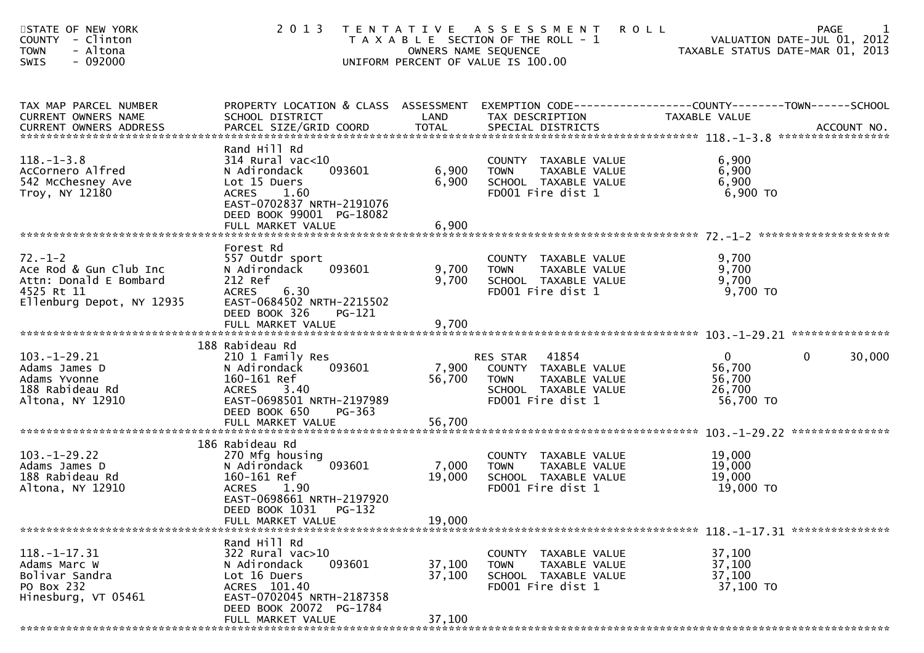| STATE OF NEW YORK<br><b>COUNTY</b><br>- Clinton<br>- Altona<br><b>TOWN</b><br>$-092000$<br>SWIS              | 2 0 1 3                                                                                                                                                                               | OWNERS NAME SEQUENCE    | TENTATIVE ASSESSMENT ROLL<br>T A X A B L E SECTION OF THE ROLL - 1<br>UNIFORM PERCENT OF VALUE IS 100.00            | <b>PAGE</b><br>VALUATION DATE-JUL 01, 2012<br>VALUATION DATE-JUL 01, 2012<br>TAXABLE STATUS DATE-MAR 01, 2013      |
|--------------------------------------------------------------------------------------------------------------|---------------------------------------------------------------------------------------------------------------------------------------------------------------------------------------|-------------------------|---------------------------------------------------------------------------------------------------------------------|--------------------------------------------------------------------------------------------------------------------|
| TAX MAP PARCEL NUMBER<br>CURRENT OWNERS NAME                                                                 | SCHOOL DISTRICT                                                                                                                                                                       | LAND                    | TAX DESCRIPTION                                                                                                     | PROPERTY LOCATION & CLASS ASSESSMENT EXEMPTION CODE----------------COUNTY--------TOWN------SCHOOL<br>TAXABLE VALUE |
| $118. - 1 - 3.8$<br>AcCornero Alfred<br>542 McChesney Ave<br>Troy, NY 12180                                  | Rand Hill Rd<br>$314$ Rural vac< $10$<br>093601<br>N Adirondack<br>Lot 15 Duers<br><b>ACRES</b><br>1.60<br>EAST-0702837 NRTH-2191076<br>DEED BOOK 99001 PG-18082<br>FULL MARKET VALUE | 6,900<br>6,900<br>6,900 | COUNTY TAXABLE VALUE<br>TAXABLE VALUE<br><b>TOWN</b><br>SCHOOL TAXABLE VALUE<br>FD001 Fire dist 1                   | 6,900<br>6,900<br>6,900<br>$6,900$ TO                                                                              |
|                                                                                                              | Forest Rd                                                                                                                                                                             |                         |                                                                                                                     |                                                                                                                    |
| $72. - 1 - 2$<br>Ace Rod & Gun Club Inc<br>Attn: Donald E Bombard<br>4525 Rt 11<br>Ellenburg Depot, NY 12935 | 557 Outdr sport<br>093601<br>N Adirondack<br>212 Ref<br>6.30<br><b>ACRES</b><br>EAST-0684502 NRTH-2215502                                                                             | 9,700<br>9,700          | COUNTY TAXABLE VALUE<br><b>TOWN</b><br>TAXABLE VALUE<br>SCHOOL TAXABLE VALUE<br>FD001 Fire dist 1                   | 9,700<br>9,700<br>9,700<br>$9,700$ TO                                                                              |
|                                                                                                              | DEED BOOK 326<br>PG-121<br>FULL MARKET VALUE                                                                                                                                          | 9,700                   |                                                                                                                     |                                                                                                                    |
|                                                                                                              | 188 Rabideau Rd                                                                                                                                                                       |                         |                                                                                                                     |                                                                                                                    |
| $103. - 1 - 29.21$<br>Adams James D<br>Adams Yvonne<br>188 Rabideau Rd<br>Altona, NY 12910                   | 210 1 Family Res<br>093601<br>N Adirondack<br>160-161 Ref<br><b>ACRES</b><br>3.40<br>EAST-0698501 NRTH-2197989<br>DEED BOOK 650<br>PG-363                                             | 7,900<br>56,700         | RES STAR 41854<br>COUNTY TAXABLE VALUE<br>TAXABLE VALUE<br><b>TOWN</b><br>SCHOOL TAXABLE VALUE<br>FD001 Fire dist 1 | $\overline{0}$<br>30,000<br>$\Omega$<br>56,700<br>56,700<br>26,700<br>56,700 TO                                    |
|                                                                                                              | FULL MARKET VALUE                                                                                                                                                                     | 56,700                  |                                                                                                                     |                                                                                                                    |
| $103. - 1 - 29.22$<br>Adams James D<br>188 Rabideau Rd<br>Altona, NY 12910                                   | 186 Rabideau Rd<br>270 Mfg housing<br>093601<br>N Adirondack<br>160-161 Ref<br><b>ACRES</b><br>1.90<br>EAST-0698661 NRTH-2197920                                                      | 7,000<br>19,000         | COUNTY TAXABLE VALUE<br><b>TOWN</b><br>TAXABLE VALUE<br>SCHOOL TAXABLE VALUE<br>FD001 Fire dist 1                   | 19,000<br>19,000<br>19,000<br>19,000 TO                                                                            |
|                                                                                                              | DEED BOOK 1031 PG-132<br>FULL MARKET VALUE                                                                                                                                            | 19,000                  |                                                                                                                     |                                                                                                                    |
|                                                                                                              | Rand Hill Rd                                                                                                                                                                          |                         |                                                                                                                     |                                                                                                                    |
| $118. - 1 - 17.31$<br>Adams Marc W<br>Bolivar Sandra<br>PO Box 232<br>Hinesburg, VT 05461                    | 322 Rural vac>10<br>093601<br>N Adirondack<br>Lot 16 Duers<br>ACRES 101.40<br>EAST-0702045 NRTH-2187358                                                                               | 37,100<br>37,100        | COUNTY TAXABLE VALUE<br><b>TOWN</b><br>TAXABLE VALUE<br>SCHOOL TAXABLE VALUE<br>FD001 Fire dist 1                   | 37,100<br>37,100<br>37,100<br>37,100 TO                                                                            |
|                                                                                                              | DEED BOOK 20072 PG-1784<br>FULL MARKET VALUE                                                                                                                                          | 37,100                  |                                                                                                                     |                                                                                                                    |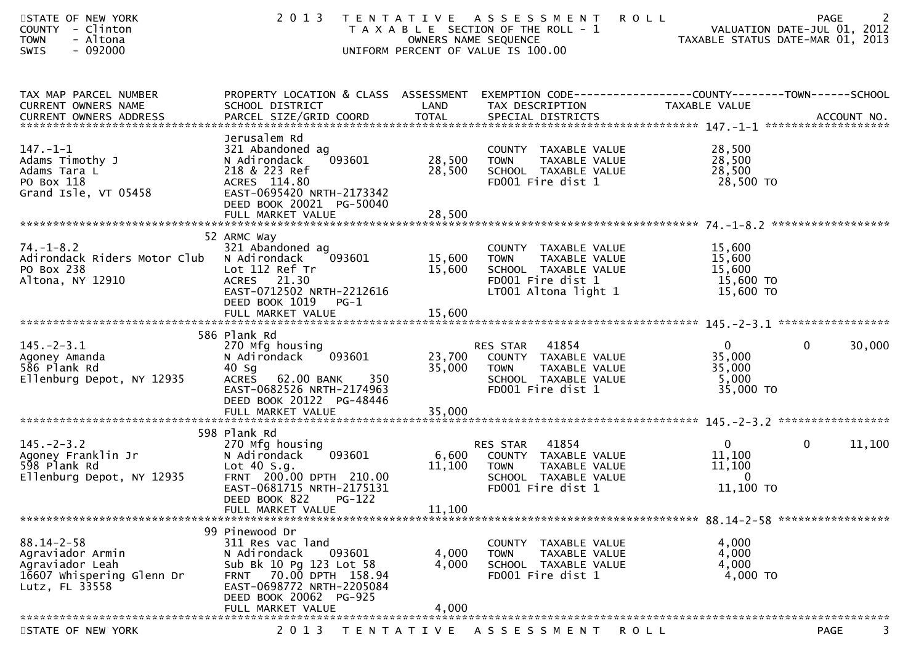| STATE OF NEW YORK<br>COUNTY - Clinton<br><b>TOWN</b><br>- Altona<br>$-092000$<br><b>SWIS</b>           | 2 0 1 3                                                                                                                                                                            | OWNERS NAME SEQUENCE | TENTATIVE ASSESSMENT<br>T A X A B L E SECTION OF THE ROLL - 1<br>UNIFORM PERCENT OF VALUE IS 100.00                          | <b>ROLL</b><br>VALUATION DATE-JUL 01, ZO1Z<br>TAXABLE STATUS DATE-MAR 01, 2013 | <b>PAGE</b><br>VALUATION DATE-JUL 01, 2012 |
|--------------------------------------------------------------------------------------------------------|------------------------------------------------------------------------------------------------------------------------------------------------------------------------------------|----------------------|------------------------------------------------------------------------------------------------------------------------------|--------------------------------------------------------------------------------|--------------------------------------------|
| TAX MAP PARCEL NUMBER<br>CURRENT OWNERS NAME                                                           | PROPERTY LOCATION & CLASS ASSESSMENT EXEMPTION CODE----------------COUNTY-------TOWN------SCHOOL<br>SCHOOL DISTRICT                                                                | LAND                 | TAX DESCRIPTION                                                                                                              | TAXABLE VALUE                                                                  |                                            |
| $147. - 1 - 1$<br>Adams Timothy J<br>Adams Tara L<br>PO Box 118<br>Grand Isle, VT 05458                | Jerusalem Rd<br>321 Abandoned ag<br>093601<br>N Adirondack<br>218 & 223 Ref<br>ACRES 114.80<br>EAST-0695420 NRTH-2173342<br>DEED BOOK 20021 PG-50040                               | 28,500<br>28,500     | COUNTY TAXABLE VALUE<br><b>TOWN</b><br>TAXABLE VALUE<br>SCHOOL TAXABLE VALUE<br>FD001 Fire dist 1                            | 28,500<br>28,500<br>28,500<br>28,500 TO                                        |                                            |
|                                                                                                        |                                                                                                                                                                                    |                      |                                                                                                                              |                                                                                |                                            |
| $74. - 1 - 8.2$<br>Adirondack Riders Motor Club<br>PO Box 238<br>Altona, NY 12910                      | 52 ARMC Way<br>321 Abandoned ag<br>093601<br>N Adirondack<br>Lot 112 Ref Tr<br>ACRES 21.30<br>EAST-0712502 NRTH-2212616<br>DEED BOOK 1019<br>$PG-1$                                | 15,600<br>15,600     | COUNTY TAXABLE VALUE<br><b>TOWN</b><br>TAXABLE VALUE<br>SCHOOL TAXABLE VALUE<br>FD001 Fire dist 1<br>LT001 Altona light 1    | 15,600<br>15,600<br>15,600<br>15,600 TO<br>15,600 TO                           |                                            |
|                                                                                                        |                                                                                                                                                                                    |                      |                                                                                                                              |                                                                                |                                            |
| $145. - 2 - 3.1$<br>Agoney Amanda<br>586 Plank Rd<br>Ellenburg Depot, NY 12935                         | 586 Plank Rd<br>270 Mfg housing<br>093601<br>N Adirondack<br>$40$ Sg<br><b>ACRES</b><br>62.00 BANK<br>350<br>EAST-0682526 NRTH-2174963<br>DEED BOOK 20122 PG-48446                 | 35,000               | RES STAR 41854<br>23,700 COUNTY TAXABLE VALUE<br><b>TOWN</b><br>TAXABLE VALUE<br>SCHOOL TAXABLE VALUE<br>FD001 Fire dist 1   | $\mathbf{0}$<br>35,000<br>35,000<br>5,000<br>35,000 TO                         | $\mathbf 0$<br>30,000                      |
|                                                                                                        | 598 Plank Rd                                                                                                                                                                       |                      |                                                                                                                              |                                                                                |                                            |
| $145. - 2 - 3.2$<br>Agoney Franklin Jr<br>598 Plank Rd<br>Ellenburg Depot, NY 12935                    | 270 Mfg housing<br>093601<br>N Adirondack<br>Lot 40 S.g.<br>FRNT 200.00 DPTH 210.00<br>EAST-0681715 NRTH-2175131<br>DEED BOOK 822<br><b>PG-122</b>                                 | 11,100<br>11,100     | 41854<br>RES STAR<br>6,600 COUNTY TAXABLE VALUE<br>TAXABLE VALUE<br><b>TOWN</b><br>SCHOOL TAXABLE VALUE<br>FD001 Fire dist 1 | $\mathbf{0}$<br>11,100<br>11,100<br>$\overline{0}$<br>11,100 TO                | $\mathbf{0}$<br>11,100                     |
|                                                                                                        | FULL MARKET VALUE                                                                                                                                                                  |                      |                                                                                                                              |                                                                                |                                            |
| $88.14 - 2 - 58$<br>Agraviador Armin<br>Agraviador Leah<br>16607 Whispering Glenn Dr<br>Lutz, FL 33558 | 99 Pinewood Dr<br>311 Res vac land<br>093601<br>N Adirondack<br>Sub Bk 10 Pg 123 Lot 58<br>70.00 DPTH 158.94<br><b>FRNT</b><br>EAST-0698772 NRTH-2205084<br>DEED BOOK 20062 PG-925 | 4,000<br>4,000       | COUNTY TAXABLE VALUE<br>TAXABLE VALUE<br><b>TOWN</b><br>SCHOOL TAXABLE VALUE<br>FD001 Fire dist 1                            | 4,000<br>4,000<br>4,000<br>4,000 TO                                            |                                            |
|                                                                                                        | FULL MARKET VALUE                                                                                                                                                                  | 4,000                |                                                                                                                              |                                                                                |                                            |
| STATE OF NEW YORK                                                                                      | 2 0 1 3                                                                                                                                                                            | T E N T A T I V E    | A S S E S S M E N T                                                                                                          | ROLL                                                                           | 3<br><b>PAGE</b>                           |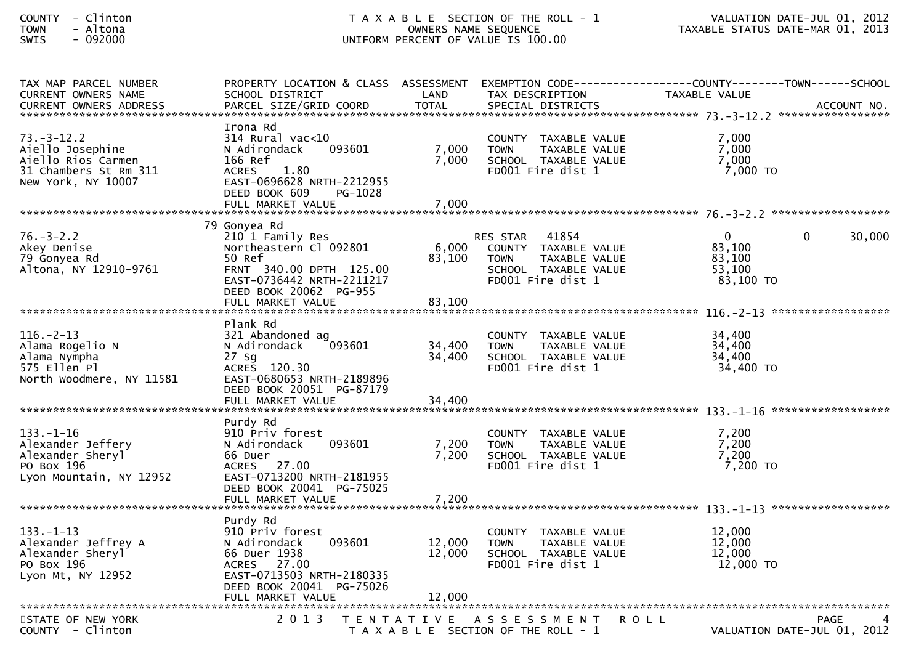| TAX MAP PARCEL NUMBER                                                                                     | PROPERTY LOCATION & CLASS ASSESSMENT                                                                                                                               |                         |                                                                                                                               |                                                                 |        |
|-----------------------------------------------------------------------------------------------------------|--------------------------------------------------------------------------------------------------------------------------------------------------------------------|-------------------------|-------------------------------------------------------------------------------------------------------------------------------|-----------------------------------------------------------------|--------|
| <b>CURRENT OWNERS NAME</b>                                                                                | SCHOOL DISTRICT                                                                                                                                                    | LAND                    | TAX DESCRIPTION                                                                                                               | TAXABLE VALUE                                                   |        |
|                                                                                                           |                                                                                                                                                                    |                         |                                                                                                                               |                                                                 |        |
| $73. - 3 - 12.2$<br>Aiello Josephine<br>Aiello Rios Carmen<br>31 Chambers St Rm 311<br>New York, NY 10007 | Irona Rd<br>$314$ Rural vac< $10$<br>N Adirondack<br>093601<br>166 Ref<br>1.80<br><b>ACRES</b><br>EAST-0696628 NRTH-2212955<br>DEED BOOK 609<br>PG-1028            | 7,000<br>7,000          | COUNTY TAXABLE VALUE<br>TAXABLE VALUE<br><b>TOWN</b><br>SCHOOL TAXABLE VALUE<br>FD001 Fire dist 1                             | 7,000<br>7,000<br>7,000<br>$7,000$ TO                           |        |
|                                                                                                           | FULL MARKET VALUE                                                                                                                                                  | 7,000                   |                                                                                                                               |                                                                 |        |
|                                                                                                           | 79 Gonyea Rd                                                                                                                                                       |                         |                                                                                                                               |                                                                 |        |
| $76. - 3 - 2.2$<br>Akey Denise<br>79 Gonyea Rd<br>Altona, NY 12910-9761                                   | 210 1 Family Res<br>Northeastern Cl 092801<br>50 Ref<br>FRNT 340.00 DPTH 125.00<br>EAST-0736442 NRTH-2211217<br>DEED BOOK 20062 PG-955                             | 6,000<br>83,100         | 41854<br><b>RES STAR</b><br>COUNTY TAXABLE VALUE<br><b>TOWN</b><br>TAXABLE VALUE<br>SCHOOL TAXABLE VALUE<br>FD001 Fire dist 1 | $\Omega$<br>$\Omega$<br>83,100<br>83,100<br>53.100<br>83,100 TO | 30,000 |
|                                                                                                           | Plank Rd                                                                                                                                                           |                         |                                                                                                                               |                                                                 |        |
| $116. - 2 - 13$<br>Alama Rogelio N<br>Alama Nympha<br>575 Ellen Pl<br>North Woodmere, NY 11581            | 321 Abandoned ag<br>093601<br>N Adirondack<br>27 Sq<br>ACRES 120.30<br>EAST-0680653 NRTH-2189896<br>DEED BOOK 20051 PG-87179                                       | 34,400<br>34,400        | COUNTY TAXABLE VALUE<br>TAXABLE VALUE<br><b>TOWN</b><br>SCHOOL TAXABLE VALUE<br>FD001 Fire dist 1                             | 34,400<br>34,400<br>34,400<br>34,400 TO                         |        |
|                                                                                                           |                                                                                                                                                                    |                         |                                                                                                                               |                                                                 |        |
|                                                                                                           |                                                                                                                                                                    |                         |                                                                                                                               |                                                                 |        |
| $133. - 1 - 16$<br>Alexander Jeffery<br>Alexander Sheryl<br>PO Box 196<br>Lyon Mountain, NY 12952         | Purdy Rd<br>910 Priv forest<br>093601<br>N Adirondack<br>66 Duer<br>ACRES 27.00<br>EAST-0713200 NRTH-2181955<br>DEED BOOK 20041 PG-75025<br>FULL MARKET VALUE      | 7,200<br>7,200<br>7,200 | COUNTY TAXABLE VALUE<br><b>TOWN</b><br>TAXABLE VALUE<br>SCHOOL TAXABLE VALUE<br>FD001 Fire dist 1                             | 7.200<br>7,200<br>7,200<br>7,200 TO                             |        |
|                                                                                                           |                                                                                                                                                                    |                         |                                                                                                                               |                                                                 |        |
| $133. - 1 - 13$<br>Alexander Jeffrey A<br>Alexander Sheryl<br>PO Box 196<br>Lyon Mt, NY 12952             | Purdy Rd<br>910 Priv forest<br>093601<br>N Adirondack<br>66 Duer 1938<br>ACRES 27.00<br>EAST-0713503 NRTH-2180335<br>DEED BOOK 20041 PG-75026<br>FULL MARKET VALUE | 12,000<br>12,000        | COUNTY TAXABLE VALUE<br><b>TOWN</b><br>TAXABLE VALUE<br>SCHOOL TAXABLE VALUE<br>FD001 Fire dist 1                             | 12,000<br>12,000<br>12,000<br>12,000 TO                         |        |
| STATE OF NEW YORK                                                                                         | 2 0 1 3                                                                                                                                                            |                         | TENTATIVE ASSESSMENT                                                                                                          | <b>ROLL</b><br><b>PAGE</b>                                      |        |
| COUNTY - Clinton                                                                                          |                                                                                                                                                                    |                         | T A X A B L E SECTION OF THE ROLL - 1                                                                                         | VALUATION DATE-JUL 01, 2012                                     |        |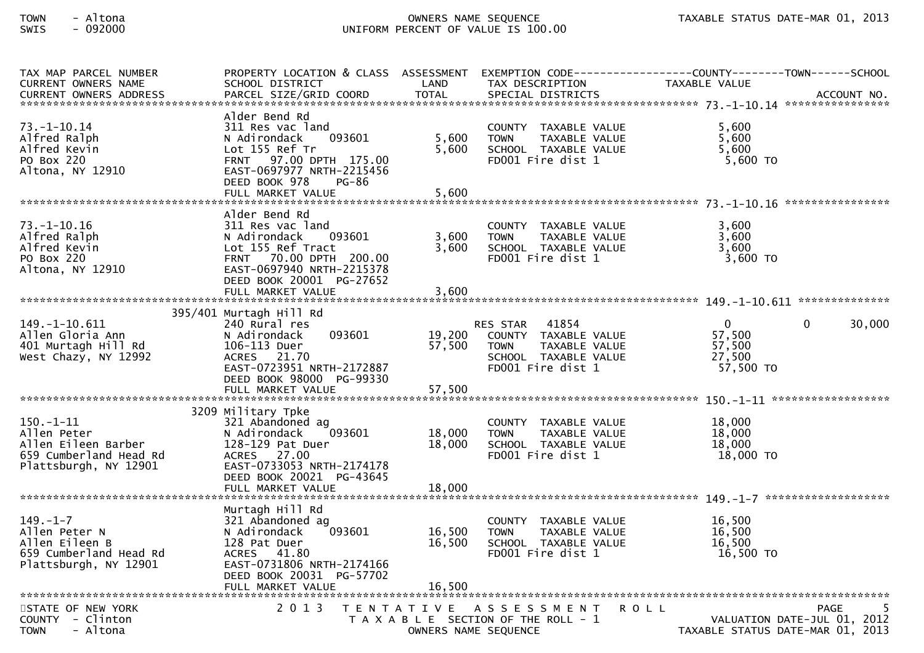| TAX MAP PARCEL NUMBER<br>CURRENT OWNERS NAME                                                         | SCHOOL DISTRICT                                                                                                                                                                          | LAND                                      | TAX DESCRIPTION                                                                                                     | PROPERTY LOCATION & CLASS ASSESSMENT EXEMPTION CODE----------------COUNTY-------TOWN------SCHOOL<br>TAXABLE VALUE |
|------------------------------------------------------------------------------------------------------|------------------------------------------------------------------------------------------------------------------------------------------------------------------------------------------|-------------------------------------------|---------------------------------------------------------------------------------------------------------------------|-------------------------------------------------------------------------------------------------------------------|
| 73. –1–10.14<br>Alfred Ralph<br>Alfred Kevin<br>PO Box 220<br>Altona, NY 12910                       | Alder Bend Rd<br>311 Res vac land<br>093601<br>N Adirondack<br>Lot 155 Ref Tr<br>FRNT 97.00 DPTH 175.00<br>EAST-0697977 NRTH-2215456<br>DEED BOOK 978<br>PG-86<br>FULL MARKET VALUE      | 5,600<br>5,600<br>5,600                   | COUNTY TAXABLE VALUE<br><b>TOWN</b><br>TAXABLE VALUE<br>SCHOOL TAXABLE VALUE<br>FD001 Fire dist 1                   | 5,600<br>5,600<br>5,600<br>$5,600$ TO                                                                             |
|                                                                                                      |                                                                                                                                                                                          |                                           |                                                                                                                     |                                                                                                                   |
| $73. - 1 - 10.16$<br>Alfred Ralph<br>Alfred Kevin<br>PO Box 220<br>Altona, NY 12910                  | Alder Bend Rd<br>311 Res vac land<br>N Adirondack<br>093601<br>Lot 155 Ref Tract<br>FRNT 70.00 DPTH 200.00<br>EAST-0697940 NRTH-2215378<br>DEED BOOK 20001 PG-27652<br>FULL MARKET VALUE | 3,600<br>3,600<br>3,600                   | COUNTY TAXABLE VALUE<br><b>TOWN</b><br>TAXABLE VALUE<br>SCHOOL TAXABLE VALUE<br>FD001 Fire dist 1                   | 3,600<br>3,600<br>3,600<br>3,600 TO                                                                               |
|                                                                                                      | 395/401 Murtagh Hill Rd                                                                                                                                                                  |                                           |                                                                                                                     |                                                                                                                   |
| $149. - 1 - 10.611$<br>Allen Gloria Ann<br>401 Murtagh Hill Rd<br>West Chazy, NY 12992               | 240 Rural res<br>N Adirondack<br>093601<br>106-113 Duer<br>ACRES 21.70<br>EAST-0723951 NRTH-2172887<br>DEED BOOK 98000 PG-99330                                                          | 19,200<br>57,500                          | RES STAR 41854<br>COUNTY TAXABLE VALUE<br><b>TOWN</b><br>TAXABLE VALUE<br>SCHOOL TAXABLE VALUE<br>FD001 Fire dist 1 | $\overline{0}$<br>$\mathbf{0}$<br>30,000<br>57,500<br>57,500<br>27,500<br>57,500 TO                               |
|                                                                                                      | 3209 Military Tpke                                                                                                                                                                       |                                           |                                                                                                                     |                                                                                                                   |
| $150.-1-11$<br>Allen Peter<br>Allen Eileen Barber<br>659 Cumberland Head Rd<br>Plattsburgh, NY 12901 | 321 Abandoned ag<br>093601<br>N Adirondack<br>128-129 Pat Duer<br>ACRES 27.00<br>EAST-0733053 NRTH-2174178<br>DEED BOOK 20021 PG-43645                                                   | 18,000<br>18,000                          | COUNTY TAXABLE VALUE<br><b>TOWN</b><br>TAXABLE VALUE<br>SCHOOL TAXABLE VALUE<br>FD001 Fire dist 1                   | 18,000<br>18,000<br>18,000<br>18,000 TO                                                                           |
|                                                                                                      | FULL MARKET VALUE                                                                                                                                                                        | 18,000                                    |                                                                                                                     |                                                                                                                   |
| $149. - 1 - 7$<br>Allen Peter N<br>Allen Eileen B<br>659 Cumberland Head Rd<br>Plattsburgh, NY 12901 | Murtagh Hill Rd<br>321 Abandoned ag<br>N Adirondack<br>093601<br>128 Pat Duer<br>ACRES 41.80<br>EAST-0731806 NRTH-2174166<br>DEED BOOK 20031 PG-57702<br>FULL MARKET VALUE               | 16,500<br>16,500<br>16,500                | COUNTY TAXABLE VALUE<br><b>TOWN</b><br>TAXABLE VALUE<br>SCHOOL TAXABLE VALUE<br>FD001 Fire dist 1                   | 16,500<br>16,500<br>16,500<br>16,500 TO                                                                           |
|                                                                                                      |                                                                                                                                                                                          |                                           |                                                                                                                     |                                                                                                                   |
| STATE OF NEW YORK<br>- Clinton<br><b>COUNTY</b><br>- Altona<br><b>TOWN</b>                           | 2 0 1 3                                                                                                                                                                                  | T E N T A T I V E<br>OWNERS NAME SEQUENCE | A S S E S S M E N T<br>R O L L<br>T A X A B L E SECTION OF THE ROLL - 1                                             | <b>PAGE</b><br>VALUATION DATE-JUL 01, 2012<br>TAXABLE STATUS DATE-MAR 01, 2013                                    |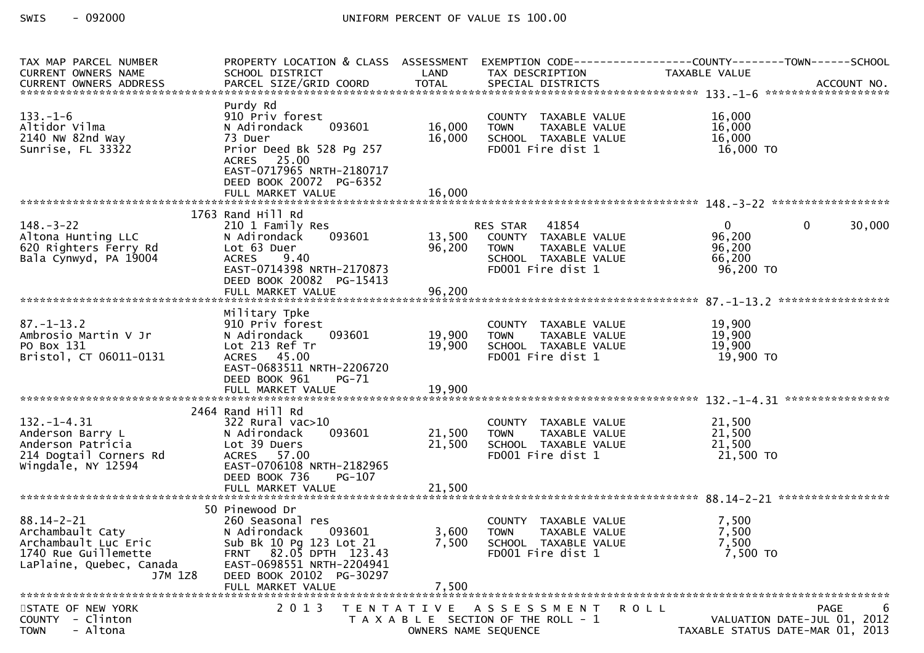| TAX MAP PARCEL NUMBER                                                                                                       | PROPERTY LOCATION & CLASS ASSESSMENT                                                                                                                                          |                      |                                                                                                                     | EXEMPTION CODE------------------COUNTY--------TOWN------SCHOOL                                                                                          |
|-----------------------------------------------------------------------------------------------------------------------------|-------------------------------------------------------------------------------------------------------------------------------------------------------------------------------|----------------------|---------------------------------------------------------------------------------------------------------------------|---------------------------------------------------------------------------------------------------------------------------------------------------------|
| <b>CURRENT OWNERS NAME</b>                                                                                                  | SCHOOL DISTRICT                                                                                                                                                               | LAND                 | TAX DESCRIPTION                                                                                                     | TAXABLE VALUE                                                                                                                                           |
|                                                                                                                             |                                                                                                                                                                               |                      |                                                                                                                     | .CURRENT OWNERS ADDRESS PARCEL SIZE/GRID COORD TOTAL SPECIAL DISTRICTS MONERS ADDRESS PERSON PARCEL SIZE/GRID COORD TOTAL SPECIAL DISTRICTS ACCOUNT NO. |
| $133. - 1 - 6$<br>Altidor Vilma<br>2140 NW 82nd Way<br>Sunrise, FL 33322                                                    | Purdy Rd<br>910 Priv forest<br>093601<br>N Adirondack<br>73 Duer<br>Prior Deed Bk 528 Pg 257<br>ACRES 25.00<br>EAST-0717965 NRTH-2180717<br>DEED BOOK 20072 PG-6352           | 16,000<br>16,000     | COUNTY TAXABLE VALUE<br><b>TOWN</b><br>TAXABLE VALUE<br>SCHOOL TAXABLE VALUE<br>FD001 Fire dist 1                   | 16,000<br>16,000<br>16,000<br>16,000 TO                                                                                                                 |
|                                                                                                                             | FULL MARKET VALUE                                                                                                                                                             | 16,000               |                                                                                                                     |                                                                                                                                                         |
|                                                                                                                             |                                                                                                                                                                               |                      |                                                                                                                     |                                                                                                                                                         |
| $148. - 3 - 22$<br>Altona Hunting LLC<br>620 Righters Ferry Rd<br>Bala Cynwyd, PA 19004                                     | 1763 Rand Hill Rd<br>210 1 Family Res<br>093601<br>N Adirondack<br>Lot 63 Duer<br>ACRES 9.40<br>EAST-0714398 NRTH-2170873<br>DEED BOOK 20082 PG-15413                         | 13,500<br>96,200     | RES STAR 41854<br>COUNTY TAXABLE VALUE<br><b>TOWN</b><br>TAXABLE VALUE<br>SCHOOL TAXABLE VALUE<br>FD001 Fire dist 1 | $\overline{0}$<br>$\mathbf{0}$<br>30,000<br>96,200<br>96,200<br>66,200<br>96,200 TO                                                                     |
|                                                                                                                             | FULL MARKET VALUE                                                                                                                                                             | 96,200               |                                                                                                                     |                                                                                                                                                         |
| $87. - 1 - 13.2$<br>Ambrosio Martin V Jr<br>PO Box 131<br>Bristol, CT 06011-0131                                            | Military Tpke<br>910 Priv forest<br>093601<br>N Adirondack<br>Lot 213 Ref Tr<br>ACRES 45.00<br>EAST-0683511 NRTH-2206720<br>DEED BOOK 961<br>PG-71                            | 19,900<br>19,900     | COUNTY TAXABLE VALUE<br>TAXABLE VALUE<br><b>TOWN</b><br>SCHOOL TAXABLE VALUE<br>FD001 Fire dist 1                   | 19,900<br>19,900<br>19,900<br>19,900 TO                                                                                                                 |
|                                                                                                                             | FULL MARKET VALUE                                                                                                                                                             | 19,900               |                                                                                                                     |                                                                                                                                                         |
|                                                                                                                             |                                                                                                                                                                               |                      |                                                                                                                     |                                                                                                                                                         |
| $132. - 1 - 4.31$<br>Anderson Barry L<br>Anderson Patricia<br>214 Dogtail Corners Rd<br>Wingdale, NY 12594                  | 2464 Rand Hill Rd<br>$322$ Rural vac $>10$<br>093601<br>N Adirondack<br>Lot 39 Duers<br>ACRES 57.00<br>EAST-0706108 NRTH-2182965<br>DEED BOOK 736<br>PG-107                   | 21,500<br>21,500     | COUNTY TAXABLE VALUE<br>TAXABLE VALUE<br><b>TOWN</b><br>SCHOOL TAXABLE VALUE<br>FD001 Fire dist 1                   | 21,500<br>21,500<br>21,500<br>21,500 TO                                                                                                                 |
|                                                                                                                             | FULL MARKET VALUE                                                                                                                                                             | 21,500               |                                                                                                                     |                                                                                                                                                         |
|                                                                                                                             |                                                                                                                                                                               |                      |                                                                                                                     |                                                                                                                                                         |
| $88.14 - 2 - 21$<br>Archambault Caty<br>Archambault Luc Eric<br>1740 Rue Guillemette<br>LaPlaine, Quebec, Canada<br>J7M 1Z8 | 50 Pinewood Dr<br>260 Seasonal res<br>N Adirondack<br>093601<br>Sub Bk 10 Pg 123 Lot 21<br>82.05 DPTH 123.43<br>FRNT<br>EAST-0698551 NRTH-2204941<br>DEED BOOK 20102 PG-30297 | 3,600<br>7,500       | COUNTY TAXABLE VALUE<br><b>TOWN</b><br>TAXABLE VALUE<br>SCHOOL TAXABLE VALUE<br>FD001 Fire dist 1                   | 7,500<br>7,500<br>7,500<br>7,500 TO                                                                                                                     |
|                                                                                                                             | FULL MARKET VALUE                                                                                                                                                             | 7,500                |                                                                                                                     |                                                                                                                                                         |
| STATE OF NEW YORK                                                                                                           | 2 0 1 3                                                                                                                                                                       |                      | TENTATIVE ASSESSMENT                                                                                                | 6<br><b>PAGE</b><br>R O L L                                                                                                                             |
| <b>COUNTY</b><br>- Clinton<br>- Altona<br><b>TOWN</b>                                                                       |                                                                                                                                                                               | OWNERS NAME SEQUENCE | T A X A B L E SECTION OF THE ROLL - 1                                                                               | VALUATION DATE-JUL 01, 2012<br>TAXABLE STATUS DATE-MAR 01, 2013                                                                                         |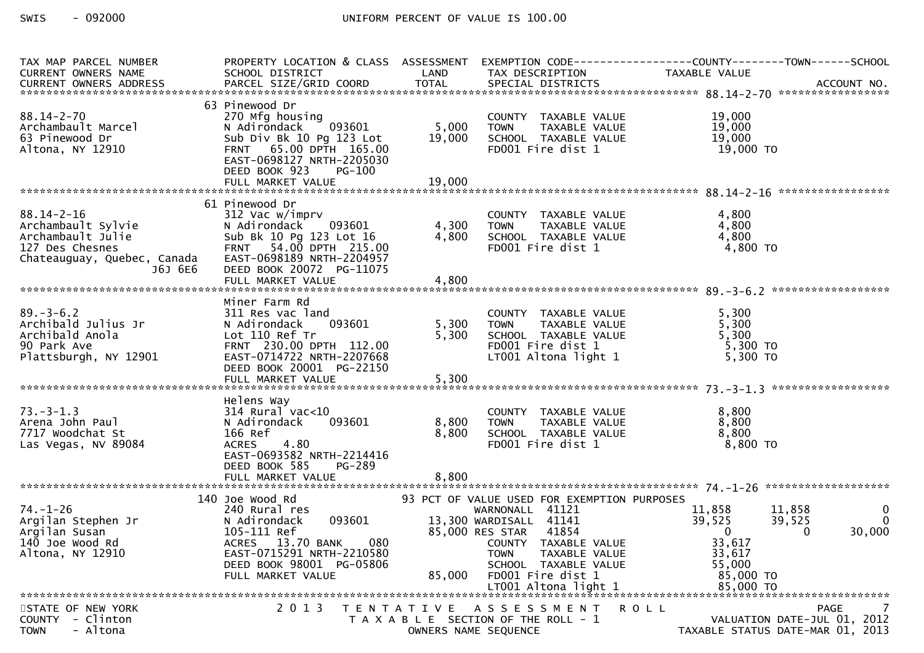| TAX MAP PARCEL NUMBER<br>CURRENT OWNERS NAME                                                                             | PROPERTY LOCATION & CLASS ASSESSMENT<br>SCHOOL DISTRICT                                                                                                                            | LAND                    | TAX DESCRIPTION                                                                                                                                                                                                                                | EXEMPTION CODE------------------COUNTY--------TOWN------SCHOOL<br>TAXABLE VALUE                                  |                             |
|--------------------------------------------------------------------------------------------------------------------------|------------------------------------------------------------------------------------------------------------------------------------------------------------------------------------|-------------------------|------------------------------------------------------------------------------------------------------------------------------------------------------------------------------------------------------------------------------------------------|------------------------------------------------------------------------------------------------------------------|-----------------------------|
| $88.14 - 2 - 70$<br>Archambault Marcel<br>63 Pinewood Dr<br>Altona, NY 12910                                             | 63 Pinewood Dr<br>270 Mfg housing<br>[093601]<br>N Adirondack<br>Sub Div Bk 10 Pg 123 Lot<br>FRNT 65.00 DPTH 165.00<br>EAST-0698127 NRTH-2205030<br>DEED BOOK 923<br><b>PG-100</b> | 5,000<br>19,000         | COUNTY TAXABLE VALUE<br><b>TOWN</b><br>TAXABLE VALUE<br>SCHOOL TAXABLE VALUE<br>FD001 Fire dist 1                                                                                                                                              | 19,000<br>19,000<br>19,000<br>19,000 TO                                                                          |                             |
|                                                                                                                          |                                                                                                                                                                                    |                         |                                                                                                                                                                                                                                                |                                                                                                                  |                             |
| $88.14 - 2 - 16$<br>Archambault Sylvie<br>Archambault Julie<br>127 Des Chesnes<br>Chateauguay, Quebec, Canada<br>J6J 6E6 | 61 Pinewood Dr<br>312 Vac w/imprv<br>N Adirondack 093601<br>Sub Bk 10 Pg 123 Lot 16<br>FRNT 54.00 DPTH 215.00<br>EAST-0698189 NRTH-2204957<br>DEED BOOK 20072 PG-11075             | 4,300<br>4,800          | COUNTY TAXABLE VALUE<br><b>TOWN</b><br>TAXABLE VALUE<br>SCHOOL TAXABLE VALUE<br>FD001 Fire dist 1                                                                                                                                              | 4,800<br>4,800<br>4,800<br>4,800 TO                                                                              |                             |
|                                                                                                                          |                                                                                                                                                                                    |                         |                                                                                                                                                                                                                                                |                                                                                                                  |                             |
| $89. - 3 - 6.2$<br>Archibald Julius Jr<br>Archibald Anola<br>90 Park Ave<br>Plattsburgh, NY 12901                        | Miner Farm Rd<br>311 Res vac land<br>N Adirondack<br>093601<br>Lot 110 Ref Tr<br>FRNT 230.00 DPTH 112.00<br>EAST-0714722 NRTH-2207668<br>DEED BOOK 20001 PG-22150                  | 5,300<br>5,300          | COUNTY TAXABLE VALUE<br>TAXABLE VALUE<br><b>TOWN</b><br>SCHOOL TAXABLE VALUE<br>FD001 Fire dist 1<br>LT001 Altona light 1                                                                                                                      | 5,300<br>5,300<br>5,300<br>5,300 TO<br>5,300 TO                                                                  |                             |
|                                                                                                                          | Helens Way                                                                                                                                                                         |                         |                                                                                                                                                                                                                                                |                                                                                                                  |                             |
| $73. - 3 - 1.3$<br>Arena John Paul<br>7717 Woodchat St<br>Las Vegas, NV 89084                                            | $314$ Rural vac<10<br>093601<br>N Adirondack<br>166 Ref<br><b>ACRES</b><br>4.80<br>EAST-0693582 NRTH-2214416<br>DEED BOOK 585<br>PG-289<br>FULL MARKET VALUE                       | 8,800<br>8,800<br>8,800 | COUNTY TAXABLE VALUE<br>TAXABLE VALUE<br><b>TOWN</b><br>SCHOOL TAXABLE VALUE<br>FD001 Fire dist 1                                                                                                                                              | 8,800<br>8,800<br>8,800<br>8,800 TO                                                                              |                             |
|                                                                                                                          | 140 Joe Wood Rd                                                                                                                                                                    |                         |                                                                                                                                                                                                                                                |                                                                                                                  |                             |
| $74. - 1 - 26$<br>Argilan Stephen Jr<br>Argilan Susan<br>$140$ Joe Wood Rd<br>Altona, NY 12910                           | 240 Rural res<br>093601<br>N Adirondack<br>105-111 Ref<br>ACRES 13.70 BANK<br>080<br>EAST-0715291 NRTH-2210580<br>DEED BOOK 98001 PG-05806<br>FULL MARKET VALUE                    | 85,000                  | 93 PCT OF VALUE USED FOR EXEMPTION PURPOSES<br>WARNONALL 41121<br>13,300 WARDISALL 41141<br>85,000 RES STAR 41854<br>COUNTY TAXABLE VALUE<br>TAXABLE VALUE<br><b>TOWN</b><br>SCHOOL TAXABLE VALUE<br>FD001 Fire dist 1<br>LT001 Altona light 1 | 11,858<br>11,858<br>39,525<br>39,525<br>$\mathbf 0$<br>0<br>33,617<br>33,617<br>55,000<br>85,000 TO<br>85,000 TO | 0<br>$\mathbf{0}$<br>30,000 |
|                                                                                                                          |                                                                                                                                                                                    |                         |                                                                                                                                                                                                                                                |                                                                                                                  |                             |
| STATE OF NEW YORK<br>- Clinton<br><b>COUNTY</b><br><b>TOWN</b><br>- Altona                                               | 2 0 1 3                                                                                                                                                                            | T E N T A T I V E       | A S S E S S M E N T<br>T A X A B L E SECTION OF THE ROLL - 1<br>OWNERS NAME SEQUENCE                                                                                                                                                           | R O L L<br>PAGE<br>VALUATION DATE-JUL 01, 2012<br>TAXABLE STATUS DATE-MAR 01, 2013                               | 7                           |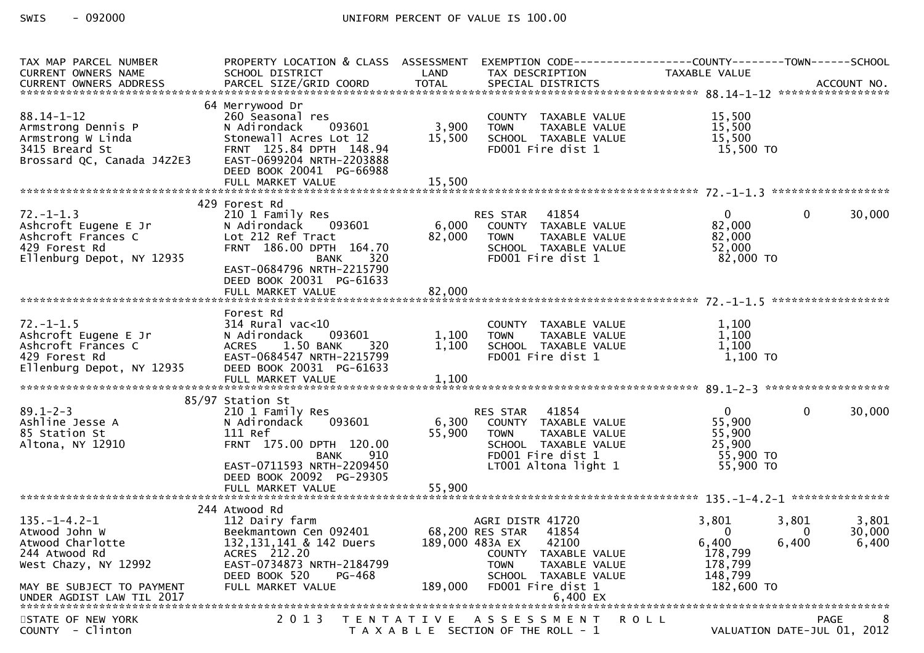| TAX MAP PARCEL NUMBER<br>CURRENT OWNERS NAME<br>CURRENT OWNERS ADDRESS                                                                                       | PROPERTY LOCATION & CLASS ASSESSMENT<br>SCHOOL DISTRICT                                                                                                                                             | LAND                       | TAX DESCRIPTION                                                                                                                                           | EXEMPTION CODE-----------------COUNTY-------TOWN------SCHOOL<br>TAXABLE VALUE                    |                          |
|--------------------------------------------------------------------------------------------------------------------------------------------------------------|-----------------------------------------------------------------------------------------------------------------------------------------------------------------------------------------------------|----------------------------|-----------------------------------------------------------------------------------------------------------------------------------------------------------|--------------------------------------------------------------------------------------------------|--------------------------|
| $88.14 - 1 - 12$<br>Armstrong Dennis P<br>Armstrong W Linda<br>3415 Breard St<br>Brossard QC, Canada J4Z2E3                                                  | 64 Merrywood Dr<br>260 Seasonal res<br>093601<br>N Adirondack<br>Stonewall Acres Lot 12<br>FRNT 125.84 DPTH 148.94<br>EAST-0699204 NRTH-2203888<br>DEED BOOK 20041 PG-66988                         | 3,900<br>15,500            | COUNTY TAXABLE VALUE<br><b>TOWN</b><br>TAXABLE VALUE<br>SCHOOL TAXABLE VALUE<br>FD001 Fire dist 1                                                         | 15,500<br>15,500<br>15,500<br>15,500 TO                                                          |                          |
|                                                                                                                                                              |                                                                                                                                                                                                     |                            |                                                                                                                                                           |                                                                                                  |                          |
| $72. - 1 - 1.3$<br>Ashcroft Eugene E Jr<br>Ashcroft Frances C<br>429 Forest Rd<br>Ellenburg Depot, NY 12935                                                  | 429 Forest Rd<br>210 1 Family Res<br>N Adirondack<br>093601<br>Lot 212 Ref Tract<br>FRNT 186.00 DPTH 164.70<br>320<br><b>BANK</b><br>EAST-0684796 NRTH-2215790<br>DEED BOOK 20031 PG-61633          | 6,000<br>82,000            | 41854<br>RES STAR<br>ES STAR      41854<br>COUNTY    TAXABLE  VALUE<br>TOWN         TAXABLE  VALUE<br>SCHOOL TAXABLE VALUE<br>FD001 Fire dist 1           | $\mathbf{0}$<br>0<br>82,000<br>82,000<br>52,000<br>82,000 TO                                     | 30,000                   |
|                                                                                                                                                              |                                                                                                                                                                                                     |                            |                                                                                                                                                           |                                                                                                  |                          |
| $72. - 1 - 1.5$<br>Ashcroft Eugene E Jr<br>Ashcroft Frances C<br>429 Forest Rd<br>Ellenburg Depot, NY 12935                                                  | Forest Rd<br>$314$ Rural vac<10<br>093601<br>N Adirondack<br>1.50 BANK<br><b>ACRES</b><br>320<br>EAST-0684547 NRTH-2215799<br>DEED BOOK 20031 PG-61633                                              | 1,100<br>1,100             | COUNTY TAXABLE VALUE<br>TAXABLE VALUE<br><b>TOWN</b><br>SCHOOL TAXABLE VALUE<br>FD001 Fire dist 1                                                         | 1,100<br>1,100<br>1,100<br>1,100 TO                                                              |                          |
|                                                                                                                                                              | 85/97 Station St                                                                                                                                                                                    |                            |                                                                                                                                                           |                                                                                                  |                          |
| $89.1 - 2 - 3$<br>Ashline Jesse A<br>85 Station St<br>Altona, NY 12910                                                                                       | 210 1 Family Res<br>093601<br>N Adirondack<br>111 Ref<br>FRNT 175.00 DPTH 120.00<br>910<br>BANK<br>EAST-0711593 NRTH-2209450<br>DEED BOOK 20092 PG-29305                                            | 6,300<br>55,900            | RES STAR 41854<br>ES STAR - 41854<br>COUNTY - TAXABLE VALUE<br>TAXABLE VALUE<br>TOWN<br>SCHOOL TAXABLE VALUE<br>FD001 Fire dist 1<br>LT001 Altona light 1 | $\mathbf{0}$<br>0<br>55,900<br>55,900<br>25,900<br>55,900 TO<br>55,900 TO                        | 30,000                   |
|                                                                                                                                                              | FULL MARKET VALUE                                                                                                                                                                                   | 55,900                     |                                                                                                                                                           |                                                                                                  |                          |
| $135. - 1 - 4.2 - 1$<br>Atwood John W<br>Atwood Charlotte<br>244 Atwood Rd<br>West Chazy, NY 12992<br>MAY BE SUBJECT TO PAYMENT<br>UNDER AGDIST LAW TIL 2017 | 244 Atwood Rd<br>112 Dairy farm<br>Beekmantown Cen 092401 68,200 RES STAR<br>132, 131, 141 & 142 Duers<br>ACRES 212.20<br>EAST-0734873 NRTH-2184799<br>DEED BOOK 520<br>PG-468<br>FULL MARKET VALUE | 189,000 483A EX<br>189,000 | AGRI DISTR 41720<br>41854<br>42100<br>COUNTY TAXABLE VALUE<br>TAXABLE VALUE<br><b>TOWN</b><br>SCHOOL TAXABLE VALUE<br>FD001 Fire dist 1<br>6,400 EX       | 3,801<br>3,801<br>$\Omega$<br>0<br>6,400<br>6,400<br>178,799<br>178,799<br>148,799<br>182,600 TO | 3,801<br>30,000<br>6,400 |
| STATE OF NEW YORK                                                                                                                                            | 2 0 1 3                                                                                                                                                                                             | T E N T A T I V E          | A S S E S S M E N T                                                                                                                                       | R O L L<br>PAGE                                                                                  | 8                        |
| COUNTY - Clinton                                                                                                                                             |                                                                                                                                                                                                     |                            | T A X A B L E SECTION OF THE ROLL - 1                                                                                                                     | VALUATION DATE-JUL 01, 2012                                                                      |                          |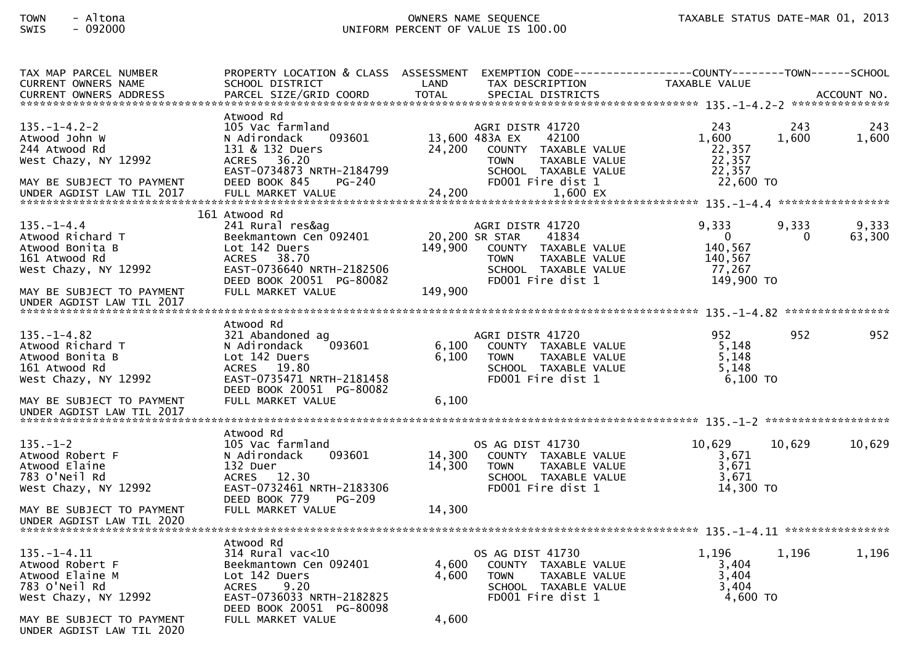| TAX MAP PARCEL NUMBER<br><b>CURRENT OWNERS NAME</b>                                                                                              | PROPERTY LOCATION & CLASS ASSESSMENT EXEMPTION CODE----------------COUNTY--------TOWN------SCHOOL<br>SCHOOL DISTRICT                                        | LAND<br>TAX DESCRIPTION                                      |                                                                                             | TAXABLE VALUE                                                         |              |                 |
|--------------------------------------------------------------------------------------------------------------------------------------------------|-------------------------------------------------------------------------------------------------------------------------------------------------------------|--------------------------------------------------------------|---------------------------------------------------------------------------------------------|-----------------------------------------------------------------------|--------------|-----------------|
| -CURRENT OWNERS ADDRESS PARCEL SIZE/GRID COORD TOTAL SPECIAL DISTRICTS MONERS ADDRESS PARCEL SIZE/GRID COORD TOTAL SPECIAL DISTRICTS ACCOUNT NO. |                                                                                                                                                             |                                                              |                                                                                             |                                                                       |              |                 |
| $135. - 1 - 4.2 - 2$<br>Atwood John W<br>244 Atwood Rd<br>West Chazy, NY 12992<br>MAY BE SUBJECT TO PAYMENT                                      | Atwood Rd<br>105 Vac farmland<br>N Adirondack<br>093601<br>131 & 132 Duers<br><b>ACRES</b><br>36.20<br>EAST-0734873 NRTH-2184799<br>DEED BOOK 845<br>PG-240 | AGRI DISTR 41720<br>13,600 483A EX<br>24,200<br><b>TOWN</b>  | 42100<br>COUNTY TAXABLE VALUE<br>TAXABLE VALUE<br>SCHOOL TAXABLE VALUE<br>FD001 Fire dist 1 | 243<br>1,600<br>22,357<br>22,357<br>22,357<br>22,600 TO               | 243<br>1,600 | 243<br>1,600    |
|                                                                                                                                                  | 161 Atwood Rd                                                                                                                                               |                                                              |                                                                                             |                                                                       |              |                 |
| $135. - 1 - 4.4$<br>Atwood Richard T<br>Atwood Bonita B<br>161 Atwood Rd<br>West Chazy, NY 12992                                                 | 241 Rural res&ag<br>Beekmantown Cen 092401<br>Lot 142 Duers<br><b>ACRES</b><br>38.70<br>EAST-0736640 NRTH-2182506<br>DEED BOOK 20051 PG-80082               | AGRI DISTR 41720<br>20,200 SR STAR<br>149,900<br><b>TOWN</b> | 41834<br>COUNTY TAXABLE VALUE<br>TAXABLE VALUE<br>SCHOOL TAXABLE VALUE<br>FD001 Fire dist 1 | 9,333<br>$\overline{0}$<br>140,567<br>140,567<br>77.267<br>149,900 TO | 9.333<br>0   | 9,333<br>63,300 |
| MAY BE SUBJECT TO PAYMENT<br>UNDER AGDIST LAW TIL 2017                                                                                           | FULL MARKET VALUE                                                                                                                                           | 149,900                                                      |                                                                                             |                                                                       |              |                 |
|                                                                                                                                                  | Atwood Rd                                                                                                                                                   |                                                              |                                                                                             |                                                                       |              |                 |
| $135. - 1 - 4.82$<br>Atwood Richard T<br>Atwood Bonita B<br>161 Atwood Rd<br>West Chazy, NY 12992                                                | 321 Abandoned ag<br>093601<br>N Adirondack<br>Lot 142 Duers<br>ACRES 19.80<br>EAST-0735471 NRTH-2181458<br>DEED BOOK 20051 PG-80082                         | AGRI DISTR 41720<br>6,100<br>6,100<br><b>TOWN</b>            | COUNTY TAXABLE VALUE<br>TAXABLE VALUE<br>SCHOOL TAXABLE VALUE<br>FD001 Fire dist 1          | 952<br>5,148<br>5,148<br>5.148<br>6,100 TO                            | 952          | 952             |
| MAY BE SUBJECT TO PAYMENT<br>UNDER AGDIST LAW TIL 2017                                                                                           | FULL MARKET VALUE                                                                                                                                           | 6,100                                                        |                                                                                             |                                                                       |              |                 |
|                                                                                                                                                  | Atwood Rd                                                                                                                                                   |                                                              |                                                                                             |                                                                       |              |                 |
| $135. - 1 - 2$<br>Atwood Robert F<br>Atwood Elaine<br>783 O'Neil Rd<br>West Chazy, NY 12992                                                      | 105 Vac farmland<br>N Adirondack<br>093601<br>132 Duer<br>ACRES 12.30<br>EAST-0732461 NRTH-2183306<br>DEED BOOK 779<br><b>PG-209</b>                        | OS AG DIST 41730<br>14,300<br>14,300<br><b>TOWN</b>          | COUNTY TAXABLE VALUE<br>TAXABLE VALUE<br>SCHOOL TAXABLE VALUE<br>FD001 Fire dist 1          | 10,629<br>3,671<br>3,671<br>3,671<br>14,300 TO                        | 10,629       | 10,629          |
| MAY BE SUBJECT TO PAYMENT<br>UNDER AGDIST LAW TIL 2020                                                                                           | FULL MARKET VALUE                                                                                                                                           | 14,300                                                       |                                                                                             |                                                                       |              |                 |
|                                                                                                                                                  | Atwood Rd                                                                                                                                                   |                                                              |                                                                                             |                                                                       |              |                 |
| $135. - 1 - 4.11$<br>Atwood Robert F<br>Atwood Elaine M<br>783 O'Neil Rd<br>West Chazy, NY 12992                                                 | $314$ Rural vac<10<br>Beekmantown Cen 092401<br>Lot 142 Duers<br>9.20<br><b>ACRES</b><br>EAST-0736033 NRTH-2182825<br>DEED BOOK 20051 PG-80098              | OS AG DIST 41730<br>4,600<br>4.600<br><b>TOWN</b>            | COUNTY TAXABLE VALUE<br>TAXABLE VALUE<br>SCHOOL TAXABLE VALUE<br>FD001 Fire dist 1          | 1,196<br>3,404<br>3,404<br>3,404<br>$4,600$ TO                        | 1,196        | 1,196           |
| MAY BE SUBJECT TO PAYMENT<br>UNDER AGDIST LAW TIL 2020                                                                                           | FULL MARKET VALUE                                                                                                                                           | 4,600                                                        |                                                                                             |                                                                       |              |                 |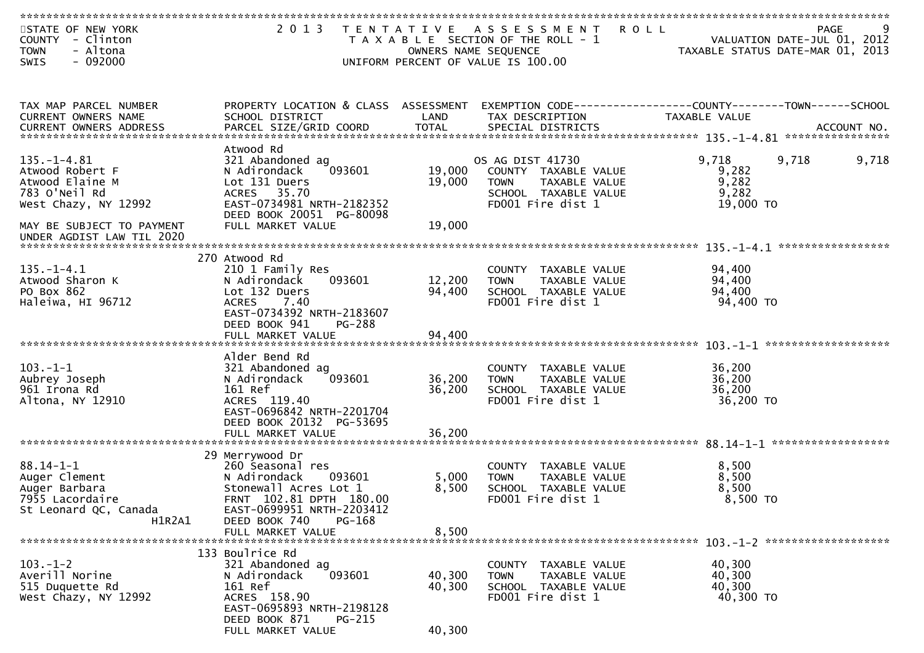| STATE OF NEW YORK<br>COUNTY<br>- Clinton<br>- Altona<br><b>TOWN</b> | 2 0 1 3<br>T E N T A T I V E                                | OWNERS NAME SEQUENCE | A S S E S S M E N T<br><b>ROLL</b><br>T A X A B L E SECTION OF THE ROLL - 1      | VALUATION DATE-JUL 01, 2012<br>TAXABLE STATUS DATE-MAR 01, 2013 | <b>PAGE</b>        |
|---------------------------------------------------------------------|-------------------------------------------------------------|----------------------|----------------------------------------------------------------------------------|-----------------------------------------------------------------|--------------------|
| SWIS<br>$-092000$                                                   |                                                             |                      | UNIFORM PERCENT OF VALUE IS 100.00                                               |                                                                 |                    |
|                                                                     |                                                             |                      |                                                                                  |                                                                 |                    |
| TAX MAP PARCEL NUMBER<br>CURRENT OWNERS NAME                        | PROPERTY LOCATION & CLASS ASSESSMENT<br>SCHOOL DISTRICT     | LAND                 | EXEMPTION CODE-----------------COUNTY--------TOWN------SCHOOL<br>TAX DESCRIPTION | TAXABLE VALUE                                                   |                    |
| <b>CURRENT OWNERS ADDRESS</b>                                       |                                                             |                      |                                                                                  |                                                                 |                    |
| 135. – 1–4.81                                                       | Atwood Rd<br>321 Abandoned ag                               |                      | OS AG DIST 41730                                                                 | 9,718<br>9,718                                                  | 9,718              |
| Atwood Robert F                                                     | 093601<br>N Adirondack                                      | 19,000               | COUNTY TAXABLE VALUE                                                             | 9,282                                                           |                    |
| Atwood Elaine M                                                     | Lot 131 Duers                                               | 19,000               | TAXABLE VALUE<br><b>TOWN</b>                                                     | 9,282                                                           |                    |
| 783 O'Neil Rd<br>West Chazy, NY 12992                               | 35.70<br><b>ACRES</b><br>EAST-0734981 NRTH-2182352          |                      | SCHOOL TAXABLE VALUE<br>FD001 Fire dist 1                                        | 9,282<br>19,000 TO                                              |                    |
|                                                                     | DEED BOOK 20051 PG-80098                                    |                      |                                                                                  |                                                                 |                    |
| MAY BE SUBJECT TO PAYMENT<br>UNDER AGDIST LAW TIL 2020              | FULL MARKET VALUE                                           | 19,000               |                                                                                  |                                                                 |                    |
|                                                                     |                                                             |                      |                                                                                  |                                                                 |                    |
| $135. - 1 - 4.1$                                                    | 270 Atwood Rd<br>210 1 Family Res                           |                      | COUNTY TAXABLE VALUE                                                             | 94,400                                                          |                    |
| Atwood Sharon K                                                     | 093601<br>N Adirondack                                      | 12,200               | TAXABLE VALUE<br><b>TOWN</b>                                                     | 94,400                                                          |                    |
| PO Box 862                                                          | Lot 132 Duers                                               | 94,400               | SCHOOL TAXABLE VALUE                                                             | 94,400                                                          |                    |
| Haleiwa, HI 96712                                                   | <b>ACRES</b><br>7.40                                        |                      | FD001 Fire dist 1                                                                | 94,400 TO                                                       |                    |
|                                                                     | EAST-0734392 NRTH-2183607<br>DEED BOOK 941<br><b>PG-288</b> |                      |                                                                                  |                                                                 |                    |
|                                                                     |                                                             |                      |                                                                                  |                                                                 |                    |
|                                                                     |                                                             |                      |                                                                                  |                                                                 |                    |
|                                                                     | Alder Bend Rd                                               |                      |                                                                                  |                                                                 |                    |
| $103 - 1 - 1$                                                       | 321 Abandoned ag                                            |                      | COUNTY TAXABLE VALUE                                                             | 36,200                                                          |                    |
| Aubrey Joseph                                                       | N Adirondack<br>093601                                      | 36,200               | TAXABLE VALUE<br><b>TOWN</b>                                                     | 36,200                                                          |                    |
| 961 Irona Rd<br>Altona, NY 12910                                    | 161 Ref<br>ACRES 119.40                                     | 36,200               | SCHOOL TAXABLE VALUE<br>FD001 Fire dist 1                                        | 36,200<br>36,200 TO                                             |                    |
|                                                                     | EAST-0696842 NRTH-2201704                                   |                      |                                                                                  |                                                                 |                    |
|                                                                     | DEED BOOK 20132 PG-53695                                    |                      |                                                                                  |                                                                 |                    |
|                                                                     |                                                             |                      |                                                                                  |                                                                 |                    |
|                                                                     | 29 Merrywood Dr                                             |                      |                                                                                  |                                                                 | ****************** |
| $88.14 - 1 - 1$                                                     | 260 Seasonal res                                            |                      | COUNTY TAXABLE VALUE                                                             | 8,500                                                           |                    |
| Auger Clement                                                       | N Adirondack<br>093601                                      | 5,000                | TAXABLE VALUE<br><b>TOWN</b>                                                     | 8,500                                                           |                    |
| Auger Barbara                                                       | Stonewall Acres Lot 1                                       | 8,500                | SCHOOL TAXABLE VALUE                                                             | 8,500                                                           |                    |
| 7955 Lacordaire                                                     | FRNT 102.81 DPTH 180.00                                     |                      | FD001 Fire dist 1                                                                | 8,500 TO                                                        |                    |
| St Leonard QC, Canada<br>H1R2A1                                     | EAST-0699951 NRTH-2203412<br>PG-168                         |                      |                                                                                  |                                                                 |                    |
|                                                                     | DEED BOOK 740<br>FULL MARKET VALUE                          | 8,500                |                                                                                  |                                                                 |                    |
|                                                                     |                                                             |                      |                                                                                  |                                                                 |                    |
|                                                                     | 133 Boulrice Rd                                             |                      |                                                                                  |                                                                 |                    |
| $103. - 1 - 2$                                                      | 321 Abandoned ag                                            |                      | COUNTY TAXABLE VALUE                                                             | 40,300                                                          |                    |
| Averill Norine<br>515 Duquette Rd                                   | 093601<br>N Adirondack<br>161 Ref                           | 40,300               | TAXABLE VALUE<br><b>TOWN</b>                                                     | 40,300<br>40,300                                                |                    |
| West Chazy, NY 12992                                                | ACRES 158.90                                                | 40,300               | SCHOOL TAXABLE VALUE<br>FD001 Fire dist 1                                        | 40,300 TO                                                       |                    |
|                                                                     | EAST-0695893 NRTH-2198128                                   |                      |                                                                                  |                                                                 |                    |
|                                                                     | DEED BOOK 871<br>PG-215                                     |                      |                                                                                  |                                                                 |                    |
|                                                                     | FULL MARKET VALUE                                           | 40,300               |                                                                                  |                                                                 |                    |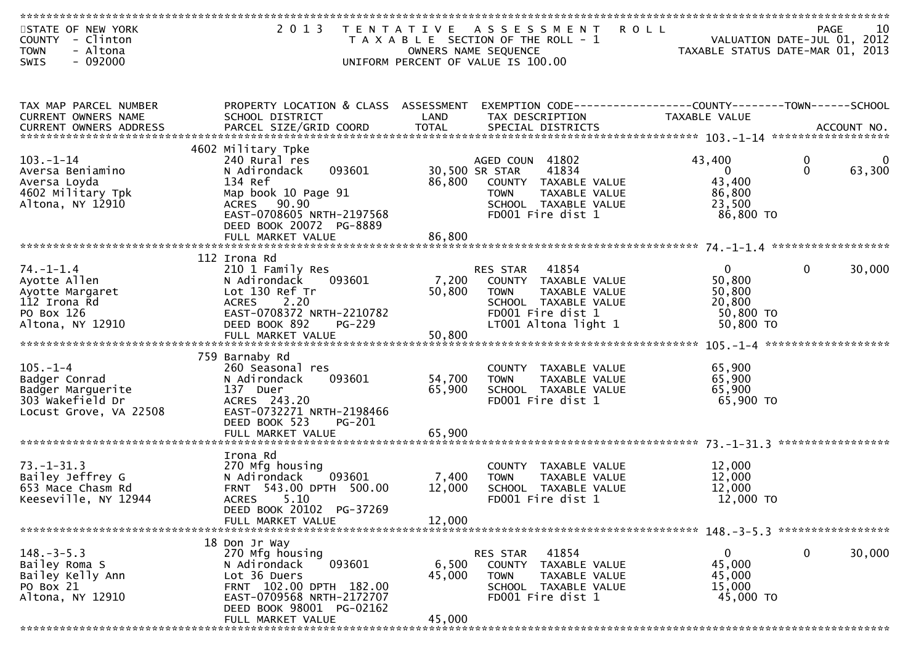| STATE OF NEW YORK       | 2 0 1 3                              |        | TENTATIVE ASSESSMENT<br><b>ROLL</b>                          |                                  | PAGE<br>10             |
|-------------------------|--------------------------------------|--------|--------------------------------------------------------------|----------------------------------|------------------------|
| COUNTY - Clinton        |                                      |        | T A X A B L E SECTION OF THE ROLL - 1                        | VALUATION DATE-JUL 01, 2012      |                        |
| - Altona<br><b>TOWN</b> |                                      |        | OWNERS NAME SEQUENCE                                         | TAXABLE STATUS DATE-MAR 01, 2013 |                        |
| $-092000$<br>SWIS       |                                      |        | UNIFORM PERCENT OF VALUE IS 100.00                           |                                  |                        |
|                         |                                      |        |                                                              |                                  |                        |
|                         |                                      |        |                                                              |                                  |                        |
|                         |                                      |        |                                                              |                                  |                        |
| TAX MAP PARCEL NUMBER   | PROPERTY LOCATION & CLASS ASSESSMENT |        | EXEMPTION CODE-----------------COUNTY-------TOWN------SCHOOL |                                  |                        |
|                         |                                      |        |                                                              | <b>TAXABLE VALUE</b>             |                        |
| CURRENT OWNERS NAME     | SCHOOL DISTRICT                      | LAND   | TAX DESCRIPTION                                              |                                  |                        |
| CURRENT OWNERS ADDRESS  |                                      |        |                                                              |                                  |                        |
|                         |                                      |        |                                                              |                                  |                        |
|                         | 4602 Military Tpke                   |        |                                                              |                                  |                        |
| $103. - 1 - 14$         | 240 Rural res                        |        | AGED COUN 41802                                              | 43,400                           | 0<br>0                 |
| Aversa Beniamino        | 093601<br>N Adirondack               |        | 30,500 SR STAR<br>41834                                      | $\mathbf{0}$                     | $\mathbf{0}$<br>63,300 |
| Aversa Loyda            | 134 Ref                              | 86,800 | COUNTY TAXABLE VALUE                                         | 43,400                           |                        |
| 4602 Military Tpk       | Map book 10 Page 91                  |        | <b>TOWN</b><br>TAXABLE VALUE                                 | 86,800                           |                        |
| Altona, NY 12910        | ACRES 90.90                          |        | SCHOOL TAXABLE VALUE                                         | 23,500                           |                        |
|                         | EAST-0708605 NRTH-2197568            |        | FD001 Fire dist 1                                            | 86,800 TO                        |                        |
|                         | DEED BOOK 20072 PG-8889              |        |                                                              |                                  |                        |
|                         | FULL MARKET VALUE                    | 86,800 |                                                              |                                  |                        |
|                         |                                      |        |                                                              |                                  |                        |
|                         | 112 Irona Rd                         |        |                                                              |                                  |                        |
| $74. - 1 - 1.4$         |                                      |        | 41854<br>RES STAR                                            | $\overline{0}$                   | 0<br>30,000            |
|                         | 210 1 Family Res                     |        |                                                              |                                  |                        |
| Ayotte Allen            | N Adirondack<br>093601               | 7,200  | COUNTY TAXABLE VALUE                                         | 50,800                           |                        |
| Ayotte Margaret         | Lot 130 Ref Tr                       | 50,800 | TAXABLE VALUE<br><b>TOWN</b>                                 | 50,800                           |                        |
| 112 Irona Rd            | 2.20<br><b>ACRES</b>                 |        | SCHOOL TAXABLE VALUE                                         | 20,800                           |                        |
| PO Box 126              | EAST-0708372 NRTH-2210782            |        | FD001 Fire dist 1                                            | 50,800 TO                        |                        |
| Altona, NY 12910        | DEED BOOK 892<br>PG-229              |        | LT001 Altona light 1                                         | 50,800 TO                        |                        |
|                         |                                      |        |                                                              |                                  |                        |
|                         |                                      |        |                                                              |                                  |                        |
|                         | 759 Barnaby Rd                       |        |                                                              |                                  |                        |
| $105. - 1 - 4$          | 260 Seasonal res                     |        | COUNTY TAXABLE VALUE                                         | 65,900                           |                        |
| Badger Conrad           | 093601<br>N Adirondack               | 54,700 | TAXABLE VALUE<br><b>TOWN</b>                                 | 65,900                           |                        |
| Badger Marguerite       | 137 Duer                             | 65,900 | SCHOOL TAXABLE VALUE                                         | 65,900                           |                        |
| 303 Wakefield Dr        | ACRES 243.20                         |        | FD001 Fire dist 1                                            | 65,900 TO                        |                        |
|                         |                                      |        |                                                              |                                  |                        |
| Locust Grove, VA 22508  | EAST-0732271 NRTH-2198466            |        |                                                              |                                  |                        |
|                         | DEED BOOK 523<br>PG-201              |        |                                                              |                                  |                        |
|                         |                                      |        |                                                              |                                  |                        |
|                         |                                      |        |                                                              |                                  |                        |
|                         | Irona Rd                             |        |                                                              |                                  |                        |
| $73. - 1 - 31.3$        | 270 Mfg housing                      |        | COUNTY TAXABLE VALUE                                         | 12,000                           |                        |
| Bailey Jeffrey G        | N Adirondack<br>093601               | 7,400  | <b>TOWN</b><br>TAXABLE VALUE                                 | 12,000                           |                        |
| 653 Mace Chasm Rd       | FRNT 543.00 DPTH 500.00              | 12,000 | SCHOOL TAXABLE VALUE                                         | 12,000                           |                        |
| Keeseville, NY 12944    | 5.10<br><b>ACRES</b>                 |        | FD001 Fire dist 1                                            | 12,000 TO                        |                        |
|                         | DEED BOOK 20102 PG-37269             |        |                                                              |                                  |                        |
|                         | FULL MARKET VALUE                    | 12,000 |                                                              |                                  |                        |
|                         |                                      |        |                                                              |                                  |                        |
|                         | 18 Don Jr Way                        |        |                                                              |                                  |                        |
| $148. - 3 - 5.3$        | 270 Mfg housing                      |        | 41854<br>RES STAR                                            | 0                                | 0<br>30,000            |
| Bailey Roma S           | 093601<br>N Adirondack               | 6,500  | COUNTY TAXABLE VALUE                                         | 45,000                           |                        |
|                         | Lot 36 Duers                         |        |                                                              |                                  |                        |
| Bailey Kelly Ann        |                                      | 45,000 | <b>TOWN</b><br>TAXABLE VALUE                                 | 45,000                           |                        |
| PO Box 21               | FRNT 102.00 DPTH 182.00              |        | SCHOOL TAXABLE VALUE                                         | 15,000                           |                        |
| Altona, NY 12910        | EAST-0709568 NRTH-2172707            |        | FD001 Fire dist 1                                            | 45,000 TO                        |                        |
|                         | DEED BOOK 98001 PG-02162             |        |                                                              |                                  |                        |
|                         | FULL MARKET VALUE                    | 45,000 |                                                              |                                  |                        |
|                         |                                      |        |                                                              |                                  |                        |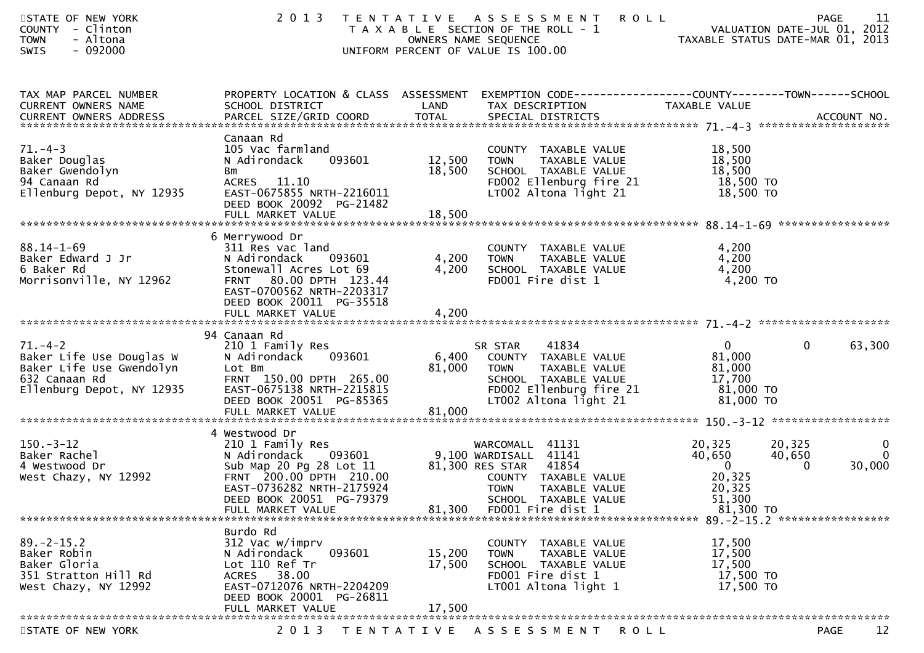| STATE OF NEW YORK<br>COUNTY - Clinton<br><b>TOWN</b><br>- Altona<br>- 092000<br><b>SWIS</b>                         |                                                                                                                                                                                  | 2013 TENTATIVE ASSESSMENT<br>T A X A B L E SECTION OF THE ROLL - 1<br>OWNERS NAME SEQUENCE<br>UNIFORM PERCENT OF VALUE IS 100.00                                                                     | <b>ROLL</b><br>11<br><b>PAGE</b><br>ROLL - 1<br>TAXABLE STATUS DATE-JUL 01, 2012<br>Co. 2013                                                                                                                                             |
|---------------------------------------------------------------------------------------------------------------------|----------------------------------------------------------------------------------------------------------------------------------------------------------------------------------|------------------------------------------------------------------------------------------------------------------------------------------------------------------------------------------------------|------------------------------------------------------------------------------------------------------------------------------------------------------------------------------------------------------------------------------------------|
| TAX MAP PARCEL NUMBER<br>CURRENT OWNERS NAME                                                                        | SCHOOL DISTRICT                                                                                                                                                                  | LAND<br>TAX DESCRIPTION                                                                                                                                                                              | PROPERTY LOCATION & CLASS ASSESSMENT EXEMPTION CODE----------------COUNTY-------TOWN------SCHOOL<br>TAXABLE VALUE<br>. CURRENT OWNERS ADDRESS PARCEL SIZE/GRID COORD TOTAL SPECIAL DISTRICTS ACCOUNT NO ACCOUNT NO ACCOUNT NO ACCOUNT NO |
| $71. - 4 - 3$<br>Baker Douglas<br>Baker Gwendolyn<br>94 Canaan Rd<br>Ellenburg Depot, NY 12935                      | Canaan Rd<br>105 Vac farmland<br>093601<br>N Adirondack<br>Bm<br>ACRES 11.10<br>EAST-0675855 NRTH-2216011<br>DEED BOOK 20092 PG-21482<br>FULL MARKET VALUE                       | COUNTY TAXABLE VALUE<br>12,500<br>TAXABLE VALUE<br>TOWN<br>18,500<br>SCHOOL TAXABLE VALUE<br>FD002 Ellenburg fire 21<br>LT002 Altona light 21<br>18,500                                              | 18,500<br>18,500<br>18,500<br>18,500 TO<br>18,500 TO                                                                                                                                                                                     |
| $88.14 - 1 - 69$<br>Baker Edward J Jr<br>6 Baker Rd<br>Morrisonville, NY 12962                                      | 6 Merrywood Dr<br>311 Res vac land<br>N Adirondack 093601<br>Stonewall Acres Lot 69<br>80.00 DPTH 123.44<br><b>FRNT</b><br>EAST-0700562 NRTH-2203317<br>DEED BOOK 20011 PG-35518 | COUNTY TAXABLE VALUE<br>4,200<br><b>TOWN</b><br><br>TAXABLE VALUE<br>TAXABLE VALUE<br>4,200<br>SCHOOL TAXABLE VALUE<br>FD001 Fire dist 1                                                             | 4,200<br>4,200<br>4,200<br>4,200 TO                                                                                                                                                                                                      |
| $71. - 4 - 2$<br>Baker Life Use Douglas W<br>Baker Life Use Gwendolyn<br>632 Canaan Rd<br>Ellenburg Depot, NY 12935 | 94 Canaan Rd<br>210 1 Family Res<br>N Adirondack 093601<br>Lot Bm<br>FRNT 150.00 DPTH 265.00<br>EAST-0675138 NRTH-2215815<br>DEED BOOK 20051 PG-85365                            | 41834<br>SR STAR<br>6,400 COUNTY TAXABLE VALUE<br>81,000<br>TAXABLE VALUE<br>TOWN<br>SCHOOL TAXABLE VALUE<br>FDOO2 Ellenburg fire 21<br>LTOC2 :<br>LT002 Altona light 21                             | $\mathbf{0}$<br>$\mathbf{0}$<br>63,300<br>81,000<br>81,000<br>17,700<br>81,000 TO<br>81,000 TO                                                                                                                                           |
| $150 - 3 - 12$<br>Baker Rachel<br>4 Westwood Dr<br>West Chazy, NY 12992                                             | 4 Westwood Dr<br>210 1 Family Res<br>$\frac{1}{20}$ Pg 28 Lot 11<br>FRNT 200.00 DPTH 210.00<br>EAST-0736282 NRTH-2175924<br>DEED BOOK 20051 PG-79379<br>FULL MARKET VALUE        | WARCOMALL 41131<br>N Adirondack 093601 9,100 WARDISALL 41141<br>81,300 RES STAR 41854<br>COUNTY TAXABLE VALUE<br><b>TOWN</b><br>TAXABLE VALUE<br>SCHOOL TAXABLE VALUE<br>81,300<br>FD001 Fire dist 1 | 20,325<br>$\mathbf{0}$<br>20,325<br>40,650<br>40,650<br>$\Omega$<br>$\overline{\mathbf{0}}$<br>30,000<br>$\Omega$<br>20,325<br>20,325<br>51,300<br>81,300 TO                                                                             |
| $89 - 2 - 15.2$<br>Baker Robin<br>Baker Gloria<br>351 Stratton Hill Rd<br>West Chazy, NY 12992                      | Burdo Rd<br>312 Vac w/imprv<br>093601<br>N Adirondack<br>Lot 110 Ref Tr<br>ACRES 38.00<br>EAST-0712076 NRTH-2204209<br>DEED BOOK 20001 PG-26811<br>FULL MARKET VALUE             | COUNTY TAXABLE VALUE<br>15,200<br>TAXABLE VALUE<br><b>TOWN</b><br>17,500<br>SCHOOL TAXABLE VALUE<br>FD001 Fire dist 1<br>LT001 Altona light 1<br>17,500                                              | 17,500<br>17,500<br>17,500<br>17,500 TO<br>17,500 TO                                                                                                                                                                                     |
| STATE OF NEW YORK                                                                                                   | 2013                                                                                                                                                                             | TENTATIVE ASSESSMENT                                                                                                                                                                                 | 12<br><b>ROLL</b><br><b>PAGE</b>                                                                                                                                                                                                         |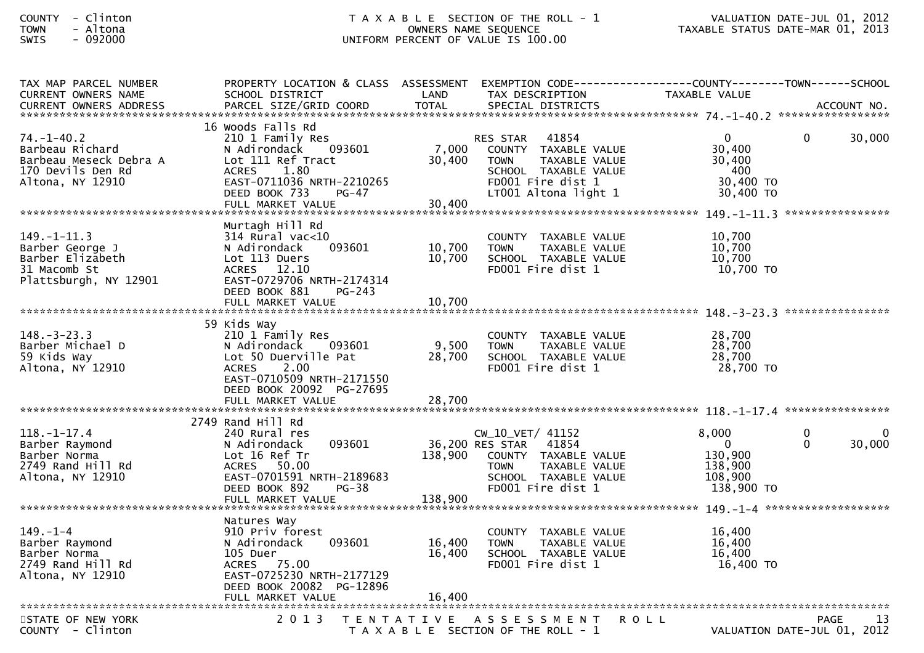| TAX MAP PARCEL NUMBER<br><b>CURRENT OWNERS NAME</b>                                                    | PROPERTY LOCATION & CLASS ASSESSMENT<br>SCHOOL DISTRICT                                                                                                                    | LAND               | EXEMPTION CODE-----------------COUNTY--------TOWN-----SCHOOL<br>TAX DESCRIPTION                                                                       | <b>TAXABLE VALUE</b>                                              |                      |        |
|--------------------------------------------------------------------------------------------------------|----------------------------------------------------------------------------------------------------------------------------------------------------------------------------|--------------------|-------------------------------------------------------------------------------------------------------------------------------------------------------|-------------------------------------------------------------------|----------------------|--------|
|                                                                                                        |                                                                                                                                                                            |                    |                                                                                                                                                       |                                                                   |                      |        |
| $74. - 1 - 40.2$<br>Barbeau Richard<br>Barbeau Meseck Debra A<br>170 Devils Den Rd<br>Altona, NY 12910 | 16 Woods Falls Rd<br>210 1 Family Res<br>N Adirondack<br>093601<br>Lot 111 Ref Tract<br>1.80<br><b>ACRES</b><br>EAST-0711036 NRTH-2210265<br>DEED BOOK 733<br><b>PG-47</b> | 7,000<br>30,400    | 41854<br><b>RES STAR</b><br>COUNTY TAXABLE VALUE<br>TAXABLE VALUE<br><b>TOWN</b><br>SCHOOL TAXABLE VALUE<br>FD001 Fire dist 1<br>LT001 Altona light 1 | $\mathbf{0}$<br>30,400<br>30,400<br>400<br>30,400 TO<br>30,400 TO | $\Omega$             | 30,000 |
| $149. - 1 - 11.3$<br>Barber George J<br>Barber Elizabeth<br>31 Macomb St<br>Plattsburgh, NY 12901      | Murtagh Hill Rd<br>$314$ Rural vac< $10$<br>093601<br>N Adirondack<br>Lot 113 Duers<br>ACRES 12.10<br>EAST-0729706 NRTH-2174314<br>DEED BOOK 881<br>$PG-243$               | 10,700<br>10,700   | COUNTY TAXABLE VALUE<br><b>TOWN</b><br>TAXABLE VALUE<br>SCHOOL TAXABLE VALUE<br>FD001 Fire dist 1                                                     | 10,700<br>10,700<br>10.700<br>10,700 TO                           |                      |        |
|                                                                                                        | 59 Kids Way                                                                                                                                                                |                    |                                                                                                                                                       |                                                                   |                      |        |
| $148. - 3 - 23.3$<br>Barber Michael D<br>59 Kids Way<br>Altona, NY 12910                               | 210 1 Family Res<br>N Adirondack 093601<br>Lot 50 Duerville Pat<br>2.00<br><b>ACRES</b><br>EAST-0710509 NRTH-2171550<br>DEED BOOK 20092 PG-27695                           | 9,500<br>28,700    | COUNTY TAXABLE VALUE<br><b>TOWN</b><br>TAXABLE VALUE<br>SCHOOL TAXABLE VALUE<br>FD001 Fire dist 1                                                     | 28,700<br>28,700<br>28,700<br>28,700 TO                           |                      |        |
|                                                                                                        |                                                                                                                                                                            |                    |                                                                                                                                                       |                                                                   |                      |        |
|                                                                                                        | 2749 Rand Hill Rd                                                                                                                                                          |                    |                                                                                                                                                       |                                                                   |                      |        |
| $118. - 1 - 17.4$<br>Barber Raymond<br>Barber Norma<br>$2749$ Rand Hill Rd<br>Altona, NY 12910         | 240 Rural res<br>093601<br>N Adirondack<br>Lot 16 Ref Tr<br>50.00<br>ACRES<br>EAST-0701591 NRTH-2189683<br>DEED BOOK 892<br>$PG-38$<br>FULL MARKET VALUE                   | 138,900<br>138,900 | CW_10_VET/ 41152<br>41854<br>36,200 RES STAR<br>COUNTY TAXABLE VALUE<br><b>TOWN</b><br>TAXABLE VALUE<br>SCHOOL TAXABLE VALUE<br>FD001 Fire dist 1     | 8,000<br>- 0<br>130,900<br>138,900<br>108,900<br>138,900 TO       | $\Omega$<br>$\Omega$ | 30,000 |
|                                                                                                        | Natures Way                                                                                                                                                                |                    |                                                                                                                                                       |                                                                   |                      |        |
| $149. - 1 - 4$<br>Barber Raymond<br>Barber Norma<br>2749 Rand Hill Rd<br>Altona, NY 12910              | 910 Priv forest<br>N Adirondack<br>093601<br>105 Duer<br>ACRES 75.00<br>EAST-0725230 NRTH-2177129<br>DEED BOOK 20082 PG-12896                                              | 16,400<br>16,400   | COUNTY TAXABLE VALUE<br><b>TOWN</b><br>TAXABLE VALUE<br>SCHOOL TAXABLE VALUE<br>FD001 Fire dist 1                                                     | 16,400<br>16,400<br>16.400<br>16,400 TO                           |                      |        |
|                                                                                                        |                                                                                                                                                                            |                    |                                                                                                                                                       |                                                                   |                      |        |
| STATE OF NEW YORK<br>COUNTY - Clinton                                                                  | 2 0 1 3                                                                                                                                                                    |                    | TENTATIVE ASSESSMENT<br>T A X A B L E SECTION OF THE ROLL - 1                                                                                         | <b>ROLL</b><br>VALUATION DATE-JUL 01, 2012                        | PAGE                 | 13     |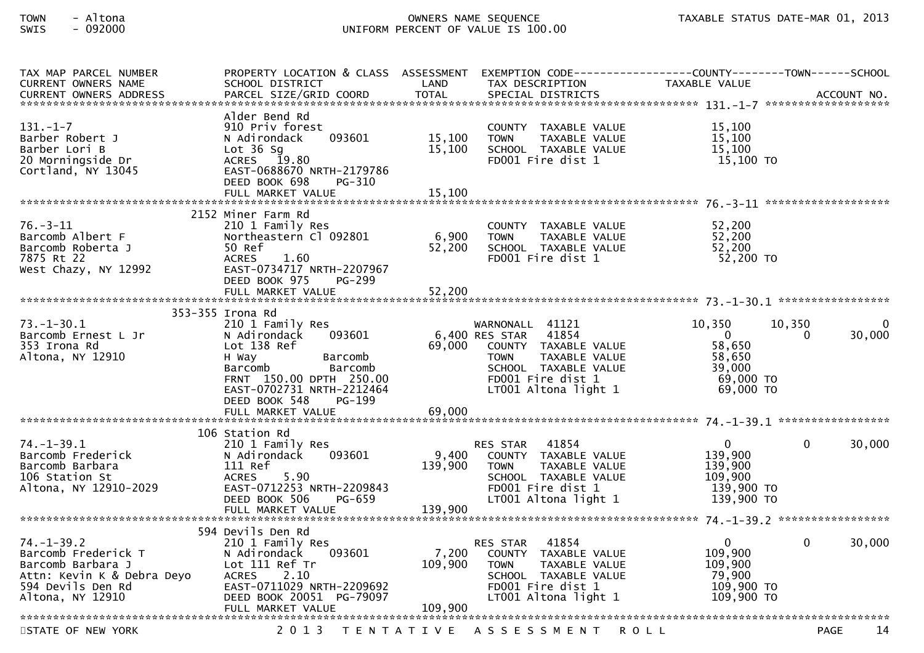| TAX MAP PARCEL NUMBER<br><b>CURRENT OWNERS NAME</b><br><b>CURRENT OWNERS ADDRESS</b>                                                | PROPERTY LOCATION & CLASS ASSESSMENT<br>SCHOOL DISTRICT<br>PARCEL SIZE/GRID COORD                                                                                                      | LAND<br><b>TOTAL</b>        | EXEMPTION        CODE------------------COUNTY-------TOWN------SCHOOL<br>TAX DESCRIPTION<br>SPECIAL DISTRICTS                                                            | TAXABLE VALUE                                                                    | ACCOUNT NO.                              |
|-------------------------------------------------------------------------------------------------------------------------------------|----------------------------------------------------------------------------------------------------------------------------------------------------------------------------------------|-----------------------------|-------------------------------------------------------------------------------------------------------------------------------------------------------------------------|----------------------------------------------------------------------------------|------------------------------------------|
| $131 - 1 - 7$<br>Barber Robert J<br>Barber Lori B<br>20 Morningside Dr<br>Cortland, NY 13045                                        | Alder Bend Rd<br>910 Priv forest<br>N Adirondack<br>093601<br>Lot $36$ Sq<br>19.80<br>ACRES<br>EAST-0688670 NRTH-2179786<br>DEED BOOK 698<br>PG-310<br>FULL MARKET VALUE               | 15,100<br>15,100<br>15,100  | COUNTY TAXABLE VALUE<br>TAXABLE VALUE<br><b>TOWN</b><br>SCHOOL TAXABLE VALUE<br>FD001 Fire dist 1                                                                       | 15,100<br>15,100<br>15,100<br>15,100 TO                                          |                                          |
|                                                                                                                                     |                                                                                                                                                                                        |                             |                                                                                                                                                                         |                                                                                  |                                          |
| $76. - 3 - 11$<br>Barcomb Albert F<br>Barcomb Roberta J<br>7875 Rt 22<br>West Chazy, NY 12992                                       | 2152 Miner Farm Rd<br>210 1 Family Res<br>Northeastern Cl 092801<br>50 Ref<br>1.60<br><b>ACRES</b><br>EAST-0734717 NRTH-2207967<br>DEED BOOK 975<br>PG-299                             | 6,900<br>52,200             | COUNTY TAXABLE VALUE<br><b>TOWN</b><br>TAXABLE VALUE<br>SCHOOL TAXABLE VALUE<br>FD001 Fire dist 1                                                                       | 52,200<br>52,200<br>52,200<br>52,200 TO                                          |                                          |
|                                                                                                                                     | FULL MARKET VALUE                                                                                                                                                                      | 52,200                      |                                                                                                                                                                         |                                                                                  |                                          |
|                                                                                                                                     | 353-355 Irona Rd                                                                                                                                                                       |                             |                                                                                                                                                                         |                                                                                  |                                          |
| $73. - 1 - 30.1$<br>Barcomb Ernest L Jr<br>353 Irona Rd<br>Altona, NY 12910                                                         | 210 1 Family Res<br>N Adirondack<br>093601<br>Lot 138 Ref<br>H Way<br>Barcomb<br>Barcomb<br>Barcomb<br>FRNT 150.00 DPTH 250.00<br>EAST-0702731 NRTH-2212464<br>DEED BOOK 548<br>PG-199 | 69,000                      | WARNONALL 41121<br>6,400 RES STAR<br>41854<br>COUNTY TAXABLE VALUE<br>TAXABLE VALUE<br><b>TOWN</b><br>SCHOOL TAXABLE VALUE<br>FD001 Fire dist 1<br>LT001 Altona light 1 | 10,350<br>$\overline{0}$<br>58,650<br>58,650<br>39,000<br>69,000 TO<br>69,000 TO | 10,350<br>$\Omega$<br>30,000<br>$\Omega$ |
|                                                                                                                                     | FULL MARKET VALUE                                                                                                                                                                      | 69,000                      |                                                                                                                                                                         |                                                                                  |                                          |
| $74. - 1 - 39.1$<br>Barcomb Frederick<br>Barcomb Barbara<br>106 Station St<br>Altona, NY 12910-2029                                 | 106 Station Rd<br>210 1 Family Res<br>093601<br>N Adirondack<br>111 Ref<br>5.90<br><b>ACRES</b><br>EAST-0712253 NRTH-2209843<br>DEED BOOK 506<br>PG-659<br>FULL MARKET VALUE           | 9,400<br>139,900<br>139,900 | 41854<br><b>RES STAR</b><br>COUNTY TAXABLE VALUE<br><b>TOWN</b><br>TAXABLE VALUE<br>SCHOOL TAXABLE VALUE<br>FD001 Fire dist 1<br>LT001 Altona light 1                   | $\mathbf 0$<br>139,900<br>139,900<br>109,900<br>139,900 TO<br>139,900 TO         | 30,000<br>$\mathbf{0}$                   |
|                                                                                                                                     | 594 Devils Den Rd                                                                                                                                                                      |                             |                                                                                                                                                                         |                                                                                  |                                          |
| $74. - 1 - 39.2$<br>Barcomb Frederick T<br>Barcomb Barbara J<br>Attn: Kevin K & Debra Deyo<br>594 Devils Den Rd<br>Altona, NY 12910 | 210 1 Family Res<br>093601<br>N Adirondack<br>Lot 111 Ref Tr<br><b>ACRES</b><br>2.10<br>EAST-0711029 NRTH-2209692<br>DEED BOOK 20051 PG-79097<br>FULL MARKET VALUE                     | 7,200<br>109,900<br>109,900 | 41854<br><b>RES STAR</b><br>COUNTY TAXABLE VALUE<br><b>TOWN</b><br>TAXABLE VALUE<br>SCHOOL TAXABLE VALUE<br>FD001 Fire dist 1<br>LT001 Altona light 1                   | $\mathbf 0$<br>109,900<br>109,900<br>79,900<br>109,900 TO<br>109,900 TO          | 30,000<br>$\mathbf{0}$                   |
|                                                                                                                                     |                                                                                                                                                                                        |                             |                                                                                                                                                                         |                                                                                  |                                          |
| STATE OF NEW YORK                                                                                                                   | 2 0 1 3                                                                                                                                                                                |                             | TENTATIVE ASSESSMENT                                                                                                                                                    | <b>ROLL</b>                                                                      | 14<br>PAGE                               |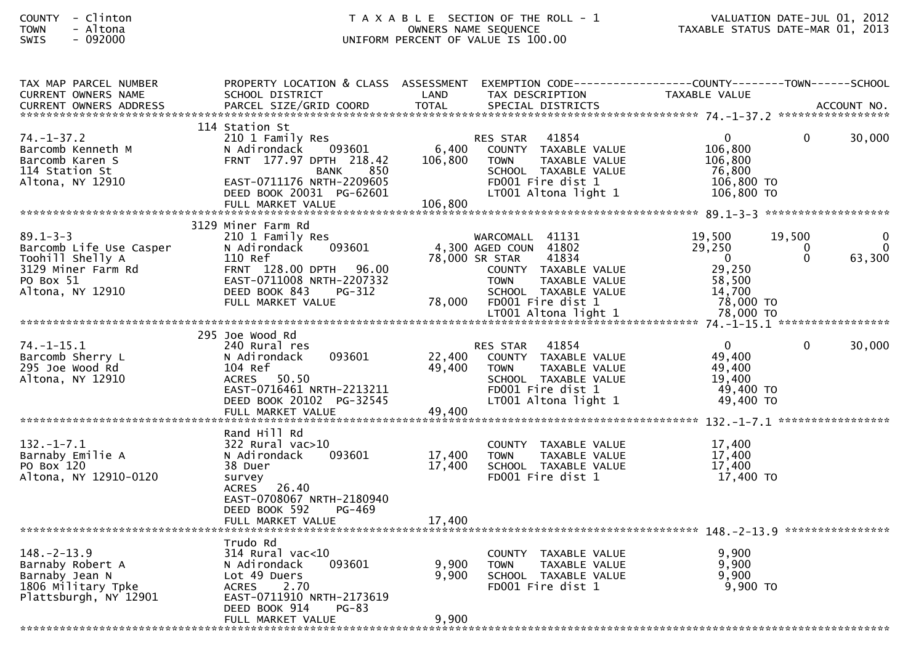| TAX MAP PARCEL NUMBER<br><b>CURRENT OWNERS NAME</b> | PROPERTY LOCATION & CLASS ASSESSMENT EXEMPTION CODE----------------COUNTY-------TOWN------SCHOOL<br>SCHOOL DISTRICT | LAND    | TAX DESCRIPTION              | TAXABLE VALUE  |              |        |
|-----------------------------------------------------|---------------------------------------------------------------------------------------------------------------------|---------|------------------------------|----------------|--------------|--------|
|                                                     |                                                                                                                     |         |                              |                |              |        |
|                                                     |                                                                                                                     |         |                              |                |              |        |
|                                                     | 114 Station St                                                                                                      |         |                              |                |              |        |
| $74. - 1 - 37.2$                                    | 210 1 Family Res                                                                                                    |         | 41854<br>RES STAR            | $\overline{0}$ | $\Omega$     | 30,000 |
| Barcomb Kenneth M                                   | N Adirondack<br>093601                                                                                              | 6,400   | COUNTY TAXABLE VALUE         | 106,800        |              |        |
| Barcomb Karen S                                     | FRNT 177.97 DPTH 218.42                                                                                             | 106,800 | <b>TOWN</b><br>TAXABLE VALUE | 106,800        |              |        |
| 114 Station St                                      | <b>BANK</b><br>850                                                                                                  |         | SCHOOL TAXABLE VALUE         | 76,800         |              |        |
| Altona, NY 12910                                    | EAST-0711176 NRTH-2209605                                                                                           |         | FD001 Fire dist 1            | 106,800 TO     |              |        |
|                                                     | DEED BOOK 20031 PG-62601                                                                                            |         | LT001 Altona light 1         | $106,800$ TO   |              |        |
|                                                     |                                                                                                                     |         |                              |                |              |        |
|                                                     | 3129 Miner Farm Rd                                                                                                  |         |                              |                |              |        |
| $89.1 - 3 - 3$                                      | 210 1 Family Res                                                                                                    |         | WARCOMALL 41131              | 19,500         | 19,500       |        |
| Barcomb Life Use Casper                             | 093601<br>N Adirondack                                                                                              |         | 4,300 AGED COUN 41802        | 29,250         | 0            | 0      |
| Toohill Shelly A                                    | 110 Ref                                                                                                             |         | 78,000 SR STAR<br>41834      | $\mathbf{0}$   | $\mathbf{0}$ | 63,300 |
| A<br>3129 Miner Farm Rd<br>PO Box 51<br>Alters      | FRNT 128.00 DPTH 96.00                                                                                              |         | COUNTY TAXABLE VALUE         | 29,250         |              |        |
|                                                     | EAST-0711008 NRTH-2207332                                                                                           |         | <b>TOWN</b><br>TAXABLE VALUE | 58,500         |              |        |
| Altona, NY 12910                                    | DEED BOOK 843<br><b>PG-312</b>                                                                                      |         | SCHOOL TAXABLE VALUE         | 14,700         |              |        |
|                                                     | FULL MARKET VALUE                                                                                                   | 78,000  | FD001 Fire dist 1            | 78,000 TO      |              |        |
|                                                     |                                                                                                                     |         |                              |                |              |        |
|                                                     |                                                                                                                     |         |                              |                |              |        |
|                                                     | 295 Joe Wood Rd                                                                                                     |         |                              |                |              |        |
| $74. - 1 - 15.1$                                    | 240 Rural res                                                                                                       |         | 41854<br>RES STAR            | $\overline{0}$ | $\Omega$     | 30,000 |
| Barcomb Sherry L                                    | 093601<br>N Adirondack                                                                                              | 22,400  | COUNTY TAXABLE VALUE         | 49,400         |              |        |
| 295 Joe Wood Rd                                     | 104 Ref                                                                                                             | 49,400  | <b>TOWN</b><br>TAXABLE VALUE | 49,400         |              |        |
| Altona, NY 12910                                    | ACRES 50.50                                                                                                         |         | SCHOOL TAXABLE VALUE         | 19,400         |              |        |
|                                                     | EAST-0716461 NRTH-2213211                                                                                           |         | FD001 Fire dist 1            | 49,400 TO      |              |        |
|                                                     | DEED BOOK 20102 PG-32545                                                                                            |         | LT001 Altona light 1         | 49,400 TO      |              |        |
|                                                     |                                                                                                                     |         |                              |                |              |        |
|                                                     | Rand Hill Rd                                                                                                        |         |                              |                |              |        |
| $132. - 1 - 7.1$                                    | 322 Rural vac>10                                                                                                    |         | COUNTY TAXABLE VALUE         | 17,400         |              |        |
| Barnaby Emilie A                                    | 093601<br>N Adirondack                                                                                              | 17,400  | TAXABLE VALUE<br><b>TOWN</b> | 17,400         |              |        |
| PO Box 120                                          | 38 Duer                                                                                                             | 17,400  | SCHOOL TAXABLE VALUE         | 17,400         |              |        |
| Altona, NY 12910-0120                               | survey                                                                                                              |         | FD001 Fire dist 1            | 17,400 TO      |              |        |
|                                                     | ACRES 26.40                                                                                                         |         |                              |                |              |        |
|                                                     | EAST-0708067 NRTH-2180940                                                                                           |         |                              |                |              |        |
|                                                     | DEED BOOK 592<br>PG-469                                                                                             |         |                              |                |              |        |
|                                                     | FULL MARKET VALUE                                                                                                   | 17,400  |                              |                |              |        |
|                                                     |                                                                                                                     |         |                              |                |              |        |
|                                                     | Trudo Rd                                                                                                            |         |                              |                |              |        |
| $148. - 2 - 13.9$                                   | 314 Rural vac<10                                                                                                    |         | COUNTY TAXABLE VALUE         | 9,900          |              |        |
| Barnaby Robert A                                    | 093601<br>N Adirondack                                                                                              | 9,900   | TAXABLE VALUE<br><b>TOWN</b> | 9,900          |              |        |
| Barnaby Jean N                                      | Lot 49 Duers                                                                                                        | 9,900   | SCHOOL TAXABLE VALUE         | 9,900          |              |        |
| 1806 Military Tpke                                  | ACRES 2.70                                                                                                          |         | FD001 Fire dist 1            | 9,900 TO       |              |        |
| Plattsburgh, NY 12901                               | EAST-0711910 NRTH-2173619                                                                                           |         |                              |                |              |        |
|                                                     | DEED BOOK 914<br>PG-83                                                                                              |         |                              |                |              |        |
|                                                     | FULL MARKET VALUE                                                                                                   | 9,900   |                              |                |              |        |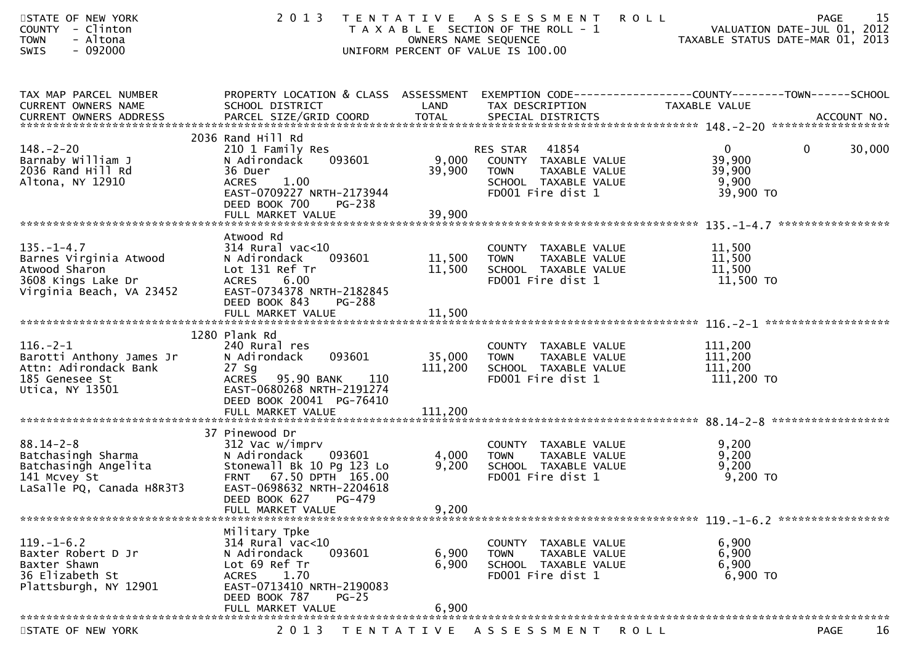| STATE OF NEW YORK<br>COUNTY - Clinton<br>- Altona<br><b>TOWN</b><br>$-092000$<br><b>SWIS</b>                                                                  | 2 0 1 3                                                                                                                                                                                                                                                                                                                                               | OWNERS NAME SEQUENCE       | TENTATIVE ASSESSMENT<br>T A X A B L E SECTION OF THE ROLL - 1<br>UNIFORM PERCENT OF VALUE IS 100.00                       | PAGE 15<br>VALUATION DATE-JUL 01, 2012<br>TAXABLE STATUS DATE MARICAL         |                   |
|---------------------------------------------------------------------------------------------------------------------------------------------------------------|-------------------------------------------------------------------------------------------------------------------------------------------------------------------------------------------------------------------------------------------------------------------------------------------------------------------------------------------------------|----------------------------|---------------------------------------------------------------------------------------------------------------------------|-------------------------------------------------------------------------------|-------------------|
| TAX MAP PARCEL NUMBER<br>CURRENT OWNERS NAME                                                                                                                  | PROPERTY LOCATION & CLASS ASSESSMENT EXEMPTION CODE----------------COUNTY-------TOWN------SCHOOL<br>SCHOOL DISTRICT<br>.4CCOUNT NO . PARCEL SIZE/GRID COORD TOTAL SPECIAL DISTRICTS . ACCOUNT NO . ACCOUNT NO . ACCOUNT NO . بالمحدثة المستوى المستوى المستوى المستوى المستوى المستوى المستوى المستوى المستوى المستوى المستوى المستوى المستوى المستوى | LAND                       | TAX DESCRIPTION                                                                                                           | TAXABLE VALUE                                                                 |                   |
| $148. - 2 - 20$<br>Barnaby William J<br>2036 Rand Hill Rd<br>Altona, NY 12910                                                                                 | 2036 Rand Hill Rd<br>210 1 Family Res<br>093601<br>N Adirondack<br>36 Duer<br>ACRES 1.00<br>EAST-0709227 NRTH-2173944<br>DEED BOOK 700<br><b>PG-238</b>                                                                                                                                                                                               | 39,900                     | RES STAR 41854<br>9,000 COUNTY TAXABLE VALUE<br>TAXABLE VALUE<br><b>TOWN</b><br>SCHOOL TAXABLE VALUE<br>FD001 Fire dist 1 | $0 \qquad \qquad$<br>$\overline{0}$<br>39,900<br>39,900<br>9,900<br>39,900 TO | 30,000            |
| $135. - 1 - 4.7$<br>Barnes Virginia Atwood<br>Atwood Sharon<br>3608 Kings Lake Dr<br>Virginia Beach, VA 23452                                                 | Atwood Rd<br>$314$ Rural vac<10<br>093601<br>N Adirondack<br>Lot 131 Ref Tr<br>6.00<br><b>ACRES</b><br>EAST-0734378 NRTH-2182845<br>DEED BOOK 843<br><b>PG-288</b><br>FULL MARKET VALUE                                                                                                                                                               | 11,500<br>11,500<br>11,500 | COUNTY TAXABLE VALUE<br><b>TOWN</b><br>TAXABLE VALUE<br>SCHOOL TAXABLE VALUE<br>FD001 Fire dist 1                         | 11,500<br>11,500<br>11,500<br>11,500 TO                                       |                   |
| $116. - 2 - 1$<br>Barotti Anthony James Jr<br>Attn: Adirondack Bank<br>185 Genesee St<br>Utica, NY 13501                                                      | 1280 Plank Rd<br>240 Rural res<br>093601<br>N Adirondack<br>$27$ Sg<br>ACRES 95.90 BANK<br>110<br>EAST-0680268 NRTH-2191274<br>DEED BOOK 20041 PG-76410                                                                                                                                                                                               | 35,000<br>111,200          | COUNTY TAXABLE VALUE<br>TAXABLE VALUE<br><b>TOWN</b><br>SCHOOL TAXABLE VALUE<br>FD001 Fire dist 1                         | 111,200<br>111,200<br>111,200<br>111,200 TO                                   |                   |
| $88.14 - 2 - 8$<br>saichasingh Sharma<br>Batchasingh Angelita<br>141 Mcvev St<br>141 Mcvey St<br>LaSalle PQ, Canada H8R3T3<br>******************************* | 37 Pinewood Dr<br>312 Vac w/imprv<br>N Adirondack 093601<br>Stonewall Bk 10 Pg 123 Lo<br>FRNT 67.50 DPTH 165.00<br>EAST-0698632 NRTH-2204618<br>DEED BOOK 627<br>PG-479<br>FULL MARKET VALUE                                                                                                                                                          | 4,000<br>9,200<br>9,200    | COUNTY TAXABLE VALUE<br><b>TOWN</b><br>TAXABLE VALUE<br>SCHOOL TAXABLE VALUE<br>FD001 Fire dist 1                         | 9,200<br>9,200<br>9,200<br>9,200 TO                                           |                   |
| $119. - 1 - 6.2$<br>Baxter Robert D Jr<br>Baxter Shawn<br>36 Elizabeth St<br>Plattsburgh, NY 12901                                                            | Military Tpke<br>$314$ Rural vac<10<br>093601<br>N Adirondack<br>Lot 69 Ref Tr<br>1.70<br><b>ACRES</b><br>EAST-0713410 NRTH-2190083<br>DEED BOOK 787<br>$PG-25$<br>FULL MARKET VALUE                                                                                                                                                                  | 6,900<br>6,900<br>6,900    | COUNTY TAXABLE VALUE<br><b>TOWN</b><br>TAXABLE VALUE<br>SCHOOL TAXABLE VALUE<br>FD001 Fire dist 1                         | 6,900<br>6,900<br>6,900<br>6,900 то                                           |                   |
| STATE OF NEW YORK                                                                                                                                             | 2 0 1 3                                                                                                                                                                                                                                                                                                                                               |                            | TENTATIVE ASSESSMENT<br>R O L L                                                                                           |                                                                               | 16<br><b>PAGE</b> |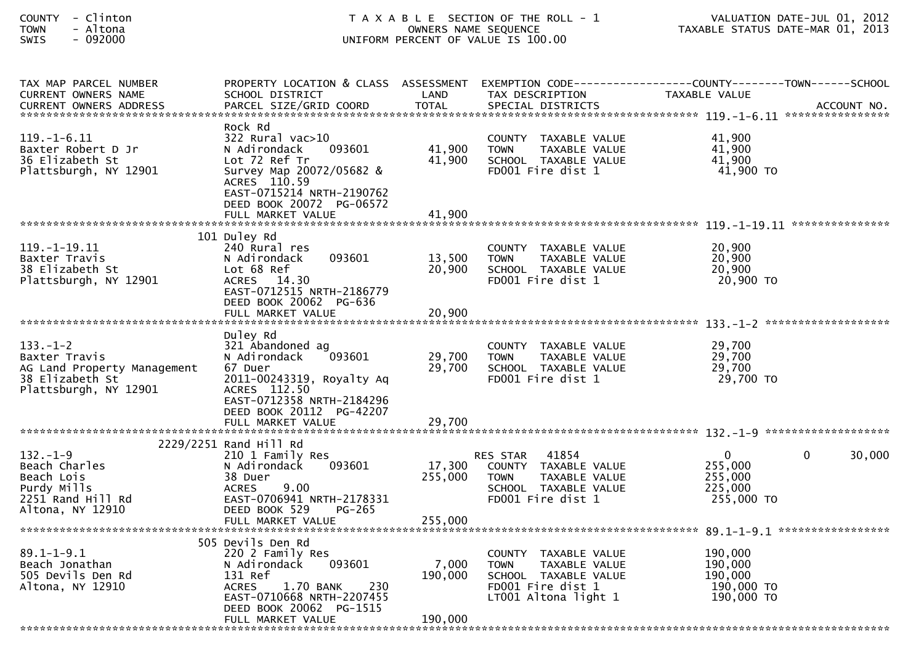| <b>COUNTY</b> | Clintor |
|---------------|---------|
| <b>TOWN</b>   | Altona  |
| $C \cup T C$  | . nadan |

| TAX MAP PARCEL NUMBER       |                                  |         |                              | PROPERTY LOCATION & CLASS ASSESSMENT EXEMPTION CODE---------------COUNTY-------TOWN------SCHOOL                                                                                 |        |
|-----------------------------|----------------------------------|---------|------------------------------|---------------------------------------------------------------------------------------------------------------------------------------------------------------------------------|--------|
| CURRENT OWNERS NAME         | SCHOOL DISTRICT                  | LAND    | TAX DESCRIPTION              | TAXABLE VALUE                                                                                                                                                                   |        |
|                             |                                  |         |                              | .CURRENT OWNERS ADDRESS PARCEL SIZE/GRID COORD TOTAL SPECIAL DISTRICTS ACCOUNT NO ACCOUNT NO AND MAXAMAGERY ARRENT OWNERS ARRORE PARCEL SIZE/GRID COORD TOTAL SPECIAL DISTRICTS |        |
|                             |                                  |         |                              |                                                                                                                                                                                 |        |
|                             | Rock Rd                          |         |                              |                                                                                                                                                                                 |        |
| $119. - 1 - 6.11$           | 322 Rural vac>10                 |         | COUNTY TAXABLE VALUE         | 41.900                                                                                                                                                                          |        |
| Baxter Robert D Jr          | N Adirondack<br>093601           | 41,900  | TAXABLE VALUE<br><b>TOWN</b> | 41,900                                                                                                                                                                          |        |
| 36 Elizabeth St             | Lot 72 Ref Tr                    | 41,900  | SCHOOL TAXABLE VALUE         | 41,900                                                                                                                                                                          |        |
|                             |                                  |         | FD001 Fire dist 1            | 41,900 TO                                                                                                                                                                       |        |
| Plattsburgh, NY 12901       | Survey Map 20072/05682 &         |         |                              |                                                                                                                                                                                 |        |
|                             | ACRES 110.59                     |         |                              |                                                                                                                                                                                 |        |
|                             | EAST-0715214 NRTH-2190762        |         |                              |                                                                                                                                                                                 |        |
|                             | DEED BOOK 20072 PG-06572         |         |                              |                                                                                                                                                                                 |        |
|                             | FULL MARKET VALUE                | 41.900  |                              |                                                                                                                                                                                 |        |
|                             |                                  |         |                              |                                                                                                                                                                                 |        |
|                             | 101 Duley Rd                     |         |                              |                                                                                                                                                                                 |        |
| $119. - 1 - 19.11$          | 240 Rural res                    |         | COUNTY TAXABLE VALUE         | 20,900                                                                                                                                                                          |        |
| Baxter Travis               | N Adirondack<br>093601           | 13,500  | TAXABLE VALUE<br><b>TOWN</b> | 20,900                                                                                                                                                                          |        |
| 38 Elizabeth St             | Lot 68 Ref                       | 20,900  | SCHOOL TAXABLE VALUE         | 20,900                                                                                                                                                                          |        |
| Plattsburgh, NY 12901       | ACRES 14.30                      |         | FD001 Fire dist 1            | 20,900 TO                                                                                                                                                                       |        |
|                             | EAST-0712515 NRTH-2186779        |         |                              |                                                                                                                                                                                 |        |
|                             |                                  |         |                              |                                                                                                                                                                                 |        |
|                             | DEED BOOK 20062 PG-636           |         |                              |                                                                                                                                                                                 |        |
|                             | FULL MARKET VALUE                | 20,900  |                              |                                                                                                                                                                                 |        |
|                             |                                  |         |                              |                                                                                                                                                                                 |        |
|                             | Duley Rd                         |         |                              |                                                                                                                                                                                 |        |
| $133. - 1 - 2$              | 321 Abandoned ag                 |         | COUNTY TAXABLE VALUE         | 29,700                                                                                                                                                                          |        |
| Baxter Travis               | 093601<br>N Adirondack           | 29,700  | <b>TOWN</b><br>TAXABLE VALUE | 29,700                                                                                                                                                                          |        |
| AG Land Property Management | 67 Duer                          | 29,700  | SCHOOL TAXABLE VALUE         | 29,700                                                                                                                                                                          |        |
| 38 Elizabeth St             | 2011-00243319, Royalty Aq        |         | FD001 Fire dist 1            | 29,700 TO                                                                                                                                                                       |        |
| Plattsburgh, NY 12901       | ACRES 112.50                     |         |                              |                                                                                                                                                                                 |        |
|                             | EAST-0712358 NRTH-2184296        |         |                              |                                                                                                                                                                                 |        |
|                             | DEED BOOK 20112 PG-42207         |         |                              |                                                                                                                                                                                 |        |
|                             | FULL MARKET VALUE                | 29,700  |                              |                                                                                                                                                                                 |        |
|                             |                                  |         |                              |                                                                                                                                                                                 |        |
|                             |                                  |         |                              |                                                                                                                                                                                 |        |
|                             | 2229/2251 Rand Hill Rd           |         |                              |                                                                                                                                                                                 |        |
| $132 - 1 - 9$               | 210 1 Family Res                 |         | RES STAR 41854               | $\overline{0}$<br>$\Omega$                                                                                                                                                      | 30,000 |
| Beach Charles               | N Adirondack<br>093601           | 17,300  | COUNTY TAXABLE VALUE         | 255,000                                                                                                                                                                         |        |
| Beach Lois                  | 38 Duer                          | 255,000 | <b>TOWN</b><br>TAXABLE VALUE | 255,000                                                                                                                                                                         |        |
| Purdy Mills                 | 9.00<br><b>ACRES</b>             |         | SCHOOL TAXABLE VALUE         | 225,000                                                                                                                                                                         |        |
| 2251 Rand Hill Rd           | EAST-0706941 NRTH-2178331        |         | FD001 Fire dist 1            | 255,000 TO                                                                                                                                                                      |        |
| Altona, NY 12910            | DEED BOOK 529<br>PG-265          |         |                              |                                                                                                                                                                                 |        |
|                             | FULL MARKET VALUE                | 255,000 |                              |                                                                                                                                                                                 |        |
|                             |                                  |         |                              |                                                                                                                                                                                 |        |
|                             | 505 Devils Den Rd                |         |                              |                                                                                                                                                                                 |        |
| $89.1 - 1 - 9.1$            | 220 2 Family Res                 |         | COUNTY TAXABLE VALUE         | 190,000                                                                                                                                                                         |        |
| Beach Jonathan              | 093601<br>N Adirondack           | 7,000   | <b>TOWN</b><br>TAXABLE VALUE | 190,000                                                                                                                                                                         |        |
| 505 Devils Den Rd           | 131 Ref                          | 190,000 | SCHOOL TAXABLE VALUE         | 190,000                                                                                                                                                                         |        |
| Altona, NY 12910            | <b>ACRES</b><br>1.70 BANK<br>230 |         | FD001 Fire dist 1            | 190,000 TO                                                                                                                                                                      |        |
|                             |                                  |         |                              |                                                                                                                                                                                 |        |
|                             | EAST-0710668 NRTH-2207455        |         | LT001 Altona light 1         | 190,000 то                                                                                                                                                                      |        |
|                             | DEED BOOK 20062 PG-1515          |         |                              |                                                                                                                                                                                 |        |
|                             | FULL MARKET VALUE                | 190,000 |                              |                                                                                                                                                                                 |        |
|                             |                                  |         |                              |                                                                                                                                                                                 |        |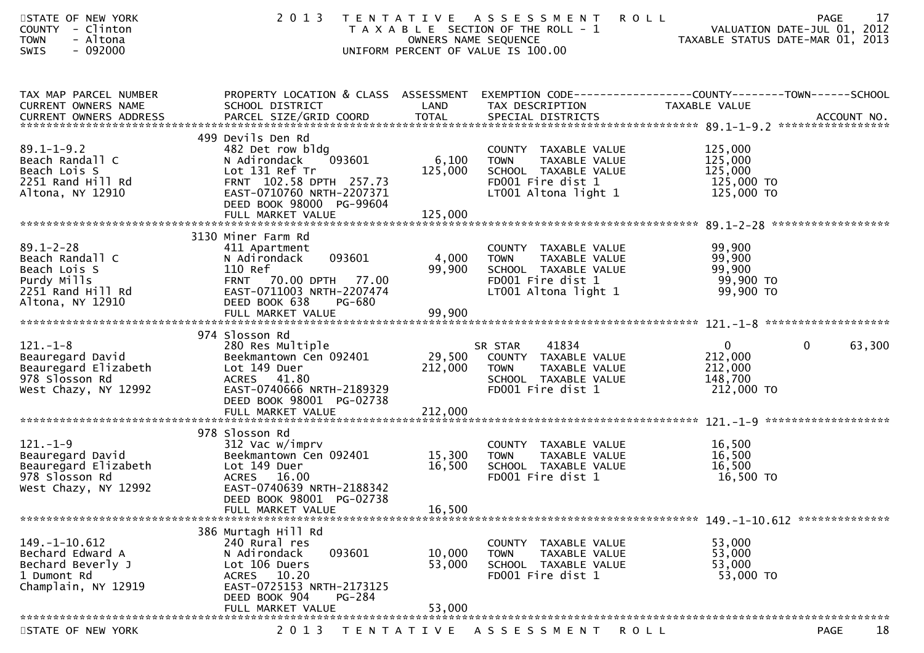| STATE OF NEW YORK<br>COUNTY - Clinton<br><b>TOWN</b><br>- Altona<br>$-092000$<br><b>SWIS</b>               |                                                                                                                                                                             | OWNERS NAME SEQUENCE       | 2013 TENTATIVE ASSESSMENT<br>T A X A B L E SECTION OF THE ROLL - 1<br>UNIFORM PERCENT OF VALUE IS 100.00                  | 17<br><b>ROLL</b><br>PAGE<br>VALUATION DATE-JUL 01, 2012<br>TAXABLE STATUS DATE-MAR 01, 2013                      |
|------------------------------------------------------------------------------------------------------------|-----------------------------------------------------------------------------------------------------------------------------------------------------------------------------|----------------------------|---------------------------------------------------------------------------------------------------------------------------|-------------------------------------------------------------------------------------------------------------------|
| TAX MAP PARCEL NUMBER<br>CURRENT OWNERS NAME                                                               | SCHOOL DISTRICT                                                                                                                                                             | LAND                       | TAX DESCRIPTION                                                                                                           | PROPERTY LOCATION & CLASS ASSESSMENT EXEMPTION CODE----------------COUNTY-------TOWN------SCHOOL<br>TAXABLE VALUE |
| $89.1 - 1 - 9.2$<br>Beach Randall C<br>Beach Lois S<br>2251 Rand Hill Rd<br>Altona, NY 12910               | 499 Devils Den Rd<br>482 Det row bldg<br>093601<br>N Adirondack<br>Lot 131 Ref Tr<br>FRNT 102.58 DPTH 257.73<br>EAST-0710760 NRTH-2207371<br>DEED BOOK 98000 PG-99604       | 125,000                    | COUNTY TAXABLE VALUE<br>6,100 TOWN<br>TAXABLE VALUE<br>SCHOOL TAXABLE VALUE<br>FD001 Fire dist 1<br>LT001 Altona light 1  | 125,000<br>125,000<br>125,000<br>125,000 то<br>125,000 то                                                         |
| $89.1 - 2 - 28$<br>Beach Randall C<br>Beach Lois S<br>Purdy Mills<br>2251 Rand Hill Rd<br>Altona, NY 12910 | 3130 Miner Farm Rd<br>411 Apartment<br>093601<br>N Adirondack<br>110 Ref<br>FRNT 70.00 DPTH 77.00<br>EAST-0711003 NRTH-2207474<br>DEED BOOK 638<br>PG-680                   | 4,000<br>99,900            | COUNTY TAXABLE VALUE<br>TOWN TAXABLE VALUE<br>SCHOOL TAXABLE VALUE<br>FD001 Fire dist 1<br>LT001 Altona light 1           | 99,900<br>99,900<br>99,900 דס<br>99,900 דס                                                                        |
| $121. - 1 - 8$<br>Beauregard David<br>Beauregard Elizabeth<br>978 Slosson Rd<br>West Chazy, NY 12992       | 974 Slosson Rd<br>280 Res Multiple<br>Beekmantown Cen 092401<br>Lot 149 Duer<br>ACRES 41.80<br>EAST-0740666 NRTH-2189329<br>DEED BOOK 98001 PG-02738                        | 212,000                    | SR STAR 41834<br>29,500 COUNTY TAXABLE VALUE<br><b>TOWN</b><br>TAXABLE VALUE<br>SCHOOL TAXABLE VALUE<br>FD001 Fire dist 1 | $\mathbf{0}$<br>$\overline{0}$<br>63,300<br>212,000<br>212,000<br>148,700<br>212,000 TO                           |
| $121. - 1 - 9$<br>Beauregard David<br>Beauregard Elizabeth<br>978 Slosson Rd<br>West Chazy, NY 12992       | 978 Slosson Rd<br>312 Vac w/imprv<br>Beekmantown Cen 092401<br>Lot 149 Duer<br>ACRES 16.00<br>EAST-0740639 NRTH-2188342<br>DEED BOOK 98001 PG-02738<br>FULL MARKET VALUE    | 15,300<br>16,500<br>16,500 | COUNTY TAXABLE VALUE<br>TAXABLE VALUE<br>TOWN<br>SCHOOL TAXABLE VALUE<br>FD001 Fire dist 1                                | 16,500<br>16,500<br>16,500<br>16,500 TO                                                                           |
| $149. - 1 - 10.612$<br>Bechard Edward A<br>Bechard Beverly J<br>1 Dumont Rd<br>Champlain, NY 12919         | 386 Murtagh Hill Rd<br>240 Rural res<br>N Adirondack<br>093601<br>Lot 106 Duers<br>ACRES 10.20<br>EAST-0725153 NRTH-2173125<br>DEED BOOK 904<br>PG-284<br>FULL MARKET VALUE | 10,000<br>53,000<br>53,000 | COUNTY TAXABLE VALUE<br>TAXABLE VALUE<br>TOWN<br>SCHOOL TAXABLE VALUE<br>FD001 Fire dist 1                                | 53,000<br>53,000<br>53,000<br>53,000 TO                                                                           |
| STATE OF NEW YORK                                                                                          | 2 0 1 3                                                                                                                                                                     |                            | TENTATIVE ASSESSMENT                                                                                                      | 18<br><b>PAGE</b><br>R O L L                                                                                      |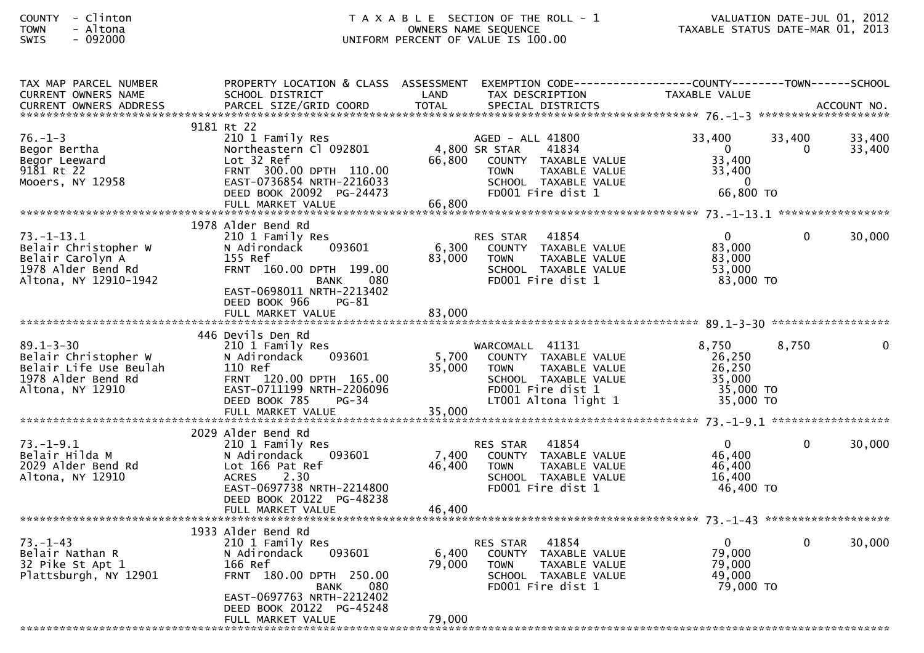| TAX MAP PARCEL NUMBER                     |                                    |                 | PROPERTY LOCATION & CLASS ASSESSMENT EXEMPTION CODE---------------COUNTY-------TOWN------SCHOOL |                  |              |          |
|-------------------------------------------|------------------------------------|-----------------|-------------------------------------------------------------------------------------------------|------------------|--------------|----------|
| CURRENT OWNERS NAME                       | SCHOOL DISTRICT                    | LAND            | TAX DESCRIPTION                                                                                 | TAXABLE VALUE    |              |          |
|                                           |                                    |                 |                                                                                                 |                  |              |          |
|                                           | 9181 Rt 22                         |                 |                                                                                                 |                  |              |          |
| $76. - 1 - 3$                             | 210 1 Family Res                   |                 | AGED - ALL 41800                                                                                | 33,400           | 33,400       | 33,400   |
| Begor Bertha                              | Northeastern Cl 092801             |                 | 4,800 SR STAR<br>41834                                                                          | $\Omega$         | $\Omega$     | 33,400   |
| Begor Leeward                             | Lot 32 Ref                         | 66,800          | COUNTY TAXABLE VALUE                                                                            | 33,400           |              |          |
| 9181 Rt 22                                | FRNT 300.00 DPTH 110.00            |                 | TAXABLE VALUE<br><b>TOWN</b>                                                                    | 33,400           |              |          |
| Mooers, NY 12958                          | EAST-0736854 NRTH-2216033          |                 | SCHOOL TAXABLE VALUE                                                                            | - 0              |              |          |
|                                           | DEED BOOK 20092 PG-24473           |                 | FD001 Fire dist 1                                                                               | 66,800 ТО        |              |          |
|                                           |                                    |                 |                                                                                                 |                  |              |          |
|                                           |                                    |                 |                                                                                                 |                  |              |          |
|                                           | 1978 Alder Bend Rd                 |                 |                                                                                                 |                  |              |          |
| $73. - 1 - 13.1$                          | 210 1 Family Res                   |                 | <b>RES STAR</b><br>41854                                                                        | $\overline{0}$   | $\mathbf{0}$ | 30,000   |
| Belair Christopher W                      | 093601<br>N Adirondack             | 6,300           | COUNTY TAXABLE VALUE                                                                            | 83,000           |              |          |
| Belair Carolyn A                          | 155 Ref                            | 83,000          | <b>TOWN</b><br>TAXABLE VALUE                                                                    | 83,000           |              |          |
| 1978 Alder Bend Rd                        | FRNT 160.00 DPTH 199.00            |                 | SCHOOL TAXABLE VALUE                                                                            | 53,000           |              |          |
| Altona, NY 12910-1942                     | 080<br><b>BANK</b>                 |                 | FD001 Fire dist 1                                                                               | 83,000 TO        |              |          |
|                                           | EAST-0698011 NRTH-2213402          |                 |                                                                                                 |                  |              |          |
|                                           | DEED BOOK 966<br>PG-81             |                 |                                                                                                 |                  |              |          |
|                                           | FULL MARKET VALUE                  | 83,000          |                                                                                                 |                  |              |          |
|                                           |                                    |                 |                                                                                                 |                  |              |          |
| $89.1 - 3 - 30$                           | 446 Devils Den Rd                  |                 |                                                                                                 | 8,750            | 8,750        | $\Omega$ |
| Belair Christopher W                      | 210 1 Family Res<br>093601         | 5,700           | WARCOMALL 41131<br>COUNTY TAXABLE VALUE                                                         | 26,250           |              |          |
| Belair Life Use Beulah                    | N Adirondack<br>110 Ref            | 35,000          | <b>TOWN</b><br>TAXABLE VALUE                                                                    | 26,250           |              |          |
| 1978 Alder Bend Rd                        | FRNT 120.00 DPTH 165.00            |                 | SCHOOL TAXABLE VALUE                                                                            | 35,000           |              |          |
| Altona, NY 12910                          | EAST-0711199 NRTH-2206096          |                 | FD001 Fire dist 1                                                                               | 35,000 TO        |              |          |
|                                           | DEED BOOK 785<br>$PG-34$           |                 | LT001 Altona light 1                                                                            | 35,000 TO        |              |          |
|                                           |                                    |                 |                                                                                                 |                  |              |          |
|                                           |                                    |                 |                                                                                                 |                  |              |          |
|                                           | 2029 Alder Bend Rd                 |                 |                                                                                                 |                  |              |          |
| $73. - 1 - 9.1$                           | 210 1 Family Res                   |                 | 41854<br><b>RES STAR</b>                                                                        | $\mathbf{0}$     | $\Omega$     | 30,000   |
| Belair Hilda M                            | N Adirondack 093601                | 7,400           | COUNTY TAXABLE VALUE                                                                            | 46,400           |              |          |
| 2029 Alder Bend Rd                        | Lot 166 Pat Ref                    | 46,400          | TAXABLE VALUE<br><b>TOWN</b>                                                                    | 46,400           |              |          |
| Altona, NY 12910                          | 2.30<br><b>ACRES</b>               |                 | SCHOOL TAXABLE VALUE                                                                            | 16,400           |              |          |
|                                           | EAST-0697738 NRTH-2214800          |                 | FD001 Fire dist 1                                                                               | 46,400 TO        |              |          |
|                                           | DEED BOOK 20122 PG-48238           |                 |                                                                                                 |                  |              |          |
|                                           | FULL MARKET VALUE                  | 46,400          |                                                                                                 |                  |              |          |
|                                           |                                    |                 |                                                                                                 |                  |              |          |
|                                           | 1933 Alder Bend Rd                 |                 |                                                                                                 |                  |              |          |
| $73. - 1 - 43$                            | 210 1 Family Res                   |                 | 41854<br>RES STAR                                                                               | $\overline{0}$   | $\Omega$     | 30,000   |
| Belair Nathan R                           | N Adirondack<br>093601             | 6,400<br>79,000 | COUNTY TAXABLE VALUE                                                                            | 79,000<br>79,000 |              |          |
| 32 Pike St Apt 1<br>Plattsburgh, NY 12901 | 166 Ref<br>FRNT 180.00 DPTH 250.00 |                 | <b>TOWN</b><br>TAXABLE VALUE<br>SCHOOL TAXABLE VALUE                                            | 49,000           |              |          |
|                                           | <b>BANK</b><br>080                 |                 | FD001 Fire dist 1                                                                               | 79,000 TO        |              |          |
|                                           | EAST-0697763 NRTH-2212402          |                 |                                                                                                 |                  |              |          |
|                                           | DEED BOOK 20122 PG-45248           |                 |                                                                                                 |                  |              |          |
|                                           | FULL MARKET VALUE                  | 79,000          |                                                                                                 |                  |              |          |
|                                           |                                    |                 |                                                                                                 |                  |              |          |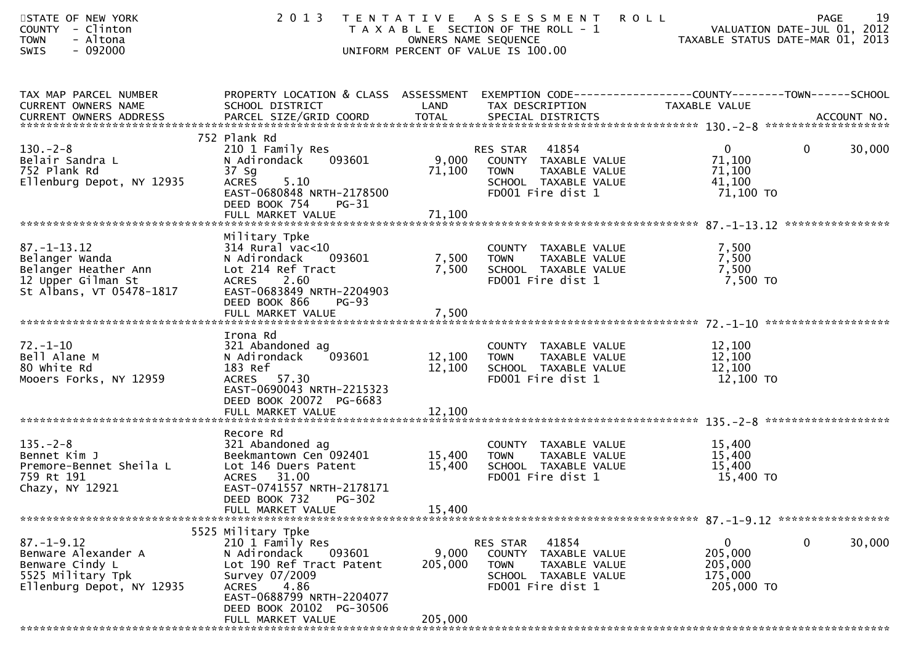| STATE OF NEW YORK<br>COUNTY - Clinton<br><b>TOWN</b><br>- Altona<br>$-092000$<br><b>SWIS</b>                                  | 2 0 1 3                                                                                                                                                                                                                                           |                             | TENTATIVE ASSESSMENT<br>T A X A B L E SECTION OF THE ROLL - 1<br>OWNERS NAME SEQUENCE<br>UNIFORM PERCENT OF VALUE IS 100.00 | 19<br><b>ROLL</b><br>PAGE<br>VALUATION DATE-JUL 01, 2012<br>TAXABLE STATUS DATE-MAR 01, 2013 |
|-------------------------------------------------------------------------------------------------------------------------------|---------------------------------------------------------------------------------------------------------------------------------------------------------------------------------------------------------------------------------------------------|-----------------------------|-----------------------------------------------------------------------------------------------------------------------------|----------------------------------------------------------------------------------------------|
| TAX MAP PARCEL NUMBER<br>CURRENT OWNERS NAME                                                                                  | PROPERTY LOCATION & CLASS ASSESSMENT<br>SCHOOL DISTRICT                                                                                                                                                                                           | LAND                        | TAX DESCRIPTION                                                                                                             | EXEMPTION CODE------------------COUNTY--------TOWN------SCHOOL<br><b>TAXABLE VALUE</b>       |
| $130 - 2 - 8$<br>Belair Sandra L<br>752 Plank Rd<br>Ellenburg Depot, NY 12935                                                 | 752 Plank Rd<br>210 1 Family Res<br>093601<br>N Adirondack<br>37 Sg<br>5.10<br><b>ACRES</b><br>EAST-0680848 NRTH-2178500<br>DEED BOOK 754<br>PG-31                                                                                                | 9,000<br>71,100             | 41854<br>RES STAR<br>COUNTY TAXABLE VALUE<br><b>TOWN</b><br>TAXABLE VALUE<br>SCHOOL TAXABLE VALUE<br>FD001 Fire dist 1      | $\overline{0}$<br>$\mathbf{0}$<br>30,000<br>71,100<br>71,100<br>41,100<br>71,100 TO          |
| $87. - 1 - 13.12$<br>Belanger Wanda<br>Belanger Heather Ann<br>12 Upper Gilman St<br>St Albans, VT 05478-1817                 | Military Tpke<br>$314$ Rural vac<10<br>093601<br>N Adirondack<br>Lot 214 Ref Tract<br><b>ACRES</b><br>2.60<br>EAST-0683849 NRTH-2204903<br>DEED BOOK 866<br><b>PG-93</b><br>FULL MARKET VALUE                                                     | 7,500<br>7,500<br>7,500     | COUNTY TAXABLE VALUE<br>TAXABLE VALUE<br><b>TOWN</b><br>SCHOOL TAXABLE VALUE<br>FD001 Fire dist 1                           | 7,500<br>7,500<br>7,500<br>7,500 TO                                                          |
| $72. - 1 - 10$<br>Bell Alane M<br>80 white Rd<br>Mooers Forks, NY 12959                                                       | Irona Rd<br>321 Abandoned ag<br>093601<br>N Adirondack<br>183 Ref<br>ACRES 57.30<br>EAST-0690043 NRTH-2215323<br>DEED BOOK 20072 PG-6683                                                                                                          | 12,100<br>12,100            | COUNTY TAXABLE VALUE<br>TAXABLE VALUE<br><b>TOWN</b><br>SCHOOL TAXABLE VALUE<br>FD001 Fire dist 1                           | 12,100<br>12,100<br>12,100<br>12,100 TO                                                      |
| $135. - 2 - 8$<br>Bennet Kim J<br>Premore-Bennet Sheila L<br>759 Rt 191<br>Chazy, NY 12921<br>******************************* | Recore Rd<br>321 Abandoned ag<br>Beekmantown Cen 092401<br>Lot 146 Duers Patent<br>ACRES 31.00<br>EAST-0741557 NRTH-2178171<br>DEED BOOK 732<br>PG-302<br>FULL MARKET VALUE                                                                       | 15,400<br>15,400<br>15,400  | COUNTY TAXABLE VALUE<br><b>TOWN</b><br>TAXABLE VALUE<br>SCHOOL TAXABLE VALUE<br>FD001 Fire dist 1                           | 15,400<br>15,400<br>15,400<br>15,400 TO                                                      |
| $87. - 1 - 9.12$<br>Benware Alexander A<br>Benware Cindy L<br>5525 Military Tpk<br>Ellenburg Depot, NY 12935                  | 5525 Military Tpke<br>210 1 Family Res<br>N Adirondack<br>093601<br>Lot 190 Ref Tract Patent<br>Survey 07/2009<br>4.86<br><b>ACRES</b><br>EAST-0688799 NRTH-2204077<br>DEED BOOK 20102 PG-30506<br>FULL MARKET VALUE<br>************************* | 9,000<br>205,000<br>205,000 | RES STAR<br>41854<br>COUNTY TAXABLE VALUE<br>TAXABLE VALUE<br><b>TOWN</b><br>SCHOOL TAXABLE VALUE<br>FD001 Fire dist 1      | 0<br>$\mathbf 0$<br>30,000<br>205,000<br>205,000<br>175,000<br>205,000 TO                    |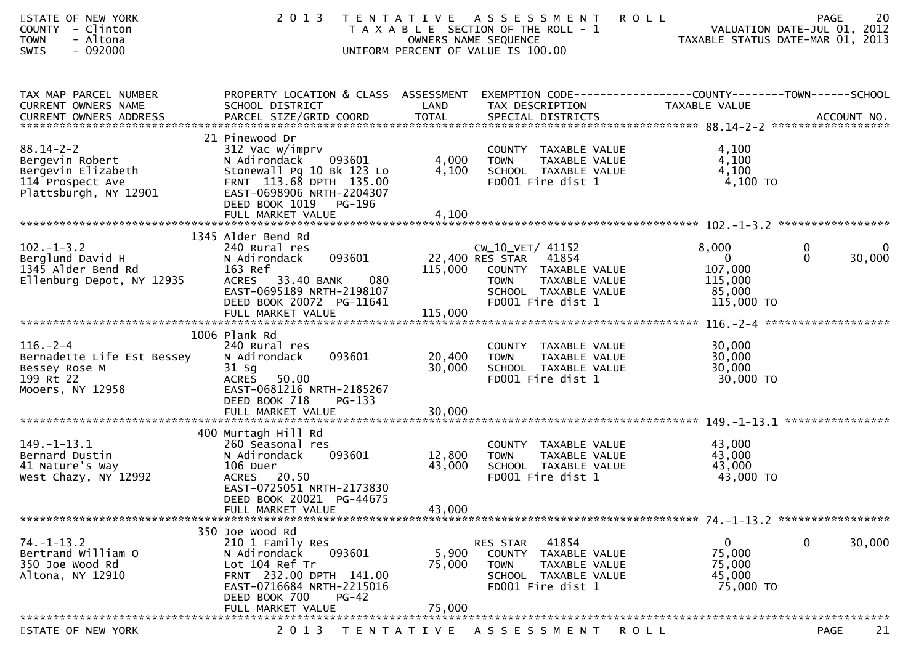| STATE OF NEW YORK<br>COUNTY - Clinton<br>- Altona<br><b>TOWN</b><br>$-092000$<br>SWIS                                         | 2 0 1 3                                                                                                                                                                   |                   | TENTATIVE ASSESSMENT<br>T A X A B L E SECTION OF THE ROLL - 1<br>OWNERS NAME SEQUENCE<br>UNIFORM PERCENT OF VALUE IS 100.00                            | <b>ROLL</b><br>TAXABLE STATUS DATE-MAR 01, 2013                                | 20<br>PAGE<br>VALUATION DATE-JUL 01, 2012 |
|-------------------------------------------------------------------------------------------------------------------------------|---------------------------------------------------------------------------------------------------------------------------------------------------------------------------|-------------------|--------------------------------------------------------------------------------------------------------------------------------------------------------|--------------------------------------------------------------------------------|-------------------------------------------|
| TAX MAP PARCEL NUMBER<br>CURRENT OWNERS NAME                                                                                  | PROPERTY LOCATION & CLASS ASSESSMENT EXEMPTION CODE----------------COUNTY-------TOWN------SCHOOL<br>SCHOOL DISTRICT                                                       | LAND              | TAX DESCRIPTION                                                                                                                                        | TAXABLE VALUE                                                                  |                                           |
| $88.14 - 2 - 2$<br>Bergevin Robert<br>Bergevin Elizabeth<br>114 Prospect Ave<br>Plattsburgh, NY 12901                         | 21 Pinewood Dr<br>312 Vac w/imprv<br>093601<br>N Adirondack<br>Stonewall Pg 10 Bk 123 Lo<br>FRNT 113.68 DPTH 135.00<br>EAST-0698906 NRTH-2204307<br>DEED BOOK 1019 PG-196 | 4,000<br>4,100    | COUNTY TAXABLE VALUE<br>TOWN     TAXABLE VALUE<br>SCHOOL TAXABLE VALUE<br>FD001 Fire dist 1                                                            | 4,100<br>4,100<br>4,100<br>4,100 TO                                            |                                           |
|                                                                                                                               |                                                                                                                                                                           |                   |                                                                                                                                                        |                                                                                |                                           |
| $102 - 1 - 3.2$<br>Berglund David H<br>1345 Alder Bend Rd<br>Ellenburg Depot, NY 12935                                        | 1345 Alder Bend Rd<br>240 Rural res<br>093601<br>N Adirondack<br>163 Ref<br>080<br>ACRES 33.40 BANK<br>EAST-0695189 NRTH-2198107<br>DEED BOOK 20072 PG-11641              |                   | CW_10_VET/ 41152<br>22,400 RES STAR 41854<br>115,000 COUNTY TAXABLE VALUE<br>TAXABLE VALUE<br><b>TOWN</b><br>SCHOOL TAXABLE VALUE<br>FD001 Fire dist 1 | 8,000<br>$\overline{\mathbf{0}}$<br>107,000<br>115,000<br>85,000<br>115,000 TO | 0<br>0<br>$\Omega$<br>30,000              |
| $116. - 2 - 4$<br>Bernadette Life Est Bessey<br>Bessey Rose M<br>an an Aonaichte<br>Bailtean<br>199 Rt 22<br>Mooers, NY 12958 | 1006 Plank Rd<br>240 Rural res<br>093601<br>N Adirondack<br>$31$ Sg<br>ACRES 50.00<br>EAST-0681216 NRTH-2185267<br>DEED BOOK 718<br>PG-133                                | 20,400<br>30,000  | COUNTY TAXABLE VALUE<br>TAXABLE VALUE<br><b>TOWN</b><br>SCHOOL TAXABLE VALUE<br>FD001 Fire dist 1                                                      | 30,000<br>30,000<br>30,000<br>30,000 TO                                        |                                           |
|                                                                                                                               |                                                                                                                                                                           |                   |                                                                                                                                                        |                                                                                |                                           |
| $149. - 1 - 13.1$<br>Bernard Dustin<br>41 Nature's Way<br>West Chazy, NY 12992                                                | 400 Murtagh Hill Rd<br>260 Seasonal res<br>093601<br>N Adirondack<br>106 Duer<br>ACRES 20.50<br>EAST-0725051 NRTH-2173830<br>DEED BOOK 20021 PG-44675                     | 12,800<br>43,000  | COUNTY TAXABLE VALUE<br><b>TOWN</b><br>TAXABLE VALUE<br>SCHOOL TAXABLE VALUE<br>FD001 Fire dist 1                                                      | 43,000<br>43,000<br>43,000<br>43,000 TO                                        |                                           |
|                                                                                                                               | FULL MARKET VALUE                                                                                                                                                         | 43,000            |                                                                                                                                                        |                                                                                |                                           |
| $74. - 1 - 13.2$<br>Bertrand William O<br>350 Joe Wood Rd<br>Altona, NY 12910                                                 | 350 Joe Wood Rd<br>210 1 Family Res<br>N Adirondack<br>093601<br>Lot 104 Ref Tr<br>FRNT 232.00 DPTH 141.00<br>EAST-0716684 NRTH-2215016<br>DEED BOOK 700<br>$PG-42$       | 5,900<br>75,000   | 41854<br>RES STAR<br><b>COUNTY</b><br>TAXABLE VALUE<br><b>TOWN</b><br>TAXABLE VALUE<br>SCHOOL TAXABLE VALUE<br>FD001 Fire dist 1                       | $\mathbf 0$<br>75,000<br>75,000<br>45,000<br>75,000 TO                         | 0<br>30,000                               |
|                                                                                                                               | FULL MARKET VALUE                                                                                                                                                         | 75,000            |                                                                                                                                                        |                                                                                |                                           |
| STATE OF NEW YORK                                                                                                             | 2 0 1 3                                                                                                                                                                   | T E N T A T I V E | A S S E S S M E N T                                                                                                                                    | R O L L                                                                        | 21<br><b>PAGE</b>                         |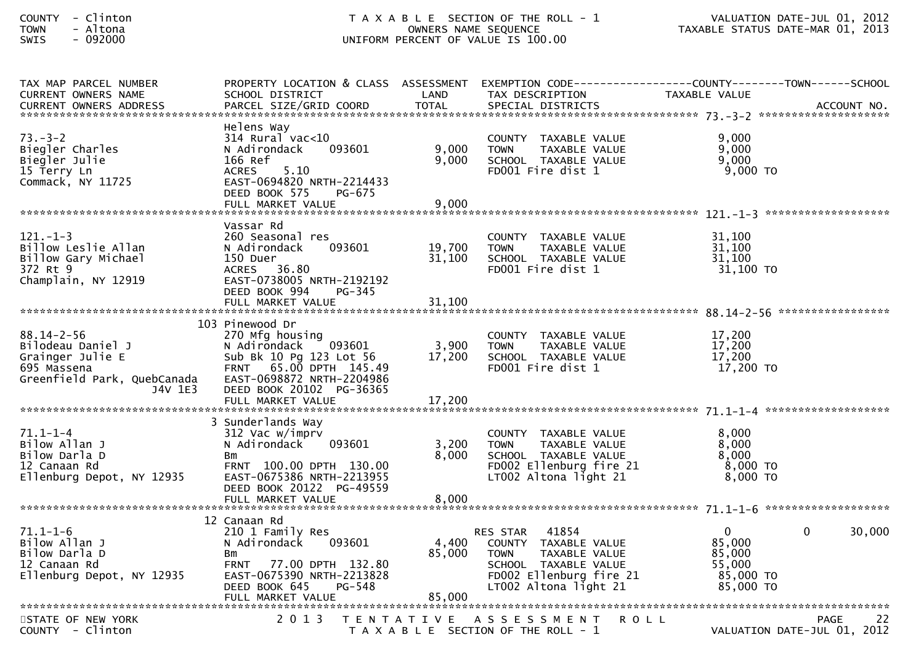| TAX MAP PARCEL NUMBER<br><b>CURRENT OWNERS NAME</b><br><b>CURRENT OWNERS ADDRESS</b>                               | SCHOOL DISTRICT<br>PARCEL SIZE/GRID COORD                                                                                                                                     | LAND<br><b>TOTAL</b>       | TAX DESCRIPTION<br>SPECIAL DISTRICTS                                                                                                                    | PROPERTY LOCATION & CLASS ASSESSMENT EXEMPTION CODE----------------COUNTY--------TOWN------SCHOOL<br>TAXABLE VALUE<br>ACCOUNT NO. |        |
|--------------------------------------------------------------------------------------------------------------------|-------------------------------------------------------------------------------------------------------------------------------------------------------------------------------|----------------------------|---------------------------------------------------------------------------------------------------------------------------------------------------------|-----------------------------------------------------------------------------------------------------------------------------------|--------|
| $73. - 3 - 2$<br>Biegler Charles<br>Biegler Julie<br>15 Terry Ln<br>Commack, NY 11725                              | Helens Way<br>$314$ Rural vac< $10$<br>N Adirondack<br>093601<br>166 Ref<br>5.10<br><b>ACRES</b><br>EAST-0694820 NRTH-2214433<br>DEED BOOK 575<br>PG-675<br>FULL MARKET VALUE | 9,000<br>9,000<br>9,000    | COUNTY TAXABLE VALUE<br>TAXABLE VALUE<br><b>TOWN</b><br>SCHOOL TAXABLE VALUE<br>FD001 Fire dist 1                                                       | 9.000<br>9,000<br>9,000<br>9,000 TO                                                                                               |        |
| $121. - 1 - 3$<br>Billow Leslie Allan<br>Billow Gary Michael<br>372 Rt 9<br>Champlain, NY 12919                    | Vassar Rd<br>260 Seasonal res<br>093601<br>N Adirondack<br>150 Duer<br>36.80<br>ACRES<br>EAST-0738005 NRTH-2192192<br>DEED BOOK 994<br>PG-345<br>FULL MARKET VALUE            | 19,700<br>31,100<br>31,100 | COUNTY TAXABLE VALUE<br>TAXABLE VALUE<br><b>TOWN</b><br>SCHOOL TAXABLE VALUE<br>FD001 Fire dist 1                                                       | 31,100<br>31,100<br>31,100<br>$31,100$ TO                                                                                         |        |
| $88.14 - 2 - 56$<br>Bilodeau Daniel J<br>Grainger Julie E<br>695 Massena<br>Greenfield Park, QuebCanada<br>J4V 1E3 | 103 Pinewood Dr<br>270 Mfg housing<br>093601<br>N Adirondack<br>Sub Bk 10 Pg 123 Lot 56<br>FRNT 65.00 DPTH 145.49<br>EAST-0698872 NRTH-2204986<br>DEED BOOK 20102 PG-36365    | 3,900<br>17,200            | COUNTY TAXABLE VALUE<br><b>TOWN</b><br>TAXABLE VALUE<br>SCHOOL TAXABLE VALUE<br>FD001 Fire dist 1                                                       | 17,200<br>17,200<br>17,200<br>17,200 TO                                                                                           |        |
| $71.1 - 1 - 4$<br>Bilow Allan J<br>Bilow Darla D<br>12 Canaan Rd<br>Ellenburg Depot, NY 12935                      | 3 Sunderlands Way<br>312 Vac w/imprv<br>093601<br>N Adirondack<br>Bm<br>FRNT 100.00 DPTH 130.00<br>EAST-0675386 NRTH-2213955<br>DEED BOOK 20122 PG-49559<br>FULL MARKET VALUE | 3,200<br>8,000<br>8,000    | COUNTY TAXABLE VALUE<br><b>TOWN</b><br>TAXABLE VALUE<br>SCHOOL TAXABLE VALUE<br>FD002 Ellenburg fire 21<br>LT002 Altona light 21                        | 8.000<br>8,000<br>8,000<br>$8,000$ TO<br>$8.000$ TO                                                                               |        |
| $71.1 - 1 - 6$<br>Bilow Allan J<br>Bilow Darla D<br>12 Canaan Rd<br>Ellenburg Depot, NY 12935                      | 12 Canaan Rd<br>210 1 Family Res<br>093601<br>N Adirondack<br>Bm<br>77.00 DPTH 132.80<br><b>FRNT</b><br>EAST-0675390 NRTH-2213828<br>DEED BOOK 645<br>PG-548                  | 4,400<br>85,000            | 41854<br>RES STAR<br>COUNTY TAXABLE VALUE<br>TAXABLE VALUE<br><b>TOWN</b><br>SCHOOL TAXABLE VALUE<br>FD002 Ellenburg fire 21<br>$LT002$ Altona light 21 | $\overline{0}$<br>$\Omega$<br>85,000<br>85,000<br>55,000<br>85,000 TO<br>85,000 TO                                                | 30,000 |
| STATE OF NEW YORK<br>$COUNTY - Clinton$                                                                            | 2 0 1 3                                                                                                                                                                       |                            | TENTATIVE ASSESSMENT<br>R O L L<br>T A X A B L E SECTION OF THE ROLL - 1                                                                                | PAGE<br>VALUATION DATE-JUL 01, 2012                                                                                               | 22     |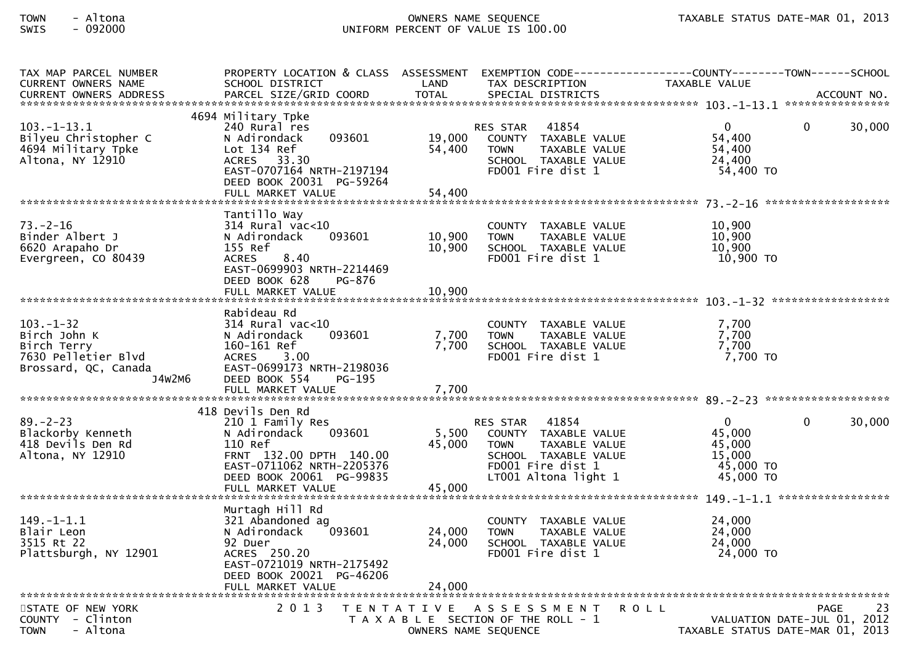| TAX MAP PARCEL NUMBER<br>CURRENT OWNERS NAME                          | PROPERTY LOCATION & CLASS ASSESSMENT EXEMPTION CODE----------------COUNTY-------TOWN------SCHOOL<br>SCHOOL DISTRICT | LAND<br><b>TOTAL</b> | TAX DESCRIPTION                                                                                   | TAXABLE VALUE                                                              |              |        |
|-----------------------------------------------------------------------|---------------------------------------------------------------------------------------------------------------------|----------------------|---------------------------------------------------------------------------------------------------|----------------------------------------------------------------------------|--------------|--------|
| $103. - 1 - 13.1$                                                     | 4694 Military Tpke<br>240 Rural res                                                                                 |                      | 41854<br>RES STAR                                                                                 | $\overline{0}$                                                             | $\mathbf{0}$ | 30,000 |
| Bilyeu Christopher C<br>4694 Military Tpke<br>Altona, NY 12910        | 093601<br>N Adirondack<br>Lot 134 Ref<br>ACRES 33.30<br>EAST-0707164 NRTH-2197194                                   | 19,000<br>54,400     | COUNTY TAXABLE VALUE<br><b>TOWN</b><br>TAXABLE VALUE<br>SCHOOL TAXABLE VALUE<br>FD001 Fire dist 1 | 54,400<br>54,400<br>24,400<br>54,400 TO                                    |              |        |
|                                                                       | DEED BOOK 20031 PG-59264<br>FULL MARKET VALUE                                                                       | 54,400               |                                                                                                   |                                                                            |              |        |
| $73. - 2 - 16$                                                        | Tantillo Way<br>314 Rural vac<10                                                                                    |                      | COUNTY TAXABLE VALUE                                                                              | 10,900                                                                     |              |        |
| Binder Albert J<br>6620 Arapaho Dr<br>Evergreen, CO 80439             | 093601<br>N Adirondack<br>155 Ref<br>8.40<br><b>ACRES</b>                                                           | 10,900<br>10,900     | <b>TOWN</b><br>TAXABLE VALUE<br>SCHOOL TAXABLE VALUE<br>FD001 Fire dist 1                         | 10,900<br>10,900<br>10,900 TO                                              |              |        |
|                                                                       | EAST-0699903 NRTH-2214469<br>DEED BOOK 628<br>PG-876<br>FULL MARKET VALUE                                           | 10,900               |                                                                                                   |                                                                            |              |        |
|                                                                       |                                                                                                                     |                      |                                                                                                   |                                                                            |              |        |
| $103. - 1 - 32$<br>Birch John K<br>Birch Terry<br>7630 Pelletier Blvd | Rabideau Rd<br>$314$ Rural vac<10<br>093601<br>N Adirondack<br>160-161 Ref<br><b>ACRES</b><br>3.00                  | 7,700<br>7,700       | COUNTY TAXABLE VALUE<br><b>TOWN</b><br>TAXABLE VALUE<br>SCHOOL TAXABLE VALUE<br>FD001 Fire dist 1 | 7,700<br>7,700<br>7,700<br>7,700 TO                                        |              |        |
| Brossard, QC, Canada<br>J4W2M6                                        | EAST-0699173 NRTH-2198036<br>DEED BOOK 554<br>PG-195<br>FULL MARKET VALUE                                           | 7,700                |                                                                                                   |                                                                            |              |        |
|                                                                       |                                                                                                                     |                      |                                                                                                   |                                                                            |              |        |
| $89. - 2 - 23$<br>Blackorby Kenneth                                   | 418 Devils Den Rd<br>210 1 Family Res<br>093601<br>N Adirondack                                                     | 5,500                | RES STAR 41854<br>COUNTY TAXABLE VALUE                                                            | $\mathbf{0}$<br>45,000                                                     | $\mathbf{0}$ | 30,000 |
| 418 Devils Den Rd<br>Altona, NY 12910                                 | 110 Ref<br>FRNT 132.00 DPTH 140.00                                                                                  | 45,000               | <b>TOWN</b><br>TAXABLE VALUE<br>SCHOOL TAXABLE VALUE                                              | 45,000<br>15,000                                                           |              |        |
|                                                                       | EAST-0711062 NRTH-2205376<br>DEED BOOK 20061 PG-99835<br>FULL MARKET VALUE                                          | 45,000               | FD001 Fire dist 1<br>LT001 Altona light 1                                                         | 45,000 TO<br>45,000 TO                                                     |              |        |
|                                                                       |                                                                                                                     |                      |                                                                                                   |                                                                            |              |        |
| $149. - 1 - 1.1$<br>Blair Leon<br>3515 Rt 22                          | Murtagh Hill Rd<br>321 Abandoned ag<br>093601<br>N Adirondack<br>92 Duer                                            | 24,000<br>24,000     | COUNTY TAXABLE VALUE<br><b>TOWN</b><br>TAXABLE VALUE<br>SCHOOL TAXABLE VALUE                      | 24,000<br>24,000<br>24,000                                                 |              |        |
| Plattsburgh, NY 12901                                                 | ACRES 250.20<br>EAST-0721019 NRTH-2175492<br>DEED BOOK 20021 PG-46206<br>FULL MARKET VALUE                          | 24,000               | FD001 Fire dist 1                                                                                 | 24,000 TO                                                                  |              |        |
|                                                                       |                                                                                                                     |                      |                                                                                                   |                                                                            |              |        |
| STATE OF NEW YORK<br>COUNTY - Clinton<br>- Altona<br><b>TOWN</b>      | 2 0 1 3                                                                                                             | OWNERS NAME SEQUENCE | TENTATIVE ASSESSMENT<br>T A X A B L E SECTION OF THE ROLL - 1                                     | R O L L<br>VALUATION DATE-JUL 01, 2012<br>TAXABLE STATUS DATE-MAR 01, 2013 | PAGE         | 23     |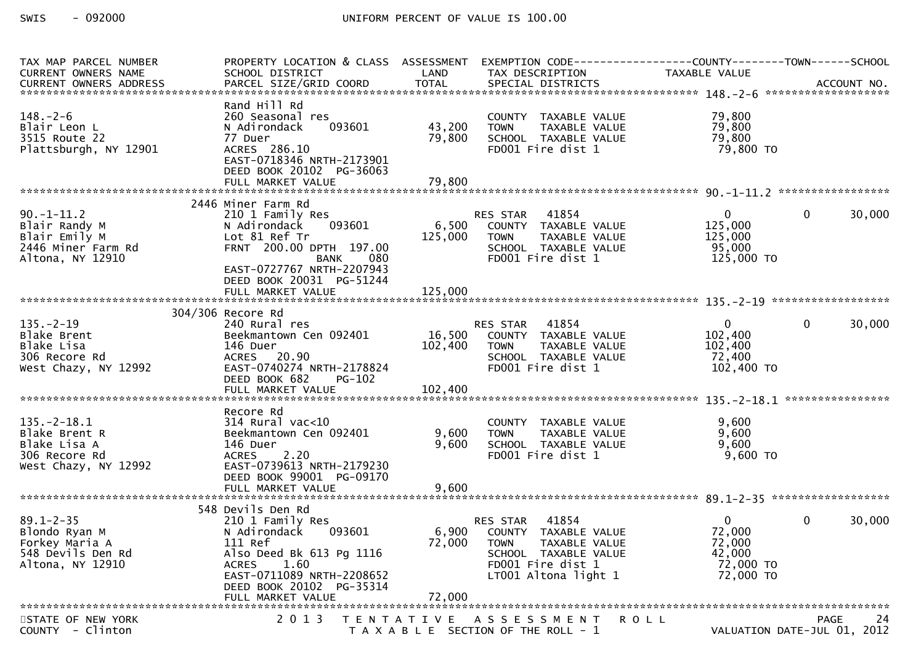| TAX MAP PARCEL NUMBER<br>CURRENT OWNERS NAME                                                | PROPERTY LOCATION & CLASS ASSESSMENT<br>SCHOOL DISTRICT                                                                                                                                                      | LAND                      | TAX DESCRIPTION                                                                                                                                | EXEMPTION CODE-----------------COUNTY-------TOWN------SCHOOL<br>TAXABLE VALUE |                             |
|---------------------------------------------------------------------------------------------|--------------------------------------------------------------------------------------------------------------------------------------------------------------------------------------------------------------|---------------------------|------------------------------------------------------------------------------------------------------------------------------------------------|-------------------------------------------------------------------------------|-----------------------------|
| $148. - 2 - 6$<br>Blair Leon L<br>3515 Route 22<br>Plattsburgh, NY 12901                    | Rand Hill Rd<br>260 Seasonal res<br>N Adirondack<br>093601<br>77 Duer<br>ACRES 286.10<br>EAST-0718346 NRTH-2173901<br>DEED BOOK 20102 PG-36063                                                               | 43,200<br>79,800          | COUNTY TAXABLE VALUE<br><b>TOWN</b><br>TAXABLE VALUE<br>SCHOOL TAXABLE VALUE<br>FD001 Fire dist 1                                              | 79,800<br>79,800<br>79,800<br>79,800 TO                                       |                             |
|                                                                                             |                                                                                                                                                                                                              |                           |                                                                                                                                                |                                                                               |                             |
| $90. -1 - 11.2$<br>Blair Randy M<br>Blair Emily M<br>2446 Miner Farm Rd<br>Altona, NY 12910 | 2446 Miner Farm Rd<br>210 1 Family Res<br>093601<br>N Adirondack<br>Lot 81 Ref Tr<br>FRNT 200.00 DPTH 197.00<br><b>BANK</b><br>080<br>EAST-0727767 NRTH-2207943<br>DEED BOOK 20031 PG-51244                  | 6,500<br>125,000          | RES STAR<br>41854<br>COUNTY TAXABLE VALUE<br>TAXABLE VALUE<br><b>TOWN</b><br>SCHOOL TAXABLE VALUE<br>FD001 Fire dist 1                         | $\mathbf{0}$<br>125,000<br>125,000<br>95,000<br>125,000 TO                    | 30,000<br>$\mathbf{0}$      |
|                                                                                             | FULL MARKET VALUE                                                                                                                                                                                            | 125,000                   |                                                                                                                                                |                                                                               |                             |
| $135. - 2 - 19$<br>Blake Brent<br>Blake Lisa<br>306 Recore Rd<br>West Chazy, NY 12992       | 304/306 Recore Rd<br>240 Rural res<br>Beekmantown Cen 092401<br>146 Duer<br>ACRES 20.90<br>EAST-0740274 NRTH-2178824<br>DEED BOOK 682<br><b>PG-102</b>                                                       | 102,400                   | <b>RES STAR 41854</b><br>16,500 COUNTY TAXABLE VALUE<br><b>TOWN</b><br>TAXABLE VALUE<br>SCHOOL TAXABLE VALUE<br>FD001 Fire dist 1              | $\overline{0}$<br>102,400<br>102,400<br>72,400<br>102,400 TO                  | 30,000<br>$\overline{0}$    |
|                                                                                             |                                                                                                                                                                                                              |                           |                                                                                                                                                |                                                                               | ****************            |
| $135. - 2 - 18.1$<br>Blake Brent R<br>Blake Lisa A<br>306 Recore Rd<br>West Chazy, NY 12992 | Recore Rd<br>$314$ Rural vac<10<br>Beekmantown Cen 092401<br>146 Duer<br>ACRES 2.20<br>EAST-0739613 NRTH-2179230<br>DEED BOOK 99001 PG-09170                                                                 | 9,600<br>9,600            | COUNTY TAXABLE VALUE<br><b>TOWN</b><br>TAXABLE VALUE<br>SCHOOL TAXABLE VALUE<br>FD001 Fire dist 1                                              | 9,600<br>9,600<br>9,600<br>9,600 TO                                           |                             |
|                                                                                             | FULL MARKET VALUE                                                                                                                                                                                            | 9,600                     |                                                                                                                                                |                                                                               |                             |
| $89.1 - 2 - 35$<br>Blondo Ryan M<br>Forkey Maria A<br>548 Devils Den Rd<br>Altona, NY 12910 | 548 Devils Den Rd<br>210 1 Family Res<br>093601<br>N Adirondack<br>111 Ref<br>Also Deed Bk 613 Pg 1116<br>1.60<br><b>ACRES</b><br>EAST-0711089 NRTH-2208652<br>DEED BOOK 20102 PG-35314<br>FULL MARKET VALUE | 6,900<br>72,000<br>72,000 | 41854<br>RES STAR<br>COUNTY TAXABLE VALUE<br><b>TOWN</b><br>TAXABLE VALUE<br>SCHOOL TAXABLE VALUE<br>FD001 Fire dist 1<br>LT001 Altona light 1 | $\mathbf{0}$<br>72,000<br>72,000<br>42,000<br>72,000 TO<br>72,000 TO          | 30,000<br>$\overline{0}$    |
| STATE OF NEW YORK                                                                           | 2 0 1 3                                                                                                                                                                                                      |                           | TENTATIVE ASSESSMENT                                                                                                                           | ROLL                                                                          | 24<br>PAGE                  |
| COUNTY - Clinton                                                                            |                                                                                                                                                                                                              |                           | T A X A B L E SECTION OF THE ROLL - 1                                                                                                          |                                                                               | VALUATION DATE-JUL 01, 2012 |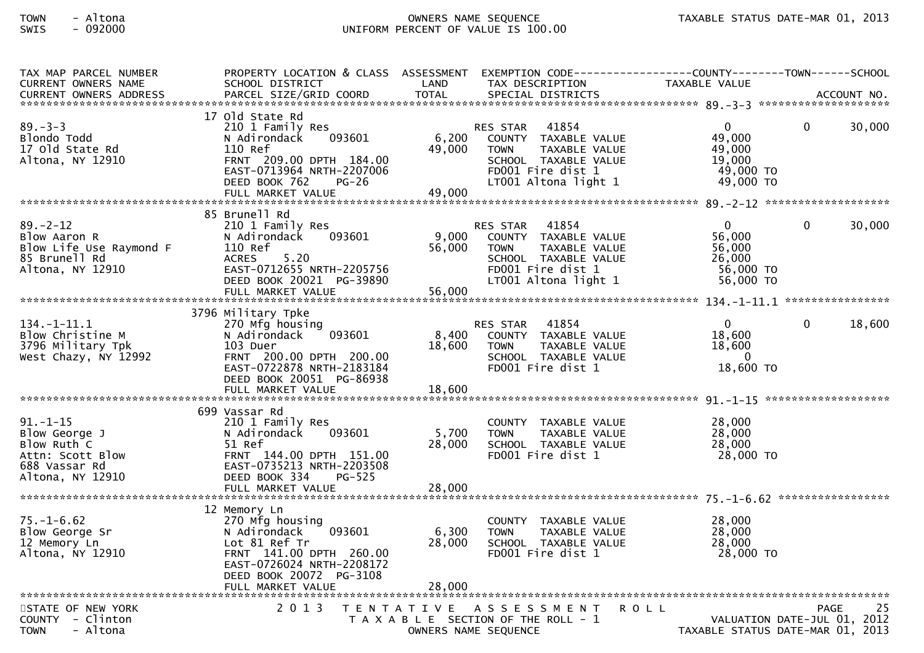| TAX MAP PARCEL NUMBER<br>CURRENT OWNERS NAME                                                        | PROPERTY LOCATION & CLASS ASSESSMENT<br>SCHOOL DISTRICT                                                                                                                                | LAND                      | EXEMPTION CODE------------------COUNTY--------TOWN------SCHOOL<br>TAX DESCRIPTION                                                              | TAXABLE VALUE                                                        |                             |        |
|-----------------------------------------------------------------------------------------------------|----------------------------------------------------------------------------------------------------------------------------------------------------------------------------------------|---------------------------|------------------------------------------------------------------------------------------------------------------------------------------------|----------------------------------------------------------------------|-----------------------------|--------|
|                                                                                                     |                                                                                                                                                                                        |                           |                                                                                                                                                |                                                                      |                             |        |
| $89 - 3 - 3$<br>Blondo Todd<br>17 Old State Rd<br>Altona, NY 12910                                  | 17 old state Rd<br>210 1 Family Res<br>N Adirondack<br>093601<br>110 Ref<br>FRNT 209.00 DPTH 184.00<br>EAST-0713964 NRTH-2207006<br>DEED BOOK 762<br><b>PG-26</b><br>FULL MARKET VALUE | 6,200<br>49,000<br>49,000 | 41854<br>RES STAR<br>COUNTY TAXABLE VALUE<br>TAXABLE VALUE<br><b>TOWN</b><br>SCHOOL TAXABLE VALUE<br>FD001 Fire dist 1<br>LT001 Altona light 1 | $\mathbf{0}$<br>49,000<br>49,000<br>19,000<br>49,000 TO<br>49,000 TO | $\mathbf{0}$                | 30,000 |
|                                                                                                     | 85 Brunell Rd                                                                                                                                                                          |                           |                                                                                                                                                |                                                                      |                             |        |
| $89. - 2 - 12$<br>Blow Aaron R<br>Blow Life Use Raymond F<br>85 Brunell Rd<br>Altona, NY 12910      | 210 1 Family Res<br>093601<br>N Adirondack<br>110 Ref<br>5.20<br><b>ACRES</b><br>EAST-0712655 NRTH-2205756<br>DEED BOOK 20021 PG-39890<br>FULL MARKET VALUE                            | 9,000<br>56,000<br>56,000 | 41854<br>RES STAR<br>COUNTY TAXABLE VALUE<br><b>TOWN</b><br>TAXABLE VALUE<br>SCHOOL TAXABLE VALUE<br>FD001 Fire dist 1<br>LT001 Altona light 1 | $\mathbf{0}$<br>56,000<br>56,000<br>26,000<br>56,000 TO<br>56,000 TO | $\Omega$                    | 30,000 |
|                                                                                                     | 3796 Military Tpke                                                                                                                                                                     |                           |                                                                                                                                                |                                                                      |                             |        |
| 134. -1-11.1<br>Blow Christine M<br>3796 Military Tpk<br>West Chazy, NY 12992                       | 270 Mfg housing<br>093601<br>N Adirondack<br>103 Duer<br>FRNT 200.00 DPTH 200.00<br>EAST-0722878 NRTH-2183184<br>DEED BOOK 20051 PG-86938                                              | 8,400<br>18,600           | <b>RES STAR</b><br>41854<br>COUNTY TAXABLE VALUE<br>TAXABLE VALUE<br><b>TOWN</b><br>SCHOOL TAXABLE VALUE<br>FD001 Fire dist 1                  | $\mathbf 0$<br>18,600<br>18,600<br>$\overline{0}$<br>18,600 TO       | $\mathbf{0}$                | 18,600 |
|                                                                                                     | FULL MARKET VALUE                                                                                                                                                                      | 18,600                    |                                                                                                                                                |                                                                      |                             |        |
| 91. – 1–15<br>Blow George J<br>Blow Ruth C<br>Attn: Scott Blow<br>688 Vassar Rd<br>Altona, NY 12910 | 699 Vassar Rd<br>210 1 Family Res<br>N Adirondack<br>093601<br>51 Ref<br>FRNT 144.00 DPTH 151.00<br>EAST-0735213 NRTH-2203508<br>DEED BOOK 334<br>PG-525                               | 5,700<br>28,000           | COUNTY TAXABLE VALUE<br><b>TOWN</b><br>TAXABLE VALUE<br>SCHOOL TAXABLE VALUE<br>FD001 Fire dist 1                                              | 28,000<br>28,000<br>28,000<br>28,000 TO                              |                             |        |
|                                                                                                     |                                                                                                                                                                                        |                           |                                                                                                                                                |                                                                      |                             |        |
| $75. - 1 - 6.62$<br>Blow George Sr<br>12 Memory Ln<br>Altona, NY 12910                              | 12 Memory Ln<br>270 Mfg housing<br>N Adirondack<br>093601<br>Lot 81 Ref Tr<br>FRNT 141.00 DPTH 260.00<br>EAST-0726024 NRTH-2208172<br>DEED BOOK 20072 PG-3108<br>FULL MARKET VALUE     | 6,300<br>28,000<br>28,000 | COUNTY TAXABLE VALUE<br><b>TOWN</b><br>TAXABLE VALUE<br>SCHOOL TAXABLE VALUE<br>FD001 Fire dist 1                                              | 28,000<br>28,000<br>28,000<br>28,000 TO                              |                             |        |
| STATE OF NEW YORK                                                                                   | 2 0 1 3                                                                                                                                                                                |                           | TENTATIVE ASSESSMENT                                                                                                                           | <b>ROLL</b>                                                          | <b>PAGE</b>                 | 25     |
| COUNTY - Clinton<br>- Altona<br><b>TOWN</b>                                                         |                                                                                                                                                                                        |                           | T A X A B L E SECTION OF THE ROLL - 1<br>OWNERS NAME SEQUENCE                                                                                  | TAXABLE STATUS DATE-MAR 01, 2013                                     | VALUATION DATE-JUL 01, 2012 |        |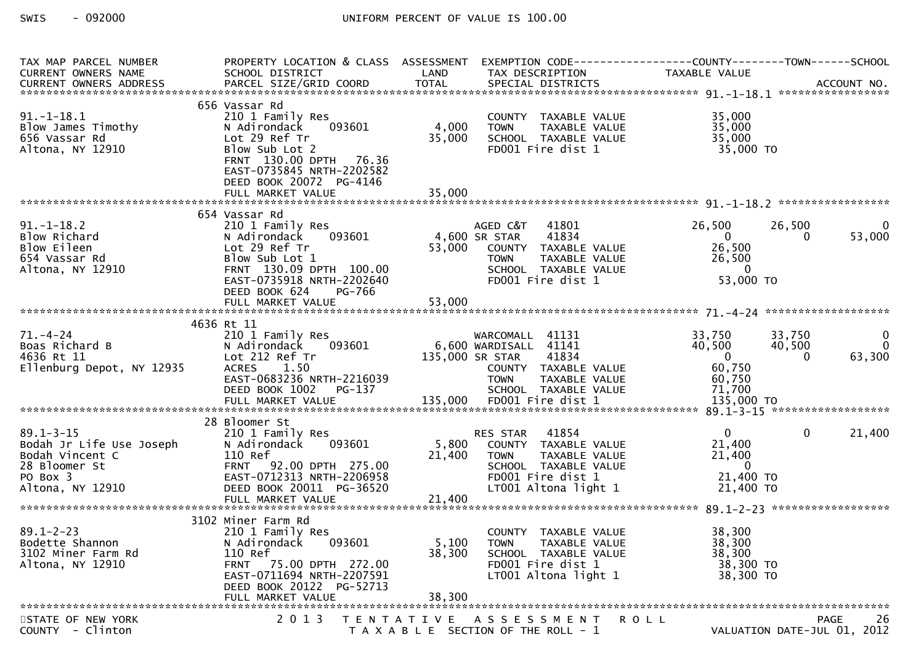| TAX MAP PARCEL NUMBER                                                                                           | PROPERTY LOCATION & CLASS ASSESSMENT                                                                                                                                                                  |                           | EXEMPTION CODE------------------COUNTY--------TOWN------SCHOOL                                                                                                  |                                                                              |                             |                                            |
|-----------------------------------------------------------------------------------------------------------------|-------------------------------------------------------------------------------------------------------------------------------------------------------------------------------------------------------|---------------------------|-----------------------------------------------------------------------------------------------------------------------------------------------------------------|------------------------------------------------------------------------------|-----------------------------|--------------------------------------------|
| CURRENT OWNERS NAME                                                                                             | SCHOOL DISTRICT                                                                                                                                                                                       | LAND                      | TAX DESCRIPTION                                                                                                                                                 | TAXABLE VALUE                                                                |                             |                                            |
|                                                                                                                 |                                                                                                                                                                                                       |                           |                                                                                                                                                                 |                                                                              |                             |                                            |
| $91. - 1 - 18.1$<br>Blow James Timothy<br>656 Vassar Rd<br>Altona, NY 12910                                     | 656 Vassar Rd<br>210 1 Family Res<br>093601<br>N Adirondack<br>Lot 29 Ref Tr<br>Blow Sub Lot 2<br>FRNT 130.00 DPTH 76.36<br>EAST-0735845 NRTH-2202582<br>DEED BOOK 20072 PG-4146<br>FULL MARKET VALUE | 4,000<br>35,000<br>35,000 | COUNTY TAXABLE VALUE<br>TAXABLE VALUE<br><b>TOWN</b><br>SCHOOL TAXABLE VALUE<br>FD001 Fire dist 1                                                               | 35,000<br>35,000<br>35,000<br>35,000 TO                                      |                             |                                            |
|                                                                                                                 |                                                                                                                                                                                                       |                           |                                                                                                                                                                 |                                                                              |                             |                                            |
| $91.-1-18.2$<br>Blow Richard<br>Blow Eileen<br>654 Vassar Rd<br>Altona, NY 12910                                | 654 Vassar Rd<br>210 1 Family Res<br>093601<br>N Adirondack<br>Lot 29 Ref Tr<br>Blow Sub Lot 1<br>FRNT 130.09 DPTH 100.00<br>EAST-0735918 NRTH-2202640<br>DEED BOOK 624<br>PG-766                     | 4,600 SR STAR<br>53,000   | AGED C&T<br>41801<br>41834<br>COUNTY TAXABLE VALUE<br><b>TOWN</b><br>TAXABLE v.L.<br>TAXABLE VALUE<br>ARABLE VALUE<br>SCHOOL TAXABLE VALUE<br>FD001 Fire dist 1 | 26,500<br>$\overline{0}$<br>26,500<br>26,500<br>$\overline{0}$<br>53,000 TO  | 26,500                      | $\Omega$<br>53,000                         |
|                                                                                                                 |                                                                                                                                                                                                       |                           |                                                                                                                                                                 |                                                                              |                             |                                            |
| $71. - 4 - 24$<br>Boas Richard B<br>4636 Rt 11<br>Ellenburg Depot, NY 12935                                     | 4636 Rt 11<br>210 1 Family Res<br>093601<br>N Adirondack<br>Lot 212 Ref Tr<br>1.50<br><b>ACRES</b><br>EAST-0683236 NRTH-2216039<br>DEED BOOK 1002    PG-137                                           |                           | WARCOMALL 41131<br>6,600 WARDISALL 41141<br>135,000 SR STAR<br>41834<br>COUNTY TAXABLE VALUE<br><b>TOWN</b><br>TAXABLE VALUE<br>SCHOOL TAXABLE VALUE            | 33,750<br>40,500<br>$\overline{0}$<br>60,750<br>60,750<br>71,700             | 33,750<br>40,500            | $\overline{0}$<br>$\overline{0}$<br>63,300 |
|                                                                                                                 |                                                                                                                                                                                                       |                           |                                                                                                                                                                 |                                                                              |                             |                                            |
| $89.1 - 3 - 15$<br>Bodah Jr Life Use Joseph<br>Bodah Vincent C<br>28 Bloomer St<br>PO Box 3<br>Altona, NY 12910 | 28 Bloomer St<br>210 1 Family Res<br>093601<br>N Adirondack<br>110 Ref<br>FRNT 92.00 DPTH 275.00<br>EAST-0712313 NRTH-2206958<br>DEED BOOK 20011 PG-36520                                             | 21,400                    | 41854<br>RES STAR<br>5,800 COUNTY TAXABLE VALUE<br>TAXABLE VALUE<br>TOWN<br>SCHOOL TAXABLE VALUE<br>FD001 Fire dist 1<br>LT001 Altona light 1                   | $\mathbf{0}$<br>21,400<br>21,400<br>$\overline{0}$<br>21,400 TO<br>21,400 TO | $\mathbf{0}$                | 21,400                                     |
|                                                                                                                 | 3102 Miner Farm Rd                                                                                                                                                                                    |                           |                                                                                                                                                                 |                                                                              |                             |                                            |
| $89.1 - 2 - 23$<br>Bodette Shannon<br>3102 Miner Farm Rd<br>Altona, NY 12910                                    | 210 1 Family Res<br>N Adirondack<br>093601<br>110 Ref<br>FRNT 75.00 DPTH 272.00<br>EAST-0711694 NRTH-2207591<br>DEED BOOK 20122 PG-52713<br>FULL MARKET VALUE                                         | 5,100<br>38,300<br>38,300 | COUNTY TAXABLE VALUE<br><b>TOWN</b><br>TAXABLE VALUE<br>SCHOOL TAXABLE VALUE<br>FD001 Fire dist 1<br>LT001 Altona light 1                                       | 38,300<br>38,300<br>38,300<br>38,300 TO<br>38,300 TO                         |                             |                                            |
| STATE OF NEW YORK                                                                                               | 2 0 1 3                                                                                                                                                                                               |                           | TENTATIVE ASSESSMENT                                                                                                                                            | ROLL                                                                         |                             | <b>PAGE</b><br>26                          |
| COUNTY - Clinton                                                                                                |                                                                                                                                                                                                       |                           | T A X A B L E SECTION OF THE ROLL - 1                                                                                                                           |                                                                              | VALUATION DATE-JUL 01, 2012 |                                            |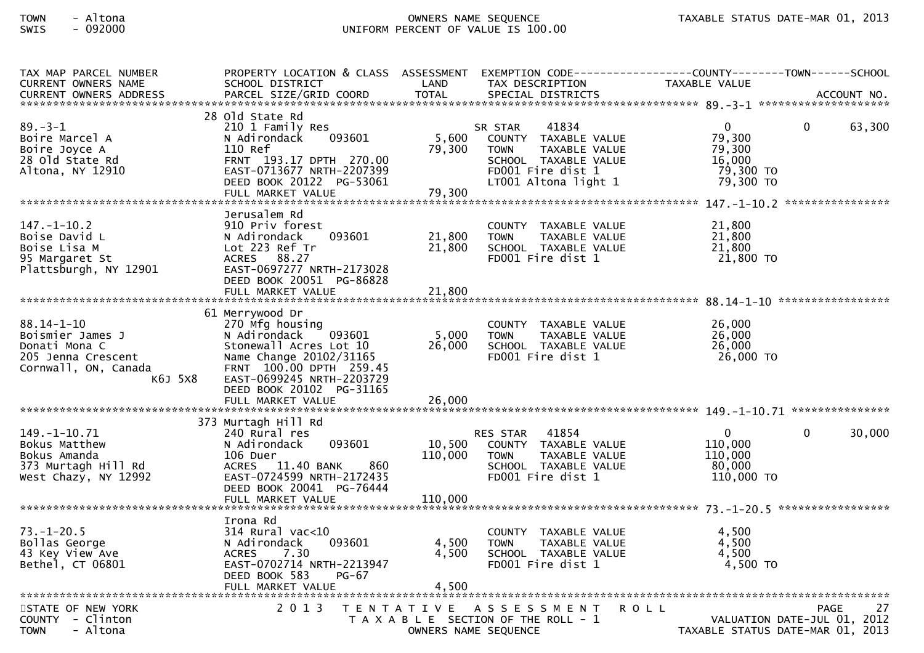| TAX MAP PARCEL NUMBER<br><b>CURRENT OWNERS NAME</b><br><b>CURRENT OWNERS ADDRESS</b>                           | PROPERTY LOCATION & CLASS ASSESSMENT EXEMPTION CODE----------------COUNTY-------TOWN------SCHOOL<br>SCHOOL DISTRICT<br>PARCEL SIZE/GRID COORD                                                                              | LAND<br><b>TOTAL</b>         | TAX DESCRIPTION<br>SPECIAL DISTRICTS                                                                                                          | TAXABLE VALUE                                                        |             | ACCOUNT NO. |
|----------------------------------------------------------------------------------------------------------------|----------------------------------------------------------------------------------------------------------------------------------------------------------------------------------------------------------------------------|------------------------------|-----------------------------------------------------------------------------------------------------------------------------------------------|----------------------------------------------------------------------|-------------|-------------|
|                                                                                                                |                                                                                                                                                                                                                            |                              |                                                                                                                                               |                                                                      |             |             |
| $89. - 3 - 1$<br>Boire Marcel A<br>Boire Joyce A<br>28 old State Rd<br>Altona, NY 12910                        | 28 old state Rd<br>210 1 Family Res<br>093601<br>N Adirondack<br>110 Ref<br>FRNT 193.17 DPTH 270.00<br>EAST-0713677 NRTH-2207399<br>DEED BOOK 20122 PG-53061<br>FULL MARKET VALUE                                          | 5,600<br>79,300<br>79,300    | 41834<br>SR STAR<br>COUNTY TAXABLE VALUE<br><b>TOWN</b><br>TAXABLE VALUE<br>SCHOOL TAXABLE VALUE<br>FD001 Fire dist 1<br>LT001 Altona light 1 | $\mathbf{0}$<br>79,300<br>79,300<br>16,000<br>79,300 TO<br>79,300 TO | 0           | 63,300      |
|                                                                                                                | Jerusalem Rd                                                                                                                                                                                                               |                              |                                                                                                                                               |                                                                      |             |             |
| $147. - 1 - 10.2$<br>Boise David L<br>Boise Lisa M<br>95 Margaret St<br>Plattsburgh, NY 12901                  | 910 Priv forest<br>093601<br>N Adirondack<br>Lot 223 Ref Tr<br>ACRES 88.27<br>EAST-0697277 NRTH-2173028<br>DEED BOOK 20051 PG-86828                                                                                        | 21,800<br>21,800             | COUNTY TAXABLE VALUE<br><b>TOWN</b><br>TAXABLE VALUE<br>SCHOOL TAXABLE VALUE<br>FD001 Fire dist 1                                             | 21,800<br>21,800<br>21,800<br>21,800 TO                              |             |             |
|                                                                                                                |                                                                                                                                                                                                                            |                              |                                                                                                                                               |                                                                      |             |             |
| $88.14 - 1 - 10$<br>Boismier James J<br>Donati Mona C<br>205 Jenna Crescent<br>Cornwall, ON, Canada<br>K6J 5X8 | 61 Merrywood Dr<br>270 Mfg housing<br>093601<br>N Adirondack<br>Stonewall Acres Lot 10<br>Name Change 20102/31165<br>FRNT 100.00 DPTH 259.45<br>EAST-0699245 NRTH-2203729<br>DEED BOOK 20102 PG-31165<br>FULL MARKET VALUE | 5,000<br>26,000<br>26,000    | COUNTY TAXABLE VALUE<br><b>TOWN</b><br>TAXABLE VALUE<br>SCHOOL TAXABLE VALUE<br>FD001 Fire dist 1                                             | 26,000<br>26,000<br>26,000<br>26,000 TO                              |             |             |
|                                                                                                                | 373 Murtagh Hill Rd                                                                                                                                                                                                        |                              |                                                                                                                                               |                                                                      |             |             |
| $149. - 1 - 10.71$<br>Bokus Matthew<br>Bokus Amanda<br>373 Murtagh Hill Rd<br>West Chazy, NY 12992             | 240 Rural res<br>093601<br>N Adirondack<br>106 Duer<br>ACRES 11.40 BANK<br>860<br>EAST-0724599 NRTH-2172435<br>DEED BOOK 20041 PG-76444<br>FULL MARKET VALUE                                                               | 10,500<br>110,000<br>110,000 | 41854<br><b>RES STAR</b><br>COUNTY TAXABLE VALUE<br><b>TOWN</b><br><b>TAXABLE VALUE</b><br>SCHOOL TAXABLE VALUE<br>FD001 Fire dist 1          | $\mathbf 0$<br>110,000<br>110,000<br>80,000<br>110,000 TO            | $\Omega$    | 30,000      |
|                                                                                                                | Irona Rd                                                                                                                                                                                                                   |                              |                                                                                                                                               |                                                                      |             |             |
| $73. - 1 - 20.5$<br>Bollas George<br>43 Key View Ave<br>Bethel, CT 06801                                       | $314$ Rural vac< $10$<br>093601<br>N Adirondack<br>7.30<br><b>ACRES</b><br>EAST-0702714 NRTH-2213947<br>DEED BOOK 583<br>$PG-67$<br>FULL MARKET VALUE                                                                      | 4,500<br>4,500<br>4,500      | COUNTY TAXABLE VALUE<br><b>TOWN</b><br>TAXABLE VALUE<br>SCHOOL TAXABLE VALUE<br>FD001 Fire dist 1                                             | 4,500<br>4,500<br>4,500<br>4,500 TO                                  |             |             |
| STATE OF NEW YORK                                                                                              | 2 0 1 3                                                                                                                                                                                                                    |                              | TENTATIVE ASSESSMENT                                                                                                                          | <b>ROLL</b>                                                          | <b>PAGE</b> | 27          |
| COUNTY - Clinton<br>- Altona<br><b>TOWN</b>                                                                    |                                                                                                                                                                                                                            |                              | T A X A B L E SECTION OF THE ROLL - 1<br>OWNERS NAME SEQUENCE                                                                                 | VALUATION DATE-JUL 01, 2012<br>TAXABLE STATUS DATE-MAR 01, 2013      |             |             |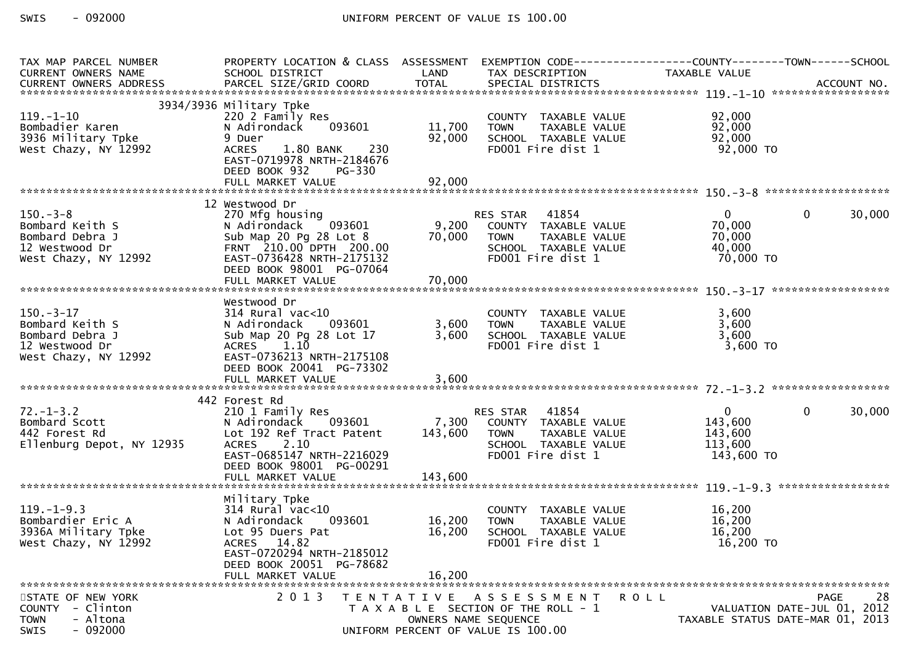| TAX MAP PARCEL NUMBER<br>CURRENT OWNERS NAME<br>CURRENT OWNERS ADDRESS                          | PROPERTY LOCATION & CLASS ASSESSMENT<br>SCHOOL DISTRICT                                                                                                                                    | LAND               | TAX DESCRIPTION                                                                                                            | EXEMPTION CODE-----------------COUNTY-------TOWN------SCHOOL<br>TAXABLE VALUE                   |
|-------------------------------------------------------------------------------------------------|--------------------------------------------------------------------------------------------------------------------------------------------------------------------------------------------|--------------------|----------------------------------------------------------------------------------------------------------------------------|-------------------------------------------------------------------------------------------------|
| $119. - 1 - 10$<br>Bombadier Karen<br>3936 Military Tpke<br>West Chazy, NY 12992                | 3934/3936 Military Tpke<br>220 2 Family Res<br>093601<br>N Adirondack<br>9 Duer<br>1.80 BANK<br>230<br><b>ACRES</b><br>EAST-0719978 NRTH-2184676<br>DEED BOOK 932<br>PG-330                | 11,700<br>92,000   | COUNTY TAXABLE VALUE<br><b>TOWN</b><br>TAXABLE VALUE<br>SCHOOL TAXABLE VALUE<br>FD001 Fire dist 1                          | 92,000<br>92,000<br>92,000<br>92,000 TO                                                         |
|                                                                                                 |                                                                                                                                                                                            |                    |                                                                                                                            |                                                                                                 |
| $150 - 3 - 8$<br>Bombard Keith S<br>Bombard Debra J<br>12 Westwood Dr<br>West Chazy, NY 12992   | 12 Westwood Dr<br>270 Mfg housing<br>N Adirondack 093601<br>Sub Map 20 Pg 28 Lot 8<br>FRNT 210.00 DPTH 200.00<br>EAST-0736428 NRTH-2175132<br>DEED BOOK 98001 PG-07064                     | 70,000             | RES STAR 41854<br>9,200 COUNTY TAXABLE VALUE<br>TAXABLE VALUE<br><b>TOWN</b><br>SCHOOL TAXABLE VALUE<br>FD001 Fire dist 1  | $\mathbf{0}$<br>30,000<br>$\mathbf{0}$<br>70,000<br>70,000<br>40,000<br>70,000 TO               |
|                                                                                                 |                                                                                                                                                                                            |                    |                                                                                                                            |                                                                                                 |
| $150.-3-17$<br>Bombard Keith S<br>Bombard Debra J<br>12 Westwood Dr<br>West Chazy, NY 12992     | Westwood Dr<br>$314$ Rural vac<10<br>093601<br>N Adirondack<br>Sub Map 20 Pg 28 Lot 17<br>ACRES 1.10<br>EAST-0736213 NRTH-2175108<br>DEED BOOK 20041 PG-73302                              | 3,600<br>3,600     | COUNTY TAXABLE VALUE<br><b>TOWN</b><br>TAXABLE VALUE<br>SCHOOL TAXABLE VALUE<br>FD001 Fire dist 1                          | 3,600<br>3,600<br>3,600<br>$3,600$ TO                                                           |
|                                                                                                 |                                                                                                                                                                                            |                    |                                                                                                                            |                                                                                                 |
| $72. - 1 - 3.2$<br>Bombard Scott<br>442 Forest Rd<br>Ellenburg Depot, NY 12935                  | 442 Forest Rd<br>210 1 Family Res<br>N Adirondack 093601<br>Lot 192 Ref Tract Patent<br><b>ACRES</b><br>2.10<br>EAST-0685147 NRTH-2216029<br>DEED BOOK 98001 PG-00291<br>FULL MARKET VALUE | 143,600<br>143,600 | 41854<br>RES STAR<br>7,300 COUNTY TAXABLE VALUE<br>TAXABLE VALUE<br>TOWN<br>SCHOOL TAXABLE VALUE<br>FD001 Fire dist 1      | $\overline{0}$<br>$\mathbf{0}$<br>30,000<br>143,600<br>143,600<br>113,600<br>143,600 TO         |
|                                                                                                 | Military Tpke                                                                                                                                                                              |                    |                                                                                                                            |                                                                                                 |
| $119. - 1 - 9.3$<br>Bombardier Eric A<br>3936A Military Tpke<br>West Chazy, NY 12992            | $314$ Rural vac< $10$<br>N Adirondack<br>093601<br>Lot 95 Duers Pat<br>ACRES 14.82<br>EAST-0720294 NRTH-2185012<br>DEED BOOK 20051 PG-78682                                                | 16,200<br>16,200   | COUNTY TAXABLE VALUE<br>TAXABLE VALUE<br><b>TOWN</b><br>SCHOOL TAXABLE VALUE<br>FD001 Fire dist 1                          | 16,200<br>16,200<br>16,200<br>16,200 TO                                                         |
|                                                                                                 | FULL MARKET VALUE                                                                                                                                                                          | 16,200             |                                                                                                                            |                                                                                                 |
| STATE OF NEW YORK<br>- Clinton<br><b>COUNTY</b><br>- Altona<br><b>TOWN</b><br>$-092000$<br>SWIS | 2 0 1 3                                                                                                                                                                                    | T E N T A T I V E  | A S S E S S M E N T<br>T A X A B L E SECTION OF THE ROLL - 1<br>OWNERS NAME SEQUENCE<br>UNIFORM PERCENT OF VALUE IS 100.00 | 28<br><b>PAGE</b><br>R O L L<br>VALUATION DATE-JUL 01, 2012<br>TAXABLE STATUS DATE-MAR 01, 2013 |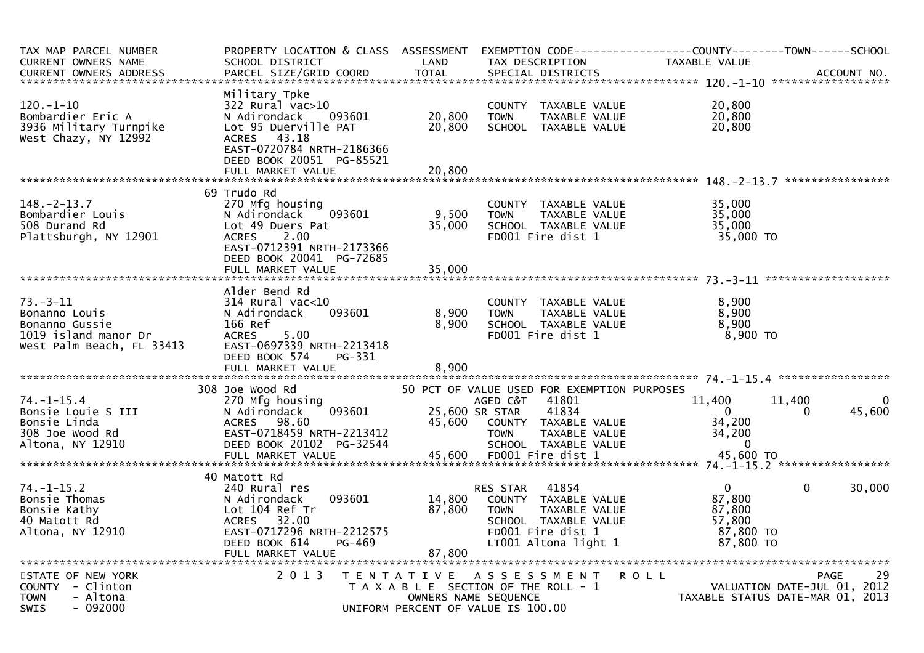| TAX MAP PARCEL NUMBER<br><b>CURRENT OWNERS NAME</b><br><b>CURRENT OWNERS ADDRESS</b>                   | PROPERTY LOCATION & CLASS ASSESSMENT EXEMPTION CODE----------------COUNTY--------TOWN------SCHOOL<br>SCHOOL DISTRICT<br>PARCEL SIZE/GRID COORD                                     | LAND<br><b>TOTAL</b>       | TAX DESCRIPTION<br>SPECIAL DISTRICTS                                                                                                           | TAXABLE VALUE                                                        | ACCOUNT NO.                                                     |
|--------------------------------------------------------------------------------------------------------|------------------------------------------------------------------------------------------------------------------------------------------------------------------------------------|----------------------------|------------------------------------------------------------------------------------------------------------------------------------------------|----------------------------------------------------------------------|-----------------------------------------------------------------|
|                                                                                                        |                                                                                                                                                                                    |                            |                                                                                                                                                |                                                                      |                                                                 |
| $120. - 1 - 10$<br>Bombardier Eric A<br>3936 Military Turnpike<br>West Chazy, NY 12992                 | Military Tpke<br>322 Rural vac>10<br>N Adirondack<br>093601<br>Lot 95 Duerville PAT<br>ACRES 43.18<br>EAST-0720784 NRTH-2186366<br>DEED BOOK 20051 PG-85521                        | 20,800<br>20,800           | COUNTY TAXABLE VALUE<br><b>TOWN</b><br>TAXABLE VALUE<br>SCHOOL TAXABLE VALUE                                                                   | 20,800<br>20,800<br>20,800                                           |                                                                 |
|                                                                                                        | FULL MARKET VALUE                                                                                                                                                                  | 20,800                     |                                                                                                                                                |                                                                      |                                                                 |
|                                                                                                        |                                                                                                                                                                                    |                            |                                                                                                                                                |                                                                      |                                                                 |
| $148. - 2 - 13.7$<br>Bombardier Louis<br>508 Durand Rd<br>Plattsburgh, NY 12901                        | 69 Trudo Rd<br>270 Mfg housing<br>093601<br>N Adirondack<br>Lot 49 Duers Pat<br>2.00<br><b>ACRES</b><br>EAST-0712391 NRTH-2173366<br>DEED BOOK 20041 PG-72685<br>FULL MARKET VALUE | 9,500<br>35,000<br>35,000  | COUNTY TAXABLE VALUE<br><b>TOWN</b><br>TAXABLE VALUE<br>SCHOOL TAXABLE VALUE<br>FD001 Fire dist 1                                              | 35,000<br>35,000<br>35,000<br>35,000 TO                              |                                                                 |
|                                                                                                        |                                                                                                                                                                                    |                            |                                                                                                                                                |                                                                      |                                                                 |
| $73. - 3 - 11$<br>Bonanno Louis<br>Bonanno Gussie<br>1019 island manor Dr<br>West Palm Beach, FL 33413 | Alder Bend Rd<br>$314$ Rural vac<10<br>093601<br>N Adirondack<br>166 Ref<br>5.00<br><b>ACRES</b><br>EAST-0697339 NRTH-2213418<br>DEED BOOK 574<br>PG-331<br>FULL MARKET VALUE      | 8,900<br>8,900<br>8,900    | COUNTY TAXABLE VALUE<br><b>TOWN</b><br>TAXABLE VALUE<br>SCHOOL TAXABLE VALUE<br>FD001 Fire dist 1                                              | 8,900<br>8,900<br>8,900<br>8,900 TO                                  |                                                                 |
|                                                                                                        | 308 Joe Wood Rd                                                                                                                                                                    |                            | 50 PCT OF VALUE USED FOR EXEMPTION PURPOSES                                                                                                    |                                                                      |                                                                 |
| $74. - 1 - 15.4$<br>Bonsie Louie S III<br>Bonsie Linda<br>308 Joe Wood Rd<br>Altona, NY 12910          | 270 Mfg housing<br>N Adirondack<br>093601<br><b>ACRES</b><br>98.60<br>EAST-0718459 NRTH-2213412<br>DEED BOOK 20102 PG-32544                                                        | 45,600                     | 41801<br>AGED C&T<br>25,600 SR STAR<br>41834<br>COUNTY TAXABLE VALUE<br><b>TOWN</b><br>TAXABLE VALUE<br>SCHOOL TAXABLE VALUE                   | 11,400<br>$\Omega$<br>34,200<br>34,200<br>$\Omega$                   | 11,400<br>45,600<br>$\Omega$                                    |
|                                                                                                        | 40 Matott Rd                                                                                                                                                                       |                            |                                                                                                                                                |                                                                      |                                                                 |
| $74. - 1 - 15.2$<br>Bonsie Thomas<br>Bonsie Kathy<br>40 Matott Rd<br>Altona, NY 12910                  | 240 Rural res<br>N Adirondack<br>093601<br>Lot 104 Ref Tr<br>32.00<br>ACRES<br>EAST-0717296 NRTH-2212575<br>DEED BOOK 614<br>PG-469<br>FULL MARKET VALUE                           | 14,800<br>87,800<br>87,800 | 41854<br>RES STAR<br>COUNTY TAXABLE VALUE<br>TAXABLE VALUE<br><b>TOWN</b><br>SCHOOL TAXABLE VALUE<br>FD001 Fire dist 1<br>LT001 Altona light 1 | $\mathbf{0}$<br>87,800<br>87,800<br>57.800<br>87,800 TO<br>87,800 TO | $\mathbf{0}$<br>30,000                                          |
| STATE OF NEW YORK                                                                                      | 2 0 1 3<br>T E N T A T I V E                                                                                                                                                       |                            | ASSESSMENT                                                                                                                                     | <b>ROLL</b>                                                          | PAGE                                                            |
| COUNTY - Clinton<br><b>TOWN</b><br>- Altona<br><b>SWIS</b><br>$-092000$                                |                                                                                                                                                                                    |                            | T A X A B L E SECTION OF THE ROLL - 1<br>OWNERS NAME SEQUENCE<br>UNIFORM PERCENT OF VALUE IS 100.00                                            |                                                                      | VALUATION DATE-JUL 01, 2012<br>TAXABLE STATUS DATE-MAR 01, 2013 |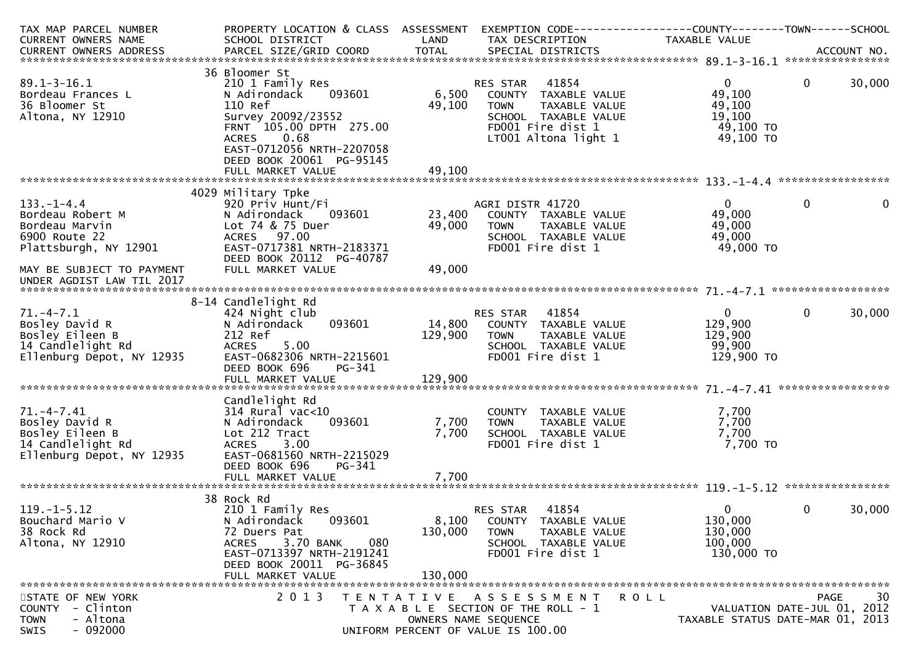| TAX MAP PARCEL NUMBER      | PROPERTY LOCATION & CLASS ASSESSMENT          |         | EXEMPTION CODE-----------------COUNTY--------TOWN------SCHOOL |                                  |                             |              |
|----------------------------|-----------------------------------------------|---------|---------------------------------------------------------------|----------------------------------|-----------------------------|--------------|
| CURRENT OWNERS NAME        | SCHOOL DISTRICT                               | LAND    | TAX DESCRIPTION                                               | TAXABLE VALUE                    |                             |              |
|                            |                                               |         |                                                               |                                  |                             |              |
|                            |                                               |         |                                                               |                                  |                             |              |
|                            | 36 Bloomer St                                 |         |                                                               |                                  |                             |              |
| $89.1 - 3 - 16.1$          | 210 1 Family Res<br>093601<br>N Adirondack    |         | 41854<br>RES STAR                                             | $\Omega$<br>49,100               | 30,000<br>$\mathbf{0}$      |              |
| Bordeau Frances L          |                                               | 6,500   | COUNTY TAXABLE VALUE                                          |                                  |                             |              |
| 36 Bloomer St              | 110 Ref                                       | 49,100  | TAXABLE VALUE<br><b>TOWN</b>                                  | 49,100                           |                             |              |
| Altona, NY 12910           | Survey 20092/23552<br>FRNT 105.00 DPTH 275.00 |         | SCHOOL TAXABLE VALUE                                          | 19,100                           |                             |              |
|                            | 0.68<br><b>ACRES</b>                          |         | FD001 Fire dist 1<br>LT001 Altona light 1                     | 49,100 TO<br>49,100 TO           |                             |              |
|                            | EAST-0712056 NRTH-2207058                     |         |                                                               |                                  |                             |              |
|                            | DEED BOOK 20061 PG-95145                      |         |                                                               |                                  |                             |              |
|                            | FULL MARKET VALUE                             | 49,100  |                                                               |                                  |                             |              |
|                            |                                               |         |                                                               |                                  |                             |              |
|                            | 4029 Military Tpke                            |         |                                                               |                                  |                             |              |
| $133. - 1 - 4.4$           | 920 Priv Hunt/Fi                              |         | AGRI DISTR 41720                                              | $\mathbf{0}$                     | $\mathbf{0}$                | $\mathbf{0}$ |
| Bordeau Robert M           | N Adirondack<br>093601                        | 23,400  | COUNTY TAXABLE VALUE                                          | 49,000                           |                             |              |
| Bordeau Marvin             | Lot 74 & 75 Duer                              | 49,000  | TAXABLE VALUE<br><b>TOWN</b>                                  | 49,000                           |                             |              |
| 6900 Route 22              | ACRES 97.00                                   |         | SCHOOL TAXABLE VALUE                                          | 49,000                           |                             |              |
| Plattsburgh, NY 12901      | EAST-0717381 NRTH-2183371                     |         | FD001 Fire dist 1                                             | 49,000 TO                        |                             |              |
|                            | DEED BOOK 20112 PG-40787                      |         |                                                               |                                  |                             |              |
| MAY BE SUBJECT TO PAYMENT  | FULL MARKET VALUE                             | 49,000  |                                                               |                                  |                             |              |
| UNDER AGDIST LAW TIL 2017  |                                               |         |                                                               |                                  |                             |              |
|                            |                                               |         |                                                               |                                  |                             |              |
|                            | 8-14 Candlelight Rd                           |         |                                                               |                                  |                             |              |
| $71. - 4 - 7.1$            | 424 Night club                                |         | 41854<br>RES STAR                                             | $\mathbf{0}$                     | $\mathbf 0$<br>30,000       |              |
| Bosley David R             | 093601<br>N Adirondack                        | 14,800  | COUNTY TAXABLE VALUE                                          | 129,900                          |                             |              |
| Bosley Eileen B            | 212 Ref                                       | 129,900 | TAXABLE VALUE<br><b>TOWN</b>                                  | 129,900                          |                             |              |
| 14 Candlelight Rd          | 5.00<br><b>ACRES</b>                          |         | SCHOOL TAXABLE VALUE                                          | 99,900                           |                             |              |
| Ellenburg Depot, NY 12935  | EAST-0682306 NRTH-2215601                     |         | FD001 Fire dist 1                                             | 129,900 TO                       |                             |              |
|                            | DEED BOOK 696<br>PG-341                       |         |                                                               |                                  |                             |              |
|                            |                                               |         |                                                               |                                  |                             |              |
|                            |                                               |         |                                                               |                                  |                             |              |
|                            | Candlelight Rd                                |         |                                                               |                                  |                             |              |
| $71. -4 - 7.41$            | $314$ Rural vac< $10$                         |         | COUNTY TAXABLE VALUE                                          | 7,700                            |                             |              |
| Bosley David R             | N Adirondack<br>093601                        | 7,700   | TAXABLE VALUE<br><b>TOWN</b>                                  | 7,700                            |                             |              |
| Bosley Eileen B            | Lot 212 Tract                                 | 7,700   | SCHOOL TAXABLE VALUE                                          | 7,700                            |                             |              |
| 14 Candlelight Rd          | 3.00<br><b>ACRES</b>                          |         | FD001 Fire dist 1                                             | 7,700 TO                         |                             |              |
| Ellenburg Depot, NY 12935  | EAST-0681560 NRTH-2215029                     |         |                                                               |                                  |                             |              |
|                            | DEED BOOK 696<br>PG-341                       |         |                                                               |                                  |                             |              |
|                            |                                               |         |                                                               |                                  |                             |              |
|                            | 38 Rock Rd                                    |         |                                                               |                                  |                             |              |
| $119. - 1 - 5.12$          | 210 1 Family Res                              |         | 41854<br>RES STAR                                             | $\mathbf{0}$                     | $\mathbf 0$<br>30,000       |              |
| Bouchard Mario V           | 093601<br>N Adirondack                        | 8,100   | TAXABLE VALUE<br>COUNTY                                       | 130,000                          |                             |              |
| 38 Rock Rd                 | 72 Duers Pat                                  | 130,000 | <b>TOWN</b><br>TAXABLE VALUE                                  | 130,000                          |                             |              |
| Altona, NY 12910           | 3.70 BANK<br><b>ACRES</b><br>080              |         | SCHOOL TAXABLE VALUE                                          | 100,000                          |                             |              |
|                            | EAST-0713397 NRTH-2191241                     |         | FD001 Fire dist 1                                             | 130,000 TO                       |                             |              |
|                            | DEED BOOK 20011 PG-36845                      |         |                                                               |                                  |                             |              |
|                            | FULL MARKET VALUE                             | 130,000 |                                                               |                                  |                             |              |
|                            |                                               |         |                                                               |                                  |                             |              |
| STATE OF NEW YORK          | 2013                                          |         | TENTATIVE ASSESSMENT                                          | R O L L                          | <b>PAGE</b>                 | 30           |
| - Clinton<br><b>COUNTY</b> |                                               |         | T A X A B L E SECTION OF THE ROLL - 1                         |                                  | VALUATION DATE-JUL 01, 2012 |              |
| - Altona<br><b>TOWN</b>    |                                               |         | OWNERS NAME SEQUENCE                                          | TAXABLE STATUS DATE-MAR 01, 2013 |                             |              |
| $-092000$<br>SWIS          |                                               |         | UNIFORM PERCENT OF VALUE IS 100.00                            |                                  |                             |              |
|                            |                                               |         |                                                               |                                  |                             |              |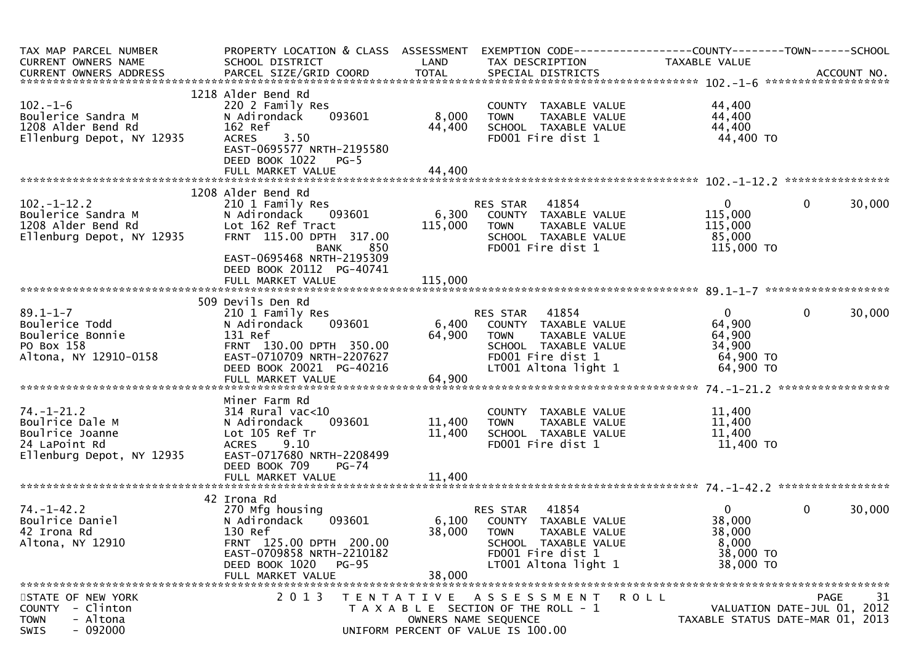| TAX MAP PARCEL NUMBER<br>CURRENT OWNERS NAME<br>CURRENT OWNERS ADDRESS                               | PROPERTY LOCATION & CLASS ASSESSMENT<br>SCHOOL DISTRICT                                                                                                                                         | LAND                      | EXEMPTION CODE------------------COUNTY--------TOWN------SCHOOL<br>TAX DESCRIPTION                                                              | TAXABLE VALUE                                                          |                                                                               |
|------------------------------------------------------------------------------------------------------|-------------------------------------------------------------------------------------------------------------------------------------------------------------------------------------------------|---------------------------|------------------------------------------------------------------------------------------------------------------------------------------------|------------------------------------------------------------------------|-------------------------------------------------------------------------------|
| $102 - 1 - 6$<br>Boulerice Sandra M<br>1208 Alder Bend Rd<br>Ellenburg Depot, NY 12935               | 1218 Alder Bend Rd<br>220 2 Family Res<br>093601<br>N Adirondack<br>162 Ref<br><b>ACRES</b><br>3.50<br>EAST-0695577 NRTH-2195580<br>DEED BOOK 1022 PG-5                                         | 8,000<br>44,400           | COUNTY TAXABLE VALUE<br><b>TOWN</b><br>TAXABLE VALUE<br>SCHOOL TAXABLE VALUE<br>FD001 Fire dist 1                                              | 44,400<br>44,400<br>44,400<br>44,400 TO                                |                                                                               |
|                                                                                                      |                                                                                                                                                                                                 |                           |                                                                                                                                                |                                                                        |                                                                               |
| $102 - 1 - 12.2$<br>Boulerice Sandra M<br>1208 Alder Bend Rd<br>Ellenburg Depot, NY 12935            | 1208 Alder Bend Rd<br>210 1 Family Res<br>093601<br>N Adirondack<br>Lot 162 Ref Tract<br>FRNT 115.00 DPTH 317.00<br><b>BANK</b><br>850<br>EAST-0695468 NRTH-2195309<br>DEED BOOK 20112 PG-40741 | 6,300<br>115,000          | 41854<br>RES STAR<br>COUNTY TAXABLE VALUE<br>TAXABLE VALUE<br>TOWN<br>SCHOOL TAXABLE VALUE<br>FD001 Fire dist 1                                | $\overline{0}$<br>115,000<br>115,000<br>85,000<br>115,000 TO           | 30,000<br>$\mathbf{0}$                                                        |
|                                                                                                      |                                                                                                                                                                                                 |                           |                                                                                                                                                |                                                                        |                                                                               |
|                                                                                                      | 509 Devils Den Rd                                                                                                                                                                               |                           |                                                                                                                                                |                                                                        |                                                                               |
| $89.1 - 1 - 7$<br>Boulerice Todd<br>Boulerice Bonnie<br>PO Box 158<br>Altona, NY 12910-0158          | 210 1 Family Res<br>093601<br>N Adirondack<br>131 Ref<br>FRNT 130.00 DPTH 350.00<br>EAST-0710709 NRTH-2207627<br>DEED BOOK 20021 PG-40216                                                       | 6,400<br>64,900           | RES STAR 41854<br>COUNTY TAXABLE VALUE<br><b>TOWN</b><br>TAXABLE VALUE<br>SCHOOL TAXABLE VALUE<br>FD001 Fire dist 1<br>LT001 Altona light 1    | $\overline{0}$<br>64,900<br>64,900<br>34,900<br>64,900 TO<br>64,900 TO | $\mathbf{0}$<br>30,000                                                        |
|                                                                                                      | Miner Farm Rd                                                                                                                                                                                   |                           |                                                                                                                                                |                                                                        |                                                                               |
| $74. - 1 - 21.2$<br>Boulrice Dale M<br>Boulrice Joanne<br>24 LaPoint Rd<br>Ellenburg Depot, NY 12935 | 314 Rural vac<10<br>093601<br>N Adirondack<br>Lot 105 Ref Tr<br><b>ACRES</b><br>9.10<br>EAST-0717680 NRTH-2208499<br>DEED BOOK 709<br>$PG-74$                                                   | 11,400<br>11,400          | COUNTY TAXABLE VALUE<br>TAXABLE VALUE<br><b>TOWN</b><br>SCHOOL TAXABLE VALUE<br>FD001 Fire dist 1                                              | 11,400<br>11,400<br>11,400<br>11,400 TO                                |                                                                               |
|                                                                                                      |                                                                                                                                                                                                 |                           |                                                                                                                                                |                                                                        |                                                                               |
| $74. - 1 - 42.2$<br>Boulrice Daniel<br>42 Irona Rd<br>Altona, NY 12910                               | 42 Irona Rd<br>270 Mfg housing<br>N Adirondack<br>093601<br>130 Ref<br>FRNT 125.00 DPTH 200.00<br>EAST-0709858 NRTH-2210182<br>DEED BOOK 1020 PG-95<br>FULL MARKET VALUE                        | 6,100<br>38,000<br>38,000 | 41854<br>RES STAR<br>COUNTY TAXABLE VALUE<br><b>TOWN</b><br>TAXABLE VALUE<br>SCHOOL TAXABLE VALUE<br>FD001 Fire dist 1<br>LT001 Altona light 1 | $\mathbf{0}$<br>38,000<br>38,000<br>8,000<br>38,000 TO<br>38,000 TO    | $\mathbf 0$<br>30,000                                                         |
| STATE OF NEW YORK<br>COUNTY - Clinton<br>- Altona<br><b>TOWN</b><br>$-092000$<br>SWIS                | 2 0 1 3                                                                                                                                                                                         |                           | TENTATIVE ASSESSMENT<br>T A X A B L E SECTION OF THE ROLL - 1<br>OWNERS NAME SEQUENCE<br>UNIFORM PERCENT OF VALUE IS 100.00                    | R O L L                                                                | 31<br>PAGE<br>VALUATION DATE-JUL 01, 2012<br>TAXABLE STATUS DATE-MAR 01, 2013 |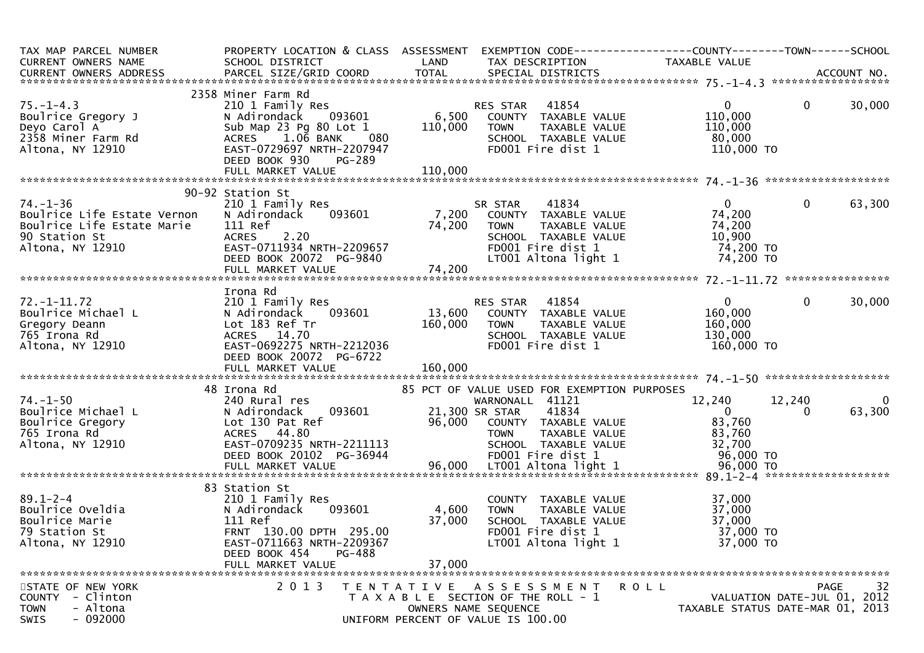| TAX MAP PARCEL NUMBER<br><b>CURRENT OWNERS NAME</b>                                                      | PROPERTY LOCATION & CLASS ASSESSMENT<br>SCHOOL DISTRICT                                                                                                                                                                                                              |                           | EXEMPTION CODE-----------------COUNTY-------TOWN------SCHOOL<br>LAND TAX DESCRIPTION                                                         | TAXABLE VALUE                                                 |                                                                               |
|----------------------------------------------------------------------------------------------------------|----------------------------------------------------------------------------------------------------------------------------------------------------------------------------------------------------------------------------------------------------------------------|---------------------------|----------------------------------------------------------------------------------------------------------------------------------------------|---------------------------------------------------------------|-------------------------------------------------------------------------------|
|                                                                                                          |                                                                                                                                                                                                                                                                      |                           |                                                                                                                                              |                                                               |                                                                               |
| $75. - 1 - 4.3$<br>Boulrice Gregory J<br>Deyo Carol A<br>2358 Miner Farm Rd<br>Altona, NY 12910          | 2358 Miner Farm Rd<br>Winer Farm Rd<br>210 1 Family Res<br>N Adirondack 093601 6,500 COUNTY TAXABLE VALUE<br>Sub Map 23 Pg 80 Lot 1 110,000 TOWN TAXABLE VALUE<br>ACRES 1.06 BANK 080 SCHOOL TAXABLE VALUE<br>TRABLE VALUE<br>TRABLE VALUE<br>TRABLE VALUE<br>TRABLE |                           |                                                                                                                                              | $\mathbf{0}$<br>110,000<br>110,000<br>80,000<br>110,000 TO    | 30,000<br>$\mathbf{0}$                                                        |
|                                                                                                          |                                                                                                                                                                                                                                                                      |                           |                                                                                                                                              |                                                               |                                                                               |
| $74. - 1 - 36$                                                                                           | 90-92 Station St<br>210 1 Family Res                                                                                                                                                                                                                                 |                           |                                                                                                                                              | $\mathbf{0}$                                                  | 63,300<br>$\mathbf{0}$                                                        |
| Boulrice Life Estate Vernon<br>Boulrice Life Estate Marie<br>90 Station St<br>Altona, NY 12910           | N Adirondack 093601<br>111 Ref<br>2.20<br><b>ACRES</b><br>EAST-0711934 NRTH-2209657<br>DEED BOOK 20072 PG-9840                                                                                                                                                       | 74,200<br>74,200          | SR STAR 41834<br>7,200 COUNTY TAXABLE VALUE<br>7,200 TOWN TAXABLE VALUE<br>SCHOOL TAXABLE VALUE<br>FD001 Fire dist 1<br>LT001 Altona light 1 | 74,200<br>74,200<br>10,900<br>74,200 TO<br>74,200 TO          |                                                                               |
|                                                                                                          |                                                                                                                                                                                                                                                                      |                           |                                                                                                                                              |                                                               |                                                                               |
| $72. - 1 - 11.72$<br>72.-1-11.72<br>Boulrice Michael L<br>Anny Deann<br>765 Irona Rd<br>Altona, NY 12910 | Irona Rd<br>210 1 Family Res<br>N Adirondack<br>093601<br>Lot 183 Ref Tr<br>ACRES 14.70<br>EAST-0692275 NRTH-2212036<br>DEED BOOK 20072 PG-6722                                                                                                                      | 160,000                   | RES STAR 41854<br>13,600 COUNTY TAXABLE VALUE<br><b>TOWN</b><br>TAXABLE VALUE<br>SCHOOL TAXABLE VALUE<br>FD001 Fire dist 1                   | $\overline{0}$<br>160,000<br>160,000<br>130,000<br>160,000 TO | $\mathbf{0}$<br>30,000                                                        |
|                                                                                                          | 48 Irona Rd                                                                                                                                                                                                                                                          |                           | 85 PCT OF VALUE USED FOR EXEMPTION PURPOSES                                                                                                  |                                                               |                                                                               |
| $74. - 1 - 50$<br>pourrice michael L<br>Boulrice Gregory<br>765 Irona Rd<br>Altona, NY 12910             | 240 Rural res<br>N Adirondack<br>Lot 130 Pat Ref<br>ACRES 44.80<br>EAST-0709235 NRTH-2211113                                                                                                                                                                         |                           | WARNONALL 41121<br>41834<br>96,000 COUNTY TAXABLE VALUE<br><b>TOWN</b><br>TAXABLE VALUE<br>SCHOOL TAXABLE VALUE                              | 12,240<br>$\overline{0}$<br>83,760<br>83,760<br>32,700        | 12,240<br>0<br>63,300<br>0                                                    |
|                                                                                                          | 83 Station St                                                                                                                                                                                                                                                        |                           |                                                                                                                                              |                                                               |                                                                               |
| 89.1-2-4<br>Boulrice Oveldia<br>Boulrice Marie<br>79 Station St<br>Altona, NY 12910                      | 210 1 Family Res<br>N Adirondack<br>093601<br>111 Ref<br>FRNT 130.00 DPTH 295.00<br>EAST-0711663 NRTH-2209367<br>DEED BOOK 454<br>PG-488<br>FULL MARKET VALUE                                                                                                        | 4,600<br>37,000<br>37,000 | COUNTY TAXABLE VALUE<br>TAXABLE VALUE<br><b>TOWN</b><br>SCHOOL TAXABLE VALUE<br>FD001 Fire dist 1<br>LT001 Altona light 1                    | 37,000<br>37,000<br>37,000<br>37,000 TO<br>37,000 TO          |                                                                               |
| STATE OF NEW YORK<br>COUNTY - Clinton<br>- Altona<br><b>TOWN</b><br>$-092000$<br>SWIS                    | 2 0 1 3                                                                                                                                                                                                                                                              | T E N T A T I V E         | A S S E S S M E N T<br>T A X A B L E SECTION OF THE ROLL - 1<br>OWNERS NAME SEQUENCE<br>UNIFORM PERCENT OF VALUE IS 100.00                   | R O L L                                                       | 32<br>PAGE<br>VALUATION DATE-JUL 01, 2012<br>TAXABLE STATUS DATE-MAR 01, 2013 |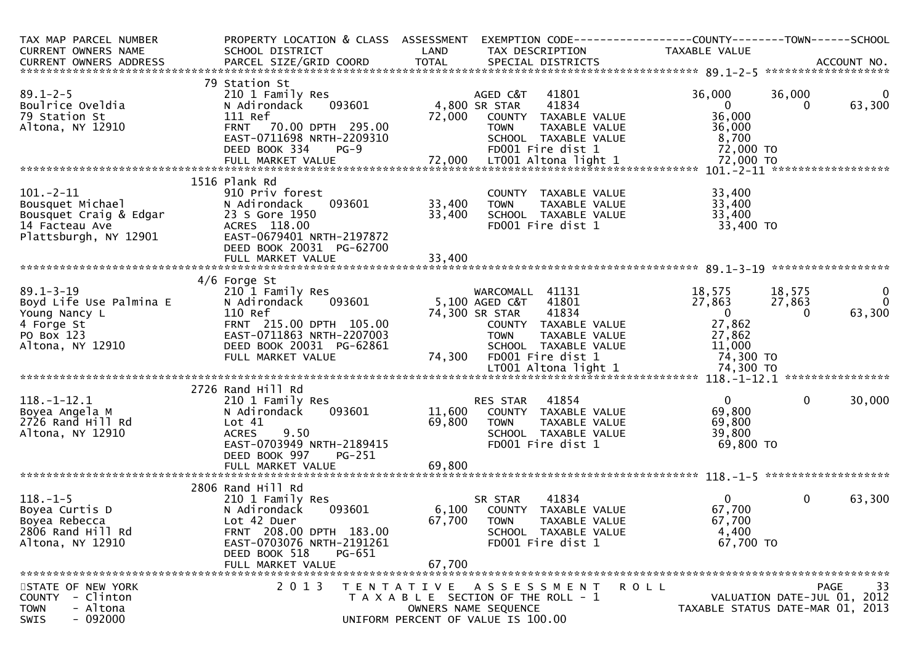| TAX MAP PARCEL NUMBER<br>CURRENT OWNERS NAME                                                                          | PROPERTY LOCATION & CLASS ASSESSMENT<br>SCHOOL DISTRICT                                                                                                                        | LAND                       | EXEMPTION CODE-----------------COUNTY-------TOWN------SCHOOL<br>TAX DESCRIPTION                                                                       | TAXABLE VALUE                                                    |                              |                                      |
|-----------------------------------------------------------------------------------------------------------------------|--------------------------------------------------------------------------------------------------------------------------------------------------------------------------------|----------------------------|-------------------------------------------------------------------------------------------------------------------------------------------------------|------------------------------------------------------------------|------------------------------|--------------------------------------|
|                                                                                                                       |                                                                                                                                                                                |                            |                                                                                                                                                       |                                                                  |                              |                                      |
|                                                                                                                       |                                                                                                                                                                                |                            |                                                                                                                                                       |                                                                  |                              |                                      |
| $89.1 - 2 - 5$<br>Boulrice Oveldia<br>79 Station St<br>Altona, NY 12910                                               | 79 Station St<br>210 1 Family Res<br>093601<br>N Adirondack<br>111 Ref<br>FRNT 70.00 DPTH 295.00                                                                               | 72,000                     | AGED C&T<br>41801<br>4,800 SR STAR<br>41834<br>COUNTY TAXABLE VALUE<br><b>TOWN</b><br>TAXABLE VALUE                                                   | 36,000<br>$\overline{0}$<br>36,000<br>36,000                     | 36,000<br>0                  | $\mathbf 0$<br>63,300                |
|                                                                                                                       | EAST-0711698 NRTH-2209310<br>DEED BOOK 334<br>$PG-9$                                                                                                                           |                            | SCHOOL TAXABLE VALUE<br>FD001 Fire dist 1                                                                                                             | 8,700<br>72,000 TO                                               |                              |                                      |
| $101. - 2 - 11$<br>101.-2-11<br>Bousquet Michael<br>Bousquet Craig & Edgar<br>14 Facteau Ave<br>Plattsburgh, NY 12901 | 1516 Plank Rd<br>910 Priv forest<br>N Adirondack<br>093601<br>23 S Gore 1950<br>ACRES 118.00<br>EAST-0679401 NRTH-2197872<br>DEED BOOK 20031 PG-62700                          | 33,400<br>33,400           | COUNTY TAXABLE VALUE<br>TAXABLE VALUE<br><b>TOWN</b><br>SCHOOL TAXABLE VALUE<br>FD001 Fire dist 1                                                     | 33,400<br>33,400<br>33,400<br>33,400 TO                          |                              |                                      |
|                                                                                                                       |                                                                                                                                                                                |                            |                                                                                                                                                       |                                                                  |                              |                                      |
| $89.1 - 3 - 19$<br>Boyd Life Use Palmina E<br>Young Nancy L<br>4 Forge St<br>PO Box 123<br>Altona, NY 12910           | $4/6$ Forge St<br>210 1 Family Res<br>093601<br>N Adirondack<br>110 Ref<br>FRNT 215.00 DPTH 105.00<br>EAST-0711863 NRTH-2207003<br>DEED BOOK 20031 PG-62861                    |                            | WARCOMALL 41131<br>41801<br>5,100 AGED C&T<br>41834<br>74,300 SR STAR<br>COUNTY TAXABLE VALUE<br><b>TOWN</b><br>TAXABLE VALUE<br>SCHOOL TAXABLE VALUE | 18,575<br>27,863<br>$\overline{0}$<br>27,862<br>27,862<br>11,000 | 18,575<br>27,863<br>$\Omega$ | $\mathbf 0$<br>$\mathbf 0$<br>63,300 |
|                                                                                                                       | FULL MARKET VALUE                                                                                                                                                              | 74,300                     | FD001 Fire dist 1                                                                                                                                     | 74,300 TO                                                        |                              |                                      |
| $118.-1-12.1$<br>Boyea Angela M<br>2726 Rand Hill Rd<br>Altona, NY 12910                                              | 2726 Rand Hill Rd<br>210 1 Family Res<br>093601<br>N Adirondack<br>Lot 41<br><b>ACRES</b><br>9.50<br>EAST-0703949 NRTH-2189415<br>DEED BOOK 997<br>PG-251<br>FULL MARKET VALUE | 11,600<br>69,800<br>69,800 | 41854<br>RES STAR<br>COUNTY TAXABLE VALUE<br>TAXABLE VALUE<br><b>TOWN</b><br>SCHOOL TAXABLE VALUE<br>FD001 Fire dist 1                                | $\Omega$<br>69,800<br>69,800<br>39,800<br>69,800 TO              | $\mathbf{0}$                 | 30,000                               |
|                                                                                                                       | 2806 Rand Hill Rd                                                                                                                                                              |                            |                                                                                                                                                       |                                                                  |                              |                                      |
| $118. - 1 - 5$<br>Boyea Curtis D<br>Boyea Rebecca<br>2806 Rand Hill Rd<br>Altona, NY 12910                            | 210 1 Family Res<br>093601<br>N Adirondack<br>Lot 42 Duer<br>FRNT 208.00 DPTH 183.00<br>EAST-0703076 NRTH-2191261<br>DEED BOOK 518<br>PG-651<br>FULL MARKET VALUE              | 6,100<br>67,700<br>67,700  | 41834<br>SR STAR<br>COUNTY TAXABLE VALUE<br><b>TOWN</b><br>TAXABLE VALUE<br>SCHOOL TAXABLE VALUE<br>FD001 Fire dist 1                                 | 0<br>67,700<br>67,700<br>4,400<br>67,700 TO                      | $\mathbf{0}$                 | 63,300                               |
|                                                                                                                       |                                                                                                                                                                                |                            |                                                                                                                                                       |                                                                  |                              |                                      |
| STATE OF NEW YORK<br>- Clinton<br><b>COUNTY</b><br>- Altona<br><b>TOWN</b><br>$-092000$<br>SWIS                       | 2 0 1 3                                                                                                                                                                        |                            | TENTATIVE ASSESSMENT<br>T A X A B L E SECTION OF THE ROLL - 1<br>OWNERS NAME SEOUENCE<br>UNIFORM PERCENT OF VALUE IS 100.00                           | R O L L<br>TAXABLE STATUS DATE-MAR 01, 2013                      | VALUATION DATE-JUL 01, 2012  | 33<br>PAGE                           |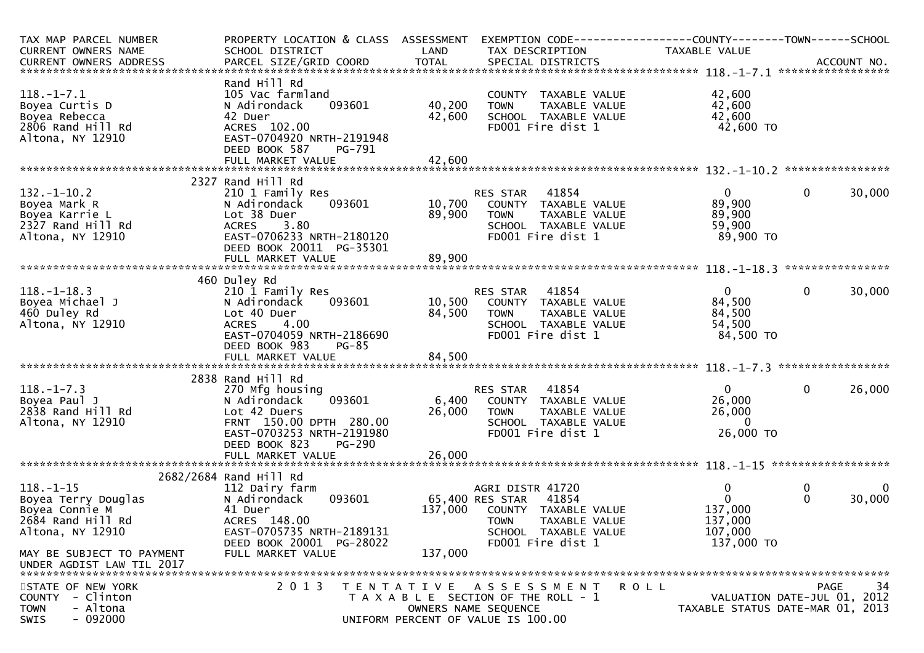| TAX MAP PARCEL NUMBER<br>CURRENT OWNERS NAME<br>.4CCOUNT NO . PARCEL SIZE/GRID COORD TOTAL SPECIAL DISTRICTS . ACCOUNT NO . ACCOUNT NO . ACCOUNT NO . بالمحدثة المستوى المستوى المستوى المستوى المستوى المستوى المستوى المستوى المستوى المستوى المستوى المستوى المستوى المستوى | PROPERTY LOCATION & CLASS ASSESSMENT<br>SCHOOL DISTRICT                                                                                                                     | LAND                       | EXEMPTION CODE-----------------COUNTY-------TOWN------SCHOOL<br>TAX DESCRIPTION                                                                   | TAXABLE VALUE                                                    |                                                                                      |
|--------------------------------------------------------------------------------------------------------------------------------------------------------------------------------------------------------------------------------------------------------------------------------|-----------------------------------------------------------------------------------------------------------------------------------------------------------------------------|----------------------------|---------------------------------------------------------------------------------------------------------------------------------------------------|------------------------------------------------------------------|--------------------------------------------------------------------------------------|
| $118. - 1 - 7.1$<br>Boyea Curtis D<br>Boyea Rebecca<br>2806 Rand Hill Rd<br>Altona, NY 12910                                                                                                                                                                                   | Rand Hill Rd<br>105 Vac farmland<br>093601<br>N Adirondack<br>42 Duer<br>ACRES 102.00<br>EAST-0704920 NRTH-2191948<br>DEED BOOK 587<br>PG-791                               | 40,200<br>42,600           | COUNTY TAXABLE VALUE<br>TAXABLE VALUE<br><b>TOWN</b><br>SCHOOL TAXABLE VALUE<br>FD001 Fire dist 1                                                 | 42,600<br>42,600<br>42,600<br>42,600 TO                          |                                                                                      |
|                                                                                                                                                                                                                                                                                |                                                                                                                                                                             |                            |                                                                                                                                                   |                                                                  |                                                                                      |
| $132. - 1 - 10.2$<br>Boyea Mark R<br>Boyea Karrie L<br>2327 Rand Hill Rd<br>Altona, NY 12910                                                                                                                                                                                   | 2327 Rand Hill Rd<br>210 1 Family Res<br>093601<br>N Adirondack<br>Lot 38 Duer<br><b>ACRES</b><br>3.80<br>EAST-0706233 NRTH-2180120<br>DEED BOOK 20011 PG-35301             | 10,700<br>89,900<br>89,900 | RES STAR<br>41854<br>COUNTY TAXABLE VALUE<br>TAXABLE VALUE<br><b>TOWN</b><br>SCHOOL TAXABLE VALUE<br>FD001 Fire dist 1                            | $\mathbf{0}$<br>89,900<br>89,900<br>59,900<br>89,900 TO          | $\mathbf 0$<br>30,000                                                                |
|                                                                                                                                                                                                                                                                                | FULL MARKET VALUE                                                                                                                                                           |                            |                                                                                                                                                   |                                                                  |                                                                                      |
| $118. - 1 - 18.3$<br>Boyea Michael J<br>460 Duley Rd<br>Altona, NY 12910                                                                                                                                                                                                       | 460 Duley Rd<br>210 1 Family Res<br>093601<br>N Adirondack<br>Lot 40 Duer<br>4.00<br><b>ACRES</b><br>EAST-0704059 NRTH-2186690<br>DEED BOOK 983<br><b>PG-85</b>             | 84,500                     | RES STAR 41854<br>10,500 COUNTY TAXABLE VALUE<br>TAXABLE VALUE<br><b>TOWN</b><br>SCHOOL TAXABLE VALUE<br>FD001 Fire dist 1                        | $\overline{0}$<br>84,500<br>84,500<br>54,500<br>84,500 TO        | $\mathbf 0$<br>30,000                                                                |
|                                                                                                                                                                                                                                                                                |                                                                                                                                                                             |                            |                                                                                                                                                   |                                                                  |                                                                                      |
|                                                                                                                                                                                                                                                                                | 2838 Rand Hill Rd                                                                                                                                                           |                            |                                                                                                                                                   |                                                                  |                                                                                      |
| $118. - 1 - 7.3$<br>Boyea Paul J<br>2838 Rand Hill Rd<br>Altona, NY 12910                                                                                                                                                                                                      | 270 Mfg housing<br>093601<br>N Adirondack<br>Lot 42 Duers<br>FRNT 150.00 DPTH 280.00<br>EAST-0703253 NRTH-2191980<br>DEED BOOK 823<br><b>PG-290</b>                         | 6,400<br>26,000            | 41854<br>RES STAR<br>COUNTY TAXABLE VALUE<br>TAXABLE VALUE<br><b>TOWN</b><br>SCHOOL TAXABLE VALUE<br>FD001 Fire dist 1                            | $\overline{0}$<br>26,000<br>26,000<br>$\bf{0}$<br>26,000 TO      | $\mathbf 0$<br>26,000                                                                |
|                                                                                                                                                                                                                                                                                | FULL MARKET VALUE                                                                                                                                                           | 26,000                     |                                                                                                                                                   |                                                                  |                                                                                      |
| $118.-1-15$<br>Boyea Terry Douglas<br>Boyea Connie M<br>2684 Rand Hill Rd<br>Altona, NY 12910<br>MAY BE SUBJECT TO PAYMENT<br>UNDER AGDIST LAW TIL 2017                                                                                                                        | 2682/2684 Rand Hill Rd<br>112 Dairy farm<br>093601<br>N Adirondack<br>41 Duer<br>ACRES 148.00<br>EAST-0705735 NRTH-2189131<br>DEED BOOK 20001 PG-28022<br>FULL MARKET VALUE | 137,000<br>137,000         | AGRI DISTR 41720<br>65,400 RES STAR<br>41854<br>COUNTY TAXABLE VALUE<br><b>TOWN</b><br>TAXABLE VALUE<br>SCHOOL TAXABLE VALUE<br>FD001 Fire dist 1 | 0<br>$\mathbf{0}$<br>137,000<br>137,000<br>107,000<br>137,000 TO | 0<br>$\mathbf{0}$<br>$\mathbf{0}$<br>30,000                                          |
| STATE OF NEW YORK<br>- Clinton<br><b>COUNTY</b><br>- Altona<br><b>TOWN</b><br>SWIS<br>- 092000                                                                                                                                                                                 | 2 0 1 3                                                                                                                                                                     |                            | TENTATIVE ASSESSMENT<br>T A X A B L E SECTION OF THE ROLL - 1<br>OWNERS NAME SEQUENCE<br>UNIFORM PERCENT OF VALUE IS 100.00                       | R O L L                                                          | 34<br><b>PAGE</b><br>VALUATION DATE-JUL 01, 2012<br>TAXABLE STATUS DATE-MAR 01, 2013 |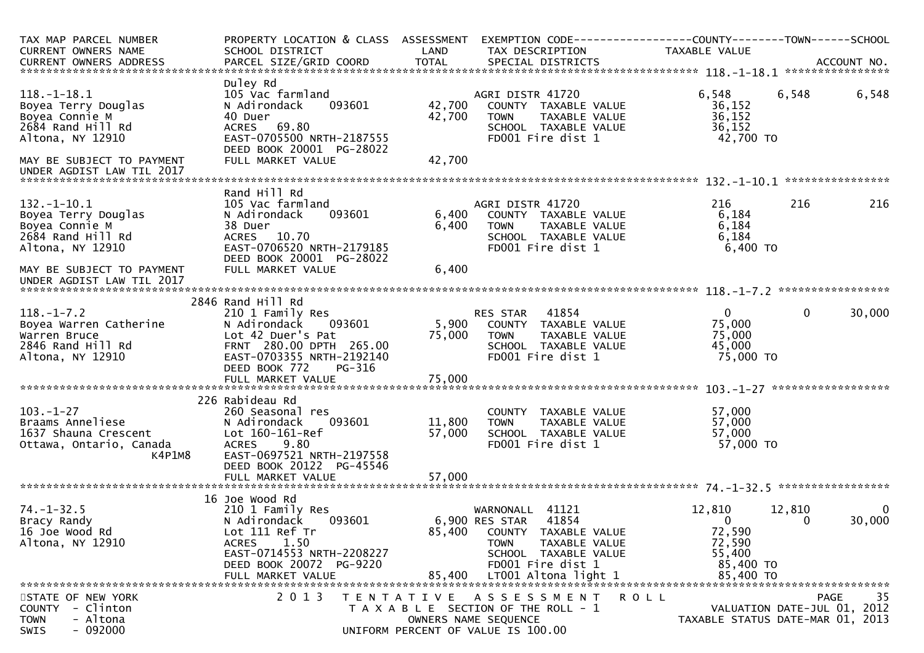| TAX MAP PARCEL NUMBER<br>CURRENT OWNERS NAME<br>CURRENT OWNERS ADDRESS                                                           | PROPERTY LOCATION & CLASS ASSESSMENT<br>SCHOOL DISTRICT<br>PARCEL SIZE/GRID COORD                                                                                                   | LAND<br><b>TOTAL</b>    | EXEMPTION CODE--<br>TAX DESCRIPTION<br>SPECIAL DISTRICTS                                                                                                                   | ----------COUNTY--------TOWN------SCHOOL<br>TAXABLE VALUE                  | ACCOUNT NO.                                                                           |
|----------------------------------------------------------------------------------------------------------------------------------|-------------------------------------------------------------------------------------------------------------------------------------------------------------------------------------|-------------------------|----------------------------------------------------------------------------------------------------------------------------------------------------------------------------|----------------------------------------------------------------------------|---------------------------------------------------------------------------------------|
|                                                                                                                                  |                                                                                                                                                                                     |                         |                                                                                                                                                                            |                                                                            | ****************                                                                      |
| $118.-1-18.1$<br>Boyea Terry Douglas<br>Boyea Connie M<br>2684 Rand Hill Rd<br>Altona, NY 12910                                  | Duley Rd<br>105 Vac farmland<br>093601<br>N Adirondack<br>40 Duer<br>69.80<br><b>ACRES</b><br>EAST-0705500 NRTH-2187555                                                             | 42,700<br>42,700        | AGRI DISTR 41720<br>COUNTY TAXABLE VALUE<br>TAXABLE VALUE<br><b>TOWN</b><br>SCHOOL TAXABLE VALUE<br>FD001 Fire dist 1                                                      | 6,548<br>36,152<br>36, 152<br>36,152<br>42,700 TO                          | 6,548<br>6,548                                                                        |
| MAY BE SUBJECT TO PAYMENT<br>UNDER AGDIST LAW TIL 2017                                                                           | DEED BOOK 20001 PG-28022<br>FULL MARKET VALUE                                                                                                                                       | 42,700                  |                                                                                                                                                                            |                                                                            |                                                                                       |
|                                                                                                                                  |                                                                                                                                                                                     |                         |                                                                                                                                                                            |                                                                            | ****************                                                                      |
| $132. - 1 - 10.1$<br>Boyea Terry Douglas<br>Boyea Connie M<br>2684 Rand Hill Rd<br>Altona, NY 12910<br>MAY BE SUBJECT TO PAYMENT | Rand Hill Rd<br>105 Vac farmland<br>N Adirondack<br>093601<br>38 Duer<br>ACRES 10.70<br>EAST-0706520 NRTH-2179185<br>DEED BOOK 20001 PG-28022<br>FULL MARKET VALUE                  | 6,400<br>6,400<br>6,400 | AGRI DISTR 41720<br>COUNTY TAXABLE VALUE<br><b>TOWN</b><br>TAXABLE VALUE<br>SCHOOL TAXABLE VALUE<br>FD001 Fire dist 1                                                      | 216<br>6,184<br>6,184<br>6,184<br>6,400 TO                                 | 216<br>216                                                                            |
| UNDER AGDIST LAW TIL 2017                                                                                                        |                                                                                                                                                                                     |                         |                                                                                                                                                                            |                                                                            |                                                                                       |
|                                                                                                                                  | 2846 Rand Hill Rd                                                                                                                                                                   |                         |                                                                                                                                                                            |                                                                            |                                                                                       |
| $118. - 1 - 7.2$<br>Boyea Warren Catherine<br>Warren Bruce<br>2846 Rand Hill Rd<br>Altona, NY 12910                              | 210 1 Family Res<br>N Adirondack<br>093601<br>Lot 42 Duer's Pat<br>FRNT 280.00 DPTH 265.00<br>EAST-0703355 NRTH-2192140<br>DEED BOOK 772<br>PG-316                                  | 5,900<br>75,000         | 41854<br><b>RES STAR</b><br>COUNTY TAXABLE VALUE<br><b>TOWN</b><br>TAXABLE VALUE<br>SCHOOL TAXABLE VALUE<br>FD001 Fire dist 1                                              | $\overline{0}$<br>75,000<br>75,000<br>45,000<br>75,000 TO                  | 30,000<br>$\mathbf{0}$                                                                |
|                                                                                                                                  | FULL MARKET VALUE                                                                                                                                                                   | 75,000                  |                                                                                                                                                                            |                                                                            |                                                                                       |
|                                                                                                                                  |                                                                                                                                                                                     |                         |                                                                                                                                                                            |                                                                            | ******************                                                                    |
| $103. - 1 - 27$<br>Braams Anneliese<br>1637 Shauna Crescent<br>Ottawa, Ontario, Canada<br>K4P1M8                                 | 226 Rabideau Rd<br>260 Seasonal res<br>N Adirondack<br>093601<br>Lot 160-161-Ref<br>9.80<br><b>ACRES</b><br>EAST-0697521 NRTH-2197558<br>DEED BOOK 20122 PG-45546                   | 11,800<br>57,000        | <b>COUNTY</b><br>TAXABLE VALUE<br><b>TOWN</b><br>TAXABLE VALUE<br>SCHOOL TAXABLE VALUE<br>FD001 Fire dist 1                                                                | 57,000<br>57,000<br>57,000<br>57,000 TO                                    |                                                                                       |
|                                                                                                                                  |                                                                                                                                                                                     |                         |                                                                                                                                                                            |                                                                            |                                                                                       |
|                                                                                                                                  |                                                                                                                                                                                     |                         |                                                                                                                                                                            |                                                                            |                                                                                       |
| $74. - 1 - 32.5$<br>Bracy Randy<br>16 Joe Wood Rd<br>Altona, NY 12910                                                            | 16 Joe Wood Rd<br>210 1 Family Res<br>N Adirondack<br>093601<br>Lot 111 Ref Tr<br>1.50<br><b>ACRES</b><br>EAST-0714553 NRTH-2208227<br>DEED BOOK 20072 PG-9220<br>FULL MARKET VALUE | 85,400<br>85,400        | 41121<br>WARNONALL<br>41854<br>6,900 RES STAR<br>COUNTY TAXABLE VALUE<br>TAXABLE VALUE<br><b>TOWN</b><br>SCHOOL TAXABLE VALUE<br>FD001 Fire dist 1<br>LT001 Altona light 1 | 12,810<br>$\bf{0}$<br>72,590<br>72,590<br>55,400<br>85,400 TO<br>85,400 TO | 12,810<br>0<br>30,000<br>$\Omega$                                                     |
| STATE OF NEW YORK<br>- Clinton<br><b>COUNTY</b><br>- Altona<br><b>TOWN</b><br>$-092000$<br>SWIS                                  | 2 0 1 3                                                                                                                                                                             | T E N T A T I V E       | A S S E S S M E N T<br><b>ROLL</b><br>T A X A B L E SECTION OF THE ROLL - 1<br>OWNERS NAME SEQUENCE<br>UNIFORM PERCENT OF VALUE IS 100.00                                  |                                                                            | -35<br><b>PAGE</b><br>VALUATION DATE-JUL 01, 2012<br>TAXABLE STATUS DATE-MAR 01, 2013 |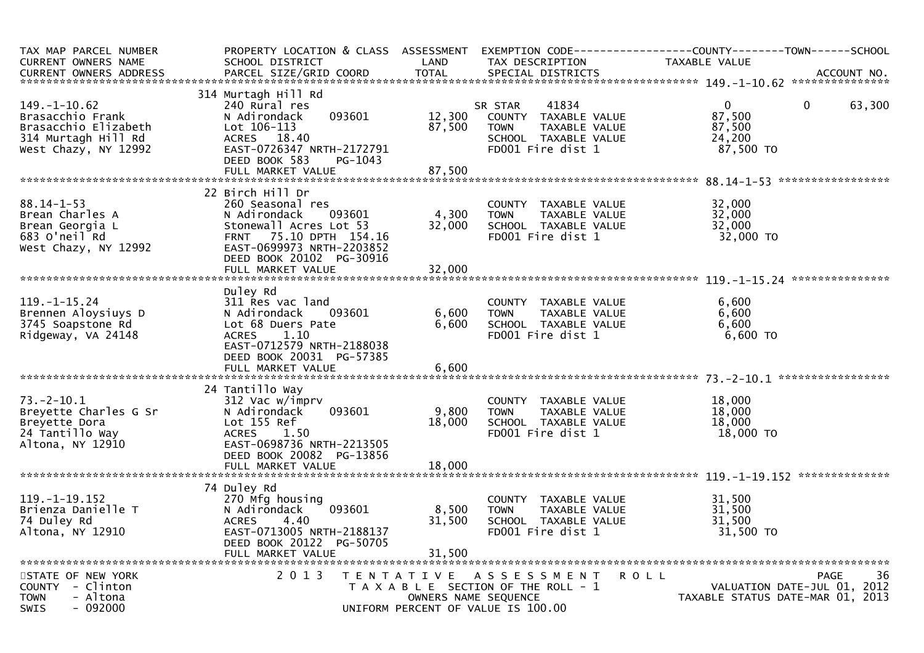| TAX MAP PARCEL NUMBER<br><b>CURRENT OWNERS NAME</b><br><b>CURRENT OWNERS ADDRESS</b>                          | PROPERTY LOCATION & CLASS ASSESSMENT<br>SCHOOL DISTRICT<br>PARCEL SIZE/GRID COORD                                                                                                                | LAND<br><b>TOTAL</b>      | TAX DESCRIPTION<br>SPECIAL DISTRICTS                                                                                       | EXEMPTION CODE-----------------COUNTY--------TOWN------SCHOOL<br><b>TAXABLE VALUE</b><br>ACCOUNT NO. |
|---------------------------------------------------------------------------------------------------------------|--------------------------------------------------------------------------------------------------------------------------------------------------------------------------------------------------|---------------------------|----------------------------------------------------------------------------------------------------------------------------|------------------------------------------------------------------------------------------------------|
| $149. - 1 - 10.62$<br>Brasacchio Frank<br>Brasacchio Elizabeth<br>314 Murtagh Hill Rd<br>West Chazy, NY 12992 | 314 Murtagh Hill Rd<br>240 Rural res<br>N Adirondack<br>093601<br>$Let 106-113$<br>ACRES 18.40<br>EAST-0726347 NRTH-2172791<br>DEED BOOK 583<br>PG-1043                                          | 12,300<br>87,500          | 41834<br>SR STAR<br>COUNTY TAXABLE VALUE<br><b>TOWN</b><br>TAXABLE VALUE<br>SCHOOL TAXABLE VALUE<br>FD001 Fire dist 1      | $\mathbf{0}$<br>$\mathbf{0}$<br>63,300<br>87,500<br>87,500<br>24,200<br>87,500 TO                    |
|                                                                                                               | FULL MARKET VALUE                                                                                                                                                                                | 87,500                    |                                                                                                                            |                                                                                                      |
| $88.14 - 1 - 53$<br>Brean Charles A<br>Brean Georgia L<br>683 O'neil Rd<br>West Chazy, NY 12992               | 22 Birch Hill Dr<br>260 Seasonal res<br>N Adirondack<br>093601<br>Stonewall Acres Lot 53<br>FRNT 75.10 DPTH 154.16<br>EAST-0699973 NRTH-2203852<br>DEED BOOK 20102 PG-30916<br>FULL MARKET VALUE | 4,300<br>32,000<br>32,000 | COUNTY TAXABLE VALUE<br><b>TOWN</b><br>TAXABLE VALUE<br>SCHOOL TAXABLE VALUE<br>FD001 Fire dist 1                          | 32,000<br>32,000<br>32,000<br>32,000 TO                                                              |
|                                                                                                               | Duley Rd                                                                                                                                                                                         |                           |                                                                                                                            |                                                                                                      |
| $119. - 1 - 15.24$<br>Brennen Aloysiuys D<br>3745 Soapstone Rd<br>Ridgeway, VA 24148                          | 311 Res vac land<br>N Adirondack<br>093601<br>Lot 68 Duers Pate<br>1.10<br><b>ACRES</b><br>EAST-0712579 NRTH-2188038<br>DEED BOOK 20031 PG-57385                                                 | 6,600<br>6,600            | COUNTY TAXABLE VALUE<br><b>TOWN</b><br>TAXABLE VALUE<br>SCHOOL TAXABLE VALUE<br>FD001 Fire dist 1                          | 6,600<br>6,600<br>6,600<br>6,600 TO                                                                  |
|                                                                                                               | FULL MARKET VALUE                                                                                                                                                                                | 6,600                     |                                                                                                                            |                                                                                                      |
| $73. - 2 - 10.1$<br>Breyette Charles G Sr<br>Breyette Dora<br>24 Tantillo Way<br>Altona, NY 12910             | 24 Tantillo Way<br>312 Vac w/imprv<br>N Adirondack<br>093601<br>Lot 155 Ref<br>ACRES<br>1.50<br>EAST-0698736 NRTH-2213505<br>DEED BOOK 20082 PG-13856                                            | 9,800<br>18,000           | COUNTY TAXABLE VALUE<br><b>TOWN</b><br>TAXABLE VALUE<br>SCHOOL TAXABLE VALUE<br>FD001 Fire dist 1                          | 18,000<br>18,000<br>18,000<br>18,000 TO                                                              |
|                                                                                                               |                                                                                                                                                                                                  |                           |                                                                                                                            |                                                                                                      |
| $119. - 1 - 19.152$<br>Brienza Danielle T<br>74 Duley Rd<br>Altona, NY 12910                                  | 74 Duley Rd<br>270 Mfg housing<br>093601<br>N Adirondack<br><b>ACRES</b><br>4.40<br>EAST-0713005 NRTH-2188137<br>DEED BOOK 20122 PG-50705<br>FULL MARKET VALUE                                   | 8,500<br>31,500<br>31,500 | COUNTY TAXABLE VALUE<br><b>TOWN</b><br>TAXABLE VALUE<br>SCHOOL TAXABLE VALUE<br>FD001 Fire dist 1                          | 31,500<br>31,500<br>31,500<br>31,500 TO                                                              |
| STATE OF NEW YORK<br>COUNTY - Clinton<br>- Altona<br><b>TOWN</b><br>$-092000$<br><b>SWIS</b>                  | 2 0 1 3                                                                                                                                                                                          | T E N T A T I V E         | A S S E S S M E N T<br>T A X A B L E SECTION OF THE ROLL - 1<br>OWNERS NAME SEQUENCE<br>UNIFORM PERCENT OF VALUE IS 100.00 | <b>ROLL</b><br>PAGE<br>36<br>VALUATION DATE-JUL 01, 2012<br>TAXABLE STATUS DATE-MAR 01, 2013         |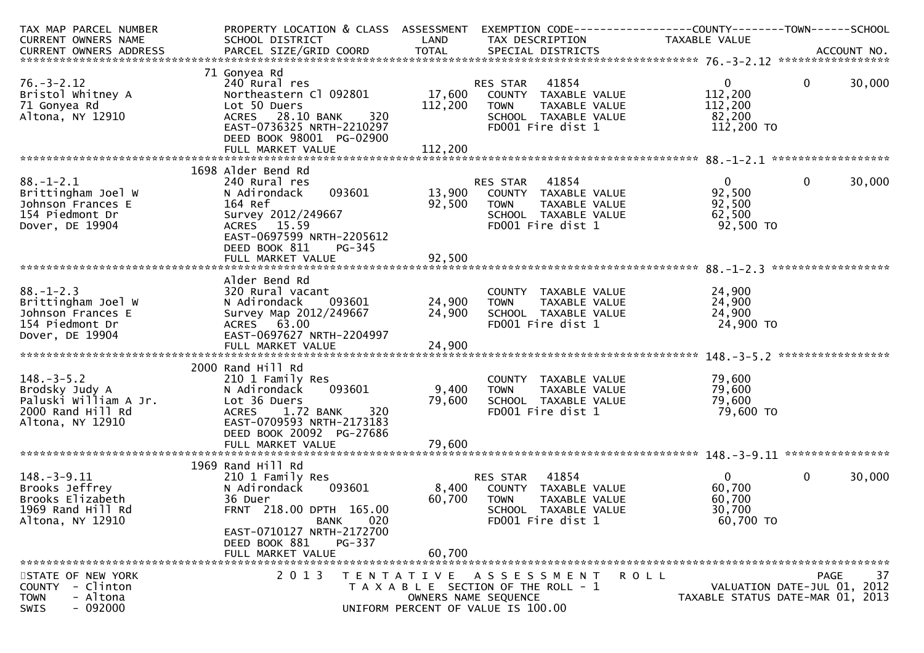| TAX MAP PARCEL NUMBER                      | PROPERTY LOCATION & CLASS ASSESSMENT     |               | EXEMPTION CODE------------------COUNTY--------TOWN------SCHOOL |                     |                                  |
|--------------------------------------------|------------------------------------------|---------------|----------------------------------------------------------------|---------------------|----------------------------------|
| <b>CURRENT OWNERS NAME</b>                 | SCHOOL DISTRICT                          | LAND          | TAX DESCRIPTION                                                | TAXABLE VALUE       |                                  |
|                                            |                                          |               |                                                                |                     |                                  |
| 71 Gonyea Rd                               |                                          |               |                                                                |                     |                                  |
| $76. - 3 - 2.12$                           | 240 Rural res                            |               | 41854<br>RES STAR                                              | $\mathbf{0}$        | $\mathbf 0$<br>30,000            |
| Bristol Whitney A                          | Northeastern Cl 092801                   | 17,600        | COUNTY TAXABLE VALUE                                           | 112,200             |                                  |
| 71 Gonyea Rd                               | Lot 50 Duers                             | 112,200       | TAXABLE VALUE<br><b>TOWN</b>                                   | 112,200             |                                  |
| Altona, NY 12910                           | ACRES 28.10 BANK                         | 320           | SCHOOL TAXABLE VALUE                                           | 82,200              |                                  |
|                                            | EAST-0736325 NRTH-2210297                |               | FD001 Fire dist 1                                              | 112,200 TO          |                                  |
|                                            | DEED BOOK 98001 PG-02900                 |               |                                                                |                     |                                  |
|                                            |                                          |               |                                                                |                     |                                  |
|                                            | 1698 Alder Bend Rd                       |               |                                                                |                     |                                  |
| $88. - 1 - 2.1$                            | 240 Rural res                            |               | 41854<br>RES STAR                                              | $\mathbf{0}$        | $\mathbf 0$<br>30,000            |
| Brittingham Joel W                         | 093601<br>N Adirondack                   | 13,900        | COUNTY TAXABLE VALUE                                           | 92,500              |                                  |
| Johnson Frances E                          | 164 Ref                                  | 92,500        | TAXABLE VALUE<br><b>TOWN</b>                                   | 92,500              |                                  |
| 154 Piedmont Dr                            | Survey 2012/249667                       |               | SCHOOL TAXABLE VALUE                                           | 62,500              |                                  |
| Dover, DE 19904                            | ACRES 15.59                              |               | FD001 Fire dist 1                                              | 92,500 TO           |                                  |
|                                            | EAST-0697599 NRTH-2205612                |               |                                                                |                     |                                  |
|                                            | DEED BOOK 811<br><b>PG-345</b>           |               |                                                                |                     |                                  |
|                                            | FULL MARKET VALUE                        | 92,500        |                                                                |                     |                                  |
|                                            |                                          |               |                                                                |                     |                                  |
| $88. - 1 - 2.3$                            | Alder Bend Rd<br>320 Rural vacant        |               | COUNTY TAXABLE VALUE                                           | 24,900              |                                  |
| Brittingham Joel W                         | N Adirondack<br>093601                   | 24,900        | <b>TOWN</b><br>TAXABLE VALUE                                   | 24,900              |                                  |
| Johnson Frances E                          | Survey Map 2012/249667                   | 24,900        | SCHOOL TAXABLE VALUE                                           | 24,900              |                                  |
| 154 Piedmont Dr                            | ACRES 63.00                              |               | FD001 Fire dist 1                                              | 24,900 TO           |                                  |
| Dover, DE 19904                            | EAST-0697627 NRTH-2204997                |               |                                                                |                     |                                  |
|                                            |                                          |               |                                                                |                     |                                  |
|                                            |                                          |               |                                                                |                     | ******************               |
|                                            | 2000 Rand Hill Rd                        |               |                                                                |                     |                                  |
| $148. - 3 - 5.2$                           | 210 1 Family Res                         |               | COUNTY TAXABLE VALUE                                           | 79,600              |                                  |
| Brodsky Judy A                             | N Adirondack<br>093601                   | 9,400         | <b>TOWN</b><br>TAXABLE VALUE                                   | 79,600              |                                  |
| Paluski William A Jr.<br>2000 Rand Hill Rd | Lot 36 Duers<br>ACRES 1.72 BANK          | 79,600<br>320 | SCHOOL TAXABLE VALUE<br>FD001 Fire dist 1                      | 79,600<br>79,600 TO |                                  |
| Altona, NY 12910                           | EAST-0709593 NRTH-2173183                |               |                                                                |                     |                                  |
|                                            | DEED BOOK 20092 PG-27686                 |               |                                                                |                     |                                  |
|                                            | FULL MARKET VALUE                        | 79,600        |                                                                |                     |                                  |
|                                            |                                          |               |                                                                |                     |                                  |
|                                            | 1969 Rand Hill Rd                        |               |                                                                |                     |                                  |
| $148. - 3 - 9.11$                          | 210 1 Family Res                         |               | 41854<br>RES STAR                                              | $\Omega$            | 30,000<br>$\mathbf{0}$           |
| Brooks Jeffrey                             | 093601<br>N Adirondack                   | 8,400         | COUNTY TAXABLE VALUE                                           | 60,700              |                                  |
| Brooks Elizabeth                           | 36 Duer                                  | 60,700        | <b>TOWN</b><br><b>TAXABLE VALUE</b>                            | 60,700              |                                  |
| 1969 Rand Hill Rd                          | FRNT 218.00 DPTH 165.00                  |               | SCHOOL TAXABLE VALUE                                           | 30,700              |                                  |
| Altona, NY 12910                           | BANK<br>020<br>EAST-0710127 NRTH-2172700 |               | FD001 Fire dist 1                                              | 60,700 TO           |                                  |
|                                            | DEED BOOK 881<br>PG-337                  |               |                                                                |                     |                                  |
|                                            | FULL MARKET VALUE                        | 60,700        |                                                                |                     |                                  |
|                                            |                                          |               |                                                                |                     |                                  |
| STATE OF NEW YORK                          | 2 0 1 3                                  |               | TENTATIVE ASSESSMENT                                           | <b>ROLL</b>         | 37<br>PAGE                       |
| - Clinton<br><b>COUNTY</b>                 |                                          |               | T A X A B L E SECTION OF THE ROLL - 1                          |                     | VALUATION DATE-JUL 01, 2012      |
| - Altona<br><b>TOWN</b>                    |                                          |               | OWNERS NAME SEQUENCE                                           |                     | TAXABLE STATUS DATE-MAR 01, 2013 |
| $-092000$<br>SWIS                          |                                          |               | UNIFORM PERCENT OF VALUE IS 100.00                             |                     |                                  |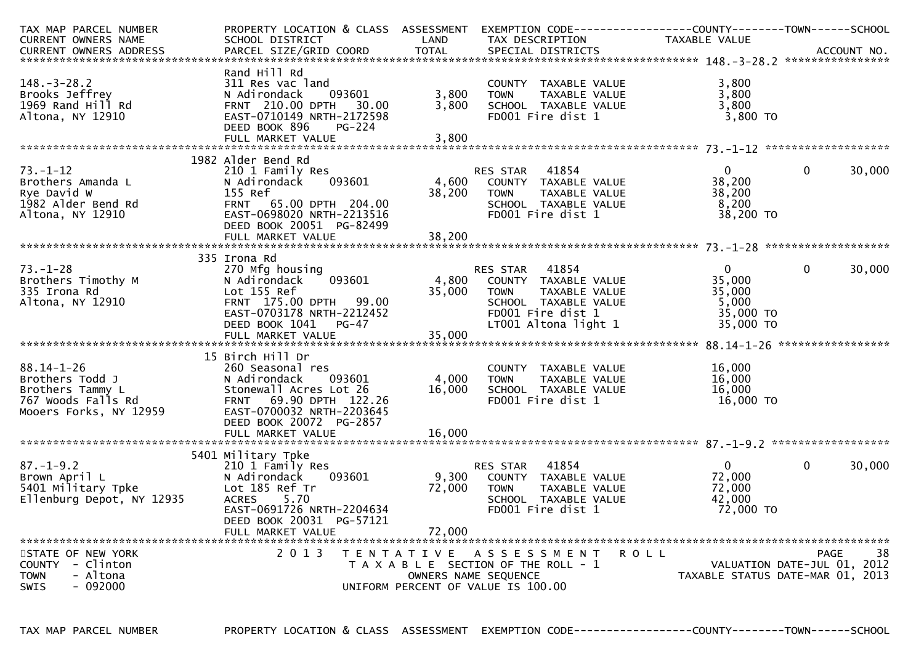| TAX MAP PARCEL NUMBER<br>CURRENT OWNERS NAME                                                            | PROPERTY LOCATION & CLASS ASSESSMENT<br>SCHOOL DISTRICT                                                                                                                                  | LAND                      | EXEMPTION CODE------------------COUNTY--------TOWN-----SCHOOL<br>TAX DESCRIPTION                                                               | TAXABLE VALUE                                                   |                                                                               |
|---------------------------------------------------------------------------------------------------------|------------------------------------------------------------------------------------------------------------------------------------------------------------------------------------------|---------------------------|------------------------------------------------------------------------------------------------------------------------------------------------|-----------------------------------------------------------------|-------------------------------------------------------------------------------|
|                                                                                                         |                                                                                                                                                                                          |                           |                                                                                                                                                |                                                                 |                                                                               |
|                                                                                                         |                                                                                                                                                                                          |                           |                                                                                                                                                |                                                                 |                                                                               |
| $148. - 3 - 28.2$<br>Brooks Jeffrey<br>1969 Rand Hill Rd<br>Altona, NY 12910                            | Rand Hill Rd<br>311 Res vac land<br>N Adirondack<br>093601<br>FRNT 210.00 DPTH<br>30.00<br>EAST-0710149 NRTH-2172598<br>DEED BOOK 896<br>$PG-224$<br>FULL MARKET VALUE                   | 3,800<br>3,800<br>3,800   | COUNTY TAXABLE VALUE<br>TAXABLE VALUE<br><b>TOWN</b><br>SCHOOL TAXABLE VALUE<br>FD001 Fire dist 1                                              | 3,800<br>3,800<br>3,800<br>$3,800$ TO                           |                                                                               |
|                                                                                                         | 1982 Alder Bend Rd                                                                                                                                                                       |                           |                                                                                                                                                |                                                                 |                                                                               |
| 73. – 1–12<br>Brothers Amanda L<br>Rye David W<br>1982 Alder Bend Rd<br>Altona, NY 12910                | 210 1 Family Res<br>N Adirondack<br>093601<br>155 Ref<br>FRNT 65.00 DPTH 204.00<br>EAST-0698020 NRTH-2213516<br>DEED BOOK 20051 PG-82499<br>FULL MARKET VALUE                            | 4,600<br>38,200<br>38,200 | <b>RES STAR</b><br>41854<br>COUNTY TAXABLE VALUE<br>TAXABLE VALUE<br><b>TOWN</b><br>SCHOOL TAXABLE VALUE<br>FD001 Fire dist 1                  | $\overline{0}$<br>38,200<br>38,200<br>8,200<br>38,200 TO        | $\Omega$<br>30,000                                                            |
|                                                                                                         |                                                                                                                                                                                          |                           |                                                                                                                                                |                                                                 |                                                                               |
| $73. - 1 - 28$<br>Brothers Timothy M<br>335 Irona Rd<br>Altona, NY 12910                                | 335 Irona Rd<br>270 Mfg housing<br>093601<br>N Adirondack<br>Lot 155 Ref<br>FRNT 175.00 DPTH 99.00<br>EAST-0703178 NRTH-2212452<br>DEED BOOK 1041<br>$PG-47$<br>FULL MARKET VALUE        | 4,800<br>35,000<br>35,000 | 41854<br>RES STAR<br>COUNTY TAXABLE VALUE<br><b>TOWN</b><br>TAXABLE VALUE<br>SCHOOL TAXABLE VALUE<br>FD001 Fire dist 1<br>LT001 Altona light 1 | $\Omega$<br>35,000<br>35,000<br>5,000<br>35,000 TO<br>35,000 TO | $\mathbf{0}$<br>30,000                                                        |
|                                                                                                         | 15 Birch Hill Dr                                                                                                                                                                         |                           |                                                                                                                                                |                                                                 |                                                                               |
| $88.14 - 1 - 26$<br>Brothers Todd J<br>Brothers Tammy L<br>767 Woods Falls Rd<br>Mooers Forks, NY 12959 | 260 Seasonal res<br>N Adirondack<br>093601<br>Stonewall Acres Lot 26<br>FRNT 69.90 DPTH 122.26<br>EAST-0700032 NRTH-2203645<br>DEED BOOK 20072 PG-2857                                   | 4,000<br>16,000           | COUNTY TAXABLE VALUE<br>TAXABLE VALUE<br><b>TOWN</b><br>SCHOOL TAXABLE VALUE<br>FD001 Fire dist 1                                              | 16,000<br>16,000<br>16,000<br>$16,000$ TO                       |                                                                               |
|                                                                                                         |                                                                                                                                                                                          |                           |                                                                                                                                                |                                                                 |                                                                               |
| $87. - 1 - 9.2$<br>Brown April L<br>5401 Military Tpke<br>Ellenburg Depot, NY 12935                     | 5401 Military Tpke<br>210 1 Family Res<br>093601<br>N Adirondack<br>Lot 185 Ref Tr<br><b>ACRES</b><br>5.70<br>EAST-0691726 NRTH-2204634<br>DEED BOOK 20031 PG-57121<br>FULL MARKET VALUE | 9,300<br>72,000<br>72,000 | RES STAR<br>41854<br>COUNTY TAXABLE VALUE<br><b>TOWN</b><br>TAXABLE VALUE<br>SCHOOL TAXABLE VALUE<br>FD001 Fire dist 1                         | $\mathbf{0}$<br>72,000<br>72,000<br>42,000<br>72,000 TO         | $\mathbf{0}$<br>30,000                                                        |
| STATE OF NEW YORK<br>COUNTY - Clinton<br><b>TOWN</b><br>- Altona<br><b>SWIS</b><br>- 092000             | 2 0 1 3                                                                                                                                                                                  |                           | TENTATIVE ASSESSMENT<br>T A X A B L E SECTION OF THE ROLL - 1<br>OWNERS NAME SEQUENCE<br>UNIFORM PERCENT OF VALUE IS 100.00                    | ROLL                                                            | 38<br>PAGE<br>VALUATION DATE-JUL 01, 2012<br>TAXABLE STATUS DATE-MAR 01, 2013 |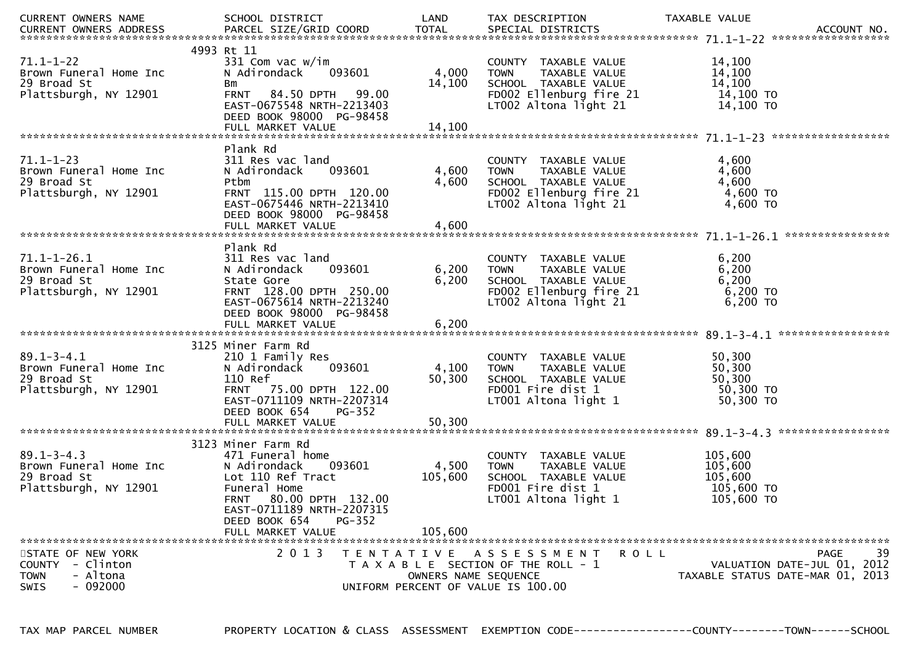| CURRENT OWNERS NAME        | SCHOOL DISTRICT                            | LAND                               | TAX DESCRIPTION                       | TAXABLE VALUE                    |
|----------------------------|--------------------------------------------|------------------------------------|---------------------------------------|----------------------------------|
|                            |                                            |                                    |                                       |                                  |
|                            |                                            |                                    |                                       |                                  |
|                            | 4993 Rt 11                                 |                                    |                                       |                                  |
| $71.1 - 1 - 22$            | 331 Com vac w/im                           |                                    | COUNTY TAXABLE VALUE                  | 14,100                           |
| Brown Funeral Home Inc     | N Adirondack<br>093601                     | 4,000                              | TAXABLE VALUE<br><b>TOWN</b>          | 14,100                           |
| 29 Broad St                | Bm                                         | 14,100                             | SCHOOL TAXABLE VALUE                  | 14,100                           |
| Plattsburgh, NY 12901      | FRNT 84.50 DPTH 99.00                      |                                    | FD002 Ellenburg fire 21               | 14,100 TO                        |
|                            | EAST-0675548 NRTH-2213403                  |                                    | LT002 Altona light 21                 | 14,100 TO                        |
|                            | DEED BOOK 98000 PG-98458                   |                                    |                                       |                                  |
|                            |                                            |                                    |                                       |                                  |
|                            |                                            |                                    |                                       |                                  |
|                            | Plank Rd                                   |                                    |                                       |                                  |
| $71.1 - 1 - 23$            | 311 Res vac land                           |                                    | COUNTY TAXABLE VALUE                  | 4,600                            |
| Brown Funeral Home Inc     | N Adirondack<br>093601                     | 4,600                              | <b>TOWN</b><br>TAXABLE VALUE          | 4,600                            |
| 29 Broad St                | Ptbm                                       | 4,600                              | SCHOOL TAXABLE VALUE                  | 4,600                            |
| Plattsburgh, NY 12901      | FRNT 115.00 DPTH 120.00                    |                                    | FD002 Ellenburg fire 21               | 4,600 TO                         |
|                            | EAST-0675446 NRTH-2213410                  |                                    | LT002 Altona light 21                 | 4,600 TO                         |
|                            | DEED BOOK 98000 PG-98458                   |                                    |                                       |                                  |
|                            |                                            |                                    |                                       |                                  |
|                            |                                            |                                    |                                       |                                  |
|                            | Plank Rd                                   |                                    |                                       |                                  |
| 71.1-1-26.1                | 311 Res vac land                           |                                    | COUNTY TAXABLE VALUE                  | 6,200                            |
| Brown Funeral Home Inc     | 093601<br>N Adirondack                     | 6,200                              | TAXABLE VALUE<br><b>TOWN</b>          | 6,200                            |
| 29 Broad St                | State Gore                                 | 6,200                              | SCHOOL TAXABLE VALUE                  | 6,200                            |
| Plattsburgh, NY 12901      | FRNT 128.00 DPTH 250.00                    |                                    | FD002 Ellenburg fire 21               | $6,200$ TO                       |
|                            | EAST-0675614 NRTH-2213240                  |                                    | LT002 Altona light 21                 | 6,200 TO                         |
|                            | DEED BOOK 98000 PG-98458                   |                                    |                                       |                                  |
|                            | FULL MARKET VALUE                          | 6,200                              |                                       |                                  |
|                            |                                            |                                    |                                       |                                  |
|                            | 3125 Miner Farm Rd                         |                                    |                                       |                                  |
| $89.1 - 3 - 4.1$           | 210 1 Family Res                           |                                    | COUNTY TAXABLE VALUE                  | 50,300                           |
| Brown Funeral Home Inc     | N Adirondack<br>093601                     | 4,100                              | <b>TOWN</b><br>TAXABLE VALUE          | 50,300                           |
| 29 Broad St                | 110 Ref                                    | 50,300                             | SCHOOL TAXABLE VALUE                  | 50,300                           |
| Plattsburgh, NY 12901      | FRNT 75.00 DPTH 122.00                     |                                    | FD001 Fire dist 1                     | 50,300 TO                        |
|                            | EAST-0711109 NRTH-2207314<br>DEED BOOK 654 |                                    | LT001 Altona light 1                  | 50,300 TO                        |
|                            | $PG-352$                                   |                                    |                                       |                                  |
|                            | FULL MARKET VALUE                          | 50,300                             |                                       |                                  |
|                            | 3123 Miner Farm Rd                         |                                    |                                       |                                  |
| $89.1 - 3 - 4.3$           | 471 Funeral home                           |                                    | COUNTY TAXABLE VALUE                  | 105,600                          |
| Brown Funeral Home Inc     | 093601<br>N Adirondack                     | 4,500                              | TAXABLE VALUE<br><b>TOWN</b>          | 105,600                          |
| 29 Broad St                | Lot 110 Ref Tract                          | 105,600                            | SCHOOL TAXABLE VALUE                  | 105,600                          |
| Plattsburgh, NY 12901      | Funeral Home                               |                                    | FD001 Fire dist 1                     | 105,600 TO                       |
|                            | 80.00 DPTH 132.00<br><b>FRNT</b>           |                                    | LT001 Altona light 1                  | 105,600 TO                       |
|                            | EAST-0711189 NRTH-2207315                  |                                    |                                       |                                  |
|                            | DEED BOOK 654<br>$PG-352$                  |                                    |                                       |                                  |
|                            | FULL MARKET VALUE                          | 105,600                            |                                       |                                  |
|                            |                                            |                                    |                                       |                                  |
| STATE OF NEW YORK          | 2 0 1 3                                    |                                    | TENTATIVE ASSESSMENT<br>R O L L       | 39<br>PAGE                       |
| - Clinton<br><b>COUNTY</b> |                                            |                                    | T A X A B L E SECTION OF THE ROLL - 1 | VALUATION DATE-JUL 01, 2012      |
| - Altona<br><b>TOWN</b>    |                                            | OWNERS NAME SEQUENCE               |                                       | TAXABLE STATUS DATE-MAR 01, 2013 |
| $-092000$<br>SWIS          |                                            | UNIFORM PERCENT OF VALUE IS 100.00 |                                       |                                  |
|                            |                                            |                                    |                                       |                                  |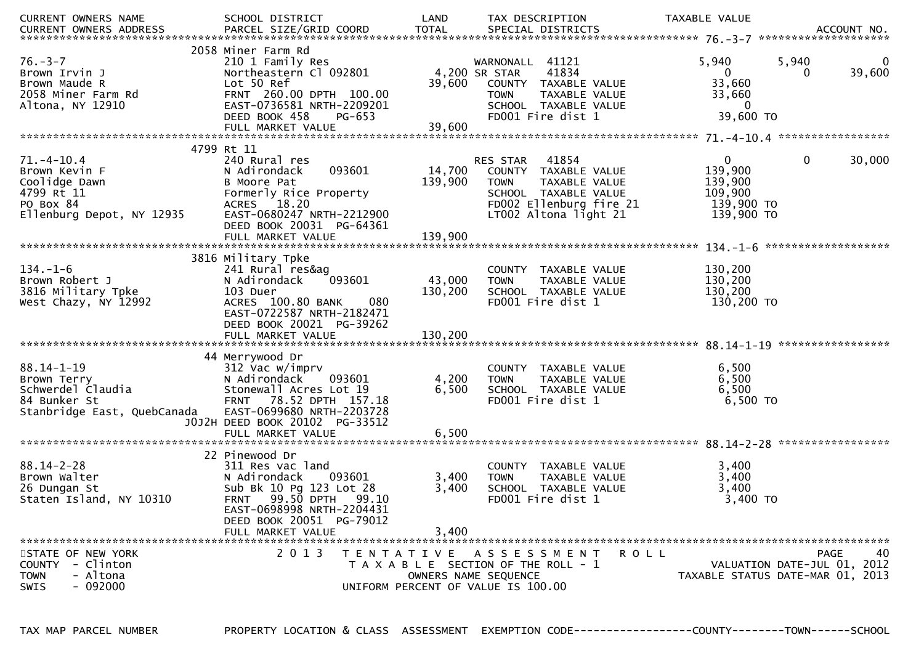| CURRENT OWNERS NAME         | SCHOOL DISTRICT                    | LAND    | TAX DESCRIPTION                       | TAXABLE VALUE |                                  |
|-----------------------------|------------------------------------|---------|---------------------------------------|---------------|----------------------------------|
| CURRENT OWNERS ADDRESS      |                                    |         |                                       |               |                                  |
|                             |                                    |         |                                       |               |                                  |
|                             | 2058 Miner Farm Rd                 |         |                                       |               |                                  |
| $76. - 3 - 7$               | 210 1 Family Res                   |         | 41121<br>WARNONALL                    | 5,940         | 5,940                            |
| Brown Irvin J               | Northeastern Cl 092801             |         | 4,200 SR STAR<br>41834                | $\mathbf{0}$  | 39,600<br>0                      |
| Brown Maude R               | Lot 50 Ref                         | 39,600  | COUNTY TAXABLE VALUE                  | 33,660        |                                  |
| 2058 Miner Farm Rd          | FRNT 260.00 DPTH 100.00            |         | TAXABLE VALUE<br><b>TOWN</b>          | 33,660        |                                  |
| Altona, NY 12910            | EAST-0736581 NRTH-2209201          |         | SCHOOL TAXABLE VALUE                  | 0             |                                  |
|                             | DEED BOOK 458<br>PG-653            |         | FD001 Fire dist 1                     | 39,600 TO     |                                  |
|                             |                                    |         |                                       |               |                                  |
|                             |                                    |         |                                       |               |                                  |
|                             | 4799 Rt 11                         |         |                                       |               |                                  |
| $71. - 4 - 10.4$            | 240 Rural res                      |         | 41854<br>RES STAR                     | $\mathbf{0}$  | 30,000<br>0                      |
| Brown Kevin F               | 093601<br>N Adirondack             | 14,700  | COUNTY TAXABLE VALUE                  | 139,900       |                                  |
| Coolidge Dawn               | B Moore Pat                        | 139,900 | TAXABLE VALUE<br><b>TOWN</b>          | 139,900       |                                  |
| 4799 Rt 11                  | Formerly Rice Property             |         | SCHOOL TAXABLE VALUE                  | 109,900       |                                  |
| PO Box 84                   | ACRES 18.20                        |         | FD002 Ellenburg fire 21               | 139,900 TO    |                                  |
| Ellenburg Depot, NY 12935   | EAST-0680247 NRTH-2212900          |         | LT002 Altona light 21                 | 139,900 TO    |                                  |
|                             | DEED BOOK 20031 PG-64361           |         |                                       |               |                                  |
|                             | FULL MARKET VALUE                  | 139,900 |                                       |               |                                  |
|                             |                                    |         |                                       |               |                                  |
|                             | 3816 Military Tpke                 |         |                                       |               |                                  |
| $134. - 1 - 6$              | 241 Rural res&ag                   |         | COUNTY TAXABLE VALUE                  | 130,200       |                                  |
| Brown Robert J              | 093601<br>N Adirondack             | 43,000  | TAXABLE VALUE<br><b>TOWN</b>          | 130,200       |                                  |
| 3816 Military Tpke          | 103 Duer                           | 130,200 | SCHOOL TAXABLE VALUE                  | 130,200       |                                  |
| West Chazy, NY 12992        | ACRES 100.80 BANK<br>080           |         | FD001 Fire dist 1                     | 130,200 TO    |                                  |
|                             | EAST-0722587 NRTH-2182471          |         |                                       |               |                                  |
|                             | DEED BOOK 20021 PG-39262           |         |                                       |               |                                  |
|                             |                                    |         |                                       |               |                                  |
|                             |                                    |         |                                       |               |                                  |
|                             | 44 Merrywood Dr                    |         |                                       |               |                                  |
| $88.14 - 1 - 19$            | 312 Vac w/imprv                    |         | COUNTY TAXABLE VALUE                  | 6,500         |                                  |
| Brown Terry                 | N Adirondack<br>093601             | 4,200   | TAXABLE VALUE<br><b>TOWN</b>          | 6,500         |                                  |
| Schwerdel Claudia           | Stonewall Acres Lot 19             | 6,500   | SCHOOL TAXABLE VALUE                  | 6,500         |                                  |
| 84 Bunker St                | 78.52 DPTH 157.18<br><b>FRNT</b>   |         | FD001 Fire dist 1                     | 6,500 то      |                                  |
| Stanbridge East, QuebCanada | EAST-0699680 NRTH-2203728          |         |                                       |               |                                  |
|                             | J0J2H DEED BOOK 20102 PG-33512     |         |                                       |               |                                  |
|                             | FULL MARKET VALUE                  | 6,500   |                                       |               |                                  |
|                             |                                    |         |                                       |               |                                  |
|                             | 22 Pinewood Dr                     |         |                                       |               |                                  |
| $88.14 - 2 - 28$            | 311 Res vac land                   |         | COUNTY TAXABLE VALUE                  | 3,400         |                                  |
| Brown Walter                | N Adirondack<br>093601             | 3,400   | TAXABLE VALUE<br><b>TOWN</b>          | 3,400         |                                  |
| 26 Dungan St                | Sub Bk 10 Pg 123 Lot 28            | 3,400   | SCHOOL TAXABLE VALUE                  | 3,400         |                                  |
| Staten Island, NY 10310     | 99.50 DPTH<br>99.10<br><b>FRNT</b> |         | FD001 Fire dist 1                     | 3,400 TO      |                                  |
|                             | EAST-0698998 NRTH-2204431          |         |                                       |               |                                  |
|                             | DEED BOOK 20051 PG-79012           |         |                                       |               |                                  |
|                             | FULL MARKET VALUE                  | 3,400   |                                       |               |                                  |
|                             |                                    |         |                                       |               |                                  |
| STATE OF NEW YORK           | 2 0 1 3                            |         | TENTATIVE ASSESSMENT                  | ROLL          | 40<br><b>PAGE</b>                |
| COUNTY - Clinton            |                                    |         | T A X A B L E SECTION OF THE ROLL - 1 |               | VALUATION DATE-JUL 01, 2012      |
| - Altona<br><b>TOWN</b>     |                                    |         | OWNERS NAME SEQUENCE                  |               | TAXABLE STATUS DATE-MAR 01, 2013 |
| $-092000$<br><b>SWIS</b>    |                                    |         | UNIFORM PERCENT OF VALUE IS 100.00    |               |                                  |
|                             |                                    |         |                                       |               |                                  |

TAX MAP PARCEL NUMBER PROPERTY LOCATION & CLASS ASSESSMENT EXEMPTION CODE------------------COUNTY--------TOWN------SCHOOL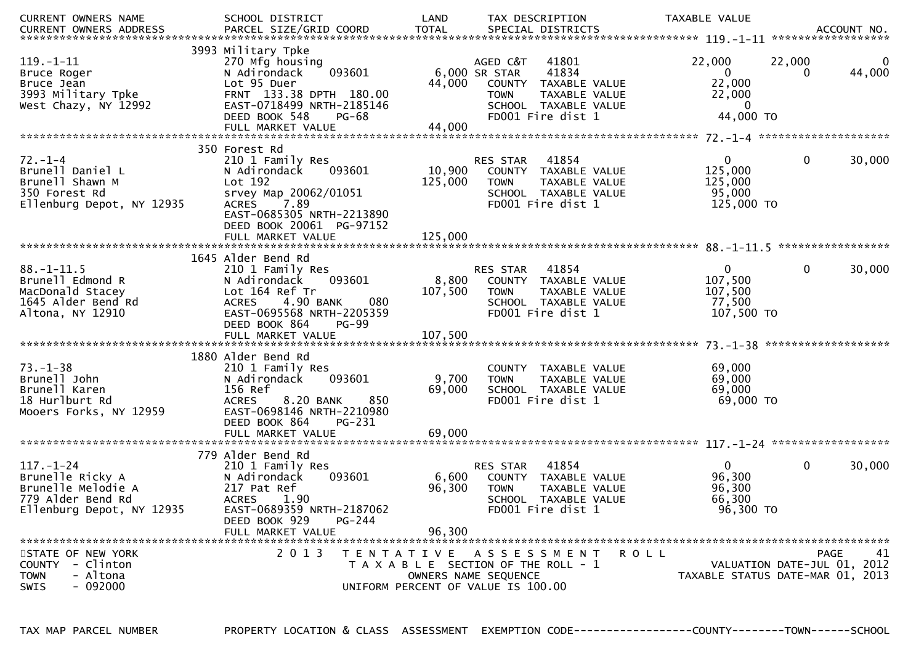| <b>CURRENT OWNERS NAME</b>                                                                                  | SCHOOL DISTRICT                                                                                                                                                                              | LAND                      | TAX DESCRIPTION                                                                                                                                  | TAXABLE VALUE                                                         | ACCOUNT NO.                                                                    |    |
|-------------------------------------------------------------------------------------------------------------|----------------------------------------------------------------------------------------------------------------------------------------------------------------------------------------------|---------------------------|--------------------------------------------------------------------------------------------------------------------------------------------------|-----------------------------------------------------------------------|--------------------------------------------------------------------------------|----|
| CURRENT OWNERS ADDRESS                                                                                      |                                                                                                                                                                                              |                           |                                                                                                                                                  |                                                                       | ******************                                                             |    |
| $119. - 1 - 11$<br>Bruce Roger<br>Bruce Jean<br>3993 Military Tpke<br>West Chazy, NY 12992                  | 3993 Military Tpke<br>270 Mfg housing<br>093601<br>N Adirondack<br>Lot 95 Duer<br>FRNT 133.38 DPTH 180.00<br>EAST-0718499 NRTH-2185146<br>DEED BOOK 548<br>$PG-68$<br>FULL MARKET VALUE      | 44,000<br>44,000          | AGED C&T<br>41801<br>41834<br>6,000 SR STAR<br>COUNTY TAXABLE VALUE<br>TAXABLE VALUE<br><b>TOWN</b><br>SCHOOL TAXABLE VALUE<br>FD001 Fire dist 1 | 22,000<br>$\overline{0}$<br>22,000<br>22,000<br>$\Omega$<br>44,000 TO | 22,000<br>44,000<br>0                                                          | 0  |
|                                                                                                             | 350 Forest Rd                                                                                                                                                                                |                           |                                                                                                                                                  |                                                                       |                                                                                |    |
| $72. - 1 - 4$<br>Brunell Daniel L<br>Brunell Shawn M<br>350 Forest Rd<br>Ellenburg Depot, NY 12935          | 210 1 Family Res<br>N Adirondack<br>093601<br>Lot 192<br>srvey Map_20062/01051<br>7.89<br><b>ACRES</b><br>EAST-0685305 NRTH-2213890<br>DEED BOOK 20061 PG-97152                              | 10,900<br>125,000         | 41854<br>RES STAR<br>COUNTY TAXABLE VALUE<br>TAXABLE VALUE<br><b>TOWN</b><br>SCHOOL TAXABLE VALUE<br>FD001 Fire dist 1                           | $\overline{0}$<br>125,000<br>125,000<br>95,000<br>125,000 TO          | $\mathbf 0$<br>30,000                                                          |    |
|                                                                                                             | FULL MARKET VALUE                                                                                                                                                                            | 125,000                   |                                                                                                                                                  |                                                                       |                                                                                |    |
| $88. - 1 - 11.5$<br>Brunell Edmond R<br>MacDonald Stacey<br>1645 Alder Bend Rd<br>Altona, NY 12910          | 1645 Alder Bend Rd<br>210 1 Family Res<br>N Adirondack<br>093601<br>Lot 164 Ref Tr<br>4.90 BANK<br>080<br><b>ACRES</b><br>EAST-0695568 NRTH-2205359                                          | 8,800<br>107,500          | 41854<br>RES STAR<br>COUNTY TAXABLE VALUE<br><b>TOWN</b><br>TAXABLE VALUE<br>SCHOOL TAXABLE VALUE<br>FD001 Fire dist 1                           | $\mathbf{0}$<br>107,500<br>107,500<br>77,500<br>107,500 TO            | 0<br>30,000                                                                    |    |
|                                                                                                             | DEED BOOK 864<br><b>PG-99</b>                                                                                                                                                                |                           |                                                                                                                                                  |                                                                       | *******************                                                            |    |
| $73. - 1 - 38$<br>Brunell John<br>Brunell Karen<br>18 Hurlburt Rd<br>Mooers Forks, NY 12959                 | 1880 Alder Bend Rd<br>210 1 Family Res<br>N Adirondack<br>093601<br>156 Ref<br>850<br><b>ACRES</b><br>8.20 BANK<br>EAST-0698146 NRTH-2210980<br>DEED BOOK 864<br>PG-231<br>FULL MARKET VALUE | 9,700<br>69,000<br>69,000 | COUNTY TAXABLE VALUE<br>TAXABLE VALUE<br><b>TOWN</b><br>SCHOOL TAXABLE VALUE<br>FD001 Fire dist 1                                                | 69,000<br>69,000<br>69,000<br>69,000 TO                               |                                                                                |    |
|                                                                                                             | 779 Alder Bend Rd                                                                                                                                                                            |                           |                                                                                                                                                  |                                                                       |                                                                                |    |
| $117. - 1 - 24$<br>Brunelle Ricky A<br>Brunelle Melodie A<br>779 Alder Bend Rd<br>Ellenburg Depot, NY 12935 | 210 1 Family Res<br>N Adirondack<br>093601<br>217 Pat Ref<br><b>ACRES</b><br>1.90<br>EAST-0689359 NRTH-2187062<br>DEED BOOK 929<br><b>PG-244</b>                                             | 6,600<br>96,300           | 41854<br>RES STAR<br><b>COUNTY</b><br>TAXABLE VALUE<br><b>TOWN</b><br>TAXABLE VALUE<br>SCHOOL TAXABLE VALUE<br>FD001 Fire dist 1                 | $\overline{0}$<br>96,300<br>96,300<br>66,300<br>96,300 TO             | $\mathbf 0$<br>30,000                                                          |    |
|                                                                                                             | FULL MARKET VALUE                                                                                                                                                                            | 96,300                    |                                                                                                                                                  |                                                                       |                                                                                |    |
| STATE OF NEW YORK<br>COUNTY - Clinton<br>- Altona<br><b>TOWN</b><br>$-092000$<br>SWIS                       | 2 0 1 3                                                                                                                                                                                      |                           | TENTATIVE ASSESSMENT<br>T A X A B L E SECTION OF THE ROLL - 1<br>OWNERS NAME SEQUENCE<br>UNIFORM PERCENT OF VALUE IS 100.00                      | R O L L                                                               | <b>PAGE</b><br>VALUATION DATE-JUL 01, 2012<br>TAXABLE STATUS DATE-MAR 01, 2013 | 41 |

TAX MAP PARCEL NUMBER PROPERTY LOCATION & CLASS ASSESSMENT EXEMPTION CODE------------------COUNTY--------TOWN------SCHOOL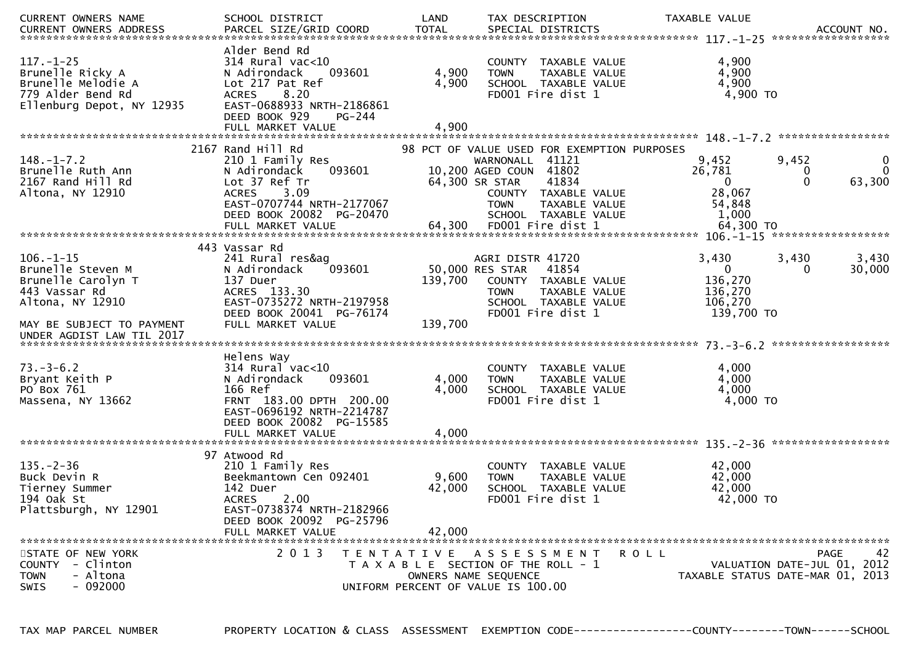| CURRENT OWNERS NAME                                                                                         | SCHOOL DISTRICT                                                                                                                                                   | LAND              | TAX DESCRIPTION                                                                                                                                                                                     | TAXABLE VALUE   | ACCOUNT NO.<br>******************                                                   |
|-------------------------------------------------------------------------------------------------------------|-------------------------------------------------------------------------------------------------------------------------------------------------------------------|-------------------|-----------------------------------------------------------------------------------------------------------------------------------------------------------------------------------------------------|-----------------|-------------------------------------------------------------------------------------|
| $117. - 1 - 25$<br>Brunelle Ricky A<br>Brunelle Melodie A<br>779 Alder Bend Rd<br>Ellenburg Depot, NY 12935 | Alder Bend Rd<br>$314$ Rural vac<10<br>N Adirondack<br>093601<br>Lot 217 Pat Ref<br>ACRES 8.20<br>EAST-0688933 NRTH-2186861<br>DEED BOOK 929<br><b>PG-244</b>     | 4,900<br>4,900    | COUNTY TAXABLE VALUE<br>TAXABLE VALUE<br><b>TOWN</b><br>SCHOOL TAXABLE VALUE<br>FD001 Fire dist 1                                                                                                   |                 | 4,900<br>4,900<br>4,900<br>4,900 TO                                                 |
|                                                                                                             |                                                                                                                                                                   |                   |                                                                                                                                                                                                     |                 |                                                                                     |
| $148. - 1 - 7.2$<br>Brunelle Ruth Ann<br>2167 Rand Hill Rd<br>Altona, NY 12910                              | 2167 Rand Hill Rd<br>210 1 Family Res<br>093601<br>N Adirondack<br>Lot 37 Ref Tr<br>3.09<br><b>ACRES</b><br>EAST-0707744 NRTH-2177067<br>DEED BOOK 20082 PG-20470 |                   | 98 PCT OF VALUE USED FOR EXEMPTION PURPOSES<br>WARNONALL 41121<br>10,200 AGED COUN 41802<br>64,300 SR STAR<br>41834<br>COUNTY TAXABLE VALUE<br>TAXABLE VALUE<br><b>TOWN</b><br>SCHOOL TAXABLE VALUE | 9,452<br>26,781 | 9,452<br>0<br>$\Omega$<br>0<br>$\Omega$<br>63,300<br>0<br>28,067<br>54,848<br>1,000 |
|                                                                                                             |                                                                                                                                                                   |                   |                                                                                                                                                                                                     |                 |                                                                                     |
| $106. - 1 - 15$<br>Brunelle Steven M<br>Brunelle Carolyn T                                                  | 443 Vassar Rd<br>241 Rural res&ag<br>093601<br>N Adirondack<br>137 Duer                                                                                           | 139,700           | AGRI DISTR 41720<br>50,000 RES STAR<br>41854<br>COUNTY TAXABLE VALUE                                                                                                                                | 3,430           | 3,430<br>3,430<br>30,000<br>$\Omega$<br>$\Omega$<br>136,270                         |
| 443 Vassar Rd<br>Altona, NY 12910                                                                           | ACRES 133.30<br>EAST-0735272 NRTH-2197958<br>DEED BOOK 20041 PG-76174                                                                                             |                   | TAXABLE VALUE<br><b>TOWN</b><br>SCHOOL TAXABLE VALUE<br>FD001 Fire dist 1                                                                                                                           |                 | 136,270<br>106,270<br>139,700 TO                                                    |
| MAY BE SUBJECT TO PAYMENT<br>UNDER AGDIST LAW TIL 2017                                                      | FULL MARKET VALUE                                                                                                                                                 | 139,700           |                                                                                                                                                                                                     |                 |                                                                                     |
| $73. - 3 - 6.2$                                                                                             | Helens Way<br>$314$ Rural vac<10                                                                                                                                  |                   | COUNTY TAXABLE VALUE                                                                                                                                                                                |                 | 4,000                                                                               |
| Bryant Keith P<br>PO Box 761                                                                                | 093601<br>N Adirondack<br>166 Ref                                                                                                                                 | 4,000<br>4,000    | TAXABLE VALUE<br><b>TOWN</b><br>SCHOOL TAXABLE VALUE                                                                                                                                                |                 | 4,000<br>4,000                                                                      |
| Massena, NY 13662                                                                                           | FRNT 183.00 DPTH 200.00<br>EAST-0696192 NRTH-2214787<br>DEED BOOK 20082 PG-15585                                                                                  |                   | FD001 Fire dist 1                                                                                                                                                                                   |                 | 4,000 TO                                                                            |
|                                                                                                             |                                                                                                                                                                   |                   |                                                                                                                                                                                                     |                 |                                                                                     |
| $135. - 2 - 36$                                                                                             | 97 Atwood Rd<br>210 1 Family Res<br>Beekmantown Cen 092401                                                                                                        |                   | COUNTY TAXABLE VALUE                                                                                                                                                                                |                 | 42,000<br>42,000                                                                    |
| Buck Devin R<br>Tierney Summer<br>194 Oak St<br>Plattsburgh, NY 12901                                       | 142 Duer<br><b>ACRES</b><br>2.00<br>EAST-0738374 NRTH-2182966<br>DEED BOOK 20092 PG-25796                                                                         | 9,600<br>42,000   | TAXABLE VALUE<br><b>TOWN</b><br>SCHOOL TAXABLE VALUE<br>FD001 Fire dist 1                                                                                                                           |                 | 42,000<br>42,000 TO                                                                 |
|                                                                                                             | FULL MARKET VALUE                                                                                                                                                 | 42,000            |                                                                                                                                                                                                     |                 |                                                                                     |
| STATE OF NEW YORK<br>COUNTY - Clinton<br><b>TOWN</b><br>- Altona<br>$-092000$<br><b>SWIS</b>                | 2 0 1 3                                                                                                                                                           | T E N T A T I V E | A S S E S S M E N T<br>T A X A B L E SECTION OF THE ROLL - 1<br>OWNERS NAME SEQUENCE<br>UNIFORM PERCENT OF VALUE IS 100.00                                                                          | R O L L         | 42<br>PAGE<br>VALUATION DATE-JUL 01, 2012<br>TAXABLE STATUS DATE-MAR 01, 2013       |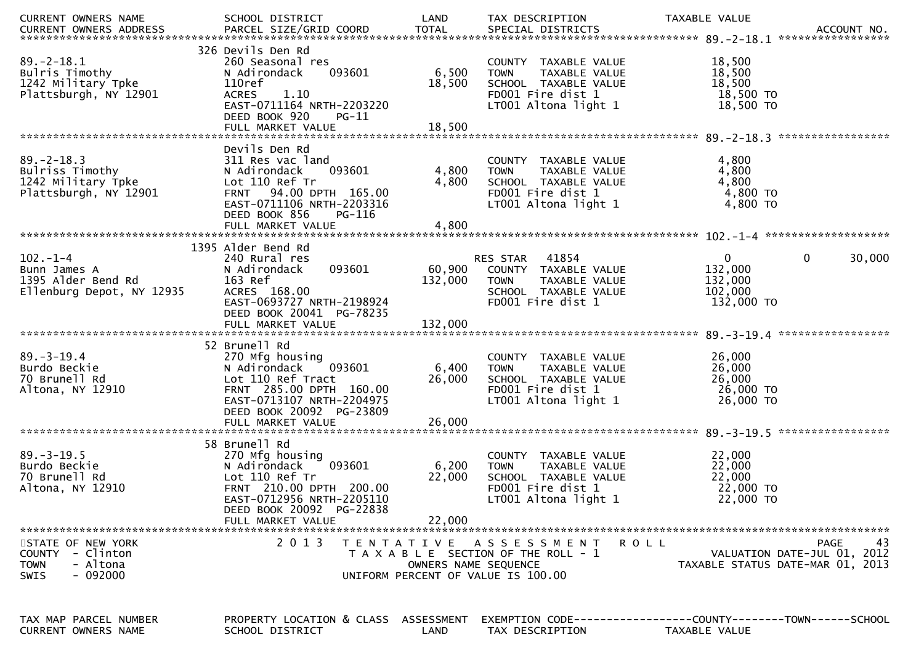| CURRENT OWNERS NAME                                                                  | SCHOOL DISTRICT                                                                                                                                                                       | LAND                                      | TAX DESCRIPTION                                                                                                           | TAXABLE VALUE                                                                            |
|--------------------------------------------------------------------------------------|---------------------------------------------------------------------------------------------------------------------------------------------------------------------------------------|-------------------------------------------|---------------------------------------------------------------------------------------------------------------------------|------------------------------------------------------------------------------------------|
| $89. - 2 - 18.1$<br>Bulris Timothy<br>1242 Military Tpke<br>Plattsburgh, NY 12901    | 326 Devils Den Rd<br>260 Seasonal res<br>093601<br>N Adirondack<br>110ref<br>1.10<br><b>ACRES</b><br>EAST-0711164 NRTH-2203220<br>DEED BOOK 920<br>$PG-11$                            | 6,500<br>18,500                           | COUNTY TAXABLE VALUE<br><b>TOWN</b><br>TAXABLE VALUE<br>SCHOOL TAXABLE VALUE<br>FD001 Fire dist 1<br>LT001 Altona light 1 | 18,500<br>18,500<br>18,500<br>18,500 TO<br>18,500 TO                                     |
|                                                                                      | Devils Den Rd                                                                                                                                                                         |                                           |                                                                                                                           |                                                                                          |
| $89. - 2 - 18.3$<br>Bulriss Timothy<br>1242 Military Tpke<br>Plattsburgh, NY 12901   | 311 Res vac land<br>N Adirondack<br>093601<br>Lot 110 Ref Tr<br>FRNT 94.00 DPTH 165.00<br>EAST-0711106 NRTH-2203316<br>DEED BOOK 856<br>PG-116                                        | 4,800<br>4,800                            | COUNTY TAXABLE VALUE<br><b>TOWN</b><br>TAXABLE VALUE<br>SCHOOL TAXABLE VALUE<br>FD001 Fire dist 1<br>LT001 Altona light 1 | 4,800<br>4,800<br>4,800<br>4,800 TO<br>4,800 TO                                          |
|                                                                                      | FULL MARKET VALUE                                                                                                                                                                     | 4,800                                     |                                                                                                                           |                                                                                          |
|                                                                                      | 1395 Alder Bend Rd                                                                                                                                                                    |                                           |                                                                                                                           |                                                                                          |
| $102. - 1 - 4$<br>Bunn James A<br>1395 Alder Bend Rd<br>Ellenburg Depot, NY 12935    | 240 Rural res<br>N Adirondack<br>093601<br>163 Ref<br>ACRES 168.00<br>EAST-0693727 NRTH-2198924<br>DEED BOOK 20041 PG-78235                                                           | 60,900<br>132,000                         | 41854<br>RES STAR<br>COUNTY TAXABLE VALUE<br>TAXABLE VALUE<br><b>TOWN</b><br>SCHOOL TAXABLE VALUE<br>FD001 Fire dist 1    | 0<br>0<br>30,000<br>132,000<br>132,000<br>102,000<br>132,000 TO                          |
|                                                                                      | FULL MARKET VALUE                                                                                                                                                                     | 132,000                                   |                                                                                                                           |                                                                                          |
| $89. - 3 - 19.4$<br>Burdo Beckie<br>70 Brunell Rd<br>Altona, NY 12910                | 52 Brunell Rd<br>270 Mfg housing<br>093601<br>N Adirondack<br>Lot 110 Ref Tract<br>FRNT 285.00 DPTH 160.00<br>EAST-0713107 NRTH-2204975<br>DEED BOOK 20092 PG-23809                   | 6,400<br>26,000                           | COUNTY TAXABLE VALUE<br><b>TOWN</b><br>TAXABLE VALUE<br>SCHOOL TAXABLE VALUE<br>FD001 Fire dist 1<br>LT001 Altona light 1 | 26,000<br>26,000<br>26,000<br>26,000 TO<br>26,000 TO                                     |
|                                                                                      | FULL MARKET VALUE                                                                                                                                                                     | 26,000                                    |                                                                                                                           |                                                                                          |
| $89. - 3 - 19.5$<br>Burdo Beckie<br>70 Brunell Rd<br>Altona, NY 12910                | 58 Brunell Rd<br>270 Mfg housing<br>093601<br>N Adirondack<br>Lot 110 Ref Tr<br>FRNT 210.00 DPTH 200.00<br>EAST-0712956 NRTH-2205110<br>DEED BOOK 20092 PG-22838<br>FULL MARKET VALUE | 6,200<br>22,000<br>22,000                 | COUNTY TAXABLE VALUE<br>TAXABLE VALUE<br><b>TOWN</b><br>SCHOOL TAXABLE VALUE<br>FD001 Fire dist 1<br>LT001 Altona light 1 | 22,000<br>22,000<br>22,000<br>22,000 TO<br>22,000 TO                                     |
|                                                                                      |                                                                                                                                                                                       |                                           |                                                                                                                           |                                                                                          |
| STATE OF NEW YORK<br>COUNTY - Clinton<br>- Altona<br><b>TOWN</b><br>- 092000<br>SWIS | 2 0 1 3                                                                                                                                                                               | T E N T A T I V E<br>OWNERS NAME SEQUENCE | A S S E S S M E N T<br>T A X A B L E SECTION OF THE ROLL - 1<br>UNIFORM PERCENT OF VALUE IS 100.00                        | 43<br>PAGE<br>R O L L<br>VALUATION DATE-JUL 01, 2012<br>TAXABLE STATUS DATE-MAR 01, 2013 |
| TAX MAP PARCEL NUMBER<br><b>CURRENT OWNERS NAME</b>                                  | PROPERTY LOCATION & CLASS ASSESSMENT<br>SCHOOL DISTRICT                                                                                                                               | LAND                                      | TAX DESCRIPTION                                                                                                           | EXEMPTION CODE-----------------COUNTY-------TOWN------SCHOOL<br>TAXABLE VALUE            |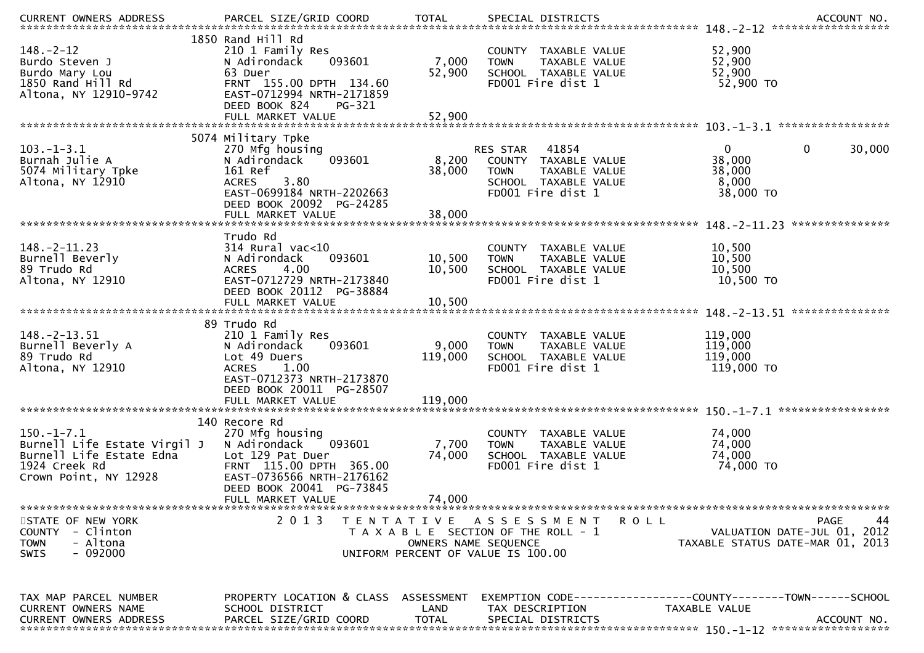| <b>CURRENT OWNERS ADDRESS</b>          | PARCEL SIZE/GRID COORD                                | <b>TOTAL</b>         | SPECIAL DISTRICTS                         | ACCOUNT NO.                                                  |
|----------------------------------------|-------------------------------------------------------|----------------------|-------------------------------------------|--------------------------------------------------------------|
|                                        | 1850 Rand Hill Rd                                     |                      |                                           |                                                              |
| $148. - 2 - 12$                        | 210 1 Family Res                                      |                      | COUNTY TAXABLE VALUE                      | 52,900                                                       |
| Burdo Steven J                         | 093601<br>N Adirondack                                | 7,000                | <b>TOWN</b><br>TAXABLE VALUE              | 52,900                                                       |
| Burdo Mary Lou                         | 63 Duer                                               | 52,900               | SCHOOL TAXABLE VALUE                      | 52,900                                                       |
| 1850 Rand Hill Rd                      | FRNT 155.00 DPTH 134.60                               |                      | FD001 Fire dist 1                         | 52,900 TO                                                    |
| Altona, NY 12910-9742                  | EAST-0712994 NRTH-2171859                             |                      |                                           |                                                              |
|                                        | DEED BOOK 824<br>PG-321                               |                      |                                           |                                                              |
|                                        |                                                       |                      |                                           |                                                              |
|                                        | 5074 Military Tpke                                    |                      |                                           |                                                              |
| $103.-1-3.1$                           | 270 Mfg housing                                       |                      | RES STAR 41854                            | $\mathbf 0$<br>$\mathbf{0}$<br>30,000                        |
| Burnah Julie A                         | 093601<br>N Adirondack                                | 8,200                | COUNTY TAXABLE VALUE                      | 38,000                                                       |
| 5074 Military Tpke                     | 161 Ref                                               | 38,000               | TAXABLE VALUE<br><b>TOWN</b>              | 38,000                                                       |
| Altona, NY 12910                       | 3.80<br><b>ACRES</b><br>EAST-0699184 NRTH-2202663     |                      | SCHOOL TAXABLE VALUE<br>FD001 Fire dist 1 | 8,000<br>38,000 TO                                           |
|                                        | DEED BOOK 20092 PG-24285                              |                      |                                           |                                                              |
|                                        | FULL MARKET VALUE                                     | 38,000               |                                           |                                                              |
|                                        |                                                       |                      |                                           | ***************                                              |
|                                        | Trudo Rd                                              |                      |                                           |                                                              |
| $148. -2 - 11.23$                      | $314$ Rural vac< $10$                                 |                      | COUNTY TAXABLE VALUE                      | 10,500                                                       |
| Burnell Beverly                        | 093601<br>N Adirondack                                | 10,500               | TAXABLE VALUE<br><b>TOWN</b>              | 10,500                                                       |
| 89 Trudo Rd                            | 4.00<br><b>ACRES</b>                                  | 10,500               | SCHOOL TAXABLE VALUE                      | 10,500                                                       |
| Altona, NY 12910                       | EAST-0712729 NRTH-2173840<br>DEED BOOK 20112 PG-38884 |                      | FD001 Fire dist 1                         | 10,500 TO                                                    |
|                                        | FULL MARKET VALUE                                     | 10,500               |                                           |                                                              |
|                                        |                                                       |                      |                                           |                                                              |
|                                        | 89 Trudo Rd                                           |                      |                                           |                                                              |
| $148. - 2 - 13.51$                     | 210 1 Family Res                                      |                      | COUNTY TAXABLE VALUE                      | 119,000                                                      |
| Burnell Beverly A                      | 093601<br>N Adirondack                                | 9,000                | TAXABLE VALUE<br><b>TOWN</b>              | 119,000                                                      |
| 89 Trudo Rd                            | Lot 49 Duers                                          | 119,000              | SCHOOL TAXABLE VALUE                      | 119,000                                                      |
| Altona, NY 12910                       | <b>ACRES</b><br>1.00<br>EAST-0712373 NRTH-2173870     |                      | FD001 Fire dist 1                         | 119,000 TO                                                   |
|                                        | DEED BOOK 20011 PG-28507                              |                      |                                           |                                                              |
|                                        |                                                       |                      |                                           |                                                              |
|                                        |                                                       |                      |                                           |                                                              |
|                                        | 140 Recore Rd                                         |                      |                                           |                                                              |
| $150.-1-7.1$                           | 270 Mfg housing                                       |                      | COUNTY TAXABLE VALUE                      | 74,000                                                       |
| Burnell Life Estate Virgil J           | 093601<br>N Adirondack                                | 7,700                | <b>TOWN</b><br>TAXABLE VALUE              | 74,000                                                       |
| Burnell Life Estate Edna               | Lot 129 Pat Duer                                      | 74,000               | SCHOOL TAXABLE VALUE                      | 74,000                                                       |
| 1924 Creek Rd<br>Crown Point, NY 12928 | FRNT 115.00 DPTH 365.00<br>EAST-0736566 NRTH-2176162  |                      | FD001 Fire dist 1                         | 74,000 TO                                                    |
|                                        | DEED BOOK 20041 PG-73845                              |                      |                                           |                                                              |
|                                        | FULL MARKET VALUE                                     | 74,000               |                                           |                                                              |
|                                        |                                                       |                      |                                           |                                                              |
| STATE OF NEW YORK                      | 2 0 1 3                                               |                      | TENTATIVE ASSESSMENT<br>R O L L           | <b>PAGE</b><br>44                                            |
| COUNTY - Clinton                       |                                                       |                      | T A X A B L E SECTION OF THE ROLL - 1     | VALUATION DATE-JUL 01, 2012                                  |
| - Altona<br><b>TOWN</b>                |                                                       | OWNERS NAME SEQUENCE |                                           | TAXABLE STATUS DATE-MAR 01, 2013                             |
| - 092000<br><b>SWIS</b>                |                                                       |                      | UNIFORM PERCENT OF VALUE IS 100.00        |                                                              |
|                                        |                                                       |                      |                                           |                                                              |
|                                        |                                                       |                      |                                           |                                                              |
| TAX MAP PARCEL NUMBER                  | PROPERTY LOCATION & CLASS ASSESSMENT                  |                      |                                           | EXEMPTION CODE-----------------COUNTY-------TOWN------SCHOOL |
| CURRENT OWNERS NAME                    | SCHOOL DISTRICT                                       | LAND                 | TAX DESCRIPTION                           | TAXABLE VALUE                                                |
| <b>CURRENT OWNERS ADDRESS</b>          | PARCEL SIZE/GRID COORD                                | TOTAL                | SPECIAL DISTRICTS                         | ACCOUNT NO.                                                  |
|                                        |                                                       |                      |                                           |                                                              |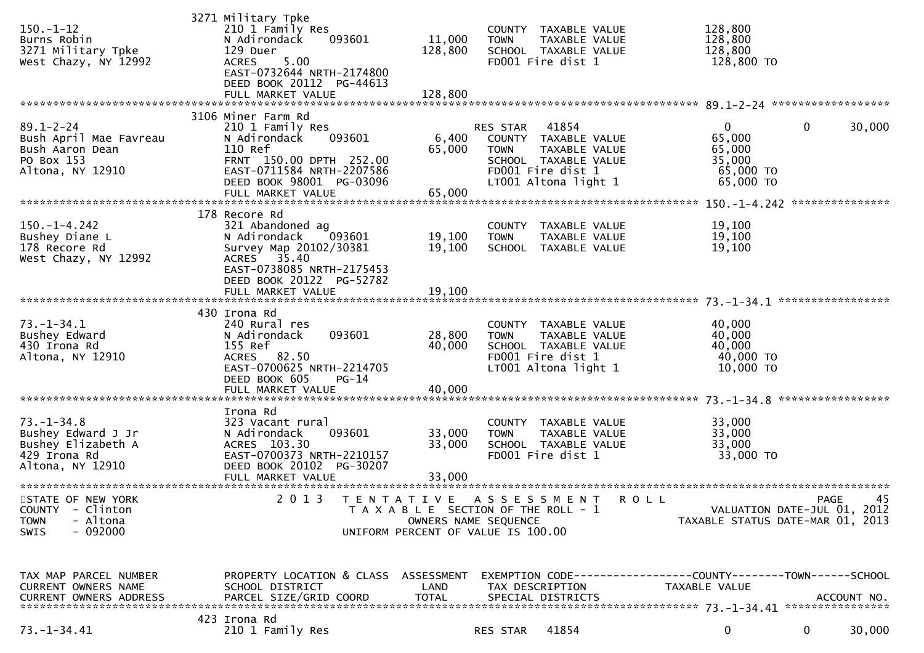| $150. - 1 - 12$<br>Burns Robin<br>3271 Military Tpke<br>West Chazy, NY 12992                     | 3271 Military Tpke<br>210 1 Family Res<br>N Adirondack<br>093601<br>129 Duer<br>5.00<br><b>ACRES</b><br>EAST-0732644 NRTH-2174800<br>DEED BOOK 20112 PG-44613<br>FULL MARKET VALUE   | 11,000<br>128,800<br>128,800 | COUNTY TAXABLE VALUE<br><b>TOWN</b><br>SCHOOL TAXABLE VALUE<br>FD001 Fire dist 1                                              | TAXABLE VALUE                                                 | 128,800<br>128,800<br>128,800<br>128,800 TO                          |                                                                                      |
|--------------------------------------------------------------------------------------------------|--------------------------------------------------------------------------------------------------------------------------------------------------------------------------------------|------------------------------|-------------------------------------------------------------------------------------------------------------------------------|---------------------------------------------------------------|----------------------------------------------------------------------|--------------------------------------------------------------------------------------|
|                                                                                                  |                                                                                                                                                                                      |                              |                                                                                                                               |                                                               |                                                                      |                                                                                      |
| $89.1 - 2 - 24$<br>Bush April Mae Favreau<br>Bush Aaron Dean<br>PO Box 153<br>Altona, NY 12910   | 3106 Miner Farm Rd<br>210 1 Family Res<br>093601<br>N Adirondack<br>110 Ref<br>FRNT 150.00 DPTH 252.00<br>EAST-0711584 NRTH-2207586<br>DEED BOOK 98001 PG-03096<br>FULL MARKET VALUE | 6,400<br>65,000<br>65,000    | RES STAR<br>41854<br>COUNTY TAXABLE VALUE<br><b>TOWN</b><br>SCHOOL TAXABLE VALUE<br>FD001 Fire dist 1<br>LT001 Altona light 1 | TAXABLE VALUE                                                 | $\mathbf{0}$<br>65,000<br>65,000<br>35,000<br>65,000 TO<br>65,000 TO | 30,000<br>0                                                                          |
|                                                                                                  | 178 Recore Rd                                                                                                                                                                        |                              |                                                                                                                               |                                                               |                                                                      |                                                                                      |
| $150. - 1 - 4.242$<br>Bushey Diane L<br>178 Recore Rd<br>West Chazy, NY 12992                    | 321 Abandoned ag<br>093601<br>N Adirondack<br>Survey Map 20102/30381<br>ACRES 35.40<br>EAST-0738085 NRTH-2175453                                                                     | 19,100<br>19,100             | COUNTY TAXABLE VALUE<br><b>TOWN</b><br>SCHOOL TAXABLE VALUE                                                                   | TAXABLE VALUE                                                 | 19,100<br>19,100<br>19,100                                           |                                                                                      |
|                                                                                                  | DEED BOOK 20122 PG-52782<br>FULL MARKET VALUE                                                                                                                                        | 19,100                       |                                                                                                                               |                                                               |                                                                      |                                                                                      |
|                                                                                                  |                                                                                                                                                                                      |                              |                                                                                                                               |                                                               |                                                                      |                                                                                      |
| $73. - 1 - 34.1$<br>Bushey Edward<br>430 Irona Rd<br>Altona, NY 12910                            | 430 Irona Rd<br>240 Rural res<br>093601<br>N Adirondack<br>155 Ref<br>ACRES 82.50<br>EAST-0700625 NRTH-2214705<br>DEED BOOK 605<br>$PG-14$<br>FULL MARKET VALUE                      | 28,800<br>40,000<br>40,000   | COUNTY TAXABLE VALUE<br><b>TOWN</b><br>SCHOOL TAXABLE VALUE<br>FD001 Fire dist 1<br>LT001 Altona light 1                      | TAXABLE VALUE                                                 | 40,000<br>40,000<br>40,000<br>40,000 TO<br>10,000 TO                 |                                                                                      |
|                                                                                                  | Irona Rd                                                                                                                                                                             |                              |                                                                                                                               |                                                               |                                                                      |                                                                                      |
| $73. - 1 - 34.8$<br>Bushey Edward J Jr<br>Bushey Elizabeth A<br>429 Irona Rd<br>Altona, NY 12910 | 323 Vacant rural<br>N Adirondack<br>093601<br>ACRES 103.30<br>EAST-0700373 NRTH-2210157<br>DEED BOOK 20102 PG-30207<br>FULL MARKET VALUE                                             | 33,000<br>33,000<br>33,000   | COUNTY TAXABLE VALUE<br><b>TOWN</b><br>SCHOOL TAXABLE VALUE<br>FD001 Fire dist 1                                              | TAXABLE VALUE                                                 | 33,000<br>33,000<br>33,000<br>33,000 TO                              |                                                                                      |
| STATE OF NEW YORK<br>- Clinton<br><b>COUNTY</b><br><b>TOWN</b><br>- Altona<br>$-092000$<br>SWIS  | 2013 TENTATIVE ASSESSMENT ROLL                                                                                                                                                       |                              | T A X A B L E SECTION OF THE ROLL - 1<br>OWNERS NAME SEQUENCE<br>UNIFORM PERCENT OF VALUE IS 100.00                           |                                                               |                                                                      | <b>PAGE</b><br>45<br>VALUATION DATE-JUL 01, 2012<br>TAXABLE STATUS DATE-MAR 01, 2013 |
| TAX MAP PARCEL NUMBER<br>CURRENT OWNERS NAME<br>CURRENT OWNERS ADDRESS                           | PROPERTY LOCATION & CLASS ASSESSMENT<br>SCHOOL DISTRICT<br>PARCEL SIZE/GRID COORD                                                                                                    | LAND<br><b>TOTAL</b>         | TAX DESCRIPTION<br>SPECIAL DISTRICTS                                                                                          | EXEMPTION CODE-----------------COUNTY--------TOWN------SCHOOL | TAXABLE VALUE                                                        | ACCOUNT NO.                                                                          |
| $73. - 1 - 34.41$                                                                                | 423 Irona Rd<br>210 1 Family Res                                                                                                                                                     |                              | 41854<br>RES STAR                                                                                                             |                                                               | 0                                                                    | $\mathbf 0$<br>30,000                                                                |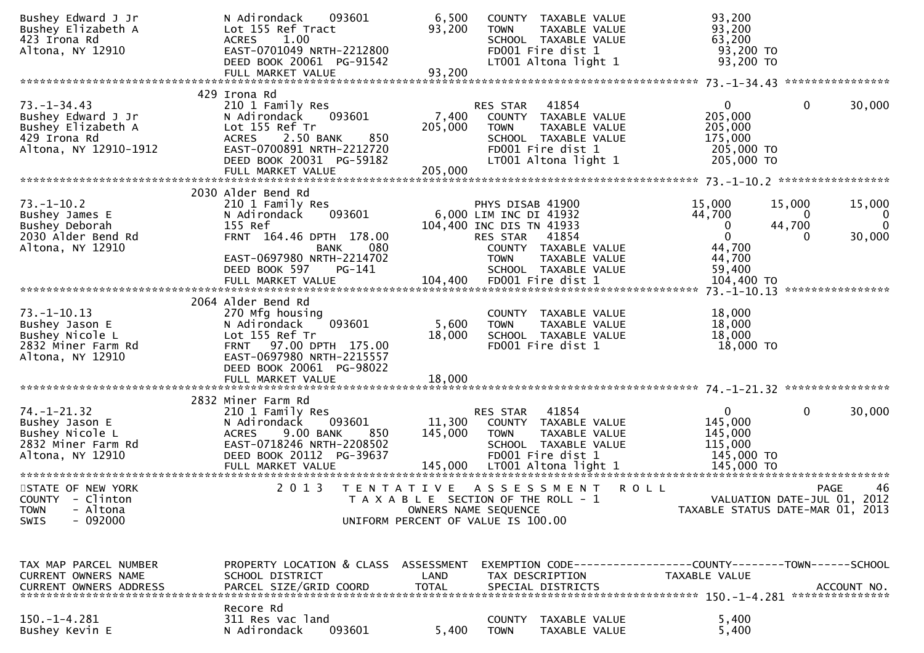| Bushey Edward J Jr<br>Bushey Elizabeth A            | N Adirondack<br>093601<br>Lot 155 Ref Tract                   | 6,500<br>93,200 | <b>TOWN</b>                                                  | COUNTY TAXABLE VALUE<br>TAXABLE VALUE | 93,200<br>93,200                 |                             |                       |
|-----------------------------------------------------|---------------------------------------------------------------|-----------------|--------------------------------------------------------------|---------------------------------------|----------------------------------|-----------------------------|-----------------------|
| 423 Irona Rd                                        | <b>ACRES</b><br>1.00                                          |                 |                                                              | SCHOOL TAXABLE VALUE                  | 63,200                           |                             |                       |
| Altona, NY 12910                                    | EAST-0701049 NRTH-2212800<br>DEED BOOK 20061 PG-91542         |                 | FD001 Fire dist 1                                            |                                       | 93,200 TO<br>93,200 TO           |                             |                       |
|                                                     | FULL MARKET VALUE                                             | 93,200          |                                                              | LT001 Altona light 1                  |                                  |                             |                       |
|                                                     |                                                               |                 |                                                              |                                       |                                  |                             |                       |
|                                                     | 429 Irona Rd                                                  |                 |                                                              |                                       |                                  |                             |                       |
| $73. - 1 - 34.43$<br>Bushey Edward J Jr             | 210 1 Family Res<br>093601<br>N Adirondack                    | 7,400           | RES STAR                                                     | 41854<br>COUNTY TAXABLE VALUE         | $\mathbf{0}$<br>205,000          | $\mathbf 0$                 | 30,000                |
| Bushey Elizabeth A                                  | Lot 155 Ref Tr                                                | 205,000         | <b>TOWN</b>                                                  | TAXABLE VALUE                         | 205,000                          |                             |                       |
| 429 Irona Rd                                        | <b>ACRES</b><br>2.50 BANK<br>850<br>EAST-0700891 NRTH-2212720 |                 |                                                              | SCHOOL TAXABLE VALUE                  | 175,000                          |                             |                       |
| Altona, NY 12910-1912                               | DEED BOOK 20031 PG-59182                                      |                 | FD001 Fire dist 1                                            | LT001 Altona light 1                  | 205,000 TO<br>205,000 TO         |                             |                       |
|                                                     | FULL MARKET VALUE                                             | 205,000         |                                                              |                                       |                                  |                             |                       |
|                                                     | 2030 Alder Bend Rd                                            |                 |                                                              |                                       |                                  |                             |                       |
| $73. - 1 - 10.2$                                    | 210 1 Family Res                                              |                 | PHYS DISAB 41900                                             |                                       | 15,000                           | 15,000                      | 15,000                |
| Bushey James E                                      | 093601<br>N Adirondack                                        |                 | 6,000 LIM INC DI 41932                                       |                                       | 44,700                           | $\bf{0}$                    | $\Omega$              |
| Bushey Deborah<br>2030 Alder Bend Rd                | 155 Ref<br>FRNT 164.46 DPTH 178.00                            |                 | 104,400 INC DIS TN 41933<br>RES STAR                         | 41854                                 | 0<br>$\Omega$                    | 44,700<br>0                 | $\mathbf 0$<br>30,000 |
| Altona, NY 12910                                    | 080<br><b>BANK</b>                                            |                 |                                                              | COUNTY TAXABLE VALUE                  | 44,700                           |                             |                       |
|                                                     | EAST-0697980 NRTH-2214702                                     |                 | <b>TOWN</b>                                                  | TAXABLE VALUE                         | 44,700                           |                             |                       |
|                                                     | DEED BOOK 597<br>PG-141                                       |                 |                                                              | SCHOOL TAXABLE VALUE                  | 59,400                           |                             |                       |
|                                                     | FULL MARKET VALUE                                             |                 | 104,400 FD001 Fire dist 1                                    |                                       | 104,400 TO                       |                             | ****************      |
|                                                     | 2064 Alder Bend Rd                                            |                 |                                                              |                                       |                                  |                             |                       |
| $73. - 1 - 10.13$                                   | 270 Mfg housing<br>093601                                     | 5,600           |                                                              | COUNTY TAXABLE VALUE                  | 18,000<br>18,000                 |                             |                       |
| Bushey Jason E<br>Bushey Nicole L                   | N Adirondack<br>Lot 155 Ref Tr                                | 18,000          | <b>TOWN</b>                                                  | TAXABLE VALUE<br>SCHOOL TAXABLE VALUE | 18,000                           |                             |                       |
| 2832 Miner Farm Rd                                  | FRNT 97.00 DPTH 175.00                                        |                 | FD001 Fire dist 1                                            |                                       | 18,000 TO                        |                             |                       |
| Altona, NY 12910                                    | EAST-0697980 NRTH-2215557<br>DEED BOOK 20061 PG-98022         |                 |                                                              |                                       |                                  |                             |                       |
|                                                     |                                                               |                 |                                                              |                                       |                                  |                             |                       |
|                                                     |                                                               |                 |                                                              |                                       |                                  |                             |                       |
| $74. - 1 - 21.32$                                   | 2832 Miner Farm Rd<br>210 1 Family Res                        |                 | RES STAR                                                     | 41854                                 | $\overline{0}$                   | $\mathbf{0}$                | 30,000                |
| Bushey Jason E                                      | 093601<br>N Adirondack                                        | 11,300          |                                                              | COUNTY TAXABLE VALUE                  | 145,000                          |                             |                       |
| Bushey Nicole L                                     | <b>ACRES</b><br>9.00 BANK<br>850                              | 145,000         | <b>TOWN</b>                                                  | TAXABLE VALUE                         | 145,000                          |                             |                       |
| 2832 Miner Farm Rd<br>Altona, NY 12910              | EAST-0718246 NRTH-2208502<br>DEED BOOK 20112 PG-39637         |                 | FD001 Fire dist 1                                            | SCHOOL TAXABLE VALUE                  | 115,000<br>145,000 TO            |                             |                       |
|                                                     |                                                               |                 |                                                              |                                       |                                  |                             |                       |
|                                                     |                                                               |                 |                                                              |                                       |                                  |                             |                       |
| STATE OF NEW YORK<br>COUNTY - Clinton               | 2 0 1 3<br>T E N T A T I V E                                  |                 | A S S E S S M E N T<br>T A X A B L E SECTION OF THE ROLL - 1 | <b>ROLL</b>                           |                                  | VALUATION DATE-JUL 01, 2012 | 46<br><b>PAGE</b>     |
| - Altona<br><b>TOWN</b>                             |                                                               |                 | OWNERS NAME SEQUENCE                                         |                                       | TAXABLE STATUS DATE-MAR 01, 2013 |                             |                       |
| $-092000$<br>SWIS                                   |                                                               |                 | UNIFORM PERCENT OF VALUE IS 100.00                           |                                       |                                  |                             |                       |
|                                                     |                                                               |                 |                                                              |                                       |                                  |                             |                       |
|                                                     |                                                               |                 |                                                              |                                       |                                  |                             |                       |
| TAX MAP PARCEL NUMBER<br><b>CURRENT OWNERS NAME</b> | PROPERTY LOCATION & CLASS ASSESSMENT<br>SCHOOL DISTRICT       | LAND            |                                                              |                                       | TAXABLE VALUE                    |                             |                       |
| <b>CURRENT OWNERS ADDRESS</b>                       | PARCEL SIZE/GRID COORD                                        | <b>TOTAL</b>    | TAX DESCRIPTION<br>SPECIAL DISTRICTS                         |                                       |                                  |                             | ACCOUNT NO.           |
|                                                     |                                                               |                 |                                                              |                                       |                                  |                             |                       |
| $150. - 1 - 4.281$                                  | Recore Rd<br>311 Res vac land                                 |                 | <b>COUNTY</b>                                                | TAXABLE VALUE                         | 5,400                            |                             |                       |
| Bushey Kevin E                                      | 093601<br>N Adirondack                                        | 5,400           | <b>TOWN</b>                                                  | TAXABLE VALUE                         | 5,400                            |                             |                       |
|                                                     |                                                               |                 |                                                              |                                       |                                  |                             |                       |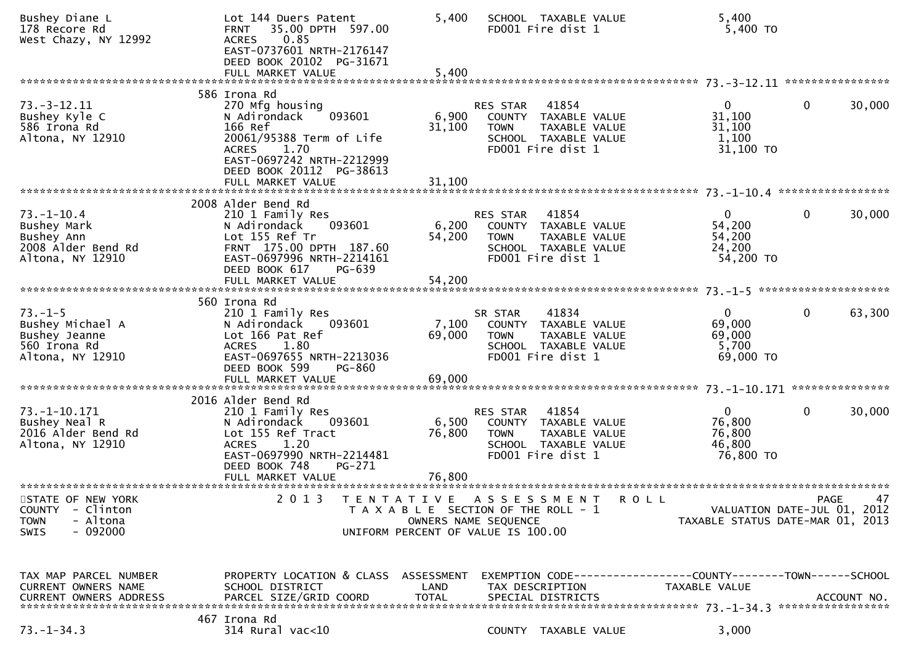| Bushey Diane L<br>178 Recore Rd<br>West Chazy, NY 12992                                                | Lot 144 Duers Patent<br>35.00 DPTH 597.00<br><b>FRNT</b><br>0.85<br><b>ACRES</b><br>EAST-0737601 NRTH-2176147<br>DEED BOOK 20102 PG-31671                                                              | 5,400                     | SCHOOL TAXABLE VALUE<br>FD001 Fire dist 1                                                                                            |                                                                               | 5,400<br>5,400 TO                                                         |                   |
|--------------------------------------------------------------------------------------------------------|--------------------------------------------------------------------------------------------------------------------------------------------------------------------------------------------------------|---------------------------|--------------------------------------------------------------------------------------------------------------------------------------|-------------------------------------------------------------------------------|---------------------------------------------------------------------------|-------------------|
| **************************                                                                             | FULL MARKET VALUE                                                                                                                                                                                      | 5,400                     |                                                                                                                                      |                                                                               |                                                                           | ****************  |
| $73. - 3 - 12.11$<br>Bushey Kyle C<br>586 Irona Rd<br>Altona, NY 12910                                 | 586 Irona Rd<br>270 Mfg housing<br>093601<br>N Adirondack<br>166 Ref<br>20061/95388 Term of Life<br><b>ACRES</b><br>1.70<br>EAST-0697242 NRTH-2212999<br>DEED BOOK 20112 PG-38613<br>FULL MARKET VALUE | 6,900<br>31,100<br>31,100 | 41854<br><b>RES STAR</b><br>COUNTY TAXABLE VALUE<br><b>TOWN</b><br><b>TAXABLE VALUE</b><br>SCHOOL TAXABLE VALUE<br>FD001 Fire dist 1 |                                                                               | 0<br>$\mathbf 0$<br>31,100<br>31,100<br>1,100<br>31,100 TO                | 30,000            |
|                                                                                                        | 2008 Alder Bend Rd                                                                                                                                                                                     |                           |                                                                                                                                      |                                                                               |                                                                           |                   |
| $73. - 1 - 10.4$<br>Bushey Mark<br>Bushey Ann<br>2008 Alder Bend Rd<br>Altona, NY 12910                | 210 1 Family Res<br>N Adirondack<br>093601<br>Lot 155 Ref Tr<br>FRNT 175.00 DPTH 187.60<br>EAST-0697996 NRTH-2214161<br>DEED BOOK 617<br>PG-639                                                        | 6,200<br>54,200           | 41854<br>RES STAR<br>COUNTY TAXABLE VALUE<br><b>TOWN</b><br>TAXABLE VALUE<br>SCHOOL TAXABLE VALUE<br>FD001 Fire dist 1               |                                                                               | $\mathbf{0}$<br>$\mathbf 0$<br>54,200<br>54,200<br>24,200<br>54,200 TO    | 30,000            |
|                                                                                                        |                                                                                                                                                                                                        |                           |                                                                                                                                      |                                                                               |                                                                           |                   |
| $73. - 1 - 5$<br>Bushey Michael A<br>Bushey Jeanne<br>560 Irona Rd<br>Altona, NY 12910                 | 560 Irona Rd<br>210 1 Family Res<br>N Adirondack<br>093601<br>Lot 166 Pat Ref<br>1.80<br><b>ACRES</b><br>EAST-0697655 NRTH-2213036<br>DEED BOOK 599<br>PG-860<br>FULL MARKET VALUE                     | 7,100<br>69,000<br>69,000 | 41834<br>SR STAR<br>COUNTY TAXABLE VALUE<br>TAXABLE VALUE<br><b>TOWN</b><br>SCHOOL TAXABLE VALUE<br>FD001 Fire dist 1                |                                                                               | $\mathbf 0$<br>0<br>69,000<br>69,000<br>5,700<br>69,000 TO                | 63,300            |
|                                                                                                        |                                                                                                                                                                                                        |                           |                                                                                                                                      |                                                                               |                                                                           | ***************   |
| $73. - 1 - 10.171$<br>Bushey Neal R<br>2016 Alder Bend Rd<br>Altona, NY 12910                          | 2016 Alder Bend Rd<br>210 1 Family Res<br>N Adirondack<br>093601<br>Lot 155 Ref Tract<br><b>ACRES</b><br>1.20<br>EAST-0697990 NRTH-2214481<br>DEED BOOK 748<br>PG-271                                  | 6,500<br>76,800           | 41854<br>RES STAR<br>TAXABLE VALUE<br>COUNTY<br><b>TOWN</b><br>TAXABLE VALUE<br>SCHOOL TAXABLE VALUE<br>FD001 Fire dist 1            |                                                                               | $\overline{0}$<br>$\mathbf{0}$<br>76,800<br>76,800<br>46,800<br>76,800 TO | 30,000            |
|                                                                                                        | FULL MARKET VALUE                                                                                                                                                                                      | 76,800                    |                                                                                                                                      |                                                                               |                                                                           |                   |
| STATE OF NEW YORK<br>- Clinton<br><b>COUNTY</b><br><b>TOWN</b><br>- Altona<br>$-092000$<br><b>SWIS</b> | 2013<br>T E N T A T I V E                                                                                                                                                                              |                           | A S S E S S M E N T<br>T A X A B L E SECTION OF THE ROLL - 1<br>OWNERS NAME SEQUENCE<br>UNIFORM PERCENT OF VALUE IS 100.00           | <b>ROLL</b>                                                                   | VALUATION DATE-JUL 01, 2012<br>TAXABLE STATUS DATE-MAR 01, 2013           | 47<br><b>PAGE</b> |
| TAX MAP PARCEL NUMBER<br>CURRENT OWNERS NAME<br><b>CURRENT OWNERS ADDRESS</b>                          | PROPERTY LOCATION & CLASS ASSESSMENT<br>SCHOOL DISTRICT<br>PARCEL SIZE/GRID COORD                                                                                                                      | LAND<br><b>TOTAL</b>      | TAX DESCRIPTION<br>SPECIAL DISTRICTS                                                                                                 | EXEMPTION CODE-----------------COUNTY-------TOWN------SCHOOL<br>TAXABLE VALUE |                                                                           | ACCOUNT NO.       |
| $73. - 1 - 34.3$                                                                                       | 467 Irona Rd<br>$314$ Rural vac<10                                                                                                                                                                     |                           | COUNTY TAXABLE VALUE                                                                                                                 |                                                                               | 3,000                                                                     |                   |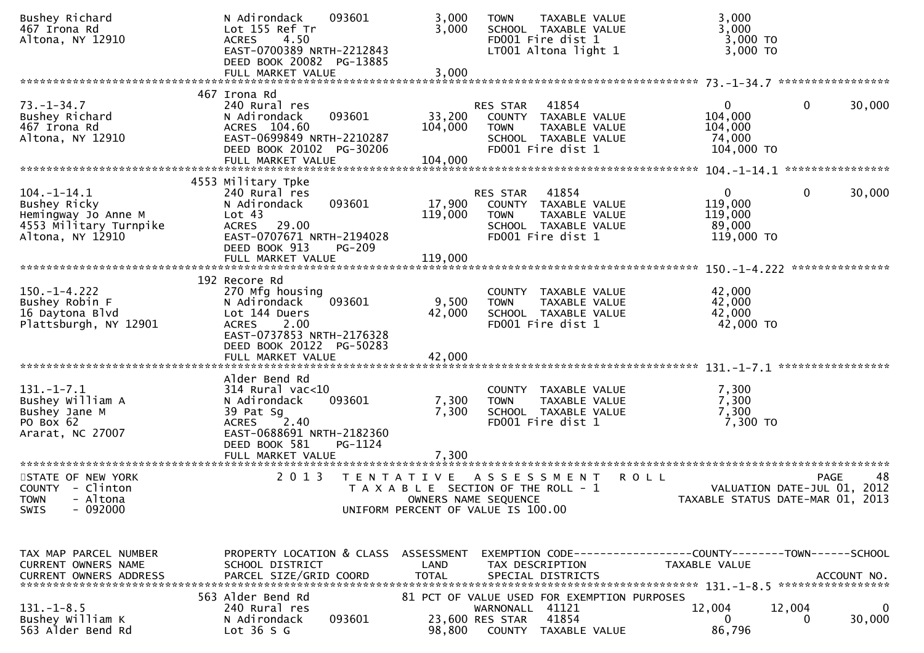| Bushey Richard<br>467 Irona Rd<br>Altona, NY 12910                                                     | N Adirondack<br>093601<br>Lot 155 Ref Tr<br>4.50<br><b>ACRES</b><br>EAST-0700389 NRTH-2212843<br>DEED BOOK 20082 PG-13885                                                         | 3,000<br>3,000               | TAXABLE VALUE<br><b>TOWN</b><br>SCHOOL TAXABLE VALUE<br>FD001 Fire dist 1<br>LT001 Altona light 1                             | 3,000<br>3,000<br>$3,000$ TO<br>3,000 TO                                      |                                                                               |
|--------------------------------------------------------------------------------------------------------|-----------------------------------------------------------------------------------------------------------------------------------------------------------------------------------|------------------------------|-------------------------------------------------------------------------------------------------------------------------------|-------------------------------------------------------------------------------|-------------------------------------------------------------------------------|
|                                                                                                        |                                                                                                                                                                                   |                              |                                                                                                                               |                                                                               |                                                                               |
| $73. - 1 - 34.7$<br>Bushey Richard<br>467 Irona Rd<br>Altona, NY 12910                                 | 467 Irona Rd<br>240 Rural res<br>093601<br>N Adirondack<br>ACRES 104.60<br>EAST-0699849 NRTH-2210287<br>DEED BOOK 20102 PG-30206<br>FULL MARKET VALUE                             | 33,200<br>104,000<br>104,000 | 41854<br>RES STAR<br>COUNTY TAXABLE VALUE<br>TAXABLE VALUE<br><b>TOWN</b><br>SCHOOL TAXABLE VALUE<br>FD001 Fire dist 1        | $\mathbf{0}$<br>104,000<br>104,000<br>74,000<br>104,000 TO                    | 0<br>30,000                                                                   |
|                                                                                                        | 4553 Military Tpke                                                                                                                                                                |                              |                                                                                                                               |                                                                               |                                                                               |
| $104. - 1 - 14.1$<br>Bushey Ricky<br>Hemingway Jo Anne M<br>4553 Military Turnpike<br>Altona, NY 12910 | 240 Rural res<br>093601<br>N Adirondack<br>Lot 43<br>ACRES 29.00<br>EAST-0707671 NRTH-2194028<br>DEED BOOK 913<br>PG-209                                                          | 17,900<br>119,000            | 41854<br><b>RES STAR</b><br>COUNTY TAXABLE VALUE<br>TAXABLE VALUE<br><b>TOWN</b><br>SCHOOL TAXABLE VALUE<br>FD001 Fire dist 1 | $\Omega$<br>119,000<br>119,000<br>89,000<br>119,000 TO                        | $\mathbf{0}$<br>30,000                                                        |
|                                                                                                        |                                                                                                                                                                                   |                              |                                                                                                                               |                                                                               |                                                                               |
| $150. - 1 - 4.222$<br>Bushey Robin F<br>16 Daytona Blvd<br>Plattsburgh, NY 12901                       | 192 Recore Rd<br>270 Mfg housing<br>093601<br>N Adirondack<br>Lot 144 Duers<br>2.00<br><b>ACRES</b><br>EAST-0737853 NRTH-2176328<br>DEED BOOK 20122 PG-50283<br>FULL MARKET VALUE | 9,500<br>42,000<br>42,000    | COUNTY TAXABLE VALUE<br><b>TOWN</b><br>TAXABLE VALUE<br>SCHOOL TAXABLE VALUE<br>FD001 Fire dist 1                             | 42,000<br>42,000<br>42,000<br>42,000 TO                                       |                                                                               |
|                                                                                                        |                                                                                                                                                                                   |                              |                                                                                                                               |                                                                               |                                                                               |
| $131. - 1 - 7.1$<br>Bushey William A<br>Bushey Jane M<br>PO Box 62<br>Ararat, NC 27007                 | Alder Bend Rd<br>$314$ Rural vac<10<br>093601<br>N Adirondack<br>39 Pat Sg<br>2.40<br><b>ACRES</b><br>EAST-0688691 NRTH-2182360<br>DEED BOOK 581<br>PG-1124                       | 7,300<br>7,300               | COUNTY TAXABLE VALUE<br>TAXABLE VALUE<br><b>TOWN</b><br>SCHOOL TAXABLE VALUE<br>FD001 Fire dist 1                             | 7,300<br>7,300<br>7,300<br>7,300 TO                                           |                                                                               |
|                                                                                                        |                                                                                                                                                                                   |                              |                                                                                                                               |                                                                               |                                                                               |
| STATE OF NEW YORK<br><b>COUNTY</b><br>- Clinton<br>- Altona<br><b>TOWN</b><br>- 092000<br>SWIS         | 2 0 1 3                                                                                                                                                                           |                              | TENTATIVE ASSESSMENT<br>T A X A B L E SECTION OF THE ROLL - 1<br>OWNERS NAME SEQUENCE<br>UNIFORM PERCENT OF VALUE IS 100.00   | <b>ROLL</b>                                                                   | 48<br>PAGE<br>VALUATION DATE-JUL 01, 2012<br>TAXABLE STATUS DATE-MAR 01, 2013 |
| TAX MAP PARCEL NUMBER<br>CURRENT OWNERS NAME<br><b>CURRENT OWNERS ADDRESS</b>                          | PROPERTY LOCATION & CLASS ASSESSMENT<br>SCHOOL DISTRICT<br>PARCEL SIZE/GRID COORD                                                                                                 | LAND<br><b>TOTAL</b>         | TAX DESCRIPTION<br>SPECIAL DISTRICTS                                                                                          | EXEMPTION CODE-----------------COUNTY-------TOWN------SCHOOL<br>TAXABLE VALUE | ACCOUNT NO.                                                                   |
| $131.-1-8.5$<br>Bushey William K<br>563 Alder Bend Rd                                                  | 563 Alder Bend Rd<br>240 Rural res<br>N Adirondack<br>093601<br>Lot $36S$                                                                                                         | 98,800                       | 81 PCT OF VALUE USED FOR EXEMPTION PURPOSES<br>41121<br>WARNONALL<br>23,600 RES STAR<br>41854<br>COUNTY TAXABLE VALUE         | 12,004<br>$\mathbf{0}$<br>86,796                                              | 12,004<br>30,000<br>0                                                         |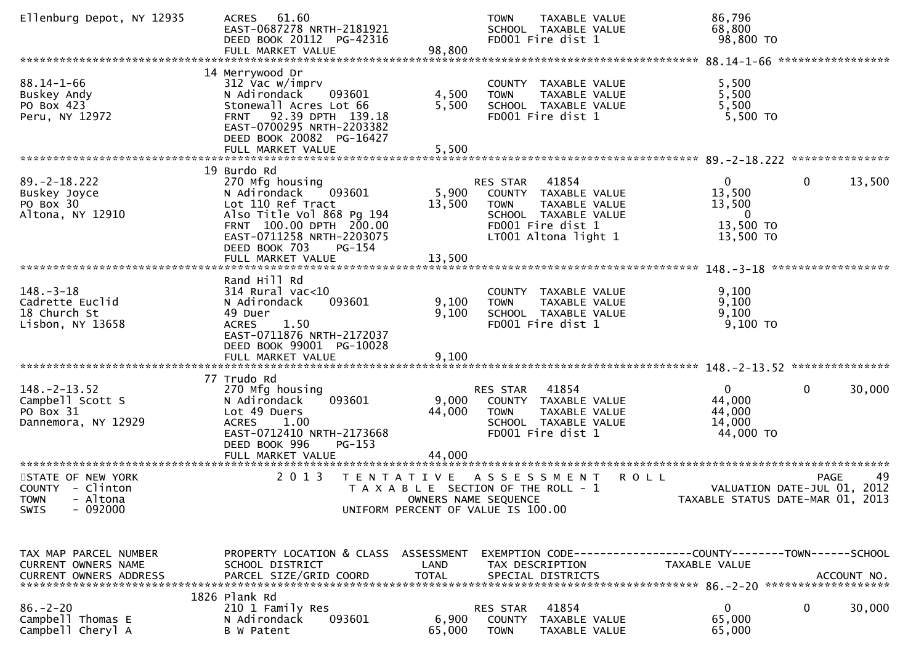| Ellenburg Depot, NY 12935                                                                                                                                       | 61.60<br><b>ACRES</b><br>EAST-0687278 NRTH-2181921<br>DEED BOOK 20112 PG-42316                                                                                                                  |                                           | TAXABLE VALUE<br><b>TOWN</b><br>SCHOOL TAXABLE VALUE<br>FD001 Fire dist 1                                                                                    | 86,796<br>68,800<br>98,800 TO                                                 |                                     |
|-----------------------------------------------------------------------------------------------------------------------------------------------------------------|-------------------------------------------------------------------------------------------------------------------------------------------------------------------------------------------------|-------------------------------------------|--------------------------------------------------------------------------------------------------------------------------------------------------------------|-------------------------------------------------------------------------------|-------------------------------------|
|                                                                                                                                                                 |                                                                                                                                                                                                 |                                           |                                                                                                                                                              |                                                                               |                                     |
| $88.14 - 1 - 66$<br>Buskey Andy<br>PO Box 423<br>Peru, NY 12972                                                                                                 | 14 Merrywood Dr<br>312 Vac w/imprv<br>N Adirondack<br>093601<br>Stonewall Acres Lot 66<br>92.39 DPTH 139.18<br><b>FRNT</b><br>EAST-0700295 NRTH-2203382<br>DEED BOOK 20082 PG-16427             | 4,500<br>5,500                            | <b>COUNTY</b><br>TAXABLE VALUE<br>TAXABLE VALUE<br><b>TOWN</b><br>SCHOOL TAXABLE VALUE<br>FD001 Fire dist 1                                                  | 5,500<br>5,500<br>5,500<br>5,500 TO                                           |                                     |
|                                                                                                                                                                 |                                                                                                                                                                                                 |                                           |                                                                                                                                                              |                                                                               |                                     |
| $89. -2 - 18.222$<br>Buskey Joyce<br>PO Box 30<br>Altona, NY 12910                                                                                              | 19 Burdo Rd<br>270 Mfg housing<br>093601<br>N Adirondack<br>Lot 110 Ref Tract<br>Also Title Vol 868 Pg 194<br>FRNT 100.00 DPTH 200.00<br>EAST-0711258 NRTH-2203075<br>DEED BOOK 703<br>$PG-154$ | 5,900<br>13,500                           | 41854<br><b>RES STAR</b><br>COUNTY TAXABLE VALUE<br><b>TOWN</b><br><b>TAXABLE VALUE</b><br>SCHOOL TAXABLE VALUE<br>FD001 Fire dist 1<br>LT001 Altona light 1 | $\mathbf{0}$<br>13,500<br>13,500<br>$\overline{0}$<br>13,500 TO<br>13,500 TO  | 13,500<br>$\mathbf 0$               |
|                                                                                                                                                                 |                                                                                                                                                                                                 |                                           |                                                                                                                                                              |                                                                               |                                     |
| $148. - 3 - 18$<br>Cadrette Euclid<br>18 Church St<br>Lisbon, NY 13658                                                                                          | Rand Hill Rd<br>314 Rural vac<10<br>093601<br>N Adirondack<br>49 Duer<br>1.50<br><b>ACRES</b><br>EAST-0711876 NRTH-2172037<br>DEED BOOK 99001 PG-10028<br>FULL MARKET VALUE                     | 9,100<br>9,100<br>9,100                   | COUNTY TAXABLE VALUE<br>TAXABLE VALUE<br><b>TOWN</b><br>SCHOOL TAXABLE VALUE<br>FD001 Fire dist 1                                                            | 9,100<br>9,100<br>9,100<br>$9,100$ TO                                         |                                     |
|                                                                                                                                                                 |                                                                                                                                                                                                 |                                           |                                                                                                                                                              |                                                                               |                                     |
| $148. - 2 - 13.52$<br>Campbell Scott S<br>PO Box 31<br>Dannemora, NY 12929                                                                                      | 77 Trudo Rd<br>270 Mfg housing<br>093601<br>N Adirondack<br>Lot 49 Duers<br><b>ACRES</b><br>1.00<br>EAST-0712410 NRTH-2173668<br>DEED BOOK 996<br>$PG-153$<br>FULL MARKET VALUE                 | 9,000<br>44,000<br>44,000                 | RES STAR<br>41854<br>COUNTY TAXABLE VALUE<br><b>TOWN</b><br>TAXABLE VALUE<br>SCHOOL TAXABLE VALUE<br>FD001 Fire dist 1                                       | 0<br>44,000<br>44,000<br>14,000<br>44,000 TO                                  | 30,000<br>0                         |
| STATE OF NEW YORK                                                                                                                                               | 2 0 1 3                                                                                                                                                                                         |                                           |                                                                                                                                                              | R O L L                                                                       | 49<br>PAGE                          |
| COUNTY - Clinton<br><b>TOWN</b><br>- Altona<br>$-092000$<br><b>SWIS</b>                                                                                         |                                                                                                                                                                                                 | T E N T A T I V E<br>OWNERS NAME SEQUENCE | A S S E S S M E N T<br>T A X A B L E SECTION OF THE ROLL - 1<br>UNIFORM PERCENT OF VALUE IS 100.00                                                           | TAXABLE STATUS DATE-MAR 01,                                                   | VALUATION DATE-JUL 01, 2012<br>2013 |
| TAX MAP PARCEL NUMBER<br>CURRENT OWNERS NAME<br>.CURRENT OWNERS ADDRESS PARCEL SIZE/GRID COORD TOTAL SPECIAL DISTRICTS ACCOUNT NO ACCOUNT NO ACCOUNT NO ACCOUNT | PROPERTY LOCATION & CLASS ASSESSMENT<br>SCHOOL DISTRICT                                                                                                                                         | LAND                                      | TAX DESCRIPTION                                                                                                                                              | EXEMPTION CODE-----------------COUNTY--------TOWN-----SCHOOL<br>TAXABLE VALUE |                                     |
| $86. - 2 - 20$<br>Campbell Thomas E<br>Campbell Cheryl A                                                                                                        | 1826 Plank Rd<br>210 1 Family Res<br>093601<br>N Adirondack<br>B W Patent                                                                                                                       | 6,900<br>65,000                           | 41854<br>RES STAR<br>COUNTY<br>TAXABLE VALUE<br><b>TOWN</b><br>TAXABLE VALUE                                                                                 | 0<br>65,000<br>65,000                                                         | 30,000<br>0                         |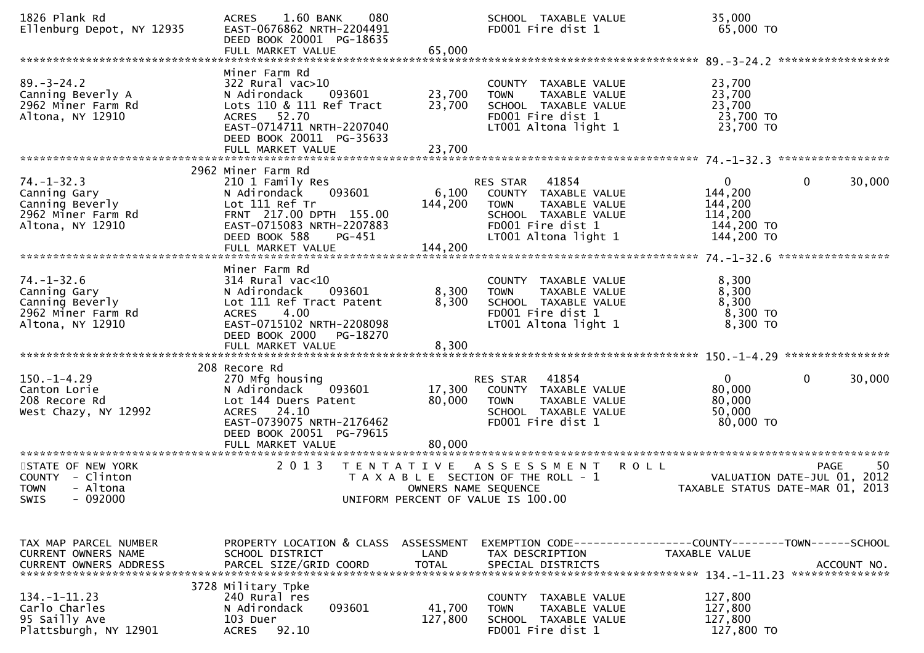| 1826 Plank Rd<br>Ellenburg Depot, NY 12935                                                    | 080<br>$1.60$ BANK<br><b>ACRES</b><br>EAST-0676862 NRTH-2204491<br>DEED BOOK 20001 PG-18635                                                                                                       |                            | SCHOOL TAXABLE VALUE<br>FD001 Fire dist 1                                                                                                     | 35,000<br>65,000 TO                                                            |                        |
|-----------------------------------------------------------------------------------------------|---------------------------------------------------------------------------------------------------------------------------------------------------------------------------------------------------|----------------------------|-----------------------------------------------------------------------------------------------------------------------------------------------|--------------------------------------------------------------------------------|------------------------|
| $89. - 3 - 24.2$<br>Canning Beverly A<br>2962 Miner Farm Rd<br>Altona, NY 12910               | Miner Farm Rd<br>322 Rural vac>10<br>093601<br>N Adirondack<br>Lots 110 & 111 Ref Tract<br>ACRES 52.70<br>EAST-0714711 NRTH-2207040<br>DEED BOOK 20011 PG-35633                                   | 23,700<br>23,700           | COUNTY TAXABLE VALUE<br>TAXABLE VALUE<br><b>TOWN</b><br>SCHOOL TAXABLE VALUE<br>FD001 Fire dist 1<br>LT001 Altona light 1                     | 23,700<br>23,700<br>23,700<br>23,700 TO<br>23,700 TO                           |                        |
| $74. - 1 - 32.3$<br>Canning Gary<br>Canning Beverly<br>2962 Miner Farm Rd<br>Altona, NY 12910 | 2962 Miner Farm Rd<br>210 1 Family Res<br>093601<br>N Adirondack<br>Lot 111 Ref Tr<br>FRNT 217.00 DPTH 155.00<br>EAST-0715083 NRTH-2207883<br>DEED BOOK 588<br><b>PG-451</b><br>FULL MARKET VALUE | 144,200<br>144,200         | RES STAR<br>41854<br>6,100 COUNTY TAXABLE VALUE<br>TAXABLE VALUE<br>TOWN<br>SCHOOL TAXABLE VALUE<br>FD001 Fire dist 1<br>LT001 Altona light 1 | $\mathbf{0}$<br>144,200<br>144,200<br>114,200<br>144,200 TO<br>144,200 TO      | $\mathbf 0$<br>30,000  |
| $74. - 1 - 32.6$<br>Canning Gary<br>Canning Beverly<br>2962 Miner Farm Rd<br>Altona, NY 12910 | Miner Farm Rd<br>$314$ Rural vac< $10$<br>093601<br>N Adirondack<br>Lot 111 Ref Tract Patent<br>4.00<br><b>ACRES</b><br>EAST-0715102 NRTH-2208098<br>DEED BOOK 2000<br>PG-18270                   | 8,300<br>8,300             | COUNTY TAXABLE VALUE<br>TAXABLE VALUE<br><b>TOWN</b><br>SCHOOL TAXABLE VALUE<br>FD001 Fire dist 1<br>LT001 Altona light 1                     | 8,300<br>8,300<br>8,300<br>$8,300$ TO<br>8,300 TO                              |                        |
| $150. - 1 - 4.29$<br>Canton Lorie<br>208 Recore Rd<br>West Chazy, NY 12992                    | 208 Recore Rd<br>270 Mfg housing<br>093601<br>N Adirondack<br>Lot 144 Duers Patent<br>ACRES 24.10<br>EAST-0739075 NRTH-2176462<br>DEED BOOK 20051 PG-79615<br>FULL MARKET VALUE                   | 17,300<br>80,000<br>80,000 | 41854<br>RES STAR<br>COUNTY TAXABLE VALUE<br>TAXABLE VALUE<br>TOWN<br>SCHOOL TAXABLE VALUE<br>FD001 Fire dist 1                               | 0<br>80,000<br>80,000<br>50,000<br>80,000 TO                                   | $\mathbf{0}$<br>30,000 |
| STATE OF NEW YORK<br>COUNTY - Clinton<br><b>TOWN</b><br>- Altona<br>SWIS - 092000             | 2 0 1 3                                                                                                                                                                                           |                            | TENTATIVE ASSESSMENT<br>T A X A B L E SECTION OF THE ROLL - 1<br>OWNERS NAME SEQUENCE<br>UNIFORM PERCENT OF VALUE IS 100.00                   | <b>ROLL</b><br>VALUATION DATE-JUL 01, 2012<br>TAXABLE STATUS DATE-MAR 01, 2013 | <b>PAGE</b><br>50      |
| TAX MAP PARCEL NUMBER<br><b>CURRENT OWNERS NAME</b><br><b>CURRENT OWNERS ADDRESS</b>          | PROPERTY LOCATION & CLASS ASSESSMENT<br>SCHOOL DISTRICT<br>PARCEL SIZE/GRID COORD                                                                                                                 | LAND<br><b>TOTAL</b>       | EXEMPTION CODE------------------COUNTY--------TOWN------SCHOOL<br>TAX DESCRIPTION<br>SPECIAL DISTRICTS                                        | TAXABLE VALUE                                                                  | ACCOUNT NO.            |
| $134. - 1 - 11.23$<br>Carlo Charles<br>95 Sailly Ave<br>Plattsburgh, NY 12901                 | 3728 Military Tpke<br>240 Rural res<br>093601<br>N Adirondack<br>103 Duer<br>92.10<br><b>ACRES</b>                                                                                                | 41,700<br>127,800          | COUNTY TAXABLE VALUE<br><b>TOWN</b><br>TAXABLE VALUE<br>SCHOOL TAXABLE VALUE<br>FD001 Fire dist 1                                             | 127,800<br>127,800<br>127,800<br>127,800 TO                                    |                        |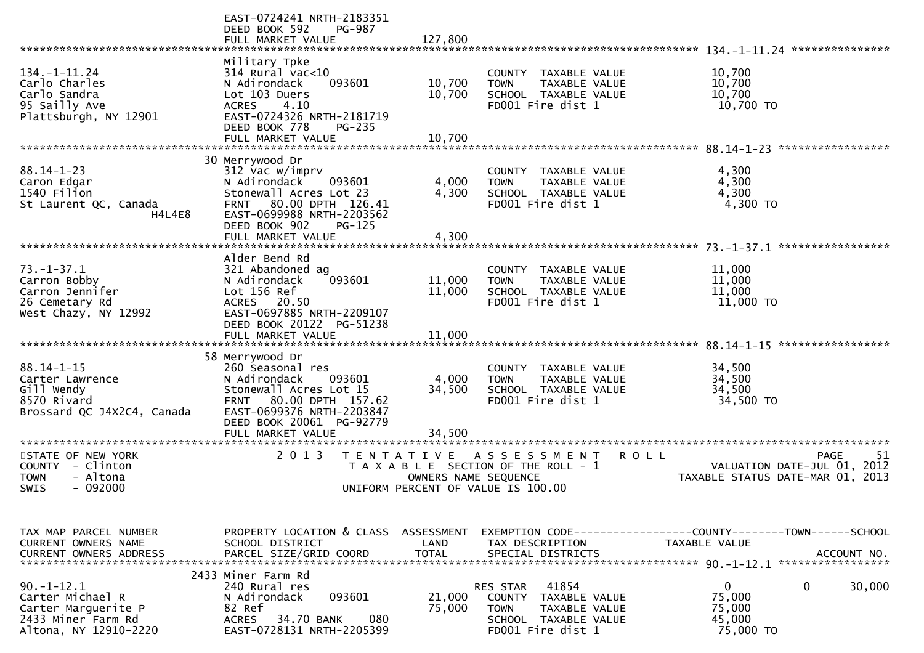|                                                                                                           | EAST-0724241 NRTH-2183351<br>DEED BOOK 592<br><b>PG-987</b><br>FULL MARKET VALUE                                                                                                                          | 127,800                                   |                                                                                                                                  |                                                                                         |
|-----------------------------------------------------------------------------------------------------------|-----------------------------------------------------------------------------------------------------------------------------------------------------------------------------------------------------------|-------------------------------------------|----------------------------------------------------------------------------------------------------------------------------------|-----------------------------------------------------------------------------------------|
|                                                                                                           |                                                                                                                                                                                                           |                                           |                                                                                                                                  |                                                                                         |
| $134. - 1 - 11.24$<br>Carlo Charles<br>Carlo Sandra<br>95 Sailly Ave<br>Plattsburgh, NY 12901             | Military Tpke<br>314 Rural vac<10<br>N Adirondack<br>093601<br>Lot 103 Duers<br>4.10<br><b>ACRES</b><br>EAST-0724326 NRTH-2181719<br>DEED BOOK 778<br>$PG-235$<br>FULL MARKET VALUE                       | 10,700<br>10,700<br>10,700                | COUNTY<br><b>TAXABLE VALUE</b><br>TAXABLE VALUE<br><b>TOWN</b><br>SCHOOL TAXABLE VALUE<br>FD001 Fire dist 1                      | 10,700<br>10,700<br>10,700<br>10,700 TO                                                 |
|                                                                                                           |                                                                                                                                                                                                           |                                           |                                                                                                                                  |                                                                                         |
| $88.14 - 1 - 23$<br>Caron Edgar<br>1540 Filion<br>St Laurent QC, Canada<br>H4L4E8                         | 30 Merrywood Dr<br>312 Vac w/imprv<br>N Adirondack<br>093601<br>Stonewall Acres Lot 23<br>80.00 DPTH 126.41<br><b>FRNT</b><br>EAST-0699988 NRTH-2203562<br>DEED BOOK 902<br>$PG-125$<br>FULL MARKET VALUE | 4,000<br>4,300<br>4,300                   | TAXABLE VALUE<br>COUNTY<br>TAXABLE VALUE<br><b>TOWN</b><br>SCHOOL TAXABLE VALUE<br>FD001 Fire dist 1                             | 4,300<br>4,300<br>4,300<br>4,300 TO                                                     |
|                                                                                                           |                                                                                                                                                                                                           |                                           |                                                                                                                                  |                                                                                         |
| $73. - 1 - 37.1$<br>Carron Bobby<br>Carron Jennifer<br>26 Cemetary Rd<br>West Chazy, NY 12992             | Alder Bend Rd<br>321 Abandoned ag<br>093601<br>N Adirondack<br>Lot 156 Ref<br><b>ACRES</b><br>20.50<br>EAST-0697885 NRTH-2209107<br>DEED BOOK 20122 PG-51238<br>FULL MARKET VALUE                         | 11,000<br>11,000<br>11,000                | COUNTY<br>TAXABLE VALUE<br>TAXABLE VALUE<br><b>TOWN</b><br>SCHOOL TAXABLE VALUE<br>FD001 Fire dist 1                             | 11,000<br>11,000<br>11,000<br>11,000 TO                                                 |
|                                                                                                           |                                                                                                                                                                                                           |                                           |                                                                                                                                  |                                                                                         |
| $88.14 - 1 - 15$<br>Carter Lawrence<br>Gill Wendy<br>8570 Rivard<br>Brossard QC J4X2C4, Canada            | 58 Merrywood Dr<br>260 Seasonal res<br>093601<br>N Adirondack<br>Stonewall Acres Lot 15<br>80.00 DPTH 157.62<br><b>FRNT</b><br>EAST-0699376 NRTH-2203847<br>DEED BOOK 20061 PG-92779<br>FULL MARKET VALUE | 4,000<br>34,500<br>34,500                 | COUNTY<br>TAXABLE VALUE<br>TAXABLE VALUE<br><b>TOWN</b><br>SCHOOL TAXABLE VALUE<br>FD001 Fire dist 1                             | 34,500<br>34,500<br>34,500<br>34,500 TO                                                 |
| STATE OF NEW YORK<br>COUNTY<br>- Clinton<br><b>TOWN</b><br>- Altona<br><b>SWIS</b><br>- 092000            | 2 0 1 3                                                                                                                                                                                                   | T E N T A T I V E<br>OWNERS NAME SEQUENCE | ASSESSMENT<br><b>ROLL</b><br>T A X A B L E SECTION OF THE ROLL - 1<br>UNIFORM PERCENT OF VALUE IS 100.00                         | <b>PAGE</b><br>51<br>2012<br>VALUATION DATE-JUL 01,<br>TAXABLE STATUS DATE-MAR 01, 2013 |
| TAX MAP PARCEL NUMBER<br><b>CURRENT OWNERS NAME</b><br><b>CURRENT OWNERS ADDRESS</b>                      | PROPERTY LOCATION & CLASS<br>SCHOOL DISTRICT<br>PARCEL SIZE/GRID COORD                                                                                                                                    | ASSESSMENT<br>LAND<br><b>TOTAL</b>        | TAX DESCRIPTION<br>SPECIAL DISTRICTS                                                                                             | TAXABLE VALUE<br>ACCOUNT NO.                                                            |
| $90. -1 - 12.1$<br>Carter Michael R<br>Carter Marquerite P<br>2433 Miner Farm Rd<br>Altona, NY 12910-2220 | 2433 Miner Farm Rd<br>240 Rural res<br>093601<br>N Adirondack<br>82 Ref<br>080<br><b>ACRES</b><br>34.70 BANK<br>EAST-0728131 NRTH-2205399                                                                 | 21,000<br>75,000                          | 41854<br>RES STAR<br>COUNTY<br>TAXABLE VALUE<br><b>TOWN</b><br><b>TAXABLE VALUE</b><br>SCHOOL TAXABLE VALUE<br>FD001 Fire dist 1 | $\mathbf{0}$<br>0<br>30,000<br>75,000<br>75,000<br>45,000<br>75,000 TO                  |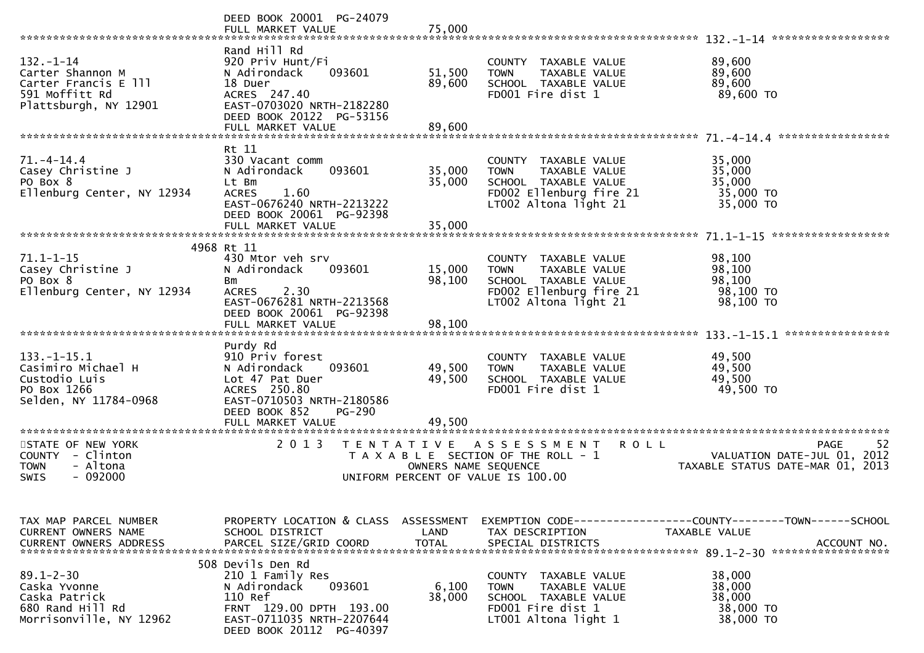| ******************************                                                                         | DEED BOOK 20001 PG-24079<br>FULL MARKET VALUE                                                                                                                       | 75,000                             |                                                                                                                                  |                                                                                      |
|--------------------------------------------------------------------------------------------------------|---------------------------------------------------------------------------------------------------------------------------------------------------------------------|------------------------------------|----------------------------------------------------------------------------------------------------------------------------------|--------------------------------------------------------------------------------------|
| $132. - 1 - 14$<br>Carter Shannon M<br>Carter Francis E 111<br>591 Moffitt Rd<br>Plattsburgh, NY 12901 | Rand Hill Rd<br>920 Priv Hunt/Fi<br>N Adirondack<br>093601<br>18 Duer<br>ACRES 247.40<br>EAST-0703020 NRTH-2182280<br>DEED BOOK 20122 PG-53156<br>FULL MARKET VALUE | 51,500<br>89,600<br>89,600         | COUNTY TAXABLE VALUE<br>TAXABLE VALUE<br><b>TOWN</b><br>SCHOOL TAXABLE VALUE<br>FD001 Fire dist 1                                | 89,600<br>89,600<br>89,600<br>89,600 TO                                              |
|                                                                                                        |                                                                                                                                                                     |                                    |                                                                                                                                  |                                                                                      |
| $71. - 4 - 14.4$<br>Casey Christine J<br>PO Box 8<br>Ellenburg Center, NY 12934                        | Rt 11<br>330 Vacant comm<br>093601<br>N Adirondack<br>Lt Bm<br><b>ACRES</b><br>1.60<br>EAST-0676240 NRTH-2213222<br>DEED BOOK 20061 PG-92398<br>FULL MARKET VALUE   | 35,000<br>35,000<br>35,000         | COUNTY TAXABLE VALUE<br>TAXABLE VALUE<br><b>TOWN</b><br>SCHOOL TAXABLE VALUE<br>FD002 Ellenburg fire 21<br>LT002 Altona light 21 | 35,000<br>35,000<br>35,000<br>35,000 TO<br>35,000 TO                                 |
|                                                                                                        |                                                                                                                                                                     |                                    |                                                                                                                                  |                                                                                      |
| $71.1 - 1 - 15$<br>Casey Christine J<br>PO Box 8<br>Ellenburg Center, NY 12934                         | 4968 Rt 11<br>430 Mtor veh srv<br>N Adirondack<br>093601<br><b>Bm</b><br>2.30<br><b>ACRES</b><br>EAST-0676281 NRTH-2213568<br>DEED BOOK 20061 PG-92398              | 15,000<br>98,100                   | COUNTY TAXABLE VALUE<br>TAXABLE VALUE<br><b>TOWN</b><br>SCHOOL TAXABLE VALUE<br>FD002 Ellenburg fire 21<br>LT002 Altona light 21 | 98,100<br>98,100<br>98,100<br>98,100 TO<br>98,100 TO                                 |
|                                                                                                        | FULL MARKET VALUE                                                                                                                                                   | 98,100                             |                                                                                                                                  |                                                                                      |
| $133. - 1 - 15.1$<br>Casimiro Michael H<br>Custodio Luis<br>PO Box 1266<br>Selden, NY 11784-0968       | Purdy Rd<br>910 Priv forest<br>093601<br>N Adirondack<br>Lot 47 Pat Duer<br>ACRES 250.80<br>EAST-0710503 NRTH-2180586<br>DEED BOOK 852<br><b>PG-290</b>             | 49,500<br>49,500                   | COUNTY TAXABLE VALUE<br><b>TOWN</b><br>TAXABLE VALUE<br>SCHOOL TAXABLE VALUE<br>FD001 Fire dist 1                                | 49,500<br>49,500<br>49,500<br>49,500 TO                                              |
|                                                                                                        | FULL MARKET VALUE                                                                                                                                                   | 49,500                             |                                                                                                                                  |                                                                                      |
| STATE OF NEW YORK<br>COUNTY - Clinton<br>- Altona<br><b>TOWN</b><br>$-092000$<br><b>SWIS</b>           | 2 0 1 3<br>T E N T A T I V E                                                                                                                                        | OWNERS NAME SEQUENCE               | A S S E S S M E N T<br><b>ROLL</b><br>T A X A B L E SECTION OF THE ROLL - 1<br>UNIFORM PERCENT OF VALUE IS 100.00                | 52<br><b>PAGE</b><br>VALUATION DATE-JUL 01, 2012<br>TAXABLE STATUS DATE-MAR 01, 2013 |
| TAX MAP PARCEL NUMBER<br>CURRENT OWNERS NAME<br><b>CURRENT OWNERS ADDRESS</b>                          | PROPERTY LOCATION & CLASS<br>SCHOOL DISTRICT<br>PARCEL SIZE/GRID COORD                                                                                              | ASSESSMENT<br>LAND<br><b>TOTAL</b> | EXEMPTION CODE-----------------COUNTY-------TOWN------SCHOOL<br>TAX DESCRIPTION<br>SPECIAL DISTRICTS                             | TAXABLE VALUE<br>ACCOUNT NO.                                                         |
| $89.1 - 2 - 30$<br>Caska Yvonne<br>Caska Patrick<br>680 Rand Hill Rd<br>Morrisonville, NY 12962        | 508 Devils Den Rd<br>210 1 Family Res<br>093601<br>N Adirondack<br>110 Ref<br>FRNT 129.00 DPTH 193.00<br>EAST-0711035 NRTH-2207644<br>DEED BOOK 20112 PG-40397      | 6,100<br>38,000                    | COUNTY TAXABLE VALUE<br>TAXABLE VALUE<br><b>TOWN</b><br>SCHOOL TAXABLE VALUE<br>FD001 Fire dist 1<br>LT001 Altona light 1        | 38,000<br>38,000<br>38,000<br>38,000 TO<br>38,000 TO                                 |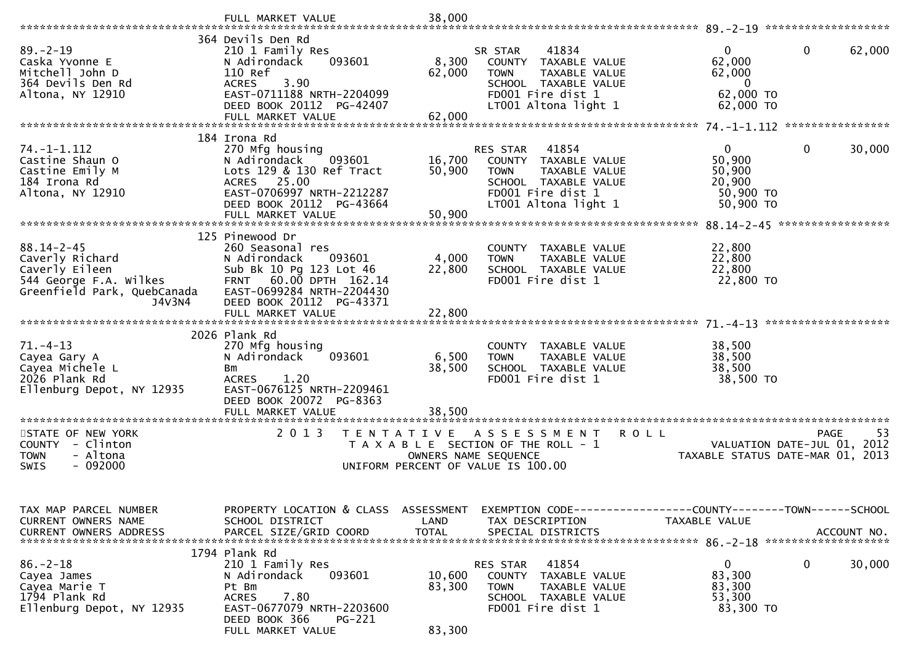|                                                                                             | FULL MARKET VALUE                                                                                                                      | 38,000           |                                                                                                                                               |                                                                                          |
|---------------------------------------------------------------------------------------------|----------------------------------------------------------------------------------------------------------------------------------------|------------------|-----------------------------------------------------------------------------------------------------------------------------------------------|------------------------------------------------------------------------------------------|
|                                                                                             | 364 Devils Den Rd                                                                                                                      |                  |                                                                                                                                               |                                                                                          |
| $89 - 2 - 19$<br>Caska Yvonne E<br>Mitchell John D<br>364 Devils Den Rd<br>Altona, NY 12910 | 210 1 Family Res<br>093601<br>N Adirondack<br>110 Ref<br>3.90<br><b>ACRES</b><br>EAST-0711188 NRTH-2204099<br>DEED BOOK 20112 PG-42407 | 8,300<br>62,000  | 41834<br>SR STAR<br>COUNTY TAXABLE VALUE<br>TAXABLE VALUE<br><b>TOWN</b><br>SCHOOL TAXABLE VALUE<br>FD001 Fire dist 1<br>LT001 Altona light 1 | $\mathbf 0$<br>0<br>62,000<br>62,000<br>62,000<br>$\mathbf{0}$<br>62,000 TO<br>62,000 TO |
|                                                                                             | FULL MARKET VALUE                                                                                                                      | 62,000           |                                                                                                                                               |                                                                                          |
|                                                                                             |                                                                                                                                        |                  |                                                                                                                                               |                                                                                          |
|                                                                                             | 184 Irona Rd                                                                                                                           |                  |                                                                                                                                               |                                                                                          |
| $74. - 1 - 1.112$<br>Castine Shaun O                                                        | 270 Mfg housing<br>093601<br>N Adirondack                                                                                              | 16,700           | 41854<br>RES STAR<br>COUNTY TAXABLE VALUE                                                                                                     | $\overline{0}$<br>$\mathbf{0}$<br>30,000<br>50,900                                       |
| Castine Emily M                                                                             | Lots 129 & 130 Ref Tract                                                                                                               | 50,900           | <b>TOWN</b><br>TAXABLE VALUE                                                                                                                  | 50,900                                                                                   |
| 184 Irona Rd                                                                                | ACRES 25.00                                                                                                                            |                  | SCHOOL TAXABLE VALUE                                                                                                                          | 20,900                                                                                   |
| Altona, NY 12910                                                                            | EAST-0706997 NRTH-2212287                                                                                                              |                  | FD001 Fire dist 1                                                                                                                             | 50,900 TO                                                                                |
|                                                                                             | DEED BOOK 20112 PG-43664                                                                                                               |                  | LT001 Altona light 1                                                                                                                          | 50,900 TO                                                                                |
|                                                                                             | FULL MARKET VALUE                                                                                                                      | 50,900           |                                                                                                                                               | *****************                                                                        |
|                                                                                             | 125 Pinewood Dr                                                                                                                        |                  |                                                                                                                                               |                                                                                          |
| $88.14 - 2 - 45$                                                                            | 260 Seasonal res                                                                                                                       |                  | COUNTY TAXABLE VALUE                                                                                                                          | 22,800                                                                                   |
| Caverly Richard                                                                             | 093601<br>N Adirondack                                                                                                                 | 4,000            | <b>TOWN</b><br>TAXABLE VALUE                                                                                                                  | 22,800                                                                                   |
| Caverly Eileen                                                                              | Sub Bk 10 Pg 123 Lot 46                                                                                                                | 22,800           | SCHOOL TAXABLE VALUE                                                                                                                          | 22,800                                                                                   |
| 544 George F.A. Wilkes                                                                      | FRNT 60.00 DPTH 162.14                                                                                                                 |                  | FD001 Fire dist 1                                                                                                                             | 22,800 TO                                                                                |
| Greenfield Park, QuebCanada<br>J4V3N4                                                       | EAST-0699284 NRTH-2204430<br>DEED BOOK 20112 PG-43371                                                                                  |                  |                                                                                                                                               |                                                                                          |
|                                                                                             | FULL MARKET VALUE                                                                                                                      | 22,800           |                                                                                                                                               |                                                                                          |
|                                                                                             |                                                                                                                                        |                  |                                                                                                                                               |                                                                                          |
|                                                                                             | 2026 Plank Rd                                                                                                                          |                  |                                                                                                                                               |                                                                                          |
| $71. - 4 - 13$                                                                              | 270 Mfg housing                                                                                                                        |                  | COUNTY TAXABLE VALUE                                                                                                                          | 38,500                                                                                   |
| Cayea Gary A<br>Cayea Michele L                                                             | N Adirondack<br>093601<br>Bm                                                                                                           | 6,500<br>38,500  | <b>TOWN</b><br>TAXABLE VALUE<br>SCHOOL TAXABLE VALUE                                                                                          | 38,500<br>38,500                                                                         |
| 2026 Plank Rd                                                                               | <b>ACRES</b><br>1.20                                                                                                                   |                  | FD001 Fire dist 1                                                                                                                             | 38,500 TO                                                                                |
| Ellenburg Depot, NY 12935                                                                   | EAST-0676125 NRTH-2209461                                                                                                              |                  |                                                                                                                                               |                                                                                          |
|                                                                                             | DEED BOOK 20072 PG-8363                                                                                                                |                  |                                                                                                                                               |                                                                                          |
|                                                                                             | FULL MARKET VALUE                                                                                                                      | 38,500           |                                                                                                                                               |                                                                                          |
|                                                                                             | 2 0 1 3                                                                                                                                |                  |                                                                                                                                               | 53                                                                                       |
| STATE OF NEW YORK<br>COUNTY - Clinton                                                       | T E N T A T I V E                                                                                                                      |                  | ASSESSMENT<br>T A X A B L E SECTION OF THE ROLL - 1                                                                                           | <b>ROLL</b><br><b>PAGE</b><br>VALUATION DATE-JUL 01,<br>2012                             |
| <b>TOWN</b><br>- Altona                                                                     |                                                                                                                                        |                  |                                                                                                                                               |                                                                                          |
|                                                                                             |                                                                                                                                        |                  |                                                                                                                                               |                                                                                          |
| $-092000$<br><b>SWIS</b>                                                                    |                                                                                                                                        |                  | OWNERS NAME SEQUENCE<br>UNIFORM PERCENT OF VALUE IS 100.00                                                                                    | TAXABLE STATUS DATE-MAR 01, 2013                                                         |
|                                                                                             |                                                                                                                                        |                  |                                                                                                                                               |                                                                                          |
|                                                                                             |                                                                                                                                        |                  |                                                                                                                                               |                                                                                          |
|                                                                                             |                                                                                                                                        |                  |                                                                                                                                               |                                                                                          |
| TAX MAP PARCEL NUMBER<br>CURRENT OWNERS NAME                                                | PROPERTY LOCATION & CLASS ASSESSMENT<br>SCHOOL DISTRICT                                                                                | LAND             | TAX DESCRIPTION                                                                                                                               | EXEMPTION CODE------------------COUNTY--------TOWN------SCHOOL<br>TAXABLE VALUE          |
|                                                                                             |                                                                                                                                        |                  |                                                                                                                                               |                                                                                          |
|                                                                                             |                                                                                                                                        |                  |                                                                                                                                               |                                                                                          |
|                                                                                             | 1794 Plank Rd                                                                                                                          |                  |                                                                                                                                               |                                                                                          |
| $86. - 2 - 18$                                                                              | 210 1 Family Res                                                                                                                       |                  | 41854<br>RES STAR                                                                                                                             | $\mathbf{0}$<br>0<br>30,000                                                              |
| Cayea James<br>Cayea Marie T                                                                | N Adirondack<br>093601<br>Pt Bm                                                                                                        | 10,600<br>83,300 | COUNTY TAXABLE VALUE<br>TAXABLE VALUE<br><b>TOWN</b>                                                                                          | 83,300<br>83,300                                                                         |
| 1794 Plank Rd                                                                               | 7.80<br><b>ACRES</b>                                                                                                                   |                  | SCHOOL TAXABLE VALUE                                                                                                                          | 53,300                                                                                   |
| Ellenburg Depot, NY 12935                                                                   | EAST-0677079 NRTH-2203600                                                                                                              |                  | FD001 Fire dist 1                                                                                                                             | 83,300 TO                                                                                |
|                                                                                             | DEED BOOK 366<br><b>PG-221</b><br>FULL MARKET VALUE                                                                                    | 83,300           |                                                                                                                                               |                                                                                          |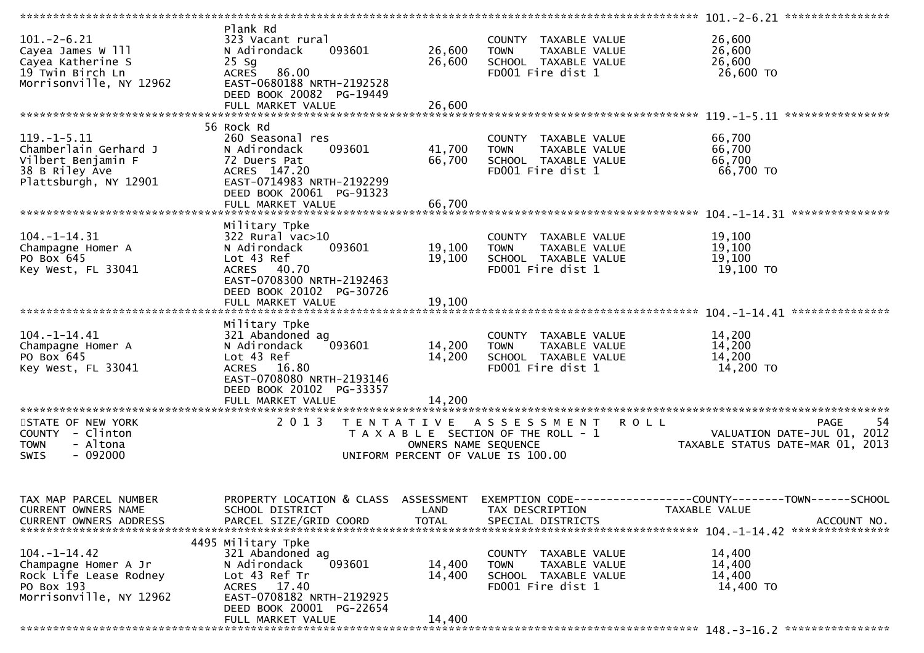|                                                                                                               |                                                                                                                                                                                |                                           |                                                                                                    | $101. -2 - 6.21$ *****************                                                                                               |
|---------------------------------------------------------------------------------------------------------------|--------------------------------------------------------------------------------------------------------------------------------------------------------------------------------|-------------------------------------------|----------------------------------------------------------------------------------------------------|----------------------------------------------------------------------------------------------------------------------------------|
| $101. - 2 - 6.21$<br>Cayea James W 111<br>Cayea Katherine S<br>19 Twin Birch Ln<br>Morrisonville, NY 12962    | Plank Rd<br>323 Vacant rural<br>093601<br>N Adirondack<br>$25$ Sg<br><b>ACRES</b><br>86.00<br>EAST-0680188 NRTH-2192528<br>DEED BOOK 20082 PG-19449                            | 26,600<br>26,600                          | COUNTY TAXABLE VALUE<br><b>TOWN</b><br>TAXABLE VALUE<br>SCHOOL TAXABLE VALUE<br>FD001 Fire dist 1  | 26,600<br>26,600<br>26,600<br>26,600 TO                                                                                          |
|                                                                                                               |                                                                                                                                                                                |                                           |                                                                                                    |                                                                                                                                  |
| $119. -1 - 5.11$<br>Chamberlain Gerhard J<br>Vilbert Benjamin F<br>38 B Riley Ave<br>Plattsburgh, NY 12901    | 56 Rock Rd<br>260 Seasonal res<br>093601<br>N Adirondack<br>72 Duers Pat<br>ACRES 147.20<br>EAST-0714983 NRTH-2192299<br>DEED BOOK 20061 PG-91323                              | 41,700<br>66,700                          | COUNTY TAXABLE VALUE<br><b>TOWN</b><br>TAXABLE VALUE<br>SCHOOL TAXABLE VALUE<br>FD001 Fire dist 1  | 66,700<br>66,700<br>66,700<br>66,700 TO                                                                                          |
|                                                                                                               |                                                                                                                                                                                |                                           |                                                                                                    | ****************                                                                                                                 |
| $104. -1 - 14.31$<br>Champagne Homer A<br>PO Box 645<br>Key West, FL 33041                                    | Military Tpke<br>$322$ Rural vac $>10$<br>093601<br>N Adirondack<br>Lot 43 Ref<br>ACRES 40.70<br>EAST-0708300 NRTH-2192463                                                     | 19,100<br>19,100                          | COUNTY TAXABLE VALUE<br><b>TOWN</b><br>TAXABLE VALUE<br>SCHOOL TAXABLE VALUE<br>FD001 Fire dist 1  | 19,100<br>19,100<br>19,100<br>19,100 TO                                                                                          |
|                                                                                                               | DEED BOOK 20102 PG-30726<br>FULL MARKET VALUE<br>Military Tpke                                                                                                                 | 19,100                                    |                                                                                                    |                                                                                                                                  |
| $104. - 1 - 14.41$<br>Champagne Homer A<br>PO Box 645<br>Key West, FL 33041                                   | 321 Abandoned ag<br>093601<br>N Adirondack<br>Lot 43 Ref<br>ACRES 16.80<br>EAST-0708080 NRTH-2193146<br>DEED BOOK 20102 PG-33357                                               | 14,200<br>14,200                          | COUNTY TAXABLE VALUE<br>TAXABLE VALUE<br><b>TOWN</b><br>SCHOOL TAXABLE VALUE<br>FD001 Fire dist 1  | 14,200<br>14,200<br>14,200<br>14,200 TO                                                                                          |
|                                                                                                               | FULL MARKET VALUE                                                                                                                                                              | 14,200                                    |                                                                                                    |                                                                                                                                  |
| STATE OF NEW YORK<br>COUNTY - Clinton<br>- Altona<br><b>TOWN</b><br>$-092000$<br>SWIS                         | 2 0 1 3                                                                                                                                                                        | T E N T A T I V E<br>OWNERS NAME SEQUENCE | A S S E S S M E N T<br>T A X A B L E SECTION OF THE ROLL - 1<br>UNIFORM PERCENT OF VALUE IS 100.00 | 54<br><b>ROLL</b><br><b>PAGE</b><br>VALUATION DATE-JUL 01,<br>2012<br>TAXABLE STATUS DATE-MAR 01, 2013                           |
| TAX MAP PARCEL NUMBER<br>CURRENT OWNERS NAME<br><b>CURRENT OWNERS ADDRESS</b>                                 | SCHOOL DISTRICT<br>PARCEL SIZE/GRID COORD                                                                                                                                      | LAND<br><b>TOTAL</b>                      | TAX DESCRIPTION<br>SPECIAL DISTRICTS                                                               | PROPERTY LOCATION & CLASS ASSESSMENT EXEMPTION CODE----------------COUNTY-------TOWN------SCHOOL<br>TAXABLE VALUE<br>ACCOUNT NO. |
| $104. - 1 - 14.42$<br>Champagne Homer A Jr<br>Rock Life Lease Rodney<br>PO Box 193<br>Morrisonville, NY 12962 | 4495 Military Tpke<br>321 Abandoned ag<br>093601<br>N Adirondack<br>Lot 43 Ref Tr<br>ACRES 17.40<br>EAST-0708182 NRTH-2192925<br>DEED BOOK 20001 PG-22654<br>FULL MARKET VALUE | 14,400<br>14,400<br>14,400                | COUNTY TAXABLE VALUE<br>TAXABLE VALUE<br><b>TOWN</b><br>SCHOOL TAXABLE VALUE<br>FD001 Fire dist 1  | 14,400<br>14,400<br>14,400<br>14,400 TO                                                                                          |
|                                                                                                               |                                                                                                                                                                                |                                           |                                                                                                    |                                                                                                                                  |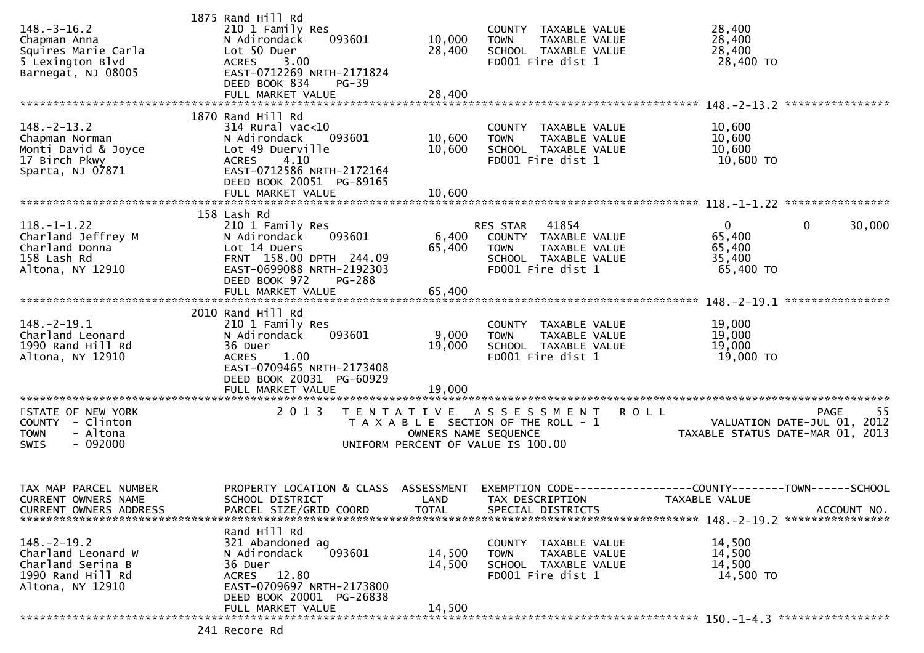|                               | 1875 Rand Hill Rd         |                      |                                       |                                           |
|-------------------------------|---------------------------|----------------------|---------------------------------------|-------------------------------------------|
| $148. - 3 - 16.2$             | 210 1 Family Res          |                      | COUNTY TAXABLE VALUE                  | 28,400                                    |
| Chapman Anna                  | N Adirondack<br>093601    | 10,000               | <b>TOWN</b><br>TAXABLE VALUE          | 28,400                                    |
| Squires Marie Carla           | Lot 50 Duer               | 28,400               | SCHOOL TAXABLE VALUE                  | 28,400                                    |
| 5 Lexington Blvd              | <b>ACRES</b><br>3.00      |                      | FD001 Fire dist 1                     | 28,400 TO                                 |
| Barnegat, NJ 08005            | EAST-0712269 NRTH-2171824 |                      |                                       |                                           |
|                               | DEED BOOK 834<br>$PG-39$  |                      |                                       |                                           |
|                               | FULL MARKET VALUE         | 28,400               |                                       |                                           |
|                               |                           |                      |                                       |                                           |
|                               | 1870 Rand Hill Rd         |                      |                                       |                                           |
| $148. - 2 - 13.2$             |                           |                      |                                       |                                           |
|                               | $314$ Rural vac<10        |                      | COUNTY TAXABLE VALUE                  | 10,600                                    |
| Chapman Norman                | N Adirondack<br>093601    | 10,600               | TAXABLE VALUE<br><b>TOWN</b>          | 10,600                                    |
| Monti David & Joyce           | Lot 49 Duerville          | 10,600               | SCHOOL TAXABLE VALUE                  | 10,600                                    |
| 17 Birch Pkwy                 | 4.10<br><b>ACRES</b>      |                      | FD001 Fire dist 1                     | 10,600 TO                                 |
| Sparta, NJ 07871              | EAST-0712586 NRTH-2172164 |                      |                                       |                                           |
|                               | DEED BOOK 20051 PG-89165  |                      |                                       |                                           |
|                               | FULL MARKET VALUE         | 10,600               |                                       |                                           |
|                               |                           |                      |                                       |                                           |
|                               | 158 Lash Rd               |                      |                                       |                                           |
| $118. - 1 - 1.22$             | 210 1 Family Res          |                      | 41854<br>RES STAR                     | $\mathbf{0}$<br>30,000<br>0               |
| Charland Jeffrey M            | N Adirondack<br>093601    | 6,400                | COUNTY TAXABLE VALUE                  | 65,400                                    |
| Charland Donna                | Lot 14 Duers              | 65,400               | TAXABLE VALUE<br><b>TOWN</b>          | 65,400                                    |
| 158 Lash Rd                   | FRNT 158.00 DPTH 244.09   |                      | SCHOOL TAXABLE VALUE                  | 35,400                                    |
| Altona, NY 12910              | EAST-0699088 NRTH-2192303 |                      | FD001 Fire dist 1                     | 65,400 TO                                 |
|                               | DEED BOOK 972             |                      |                                       |                                           |
|                               | PG-288                    |                      |                                       |                                           |
|                               | FULL MARKET VALUE         | 65,400               |                                       |                                           |
|                               |                           |                      |                                       |                                           |
|                               | 2010 Rand Hill Rd         |                      |                                       |                                           |
| $148. - 2 - 19.1$             | 210 1 Family Res          |                      | COUNTY TAXABLE VALUE                  | 19,000                                    |
| Charland Leonard              | N Adirondack<br>093601    | 9,000                | <b>TOWN</b><br>TAXABLE VALUE          | 19,000                                    |
| 1990 Rand Hill Rd             | 36 Duer                   | 19,000               | SCHOOL TAXABLE VALUE                  | 19,000                                    |
| Altona, NY 12910              | 1.00<br><b>ACRES</b>      |                      | FD001 Fire dist 1                     | 19,000 TO                                 |
|                               | EAST-0709465 NRTH-2173408 |                      |                                       |                                           |
|                               | DEED BOOK 20031 PG-60929  |                      |                                       |                                           |
|                               |                           |                      |                                       |                                           |
|                               |                           |                      |                                       |                                           |
| STATE OF NEW YORK             | 2 0 1 3                   |                      | TENTATIVE ASSESSMENT                  | -55<br><b>ROLL</b><br><b>PAGE</b>         |
| COUNTY - Clinton              |                           |                      | T A X A B L E SECTION OF THE ROLL - 1 | VALUATION DATE-JUL 01, 2012               |
| - Altona<br><b>TOWN</b>       |                           | OWNERS NAME SEQUENCE |                                       | TAXABLE STATUS DATE-MAR 01, 2013          |
| <b>SWIS</b><br>$-092000$      |                           |                      | UNIFORM PERCENT OF VALUE IS 100.00    |                                           |
|                               |                           |                      |                                       |                                           |
|                               |                           |                      |                                       |                                           |
|                               |                           |                      |                                       |                                           |
| TAX MAP PARCEL NUMBER         | PROPERTY LOCATION & CLASS | ASSESSMENT           | <b>EXEMPTION CODE-</b>                | -----------COUNTY--------TOWN------SCHOOL |
| <b>CURRENT OWNERS NAME</b>    | SCHOOL DISTRICT           | LAND                 | TAX DESCRIPTION                       | TAXABLE VALUE                             |
| <b>CURRENT OWNERS ADDRESS</b> | PARCEL SIZE/GRID COORD    | <b>TOTAL</b>         | SPECIAL DISTRICTS                     | ACCOUNT NO.                               |
|                               |                           |                      |                                       |                                           |
|                               | Rand Hill Rd              |                      |                                       |                                           |
| $148. - 2 - 19.2$             | 321 Abandoned ag          |                      | COUNTY TAXABLE VALUE                  | 14,500                                    |
| Charland Leonard W            | 093601<br>N Adirondack    | 14,500               | <b>TOWN</b><br>TAXABLE VALUE          | 14,500                                    |
| Charland Serina B             | 36 Duer                   | 14,500               | SCHOOL TAXABLE VALUE                  | 14,500                                    |
| 1990 Rand Hill Rd             | ACRES 12.80               |                      | FD001 Fire dist 1                     |                                           |
|                               |                           |                      |                                       | 14,500 TO                                 |
| Altona, NY 12910              | EAST-0709697 NRTH-2173800 |                      |                                       |                                           |
|                               | DEED BOOK 20001 PG-26838  |                      |                                       |                                           |
|                               | FULL MARKET VALUE         | 14,500               |                                       |                                           |
|                               |                           |                      |                                       |                                           |
|                               | 241 Recore Rd             |                      |                                       |                                           |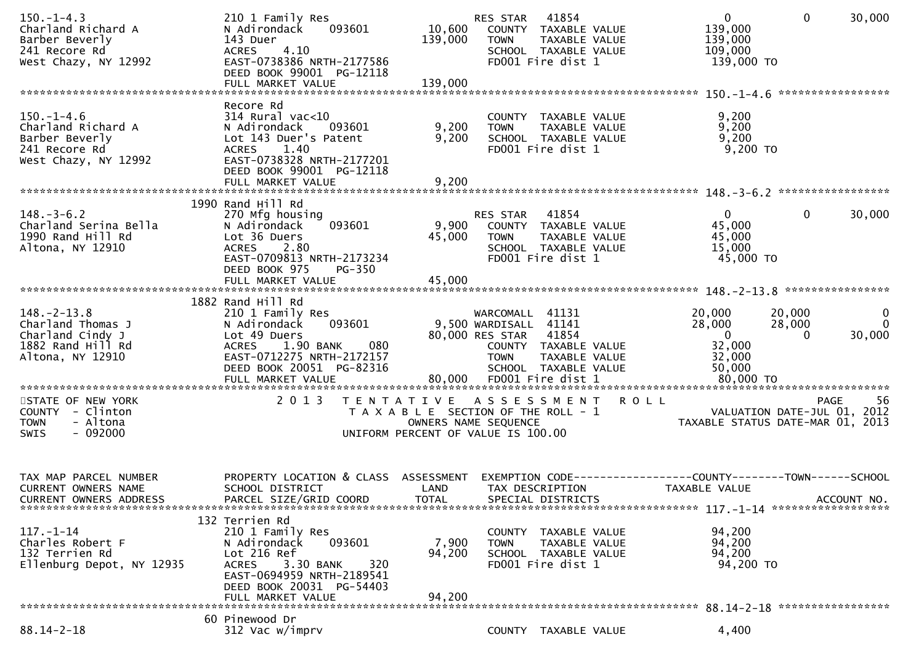| $150. -1 - 4.3$<br>Charland Richard A<br>Barber Beverly<br>241 Recore Rd<br>West Chazy, NY 12992    | 210 1 Family Res<br>093601<br>N Adirondack<br>143 Duer<br>4.10<br><b>ACRES</b><br>EAST-0738386 NRTH-2177586<br>DEED BOOK 99001 PG-12118                                                           | 10,600<br>139,000         | 41854<br>RES STAR<br>COUNTY TAXABLE VALUE<br><b>TOWN</b><br>TAXABLE VALUE<br>SCHOOL TAXABLE VALUE<br>FD001 Fire dist 1                                                    | $\overline{0}$<br>139,000<br>139,000<br>109,000<br>139,000 TO                 | $\mathbf 0$<br>30,000<br>*****************                                           |
|-----------------------------------------------------------------------------------------------------|---------------------------------------------------------------------------------------------------------------------------------------------------------------------------------------------------|---------------------------|---------------------------------------------------------------------------------------------------------------------------------------------------------------------------|-------------------------------------------------------------------------------|--------------------------------------------------------------------------------------|
| $150. - 1 - 4.6$<br>Charland Richard A<br>Barber Beverly<br>241 Recore Rd<br>West Chazy, NY 12992   | Recore Rd<br>$314$ Rural vac<10<br>N Adirondack<br>093601<br>Lot 143 Duer's Patent<br>1.40<br><b>ACRES</b><br>EAST-0738328 NRTH-2177201<br>DEED BOOK 99001 PG-12118                               | 9,200<br>9,200            | COUNTY TAXABLE VALUE<br>TAXABLE VALUE<br><b>TOWN</b><br>SCHOOL TAXABLE VALUE<br>FD001 Fire dist 1                                                                         | 9,200<br>9,200<br>9,200<br>9,200 TO                                           |                                                                                      |
| $148. - 3 - 6.2$<br>Charland Serina Bella<br>1990 Rand Hill Rd<br>Altona, NY 12910                  | 1990 Rand Hill Rd<br>270 Mfg housing<br>N Adirondack<br>093601<br>Lot 36 Duers<br>2.80<br><b>ACRES</b><br>EAST-0709813 NRTH-2173234<br>DEED BOOK 975<br>PG-350                                    | 9,900<br>45,000           | RES STAR 41854<br>COUNTY TAXABLE VALUE<br><b>TOWN</b><br>TAXABLE VALUE<br>SCHOOL TAXABLE VALUE<br>FD001 Fire dist 1                                                       | $\overline{0}$<br>45,000<br>45,000<br>15,000<br>45,000 TO                     | $\mathbf{0}$<br>30,000                                                               |
| $148. - 2 - 13.8$<br>Charland Thomas J<br>Charland Cindy J<br>1882 Rand Hill Rd<br>Altona, NY 12910 | 1882 Rand Hill Rd<br>210 1 Family Res<br>093601<br>N Adirondack<br>Lot 49 Duers<br>1.90 BANK<br>080<br><b>ACRES</b><br>EAST-0712275 NRTH-2172157<br>DEED BOOK 20051 PG-82316<br>FULL MARKET VALUE | 80,000                    | WARCOMALL 41131<br>9,500 WARDISALL 41141<br>80,000 RES STAR<br>41854<br>COUNTY TAXABLE VALUE<br><b>TOWN</b><br>TAXABLE VALUE<br>SCHOOL TAXABLE VALUE<br>FD001 Fire dist 1 | 20,000<br>28,000<br>$\overline{0}$<br>32,000<br>32,000<br>50,000<br>80,000 TO | 20,000<br>$\bf{0}$<br>28,000<br>$\Omega$<br>30,000<br>$\Omega$                       |
| STATE OF NEW YORK<br>COUNTY - Clinton<br>- Altona<br><b>TOWN</b><br>$-092000$<br><b>SWIS</b>        | 2 0 1 3<br>T E N T A T I V E                                                                                                                                                                      |                           | A S S E S S M E N T R O L L<br>T A X A B L E SECTION OF THE ROLL - 1<br>OWNERS NAME SEQUENCE<br>UNIFORM PERCENT OF VALUE IS 100.00                                        |                                                                               | <b>PAGE</b><br>56<br>VALUATION DATE-JUL 01, 2012<br>TAXABLE STATUS DATE-MAR 01, 2013 |
| TAX MAP PARCEL NUMBER<br><b>CURRENT OWNERS NAME</b><br><b>CURRENT OWNERS ADDRESS</b>                | PROPERTY LOCATION & CLASS ASSESSMENT<br>SCHOOL DISTRICT<br>PARCEL SIZE/GRID COORD                                                                                                                 | LAND<br><b>TOTAL</b>      | TAX DESCRIPTION<br>SPECIAL DISTRICTS                                                                                                                                      | EXEMPTION CODE-----------------COUNTY-------TOWN------SCHOOL<br>TAXABLE VALUE | ACCOUNT NO.                                                                          |
| $117. - 1 - 14$<br>Charles Robert F<br>132 Terrien Rd<br>Ellenburg Depot, NY 12935                  | 132 Terrien Rd<br>210 1 Family Res<br>093601<br>N Adirondack<br>Lot 216 Ref<br>ACRES 3.30 BANK<br>320<br>EAST-0694959 NRTH-2189541<br>DEED BOOK 20031 PG-54403<br>FULL MARKET VALUE               | 7,900<br>94,200<br>94,200 | COUNTY TAXABLE VALUE<br><b>TOWN</b><br>TAXABLE VALUE<br>SCHOOL TAXABLE VALUE<br>FD001 Fire dist 1                                                                         | 94,200<br>94,200<br>94,200<br>94,200 TO                                       |                                                                                      |
| $88.14 - 2 - 18$                                                                                    | 60 Pinewood Dr<br>312 Vac w/imprv                                                                                                                                                                 |                           | COUNTY TAXABLE VALUE                                                                                                                                                      | 4,400                                                                         |                                                                                      |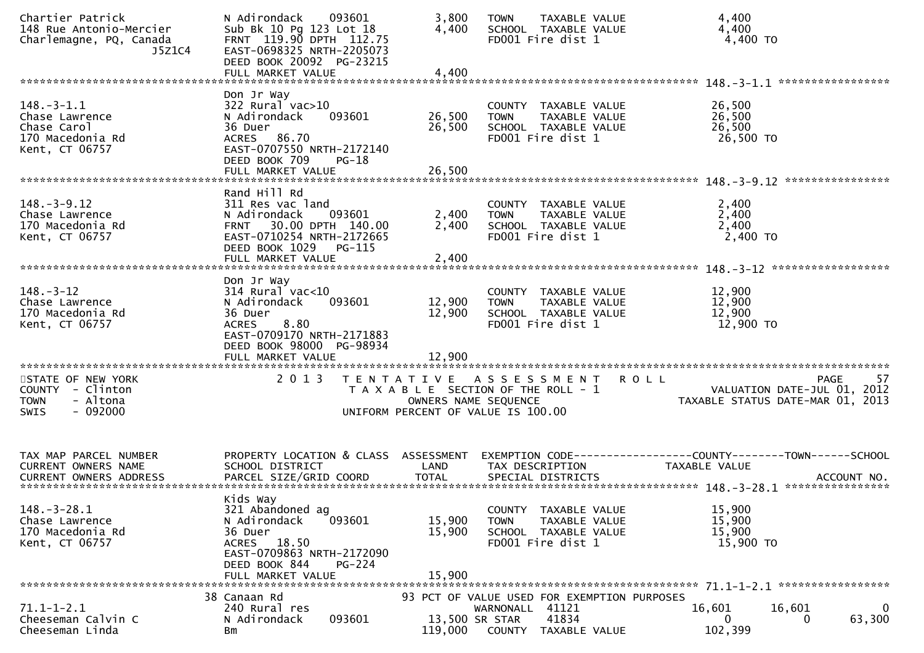| Chartier Patrick<br>148 Rue Antonio-Mercier<br>Charlemagne, PQ, Canada<br>J5Z1C4                | N Adirondack<br>093601<br>Sub Bk 10 Pg 123 Lot 18<br>FRNT 119.90 DPTH 112.75<br>EAST-0698325 NRTH-2205073<br>DEED BOOK 20092 PG-23215<br>FULL MARKET VALUE                                  | 3,800<br>4,400<br>TAXABLE VALUE<br><b>TOWN</b><br>4,400<br>4,400<br>SCHOOL TAXABLE VALUE<br>4,400 TO<br>FD001 Fire dist 1<br>4,400                                                                                                              |
|-------------------------------------------------------------------------------------------------|---------------------------------------------------------------------------------------------------------------------------------------------------------------------------------------------|-------------------------------------------------------------------------------------------------------------------------------------------------------------------------------------------------------------------------------------------------|
|                                                                                                 |                                                                                                                                                                                             |                                                                                                                                                                                                                                                 |
| $148. - 3 - 1.1$<br>Chase Lawrence<br>Chase Carol<br>170 Macedonia Rd<br>Kent, CT 06757         | Don Jr Way<br>322 Rural vac>10<br>093601<br>N Adirondack<br>36 Duer<br><b>ACRES</b><br>86.70<br>EAST-0707550 NRTH-2172140<br>DEED BOOK 709<br>$PG-18$<br>FULL MARKET VALUE                  | 26,500<br>COUNTY TAXABLE VALUE<br>26,500<br>26,500<br>TAXABLE VALUE<br><b>TOWN</b><br>26,500<br>26,500<br>SCHOOL TAXABLE VALUE<br>FD001 Fire dist 1<br>26,500 TO<br>26,500                                                                      |
|                                                                                                 |                                                                                                                                                                                             |                                                                                                                                                                                                                                                 |
| $148. - 3 - 9.12$<br>Chase Lawrence<br>170 Macedonia Rd<br>Kent, CT 06757                       | Rand Hill Rd<br>311 Res vac land<br>N Adirondack<br>093601<br>30.00 DPTH 140.00<br><b>FRNT</b><br>EAST-0710254 NRTH-2172665<br>DEED BOOK 1029<br>PG-115<br>FULL MARKET VALUE                | 2,400<br>COUNTY TAXABLE VALUE<br>2,400<br>2,400<br>TAXABLE VALUE<br><b>TOWN</b><br>2,400<br>2,400<br>SCHOOL TAXABLE VALUE<br>FD001 Fire dist 1<br>2,400 TO<br>2,400                                                                             |
|                                                                                                 | Don Jr Way                                                                                                                                                                                  |                                                                                                                                                                                                                                                 |
| $148. - 3 - 12$<br>Chase Lawrence<br>170 Macedonia Rd<br>Kent, CT 06757                         | $314$ Rural vac< $10$<br>N Adirondack<br>093601<br>36 Duer<br>8.80<br><b>ACRES</b><br>EAST-0709170 NRTH-2171883<br>DEED BOOK 98000 PG-98934<br>FULL MARKET VALUE<br>*********************** | 12,900<br>COUNTY TAXABLE VALUE<br>12,900<br>12,900<br>TAXABLE VALUE<br><b>TOWN</b><br>12,900<br>12,900<br>SCHOOL TAXABLE VALUE<br>FD001 Fire dist 1<br>12,900 TO<br>12,900                                                                      |
| STATE OF NEW YORK<br><b>COUNTY</b><br>- Clinton<br><b>TOWN</b><br>- Altona<br>$-092000$<br>SWIS | 2 0 1 3                                                                                                                                                                                     | 57<br>T E N T A T I V E<br>A S S E S S M E N T<br><b>ROLL</b><br>PAGE<br>T A X A B L E SECTION OF THE ROLL - 1<br>VALUATION DATE-JUL 01, 2012<br>OWNERS NAME SEQUENCE<br>TAXABLE STATUS DATE-MAR 01, 2013<br>UNIFORM PERCENT OF VALUE IS 100.00 |
| TAX MAP PARCEL NUMBER<br><b>CURRENT OWNERS NAME</b>                                             | PROPERTY LOCATION & CLASS<br>SCHOOL DISTRICT                                                                                                                                                | ASSESSMENT<br>-------------COUNTY--------TOWN------SCHOOL<br>EXEMPTION CODE---<br><b>TAXABLE VALUE</b><br>LAND<br>TAX DESCRIPTION                                                                                                               |
| $148. - 3 - 28.1$<br>Chase Lawrence<br>170 Macedonia Rd<br>Kent, CT 06757                       | Kids Way<br>321 Abandoned ag<br>N Adirondack<br>093601<br>36 Duer<br>ACRES 18.50<br>EAST-0709863 NRTH-2172090<br>DEED BOOK 844<br>$PG-224$<br>FULL MARKET VALUE                             | 15,900<br>COUNTY TAXABLE VALUE<br>15,900<br>15,900<br>TAXABLE VALUE<br><b>TOWN</b><br>15,900<br>15,900<br>SCHOOL TAXABLE VALUE<br>FD001 Fire dist 1<br>15,900 TO<br>15,900                                                                      |
|                                                                                                 | 38 Canaan Rd                                                                                                                                                                                | 93 PCT OF VALUE USED FOR EXEMPTION PURPOSES                                                                                                                                                                                                     |
| $71.1 - 1 - 2.1$<br>Cheeseman Calvin C<br>Cheeseman Linda                                       | 240 Rural res<br>093601<br>N Adirondack<br>Вm                                                                                                                                               | WARNONALL 41121<br>16,601<br>16,601<br>0<br>63,300<br>41834<br>13,500 SR STAR<br>$\Omega$<br>0<br>102,399<br>119,000<br>COUNTY TAXABLE VALUE                                                                                                    |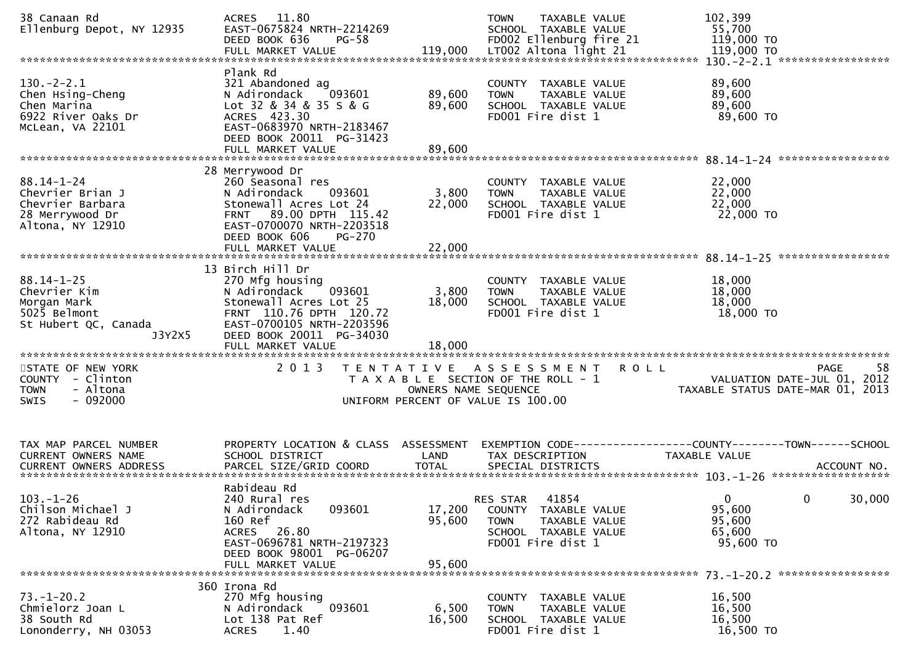| 38 Canaan Rd<br>Ellenburg Depot, NY 12935                                                         | 11.80<br><b>ACRES</b><br>EAST-0675824 NRTH-2214269<br>DEED BOOK 636<br>$PG-58$<br>FULL MARKET VALUE                                                                                        | 119,000                    | <b>TOWN</b><br>TAXABLE VALUE<br>SCHOOL TAXABLE VALUE<br>FD002 Ellenburg fire 21<br>LT002 Altona light 21                      | 102,399<br>55,700<br>119,000 TO<br>119,000 TO<br>130. - 2 - 2.1 ****************** |
|---------------------------------------------------------------------------------------------------|--------------------------------------------------------------------------------------------------------------------------------------------------------------------------------------------|----------------------------|-------------------------------------------------------------------------------------------------------------------------------|------------------------------------------------------------------------------------|
| $130.-2-2.1$<br>Chen Hsing-Cheng<br>Chen Marina<br>6922 River Oaks Dr<br>McLean, VA 22101         | Plank Rd<br>321 Abandoned ag<br>N Adirondack<br>093601<br>Lot 32 & 34 & 35 S & G<br>ACRES 423.30<br>EAST-0683970 NRTH-2183467                                                              | 89,600<br>89,600           | COUNTY TAXABLE VALUE<br>TAXABLE VALUE<br><b>TOWN</b><br>SCHOOL TAXABLE VALUE<br>FD001 Fire dist 1                             | 89,600<br>89,600<br>89,600<br>89,600 TO                                            |
|                                                                                                   | DEED BOOK 20011 PG-31423                                                                                                                                                                   |                            |                                                                                                                               |                                                                                    |
| $88.14 - 1 - 24$<br>Chevrier Brian J<br>Chevrier Barbara<br>28 Merrywood Dr<br>Altona, NY 12910   | 28 Merrywood Dr<br>260 Seasonal res<br>093601<br>N Adirondack<br>Stonewall Acres Lot 24<br>89.00 DPTH 115.42<br><b>FRNT</b><br>EAST-0700070 NRTH-2203518<br>DEED BOOK 606<br><b>PG-270</b> | 3,800<br>22,000            | COUNTY TAXABLE VALUE<br>TAXABLE VALUE<br><b>TOWN</b><br>SCHOOL TAXABLE VALUE<br>FD001 Fire dist 1                             | 22,000<br>22,000<br>22,000<br>22,000 TO                                            |
|                                                                                                   | FULL MARKET VALUE                                                                                                                                                                          | 22,000                     |                                                                                                                               |                                                                                    |
| $88.14 - 1 - 25$<br>Chevrier Kim<br>Morgan Mark<br>5025 Belmont<br>St Hubert QC, Canada<br>J3Y2X5 | 13 Birch Hill Dr<br>270 Mfg housing<br>N Adirondack<br>093601<br>Stonewall Acres Lot 25<br>FRNT 110.76 DPTH 120.72<br>EAST-0700105 NRTH-2203596<br>DEED BOOK 20011 PG-34030                | 3,800<br>18,000            | COUNTY TAXABLE VALUE<br>TAXABLE VALUE<br><b>TOWN</b><br>SCHOOL TAXABLE VALUE<br>FD001 Fire dist 1                             | 18,000<br>18,000<br>18,000<br>18,000 TO                                            |
| *******************************                                                                   |                                                                                                                                                                                            |                            |                                                                                                                               |                                                                                    |
| STATE OF NEW YORK<br>COUNTY - Clinton<br>- Altona<br><b>TOWN</b><br>SWIS<br>- 092000              | 2 0 1 3<br>T E N T A T I V E                                                                                                                                                               | OWNERS NAME SEQUENCE       | A S S E S S M E N T<br><b>ROLL</b><br>T A X A B L E SECTION OF THE ROLL - 1<br>UNIFORM PERCENT OF VALUE IS 100.00             | 58<br>PAGE<br>VALUATION DATE-JUL 01,<br>2012<br>TAXABLE STATUS DATE-MAR 01, 2013   |
| TAX MAP PARCEL NUMBER                                                                             | PROPERTY LOCATION & CLASS ASSESSMENT                                                                                                                                                       |                            |                                                                                                                               | EXEMPTION CODE------------------COUNTY--------TOWN------SCHOOL                     |
| CURRENT OWNERS NAME                                                                               | SCHOOL DISTRICT                                                                                                                                                                            | LAND                       | TAX DESCRIPTION                                                                                                               | <b>TAXABLE VALUE</b>                                                               |
| $103. - 1 - 26$<br>Chilson Michael J<br>272 Rabideau Rd<br>Altona, NY 12910                       | Rabideau Rd<br>240 Rural res<br>N Adirondack<br>093601<br>160 Ref<br>ACRES 26.80<br>EAST-0696781 NRTH-2197323<br>DEED BOOK 98001 PG-06207<br>FULL MARKET VALUE                             | 17,200<br>95,600<br>95,600 | 41854<br><b>RES STAR</b><br>COUNTY TAXABLE VALUE<br><b>TOWN</b><br>TAXABLE VALUE<br>SCHOOL TAXABLE VALUE<br>FD001 Fire dist 1 | $\mathbf{0}$<br>30,000<br>0<br>95,600<br>95,600<br>65,600<br>95,600 TO             |
| $73. - 1 - 20.2$<br>Chmielorz Joan L<br>38 South Rd<br>Lononderry, NH 03053                       | 360 Irona Rd<br>270 Mfg housing<br>N Adirondack<br>093601<br>Lot 138 Pat Ref<br>1.40<br><b>ACRES</b>                                                                                       | 6,500<br>16,500            | COUNTY TAXABLE VALUE<br>TAXABLE VALUE<br><b>TOWN</b><br>SCHOOL TAXABLE VALUE<br>FD001 Fire dist 1                             | 16,500<br>16,500<br>16,500<br>16,500 TO                                            |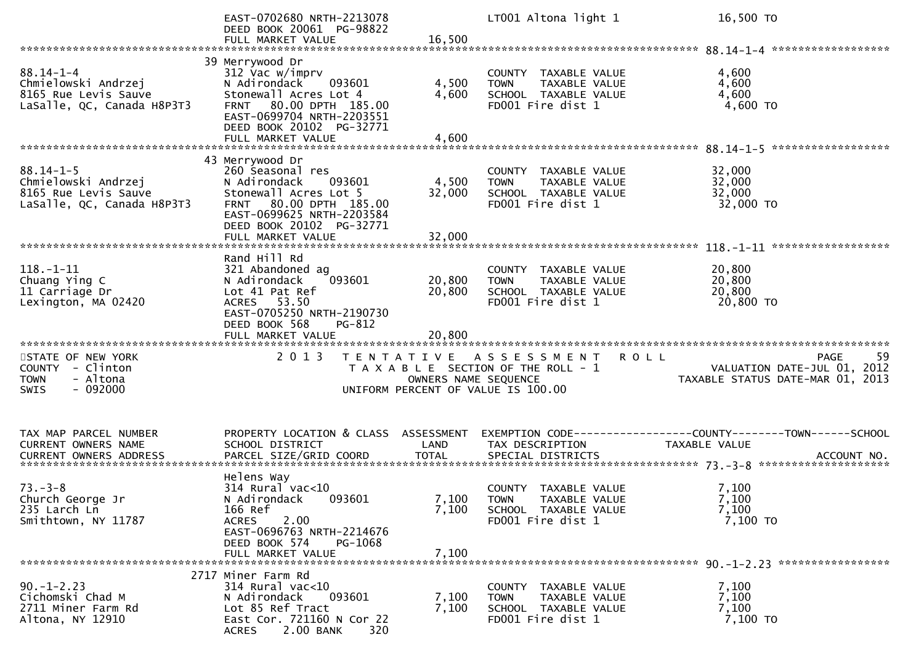|                                                                                              | EAST-0702680 NRTH-2213078<br>DEED BOOK 20061 PG-98822<br>FULL MARKET VALUE                                                                                                                               | 16,500                    | LT001 Altona light 1                                                                                | 16,500 TO                                                                                           |
|----------------------------------------------------------------------------------------------|----------------------------------------------------------------------------------------------------------------------------------------------------------------------------------------------------------|---------------------------|-----------------------------------------------------------------------------------------------------|-----------------------------------------------------------------------------------------------------|
|                                                                                              |                                                                                                                                                                                                          |                           |                                                                                                     |                                                                                                     |
| $88.14 - 1 - 4$<br>Chmielowski Andrzej<br>8165 Rue Levis Sauve<br>LaSalle, QC, Canada H8P3T3 | 39 Merrywood Dr<br>312 Vac w/imprv<br>N Adirondack<br>093601<br>Stonewall Acres Lot 4<br>FRNT 80.00 DPTH 185.00<br>EAST-0699704 NRTH-2203551<br>DEED BOOK 20102 PG-32771<br>FULL MARKET VALUE            | 4,500<br>4,600<br>4,600   | COUNTY TAXABLE VALUE<br>TAXABLE VALUE<br><b>TOWN</b><br>SCHOOL TAXABLE VALUE<br>FD001 Fire dist 1   | 4,600<br>4,600<br>4,600<br>4,600 TO                                                                 |
|                                                                                              |                                                                                                                                                                                                          |                           |                                                                                                     |                                                                                                     |
| $88.14 - 1 - 5$<br>Chmielowski Andrzej<br>8165 Rue Levis Sauve<br>LaSalle, QC, Canada H8P3T3 | 43 Merrywood Dr<br>260 Seasonal res<br>N Adirondack<br>093601<br>Stonewall Acres Lot 5<br>80.00 DPTH 185.00<br><b>FRNT</b><br>EAST-0699625 NRTH-2203584<br>DEED BOOK 20102 PG-32771<br>FULL MARKET VALUE | 4,500<br>32,000<br>32,000 | COUNTY TAXABLE VALUE<br>TAXABLE VALUE<br><b>TOWN</b><br>SCHOOL TAXABLE VALUE<br>FD001 Fire dist 1   | 32,000<br>32,000<br>32,000<br>32,000 TO                                                             |
|                                                                                              |                                                                                                                                                                                                          |                           |                                                                                                     |                                                                                                     |
| $118. - 1 - 11$<br>Chuang Ying C<br>11 Carriage Dr<br>Lexington, MA 02420                    | Rand Hill Rd<br>321 Abandoned ag<br>093601<br>N Adirondack<br>Lot 41 Pat Ref<br>ACRES 53.50<br>EAST-0705250 NRTH-2190730<br>DEED BOOK 568<br>PG-812                                                      | 20,800<br>20,800          | COUNTY TAXABLE VALUE<br>TAXABLE VALUE<br><b>TOWN</b><br>SCHOOL TAXABLE VALUE<br>FD001 Fire dist 1   | 20,800<br>20,800<br>20,800<br>20,800 TO                                                             |
|                                                                                              |                                                                                                                                                                                                          |                           |                                                                                                     |                                                                                                     |
| STATE OF NEW YORK<br>COUNTY<br>- Clinton<br>- Altona<br><b>TOWN</b><br>$-092000$<br>SWIS     | 2 0 1 3                                                                                                                                                                                                  | OWNERS NAME SEQUENCE      | TENTATIVE ASSESSMENT<br>T A X A B L E SECTION OF THE ROLL - 1<br>UNIFORM PERCENT OF VALUE IS 100.00 | 59<br><b>ROLL</b><br><b>PAGE</b><br>VALUATION DATE-JUL 01, 2012<br>TAXABLE STATUS DATE-MAR 01, 2013 |
| TAX MAP PARCEL NUMBER<br>CURRENT OWNERS NAME                                                 | PROPERTY LOCATION & CLASS ASSESSMENT<br>SCHOOL DISTRICT                                                                                                                                                  | LAND                      | TAX DESCRIPTION                                                                                     | <b>TAXABLE VALUE</b>                                                                                |
| $73. - 3 - 8$<br>Church George Jr<br>235 Larch Ln<br>Smithtown, NY 11787                     | Helens Way<br>$314$ Rural vac<10<br>N Adirondack<br>093601<br>166 Ref<br>2.00<br><b>ACRES</b><br>EAST-0696763 NRTH-2214676<br>DEED BOOK 574<br>PG-1068<br>FULL MARKET VALUE                              | 7,100<br>7,100<br>7,100   | COUNTY TAXABLE VALUE<br><b>TOWN</b><br>TAXABLE VALUE<br>SCHOOL TAXABLE VALUE<br>FD001 Fire dist 1   | 7,100<br>7,100<br>7,100<br>7,100 то                                                                 |
| $90. -1 - 2.23$<br>Cichomski Chad M<br>2711 Miner Farm Rd<br>Altona, NY 12910                | 2717 Miner Farm Rd<br>$314$ Rural vac<10<br>N Adirondack<br>093601<br>Lot 85 Ref Tract<br>East Cor. 721160 N Cor 22<br>2.00 BANK<br>320<br><b>ACRES</b>                                                  | 7,100<br>7,100            | COUNTY TAXABLE VALUE<br>TAXABLE VALUE<br><b>TOWN</b><br>SCHOOL TAXABLE VALUE<br>FD001 Fire dist 1   | 7,100<br>7,100<br>7,100<br>7,100 TO                                                                 |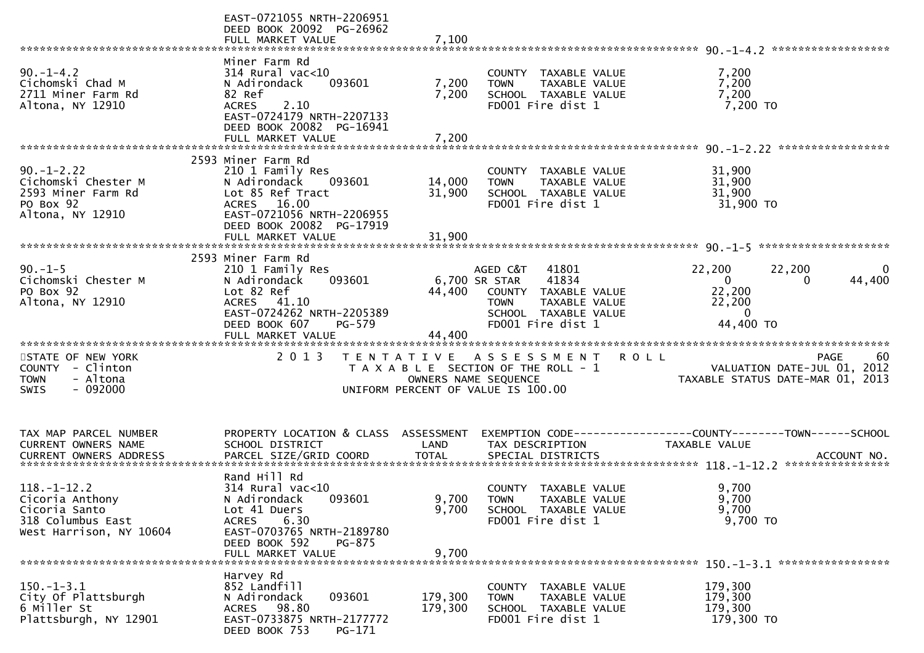| FULL MARKET VALUE<br>7,100                                                                                                                                                                                                                                                                                                                                                                                                          |             |
|-------------------------------------------------------------------------------------------------------------------------------------------------------------------------------------------------------------------------------------------------------------------------------------------------------------------------------------------------------------------------------------------------------------------------------------|-------------|
| Miner Farm Rd                                                                                                                                                                                                                                                                                                                                                                                                                       |             |
| $90. -1 - 4.2$<br>314 Rural vac<10<br>COUNTY TAXABLE VALUE<br>7,200<br>7,200<br>Cichomski Chad M<br>093601<br>7,200<br>N Adirondack<br>TAXABLE VALUE<br><b>TOWN</b><br>7,200<br>2711 Miner Farm Rd<br>82 Ref<br>SCHOOL TAXABLE VALUE<br>7,200<br>7,200 TO<br>Altona, NY 12910<br>FD001 Fire dist 1<br><b>ACRES</b><br>2.10<br>EAST-0724179 NRTH-2207133<br>DEED BOOK 20082 PG-16941                                                 |             |
| FULL MARKET VALUE<br>7,200                                                                                                                                                                                                                                                                                                                                                                                                          |             |
|                                                                                                                                                                                                                                                                                                                                                                                                                                     |             |
| 2593 Miner Farm Rd<br>$90. - 1 - 2.22$<br>210 1 Family Res<br>31,900<br>COUNTY TAXABLE VALUE<br>Cichomski Chester M<br>31,900<br>N Adirondack<br>093601<br>14,000<br><b>TOWN</b><br>TAXABLE VALUE<br>31,900<br>2593 Miner Farm Rd<br>Lot 85 Ref Tract<br>31,900<br>SCHOOL TAXABLE VALUE<br>PO Box 92<br>ACRES 16.00<br>FD001 Fire dist 1<br>31,900 TO<br>Altona, NY 12910<br>EAST-0721056 NRTH-2206955<br>DEED BOOK 20082 PG-17919  |             |
| 31,900<br>FULL MARKET VALUE                                                                                                                                                                                                                                                                                                                                                                                                         |             |
| 2593 Miner Farm Rd<br>$90. -1 - 5$<br>AGED C&T<br>41801<br>22,200<br>22,200<br>210 1 Family Res<br>41834<br>Cichomski Chester M<br>093601<br>$\overline{0}$<br>$\Omega$                                                                                                                                                                                                                                                             | 0<br>44,400 |
| N Adirondack<br>6,700 SR STAR<br>22,200<br>PO Box 92<br>Lot 82 Ref<br>44,400<br>COUNTY TAXABLE VALUE<br>Altona, NY 12910<br>ACRES 41.10<br>22,200<br>TAXABLE VALUE<br><b>TOWN</b><br>EAST-0724262 NRTH-2205389<br>SCHOOL TAXABLE VALUE<br>$\bf{0}$<br>FD001 Fire dist 1<br>44,400 TO<br>DEED BOOK 607<br>PG-579<br>44,400                                                                                                           |             |
|                                                                                                                                                                                                                                                                                                                                                                                                                                     |             |
| 2 0 1 3<br>STATE OF NEW YORK<br>TENTATIVE ASSESSMENT<br><b>ROLL</b><br>VALUATION DATE-JUL 01, 2012<br>COUNTY - Clinton<br>T A X A B L E SECTION OF THE ROLL - 1<br>- Altona<br>OWNERS NAME SEQUENCE<br>TAXABLE STATUS DATE-MAR 01, 2013<br><b>TOWN</b><br>$-092000$<br>UNIFORM PERCENT OF VALUE IS 100.00<br><b>SWIS</b>                                                                                                            | -60<br>PAGE |
| TAX MAP PARCEL NUMBER<br>PROPERTY LOCATION & CLASS ASSESSMENT<br>EXEMPTION CODE------------------COUNTY--------TOWN------SCHOOL<br>CURRENT OWNERS NAME<br>SCHOOL DISTRICT<br>LAND<br>TAX DESCRIPTION<br><b>TAXABLE VALUE</b>                                                                                                                                                                                                        |             |
| Rand Hill Rd<br>$118. - 1 - 12.2$<br>$314$ Rural vac<10<br>9,700<br>COUNTY TAXABLE VALUE<br>9,700<br>9,700<br>Cicoria Anthony<br>093601<br>N Adirondack<br><b>TOWN</b><br>TAXABLE VALUE<br>9,700<br>9,700<br>Cicoria Santo<br>Lot 41 Duers<br>SCHOOL TAXABLE VALUE<br>9,700 TO<br>318 Columbus East<br><b>ACRES</b><br>6.30<br>FD001 Fire dist 1<br>West Harrison, NY 10604<br>EAST-0703765 NRTH-2189780<br>DEED BOOK 592<br>PG-875 |             |
| FULL MARKET VALUE<br>9,700                                                                                                                                                                                                                                                                                                                                                                                                          |             |
|                                                                                                                                                                                                                                                                                                                                                                                                                                     |             |
| Harvey Rd<br>$150. - 1 - 3.1$<br>852 Landfill<br>179,300<br>COUNTY TAXABLE VALUE<br>City Of Plattsburgh<br>093601<br>179,300<br>179,300<br>N Adirondack<br>TAXABLE VALUE<br><b>TOWN</b><br>6 Miller St<br>98.80<br>179,300<br><b>ACRES</b><br>179,300<br>SCHOOL TAXABLE VALUE<br>Plattsburgh, NY 12901<br>179,300 TO<br>EAST-0733875 NRTH-2177772<br>FD001 Fire dist 1<br>DEED BOOK 753<br>PG-171                                   |             |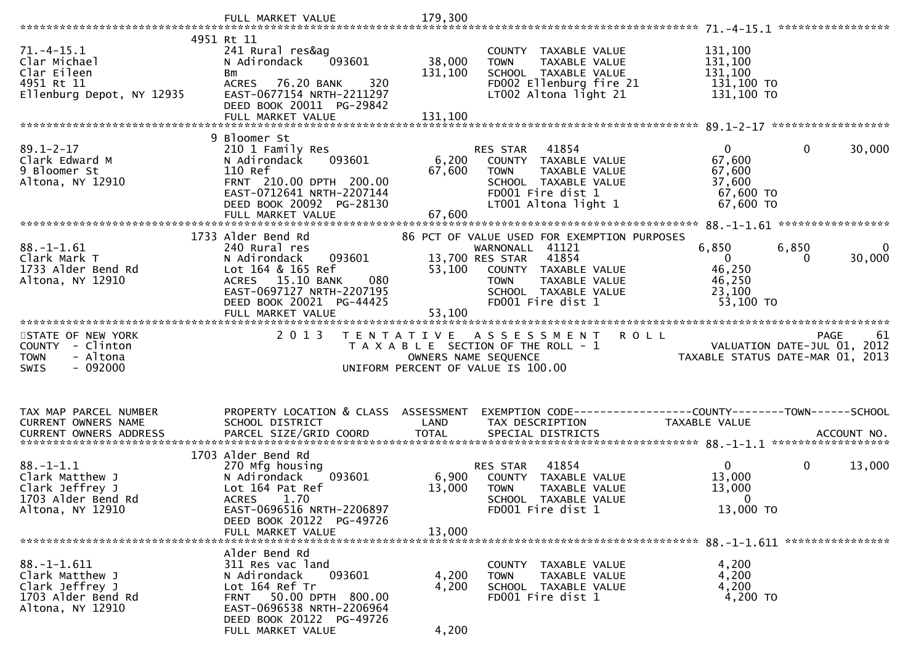|                                                                                                   | FULL MARKET VALUE                                                                                                                                                                               | 179,300                   |                                                                                                                                                                                                 |                                                                      |                                            |             |
|---------------------------------------------------------------------------------------------------|-------------------------------------------------------------------------------------------------------------------------------------------------------------------------------------------------|---------------------------|-------------------------------------------------------------------------------------------------------------------------------------------------------------------------------------------------|----------------------------------------------------------------------|--------------------------------------------|-------------|
|                                                                                                   |                                                                                                                                                                                                 |                           |                                                                                                                                                                                                 |                                                                      | *****************                          |             |
| $71. - 4 - 15.1$<br>Clar Michael<br>Clar Eileen<br>4951 Rt 11<br>Ellenburg Depot, NY 12935        | 4951 Rt 11<br>241 Rural res&ag<br>093601<br>N Adirondack<br>Bm<br>76.20 BANK<br>320<br><b>ACRES</b><br>EAST-0677154 NRTH-2211297<br>DEED BOOK 20011 PG-29842                                    | 38,000<br>131,100         | COUNTY TAXABLE VALUE<br>TAXABLE VALUE<br><b>TOWN</b><br>SCHOOL TAXABLE VALUE<br>FD002 Ellenburg fire 21<br>LT002 Altona light 21                                                                | 131,100<br>131,100<br>131,100<br>131,100 TO<br>131,100 TO            |                                            |             |
|                                                                                                   | FULL MARKET VALUE                                                                                                                                                                               | 131,100                   |                                                                                                                                                                                                 |                                                                      |                                            |             |
|                                                                                                   | 9 Bloomer St                                                                                                                                                                                    |                           |                                                                                                                                                                                                 |                                                                      |                                            |             |
| $89.1 - 2 - 17$<br>Clark Edward M<br>9 Bloomer St<br>Altona, NY 12910                             | 210 1 Family Res<br>093601<br>N Adirondack<br>110 Ref<br>FRNT 210.00 DPTH 200.00<br>EAST-0712641 NRTH-2207144<br>DEED BOOK 20092 PG-28130<br>FULL MARKET VALUE                                  | 6,200<br>67,600<br>67,600 | 41854<br>RES STAR<br>COUNTY TAXABLE VALUE<br><b>TOWN</b><br>TAXABLE VALUE<br>SCHOOL TAXABLE VALUE<br>FD001 Fire dist 1<br>LT001 Altona light 1                                                  | $\mathbf{0}$<br>67,600<br>67,600<br>37,600<br>67,600 TO<br>67,600 TO | $\mathbf 0$                                | 30,000      |
|                                                                                                   |                                                                                                                                                                                                 |                           |                                                                                                                                                                                                 |                                                                      |                                            |             |
| $88. - 1 - 1.61$<br>Clark Mark T<br>1733 Alder Bend Rd<br>Altona, NY 12910                        | 1733 Alder Bend Rd<br>240 Rural res<br>093601<br>N Adirondack<br>Lot 164 & 165 Ref<br>ACRES 15.10 BANK<br>080<br>EAST-0697127 NRTH-2207195<br>DEED BOOK 20021 PG-44425<br>FULL MARKET VALUE     | 53,100<br>53,100          | 86 PCT OF VALUE USED FOR EXEMPTION PURPOSES<br>WARNONALL 41121<br>13,700 RES STAR<br>41854<br>COUNTY TAXABLE VALUE<br>TAXABLE VALUE<br><b>TOWN</b><br>SCHOOL TAXABLE VALUE<br>FD001 Fire dist 1 | 6,850<br>$\mathbf{0}$<br>46,250<br>46,250<br>23,100<br>53,100 TO     | 6,850<br>0                                 | 0<br>30,000 |
|                                                                                                   |                                                                                                                                                                                                 |                           |                                                                                                                                                                                                 |                                                                      |                                            |             |
| STATE OF NEW YORK<br>COUNTY - Clinton<br><b>TOWN</b><br>- Altona<br>$-092000$<br><b>SWIS</b>      | 2 0 1 3                                                                                                                                                                                         |                           | TENTATIVE ASSESSMENT<br>T A X A B L E SECTION OF THE ROLL - 1<br>OWNERS NAME SEQUENCE<br>UNIFORM PERCENT OF VALUE IS 100.00                                                                     | <b>ROLL</b><br>TAXABLE STATUS DATE-MAR 01, 2013                      | <b>PAGE</b><br>VALUATION DATE-JUL 01, 2012 | 61          |
| TAX MAP PARCEL NUMBER<br>CURRENT OWNERS NAME                                                      | PROPERTY LOCATION & CLASS ASSESSMENT<br>SCHOOL DISTRICT                                                                                                                                         | LAND                      | EXEMPTION CODE-----------------COUNTY-------TOWN------SCHOOL<br>TAX DESCRIPTION                                                                                                                 | TAXABLE VALUE                                                        |                                            |             |
|                                                                                                   | 1703 Alder Bend Rd                                                                                                                                                                              |                           |                                                                                                                                                                                                 |                                                                      |                                            |             |
| $88. - 1 - 1.1$<br>Clark Matthew J<br>Clark Jeffrey J<br>1703 Alder Bend Rd<br>Altona, NY 12910   | 270 Mfg housing<br>N Adirondack<br>093601<br>Lot 164 Pat Ref<br><b>ACRES</b><br>1.70<br>EAST-0696516 NRTH-2206897<br>DEED BOOK 20122 PG-49726                                                   | 6,900<br>13,000           | 41854<br>RES STAR<br>COUNTY TAXABLE VALUE<br><b>TOWN</b><br><b>TAXABLE VALUE</b><br>SCHOOL TAXABLE VALUE<br>FD001 Fire dist 1                                                                   | $\overline{0}$<br>13,000<br>13,000<br>$\mathbf{0}$<br>13,000 TO      | $\mathbf 0$                                | 13,000      |
|                                                                                                   | FULL MARKET VALUE                                                                                                                                                                               | 13,000                    |                                                                                                                                                                                                 |                                                                      |                                            |             |
| $88. - 1 - 1.611$<br>Clark Matthew J<br>Clark Jeffrey J<br>1703 Alder Bend Rd<br>Altona, NY 12910 | Alder Bend Rd<br>311 Res vac land<br>N Adirondack<br>093601<br>Lot 164 Ref Tr<br>50.00 DPTH 800.00<br><b>FRNT</b><br>EAST-0696538 NRTH-2206964<br>DEED BOOK 20122 PG-49726<br>FULL MARKET VALUE | 4,200<br>4,200<br>4,200   | COUNTY TAXABLE VALUE<br><b>TOWN</b><br>TAXABLE VALUE<br>SCHOOL TAXABLE VALUE<br>FD001 Fire dist 1                                                                                               | 4,200<br>4,200<br>4,200<br>4,200 TO                                  |                                            |             |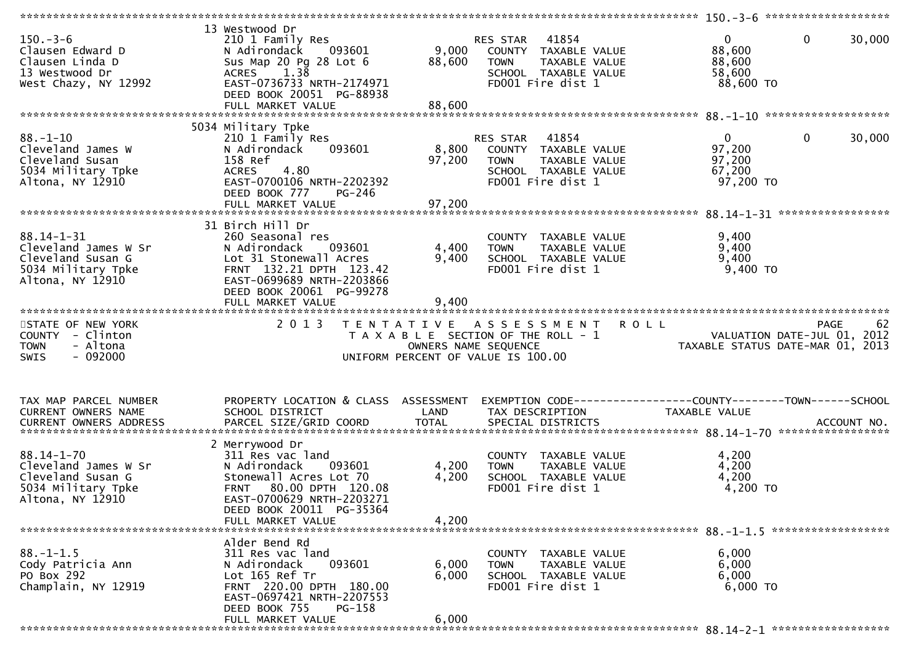|                                                                                                                                                                 |                                                                                                                                                                                                   |                           |                                                                                                                        | 150.-3-6 *********************                                                 |        |
|-----------------------------------------------------------------------------------------------------------------------------------------------------------------|---------------------------------------------------------------------------------------------------------------------------------------------------------------------------------------------------|---------------------------|------------------------------------------------------------------------------------------------------------------------|--------------------------------------------------------------------------------|--------|
| $150 - 3 - 6$<br>Clausen Edward D<br>Clausen Linda D<br>13 Westwood Dr<br>West Chazy, NY 12992                                                                  | 13 Westwood Dr<br>210 1 Family Res<br>N Adirondack<br>093601<br>Sus Map 20 Pg 28 Lot 6<br>1.38<br><b>ACRES</b><br>EAST-0736733 NRTH-2174971<br>DEED BOOK 20051 PG-88938                           | 9,000<br>88,600           | 41854<br>RES STAR<br>COUNTY TAXABLE VALUE<br>TAXABLE VALUE<br><b>TOWN</b><br>SCHOOL TAXABLE VALUE<br>FD001 Fire dist 1 | $\mathbf 0$<br>$\overline{0}$<br>88,600<br>88,600<br>58,600<br>88,600 TO       | 30,000 |
|                                                                                                                                                                 |                                                                                                                                                                                                   |                           |                                                                                                                        |                                                                                |        |
| $88. - 1 - 10$<br>Cleveland James W<br>Cleveland Susan<br>5034 Military Tpke<br>Altona, NY 12910                                                                | 5034 Military Tpke<br>210 1 Family Res<br>093601<br>N Adirondack<br>158 Ref<br>4.80<br><b>ACRES</b><br>EAST-0700106 NRTH-2202392<br>DEED BOOK 777<br>PG-246<br>FULL MARKET VALUE                  | 8,800<br>97,200<br>97,200 | 41854<br>RES STAR<br>COUNTY TAXABLE VALUE<br><b>TOWN</b><br>TAXABLE VALUE<br>SCHOOL TAXABLE VALUE<br>FD001 Fire dist 1 | $\mathbf 0$<br>$\overline{0}$<br>97,200<br>97,200<br>67,200<br>97,200 TO       | 30,000 |
|                                                                                                                                                                 |                                                                                                                                                                                                   |                           |                                                                                                                        |                                                                                |        |
| $88.14 - 1 - 31$<br>Cleveland James W Sr<br>Cleveland Susan G<br>5034 Military Tpke<br>Altona, NY 12910                                                         | 31 Birch Hill Dr<br>260 Seasonal res<br>N Adirondack<br>093601<br>Lot 31 Stonewall Acres<br>FRNT 132.21 DPTH 123.42<br>EAST-0699689 NRTH-2203866<br>DEED BOOK 20061 PG-99278<br>FULL MARKET VALUE | 4,400<br>9,400<br>9,400   | COUNTY TAXABLE VALUE<br>TAXABLE VALUE<br><b>TOWN</b><br>SCHOOL TAXABLE VALUE<br>FD001 Fire dist 1                      | 9,400<br>9,400<br>9,400<br>$9,400$ TO                                          |        |
|                                                                                                                                                                 |                                                                                                                                                                                                   |                           |                                                                                                                        |                                                                                |        |
| STATE OF NEW YORK<br>COUNTY - Clinton<br>- Altona<br><b>TOWN</b><br>$-092000$<br><b>SWIS</b>                                                                    | 2 0 1 3                                                                                                                                                                                           | OWNERS NAME SEQUENCE      | <b>ROLL</b><br>TENTATIVE ASSESSMENT<br>T A X A B L E SECTION OF THE ROLL - 1<br>UNIFORM PERCENT OF VALUE IS 100.00     | <b>PAGE</b><br>VALUATION DATE-JUL 01, 2012<br>TAXABLE STATUS DATE-MAR 01, 2013 | 62     |
| TAX MAP PARCEL NUMBER<br>CURRENT OWNERS NAME<br>.CURRENT OWNERS ADDRESS PARCEL SIZE/GRID COORD TOTAL SPECIAL DISTRICTS ACCOUNT NO ACCOUNT NO ACCOUNT NO ACCOUNT | PROPERTY LOCATION & CLASS ASSESSMENT<br>SCHOOL DISTRICT                                                                                                                                           | LAND                      | TAX DESCRIPTION                                                                                                        | TAXABLE VALUE                                                                  |        |
| $88.14 - 1 - 70$<br>Cleveland James W Sr<br>Cleveland Susan G<br>5034 Military Tpke<br>Altona, NY 12910                                                         | 2 Merrywood Dr<br>311 Res vac land<br>N Adirondack<br>093601<br>Stonewall Acres Lot 70<br>80.00 DPTH 120.08<br><b>FRNT</b><br>EAST-0700629 NRTH-2203271<br>DEED BOOK 20011 PG-35364               | 4,200<br>4,200            | COUNTY TAXABLE VALUE<br>TAXABLE VALUE<br><b>TOWN</b><br>SCHOOL TAXABLE VALUE<br>FD001 Fire dist 1                      | 4,200<br>4,200<br>4,200<br>4,200 TO                                            |        |
|                                                                                                                                                                 | FULL MARKET VALUE                                                                                                                                                                                 | 4,200                     |                                                                                                                        |                                                                                |        |
| $88. - 1 - 1.5$<br>Cody Patricia Ann<br>PO Box 292<br>Champlain, NY 12919                                                                                       | Alder Bend Rd<br>311 Res vac land<br>093601<br>N Adirondack<br>Lot 165 Ref Tr<br>FRNT 220.00 DPTH 180.00<br>EAST-0697421 NRTH-2207553<br>DEED BOOK 755<br>PG-158<br>FULL MARKET VALUE             | 6,000<br>6,000<br>6,000   | COUNTY TAXABLE VALUE<br>TAXABLE VALUE<br><b>TOWN</b><br>SCHOOL TAXABLE VALUE<br>FD001 Fire dist 1                      | 6,000<br>6,000<br>6,000<br>6,000 TO                                            |        |
|                                                                                                                                                                 |                                                                                                                                                                                                   |                           |                                                                                                                        |                                                                                |        |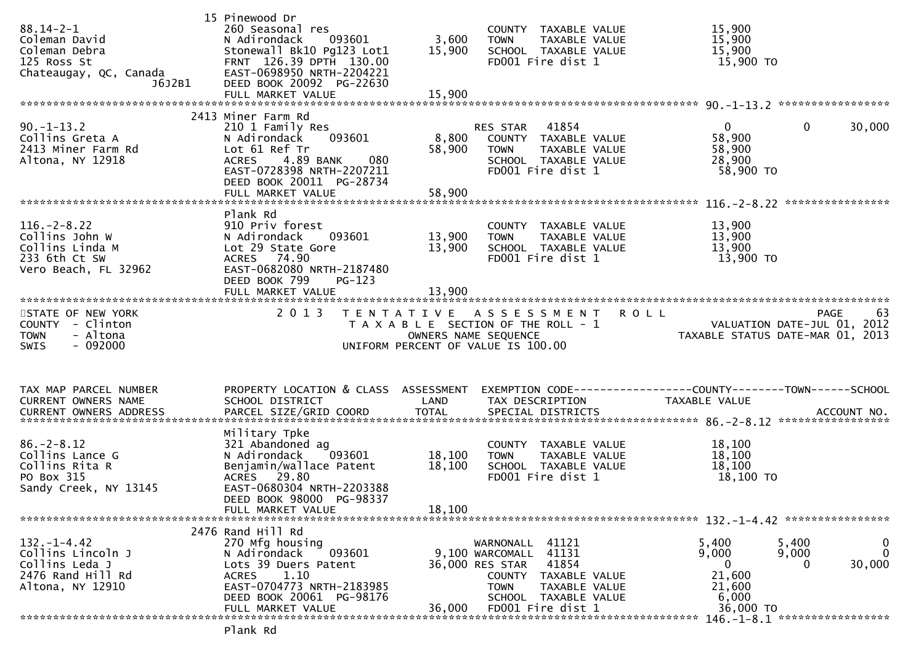| $88.14 - 2 - 1$<br>Coleman David<br>Coleman Debra<br>125 Ross St<br>Chateaugay, QC, Canada<br>J6J2B1 | 15 Pinewood Dr<br>260 Seasonal res<br>093601<br>N Adirondack<br>Stonewall Bk10 Pg123 Lot1<br>FRNT 126.39 DPTH 130.00<br>EAST-0698950 NRTH-2204221<br>DEED BOOK 20092 PG-22630 | 3,600<br>15,900      | COUNTY TAXABLE VALUE<br>TAXABLE VALUE<br><b>TOWN</b><br>SCHOOL TAXABLE VALUE<br>FD001 Fire dist 1 | 15,900<br>15,900<br>15,900<br>15,900 TO                         |                                             |
|------------------------------------------------------------------------------------------------------|-------------------------------------------------------------------------------------------------------------------------------------------------------------------------------|----------------------|---------------------------------------------------------------------------------------------------|-----------------------------------------------------------------|---------------------------------------------|
| $90. -1 - 13.2$<br>Collins Greta A<br>2413 Miner Farm Rd                                             | 2413 Miner Farm Rd<br>210 1 Family Res<br>093601<br>N Adirondack<br>Lot 61 Ref Tr                                                                                             | 8,800<br>58,900      | RES STAR 41854<br>COUNTY TAXABLE VALUE<br><b>TOWN</b><br>TAXABLE VALUE                            | $\mathbf{0}$<br>58,900<br>58,900                                | $\mathbf 0$<br>30,000                       |
| Altona, NY 12918                                                                                     | <b>ACRES</b><br>4.89 BANK<br>080<br>EAST-0728398 NRTH-2207211<br>DEED BOOK 20011 PG-28734                                                                                     |                      | SCHOOL TAXABLE VALUE<br>FD001 Fire dist 1                                                         | 28,900<br>58,900 TO                                             |                                             |
|                                                                                                      |                                                                                                                                                                               |                      |                                                                                                   |                                                                 |                                             |
| $116. - 2 - 8.22$<br>Collins John W<br>Collins Linda M<br>233 6th Ct SW<br>Vero Beach, FL 32962      | Plank Rd<br>910 Priv forest<br>093601<br>N Adirondack<br>Lot 29 State Gore<br>ACRES 74.90<br>EAST-0682080 NRTH-2187480                                                        | 13,900<br>13,900     | COUNTY TAXABLE VALUE<br><b>TOWN</b><br>TAXABLE VALUE<br>SCHOOL TAXABLE VALUE<br>FD001 Fire dist 1 | 13,900<br>13,900<br>13,900<br>13,900 TO                         |                                             |
|                                                                                                      | DEED BOOK 799<br>$PG-123$                                                                                                                                                     |                      |                                                                                                   |                                                                 |                                             |
|                                                                                                      |                                                                                                                                                                               |                      |                                                                                                   |                                                                 |                                             |
| STATE OF NEW YORK                                                                                    | 2 0 1 3                                                                                                                                                                       |                      | TENTATIVE ASSESSMENT ROLL                                                                         |                                                                 | PAGE<br>63                                  |
|                                                                                                      |                                                                                                                                                                               |                      |                                                                                                   |                                                                 |                                             |
| COUNTY - Clinton<br>- Altona<br><b>TOWN</b>                                                          |                                                                                                                                                                               | OWNERS NAME SEQUENCE | T A X A B L E SECTION OF THE ROLL - 1                                                             | VALUATION DATE-JUL 01, 2012<br>TAXABLE STATUS DATE-MAR 01, 2013 |                                             |
| $-092000$<br><b>SWIS</b>                                                                             |                                                                                                                                                                               |                      | UNIFORM PERCENT OF VALUE IS 100.00                                                                |                                                                 |                                             |
|                                                                                                      |                                                                                                                                                                               |                      |                                                                                                   |                                                                 |                                             |
| TAX MAP PARCEL NUMBER                                                                                | PROPERTY LOCATION & CLASS ASSESSMENT                                                                                                                                          |                      | EXEMPTION CODE-----------------COUNTY--------TOWN------SCHOOL                                     |                                                                 |                                             |
| CURRENT OWNERS NAME                                                                                  | SCHOOL DISTRICT                                                                                                                                                               | LAND                 | TAX DESCRIPTION                                                                                   | TAXABLE VALUE                                                   |                                             |
|                                                                                                      | Military Tpke                                                                                                                                                                 |                      |                                                                                                   |                                                                 |                                             |
| $86. - 2 - 8.12$                                                                                     | 321 Abandoned ag                                                                                                                                                              |                      | COUNTY TAXABLE VALUE                                                                              | 18,100                                                          |                                             |
| Collins Lance G<br>Collins Rita R                                                                    | 093601<br>N Adirondack                                                                                                                                                        | 18,100               | <b>TOWN</b><br>TAXABLE VALUE<br>SCHOOL TAXABLE VALUE                                              | 18,100<br>18,100                                                |                                             |
| PO Box 315                                                                                           | Benjamin/wallace Patent<br>ACRES 29.80                                                                                                                                        | 18,100               | FD001 Fire dist 1                                                                                 | 18,100 TO                                                       |                                             |
| Sandy Creek, NY 13145                                                                                | EAST-0680304 NRTH-2203388<br>DEED BOOK 98000 PG-98337                                                                                                                         |                      |                                                                                                   |                                                                 |                                             |
|                                                                                                      | FULL MARKET VALUE                                                                                                                                                             | 18,100               |                                                                                                   |                                                                 |                                             |
|                                                                                                      | 2476 Rand Hill Rd                                                                                                                                                             |                      |                                                                                                   |                                                                 |                                             |
| $132. - 1 - 4.42$                                                                                    | 270 Mfg housing                                                                                                                                                               |                      | WARNONALL<br>41121                                                                                | 5,400                                                           | 5,400<br>0                                  |
| Collins Lincoln J<br>Collins Leda J                                                                  | 093601<br>N Adirondack<br>Lots 39 Duers Patent                                                                                                                                |                      | 9,100 WARCOMALL<br>41131<br>36,000 RES STAR<br>41854                                              | 9,000<br>0                                                      | $\mathbf{0}$<br>9,000<br>30,000<br>$\Omega$ |
| 2476 Rand Hill Rd                                                                                    | 1.10<br><b>ACRES</b>                                                                                                                                                          |                      | TAXABLE VALUE<br><b>COUNTY</b>                                                                    | 21,600                                                          |                                             |
| Altona, NY 12910                                                                                     | EAST-0704773 NRTH-2183985<br>DEED BOOK 20061 PG-98176<br>FULL MARKET VALUE                                                                                                    | 36,000               | <b>TOWN</b><br>TAXABLE VALUE<br>SCHOOL TAXABLE VALUE<br>FD001 Fire dist 1                         | 21,600<br>6,000<br>36,000 TO                                    |                                             |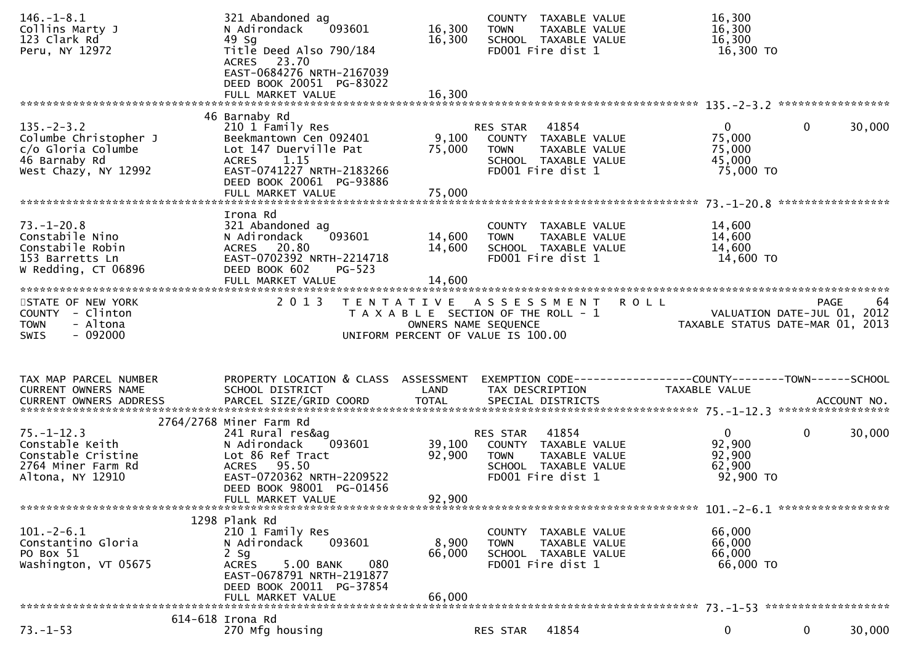| $146. - 1 - 8.1$<br>Collins Marty J<br>123 Clark Rd<br>Peru, NY 12972                                   | 321 Abandoned ag<br>093601<br>N Adirondack<br>49 Sg<br>Title Deed Also 790/184<br>ACRES 23.70<br>EAST-0684276 NRTH-2167039<br>DEED BOOK 20051 PG-83022<br>FULL MARKET VALUE             | 16,300<br>16,300<br>16,300 | COUNTY TAXABLE VALUE<br>TAXABLE VALUE<br><b>TOWN</b><br>SCHOOL TAXABLE VALUE<br>FD001 Fire dist 1                                          | 16,300<br>16,300<br>16,300<br>16,300 TO                                                                            |        |
|---------------------------------------------------------------------------------------------------------|-----------------------------------------------------------------------------------------------------------------------------------------------------------------------------------------|----------------------------|--------------------------------------------------------------------------------------------------------------------------------------------|--------------------------------------------------------------------------------------------------------------------|--------|
|                                                                                                         |                                                                                                                                                                                         |                            |                                                                                                                                            |                                                                                                                    |        |
| $135. -2 - 3.2$<br>Columbe Christopher J<br>c/o Gloria Columbe<br>46 Barnaby Rd<br>West Chazy, NY 12992 | 46 Barnaby Rd<br>210 1 Family Res<br>Beekmantown Cen 092401<br>Lot 147 Duerville Pat<br>ACRES 1.15<br>EAST-0741227 NRTH-2183266<br>DEED BOOK 20061 PG-93886<br>FULL MARKET VALUE        | 9,100<br>75,000<br>75,000  | RES STAR<br>41854<br>COUNTY TAXABLE VALUE<br>TAXABLE VALUE<br><b>TOWN</b><br>SCHOOL TAXABLE VALUE<br>FD001 Fire dist 1                     | $\overline{0}$<br>$\mathbf{0}$<br>75,000<br>75,000<br>45,000<br>75,000 TO                                          | 30,000 |
| $73. - 1 - 20.8$<br>Constabile Nino<br>Constabile Robin<br>153 Barretts Ln<br>W Redding, CT 06896       | Irona Rd<br>321 Abandoned ag<br>093601<br>N Adirondack<br>ACRES 20.80<br>EAST-0702392 NRTH-2214718<br>DEED BOOK 602<br>$PG-523$                                                         | 14,600<br>14,600           | COUNTY TAXABLE VALUE<br>TAXABLE VALUE<br><b>TOWN</b><br>SCHOOL TAXABLE VALUE<br>FD001 Fire dist 1                                          | 14,600<br>14,600<br>14,600<br>14,600 TO                                                                            |        |
| STATE OF NEW YORK<br>COUNTY - Clinton<br>- Altona<br><b>TOWN</b><br>$-092000$<br><b>SWIS</b>            | 2 0 1 3                                                                                                                                                                                 |                            | <b>ROLL</b><br>TENTATIVE ASSESSMENT<br>T A X A B L E SECTION OF THE ROLL - 1<br>OWNERS NAME SEQUENCE<br>UNIFORM PERCENT OF VALUE IS 100.00 | <b>PAGE</b><br>VALUATION DATE-JUL 01, 2012<br>TAXARIF STATIIS DATE-MAP 01 2012<br>TAXABLE STATUS DATE-MAR 01, 2013 | 64     |
|                                                                                                         |                                                                                                                                                                                         |                            |                                                                                                                                            |                                                                                                                    |        |
| TAX MAP PARCEL NUMBER<br>CURRENT OWNERS NAME                                                            | PROPERTY LOCATION & CLASS ASSESSMENT<br>SCHOOL DISTRICT                                                                                                                                 | LAND                       | TAX DESCRIPTION                                                                                                                            | EXEMPTION CODE------------------COUNTY--------TOWN------SCHOOL<br>TAXABLE VALUE                                    |        |
| $75. - 1 - 12.3$<br>Constable Keith<br>Constable Cristine<br>2764 Miner Farm Rd<br>Altona, NY 12910     | 2764/2768 Miner Farm Rd<br>241 Rural res&ag<br>093601<br>N Adirondack<br>Lot 86 Ref Tract<br>ACRES 95.50<br>EAST-0720362 NRTH-2209522<br>DEED BOOK 98001 PG-01456<br>FULL MARKET VALUE  | 39,100<br>92,900<br>92,900 | RES STAR<br>41854<br>COUNTY TAXABLE VALUE<br>TAXABLE VALUE<br>TOWN<br>SCHOOL TAXABLE VALUE<br>FD001 Fire dist 1                            | $\mathbf{0}$<br>$\mathbf 0$<br>92,900<br>92,900<br>62,900<br>92,900 TO                                             | 30,000 |
| $101.-2-6.1$<br>Constantino Gloria<br>PO Box 51<br>Washington, VT 05675                                 | 1298 Plank Rd<br>210 1 Family Res<br>093601<br>N Adirondack<br>$2$ Sg<br>5.00 BANK<br>080<br><b>ACRES</b><br>EAST-0678791 NRTH-2191877<br>DEED BOOK 20011 PG-37854<br>FULL MARKET VALUE | 8,900<br>66,000<br>66,000  | COUNTY TAXABLE VALUE<br><b>TOWN</b><br>TAXABLE VALUE<br>SCHOOL TAXABLE VALUE<br>FD001 Fire dist 1                                          | 66,000<br>66,000<br>66,000<br>66,000 TO                                                                            |        |
|                                                                                                         | 614-618 Irona Rd                                                                                                                                                                        |                            |                                                                                                                                            |                                                                                                                    |        |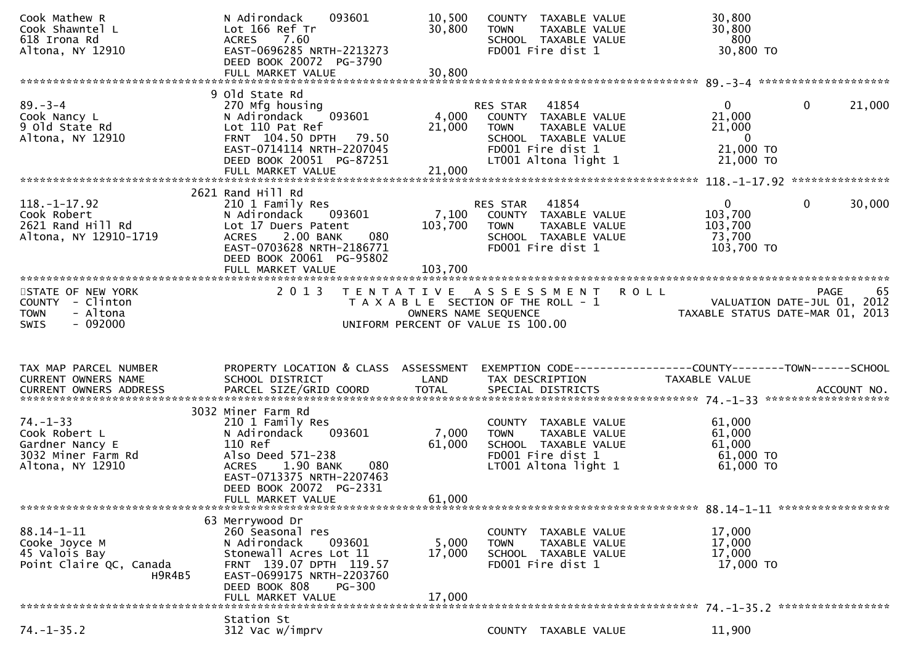| Cook Mathew R<br>Cook Shawntel L<br>618 Irona Rd<br>Altona, NY 12910                         | N Adirondack<br>093601<br>Lot 166 Ref Tr<br>7.60<br><b>ACRES</b><br>EAST-0696285 NRTH-2213273<br>DEED BOOK 20072 PG-3790<br>FULL MARKET VALUE                                                                     | 10,500<br>30,800<br>30,800 | COUNTY TAXABLE VALUE<br>TAXABLE VALUE<br><b>TOWN</b><br>SCHOOL TAXABLE VALUE<br>FD001 Fire dist 1                                           | 30,800<br>30,800<br>800<br>30,800 TO                                                                  |
|----------------------------------------------------------------------------------------------|-------------------------------------------------------------------------------------------------------------------------------------------------------------------------------------------------------------------|----------------------------|---------------------------------------------------------------------------------------------------------------------------------------------|-------------------------------------------------------------------------------------------------------|
|                                                                                              |                                                                                                                                                                                                                   |                            |                                                                                                                                             |                                                                                                       |
| $89 - 3 - 4$<br>Cook Nancy L<br>9 old State Rd<br>Altona, NY 12910                           | 9 old State Rd<br>270 Mfg housing<br>093601<br>N Adirondack<br>Lot 110 Pat Ref<br>FRNT 104.50 DPTH 79.50<br>EAST-0714114 NRTH-2207045<br>DEED BOOK 20051 PG-87251<br>FULL MARKET VALUE                            | 4,000<br>21,000<br>21,000  | RES STAR 41854<br>COUNTY TAXABLE VALUE<br>TAXABLE VALUE<br><b>TOWN</b><br>SCHOOL TAXABLE VALUE<br>FD001 Fire dist 1<br>LT001 Altona light 1 | $\mathbf{0}$<br>21,000<br>0<br>21,000<br>21,000<br>$\overline{\phantom{0}}$<br>21,000 TO<br>21,000 TO |
|                                                                                              |                                                                                                                                                                                                                   |                            |                                                                                                                                             |                                                                                                       |
| $118. - 1 - 17.92$<br>Cook Robert<br>2621 Rand Hill Rd<br>Altona, NY 12910-1719              | 2621 Rand Hill Rd<br>210 1 Family Res<br>N Adirondack<br>093601<br>Lot 17 Duers Patent<br>2.00 BANK<br>080<br><b>ACRES</b><br>EAST-0703628 NRTH-2186771<br>DEED BOOK 20061 PG-95802                               | 7,100<br>103,700           | RES STAR 41854<br>COUNTY TAXABLE VALUE<br><b>TOWN</b><br>TAXABLE VALUE<br>SCHOOL TAXABLE VALUE<br>FD001 Fire dist 1                         | $\mathbf{0}$<br>$\mathbf{0}$<br>30,000<br>103,700<br>103,700<br>73,700<br>103,700 TO                  |
|                                                                                              |                                                                                                                                                                                                                   |                            |                                                                                                                                             |                                                                                                       |
| STATE OF NEW YORK<br>COUNTY - Clinton<br>- Altona<br><b>TOWN</b>                             | 2 0 1 3                                                                                                                                                                                                           | OWNERS NAME SEQUENCE       | TENTATIVE ASSESSMENT ROLL<br>T A X A B L E SECTION OF THE ROLL - 1                                                                          | <b>PAGE</b><br>65<br>PAGE 65<br>VALUATION DATE-JUL 01, 2012<br>TAXABLE STATUS DATE-MAR 01, 2013       |
| $-092000$<br>SWIS                                                                            |                                                                                                                                                                                                                   |                            | UNIFORM PERCENT OF VALUE IS 100.00                                                                                                          |                                                                                                       |
| TAX MAP PARCEL NUMBER<br>CURRENT OWNERS NAME                                                 | PROPERTY LOCATION & CLASS ASSESSMENT<br>SCHOOL DISTRICT                                                                                                                                                           | LAND                       | TAX DESCRIPTION                                                                                                                             | EXEMPTION CODE-----------------COUNTY--------TOWN------SCHOOL<br>TAXABLE VALUE                        |
| $74. - 1 - 33$<br>Cook Robert L<br>Gardner Nancy E<br>3032 Miner Farm Rd<br>Altona, NY 12910 | 3032 Miner Farm Rd<br>210 1 Family Res<br>093601<br>N Adirondack<br>110 Ref<br>Also Deed 571-238<br>1.90 BANK<br><b>ACRES</b><br>080<br>EAST-0713375 NRTH-2207463<br>DEED BOOK 20072 PG-2331<br>FULL MARKET VALUE | 7,000<br>61,000<br>61,000  | COUNTY TAXABLE VALUE<br>TAXABLE VALUE<br><b>TOWN</b><br>SCHOOL TAXABLE VALUE<br>FD001 Fire dist 1<br>LT001 Altona light 1                   | 61,000<br>61,000<br>61,000<br>61,000 TO<br>$61,000$ TO                                                |
|                                                                                              |                                                                                                                                                                                                                   |                            |                                                                                                                                             |                                                                                                       |
| 88.14-1-11<br>Cooke Joyce M<br>45 Valois Bay<br>Point Claire QC, Canada<br>H9R4B5            | 63 Merrywood Dr<br>260 Seasonal res<br>N Adirondack<br>093601<br>Stonewall Acres Lot 11<br>FRNT 139.07 DPTH 119.57<br>EAST-0699175 NRTH-2203760<br>DEED BOOK 808<br>$PG-300$                                      | 5,000<br>17,000            | COUNTY TAXABLE VALUE<br>TAXABLE VALUE<br><b>TOWN</b><br>SCHOOL TAXABLE VALUE<br>FD001 Fire dist 1                                           | 17,000<br>17,000<br>17,000<br>17,000 TO                                                               |
|                                                                                              | FULL MARKET VALUE<br>Station St                                                                                                                                                                                   | 17,000                     |                                                                                                                                             |                                                                                                       |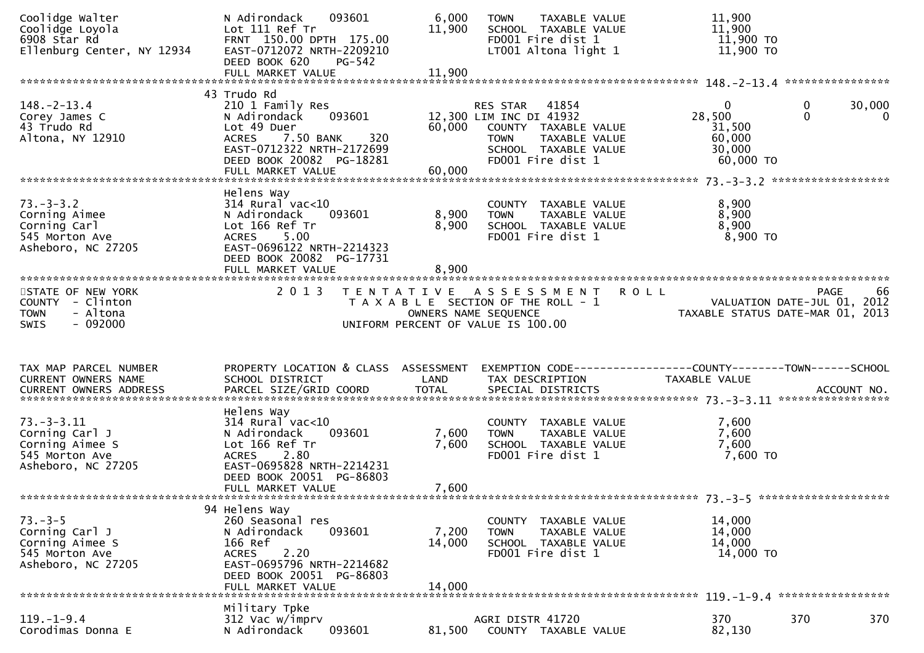| Coolidge Loyola<br>6908 Star Rd<br>Ellenburg Center, NY 12934                              | 093601<br>N Adirondack<br>Lot 111 Ref Tr<br>FRNT 150.00 DPTH 175.00<br>EAST-0712072 NRTH-2209210<br>DEED BOOK 620<br>PG-542                                                                | 6,000<br>11,900           | TAXABLE VALUE<br><b>TOWN</b><br>SCHOOL TAXABLE VALUE<br>FD001 Fire dist 1<br>LT001 Altona light 1                                              | 11,900<br>11,900<br>11,900 TO<br>11,900 TO                                       |                          |
|--------------------------------------------------------------------------------------------|--------------------------------------------------------------------------------------------------------------------------------------------------------------------------------------------|---------------------------|------------------------------------------------------------------------------------------------------------------------------------------------|----------------------------------------------------------------------------------|--------------------------|
|                                                                                            |                                                                                                                                                                                            |                           |                                                                                                                                                |                                                                                  |                          |
| $148. - 2 - 13.4$<br>Corey James C<br>43 Trudo Rd<br>Altona, NY 12910                      | 43 Trudo Rd<br>210 1 Family Res<br>093601<br>N Adirondack<br>Lot 49 Duer<br>320<br><b>ACRES</b><br>7.50 BANK<br>EAST-0712322 NRTH-2172699<br>DEED BOOK 20082 PG-18281<br>FULL MARKET VALUE | 60,000<br>60,000          | RES STAR 41854<br>12,300 LIM INC DI 41932<br>COUNTY TAXABLE VALUE<br><b>TOWN</b><br>TAXABLE VALUE<br>SCHOOL TAXABLE VALUE<br>FD001 Fire dist 1 | $\bf{0}$<br>0<br>28,500<br>$\Omega$<br>31,500<br>60,000<br>30,000<br>$60,000$ TO | 30,000<br>$\overline{0}$ |
|                                                                                            | Helens Way                                                                                                                                                                                 |                           |                                                                                                                                                |                                                                                  |                          |
| $73. - 3 - 3.2$<br>Corning Aimee<br>Corning Carl<br>545 Morton Ave<br>Asheboro, NC 27205   | $314$ Rural vac<10<br>093601<br>N Adirondack<br>Lot 166 Ref Tr<br>5.00<br><b>ACRES</b><br>EAST-0696122 NRTH-2214323<br>DEED BOOK 20082 PG-17731<br>FULL MARKET VALUE                       | 8,900<br>8,900<br>8,900   | COUNTY TAXABLE VALUE<br>TAXABLE VALUE<br><b>TOWN</b><br>SCHOOL TAXABLE VALUE<br>FD001 Fire dist 1                                              | 8,900<br>8,900<br>8,900<br>$8,900$ TO                                            |                          |
|                                                                                            |                                                                                                                                                                                            |                           |                                                                                                                                                |                                                                                  |                          |
| STATE OF NEW YORK<br>COUNTY - Clinton<br><b>TOWN</b><br>- Altona<br>$-092000$<br>SWIS      | 2 0 1 3                                                                                                                                                                                    | OWNERS NAME SEQUENCE      | TENTATIVE ASSESSMENT<br><b>ROLL</b><br>T A X A B L E SECTION OF THE ROLL - 1<br>UNIFORM PERCENT OF VALUE IS 100.00                             | <b>PAGE</b><br>VALUATION DATE-JUL 01, 2012<br>TAXABLE STATUS DATE-MAR 01, 2013   | 66                       |
|                                                                                            |                                                                                                                                                                                            |                           |                                                                                                                                                |                                                                                  |                          |
| TAX MAP PARCEL NUMBER<br>CURRENT OWNERS NAME<br>CURRENT OWNERS ADDRESS                     | PROPERTY LOCATION & CLASS ASSESSMENT<br>SCHOOL DISTRICT                                                                                                                                    | LAND                      | TAX DESCRIPTION                                                                                                                                | TAXABLE VALUE                                                                    |                          |
| 73. – 3–3.11<br>Corning Carl J<br>Corning Aimee S<br>545 Morton Ave<br>Asheboro, NC 27205  | Helens Way<br>$314$ Rural vac<10<br>093601<br>N Adirondack<br>Lot 166 Ref Tr<br>2.80<br><b>ACRES</b><br>EAST-0695828 NRTH-2214231<br>DEED BOOK 20051 PG-86803<br>FULL MARKET VALUE         | 7,600<br>7,600<br>7,600   | COUNTY TAXABLE VALUE<br><b>TOWN</b><br>TAXABLE VALUE<br>SCHOOL TAXABLE VALUE<br>FD001 Fire dist 1                                              | 7,600<br>7,600<br>7,600<br>7,600 TO                                              |                          |
|                                                                                            |                                                                                                                                                                                            |                           |                                                                                                                                                |                                                                                  |                          |
| $73. - 3 - 5$<br>Corning Carl J<br>Corning Aimee S<br>545 Morton Ave<br>Asheboro, NC 27205 | 94 Helens Way<br>260 Seasonal res<br>N Adirondack<br>093601<br>166 Ref<br>2.20<br><b>ACRES</b><br>EAST-0695796 NRTH-2214682<br>DEED BOOK 20051 PG-86803<br>FULL MARKET VALUE               | 7,200<br>14,000<br>14,000 | COUNTY<br>TAXABLE VALUE<br>TAXABLE VALUE<br><b>TOWN</b><br>SCHOOL TAXABLE VALUE<br>FD001 Fire dist 1                                           | 14,000<br>14,000<br>14,000<br>14,000 TO                                          |                          |
|                                                                                            | Military Tpke                                                                                                                                                                              |                           |                                                                                                                                                |                                                                                  |                          |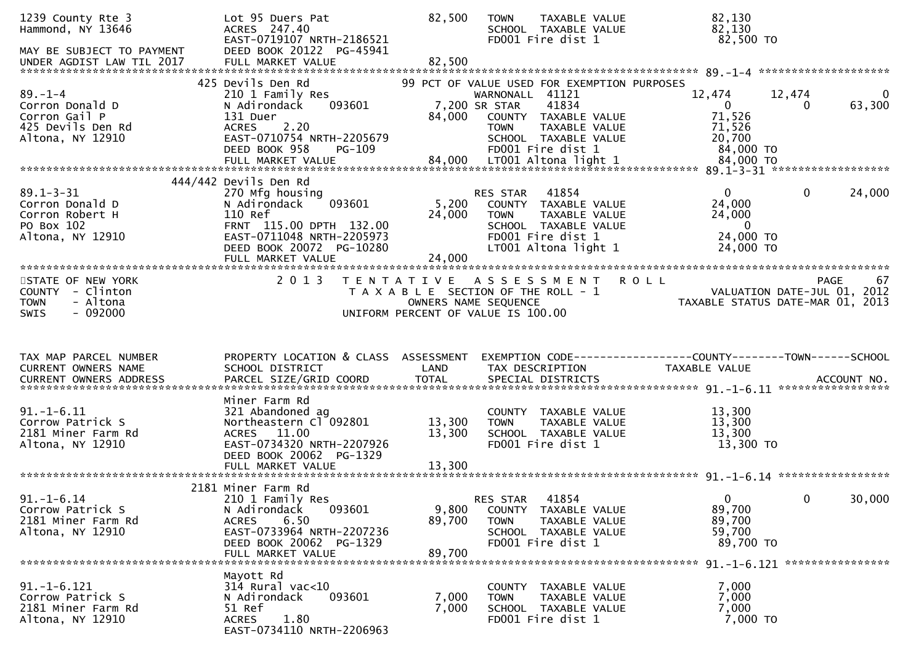| 1239 County Rte 3<br>Hammond, NY 13646<br>MAY BE SUBJECT TO PAYMENT                          | Lot 95 Duers Pat<br>ACRES 247.40<br>EAST-0719107 NRTH-2186521<br>DEED BOOK 20122 PG-45941                                                                         | 82,500           | TAXABLE VALUE<br><b>TOWN</b><br>SCHOOL TAXABLE VALUE<br>FD001 Fire dist 1                                                                             | 82,130<br>82,130<br>82,500 TO                                                  |                                           |
|----------------------------------------------------------------------------------------------|-------------------------------------------------------------------------------------------------------------------------------------------------------------------|------------------|-------------------------------------------------------------------------------------------------------------------------------------------------------|--------------------------------------------------------------------------------|-------------------------------------------|
|                                                                                              |                                                                                                                                                                   |                  |                                                                                                                                                       |                                                                                |                                           |
| $89. - 1 - 4$<br>Corron Donald D<br>Corron Gail P<br>425 Devils Den Rd                       | 425 Devils Den Rd<br>210 1 Family Res<br>093601<br>N Adirondack<br>131 Duer<br><b>ACRES</b><br>2.20                                                               | 84,000           | 99 PCT OF VALUE USED FOR EXEMPTION PURPOSES<br>WARNONALL 41121<br>7,200 SR STAR<br>41834<br>COUNTY TAXABLE VALUE<br>TAXABLE VALUE<br><b>TOWN</b>      | 12,474<br>$\mathbf{0}$<br>71,526<br>71,526                                     | 12,474<br>0<br>63,300<br>0                |
| Altona, NY 12910                                                                             | EAST-0710754 NRTH-2205679<br>DEED BOOK 958<br>PG-109                                                                                                              |                  | SCHOOL TAXABLE VALUE<br>FD001 Fire dist 1                                                                                                             | 20,700<br>84,000 TO                                                            |                                           |
| $89.1 - 3 - 31$<br>Corron Donald D<br>Corron Robert H<br>PO Box 102<br>Altona, NY 12910      | 444/442 Devils Den Rd<br>270 Mfg housing<br>093601<br>N Adirondack<br>110 Ref<br>FRNT 115.00 DPTH 132.00<br>EAST-0711048 NRTH-2205973<br>DEED BOOK 20072 PG-10280 | 5,200<br>24,000  | 41854<br><b>RES STAR</b><br>COUNTY TAXABLE VALUE<br>TAXABLE VALUE<br><b>TOWN</b><br>SCHOOL TAXABLE VALUE<br>FD001 Fire dist 1<br>LT001 Altona light 1 | $\overline{0}$<br>24,000<br>24,000<br>$\overline{0}$<br>24,000 TO<br>24,000 TO | $\mathbf{0}$<br>24,000                    |
|                                                                                              |                                                                                                                                                                   |                  |                                                                                                                                                       |                                                                                |                                           |
| STATE OF NEW YORK<br>COUNTY - Clinton<br>- Altona<br><b>TOWN</b><br>$-092000$<br><b>SWIS</b> | 2 0 1 3                                                                                                                                                           |                  | TENTATIVE ASSESSMENT<br>T A X A B L E SECTION OF THE ROLL - 1<br>OWNERS NAME SEQUENCE<br>UNIFORM PERCENT OF VALUE IS 100.00                           | <b>ROLL</b><br>TAXABLE STATUS DATE-MAR 01, 2013                                | PAGE<br>67<br>VALUATION DATE-JUL 01, 2012 |
|                                                                                              |                                                                                                                                                                   |                  |                                                                                                                                                       |                                                                                |                                           |
| TAX MAP PARCEL NUMBER<br>CURRENT OWNERS NAME                                                 | PROPERTY LOCATION & CLASS ASSESSMENT<br>SCHOOL DISTRICT                                                                                                           | LAND             | EXEMPTION CODE------------------COUNTY--------TOWN------SCHOOL<br>TAX DESCRIPTION                                                                     | TAXABLE VALUE                                                                  |                                           |
| $91. - 1 - 6.11$<br>Corrow Patrick S<br>2181 Miner Farm Rd<br>Altona, NY 12910               | Miner Farm Rd<br>321 Abandoned ag<br>Northeastern Cl 092801<br>ACRES 11.00<br>EAST-0734320 NRTH-2207926<br>DEED BOOK 20062 PG-1329                                | 13,300<br>13,300 | COUNTY TAXABLE VALUE<br>TAXABLE VALUE<br><b>TOWN</b><br>SCHOOL TAXABLE VALUE<br>FD001 Fire dist 1                                                     | 13,300<br>13,300<br>13,300<br>13,300 TO                                        |                                           |
|                                                                                              |                                                                                                                                                                   |                  |                                                                                                                                                       |                                                                                |                                           |
| $91. - 1 - 6.14$<br>Corrow Patrick S<br>2181 Miner Farm Rd<br>Altona, NY 12910               | 2181 Miner Farm Rd<br>210 1 Family Res<br>093601<br>N Adirondack<br>6.50<br><b>ACRES</b><br>EAST-0733964 NRTH-2207236<br>DEED BOOK 20062 PG-1329                  | 9,800<br>89,700  | 41854<br><b>RES STAR</b><br>COUNTY TAXABLE VALUE<br>TAXABLE VALUE<br>TOWN<br>SCHOOL TAXABLE VALUE<br>FD001 Fire dist 1                                | 0<br>89,700<br>89,700<br>59,700<br>89,700 TO                                   | 0<br>30,000                               |
|                                                                                              | FULL MARKET VALUE                                                                                                                                                 | 89,700           |                                                                                                                                                       |                                                                                |                                           |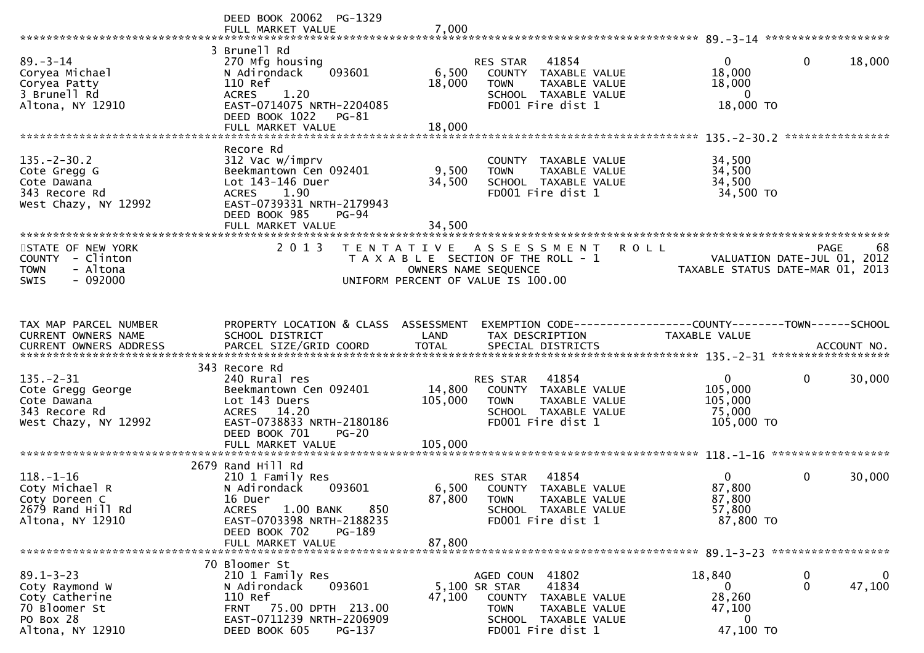|                                                                                                       | DEED BOOK 20062 PG-1329<br>FULL MARKET VALUE                                                                                                                                     | 7,000                        |                                                                                                                                                       |                                                               |                                                                               |
|-------------------------------------------------------------------------------------------------------|----------------------------------------------------------------------------------------------------------------------------------------------------------------------------------|------------------------------|-------------------------------------------------------------------------------------------------------------------------------------------------------|---------------------------------------------------------------|-------------------------------------------------------------------------------|
|                                                                                                       |                                                                                                                                                                                  |                              |                                                                                                                                                       |                                                               |                                                                               |
| $89 - 3 - 14$<br>Coryea Michael<br>Coryea Patty                                                       | 3 Brunell Rd<br>270 Mfg housing<br>093601<br>N Adirondack<br>110 Ref                                                                                                             | 6,500<br>18,000              | 41854<br><b>RES STAR</b><br>COUNTY TAXABLE VALUE<br><b>TOWN</b><br>TAXABLE VALUE                                                                      | 0<br>18,000<br>18,000                                         | $\mathbf{0}$<br>18,000                                                        |
| 3 Brunell Rd<br>Altona, NY 12910                                                                      | 1.20<br><b>ACRES</b><br>EAST-0714075 NRTH-2204085<br>DEED BOOK 1022<br>PG-81                                                                                                     |                              | SCHOOL TAXABLE VALUE<br>FD001 Fire dist 1                                                                                                             | $\bf{0}$<br>18,000 TO                                         |                                                                               |
|                                                                                                       | FULL MARKET VALUE                                                                                                                                                                | 18,000                       |                                                                                                                                                       |                                                               |                                                                               |
| $135. - 2 - 30.2$<br>Cote Gregg G<br>Cote Dawana<br>343 Recore Rd<br>West Chazy, NY 12992             | Recore Rd<br>312 Vac w/imprv<br>Beekmantown Cen 092401<br>Lot 143-146 Duer<br><b>ACRES</b><br>1.90<br>EAST-0739331 NRTH-2179943<br>DEED BOOK 985<br>$PG-94$<br>FULL MARKET VALUE | 9,500<br>34,500<br>34,500    | COUNTY TAXABLE VALUE<br><b>TOWN</b><br>TAXABLE VALUE<br>SCHOOL TAXABLE VALUE<br>FD001 Fire dist 1                                                     | 34,500<br>34,500<br>34,500<br>34,500 TO                       |                                                                               |
|                                                                                                       |                                                                                                                                                                                  |                              |                                                                                                                                                       |                                                               |                                                                               |
| STATE OF NEW YORK<br>COUNTY - Clinton<br>- Altona<br><b>TOWN</b><br>$-092000$<br>SWIS                 | 2 0 1 3                                                                                                                                                                          | T E N T A T I V E            | A S S E S S M E N T<br>T A X A B L E SECTION OF THE ROLL - 1<br>OWNERS NAME SEQUENCE<br>UNIFORM PERCENT OF VALUE IS 100.00                            | <b>ROLL</b>                                                   | PAGE<br>68<br>VALUATION DATE-JUL 01, 2012<br>TAXABLE STATUS DATE-MAR 01, 2013 |
| TAX MAP PARCEL NUMBER                                                                                 | PROPERTY LOCATION & CLASS ASSESSMENT                                                                                                                                             |                              |                                                                                                                                                       | EXEMPTION CODE-----------------COUNTY--------TOWN------SCHOOL |                                                                               |
| CURRENT OWNERS NAME                                                                                   | SCHOOL DISTRICT                                                                                                                                                                  | LAND                         | TAX DESCRIPTION                                                                                                                                       | TAXABLE VALUE                                                 |                                                                               |
|                                                                                                       | 343 Recore Rd                                                                                                                                                                    |                              |                                                                                                                                                       |                                                               |                                                                               |
| $135. - 2 - 31$<br>Cote Gregg George<br>Cote Dawana<br>343 Recore Rd<br>West Chazy, NY 12992          | 240 Rural res<br>Beekmantown Cen 092401<br>Lot 143 Duers<br>ACRES 14.20<br>EAST-0738833 NRTH-2180186<br>DEED BOOK 701<br>$PG-20$<br>FULL MARKET VALUE                            | 14,800<br>105,000<br>105,000 | RES STAR<br>41854<br>COUNTY TAXABLE VALUE<br><b>TOWN</b><br>TAXABLE VALUE<br>SCHOOL TAXABLE VALUE<br>FD001 Fire dist 1                                | $\mathbf{0}$<br>105,000<br>105,000<br>75,000<br>105,000 TO    | $\mathbf 0$<br>30,000                                                         |
|                                                                                                       |                                                                                                                                                                                  |                              |                                                                                                                                                       |                                                               |                                                                               |
| $118. - 1 - 16$<br>Coty Michael R<br>Coty Doreen C<br>2679 Rand Hill Rd<br>Altona, NY 12910           | 2679 Rand Hill Rd<br>210 1 Family Res<br>N Adirondack<br>093601<br>16 Duer<br>1.00 BANK<br><b>ACRES</b><br>850<br>EAST-0703398 NRTH-2188235<br>DEED BOOK 702<br><b>PG-189</b>    | 6,500<br>87,800              | RES STAR<br>41854<br>COUNTY TAXABLE VALUE<br><b>TOWN</b><br>TAXABLE VALUE<br>SCHOOL TAXABLE VALUE<br>FD001 Fire dist 1                                | 0 <sup>1</sup><br>87,800<br>87,800<br>57,800<br>87,800 TO     | $\mathbf 0$<br>30,000                                                         |
|                                                                                                       | FULL MARKET VALUE                                                                                                                                                                | 87,800                       |                                                                                                                                                       |                                                               |                                                                               |
|                                                                                                       | 70 Bloomer St                                                                                                                                                                    |                              |                                                                                                                                                       |                                                               |                                                                               |
| $89.1 - 3 - 23$<br>Coty Raymond W<br>Coty Catherine<br>70 Bloomer St<br>PO Box 28<br>Altona, NY 12910 | 210 1 Family Res<br>093601<br>N Adirondack<br>110 Ref<br>FRNT 75.00 DPTH 213.00<br>EAST-0711239 NRTH-2206909<br>DEED BOOK 605<br>PG-137                                          | 47,100                       | AGED COUN 41802<br>41834<br>5,100 SR STAR<br>COUNTY TAXABLE VALUE<br><b>TOWN</b><br><b>TAXABLE VALUE</b><br>SCHOOL TAXABLE VALUE<br>FD001 Fire dist 1 | 18,840<br>0<br>28,260<br>47,100<br>$\bf{0}$<br>47,100 TO      | $\mathbf{0}$<br>$\bf{0}$<br>47,100<br>$\mathbf 0$                             |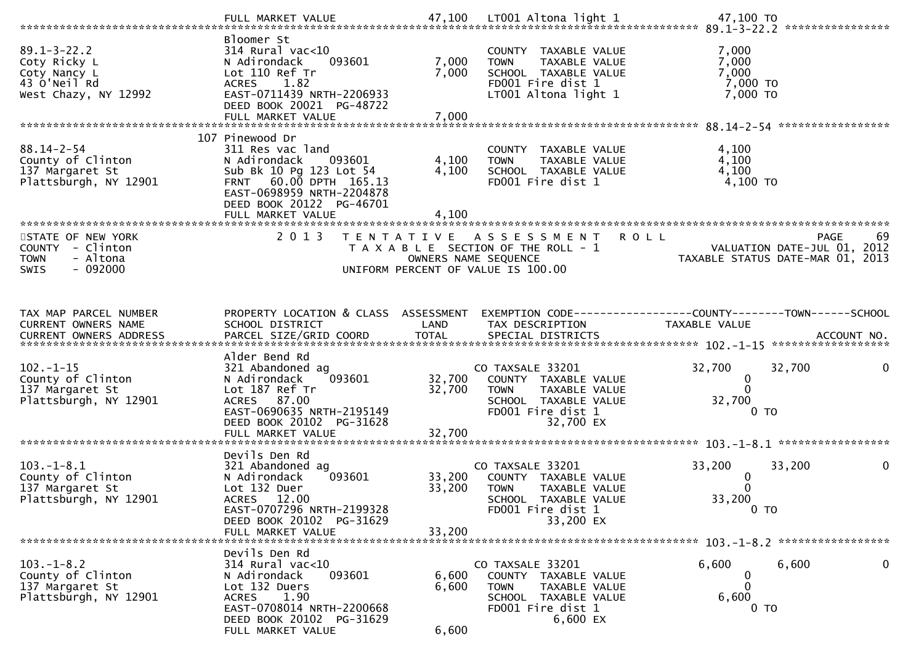|                                                                   | Bloomer St                                                                             |                |                                                                                                   |                                                                                                          |
|-------------------------------------------------------------------|----------------------------------------------------------------------------------------|----------------|---------------------------------------------------------------------------------------------------|----------------------------------------------------------------------------------------------------------|
| $89.1 - 3 - 22.2$<br>Coty Ricky L<br>Coty Nancy L<br>43 O'Neil Rd | $314$ Rural vac<10<br>N Adirondack<br>093601<br>Lot 110 Ref Tr<br>1.82<br><b>ACRES</b> | 7,000<br>7,000 | COUNTY TAXABLE VALUE<br>TAXABLE VALUE<br><b>TOWN</b><br>SCHOOL TAXABLE VALUE<br>FD001 Fire dist 1 | 7,000<br>7,000<br>7,000<br>7,000 TO                                                                      |
| West Chazy, NY 12992                                              | EAST-0711439 NRTH-2206933<br>DEED BOOK 20021 PG-48722                                  |                | LT001 Altona light 1                                                                              | $7,000$ TO                                                                                               |
|                                                                   |                                                                                        |                |                                                                                                   |                                                                                                          |
|                                                                   | 107 Pinewood Dr                                                                        |                |                                                                                                   |                                                                                                          |
| $88.14 - 2 - 54$<br>County of Clinton                             | 311 Res vac land<br>N Adirondack<br>093601                                             | 4,100          | COUNTY TAXABLE VALUE<br>TAXABLE VALUE<br><b>TOWN</b>                                              | 4,100<br>4,100                                                                                           |
| 137 Margaret St                                                   | Sub Bk 10 Pg 123 Lot 54                                                                | 4,100          | SCHOOL TAXABLE VALUE                                                                              | 4,100                                                                                                    |
| Plattsburgh, NY 12901                                             | FRNT 60.00 DPTH 165.13<br>EAST-0698959 NRTH-2204878<br>DEED BOOK 20122 PG-46701        |                | FD001 Fire dist 1                                                                                 | 4,100 TO                                                                                                 |
|                                                                   | FULL MARKET VALUE<br>***************************                                       | 4,100          |                                                                                                   |                                                                                                          |
| STATE OF NEW YORK                                                 | 2 0 1 3                                                                                |                | TENTATIVE ASSESSMENT                                                                              | 69<br><b>ROLL</b><br><b>PAGE</b>                                                                         |
| COUNTY - Clinton                                                  |                                                                                        |                | T A X A B L E SECTION OF THE ROLL - 1                                                             | VALUATION DATE-JUL 01, 2012                                                                              |
| - Altona<br><b>TOWN</b>                                           |                                                                                        |                | OWNERS NAME SEQUENCE                                                                              | TAXABLE STATUS DATE-MAR 01, 2013                                                                         |
| $-092000$<br>SWIS                                                 |                                                                                        |                | UNIFORM PERCENT OF VALUE IS 100.00                                                                |                                                                                                          |
|                                                                   |                                                                                        |                |                                                                                                   |                                                                                                          |
|                                                                   |                                                                                        |                |                                                                                                   |                                                                                                          |
| TAX MAP PARCEL NUMBER<br>CURRENT OWNERS NAME                      | PROPERTY LOCATION & CLASS ASSESSMENT<br>SCHOOL DISTRICT                                | LAND           | TAX DESCRIPTION                                                                                   | EXEMPTION CODE------------------COUNTY--------TOWN------SCHOOL<br>TAXABLE VALUE                          |
|                                                                   |                                                                                        |                |                                                                                                   |                                                                                                          |
|                                                                   |                                                                                        |                |                                                                                                   |                                                                                                          |
|                                                                   |                                                                                        |                |                                                                                                   | CURRENT OWNERS ADDRESS PARCEL SIZE/GRID COORD TOTAL SPECIAL DISTRICTS (2011) 10. ACCOUNT NO. ACCOUNT NO. |
|                                                                   | Alder Bend Rd                                                                          |                |                                                                                                   |                                                                                                          |
| $102. - 1 - 15$                                                   | 321 Abandoned ag                                                                       |                | CO TAXSALE 33201                                                                                  | 32,700<br>32,700<br>0                                                                                    |
| County of Clinton                                                 | 093601<br>N Adirondack                                                                 | 32,700         | COUNTY TAXABLE VALUE<br><b>TOWN</b>                                                               | 0<br>$\Omega$                                                                                            |
| 137 Margaret St<br>Plattsburgh, NY 12901                          | Lot 187 Ref Tr<br>ACRES 87.00                                                          | 32,700         | TAXABLE VALUE<br>SCHOOL TAXABLE VALUE                                                             | 32,700                                                                                                   |
|                                                                   | EAST-0690635 NRTH-2195149                                                              |                | FD001 Fire dist 1                                                                                 | 0 <sub>T</sub>                                                                                           |
|                                                                   | DEED BOOK 20102 PG-31628                                                               |                | 32,700 EX                                                                                         |                                                                                                          |
|                                                                   | FULL MARKET VALUE                                                                      | 32,700         |                                                                                                   |                                                                                                          |
|                                                                   | Devils Den Rd                                                                          |                |                                                                                                   |                                                                                                          |
| $103.-1-8.1$                                                      | 321 Abandoned ag                                                                       |                | CO TAXSALE 33201                                                                                  | 33,200<br>33,200<br>0                                                                                    |
| County of Clinton                                                 | N Adirondack<br>093601                                                                 | 33,200         | COUNTY TAXABLE VALUE                                                                              | 0                                                                                                        |
| 137 Margaret St<br>Plattsburgh, NY 12901                          | Lot 132 Duer<br>ACRES 12.00                                                            | 33,200         | <b>TOWN</b><br>TAXABLE VALUE<br>SCHOOL TAXABLE VALUE                                              | 33,200                                                                                                   |
|                                                                   | EAST-0707296 NRTH-2199328                                                              |                | FD001 Fire dist 1                                                                                 | $0$ TO                                                                                                   |
|                                                                   | DEED BOOK 20102 PG-31629                                                               |                | 33,200 EX                                                                                         |                                                                                                          |
|                                                                   | FULL MARKET VALUE                                                                      | 33,200         |                                                                                                   |                                                                                                          |
|                                                                   | Devils Den Rd                                                                          |                |                                                                                                   |                                                                                                          |
| $103. -1 - 8.2$                                                   | $314$ Rural vac<10                                                                     |                | CO TAXSALE 33201                                                                                  | $\mathbf 0$<br>6,600<br>6,600                                                                            |
| County of Clinton                                                 | 093601<br>N Adirondack                                                                 | 6,600          | COUNTY TAXABLE VALUE                                                                              | 0<br>∩                                                                                                   |
| 137 Margaret St<br>Plattsburgh, NY 12901                          | Lot 132 Duers<br>1.90<br><b>ACRES</b>                                                  | 6,600          | <b>TOWN</b><br>TAXABLE VALUE<br>SCHOOL TAXABLE VALUE                                              | 6,600                                                                                                    |
|                                                                   | EAST-0708014 NRTH-2200668                                                              |                | FD001 Fire dist 1                                                                                 | 0 <sub>T</sub>                                                                                           |
|                                                                   | DEED BOOK 20102 PG-31629<br>FULL MARKET VALUE                                          | 6,600          | 6,600 EX                                                                                          |                                                                                                          |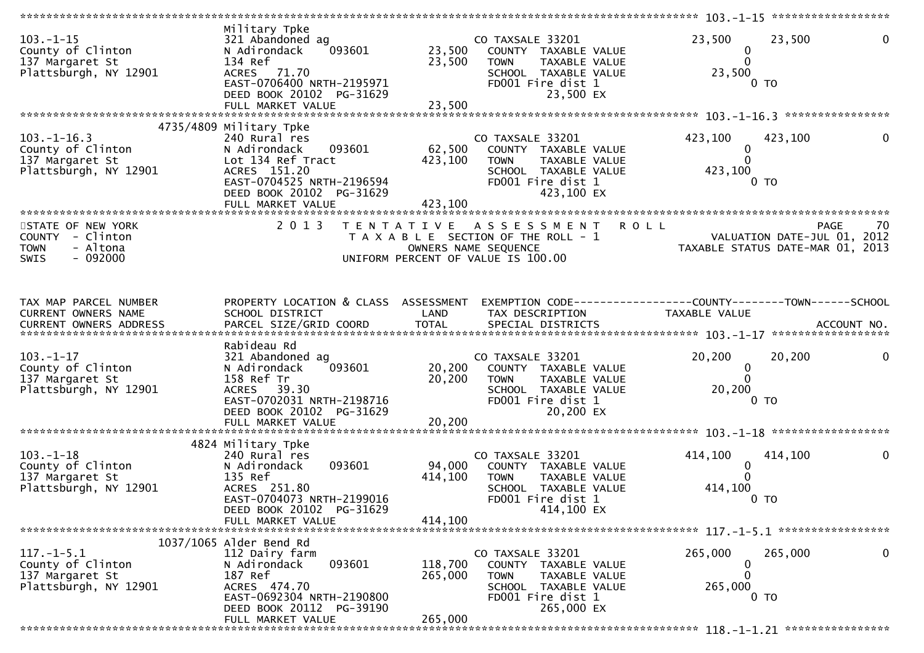|                                                                                   | **********************                                                                                                                                              |                            |                                                                                                                                     | ***************** 103.-1-15 ******************                                  |             |
|-----------------------------------------------------------------------------------|---------------------------------------------------------------------------------------------------------------------------------------------------------------------|----------------------------|-------------------------------------------------------------------------------------------------------------------------------------|---------------------------------------------------------------------------------|-------------|
| $103 - 1 - 15$<br>County of Clinton<br>137 Margaret St<br>Plattsburgh, NY 12901   | Military Tpke<br>321 Abandoned ag<br>N Adirondack<br>093601<br>134 Ref<br>ACRES 71.70<br>EAST-0706400 NRTH-2195971<br>DEED BOOK 20102 PG-31629<br>FULL MARKET VALUE | 23,500<br>23,500<br>23,500 | CO TAXSALE 33201<br>COUNTY TAXABLE VALUE<br><b>TOWN</b><br>TAXABLE VALUE<br>SCHOOL TAXABLE VALUE<br>FD001 Fire dist 1<br>23,500 EX  | 23,500<br>23,500<br>$\mathbf 0$<br>$\Omega$<br>23,500<br>0 <sub>T</sub>         |             |
|                                                                                   |                                                                                                                                                                     |                            |                                                                                                                                     |                                                                                 |             |
| $103. -1 - 16.3$<br>County of Clinton<br>137 Margaret St<br>Plattsburgh, NY 12901 | 4735/4809 Military Tpke<br>240 Rural res<br>093601<br>N Adirondack<br>Lot 134 Ref Tract<br>ACRES 151.20<br>EAST-0704525 NRTH-2196594<br>DEED BOOK 20102 PG-31629    | 62,500<br>423,100          | CO TAXSALE 33201<br>COUNTY TAXABLE VALUE<br><b>TOWN</b><br>TAXABLE VALUE<br>SCHOOL TAXABLE VALUE<br>FD001 Fire dist 1<br>423,100 EX | 423,100<br>423,100<br>$\bf{0}$<br>423,100<br>0 TO                               |             |
| STATE OF NEW YORK<br>COUNTY - Clinton                                             | 2 0 1 3                                                                                                                                                             |                            | TENTATIVE ASSESSMENT<br>T A X A B L E SECTION OF THE ROLL - 1                                                                       | <b>ROLL</b><br><b>PAGE</b>                                                      | 70          |
| - Altona<br><b>TOWN</b><br>$-092000$<br><b>SWIS</b>                               |                                                                                                                                                                     |                            | OWNERS NAME SEQUENCE<br>UNIFORM PERCENT OF VALUE IS 100.00                                                                          | VALUATION DATE-JUL 01, 2012<br>TAXABLE STATUS DATE-MAR 01, 2013                 |             |
| TAX MAP PARCEL NUMBER<br>CURRENT OWNERS NAME                                      | PROPERTY LOCATION & CLASS ASSESSMENT<br>SCHOOL DISTRICT                                                                                                             | LAND                       | TAX DESCRIPTION                                                                                                                     | EXEMPTION CODE------------------COUNTY--------TOWN------SCHOOL<br>TAXABLE VALUE |             |
| $103. - 1 - 17$<br>County of Clinton<br>137 Margaret St<br>Plattsburgh, NY 12901  | Rabideau Rd<br>321 Abandoned ag<br>093601<br>N Adirondack<br>158 Ref Tr<br>ACRES 39.30<br>EAST-0702031 NRTH-2198716<br>DEED BOOK 20102 PG-31629                     | 20,200<br>20,200           | CO TAXSALE 33201<br>COUNTY TAXABLE VALUE<br><b>TOWN</b><br>TAXABLE VALUE<br>SCHOOL TAXABLE VALUE<br>FD001 Fire dist 1<br>20,200 EX  | 20,200<br>20,200<br>$\mathbf 0$<br>$\Omega$<br>20,200<br>0 <sub>T</sub>         | 0           |
|                                                                                   | FULL MARKET VALUE                                                                                                                                                   | 20,200                     |                                                                                                                                     |                                                                                 |             |
|                                                                                   | 4824 Military Tpke                                                                                                                                                  |                            |                                                                                                                                     |                                                                                 |             |
| $103. - 1 - 18$<br>County of Clinton<br>137 Margaret St<br>Plattsburgh, NY 12901  | 240 Rural res<br>093601<br>N Adirondack<br>135 Ref<br>ACRES 251.80<br>EAST-0704073 NRTH-2199016<br>DEED BOOK 20102 PG-31629                                         | 94,000<br>414,100          | CO TAXSALE 33201<br>COUNTY TAXABLE VALUE<br><b>TOWN</b><br>TAXABLE VALUE<br>SCHOOL TAXABLE VALUE<br>FD001 Fire dist 1<br>414,100 EX | 414,100<br>414,100<br>$\bf{0}$<br>414,100<br>0 <sub>T</sub>                     |             |
|                                                                                   | FULL MARKET VALUE                                                                                                                                                   | 414,100                    |                                                                                                                                     |                                                                                 |             |
|                                                                                   | 1037/1065 Alder Bend Rd                                                                                                                                             |                            |                                                                                                                                     |                                                                                 |             |
| $117. - 1 - 5.1$<br>County of Clinton<br>137 Margaret St<br>Plattsburgh, NY 12901 | 112 Dairy farm<br>093601<br>N Adirondack<br>187 Ref<br>ACRES 474.70<br>EAST-0692304 NRTH-2190800<br>DEED BOOK 20112 PG-39190                                        | 118,700<br>265,000         | CO TAXSALE 33201<br>COUNTY TAXABLE VALUE<br><b>TOWN</b><br>TAXABLE VALUE<br>SCHOOL TAXABLE VALUE<br>FD001 Fire dist 1<br>265,000 EX | 265,000<br>265,000<br>0<br>265,000<br>0 <sub>T</sub>                            | $\mathbf 0$ |
|                                                                                   | FULL MARKET VALUE                                                                                                                                                   | 265,000                    |                                                                                                                                     |                                                                                 |             |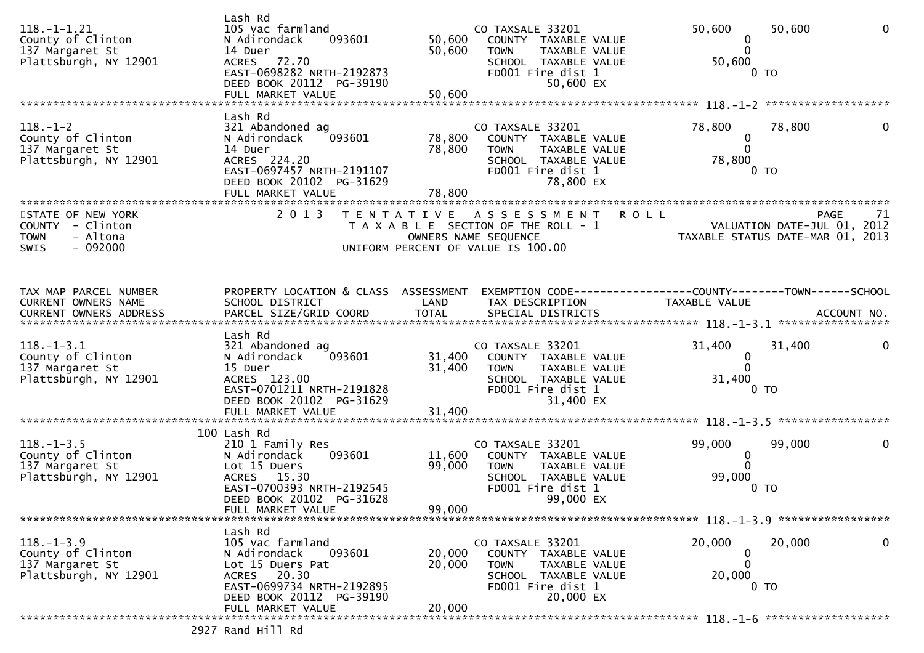| $118. - 1 - 1.21$<br>County of Clinton<br>137 Margaret St<br>Plattsburgh, NY 12901 | Lash Rd<br>105 Vac farmland<br>093601<br>N Adirondack<br>14 Duer<br>ACRES 72.70<br>EAST-0698282 NRTH-2192873<br>DEED BOOK 20112 PG-39190<br>FULL MARKET VALUE          | 50,600<br>50,600<br>50,600 | CO TAXSALE 33201<br>COUNTY TAXABLE VALUE<br>TAXABLE VALUE<br><b>TOWN</b><br>SCHOOL TAXABLE VALUE<br>FD001 Fire dist 1<br>50,600 EX        | 50,600<br>$\bf{0}$<br>$\Omega$<br>50,600<br>0 TO              | 50,600<br>$\Omega$               |
|------------------------------------------------------------------------------------|------------------------------------------------------------------------------------------------------------------------------------------------------------------------|----------------------------|-------------------------------------------------------------------------------------------------------------------------------------------|---------------------------------------------------------------|----------------------------------|
|                                                                                    | Lash Rd                                                                                                                                                                |                            |                                                                                                                                           |                                                               |                                  |
| $118. - 1 - 2$<br>County of Clinton<br>137 Margaret St<br>Plattsburgh, NY 12901    | 321 Abandoned ag<br>093601<br>N Adirondack<br>14 Duer<br>ACRES 224.20<br>EAST-0697457 NRTH-2191107<br>DEED BOOK 20102 PG-31629<br>FULL MARKET VALUE                    | 78,800<br>78,800<br>78,800 | CO TAXSALE 33201<br>COUNTY TAXABLE VALUE<br><b>TOWN</b><br>TAXABLE VALUE<br>SCHOOL TAXABLE VALUE<br>FD001 Fire dist 1<br>78,800 EX        | 78,800<br>$\mathbf 0$<br>$\mathbf{0}$<br>78,800<br>0 TO       | 78,800<br>0                      |
| STATE OF NEW YORK                                                                  | 2 0 1 3                                                                                                                                                                |                            | TENTATIVE ASSESSMENT                                                                                                                      | <b>ROLL</b>                                                   | <b>PAGE</b><br>71                |
| COUNTY - Clinton<br>- Altona<br><b>TOWN</b><br>$-092000$<br><b>SWIS</b>            |                                                                                                                                                                        |                            | T A X A B L E SECTION OF THE ROLL - 1<br>OWNERS NAME SEQUENCE<br>UNIFORM PERCENT OF VALUE IS 100.00                                       | VALUATION DATE-JUL 01, 2012                                   | TAXABLE STATUS DATE-MAR 01, 2013 |
| TAX MAP PARCEL NUMBER                                                              | PROPERTY LOCATION & CLASS ASSESSMENT                                                                                                                                   |                            |                                                                                                                                           |                                                               |                                  |
| CURRENT OWNERS NAME                                                                | SCHOOL DISTRICT                                                                                                                                                        | LAND                       | TAX DESCRIPTION                                                                                                                           | TAXABLE VALUE                                                 |                                  |
| $118.-1-3.1$<br>County of Clinton<br>137 Margaret St<br>Plattsburgh, NY 12901      | Lash Rd<br>321 Abandoned ag<br>N Adirondack<br>093601<br>15 Duer<br>ACRES 123.00<br>EAST-0701211 NRTH-2191828<br>DEED BOOK 20102 PG-31629                              | 31,400                     | CO TAXSALE 33201<br>31,400 COUNTY TAXABLE VALUE<br><b>TOWN</b><br>TAXABLE VALUE<br>SCHOOL TAXABLE VALUE<br>FD001 Fire dist 1<br>31,400 EX | 31,400<br>$\mathbf 0$<br>$\Omega$<br>31,400<br>0 <sub>T</sub> | 31,400<br>0                      |
|                                                                                    |                                                                                                                                                                        |                            |                                                                                                                                           |                                                               |                                  |
| $118. - 1 - 3.5$<br>County of Clinton<br>137 Margaret St<br>Plattsburgh, NY 12901  | 100 Lash Rd<br>210 1 Family Res<br>093601<br>N Adirondack<br>Lot 15 Duers<br>ACRES 15.30<br>EAST-0700393 NRTH-2192545<br>DEED BOOK 20102 PG-31628<br>FULL MARKET VALUE | 11,600<br>99,000<br>99,000 | CO TAXSALE 33201<br>COUNTY TAXABLE VALUE<br><b>TOWN</b><br>TAXABLE VALUE<br>SCHOOL TAXABLE VALUE<br>FD001 Fire dist 1<br>99,000 EX        | 99,000<br>$\mathbf 0$<br>$\Omega$<br>99,000<br>0 <sub>T</sub> | 99,000<br>0                      |
|                                                                                    |                                                                                                                                                                        |                            |                                                                                                                                           |                                                               |                                  |
| $118. - 1 - 3.9$<br>County of Clinton<br>137 Margaret St<br>Plattsburgh, NY 12901  | Lash Rd<br>105 Vac farmland<br>093601<br>N Adirondack<br>Lot 15 Duers Pat<br>ACRES 20.30<br>EAST-0699734 NRTH-2192895<br>DEED BOOK 20112 PG-39190<br>FULL MARKET VALUE | 20,000<br>20,000<br>20,000 | CO TAXSALE 33201<br>COUNTY TAXABLE VALUE<br>TAXABLE VALUE<br><b>TOWN</b><br>SCHOOL TAXABLE VALUE<br>FD001 Fire dist 1<br>20,000 EX        | 20,000<br>0<br>0<br>20,000<br>0 <sub>T</sub>                  | 20,000<br>0                      |
|                                                                                    |                                                                                                                                                                        |                            |                                                                                                                                           |                                                               |                                  |

2927 Rand Hill Rd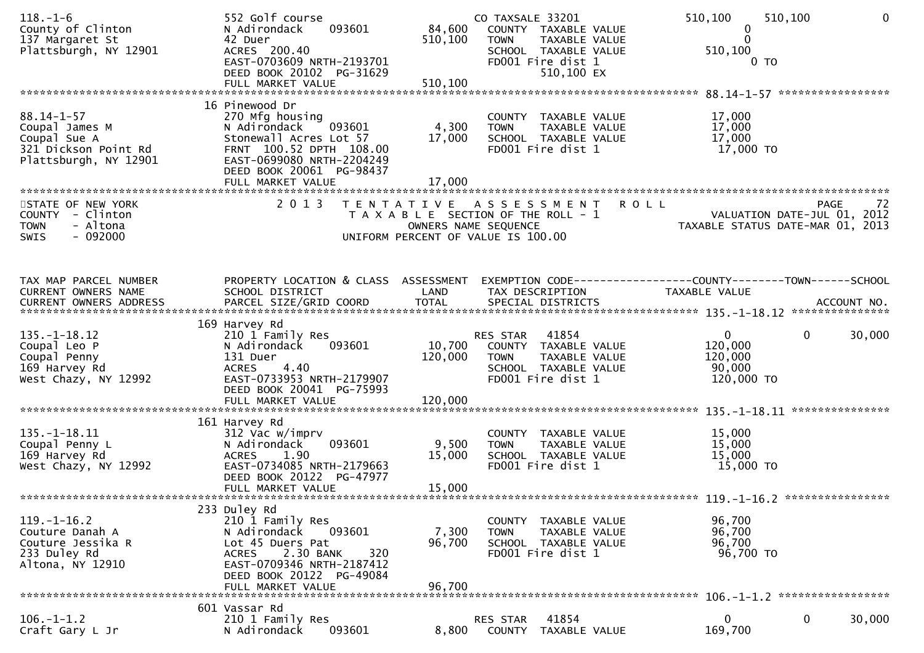| $118. - 1 - 6$<br>County of Clinton<br>137 Margaret St<br>Plattsburgh, NY 12901                     | 552 Golf course<br>093601<br>N Adirondack<br>42 Duer<br>ACRES 200.40<br>EAST-0703609 NRTH-2193701<br>DEED BOOK 20102 PG-31629<br>FULL MARKET VALUE                                               | 84,600<br>510,100<br>510,100                                                | CO TAXSALE 33201<br><b>TOWN</b><br>FD001 Fire dist 1 | COUNTY TAXABLE VALUE<br>TAXABLE VALUE<br>SCHOOL TAXABLE VALUE<br>510,100 EX | 510,100<br>0<br>$\Omega$<br>510,100                        | 510,100<br>0 TO             | $\Omega$ |
|-----------------------------------------------------------------------------------------------------|--------------------------------------------------------------------------------------------------------------------------------------------------------------------------------------------------|-----------------------------------------------------------------------------|------------------------------------------------------|-----------------------------------------------------------------------------|------------------------------------------------------------|-----------------------------|----------|
|                                                                                                     | 16 Pinewood Dr                                                                                                                                                                                   |                                                                             |                                                      |                                                                             |                                                            |                             |          |
| $88.14 - 1 - 57$<br>Coupal James M<br>Coupal Sue A<br>321 Dickson Point Rd<br>Plattsburgh, NY 12901 | 270 Mfg housing<br>093601<br>N Adirondack<br>Stonewall Acres Lot 57<br>FRNT 100.52 DPTH 108.00<br>EAST-0699080 NRTH-2204249<br>DEED BOOK 20061 PG-98437<br>FULL MARKET VALUE                     | 4,300<br>17,000<br>17,000                                                   | <b>TOWN</b><br>FD001 Fire dist 1                     | COUNTY TAXABLE VALUE<br>TAXABLE VALUE<br>SCHOOL TAXABLE VALUE               | 17,000<br>17,000<br>17,000<br>17,000 TO                    |                             |          |
| STATE OF NEW YORK                                                                                   | 2 0 1 3                                                                                                                                                                                          | T E N T A T I V E                                                           | A S S E S S M E N T                                  |                                                                             | <b>ROLL</b>                                                | PAGE                        | -72      |
| COUNTY - Clinton<br>- Altona<br><b>TOWN</b><br>$-092000$<br>SWIS                                    |                                                                                                                                                                                                  | T A X A B L E SECTION OF THE ROLL - 1<br>UNIFORM PERCENT OF VALUE IS 100.00 | OWNERS NAME SEQUENCE                                 |                                                                             | TAXABLE STATUS DATE-MAR 01, 2013                           | VALUATION DATE-JUL 01, 2012 |          |
|                                                                                                     |                                                                                                                                                                                                  |                                                                             |                                                      |                                                                             |                                                            |                             |          |
| TAX MAP PARCEL NUMBER<br>CURRENT OWNERS NAME                                                        | PROPERTY LOCATION & CLASS ASSESSMENT<br>SCHOOL DISTRICT                                                                                                                                          | LAND                                                                        | TAX DESCRIPTION                                      |                                                                             | TAXABLE VALUE                                              |                             |          |
|                                                                                                     | 169 Harvey Rd                                                                                                                                                                                    |                                                                             |                                                      |                                                                             |                                                            |                             |          |
| $135. - 1 - 18.12$<br>Coupal Leo P<br>Coupal Penny<br>169 Harvey Rd<br>West Chazy, NY 12992         | 210 1 Family Res<br>093601<br>N Adirondack<br>131 Duer<br>4.40<br><b>ACRES</b><br>EAST-0733953 NRTH-2179907<br>DEED BOOK 20041 PG-75993                                                          | 10,700<br>120,000                                                           | RES STAR 41854<br><b>TOWN</b><br>FD001 Fire dist 1   | COUNTY TAXABLE VALUE<br>TAXABLE VALUE<br>SCHOOL TAXABLE VALUE               | $\mathbf{0}$<br>120,000<br>120,000<br>90,000<br>120,000 TO | $\mathbf{0}$                | 30,000   |
|                                                                                                     |                                                                                                                                                                                                  |                                                                             |                                                      |                                                                             |                                                            |                             |          |
|                                                                                                     | 161 Harvey Rd                                                                                                                                                                                    |                                                                             |                                                      |                                                                             |                                                            |                             |          |
| $135. - 1 - 18.11$<br>Coupal Penny L<br>169 Harvey Rd<br>West Chazy, NY 12992                       | 312 Vac w/imprv<br>093601<br>N Adirondack<br>1.90<br><b>ACRES</b><br>EAST-0734085 NRTH-2179663<br>DEED BOOK 20122 PG-47977<br>FULL MARKET VALUE                                                  | 9,500<br>15,000<br>15,000                                                   | <b>TOWN</b><br>FD001 Fire dist 1                     | COUNTY TAXABLE VALUE<br>TAXABLE VALUE<br>SCHOOL TAXABLE VALUE               | 15,000<br>15,000<br>15,000<br>15,000 TO                    |                             |          |
|                                                                                                     |                                                                                                                                                                                                  |                                                                             |                                                      |                                                                             |                                                            |                             |          |
| $119. - 1 - 16.2$<br>Couture Danah A<br>Couture Jessika R<br>233 Duley Rd<br>Altona, NY 12910       | 233 Duley Rd<br>210 1 Family Res<br>N Adirondack<br>093601<br>Lot 45 Duers Pat<br>2.30 BANK<br>320<br><b>ACRES</b><br>EAST-0709346 NRTH-2187412<br>DEED BOOK 20122 PG-49084<br>FULL MARKET VALUE | 7,300<br>96,700<br>96.700                                                   | <b>TOWN</b><br>FD001 Fire dist 1                     | COUNTY TAXABLE VALUE<br>TAXABLE VALUE<br>SCHOOL TAXABLE VALUE               | 96,700<br>96,700<br>96,700<br>96,700 TO                    |                             |          |
|                                                                                                     | 601 Vassar Rd                                                                                                                                                                                    |                                                                             |                                                      |                                                                             |                                                            |                             |          |
| $106. - 1 - 1.2$<br>Craft Gary L Jr                                                                 | 210 1 Family Res<br>N Adirondack<br>093601                                                                                                                                                       | 8,800                                                                       | RES STAR<br><b>COUNTY</b>                            | 41854<br>TAXABLE VALUE                                                      | 0<br>169,700                                               | 0                           | 30,000   |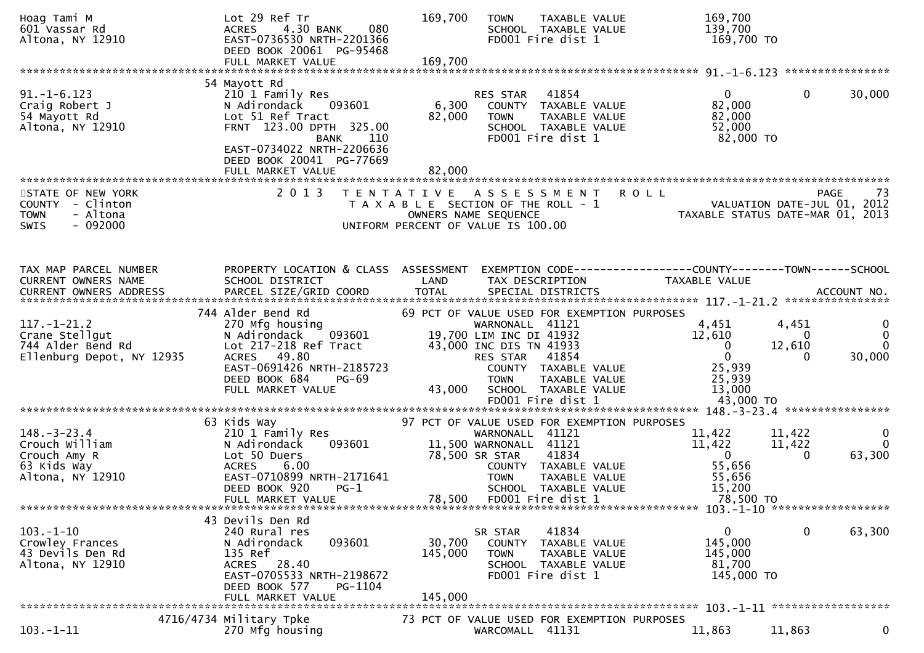| Hoag Tami M<br>601 Vassar Rd<br>Altona, NY 12910                                             | Lot 29 Ref Tr<br>4.30 BANK<br>080<br><b>ACRES</b><br>EAST-0736530 NRTH-2201366<br>DEED BOOK 20061 PG-95468<br>FULL MARKET VALUE                                          | 169,700<br>TAXABLE VALUE<br><b>TOWN</b><br>SCHOOL TAXABLE VALUE<br>FD001 Fire dist 1<br>169,700                                                                   | 169,700<br>139,700<br>169,700 TO                                                                                                       |
|----------------------------------------------------------------------------------------------|--------------------------------------------------------------------------------------------------------------------------------------------------------------------------|-------------------------------------------------------------------------------------------------------------------------------------------------------------------|----------------------------------------------------------------------------------------------------------------------------------------|
|                                                                                              | 54 Mayott Rd                                                                                                                                                             |                                                                                                                                                                   |                                                                                                                                        |
| $91. - 1 - 6.123$<br>Craig Robert J<br>54 Mayott Rd<br>Altona, NY 12910                      | 210 1 Family Res<br>093601<br>N Adirondack<br>Lot 51 Ref Tract<br>FRNT 123.00 DPTH 325.00<br>110<br><b>BANK</b><br>EAST-0734022 NRTH-2206636<br>DEED BOOK 20041 PG-77669 | 41854<br>RES STAR<br>6,300<br>COUNTY TAXABLE VALUE<br>82,000<br><b>TOWN</b><br>TAXABLE VALUE<br>SCHOOL TAXABLE VALUE<br>FD001 Fire dist 1                         | 30,000<br>$\mathbf{0}$<br>$\mathbf{0}$<br>82,000<br>82,000<br>52,000<br>82,000 TO                                                      |
|                                                                                              | FULL MARKET VALUE                                                                                                                                                        | 82,000                                                                                                                                                            |                                                                                                                                        |
| STATE OF NEW YORK<br>COUNTY - Clinton<br>- Altona<br><b>TOWN</b><br>$-092000$<br><b>SWIS</b> | 2 0 1 3                                                                                                                                                                  | A S S E S S M E N T R O L L<br>T E N T A T I V E<br>T A X A B L E SECTION OF THE ROLL - 1<br>OWNERS NAME SEQUENCE<br>UNIFORM PERCENT OF VALUE IS 100.00           | PAGE<br>-73<br>VALUATION DATE-JUL 01, 2012<br>TAXABLE STATUS DATE-MAR 01, 2013                                                         |
|                                                                                              |                                                                                                                                                                          |                                                                                                                                                                   |                                                                                                                                        |
| TAX MAP PARCEL NUMBER<br>CURRENT OWNERS NAME<br><b>CURRENT OWNERS ADDRESS</b>                | PROPERTY LOCATION & CLASS ASSESSMENT<br>SCHOOL DISTRICT<br>PARCEL SIZE/GRID COORD                                                                                        | LAND<br>TAX DESCRIPTION<br><b>TOTAL</b><br>SPECIAL DISTRICTS                                                                                                      | EXEMPTION CODE-----------------COUNTY--------TOWN------SCHOOL<br>TAXABLE VALUE<br>ACCOUNT NO.                                          |
| $117.-1-21.2$<br>Crane Stellgut<br>744 Alder Bend Rd<br>Ellenburg Depot, NY 12935            | 744 Alder Bend Rd<br>270 Mfg housing<br>093601<br>N Adirondack<br>Lot 217-218 Ref Tract<br>ACRES 49.80<br>EAST-0691426 NRTH-2185723                                      | 69 PCT OF VALUE USED FOR EXEMPTION PURPOSES<br>WARNONALL 41121<br>19,700 LIM INC DI 41932<br>43,000 INC DIS TN 41933<br>RES STAR<br>41854<br>COUNTY TAXABLE VALUE | 4,451<br>4,451<br>$\mathbf 0$<br>$\mathbf{0}$<br>12,610<br>0<br>$\mathbf{0}$<br>12,610<br>0<br>$\overline{0}$<br>30,000<br>0<br>25,939 |
|                                                                                              | DEED BOOK 684<br>PG-69<br>FULL MARKET VALUE                                                                                                                              | <b>TOWN</b><br>TAXABLE VALUE<br>43,000<br>SCHOOL TAXABLE VALUE                                                                                                    | 25,939<br>13,000                                                                                                                       |
|                                                                                              | 63 Kids Way                                                                                                                                                              | 97 PCT OF VALUE USED FOR EXEMPTION PURPOSES                                                                                                                       |                                                                                                                                        |
| $148. - 3 - 23.4$<br>Crouch William<br>Crouch Amy R<br>63 Kids Way<br>Altona, NY 12910       | 210 1 Family Res<br>093601<br>N Adirondack<br>Lot 50 Duers<br><b>ACRES</b><br>6.00<br>EAST-0710899 NRTH-2171641<br>DEED BOOK 920<br>$PG-1$                               | WARNONALL 41121<br>11,500 WARNONALL 41121<br>41834<br>78,500 SR STAR<br>COUNTY TAXABLE VALUE<br><b>TOWN</b><br>TAXABLE VALUE<br>SCHOOL TAXABLE VALUE              | 11,422<br>$\mathbf{0}$<br>11,422<br>$\mathbf 0$<br>11,422<br>11,422<br>63,300<br>$\overline{0}$<br>0<br>55,656<br>55,656<br>15,200     |
|                                                                                              | FULL MARKET VALUE                                                                                                                                                        | 78,500<br>FD001 Fire dist 1                                                                                                                                       | 78,500 TO                                                                                                                              |
|                                                                                              |                                                                                                                                                                          |                                                                                                                                                                   |                                                                                                                                        |
| $103. - 1 - 10$<br>Crowley Frances<br>43 Devils Den Rd<br>Altona, NY 12910                   | 43 Devils Den Rd<br>240 Rural res<br>093601<br>N Adirondack<br>135 Ref<br>ACRES 28.40<br>EAST-0705533 NRTH-2198672<br>DEED BOOK 577<br>PG-1104                           | 41834<br>SR STAR<br>30,700<br>COUNTY<br>TAXABLE VALUE<br>145,000<br>TAXABLE VALUE<br><b>TOWN</b><br>SCHOOL TAXABLE VALUE<br>FD001 Fire dist 1                     | 0<br>63,300<br>0<br>145,000<br>145,000<br>81,700<br>145,000 TO                                                                         |
|                                                                                              | FULL MARKET VALUE                                                                                                                                                        | 145,000                                                                                                                                                           |                                                                                                                                        |
| $103. - 1 - 11$                                                                              | 4716/4734 Military Tpke<br>270 Mfg housing                                                                                                                               | 73 PCT OF VALUE USED FOR EXEMPTION PURPOSES<br>WARCOMALL 41131                                                                                                    | 11,863<br>0<br>11,863                                                                                                                  |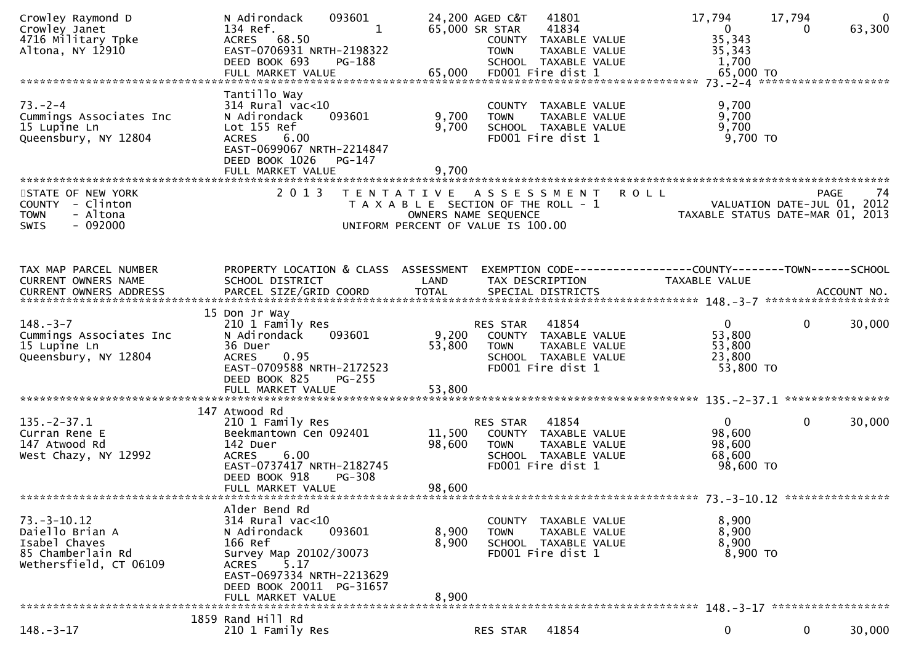| Crowley Raymond D<br>Crowley Janet<br>4716 Military Tpke<br>Altona, NY 12910                     | 093601<br>N Adirondack<br>134 Ref.<br>1<br>ACRES 68.50<br>EAST-0706931 NRTH-2198322<br>DEED BOOK 693<br>PG-188                                                                               |                                           | 24,200 AGED C&T<br>65,000 SR STAR<br><b>TOWN</b>                                                   | 41801<br>41834<br>COUNTY TAXABLE VALUE<br>TAXABLE VALUE<br>SCHOOL TAXABLE VALUE | 17,794<br>$\mathbf{0}$<br>35,343<br>35,343<br>1,700             | 17,794<br>$\Omega$ | $\mathbf{0}$<br>63,300 |
|--------------------------------------------------------------------------------------------------|----------------------------------------------------------------------------------------------------------------------------------------------------------------------------------------------|-------------------------------------------|----------------------------------------------------------------------------------------------------|---------------------------------------------------------------------------------|-----------------------------------------------------------------|--------------------|------------------------|
|                                                                                                  |                                                                                                                                                                                              |                                           |                                                                                                    |                                                                                 |                                                                 |                    |                        |
| $73. - 2 - 4$<br>Cummings Associates Inc<br>15 Lupine Ln<br>Queensbury, NY 12804                 | Tantillo Way<br>314 Rural vac<10<br>093601<br>N Adirondack<br>Lot 155 Ref<br><b>ACRES</b><br>6.00<br>EAST-0699067 NRTH-2214847<br>DEED BOOK 1026<br>PG-147<br>FULL MARKET VALUE              | 9,700<br>9,700<br>9,700                   | <b>TOWN</b><br>FD001 Fire dist 1                                                                   | COUNTY TAXABLE VALUE<br>TAXABLE VALUE<br>SCHOOL TAXABLE VALUE                   | 9,700<br>9,700<br>9,700<br>$9,700$ TO                           |                    |                        |
|                                                                                                  |                                                                                                                                                                                              |                                           |                                                                                                    |                                                                                 |                                                                 |                    |                        |
| STATE OF NEW YORK<br>COUNTY - Clinton<br>- Altona<br><b>TOWN</b><br>$-092000$<br>SWIS            | 2 0 1 3                                                                                                                                                                                      | T E N T A T I V E<br>OWNERS NAME SEQUENCE | A S S E S S M E N T<br>T A X A B L E SECTION OF THE ROLL - 1<br>UNIFORM PERCENT OF VALUE IS 100.00 | <b>ROLL</b>                                                                     | VALUATION DATE-JUL 01, 2012<br>TAXABLE STATUS DATE-MAR 01, 2013 | <b>PAGE</b>        | 74                     |
|                                                                                                  |                                                                                                                                                                                              |                                           |                                                                                                    |                                                                                 |                                                                 |                    |                        |
| TAX MAP PARCEL NUMBER<br>CURRENT OWNERS NAME                                                     | PROPERTY LOCATION & CLASS ASSESSMENT<br>SCHOOL DISTRICT                                                                                                                                      | LAND                                      | TAX DESCRIPTION                                                                                    |                                                                                 | TAXABLE VALUE                                                   |                    |                        |
| CURRENT OWNERS ADDRESS                                                                           |                                                                                                                                                                                              |                                           |                                                                                                    |                                                                                 |                                                                 |                    |                        |
|                                                                                                  |                                                                                                                                                                                              |                                           |                                                                                                    |                                                                                 |                                                                 |                    |                        |
| $148. - 3 - 7$<br>Cummings Associates Inc<br>15 Lupine Ln<br>Queensbury, NY 12804                | 15 Don Jr Way<br>210 1 Family Res<br>093601<br>N Adirondack<br>36 Duer<br>0.95<br><b>ACRES</b><br>EAST-0709588 NRTH-2172523<br>DEED BOOK 825<br><b>PG-255</b>                                | 9,200<br>53,800                           | RES STAR<br><b>TOWN</b><br>FD001 Fire dist 1                                                       | 41854<br>COUNTY TAXABLE VALUE<br>TAXABLE VALUE<br>SCHOOL TAXABLE VALUE          | $\overline{0}$<br>53,800<br>53,800<br>23,800<br>53,800 TO       | $\mathbf{0}$       | 30,000                 |
|                                                                                                  | 147 Atwood Rd                                                                                                                                                                                |                                           |                                                                                                    |                                                                                 |                                                                 |                    |                        |
| $135. -2 - 37.1$<br>Curran Rene E<br>147 Atwood Rd<br>West Chazy, NY 12992                       | 210 1 Family Res<br>Beekmantown Cen 092401<br>142 Duer<br>6.00<br><b>ACRES</b><br>EAST-0737417 NRTH-2182745<br>DEED BOOK 918<br>PG-308<br>FULL MARKET VALUE                                  | 11,500<br>98,600<br>98,600                | RES STAR<br><b>TOWN</b><br>FD001 Fire dist 1                                                       | 41854<br>COUNTY TAXABLE VALUE<br>TAXABLE VALUE<br>SCHOOL TAXABLE VALUE          | $\overline{0}$<br>98,600<br>98,600<br>68,600<br>98,600 TO       | $\mathbf{0}$       | 30,000                 |
|                                                                                                  |                                                                                                                                                                                              |                                           |                                                                                                    |                                                                                 |                                                                 |                    |                        |
| $73.-3-10.12$<br>Daiello Brian A<br>Isabel Chaves<br>85 Chamberlain Rd<br>Wethersfield, CT 06109 | Alder Bend Rd<br>314 Rural vac<10<br>N Adirondack<br>093601<br>166 Ref<br>Survey Map 20102/30073<br>ACRES 5.17<br>EAST-0697334 NRTH-2213629<br>DEED BOOK 20011 PG-31657<br>FULL MARKET VALUE | 8,900<br>8,900<br>8,900                   | <b>TOWN</b><br>FD001 Fire dist 1                                                                   | COUNTY TAXABLE VALUE<br>TAXABLE VALUE<br>SCHOOL TAXABLE VALUE                   | 8,900<br>8,900<br>8,900<br>8,900 TO                             |                    |                        |
|                                                                                                  |                                                                                                                                                                                              |                                           |                                                                                                    |                                                                                 |                                                                 |                    |                        |
| $148. - 3 - 17$                                                                                  | 1859 Rand Hill Rd<br>210 1 Family Res                                                                                                                                                        |                                           | RES STAR                                                                                           | 41854                                                                           | 0                                                               | $\mathbf 0$        | 30,000                 |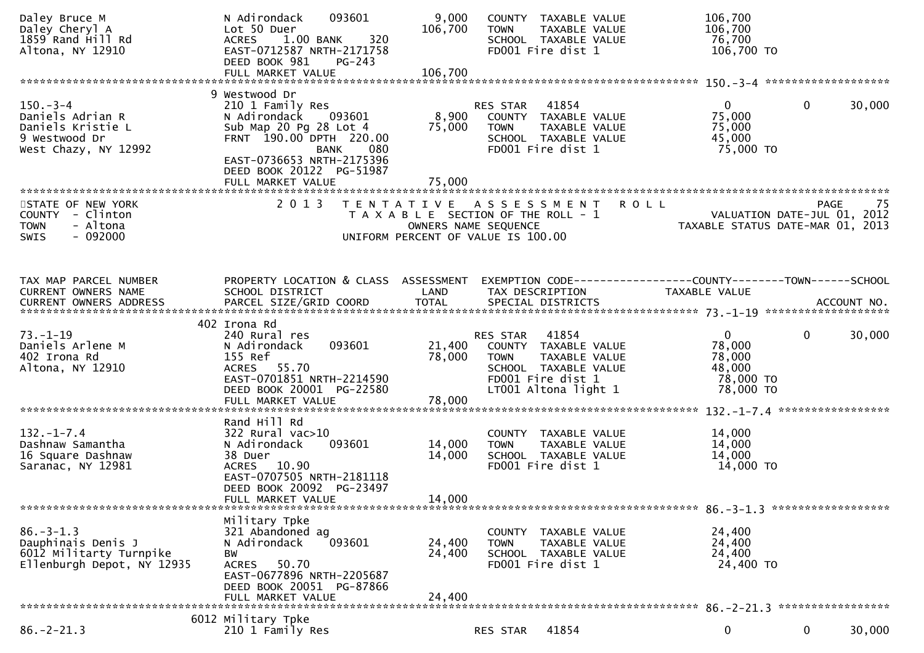| Daley Bruce M<br>Daley Cheryl A<br>1859 Rand Hill Rd<br>Altona, NY 12910                        | 093601<br>N Adirondack<br>Lot 50 Duer<br>320<br><b>ACRES</b><br>1.00 BANK<br>EAST-0712587 NRTH-2171758<br>DEED BOOK 981<br>$PG-243$                                                                           | 9,000<br>106,700           | COUNTY TAXABLE VALUE<br>TAXABLE VALUE<br><b>TOWN</b><br>SCHOOL TAXABLE VALUE<br>FD001 Fire dist 1                                           | 106,700<br>106,700<br>76,700<br>106,700 TO                             |                                                  |
|-------------------------------------------------------------------------------------------------|---------------------------------------------------------------------------------------------------------------------------------------------------------------------------------------------------------------|----------------------------|---------------------------------------------------------------------------------------------------------------------------------------------|------------------------------------------------------------------------|--------------------------------------------------|
|                                                                                                 |                                                                                                                                                                                                               |                            |                                                                                                                                             |                                                                        |                                                  |
| $150 - 3 - 4$<br>Daniels Adrian R<br>Daniels Kristie L<br>9 Westwood Dr<br>West Chazy, NY 12992 | 9 Westwood Dr<br>210 1 Family Res<br>N Adirondack<br>093601<br>Sub Map 20 Pg 28 Lot 4<br>FRNT 190.00 DPTH 220.00<br>BANK<br>080<br>EAST-0736653 NRTH-2175396<br>DEED BOOK 20122 PG-51987<br>FULL MARKET VALUE | 8,900<br>75,000<br>75,000  | RES STAR<br>41854<br>COUNTY TAXABLE VALUE<br>TAXABLE VALUE<br><b>TOWN</b><br>SCHOOL TAXABLE VALUE<br>FD001 Fire dist 1                      | $\overline{0}$<br>75,000<br>75,000<br>45,000<br>75,000 TO              | $\mathbf 0$<br>30,000                            |
|                                                                                                 |                                                                                                                                                                                                               |                            |                                                                                                                                             |                                                                        |                                                  |
| STATE OF NEW YORK<br>COUNTY - Clinton<br><b>TOWN</b><br>- Altona<br>$-092000$<br><b>SWIS</b>    | 2 0 1 3                                                                                                                                                                                                       |                            | <b>ROLL</b><br>TENTATIVE ASSESSMENT<br>T A X A B L E SECTION OF THE ROLL - 1<br>OWNERS NAME SEQUENCE<br>UNIFORM PERCENT OF VALUE IS 100.00  | TAXABLE STATUS DATE-MAR 01, 2013                                       | 75<br><b>PAGE</b><br>VALUATION DATE-JUL 01, 2012 |
|                                                                                                 |                                                                                                                                                                                                               |                            |                                                                                                                                             |                                                                        |                                                  |
| TAX MAP PARCEL NUMBER<br>CURRENT OWNERS NAME                                                    | PROPERTY LOCATION & CLASS ASSESSMENT<br>SCHOOL DISTRICT                                                                                                                                                       | LAND                       | TAX DESCRIPTION                                                                                                                             | <b>TAXABLE VALUE</b>                                                   |                                                  |
|                                                                                                 |                                                                                                                                                                                                               |                            |                                                                                                                                             |                                                                        |                                                  |
|                                                                                                 |                                                                                                                                                                                                               |                            |                                                                                                                                             |                                                                        |                                                  |
| $73. - 1 - 19$<br>Daniels Arlene M<br>402 Irona Rd<br>Altona, NY 12910                          | 402 Irona Rd<br>240 Rural res<br>093601<br>N Adirondack<br>155 Ref<br>ACRES 55.70<br>EAST-0701851 NRTH-2214590<br>DEED BOOK 20001 PG-22580<br>FULL MARKET VALUE                                               | 21,400<br>78,000<br>78,000 | RES STAR 41854<br>COUNTY TAXABLE VALUE<br>TAXABLE VALUE<br><b>TOWN</b><br>SCHOOL TAXABLE VALUE<br>FD001 Fire dist 1<br>LT001 Altona light 1 | $\overline{0}$<br>78,000<br>78,000<br>48,000<br>78,000 TO<br>78,000 TO | $\mathbf 0$<br>30,000                            |
|                                                                                                 |                                                                                                                                                                                                               |                            |                                                                                                                                             |                                                                        |                                                  |
| $132. - 1 - 7.4$<br>Dashnaw Samantha<br>16 Square Dashnaw<br>Saranac, NY 12981                  | Rand Hill Rd<br>$322$ Rural vac $>10$<br>093601<br>N Adirondack<br>38 Duer<br>ACRES 10.90<br>EAST-0707505 NRTH-2181118<br>DEED BOOK 20092 PG-23497<br>FULL MARKET VALUE                                       | 14,000<br>14,000<br>14,000 | COUNTY TAXABLE VALUE<br><b>TOWN</b><br>TAXABLE VALUE<br>SCHOOL TAXABLE VALUE<br>FD001 Fire dist 1                                           | 14,000<br>14,000<br>14,000<br>14,000 TO                                |                                                  |
|                                                                                                 |                                                                                                                                                                                                               |                            |                                                                                                                                             |                                                                        |                                                  |
| $86. - 3 - 1.3$<br>Dauphinais Denis J<br>6012 Militarty Turnpike<br>Ellenburgh Depot, NY 12935  | Military Tpke<br>321 Abandoned ag<br>093601<br>N Adirondack<br>BW<br>50.70<br>ACRES<br>EAST-0677896 NRTH-2205687<br>DEED BOOK 20051 PG-87866<br>FULL MARKET VALUE                                             | 24,400<br>24,400<br>24,400 | COUNTY TAXABLE VALUE<br>TAXABLE VALUE<br><b>TOWN</b><br>SCHOOL TAXABLE VALUE<br>FD001 Fire dist 1                                           | 24,400<br>24,400<br>24,400<br>24,400 TO                                |                                                  |
|                                                                                                 |                                                                                                                                                                                                               |                            |                                                                                                                                             |                                                                        |                                                  |
| $86. - 2 - 21.3$                                                                                | 6012 Military Tpke<br>210 1 Family Res                                                                                                                                                                        |                            | 41854<br>RES STAR                                                                                                                           | 0                                                                      | 0<br>30,000                                      |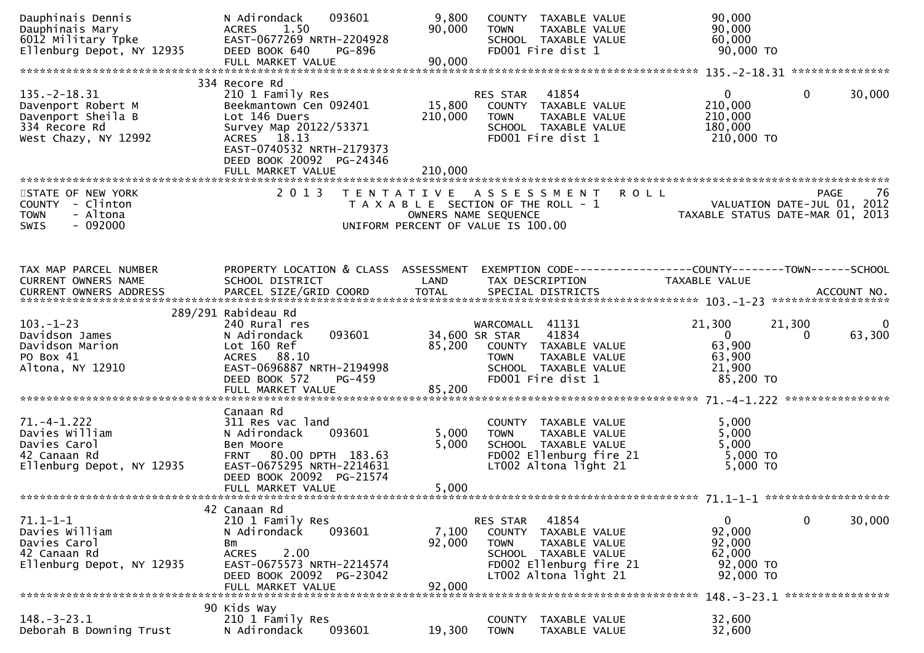| Dauphinais Dennis<br>Dauphinais Mary<br>6012 Military Tpke<br>Ellenburg Depot, NY 12935                 | N Adirondack<br>093601<br>1.50<br><b>ACRES</b><br>EAST-0677269 NRTH-2204928<br>DEED BOOK 640<br>PG-896<br>FULL MARKET VALUE                                                        | 9,800<br>90,000<br>90,000    | COUNTY TAXABLE VALUE<br>TAXABLE VALUE<br><b>TOWN</b><br>SCHOOL TAXABLE VALUE<br>FD001 Fire dist 1                                                               | 90,000<br>90,000<br>60,000<br>90,000 TO                                                   |                    |
|---------------------------------------------------------------------------------------------------------|------------------------------------------------------------------------------------------------------------------------------------------------------------------------------------|------------------------------|-----------------------------------------------------------------------------------------------------------------------------------------------------------------|-------------------------------------------------------------------------------------------|--------------------|
|                                                                                                         | 334 Recore Rd                                                                                                                                                                      |                              |                                                                                                                                                                 |                                                                                           |                    |
| $135. - 2 - 18.31$<br>Davenport Robert M<br>Davenport Sheila B<br>334 Recore Rd<br>West Chazy, NY 12992 | 210 1 Family Res<br>Beekmantown Cen 092401<br>Lot 146 Duers<br>Survey Map 20122/53371<br>ACRES 18.13<br>EAST-0740532 NRTH-2179373<br>DEED BOOK 20092 PG-24346<br>FULL MARKET VALUE | 15,800<br>210,000<br>210,000 | 41854<br>RES STAR<br>COUNTY TAXABLE VALUE<br>TAXABLE VALUE<br>TOWN<br>SCHOOL TAXABLE VALUE<br>FD001 Fire dist 1                                                 | $\overline{0}$<br>$\Omega$<br>210,000<br>210,000<br>180,000<br>210,000 TO                 | 30,000             |
|                                                                                                         |                                                                                                                                                                                    |                              |                                                                                                                                                                 |                                                                                           |                    |
| STATE OF NEW YORK<br>COUNTY - Clinton<br>- Altona<br><b>TOWN</b><br>SWIS<br>$-092000$                   | 2 0 1 3                                                                                                                                                                            |                              | <b>ROLL</b><br>TENTATIVE ASSESSMENT<br>T A X A B L E SECTION OF THE ROLL - 1<br>OWNERS NAME SEQUENCE<br>UNIFORM PERCENT OF VALUE IS 100.00                      | VALUATION DATE-JUL 01, 2012<br>TAXABLE STATUS DATE-MAR 01, 2013                           | <b>PAGE</b><br>76  |
| TAX MAP PARCEL NUMBER                                                                                   | PROPERTY LOCATION & CLASS ASSESSMENT                                                                                                                                               |                              | EXEMPTION CODE------------------COUNTY--------TOWN------SCHOOL                                                                                                  |                                                                                           |                    |
| CURRENT OWNERS NAME<br>CURRENT OWNERS ADDRESS                                                           | SCHOOL DISTRICT<br>PARCEL SIZE/GRID COORD                                                                                                                                          | LAND<br><b>TOTAL</b>         | TAX DESCRIPTION<br>SPECIAL DISTRICTS                                                                                                                            | TAXABLE VALUE                                                                             | ACCOUNT NO.        |
|                                                                                                         | 289/291 Rabideau Rd                                                                                                                                                                |                              |                                                                                                                                                                 |                                                                                           |                    |
| $103. - 1 - 23$<br>Davidson James<br>Davidson Marion<br>PO Box 41<br>Altona, NY 12910                   | 240 Rural res<br>093601<br>N Adirondack<br>Lot 160 Ref<br>ACRES 88.10<br>EAST-0696887 NRTH-2194998<br>DEED BOOK 572<br>PG-459<br>FULL MARKET VALUE                                 | 85,200<br>85,200             | WARCOMALL 41131<br>41834<br>34,600 SR STAR<br>COUNTY TAXABLE VALUE<br>TAXABLE VALUE<br><b>TOWN</b><br>SCHOOL TAXABLE VALUE<br>FD001 Fire dist 1                 | 21,300<br>21,300<br>$\overline{0}$<br>$\Omega$<br>63,900<br>63,900<br>21,900<br>85,200 TO | $\bf{0}$<br>63,300 |
|                                                                                                         | Canaan Rd                                                                                                                                                                          |                              |                                                                                                                                                                 |                                                                                           |                    |
| $71. -4 - 1.222$<br>Davies William<br>Davies Carol<br>42 Canaan Rd<br>Ellenburg Depot, NY 12935         | 311 Res vac land<br>N Adirondack<br>093601<br>Ben Moore<br>FRNT 80.00 DPTH 183.63<br>EAST-0675295 NRTH-2214631<br>DEED BOOK 20092 PG-21574<br>FULL MARKET VALUE                    | 5,000<br>5,000<br>5,000      | COUNTY TAXABLE VALUE<br>TAXABLE VALUE<br><b>TOWN</b><br>SCHOOL TAXABLE VALUE<br>FD002 Ellenburg fire 21<br>LT002 Altona light 21                                | 5,000<br>5,000<br>5,000<br>5,000 TO<br>$5,000$ TO                                         |                    |
|                                                                                                         |                                                                                                                                                                                    |                              |                                                                                                                                                                 |                                                                                           |                    |
| $71.1 - 1 - 1$<br>Davies William<br>Davies Carol<br>42 Canaan Rd<br>Ellenburg Depot, NY 12935           | 42 Canaan Rd<br>210 1 Family Res<br>N Adirondack<br>093601<br>Bm<br>2.00<br><b>ACRES</b><br>EAST-0675573 NRTH-2214574<br>DEED BOOK 20092 PG-23042<br>FULL MARKET VALUE             | 7,100<br>92,000<br>92,000    | 41854<br>RES STAR<br><b>COUNTY</b><br>TAXABLE VALUE<br><b>TOWN</b><br>TAXABLE VALUE<br>SCHOOL TAXABLE VALUE<br>FD002 Ellenburg fire 21<br>LT002 Altona light 21 | 0<br>0<br>92,000<br>92,000<br>62,000<br>92,000 TO<br>92,000 TO                            | 30,000             |
|                                                                                                         | 90 Kids Way                                                                                                                                                                        |                              |                                                                                                                                                                 | 148. - 3 - 23. 1 *****************                                                        |                    |
| 148. – 3–23. 1<br>Deborah B Downing Trust                                                               | 210 1 Family Res<br>093601<br>N Adirondack                                                                                                                                         | 19,300                       | <b>COUNTY</b><br>TAXABLE VALUE<br><b>TOWN</b><br>TAXABLE VALUE                                                                                                  | 32,600<br>32,600                                                                          |                    |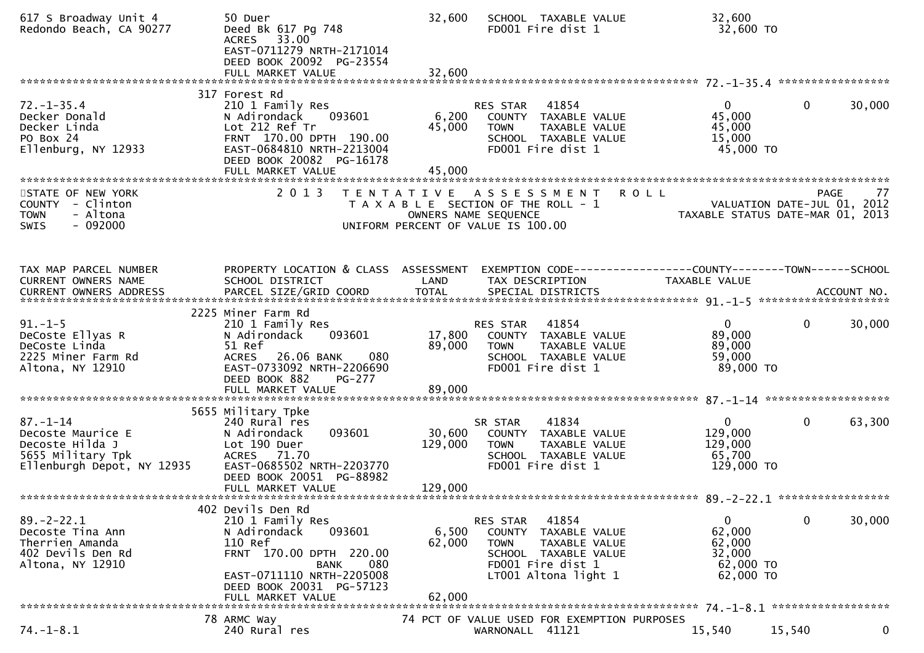| 617 S Broadway Unit 4<br>Redondo Beach, CA 90277                                                          | 50 Duer<br>Deed Bk 617 Pg 748<br>ACRES 33.00<br>EAST-0711279 NRTH-2171014<br>DEED BOOK 20092 PG-23554<br>FULL MARKET VALUE                                                             | 32,600<br>32,600             | SCHOOL TAXABLE VALUE<br>FD001 Fire dist 1                                                                                                                | 32,600<br>32,600 TO                                                  |                        |
|-----------------------------------------------------------------------------------------------------------|----------------------------------------------------------------------------------------------------------------------------------------------------------------------------------------|------------------------------|----------------------------------------------------------------------------------------------------------------------------------------------------------|----------------------------------------------------------------------|------------------------|
|                                                                                                           |                                                                                                                                                                                        |                              |                                                                                                                                                          |                                                                      |                        |
| $72. - 1 - 35.4$<br>Decker Donald<br>Decker Linda<br>PO Box 24<br>Ellenburg, NY 12933                     | 317 Forest Rd<br>210 1 Family Res<br>093601<br>N Adirondack<br>Lot 212 Ref Tr<br>FRNT 170.00 DPTH 190.00<br>EAST-0684810 NRTH-2213004<br>DEED BOOK 20082 PG-16178<br>FULL MARKET VALUE | 6,200<br>45,000<br>45,000    | RES STAR 41854<br>COUNTY TAXABLE VALUE<br><b>TOWN</b><br>TAXABLE VALUE<br>SCHOOL TAXABLE VALUE<br>FD001 Fire dist 1                                      | $\overline{0}$<br>45,000<br>45,000<br>15,000<br>45,000 TO            | $\mathbf{0}$<br>30,000 |
| STATE OF NEW YORK<br>COUNTY - Clinton<br><b>TOWN</b><br>- Altona<br>$-092000$<br>SWIS                     | 2 0 1 3                                                                                                                                                                                |                              | TENTATIVE ASSESSMENT ROLL<br>T A X A B L E SECTION OF THE ROLL - 1<br>OWNERS NAME SEQUENCE<br>UNIFORM PERCENT OF VALUE IS 100.00                         | VALUATION DATE-JUL 01, 2012<br>TAXABLE STATUS DATE-MAR 01, 2013      | 77<br>PAGE             |
|                                                                                                           |                                                                                                                                                                                        |                              |                                                                                                                                                          |                                                                      |                        |
| TAX MAP PARCEL NUMBER<br>CURRENT OWNERS NAME<br>CURRENT OWNERS ADDRESS                                    | PROPERTY LOCATION & CLASS ASSESSMENT<br>SCHOOL DISTRICT                                                                                                                                | LAND                         | EXEMPTION CODE------------------COUNTY--------TOWN------SCHOOL<br>TAX DESCRIPTION                                                                        | TAXABLE VALUE                                                        |                        |
|                                                                                                           | 2225 Miner Farm Rd                                                                                                                                                                     |                              |                                                                                                                                                          |                                                                      |                        |
| $91. - 1 - 5$<br>DeCoste Ellyas R<br>DeCoste Linda<br>2225 Miner Farm Rd<br>Altona, NY 12910              | 210 1 Family Res<br>093601<br>N Adirondack<br>51 Ref<br>ACRES 26.06 BANK<br>080<br>EAST-0733092 NRTH-2206690<br>DEED BOOK 882<br><b>PG-277</b>                                         | 17,800<br>89,000<br>89,000   | 41854<br>RES STAR<br>COUNTY TAXABLE VALUE<br><b>TOWN</b><br>TAXABLE VALUE<br>SCHOOL TAXABLE VALUE<br>FD001 Fire dist 1                                   | $\mathbf{0}$<br>89,000<br>89,000<br>59,000<br>89,000 TO              | $\mathbf 0$<br>30,000  |
|                                                                                                           | FULL MARKET VALUE                                                                                                                                                                      |                              |                                                                                                                                                          |                                                                      |                        |
| $87. - 1 - 14$<br>Decoste Maurice E<br>Decoste Hilda J<br>5655 Military Tpk<br>Ellenburgh Depot, NY 12935 | 5655 Military Tpke<br>240 Rural res<br>N Adirondack<br>093601<br>Lot 190 Duer<br>ACRES 71.70<br>EAST-0685502 NRTH-2203770<br>DEED BOOK 20051 PG-88982<br>FULL MARKET VALUE             | 30,600<br>129,000<br>129,000 | 41834<br>SR STAR<br>COUNTY TAXABLE VALUE<br><b>TOWN</b><br>TAXABLE VALUE<br>SCHOOL TAXABLE VALUE<br>FD001 Fire dist 1                                    | $\overline{0}$<br>129,000<br>129,000<br>65,700<br>129,000 TO         | $\mathbf 0$<br>63,300  |
|                                                                                                           | 402 Devils Den Rd                                                                                                                                                                      |                              |                                                                                                                                                          |                                                                      |                        |
| $89. - 2 - 22.1$<br>Decoste Tina Ann<br>Therrien Amanda<br>402 Devils Den Rd<br>Altona, NY 12910          | 210 1 Family Res<br>N Adirondack<br>093601<br>110 Ref<br>FRNT 170.00 DPTH 220.00<br><b>BANK</b><br>080<br>EAST-0711110 NRTH-2205008<br>DEED BOOK 20031 PG-57123<br>FULL MARKET VALUE   | 6,500<br>62,000<br>62,000    | 41854<br>RES STAR<br><b>COUNTY</b><br>TAXABLE VALUE<br><b>TOWN</b><br>TAXABLE VALUE<br>SCHOOL TAXABLE VALUE<br>FD001 Fire dist 1<br>LT001 Altona light 1 | $\mathbf{0}$<br>62,000<br>62,000<br>32,000<br>62,000 TO<br>62,000 TO | 30,000<br>$\mathbf 0$  |
|                                                                                                           |                                                                                                                                                                                        |                              |                                                                                                                                                          |                                                                      |                        |
| $74. - 1 - 8.1$                                                                                           | 78 ARMC Way<br>240 Rural res                                                                                                                                                           |                              | 74 PCT OF VALUE USED FOR EXEMPTION PURPOSES<br>WARNONALL 41121                                                                                           | 15,540                                                               | 15,540<br>$\mathbf 0$  |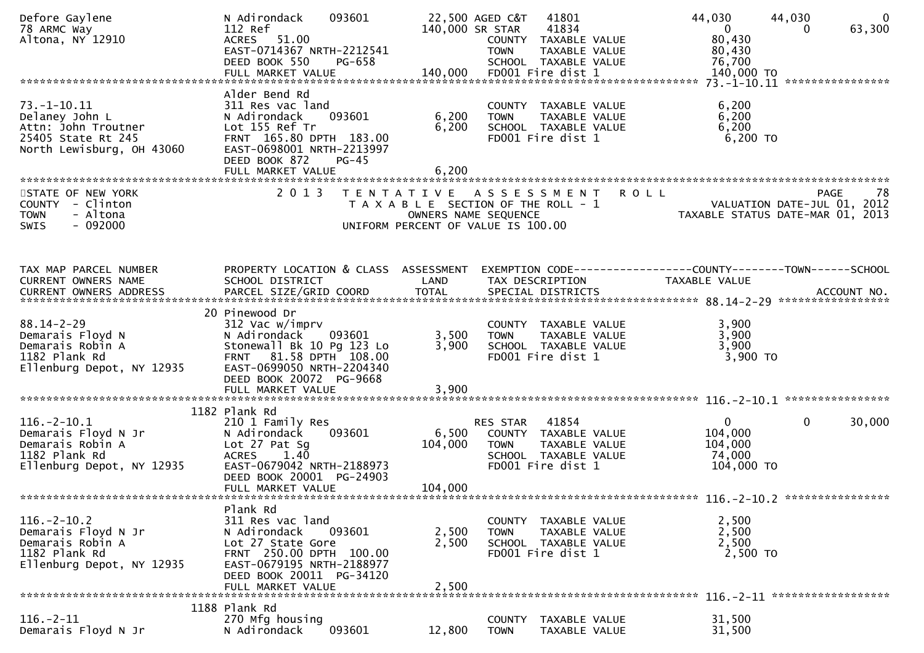| Defore Gaylene<br>78 ARMC Way<br>Altona, NY 12910                                                             | N Adirondack<br>093601<br>112 Ref<br>ACRES 51.00<br>EAST-0714367 NRTH-2212541<br>DEED BOOK 550<br>PG-658                                                                               |                             | 22,500 AGED C&T<br>41801<br>140,000 SR STAR<br>41834<br>COUNTY TAXABLE VALUE<br><b>TOWN</b><br>TAXABLE VALUE<br>SCHOOL TAXABLE VALUE      | 44,030<br>44,030<br>$\overline{0}$<br>$\mathbf{0}$<br>63,300<br>0<br>80,430<br>80,430<br>76,700 |
|---------------------------------------------------------------------------------------------------------------|----------------------------------------------------------------------------------------------------------------------------------------------------------------------------------------|-----------------------------|-------------------------------------------------------------------------------------------------------------------------------------------|-------------------------------------------------------------------------------------------------|
|                                                                                                               |                                                                                                                                                                                        |                             |                                                                                                                                           |                                                                                                 |
| $73. - 1 - 10.11$<br>Delaney John L<br>Attn: John Troutner<br>25405 State Rt 245<br>North Lewisburg, OH 43060 | Alder Bend Rd<br>311 Res vac land<br>N Adirondack<br>093601<br>Lot 155 Ref Tr<br>FRNT 165.80 DPTH 183.00<br>EAST-0698001 NRTH-2213997<br>DEED BOOK 872<br>$PG-45$<br>FULL MARKET VALUE | 6,200<br>6,200<br>6,200     | COUNTY TAXABLE VALUE<br><b>TOWN</b><br>TAXABLE VALUE<br>SCHOOL TAXABLE VALUE<br>FD001 Fire dist 1                                         | 6,200<br>6,200<br>6,200<br>$6,200$ TO                                                           |
|                                                                                                               |                                                                                                                                                                                        |                             |                                                                                                                                           |                                                                                                 |
| STATE OF NEW YORK<br>COUNTY - Clinton<br><b>TOWN</b><br>- Altona<br>$-092000$<br><b>SWIS</b>                  | 2 0 1 3                                                                                                                                                                                | T E N T A T I V E           | <b>ROLL</b><br>A S S E S S M E N T<br>T A X A B L E SECTION OF THE ROLL - 1<br>OWNERS NAME SEQUENCE<br>UNIFORM PERCENT OF VALUE IS 100.00 | <b>PAGE</b><br>78<br>VALUATION DATE-JUL 01, 2012<br>TAXABLE STATUS DATE-MAR 01, 2013            |
| TAX MAP PARCEL NUMBER                                                                                         | PROPERTY LOCATION & CLASS ASSESSMENT                                                                                                                                                   |                             |                                                                                                                                           |                                                                                                 |
| CURRENT OWNERS NAME                                                                                           | SCHOOL DISTRICT                                                                                                                                                                        | LAND                        | TAX DESCRIPTION                                                                                                                           | TAXABLE VALUE                                                                                   |
|                                                                                                               |                                                                                                                                                                                        |                             |                                                                                                                                           |                                                                                                 |
| $88.14 - 2 - 29$<br>Demarais Floyd N<br>Demarais Robin A<br>1182 Plank Rd<br>Ellenburg Depot, NY 12935        | 20 Pinewood Dr<br>312 Vac w/imprv<br>N Adirondack<br>093601<br>Stonewall Bk 10 Pg 123 Lo<br>FRNT 81.58 DPTH 108.00<br>EAST-0699050 NRTH-2204340<br>DEED BOOK 20072 PG-9668             | 3,500<br>3,900              | COUNTY TAXABLE VALUE<br>TAXABLE VALUE<br><b>TOWN</b><br>SCHOOL TAXABLE VALUE<br>FD001 Fire dist 1                                         | 3,900<br>3,900<br>3,900<br>3,900 TO                                                             |
|                                                                                                               | 1182 Plank Rd                                                                                                                                                                          |                             |                                                                                                                                           |                                                                                                 |
| $116. - 2 - 10.1$<br>Demarais Floyd N Jr<br>Demarais Robin A<br>1182 Plank Rd<br>Ellenburg Depot, NY 12935    | 210 1 Family Res<br>093601<br>N Adirondack<br>Lot 27 Pat Sg<br><b>ACRES</b><br>1.40<br>EAST-0679042 NRTH-2188973<br>DEED BOOK 20001 PG-24903<br>FULL MARKET VALUE                      | 6,500<br>104,000<br>104,000 | RES STAR<br>41854<br>COUNTY TAXABLE VALUE<br>TAXABLE VALUE<br><b>TOWN</b><br>SCHOOL TAXABLE VALUE<br>FD001 Fire dist 1                    | $\mathbf{0}$<br>0<br>30,000<br>104,000<br>104,000<br>74,000<br>104,000 TO                       |
|                                                                                                               |                                                                                                                                                                                        |                             |                                                                                                                                           |                                                                                                 |
| $116. - 2 - 10.2$<br>Demarais Floyd N Jr<br>Demarais Robin A<br>1182 Plank Rd<br>Ellenburg Depot, NY 12935    | Plank Rd<br>311 Res vac land<br>N Adirondack<br>093601<br>Lot 27 State Gore<br>FRNT 250.00 DPTH 100.00<br>EAST-0679195 NRTH-2188977<br>DEED BOOK 20011 PG-34120<br>FULL MARKET VALUE   | 2,500<br>2,500<br>2,500     | COUNTY TAXABLE VALUE<br><b>TOWN</b><br>TAXABLE VALUE<br>SCHOOL TAXABLE VALUE<br>FD001 Fire dist 1                                         | 2,500<br>2,500<br>2,500<br>2,500 TO                                                             |
|                                                                                                               |                                                                                                                                                                                        |                             |                                                                                                                                           |                                                                                                 |
| $116. - 2 - 11$<br>Demarais Floyd N Jr                                                                        | 1188 Plank Rd<br>270 Mfg housing<br>N Adirondack<br>093601                                                                                                                             | 12,800                      | TAXABLE VALUE<br>COUNTY<br>TAXABLE VALUE<br><b>TOWN</b>                                                                                   | 31,500<br>31,500                                                                                |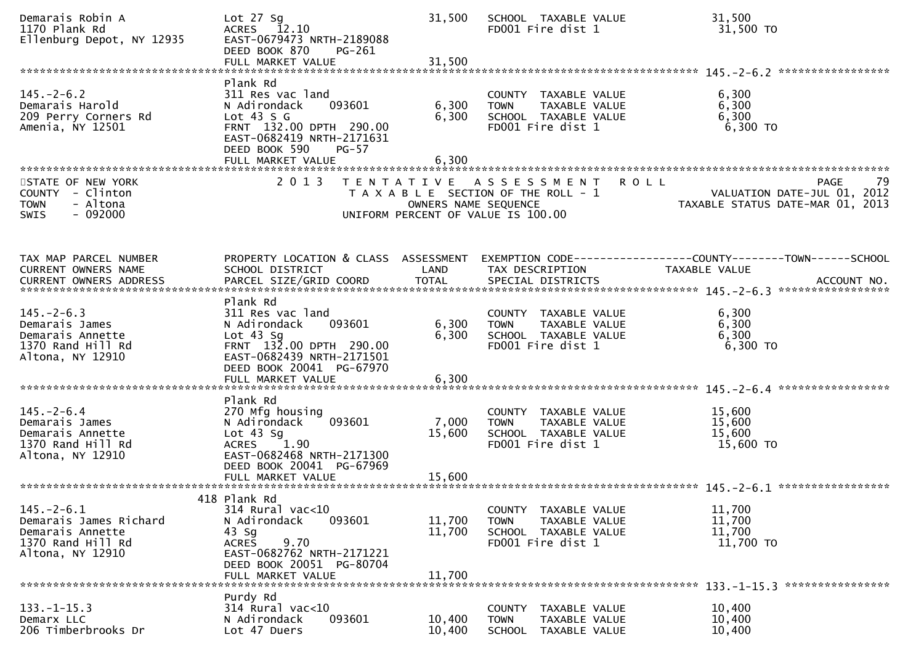| Demarais Robin A<br>1170 Plank Rd<br>Ellenburg Depot, NY 12935                                          | Lot $27$ Sg<br>ACRES 12.10<br>EAST-0679473 NRTH-2189088<br>DEED BOOK 870<br>PG-261<br>FULL MARKET VALUE                                                                         | 31,500<br>31,500           | SCHOOL TAXABLE VALUE<br>FD001 Fire dist 1                                                                         | 31,500<br>31,500 TO                                                                  |
|---------------------------------------------------------------------------------------------------------|---------------------------------------------------------------------------------------------------------------------------------------------------------------------------------|----------------------------|-------------------------------------------------------------------------------------------------------------------|--------------------------------------------------------------------------------------|
| $145. - 2 - 6.2$<br>Demarais Harold<br>209 Perry Corners Rd<br>Amenia, NY 12501                         | Plank Rd<br>311 Res vac land<br>093601<br>N Adirondack<br>Lot $43 S G$<br>FRNT 132.00 DPTH 290.00<br>EAST-0682419 NRTH-2171631<br>DEED BOOK 590<br>$PG-57$<br>FULL MARKET VALUE | 6,300<br>6,300<br>6,300    | COUNTY TAXABLE VALUE<br>TAXABLE VALUE<br><b>TOWN</b><br>SCHOOL TAXABLE VALUE<br>FD001 Fire dist 1                 | 6,300<br>6,300<br>6,300<br>6,300 TO                                                  |
| STATE OF NEW YORK<br>COUNTY - Clinton<br><b>TOWN</b><br>- Altona<br>$-092000$<br>SWIS                   | 2 0 1 3<br>T E N T A T I V E                                                                                                                                                    | OWNERS NAME SEQUENCE       | A S S E S S M E N T<br><b>ROLL</b><br>T A X A B L E SECTION OF THE ROLL - 1<br>UNIFORM PERCENT OF VALUE IS 100.00 | 79<br>PAGE<br>VALUATION DATE-JUL 01, 2012<br>TAXABLE STATUS DATE-MAR 01, 2013        |
| TAX MAP PARCEL NUMBER<br>CURRENT OWNERS NAME                                                            | PROPERTY LOCATION & CLASS ASSESSMENT<br>SCHOOL DISTRICT                                                                                                                         | LAND                       | TAX DESCRIPTION                                                                                                   | EXEMPTION CODE-----------------COUNTY-------TOWN------SCHOOL<br><b>TAXABLE VALUE</b> |
| $145. - 2 - 6.3$<br>Demarais James<br>Demarais Annette<br>1370 Rand Hill Rd<br>Altona, NY 12910         | Plank Rd<br>311 Res vac land<br>N Adirondack<br>093601<br>Lot $43$ Sq<br>FRNT 132.00 DPTH 290.00<br>EAST-0682439 NRTH-2171501<br>DEED BOOK 20041 PG-67970<br>FULL MARKET VALUE  | 6,300<br>6,300<br>6,300    | COUNTY TAXABLE VALUE<br>TAXABLE VALUE<br><b>TOWN</b><br>SCHOOL TAXABLE VALUE<br>FD001 Fire dist 1                 | 6,300<br>6,300<br>6,300<br>6,300 TO                                                  |
| $145. - 2 - 6.4$<br>Demarais James<br>Demarais Annette<br>1370 Rand Hill Rd<br>Altona, NY 12910         | Plank Rd<br>270 Mfg housing<br>N Adirondack<br>093601<br>Lot $43$ Sg<br>1.90<br><b>ACRES</b><br>EAST-0682468 NRTH-2171300<br>DEED BOOK 20041 PG-67969                           | 7,000<br>15,600            | COUNTY TAXABLE VALUE<br>TAXABLE VALUE<br><b>TOWN</b><br>SCHOOL TAXABLE VALUE<br>FD001 Fire dist 1                 | 15,600<br>15,600<br>15,600<br>15,600 TO                                              |
| $145. - 2 - 6.1$<br>Demarais James Richard<br>Demarais Annette<br>1370 Rand Hill Rd<br>Altona, NY 12910 | 418 Plank Rd<br>314 Rural vac<10<br>093601<br>N Adirondack<br>$43$ Sg<br>9.70<br><b>ACRES</b><br>EAST-0682762 NRTH-2171221<br>DEED BOOK 20051 PG-80704<br>FULL MARKET VALUE     | 11,700<br>11,700<br>11,700 | COUNTY TAXABLE VALUE<br>TAXABLE VALUE<br><b>TOWN</b><br>SCHOOL TAXABLE VALUE<br>FD001 Fire dist 1                 | 11,700<br>11,700<br>11,700<br>11,700 TO                                              |
| $133. - 1 - 15.3$<br>Demarx LLC<br>206 Timberbrooks Dr                                                  | Purdy Rd<br>314 Rural vac<10<br>093601<br>N Adirondack<br>Lot 47 Duers                                                                                                          | 10,400<br>10,400           | <b>COUNTY</b><br>TAXABLE VALUE<br>TAXABLE VALUE<br>TOWN<br><b>SCHOOL</b><br>TAXABLE VALUE                         | 10,400<br>10,400<br>10,400                                                           |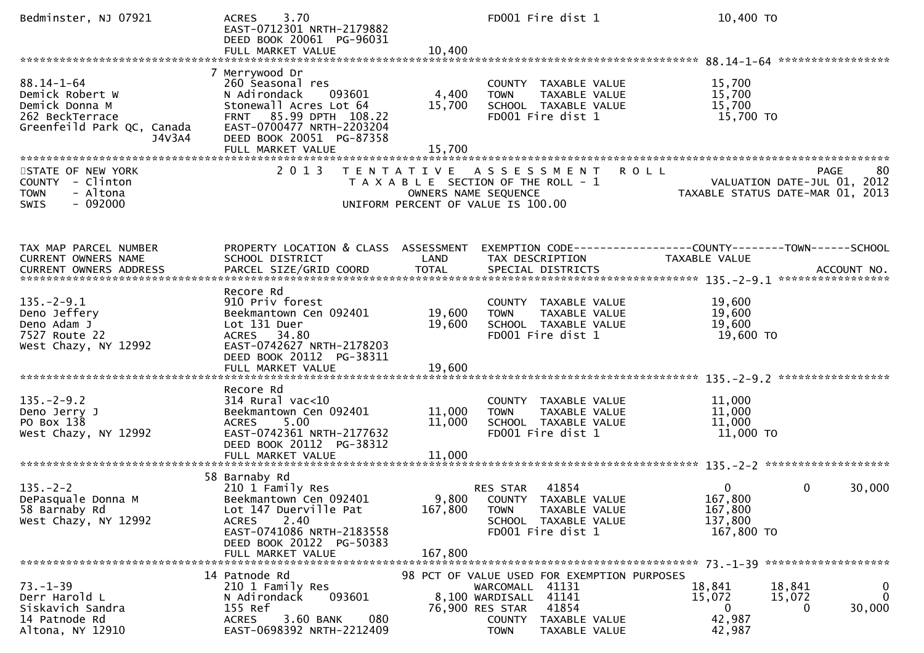| Bedminster, NJ 07921                                                                                             | 3.70<br><b>ACRES</b><br>EAST-0712301 NRTH-2179882<br>DEED BOOK 20061 PG-96031                                                                                             |                            | FD001 Fire dist 1                                                                                                                                                    | 10,400 TO                                                                              |                                                                                      |
|------------------------------------------------------------------------------------------------------------------|---------------------------------------------------------------------------------------------------------------------------------------------------------------------------|----------------------------|----------------------------------------------------------------------------------------------------------------------------------------------------------------------|----------------------------------------------------------------------------------------|--------------------------------------------------------------------------------------|
|                                                                                                                  |                                                                                                                                                                           |                            |                                                                                                                                                                      |                                                                                        |                                                                                      |
| $88.14 - 1 - 64$<br>Demick Robert W<br>Demick Donna M<br>262 BeckTerrace<br>Greenfeild Park QC, Canada<br>J4V3A4 | 7 Merrywood Dr<br>260 Seasonal res<br>N Adirondack<br>093601<br>Stonewall Acres Lot 64<br>FRNT 85.99 DPTH 108.22<br>EAST-0700477 NRTH-2203204<br>DEED BOOK 20051 PG-87358 | 4,400<br>15,700            | COUNTY TAXABLE VALUE<br><b>TOWN</b><br>TAXABLE VALUE<br>SCHOOL TAXABLE VALUE<br>FD001 Fire dist 1                                                                    | 15,700<br>15,700<br>15,700<br>15,700 TO                                                |                                                                                      |
|                                                                                                                  |                                                                                                                                                                           |                            |                                                                                                                                                                      |                                                                                        |                                                                                      |
| STATE OF NEW YORK<br>COUNTY - Clinton<br>- Altona<br><b>TOWN</b><br>$-092000$<br>SWIS                            | 2 0 1 3                                                                                                                                                                   | OWNERS NAME SEQUENCE       | TENTATIVE ASSESSMENT<br>T A X A B L E SECTION OF THE ROLL - 1<br>UNIFORM PERCENT OF VALUE IS 100.00                                                                  | <b>ROLL</b>                                                                            | <b>PAGE</b><br>80<br>VALUATION DATE-JUL 01, 2012<br>TAXABLE STATUS DATE-MAR 01, 2013 |
| TAX MAP PARCEL NUMBER<br>CURRENT OWNERS NAME                                                                     | PROPERTY LOCATION & CLASS ASSESSMENT<br>SCHOOL DISTRICT                                                                                                                   | LAND                       | TAX DESCRIPTION                                                                                                                                                      | EXEMPTION CODE------------------COUNTY--------TOWN------SCHOOL<br><b>TAXABLE VALUE</b> |                                                                                      |
| $135. - 2 - 9.1$<br>Deno Jeffery<br>Deno Adam J<br>7527 Route 22<br>West Chazy, NY 12992                         | Recore Rd<br>910 Priv forest<br>Beekmantown Cen 092401<br>Lot 131 Duer<br>ACRES 34.80<br>EAST-0742627 NRTH-2178203<br>DEED BOOK 20112 PG-38311<br>FULL MARKET VALUE       | 19,600<br>19,600<br>19,600 | COUNTY TAXABLE VALUE<br><b>TOWN</b><br>TAXABLE VALUE<br>SCHOOL TAXABLE VALUE<br>FD001 Fire dist 1                                                                    | 19,600<br>19,600<br>19,600<br>19,600 TO                                                |                                                                                      |
|                                                                                                                  |                                                                                                                                                                           |                            |                                                                                                                                                                      |                                                                                        |                                                                                      |
| $135. -2 - 9.2$<br>Deno Jerry J<br>PO Box 138<br>West Chazy, NY 12992                                            | Recore Rd<br>$314$ Rural vac<10<br>Beekmantown Cen 092401<br>5.00<br><b>ACRES</b><br>EAST-0742361 NRTH-2177632<br>DEED BOOK 20112 PG-38312                                | 11,000<br>11,000           | COUNTY TAXABLE VALUE<br>TAXABLE VALUE<br><b>TOWN</b><br>SCHOOL TAXABLE VALUE<br>FD001 Fire dist 1                                                                    | 11,000<br>11,000<br>11,000<br>11,000 TO                                                |                                                                                      |
|                                                                                                                  | FULL MARKET VALUE                                                                                                                                                         | 11,000                     |                                                                                                                                                                      |                                                                                        |                                                                                      |
| $135. - 2 - 2$<br>DePasquale Donna M<br>58 Barnaby Rd<br>West Chazy, NY 12992                                    | 58 Barnaby Rd<br>210 1 Family Res<br>Beekmantown Cen 092401<br>Lot 147 Duerville Pat<br>2.40<br><b>ACRES</b><br>EAST-0741086 NRTH-2183558<br>DEED BOOK 20122 PG-50383     | 167,800                    | RES STAR<br>41854<br>9,800 COUNTY TAXABLE VALUE<br>TAXABLE VALUE<br><b>TOWN</b><br>SCHOOL TAXABLE VALUE<br>FD001 Fire dist 1                                         | 0<br>167,800<br>167,800<br>137,800<br>167,800 TO                                       | 0<br>30,000                                                                          |
|                                                                                                                  | FULL MARKET VALUE                                                                                                                                                         | 167,800                    |                                                                                                                                                                      |                                                                                        |                                                                                      |
| $73. - 1 - 39$<br>Derr Harold L<br>Siskavich Sandra<br>14 Patnode Rd<br>Altona, NY 12910                         | 14 Patnode Rd<br>210 1 Family Res<br>093601<br>N Adirondack<br>155 Ref<br>080<br>ACRES<br>3.60 BANK<br>EAST-0698392 NRTH-2212409                                          |                            | 98 PCT OF VALUE USED FOR EXEMPTION PURPOSES<br>WARCOMALL 41131<br>8,100 WARDISALL 41141<br>41854<br>76,900 RES STAR<br>COUNTY TAXABLE VALUE<br>TAXABLE VALUE<br>TOWN | 18,841<br>15,072<br>$\bf{0}$<br>42,987<br>42,987                                       | 0<br>18,841<br>$\mathbf{0}$<br>15,072<br>30,000<br>0                                 |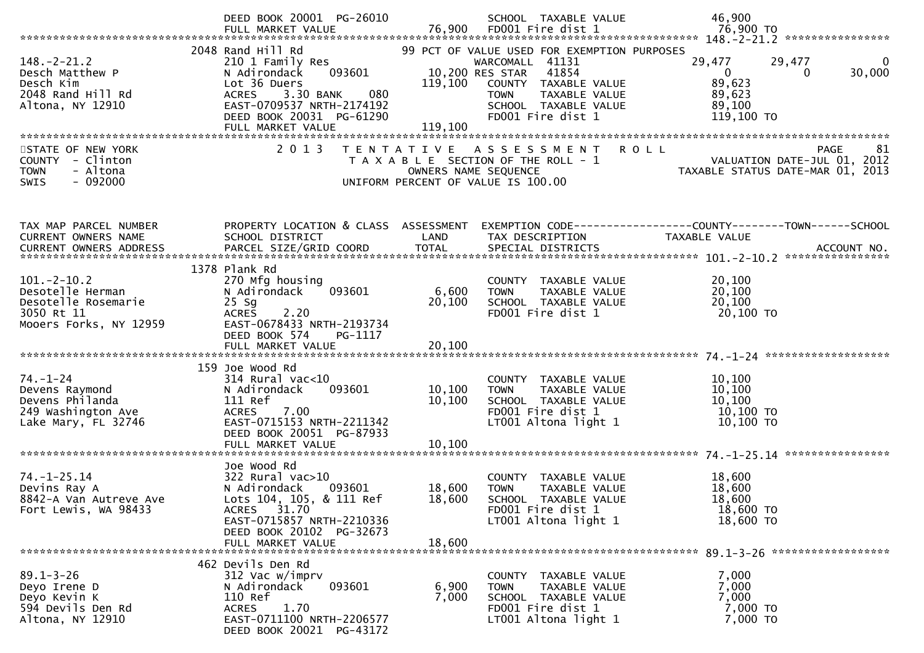|                                                                                                     | DEED BOOK 20001 PG-26010                                                                                                                                                                          |                            | SCHOOL TAXABLE VALUE                                                                                                                                                                            | 46,900                                                                                                                                                                                              |
|-----------------------------------------------------------------------------------------------------|---------------------------------------------------------------------------------------------------------------------------------------------------------------------------------------------------|----------------------------|-------------------------------------------------------------------------------------------------------------------------------------------------------------------------------------------------|-----------------------------------------------------------------------------------------------------------------------------------------------------------------------------------------------------|
| $148. - 2 - 21.2$<br>Desch Matthew P<br>Desch Kim<br>2048 Rand Hill Rd<br>Altona, NY 12910          | 2048 Rand Hill Rd<br>210 1 Family Res<br>093601<br>N Adirondack<br>Lot 36 Duers<br>3.30 BANK<br>080<br><b>ACRES</b><br>EAST-0709537 NRTH-2174192<br>DEED BOOK 20031 PG-61290<br>FULL MARKET VALUE | 119,100<br>119,100         | 99 PCT OF VALUE USED FOR EXEMPTION PURPOSES<br>WARCOMALL 41131<br>10,200 RES STAR<br>41854<br>COUNTY TAXABLE VALUE<br>TAXABLE VALUE<br><b>TOWN</b><br>SCHOOL TAXABLE VALUE<br>FD001 Fire dist 1 | 29,477<br>29,477<br>0<br>30,000<br>$\mathbf{0}$<br>$\Omega$<br>89,623<br>89,623<br>89,100<br>119,100 TO                                                                                             |
| STATE OF NEW YORK<br>COUNTY - Clinton<br><b>TOWN</b><br>- Altona<br>$-092000$<br><b>SWIS</b>        | 2 0 1 3                                                                                                                                                                                           | OWNERS NAME SEQUENCE       | TENTATIVE ASSESSMENT<br>T A X A B L E SECTION OF THE ROLL - 1<br>UNIFORM PERCENT OF VALUE IS 100.00                                                                                             | 81<br><b>ROLL</b><br><b>PAGE</b><br>VALUATION DATE-JUL 01, 2012<br>TAXABLE STATUS DATE-MAR 01, 2013                                                                                                 |
| TAX MAP PARCEL NUMBER<br>CURRENT OWNERS NAME                                                        | PROPERTY LOCATION & CLASS ASSESSMENT<br>SCHOOL DISTRICT                                                                                                                                           | LAND                       | TAX DESCRIPTION                                                                                                                                                                                 | EXEMPTION CODE-----------------COUNTY-------TOWN------SCHOOL<br>TAXABLE VALUE<br>.0URRENT OWNERS ADDRESS PARCEL SIZE/GRID COORD TOTAL SPECIAL DISTRICTS ACCOUNT NO ACCOUNT NO ACCOUNT NO ACCOUNT NO |
| $101. -2 - 10.2$<br>Desotelle Herman<br>Desotelle Rosemarie<br>3050 Rt 11<br>Mooers Forks, NY 12959 | 1378 Plank Rd<br>270 Mfg housing<br>093601<br>N Adirondack<br>$25$ Sg<br>2.20<br><b>ACRES</b><br>EAST-0678433 NRTH-2193734<br>DEED BOOK 574<br>PG-1117<br>FULL MARKET VALUE                       | 6,600<br>20,100<br>20,100  | COUNTY TAXABLE VALUE<br>TAXABLE VALUE<br><b>TOWN</b><br>SCHOOL TAXABLE VALUE<br>FD001 Fire dist 1                                                                                               | 20,100<br>20,100<br>20,100<br>20,100 TO                                                                                                                                                             |
| $74. - 1 - 24$<br>Devens Raymond<br>Devens Philanda<br>249 Washington Ave<br>Lake Mary, FL 32746    | 159 Joe Wood Rd<br>$314$ Rural vac<10<br>093601<br>N Adirondack<br>111 Ref<br>7.00<br>ACRES<br>EAST-0715153 NRTH-2211342<br>DEED BOOK 20051 PG-87933<br>FULL MARKET VALUE                         | 10,100<br>10,100<br>10,100 | COUNTY TAXABLE VALUE<br>TAXABLE VALUE<br><b>TOWN</b><br>SCHOOL TAXABLE VALUE<br>FD001 Fire dist 1<br>LT001 Altona light 1                                                                       | 10,100<br>10,100<br>10,100<br>10,100 TO<br>10,100 TO                                                                                                                                                |
| $74. - 1 - 25.14$<br>Devins Ray A<br>8842-A Van Autreve Ave<br>Fort Lewis, WA 98433                 | Joe Wood Rd<br>$322$ Rural vac $>10$<br>N Adirondack<br>093601<br>Lots 104, 105, & 111 Ref<br>ACRES 31.70<br>EAST-0715857 NRTH-2210336<br>DEED BOOK 20102 PG-32673<br>FULL MARKET VALUE           | 18,600<br>18,600<br>18,600 | COUNTY TAXABLE VALUE<br><b>TOWN</b><br>TAXABLE VALUE<br>SCHOOL TAXABLE VALUE<br>FD001 Fire dist 1<br>LT001 Altona light 1                                                                       | 18,600<br>18,600<br>18,600<br>18,600 TO<br>18,600 TO                                                                                                                                                |
| $89.1 - 3 - 26$<br>Deyo Irene D<br>Deyo Kevin K<br>594 Devils Den Rd<br>Altona, NY 12910            | 462 Devils Den Rd<br>312 Vac w/imprv<br>N Adirondack<br>093601<br>110 Ref<br>1.70<br><b>ACRES</b><br>EAST-0711100 NRTH-2206577<br>DEED BOOK 20021 PG-43172                                        | 6,900<br>7,000             | COUNTY TAXABLE VALUE<br>TAXABLE VALUE<br>TOWN<br>SCHOOL TAXABLE VALUE<br>FD001 Fire dist 1<br>LT001 Altona light 1                                                                              | 7,000<br>7,000<br>7,000<br>7,000 TO<br>7,000 TO                                                                                                                                                     |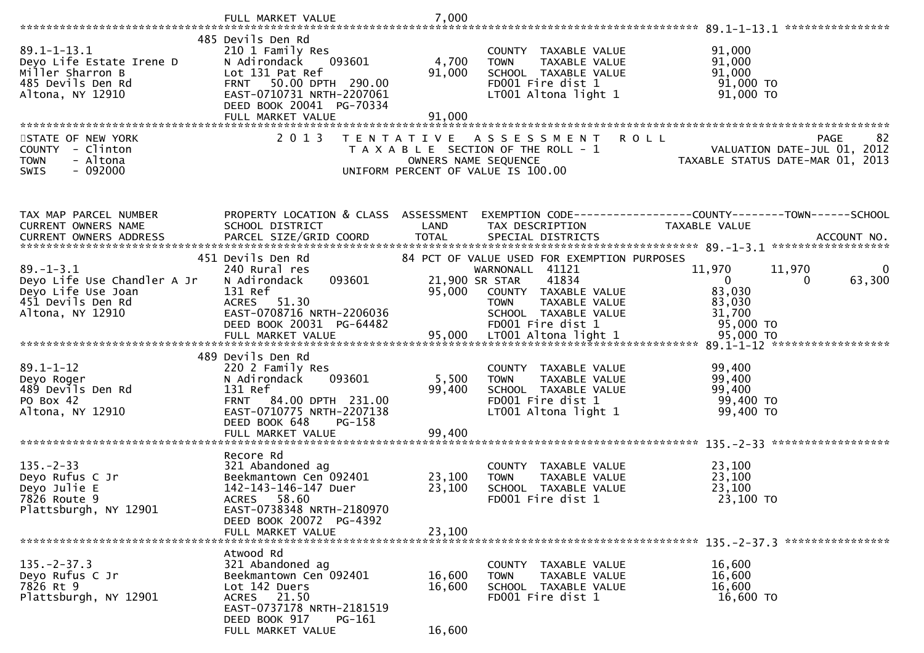|                                                                                                               | FULL MARKET VALUE                                                                                                                                                     | 7,000                                     |                                                                                                                                                                                         |                                                                                                          |
|---------------------------------------------------------------------------------------------------------------|-----------------------------------------------------------------------------------------------------------------------------------------------------------------------|-------------------------------------------|-----------------------------------------------------------------------------------------------------------------------------------------------------------------------------------------|----------------------------------------------------------------------------------------------------------|
|                                                                                                               |                                                                                                                                                                       |                                           |                                                                                                                                                                                         | ****************                                                                                         |
| $89.1 - 1 - 13.1$<br>Deyo Life Estate Irene D<br>Miller Sharron B<br>485 Devils Den Rd<br>Altona, NY 12910    | 485 Devils Den Rd<br>210 1 Family Res<br>093601<br>N Adirondack<br>Lot 131 Pat Ref<br>FRNT 50.00 DPTH 290.00<br>EAST-0710731 NRTH-2207061<br>DEED BOOK 20041 PG-70334 | 4,700<br>91,000                           | COUNTY TAXABLE VALUE<br><b>TOWN</b><br>TAXABLE VALUE<br>SCHOOL TAXABLE VALUE<br>FD001 Fire dist 1<br>LT001 Altona light 1                                                               | 91,000<br>91,000<br>91,000<br>91,000 TO<br>91,000 TO                                                     |
|                                                                                                               | FULL MARKET VALUE                                                                                                                                                     | 91,000                                    |                                                                                                                                                                                         |                                                                                                          |
| STATE OF NEW YORK<br>COUNTY - Clinton<br><b>TOWN</b><br>- Altona<br>$-092000$<br><b>SWIS</b>                  | 2 0 1 3                                                                                                                                                               | T E N T A T I V E<br>OWNERS NAME SEQUENCE | A S S E S S M E N T<br>T A X A B L E SECTION OF THE ROLL - 1<br>UNIFORM PERCENT OF VALUE IS 100.00                                                                                      | <b>ROLL</b><br>82<br><b>PAGE</b><br>VALUATION DATE-JUL 01, 2012<br>TAXABLE STATUS DATE-MAR 01, 2013      |
| TAX MAP PARCEL NUMBER<br>CURRENT OWNERS NAME<br>CURRENT OWNERS ADDRESS                                        | PROPERTY LOCATION & CLASS ASSESSMENT<br>SCHOOL DISTRICT<br>PARCEL SIZE/GRID COORD                                                                                     | LAND<br><b>TOTAL</b>                      | TAX DESCRIPTION<br>SPECIAL DISTRICTS                                                                                                                                                    | EXEMPTION CODE-----------------COUNTY-------TOWN------SCHOOL<br>TAXABLE VALUE<br>ACCOUNT NO.             |
| $89. - 1 - 3.1$<br>Deyo Life Use Chandler A Jr<br>Deyo Life Use Joan<br>451 Devils Den Rd<br>Altona, NY 12910 | 451 Devils Den Rd<br>240 Rural res<br>093601<br>N Adirondack<br>131 Ref<br>ACRES 51.30<br>EAST-0708716 NRTH-2206036<br>DEED BOOK 20031 PG-64482                       | 95,000                                    | 84 PCT OF VALUE USED FOR EXEMPTION PURPOSES<br>WARNONALL 41121<br>41834<br>21,900 SR STAR<br>COUNTY TAXABLE VALUE<br>TAXABLE VALUE<br>TOWN<br>SCHOOL TAXABLE VALUE<br>FD001 Fire dist 1 | 11,970<br>11,970<br>$\bf{0}$<br>$\overline{0}$<br>63,300<br>0<br>83,030<br>83,030<br>31,700<br>95,000 TO |
|                                                                                                               | 489 Devils Den Rd                                                                                                                                                     |                                           |                                                                                                                                                                                         |                                                                                                          |
| $89.1 - 1 - 12$<br>Deyo Roger<br>489 Devils Den Rd<br>PO Box 42<br>Altona, NY 12910                           | 220 2 Family Res<br>093601<br>N Adirondack<br>131 Ref<br>FRNT 84.00 DPTH 231.00<br>EAST-0710775 NRTH-2207138<br>DEED BOOK 648<br>PG-158                               | 5,500<br>99,400                           | COUNTY TAXABLE VALUE<br>TAXABLE VALUE<br><b>TOWN</b><br>SCHOOL TAXABLE VALUE<br>FD001 Fire dist 1<br>LT001 Altona light 1                                                               | 99,400<br>99,400<br>99,400<br>99,400 TO<br>99,400 TO                                                     |
|                                                                                                               | FULL MARKET VALUE                                                                                                                                                     | 99,400                                    |                                                                                                                                                                                         |                                                                                                          |
| $135. -2 - 33$<br>Deyo Rufus C Jr<br>Deyo Julie E<br>7826 Route 9<br>Plattsburgh, NY 12901                    | Recore Rd<br>321 Abandoned ag<br>Beekmantown Cen 092401<br>142-143-146-147 Duer<br>ACRES 58.60<br>EAST-0738348 NRTH-2180970<br>DEED BOOK 20072 PG-4392                | 23,100<br>23,100                          | COUNTY TAXABLE VALUE<br>TAXABLE VALUE<br><b>TOWN</b><br>SCHOOL TAXABLE VALUE<br>FD001 Fire dist 1                                                                                       | 23,100<br>23,100<br>23,100<br>23,100 TO                                                                  |
|                                                                                                               | FULL MARKET VALUE                                                                                                                                                     | 23,100                                    |                                                                                                                                                                                         |                                                                                                          |
| $135. -2 - 37.3$<br>Deyo Rufus C Jr<br>7826 Rt 9<br>Plattsburgh, NY 12901                                     | Atwood Rd<br>321 Abandoned ag<br>Beekmantown Cen 092401<br>Lot 142 Duers<br>ACRES 21.50<br>EAST-0737178 NRTH-2181519<br>DEED BOOK 917<br>PG-161<br>FULL MARKET VALUE  | 16,600<br>16,600<br>16,600                | COUNTY TAXABLE VALUE<br>TAXABLE VALUE<br><b>TOWN</b><br>SCHOOL TAXABLE VALUE<br>FD001 Fire dist 1                                                                                       | 16,600<br>16,600<br>16,600<br>16,600 TO                                                                  |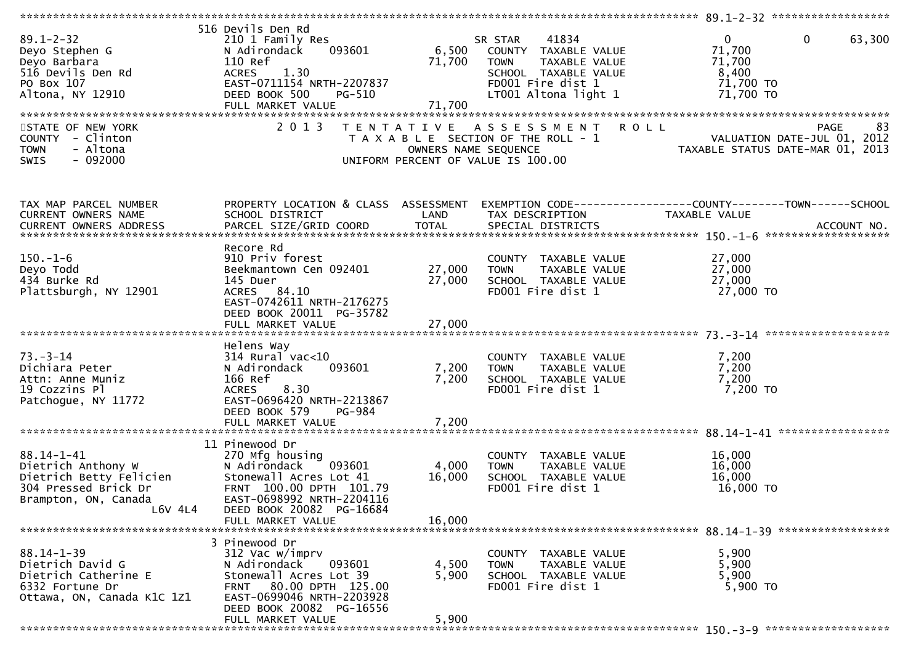| $89.1 - 2 - 32$<br>Deyo Stephen G<br>Deyo Barbara<br>516 Devils Den Rd<br>PO Box 107<br>Altona, NY 12910<br>STATE OF NEW YORK | 516 Devils Den Rd<br>210 1 Family Res<br>093601<br>N Adirondack<br>110 Ref<br><b>ACRES</b><br>1.30<br>EAST-0711154 NRTH-2207837<br>DEED BOOK 500<br><b>PG-510</b><br>2 0 1 3                 | 71,700<br>71,700        | 41834<br>SR STAR<br>6,500 COUNTY TAXABLE VALUE<br><b>TOWN</b><br>TAXABLE VALUE<br>SCHOOL TAXABLE VALUE<br>FD001 Fire dist 1<br>LT001 Altona light 1<br>TENTATIVE ASSESSMENT | $\mathbf{0}$<br>$\mathbf 0$<br>63,300<br>71,700<br>71,700<br>8,400<br>71,700 TO<br>71,700 TO<br><b>ROLL</b><br>83<br><b>PAGE</b> |
|-------------------------------------------------------------------------------------------------------------------------------|----------------------------------------------------------------------------------------------------------------------------------------------------------------------------------------------|-------------------------|-----------------------------------------------------------------------------------------------------------------------------------------------------------------------------|----------------------------------------------------------------------------------------------------------------------------------|
| COUNTY - Clinton                                                                                                              |                                                                                                                                                                                              |                         | T A X A B L E SECTION OF THE ROLL - 1                                                                                                                                       | VALUATION DATE-JUL 01, 2012                                                                                                      |
| - Altona<br><b>TOWN</b><br>$-092000$<br><b>SWIS</b>                                                                           |                                                                                                                                                                                              | OWNERS NAME SEQUENCE    | UNIFORM PERCENT OF VALUE IS 100.00                                                                                                                                          | TAXABLE STATUS DATE-MAR 01, 2013                                                                                                 |
| TAX MAP PARCEL NUMBER<br>CURRENT OWNERS NAME                                                                                  | PROPERTY LOCATION & CLASS ASSESSMENT<br>SCHOOL DISTRICT                                                                                                                                      | LAND                    | TAX DESCRIPTION                                                                                                                                                             | TAXABLE VALUE                                                                                                                    |
|                                                                                                                               |                                                                                                                                                                                              |                         |                                                                                                                                                                             |                                                                                                                                  |
|                                                                                                                               | Recore Rd                                                                                                                                                                                    |                         |                                                                                                                                                                             |                                                                                                                                  |
| $150.-1-6$                                                                                                                    | 910 Priv forest                                                                                                                                                                              |                         | COUNTY TAXABLE VALUE                                                                                                                                                        | 27,000                                                                                                                           |
| Deyo Todd<br>434 Burke Rd                                                                                                     | Beekmantown Cen 092401<br>145 Duer                                                                                                                                                           | 27,000<br>27,000        | TAXABLE VALUE<br><b>TOWN</b><br>SCHOOL TAXABLE VALUE                                                                                                                        | 27,000<br>27,000                                                                                                                 |
| Plattsburgh, NY 12901                                                                                                         | ACRES 84.10<br>EAST-0742611 NRTH-2176275<br>DEED BOOK 20011 PG-35782                                                                                                                         |                         | FD001 Fire dist 1                                                                                                                                                           | 27,000 TO                                                                                                                        |
|                                                                                                                               |                                                                                                                                                                                              |                         |                                                                                                                                                                             |                                                                                                                                  |
| $73. - 3 - 14$<br>Dichiara Peter<br>Attn: Anne Muniz<br>19 Cozzins Pl<br>Patchogue, NY 11772                                  | Helens Way<br>$314$ Rural vac<10<br>093601<br>N Adirondack<br>166 Ref<br>8.30<br><b>ACRES</b><br>EAST-0696420 NRTH-2213867<br>DEED BOOK 579<br>PG-984                                        | 7,200<br>7,200          | COUNTY TAXABLE VALUE<br>TAXABLE VALUE<br><b>TOWN</b><br>SCHOOL TAXABLE VALUE<br>FD001 Fire dist 1                                                                           | 7,200<br>7,200<br>7,200<br>7,200 TO                                                                                              |
|                                                                                                                               | FULL MARKET VALUE                                                                                                                                                                            | 7,200                   |                                                                                                                                                                             |                                                                                                                                  |
| $88.14 - 1 - 41$<br>Dietrich Anthony W<br>Dietrich Betty Felicien<br>304 Pressed Brick Dr<br>Brampton, ON, Canada<br>L6V 4L4  | 11 Pinewood Dr<br>270 Mfg housing<br>N Adirondack<br>093601<br>Stonewall Acres Lot 41<br>FRNT 100.00 DPTH 101.79<br>EAST-0698992 NRTH-2204116<br>DEED BOOK 20082 PG-16684                    | 4,000<br>16,000         | COUNTY TAXABLE VALUE<br>TAXABLE VALUE<br><b>TOWN</b><br>SCHOOL TAXABLE VALUE<br>FD001 Fire dist 1                                                                           | 16,000<br>16,000<br>16,000<br>16,000 TO                                                                                          |
|                                                                                                                               | FULL MARKET VALUE                                                                                                                                                                            | 16,000                  |                                                                                                                                                                             |                                                                                                                                  |
| $88.14 - 1 - 39$<br>Dietrich David G<br>Dietrich Catherine E<br>6332 Fortune Dr<br>Ottawa, ON, Canada K1C 1Z1                 | 3 Pinewood Dr<br>312 Vac w/imprv<br>N Adirondack<br>093601<br>Stonewall Acres Lot 39<br>FRNT 80.00 DPTH 125.00<br>EAST-0699046 NRTH-2203928<br>DEED BOOK 20082 PG-16556<br>FULL MARKET VALUE | 4,500<br>5,900<br>5,900 | COUNTY TAXABLE VALUE<br>TAXABLE VALUE<br><b>TOWN</b><br>SCHOOL TAXABLE VALUE<br>FD001 Fire dist 1                                                                           | 5,900<br>5,900<br>5,900<br>5,900 TO                                                                                              |
|                                                                                                                               |                                                                                                                                                                                              |                         |                                                                                                                                                                             |                                                                                                                                  |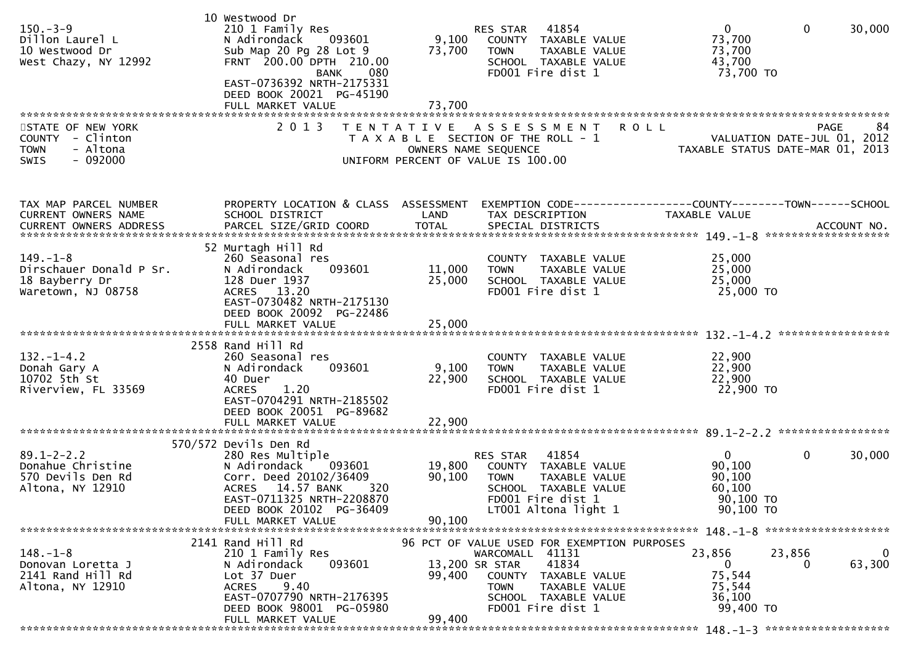| $150 - 3 - 9$<br>Dillon Laurel L<br>10 Westwood Dr<br>West Chazy, NY 12992        | 10 Westwood Dr<br>210 1 Family Res<br>N Adirondack<br>093601<br>Sub Map 20 Pg 28 Lot 9<br>FRNT 200.00 DPTH 210.00<br>080<br><b>BANK</b><br>EAST-0736392 NRTH-2175331<br>DEED BOOK 20021 PG-45190 | 9,100<br>73,700            | 41854<br>RES STAR<br>COUNTY TAXABLE VALUE<br><b>TOWN</b><br>TAXABLE VALUE<br>SCHOOL TAXABLE VALUE<br>FD001 Fire dist 1                                 | $\mathbf 0$<br>$\mathbf{0}$<br>30,000<br>73,700<br>73,700<br>43,700<br>73,700 TO       |
|-----------------------------------------------------------------------------------|--------------------------------------------------------------------------------------------------------------------------------------------------------------------------------------------------|----------------------------|--------------------------------------------------------------------------------------------------------------------------------------------------------|----------------------------------------------------------------------------------------|
| STATE OF NEW YORK                                                                 | 2 0 1 3                                                                                                                                                                                          | T E N T A T I V E          | A S S E S S M E N T<br><b>ROLL</b>                                                                                                                     | 84<br><b>PAGE</b>                                                                      |
| COUNTY - Clinton<br>- Altona<br><b>TOWN</b><br>$-092000$<br><b>SWIS</b>           |                                                                                                                                                                                                  | OWNERS NAME SEQUENCE       | T A X A B L E SECTION OF THE ROLL - 1<br>UNIFORM PERCENT OF VALUE IS 100.00                                                                            | VALUATION DATE-JUL 01, 2012<br>TAXABLE STATUS DATE-MAR 01, 2013                        |
| TAX MAP PARCEL NUMBER                                                             | PROPERTY LOCATION & CLASS ASSESSMENT                                                                                                                                                             |                            |                                                                                                                                                        | EXEMPTION CODE-----------------COUNTY-------TOWN------SCHOOL                           |
| CURRENT OWNERS NAME                                                               | SCHOOL DISTRICT                                                                                                                                                                                  | LAND                       | TAX DESCRIPTION                                                                                                                                        | TAXABLE VALUE                                                                          |
|                                                                                   |                                                                                                                                                                                                  |                            |                                                                                                                                                        |                                                                                        |
| $149. - 1 - 8$<br>Dirschauer Donald P Sr.<br>18 Bayberry Dr<br>Waretown, NJ 08758 | 52 Murtagh Hill Rd<br>260 Seasonal res<br>093601<br>N Adirondack<br>128 Duer 1937<br>ACRES 13.20<br>EAST-0730482 NRTH-2175130<br>DEED BOOK 20092 PG-22486<br>FULL MARKET VALUE                   | 11,000<br>25,000<br>25,000 | COUNTY TAXABLE VALUE<br>TAXABLE VALUE<br><b>TOWN</b><br>SCHOOL TAXABLE VALUE<br>FD001 Fire dist 1                                                      | 25,000<br>25,000<br>25,000<br>25,000 TO                                                |
|                                                                                   |                                                                                                                                                                                                  |                            |                                                                                                                                                        |                                                                                        |
| $132. - 1 - 4.2$<br>Donah Gary A<br>10702 5th St<br>Riverview, FL 33569           | 2558 Rand Hill Rd<br>260 Seasonal res<br>093601<br>N Adirondack<br>40 Duer<br>1.20<br><b>ACRES</b><br>EAST-0704291 NRTH-2185502<br>DEED BOOK 20051 PG-89682                                      | 9,100<br>22,900            | COUNTY TAXABLE VALUE<br>TAXABLE VALUE<br><b>TOWN</b><br>SCHOOL TAXABLE VALUE<br>FD001 Fire dist 1                                                      | 22,900<br>22,900<br>22,900<br>22,900 TO                                                |
|                                                                                   |                                                                                                                                                                                                  |                            |                                                                                                                                                        |                                                                                        |
|                                                                                   |                                                                                                                                                                                                  |                            |                                                                                                                                                        |                                                                                        |
| $89.1 - 2 - 2.2$<br>Donahue Christine<br>570 Devils Den Rd<br>Altona, NY 12910    | 570/572 Devils Den Rd<br>280 Res Multiple<br>N Adirondack<br>093601<br>Corr. Deed 20102/36409<br>ACRES 14.57 BANK<br>320<br>EAST-0711325 NRTH-2208870<br>DEED BOOK 20102 PG-36409                | 19,800<br>90,100           | RES STAR<br>41854<br>COUNTY TAXABLE VALUE<br><b>TOWN</b><br>TAXABLE VALUE<br>SCHOOL TAXABLE VALUE<br>FD001 Fire dist 1<br>LT001 Altona light 1         | $\mathbf{0}$<br>0<br>30,000<br>90,100<br>90,100<br>60,100<br>90,100 TO<br>90,100 ТО    |
|                                                                                   | FULL MARKET VALUE                                                                                                                                                                                | 90,100                     |                                                                                                                                                        |                                                                                        |
|                                                                                   | 2141 Rand Hill Rd                                                                                                                                                                                |                            | 96 PCT OF VALUE USED FOR EXEMPTION PURPOSES                                                                                                            |                                                                                        |
| $148. - 1 - 8$<br>Donovan Loretta J<br>2141 Rand Hill Rd<br>Altona, NY 12910      | 210 1 Family Res<br>093601<br>N Adirondack<br>Lot 37 Duer<br><b>ACRES</b><br>9.40<br>EAST-0707790 NRTH-2176395<br>DEED BOOK 98001 PG-05980<br>FULL MARKET VALUE                                  | 99,400<br>99,400           | WARCOMALL 41131<br>41834<br>13,200 SR STAR<br>COUNTY TAXABLE VALUE<br><b>TOWN</b><br><b>TAXABLE VALUE</b><br>SCHOOL TAXABLE VALUE<br>FD001 Fire dist 1 | 23,856<br>23,856<br>0<br>63,300<br>$\Omega$<br>75,544<br>75,544<br>36,100<br>99,400 TO |
|                                                                                   |                                                                                                                                                                                                  |                            |                                                                                                                                                        |                                                                                        |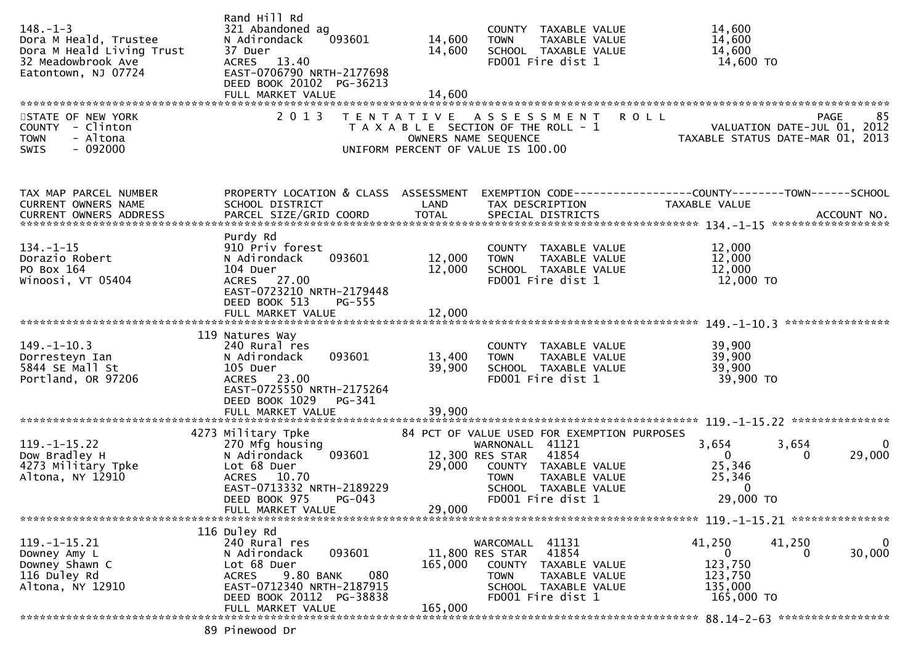| $148. - 1 - 3$<br>Dora M Heald, Trustee<br>Dora M Heald Living Trust<br>32 Meadowbrook Ave<br>Eatontown, NJ 07724 | Rand Hill Rd<br>321 Abandoned ag<br>093601<br>N Adirondack<br>37 Duer<br>ACRES 13.40<br>EAST-0706790 NRTH-2177698<br>DEED BOOK 20102 PG-36213<br>FULL MARKET VALUE      | 14,600<br>14,600<br>14,600 | COUNTY TAXABLE VALUE<br><b>TOWN</b><br>TAXABLE VALUE<br>SCHOOL TAXABLE VALUE<br>FD001 Fire dist 1                                                                                               | 14,600<br>14,600<br>14,600<br>14,600 TO                                                            |
|-------------------------------------------------------------------------------------------------------------------|-------------------------------------------------------------------------------------------------------------------------------------------------------------------------|----------------------------|-------------------------------------------------------------------------------------------------------------------------------------------------------------------------------------------------|----------------------------------------------------------------------------------------------------|
| STATE OF NEW YORK<br>COUNTY - Clinton<br>- Altona<br><b>TOWN</b><br>$-092000$<br><b>SWIS</b>                      | 2 0 1 3                                                                                                                                                                 | OWNERS NAME SEQUENCE       | TENTATIVE ASSESSMENT<br>T A X A B L E SECTION OF THE ROLL - 1<br>UNIFORM PERCENT OF VALUE IS 100.00                                                                                             | <b>ROLL</b><br>85<br>PAGE<br>VALUATION DATE-JUL 01, 2012<br>TAXABLE STATUS DATE-MAR 01, 2013       |
| TAX MAP PARCEL NUMBER<br>CURRENT OWNERS NAME                                                                      | PROPERTY LOCATION & CLASS ASSESSMENT<br>SCHOOL DISTRICT<br>Purdy Rd                                                                                                     | LAND                       | TAX DESCRIPTION                                                                                                                                                                                 | <b>TAXABLE VALUE</b>                                                                               |
| $134. - 1 - 15$<br>Dorazio Robert<br>PO Box 164<br>Winoosi, VT 05404                                              | 910 Priv forest<br>N Adirondack<br>093601<br>104 Duer<br>ACRES 27.00<br>EAST-0723210 NRTH-2179448<br>DEED BOOK 513<br><b>PG-555</b>                                     | 12,000<br>12,000           | COUNTY TAXABLE VALUE<br><b>TOWN</b><br>TAXABLE VALUE<br>SCHOOL TAXABLE VALUE<br>FD001 Fire dist 1                                                                                               | 12,000<br>12,000<br>12,000<br>12,000 TO                                                            |
|                                                                                                                   | FULL MARKET VALUE                                                                                                                                                       | 12,000                     |                                                                                                                                                                                                 |                                                                                                    |
| 149. –1–10.3<br>Dorresteyn Ian<br>5844 SE Mall St<br>Portland, OR 97206                                           | 119 Natures Way<br>240 Rural res<br>N Adirondack<br>093601<br>105 Duer<br>ACRES 23.00<br>EAST-0725550 NRTH-2175264<br>DEED BOOK 1029<br>PG-341                          | 13,400<br>39,900           | COUNTY TAXABLE VALUE<br>TAXABLE VALUE<br><b>TOWN</b><br>SCHOOL TAXABLE VALUE<br>FD001 Fire dist 1                                                                                               | 39,900<br>39,900<br>39,900<br>39,900 TO                                                            |
|                                                                                                                   |                                                                                                                                                                         |                            |                                                                                                                                                                                                 |                                                                                                    |
| $119. - 1 - 15.22$<br>Dow Bradley H<br>4273 Military Tpke<br>Altona, NY 12910                                     | 4273 Military Tpke<br>270 Mfg housing<br>093601<br>N Adirondack<br>Lot 68 Duer<br>ACRES 10.70<br>EAST-0713332 NRTH-2189229<br>DEED BOOK 975 PG-043<br>FULL MARKET VALUE | 29,000<br>29,000           | 84 PCT OF VALUE USED FOR EXEMPTION PURPOSES<br>WARNONALL 41121<br>41854<br>12,300 RES STAR<br>COUNTY TAXABLE VALUE<br>TAXABLE VALUE<br><b>TOWN</b><br>SCHOOL TAXABLE VALUE<br>FD001 Fire dist 1 | 3,654<br>3,654<br>0<br>0<br>29,000<br>0<br>25,346<br>25,346<br>0<br>29,000 TO                      |
|                                                                                                                   |                                                                                                                                                                         |                            |                                                                                                                                                                                                 |                                                                                                    |
| $119. - 1 - 15.21$<br>Downey Amy L<br>Downey Shawn C<br>116 Duley Rd<br>Altona, NY 12910                          | 116 Duley Rd<br>240 Rural res<br>093601<br>N Adirondack<br>Lot 68 Duer<br>9.80 BANK<br>080<br><b>ACRES</b><br>EAST-0712340 NRTH-2187915<br>DEED BOOK 20112 PG-38838     | 165,000                    | WARCOMALL 41131<br>41854<br>11,800 RES STAR<br>COUNTY TAXABLE VALUE<br><b>TOWN</b><br>TAXABLE VALUE<br>SCHOOL TAXABLE VALUE<br>FD001 Fire dist 1                                                | 41,250<br>41,250<br>0<br>30,000<br>0<br>$\mathbf 0$<br>123,750<br>123,750<br>135,000<br>165,000 TO |
|                                                                                                                   | FULL MARKET VALUE                                                                                                                                                       | 165,000                    |                                                                                                                                                                                                 |                                                                                                    |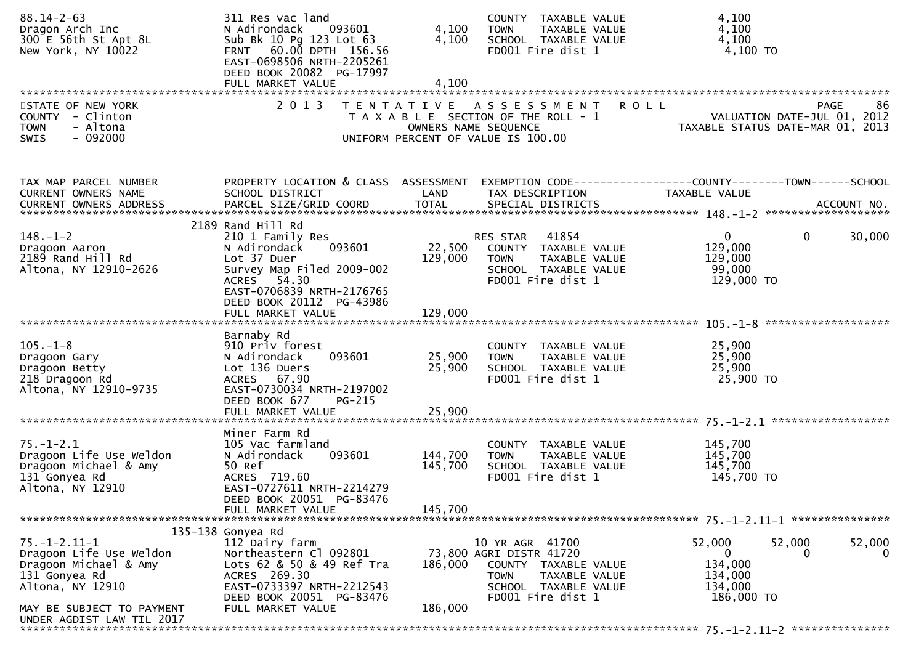| $88.14 - 2 - 63$<br>Dragon Arch Inc<br>300 E 56th St Apt 8L<br>New York, NY 10022                             | 311 Res vac land<br>N Adirondack<br>093601<br>Sub Bk 10 Pg 123 Lot 63<br>FRNT 60.00 DPTH 156.56<br>EAST-0698506 NRTH-2205261<br>DEED BOOK 20082 PG-17997<br>FULL MARKET VALUE       | 4,100<br>4,100<br>4,100       | COUNTY TAXABLE VALUE<br>TAXABLE VALUE<br><b>TOWN</b><br>SCHOOL TAXABLE VALUE<br>FD001 Fire dist 1                                               | 4,100<br>4,100<br>4,100<br>4,100 TO                                                  |                    |
|---------------------------------------------------------------------------------------------------------------|-------------------------------------------------------------------------------------------------------------------------------------------------------------------------------------|-------------------------------|-------------------------------------------------------------------------------------------------------------------------------------------------|--------------------------------------------------------------------------------------|--------------------|
| STATE OF NEW YORK<br>COUNTY - Clinton<br>- Altona<br><b>TOWN</b>                                              | 2 0 1 3                                                                                                                                                                             |                               | TENTATIVE ASSESSMENT ROLL<br>T A X A B L E SECTION OF THE ROLL - 1<br>OWNERS NAME SEQUENCE                                                      | VALUATION DATE-JUL 01, 2012<br>TAXABLE STATUS DATE-MAR 01, 2013                      | 86<br>PAGE         |
| $-092000$<br>SWIS                                                                                             |                                                                                                                                                                                     |                               | UNIFORM PERCENT OF VALUE IS 100.00                                                                                                              |                                                                                      |                    |
| TAX MAP PARCEL NUMBER<br>CURRENT OWNERS NAME                                                                  | PROPERTY LOCATION & CLASS ASSESSMENT<br>SCHOOL DISTRICT                                                                                                                             | LAND                          | TAX DESCRIPTION                                                                                                                                 | EXEMPTION CODE-----------------COUNTY-------TOWN------SCHOOL<br>TAXABLE VALUE        |                    |
|                                                                                                               |                                                                                                                                                                                     |                               |                                                                                                                                                 |                                                                                      |                    |
| $148. - 1 - 2$<br>Dragoon Aaron<br>$2189$ Rand Hill Rd<br>Altona, NY 12910-2626                               | 2189 Rand Hill Rd<br>210 1 Family Res<br>N Adirondack<br>093601<br>Lot 37 Duer<br>Survey Map Filed 2009-002<br>ACRES 54.30<br>EAST-0706839 NRTH-2176765<br>DEED BOOK 20112 PG-43986 | 22,500<br>129,000             | RES STAR 41854<br>COUNTY TAXABLE VALUE<br><b>TOWN</b><br>TAXABLE VALUE<br>SCHOOL TAXABLE VALUE<br>FD001 Fire dist 1                             | $\mathbf{0}$<br>0<br>129,000<br>129,000<br>99,000<br>129,000 TO                      | 30,000             |
|                                                                                                               | FULL MARKET VALUE                                                                                                                                                                   | 129,000                       |                                                                                                                                                 |                                                                                      |                    |
| $105. - 1 - 8$<br>Dragoon Gary<br>Dragoon Betty<br>218 Dragoon Rd<br>Altona, NY 12910-9735                    | Barnaby Rd<br>910 Priv forest<br>093601<br>N Adirondack<br>Lot 136 Duers<br>ACRES 67.90<br>EAST-0730034 NRTH-2197002<br>DEED BOOK 677<br>PG-215                                     | 25,900<br>25,900              | COUNTY TAXABLE VALUE<br><b>TOWN</b><br>TAXABLE VALUE<br>SCHOOL TAXABLE VALUE<br>FD001 Fire dist 1                                               | 25,900<br>25,900<br>25,900<br>25,900 TO                                              |                    |
|                                                                                                               | FULL MARKET VALUE                                                                                                                                                                   | 25,900                        |                                                                                                                                                 |                                                                                      |                    |
| $75. - 1 - 2.1$<br>Dragoon Life Use Weldon<br>Dragoon Michael & Amy<br>131 Gonyea Rd<br>Altona, NY 12910      | Miner Farm Rd<br>105 Vac farmland<br>N Adirondack<br>093601<br>50 Ref<br>ACRES 719.60<br>EAST-0727611 NRTH-2214279<br>DEED BOOK 20051 PG-83476<br>FULL MARKET VALUE                 | 144,700<br>145,700<br>145,700 | COUNTY TAXABLE VALUE<br>TAXABLE VALUE<br><b>TOWN</b><br>SCHOOL TAXABLE VALUE<br>FD001 Fire dist 1                                               | 145,700<br>145,700<br>145,700<br>145,700 TO                                          |                    |
|                                                                                                               |                                                                                                                                                                                     |                               |                                                                                                                                                 |                                                                                      |                    |
| $75. - 1 - 2.11 - 1$<br>Dragoon Life Use Weldon<br>Dragoon Michael & Amy<br>131 Gonyea Rd<br>Altona, NY 12910 | 135-138 Gonyea Rd<br>112 Dairy farm<br>Northeastern Cl 092801<br>Lots 62 & 50 & 49 Ref Tra<br>ACRES 269.30<br>EAST-0733397 NRTH-2212543<br>DEED BOOK 20051 PG-83476                 | 186,000                       | 10 YR AGR 41700<br>73,800 AGRI DISTR 41720<br>COUNTY TAXABLE VALUE<br><b>TOWN</b><br>TAXABLE VALUE<br>SCHOOL TAXABLE VALUE<br>FD001 Fire dist 1 | 52,000<br>52,000<br>$\mathbf{0}$<br>0<br>134,000<br>134,000<br>134,000<br>186,000 TO | 52,000<br>$\Omega$ |
| MAY BE SUBJECT TO PAYMENT<br>UNDER AGDIST LAW TIL 2017                                                        | FULL MARKET VALUE                                                                                                                                                                   | 186,000                       |                                                                                                                                                 |                                                                                      |                    |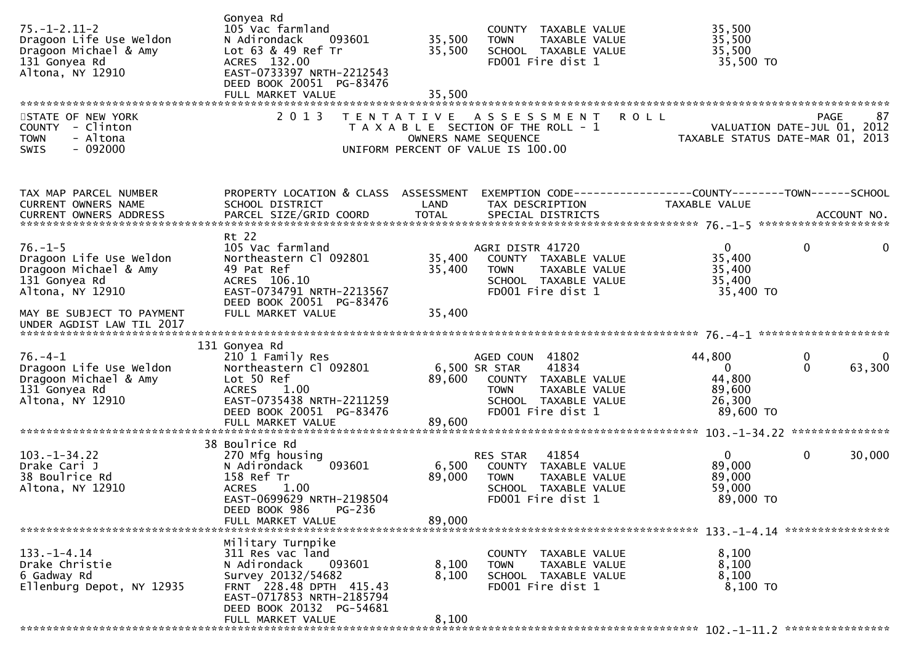| $75. - 1 - 2.11 - 2$<br>Dragoon Life Use Weldon<br>Dragoon Michael & Amy<br>131 Gonyea Rd<br>Altona, NY 12910 | Gonyea Rd<br>105 Vac farmland<br>N Adirondack<br>093601<br>Lot 63 & 49 Ref Tr<br>ACRES 132.00<br>EAST-0733397 NRTH-2212543<br>DEED BOOK 20051 PG-83476<br>FULL MARKET VALUE | 35,500<br>35,500<br>35,500 | COUNTY TAXABLE VALUE<br><b>TOWN</b><br>TAXABLE VALUE<br>SCHOOL TAXABLE VALUE<br>FD001 Fire dist 1                                              | 35,500<br>35,500<br>35,500<br>35,500 TO                                       |                                           |
|---------------------------------------------------------------------------------------------------------------|-----------------------------------------------------------------------------------------------------------------------------------------------------------------------------|----------------------------|------------------------------------------------------------------------------------------------------------------------------------------------|-------------------------------------------------------------------------------|-------------------------------------------|
| STATE OF NEW YORK<br>COUNTY - Clinton<br>- Altona<br><b>TOWN</b><br>$-092000$<br><b>SWIS</b>                  | 2 0 1 3                                                                                                                                                                     | T E N T A T I V E          | A S S E S S M E N T<br>T A X A B L E SECTION OF THE ROLL - 1<br>OWNERS NAME SEQUENCE<br>UNIFORM PERCENT OF VALUE IS 100.00                     | <b>ROLL</b><br>TAXABLE STATUS DATE-MAR 01, 2013                               | PAGE<br>87<br>VALUATION DATE-JUL 01, 2012 |
| TAX MAP PARCEL NUMBER<br>CURRENT OWNERS NAME<br><b>CURRENT OWNERS ADDRESS</b>                                 | PROPERTY LOCATION & CLASS ASSESSMENT<br>SCHOOL DISTRICT<br>PARCEL SIZE/GRID COORD                                                                                           | LAND<br><b>TOTAL</b>       | TAX DESCRIPTION<br>SPECIAL DISTRICTS                                                                                                           | EXEMPTION CODE-----------------COUNTY-------TOWN------SCHOOL<br>TAXABLE VALUE | ACCOUNT NO.                               |
| $76. - 1 - 5$<br>Dragoon Life Use Weldon<br>Dragoon Michael & Amy<br>131 Gonyea Rd<br>Altona, NY 12910        | Rt 22<br>105 Vac farmland<br>Northeastern Cl 092801<br>49 Pat Ref<br>ACRES 106.10<br>EAST-0734791 NRTH-2213567<br>DEED BOOK 20051 PG-83476                                  | 35,400<br>35,400           | AGRI DISTR 41720<br>COUNTY TAXABLE VALUE<br><b>TOWN</b><br>TAXABLE VALUE<br>SCHOOL TAXABLE VALUE<br>FD001 Fire dist 1                          | $\mathbf{0}$<br>35,400<br>35,400<br>35,400<br>35,400 TO                       | $\mathbf{0}$<br>0                         |
| MAY BE SUBJECT TO PAYMENT<br>UNDER AGDIST LAW TIL 2017                                                        | FULL MARKET VALUE                                                                                                                                                           | 35,400                     |                                                                                                                                                |                                                                               |                                           |
| $76. - 4 - 1$<br>Dragoon Life Use Weldon<br>Dragoon Michael & Amy<br>131 Gonyea Rd<br>Altona, NY 12910        | 131 Gonyea Rd<br>210 1 Family Res<br>Northeastern Cl 092801<br>Lot 50 Ref<br><b>ACRES</b><br>1.00<br>EAST-0735438 NRTH-2211259<br>DEED BOOK 20051 PG-83476                  | 89,600                     | AGED COUN 41802<br>6,500 SR STAR<br>41834<br>COUNTY TAXABLE VALUE<br>TAXABLE VALUE<br><b>TOWN</b><br>SCHOOL TAXABLE VALUE<br>FD001 Fire dist 1 | 44,800<br>$\mathbf{0}$<br>44,800<br>89,600<br>26,300<br>89,600 TO             | 0<br>$\Omega$<br>$\Omega$<br>63,300       |
|                                                                                                               | FULL MARKET VALUE                                                                                                                                                           | 89,600                     |                                                                                                                                                |                                                                               |                                           |
| $103. - 1 - 34.22$<br>Drake Cari J<br>38 Boulrice Rd<br>Altona, NY 12910                                      | 38 Boulrice Rd<br>270 Mfg housing<br>N Adirondack<br>093601<br>158 Ref Tr<br><b>ACRES</b><br>1.00<br>EAST-0699629 NRTH-2198504<br>DEED BOOK 986<br>PG-236                   | 6,500<br>89,000            | 41854<br>RES STAR<br>COUNTY TAXABLE VALUE<br>TAXABLE VALUE<br><b>TOWN</b><br>SCHOOL TAXABLE VALUE<br>FD001 Fire dist 1                         | $\mathbf{0}$<br>89,000<br>89,000<br>59,000<br>89,000 TO                       | $\mathbf 0$<br>30,000                     |
|                                                                                                               | FULL MARKET VALUE                                                                                                                                                           | 89,000                     |                                                                                                                                                |                                                                               |                                           |
| $133. - 1 - 4.14$<br>Drake Christie<br>6 Gadway Rd<br>Ellenburg Depot, NY 12935                               | Military Turnpike<br>311 Res vac land<br>093601<br>N Adirondack<br>Survey 20132/54682<br>FRNT 228.48 DPTH 415.43<br>EAST-0717853 NRTH-2185794<br>DEED BOOK 20132 PG-54681   | 8,100<br>8,100             | COUNTY TAXABLE VALUE<br><b>TOWN</b><br>TAXABLE VALUE<br>SCHOOL TAXABLE VALUE<br>FD001 Fire dist 1                                              | 8,100<br>8,100<br>8,100<br>8,100 TO                                           |                                           |
|                                                                                                               | FULL MARKET VALUE                                                                                                                                                           | 8,100                      |                                                                                                                                                |                                                                               |                                           |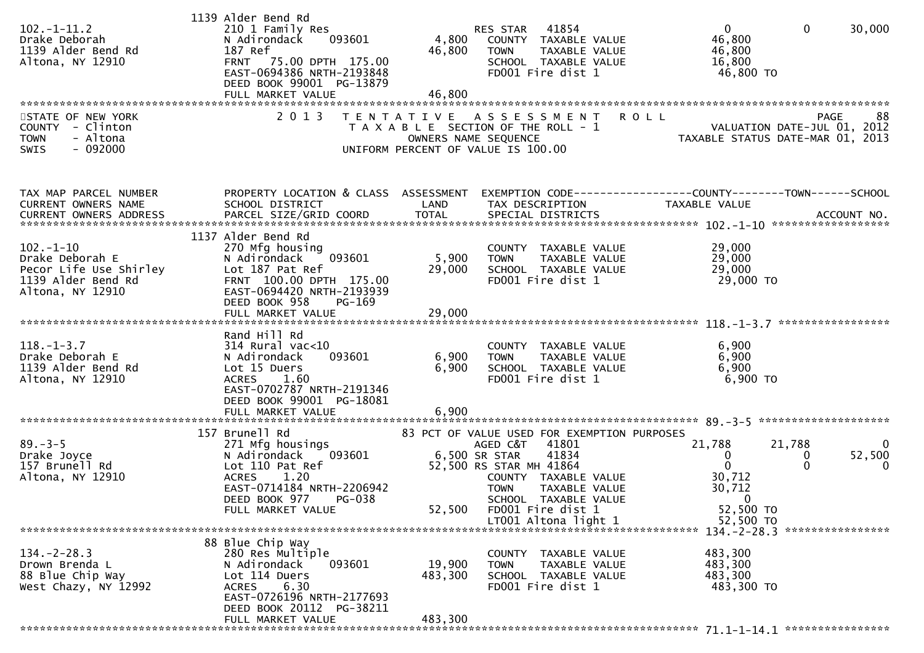|                         | 1139 Alder Bend Rd                                |         |                                             |                                                                 |                          |
|-------------------------|---------------------------------------------------|---------|---------------------------------------------|-----------------------------------------------------------------|--------------------------|
| $102. -1 - 11.2$        | 210 1 Family Res                                  |         | 41854<br>RES STAR                           | $\mathbf{0}$                                                    | $\mathbf{0}$<br>30,000   |
| Drake Deborah           | N Adirondack<br>093601                            |         | 4,800 COUNTY TAXABLE VALUE                  | 46,800                                                          |                          |
| 1139 Alder Bend Rd      | 187 Ref                                           | 46,800  | TAXABLE VALUE<br><b>TOWN</b>                | 46,800                                                          |                          |
| Altona, NY 12910        | FRNT 75.00 DPTH 175.00                            |         | SCHOOL TAXABLE VALUE                        | 16,800                                                          |                          |
|                         | EAST-0694386 NRTH-2193848                         |         | FD001 Fire dist 1                           | 46,800 TO                                                       |                          |
|                         | DEED BOOK 99001 PG-13879                          |         |                                             |                                                                 |                          |
|                         | FULL MARKET VALUE                                 | 46,800  |                                             |                                                                 |                          |
|                         |                                                   |         |                                             |                                                                 |                          |
| STATE OF NEW YORK       | 2 0 1 3                                           |         | TENTATIVE ASSESSMENT                        | <b>ROLL</b>                                                     | 88<br><b>PAGE</b>        |
| COUNTY - Clinton        |                                                   |         | T A X A B L E SECTION OF THE ROLL - 1       | VALUATION DATE-JUL 01, 2012<br>TAXABLE STATUS DATE-MAR 01, 2013 |                          |
| - Altona<br><b>TOWN</b> |                                                   |         | OWNERS NAME SEQUENCE                        |                                                                 |                          |
| $-092000$<br>SWIS       |                                                   |         | UNIFORM PERCENT OF VALUE IS 100.00          |                                                                 |                          |
|                         |                                                   |         |                                             |                                                                 |                          |
|                         |                                                   |         |                                             |                                                                 |                          |
| TAX MAP PARCEL NUMBER   | PROPERTY LOCATION & CLASS ASSESSMENT              |         |                                             | EXEMPTION CODE-----------------COUNTY-------TOWN------SCHOOL    |                          |
| CURRENT OWNERS NAME     | SCHOOL DISTRICT                                   | LAND    | TAX DESCRIPTION                             | TAXABLE VALUE                                                   |                          |
|                         |                                                   |         |                                             |                                                                 |                          |
|                         |                                                   |         |                                             |                                                                 |                          |
|                         | 1137 Alder Bend Rd                                |         |                                             |                                                                 |                          |
| $102. - 1 - 10$         | 270 Mfg housing                                   |         | COUNTY TAXABLE VALUE                        | 29,000                                                          |                          |
| Drake Deborah E         | 093601<br>N Adirondack                            | 5,900   | TAXABLE VALUE<br><b>TOWN</b>                | 29,000                                                          |                          |
| Pecor Life Use Shirley  | Lot 187 Pat Ref                                   | 29,000  | SCHOOL TAXABLE VALUE                        | 29,000                                                          |                          |
| 1139 Alder Bend Rd      | FRNT 100.00 DPTH 175.00                           |         | FD001 Fire dist 1                           | 29,000 TO                                                       |                          |
| Altona, NY 12910        | EAST-0694420 NRTH-2193939                         |         |                                             |                                                                 |                          |
|                         | DEED BOOK 958<br>PG-169                           |         |                                             |                                                                 |                          |
|                         | FULL MARKET VALUE                                 | 29,000  |                                             |                                                                 |                          |
|                         |                                                   |         |                                             |                                                                 |                          |
|                         | Rand Hill Rd                                      |         |                                             |                                                                 |                          |
| $118. - 1 - 3.7$        | 314 Rural vac<10                                  |         | COUNTY TAXABLE VALUE                        | 6,900                                                           |                          |
| Drake Deborah E         | 093601<br>N Adirondack                            | 6,900   | TAXABLE VALUE<br><b>TOWN</b>                | 6,900                                                           |                          |
| 1139 Alder Bend Rd      | Lot 15 Duers                                      | 6,900   | SCHOOL TAXABLE VALUE                        | 6,900                                                           |                          |
| Altona, NY 12910        | <b>ACRES</b><br>1.60                              |         | FD001 Fire dist 1                           | 6,900 TO                                                        |                          |
|                         | EAST-0702787 NRTH-2191346                         |         |                                             |                                                                 |                          |
|                         | DEED BOOK 99001 PG-18081                          |         |                                             |                                                                 |                          |
|                         | FULL MARKET VALUE                                 | 6,900   |                                             |                                                                 |                          |
|                         |                                                   |         |                                             |                                                                 |                          |
|                         | 157 Brunell Rd                                    |         | 83 PCT OF VALUE USED FOR EXEMPTION PURPOSES |                                                                 |                          |
| $89. - 3 - 5$           | 271 Mfg housings                                  |         | AGED C&T<br>41801                           | 21,788                                                          | 21,788<br>$\Omega$       |
| Drake Joyce             | N Adirondack<br>093601                            |         | 6,500 SR STAR<br>41834                      | $\mathbf{0}$                                                    | 52,500<br>0              |
| 157 Brunell Rd          | Lot 110 Pat Ref                                   |         | 52,500 RS STAR MH 41864                     | $\Omega$                                                        | $\mathbf{0}$<br>$\Omega$ |
| Altona, NY 12910        | 1.20<br><b>ACRES</b>                              |         | COUNTY TAXABLE VALUE                        | 30,712                                                          |                          |
|                         | EAST-0714184 NRTH-2206942                         |         | <b>TOWN</b><br>TAXABLE VALUE                | 30,712                                                          |                          |
|                         | DEED BOOK 977<br><b>PG-038</b>                    |         | SCHOOL TAXABLE VALUE                        | $\overline{0}$                                                  |                          |
|                         | FULL MARKET VALUE                                 | 52,500  | FD001 Fire dist 1                           | 52,500 TO                                                       |                          |
|                         |                                                   |         | LT001 Altona light 1                        | 52,500 TO                                                       |                          |
|                         |                                                   |         |                                             |                                                                 |                          |
|                         | 88 Blue Chip Way                                  |         |                                             |                                                                 |                          |
| $134 - 2 - 28.3$        | 280 Res Multiple                                  |         | COUNTY TAXABLE VALUE                        | 483,300                                                         |                          |
| Drown Brenda L          | N Adirondack<br>093601                            | 19,900  | TAXABLE VALUE<br><b>TOWN</b>                | 483,300                                                         |                          |
| 88 Blue Chip Way        | Lot 114 Duers                                     | 483,300 | SCHOOL TAXABLE VALUE                        | 483,300                                                         |                          |
| West Chazy, NY 12992    | 6.30<br><b>ACRES</b><br>EAST-0726196 NRTH-2177693 |         | FD001 Fire dist 1                           | 483,300 TO                                                      |                          |
|                         | DEED BOOK 20112 PG-38211                          |         |                                             |                                                                 |                          |
|                         |                                                   | 483,300 |                                             |                                                                 |                          |
|                         | FULL MARKET VALUE                                 |         |                                             |                                                                 |                          |
|                         |                                                   |         |                                             |                                                                 |                          |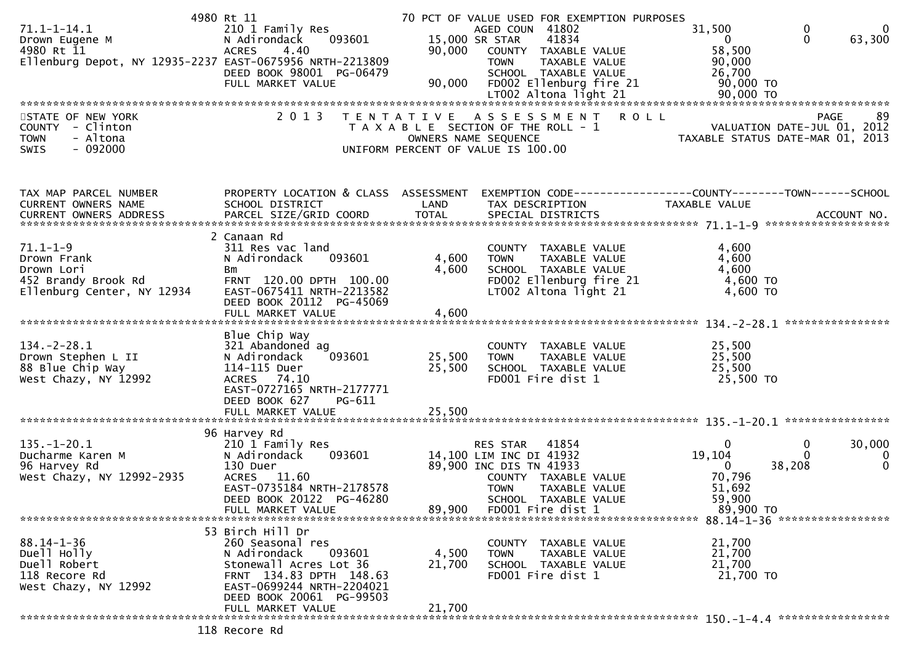|                                                          | 4980 Rt 11                           |                   | 70 PCT OF VALUE USED FOR EXEMPTION PURPOSES |                                                              |                   |
|----------------------------------------------------------|--------------------------------------|-------------------|---------------------------------------------|--------------------------------------------------------------|-------------------|
| $71.1 - 1 - 14.1$                                        | 210 1 Family Res                     |                   | AGED COUN 41802                             | 31,500<br>0                                                  | $\Omega$          |
| Drown Eugene M                                           | 093601<br>N Adirondack               |                   | 15,000 SR STAR<br>41834                     | $\mathbf{0}$<br>$\mathbf{0}$                                 | 63,300            |
| 4980 Rt 11                                               | 4.40<br><b>ACRES</b>                 |                   | 90,000 COUNTY TAXABLE VALUE                 | 58,500                                                       |                   |
| Ellenburg Depot, NY 12935-2237 EAST-0675956 NRTH-2213809 |                                      |                   | TAXABLE VALUE<br><b>TOWN</b>                | 90,000                                                       |                   |
|                                                          | DEED BOOK 98001 PG-06479             |                   | SCHOOL TAXABLE VALUE                        | 26,700                                                       |                   |
|                                                          | FULL MARKET VALUE                    | 90,000            | FD002 Ellenburg fire 21                     | 90,000 TO                                                    |                   |
|                                                          |                                      |                   |                                             | 90,000 TO                                                    |                   |
|                                                          |                                      |                   | LT002 Altona light 21                       |                                                              |                   |
|                                                          |                                      |                   |                                             |                                                              |                   |
| STATE OF NEW YORK                                        | 2 0 1 3                              | T E N T A T I V E | ASSESSMENT ROLL                             |                                                              | <b>PAGE</b><br>89 |
| COUNTY - Clinton                                         |                                      |                   | T A X A B L E SECTION OF THE ROLL - 1       | VALUATION DATE-JUL 01, 2012                                  |                   |
| - Altona<br><b>TOWN</b>                                  |                                      |                   | OWNERS NAME SEQUENCE                        | TAXABLE STATUS DATE-MAR 01, 2013                             |                   |
| $-092000$<br>SWIS                                        |                                      |                   | UNIFORM PERCENT OF VALUE IS 100.00          |                                                              |                   |
|                                                          |                                      |                   |                                             |                                                              |                   |
|                                                          |                                      |                   |                                             |                                                              |                   |
| TAX MAP PARCEL NUMBER                                    | PROPERTY LOCATION & CLASS ASSESSMENT |                   |                                             | EXEMPTION CODE-----------------COUNTY-------TOWN------SCHOOL |                   |
| CURRENT OWNERS NAME                                      | SCHOOL DISTRICT                      | LAND              | TAX DESCRIPTION                             | TAXABLE VALUE                                                |                   |
|                                                          |                                      |                   |                                             |                                                              |                   |
|                                                          |                                      |                   |                                             |                                                              |                   |
|                                                          | 2 Canaan Rd                          |                   |                                             |                                                              |                   |
| $71.1 - 1 - 9$                                           | 311 Res vac land                     |                   | COUNTY TAXABLE VALUE                        | 4,600                                                        |                   |
| Drown Frank                                              | N Adirondack<br>093601               | 4,600             | TAXABLE VALUE<br><b>TOWN</b>                | 4,600                                                        |                   |
| Drown Lori                                               | Bm                                   | 4,600             | SCHOOL TAXABLE VALUE                        | 4,600                                                        |                   |
| 452 Brandy Brook Rd                                      | FRNT 120.00 DPTH 100.00              |                   | FD002 Ellenburg fire 21                     | 4,600 TO                                                     |                   |
| Ellenburg Center, NY 12934                               | EAST-0675411 NRTH-2213582            |                   | LT002 Altona light 21                       | $4,600$ TO                                                   |                   |
|                                                          | DEED BOOK 20112 PG-45069             |                   |                                             |                                                              |                   |
|                                                          | FULL MARKET VALUE                    | 4,600             |                                             |                                                              |                   |
|                                                          |                                      |                   |                                             |                                                              |                   |
|                                                          | Blue Chip Way                        |                   |                                             |                                                              |                   |
| $134. - 2 - 28.1$                                        | 321 Abandoned ag                     |                   | COUNTY TAXABLE VALUE                        | 25,500                                                       |                   |
| Drown Stephen L II                                       | 093601<br>N Adirondack               | 25,500            | TAXABLE VALUE<br><b>TOWN</b>                | 25,500                                                       |                   |
| 88 Blue Chip Way                                         | 114-115 Duer                         | 25,500            | SCHOOL TAXABLE VALUE                        | 25,500                                                       |                   |
| West Chazy, NY 12992                                     | ACRES 74.10                          |                   | FD001 Fire dist 1                           | 25,500 TO                                                    |                   |
|                                                          | EAST-0727165 NRTH-2177771            |                   |                                             |                                                              |                   |
|                                                          |                                      |                   |                                             |                                                              |                   |
|                                                          | DEED BOOK 627<br>PG-611              |                   |                                             |                                                              |                   |
|                                                          | FULL MARKET VALUE                    | 25,500            |                                             |                                                              |                   |
|                                                          |                                      |                   |                                             |                                                              |                   |
|                                                          | 96 Harvey Rd                         |                   |                                             |                                                              |                   |
| $135. - 1 - 20.1$                                        | 210 1 Family Res                     |                   | 41854<br><b>RES STAR</b>                    | 0<br>0                                                       | 30,000            |
| Ducharme Karen M                                         | N Adirondack<br>093601               |                   | 14,100 LIM INC DI 41932                     | 19,104<br>$\Omega$                                           | 0                 |
| 96 Harvey Rd                                             | 130 Duer                             |                   | 89,900 INC DIS TN 41933                     | 38,208<br>0                                                  | $\mathbf 0$       |
| West Chazy, NY 12992-2935                                | ACRES 11.60                          |                   | COUNTY TAXABLE VALUE                        | 70,796                                                       |                   |
|                                                          | EAST-0735184 NRTH-2178578            |                   | <b>TOWN</b><br>TAXABLE VALUE                | 51,692                                                       |                   |
|                                                          | DEED BOOK 20122 PG-46280             |                   | SCHOOL TAXABLE VALUE                        | 59,900                                                       |                   |
|                                                          | FULL MARKET VALUE                    | 89,900            | FD001 Fire dist 1                           | 89,900 TO                                                    |                   |
|                                                          |                                      |                   |                                             |                                                              |                   |
|                                                          | 53 Birch Hill Dr                     |                   |                                             |                                                              |                   |
| $88.14 - 1 - 36$                                         | 260 Seasonal res                     |                   | COUNTY TAXABLE VALUE                        | 21,700                                                       |                   |
| Duell Holly                                              | N Adirondack<br>093601               | 4,500             | <b>TOWN</b><br>TAXABLE VALUE                | 21,700                                                       |                   |
| Duell Robert                                             | Stonewall Acres Lot 36               | 21,700            | SCHOOL TAXABLE VALUE                        | 21,700                                                       |                   |
| 118 Recore Rd                                            | FRNT 134.83 DPTH 148.63              |                   | FD001 Fire dist 1                           | 21,700 TO                                                    |                   |
| West Chazy, NY 12992                                     | EAST-0699244 NRTH-2204021            |                   |                                             |                                                              |                   |
|                                                          | DEED BOOK 20061 PG-99503             |                   |                                             |                                                              |                   |
|                                                          | FULL MARKET VALUE                    | 21,700            |                                             |                                                              |                   |
|                                                          |                                      |                   |                                             |                                                              |                   |
|                                                          |                                      |                   |                                             |                                                              |                   |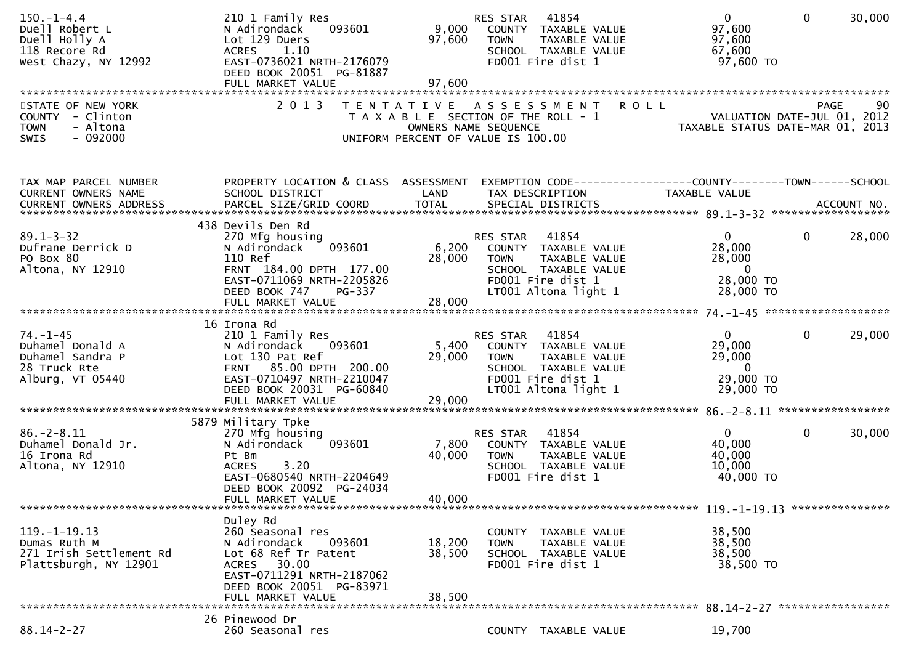| $150.-1-4.4$<br>Duell Robert L<br>Duell Holly A<br>118 Recore Rd<br>West Chazy, NY 12992   | 210 1 Family Res<br>093601<br>N Adirondack<br>Lot 129 Duers<br>1.10<br><b>ACRES</b><br>EAST-0736021 NRTH-2176079<br>DEED BOOK 20051 PG-81887                                | 9,000<br>97,600                                                                                                             | RES STAR<br><b>TOWN</b>       | 41854<br>COUNTY TAXABLE VALUE<br>TAXABLE VALUE<br>SCHOOL TAXABLE VALUE<br>FD001 Fire dist 1                      | $\mathbf{0}$<br>97,600<br>97,600<br>67,600<br>97,600 TO                                  | $\mathbf 0$  | 30,000 |
|--------------------------------------------------------------------------------------------|-----------------------------------------------------------------------------------------------------------------------------------------------------------------------------|-----------------------------------------------------------------------------------------------------------------------------|-------------------------------|------------------------------------------------------------------------------------------------------------------|------------------------------------------------------------------------------------------|--------------|--------|
| STATE OF NEW YORK<br>COUNTY - Clinton<br>- Altona<br><b>TOWN</b><br>$-092000$<br>SWIS      | 2013                                                                                                                                                                        | TENTATIVE ASSESSMENT<br>T A X A B L E SECTION OF THE ROLL - 1<br>OWNERS NAME SEQUENCE<br>UNIFORM PERCENT OF VALUE IS 100.00 |                               | <b>ROLL</b>                                                                                                      | VALUATION DATE-JUL 01, 2012<br>TAXABLE STATUS DATE-MAR 01, 2013                          | <b>PAGE</b>  | 90     |
| TAX MAP PARCEL NUMBER<br>CURRENT OWNERS NAME                                               | PROPERTY LOCATION & CLASS ASSESSMENT EXEMPTION CODE----------------COUNTY-------TOWN------SCHOOL<br>SCHOOL DISTRICT                                                         | LAND                                                                                                                        |                               | TAX DESCRIPTION                                                                                                  | TAXABLE VALUE                                                                            |              |        |
|                                                                                            |                                                                                                                                                                             |                                                                                                                             |                               |                                                                                                                  |                                                                                          |              |        |
| $89.1 - 3 - 32$<br>Dufrane Derrick D<br>PO Box 80<br>Altona, NY 12910                      | 438 Devils Den Rd<br>270 Mfg housing<br>093601<br>N Adirondack<br>110 Ref<br>FRNT 184.00 DPTH 177.00<br>EAST-0711069 NRTH-2205826<br>DEED BOOK 747<br>PG-337                | 28,000                                                                                                                      | RES STAR 41854<br><b>TOWN</b> | 6,200 COUNTY TAXABLE VALUE<br>TAXABLE VALUE<br>SCHOOL TAXABLE VALUE<br>FD001 Fire dist 1<br>LT001 Altona light 1 | $\mathbf{0}$<br>28,000<br>28,000<br>$\overline{0}$<br>28,000 TO<br>28,000 TO             | $\mathbf 0$  | 28,000 |
|                                                                                            |                                                                                                                                                                             |                                                                                                                             |                               |                                                                                                                  |                                                                                          |              |        |
|                                                                                            | 16 Irona Rd                                                                                                                                                                 |                                                                                                                             |                               |                                                                                                                  |                                                                                          |              |        |
| $74. - 1 - 45$<br>Duhamel Donald A<br>Duhamel Sandra P<br>28 Truck Rte<br>Alburg, VT 05440 | 210 1 Family Res<br>N Adirondack 093601<br>Lot 130 Pat Ref<br>FRNT 85.00 DPTH 200.00<br>EAST-0710497 NRTH-2210047<br>DEED BOOK 20031 PG-60840                               | 29,000                                                                                                                      | RES STAR 41854<br><b>TOWN</b> | 5,400 COUNTY TAXABLE VALUE<br>TAXABLE VALUE<br>SCHOOL TAXABLE VALUE<br>FD001 Fire dist 1<br>LT001 Altona light 1 | $\overline{0}$<br>29,000<br>29,000<br>$\overline{\phantom{0}}$<br>29,000 TO<br>29,000 TO | $\mathbf 0$  | 29,000 |
|                                                                                            |                                                                                                                                                                             |                                                                                                                             |                               |                                                                                                                  |                                                                                          |              |        |
|                                                                                            | 5879 Military Tpke                                                                                                                                                          |                                                                                                                             |                               |                                                                                                                  |                                                                                          |              |        |
| $86. - 2 - 8.11$<br>Duhamel Donald Jr.<br>16 Irona Rd<br>Altona, NY 12910                  | 270 Mfg housing<br>093601<br>N Adirondack<br>Pt Bm<br>3.20<br><b>ACRES</b><br>EAST-0680540 NRTH-2204649<br>DEED BOOK 20092 PG-24034<br>FULL MARKET VALUE                    | 7,800<br>40,000<br>40,000                                                                                                   | RES STAR<br><b>TOWN</b>       | 41854<br>COUNTY TAXABLE VALUE<br>TAXABLE VALUE<br>SCHOOL TAXABLE VALUE<br>FD001 Fire dist 1                      | $\mathbf{0}$<br>40,000<br>40,000<br>10,000<br>40,000 TO                                  | $\mathbf{0}$ | 30,000 |
|                                                                                            |                                                                                                                                                                             |                                                                                                                             |                               |                                                                                                                  |                                                                                          |              |        |
| $119. - 1 - 19.13$<br>Dumas Ruth M<br>271 Irish Settlement Rd<br>Plattsburgh, NY 12901     | Duley Rd<br>260 Seasonal res<br>N Adirondack<br>093601<br>Lot 68 Ref Tr Patent<br>ACRES 30.00<br>EAST-0711291 NRTH-2187062<br>DEED BOOK 20051 PG-83971<br>FULL MARKET VALUE | 18,200<br>38,500<br>38,500                                                                                                  | <b>TOWN</b>                   | COUNTY TAXABLE VALUE<br>TAXABLE VALUE<br>SCHOOL TAXABLE VALUE<br>FD001 Fire dist 1                               | 38,500<br>38,500<br>38,500<br>38,500 TO                                                  |              |        |
|                                                                                            |                                                                                                                                                                             |                                                                                                                             |                               |                                                                                                                  |                                                                                          |              |        |
| $88.14 - 2 - 27$                                                                           | 26 Pinewood Dr<br>260 Seasonal res                                                                                                                                          |                                                                                                                             |                               | COUNTY TAXABLE VALUE                                                                                             | 19,700                                                                                   |              |        |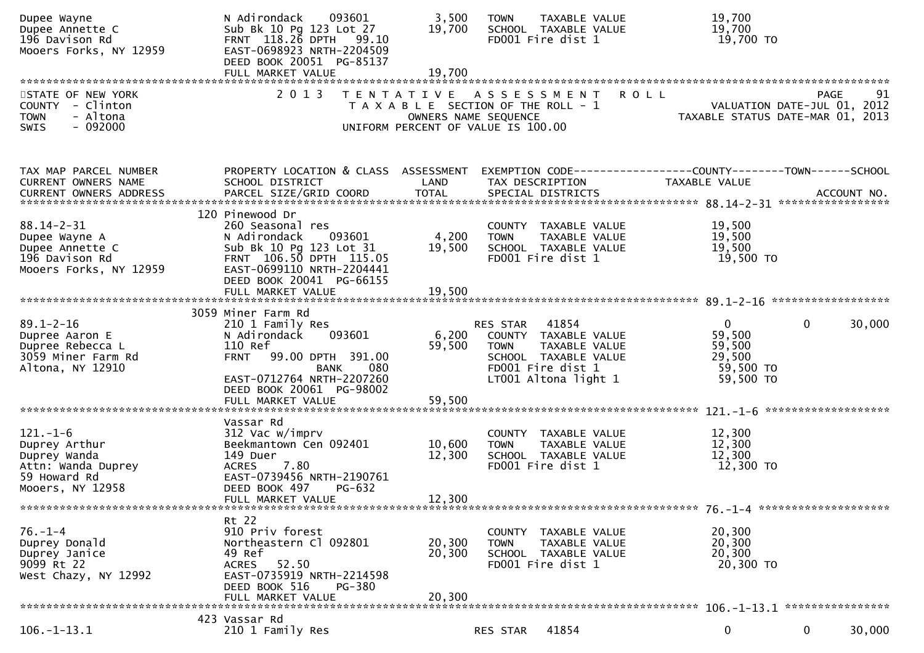| Dupee Wayne<br>Dupee Annette C<br>196 Davison Rd<br>Mooers Forks, NY 12959                                | N Adirondack<br>093601<br>Sub Bk 10 Pg 123 Lot 27<br>FRNT 118.26 DPTH 99.10<br>EAST-0698923 NRTH-2204509<br>DEED BOOK 20051 PG-85137                                                           | 3,500<br>19,700            | <b>TOWN</b><br>SCHOOL TAXABLE VALUE<br>FD001 Fire dist 1                                                             | TAXABLE VALUE          | 19,700<br>19,700<br>19,700 TO                                                  |                        |
|-----------------------------------------------------------------------------------------------------------|------------------------------------------------------------------------------------------------------------------------------------------------------------------------------------------------|----------------------------|----------------------------------------------------------------------------------------------------------------------|------------------------|--------------------------------------------------------------------------------|------------------------|
|                                                                                                           |                                                                                                                                                                                                |                            |                                                                                                                      |                        |                                                                                |                        |
| STATE OF NEW YORK<br>COUNTY - Clinton<br>- Altona<br><b>TOWN</b><br>$-092000$<br>SWIS                     | 2 0 1 3                                                                                                                                                                                        | OWNERS NAME SEQUENCE       | TENTATIVE ASSESSMENT<br>T A X A B L E SECTION OF THE ROLL - 1<br>UNIFORM PERCENT OF VALUE IS 100.00                  | <b>ROLL</b>            | VALUATION DATE-JUL 01, 2012<br>TAXABLE STATUS DATE-MAR 01, 2013                | 91<br>PAGE             |
| TAX MAP PARCEL NUMBER<br>CURRENT OWNERS NAME                                                              | PROPERTY LOCATION & CLASS ASSESSMENT<br>SCHOOL DISTRICT                                                                                                                                        | LAND                       | TAX DESCRIPTION                                                                                                      |                        | EXEMPTION CODE-----------------COUNTY--------TOWN------SCHOOL<br>TAXABLE VALUE |                        |
| $88.14 - 2 - 31$<br>Dupee Wayne A<br>Dupee Annette C<br>196 Davison Rd<br>Mooers Forks, NY 12959          | 120 Pinewood Dr<br>260 Seasonal res<br>093601<br>N Adirondack<br>Sub Bk 10 Pg 123 Lot 31<br>FRNT 106.50 DPTH 115.05<br>EAST-0699110 NRTH-2204441<br>DEED BOOK 20041 PG-66155                   | 4,200<br>19,500            | COUNTY TAXABLE VALUE<br><b>TOWN</b><br>SCHOOL TAXABLE VALUE<br>FD001 Fire dist 1                                     | TAXABLE VALUE          | 19,500<br>19,500<br>19,500<br>19,500 TO                                        |                        |
|                                                                                                           | FULL MARKET VALUE                                                                                                                                                                              | 19,500                     |                                                                                                                      |                        |                                                                                |                        |
|                                                                                                           |                                                                                                                                                                                                |                            |                                                                                                                      |                        |                                                                                |                        |
| $89.1 - 2 - 16$<br>Dupree Aaron E<br>Dupree Rebecca L<br>3059 Miner Farm Rd<br>Altona, NY 12910           | 3059 Miner Farm Rd<br>210 1 Family Res<br>093601<br>N Adirondack<br>110 Ref<br>99.00 DPTH 391.00<br><b>FRNT</b><br>080<br><b>BANK</b><br>EAST-0712764 NRTH-2207260<br>DEED BOOK 20061 PG-98002 | 6,200<br>59,500            | RES STAR<br>COUNTY TAXABLE VALUE<br><b>TOWN</b><br>SCHOOL TAXABLE VALUE<br>FD001 Fire dist 1<br>LT001 Altona light 1 | 41854<br>TAXABLE VALUE | $\mathbf{0}$<br>59,500<br>59,500<br>29,500<br>59,500 TO<br>59,500 TO           | 30,000<br>$\Omega$     |
|                                                                                                           |                                                                                                                                                                                                |                            |                                                                                                                      |                        |                                                                                |                        |
|                                                                                                           |                                                                                                                                                                                                |                            |                                                                                                                      |                        |                                                                                | *******************    |
| $121. - 1 - 6$<br>Duprey Arthur<br>Duprey Wanda<br>Attn: Wanda Duprey<br>59 Howard Rd<br>Mooers, NY 12958 | Vassar Rd<br>312 Vac w/imprv<br>Beekmantown Cen 092401<br>149 Duer<br>7.80<br><b>ACRES</b><br>EAST-0739456 NRTH-2190761<br>DEED BOOK 497<br>PG-632                                             | 10,600<br>12,300           | COUNTY TAXABLE VALUE<br><b>TOWN</b><br>SCHOOL TAXABLE VALUE<br>FD001 Fire dist 1                                     | TAXABLE VALUE          | 12,300<br>12,300<br>12,300<br>12,300 TO                                        |                        |
|                                                                                                           | FULL MARKET VALUE                                                                                                                                                                              | 12,300                     |                                                                                                                      |                        |                                                                                |                        |
|                                                                                                           |                                                                                                                                                                                                |                            |                                                                                                                      |                        |                                                                                |                        |
| $76. - 1 - 4$<br>Duprey Donald<br>Duprey Janice<br>9099 Rt 22<br>West Chazy, NY 12992                     | Rt 22<br>910 Priv forest<br>Northeastern Cl 092801<br>49 Ref<br>ACRES 52.50<br>EAST-0735919 NRTH-2214598<br>DEED BOOK 516<br>PG-380<br>FULL MARKET VALUE                                       | 20,300<br>20,300<br>20,300 | COUNTY TAXABLE VALUE<br><b>TOWN</b><br>SCHOOL TAXABLE VALUE<br>FD001 Fire dist 1                                     | TAXABLE VALUE          | 20,300<br>20,300<br>20,300<br>20,300 TO                                        |                        |
|                                                                                                           |                                                                                                                                                                                                |                            |                                                                                                                      |                        |                                                                                |                        |
| $106. - 1 - 13.1$                                                                                         | 423 Vassar Rd<br>210 1 Family Res                                                                                                                                                              |                            | <b>RES STAR</b>                                                                                                      | 41854                  | $\mathbf 0$                                                                    | 30,000<br>$\mathbf{0}$ |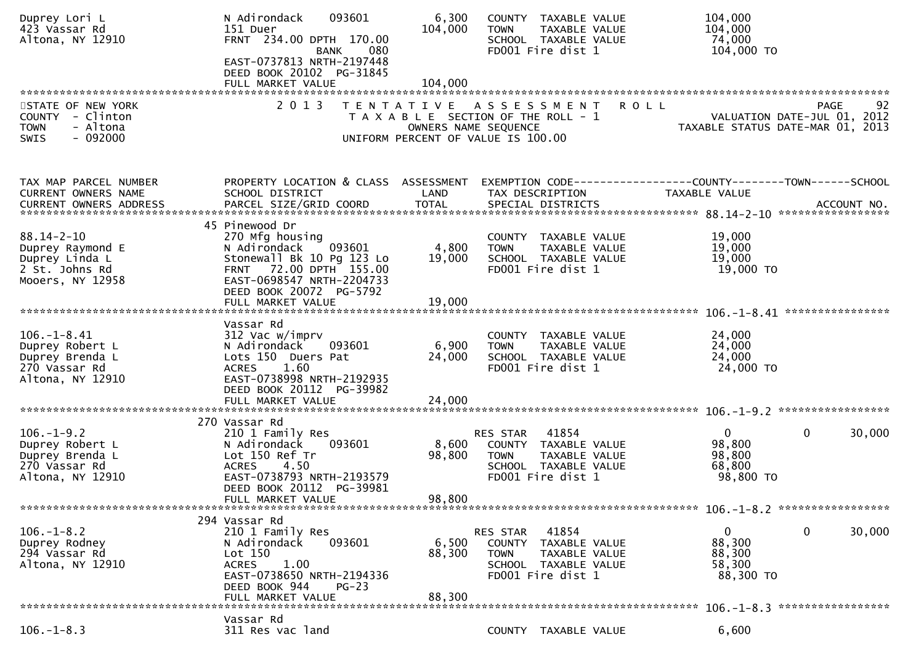| Duprey Lori L<br>423 Vassar Rd<br>Altona, NY 12910                                           | N Adirondack<br>093601<br>151 Duer<br>FRNT 234.00 DPTH 170.00<br><b>BANK</b><br>080<br>EAST-0737813 NRTH-2197448<br>DEED BOOK 20102 PG-31845                                                    | 6,300<br>104,000          | COUNTY TAXABLE VALUE<br>TAXABLE VALUE<br><b>TOWN</b><br>SCHOOL TAXABLE VALUE<br>FD001 Fire dist 1                      | 104,000<br>104,000<br>74,000<br>104,000 TO                                    |
|----------------------------------------------------------------------------------------------|-------------------------------------------------------------------------------------------------------------------------------------------------------------------------------------------------|---------------------------|------------------------------------------------------------------------------------------------------------------------|-------------------------------------------------------------------------------|
|                                                                                              | FULL MARKET VALUE                                                                                                                                                                               | 104,000                   |                                                                                                                        |                                                                               |
| STATE OF NEW YORK<br>COUNTY - Clinton<br>- Altona<br><b>TOWN</b><br>$-092000$<br>SWIS        | 2 0 1 3                                                                                                                                                                                         | OWNERS NAME SEQUENCE      | <b>ROLL</b><br>TENTATIVE ASSESSMENT<br>T A X A B L E SECTION OF THE ROLL - 1<br>UNIFORM PERCENT OF VALUE IS 100.00     | 92<br>PAGE<br>VALUATION DATE-JUL 01, 2012<br>TAXABLE STATUS DATE-MAR 01, 2013 |
| TAX MAP PARCEL NUMBER<br>CURRENT OWNERS NAME                                                 | PROPERTY LOCATION & CLASS ASSESSMENT<br>SCHOOL DISTRICT                                                                                                                                         | LAND                      | TAX DESCRIPTION                                                                                                        | TAXABLE VALUE                                                                 |
| $88.14 - 2 - 10$<br>Duprey Raymond E<br>Duprey Linda L<br>2 St. Johns Rd<br>Mooers, NY 12958 | 45 Pinewood Dr<br>270 Mfg housing<br>093601<br>N Adirondack<br>Stonewall Bk 10 Pg 123 Lo<br>FRNT 72.00 DPTH 155.00<br>EAST-0698547 NRTH-2204733<br>DEED BOOK 20072 PG-5792<br>FULL MARKET VALUE | 4,800<br>19,000<br>19,000 | COUNTY TAXABLE VALUE<br>TAXABLE VALUE<br><b>TOWN</b><br>SCHOOL TAXABLE VALUE<br>FD001 Fire dist 1                      | 19,000<br>19,000<br>19,000<br>19,000 TO                                       |
|                                                                                              | Vassar Rd                                                                                                                                                                                       |                           |                                                                                                                        |                                                                               |
| $106. - 1 - 8.41$<br>Duprey Robert L<br>Duprey Brenda L<br>270 Vassar Rd<br>Altona, NY 12910 | 312 Vac w/imprv<br>N Adirondack<br>093601<br>Lots 150 Duers Pat<br>1.60<br><b>ACRES</b><br>EAST-0738998 NRTH-2192935<br>DEED BOOK 20112 PG-39982                                                | 6,900<br>24,000           | COUNTY TAXABLE VALUE<br>TAXABLE VALUE<br><b>TOWN</b><br>SCHOOL TAXABLE VALUE<br>FD001 Fire dist 1                      | 24,000<br>24,000<br>24,000<br>24,000 TO                                       |
|                                                                                              |                                                                                                                                                                                                 |                           |                                                                                                                        |                                                                               |
| $106. - 1 - 9.2$<br>Duprey Robert L<br>Duprey Brenda L<br>270 Vassar Rd<br>Altona, NY 12910  | 270 Vassar Rd<br>210 1 Family Res<br>093601<br>N Adirondack<br>Lot 150 Ref Tr<br>4.50<br><b>ACRES</b><br>EAST-0738793 NRTH-2193579<br>DEED BOOK 20112 PG-39981                                  | 8,600<br>98,800           | 41854<br>RES STAR<br>COUNTY TAXABLE VALUE<br>TAXABLE VALUE<br><b>TOWN</b><br>SCHOOL TAXABLE VALUE<br>FD001 Fire dist 1 | $\mathbf{0}$<br>0<br>30,000<br>98,800<br>98,800<br>68,800<br>98,800 TO        |
|                                                                                              | FULL MARKET VALUE                                                                                                                                                                               | 98,800                    |                                                                                                                        |                                                                               |
| $106. - 1 - 8.2$<br>Duprey Rodney<br>294 Vassar Rd<br>Altona, NY 12910                       | 294 Vassar Rd<br>210 1 Family Res<br>093601<br>N Adirondack<br>Lot 150<br>1.00<br><b>ACRES</b><br>EAST-0738650 NRTH-2194336<br>DEED BOOK 944<br>$PG-23$<br>FULL MARKET VALUE                    | 6,500<br>88,300<br>88,300 | RES STAR 41854<br>COUNTY TAXABLE VALUE<br>TAXABLE VALUE<br><b>TOWN</b><br>SCHOOL TAXABLE VALUE<br>FD001 Fire dist 1    | $\mathbf{0}$<br>0<br>30,000<br>88,300<br>88,300<br>58,300<br>88,300 TO        |
|                                                                                              | Vassar Rd                                                                                                                                                                                       |                           |                                                                                                                        |                                                                               |
| $106. - 1 - 8.3$                                                                             | 311 Res vac land                                                                                                                                                                                |                           | COUNTY TAXABLE VALUE                                                                                                   | 6,600                                                                         |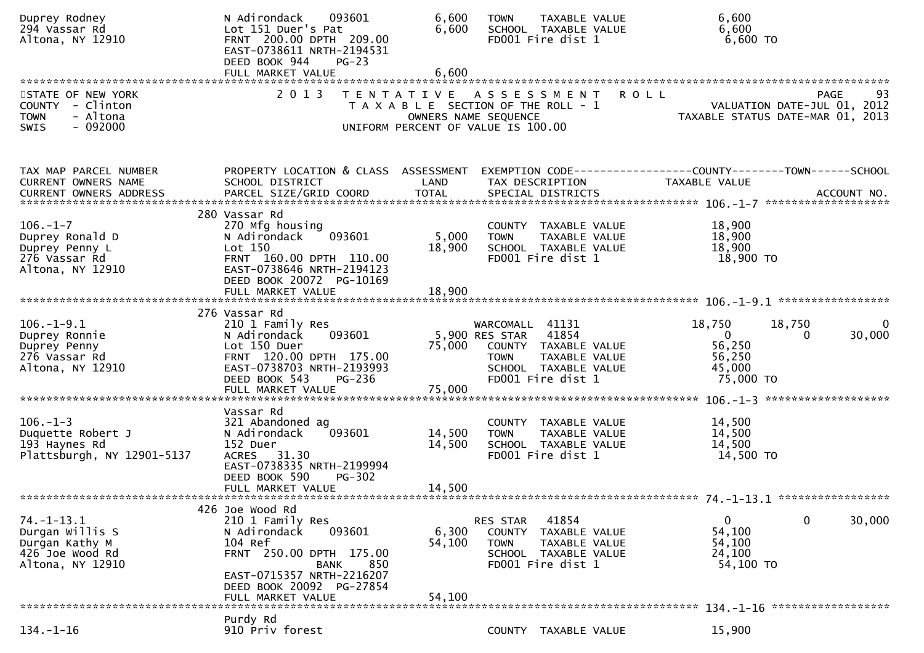| Duprey Rodney<br>294 Vassar Rd<br>Altona, NY 12910                                                                                                                                                     | N Adirondack<br>093601<br>Lot 151 Duer's Pat<br>FRNT 200.00 DPTH 209.00<br>EAST-0738611 NRTH-2194531<br>DEED BOOK 944<br>$PG-23$                                                    | 6,600<br>6,600             | <b>TOWN</b><br>FD001 Fire dist 1                                                                    | TAXABLE VALUE<br>SCHOOL TAXABLE VALUE                                  | 6,600<br>6,600<br>$6,600$ TO                                                         |                    |            |
|--------------------------------------------------------------------------------------------------------------------------------------------------------------------------------------------------------|-------------------------------------------------------------------------------------------------------------------------------------------------------------------------------------|----------------------------|-----------------------------------------------------------------------------------------------------|------------------------------------------------------------------------|--------------------------------------------------------------------------------------|--------------------|------------|
|                                                                                                                                                                                                        | FULL MARKET VALUE                                                                                                                                                                   | 6,600                      |                                                                                                     |                                                                        |                                                                                      |                    |            |
| STATE OF NEW YORK<br>COUNTY - Clinton<br><b>TOWN</b><br>- Altona<br>$-092000$<br>SWIS                                                                                                                  | 2 0 1 3                                                                                                                                                                             | OWNERS NAME SEQUENCE       | TENTATIVE ASSESSMENT<br>T A X A B L E SECTION OF THE ROLL - 1<br>UNIFORM PERCENT OF VALUE IS 100.00 | <b>ROLL</b>                                                            | VALUATION DATE-JUL 01, 2012<br>TAXABLE STATUS DATE-MAR 01, 2013                      |                    | 93<br>PAGE |
| TAX MAP PARCEL NUMBER<br>CURRENT OWNERS NAME<br>CURRENT OWNERS ADDRESS FARCEL SIZE/GRID COORD TOTAL SPECIAL DISTRICTS FOR THE SPECIAL OURRENT OWNERS ADDRESS FOR ACCOUNT NO.<br>CURRENT OWNERS ADDRESS | PROPERTY LOCATION & CLASS ASSESSMENT<br>SCHOOL DISTRICT                                                                                                                             | LAND                       | TAX DESCRIPTION                                                                                     |                                                                        | EXEMPTION CODE-----------------COUNTY-------TOWN------SCHOOL<br><b>TAXABLE VALUE</b> |                    |            |
| $106. - 1 - 7$<br>Duprey Ronald D<br>Duprey Penny L<br>276 Vassar Rd<br>Altona, NY 12910                                                                                                               | 280 Vassar Rd<br>270 Mfg housing<br>093601<br>N Adirondack<br>Lot 150<br>FRNT 160.00 DPTH 110.00<br>EAST-0738646 NRTH-2194123<br>DEED BOOK 20072 PG-10169<br>FULL MARKET VALUE      | 5,000<br>18,900<br>18,900  | <b>TOWN</b><br>FD001 Fire dist 1                                                                    | COUNTY TAXABLE VALUE<br>TAXABLE VALUE<br>SCHOOL TAXABLE VALUE          | 18,900<br>18,900<br>18,900<br>18,900 TO                                              |                    |            |
|                                                                                                                                                                                                        |                                                                                                                                                                                     |                            |                                                                                                     |                                                                        |                                                                                      |                    |            |
| $106. - 1 - 9.1$<br>Duprey Ronnie<br>Duprey Penny<br>276 Vassar Rd<br>Altona, NY 12910                                                                                                                 | 276 Vassar Rd<br>210 1 Family Res<br>093601<br>N Adirondack<br>Lot 150 Duer<br>FRNT 120.00 DPTH 175.00<br>EAST-0738703 NRTH-2193993<br>DEED BOOK 543<br>PG-236<br>FULL MARKET VALUE | 75,000<br>75,000           | WARCOMALL 41131<br>5,900 RES STAR<br><b>TOWN</b><br>FD001 Fire dist 1                               | 41854<br>COUNTY TAXABLE VALUE<br>TAXABLE VALUE<br>SCHOOL TAXABLE VALUE | 18,750<br>$\mathbf{0}$<br>56,250<br>56,250<br>45,000<br>75,000 TO                    | 18,750<br>$\Omega$ | 30,000     |
| $106. - 1 - 3$<br>Duquette Robert J<br>193 Haynes Rd<br>Plattsburgh, NY 12901-5137                                                                                                                     | Vassar Rd<br>321 Abandoned ag<br>093601<br>N Adirondack<br>152 Duer<br>31.30<br><b>ACRES</b><br>EAST-0738335 NRTH-2199994<br>DEED BOOK 590<br><b>PG-302</b><br>FULL MARKET VALUE    | 14,500<br>14,500<br>14,500 | <b>TOWN</b><br>FD001 Fire dist 1                                                                    | COUNTY TAXABLE VALUE<br>TAXABLE VALUE<br>SCHOOL TAXABLE VALUE          | 14,500<br>14,500<br>14,500<br>14,500 TO                                              |                    |            |
| $74. - 1 - 13.1$<br>Durgan Willis S<br>Durgan Kathy M<br>426 Joe Wood Rd<br>Altona, NY 12910                                                                                                           | 426 Joe Wood Rd<br>210 1 Family Res<br>N Adirondack<br>093601<br>104 Ref<br>FRNT 250.00 DPTH 175.00<br><b>BANK</b><br>850<br>EAST-0715357 NRTH-2216207                              | 6,300<br>54,100            | RES STAR<br><b>TOWN</b><br>FD001 Fire dist 1                                                        | 41854<br>COUNTY TAXABLE VALUE<br>TAXABLE VALUE<br>SCHOOL TAXABLE VALUE | 0<br>54,100<br>54,100<br>24,100<br>54,100 TO                                         | $\mathbf{0}$       | 30,000     |
|                                                                                                                                                                                                        | DEED BOOK 20092 PG-27854<br>FULL MARKET VALUE<br>Purdy Rd                                                                                                                           | 54,100                     |                                                                                                     |                                                                        | 134. -1-16 *******************                                                       |                    |            |
| $134. - 1 - 16$                                                                                                                                                                                        | 910 Priv forest                                                                                                                                                                     |                            |                                                                                                     | COUNTY TAXABLE VALUE                                                   | 15,900                                                                               |                    |            |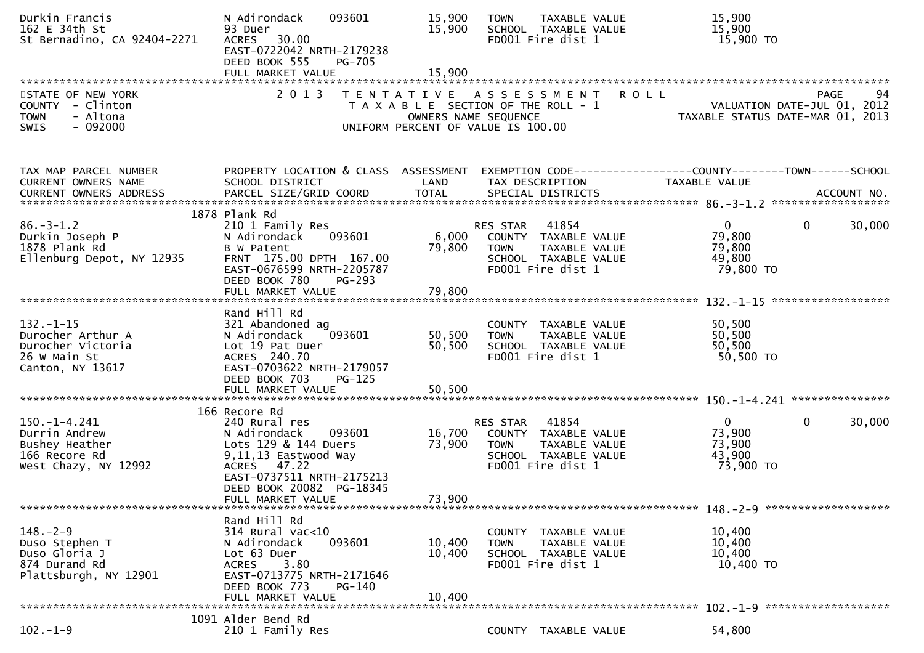| Durkin Francis<br>162 E 34th St<br>St Bernadino, CA 92404-2271                                | N Adirondack<br>093601<br>93 Duer<br>30.00<br><b>ACRES</b><br>EAST-0722042 NRTH-2179238<br>DEED BOOK 555<br><b>PG-705</b>                                                                             | 15,900<br>15,900           | TAXABLE VALUE<br><b>TOWN</b><br>SCHOOL TAXABLE VALUE<br>FD001 Fire dist 1                                              | 15,900<br>15,900<br>15,900 TO                                                                                     |
|-----------------------------------------------------------------------------------------------|-------------------------------------------------------------------------------------------------------------------------------------------------------------------------------------------------------|----------------------------|------------------------------------------------------------------------------------------------------------------------|-------------------------------------------------------------------------------------------------------------------|
| STATE OF NEW YORK<br>COUNTY - Clinton<br>- Altona<br><b>TOWN</b><br>$-092000$<br>SWIS         | 2 0 1 3                                                                                                                                                                                               | OWNERS NAME SEQUENCE       | TENTATIVE ASSESSMENT<br>T A X A B L E SECTION OF THE ROLL - 1<br>UNIFORM PERCENT OF VALUE IS 100.00                    | 94<br><b>ROLL</b><br><b>PAGE</b><br>VALUATION DATE-JUL 01, 2012<br>TAXABLE STATUS DATE-MAR 01, 2013               |
| TAX MAP PARCEL NUMBER<br>CURRENT OWNERS NAME                                                  | SCHOOL DISTRICT                                                                                                                                                                                       | LAND                       | TAX DESCRIPTION                                                                                                        | PROPERTY LOCATION & CLASS ASSESSMENT EXEMPTION CODE----------------COUNTY-------TOWN------SCHOOL<br>TAXABLE VALUE |
| $86. - 3 - 1.2$<br>Durkin Joseph P<br>1878 Plank Rd<br>Ellenburg Depot, NY 12935              | 1878 Plank Rd<br>210 1 Family Res<br>093601<br>N Adirondack<br>B W Patent<br>FRNT 175.00 DPTH 167.00<br>EAST-0676599 NRTH-2205787<br>DEED BOOK 780<br><b>PG-293</b>                                   | 6,000<br>79,800            | 41854<br>RES STAR<br>COUNTY TAXABLE VALUE<br><b>TOWN</b><br>TAXABLE VALUE<br>SCHOOL TAXABLE VALUE<br>FD001 Fire dist 1 | 30,000<br>$\mathbf{0}$<br>$\overline{0}$<br>79,800<br>79,800<br>49,800<br>79,800 TO                               |
|                                                                                               | FULL MARKET VALUE                                                                                                                                                                                     | 79,800                     |                                                                                                                        |                                                                                                                   |
| $132. - 1 - 15$<br>Durocher Arthur A<br>Durocher Victoria<br>26 W Main St<br>Canton, NY 13617 | Rand Hill Rd<br>321 Abandoned ag<br>093601<br>N Adirondack<br>Lot 19 Pat Duer<br>ACRES 240.70<br>EAST-0703622 NRTH-2179057<br>DEED BOOK 703<br>$PG-125$<br>FULL MARKET VALUE                          | 50,500<br>50,500<br>50,500 | COUNTY TAXABLE VALUE<br><b>TOWN</b><br>TAXABLE VALUE<br>SCHOOL TAXABLE VALUE<br>FD001 Fire dist 1                      | 50,500<br>50,500<br>50,500<br>50,500 TO                                                                           |
| 150. –1–4.241<br>Durrin Andrew<br>Bushey Heather<br>166 Recore Rd<br>West Chazy, NY 12992     | 166 Recore Rd<br>240 Rural res<br>N Adirondack<br>093601<br>Lots 129 & 144 Duers<br>9,11,13 Eastwood Way<br>ACRES 47.22<br>EAST-0737511 NRTH-2175213<br>DEED BOOK 20082 PG-18345<br>FULL MARKET VALUE | 16,700<br>73,900<br>73,900 | RES STAR 41854<br>COUNTY TAXABLE VALUE<br><b>TOWN</b><br>TAXABLE VALUE<br>SCHOOL TAXABLE VALUE<br>FD001 Fire dist 1    | 30,000<br>$\mathbf{0}$<br>$\Omega$<br>73,900<br>73,900<br>43,900<br>73,900 TO                                     |
| $148. - 2 - 9$<br>Duso Stephen T<br>Duso Gloria J<br>874 Durand Rd<br>Plattsburgh, NY 12901   | Rand Hill Rd<br>$314$ Rural vac<10<br>093601<br>N Adirondack<br>Lot 63 Duer<br>3.80<br>ACRES<br>EAST-0713775 NRTH-2171646<br>DEED BOOK 773<br>$PG-140$<br>FULL MARKET VALUE                           | 10,400<br>10,400<br>10,400 | COUNTY TAXABLE VALUE<br>TAXABLE VALUE<br><b>TOWN</b><br>SCHOOL TAXABLE VALUE<br>FD001 Fire dist 1                      | 10,400<br>10,400<br>10,400<br>10,400 TO                                                                           |
|                                                                                               | 1091 Alder Bend Rd                                                                                                                                                                                    |                            |                                                                                                                        |                                                                                                                   |
| $102. - 1 - 9$                                                                                | 210 1 Family Res                                                                                                                                                                                      |                            | COUNTY TAXABLE VALUE                                                                                                   | 54,800                                                                                                            |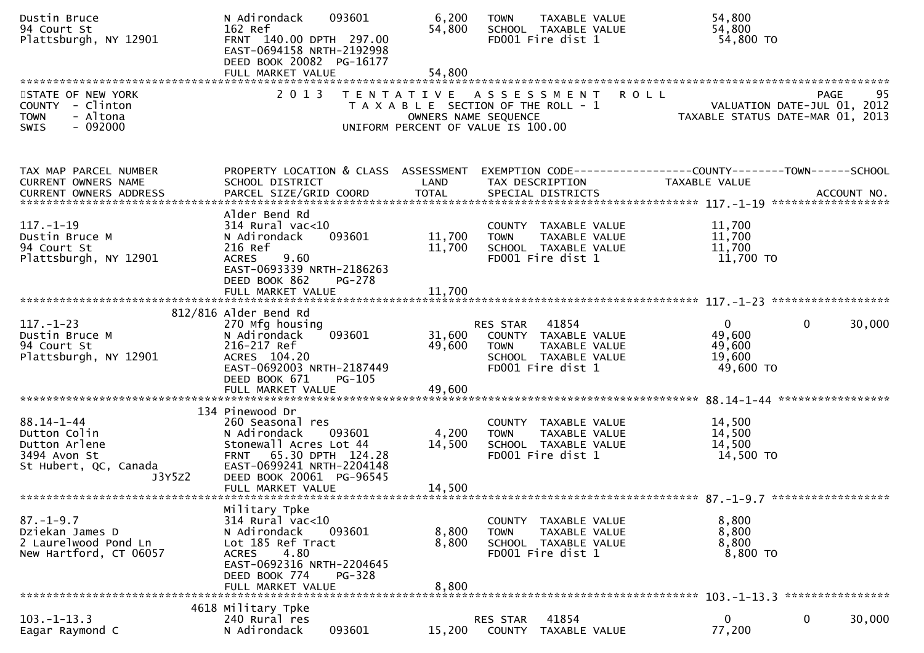| Dustin Bruce<br>94 Court St<br>Plattsburgh, NY 12901                                           | 093601<br>N Adirondack<br>162 Ref<br>FRNT 140.00 DPTH 297.00<br>EAST-0694158 NRTH-2192998<br>DEED BOOK 20082 PG-16177                                                                           | 6,200<br>54,800           | TAXABLE VALUE<br><b>TOWN</b><br>SCHOOL TAXABLE VALUE<br>FD001 Fire dist 1                                              | 54,800<br>54,800<br>54,800 TO                                                   |                                                                                                                               |
|------------------------------------------------------------------------------------------------|-------------------------------------------------------------------------------------------------------------------------------------------------------------------------------------------------|---------------------------|------------------------------------------------------------------------------------------------------------------------|---------------------------------------------------------------------------------|-------------------------------------------------------------------------------------------------------------------------------|
|                                                                                                |                                                                                                                                                                                                 |                           |                                                                                                                        |                                                                                 |                                                                                                                               |
| STATE OF NEW YORK<br>COUNTY - Clinton<br>- Altona<br><b>TOWN</b><br>$-092000$<br><b>SWIS</b>   | 2 0 1 3                                                                                                                                                                                         | OWNERS NAME SEQUENCE      | TENTATIVE ASSESSMENT<br>T A X A B L E SECTION OF THE ROLL - 1<br>UNIFORM PERCENT OF VALUE IS 100.00                    | <b>ROLL</b>                                                                     | 95<br>PAGE<br>PAGE 95<br>VALUATION DATE-JUL 01, 2012<br>TAXARLE STATUS DATE WILL 01, 2012<br>TAXABLE STATUS DATE-MAR 01, 2013 |
| TAX MAP PARCEL NUMBER<br>CURRENT OWNERS NAME                                                   | PROPERTY LOCATION & CLASS ASSESSMENT<br>SCHOOL DISTRICT                                                                                                                                         | LAND                      | TAX DESCRIPTION                                                                                                        | EXEMPTION CODE------------------COUNTY--------TOWN------SCHOOL<br>TAXABLE VALUE |                                                                                                                               |
| $117. - 1 - 19$<br>Dustin Bruce M<br>94 Court St<br>Plattsburgh, NY 12901                      | Alder Bend Rd<br>$314$ Rural vac<10<br>093601<br>N Adirondack<br>216 Ref<br>9.60<br><b>ACRES</b><br>EAST-0693339 NRTH-2186263<br>DEED BOOK 862<br>PG-278                                        | 11,700<br>11,700          | COUNTY TAXABLE VALUE<br><b>TOWN</b><br>TAXABLE VALUE<br>SCHOOL TAXABLE VALUE<br>FD001 Fire dist 1                      | 11,700<br>11,700<br>11,700<br>11,700 TO                                         |                                                                                                                               |
|                                                                                                | FULL MARKET VALUE                                                                                                                                                                               | 11,700                    |                                                                                                                        |                                                                                 |                                                                                                                               |
|                                                                                                |                                                                                                                                                                                                 |                           |                                                                                                                        |                                                                                 |                                                                                                                               |
| $117. - 1 - 23$<br>Dustin Bruce M<br>94 Court St<br>Plattsburgh, NY 12901                      | 812/816 Alder Bend Rd<br>270 Mfg housing<br>N Adirondack<br>093601<br>216-217 Ref<br>ACRES 104.20<br>EAST-0692003 NRTH-2187449<br>DEED BOOK 671<br>PG-105                                       | 31,600<br>49,600          | 41854<br>RES STAR<br>COUNTY TAXABLE VALUE<br><b>TOWN</b><br>TAXABLE VALUE<br>SCHOOL TAXABLE VALUE<br>FD001 Fire dist 1 | $\overline{0}$<br>49,600<br>49,600<br>19,600<br>49,600 TO                       | 30,000<br>$\mathbf{0}$                                                                                                        |
|                                                                                                |                                                                                                                                                                                                 |                           |                                                                                                                        |                                                                                 |                                                                                                                               |
| 88.14-1-44<br>Dutton Colin<br>Dutton Arlene<br>3494 Avon St<br>St Hubert, QC, Canada<br>J3Y5Z2 | 134 Pinewood Dr<br>260 Seasonal res<br>N Adirondack<br>093601<br>Stonewall Acres Lot 44<br>FRNT 65.30 DPTH 124.28<br>EAST-0699241 NRTH-2204148<br>DEED BOOK 20061 PG-96545<br>FULL MARKET VALUE | 4,200<br>14,500<br>14,500 | COUNTY TAXABLE VALUE<br><b>TOWN</b><br>TAXABLE VALUE<br>SCHOOL TAXABLE VALUE<br>FD001 Fire dist 1                      | 14,500<br>14,500<br>14,500<br>14,500 TO                                         |                                                                                                                               |
|                                                                                                |                                                                                                                                                                                                 |                           |                                                                                                                        |                                                                                 |                                                                                                                               |
| $87. - 1 - 9.7$<br>Dziekan James D<br>2 Laurelwood Pond Ln<br>New Hartford, CT 06057           | Military Tpke<br>$314$ Rural vac<10<br>N Adirondack<br>093601<br>Lot 185 Ref Tract<br>4.80<br><b>ACRES</b><br>EAST-0692316 NRTH-2204645<br>DEED BOOK 774<br>PG-328<br>FULL MARKET VALUE         | 8,800<br>8,800<br>8,800   | COUNTY TAXABLE VALUE<br>TAXABLE VALUE<br><b>TOWN</b><br>SCHOOL TAXABLE VALUE<br>FD001 Fire dist 1                      | 8,800<br>8,800<br>8,800<br>8,800 TO                                             |                                                                                                                               |
|                                                                                                |                                                                                                                                                                                                 |                           |                                                                                                                        |                                                                                 |                                                                                                                               |
| $103. -1 - 13.3$<br>Eagar Raymond C                                                            | 4618 Military Tpke<br>240 Rural res<br>093601<br>N Adirondack                                                                                                                                   | 15,200                    | 41854<br>RES STAR<br>COUNTY<br>TAXABLE VALUE                                                                           | $\overline{0}$<br>77,200                                                        | 0<br>30,000                                                                                                                   |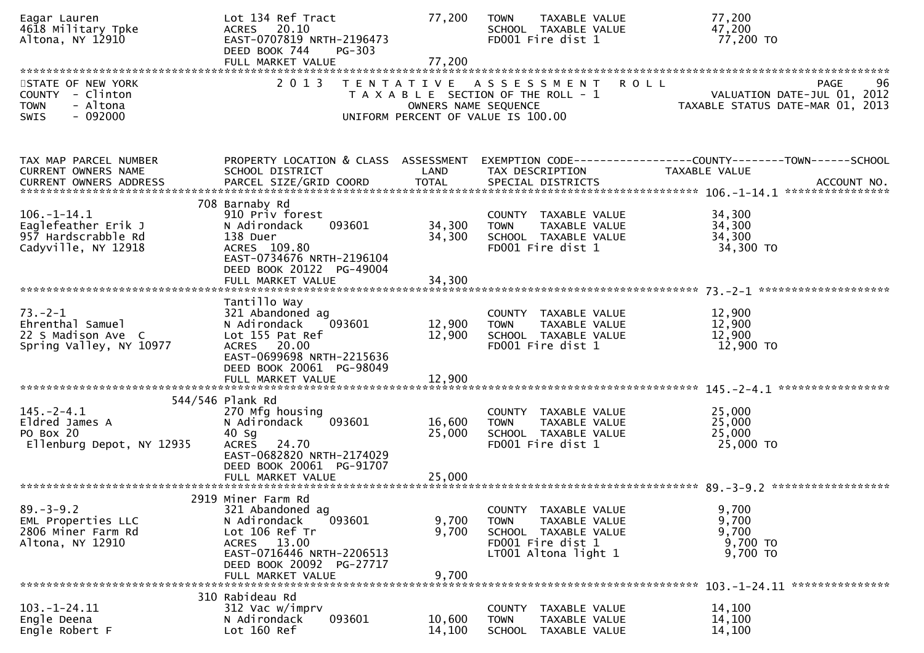| Eagar Lauren<br>4618 Military Tpke<br>Altona, NY 12910                                       | Lot 134 Ref Tract<br>20.10<br>ACRES<br>EAST-0707819 NRTH-2196473<br>DEED BOOK 744<br><b>PG-303</b><br>FULL MARKET VALUE                                                         | 77,200<br>77,200           | <b>TAXABLE VALUE</b><br><b>TOWN</b><br>SCHOOL TAXABLE VALUE<br>FD001 Fire dist 1                                          | 77,200<br>47,200<br>77,200 TO                                                          |                                                                               |
|----------------------------------------------------------------------------------------------|---------------------------------------------------------------------------------------------------------------------------------------------------------------------------------|----------------------------|---------------------------------------------------------------------------------------------------------------------------|----------------------------------------------------------------------------------------|-------------------------------------------------------------------------------|
| STATE OF NEW YORK<br>COUNTY - Clinton<br>- Altona<br><b>TOWN</b><br>$-092000$<br><b>SWIS</b> | 2 0 1 3                                                                                                                                                                         | OWNERS NAME SEQUENCE       | TENTATIVE ASSESSMENT<br>T A X A B L E SECTION OF THE ROLL - 1<br>UNIFORM PERCENT OF VALUE IS 100.00                       | R O L L                                                                                | 96<br>PAGE<br>VALUATION DATE-JUL 01, 2012<br>TAXABLE STATUS DATE-MAR 01, 2013 |
| TAX MAP PARCEL NUMBER<br>CURRENT OWNERS NAME                                                 | PROPERTY LOCATION & CLASS ASSESSMENT<br>SCHOOL DISTRICT                                                                                                                         | LAND                       | TAX DESCRIPTION                                                                                                           | EXEMPTION CODE------------------COUNTY--------TOWN------SCHOOL<br><b>TAXABLE VALUE</b> |                                                                               |
| $106. - 1 - 14.1$<br>Eaglefeather Erik J<br>957 Hardscrabble Rd<br>Cadyville, NY 12918       | 708 Barnaby Rd<br>910 Priv forest<br>N Adirondack<br>093601<br>138 Duer<br>ACRES 109.80<br>EAST-0734676 NRTH-2196104<br>DEED BOOK 20122 PG-49004<br>FULL MARKET VALUE           | 34,300<br>34,300<br>34,300 | COUNTY TAXABLE VALUE<br>TAXABLE VALUE<br><b>TOWN</b><br>SCHOOL TAXABLE VALUE<br>FD001 Fire dist 1                         | 34,300<br>34,300<br>34,300<br>34,300 TO                                                |                                                                               |
| $73. - 2 - 1$<br>Ehrenthal Samuel<br>22 S Madison Ave C<br>Spring Valley, NY 10977           | Tantillo Way<br>321 Abandoned ag<br>093601<br>N Adirondack<br>Lot 155 Pat Ref<br>ACRES 20.00<br>EAST-0699698 NRTH-2215636<br>DEED BOOK 20061 PG-98049<br>FULL MARKET VALUE      | 12,900<br>12,900<br>12,900 | COUNTY TAXABLE VALUE<br>TAXABLE VALUE<br><b>TOWN</b><br>SCHOOL TAXABLE VALUE<br>FD001 Fire dist 1                         | 12,900<br>12,900<br>12,900<br>12,900 TO                                                |                                                                               |
| $145. - 2 - 4.1$<br>Eldred James A<br>PO Box 20<br>Ellenburg Depot, NY 12935                 | 544/546 Plank Rd<br>270 Mfg housing<br>093601<br>N Adirondack<br>40 Sg<br><b>ACRES</b><br>24.70<br>EAST-0682820 NRTH-2174029<br>DEED BOOK 20061 PG-91707<br>FULL MARKET VALUE   | 16,600<br>25,000<br>25,000 | COUNTY TAXABLE VALUE<br>TAXABLE VALUE<br><b>TOWN</b><br>SCHOOL TAXABLE VALUE<br>FD001 Fire dist 1                         | 25,000<br>25,000<br>25,000<br>25,000 TO                                                |                                                                               |
| $89. - 3 - 9.2$<br>EML Properties LLC<br>2806 Miner Farm Rd<br>Altona, NY 12910              | 2919 Miner Farm Rd<br>321 Abandoned ag<br>093601<br>N Adirondack<br>Lot 106 Ref Tr<br>ACRES 13.00<br>EAST-0716446 NRTH-2206513<br>DEED BOOK 20092 PG-27717<br>FULL MARKET VALUE | 9,700<br>9,700<br>9,700    | COUNTY TAXABLE VALUE<br>TAXABLE VALUE<br><b>TOWN</b><br>SCHOOL TAXABLE VALUE<br>FD001 Fire dist 1<br>LT001 Altona light 1 | 9,700<br>9,700<br>9,700<br>9,700 TO<br>9,700 TO                                        |                                                                               |
| $103. - 1 - 24.11$<br>Engle Deena<br>Engle Robert F                                          | 310 Rabideau Rd<br>312 Vac w/imprv<br>093601<br>N Adirondack<br>Lot 160 Ref                                                                                                     | 10,600<br>14,100           | <b>COUNTY</b><br>TAXABLE VALUE<br><b>TOWN</b><br>TAXABLE VALUE<br>SCHOOL TAXABLE VALUE                                    | 14,100<br>14,100<br>14,100                                                             | 103. -1-24.11 ****************                                                |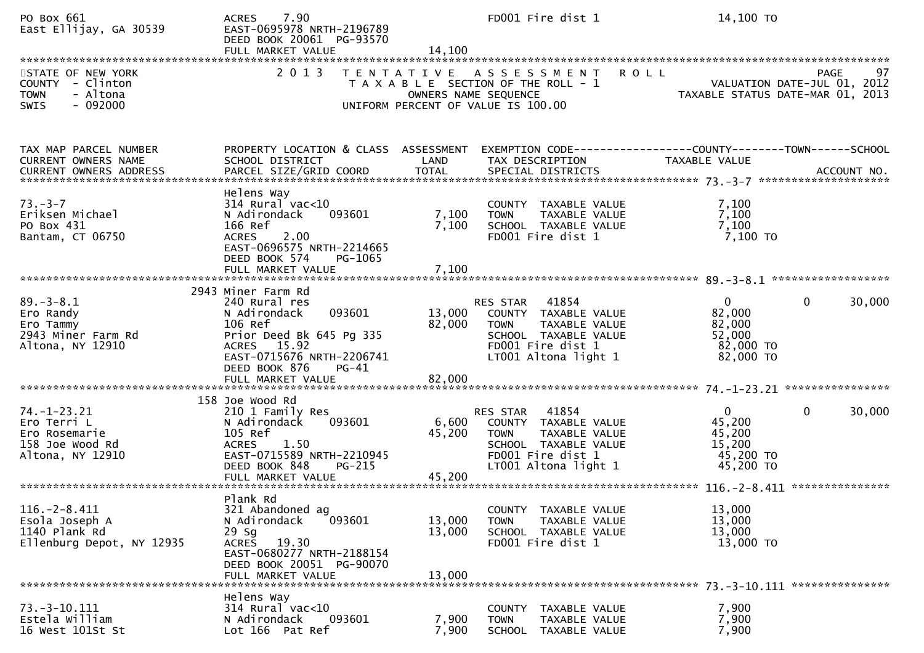| PO Box 661<br>East Ellijay, GA 30539                                                         | 7.90<br><b>ACRES</b><br>EAST-0695978 NRTH-2196789<br>DEED BOOK 20061 PG-93570<br>FULL MARKET VALUE                                                                           | 14,100                     | FD001 Fire dist 1                                                                                                                           | 14,100 TO                                                                                      |                                           |
|----------------------------------------------------------------------------------------------|------------------------------------------------------------------------------------------------------------------------------------------------------------------------------|----------------------------|---------------------------------------------------------------------------------------------------------------------------------------------|------------------------------------------------------------------------------------------------|-------------------------------------------|
| STATE OF NEW YORK<br>COUNTY - Clinton<br>- Altona<br><b>TOWN</b><br><b>SWIS</b><br>$-092000$ | 2 0 1 3<br>T E N T A T I V E                                                                                                                                                 |                            | <b>ROLL</b><br>A S S E S S M E N T<br>T A X A B L E SECTION OF THE ROLL - 1<br>OWNERS NAME SEQUENCE<br>UNIFORM PERCENT OF VALUE IS 100.00   | VALUATION DATE-JUL 01, 2012<br>VALUATION DATE-JUL 01, 2012<br>TAXABLE STATUS DATE-MAR 01, 2013 | 97<br><b>PAGE</b>                         |
| TAX MAP PARCEL NUMBER<br><b>CURRENT OWNERS NAME</b><br><b>CURRENT OWNERS ADDRESS</b>         | PROPERTY LOCATION & CLASS ASSESSMENT<br>SCHOOL DISTRICT<br>PARCEL SIZE/GRID COORD                                                                                            | LAND<br><b>TOTAL</b>       | EXEMPTION CODE-----------------COUNTY-------TOWN------SCHOOL<br>TAX DESCRIPTION<br>SPECIAL DISTRICTS                                        | TAXABLE VALUE                                                                                  | ACCOUNT NO.                               |
| $73. - 3 - 7$<br>Eriksen Michael<br>PO Box 431<br>Bantam, CT 06750                           | Helens Way<br>$314$ Rural vac<10<br>N Adirondack<br>093601<br>166 Ref<br>2.00<br><b>ACRES</b><br>EAST-0696575 NRTH-2214665<br>DEED BOOK 574<br>PG-1065<br>FULL MARKET VALUE  | 7,100<br>7,100<br>7,100    | COUNTY TAXABLE VALUE<br>TAXABLE VALUE<br><b>TOWN</b><br>SCHOOL TAXABLE VALUE<br>FD001 Fire dist 1                                           | 7,100<br>7,100<br>7,100<br>7,100 то                                                            |                                           |
| $89. - 3 - 8.1$<br>Ero Randy<br>Ero Tammy<br>2943 Miner Farm Rd<br>Altona, NY 12910          | 2943 Miner Farm Rd<br>240 Rural res<br>093601<br>N Adirondack<br>106 Ref<br>Prior Deed Bk 645 Pg 335<br>ACRES 15.92<br>EAST-0715676 NRTH-2206741<br>DEED BOOK 876<br>$PG-41$ | 13,000<br>82,000           | RES STAR 41854<br>COUNTY TAXABLE VALUE<br>TAXABLE VALUE<br><b>TOWN</b><br>SCHOOL TAXABLE VALUE<br>FD001 Fire dist 1<br>LT001 Altona light 1 | $\Omega$<br>82,000<br>82,000<br>52,000<br>82,000 TO<br>82,000 TO                               | $\mathbf{0}$<br>30,000                    |
| $74. - 1 - 23.21$<br>Ero Terri L<br>Ero Rosemarie<br>158 Joe Wood Rd<br>Altona, NY 12910     | 158 Joe Wood Rd<br>210 1 Family Res<br>N Adirondack<br>093601<br>105 Ref<br>1.50<br><b>ACRES</b><br>EAST-0715589 NRTH-2210945<br>DEED BOOK 848<br><b>PG-215</b>              | 6,600<br>45,200            | RES STAR 41854<br>COUNTY TAXABLE VALUE<br>TAXABLE VALUE<br><b>TOWN</b><br>SCHOOL TAXABLE VALUE<br>FD001 Fire dist 1<br>LT001 Altona light 1 | $\mathbf 0$<br>45,200<br>45,200<br>15,200<br>45,200 TO<br>45,200 TO                            | $\mathbf{0}$<br>30,000<br>*************** |
| $116. - 2 - 8.411$<br>Esola Joseph A<br>1140 Plank Rd<br>Ellenburg Depot, NY 12935           | Plank Rd<br>321 Abandoned ag<br>093601<br>N Adirondack<br>29 Sg<br>19.30<br><b>ACRES</b><br>EAST-0680277 NRTH-2188154<br>DEED BOOK 20051 PG-90070<br>FULL MARKET VALUE       | 13,000<br>13,000<br>13,000 | COUNTY TAXABLE VALUE<br>TAXABLE VALUE<br><b>TOWN</b><br>SCHOOL TAXABLE VALUE<br>FD001 Fire dist 1                                           | 13,000<br>13,000<br>13,000<br>13,000 TO                                                        |                                           |
| $73. - 3 - 10.111$<br>Estela William<br>16 West 101St St                                     | Helens Way<br>$314$ Rural vac<10<br>093601<br>N Adirondack<br>Lot 166 Pat Ref                                                                                                | 7,900<br>7,900             | COUNTY TAXABLE VALUE<br><b>TOWN</b><br>TAXABLE VALUE<br><b>SCHOOL</b><br>TAXABLE VALUE                                                      | 7,900<br>7,900<br>7,900                                                                        |                                           |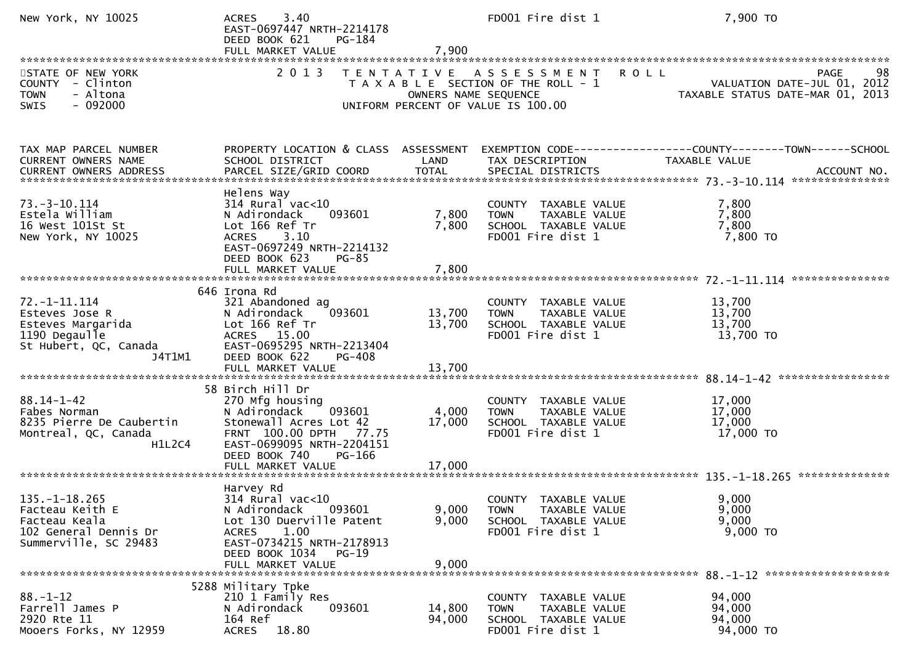| New York, NY 10025                                                                                        | 3.40<br><b>ACRES</b><br>EAST-0697447 NRTH-2214178<br>DEED BOOK 621<br>PG-184<br>FULL MARKET VALUE                                                                                              | 7,900                     | FD001 Fire dist 1                                                                                   | 7,900 TO                                                                                       |
|-----------------------------------------------------------------------------------------------------------|------------------------------------------------------------------------------------------------------------------------------------------------------------------------------------------------|---------------------------|-----------------------------------------------------------------------------------------------------|------------------------------------------------------------------------------------------------|
| STATE OF NEW YORK<br>COUNTY - Clinton<br>- Altona<br><b>TOWN</b><br>$-092000$<br>SWIS                     | 2 0 1 3                                                                                                                                                                                        | OWNERS NAME SEQUENCE      | TENTATIVE ASSESSMENT<br>T A X A B L E SECTION OF THE ROLL - 1<br>UNIFORM PERCENT OF VALUE IS 100.00 | <b>ROLL</b><br>98<br>PAGE<br>VALUATION DATE-JUL 01, 2012<br>TAXABLE STATUS DATE-MAR 01, 2013   |
| TAX MAP PARCEL NUMBER<br>CURRENT OWNERS NAME<br>CURRENT OWNERS ADDRESS                                    | PROPERTY LOCATION & CLASS ASSESSMENT<br>SCHOOL DISTRICT<br>PARCEL SIZE/GRID COORD                                                                                                              | LAND<br><b>TOTAL</b>      | TAX DESCRIPTION<br>SPECIAL DISTRICTS                                                                | EXEMPTION CODE------------------COUNTY--------TOWN------SCHOOL<br>TAXABLE VALUE<br>ACCOUNT NO. |
| $73. - 3 - 10.114$<br>Estela William<br>16 West 101St St<br>New York, NY 10025                            | Helens Way<br>$314$ Rural vac<10<br>N Adirondack<br>093601<br>Lot 166 Ref Tr<br>ACRES 3.10<br>EAST-0697249 NRTH-2214132<br>DEED BOOK 623<br>$PG-85$<br>FULL MARKET VALUE                       | 7,800<br>7,800<br>7,800   | COUNTY TAXABLE VALUE<br>TAXABLE VALUE<br><b>TOWN</b><br>SCHOOL TAXABLE VALUE<br>FD001 Fire dist 1   | 7,800<br>7,800<br>7,800<br>7,800 TO                                                            |
|                                                                                                           |                                                                                                                                                                                                |                           |                                                                                                     |                                                                                                |
| 72. –1–11.114<br>Esteves Jose R<br>Esteves Margarida<br>1190 Degaulle<br>St Hubert, QC, Canada<br>J4T1M1  | 646 Irona Rd<br>321 Abandoned ag<br>093601<br>N Adirondack<br>Lot 166 Ref Tr<br>ACRES 15.00<br>EAST-0695295 NRTH-2213404<br>DEED BOOK 622<br>PG-408                                            | 13,700<br>13,700          | COUNTY TAXABLE VALUE<br><b>TOWN</b><br>TAXABLE VALUE<br>SCHOOL TAXABLE VALUE<br>FD001 Fire dist 1   | 13,700<br>13,700<br>13,700<br>13,700 TO                                                        |
|                                                                                                           | FULL MARKET VALUE                                                                                                                                                                              | 13,700                    |                                                                                                     |                                                                                                |
| $88.14 - 1 - 42$<br>Fabes Norman<br>8235 Pierre De Caubertin<br>Montreal, QC, Canada<br>H1L2C4            | 58 Birch Hill Dr<br>270 Mfg housing<br>093601<br>N Adirondack<br>Stonewall Acres Lot 42<br>FRNT 100.00 DPTH 77.75<br>EAST-0699095 NRTH-2204151<br>DEED BOOK 740<br>PG-166<br>FULL MARKET VALUE | 4,000<br>17,000<br>17,000 | COUNTY TAXABLE VALUE<br>TAXABLE VALUE<br><b>TOWN</b><br>SCHOOL TAXABLE VALUE<br>FD001 Fire dist 1   | 17,000<br>17,000<br>17,000<br>17,000 TO                                                        |
|                                                                                                           |                                                                                                                                                                                                |                           |                                                                                                     |                                                                                                |
| $135. - 1 - 18.265$<br>Facteau Keith E<br>Facteau Keala<br>102 General Dennis Dr<br>Summerville, SC 29483 | Harvey Rd<br>$314$ Rural vac<10<br>N Adirondack<br>093601<br>Lot 130 Duerville Patent<br><b>ACRES</b><br>1.00<br>EAST-0734215 NRTH-2178913<br>DEED BOOK 1034 PG-19<br>FULL MARKET VALUE        | 9,000<br>9,000<br>9,000   | COUNTY TAXABLE VALUE<br>TAXABLE VALUE<br><b>TOWN</b><br>SCHOOL TAXABLE VALUE<br>FD001 Fire dist 1   | 9,000<br>9,000<br>9,000<br>9,000 TO                                                            |
|                                                                                                           | 5288 Military Tpke                                                                                                                                                                             |                           |                                                                                                     |                                                                                                |
| $88. - 1 - 12$<br>Farrell James P<br>2920 Rte 11<br>Mooers Forks, NY 12959                                | 210 1 Family Res<br>N Adirondack<br>093601<br>164 Ref<br>ACRES 18.80                                                                                                                           | 14,800<br>94,000          | COUNTY TAXABLE VALUE<br>TAXABLE VALUE<br><b>TOWN</b><br>SCHOOL TAXABLE VALUE<br>FD001 Fire dist 1   | 94,000<br>94,000<br>94,000<br>94,000 TO                                                        |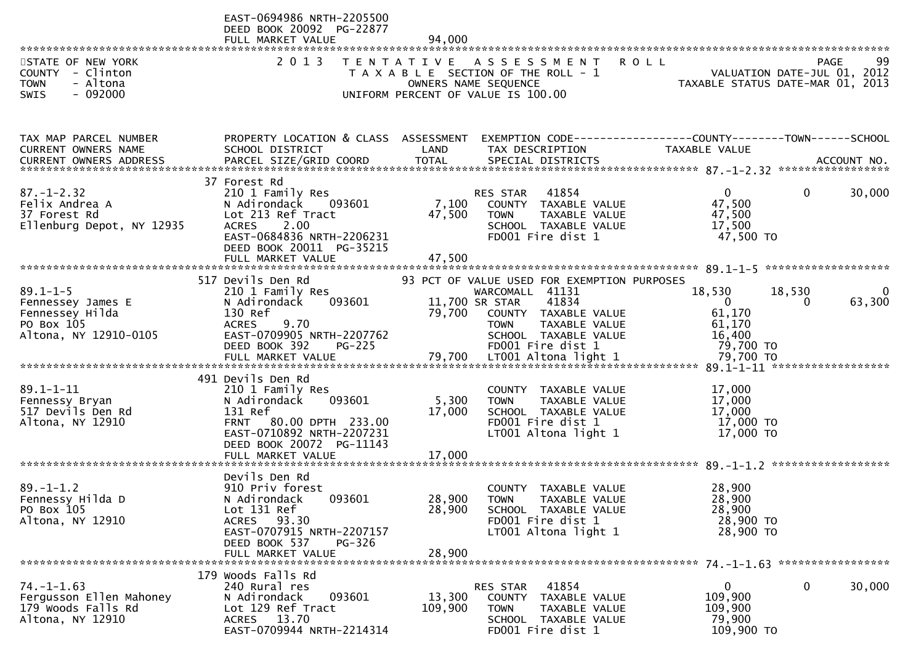|                                                                                               | EAST-0694986 NRTH-2205500<br>DEED BOOK 20092 PG-22877<br>FULL MARKET VALUE                                                                                       | 94,000                   |                                                                                                                                     |                                                                  |                        |             |
|-----------------------------------------------------------------------------------------------|------------------------------------------------------------------------------------------------------------------------------------------------------------------|--------------------------|-------------------------------------------------------------------------------------------------------------------------------------|------------------------------------------------------------------|------------------------|-------------|
| STATE OF NEW YORK<br>COUNTY - Clinton<br>- Altona<br><b>TOWN</b><br>$-092000$<br><b>SWIS</b>  | 2 0 1 3                                                                                                                                                          | OWNERS NAME SEQUENCE     | TENTATIVE ASSESSMENT<br><b>ROLL</b><br>T A X A B L E SECTION OF THE ROLL - 1<br>UNIFORM PERCENT OF VALUE IS 100.00                  | VALUATION DATE-JUL 01, 2012<br>TAXABLE STATUS DATE-MAR 01, 2013  | <b>PAGE</b>            | 99          |
| TAX MAP PARCEL NUMBER<br>CURRENT OWNERS NAME                                                  | PROPERTY LOCATION & CLASS ASSESSMENT<br>SCHOOL DISTRICT                                                                                                          | LAND                     | EXEMPTION CODE-----------------COUNTY--------TOWN------SCHOOL<br>TAX DESCRIPTION                                                    | TAXABLE VALUE                                                    |                        |             |
| $87. - 1 - 2.32$<br>Felix Andrea A<br>37 Forest Rd<br>Ellenburg Depot, NY 12935               | 37 Forest Rd<br>210 1 Family Res<br>N Adirondack<br>093601<br>Lot 213 Ref Tract<br>2.00<br><b>ACRES</b><br>EAST-0684836 NRTH-2206231<br>DEED BOOK 20011 PG-35215 | 7,100<br>47,500          | 41854<br>RES STAR<br>COUNTY TAXABLE VALUE<br><b>TOWN</b><br>TAXABLE VALUE<br>SCHOOL TAXABLE VALUE<br>FD001 Fire dist 1              | $\overline{0}$<br>47,500<br>47,500<br>17,500<br>47,500 TO        | 0                      | 30,000      |
|                                                                                               | 517 Devils Den Rd                                                                                                                                                |                          | 93 PCT OF VALUE USED FOR EXEMPTION PURPOSES                                                                                         |                                                                  |                        |             |
| $89.1 - 1 - 5$<br>Fennessey James E<br>Fennessey Hilda<br>PO Box 105<br>Altona, NY 12910-0105 | 210 1 Family Res<br>N Adirondack<br>093601<br>130 Ref<br><b>ACRES</b><br>9.70<br>EAST-0709905 NRTH-2207762<br>DEED BOOK 392<br>$PG-225$                          | 11,700 SR STAR<br>79,700 | WARCOMALL 41131<br>41834<br>COUNTY TAXABLE VALUE<br>TAXABLE VALUE<br><b>TOWN</b><br>SCHOOL TAXABLE VALUE<br>FD001 Fire dist 1       | 18,530<br>$\mathbf 0$<br>61,170<br>61,170<br>16,400<br>79,700 TO | 18,530<br>$\mathbf{0}$ | 0<br>63,300 |
|                                                                                               | 491 Devils Den Rd                                                                                                                                                |                          |                                                                                                                                     |                                                                  |                        |             |
| $89.1 - 1 - 11$<br>Fennessy Bryan<br>517 Devils Den Rd<br>Altona, NY 12910                    | 210 1 Family Res<br>N Adirondack<br>093601<br>131 Ref<br><b>FRNT</b><br>80.00 DPTH 233.00<br>EAST-0710892 NRTH-2207231<br>DEED BOOK 20072 PG-11143               | 5,300<br>17,000          | COUNTY TAXABLE VALUE<br><b>TOWN</b><br>TAXABLE VALUE<br>SCHOOL TAXABLE VALUE<br>FD001 Fire dist 1<br>LT001 Altona light 1           | 17,000<br>17,000<br>17,000<br>17,000 TO<br>17,000 TO             |                        |             |
|                                                                                               |                                                                                                                                                                  |                          |                                                                                                                                     |                                                                  |                        |             |
| $89. - 1 - 1.2$<br>Fennessy Hilda D<br>PO Box 105<br>Altona, NY 12910                         | Devils Den Rd<br>910 Priv forest<br>N Adirondack<br>093601<br>Lot 131 Ref<br>93.30<br><b>ACRES</b><br>EAST-0707915 NRTH-2207157<br>DEED BOOK 537<br>PG-326       | 28,900<br>28,900         | <b>COUNTY</b><br>TAXABLE VALUE<br><b>TOWN</b><br>TAXABLE VALUE<br>SCHOOL TAXABLE VALUE<br>FD001 Fire dist 1<br>LT001 Altona light 1 | 28,900<br>28,900<br>28,900<br>28,900 TO<br>28,900 TO             |                        |             |
|                                                                                               | FULL MARKET VALUE                                                                                                                                                | 28,900                   |                                                                                                                                     |                                                                  |                        |             |
| $74. - 1 - 1.63$<br>Fergusson Ellen Mahoney<br>179 Woods Falls Rd<br>Altona, NY 12910         | 179 Woods Falls Rd<br>240 Rural res<br>093601<br>N Adirondack<br>Lot 129 Ref Tract<br>ACRES 13.70<br>EAST-0709944 NRTH-2214314                                   | 13,300<br>109,900        | 41854<br>RES STAR<br>TAXABLE VALUE<br><b>COUNTY</b><br>TAXABLE VALUE<br><b>TOWN</b><br>SCHOOL TAXABLE VALUE<br>FD001 Fire dist 1    | 0<br>109,900<br>109,900<br>79,900<br>109,900 TO                  | 0                      | 30,000      |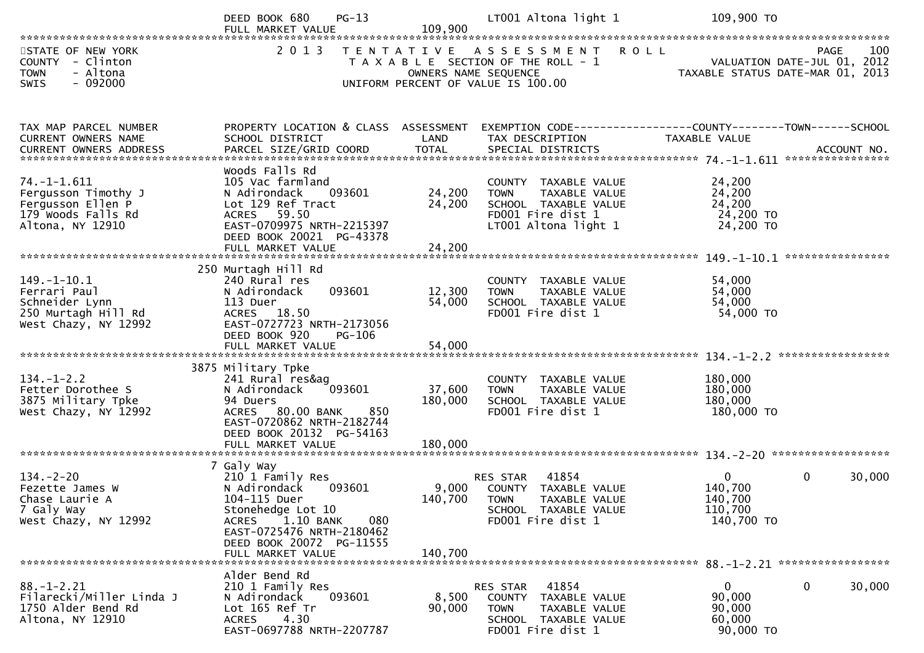|                                                                                                         | $PG-13$<br>DEED BOOK 680                                                                                                                                                                   | 109,900                      | LT001 Altona light 1                                                                                                                            | 109,900 TO                                                      |                        |
|---------------------------------------------------------------------------------------------------------|--------------------------------------------------------------------------------------------------------------------------------------------------------------------------------------------|------------------------------|-------------------------------------------------------------------------------------------------------------------------------------------------|-----------------------------------------------------------------|------------------------|
|                                                                                                         | FULL MARKET VALUE                                                                                                                                                                          |                              |                                                                                                                                                 |                                                                 |                        |
| STATE OF NEW YORK<br>COUNTY - Clinton<br>- Altona<br><b>TOWN</b><br>SWIS<br>$-092000$                   |                                                                                                                                                                                            |                              | 2013 TENTATIVE ASSESSMENT<br><b>ROLL</b><br>T A X A B L E SECTION OF THE ROLL - 1<br>OWNERS NAME SEQUENCE<br>UNIFORM PERCENT OF VALUE IS 100.00 | VALUATION DATE-JUL 01, 2012<br>TAXABLE STATUS DATE-MAR 01, 2013 | 100<br>PAGE            |
| TAX MAP PARCEL NUMBER                                                                                   | PROPERTY LOCATION & CLASS ASSESSMENT                                                                                                                                                       |                              |                                                                                                                                                 |                                                                 |                        |
| CURRENT OWNERS NAME                                                                                     | SCHOOL DISTRICT                                                                                                                                                                            | LAND                         | TAX DESCRIPTION                                                                                                                                 | TAXABLE VALUE                                                   |                        |
| $74. - 1 - 1.611$<br>Fergusson Timothy J<br>Fergusson Ellen P<br>179 Woods Falls Rd<br>Altona, NY 12910 | Woods Falls Rd<br>105 Vac farmland<br>093601<br>N Adirondack<br>Lot 129 Ref Tract<br>ACRES 59.50<br>EAST-0709975 NRTH-2215397<br>DEED BOOK 20021 PG-43378<br>FULL MARKET VALUE             | 24,200<br>24,200<br>24,200   | COUNTY TAXABLE VALUE<br>TAXABLE VALUE<br><b>TOWN</b><br>SCHOOL TAXABLE VALUE<br>FD001 Fire dist 1<br>LT001 Altona light 1                       | 24,200<br>24,200<br>24,200<br>24,200 TO<br>24,200 TO            |                        |
|                                                                                                         |                                                                                                                                                                                            |                              |                                                                                                                                                 |                                                                 |                        |
| $149. - 1 - 10.1$<br>Ferrari Paul<br>Schneider Lynn<br>250 Murtagh Hill Rd<br>West Chazy, NY 12992      | 250 Murtagh Hill Rd<br>240 Rural res<br>093601<br>N Adirondack<br>113 Duer<br>ACRES 18.50<br>EAST-0727723 NRTH-2173056<br>DEED BOOK 920<br>PG-106                                          | 12,300<br>54,000             | COUNTY TAXABLE VALUE<br>TAXABLE VALUE<br>TOWN<br>SCHOOL TAXABLE VALUE<br>FD001 Fire dist 1                                                      | 54,000<br>54,000<br>54,000<br>54,000 TO                         |                        |
|                                                                                                         |                                                                                                                                                                                            |                              |                                                                                                                                                 |                                                                 |                        |
| $134. - 1 - 2.2$<br>Fetter Dorothee S<br>3875 Military Tpke<br>West Chazy, NY 12992                     | 3875 Military Tpke<br>241 Rural res&ag<br>093601<br>N Adirondack<br>94 Duers<br>ACRES 80.00 BANK<br>850<br>EAST-0720862 NRTH-2182744<br>DEED BOOK 20132 PG-54163<br>FULL MARKET VALUE      | 37,600<br>180,000<br>180,000 | COUNTY TAXABLE VALUE<br>TAXABLE VALUE<br><b>TOWN</b><br>SCHOOL TAXABLE VALUE<br>FD001 Fire dist 1                                               | 180,000<br>180,000<br>180,000<br>180,000 TO                     |                        |
|                                                                                                         |                                                                                                                                                                                            |                              |                                                                                                                                                 |                                                                 |                        |
| $134. - 2 - 20$<br>Fezette James W<br>Chase Laurie A<br>7 Galy Way<br>West Chazy, NY 12992              | 7 Galy Way<br>210 1 Family Res<br>093601<br>N Adirondack<br>104-115 Duer<br>Stonehedge Lot 10<br>1.10 BANK<br>080<br><b>ACRES</b><br>EAST-0725476 NRTH-2180462<br>DEED BOOK 20072 PG-11555 | 9,000<br>140,700             | 41854<br>RES STAR<br>COUNTY TAXABLE VALUE<br><b>TOWN</b><br>TAXABLE VALUE<br>SCHOOL TAXABLE VALUE<br>FD001 Fire dist 1                          | $\overline{0}$<br>140,700<br>140,700<br>110,700<br>140,700 TO   | $\mathbf{0}$<br>30,000 |
|                                                                                                         |                                                                                                                                                                                            |                              |                                                                                                                                                 |                                                                 |                        |
| $88. - 1 - 2.21$<br>Filarecki/Miller Linda J<br>1750 Alder Bend Rd<br>Altona, NY 12910                  | Alder Bend Rd<br>210 1 Family Res<br>093601<br>N Adirondack<br>Lot 165 Ref Tr<br>4.30<br><b>ACRES</b><br>EAST-0697788 NRTH-2207787                                                         | 8,500<br>90,000              | 41854<br>RES STAR<br>COUNTY<br>TAXABLE VALUE<br><b>TOWN</b><br>TAXABLE VALUE<br>SCHOOL TAXABLE VALUE<br>FD001 Fire dist 1                       | 0<br>90,000<br>90,000<br>60,000<br>90,000 TO                    | $\mathbf 0$<br>30,000  |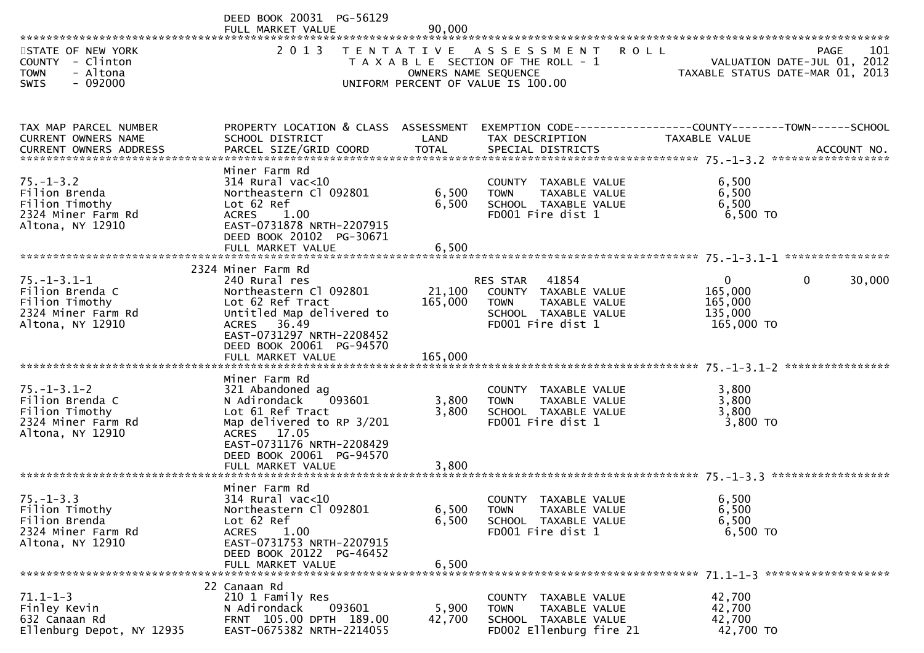|                                                                                                    | DEED BOOK 20031 PG-56129                                                                                                                                                                                  |                                |                                                                                                                               |                                                                                |                        |
|----------------------------------------------------------------------------------------------------|-----------------------------------------------------------------------------------------------------------------------------------------------------------------------------------------------------------|--------------------------------|-------------------------------------------------------------------------------------------------------------------------------|--------------------------------------------------------------------------------|------------------------|
| STATE OF NEW YORK<br>COUNTY - Clinton<br>- Altona<br><b>TOWN</b>                                   | FULL MARKET VALUE<br>2 0 1 3                                                                                                                                                                              | 90,000<br>OWNERS NAME SEQUENCE | TENTATIVE ASSESSMENT<br>T A X A B L E SECTION OF THE ROLL - 1                                                                 | <b>ROLL</b><br>VALUATION DATE-JUL 01, 2012<br>TAXABLE STATUS DATE-MAR 01, 2013 | 101<br>PAGE            |
| $-092000$<br><b>SWIS</b>                                                                           |                                                                                                                                                                                                           |                                | UNIFORM PERCENT OF VALUE IS 100.00                                                                                            |                                                                                |                        |
| TAX MAP PARCEL NUMBER<br>CURRENT OWNERS NAME                                                       | PROPERTY LOCATION & CLASS ASSESSMENT EXEMPTION CODE----------------COUNTY-------TOWN------SCHOOL<br>SCHOOL DISTRICT                                                                                       | LAND                           | TAX DESCRIPTION                                                                                                               | TAXABLE VALUE                                                                  |                        |
| CURRENT OWNERS ADDRESS                                                                             |                                                                                                                                                                                                           |                                |                                                                                                                               |                                                                                |                        |
| $75. - 1 - 3.2$<br>Filion Brenda<br>Filion Timothy<br>2324 Miner Farm Rd<br>Altona, NY 12910       | Miner Farm Rd<br>$314$ Rural vac<10<br>Northeastern Cl 092801<br>Lot 62 Ref<br>ACRES<br>1.00<br>EAST-0731878 NRTH-2207915<br>DEED BOOK 20102 PG-30671                                                     | 6,500<br>6,500                 | COUNTY TAXABLE VALUE<br>TAXABLE VALUE<br><b>TOWN</b><br>SCHOOL TAXABLE VALUE<br>FD001 Fire dist 1                             | 6,500<br>6,500<br>6,500<br>6,500 TO                                            |                        |
|                                                                                                    | FULL MARKET VALUE                                                                                                                                                                                         | 6,500                          |                                                                                                                               |                                                                                |                        |
| $75. - 1 - 3.1 - 1$<br>Filion Brenda C<br>Filion Timothy<br>2324 Miner Farm Rd<br>Altona, NY 12910 | 2324 Miner Farm Rd<br>240 Rural res<br>Northeastern Cl 092801<br>Lot 62 Ref Tract<br>Untitled Map delivered to<br>ACRES 36.49<br>EAST-0731297 NRTH-2208452<br>DEED BOOK 20061 PG-94570                    | 165,000                        | 41854<br>RES STAR<br>21,100 COUNTY TAXABLE VALUE<br>TAXABLE VALUE<br><b>TOWN</b><br>SCHOOL TAXABLE VALUE<br>FD001 Fire dist 1 | $\overline{0}$<br>165,000<br>165,000<br>135,000<br>165,000 TO                  | $\mathbf{0}$<br>30,000 |
| $75. - 1 - 3.1 - 2$<br>Filion Brenda C<br>Filion Timothy<br>2324 Miner Farm Rd<br>Altona, NY 12910 | Miner Farm Rd<br>321 Abandoned ag<br>N Adirondack<br>093601<br>Lot 61 Ref Tract<br>Map delivered to RP 3/201<br>ACRES 17.05<br>EAST-0731176 NRTH-2208429<br>DEED BOOK 20061 PG-94570<br>FULL MARKET VALUE | 3,800<br>3,800<br>3,800        | COUNTY TAXABLE VALUE<br>TAXABLE VALUE<br>TOWN<br>SCHOOL TAXABLE VALUE<br>FD001 Fire dist 1                                    | 3,800<br>3,800<br>3,800<br>3,800 TO                                            |                        |
| $75. - 1 - 3.3$<br>Filion Timothy<br>Filion Brenda<br>2324 Miner Farm Rd<br>Altona, NY 12910       | Miner Farm Rd<br>$314$ Rural vac<10<br>Northeastern Cl 092801<br>Lot 62 Ref<br><b>ACRES</b><br>1.00<br>EAST-0731753 NRTH-2207915<br>DEED BOOK 20122 PG-46452<br>FULL MARKET VALUE                         | 6,500<br>6,500<br>6,500        | COUNTY TAXABLE VALUE<br>TAXABLE VALUE<br>TOWN<br>SCHOOL TAXABLE VALUE<br>FD001 Fire dist 1                                    | 6,500<br>6,500<br>6,500<br>6,500 TO                                            |                        |
| $71.1 - 1 - 3$<br>Finley Kevin<br>632 Canaan Rd<br>Ellenburg Depot, NY 12935                       | 22 Canaan Rd<br>210 1 Family Res<br>093601<br>N Adirondack<br>FRNT 105.00 DPTH 189.00<br>EAST-0675382 NRTH-2214055                                                                                        | 5,900<br>42,700                | <b>COUNTY</b><br>TAXABLE VALUE<br>TAXABLE VALUE<br>TOWN<br>SCHOOL TAXABLE VALUE<br>FD002 Ellenburg fire 21                    | 42,700<br>42,700<br>42,700<br>42,700 TO                                        |                        |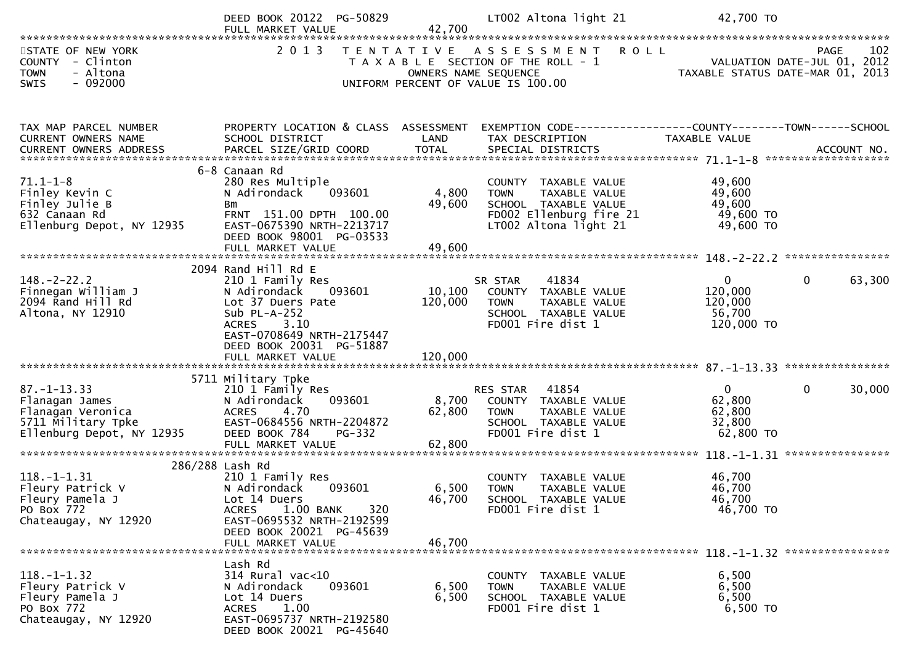|                                                                                                             | DEED BOOK 20122 PG-50829<br>FULL MARKET VALUE                                                                                                                              | 42,700                    | LT002 Altona light 21                                                                                                                      | 42,700 TO                                                  |                                                   |
|-------------------------------------------------------------------------------------------------------------|----------------------------------------------------------------------------------------------------------------------------------------------------------------------------|---------------------------|--------------------------------------------------------------------------------------------------------------------------------------------|------------------------------------------------------------|---------------------------------------------------|
| STATE OF NEW YORK<br>COUNTY - Clinton<br>- Altona<br><b>TOWN</b><br>$-092000$<br><b>SWIS</b>                | 2 0 1 3                                                                                                                                                                    |                           | TENTATIVE ASSESSMENT<br><b>ROLL</b><br>T A X A B L E SECTION OF THE ROLL - 1<br>OWNERS NAME SEQUENCE<br>UNIFORM PERCENT OF VALUE IS 100.00 | TAXABLE STATUS DATE-MAR 01, 2013                           | 102<br><b>PAGE</b><br>VALUATION DATE-JUL 01, 2012 |
| TAX MAP PARCEL NUMBER<br>CURRENT OWNERS NAME                                                                | PROPERTY LOCATION & CLASS ASSESSMENT<br>SCHOOL DISTRICT                                                                                                                    | LAND                      | EXEMPTION CODE-----------------COUNTY-------TOWN------SCHOOL<br>TAX DESCRIPTION                                                            | TAXABLE VALUE                                              |                                                   |
| $71.1 - 1 - 8$<br>Finley Kevin C<br>Finley Julie B<br>632 Canaan Rd<br>Ellenburg Depot, NY 12935            | 6-8 Canaan Rd<br>280 Res Multiple<br>N Adirondack<br>093601<br>Bm<br>FRNT 151.00 DPTH 100.00<br>EAST-0675390 NRTH-2213717<br>DEED BOOK 98001 PG-03533<br>FULL MARKET VALUE | 4,800<br>49,600<br>49,600 | COUNTY TAXABLE VALUE<br><b>TOWN</b><br>TAXABLE VALUE<br>SCHOOL TAXABLE VALUE<br>FD002 Ellenburg fire 21<br>LT002 Altona light 21           | 49,600<br>49,600<br>49,600<br>49,600 TO<br>49,600 TO       |                                                   |
| $148. - 2 - 22.2$<br>Finnegan William J<br>2094 Rand Hill Rd<br>Altona, NY 12910                            | 2094 Rand Hill Rd E<br>210 1 Family Res<br>N Adirondack<br>093601<br>Lot 37 Duers Pate<br>Sub $PL-A-252$<br>3.10<br><b>ACRES</b><br>EAST-0708649 NRTH-2175447              | 10,100<br>120,000         | 41834<br>SR STAR<br>COUNTY TAXABLE VALUE<br>TAXABLE VALUE<br><b>TOWN</b><br>SCHOOL TAXABLE VALUE<br>FD001 Fire dist 1                      | $\mathbf{0}$<br>120,000<br>120,000<br>56,700<br>120,000 TO | $\mathbf{0}$<br>63,300                            |
|                                                                                                             | DEED BOOK 20031 PG-51887<br>FULL MARKET VALUE                                                                                                                              | 120,000                   |                                                                                                                                            |                                                            |                                                   |
| $87. - 1 - 13.33$<br>Flanagan James<br>Flanagan Veronica<br>5711 Military Tpke<br>Ellenburg Depot, NY 12935 | 5711 Military Tpke<br>210 1 Family Res<br>093601<br>N Adirondack<br>4.70<br><b>ACRES</b><br>EAST-0684556 NRTH-2204872<br>DEED BOOK 784<br>PG-332<br>FULL MARKET VALUE      | 8,700<br>62,800<br>62,800 | RES STAR<br>41854<br>COUNTY TAXABLE VALUE<br><b>TOWN</b><br>TAXABLE VALUE<br>SCHOOL TAXABLE VALUE<br>FD001 Fire dist 1                     | $\Omega$<br>62,800<br>62,800<br>32,800<br>62,800 TO        | $\mathbf{0}$<br>30,000                            |
|                                                                                                             |                                                                                                                                                                            |                           |                                                                                                                                            |                                                            |                                                   |
| $118. - 1 - 1.31$<br>Fleury Patrick V<br>Fleury Pamela J<br>PO Box 772<br>Chateaugay, NY 12920              | 286/288 Lash Rd<br>210 1 Family Res<br>093601<br>N Adirondack<br>Lot 14 Duers<br>1.00 BANK<br>320<br><b>ACRES</b><br>EAST-0695532 NRTH-2192599<br>DEED BOOK 20021 PG-45639 | 6,500<br>46,700           | COUNTY TAXABLE VALUE<br><b>TOWN</b><br>TAXABLE VALUE<br>SCHOOL TAXABLE VALUE<br>FD001 Fire dist 1                                          | 46,700<br>46,700<br>46,700<br>46,700 TO                    |                                                   |
|                                                                                                             | FULL MARKET VALUE                                                                                                                                                          | 46,700                    |                                                                                                                                            |                                                            |                                                   |
| $118.-1-1.32$<br>Fleury Patrick V<br>Fleury Pamela J<br>PO Box 772<br>Chateaugay, NY 12920                  | Lash Rd<br>$314$ Rural vac<10<br>093601<br>N Adirondack<br>Lot 14 Duers<br>1.00<br><b>ACRES</b><br>EAST-0695737 NRTH-2192580<br>DEED BOOK 20021 PG-45640                   | 6,500<br>6,500            | COUNTY TAXABLE VALUE<br>TAXABLE VALUE<br><b>TOWN</b><br>SCHOOL TAXABLE VALUE<br>FD001 Fire dist 1                                          | 6,500<br>6,500<br>6,500<br>6,500 TO                        |                                                   |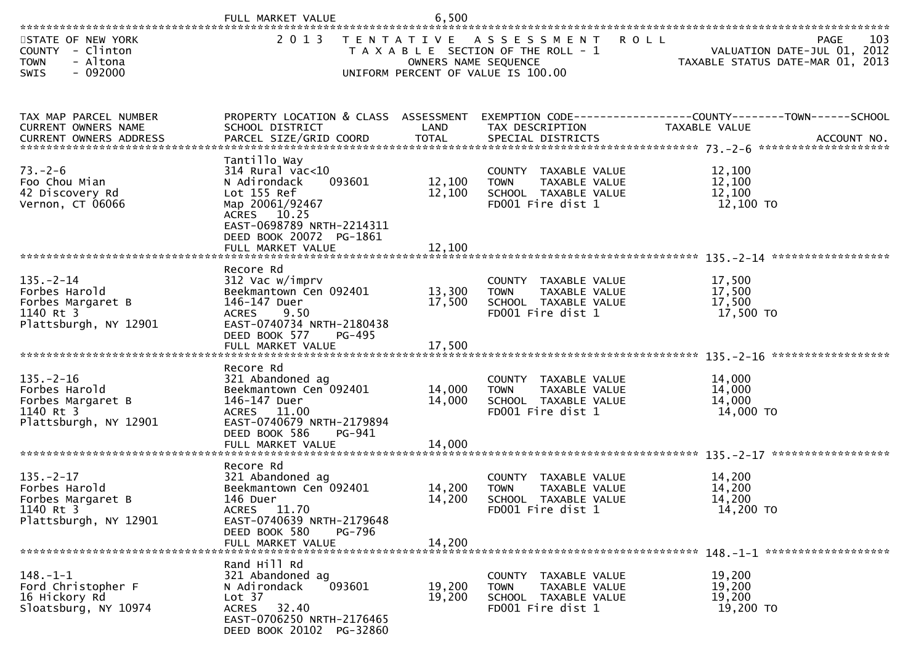|                                                                                              | FULL MARKET VALUE                                                                                                                                                                        | 6,500                      |                                                                                                                    |                                                                                |
|----------------------------------------------------------------------------------------------|------------------------------------------------------------------------------------------------------------------------------------------------------------------------------------------|----------------------------|--------------------------------------------------------------------------------------------------------------------|--------------------------------------------------------------------------------|
| STATE OF NEW YORK<br>COUNTY - Clinton<br>- Altona<br><b>TOWN</b><br>$-092000$<br><b>SWIS</b> | 2 0 1 3                                                                                                                                                                                  | OWNERS NAME SEQUENCE       | TENTATIVE ASSESSMENT<br><b>ROLL</b><br>T A X A B L E SECTION OF THE ROLL - 1<br>UNIFORM PERCENT OF VALUE IS 100.00 | 103<br>PAGE<br>VALUATION DATE-JUL 01, 2012<br>TAXABLE STATUS DATE-MAR 01, 2013 |
| TAX MAP PARCEL NUMBER<br>CURRENT OWNERS NAME                                                 | PROPERTY LOCATION & CLASS ASSESSMENT<br>SCHOOL DISTRICT                                                                                                                                  | LAND                       | TAX DESCRIPTION                                                                                                    | EXEMPTION CODE-----------------COUNTY--------TOWN-----SCHOOL<br>TAXABLE VALUE  |
| $73. - 2 - 6$<br>Foo Chou Mian<br>42 Discovery Rd<br>Vernon, CT 06066                        | Tantillo Way<br>314 Rural vac<10<br>093601<br>N Adirondack<br>Lot 155 Ref<br>Map 20061/92467<br>ACRES 10.25<br>EAST-0698789 NRTH-2214311<br>DEED BOOK 20072 PG-1861<br>FULL MARKET VALUE | 12,100<br>12,100<br>12,100 | COUNTY TAXABLE VALUE<br>TAXABLE VALUE<br><b>TOWN</b><br>SCHOOL TAXABLE VALUE<br>FD001 Fire dist 1                  | 12,100<br>12,100<br>12,100<br>12,100 TO                                        |
| $135. - 2 - 14$<br>Forbes Harold<br>Forbes Margaret B<br>1140 Rt 3<br>Plattsburgh, NY 12901  | Recore Rd<br>312 Vac w/imprv<br>Beekmantown Cen 092401<br>146-147 Duer<br><b>ACRES</b><br>9.50<br>EAST-0740734 NRTH-2180438<br>DEED BOOK 577<br>PG-495<br>FULL MARKET VALUE              | 13,300<br>17,500<br>17,500 | COUNTY TAXABLE VALUE<br><b>TOWN</b><br>TAXABLE VALUE<br>SCHOOL TAXABLE VALUE<br>FD001 Fire dist 1                  | 17,500<br>17,500<br>17,500<br>17,500 TO                                        |
| $135. - 2 - 16$<br>Forbes Harold<br>Forbes Margaret B<br>1140 Rt 3<br>Plattsburgh, NY 12901  | Recore Rd<br>321 Abandoned ag<br>Beekmantown Cen 092401<br>146-147 Duer<br>ACRES 11.00<br>EAST-0740679 NRTH-2179894<br>DEED BOOK 586<br>PG-941<br>FULL MARKET VALUE                      | 14,000<br>14,000<br>14,000 | COUNTY TAXABLE VALUE<br>TAXABLE VALUE<br><b>TOWN</b><br>SCHOOL TAXABLE VALUE<br>FD001 Fire dist 1                  | 14,000<br>14,000<br>14,000<br>14,000 TO                                        |
| $135. -2 - 17$<br>Forbes Harold<br>Forbes Margaret B<br>1140 Rt 3<br>Plattsburgh, NY 12901   | Recore Rd<br>321 Abandoned ag<br>Beekmantown Cen 092401<br>146 Duer<br>ACRES 11.70<br>EAST-0740639 NRTH-2179648<br>DEED BOOK 580<br>PG-796<br>FULL MARKET VALUE                          | 14,200<br>14,200<br>14,200 | COUNTY TAXABLE VALUE<br><b>TOWN</b><br>TAXABLE VALUE<br>SCHOOL TAXABLE VALUE<br>FD001 Fire dist 1                  | 14,200<br>14,200<br>14,200<br>14,200 TO                                        |
| $148. - 1 - 1$<br>Ford Christopher F<br>16 Hickory Rd<br>Sloatsburg, NY 10974                | Rand Hill Rd<br>321 Abandoned ag<br>N Adirondack<br>093601<br>Lot 37<br>ACRES 32.40<br>EAST-0706250 NRTH-2176465<br>DEED BOOK 20102 PG-32860                                             | 19,200<br>19,200           | COUNTY TAXABLE VALUE<br>TAXABLE VALUE<br><b>TOWN</b><br>SCHOOL TAXABLE VALUE<br>FD001 Fire dist 1                  | 19,200<br>19,200<br>19,200<br>19,200 TO                                        |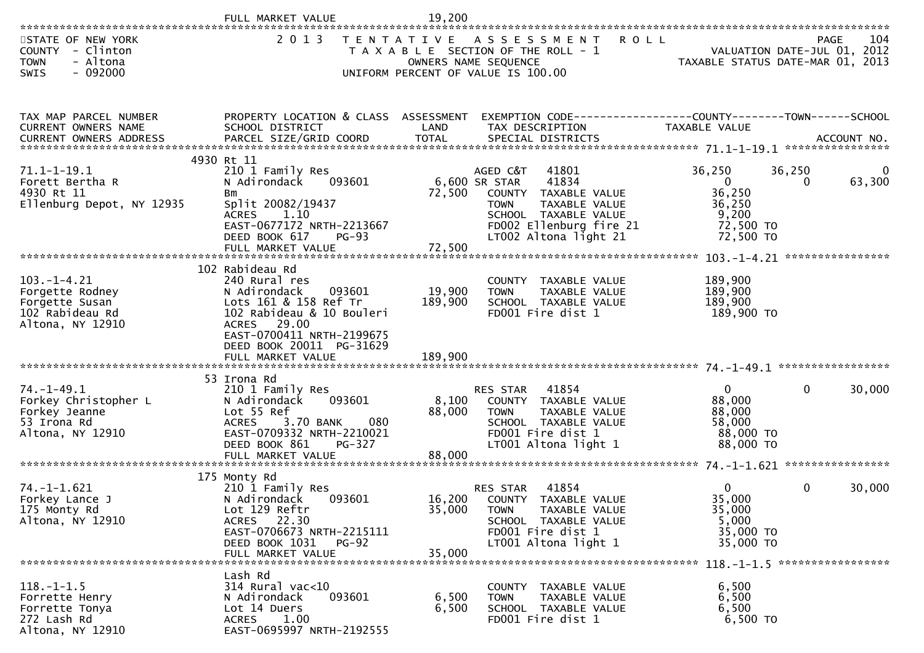|                                                                                              | FULL MARKET VALUE                                                                                                                                                                               | 19,200                    |                                                                                                                                                                                 |                                                                                 |                    |                                            |
|----------------------------------------------------------------------------------------------|-------------------------------------------------------------------------------------------------------------------------------------------------------------------------------------------------|---------------------------|---------------------------------------------------------------------------------------------------------------------------------------------------------------------------------|---------------------------------------------------------------------------------|--------------------|--------------------------------------------|
| STATE OF NEW YORK<br>COUNTY - Clinton<br>- Altona<br><b>TOWN</b><br>$-092000$<br><b>SWIS</b> | 2 0 1 3                                                                                                                                                                                         |                           | TENTATIVE ASSESSMENT ROLL<br>T A X A B L E SECTION OF THE ROLL - 1<br>OWNERS NAME SEQUENCE<br>UNIFORM PERCENT OF VALUE IS 100.00                                                | TAXABLE STATUS DATE-MAR 01, 2013                                                |                    | 104<br>PAGE<br>VALUATION DATE-JUL 01, 2012 |
| TAX MAP PARCEL NUMBER<br>CURRENT OWNERS NAME                                                 | PROPERTY LOCATION & CLASS ASSESSMENT<br>SCHOOL DISTRICT                                                                                                                                         | LAND                      | EXEMPTION CODE------------------COUNTY--------TOWN------SCHOOL<br>TAX DESCRIPTION                                                                                               | TAXABLE VALUE                                                                   |                    |                                            |
| $71.1 - 1 - 19.1$<br>Forett Bertha R<br>4930 Rt 11<br>Ellenburg Depot, NY 12935              | 4930 Rt 11<br>210 1 Family Res<br>N Adirondack<br>093601<br>Bm<br>Split 20082/19437<br><b>ACRES</b><br>1.10<br>EAST-0677172 NRTH-2213667<br>DEED BOOK 617<br><b>PG-93</b><br>FULL MARKET VALUE  | 72,500<br>72,500          | AGED C&T<br>41801<br>6,600 SR STAR<br>41834<br>COUNTY TAXABLE VALUE<br>TAXABLE VALUE<br><b>TOWN</b><br>SCHOOL TAXABLE VALUE<br>FD002 Ellenburg fire 21<br>LT002 Altona light 21 | 36,250<br>$\overline{0}$<br>36,250<br>36,250<br>9,200<br>72,500 TO<br>72,500 TO | 36,250<br>$\Omega$ | 0<br>63,300                                |
| $103. -1 - 4.21$<br>Forgette Rodney<br>Forgette Susan<br>102 Rabideau Rd<br>Altona, NY 12910 | 102 Rabideau Rd<br>240 Rural res<br>093601<br>N Adirondack<br>Lots 161 & 158 Ref Tr<br>102 Rabideau & 10 Bouleri<br>ACRES 29.00<br>EAST-0700411 NRTH-2199675<br>DEED BOOK 20011 PG-31629        | 19,900<br>189,900         | COUNTY TAXABLE VALUE<br>TAXABLE VALUE<br><b>TOWN</b><br>SCHOOL TAXABLE VALUE<br>FD001 Fire dist 1                                                                               | 189,900<br>189,900<br>189,900<br>189,900 TO                                     |                    |                                            |
| $74. - 1 - 49.1$<br>Forkey Christopher L<br>Forkey Jeanne<br>53 Irona Rd<br>Altona, NY 12910 | 53 Irona Rd<br>210 1 Family Res<br>093601<br>N Adirondack<br>Lot 55 Ref<br><b>ACRES</b><br>3.70 BANK<br>080<br>EAST-0709332 NRTH-2210021<br>DEED BOOK 861<br><b>PG-327</b><br>FULL MARKET VALUE | 8,100<br>88,000<br>88,000 | 41854<br>RES STAR<br>COUNTY TAXABLE VALUE<br>TAXABLE VALUE<br><b>TOWN</b><br>SCHOOL TAXABLE VALUE<br>FD001 Fire dist 1<br>LT001 Altona light 1                                  | $\mathbf{0}$<br>88,000<br>88,000<br>58,000<br>88,000 TO<br>88,000 TO            | $\mathbf{0}$       | 30,000                                     |
| 74. -1-1.621<br>Forkey Lance J<br>175 Monty Rd<br>Altona, NY 12910                           | 175 Monty Rd<br>210 1 Family Res<br>093601<br>N Adirondack<br>Lot 129 Reftr<br>ACRES 22.30<br>EAST-0706673 NRTH-2215111<br>DEED BOOK 1031<br>PG-92<br>FULL MARKET VALUE                         | 35,000<br>35,000          | 41854<br><b>RES STAR</b><br>16,200 COUNTY TAXABLE VALUE<br>TAXABLE VALUE<br><b>TOWN</b><br>SCHOOL TAXABLE VALUE<br>FD001 Fire dist 1<br>LT001 Altona light 1                    | 0<br>35,000<br>35,000<br>5,000<br>35,000 TO<br>35,000 TO                        | $\overline{0}$     | 30,000                                     |
| $118.-1-1.5$<br>Forrette Henry<br>Forrette Tonya<br>272 Lash Rd<br>Altona, NY 12910          | Lash Rd<br>314 Rural vac<10<br>093601<br>N Adirondack<br>Lot 14 Duers<br>ACRES 1.00<br>EAST-0695997 NRTH-2192555                                                                                | 6,500<br>6,500            | COUNTY TAXABLE VALUE<br>TAXABLE VALUE<br><b>TOWN</b><br>SCHOOL TAXABLE VALUE<br>FD001 Fire dist 1                                                                               | 6,500<br>6,500<br>6,500<br>6,500 TO                                             |                    |                                            |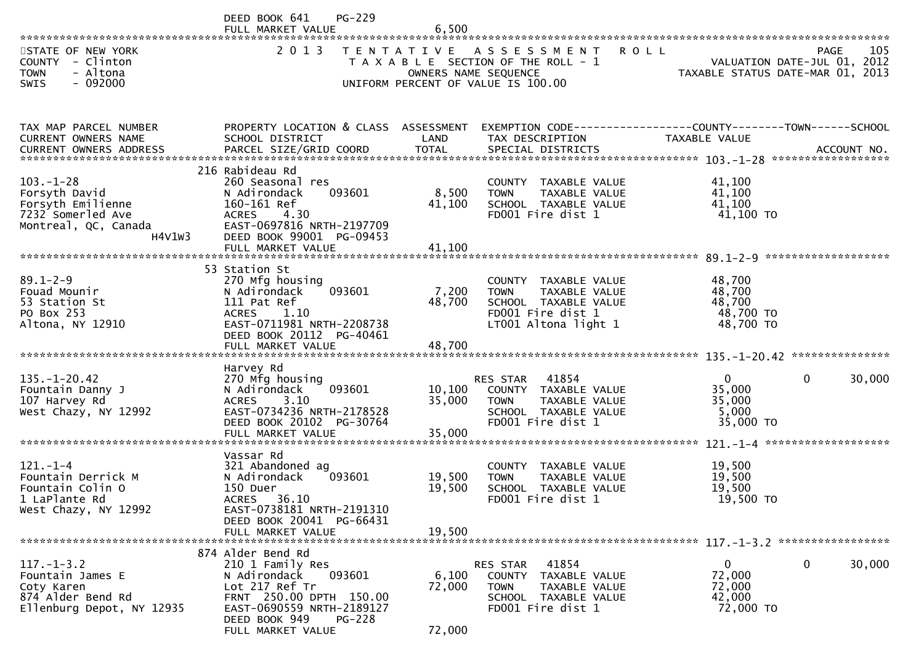|                                                                                                              | <b>PG-229</b><br>DEED BOOK 641                                                                                                                                                            |                             |                                                                                                                           |                                                          |                                                   |
|--------------------------------------------------------------------------------------------------------------|-------------------------------------------------------------------------------------------------------------------------------------------------------------------------------------------|-----------------------------|---------------------------------------------------------------------------------------------------------------------------|----------------------------------------------------------|---------------------------------------------------|
| STATE OF NEW YORK<br>COUNTY - Clinton<br>- Altona<br><b>TOWN</b><br>$-092000$<br>SWIS                        | 2 0 1 3                                                                                                                                                                                   | OWNERS NAME SEQUENCE        | TENTATIVE ASSESSMENT<br>T A X A B L E SECTION OF THE ROLL - 1<br>UNIFORM PERCENT OF VALUE IS 100.00                       | <b>ROLL</b><br>TAXABLE STATUS DATE-MAR 01, 2013          | 105<br><b>PAGE</b><br>VALUATION DATE-JUL 01, 2012 |
| TAX MAP PARCEL NUMBER                                                                                        | PROPERTY LOCATION & CLASS ASSESSMENT                                                                                                                                                      |                             | EXEMPTION CODE------------------COUNTY--------TOWN------SCHOOL                                                            |                                                          |                                                   |
| CURRENT OWNERS NAME                                                                                          | SCHOOL DISTRICT                                                                                                                                                                           | LAND                        | TAX DESCRIPTION                                                                                                           | TAXABLE VALUE                                            |                                                   |
| $103. - 1 - 28$<br>Forsyth David<br>Forsyth Emilienne<br>7232 Somerled Ave<br>Montreal, QC, Canada<br>H4V1W3 | 216 Rabideau Rd<br>260 Seasonal res<br>093601<br>N Adirondack<br>160-161 Ref<br><b>ACRES</b><br>4.30<br>EAST-0697816 NRTH-2197709<br>DEED BOOK 99001 PG-09453                             | 8,500<br>41,100             | COUNTY TAXABLE VALUE<br>TAXABLE VALUE<br><b>TOWN</b><br>SCHOOL TAXABLE VALUE<br>FD001 Fire dist 1                         | 41,100<br>41,100<br>41,100<br>41,100 TO                  |                                                   |
|                                                                                                              | FULL MARKET VALUE<br>53 Station St                                                                                                                                                        | 41,100                      |                                                                                                                           |                                                          |                                                   |
| $89.1 - 2 - 9$<br>Fouad Mounir<br>53 Station St<br>PO Box 253<br>Altona, NY 12910                            | 270 Mfg housing<br>N Adirondack<br>093601<br>111 Pat Ref<br>1.10<br><b>ACRES</b><br>EAST-0711981 NRTH-2208738<br>DEED BOOK 20112 PG-40461                                                 | 7,200<br>48,700             | COUNTY TAXABLE VALUE<br>TAXABLE VALUE<br><b>TOWN</b><br>SCHOOL TAXABLE VALUE<br>FD001 Fire dist 1<br>LT001 Altona light 1 | 48,700<br>48,700<br>48,700<br>48,700 TO<br>48,700 TO     |                                                   |
|                                                                                                              | FULL MARKET VALUE                                                                                                                                                                         | 48,700                      |                                                                                                                           |                                                          |                                                   |
| $135. - 1 - 20.42$<br>Fountain Danny J<br>107 Harvey Rd<br>West Chazy, NY 12992                              | Harvey Rd<br>270 Mfg housing<br>093601<br>N Adirondack<br>3.10<br><b>ACRES</b><br>EAST-0734236 NRTH-2178528<br>DEED BOOK 20102 PG-30764<br>FULL MARKET VALUE                              | 10, 100<br>35,000<br>35,000 | 41854<br>RES STAR<br>COUNTY TAXABLE VALUE<br>TAXABLE VALUE<br>TOWN<br>SCHOOL TAXABLE VALUE<br>FD001 Fire dist 1           | $\overline{0}$<br>35,000<br>35,000<br>5,000<br>35,000 TO | $\mathbf{0}$<br>30,000                            |
|                                                                                                              | Vassar Rd                                                                                                                                                                                 |                             |                                                                                                                           |                                                          |                                                   |
| $121. - 1 - 4$<br>Fountain Derrick M<br>Fountain Colin O<br>1 LaPlante Rd<br>West Chazy, NY 12992            | 321 Abandoned ag<br>093601<br>N Adirondack<br>150 Duer<br>ACRES 36.10<br>EAST-0738181 NRTH-2191310<br>DEED BOOK 20041 PG-66431                                                            | 19,500<br>19,500            | COUNTY TAXABLE VALUE<br>TAXABLE VALUE<br><b>TOWN</b><br>SCHOOL TAXABLE VALUE<br>FD001 Fire dist 1                         | 19,500<br>19,500<br>19,500<br>19,500 TO                  |                                                   |
|                                                                                                              | FULL MARKET VALUE                                                                                                                                                                         | 19.500                      |                                                                                                                           |                                                          |                                                   |
| $117. - 1 - 3.2$<br>Fountain James E<br>Coty Karen<br>874 Alder Bend Rd<br>Ellenburg Depot, NY 12935         | 874 Alder Bend Rd<br>210 1 Family Res<br>N Adirondack<br>093601<br>Lot 217 Ref Tr<br>FRNT 250.00 DPTH 150.00<br>EAST-0690559 NRTH-2189127<br>DEED BOOK 949<br>PG-228<br>FULL MARKET VALUE | 6,100<br>72,000<br>72,000   | 41854<br>RES STAR<br>COUNTY TAXABLE VALUE<br><b>TOWN</b><br>TAXABLE VALUE<br>SCHOOL TAXABLE VALUE<br>FD001 Fire dist 1    | $\mathbf{0}$<br>72,000<br>72,000<br>42,000<br>72,000 TO  | 30,000<br>$\mathbf{0}$                            |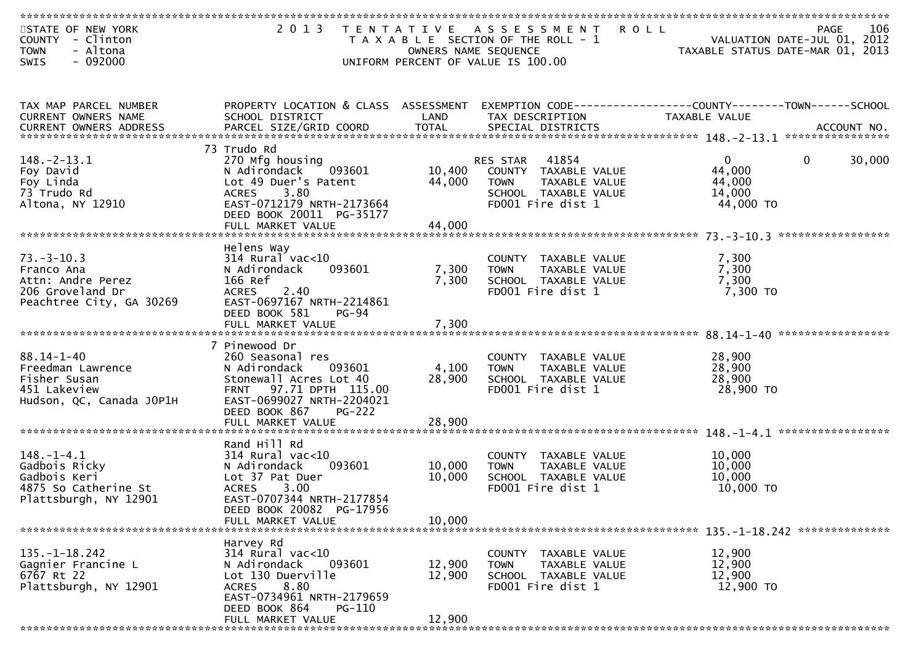| STATE OF NEW YORK<br>- Clinton<br><b>COUNTY</b><br>- Altona<br><b>TOWN</b> | 2 0 1 3                                                | OWNERS NAME SEQUENCE | TENTATIVE ASSESSMENT<br><b>ROLL</b><br>T A X A B L E SECTION OF THE ROLL - 1 | VALUATION DATE-JUL 01, 2012<br>TAXABLE STATUS DATE-MAR 01, 2013 | 106<br>PAGE |
|----------------------------------------------------------------------------|--------------------------------------------------------|----------------------|------------------------------------------------------------------------------|-----------------------------------------------------------------|-------------|
| $-092000$<br>SWIS                                                          |                                                        |                      | UNIFORM PERCENT OF VALUE IS 100.00                                           |                                                                 |             |
|                                                                            |                                                        |                      |                                                                              |                                                                 |             |
| TAX MAP PARCEL NUMBER                                                      | PROPERTY LOCATION & CLASS ASSESSMENT                   |                      |                                                                              |                                                                 |             |
| CURRENT OWNERS NAME<br>CURRENT OWNERS ADDRESS                              | SCHOOL DISTRICT                                        | LAND                 | TAX DESCRIPTION                                                              | TAXABLE VALUE                                                   |             |
|                                                                            |                                                        |                      |                                                                              |                                                                 |             |
|                                                                            | 73 Trudo Rd                                            |                      |                                                                              |                                                                 |             |
| $148. - 2 - 13.1$<br>Foy David                                             | 270 Mfg housing<br>N Adirondack<br>093601              | 10,400               | 41854<br><b>RES STAR</b><br>COUNTY TAXABLE VALUE                             | $\mathbf{0}$<br>0<br>44,000                                     | 30,000      |
| Foy Linda                                                                  | Lot 49 Duer's Patent                                   | 44,000               | TAXABLE VALUE<br><b>TOWN</b>                                                 | 44,000                                                          |             |
| 73 Trudo Rd                                                                | 3.80<br><b>ACRES</b>                                   |                      | SCHOOL TAXABLE VALUE                                                         | 14,000                                                          |             |
| Altona, NY 12910                                                           | EAST-0712179 NRTH-2173664<br>DEED BOOK 20011 PG-35177  |                      | FD001 Fire dist 1                                                            | 44,000 TO                                                       |             |
|                                                                            | FULL MARKET VALUE                                      | 44,000               |                                                                              |                                                                 |             |
|                                                                            |                                                        |                      |                                                                              |                                                                 |             |
|                                                                            | Helens Way                                             |                      |                                                                              |                                                                 |             |
| $73. - 3 - 10.3$<br>Franco Ana                                             | $314$ Rural vac<10<br>N Adirondack<br>093601           | 7,300                | COUNTY TAXABLE VALUE<br>TAXABLE VALUE<br><b>TOWN</b>                         | 7,300<br>7,300                                                  |             |
| Attn: Andre Perez                                                          | 166 Ref                                                | 7,300                | SCHOOL TAXABLE VALUE                                                         | 7,300                                                           |             |
| 206 Groveland Dr                                                           | 2.40<br><b>ACRES</b>                                   |                      | FD001 Fire dist 1                                                            | $7,300$ TO                                                      |             |
| Peachtree City, GA 30269                                                   | EAST-0697167 NRTH-2214861<br>DEED BOOK 581<br>$PG-94$  |                      |                                                                              |                                                                 |             |
|                                                                            | FULL MARKET VALUE                                      | 7,300                |                                                                              |                                                                 |             |
|                                                                            |                                                        |                      |                                                                              |                                                                 |             |
| $88.14 - 1 - 40$                                                           | 7 Pinewood Dr                                          |                      |                                                                              |                                                                 |             |
| Freedman Lawrence                                                          | 260 Seasonal res<br>N Adirondack<br>093601             | 4,100                | COUNTY TAXABLE VALUE<br>TAXABLE VALUE<br><b>TOWN</b>                         | 28,900<br>28,900                                                |             |
| Fisher Susan                                                               | Stonewall Acres Lot 40                                 | 28,900               | SCHOOL TAXABLE VALUE                                                         | 28,900                                                          |             |
| 451 Lakeview                                                               | 97.71 DPTH 115.00<br><b>FRNT</b>                       |                      | FD001 Fire dist 1                                                            | 28,900 TO                                                       |             |
| Hudson, QC, Canada JOP1H                                                   | EAST-0699027 NRTH-2204021<br>DEED BOOK 867<br>$PG-222$ |                      |                                                                              |                                                                 |             |
|                                                                            | FULL MARKET VALUE                                      | 28,900               |                                                                              |                                                                 |             |
|                                                                            |                                                        |                      |                                                                              |                                                                 |             |
| $148. - 1 - 4.1$                                                           | Rand Hill Rd<br>$314$ Rural vac<10                     |                      | COUNTY<br>TAXABLE VALUE                                                      | 10,000                                                          |             |
| Gadbois Ricky                                                              | N Adirondack<br>093601                                 | 10,000               | TAXABLE VALUE<br><b>TOWN</b>                                                 | 10,000                                                          |             |
| Gadbois Keri                                                               | Lot 37 Pat Duer                                        | 10,000               | SCHOOL TAXABLE VALUE                                                         | 10,000                                                          |             |
| 4875 So Catherine St<br>Plattsburgh, NY 12901                              | 3.00<br><b>ACRES</b><br>EAST-0707344 NRTH-2177854      |                      | FD001 Fire dist 1                                                            | 10,000 TO                                                       |             |
|                                                                            | DEED BOOK 20082 PG-17956                               |                      |                                                                              |                                                                 |             |
|                                                                            | FULL MARKET VALUE                                      | 10,000               |                                                                              |                                                                 |             |
|                                                                            |                                                        |                      |                                                                              |                                                                 |             |
| $135. - 1 - 18.242$                                                        | Harvey Rd<br>$314$ Rural vac<10                        |                      | COUNTY TAXABLE VALUE                                                         | 12,900                                                          |             |
| Gagnier Francine L                                                         | 093601<br>N Adirondack                                 | 12,900               | <b>TOWN</b><br>TAXABLE VALUE                                                 | 12,900                                                          |             |
| 6767 Rt 22                                                                 | Lot 130 Duerville                                      | 12,900               | SCHOOL TAXABLE VALUE                                                         | 12,900                                                          |             |
| Plattsburgh, NY 12901                                                      | 8.80<br><b>ACRES</b><br>EAST-0734961 NRTH-2179659      |                      | FD001 Fire dist 1                                                            | 12,900 TO                                                       |             |
|                                                                            | DEED BOOK 864<br><b>PG-110</b>                         |                      |                                                                              |                                                                 |             |
|                                                                            | FULL MARKET VALUE                                      | 12,900               |                                                                              |                                                                 |             |
|                                                                            |                                                        |                      |                                                                              |                                                                 |             |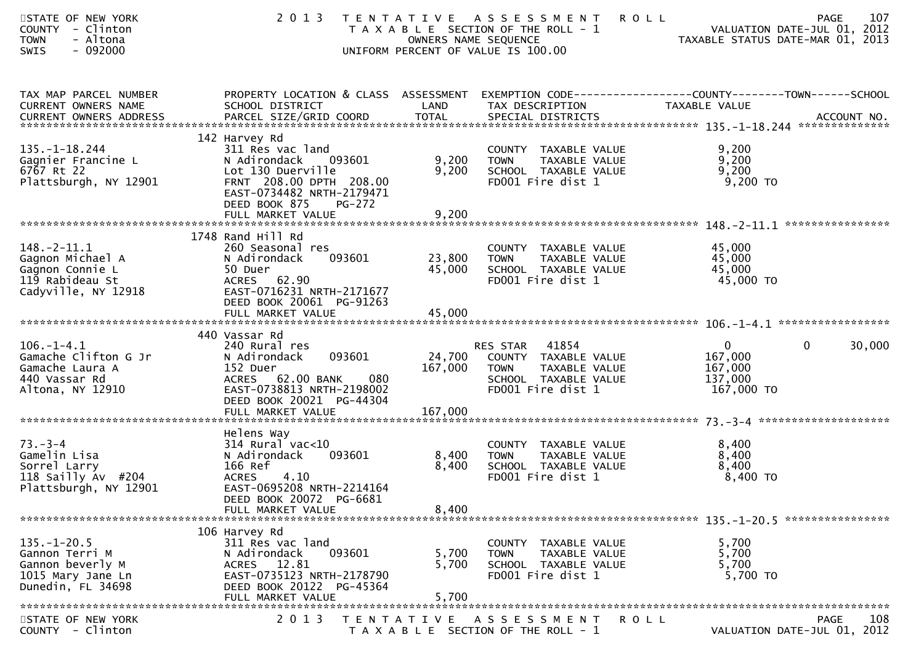| STATE OF NEW YORK<br>COUNTY - Clinton<br><b>TOWN</b><br>- Altona<br>$-092000$<br><b>SWIS</b>       | 2 0 1 3                                                                                                                                                                    | OWNERS NAME SEQUENCE       | TENTATIVE ASSESSMENT<br>T A X A B L E SECTION OF THE ROLL - 1<br>UNIFORM PERCENT OF VALUE IS 100.00                        | <b>ROLL</b><br>TAXABLE STATUS DATE-MAR 01, 2013               | 107<br>PAGE<br>VALUATION DATE-JUL 01, 2012 |
|----------------------------------------------------------------------------------------------------|----------------------------------------------------------------------------------------------------------------------------------------------------------------------------|----------------------------|----------------------------------------------------------------------------------------------------------------------------|---------------------------------------------------------------|--------------------------------------------|
| TAX MAP PARCEL NUMBER<br>CURRENT OWNERS NAME                                                       | PROPERTY LOCATION & CLASS ASSESSMENT<br>SCHOOL DISTRICT                                                                                                                    | LAND                       | EXEMPTION        CODE------------------COUNTY--------TOWN------SCHOOL<br>TAX DESCRIPTION                                   | TAXABLE VALUE                                                 |                                            |
| $135. - 1 - 18.244$<br>Gagnier Francine L<br>$6767$ Rt 22<br>Plattsburgh, NY 12901                 | 142 Harvey Rd<br>311 Res vac land<br>093601<br>N Adirondack<br>Lot 130 Duerville<br>FRNT 208.00 DPTH 208.00<br>EAST-0734482 NRTH-2179471<br>DEED BOOK 875<br><b>PG-272</b> | 9,200<br>9,200             | COUNTY TAXABLE VALUE<br>TAXABLE VALUE<br><b>TOWN</b><br>SCHOOL TAXABLE VALUE<br>FD001 Fire dist 1                          | 9,200<br>9,200<br>9,200<br>9,200 TO                           |                                            |
|                                                                                                    |                                                                                                                                                                            |                            |                                                                                                                            |                                                               |                                            |
| $148. - 2 - 11.1$<br>Gagnon Michael A<br>Gagnon Connie L<br>119 Rabideau St<br>Cadyville, NY 12918 | 1748 Rand Hill Rd<br>260 Seasonal res<br>093601<br>N Adirondack<br>50 Duer<br>ACRES 62.90<br>EAST-0716231 NRTH-2171677<br>DEED BOOK 20061 PG-91263<br>FULL MARKET VALUE    | 23,800<br>45,000<br>45,000 | COUNTY TAXABLE VALUE<br>TAXABLE VALUE<br><b>TOWN</b><br>SCHOOL TAXABLE VALUE<br>FD001 Fire dist 1                          | 45,000<br>45,000<br>45,000<br>45,000 TO                       |                                            |
|                                                                                                    | 440 Vassar Rd                                                                                                                                                              |                            |                                                                                                                            |                                                               |                                            |
| $106. - 1 - 4.1$<br>Gamache Clifton G Jr<br>Gamache Laura A<br>440 Vassar Rd<br>Altona, NY 12910   | 240 Rural res<br>093601<br>N Adirondack<br>152 Duer<br>ACRES 62.00 BANK<br>080<br>EAST-0738813 NRTH-2198002<br>DEED BOOK 20021 PG-44304                                    | 167,000                    | RES STAR 41854<br>24,700 COUNTY TAXABLE VALUE<br><b>TOWN</b><br>TAXABLE VALUE<br>SCHOOL TAXABLE VALUE<br>FD001 Fire dist 1 | $\overline{0}$<br>167,000<br>167,000<br>137,000<br>167,000 TO | $\mathbf 0$<br>30,000                      |
|                                                                                                    | Helens Way                                                                                                                                                                 |                            |                                                                                                                            |                                                               |                                            |
| $73. - 3 - 4$<br>Gamelin Lisa<br>Sorrel Larry<br>118 Sailly Av $#204$<br>Plattsburgh, NY 12901     | $314$ Rural vac<10<br>N Adirondack<br>093601<br>166 Ref<br><b>ACRES</b><br>4.10<br>EAST-0695208 NRTH-2214164<br>DEED BOOK 20072 PG-6681                                    | 8,400<br>8,400             | COUNTY TAXABLE VALUE<br><b>TOWN</b><br>TAXABLE VALUE<br>SCHOOL TAXABLE VALUE<br>FD001 Fire dist 1                          | 8,400<br>8,400<br>8,400<br>8,400 TO                           |                                            |
|                                                                                                    | FULL MARKET VALUE                                                                                                                                                          | 8,400                      |                                                                                                                            |                                                               |                                            |
| $135. - 1 - 20.5$<br>Gannon Terri M<br>Gannon beverly M<br>1015 Mary Jane Ln<br>Dunedin, FL 34698  | 106 Harvey Rd<br>311 Res vac land<br>093601<br>N Adirondack<br>ACRES 12.81<br>EAST-0735123 NRTH-2178790<br>DEED BOOK 20122 PG-45364<br>FULL MARKET VALUE                   | 5,700<br>5,700<br>5,700    | COUNTY TAXABLE VALUE<br>TAXABLE VALUE<br><b>TOWN</b><br>SCHOOL TAXABLE VALUE<br>FD001 Fire dist 1                          | 5,700<br>5,700<br>5,700<br>5,700 TO                           |                                            |
| STATE OF NEW YORK                                                                                  | 2 0 1 3                                                                                                                                                                    | T E N T A T I V E          | A S S E S S M E N T                                                                                                        | <b>ROLL</b>                                                   | PAGE<br>108                                |
| COUNTY - Clinton                                                                                   |                                                                                                                                                                            |                            | T A X A B L E SECTION OF THE ROLL - 1                                                                                      |                                                               | VALUATION DATE-JUL 01, 2012                |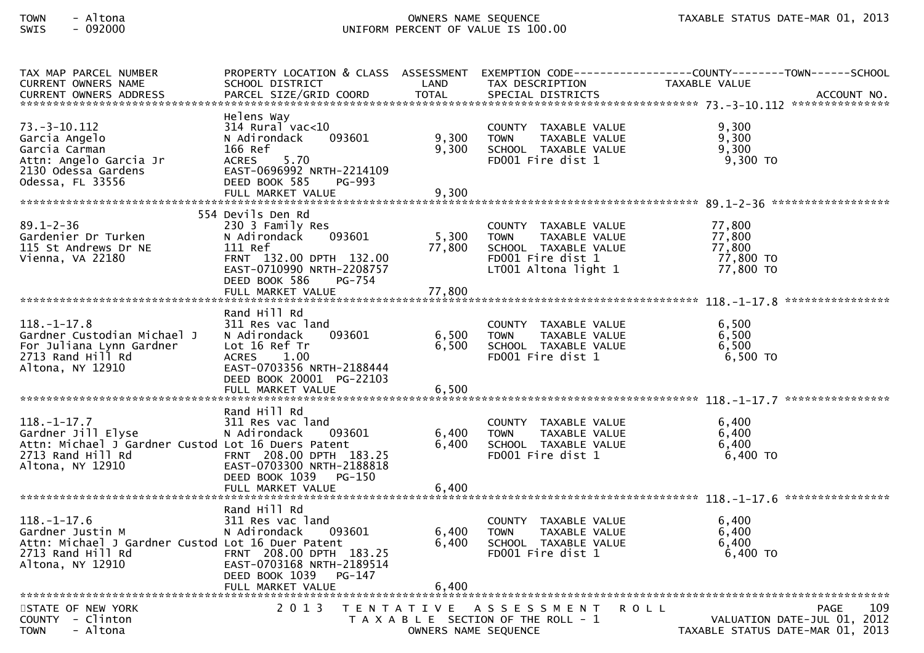## TOWN - Altona OWNERS NAME SEQUENCE TAXABLE STATUS DATE-MAR 01, 2013SWIS - 092000 UNIFORM PERCENT OF VALUE IS 100.00

| TAX MAP PARCEL NUMBER                                                                                                                  |                                                                                                                                                                                    |                           | TAX DESCRIPTION<br>SPECIAL DISTRICTS                                                                                                                     | PROPERTY LOCATION & CLASS ASSESSMENT EXEMPTION CODE----------------COUNTY-------TOWN------SCHOOL |
|----------------------------------------------------------------------------------------------------------------------------------------|------------------------------------------------------------------------------------------------------------------------------------------------------------------------------------|---------------------------|----------------------------------------------------------------------------------------------------------------------------------------------------------|--------------------------------------------------------------------------------------------------|
| $73. - 3 - 10.112$<br>Garcia Angelo<br>Garcia Carman<br>Attn: Angelo Garcia Jr<br>2130 Odessa Gardens<br>Odessa, FL 33556              | Helens Way<br>314 Rural vac<10<br>N Adirondack<br>093601<br>166 Ref<br>ACRES 5.70<br>EAST-0696992 NRTH-2214109<br>DEED BOOK 585<br>PG-993<br>FULL MARKET VALUE                     | 9,300<br>9,300<br>9,300   | COUNTY TAXABLE VALUE<br>TAXABLE VALUE<br><b>TOWN</b><br>SCHOOL TAXABLE VALUE<br>FDOO1 Fire dist 1                                                        | 9,300<br>9,300<br>9,300<br>9,300 то                                                              |
| $89.1 - 2 - 36$<br>Gardenier Dr Turken<br>115 St Andrews Dr NE<br>Vienna, VA 22180                                                     | 554 Devils Den Rd<br>230 3 Family Res<br>093601<br>N Adirondack<br>111 Ref<br>FRNT 132.00 DPTH 132.00<br>EAST-0710990 NRTH-2208757<br>DEED BOOK 586<br>PG-754<br>FULL MARKET VALUE | 5,300<br>77,800<br>77,800 | COUNTY TAXABLE VALUE 77,800<br>TAXABLE VALUE 77,800<br><b>TOWN</b><br>SCHOOL TAXABLE VALUE 77,800<br>FD001 Fire dist 1 77,800 TO<br>LT001 Altona light 1 | 77,800 TO                                                                                        |
| $118.-1-17.8$<br>Gardner Custodian Michael J<br>For Juliana Lynn Gardner<br>2713 Rand Hill Rd<br>Altona, NY 12910                      | Rand Hill Rd<br>311 Res vac land<br>093601<br>N Adirondack<br>Lot 16 Ref Tr<br>ACRES 1.00<br>EAST-0703356 NRTH-2188444<br>DEED BOOK 20001 PG-22103<br>FULL MARKET VALUE            | 6,500<br>6,500<br>6,500   | COUNTY TAXABLE VALUE<br>TAXABLE VALUE<br><b>TOWN</b><br>SCHOOL TAXABLE VALUE<br>FDOO1 Fire dist 1                                                        | 6,500<br>6,500<br>6,500<br>6,500 TO                                                              |
| $118. - 1 - 17.7$<br>Gardner Jill Elyse<br>Attn: Michael J Gardner Custod Lot 16 Duers Patent<br>2713 Rand Hill Rd<br>Altona, NY 12910 | Rand Hill Rd<br>311 Res vac land<br>093601<br>N Adirondack<br>FRNT 208.00 DPTH 183.25<br>EAST-0703300 NRTH-2188818<br>DEED BOOK 1039 PG-150<br>FULL MARKET VALUE                   | 6,400<br>6,400<br>6,400   | COUNTY TAXABLE VALUE<br><b>TOWN</b><br>TAXABLE VALUE<br>TAXABLE VALUE<br>SCHOOL TAXABLE VALUE<br>FDOO1 Fire dist 1                                       | 6,400<br>6,400<br>6,400<br>6,400 TO                                                              |
| $118. - 1 - 17.6$<br>Gardner Justin M<br>Attn: Michael J Gardner Custod Lot 16 Duer Patent<br>2713 Rand Hill Rd<br>Altona, NY 12910    | Rand Hill Rd<br>311 Res vac land<br>093601<br>N Adirondack<br>FRNT 208.00 DPTH 183.25<br>EAST-0703168 NRTH-2189514<br>DEED BOOK 1039<br>PG-147<br>FULL MARKET VALUE                | 6,400<br>6,400<br>6,400   | COUNTY TAXABLE VALUE<br><b>TOWN</b><br>TAXABLE VALUE<br>SCHOOL TAXABLE VALUE<br>FD001 Fire dist 1                                                        | 6,400<br>6,400<br>6,400<br>6,400 TO                                                              |
| STATE OF NEW YORK<br>COUNTY - Clinton<br>- Altona<br><b>TOWN</b>                                                                       | 2 0 1 3                                                                                                                                                                            | OWNERS NAME SEQUENCE      | TENTATIVE ASSESSMENT<br>R O L L<br>T A X A B L E SECTION OF THE ROLL - 1                                                                                 | PAGE<br>109<br>VALUATION DATE-JUL 01, 2012<br>TAXABLE STATUS DATE-MAR 01, 2013                   |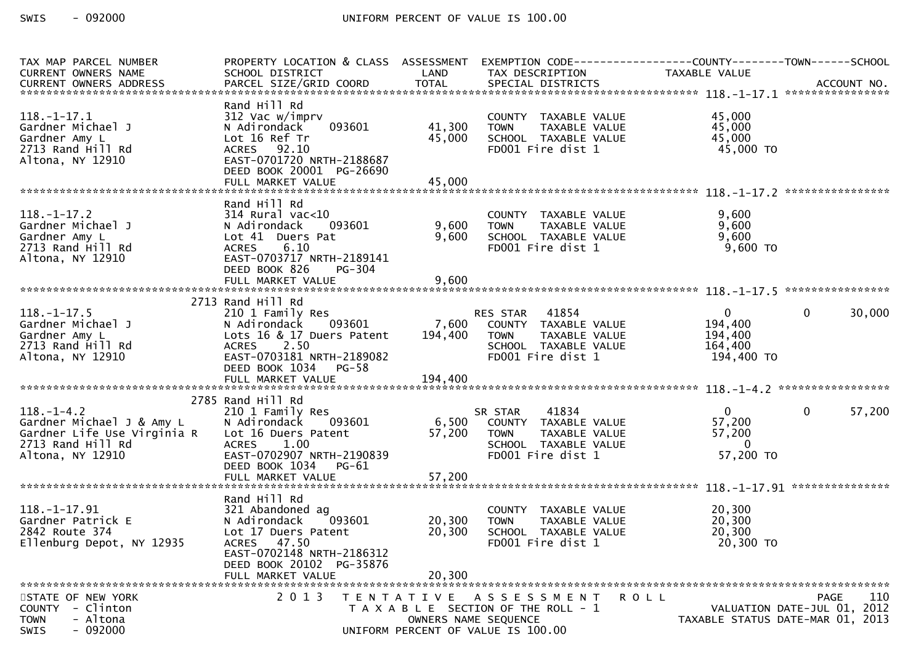| TAX MAP PARCEL NUMBER<br>CURRENT OWNERS NAME<br>CURRENT OWNERS ADDRESS                                                | PROPERTY LOCATION & CLASS ASSESSMENT<br>SCHOOL DISTRICT                                                                                                          | LAND              | EXEMPTION CODE------------------COUNTY--------TOWN------SCHOOL<br>TAX DESCRIPTION                                           |             | TAXABLE VALUE                                                 |                                                                                       |
|-----------------------------------------------------------------------------------------------------------------------|------------------------------------------------------------------------------------------------------------------------------------------------------------------|-------------------|-----------------------------------------------------------------------------------------------------------------------------|-------------|---------------------------------------------------------------|---------------------------------------------------------------------------------------|
|                                                                                                                       |                                                                                                                                                                  |                   |                                                                                                                             |             |                                                               |                                                                                       |
| $118.-1-17.1$<br>Gardner Michael J<br>Gardner Amy L<br>2713 Rand Hill Rd<br>Altona, NY 12910                          | Rand Hill Rd<br>312 Vac w/imprv<br>093601<br>N Adirondack<br>Lot 16 Ref Tr<br>ACRES 92.10<br>EAST-0701720 NRTH-2188687                                           | 41,300<br>45,000  | COUNTY TAXABLE VALUE<br><b>TOWN</b><br>TAXABLE VALUE<br>SCHOOL TAXABLE VALUE<br>FD001 Fire dist 1                           |             | 45,000<br>45,000<br>45,000<br>45,000 TO                       |                                                                                       |
|                                                                                                                       | DEED BOOK 20001 PG-26690                                                                                                                                         |                   |                                                                                                                             |             |                                                               |                                                                                       |
| $118.-1-17.2$<br>Gardner Michael J<br>Gardner Amy L<br>2713 Rand Hill Rd<br>Altona, NY 12910                          | Rand Hill Rd<br>$314$ Rural vac<10<br>093601<br>N Adirondack<br>Lot 41 Duers Pat<br><b>ACRES</b><br>6.10<br>EAST-0703717 NRTH-2189141<br>DEED BOOK 826<br>PG-304 | 9,600<br>9,600    | COUNTY TAXABLE VALUE<br><b>TOWN</b><br>TAXABLE VALUE<br>SCHOOL TAXABLE VALUE<br>FD001 Fire dist 1                           |             | 9,600<br>9,600<br>9,600<br>9,600 TO                           |                                                                                       |
|                                                                                                                       |                                                                                                                                                                  |                   |                                                                                                                             |             |                                                               |                                                                                       |
|                                                                                                                       | 2713 Rand Hill Rd                                                                                                                                                |                   |                                                                                                                             |             |                                                               |                                                                                       |
| $118. - 1 - 17.5$<br>Gardner Michael J<br>Gardner Amy L<br>2713 Rand Hill Rd<br>Altona, NY 12910                      | 210 1 Family Res<br>N Adirondack<br>093601<br>Lots 16 & 17 Duers Patent<br>ACRES 2.50<br>EAST-0703181 NRTH-2189082<br>DEED BOOK 1034 PG-58                       | 194,400           | RES STAR 41854<br>7,600 COUNTY TAXABLE VALUE<br><b>TOWN</b><br>TAXABLE VALUE<br>SCHOOL TAXABLE VALUE<br>FD001 Fire dist 1   |             | $\mathbf{0}$<br>194,400<br>194,400<br>164,400<br>194,400 TO   | $\mathbf{0}$<br>30,000                                                                |
|                                                                                                                       |                                                                                                                                                                  |                   |                                                                                                                             |             |                                                               |                                                                                       |
|                                                                                                                       | 2785 Rand Hill Rd                                                                                                                                                |                   |                                                                                                                             |             |                                                               |                                                                                       |
| $118. - 1 - 4.2$<br>Gardner Michael J & Amy L<br>Gardner Life Use Virginia R<br>2713 Rand Hill Rd<br>Altona, NY 12910 | 210 1 Family Res<br>N Adirondack<br>093601<br>Lot 16 Duers Patent<br>ACRES 1.00<br>EAST-0702907 NRTH-2190839<br>DEED BOOK 1034<br>PG-61                          | 57,200            | 41834<br>SR STAR<br>6,500 COUNTY TAXABLE VALUE<br><b>TOWN</b><br>TAXABLE VALUE<br>SCHOOL TAXABLE VALUE<br>FD001 Fire dist 1 |             | $\mathbf{0}$<br>57,200<br>57,200<br>$\mathbf{0}$<br>57,200 TO | $\mathbf{0}$<br>57,200                                                                |
|                                                                                                                       |                                                                                                                                                                  |                   |                                                                                                                             |             |                                                               |                                                                                       |
| $118. - 1 - 17.91$<br>Gardner Patrick E<br>2842 Route 374<br>Ellenburg Depot, NY 12935                                | Rand Hill Rd<br>321 Abandoned ag<br>N Adirondack<br>093601<br>Lot 17 Duers Patent<br>ACRES 47.50<br>EAST-0702148 NRTH-2186312<br>DEED BOOK 20102 PG-35876        | 20,300<br>20,300  | COUNTY TAXABLE VALUE<br><b>TOWN</b><br>TAXABLE VALUE<br>SCHOOL TAXABLE VALUE<br>FD001 Fire dist 1                           |             | 20,300<br>20,300<br>20,300<br>20,300 TO                       |                                                                                       |
|                                                                                                                       | FULL MARKET VALUE                                                                                                                                                | 20,300            |                                                                                                                             |             |                                                               |                                                                                       |
| STATE OF NEW YORK<br>- Clinton<br><b>COUNTY</b><br>- Altona<br><b>TOWN</b><br>$-092000$<br>SWIS                       | 2 0 1 3                                                                                                                                                          | T E N T A T I V E | A S S E S S M E N T<br>T A X A B L E SECTION OF THE ROLL - 1<br>OWNERS NAME SEQUENCE<br>UNIFORM PERCENT OF VALUE IS 100.00  | <b>ROLL</b> |                                                               | 110<br><b>PAGE</b><br>VALUATION DATE-JUL 01, 2012<br>TAXABLE STATUS DATE-MAR 01, 2013 |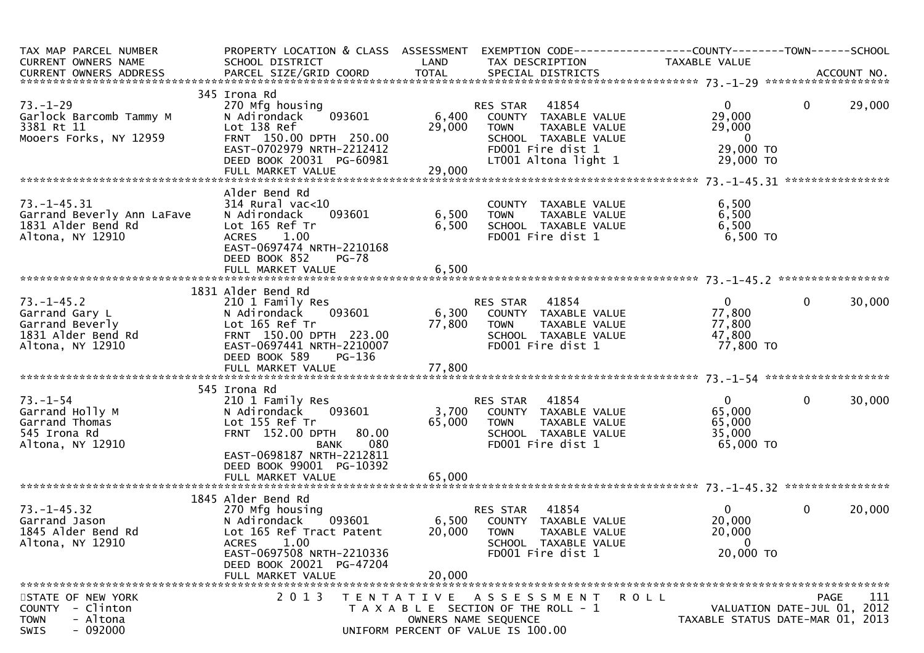| TAX MAP PARCEL NUMBER<br>CURRENT OWNERS NAME                                                    | PROPERTY LOCATION & CLASS ASSESSMENT<br>SCHOOL DISTRICT                                                                                                                                      | LAND                      | EXEMPTION CODE------------------COUNTY--------TOWN------SCHOOL<br>TAX DESCRIPTION                                                              | TAXABLE VALUE                                                                  |              |        |
|-------------------------------------------------------------------------------------------------|----------------------------------------------------------------------------------------------------------------------------------------------------------------------------------------------|---------------------------|------------------------------------------------------------------------------------------------------------------------------------------------|--------------------------------------------------------------------------------|--------------|--------|
|                                                                                                 |                                                                                                                                                                                              |                           |                                                                                                                                                |                                                                                |              |        |
| $73. - 1 - 29$<br>Garlock Barcomb Tammy M<br>3381 Rt 11<br>Mooers Forks, NY 12959               | 345 Irona Rd<br>270 Mfg housing<br>093601<br>N Adirondack<br>Lot 138 Ref<br>FRNT 150.00 DPTH 250.00<br>EAST-0702979 NRTH-2212412<br>DEED BOOK 20031 PG-60981<br>FULL MARKET VALUE            | 6,400<br>29,000<br>29,000 | 41854<br>RES STAR<br>COUNTY TAXABLE VALUE<br><b>TOWN</b><br>TAXABLE VALUE<br>SCHOOL TAXABLE VALUE<br>FD001 Fire dist 1<br>LT001 Altona light 1 | $\overline{0}$<br>29,000<br>29,000<br>$\overline{0}$<br>29,000 TO<br>29,000 TO | $\mathbf{0}$ | 29,000 |
|                                                                                                 |                                                                                                                                                                                              |                           |                                                                                                                                                |                                                                                |              |        |
| $73. - 1 - 45.31$<br>Garrand Beverly Ann LaFave<br>1831 Alder Bend Rd<br>Altona, NY 12910       | Alder Bend Rd<br>314 Rural vac<10<br>093601<br>N Adirondack<br>Lot 165 Ref Tr<br><b>ACRES</b><br>1.00<br>EAST-0697474 NRTH-2210168<br>DEED BOOK 852<br><b>PG-78</b>                          | 6,500<br>6,500            | COUNTY TAXABLE VALUE<br><b>TOWN</b><br>TAXABLE VALUE<br>SCHOOL TAXABLE VALUE<br>FD001 Fire dist 1                                              | 6,500<br>6,500<br>6,500<br>$6,500$ TO                                          |              |        |
|                                                                                                 |                                                                                                                                                                                              |                           |                                                                                                                                                |                                                                                |              |        |
|                                                                                                 | 1831 Alder Bend Rd                                                                                                                                                                           |                           |                                                                                                                                                |                                                                                |              |        |
| $73. - 1 - 45.2$<br>Garrand Gary L<br>Garrand Beverly<br>1831 Alder Bend Rd<br>Altona, NY 12910 | 210 1 Family Res<br>093601<br>N Adirondack<br>Lot 165 Ref Tr<br>FRNT 150.00 DPTH 223.00<br>EAST-0697441 NRTH-2210007<br>DEED BOOK 589<br>PG-136                                              | 77,800                    | RES STAR 41854<br>6,300 COUNTY TAXABLE VALUE<br><b>TOWN</b><br>TAXABLE VALUE<br>SCHOOL TAXABLE VALUE<br>FD001 Fire dist 1                      | $\mathbf{0}$<br>77,800<br>77,800<br>47,800<br>77,800 TO                        | $\mathbf{0}$ | 30,000 |
|                                                                                                 |                                                                                                                                                                                              |                           |                                                                                                                                                |                                                                                |              |        |
|                                                                                                 |                                                                                                                                                                                              |                           |                                                                                                                                                |                                                                                |              |        |
| $73. - 1 - 54$<br>Garrand Holly M<br>Garrand Thomas<br>545 Irona Rd<br>Altona, NY 12910         | 545 Irona Rd<br>210 1 Family Res<br>N Adirondack 093601<br>Lot 155 Ref Tr<br><b>FRNT 152.00 DPTH</b><br>80.00<br>080<br><b>BANK</b><br>EAST-0698187 NRTH-2212811<br>DEED BOOK 99001 PG-10392 | 65,000                    | RES STAR 41854<br>3,700 COUNTY TAXABLE VALUE<br><b>TOWN</b><br>TAXABLE VALUE<br>SCHOOL TAXABLE VALUE<br>FD001 Fire dist 1                      | 0<br>65,000<br>65,000<br>35,000<br>65,000 TO                                   | $\mathbf{0}$ | 30,000 |
|                                                                                                 |                                                                                                                                                                                              |                           |                                                                                                                                                |                                                                                |              |        |
|                                                                                                 | 1845 Alder Bend Rd                                                                                                                                                                           |                           |                                                                                                                                                |                                                                                |              |        |
| $73. - 1 - 45.32$<br>Garrand Jason<br>1845 Alder Bend Rd<br>Altona, NY 12910                    | 270 Mfg housing<br>N Adirondack<br>093601<br>Lot 165 Ref Tract Patent<br>1.00<br><b>ACRES</b><br>EAST-0697508 NRTH-2210336<br>DEED BOOK 20021 PG-47204<br>FULL MARKET VALUE                  | 20,000                    | RES STAR 41854<br>6,500 COUNTY TAXABLE VALUE<br>20,000 TOWN<br>TAXABLE VALUE<br>SCHOOL TAXABLE VALUE<br>FD001 Fire dist 1                      | $\overline{0}$<br>20,000<br>20,000<br>$\overline{0}$<br>20,000 TO              | $\mathbf 0$  | 20,000 |
|                                                                                                 |                                                                                                                                                                                              |                           |                                                                                                                                                |                                                                                |              |        |
| STATE OF NEW YORK<br>COUNTY - Clinton<br>- Altona<br><b>TOWN</b><br>$-092000$<br><b>SWIS</b>    | 2 0 1 3                                                                                                                                                                                      | T E N T A T I V E         | A S S E S S M E N T<br>T A X A B L E SECTION OF THE ROLL - 1<br>OWNERS NAME SEQUENCE<br>UNIFORM PERCENT OF VALUE IS 100.00                     | <b>ROLL</b><br>VALUATION DATE-JUL 01, 2012<br>TAXABLE STATUS DATE-MAR 01, 2013 | <b>PAGE</b>  | 111    |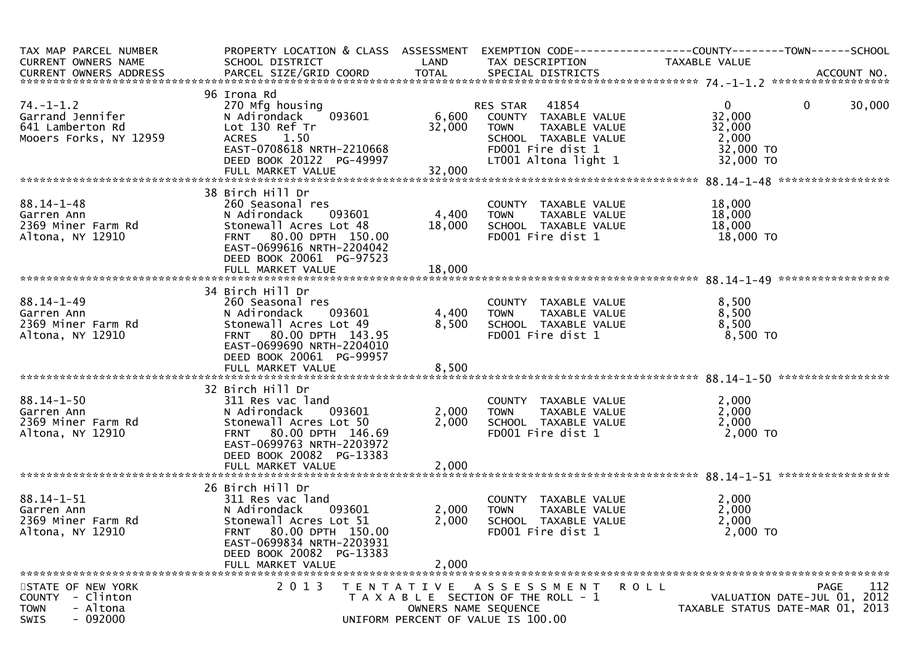| TAX MAP PARCEL NUMBER<br><b>CURRENT OWNERS NAME</b>                                          | PROPERTY LOCATION & CLASS ASSESSMENT<br>SCHOOL DISTRICT                                                                                                                                          | LAND                    | TAX DESCRIPTION                                                                                                            | EXEMPTION CODE-----------------COUNTY-------TOWN------SCHOOL<br>TAXABLE VALUE                    |
|----------------------------------------------------------------------------------------------|--------------------------------------------------------------------------------------------------------------------------------------------------------------------------------------------------|-------------------------|----------------------------------------------------------------------------------------------------------------------------|--------------------------------------------------------------------------------------------------|
| $74. - 1 - 1.2$                                                                              | 96 Irona Rd<br>270 Mfg housing                                                                                                                                                                   |                         | 41854<br>RES STAR                                                                                                          | $\mathbf{0}$<br>$\mathbf{0}$<br>30,000                                                           |
| Garrand Jennifer<br>641 Lamberton Rd<br>Mooers Forks, NY 12959                               | 093601<br>N Adirondack<br>Lot 130 Ref Tr<br><b>ACRES</b><br>1.50<br>EAST-0708618 NRTH-2210668<br>DEED BOOK 20122 PG-49997                                                                        | 6,600<br>32,000         | COUNTY TAXABLE VALUE<br>TAXABLE VALUE<br><b>TOWN</b><br>SCHOOL TAXABLE VALUE<br>FD001 Fire dist 1                          | 32,000<br>32,000<br>2,000<br>32,000 TO                                                           |
|                                                                                              | FULL MARKET VALUE                                                                                                                                                                                | 32,000                  | LT001 Altona light 1                                                                                                       | 32,000 TO                                                                                        |
|                                                                                              | 38 Birch Hill Dr                                                                                                                                                                                 |                         |                                                                                                                            |                                                                                                  |
| $88.14 - 1 - 48$<br>Garren Ann<br>2369 Miner Farm Rd<br>Altona, NY 12910                     | 260 Seasonal res<br>N Adirondack<br>093601<br>Stonewall Acres Lot 48<br>FRNT 80.00 DPTH 150.00<br>EAST-0699616 NRTH-2204042                                                                      | 4,400<br>18,000         | COUNTY TAXABLE VALUE<br><b>TOWN</b><br>TAXABLE VALUE<br>SCHOOL TAXABLE VALUE<br>FD001 Fire dist 1                          | 18,000<br>18,000<br>18,000<br>18,000 TO                                                          |
|                                                                                              | DEED BOOK 20061 PG-97523<br>FULL MARKET VALUE                                                                                                                                                    | 18,000                  |                                                                                                                            |                                                                                                  |
|                                                                                              | 34 Birch Hill Dr                                                                                                                                                                                 |                         |                                                                                                                            |                                                                                                  |
| $88.14 - 1 - 49$<br>Garren Ann<br>2369 Miner Farm Rd<br>Altona, NY 12910                     | 260 Seasonal res<br>N Adirondack<br>093601<br>Stonewall Acres Lot 49<br>FRNT 80.00 DPTH 143.95<br>EAST-0699690 NRTH-2204010                                                                      | 4,400<br>8,500          | COUNTY TAXABLE VALUE<br>TAXABLE VALUE<br><b>TOWN</b><br>SCHOOL TAXABLE VALUE<br>FD001 Fire dist 1                          | 8,500<br>8,500<br>8,500<br>8,500 TO                                                              |
|                                                                                              | DEED BOOK 20061 PG-99957<br>FULL MARKET VALUE                                                                                                                                                    | 8,500                   |                                                                                                                            |                                                                                                  |
|                                                                                              | 32 Birch Hill Dr                                                                                                                                                                                 |                         |                                                                                                                            |                                                                                                  |
| $88.14 - 1 - 50$<br>Garren Ann<br>2369 Miner Farm Rd<br>Altona, NY 12910                     | 311 Res vac land<br>N Adirondack<br>093601<br>Stonewall Acres Lot 50<br>80.00 DPTH 146.69<br><b>FRNT</b><br>EAST-0699763 NRTH-2203972<br>DEED BOOK 20082 PG-13383                                | 2,000<br>2,000<br>2,000 | COUNTY TAXABLE VALUE<br><b>TOWN</b><br>TAXABLE VALUE<br>SCHOOL TAXABLE VALUE<br>FD001 Fire dist 1                          | 2,000<br>2,000<br>2,000<br>2,000 TO                                                              |
|                                                                                              | FULL MARKET VALUE                                                                                                                                                                                |                         |                                                                                                                            |                                                                                                  |
| $88.14 - 1 - 51$<br>Garren Ann<br>2369 Miner Farm Rd<br>Altona, NY 12910                     | 26 Birch Hill Dr<br>311 Res vac land<br>N Adirondack<br>093601<br>Stonewall Acres Lot 51<br>FRNT 80.00 DPTH 150.00<br>EAST-0699834 NRTH-2203931<br>DEED BOOK 20082 PG-13383<br>FULL MARKET VALUE | 2,000<br>2,000<br>2,000 | COUNTY TAXABLE VALUE<br>TAXABLE VALUE<br><b>TOWN</b><br>SCHOOL TAXABLE VALUE<br>FD001 Fire dist 1                          | 2,000<br>2,000<br>2,000<br>2,000 TO                                                              |
| STATE OF NEW YORK<br>COUNTY - Clinton<br>- Altona<br><b>TOWN</b><br>$-092000$<br><b>SWIS</b> | 2 0 1 3                                                                                                                                                                                          | T E N T A T I V E       | A S S E S S M E N T<br>T A X A B L E SECTION OF THE ROLL - 1<br>OWNERS NAME SEQUENCE<br>UNIFORM PERCENT OF VALUE IS 100.00 | 112<br><b>PAGE</b><br>R O L L<br>VALUATION DATE-JUL 01, 2012<br>TAXABLE STATUS DATE-MAR 01, 2013 |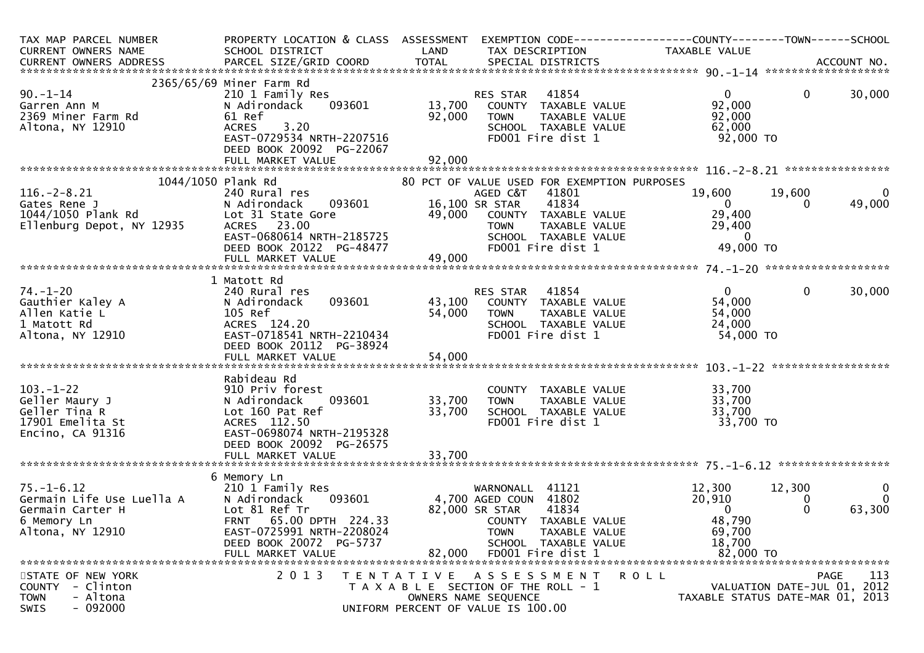| TAX MAP PARCEL NUMBER<br>CURRENT OWNERS NAME                                                               | PROPERTY LOCATION & CLASS ASSESSMENT<br>SCHOOL DISTRICT                                                                                                                           | LAND                       | EXEMPTION CODE-----------------COUNTY-------TOWN------SCHOOL<br>TAX DESCRIPTION                                                                                                                         | TAXABLE VALUE                                                               |                                            |                                   |
|------------------------------------------------------------------------------------------------------------|-----------------------------------------------------------------------------------------------------------------------------------------------------------------------------------|----------------------------|---------------------------------------------------------------------------------------------------------------------------------------------------------------------------------------------------------|-----------------------------------------------------------------------------|--------------------------------------------|-----------------------------------|
|                                                                                                            |                                                                                                                                                                                   |                            |                                                                                                                                                                                                         |                                                                             |                                            |                                   |
| $90. - 1 - 14$<br>Garren Ann M<br>2369 Miner Farm Rd<br>Altona, NY 12910                                   | 2365/65/69 Miner Farm Rd<br>210 1 Family Res<br>093601<br>N Adirondack<br>61 Ref<br>3.20<br><b>ACRES</b><br>EAST-0729534 NRTH-2207516<br>DEED BOOK 20092 PG-22067                 | 13,700<br>92,000           | 41854<br>RES STAR<br>COUNTY TAXABLE VALUE<br>TAXABLE VALUE<br><b>TOWN</b><br>SCHOOL TAXABLE VALUE<br>FD001 Fire dist 1                                                                                  | $\mathbf{0}$<br>92,000<br>92,000<br>62,000<br>92,000 TO                     | $\mathbf{0}$                               | 30,000                            |
|                                                                                                            |                                                                                                                                                                                   |                            |                                                                                                                                                                                                         |                                                                             |                                            |                                   |
| 1044/1050 Plank Rd<br>$116. - 2 - 8.21$<br>Gates Rene J<br>1044/1050 Plank Rd<br>Ellenburg Depot, NY 12935 | 240 Rural res<br>093601<br>N Adirondack<br>Lot 31 State Gore<br>ACRES 23.00<br>EAST-0680614 NRTH-2185725<br>DEED BOOK 20122 PG-48477<br>FULL MARKET VALUE                         | 49,000                     | 80 PCT OF VALUE USED FOR EXEMPTION PURPOSES<br>AGED C&T<br>41801<br>16,100 SR STAR<br>41834<br>49,000 COUNTY TAXABLE VALUE<br><b>TOWN</b><br>TAXABLE VALUE<br>SCHOOL TAXABLE VALUE<br>FD001 Fire dist 1 | 19,600<br>0<br>29,400<br>29,400<br>$\overline{\mathbf{0}}$<br>49,000 TO     | 19,600<br>$\Omega$                         | $\mathbf{0}$<br>49,000            |
|                                                                                                            |                                                                                                                                                                                   |                            |                                                                                                                                                                                                         |                                                                             |                                            |                                   |
| $74. - 1 - 20$<br>Gauthier Kaley A<br>Allen Katie L<br>1 Matott Rd<br>Altona, NY 12910                     | 1 Matott Rd<br>240 Rural res<br>093601<br>N Adirondack<br>105 Ref<br>ACRES 124.20<br>EAST-0718541 NRTH-2210434<br>DEED BOOK 20112 PG-38924                                        | 43,100<br>54,000           | RES STAR 41854<br>COUNTY TAXABLE VALUE<br>TAXABLE VALUE<br><b>TOWN</b><br>SCHOOL TAXABLE VALUE<br>FD001 Fire dist 1                                                                                     | $\mathbf{0}$<br>54,000<br>54,000<br>24,000<br>54,000 TO                     | $\mathbf 0$                                | 30,000                            |
|                                                                                                            |                                                                                                                                                                                   |                            |                                                                                                                                                                                                         |                                                                             |                                            |                                   |
| $103. - 1 - 22$<br>Geller Maury J<br>Geller Tina R<br>17901 Emelita St<br>Encino, CA 91316                 | Rabideau Rd<br>910 Priv forest<br>093601<br>N Adirondack<br>Lot 160 Pat Ref<br>ACRES 112.50<br>EAST-0698074 NRTH-2195328<br>DEED BOOK 20092 PG-26575<br>FULL MARKET VALUE         | 33,700<br>33,700<br>33,700 | COUNTY TAXABLE VALUE<br><b>TOWN</b><br>TAXABLE VALUE<br>SCHOOL TAXABLE VALUE<br>FD001 Fire dist 1                                                                                                       | 33,700<br>33,700<br>33,700<br>33,700 TO                                     |                                            |                                   |
|                                                                                                            |                                                                                                                                                                                   |                            |                                                                                                                                                                                                         |                                                                             |                                            |                                   |
| $75. - 1 - 6.12$<br>Germain Life Use Luella A<br>Germain Carter H<br>6 Memory Ln<br>Altona, NY 12910       | 6 Memory Ln<br>210 1 Family Res<br>N Adirondack<br>093601<br>Lot 81 Ref Tr<br>FRNT 65.00 DPTH 224.33<br>EAST-0725991 NRTH-2208024<br>DEED BOOK 20072 PG-5737<br>FULL MARKET VALUE | 82.000                     | WARNONALL 41121<br>4,700 AGED COUN 41802<br>41834<br>82,000 SR STAR<br>COUNTY TAXABLE VALUE<br><b>TOWN</b><br>TAXABLE VALUE<br>SCHOOL TAXABLE VALUE<br>FD001 Fire dist 1                                | 12,300<br>20,910<br>$\mathbf{0}$<br>48,790<br>69,700<br>18,700<br>82,000 TO | 12,300<br>0<br>$\Omega$                    | $\bf{0}$<br>$\mathbf 0$<br>63,300 |
| STATE OF NEW YORK<br>- Clinton<br><b>COUNTY</b><br>- Altona<br><b>TOWN</b><br>$-092000$<br>SWIS            | 2 0 1 3                                                                                                                                                                           | T E N T A T I V E          | A S S E S S M E N T<br>T A X A B L E SECTION OF THE ROLL - 1<br>OWNERS NAME SEQUENCE<br>UNIFORM PERCENT OF VALUE IS 100.00                                                                              | ROLL<br>TAXABLE STATUS DATE-MAR 01, 2013                                    | <b>PAGE</b><br>VALUATION DATE-JUL 01, 2012 | 113                               |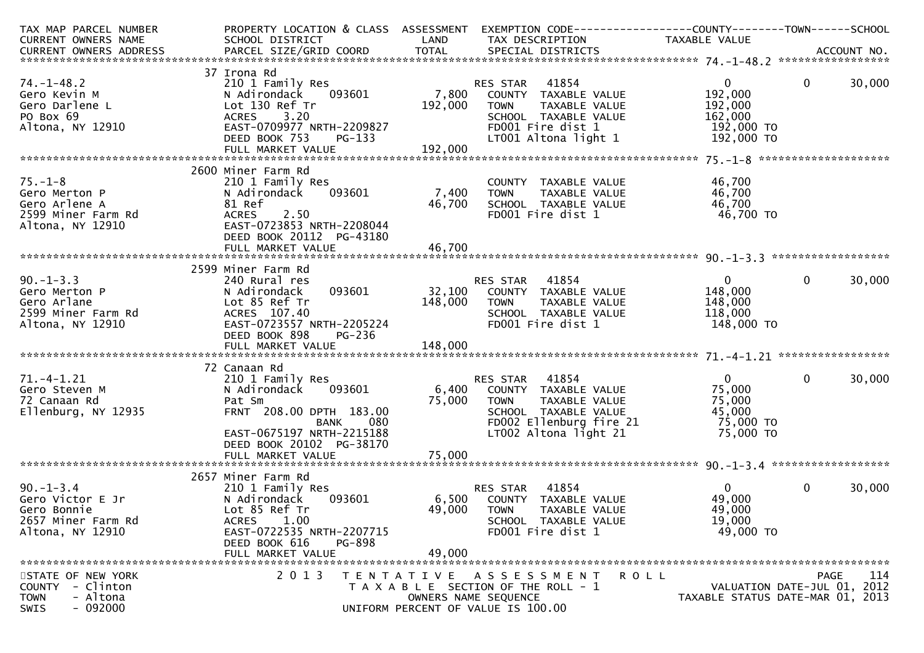| TAX MAP PARCEL NUMBER   |                                |         | PROPERTY LOCATION & CLASS ASSESSMENT EXEMPTION CODE----------------COUNTY-------TOWN------SCHOOL |                |                                  |
|-------------------------|--------------------------------|---------|--------------------------------------------------------------------------------------------------|----------------|----------------------------------|
| CURRENT OWNERS NAME     | SCHOOL DISTRICT                | LAND    | TAX DESCRIPTION                                                                                  | TAXABLE VALUE  |                                  |
|                         |                                |         |                                                                                                  |                |                                  |
|                         |                                |         |                                                                                                  |                |                                  |
|                         | 37 Irona Rd                    |         |                                                                                                  |                |                                  |
| $74. - 1 - 48.2$        | 210 1 Family Res               |         | RES STAR 41854                                                                                   | $\overline{0}$ | $\mathbf{0}$<br>30,000           |
| Gero Kevin M            | 093601<br>N Adirondack         | 7,800   | COUNTY TAXABLE VALUE                                                                             | 192,000        |                                  |
| Gero Darlene L          | Lot 130 Ref Tr                 | 192,000 | TAXABLE VALUE<br><b>TOWN</b>                                                                     | 192,000        |                                  |
| PO Box 69               | ACRES 3.20                     |         | SCHOOL TAXABLE VALUE                                                                             | 162,000        |                                  |
| Altona, NY 12910        | EAST-0709977 NRTH-2209827      |         | FD001 Fire dist 1                                                                                | 192,000 TO     |                                  |
|                         | DEED BOOK 753<br>PG-133        |         | LT001 Altona light 1                                                                             | 192,000 TO     |                                  |
|                         |                                |         |                                                                                                  |                |                                  |
|                         |                                |         |                                                                                                  |                |                                  |
|                         | 2600 Miner Farm Rd             |         |                                                                                                  |                |                                  |
| $75. - 1 - 8$           | 210 1 Family Res               |         | COUNTY TAXABLE VALUE                                                                             | 46,700         |                                  |
| Gero Merton P           | 093601<br>N Adirondack         | 7,400   | TAXABLE VALUE<br><b>TOWN</b>                                                                     | 46,700         |                                  |
| Gero Arlene A           | 81 Ref                         | 46,700  | SCHOOL TAXABLE VALUE                                                                             | 46,700         |                                  |
| 2599 Miner Farm Rd      | 2.50<br><b>ACRES</b>           |         | FD001 Fire dist 1                                                                                | 46,700 TO      |                                  |
| Altona, NY 12910        | EAST-0723853 NRTH-2208044      |         |                                                                                                  |                |                                  |
|                         | DEED BOOK 20112 PG-43180       |         |                                                                                                  |                |                                  |
|                         | FULL MARKET VALUE              | 46,700  |                                                                                                  |                |                                  |
|                         |                                |         |                                                                                                  |                |                                  |
|                         | 2599 Miner Farm Rd             |         |                                                                                                  |                |                                  |
| $90. -1 - 3.3$          | 240 Rural res                  |         | <b>RES STAR 41854</b>                                                                            | $\overline{0}$ | $\mathbf{0}$<br>30,000           |
| Gero Merton P           | 093601<br>N Adirondack         |         | 32,100 COUNTY TAXABLE VALUE                                                                      | 148,000        |                                  |
| Gero Arlane             | Lot 85 Ref Tr                  | 148,000 | <b>TOWN</b><br>TAXABLE VALUE                                                                     | 148,000        |                                  |
| 2599 Miner Farm Rd      | ACRES 107.40                   |         | SCHOOL TAXABLE VALUE                                                                             | 118,000        |                                  |
| Altona, NY 12910        | EAST-0723557 NRTH-2205224      |         | FD001 Fire dist 1                                                                                | 148,000 TO     |                                  |
|                         | DEED BOOK 898<br><b>PG-236</b> |         |                                                                                                  |                |                                  |
|                         |                                |         |                                                                                                  |                |                                  |
|                         |                                |         |                                                                                                  |                |                                  |
|                         | 72 Canaan Rd                   |         |                                                                                                  |                |                                  |
| $71. -4 - 1.21$         | 210 1 Family Res               |         | RES STAR 41854                                                                                   | $\overline{0}$ | 30,000<br>$\Omega$               |
| Gero Steven M           | 093601<br>N Adirondack         | 6,400   | COUNTY TAXABLE VALUE                                                                             | 75,000         |                                  |
| 72 Canaan Rd            | Pat Sm                         | 75,000  | TAXABLE VALUE<br><b>TOWN</b>                                                                     | 75,000         |                                  |
| Ellenburg, NY 12935     | FRNT 208.00 DPTH 183.00        |         | SCHOOL TAXABLE VALUE                                                                             | 45,000         |                                  |
|                         | <b>BANK</b><br>080             |         | FD002 Ellenburg fire 21                                                                          | 75,000 TO      |                                  |
|                         | EAST-0675197 NRTH-2215188      |         | $LT002$ Altona light 21                                                                          | 75,000 TO      |                                  |
|                         | DEED BOOK 20102 PG-38170       |         |                                                                                                  |                |                                  |
|                         |                                |         |                                                                                                  |                |                                  |
|                         |                                |         |                                                                                                  |                |                                  |
|                         | 2657 Miner Farm Rd             |         |                                                                                                  |                |                                  |
| $90. - 1 - 3.4$         | 210 1 Family Res               |         | 41854<br>RES STAR                                                                                | $\Omega$       | 30,000<br>$\mathbf{0}$           |
| Gero Victor E Jr        | 093601<br>N Adirondack         |         | 6,500 COUNTY TAXABLE VALUE                                                                       | 49,000         |                                  |
| Gero Bonnie             | Lot 85 Ref Tr                  | 49,000  | <b>TOWN</b><br>TAXABLE VALUE                                                                     | 49,000         |                                  |
| 2657 Miner Farm Rd      | ACRES 1.00                     |         | SCHOOL TAXABLE VALUE                                                                             | 19,000         |                                  |
| Altona, NY 12910        | EAST-0722535 NRTH-2207715      |         | FD001 Fire dist 1                                                                                | 49,000 TO      |                                  |
|                         | DEED BOOK 616<br>PG-898        |         |                                                                                                  |                |                                  |
|                         | FULL MARKET VALUE              | 49,000  |                                                                                                  |                |                                  |
|                         |                                |         |                                                                                                  |                |                                  |
| STATE OF NEW YORK       | 2 0 1 3                        |         | TENTATIVE ASSESSMENT                                                                             | <b>ROLL</b>    | 114<br><b>PAGE</b>               |
| - Clinton<br>COUNTY     |                                |         | T A X A B L E SECTION OF THE ROLL - 1                                                            |                | VALUATION DATE-JUL 01, 2012      |
| - Altona<br><b>TOWN</b> |                                |         | OWNERS NAME SEQUENCE                                                                             |                | TAXABLE STATUS DATE-MAR 01, 2013 |
| $-092000$<br>SWIS       |                                |         | UNIFORM PERCENT OF VALUE IS 100.00                                                               |                |                                  |
|                         |                                |         |                                                                                                  |                |                                  |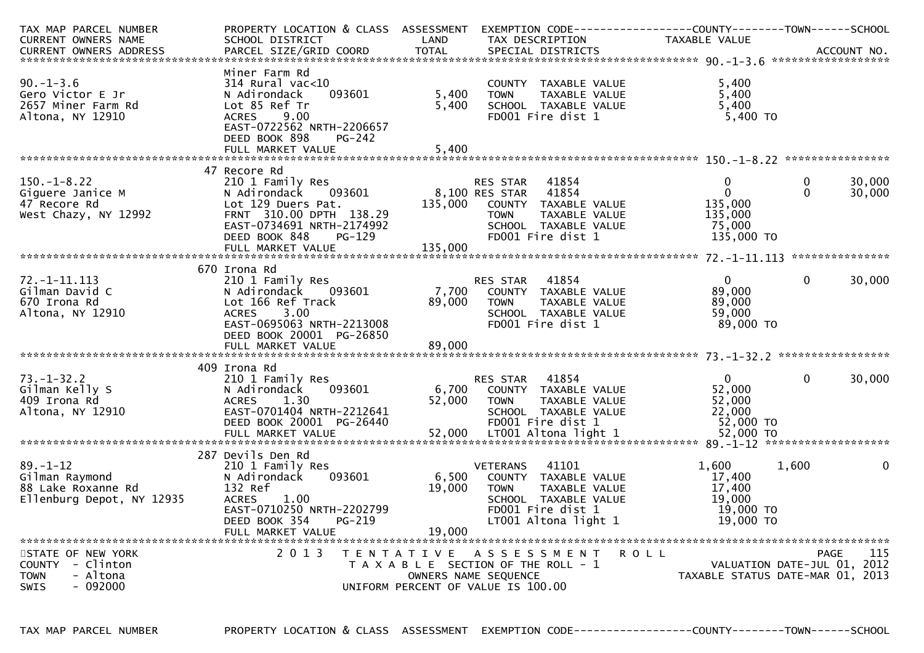| TAX MAP PARCEL NUMBER                                                                       | PROPERTY LOCATION & CLASS ASSESSMENT                                                                                                                                                     |                           |                                                                                                                                                       | EXEMPTION CODE------------------COUNTY-------TOWN------SCHOOL      |                                                                                |
|---------------------------------------------------------------------------------------------|------------------------------------------------------------------------------------------------------------------------------------------------------------------------------------------|---------------------------|-------------------------------------------------------------------------------------------------------------------------------------------------------|--------------------------------------------------------------------|--------------------------------------------------------------------------------|
| <b>CURRENT OWNERS NAME</b>                                                                  | SCHOOL DISTRICT                                                                                                                                                                          | LAND                      | TAX DESCRIPTION                                                                                                                                       | TAXABLE VALUE                                                      |                                                                                |
|                                                                                             |                                                                                                                                                                                          |                           |                                                                                                                                                       |                                                                    |                                                                                |
| $90. - 1 - 3.6$<br>Gero Victor E Jr<br>2657 Miner Farm Rd<br>Altona, NY 12910               | Miner Farm Rd<br>$314$ Rural vac< $10$<br>093601<br>N Adirondack<br>Lot 85 Ref Tr<br>9.00<br><b>ACRES</b><br>EAST-0722562 NRTH-2206657<br>DEED BOOK 898<br>$PG-242$                      | 5,400<br>5,400            | COUNTY TAXABLE VALUE<br>TAXABLE VALUE<br><b>TOWN</b><br>SCHOOL TAXABLE VALUE<br>FD001 Fire dist 1                                                     | 5,400<br>5,400<br>5,400<br>$5,400$ TO                              |                                                                                |
|                                                                                             |                                                                                                                                                                                          |                           |                                                                                                                                                       |                                                                    |                                                                                |
|                                                                                             |                                                                                                                                                                                          |                           |                                                                                                                                                       |                                                                    |                                                                                |
| $150.-1-8.22$<br>Giguere Janice M<br>47 Recore Rd<br>West Chazy, NY 12992                   | 47 Recore Rd<br>210 1 Family Res<br>N Adirondack<br>093601<br>Lot 129 Duers Pat.<br>FRNT 310.00 DPTH 138.29<br>EAST-0734691 NRTH-2174992<br>DEED BOOK 848<br>PG-129<br>FULL MARKET VALUE | 135,000                   | RES STAR<br>41854<br>8,100 RES STAR<br>41854<br>COUNTY TAXABLE VALUE<br><b>TOWN</b><br>TAXABLE VALUE<br>SCHOOL TAXABLE VALUE<br>FD001 Fire dist 1     | $\Omega$<br>$\Omega$<br>135,000<br>135,000<br>75,000<br>135,000 TO | 30,000<br>0<br>30,000<br>$\Omega$                                              |
|                                                                                             |                                                                                                                                                                                          | 135,000                   |                                                                                                                                                       |                                                                    |                                                                                |
| 72. -1-11.113<br>Gilman David C<br>670 Irona Rd<br>Altona, NY 12910                         | 670 Irona Rd<br>210 1 Family Res<br>093601<br>N Adirondack<br>Lot 166 Ref Track<br><b>ACRES</b><br>3.00<br>EAST-0695063 NRTH-2213008<br>DEED BOOK 20001 PG-26850<br>FULL MARKET VALUE    | 7,700<br>89,000<br>89,000 | 41854<br>RES STAR<br>COUNTY TAXABLE VALUE<br><b>TOWN</b><br>TAXABLE VALUE<br>SCHOOL TAXABLE VALUE<br>FD001 Fire dist 1                                | $\Omega$<br>89,000<br>89,000<br>59,000<br>89,000 TO                | $\Omega$<br>30,000                                                             |
|                                                                                             | 409 Irona Rd                                                                                                                                                                             |                           |                                                                                                                                                       |                                                                    |                                                                                |
| $73. - 1 - 32.2$<br>Gilman Kelly S<br>409 Irona Rd<br>Altona, NY 12910                      | 210 1 Family Res<br>N Adirondack<br>093601<br>1.30<br><b>ACRES</b><br>EAST-0701404 NRTH-2212641<br>DEED BOOK 20001 PG-26440                                                              | 6,700<br>52,000           | 41854<br>RES STAR<br>COUNTY TAXABLE VALUE<br>TAXABLE VALUE<br><b>TOWN</b><br>SCHOOL TAXABLE VALUE<br>FD001 Fire dist 1                                | $\Omega$<br>52,000<br>52,000<br>22,000<br>52,000 TO                | 30,000<br>$\Omega$                                                             |
|                                                                                             |                                                                                                                                                                                          |                           |                                                                                                                                                       |                                                                    |                                                                                |
| $89. - 1 - 12$<br>Gilman Raymond<br>88 Lake Roxanne Rd<br>Ellenburg Depot, NY 12935         | 287 Devils Den Rd<br>210 1 Family Res<br>093601<br>N Adirondack<br>132 Ref<br><b>ACRES</b><br>1.00<br>EAST-0710250 NRTH-2202799<br>DEED BOOK 354<br>PG-219<br>FULL MARKET VALUE          | 6,500<br>19,000<br>19,000 | <b>VETERANS</b><br>41101<br>COUNTY TAXABLE VALUE<br><b>TOWN</b><br>TAXABLE VALUE<br>SCHOOL TAXABLE VALUE<br>FD001 Fire dist 1<br>LT001 Altona light 1 | 1,600<br>17,400<br>17,400<br>19,000<br>19,000 TO<br>$19,000$ TO    | 1,600<br>0                                                                     |
| STATE OF NEW YORK<br>COUNTY - Clinton<br><b>TOWN</b><br>- Altona<br><b>SWIS</b><br>- 092000 | 2 0 1 3<br>T E N T A T I V E                                                                                                                                                             |                           | A S S E S S M E N T<br>T A X A B L E SECTION OF THE ROLL - 1<br>OWNERS NAME SEQUENCE<br>UNIFORM PERCENT OF VALUE IS 100.00                            | R O L L                                                            | 115<br>PAGE<br>VALUATION DATE-JUL 01, 2012<br>TAXABLE STATUS DATE-MAR 01, 2013 |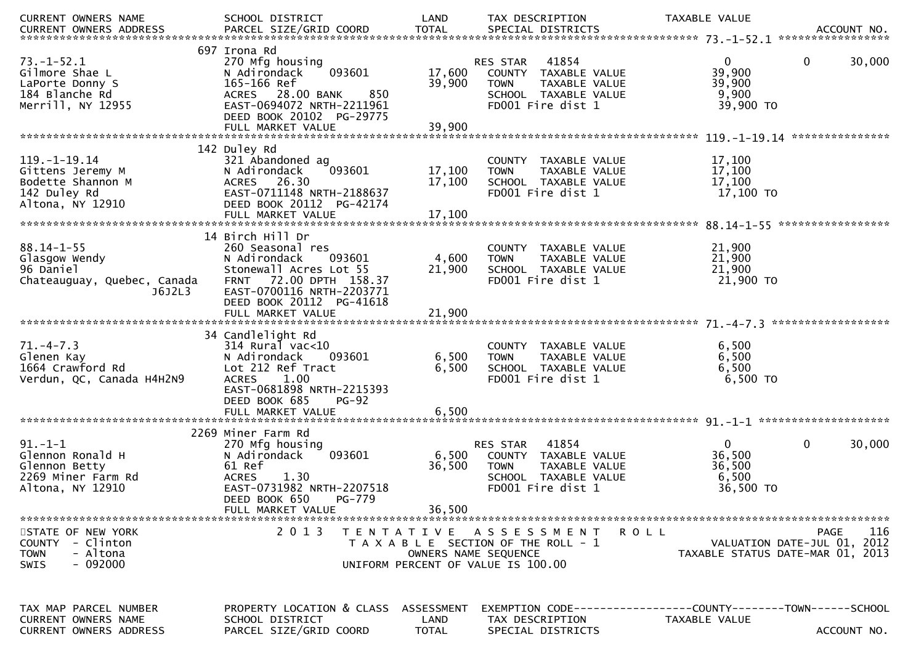| <b>CURRENT OWNERS NAME</b>    | SCHOOL DISTRICT                   | LAND         | TAX DESCRIPTION                       | TAXABLE VALUE                                                |
|-------------------------------|-----------------------------------|--------------|---------------------------------------|--------------------------------------------------------------|
| CURRENT OWNERS ADDRESS        |                                   |              |                                       |                                                              |
|                               |                                   |              |                                       |                                                              |
|                               | 697 Irona Rd                      |              |                                       |                                                              |
| $73. - 1 - 52.1$              | 270 Mfg housing                   |              | 41854<br>RES STAR                     | 30,000<br>$\mathbf 0$<br>$\mathbf{0}$                        |
| Gilmore Shae L                | 093601<br>N Adirondack            | 17,600       | COUNTY TAXABLE VALUE                  | 39,900                                                       |
| LaPorte Donny S               | 165-166 Ref                       | 39,900       | <b>TOWN</b><br>TAXABLE VALUE          | 39,900                                                       |
| 184 Blanche Rd                | 28.00 BANK<br>850<br><b>ACRES</b> |              | SCHOOL TAXABLE VALUE                  | 9,900                                                        |
| Merrill, NY 12955             | EAST-0694072 NRTH-2211961         |              | FD001 Fire dist 1                     | 39,900 TO                                                    |
|                               | DEED BOOK 20102 PG-29775          |              |                                       |                                                              |
|                               |                                   |              |                                       |                                                              |
|                               |                                   |              |                                       |                                                              |
| $119. - 1 - 19.14$            | 142 Duley Rd                      |              |                                       |                                                              |
|                               | 321 Abandoned ag                  |              | COUNTY TAXABLE VALUE                  | 17,100                                                       |
| Gittens Jeremy M              | N Adirondack<br>093601            | 17,100       | <b>TOWN</b><br>TAXABLE VALUE          | 17,100                                                       |
| Bodette Shannon M             | ACRES 26.30                       | 17,100       | SCHOOL TAXABLE VALUE                  | 17,100                                                       |
| 142 Duley Rd                  | EAST-0711148 NRTH-2188637         |              | FD001 Fire dist 1                     | 17,100 TO                                                    |
| Altona, NY 12910              | DEED BOOK 20112 PG-42174          |              |                                       |                                                              |
|                               | FULL MARKET VALUE                 | 17,100       |                                       |                                                              |
|                               |                                   |              |                                       |                                                              |
|                               | 14 Birch Hill Dr                  |              |                                       |                                                              |
| $88.14 - 1 - 55$              | 260 Seasonal res                  |              | COUNTY TAXABLE VALUE                  | 21,900                                                       |
| Glasgow Wendy                 | 093601<br>N Adirondack            | 4,600        | TAXABLE VALUE<br><b>TOWN</b>          | 21,900                                                       |
| 96 Daniel                     | Stonewall Acres Lot 55            | 21,900       | SCHOOL TAXABLE VALUE                  | 21,900                                                       |
| Chateauguay, Quebec, Canada   | FRNT 72.00 DPTH 158.37            |              | FD001 Fire dist 1                     | 21,900 TO                                                    |
| J6J2L3                        | EAST-0700116 NRTH-2203771         |              |                                       |                                                              |
|                               | DEED BOOK 20112 PG-41618          |              |                                       |                                                              |
|                               | FULL MARKET VALUE                 | 21,900       |                                       |                                                              |
|                               |                                   |              |                                       |                                                              |
|                               | 34 Candlelight Rd                 |              |                                       |                                                              |
| $71. - 4 - 7.3$               | $314$ Rural vac<10                |              | COUNTY TAXABLE VALUE                  | 6,500                                                        |
| Glenen Kay                    | N Adirondack<br>093601            | 6,500        | <b>TOWN</b><br>TAXABLE VALUE          | 6,500                                                        |
| 1664 Crawford Rd              | Lot 212 Ref Tract                 | 6,500        | SCHOOL TAXABLE VALUE                  | 6,500                                                        |
| Verdun, QC, Canada H4H2N9     | 1.00<br><b>ACRES</b>              |              | FD001 Fire dist 1                     | 6,500 TO                                                     |
|                               | EAST-0681898 NRTH-2215393         |              |                                       |                                                              |
|                               | DEED BOOK 685<br>$PG-92$          |              |                                       |                                                              |
|                               | FULL MARKET VALUE                 | 6,500        |                                       |                                                              |
|                               |                                   |              |                                       |                                                              |
|                               | 2269 Miner Farm Rd                |              |                                       |                                                              |
| $91. - 1 - 1$                 | 270 Mfg housing                   |              | 41854<br><b>RES STAR</b>              | $\mathbf{0}$<br>0<br>30,000                                  |
| Glennon Ronald H              | N Adirondack<br>093601            | 6,500        | COUNTY TAXABLE VALUE                  | 36,500                                                       |
| Glennon Betty                 | 61 Ref                            | 36,500       | <b>TOWN</b><br>TAXABLE VALUE          | 36,500                                                       |
| 2269 Miner Farm Rd            | 1.30<br><b>ACRES</b>              |              | SCHOOL TAXABLE VALUE                  | 6,500                                                        |
| Altona, NY 12910              | EAST-0731982 NRTH-2207518         |              | FD001 Fire dist 1                     | 36,500 TO                                                    |
|                               | DEED BOOK 650<br>PG-779           |              |                                       |                                                              |
|                               | FULL MARKET VALUE                 | 36,500       |                                       |                                                              |
|                               |                                   |              |                                       |                                                              |
| STATE OF NEW YORK             | 2 0 1 3                           |              | TENTATIVE ASSESSMENT                  | <b>PAGE</b><br>116<br>ROLL                                   |
| COUNTY - Clinton              |                                   |              | T A X A B L E SECTION OF THE ROLL - 1 | VALUATION DATE-JUL 01, 2012                                  |
| - Altona<br><b>TOWN</b>       |                                   |              | OWNERS NAME SEQUENCE                  | TAXABLE STATUS DATE-MAR 01, 2013                             |
| $-092000$<br>SWIS             |                                   |              | UNIFORM PERCENT OF VALUE IS 100.00    |                                                              |
|                               |                                   |              |                                       |                                                              |
|                               |                                   |              |                                       |                                                              |
|                               |                                   |              |                                       |                                                              |
| TAX MAP PARCEL NUMBER         | PROPERTY LOCATION & CLASS         | ASSESSMENT   |                                       | EXEMPTION CODE-----------------COUNTY-------TOWN------SCHOOL |
| CURRENT OWNERS NAME           | SCHOOL DISTRICT                   | LAND         |                                       |                                                              |
|                               |                                   |              | TAX DESCRIPTION                       | TAXABLE VALUE                                                |
| <b>CURRENT OWNERS ADDRESS</b> | PARCEL SIZE/GRID COORD            | <b>TOTAL</b> | SPECIAL DISTRICTS                     | ACCOUNT NO.                                                  |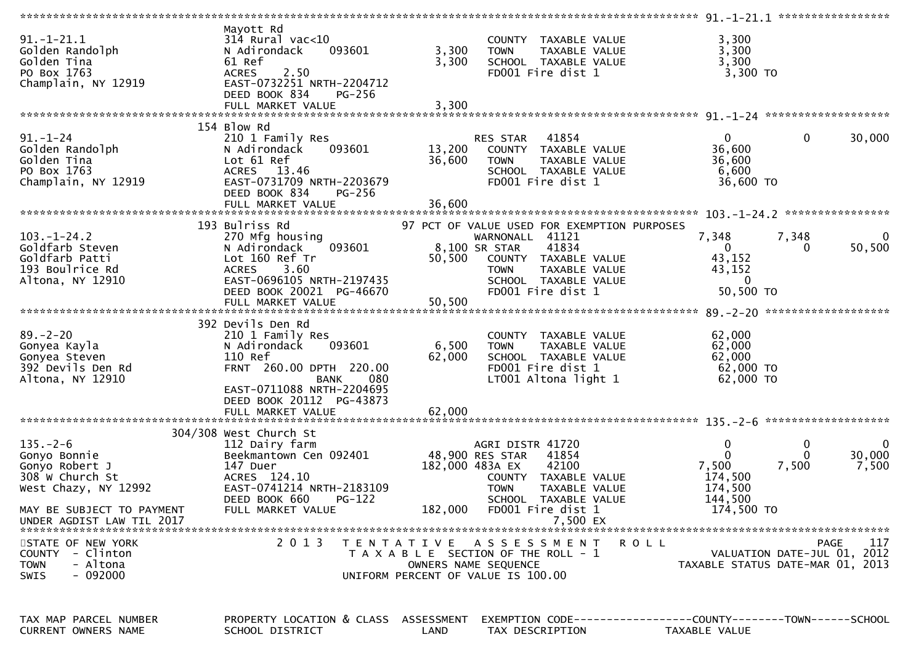| $91.-1-21.1$<br>Golden Randolph<br>Golden Tina<br>PO Box 1763<br>Champlain, NY 12919                                                                  | Mayott Rd<br>$314$ Rural vac<10<br>N Adirondack<br>093601<br>61 Ref<br><b>ACRES</b><br>2.50<br>EAST-0732251 NRTH-2204712<br>DEED BOOK 834<br>PG-256                                  | 3,300<br>3,300             | COUNTY TAXABLE VALUE<br>TAXABLE VALUE<br><b>TOWN</b><br>SCHOOL TAXABLE VALUE<br>FD001 Fire dist 1                                                                                             | 3,300<br>3,300<br>3,300<br>3,300 TO                                       |                                                                                |
|-------------------------------------------------------------------------------------------------------------------------------------------------------|--------------------------------------------------------------------------------------------------------------------------------------------------------------------------------------|----------------------------|-----------------------------------------------------------------------------------------------------------------------------------------------------------------------------------------------|---------------------------------------------------------------------------|--------------------------------------------------------------------------------|
|                                                                                                                                                       |                                                                                                                                                                                      |                            |                                                                                                                                                                                               |                                                                           |                                                                                |
| $91 - 1 - 24$<br>Golden Randolph<br>Golden Tina<br>PO Box 1763<br>Champlain, NY 12919                                                                 | 154 Blow Rd<br>210 1 Family Res<br>093601<br>N Adirondack<br>Lot 61 Ref<br>ACRES 13.46<br>EAST-0731709 NRTH-2203679<br>DEED BOOK 834<br>PG-256                                       | 13,200<br>36,600           | 41854<br>RES STAR<br>COUNTY TAXABLE VALUE<br><b>TOWN</b><br>TAXABLE VALUE<br>SCHOOL TAXABLE VALUE<br>FD001 Fire dist 1                                                                        | $\mathbf{0}$<br>36,600<br>36,600<br>6,600<br>36,600 TO                    | $\mathbf 0$<br>30,000                                                          |
|                                                                                                                                                       |                                                                                                                                                                                      |                            |                                                                                                                                                                                               |                                                                           |                                                                                |
| $103. - 1 - 24.2$<br>Goldfarb Steven<br>Goldfarb Patti<br>193 Boulrice Rd<br>Altona, NY 12910                                                         | 193 Bulriss Rd<br>270 Mfg housing<br>093601<br>N Adirondack<br>Lot 160 Ref Tr<br>3.60<br><b>ACRES</b><br>EAST-0696105 NRTH-2197435<br>DEED BOOK 20021 PG-46670<br>FULL MARKET VALUE  | 50,500<br>50,500           | 97 PCT OF VALUE USED FOR EXEMPTION PURPOSES<br>WARNONALL 41121<br>41834<br>8,100 SR STAR<br>COUNTY TAXABLE VALUE<br>TAXABLE VALUE<br><b>TOWN</b><br>SCHOOL TAXABLE VALUE<br>FD001 Fire dist 1 | 7,348<br>0<br>43,152<br>43,152<br>$\mathbf{0}$<br>50,500 TO               | 7,348<br>0<br>50,500                                                           |
|                                                                                                                                                       | 392 Devils Den Rd                                                                                                                                                                    |                            |                                                                                                                                                                                               |                                                                           |                                                                                |
| $89. - 2 - 20$<br>Gonyea Kayla<br>Gonyea Steven<br>392 Devils Den Rd<br>Altona, NY 12910                                                              | 210 1 Family Res<br>093601<br>N Adirondack<br>110 Ref<br>FRNT 260.00 DPTH 220.00<br>080<br><b>BANK</b><br>EAST-0711088 NRTH-2204695<br>DEED BOOK 20112 PG-43873<br>FULL MARKET VALUE | 6,500<br>62,000<br>62,000  | COUNTY TAXABLE VALUE<br>TAXABLE VALUE<br><b>TOWN</b><br>SCHOOL TAXABLE VALUE<br>FD001 Fire dist 1<br>LT001 Altona light 1                                                                     | 62,000<br>62,000<br>62,000<br>$62,000$ TO<br>62,000 TO                    |                                                                                |
|                                                                                                                                                       |                                                                                                                                                                                      |                            |                                                                                                                                                                                               |                                                                           |                                                                                |
| $135. - 2 - 6$<br>Gonyo Bonnie<br>Gonyo Robert J<br>308 W Church St<br>West Chazy, NY 12992<br>MAY BE SUBJECT TO PAYMENT<br>UNDER AGDIST LAW TIL 2017 | 304/308 West Church St<br>112 Dairy farm<br>Beekmantown Cen 092401<br>147 Duer<br>ACRES 124.10<br>EAST-0741214 NRTH-2183109<br>DEED BOOK 660<br><b>PG-122</b><br>FULL MARKET VALUE   | 182,000 483A EX<br>182,000 | AGRI DISTR 41720<br>48,900 RES STAR<br>41854<br>42100<br>COUNTY TAXABLE VALUE<br><b>TOWN</b><br>TAXABLE VALUE<br>SCHOOL TAXABLE VALUE<br>FD001 Fire dist 1<br>7,500 EX                        | 0<br>$\mathbf{0}$<br>7,500<br>174,500<br>174,500<br>144,500<br>174,500 TO | 0<br>0<br>30,000<br>$\Omega$<br>7,500<br>7,500                                 |
|                                                                                                                                                       |                                                                                                                                                                                      |                            |                                                                                                                                                                                               |                                                                           |                                                                                |
| STATE OF NEW YORK<br>COUNTY - Clinton<br>- Altona<br><b>TOWN</b><br>- 092000<br><b>SWIS</b>                                                           | 2 0 1 3                                                                                                                                                                              |                            | TENTATIVE ASSESSMENT<br>T A X A B L E SECTION OF THE ROLL - 1<br>OWNERS NAME SEQUENCE<br>UNIFORM PERCENT OF VALUE IS 100.00                                                                   | <b>ROLL</b>                                                               | 117<br>PAGE<br>VALUATION DATE-JUL 01, 2012<br>TAXABLE STATUS DATE-MAR 01, 2013 |
| TAX MAP PARCEL NUMBER                                                                                                                                 | PROPERTY LOCATION & CLASS ASSESSMENT<br>$P^+$                                                                                                                                        | $\overline{1}$             | TAY BECCBEBETOM                                                                                                                                                                               | EXEMPTION CODE------------------COUNTY--------TOWN------SCHOOL            |                                                                                |

| IAA MAF | <b>FANCEL</b><br><b>INUMDER</b> | <b>FRUFERII</b><br>LULATIUN Q LLAJJ | <b>AJJEJJMENT</b> | EALMETION CODE ----------------- | <u>-COUNTER--------TOWN------SCHO</u> |  |
|---------|---------------------------------|-------------------------------------|-------------------|----------------------------------|---------------------------------------|--|
| CURRENT | OWNERS NAME                     | DISTRICT<br><b>SCHOOL</b>           | ∟AND              | TAX DESCRIPTION                  | VALUE<br>TAXABLE                      |  |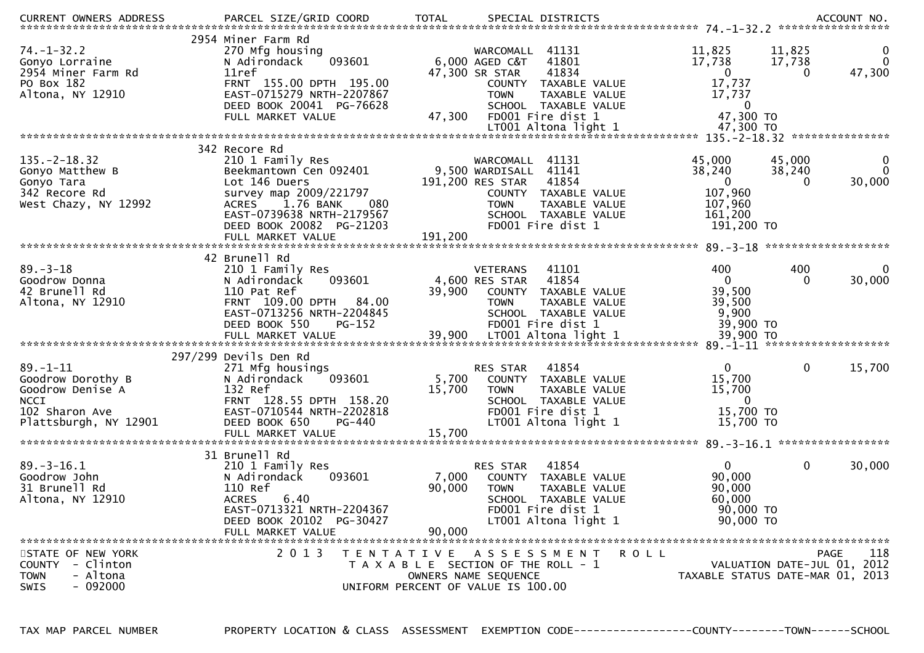| $74. - 1 - 32.2$<br>Gonyo Lorraine<br>2954 Miner Farm Rd<br>PO Box 182<br>Altona, NY 12910                        | 2954 Miner Farm Rd<br>270 Mfg housing<br>093601<br>N Adirondack<br>11ref<br>FRNT 155.00 DPTH 195.00<br>EAST-0715279 NRTH-2207867<br>DEED BOOK 20041 PG-76628<br>FULL MARKET VALUE                                        | 41131<br>WARCOMALL<br>6,000 AGED C&T<br>41801<br>41834<br>47,300 SR STAR<br>COUNTY TAXABLE VALUE<br>TAXABLE VALUE<br><b>TOWN</b><br>SCHOOL TAXABLE VALUE<br>47,300<br>FD001 Fire dist 1  | 11,825<br>11,825<br>$\bf{0}$<br>17,738<br>$\Omega$<br>17,738<br>47,300<br>$\overline{0}$<br>$\Omega$<br>17,737<br>17,737<br>0<br>47,300 TO   |
|-------------------------------------------------------------------------------------------------------------------|--------------------------------------------------------------------------------------------------------------------------------------------------------------------------------------------------------------------------|------------------------------------------------------------------------------------------------------------------------------------------------------------------------------------------|----------------------------------------------------------------------------------------------------------------------------------------------|
|                                                                                                                   |                                                                                                                                                                                                                          |                                                                                                                                                                                          |                                                                                                                                              |
| $135. -2 - 18.32$<br>Gonyo Matthew B<br>Gonyo Tara<br>342 Recore Rd<br>West Chazy, NY 12992                       | 342 Recore Rd<br>210 1 Family Res<br>Beekmantown Cen 092401<br>Lot 146 Duers<br>survey map 2009/221797<br><b>ACRES</b><br>1.76 BANK<br>080<br>EAST-0739638 NRTH-2179567<br>DEED BOOK 20082 PG-21203<br>FULL MARKET VALUE | WARCOMALL 41131<br>9,500 WARDISALL<br>41141<br>191,200 RES STAR<br>41854<br>COUNTY TAXABLE VALUE<br><b>TOWN</b><br>TAXABLE VALUE<br>SCHOOL TAXABLE VALUE<br>FD001 Fire dist 1<br>191,200 | 45,000<br>45,000<br>0<br>38,240<br>$\Omega$<br>38,240<br>$\overline{0}$<br>30,000<br>$\Omega$<br>107,960<br>107,960<br>161,200<br>191,200 TO |
|                                                                                                                   | 42 Brunell Rd                                                                                                                                                                                                            |                                                                                                                                                                                          |                                                                                                                                              |
| $89. - 3 - 18$<br>Goodrow Donna<br>42 Brunell Rd<br>Altona, NY 12910                                              | 210 1 Family Res<br>N Adirondack<br>093601<br>110 Pat Ref<br>FRNT 109.00 DPTH 84.00<br>EAST-0713256 NRTH-2204845<br>DEED BOOK 550<br><b>PG-152</b>                                                                       | <b>VETERANS</b><br>41101<br>41854<br>4,600 RES STAR<br>39,900<br>COUNTY<br>TAXABLE VALUE<br><b>TOWN</b><br>TAXABLE VALUE<br>SCHOOL TAXABLE VALUE<br>FD001 Fire dist 1                    | 400<br>400<br>$\bf{0}$<br>$\mathbf{0}$<br>30,000<br>$\Omega$<br>39,500<br>39,500<br>9,900<br>39,900 TO                                       |
|                                                                                                                   | 297/299 Devils Den Rd                                                                                                                                                                                                    |                                                                                                                                                                                          |                                                                                                                                              |
| $89. - 1 - 11$<br>Goodrow Dorothy B<br>Goodrow Denise A<br><b>NCCI</b><br>102 Sharon Ave<br>Plattsburgh, NY 12901 | 271 Mfg housings<br>N Adirondack<br>093601<br>132 Ref<br>FRNT 128.55 DPTH 158.20<br>EAST-0710544 NRTH-2202818<br>DEED BOOK 650<br>PG-440<br>FULL MARKET VALUE                                                            | 41854<br>RES STAR<br>5,700<br>COUNTY TAXABLE VALUE<br>15,700<br>TAXABLE VALUE<br><b>TOWN</b><br>SCHOOL TAXABLE VALUE<br>FD001 Fire dist 1<br>LT001 Altona light 1<br>15,700              | $\mathbf 0$<br>$\Omega$<br>15,700<br>15,700<br>15,700<br>$\Omega$<br>15,700 TO<br>15,700 TO                                                  |
|                                                                                                                   |                                                                                                                                                                                                                          |                                                                                                                                                                                          |                                                                                                                                              |
| $89. - 3 - 16.1$<br>Goodrow John<br>31 Brunell Rd<br>Altona, NY 12910                                             | 31 Brunell Rd<br>210 1 Family Res<br>N Adirondack<br>093601<br>110 Ref<br><b>ACRES</b><br>6.40<br>EAST-0713321 NRTH-2204367<br>DEED BOOK 20102 PG-30427<br>FULL MARKET VALUE                                             | 41854<br>RES STAR<br>7,000<br>COUNTY TAXABLE VALUE<br>90,000<br><b>TOWN</b><br>TAXABLE VALUE<br><b>SCHOOL</b><br>TAXABLE VALUE<br>FD001 Fire dist 1<br>LT001 Altona light 1<br>90,000    | $\overline{0}$<br>$\mathbf 0$<br>30,000<br>90,000<br>90,000<br>60,000<br>90,000 TO<br>90,000 TO                                              |
| STATE OF NEW YORK<br>COUNTY - Clinton<br><b>TOWN</b><br>- Altona<br>$-092000$<br><b>SWIS</b>                      | 2 0 1 3<br>T E N T A T I V E                                                                                                                                                                                             | <b>ROLL</b><br>A S S E S S M E N T<br>T A X A B L E SECTION OF THE ROLL - 1<br>OWNERS NAME SEQUENCE<br>UNIFORM PERCENT OF VALUE IS 100.00                                                | 118<br>PAGE<br>VALUATION DATE-JUL 01, 2012<br>TAXABLE STATUS DATE-MAR 01, 2013                                                               |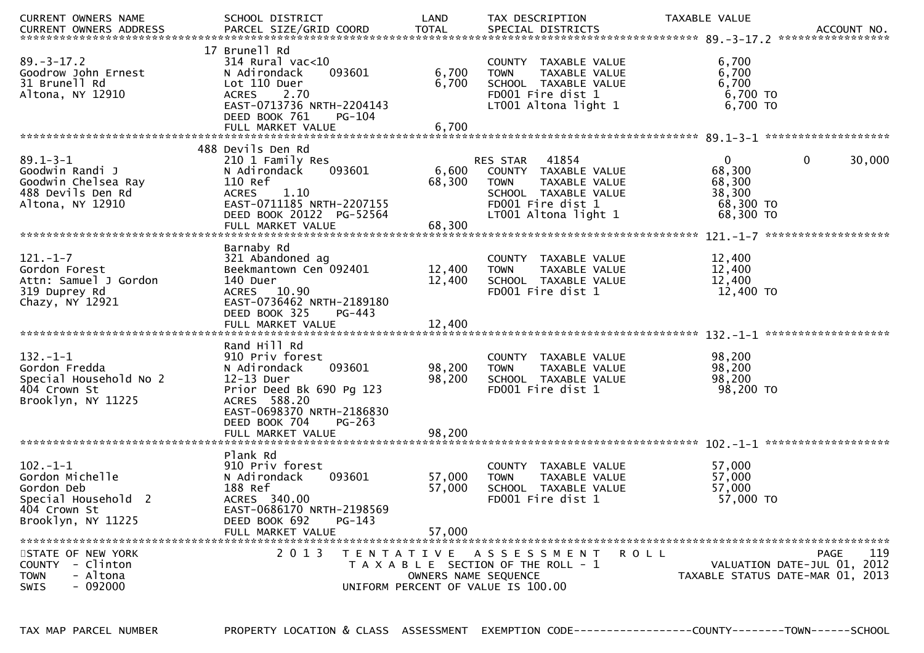| CURRENT OWNERS NAME                                                                                         | SCHOOL DISTRICT                                                                                                                                                                  | LAND                                                                            | TAX DESCRIPTION                                                                                                                                | TAXABLE VALUE                                             |                                                                                |
|-------------------------------------------------------------------------------------------------------------|----------------------------------------------------------------------------------------------------------------------------------------------------------------------------------|---------------------------------------------------------------------------------|------------------------------------------------------------------------------------------------------------------------------------------------|-----------------------------------------------------------|--------------------------------------------------------------------------------|
|                                                                                                             |                                                                                                                                                                                  |                                                                                 |                                                                                                                                                |                                                           |                                                                                |
| $89. - 3 - 17.2$<br>Goodrow John Ernest<br>31 Brunell Rd<br>Altona, NY 12910                                | 17 Brunell Rd<br>$314$ Rural vac< $10$<br>N Adirondack<br>093601<br>Lot 110 Duer<br><b>ACRES</b><br>2.70<br>EAST-0713736 NRTH-2204143<br>DEED BOOK 761<br>$PG-104$               | 6,700<br>6,700                                                                  | COUNTY TAXABLE VALUE<br><b>TOWN</b><br>TAXABLE VALUE<br>SCHOOL TAXABLE VALUE<br>FD001 Fire dist 1<br>LT001 Altona light 1                      | 6,700<br>6,700<br>6,700<br>6,700 TO<br>6,700 ТО           |                                                                                |
|                                                                                                             |                                                                                                                                                                                  |                                                                                 |                                                                                                                                                |                                                           |                                                                                |
|                                                                                                             |                                                                                                                                                                                  |                                                                                 |                                                                                                                                                |                                                           |                                                                                |
| $89.1 - 3 - 1$<br>Goodwin Randi J<br>Goodwin Chelsea Ray<br>488 Devils Den Rd<br>Altona, NY 12910           | 488 Devils Den Rd<br>210 1 Family Res<br>N Adirondack<br>093601<br>110 Ref<br>1.10<br><b>ACRES</b><br>EAST-0711185 NRTH-2207155<br>DEED BOOK 20122 PG-52564<br>FULL MARKET VALUE | 6,600<br>68,300<br>68,300                                                       | 41854<br>RES STAR<br>COUNTY TAXABLE VALUE<br>TAXABLE VALUE<br><b>TOWN</b><br>SCHOOL TAXABLE VALUE<br>FD001 Fire dist 1<br>LT001 Altona light 1 | 0<br>68,300<br>68,300<br>38,300<br>68,300 TO<br>68,300 TO | 30,000<br>$\mathbf{0}$                                                         |
|                                                                                                             |                                                                                                                                                                                  |                                                                                 |                                                                                                                                                |                                                           |                                                                                |
| $121. - 1 - 7$<br>Gordon Forest<br>Attn: Samuel J Gordon<br>319 Duprey Rd<br>Chazy, NY 12921                | Barnaby Rd<br>321 Abandoned ag<br>Beekmantown Cen 092401<br>140 Duer<br>ACRES 10.90<br>EAST-0736462 NRTH-2189180<br>DEED BOOK 325<br>PG-443                                      | 12,400<br>12,400                                                                | COUNTY TAXABLE VALUE<br><b>TOWN</b><br>TAXABLE VALUE<br>SCHOOL TAXABLE VALUE<br>FD001 Fire dist 1                                              | 12,400<br>12,400<br>12,400<br>12,400 TO                   |                                                                                |
|                                                                                                             |                                                                                                                                                                                  |                                                                                 |                                                                                                                                                |                                                           |                                                                                |
| $132. - 1 - 1$<br>Gordon Fredda<br>Special Household No 2<br>404 Crown St<br>Brooklyn, NY 11225             | Rand Hill Rd<br>910 Priv forest<br>N Adirondack<br>093601<br>12-13 Duer<br>Prior Deed Bk 690 Pg 123<br>ACRES 588.20<br>EAST-0698370 NRTH-2186830<br>DEED BOOK 704<br>$PG-263$    | 98,200<br>98,200                                                                | COUNTY TAXABLE VALUE<br><b>TOWN</b><br>TAXABLE VALUE<br>SCHOOL TAXABLE VALUE<br>FD001 Fire dist 1                                              | 98,200<br>98,200<br>98,200<br>98,200 TO                   |                                                                                |
|                                                                                                             |                                                                                                                                                                                  |                                                                                 |                                                                                                                                                |                                                           |                                                                                |
| $102 - 1 - 1$<br>Gordon Michelle<br>Gordon Deb<br>Special Household 2<br>404 Crown St<br>Brooklyn, NY 11225 | Plank Rd<br>910 Priv forest<br>N Adirondack<br>093601<br>188 Ref<br>ACRES 340.00<br>EAST-0686170 NRTH-2198569<br>DEED BOOK 692<br>$PG-143$<br>FULL MARKET VALUE                  | 57,000<br>57,000<br>57,000                                                      | COUNTY TAXABLE VALUE<br>TAXABLE VALUE<br><b>TOWN</b><br>SCHOOL TAXABLE VALUE<br>FD001 Fire dist 1                                              | 57,000<br>57,000<br>57,000<br>57,000 TO                   |                                                                                |
| STATE OF NEW YORK<br>COUNTY - Clinton<br>- Altona<br><b>TOWN</b><br>$-092000$<br><b>SWIS</b>                | 2 0 1 3                                                                                                                                                                          | T E N T A T I V E<br>OWNERS NAME SEQUENCE<br>UNIFORM PERCENT OF VALUE IS 100.00 | A S S E S S M E N T<br>T A X A B L E SECTION OF THE ROLL - 1                                                                                   | ROLL                                                      | 119<br>PAGE<br>VALUATION DATE-JUL 01, 2012<br>TAXABLE STATUS DATE-MAR 01, 2013 |

TAX MAP PARCEL NUMBER PROPERTY LOCATION & CLASS ASSESSMENT EXEMPTION CODE------------------COUNTY--------TOWN------SCHOOL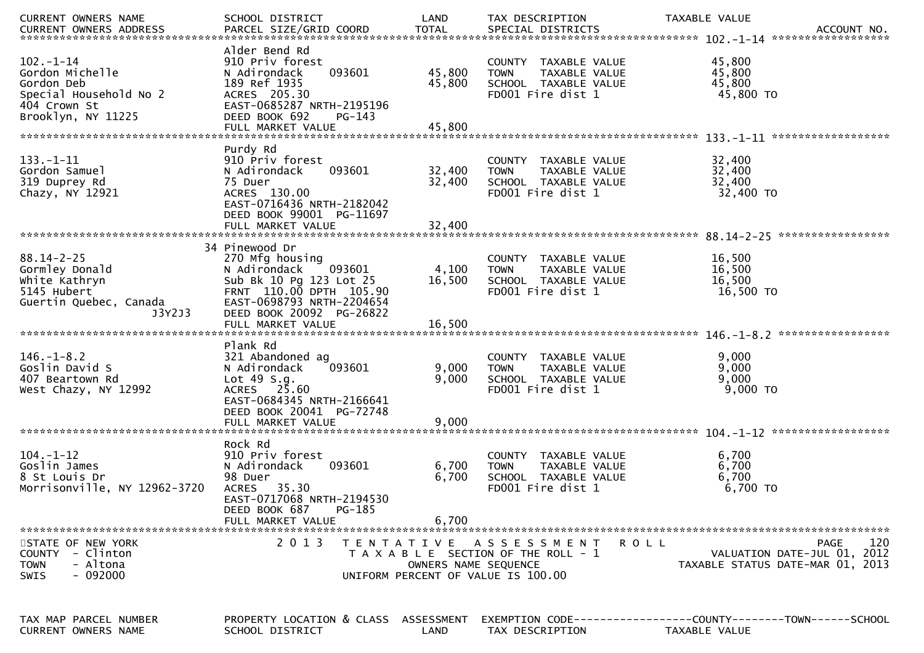| CURRENT OWNERS NAME                                                                                             | SCHOOL DISTRICT                                                                                                                                                            | LAND                       | TAX DESCRIPTION                                                                                             | TAXABLE VALUE                                                                                 |
|-----------------------------------------------------------------------------------------------------------------|----------------------------------------------------------------------------------------------------------------------------------------------------------------------------|----------------------------|-------------------------------------------------------------------------------------------------------------|-----------------------------------------------------------------------------------------------|
|                                                                                                                 |                                                                                                                                                                            |                            |                                                                                                             |                                                                                               |
| $102 - 1 - 14$<br>Gordon Michelle<br>Gordon Deb<br>Special Household No 2<br>404 Crown St<br>Brooklyn, NY 11225 | Alder Bend Rd<br>910 Priv forest<br>093601<br>N Adirondack<br>189 Ref 1935<br>ACRES 205.30<br>EAST-0685287 NRTH-2195196<br>DEED BOOK 692<br>$PG-143$                       | 45,800<br>45,800           | COUNTY TAXABLE VALUE<br>TAXABLE VALUE<br><b>TOWN</b><br>SCHOOL TAXABLE VALUE<br>FD001 Fire dist 1           | 45,800<br>45,800<br>45,800<br>45,800 TO                                                       |
|                                                                                                                 |                                                                                                                                                                            |                            |                                                                                                             |                                                                                               |
| $133. - 1 - 11$<br>Gordon Samuel<br>319 Duprey Rd<br>Chazy, NY 12921                                            | Purdy Rd<br>910 Priv forest<br>N Adirondack<br>093601<br>75 Duer<br>ACRES 130.00<br>EAST-0716436 NRTH-2182042<br>DEED BOOK 99001 PG-11697<br>FULL MARKET VALUE             | 32,400<br>32,400<br>32,400 | COUNTY TAXABLE VALUE<br><b>TOWN</b><br>TAXABLE VALUE<br>SCHOOL TAXABLE VALUE<br>FD001 Fire dist 1           | 32,400<br>32,400<br>32,400<br>32,400 TO                                                       |
|                                                                                                                 |                                                                                                                                                                            |                            |                                                                                                             |                                                                                               |
| $88.14 - 2 - 25$<br>Gormley Donald<br>White Kathryn<br>5145 Hubert<br>Guertin Quebec, Canada<br>J3Y2J3          | 34 Pinewood Dr<br>270 Mfg housing<br>N Adirondack<br>093601<br>Sub Bk 10 Pg 123 Lot 25<br>FRNT 110.00 DPTH 105.90<br>EAST-0698793 NRTH-2204654<br>DEED BOOK 20092 PG-26822 | 4,100<br>16,500            | <b>COUNTY</b><br>TAXABLE VALUE<br><b>TOWN</b><br>TAXABLE VALUE<br>SCHOOL TAXABLE VALUE<br>FD001 Fire dist 1 | 16,500<br>16,500<br>16,500<br>16,500 TO                                                       |
|                                                                                                                 |                                                                                                                                                                            |                            |                                                                                                             |                                                                                               |
|                                                                                                                 |                                                                                                                                                                            |                            |                                                                                                             |                                                                                               |
| $146. - 1 - 8.2$<br>Goslin David S<br>407 Beartown Rd<br>West Chazy, NY 12992                                   | Plank Rd<br>321 Abandoned ag<br>093601<br>N Adirondack<br>Lot $49 S.q.$<br>ACRES 25.60<br>EAST-0684345 NRTH-2166641<br>DEED BOOK 20041 PG-72748<br>FULL MARKET VALUE       | 9,000<br>9,000<br>9,000    | <b>COUNTY</b><br>TAXABLE VALUE<br><b>TOWN</b><br>TAXABLE VALUE<br>SCHOOL TAXABLE VALUE<br>FD001 Fire dist 1 | 9,000<br>9,000<br>9,000<br>9,000 TO                                                           |
|                                                                                                                 | Rock Rd                                                                                                                                                                    |                            |                                                                                                             |                                                                                               |
| $104. - 1 - 12$<br>Goslin James<br>8 St Louis Dr<br>Morrisonville, NY 12962-3720                                | 910 Priv forest<br>N Adirondack<br>093601<br>98 Duer<br>35.30<br><b>ACRES</b><br>EAST-0717068 NRTH-2194530<br>DEED BOOK 687<br>PG-185<br>FULL MARKET VALUE                 | 6,700<br>6,700<br>6,700    | <b>COUNTY</b><br>TAXABLE VALUE<br>TAXABLE VALUE<br><b>TOWN</b><br>SCHOOL TAXABLE VALUE<br>FD001 Fire dist 1 | 6,700<br>6,700<br>6,700<br>6,700 TO                                                           |
|                                                                                                                 |                                                                                                                                                                            |                            |                                                                                                             |                                                                                               |
| STATE OF NEW YORK<br>COUNTY - Clinton<br>- Altona<br><b>TOWN</b><br>$-092000$<br><b>SWIS</b>                    | 2 0 1 3                                                                                                                                                                    | OWNERS NAME SEQUENCE       | TENTATIVE ASSESSMENT<br>T A X A B L E SECTION OF THE ROLL - 1<br>UNIFORM PERCENT OF VALUE IS 100.00         | 120<br>PAGE<br><b>ROLL</b><br>VALUATION DATE-JUL 01, 2012<br>TAXABLE STATUS DATE-MAR 01, 2013 |
| TAX MAP PARCEL NUMBER<br><b>CURRENT OWNERS NAME</b>                                                             | PROPERTY LOCATION & CLASS ASSESSMENT<br>SCHOOL DISTRICT                                                                                                                    | LAND                       | TAX DESCRIPTION                                                                                             | EXEMPTION CODE-----------------COUNTY-------TOWN------SCHOOL<br><b>TAXABLE VALUE</b>          |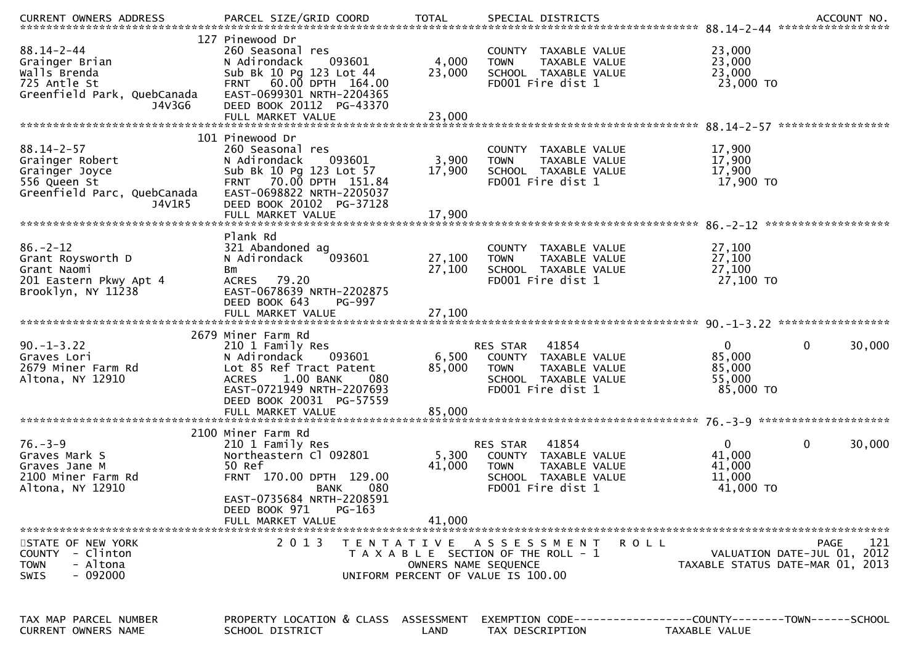| <b>CURRENT OWNERS ADDRESS</b>                                                                                  | PARCEL SIZE/GRID COORD                                                                                                                                                                                        | <b>TOTAL</b>               | SPECIAL DISTRICTS                                                                                                                |                                                           | ACCOUNT NO.                                       |
|----------------------------------------------------------------------------------------------------------------|---------------------------------------------------------------------------------------------------------------------------------------------------------------------------------------------------------------|----------------------------|----------------------------------------------------------------------------------------------------------------------------------|-----------------------------------------------------------|---------------------------------------------------|
| $88.14 - 2 - 44$<br>Grainger Brian<br>Walls Brenda<br>725 Antle St<br>Greenfield Park, QuebCanada<br>J4V3G6    | 127 Pinewood Dr<br>260 Seasonal res<br>093601<br>N Adirondack<br>Sub Bk 10 Pg 123 Lot 44<br>FRNT 60.00 DPTH 164.00<br>EAST-0699301 NRTH-2204365<br>DEED BOOK 20112 PG-43370                                   | 4,000<br>23,000            | COUNTY TAXABLE VALUE<br><b>TOWN</b><br>TAXABLE VALUE<br>SCHOOL TAXABLE VALUE<br>FD001 Fire dist 1                                | 23,000<br>23,000<br>23,000<br>23,000 TO                   |                                                   |
|                                                                                                                | FULL MARKET VALUE                                                                                                                                                                                             | 23,000                     |                                                                                                                                  |                                                           |                                                   |
|                                                                                                                | 101 Pinewood Dr                                                                                                                                                                                               |                            |                                                                                                                                  |                                                           |                                                   |
| $88.14 - 2 - 57$<br>Grainger Robert<br>Grainger Joyce<br>556 Queen St<br>Greenfield Parc, QuebCanada<br>J4V1R5 | 260 Seasonal res<br>093601<br>N Adirondack<br>Sub Bk 10 Pg 123 Lot 57<br>FRNT 70.00 DPTH 151.84<br>EAST-0698822 NRTH-2205037<br>DEED BOOK 20102 PG-37128<br>FULL MARKET VALUE                                 | 3,900<br>17,900<br>17,900  | COUNTY TAXABLE VALUE<br><b>TOWN</b><br>TAXABLE VALUE<br>SCHOOL TAXABLE VALUE<br>FD001 Fire dist 1                                | 17,900<br>17,900<br>17,900<br>17,900 TO                   |                                                   |
|                                                                                                                |                                                                                                                                                                                                               |                            |                                                                                                                                  |                                                           |                                                   |
| $86. - 2 - 12$<br>Grant Roysworth D<br>Grant Naomi<br>201 Eastern Pkwy Apt 4<br>Brooklyn, NY 11238             | Plank Rd<br>321 Abandoned ag<br>093601<br>N Adirondack<br>Bm<br>ACRES 79.20<br>EAST-0678639 NRTH-2202875<br>DEED BOOK 643<br>PG-997<br>FULL MARKET VALUE                                                      | 27,100<br>27,100<br>27,100 | COUNTY TAXABLE VALUE<br><b>TOWN</b><br>TAXABLE VALUE<br>SCHOOL TAXABLE VALUE<br>FD001 Fire dist 1                                | 27,100<br>27,100<br>27,100<br>27,100 TO                   |                                                   |
|                                                                                                                |                                                                                                                                                                                                               |                            |                                                                                                                                  |                                                           |                                                   |
| $90. -1 - 3.22$<br>Graves Lori<br>2679 Miner Farm Rd<br>Altona, NY 12910                                       | 2679 Miner Farm Rd<br>210 1 Family Res<br>093601<br>N Adirondack<br>Lot 85 Ref Tract Patent<br><b>ACRES</b><br>1.00 BANK<br>080<br>EAST-0721949 NRTH-2207693<br>DEED BOOK 20031 PG-57559<br>FULL MARKET VALUE | 6,500<br>85,000<br>85,000  | 41854<br>RES STAR<br>COUNTY TAXABLE VALUE<br><b>TOWN</b><br>TAXABLE VALUE<br>SCHOOL TAXABLE VALUE<br>FD001 Fire dist 1           | $\overline{0}$<br>85,000<br>85,000<br>55,000<br>85,000 TO | $\mathbf{0}$<br>30,000                            |
|                                                                                                                | 2100 Miner Farm Rd                                                                                                                                                                                            |                            |                                                                                                                                  |                                                           |                                                   |
| $76. - 3 - 9$<br>Graves Mark S<br>Graves Jane M<br>2100 Miner Farm Rd<br>Altona, NY 12910                      | 210 1 Family Res<br>Northeastern Cl 092801<br>50 Ref<br>FRNT 170.00 DPTH 129.00<br>080<br>BANK<br>EAST-0735684 NRTH-2208591<br>PG-163<br>DEED BOOK 971                                                        | 5,300<br>41,000            | RES STAR<br>41854<br>TAXABLE VALUE<br><b>COUNTY</b><br><b>TOWN</b><br>TAXABLE VALUE<br>SCHOOL TAXABLE VALUE<br>FD001 Fire dist 1 | $\overline{0}$<br>41,000<br>41,000<br>11,000<br>41,000 TO | $\mathbf 0$<br>30,000                             |
|                                                                                                                | FULL MARKET VALUE                                                                                                                                                                                             | 41,000                     |                                                                                                                                  |                                                           |                                                   |
| STATE OF NEW YORK<br>COUNTY - Clinton<br>- Altona<br><b>TOWN</b><br>$-092000$<br><b>SWIS</b>                   | 2 0 1 3                                                                                                                                                                                                       | OWNERS NAME SEQUENCE       | TENTATIVE ASSESSMENT<br>R O L L<br>T A X A B L E SECTION OF THE ROLL - 1<br>UNIFORM PERCENT OF VALUE IS 100.00                   | TAXABLE STATUS DATE-MAR 01, 2013                          | 121<br><b>PAGE</b><br>VALUATION DATE-JUL 01, 2012 |
| TAX MAP PARCEL NUMBER<br><b>CURRENT OWNERS NAME</b>                                                            | PROPERTY LOCATION & CLASS ASSESSMENT<br>SCHOOL DISTRICT                                                                                                                                                       | LAND                       | EXEMPTION CODE------------------COUNTY--------TOWN------SCHOOL<br>TAX DESCRIPTION                                                | TAXABLE VALUE                                             |                                                   |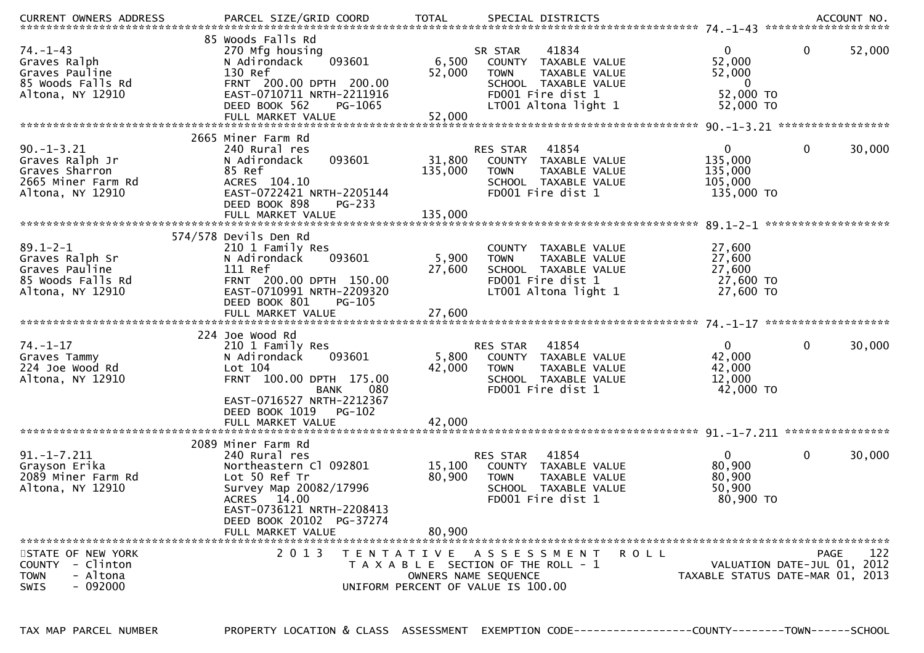| $74. - 1 - 43$<br>Graves Ralph<br>Graves Pauline<br>85 Woods Falls Rd<br>Altona, NY 12910      | 85 Woods Falls Rd<br>270 Mfg housing<br>093601<br>N Adirondack<br>130 Ref<br>FRNT 200.00 DPTH 200.00<br>EAST-0710711 NRTH-2211916<br>PG-1065               | 6,500<br>52,000   | SR STAR<br><b>TOWN</b>                                                                              | 41834<br>COUNTY TAXABLE VALUE<br>TAXABLE VALUE<br>SCHOOL TAXABLE VALUE<br>FD001 Fire dist 1 | $\mathbf{0}$<br>52,000<br>52,000<br>$\mathbf 0$<br>52,000 TO    | $\mathbf{0}$ | 52,000 |
|------------------------------------------------------------------------------------------------|------------------------------------------------------------------------------------------------------------------------------------------------------------|-------------------|-----------------------------------------------------------------------------------------------------|---------------------------------------------------------------------------------------------|-----------------------------------------------------------------|--------------|--------|
|                                                                                                | DEED BOOK 562<br>FULL MARKET VALUE                                                                                                                         | 52,000            |                                                                                                     | LT001 Altona light 1                                                                        | 52,000 TO                                                       |              |        |
|                                                                                                | 2665 Miner Farm Rd                                                                                                                                         |                   |                                                                                                     |                                                                                             |                                                                 |              |        |
| $90. -1 - 3.21$<br>Graves Ralph Jr<br>Graves Sharron<br>2665 Miner Farm Rd<br>Altona, NY 12910 | 240 Rural res<br>093601<br>N Adirondack<br>85 Ref<br>ACRES 104.10<br>EAST-0722421 NRTH-2205144<br>DEED BOOK 898<br>$PG-233$                                | 31,800<br>135,000 | RES STAR<br><b>TOWN</b>                                                                             | 41854<br>COUNTY TAXABLE VALUE<br>TAXABLE VALUE<br>SCHOOL TAXABLE VALUE<br>FD001 Fire dist 1 | $\overline{0}$<br>135,000<br>135,000<br>105,000<br>135,000 TO   | $\mathbf 0$  | 30,000 |
|                                                                                                | FULL MARKET VALUE                                                                                                                                          | 135,000           |                                                                                                     |                                                                                             |                                                                 |              |        |
| $89.1 - 2 - 1$                                                                                 | 574/578 Devils Den Rd<br>210 1 Family Res                                                                                                                  |                   |                                                                                                     | COUNTY TAXABLE VALUE                                                                        | 27,600                                                          |              |        |
| Graves Ralph Sr<br>Graves Pauline<br>85 Woods Falls Rd<br>Altona, NY 12910                     | N Adirondack<br>093601<br>111 Ref<br>FRNT 200.00 DPTH 150.00<br>EAST-0710991 NRTH-2209320<br>DEED BOOK 801                                                 | 5,900<br>27,600   | <b>TOWN</b>                                                                                         | TAXABLE VALUE<br>SCHOOL TAXABLE VALUE<br>FD001 Fire dist 1<br>LT001 Altona light 1          | 27,600<br>27,600<br>27,600 TO<br>27,600 TO                      |              |        |
|                                                                                                | PG-105                                                                                                                                                     |                   |                                                                                                     |                                                                                             |                                                                 |              |        |
| $74. - 1 - 17$<br>Graves Tammy<br>224 Joe Wood Rd<br>Altona, NY 12910                          | 224 Joe Wood Rd<br>210 1 Family Res<br>093601<br>N Adirondack<br>Lot 104<br>FRNT 100.00 DPTH 175.00                                                        | 5,800<br>42,000   | RES STAR<br><b>TOWN</b>                                                                             | 41854<br>COUNTY TAXABLE VALUE<br>TAXABLE VALUE<br>SCHOOL TAXABLE VALUE                      | $\overline{0}$<br>42,000<br>42,000<br>12,000                    | $\mathbf{0}$ | 30,000 |
|                                                                                                | <b>BANK</b><br>080<br>EAST-0716527 NRTH-2212367<br>DEED BOOK 1019 PG-102<br>FULL MARKET VALUE                                                              | 42,000            |                                                                                                     | FD001 Fire dist 1                                                                           | 42,000 TO                                                       |              |        |
|                                                                                                | 2089 Miner Farm Rd                                                                                                                                         |                   |                                                                                                     |                                                                                             |                                                                 |              |        |
| $91. -1 - 7.211$<br>Grayson Erika<br>2089 Miner Farm Rd<br>Altona, NY 12910                    | 240 Rural res<br>Northeastern Cl 092801<br>Lot 50 Ref Tr<br>Survey Map 20082/17996<br>ACRES 14.00<br>EAST-0736121 NRTH-2208413<br>DEED BOOK 20102 PG-37274 | 15,100<br>80,900  | RES STAR<br><b>TOWN</b>                                                                             | 41854<br>COUNTY TAXABLE VALUE<br>TAXABLE VALUE<br>SCHOOL TAXABLE VALUE<br>FD001 Fire dist 1 | $\mathbf{0}$<br>80,900<br>80,900<br>50,900<br>80,900 TO         | $\mathbf{0}$ | 30,000 |
|                                                                                                | FULL MARKET VALUE                                                                                                                                          | 80,900            |                                                                                                     |                                                                                             |                                                                 |              |        |
| STATE OF NEW YORK<br>COUNTY - Clinton<br><b>TOWN</b><br>- Altona<br>$-092000$<br>SWIS          | 2 0 1 3<br>TENTATIVE ASSESSMENT                                                                                                                            |                   | T A X A B L E SECTION OF THE ROLL - 1<br>OWNERS NAME SEQUENCE<br>UNIFORM PERCENT OF VALUE IS 100.00 | R O L L                                                                                     | VALUATION DATE-JUL 01, 2012<br>TAXABLE STATUS DATE-MAR 01, 2013 | PAGE         | 122    |

TAX MAP PARCEL NUMBER PROPERTY LOCATION & CLASS ASSESSMENT EXEMPTION CODE------------------COUNTY--------TOWN------SCHOOL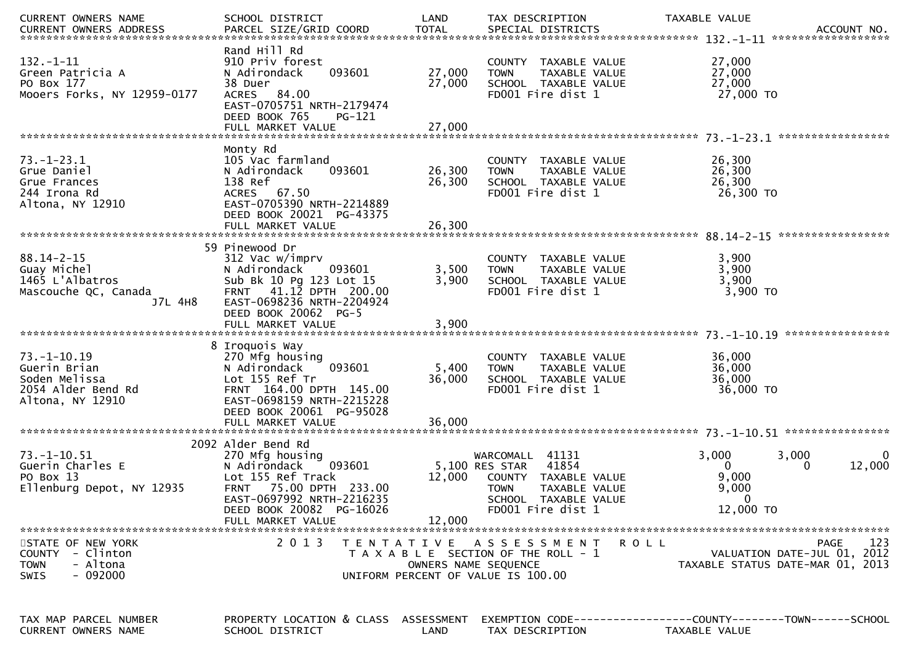| CURRENT OWNERS NAME                          | SCHOOL DISTRICT                                         | LAND                 | TAX DESCRIPTION                       | TAXABLE VALUE                                                                 |
|----------------------------------------------|---------------------------------------------------------|----------------------|---------------------------------------|-------------------------------------------------------------------------------|
| CURRENT OWNERS ADDRESS                       | PARCEL SIZE/GRID COORD                                  | TOTAL                | SPECIAL DISTRICTS                     | ACCOUNT NO.                                                                   |
|                                              |                                                         |                      |                                       | ******************                                                            |
|                                              | Rand Hill Rd                                            |                      |                                       |                                                                               |
| $132. - 1 - 11$                              | 910 Priv forest                                         |                      | COUNTY TAXABLE VALUE                  | 27,000                                                                        |
| Green Patricia A                             | N Adirondack<br>093601                                  | 27,000               | TAXABLE VALUE<br><b>TOWN</b>          | 27,000                                                                        |
| PO Box 177                                   | 38 Duer                                                 | 27,000               | SCHOOL TAXABLE VALUE                  | 27,000                                                                        |
| Mooers Forks, NY 12959-0177                  | 84.00<br><b>ACRES</b>                                   |                      | FD001 Fire dist 1                     | 27,000 TO                                                                     |
|                                              | EAST-0705751 NRTH-2179474                               |                      |                                       |                                                                               |
|                                              | DEED BOOK 765<br><b>PG-121</b>                          |                      |                                       |                                                                               |
|                                              | FULL MARKET VALUE                                       | 27,000               |                                       |                                                                               |
|                                              |                                                         |                      |                                       |                                                                               |
| $73. - 1 - 23.1$                             | Monty Rd<br>105 Vac farmland                            |                      | COUNTY TAXABLE VALUE                  | 26,300                                                                        |
| Grue Daniel                                  | N Adirondack<br>093601                                  | 26,300               | TAXABLE VALUE<br><b>TOWN</b>          | 26,300                                                                        |
| Grue Frances                                 | 138 Ref                                                 | 26,300               | SCHOOL TAXABLE VALUE                  | 26,300                                                                        |
| 244 Irona Rd                                 | ACRES 67.50                                             |                      | FD001 Fire dist 1                     | 26,300 TO                                                                     |
| Altona, NY 12910                             | EAST-0705390 NRTH-2214889                               |                      |                                       |                                                                               |
|                                              | DEED BOOK 20021 PG-43375                                |                      |                                       |                                                                               |
|                                              |                                                         |                      |                                       |                                                                               |
|                                              |                                                         |                      |                                       |                                                                               |
|                                              | 59 Pinewood Dr                                          |                      |                                       |                                                                               |
| $88.14 - 2 - 15$                             | 312 Vac w/imprv                                         |                      | TAXABLE VALUE<br>COUNTY               | 3,900                                                                         |
| Guay Michel                                  | N Adirondack<br>093601                                  | 3,500                | TAXABLE VALUE<br><b>TOWN</b>          | 3,900                                                                         |
| 1465 L'Albatros                              | Sub Bk 10 Pg 123 Lot 15                                 | 3,900                | SCHOOL TAXABLE VALUE                  | 3,900                                                                         |
| Mascouche QC, Canada                         | 41.12 DPTH 200.00<br><b>FRNT</b>                        |                      | FD001 Fire dist 1                     | $3,900$ TO                                                                    |
| J7L 4H8                                      | EAST-0698236 NRTH-2204924                               |                      |                                       |                                                                               |
|                                              | DEED BOOK 20062 PG-5                                    |                      |                                       |                                                                               |
|                                              | FULL MARKET VALUE                                       | 3,900                |                                       |                                                                               |
|                                              |                                                         |                      |                                       |                                                                               |
|                                              | 8 Iroquois Way                                          |                      |                                       |                                                                               |
| 73. –1–10.19                                 | 270 Mfg housing                                         |                      | COUNTY TAXABLE VALUE                  | 36,000                                                                        |
| Guerin Brian                                 | 093601<br>N Adirondack                                  | 5,400                | <b>TOWN</b><br>TAXABLE VALUE          | 36,000                                                                        |
| Soden Melissa                                | Lot 155 Ref Tr                                          | 36,000               | SCHOOL TAXABLE VALUE                  | 36,000                                                                        |
| 2054 Alder Bend Rd                           | FRNT 164.00 DPTH 145.00                                 |                      | FD001 Fire dist 1                     | 36,000 TO                                                                     |
| Altona, NY 12910                             | EAST-0698159 NRTH-2215228                               |                      |                                       |                                                                               |
|                                              | DEED BOOK 20061 PG-95028                                |                      |                                       |                                                                               |
|                                              | FULL MARKET VALUE                                       | 36,000               |                                       |                                                                               |
|                                              |                                                         |                      |                                       |                                                                               |
|                                              | 2092 Alder Bend Rd                                      |                      |                                       |                                                                               |
| 73.–1–10.51                                  | 270 Mfg housing                                         |                      | 41131<br>WARCOMALL                    | 3,000<br>3,000                                                                |
| Guerin Charles E                             | N Adirondack<br>093601                                  |                      | 41854<br>5,100 RES STAR               | 12,000<br>0<br>0                                                              |
| PO Box 13                                    | Lot 155 Ref Track                                       | 12,000               | COUNTY TAXABLE VALUE                  | 9,000                                                                         |
| Ellenburg Depot, NY 12935                    | 75.00 DPTH 233.00<br><b>FRNT</b>                        |                      | <b>TOWN</b><br>TAXABLE VALUE          | 9,000                                                                         |
|                                              | EAST-0697992 NRTH-2216235                               |                      | <b>SCHOOL</b><br>TAXABLE VALUE        | 0                                                                             |
|                                              | DEED BOOK 20082 PG-16026                                |                      | FD001 Fire dist 1                     | 12,000 TO                                                                     |
|                                              | FULL MARKET VALUE                                       | 12,000               |                                       |                                                                               |
|                                              |                                                         |                      |                                       |                                                                               |
| STATE OF NEW YORK                            | 2 0 1 3                                                 | T E N T A T I V E    | A S S E S S M E N T                   | 123<br><b>PAGE</b><br><b>ROLL</b>                                             |
| COUNTY - Clinton                             |                                                         |                      | T A X A B L E SECTION OF THE ROLL - 1 | VALUATION DATE-JUL 01, 2012                                                   |
| - Altona<br><b>TOWN</b>                      |                                                         | OWNERS NAME SEQUENCE |                                       | TAXABLE STATUS DATE-MAR 01, 2013                                              |
| $-092000$<br><b>SWIS</b>                     |                                                         |                      | UNIFORM PERCENT OF VALUE IS 100.00    |                                                                               |
|                                              |                                                         |                      |                                       |                                                                               |
|                                              |                                                         |                      |                                       |                                                                               |
|                                              |                                                         |                      |                                       |                                                                               |
|                                              |                                                         |                      |                                       |                                                                               |
| TAX MAP PARCEL NUMBER<br>CURRENT OWNERS NAME | PROPERTY LOCATION & CLASS ASSESSMENT<br>SCHOOL DISTRICT | LAND                 | TAX DESCRIPTION                       | EXEMPTION CODE-----------------COUNTY-------TOWN------SCHOOL<br>TAXABLE VALUE |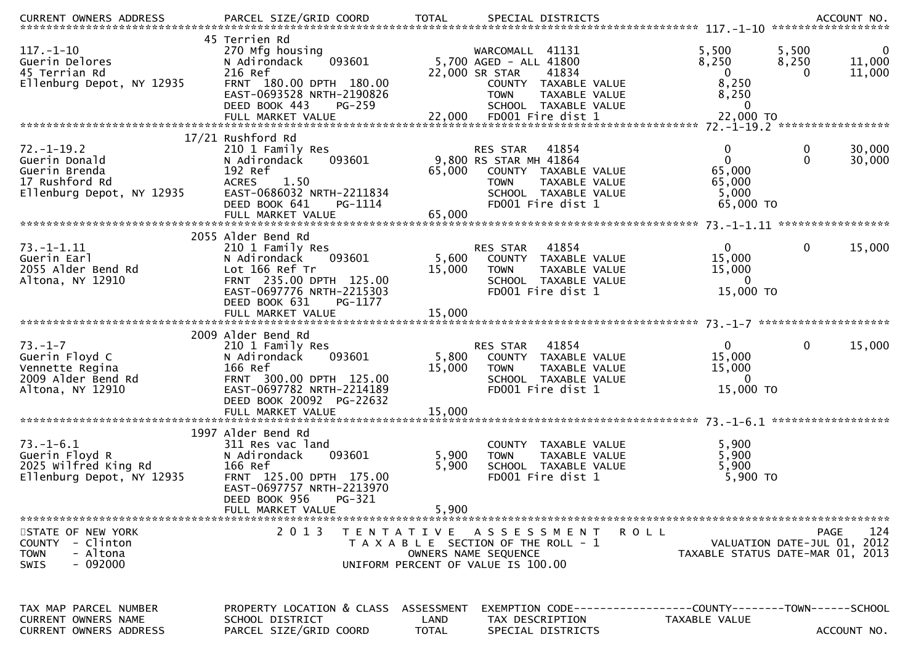| <b>CURRENT OWNERS ADDRESS</b>                                                                          | PARCEL SIZE/GRID COORD                                                                                                                                                               | <b>TOTAL</b>                       | SPECIAL DISTRICTS                                                                                                                                                                |                                                                          | ACCOUNT NO.                                                                    |
|--------------------------------------------------------------------------------------------------------|--------------------------------------------------------------------------------------------------------------------------------------------------------------------------------------|------------------------------------|----------------------------------------------------------------------------------------------------------------------------------------------------------------------------------|--------------------------------------------------------------------------|--------------------------------------------------------------------------------|
| $117. - 1 - 10$<br>Guerin Delores<br>45 Terrian Rd<br>Ellenburg Depot, NY 12935                        | 45 Terrien Rd<br>270 Mfg housing<br>093601<br>N Adirondack<br>216 Ref<br>FRNT 180.00 DPTH 180.00<br>EAST-0693528 NRTH-2190826<br>DEED BOOK 443<br><b>PG-259</b><br>FULL MARKET VALUE |                                    | WARCOMALL 41131<br>5,700 AGED - ALL 41800<br>22,000 SR STAR<br>41834<br>COUNTY TAXABLE VALUE<br>TAXABLE VALUE<br><b>TOWN</b><br>SCHOOL TAXABLE VALUE<br>22,000 FD001 Fire dist 1 | 5,500<br>8,250<br>$\mathbf 0$<br>8,250<br>8,250<br>$\bf{0}$<br>22,000 TO | 5,500<br>0<br>11,000<br>8,250<br>11,000<br>$\Omega$                            |
|                                                                                                        | 17/21 Rushford Rd                                                                                                                                                                    |                                    |                                                                                                                                                                                  |                                                                          |                                                                                |
| $72. - 1 - 19.2$<br>Guerin Donald<br>Guerin Brenda<br>17 Rushford Rd<br>Ellenburg Depot, NY 12935      | 210 1 Family Res<br>093601<br>N Adirondack<br>192 Ref<br><b>ACRES</b><br>1.50<br>EAST-0686032 NRTH-2211834<br>DEED BOOK 641<br>PG-1114<br>FULL MARKET VALUE                          | 65,000<br>65,000                   | RES STAR<br>41854<br>9,800 RS STAR MH 41864<br>COUNTY TAXABLE VALUE<br>TAXABLE VALUE<br><b>TOWN</b><br>SCHOOL TAXABLE VALUE<br>FD001 Fire dist 1                                 | 0<br>$\overline{0}$<br>65,000<br>65,000<br>5,000<br>65,000 TO            | 30,000<br>0<br>$\Omega$<br>30,000                                              |
|                                                                                                        |                                                                                                                                                                                      |                                    |                                                                                                                                                                                  |                                                                          |                                                                                |
| $73. - 1 - 1.11$<br>Guerin Earl<br>2055 Alder Bend Rd<br>Altona, NY 12910                              | 2055 Alder Bend Rd<br>210 1 Family Res<br>093601<br>N Adirondack<br>Lot 166 Ref Tr<br>FRNT 235.00 DPTH 125.00<br>EAST-0697776 NRTH-2215303<br>DEED BOOK 631<br>PG-1177               | 5,600<br>15,000                    | RES STAR<br>41854<br>COUNTY TAXABLE VALUE<br><b>TOWN</b><br>TAXABLE VALUE<br>SCHOOL TAXABLE VALUE<br>FD001 Fire dist 1                                                           | $\mathbf 0$<br>15,000<br>15,000<br>$\overline{0}$<br>15,000 TO           | 15,000<br>0                                                                    |
|                                                                                                        |                                                                                                                                                                                      |                                    |                                                                                                                                                                                  |                                                                          |                                                                                |
| $73. - 1 - 7$<br>Guerin Floyd C<br>Vennette Regina<br>2009 Alder Bend Rd<br>Altona, NY 12910           | 2009 Alder Bend Rd<br>210 1 Family Res<br>093601<br>N Adirondack<br>166 Ref<br>FRNT 300.00 DPTH 125.00<br>EAST-0697782 NRTH-2214189<br>DEED BOOK 20092 PG-22632<br>FULL MARKET VALUE | 5,800<br>15,000<br>15,000          | 41854<br>RES STAR<br>COUNTY TAXABLE VALUE<br>TAXABLE VALUE<br><b>TOWN</b><br>SCHOOL TAXABLE VALUE<br>FD001 Fire dist 1                                                           | $\mathbf{0}$<br>15,000<br>15,000<br>0<br>15,000 TO                       | $\mathbf{0}$<br>15,000                                                         |
|                                                                                                        | 1997 Alder Bend Rd                                                                                                                                                                   |                                    |                                                                                                                                                                                  |                                                                          |                                                                                |
| $73. - 1 - 6.1$<br>Guerin Floyd R<br>2025 Wilfred King Rd<br>Ellenburg Depot, NY 12935                 | 311 Res vac land<br>093601<br>N Adirondack<br>166 Ref<br>FRNT 125.00 DPTH 175.00<br>EAST-0697757 NRTH-2213970<br>DEED BOOK 956<br>PG-321                                             | 5,900<br>5,900                     | COUNTY TAXABLE VALUE<br>TAXABLE VALUE<br><b>TOWN</b><br>SCHOOL TAXABLE VALUE<br>FD001 Fire dist 1                                                                                | 5,900<br>5,900<br>5,900<br>5,900 TO                                      |                                                                                |
|                                                                                                        | FULL MARKET VALUE                                                                                                                                                                    | 5,900                              |                                                                                                                                                                                  |                                                                          |                                                                                |
| STATE OF NEW YORK<br>- Clinton<br><b>COUNTY</b><br>- Altona<br><b>TOWN</b><br>$-092000$<br><b>SWIS</b> | 2 0 1 3                                                                                                                                                                              |                                    | TENTATIVE ASSESSMENT<br>T A X A B L E SECTION OF THE ROLL - 1<br>OWNERS NAME SEQUENCE<br>UNIFORM PERCENT OF VALUE IS 100.00                                                      | ROLL                                                                     | 124<br>PAGE<br>VALUATION DATE-JUL 01, 2012<br>TAXABLE STATUS DATE-MAR 01, 2013 |
| TAX MAP PARCEL NUMBER<br><b>CURRENT OWNERS NAME</b><br>CURRENT OWNERS ADDRESS                          | PROPERTY LOCATION & CLASS<br>SCHOOL DISTRICT<br>PARCEL SIZE/GRID COORD                                                                                                               | ASSESSMENT<br>LAND<br><b>TOTAL</b> | EXEMPTION CODE-----------------COUNTY-------TOWN------SCHOOL<br>TAX DESCRIPTION<br>SPECIAL DISTRICTS                                                                             | TAXABLE VALUE                                                            | ACCOUNT NO.                                                                    |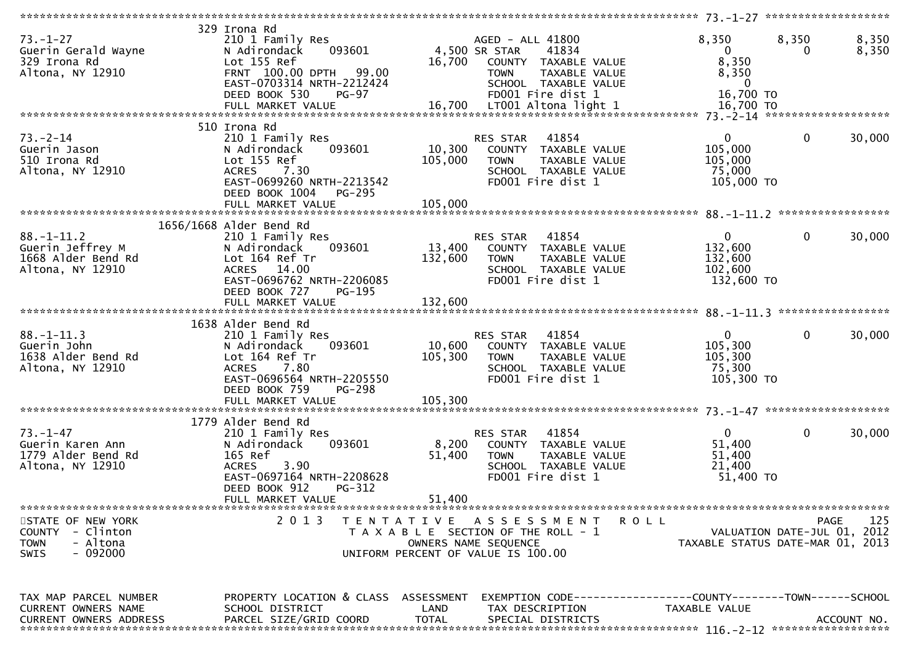|                                                                                                        |                                                                                                                                                                           |                      |                                                                                                                                                 |                                                                               | 73. -1-27 ******************** |                    |
|--------------------------------------------------------------------------------------------------------|---------------------------------------------------------------------------------------------------------------------------------------------------------------------------|----------------------|-------------------------------------------------------------------------------------------------------------------------------------------------|-------------------------------------------------------------------------------|--------------------------------|--------------------|
| $73. - 1 - 27$<br>Guerin Gerald Wayne<br>329 Irona Rd<br>Altona, NY 12910                              | 329 Irona Rd<br>210 1 Family Res<br>093601<br>N Adirondack<br>Lot 155 Ref<br>FRNT 100.00 DPTH 99.00<br>EAST-0703314 NRTH-2212424<br>DEED BOOK 530<br>$PG-97$              | 16,700               | AGED - ALL 41800<br>4,500 SR STAR<br>41834<br>COUNTY TAXABLE VALUE<br><b>TOWN</b><br>TAXABLE VALUE<br>SCHOOL TAXABLE VALUE<br>FD001 Fire dist 1 | 8,350<br>$\bf{0}$<br>8,350<br>8,350<br>$\mathbf{0}$<br>16,700 TO              | 8,350<br>0                     | 8,350<br>8,350     |
|                                                                                                        |                                                                                                                                                                           |                      |                                                                                                                                                 |                                                                               |                                |                    |
| $73. - 2 - 14$<br>Guerin Jason<br>510 Irona Rd<br>Altona, NY 12910                                     | 510 Irona Rd<br>210 1 Family Res<br>N Adirondack<br>093601<br>Lot 155 Ref<br><b>ACRES</b><br>7.30<br>EAST-0699260 NRTH-2213542<br>DEED BOOK 1004<br>PG-295                | 10,300<br>105,000    | 41854<br>RES STAR<br>COUNTY TAXABLE VALUE<br><b>TOWN</b><br>TAXABLE VALUE<br>SCHOOL TAXABLE VALUE<br>FD001 Fire dist 1                          | $\overline{0}$<br>105,000<br>105,000<br>75,000<br>105,000 TO                  | $\mathbf 0$                    | 30,000             |
|                                                                                                        | 1656/1668 Alder Bend Rd                                                                                                                                                   |                      |                                                                                                                                                 |                                                                               |                                |                    |
| $88. - 1 - 11.2$<br>Guerin Jeffrey M<br>1668 Alder Bend Rd<br>Altona, NY 12910                         | 210 1 Family Res<br>093601<br>N Adirondack<br>Lot 164 Ref Tr<br>ACRES 14.00<br>EAST-0696762 NRTH-2206085<br>DEED BOOK 727<br>PG-195                                       | 13,400<br>132,600    | 41854<br>RES STAR<br>COUNTY TAXABLE VALUE<br><b>TOWN</b><br>TAXABLE VALUE<br>SCHOOL TAXABLE VALUE<br>FD001 Fire dist 1                          | $\mathbf 0$<br>132,600<br>132,600<br>102,600<br>132,600 TO                    | 0                              | 30,000             |
|                                                                                                        |                                                                                                                                                                           |                      |                                                                                                                                                 |                                                                               |                                |                    |
|                                                                                                        |                                                                                                                                                                           |                      |                                                                                                                                                 |                                                                               |                                |                    |
| $88. - 1 - 11.3$<br>Guerin John<br>1638 Alder Bend Rd<br>Altona, NY 12910                              | 1638 Alder Bend Rd<br>210 1 Family Res<br>N Adirondack<br>093601<br>Lot 164 Ref Tr<br>7.80<br><b>ACRES</b><br>EAST-0696564 NRTH-2205550<br>DEED BOOK 759<br><b>PG-298</b> | 10,600<br>105,300    | 41854<br>RES STAR<br>COUNTY TAXABLE VALUE<br><b>TOWN</b><br>TAXABLE VALUE<br>SCHOOL TAXABLE VALUE<br>FD001 Fire dist 1                          | $\mathbf 0$<br>105,300<br>105,300<br>75,300<br>105,300 TO                     | $\mathbf 0$                    | 30,000             |
|                                                                                                        | FULL MARKET VALUE                                                                                                                                                         | 105,300              |                                                                                                                                                 |                                                                               |                                |                    |
|                                                                                                        |                                                                                                                                                                           |                      |                                                                                                                                                 |                                                                               |                                |                    |
| $73. - 1 - 47$<br>Guerin Karen Ann<br>1779 Alder Bend Rd<br>Altona, NY 12910                           | 1779 Alder Bend Rd<br>210 1 Family Res<br>093601<br>N Adirondack<br>165 Ref<br><b>ACRES</b><br>3.90<br>EAST-0697164 NRTH-2208628<br>DEED BOOK 912<br>PG-312               | 8,200<br>51,400      | RES STAR<br>41854<br>COUNTY TAXABLE VALUE<br><b>TOWN</b><br>TAXABLE VALUE<br>SCHOOL TAXABLE VALUE<br>FD001 Fire dist 1                          | $\mathbf 0$<br>51,400<br>51,400<br>21,400<br>51,400 TO                        | $\mathbf{0}$                   | 30,000             |
|                                                                                                        | FULL MARKET VALUE                                                                                                                                                         | 51,400               |                                                                                                                                                 |                                                                               |                                |                    |
| STATE OF NEW YORK<br>- Clinton<br><b>COUNTY</b><br><b>TOWN</b><br>- Altona<br>$-092000$<br><b>SWIS</b> | 2 0 1 3                                                                                                                                                                   | T E N T A T I V E    | A S S E S S M E N T<br>T A X A B L E SECTION OF THE ROLL - 1<br>OWNERS NAME SEQUENCE<br>UNIFORM PERCENT OF VALUE IS 100.00                      | R O L L<br>TAXABLE STATUS DATE-MAR 01, 2013                                   | VALUATION DATE-JUL 01, 2012    | 125<br><b>PAGE</b> |
| TAX MAP PARCEL NUMBER<br>CURRENT OWNERS NAME<br><b>CURRENT OWNERS ADDRESS</b>                          | PROPERTY LOCATION & CLASS ASSESSMENT<br>SCHOOL DISTRICT<br>PARCEL SIZE/GRID COORD                                                                                         | LAND<br><b>TOTAL</b> | TAX DESCRIPTION<br>SPECIAL DISTRICTS                                                                                                            | EXEMPTION CODE-----------------COUNTY-------TOWN------SCHOOL<br>TAXABLE VALUE |                                | ACCOUNT NO.        |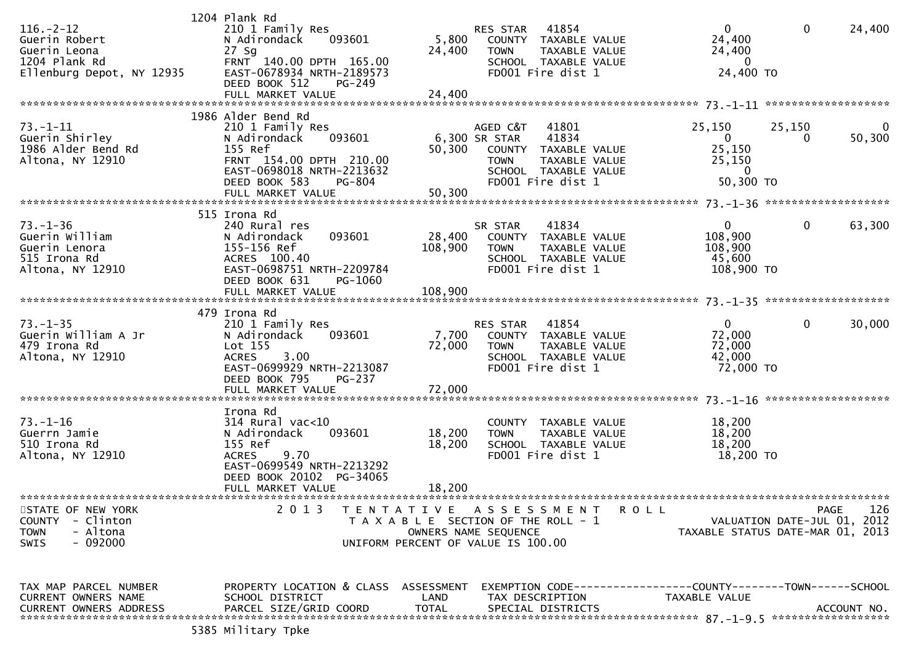| $116. - 2 - 12$<br>Guerin Robert<br>Guerin Leona<br>1204 Plank Rd<br>Ellenburg Depot, NY 12935 | 1204 Plank Rd<br>210 1 Family Res<br>N Adirondack<br>093601<br>$27$ Sg<br>FRNT 140.00 DPTH 165.00<br>EAST-0678934 NRTH-2189573<br>DEED BOOK 512<br>PG-249                           | 24,400                     | RES STAR 41854<br>5,800 COUNTY TAXABLE VALUE<br><b>TOWN</b><br>TAXABLE VALUE<br>SCHOOL TAXABLE VALUE<br>FD001 Fire dist 1                               | $\mathbf{0}$<br>24,400<br>24,400<br>$\Omega$<br>24,400 TO               | $\bf{0}$    | 24,400      |
|------------------------------------------------------------------------------------------------|-------------------------------------------------------------------------------------------------------------------------------------------------------------------------------------|----------------------------|---------------------------------------------------------------------------------------------------------------------------------------------------------|-------------------------------------------------------------------------|-------------|-------------|
|                                                                                                |                                                                                                                                                                                     |                            |                                                                                                                                                         |                                                                         |             |             |
| $73. - 1 - 11$<br>Guerin Shirley<br>1986 Alder Bend Rd<br>Altona, NY 12910                     | 1986 Alder Bend Rd<br>210 1 Family Res<br>N Adirondack<br>093601<br>155 Ref<br>FRNT 154.00 DPTH 210.00<br>EAST-0698018 NRTH-2213632<br>DEED BOOK 583<br>PG-804<br>FULL MARKET VALUE | 50,300                     | AGED C&T<br>41801<br>6,300 SR STAR<br>41834<br>50,300 COUNTY TAXABLE VALUE<br>TAXABLE VALUE<br><b>TOWN</b><br>SCHOOL TAXABLE VALUE<br>FD001 Fire dist 1 | 25,150<br>$\mathbf{0}$<br>25,150<br>25,150<br>$\mathbf{0}$<br>50,300 TO | 25,150<br>0 | 50,300      |
|                                                                                                |                                                                                                                                                                                     |                            |                                                                                                                                                         |                                                                         |             |             |
| $73. - 1 - 36$<br>Guerin William<br>Guerin Lenora<br>515 Irona Rd<br>Altona, NY 12910          | 515 Irona Rd<br>240 Rural res<br>093601<br>N Adirondack<br>155-156 Ref<br>ACRES 100.40<br>EAST-0698751 NRTH-2209784<br>PG-1060<br>DEED BOOK 631                                     | 28,400<br>108,900          | 41834<br>SR STAR<br>COUNTY TAXABLE VALUE<br><b>TOWN</b><br>TAXABLE VALUE<br>SCHOOL TAXABLE VALUE<br>FD001 Fire dist 1                                   | $\overline{0}$<br>108,900<br>108,900<br>45,600<br>108,900 TO            | $\mathbf 0$ | 63,300      |
|                                                                                                |                                                                                                                                                                                     |                            |                                                                                                                                                         |                                                                         |             |             |
|                                                                                                |                                                                                                                                                                                     |                            |                                                                                                                                                         |                                                                         |             |             |
| $73. - 1 - 35$<br>Guerin William A Jr<br>479 Irona Rd<br>Altona, NY 12910                      | 479 Irona Rd<br>210 1 Family Res<br>093601<br>N Adirondack<br>Lot 155<br>3.00<br><b>ACRES</b><br>EAST-0699929 NRTH-2213087<br>DEED BOOK 795<br>PG-237<br>FULL MARKET VALUE          | 72,000<br>72,000           | RES STAR 41854<br>7,700 COUNTY TAXABLE VALUE<br>TAXABLE VALUE<br><b>TOWN</b><br>SCHOOL TAXABLE VALUE<br>FD001 Fire dist 1                               | $\mathbf{0}$<br>72,000<br>72,000<br>42,000<br>72,000 TO                 | 0           | 30,000      |
|                                                                                                |                                                                                                                                                                                     |                            |                                                                                                                                                         |                                                                         |             |             |
| $73. - 1 - 16$<br>Guerrn Jamie<br>510 Irona Rd<br>Altona, NY 12910                             | Irona Rd<br>314 Rural vac<10<br>N Adirondack<br>093601<br>155 Ref<br>9.70<br><b>ACRES</b><br>EAST-0699549 NRTH-2213292<br>DEED BOOK 20102 PG-34065<br>FULL MARKET VALUE             | 18,200<br>18,200<br>18,200 | COUNTY TAXABLE VALUE<br>TAXABLE VALUE<br><b>TOWN</b><br>SCHOOL TAXABLE VALUE<br>FD001 Fire dist 1                                                       | 18,200<br>18,200<br>18,200<br>18,200 TO                                 |             |             |
| STATE OF NEW YORK                                                                              | 2 0 1 3                                                                                                                                                                             |                            | TENTATIVE ASSESSMENT<br>ROLL                                                                                                                            |                                                                         |             | 126<br>PAGE |
| <b>COUNTY</b><br>- Clinton<br>- Altona<br><b>TOWN</b><br>- 092000<br>SWIS                      |                                                                                                                                                                                     |                            | T A X A B L E SECTION OF THE ROLL - 1<br>OWNERS NAME SEQUENCE<br>UNIFORM PERCENT OF VALUE IS 100.00                                                     | VALUATION DATE-JUL 01,<br>TAXABLE STATUS DATE-MAR 01, 2013              |             | 2012        |
| TAX MAP PARCEL NUMBER<br>CURRENT OWNERS NAME<br><b>CURRENT OWNERS ADDRESS</b>                  | PROPERTY LOCATION & CLASS ASSESSMENT<br>SCHOOL DISTRICT<br>PARCEL SIZE/GRID COORD<br>5385 Military Tpke                                                                             | LAND<br><b>TOTAL</b>       | EXEMPTION CODE-----------------COUNTY-------TOWN------SCHOOL<br>TAX DESCRIPTION<br>SPECIAL DISTRICTS                                                    | TAXABLE VALUE                                                           |             | ACCOUNT NO. |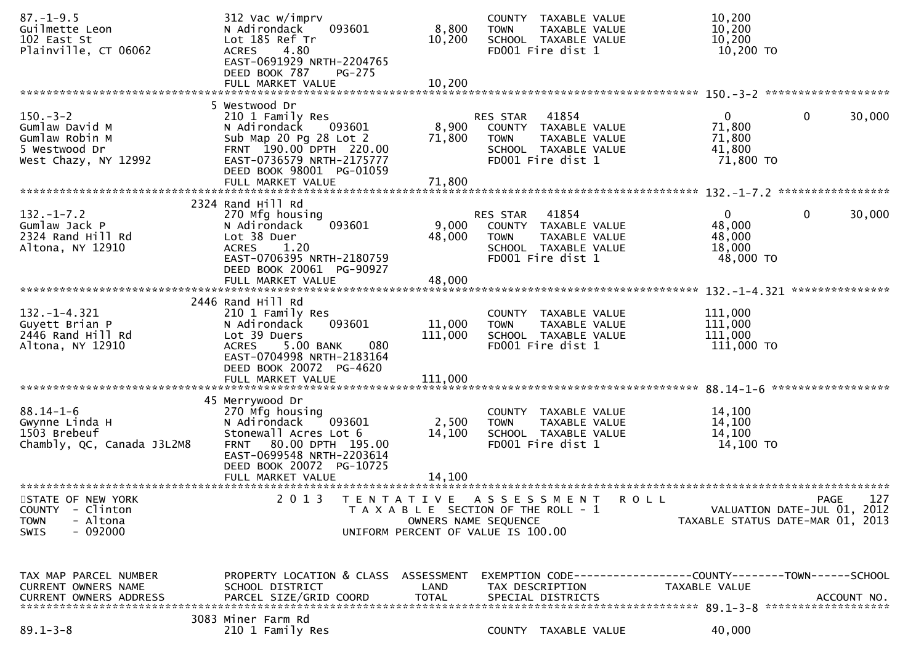| $87. - 1 - 9.5$<br>Guilmette Leon<br>102 East St<br>Plainville, CT 06062                                                                  | 312 Vac w/imprv<br>093601<br>N Adirondack<br>Lot 185 Ref Tr<br>4.80<br><b>ACRES</b><br>EAST-0691929 NRTH-2204765<br>DEED BOOK 787<br><b>PG-275</b>                                               | 8,800<br>10,200              | COUNTY TAXABLE VALUE<br>TAXABLE VALUE<br><b>TOWN</b><br>SCHOOL TAXABLE VALUE<br>FD001 Fire dist 1                             | 10,200<br>10,200<br>10,200<br>10,200 TO                 |                                                   |
|-------------------------------------------------------------------------------------------------------------------------------------------|--------------------------------------------------------------------------------------------------------------------------------------------------------------------------------------------------|------------------------------|-------------------------------------------------------------------------------------------------------------------------------|---------------------------------------------------------|---------------------------------------------------|
|                                                                                                                                           | FULL MARKET VALUE                                                                                                                                                                                | 10,200                       |                                                                                                                               |                                                         |                                                   |
| $150. - 3 - 2$<br>Gumlaw David M<br>Gumlaw Robin M<br>5 Westwood Dr<br>West Chazy, NY 12992                                               | 5 Westwood Dr<br>210 1 Family Res<br>N Adirondack<br>093601<br>Sub Map 20 Pg 28 Lot 2<br>FRNT 190.00 DPTH 220.00<br>EAST-0736579 NRTH-2175777<br>DEED BOOK 98001 PG-01059<br>FULL MARKET VALUE   | 8,900<br>71,800<br>71,800    | 41854<br><b>RES STAR</b><br>COUNTY TAXABLE VALUE<br><b>TOWN</b><br>TAXABLE VALUE<br>SCHOOL TAXABLE VALUE<br>FD001 Fire dist 1 | 0<br>71,800<br>71,800<br>41,800<br>71,800 TO            | 30,000<br>0                                       |
|                                                                                                                                           | 2324 Rand Hill Rd                                                                                                                                                                                |                              |                                                                                                                               |                                                         |                                                   |
| $132. - 1 - 7.2$<br>Gumlaw Jack P<br>2324 Rand Hill Rd<br>Altona, NY 12910                                                                | 270 Mfg housing<br>093601<br>N Adirondack<br>Lot 38 Duer<br>ACRES<br>1.20<br>EAST-0706395 NRTH-2180759<br>DEED BOOK 20061 PG-90927                                                               | 9,000<br>48,000              | RES STAR<br>41854<br>COUNTY TAXABLE VALUE<br>TAXABLE VALUE<br><b>TOWN</b><br>SCHOOL TAXABLE VALUE<br>FD001 Fire dist 1        | $\mathbf{0}$<br>48,000<br>48,000<br>18,000<br>48,000 TO | 30,000<br>0                                       |
|                                                                                                                                           | FULL MARKET VALUE                                                                                                                                                                                | 48,000                       |                                                                                                                               |                                                         | ***************                                   |
| $132. - 1 - 4.321$<br>Guyett Brian P<br>2446 Rand Hill Rd<br>Altona, NY 12910                                                             | 2446 Rand Hill Rd<br>210 1 Family Res<br>093601<br>N Adirondack<br>Lot 39 Duers<br>5.00 BANK<br><b>ACRES</b><br>080<br>EAST-0704998 NRTH-2183164<br>DEED BOOK 20072 PG-4620<br>FULL MARKET VALUE | 11,000<br>111,000<br>111,000 | COUNTY TAXABLE VALUE<br>TAXABLE VALUE<br><b>TOWN</b><br>SCHOOL TAXABLE VALUE<br>FD001 Fire dist 1                             | 111,000<br>111,000<br>111,000<br>111,000 TO             |                                                   |
|                                                                                                                                           |                                                                                                                                                                                                  |                              |                                                                                                                               |                                                         |                                                   |
| $88.14 - 1 - 6$<br>Gwynne Linda H<br>1503 Brebeuf<br>Chambly, QC, Canada J3L2M8                                                           | 45 Merrywood Dr<br>270 Mfg housing<br>093601<br>N Adirondack<br>Stonewall Acres Lot 6<br>FRNT 80.00 DPTH 195.00<br>EAST-0699548 NRTH-2203614<br>DEED BOOK 20072 PG-10725                         | 2,500<br>14,100              | COUNTY TAXABLE VALUE<br><b>TOWN</b><br>TAXABLE VALUE<br>SCHOOL TAXABLE VALUE<br>FD001 Fire dist 1                             | 14,100<br>14,100<br>14,100<br>14,100 TO                 |                                                   |
|                                                                                                                                           | FULL MARKET VALUE                                                                                                                                                                                | 14,100                       |                                                                                                                               |                                                         |                                                   |
| *******************************<br>STATE OF NEW YORK<br><b>COUNTY</b><br>- Clinton<br>- Altona<br><b>TOWN</b><br>$-092000$<br><b>SWIS</b> | **************************<br>2 0 1 3<br>T E N T A T I V E                                                                                                                                       | OWNERS NAME SEQUENCE         | A S S E S S M E N T<br>T A X A B L E SECTION OF THE ROLL - 1<br>UNIFORM PERCENT OF VALUE IS 100.00                            | R O L L<br>TAXABLE STATUS DATE-MAR 01, 2013             | 127<br><b>PAGE</b><br>VALUATION DATE-JUL 01, 2012 |
| TAX MAP PARCEL NUMBER<br>CURRENT OWNERS NAME<br>CURRENT OWNERS ADDRESS                                                                    | PROPERTY LOCATION & CLASS ASSESSMENT<br>SCHOOL DISTRICT<br>PARCEL SIZE/GRID COORD                                                                                                                | LAND<br><b>TOTAL</b>         | EXEMPTION CODE-----------------COUNTY-------TOWN------SCHOOL<br>TAX DESCRIPTION<br>SPECIAL DISTRICTS                          | TAXABLE VALUE                                           | ACCOUNT NO.                                       |
| $89.1 - 3 - 8$                                                                                                                            | 3083 Miner Farm Rd<br>210 1 Family Res                                                                                                                                                           |                              | COUNTY TAXABLE VALUE                                                                                                          | 40,000                                                  |                                                   |
|                                                                                                                                           |                                                                                                                                                                                                  |                              |                                                                                                                               |                                                         |                                                   |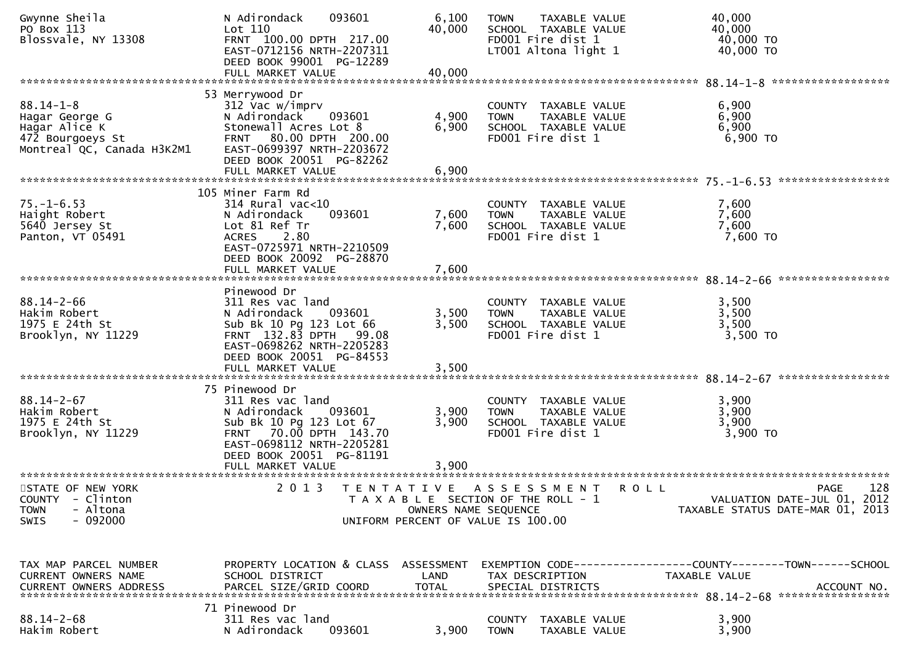| Gwynne Sheila<br>PO Box 113<br>Blossvale, NY 13308                                                   | 093601<br>N Adirondack<br>Lot 110<br>FRNT 100.00 DPTH 217.00<br>EAST-0712156 NRTH-2207311<br>DEED BOOK 99001 PG-12289<br>FULL MARKET VALUE                                                      | 6,100<br>40,000<br>40,000 | <b>TOWN</b><br>TAXABLE VALUE<br>SCHOOL TAXABLE VALUE<br>FD001 Fire dist 1<br>LT001 Altona light 1   |             | 40,000<br>40,000<br>40,000 TO<br>40,000 TO                                            |
|------------------------------------------------------------------------------------------------------|-------------------------------------------------------------------------------------------------------------------------------------------------------------------------------------------------|---------------------------|-----------------------------------------------------------------------------------------------------|-------------|---------------------------------------------------------------------------------------|
|                                                                                                      |                                                                                                                                                                                                 |                           |                                                                                                     |             |                                                                                       |
| $88.14 - 1 - 8$<br>Hagar George G<br>Hagar Alice K<br>472 Bourgoeys St<br>Montreal QC, Canada H3K2M1 | 53 Merrywood Dr<br>312 Vac w/imprv<br>N Adirondack<br>093601<br>Stonewall Acres Lot 8<br>FRNT 80.00 DPTH 200.00<br>EAST-0699397 NRTH-2203672<br>DEED BOOK 20051 PG-82262<br>FULL MARKET VALUE   | 4,900<br>6,900            | COUNTY TAXABLE VALUE<br><b>TOWN</b><br>TAXABLE VALUE<br>SCHOOL TAXABLE VALUE<br>FD001 Fire dist 1   |             | 6,900<br>6,900<br>6,900<br>$6,900$ TO                                                 |
|                                                                                                      |                                                                                                                                                                                                 | 6,900                     |                                                                                                     |             |                                                                                       |
|                                                                                                      | 105 Miner Farm Rd                                                                                                                                                                               |                           |                                                                                                     |             |                                                                                       |
| $75. - 1 - 6.53$<br>Haight Robert<br>5640 Jersey St<br>Panton, VT 05491                              | $314$ Rural vac<10<br>093601<br>N Adirondack<br>Lot 81 Ref Tr<br>2.80<br><b>ACRES</b><br>EAST-0725971 NRTH-2210509<br>DEED BOOK 20092 PG-28870                                                  | 7,600<br>7,600            | COUNTY TAXABLE VALUE<br>TAXABLE VALUE<br><b>TOWN</b><br>SCHOOL TAXABLE VALUE<br>FD001 Fire dist 1   |             | 7,600<br>7,600<br>7,600<br>7,600 TO                                                   |
|                                                                                                      |                                                                                                                                                                                                 |                           |                                                                                                     |             |                                                                                       |
| $88.14 - 2 - 66$<br>Hakim Robert<br>1975 E 24th St<br>Brooklyn, NY 11229                             | Pinewood Dr<br>311 Res vac land<br>N Adirondack<br>093601<br>Sub Bk 10 Pg 123 Lot 66<br>FRNT 132.83 DPTH 99.08<br>EAST-0698262 NRTH-2205283<br>DEED BOOK 20051 PG-84553<br>FULL MARKET VALUE    | 3,500<br>3,500<br>3,500   | COUNTY TAXABLE VALUE<br><b>TOWN</b><br>TAXABLE VALUE<br>SCHOOL TAXABLE VALUE<br>FD001 Fire dist 1   |             | 3,500<br>3,500<br>3,500<br>3,500 TO                                                   |
|                                                                                                      |                                                                                                                                                                                                 |                           |                                                                                                     |             |                                                                                       |
| $88.14 - 2 - 67$<br>Hakim Robert<br>1975 E 24th St<br>Brooklyn, NY 11229                             | 75 Pinewood Dr<br>311 Res vac land<br>N Adirondack<br>093601<br>Sub Bk 10 Pg 123 Lot 67<br>FRNT 70.00 DPTH 143.70<br>EAST-0698112 NRTH-2205281<br>DEED BOOK 20051 PG-81191<br>FULL MARKET VALUE | 3,900<br>3,900<br>3,900   | COUNTY TAXABLE VALUE<br>TAXABLE VALUE<br><b>TOWN</b><br>SCHOOL TAXABLE VALUE<br>FD001 Fire dist 1   |             | 3,900<br>3,900<br>3,900<br>3,900 TO                                                   |
| STATE OF NEW YORK<br>COUNTY - Clinton<br>- Altona<br><b>TOWN</b><br>$-092000$<br>SWIS                | 2 0 1 3                                                                                                                                                                                         | OWNERS NAME SEQUENCE      | TENTATIVE ASSESSMENT<br>T A X A B L E SECTION OF THE ROLL - 1<br>UNIFORM PERCENT OF VALUE IS 100.00 | <b>ROLL</b> | 128<br><b>PAGE</b><br>VALUATION DATE-JUL 01, 2012<br>TAXABLE STATUS DATE-MAR 01, 2013 |
| TAX MAP PARCEL NUMBER<br>CURRENT OWNERS NAME                                                         | PROPERTY LOCATION & CLASS ASSESSMENT<br>SCHOOL DISTRICT                                                                                                                                         | LAND                      | TAX DESCRIPTION                                                                                     |             | EXEMPTION CODE-----------------COUNTY-------TOWN------SCHOOL<br>TAXABLE VALUE         |
| $88.14 - 2 - 68$<br>Hakim Robert                                                                     | 71 Pinewood Dr<br>311 Res vac land<br>093601<br>N Adirondack                                                                                                                                    | 3,900                     | COUNTY<br>TAXABLE VALUE<br><b>TOWN</b><br>TAXABLE VALUE                                             |             | 3,900<br>3,900                                                                        |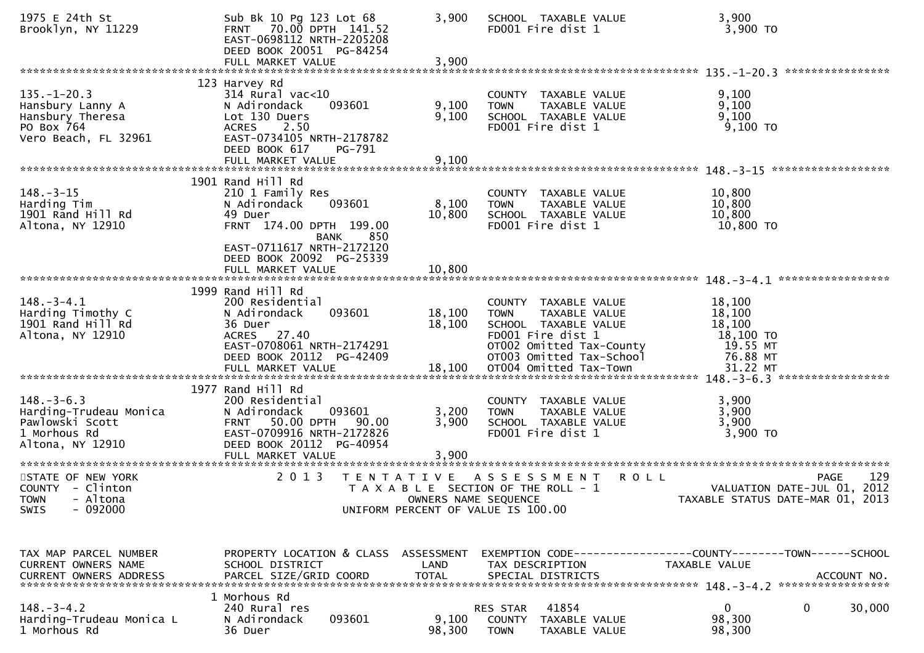| 1975 E 24th St<br>Brooklyn, NY 11229                                                              | Sub Bk 10 Pg 123 Lot 68<br>FRNT 70.00 DPTH 141.52<br>EAST-0698112 NRTH-2205208<br>DEED BOOK 20051 PG-84254<br>FULL MARKET VALUE                                                                    | 3,900<br>3,900                            | SCHOOL TAXABLE VALUE<br>FD001 Fire dist 1                                                                                                                 | 3,900<br>3,900 TO                                                                             |
|---------------------------------------------------------------------------------------------------|----------------------------------------------------------------------------------------------------------------------------------------------------------------------------------------------------|-------------------------------------------|-----------------------------------------------------------------------------------------------------------------------------------------------------------|-----------------------------------------------------------------------------------------------|
| $135. - 1 - 20.3$<br>Hansbury Lanny A<br>Hansbury Theresa<br>PO Box 764<br>Vero Beach, FL 32961   | 123 Harvey Rd<br>$314$ Rural vac<10<br>N Adirondack<br>093601<br>Lot 130 Duers<br><b>ACRES</b><br>2.50<br>EAST-0734105 NRTH-2178782<br>DEED BOOK 617<br>PG-791                                     | 9,100<br>9,100                            | COUNTY TAXABLE VALUE<br>TAXABLE VALUE<br><b>TOWN</b><br>SCHOOL TAXABLE VALUE<br>FD001 Fire dist 1                                                         | 9,100<br>9,100<br>9,100<br>$9,100$ TO                                                         |
|                                                                                                   |                                                                                                                                                                                                    |                                           |                                                                                                                                                           |                                                                                               |
| $148. - 3 - 15$<br>Harding Tim<br>1901 Rand Hill Rd<br>Altona, NY 12910                           | 1901 Rand Hill Rd<br>210 1 Family Res<br>093601<br>N Adirondack<br>49 Duer<br>FRNT 174.00 DPTH 199.00<br>850<br>BANK<br>EAST-0711617 NRTH-2172120<br>DEED BOOK 20092 PG-25339<br>FULL MARKET VALUE | 8,100<br>10,800<br>10,800                 | COUNTY TAXABLE VALUE<br>TAXABLE VALUE<br><b>TOWN</b><br>SCHOOL TAXABLE VALUE<br>FD001 Fire dist 1                                                         | 10,800<br>10,800<br>10,800<br>10,800 TO                                                       |
| $148. - 3 - 4.1$<br>Harding Timothy C<br>1901 Rand Hill Rd<br>Altona, NY 12910                    | 1999 Rand Hill Rd<br>200 Residential<br>093601<br>N Adirondack<br>36 Duer<br>ACRES 27.40<br>EAST-0708061 NRTH-2174291<br>DEED BOOK 20112 PG-42409                                                  | 18,100<br>18,100                          | COUNTY TAXABLE VALUE<br>TAXABLE VALUE<br><b>TOWN</b><br>SCHOOL TAXABLE VALUE<br>FD001 Fire dist 1<br>OT002 Omitted Tax-County<br>OT003 Omitted Tax-School | 18,100<br>18,100<br>18,100<br>18,100 TO<br>19.55 MT<br>76.88 MT                               |
| $148. - 3 - 6.3$<br>Harding-Trudeau Monica<br>Pawlowski Scott<br>1 Morhous Rd<br>Altona, NY 12910 | 1977 Rand Hill Rd<br>200 Residential<br>093601<br>N Adirondack<br>FRNT 50.00 DPTH 90.00<br>EAST-0709916 NRTH-2172826<br>DEED BOOK 20112 PG-40954<br>FULL MARKET VALUE                              | 3,200<br>3,900<br>3,900                   | COUNTY TAXABLE VALUE<br>TAXABLE VALUE<br><b>TOWN</b><br>SCHOOL TAXABLE VALUE<br>FD001 Fire dist 1                                                         | 3,900<br>3,900<br>3,900<br>3,900 TO                                                           |
| STATE OF NEW YORK<br>COUNTY - Clinton<br>TOWN - Altona<br>$-092000$<br>SWIS                       | 2 0 1 3                                                                                                                                                                                            | T E N T A T I V E<br>OWNERS NAME SEQUENCE | A S S E S S M E N T<br><b>ROLL</b><br>T A X A B L E SECTION OF THE ROLL - 1<br>UNIFORM PERCENT OF VALUE IS 100.00                                         | 129<br><b>PAGE</b><br>VALUATION DATE-JUL 01, 2012<br>TAXABLE STATUS DATE-MAR 01, 2013         |
| TAX MAP PARCEL NUMBER<br>CURRENT OWNERS NAME<br><b>CURRENT OWNERS ADDRESS</b>                     | PROPERTY LOCATION & CLASS ASSESSMENT<br>SCHOOL DISTRICT<br>PARCEL SIZE/GRID COORD                                                                                                                  | LAND<br><b>TOTAL</b>                      | TAX DESCRIPTION<br>SPECIAL DISTRICTS                                                                                                                      | EXEMPTION CODE-----------------COUNTY--------TOWN------SCHOOL<br>TAXABLE VALUE<br>ACCOUNT NO. |
| $148. - 3 - 4.2$<br>Harding-Trudeau Monica L<br>1 Morhous Rd                                      | 1 Morhous Rd<br>240 Rural res<br>093601<br>N Adirondack<br>36 Duer                                                                                                                                 | 9,100<br>98,300                           | 41854<br><b>RES STAR</b><br>COUNTY TAXABLE VALUE<br><b>TOWN</b><br>TAXABLE VALUE                                                                          | 0<br>0<br>30,000<br>98,300<br>98,300                                                          |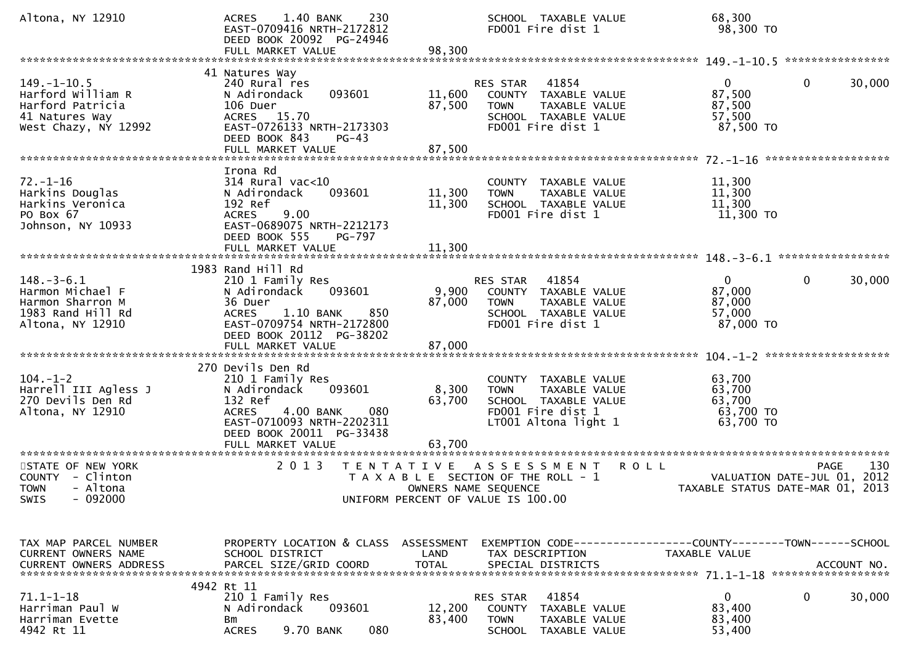| Altona, NY 12910                                                                                     | 1.40 BANK<br>230<br><b>ACRES</b><br>EAST-0709416 NRTH-2172812<br>DEED BOOK 20092 PG-24946                                                                                                    |                                           | SCHOOL TAXABLE VALUE<br>FD001 Fire dist 1                                                                                 | 68,300<br>98,300 TO                                       |                                                   |
|------------------------------------------------------------------------------------------------------|----------------------------------------------------------------------------------------------------------------------------------------------------------------------------------------------|-------------------------------------------|---------------------------------------------------------------------------------------------------------------------------|-----------------------------------------------------------|---------------------------------------------------|
| $149. - 1 - 10.5$<br>Harford William R<br>Harford Patricia<br>41 Natures Way<br>West Chazy, NY 12992 | 41 Natures Way<br>240 Rural res<br>093601<br>N Adirondack<br>106 Duer<br>ACRES 15.70<br>EAST-0726133 NRTH-2173303<br>DEED BOOK 843<br>$PG-43$                                                | 11,600<br>87,500                          | 41854<br>RES STAR<br>COUNTY TAXABLE VALUE<br>TAXABLE VALUE<br><b>TOWN</b><br>SCHOOL TAXABLE VALUE<br>FD001 Fire dist 1    | $\overline{0}$<br>87,500<br>87,500<br>57,500<br>87,500 TO | $\mathbf{0}$<br>30,000                            |
| $72. - 1 - 16$<br>Harkins Douglas<br>Harkins Veronica<br>PO Box 67<br>Johnson, NY 10933              | Irona Rd<br>$314$ Rural vac<10<br>093601<br>N Adirondack<br>192 Ref<br>9.00<br><b>ACRES</b><br>EAST-0689075 NRTH-2212173<br>DEED BOOK 555<br>PG-797<br>FULL MARKET VALUE                     | 11,300<br>11,300<br>11,300                | COUNTY TAXABLE VALUE<br>TAXABLE VALUE<br><b>TOWN</b><br>SCHOOL TAXABLE VALUE<br>FD001 Fire dist 1                         | 11,300<br>11,300<br>11,300<br>11,300 TO                   |                                                   |
| $148. - 3 - 6.1$<br>Harmon Michael F<br>Harmon Sharron M<br>1983 Rand Hill Rd<br>Altona, NY 12910    | 1983 Rand Hill Rd<br>210 1 Family Res<br>093601<br>N Adirondack<br>36 Duer<br>1.10 BANK<br>850<br><b>ACRES</b><br>EAST-0709754 NRTH-2172800<br>DEED BOOK 20112 PG-38202                      | 9,900<br>87,000                           | 41854<br>RES STAR<br>COUNTY TAXABLE VALUE<br><b>TOWN</b><br>TAXABLE VALUE<br>SCHOOL TAXABLE VALUE<br>FD001 Fire dist 1    | $\mathbf{0}$<br>87,000<br>87,000<br>57,000<br>87,000 TO   | $\mathbf{0}$<br>30,000                            |
| $104. - 1 - 2$<br>Harrell III Agless J<br>270 Devils Den Rd<br>Altona, NY 12910                      | 270 Devils Den Rd<br>210 1 Family Res<br>093601<br>N Adirondack<br>132 Ref<br>4.00 BANK<br>080<br><b>ACRES</b><br>EAST-0710093 NRTH-2202311<br>DEED BOOK 20011 PG-33438<br>FULL MARKET VALUE | 8,300<br>63,700<br>63,700                 | COUNTY TAXABLE VALUE<br><b>TOWN</b><br>TAXABLE VALUE<br>SCHOOL TAXABLE VALUE<br>FD001 Fire dist 1<br>LT001 Altona light 1 | 63,700<br>63,700<br>63,700<br>63,700 TO<br>63,700 TO      |                                                   |
| STATE OF NEW YORK<br>COUNTY - Clinton<br><b>TOWN</b><br>- Altona<br>SWIS<br>- 092000                 | 2 0 1 3                                                                                                                                                                                      | T E N T A T I V E<br>OWNERS NAME SEQUENCE | A S S E S S M E N T<br>T A X A B L E SECTION OF THE ROLL - 1<br>UNIFORM PERCENT OF VALUE IS 100.00                        | <b>ROLL</b><br>TAXABLE STATUS DATE-MAR 01, 2013           | 130<br><b>PAGE</b><br>VALUATION DATE-JUL 01, 2012 |
| TAX MAP PARCEL NUMBER<br>CURRENT OWNERS NAME<br><b>CURRENT OWNERS ADDRESS</b>                        | PROPERTY LOCATION & CLASS ASSESSMENT<br>SCHOOL DISTRICT<br>PARCEL SIZE/GRID COORD                                                                                                            | LAND<br><b>TOTAL</b>                      | EXEMPTION CODE-----------------COUNTY--------TOWN------SCHOOL<br>TAX DESCRIPTION<br>SPECIAL DISTRICTS                     | TAXABLE VALUE                                             | ACCOUNT NO.                                       |
| $71.1 - 1 - 18$<br>Harriman Paul W<br>Harriman Evette<br>4942 Rt 11                                  | 4942 Rt 11<br>210 1 Family Res<br>N Adirondack<br>093601<br>Bm<br>9.70 BANK<br>080<br><b>ACRES</b>                                                                                           | 12,200<br>83,400                          | 41854<br>RES STAR<br>COUNTY TAXABLE VALUE<br><b>TOWN</b><br>TAXABLE VALUE<br>SCHOOL TAXABLE VALUE                         | 0<br>83,400<br>83,400<br>53,400                           | 30,000<br>0                                       |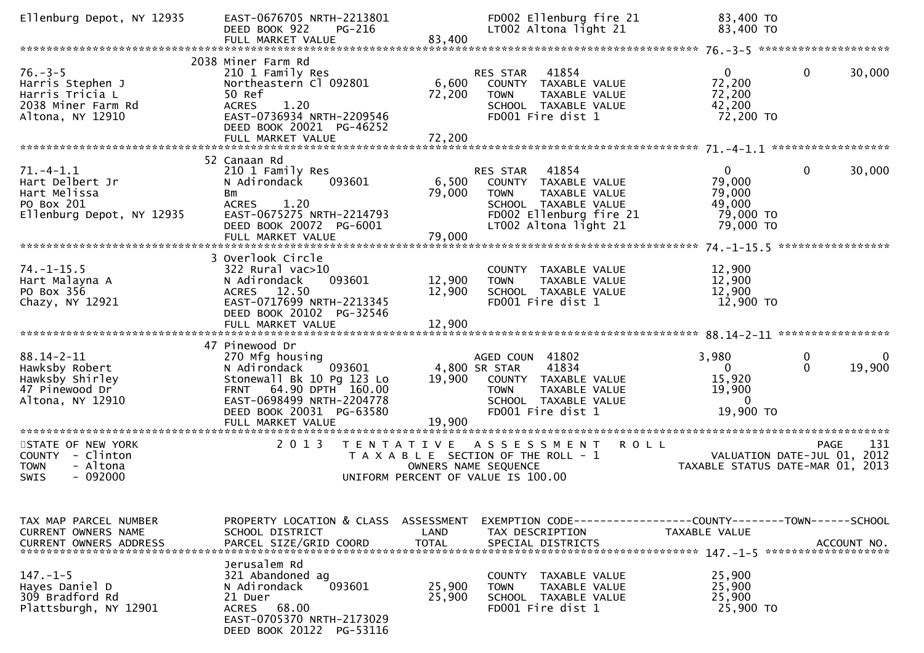| Ellenburg Depot, NY 12935                                                                      | EAST-0676705 NRTH-2213801<br>DEED BOOK 922<br><b>PG-216</b><br>FULL MARKET VALUE                                                                                                                 | 83,400                     | FD002 Ellenburg fire 21<br>LT002 Altona light 21                                                                                                      | 83,400 TO<br>83,400 TO                                                 |                                                   |
|------------------------------------------------------------------------------------------------|--------------------------------------------------------------------------------------------------------------------------------------------------------------------------------------------------|----------------------------|-------------------------------------------------------------------------------------------------------------------------------------------------------|------------------------------------------------------------------------|---------------------------------------------------|
|                                                                                                |                                                                                                                                                                                                  |                            |                                                                                                                                                       |                                                                        |                                                   |
| $76. - 3 - 5$<br>Harris Stephen J<br>Harris Tricia L<br>2038 Miner Farm Rd<br>Altona, NY 12910 | 2038 Miner Farm Rd<br>210 1 Family Res<br>Northeastern Cl 092801<br>50 Ref<br>1.20<br><b>ACRES</b><br>EAST-0736934 NRTH-2209546<br>DEED BOOK 20021 PG-46252<br>FULL MARKET VALUE                 | 6,600<br>72,200<br>72,200  | 41854<br><b>RES STAR</b><br>COUNTY TAXABLE VALUE<br>TAXABLE VALUE<br><b>TOWN</b><br>SCHOOL TAXABLE VALUE<br>FD001 Fire dist 1                         | $\mathbf{0}$<br>72,200<br>72,200<br>42,200<br>72,200 TO                | 30,000<br>$\mathbf{0}$                            |
|                                                                                                |                                                                                                                                                                                                  |                            |                                                                                                                                                       |                                                                        |                                                   |
| $71. - 4 - 1.1$<br>Hart Delbert Jr<br>Hart Melissa<br>PO Box 201<br>Ellenburg Depot, NY 12935  | 52 Canaan Rd<br>210 1 Family Res<br>N Adirondack<br>093601<br>Bm<br><b>ACRES</b><br>1.20<br>EAST-0675275 NRTH-2214793<br>DEED BOOK 20072 PG-6001<br>FULL MARKET VALUE                            | 6,500<br>79,000<br>79,000  | RES STAR<br>41854<br>COUNTY TAXABLE VALUE<br>TAXABLE VALUE<br><b>TOWN</b><br>SCHOOL TAXABLE VALUE<br>FD002 Ellenburg fire 21<br>LT002 Altona light 21 | $\overline{0}$<br>79,000<br>79,000<br>49,000<br>79,000 TO<br>79,000 TO | $\mathbf{0}$<br>30,000                            |
|                                                                                                | 3 Overlook Circle                                                                                                                                                                                |                            |                                                                                                                                                       |                                                                        |                                                   |
| $74. - 1 - 15.5$<br>Hart Malayna A<br>PO Box 356<br>Chazy, NY 12921                            | 322 Rural vac>10<br>093601<br>N Adirondack<br>ACRES 12.50<br>EAST-0717699 NRTH-2213345<br>DEED BOOK 20102 PG-32546<br>FULL MARKET VALUE                                                          | 12,900<br>12,900<br>12,900 | COUNTY TAXABLE VALUE<br>TAXABLE VALUE<br><b>TOWN</b><br>SCHOOL TAXABLE VALUE<br>FD001 Fire dist 1                                                     | 12,900<br>12,900<br>12,900<br>12,900 TO                                |                                                   |
|                                                                                                |                                                                                                                                                                                                  |                            |                                                                                                                                                       |                                                                        |                                                   |
| $88.14 - 2 - 11$<br>Hawksby Robert<br>Hawksby Shirley<br>47 Pinewood Dr<br>Altona, NY 12910    | 47 Pinewood Dr<br>270 Mfg housing<br>093601<br>N Adirondack<br>Stonewall Bk 10 Pg 123 Lo<br>FRNT 64.90 DPTH 160.00<br>EAST-0698499 NRTH-2204778<br>DEED BOOK 20031 PG-63580<br>FULL MARKET VALUE | 19,900<br>19,900           | AGED COUN 41802<br>4,800 SR STAR<br>41834<br>COUNTY TAXABLE VALUE<br><b>TOWN</b><br>TAXABLE VALUE<br>SCHOOL TAXABLE VALUE<br>FD001 Fire dist 1        | 3,980<br>$\Omega$<br>15,920<br>19,900<br>$\Omega$<br>19,900 TO         | 0<br>0<br>19,900<br>$\Omega$                      |
| ***********************                                                                        | ********************                                                                                                                                                                             |                            |                                                                                                                                                       |                                                                        |                                                   |
| STATE OF NEW YORK<br>COUNTY - Clinton<br>- Altona<br><b>TOWN</b><br>SWIS<br>$-092000$          | 2 0 1 3<br>T E N T A T I V E                                                                                                                                                                     |                            | A S S E S S M E N T<br><b>ROLL</b><br>T A X A B L E SECTION OF THE ROLL - 1<br>OWNERS NAME SEQUENCE<br>UNIFORM PERCENT OF VALUE IS 100.00             | TAXABLE STATUS DATE-MAR 01, 2013                                       | 131<br><b>PAGE</b><br>VALUATION DATE-JUL 01, 2012 |
| TAX MAP PARCEL NUMBER<br>CURRENT OWNERS NAME                                                   | PROPERTY LOCATION & CLASS ASSESSMENT<br>SCHOOL DISTRICT                                                                                                                                          | LAND                       | EXEMPTION CODE-----------------COUNTY-------TOWN------SCHOOL<br>TAX DESCRIPTION                                                                       | TAXABLE VALUE                                                          |                                                   |
| $147. - 1 - 5$<br>Hayes Daniel D<br>309 Bradford Rd<br>Plattsburgh, NY 12901                   | Jerusalem Rd<br>321 Abandoned ag<br>N Adirondack<br>093601<br>21 Duer<br>68.00<br>ACRES<br>EAST-0705370 NRTH-2173029<br>DEED BOOK 20122 PG-53116                                                 | 25,900<br>25,900           | COUNTY TAXABLE VALUE<br>TAXABLE VALUE<br><b>TOWN</b><br>SCHOOL TAXABLE VALUE<br>FD001 Fire dist 1                                                     | 25,900<br>25,900<br>25,900<br>25,900 TO                                |                                                   |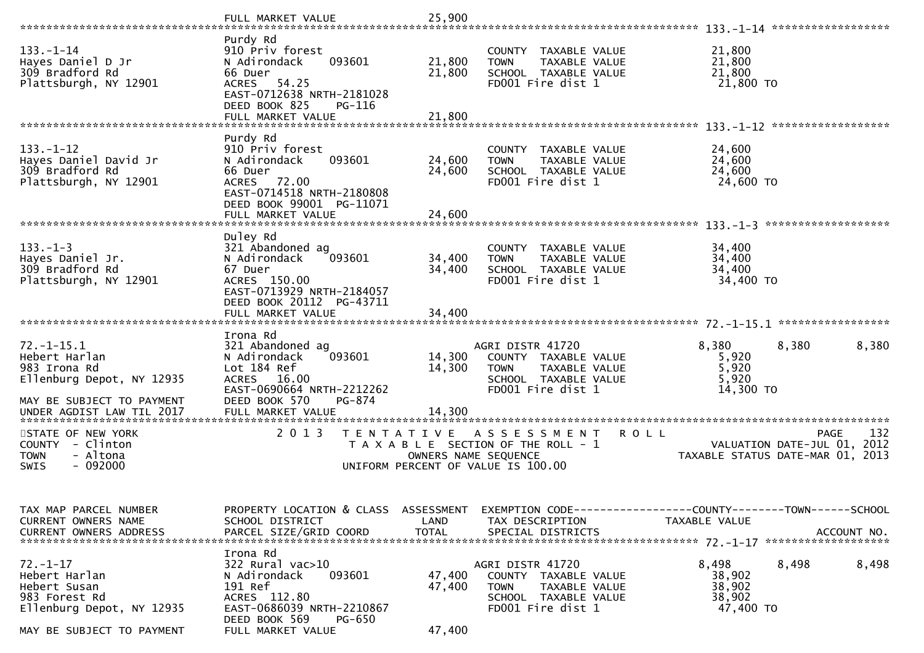|                                                                                                                                          | FULL MARKET VALUE                                                                                                                                               | 25,900                                    |                                                                                                                       |                                                                                                     |
|------------------------------------------------------------------------------------------------------------------------------------------|-----------------------------------------------------------------------------------------------------------------------------------------------------------------|-------------------------------------------|-----------------------------------------------------------------------------------------------------------------------|-----------------------------------------------------------------------------------------------------|
| $133. - 1 - 14$<br>Hayes Daniel D Jr<br>309 Bradford Rd<br>Plattsburgh, NY 12901                                                         | Purdy Rd<br>910 Priv forest<br>093601<br>N Adirondack<br>66 Duer<br>ACRES 54.25<br>EAST-0712638 NRTH-2181028<br>DEED BOOK 825<br>PG-116                         | 21,800<br>21,800                          | COUNTY TAXABLE VALUE<br>TAXABLE VALUE<br><b>TOWN</b><br>SCHOOL TAXABLE VALUE<br>FD001 Fire dist 1                     | 21,800<br>21,800<br>21,800<br>21,800 TO                                                             |
|                                                                                                                                          | FULL MARKET VALUE                                                                                                                                               | 21,800                                    |                                                                                                                       |                                                                                                     |
| $133. - 1 - 12$<br>Hayes Daniel David Jr<br>309 Bradford Rd<br>Plattsburgh, NY 12901                                                     | Purdy Rd<br>910 Priv forest<br>093601<br>N Adirondack<br>66 Duer<br>ACRES 72.00<br>EAST-0714518 NRTH-2180808<br>DEED BOOK 99001 PG-11071                        | 24,600<br>24,600                          | COUNTY TAXABLE VALUE<br>TAXABLE VALUE<br><b>TOWN</b><br>SCHOOL TAXABLE VALUE<br>FD001 Fire dist 1                     | 24,600<br>24,600<br>24,600<br>24,600 TO                                                             |
|                                                                                                                                          | FULL MARKET VALUE                                                                                                                                               | 24,600                                    |                                                                                                                       | *******************                                                                                 |
| $133. - 1 - 3$<br>Hayes Daniel Jr.<br>309 Bradford Rd<br>Plattsburgh, NY 12901                                                           | Duley Rd<br>321 Abandoned ag<br>093601<br>N Adirondack<br>67 Duer<br>ACRES 150.00<br>EAST-0713929 NRTH-2184057<br>DEED BOOK 20112 PG-43711<br>FULL MARKET VALUE | 34,400<br>34,400<br>34,400                | COUNTY TAXABLE VALUE<br><b>TOWN</b><br>TAXABLE VALUE<br>SCHOOL TAXABLE VALUE<br>FD001 Fire dist 1                     | 34,400<br>34,400<br>34,400<br>34,400 TO                                                             |
|                                                                                                                                          | Irona Rd                                                                                                                                                        |                                           |                                                                                                                       |                                                                                                     |
| $72. - 1 - 15.1$<br>Hebert Harlan<br>983 Irona Rd<br>Ellenburg Depot, NY 12935<br>MAY BE SUBJECT TO PAYMENT<br>UNDER AGDIST LAW TIL 2017 | 321 Abandoned ag<br>093601<br>N Adirondack<br>Lot 184 Ref<br>ACRES 16.00<br>EAST-0690664 NRTH-2212262<br>DEED BOOK 570<br>PG-874<br>FULL MARKET VALUE           | 14,300<br>14,300<br>14,300                | AGRI DISTR 41720<br>COUNTY TAXABLE VALUE<br><b>TOWN</b><br>TAXABLE VALUE<br>SCHOOL TAXABLE VALUE<br>FD001 Fire dist 1 | 8,380<br>8,380<br>8,380<br>5,920<br>5,920<br>5,920<br>14,300 TO                                     |
|                                                                                                                                          |                                                                                                                                                                 |                                           |                                                                                                                       |                                                                                                     |
| STATE OF NEW YORK<br>COUNTY - Clinton<br><b>TOWN</b><br>- Altona<br>$-092000$<br><b>SWIS</b>                                             | 2 0 1 3                                                                                                                                                         | T E N T A T I V E<br>OWNERS NAME SEQUENCE | A S S E S S M E N T<br>T A X A B L E SECTION OF THE ROLL - 1<br>UNIFORM PERCENT OF VALUE IS 100.00                    | 132<br><b>ROLL</b><br>PAGE<br>2012<br>VALUATION DATE-JUL 01,<br>TAXABLE STATUS DATE-MAR 01,<br>2013 |
| TAX MAP PARCEL NUMBER<br>CURRENT OWNERS NAME                                                                                             | PROPERTY LOCATION & CLASS ASSESSMENT<br>SCHOOL DISTRICT                                                                                                         | LAND                                      | TAX DESCRIPTION                                                                                                       | EXEMPTION CODE-----------------COUNTY--------TOWN------SCHOOL<br>TAXABLE VALUE                      |
| $72. - 1 - 17$<br>Hebert Harlan<br>Hebert Susan<br>983 Forest Rd<br>Ellenburg Depot, NY 12935<br>MAY BE SUBJECT TO PAYMENT               | Irona Rd<br>322 Rural vac>10<br>N Adirondack<br>093601<br>191 Ref<br>ACRES 112.80<br>EAST-0686039 NRTH-2210867<br>DEED BOOK 569<br>PG-650<br>FULL MARKET VALUE  | 47,400<br>47,400<br>47,400                | AGRI DISTR 41720<br>COUNTY TAXABLE VALUE<br>TAXABLE VALUE<br><b>TOWN</b><br>SCHOOL TAXABLE VALUE<br>FD001 Fire dist 1 | 8,498<br>8,498<br>8,498<br>38,902<br>38,902<br>38,902<br>47,400 TO                                  |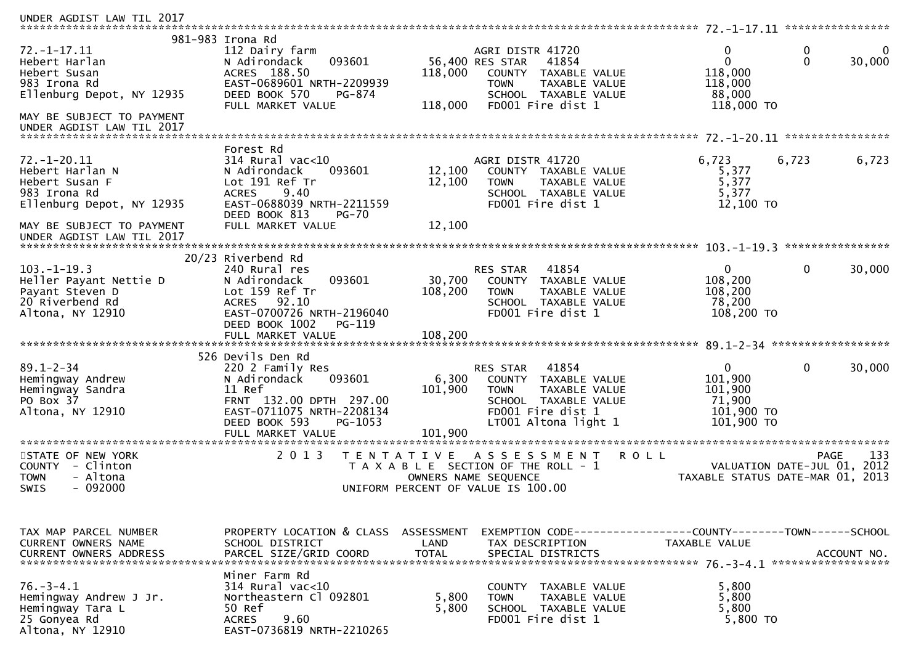| UNDER AGDIST LAW TIL 2017                                                                                                                                 |                                                                                                                                                                                        |                             |                                                                                                                                                             |                                                                                 |                            |
|-----------------------------------------------------------------------------------------------------------------------------------------------------------|----------------------------------------------------------------------------------------------------------------------------------------------------------------------------------------|-----------------------------|-------------------------------------------------------------------------------------------------------------------------------------------------------------|---------------------------------------------------------------------------------|----------------------------|
| $72. - 1 - 17.11$<br>Hebert Harlan<br>Hebert Susan<br>983 Irona Rd<br>Ellenburg Depot, NY 12935<br>MAY BE SUBJECT TO PAYMENT<br>UNDER AGDIST LAW TIL 2017 | 981-983 Irona Rd<br>112 Dairy farm<br>093601<br>N Adirondack<br>ACRES 188.50<br>EAST-0689601 NRTH-2209939<br>DEED BOOK 570<br>PG-874<br>FULL MARKET VALUE                              | 118,000<br>118,000          | AGRI DISTR 41720<br>56,400 RES STAR<br>41854<br><b>COUNTY</b><br>TAXABLE VALUE<br><b>TOWN</b><br>TAXABLE VALUE<br>SCHOOL TAXABLE VALUE<br>FD001 Fire dist 1 | 0<br>0<br>$\mathbf 0$<br>$\Omega$<br>118,000<br>118,000<br>88,000<br>118,000 TO | 30,000                     |
|                                                                                                                                                           |                                                                                                                                                                                        |                             |                                                                                                                                                             |                                                                                 |                            |
| $72. - 1 - 20.11$<br>Hebert Harlan N<br>Hebert Susan F<br>983 Irona Rd<br>Ellenburg Depot, NY 12935<br>MAY BE SUBJECT TO PAYMENT                          | Forest Rd<br>$314$ Rural vac<10<br>N Adirondack<br>093601<br>Lot 191 Ref Tr<br>9.40<br><b>ACRES</b><br>EAST-0688039 NRTH-2211559<br>DEED BOOK 813<br><b>PG-70</b><br>FULL MARKET VALUE | 12,100<br>12,100<br>12,100  | AGRI DISTR 41720<br>COUNTY TAXABLE VALUE<br>TAXABLE VALUE<br><b>TOWN</b><br>SCHOOL TAXABLE VALUE<br>FD001 Fire dist 1                                       | 6,723<br>6,723<br>5,377<br>5,377<br>5,377<br>12,100 TO                          | 6,723                      |
| UNDER AGDIST LAW TIL 2017                                                                                                                                 |                                                                                                                                                                                        |                             |                                                                                                                                                             |                                                                                 |                            |
|                                                                                                                                                           | 20/23 Riverbend Rd                                                                                                                                                                     |                             |                                                                                                                                                             |                                                                                 |                            |
| $103. - 1 - 19.3$<br>Heller Payant Nettie D<br>Payant Steven D<br>20 Riverbend Rd<br>Altona, NY 12910                                                     | 240 Rural res<br>093601<br>N Adirondack<br>Lot 159 Ref Tr<br>92.10<br><b>ACRES</b><br>EAST-0700726 NRTH-2196040<br>DEED BOOK 1002<br>PG-119                                            | 30,700<br>108,200           | 41854<br>RES STAR<br>COUNTY TAXABLE VALUE<br><b>TOWN</b><br>TAXABLE VALUE<br>SCHOOL TAXABLE VALUE<br>FD001 Fire dist 1                                      | $\mathbf{0}$<br>0<br>108,200<br>108,200<br>78,200<br>108,200 TO                 | 30,000                     |
|                                                                                                                                                           |                                                                                                                                                                                        |                             |                                                                                                                                                             |                                                                                 |                            |
| $89.1 - 2 - 34$<br>Hemingway Andrew<br>Hemingway Sandra<br>PO Box 37<br>Altona, NY 12910                                                                  | 526 Devils Den Rd<br>220 2 Family Res<br>093601<br>N Adirondack<br>11 Ref<br>FRNT 132.00 DPTH 297.00<br>EAST-0711075 NRTH-2208134<br>DEED BOOK 593<br>PG-1053<br>FULL MARKET VALUE     | 6,300<br>101,900<br>101,900 | RES STAR<br>41854<br>COUNTY TAXABLE VALUE<br>TAXABLE VALUE<br><b>TOWN</b><br>SCHOOL TAXABLE VALUE<br>FD001 Fire dist 1<br>LT001 Altona light 1              | $\overline{0}$<br>0<br>101,900<br>101,900<br>71,900<br>101,900 TO<br>101,900 TO | 30,000                     |
| STATE OF NEW YORK<br>COUNTY - Clinton<br><b>TOWN</b><br>- Altona<br><b>SWIS</b><br>- 092000                                                               | 2 0 1 3<br>T E N T A T I V E                                                                                                                                                           | OWNERS NAME SEQUENCE        | <b>ROLL</b><br>A S S E S S M E N T<br>T A X A B L E SECTION OF THE ROLL - 1<br>UNIFORM PERCENT OF VALUE IS 100.00                                           | VALUATION DATE-JUL 01,<br>TAXABLE STATUS DATE-MAR 01, 2013                      | 133<br><b>PAGE</b><br>2012 |
| TAX MAP PARCEL NUMBER                                                                                                                                     | PROPERTY LOCATION & CLASS ASSESSMENT                                                                                                                                                   |                             | EXEMPTION CODE------------------COUNTY--------TOWN------SCHOOL                                                                                              |                                                                                 |                            |
| CURRENT OWNERS NAME<br>CURRENT OWNERS ADDRESS                                                                                                             | SCHOOL DISTRICT<br>PARCEL SIZE/GRID COORD                                                                                                                                              | LAND<br><b>TOTAL</b>        | TAX DESCRIPTION<br>SPECIAL DISTRICTS                                                                                                                        | TAXABLE VALUE                                                                   | ACCOUNT NO.                |
| $76. - 3 - 4.1$<br>Hemingway Andrew J Jr.<br>Hemingway Tara L<br>25 Gonyea Rd<br>Altona, NY 12910                                                         | Miner Farm Rd<br>$314$ Rural vac<10<br>Northeastern Cl 092801<br>50 Ref<br>9.60<br><b>ACRES</b><br>EAST-0736819 NRTH-2210265                                                           | 5,800<br>5,800              | COUNTY TAXABLE VALUE<br><b>TOWN</b><br>TAXABLE VALUE<br>SCHOOL TAXABLE VALUE<br>FD001 Fire dist 1                                                           | 5,800<br>5,800<br>5,800<br>5,800 TO                                             |                            |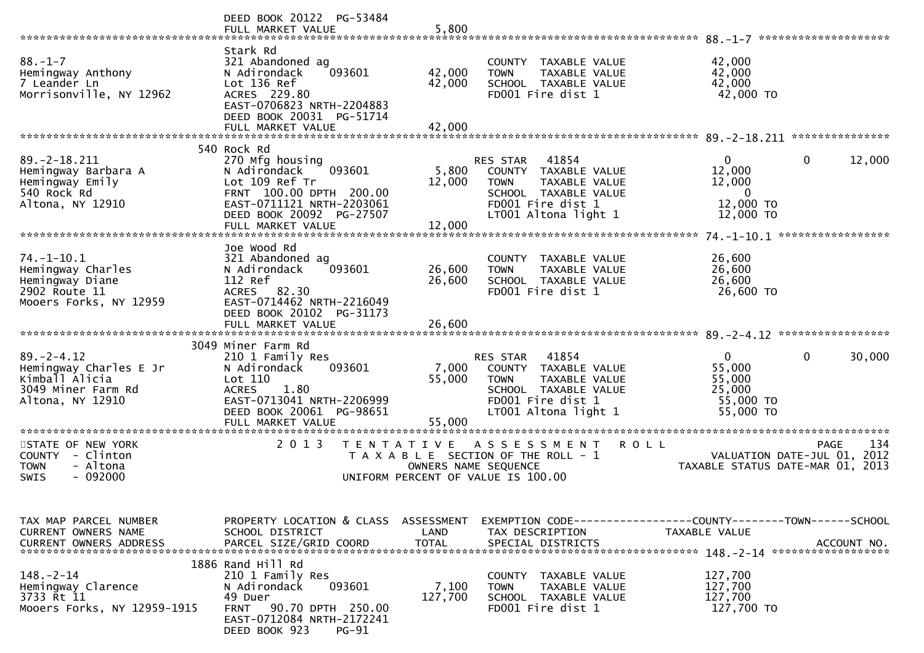|                                                                                                        | DEED BOOK 20122 PG-53484<br>FULL MARKET VALUE                                                                                                                       | 5,800                              |                                                                                                                                                          | $88. - 1 - 7$<br>********************                                                                |
|--------------------------------------------------------------------------------------------------------|---------------------------------------------------------------------------------------------------------------------------------------------------------------------|------------------------------------|----------------------------------------------------------------------------------------------------------------------------------------------------------|------------------------------------------------------------------------------------------------------|
| $88. - 1 - 7$<br>Hemingway Anthony<br>7 Leander Ln<br>Morrisonville, NY 12962                          | Stark Rd<br>321 Abandoned ag<br>093601<br>N Adirondack<br>Lot 136 Ref<br>ACRES 229.80<br>EAST-0706823 NRTH-2204883<br>DEED BOOK 20031 PG-51714<br>FULL MARKET VALUE | 42,000<br>42,000<br>42,000         | COUNTY TAXABLE VALUE<br>TAXABLE VALUE<br><b>TOWN</b><br>SCHOOL TAXABLE VALUE<br>FD001 Fire dist 1                                                        | 42,000<br>42,000<br>42,000<br>42,000 TO                                                              |
|                                                                                                        |                                                                                                                                                                     |                                    |                                                                                                                                                          |                                                                                                      |
| $89. - 2 - 18.211$<br>Hemingway Barbara A<br>Hemingway Emily<br>540 Rock Rd<br>Altona, NY 12910        | 540 Rock Rd<br>270 Mfg housing<br>093601<br>N Adirondack<br>Lot 109 Ref Tr<br>FRNT 100.00 DPTH 200.00<br>EAST-0711121 NRTH-2203061<br>DEED BOOK 20092 PG-27507      | 5,800<br>12,000<br>12,000          | RES STAR<br>41854<br>TAXABLE VALUE<br>COUNTY<br><b>TOWN</b><br><b>TAXABLE VALUE</b><br>SCHOOL TAXABLE VALUE<br>FD001 Fire dist 1<br>LT001 Altona light 1 | 12,000<br>0<br>0<br>12,000<br>12,000<br>$\mathbf{0}$<br>12,000 TO<br>12,000 TO                       |
|                                                                                                        | FULL MARKET VALUE                                                                                                                                                   |                                    |                                                                                                                                                          |                                                                                                      |
| $74. - 1 - 10.1$<br>Hemingway Charles<br>Hemingway Diane<br>2902 Route 11<br>Mooers Forks, NY 12959    | Joe Wood Rd<br>321 Abandoned ag<br>093601<br>N Adirondack<br>112 Ref<br><b>ACRES</b><br>82.30<br>EAST-0714462 NRTH-2216049<br>DEED BOOK 20102 PG-31173              | 26,600<br>26,600                   | <b>COUNTY</b><br>TAXABLE VALUE<br><b>TOWN</b><br>TAXABLE VALUE<br>SCHOOL TAXABLE VALUE<br>FD001 Fire dist 1                                              | 26,600<br>26,600<br>26,600<br>26,600 TO                                                              |
|                                                                                                        | FULL MARKET VALUE                                                                                                                                                   | 26,600                             |                                                                                                                                                          |                                                                                                      |
|                                                                                                        | 3049 Miner Farm Rd                                                                                                                                                  |                                    |                                                                                                                                                          |                                                                                                      |
| $89. - 2 - 4.12$<br>Hemingway Charles E Jr<br>Kimball Alicia<br>3049 Miner Farm Rd<br>Altona, NY 12910 | 210 1 Family Res<br>093601<br>N Adirondack<br>Lot 110<br>1.80<br><b>ACRES</b><br>EAST-0713041 NRTH-2206999<br>DEED BOOK 20061 PG-98651                              | 7,000<br>55,000                    | 41854<br>RES STAR<br>COUNTY TAXABLE VALUE<br>TAXABLE VALUE<br><b>TOWN</b><br>SCHOOL TAXABLE VALUE<br>FD001 Fire dist 1<br>LT001 Altona light 1           | $\overline{0}$<br>0<br>30,000<br>55,000<br>55,000<br>25,000<br>55,000 TO<br>55,000 TO                |
|                                                                                                        | FULL MARKET VALUE                                                                                                                                                   | 55,000                             |                                                                                                                                                          |                                                                                                      |
| STATE OF NEW YORK<br>COUNTY - Clinton<br>- Altona<br><b>TOWN</b><br>$-092000$<br>SWIS                  | *******************<br>2 0 1 3<br>T E N T A T I V E                                                                                                                 | OWNERS NAME SEQUENCE               | ASSESSMENT<br><b>ROLL</b><br>T A X A B L E SECTION OF THE ROLL - 1<br>UNIFORM PERCENT OF VALUE IS 100.00                                                 | 134<br>PAGE<br>VALUATION DATE-JUL 01, 2012<br>TAXABLE STATUS DATE-MAR 01, 2013                       |
| TAX MAP PARCEL NUMBER<br>CURRENT OWNERS NAME<br><b>CURRENT OWNERS ADDRESS</b>                          | PROPERTY LOCATION & CLASS<br>SCHOOL DISTRICT<br>PARCEL SIZE/GRID COORD                                                                                              | ASSESSMENT<br>LAND<br><b>TOTAL</b> | TAX DESCRIPTION<br>SPECIAL DISTRICTS                                                                                                                     | EXEMPTION        CODE------------------COUNTY-------TOWN------SCHOOL<br>TAXABLE VALUE<br>ACCOUNT NO. |
|                                                                                                        |                                                                                                                                                                     |                                    |                                                                                                                                                          |                                                                                                      |
| $148. - 2 - 14$                                                                                        | 1886 Rand Hill Rd<br>210 1 Family Res                                                                                                                               |                                    | COUNTY TAXABLE VALUE                                                                                                                                     | 127,700                                                                                              |
| Hemingway Clarence<br>3733 Rt 11<br>Mooers Forks, NY 12959-1915                                        | N Adirondack<br>093601<br>49 Duer<br>90.70 DPTH 250.00<br><b>FRNT</b><br>EAST-0712084 NRTH-2172241<br>DEED BOOK 923<br><b>PG-91</b>                                 | 7,100<br>127,700                   | <b>TAXABLE VALUE</b><br><b>TOWN</b><br>SCHOOL TAXABLE VALUE<br>FD001 Fire dist 1                                                                         | 127,700<br>127,700<br>127,700 TO                                                                     |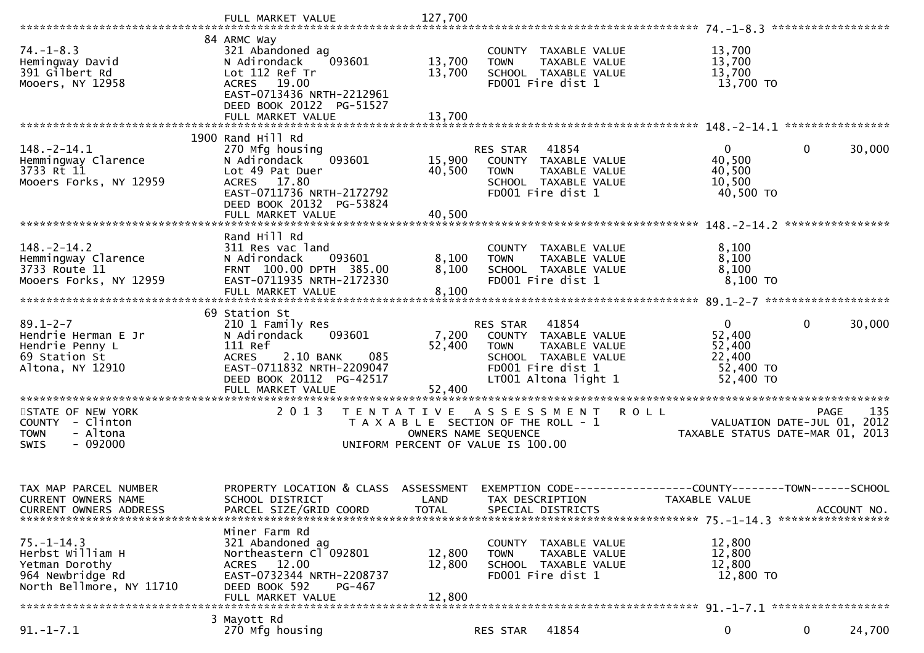| $74. - 1 - 8.3$<br>Hemingway David<br>391 Gilbert Rd<br>Mooers, NY 12958                               | 84 ARMC Way<br>321 Abandoned ag<br>093601<br>N Adirondack<br>Lot 112 Ref Tr<br>ACRES 19.00                                                                                               | 13,700<br>13,700                   | COUNTY TAXABLE VALUE<br><b>TOWN</b><br>SCHOOL TAXABLE VALUE<br>FD001 Fire dist 1                                            | TAXABLE VALUE | 13,700<br>13,700<br>13,700<br>13,700 TO                                       |              |             |
|--------------------------------------------------------------------------------------------------------|------------------------------------------------------------------------------------------------------------------------------------------------------------------------------------------|------------------------------------|-----------------------------------------------------------------------------------------------------------------------------|---------------|-------------------------------------------------------------------------------|--------------|-------------|
|                                                                                                        | EAST-0713436 NRTH-2212961<br>DEED BOOK 20122 PG-51527<br>FULL MARKET VALUE<br>1900 Rand Hill Rd                                                                                          | 13,700                             |                                                                                                                             |               |                                                                               |              |             |
| $148. - 2 - 14.1$<br>Hemmingway Clarence<br>3733 Rt 11<br>Mooers Forks, NY 12959                       | 270 Mfg housing<br>093601<br>N Adirondack<br>Lot 49 Pat Duer<br>ACRES 17.80<br>EAST-0711736 NRTH-2172792<br>DEED BOOK 20132 PG-53824                                                     | 15,900<br>40,500                   | RES STAR 41854<br>COUNTY TAXABLE VALUE<br><b>TOWN</b><br>SCHOOL TAXABLE VALUE<br>FD001 Fire dist 1                          | TAXABLE VALUE | $\overline{0}$<br>40,500<br>40,500<br>10,500<br>40,500 TO                     | $\mathbf 0$  | 30,000      |
|                                                                                                        | FULL MARKET VALUE                                                                                                                                                                        | 40,500                             |                                                                                                                             |               |                                                                               |              |             |
| $148. - 2 - 14.2$<br>Hemmingway Clarence<br>3733 Route 11<br>Mooers Forks, NY 12959                    | Rand Hill Rd<br>311 Res vac land<br>N Adirondack<br>093601<br>FRNT 100.00 DPTH 385.00<br>EAST-0711935 NRTH-2172330<br>FULL MARKET VALUE                                                  | 8,100<br>8,100<br>8,100            | COUNTY TAXABLE VALUE<br><b>TOWN</b><br>SCHOOL TAXABLE VALUE<br>FD001 Fire dist 1                                            | TAXABLE VALUE | 8,100<br>8,100<br>8,100<br>$8,100$ TO                                         |              |             |
| $89.1 - 2 - 7$<br>Hendrie Herman E Jr<br>Hendrie Penny L<br>69 Station St<br>Altona, NY 12910          | 69 Station St<br>210 1 Family Res<br>093601<br>N Adirondack<br>111 Ref<br><b>ACRES</b><br>2.10 BANK<br>085<br>EAST-0711832 NRTH-2209047<br>DEED BOOK 20112 PG-42517<br>FULL MARKET VALUE | 7,200<br>52,400<br>52,400          | RES STAR 41854<br>COUNTY TAXABLE VALUE<br><b>TOWN</b><br>SCHOOL TAXABLE VALUE<br>FD001 Fire dist 1<br>LT001 Altona light 1  | TAXABLE VALUE | $\mathbf{0}$<br>52,400<br>52,400<br>22,400<br>52,400 TO<br>52,400 TO          | $\mathbf{0}$ | 30,000      |
| STATE OF NEW YORK<br>COUNTY - Clinton<br>- Altona<br><b>TOWN</b><br>$-092000$<br><b>SWIS</b>           | 2 0 1 3                                                                                                                                                                                  |                                    | TENTATIVE ASSESSMENT<br>T A X A B L E SECTION OF THE ROLL - 1<br>OWNERS NAME SEQUENCE<br>UNIFORM PERCENT OF VALUE IS 100.00 | <b>ROLL</b>   | VALUATION DATE-JUL 01, 2012<br>TAXABLE STATUS DATE-MAR 01, 2013               | <b>PAGE</b>  | 135         |
| TAX MAP PARCEL NUMBER<br>CURRENT OWNERS NAME<br><b>CURRENT OWNERS ADDRESS</b>                          | PROPERTY LOCATION & CLASS<br>SCHOOL DISTRICT<br>PARCEL SIZE/GRID COORD                                                                                                                   | ASSESSMENT<br>LAND<br><b>TOTAL</b> | TAX DESCRIPTION<br>SPECIAL DISTRICTS                                                                                        |               | EXEMPTION CODE-----------------COUNTY-------TOWN------SCHOOL<br>TAXABLE VALUE |              | ACCOUNT NO. |
| $75. - 1 - 14.3$<br>Herbst William H<br>Yetman Dorothy<br>964 Newbridge Rd<br>North Bellmore, NY 11710 | Miner Farm Rd<br>321 Abandoned ag<br>Northeastern Cl 092801<br>ACRES 12.00<br>EAST-0732344 NRTH-2208737<br>DEED BOOK 592<br>PG-467<br>FULL MARKET VALUE                                  | 12,800<br>12,800<br>12,800         | COUNTY TAXABLE VALUE<br><b>TOWN</b><br>SCHOOL TAXABLE VALUE<br>FD001 Fire dist 1                                            | TAXABLE VALUE | 12,800<br>12,800<br>12,800<br>12,800 TO                                       |              |             |
| $91. - 1 - 7.1$                                                                                        | 3 Mayott Rd<br>270 Mfg housing                                                                                                                                                           |                                    | RES STAR                                                                                                                    | 41854         | 0                                                                             | 0            | 24,700      |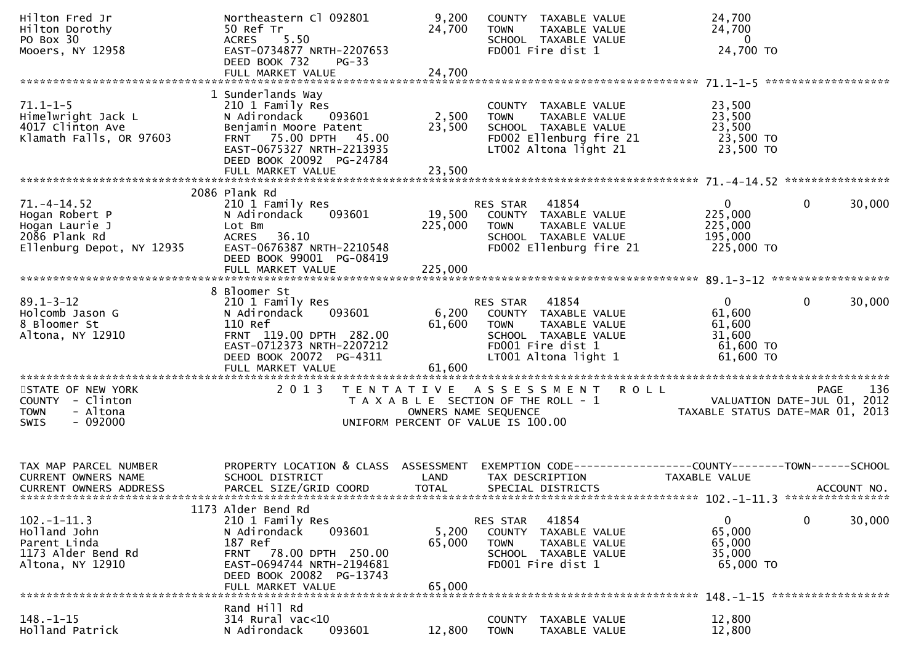| Hilton Fred Jr<br>Hilton Dorothy<br>PO Box 30<br>Mooers, NY 12958                                       | Northeastern Cl 092801<br>ט אפד דר 24,700<br>ACRES 5.50 EAST-0734877 NRTH-2207653<br>DEED BOOK 732 PC 33<br>$PG-33$<br>DEED BOOK 732<br>FULL MARKET VALUE               | 9,200<br>24,700                                                                                                                  |                                   | COUNTY TAXABLE VALUE<br>FD001 Fire dist 1                                            | TOWN     TAXABLE VALUE<br>SCHOOL  TAXABLE VALUE<br>FDOO1 Fire dist 1      | 24,700<br>24,700<br>$\overline{0}$<br>24,700 TO                                                                                                                 |              |             |
|---------------------------------------------------------------------------------------------------------|-------------------------------------------------------------------------------------------------------------------------------------------------------------------------|----------------------------------------------------------------------------------------------------------------------------------|-----------------------------------|--------------------------------------------------------------------------------------|---------------------------------------------------------------------------|-----------------------------------------------------------------------------------------------------------------------------------------------------------------|--------------|-------------|
|                                                                                                         |                                                                                                                                                                         |                                                                                                                                  |                                   |                                                                                      |                                                                           |                                                                                                                                                                 |              |             |
| $71.1 - 1 - 5$<br>Himelwright Jack L<br>4017 Clinton Ave<br>4017 Clinton Ave<br>Klamath Falls, OR 97603 | 1 Sunderlands Way<br>210 1 Family Res<br>N Adirondack 093601<br>Benjamin Moore Patent<br>FRNT 75.00 DPTH 45.00<br>EAST-0675327 NRTH-2213935<br>DEED BOOK 20092 PG-24784 | 2,500<br>$2\bar{3}, 500$                                                                                                         |                                   |                                                                                      |                                                                           | COUNTY TAXABLE VALUE 23,500<br>TOWN TAXABLE VALUE 23,500<br>SCHOOL TAXABLE VALUE 23,500<br>FDOO2 Ellenburg fire 21 23,500 TO<br>LTOO2 Altona light 21 23,500 TO |              |             |
|                                                                                                         |                                                                                                                                                                         |                                                                                                                                  |                                   |                                                                                      |                                                                           |                                                                                                                                                                 |              |             |
|                                                                                                         |                                                                                                                                                                         |                                                                                                                                  |                                   |                                                                                      |                                                                           |                                                                                                                                                                 |              |             |
| 71.-4-14.52<br>Hogan Robert P<br>Hogan Laurie J<br>2086 Plank Rd<br>Ellenburg Depot, NY 12935           | 2086 Plank Rd<br>210 1 Family Res<br>N Adirondack<br>093601<br>Lot Bm<br>ACRES 36.10<br>EAST-0676387 NRTH-2210548<br>DEED BOOK 99001 PG-08419                           | 19,500<br>225,000                                                                                                                | RES STAR 41854<br><b>TOWN</b>     | TAXABLE VALUE<br>FD002 Ellenburg fire 21                                             | COUNTY TAXABLE VALUE<br>SCHOOL TAXABLE VALUE                              | $\mathbf{0}$<br>225,000 TO                                                                                                                                      | $\mathbf{0}$ | 30,000      |
|                                                                                                         |                                                                                                                                                                         |                                                                                                                                  |                                   |                                                                                      |                                                                           |                                                                                                                                                                 |              |             |
| 89.1-3-12<br>Holcomb Jason G<br>8 Bloomer St<br>Altona, NY 12910                                        | 8 Bloomer St<br>210 1 Family Res<br>093601<br>N Adirondack<br>FULL MARKET VALUE                                                                                         | 61,600                                                                                                                           |                                   | SCHOOL TAXABLE VALUE<br>FD001 Fire dist 1<br>LT001 Altona light 1                    | RES STAR 41854<br>6,200 COUNTY TAXABLE VALUE<br>61,600 TOWN TAXABLE VALUE | $\mathbf{0}$<br>61,600<br>61,600<br>31,600<br>61,600 TO<br>61,600 TO                                                                                            | $\mathbf{0}$ | 30,000      |
|                                                                                                         |                                                                                                                                                                         |                                                                                                                                  |                                   |                                                                                      |                                                                           |                                                                                                                                                                 |              |             |
| STATE OF NEW YORK<br>COUNTY - Clinton<br>- Altona<br><b>TOWN</b><br>$-092000$<br>SWIS                   | 2 0 1 3                                                                                                                                                                 | TENTATIVE ASSESSMENT ROLL<br>T A X A B L E SECTION OF THE ROLL - 1<br>OWNERS NAME SEQUENCE<br>UNIFORM PERCENT OF VALUE IS 100.00 |                                   |                                                                                      |                                                                           | PAGE 136<br>ROLL - 1 VALUATION DATE-JUL 01, 2012<br>DO TAXABLE STATUS DATE-MAR 01, 2013                                                                         |              |             |
| TAX MAP PARCEL NUMBER<br>CURRENT OWNERS NAME<br>CURRENT OWNERS ADDRESS                                  | PROPERTY LOCATION & CLASS ASSESSMENT EXEMPTION CODE----------------COUNTY-------TOWN------SCHOOL<br>SCHOOL DISTRICT<br>PARCEL SIZE/GRID COORD                           | LAND<br>TOTAL                                                                                                                    |                                   | TAX DESCRIPTION<br>SPECIAL DISTRICTS                                                 |                                                                           | TAXABLE VALUE                                                                                                                                                   |              | ACCOUNT NO. |
|                                                                                                         | 1173 Alder Bend Rd                                                                                                                                                      |                                                                                                                                  |                                   |                                                                                      |                                                                           |                                                                                                                                                                 |              |             |
| $102 - 1 - 11.3$<br>Holland John<br>Parent Linda<br>1173 Alder Bend Rd<br>Altona, NY 12910              | 210 1 Family Res<br>N Adirondack<br>093601<br>187 Ref<br>78.00 DPTH 250.00<br><b>FRNT</b><br>EAST-0694744 NRTH-2194681<br>DEED BOOK 20082 PG-13743<br>FULL MARKET VALUE | 5,200<br>65,000<br>65,000                                                                                                        | RES STAR<br>COUNTY<br><b>TOWN</b> | 41854<br>TAXABLE VALUE<br>TAXABLE VALUE<br>SCHOOL TAXABLE VALUE<br>FD001 Fire dist 1 |                                                                           | 0<br>65,000<br>65,000<br>35,000<br>65,000 TO                                                                                                                    | $\mathbf 0$  | 30,000      |
|                                                                                                         |                                                                                                                                                                         |                                                                                                                                  |                                   |                                                                                      |                                                                           |                                                                                                                                                                 |              |             |
| $148. - 1 - 15$<br>Holland Patrick                                                                      | Rand Hill Rd<br>$314$ Rural vac<10<br>093601<br>N Adirondack                                                                                                            | 12,800                                                                                                                           | <b>COUNTY</b><br><b>TOWN</b>      | TAXABLE VALUE<br>TAXABLE VALUE                                                       |                                                                           | 12,800<br>12,800                                                                                                                                                |              |             |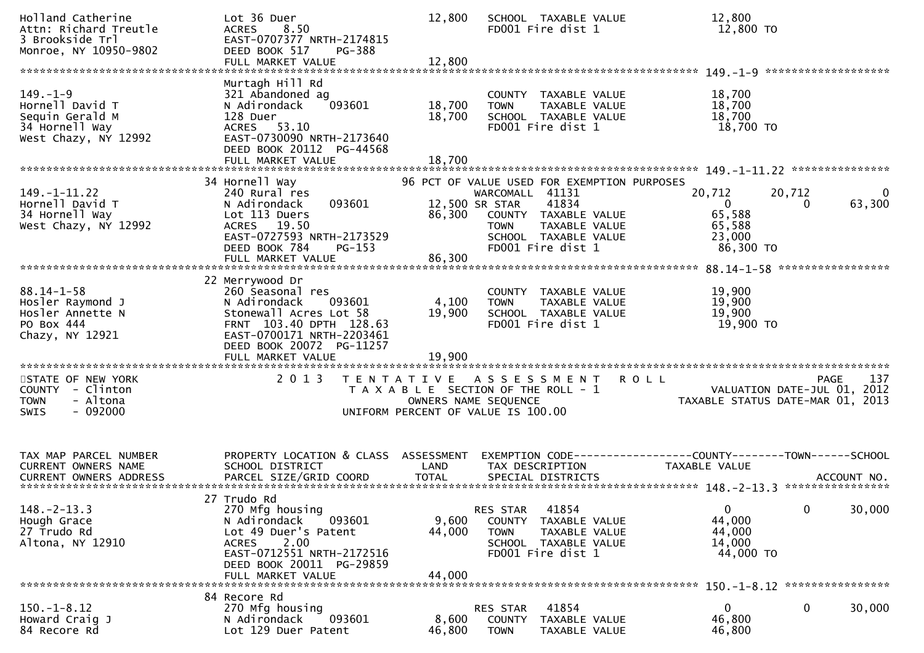| Holland Catherine<br>Attn: Richard Treutle<br>3 Brookside Trl<br>Monroe, NY 10950-9802         | Lot 36 Duer<br><b>ACRES</b><br>8.50<br>EAST-0707377 NRTH-2174815<br>DEED BOOK 517<br>PG-388<br>FULL MARKET VALUE                                                                       | 12,800<br>12,800           | SCHOOL TAXABLE VALUE<br>FD001 Fire dist 1                                                                                                                                                      | 12,800<br>12,800 TO                                                           |                                                                                   |
|------------------------------------------------------------------------------------------------|----------------------------------------------------------------------------------------------------------------------------------------------------------------------------------------|----------------------------|------------------------------------------------------------------------------------------------------------------------------------------------------------------------------------------------|-------------------------------------------------------------------------------|-----------------------------------------------------------------------------------|
| $149. - 1 - 9$<br>Hornell David T<br>Sequin Gerald M<br>34 Hornell Way<br>West Chazy, NY 12992 | Murtagh Hill Rd<br>321 Abandoned ag<br>N Adirondack<br>093601<br>128 Duer<br>ACRES 53.10<br>EAST-0730090 NRTH-2173640<br>DEED BOOK 20112 PG-44568<br>FULL MARKET VALUE                 | 18,700<br>18,700<br>18,700 | COUNTY TAXABLE VALUE<br>TAXABLE VALUE<br><b>TOWN</b><br>SCHOOL TAXABLE VALUE<br>FD001 Fire dist 1                                                                                              | 18,700<br>18,700<br>18,700<br>18,700 TO                                       |                                                                                   |
|                                                                                                |                                                                                                                                                                                        |                            |                                                                                                                                                                                                |                                                                               |                                                                                   |
| $149. - 1 - 11.22$<br>Hornell David T<br>34 Hornell Way<br>West Chazy, NY 12992                | 34 Hornell Way<br>240 Rural res<br>093601<br>N Adirondack<br>Lot 113 Duers<br>ACRES 19.50<br>EAST-0727593 NRTH-2173529<br>DEED BOOK 784<br>$PG-153$<br>FULL MARKET VALUE               | 86,300<br>86,300           | 96 PCT OF VALUE USED FOR EXEMPTION PURPOSES<br>WARCOMALL 41131<br>41834<br>12,500 SR STAR<br>COUNTY TAXABLE VALUE<br><b>TOWN</b><br>TAXABLE VALUE<br>SCHOOL TAXABLE VALUE<br>FD001 Fire dist 1 | 20,712<br>$\mathbf{0}$<br>65,588<br>65,588<br>23,000<br>86,300 TO             | 20,712<br>0<br>63,300<br>0                                                        |
|                                                                                                |                                                                                                                                                                                        |                            |                                                                                                                                                                                                |                                                                               |                                                                                   |
| $88.14 - 1 - 58$<br>Hosler Raymond J<br>Hosler Annette N<br>PO Box 444<br>Chazy, NY 12921      | 22 Merrywood Dr<br>260 Seasonal res<br>N Adirondack<br>093601<br>Stonewall Acres Lot 58<br>FRNT 103.40 DPTH 128.63<br>EAST-0700171 NRTH-2203461<br>DEED BOOK 20072 PG-11257            | 4,100<br>19,900            | COUNTY TAXABLE VALUE<br>TAXABLE VALUE<br><b>TOWN</b><br>SCHOOL TAXABLE VALUE<br>FD001 Fire dist 1                                                                                              | 19,900<br>19,900<br>19,900<br>19,900 TO                                       |                                                                                   |
| STATE OF NEW YORK<br>COUNTY - Clinton<br>- Altona<br><b>TOWN</b><br><b>SWIS</b><br>- 092000    | 2 0 1 3                                                                                                                                                                                |                            | TENTATIVE ASSESSMENT<br>T A X A B L E SECTION OF THE ROLL - 1<br>OWNERS NAME SEQUENCE<br>UNIFORM PERCENT OF VALUE IS 100.00                                                                    | <b>ROLL</b>                                                                   | 137<br>PAGE<br>2012<br>VALUATION DATE-JUL 01,<br>TAXABLE STATUS DATE-MAR 01, 2013 |
| TAX MAP PARCEL NUMBER<br>CURRENT OWNERS NAME                                                   | PROPERTY LOCATION & CLASS ASSESSMENT<br>SCHOOL DISTRICT                                                                                                                                | LAND                       | TAX DESCRIPTION                                                                                                                                                                                | EXEMPTION CODE-----------------COUNTY-------TOWN------SCHOOL<br>TAXABLE VALUE |                                                                                   |
| $148. - 2 - 13.3$<br>Hough Grace<br>27 Trudo Rd<br>Altona, NY 12910                            | 27 Trudo Rd<br>270 Mfg housing<br>N Adirondack<br>093601<br>Lot 49 Duer's Patent<br>2.00<br><b>ACRES</b><br>EAST-0712551 NRTH-2172516<br>DEED BOOK 20011 PG-29859<br>FULL MARKET VALUE | 9,600<br>44,000<br>44,000  | 41854<br>RES STAR<br>COUNTY<br>TAXABLE VALUE<br>TAXABLE VALUE<br><b>TOWN</b><br>SCHOOL TAXABLE VALUE<br>FD001 Fire dist 1                                                                      | $\mathbf{0}$<br>44,000<br>44,000<br>14,000<br>44,000 TO                       | $\mathbf{0}$<br>30,000                                                            |
|                                                                                                | 84 Recore Rd                                                                                                                                                                           |                            |                                                                                                                                                                                                |                                                                               |                                                                                   |
| $150.-1-8.12$<br>Howard Craig J<br>84 Recore Rd                                                | 270 Mfg housing<br>093601<br>N Adirondack<br>Lot 129 Duer Patent                                                                                                                       | 8,600<br>46,800            | 41854<br>RES STAR<br>COUNTY<br>TAXABLE VALUE<br><b>TOWN</b><br>TAXABLE VALUE                                                                                                                   | 0<br>46,800<br>46,800                                                         | 0<br>30,000                                                                       |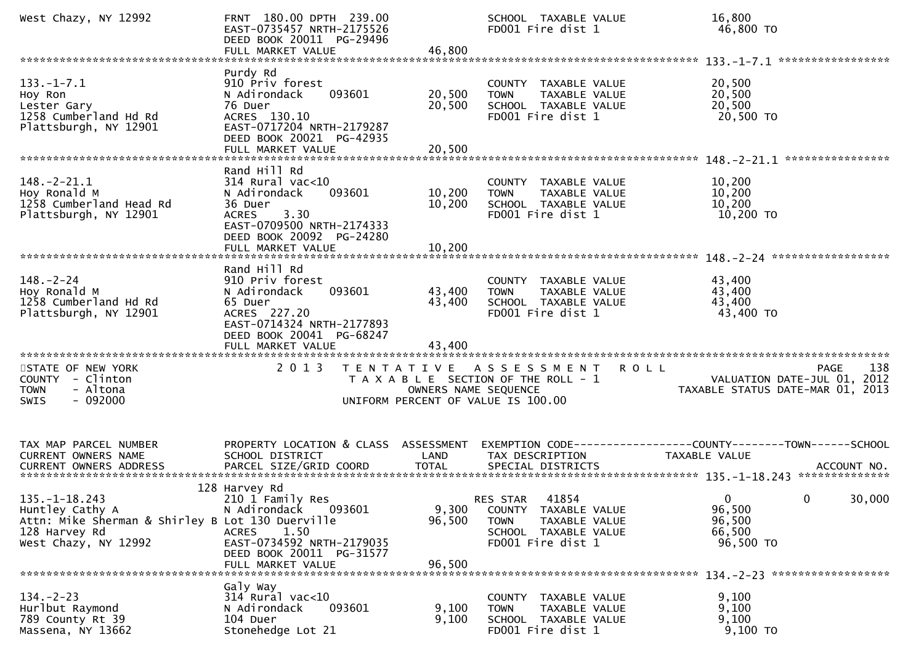| West Chazy, NY 12992                                                                                                                | FRNT 180.00 DPTH 239.00<br>EAST-0735457 NRTH-2175526<br>DEED BOOK 20011 PG-29496<br>FULL MARKET VALUE                                                                         | 46,800                     | SCHOOL TAXABLE VALUE<br>FD001 Fire dist 1                                                                              | 16,800<br>46,800 TO                                                                 |
|-------------------------------------------------------------------------------------------------------------------------------------|-------------------------------------------------------------------------------------------------------------------------------------------------------------------------------|----------------------------|------------------------------------------------------------------------------------------------------------------------|-------------------------------------------------------------------------------------|
| $133. - 1 - 7.1$<br>Hoy Ron<br>Lester Gary<br>1258 Cumberland Hd Rd<br>Plattsburgh, NY 12901                                        | Purdy Rd<br>910 Priv forest<br>093601<br>N Adirondack<br>76 Duer<br>ACRES 130.10<br>EAST-0717204 NRTH-2179287<br>DEED BOOK 20021 PG-42935<br>FULL MARKET VALUE                | 20,500<br>20,500<br>20,500 | COUNTY<br>TAXABLE VALUE<br>TAXABLE VALUE<br><b>TOWN</b><br>SCHOOL TAXABLE VALUE<br>FD001 Fire dist 1                   | 20,500<br>20,500<br>20,500<br>20,500 TO                                             |
| $148.-2-21.1$<br>Hoy Ronald M<br>1258 Cumberland Head Rd<br>Plattsburgh, NY 12901                                                   | Rand Hill Rd<br>$314$ Rural vac<10<br>N Adirondack<br>093601<br>36 Duer<br>3.30<br><b>ACRES</b><br>EAST-0709500 NRTH-2174333<br>DEED BOOK 20092 PG-24280<br>FULL MARKET VALUE | 10,200<br>10,200<br>10,200 | COUNTY TAXABLE VALUE<br>TAXABLE VALUE<br><b>TOWN</b><br>SCHOOL TAXABLE VALUE<br>FD001 Fire dist 1                      | 10,200<br>10,200<br>10,200<br>10,200 TO                                             |
| $148. - 2 - 24$<br>Hoy Ronald M<br>1258 Cumberland Hd Rd<br>Plattsburgh, NY 12901                                                   | Rand Hill Rd<br>910 Priv forest<br>N Adirondack<br>093601<br>65 Duer<br>ACRES 227.20<br>EAST-0714324 NRTH-2177893<br>DEED BOOK 20041 PG-68247<br>FULL MARKET VALUE            | 43,400<br>43,400<br>43,400 | COUNTY TAXABLE VALUE<br>TAXABLE VALUE<br><b>TOWN</b><br>SCHOOL TAXABLE VALUE<br>FD001 Fire dist 1                      | 43,400<br>43,400<br>43,400<br>43,400 TO                                             |
| STATE OF NEW YORK<br>COUNTY - Clinton<br>- Altona<br><b>TOWN</b><br>$-092000$<br>SWIS                                               | 2 0 1 3                                                                                                                                                                       | OWNERS NAME SEQUENCE       | TENTATIVE ASSESSMENT<br><b>ROLL</b><br>T A X A B L E SECTION OF THE ROLL - 1<br>UNIFORM PERCENT OF VALUE IS 100.00     | 138<br>PAGE<br>VALUATION DATE-JUL 01, 2012<br>TAXABLE STATUS DATE-MAR 01, 2013      |
| TAX MAP PARCEL NUMBER<br>CURRENT OWNERS NAME<br>CURRENT OWNERS ADDRESS                                                              | PROPERTY LOCATION & CLASS ASSESSMENT<br>SCHOOL DISTRICT<br>PARCEL SIZE/GRID COORD                                                                                             | LAND<br><b>TOTAL</b>       | TAX DESCRIPTION<br>SPECIAL DISTRICTS                                                                                   | <b>TAXABLE VALUE</b><br>ACCOUNT NO.                                                 |
| $135. - 1 - 18.243$<br>Huntley Cathy A<br>Attn: Mike Sherman & Shirley B Lot 130 Duerville<br>128 Harvey Rd<br>West Chazy, NY 12992 | 128 Harvey Rd<br>210 1 Family Res<br>N Adirondack 093601<br><b>ACRES</b><br>1.50<br>EAST-0734592 NRTH-2179035<br>DEED BOOK 20011 PG-31577<br>FULL MARKET VALUE                | 9,300<br>96,500<br>96,500  | 41854<br>RES STAR<br>COUNTY TAXABLE VALUE<br><b>TOWN</b><br>TAXABLE VALUE<br>SCHOOL TAXABLE VALUE<br>FD001 Fire dist 1 | 30,000<br>$\overline{0}$<br>$\mathbf{0}$<br>96,500<br>96,500<br>66,500<br>96,500 TO |
| $134. - 2 - 23$<br>Hurlbut Raymond<br>789 County Rt 39<br>Massena, NY 13662                                                         | Galy Way<br>$314$ Rural vac< $10$<br>093601<br>N Adirondack<br>104 Duer<br>Stonehedge Lot 21                                                                                  | 9,100<br>9,100             | COUNTY TAXABLE VALUE<br>TAXABLE VALUE<br><b>TOWN</b><br>SCHOOL TAXABLE VALUE<br>FD001 Fire dist 1                      | 9,100<br>9,100<br>9,100<br>9,100 TO                                                 |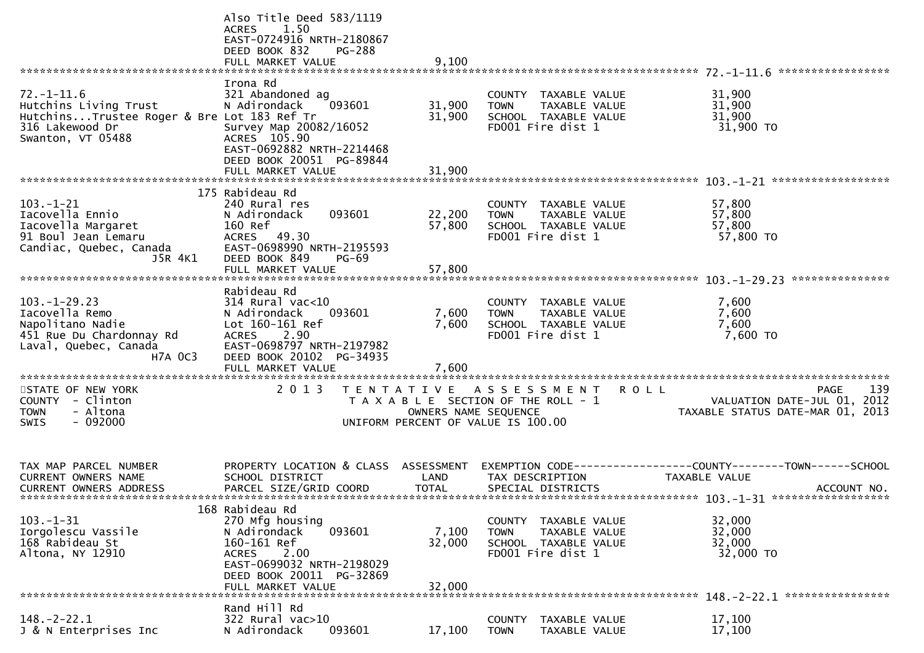|                                                                                                                                 | Also Title Deed 583/1119<br>ACRES<br>1.50<br>EAST-0724916 NRTH-2180867<br>DEED BOOK 832<br><b>PG-288</b><br>FULL MARKET VALUE                                                     | 9,100                      |                                                                                                   |                                                                                                              |                    |
|---------------------------------------------------------------------------------------------------------------------------------|-----------------------------------------------------------------------------------------------------------------------------------------------------------------------------------|----------------------------|---------------------------------------------------------------------------------------------------|--------------------------------------------------------------------------------------------------------------|--------------------|
| $72. - 1 - 11.6$<br>Hutchins Living Trust<br>HutchinsTrustee Roger & Bre Lot 183 Ref Tr<br>316 Lakewood Dr<br>Swanton, VT 05488 | Irona Rd<br>321 Abandoned ag<br>N Adirondack<br>093601<br>Survey Map 20082/16052<br>ACRES 105.90<br>EAST-0692882 NRTH-2214468<br>DEED BOOK 20051 PG-89844                         | 31,900<br>31,900           | COUNTY TAXABLE VALUE<br><b>TOWN</b><br>TAXABLE VALUE<br>SCHOOL TAXABLE VALUE<br>FD001 Fire dist 1 | 31,900<br>31,900<br>31,900<br>31,900 TO                                                                      |                    |
|                                                                                                                                 | FULL MARKET VALUE                                                                                                                                                                 | 31,900                     |                                                                                                   |                                                                                                              |                    |
| $103. - 1 - 21$<br>Iacovella Ennio<br>Iacovella Margaret<br>91 Boul Jean Lemaru<br>Candiac, Quebec, Canada<br>J5R 4K1           | 175 Rabideau Rd<br>240 Rural res<br>093601<br>N Adirondack<br>160 Ref<br>ACRES 49.30<br>EAST-0698990 NRTH-2195593<br>DEED BOOK 849<br><b>PG-69</b><br>FULL MARKET VALUE           | 22,200<br>57,800<br>57,800 | COUNTY TAXABLE VALUE<br>TAXABLE VALUE<br><b>TOWN</b><br>SCHOOL TAXABLE VALUE<br>FD001 Fire dist 1 | 57,800<br>57,800<br>57,800<br>57,800 TO                                                                      |                    |
|                                                                                                                                 | Rabideau Rd                                                                                                                                                                       |                            |                                                                                                   |                                                                                                              |                    |
| $103. - 1 - 29.23$<br>Iacovella Remo<br>Napolitano Nadie<br>451 Rue Du Chardonnay Rd<br>Laval, Quebec, Canada<br><b>H7A OC3</b> | 314 Rural vac<10<br>093601<br>N Adirondack<br>Lot 160-161 Ref<br>ACRES 2.90<br>EAST-0698797 NRTH-2197982<br>DEED BOOK 20102 PG-34935<br>FULL MARKET VALUE                         | 7,600<br>7,600<br>7,600    | COUNTY TAXABLE VALUE<br><b>TOWN</b><br>SCHOOL TAXABLE VALUE<br>FD001 Fire dist 1                  | 7,600<br>TAXABLE VALUE<br>7,600<br>7,600<br>7,600 TO                                                         |                    |
| STATE OF NEW YORK<br>COUNTY - Clinton<br><b>TOWN</b><br>- Altona<br>$-092000$<br>SWIS                                           | 2 0 1 3                                                                                                                                                                           |                            | TENTATIVE ASSESSMENT ROLL<br>UNIFORM PERCENT OF VALUE IS 100.00                                   | T A X A B L E SECTION OF THE ROLL - 1<br>OWNERS NAME SEQUENCE CONTRACT THE TRAVABLE STATUS DATE-JUL 01, 2012 | 139<br><b>PAGE</b> |
| TAX MAP PARCEL NUMBER<br><b>CURRENT OWNERS NAME</b><br>CURRENT OWNERS ADDRESS                                                   | PROPERTY LOCATION & CLASS ASSESSMENT<br>SCHOOL DISTRICT<br>PARCEL SIZE/GRID COORD                                                                                                 | LAND<br><b>TOTAL</b>       | TAX DESCRIPTION<br>SPECIAL DISTRICTS                                                              | EXEMPTION CODE-----------------COUNTY--------TOWN------SCHOOL<br>TAXABLE VALUE                               | ACCOUNT NO.        |
| $103. -1 - 31$<br>Iorgolescu Vassile<br>168 Rabideau St<br>Altona, NY 12910                                                     | 168 Rabideau Rd<br>270 Mfg housing<br>093601<br>N Adirondack<br>160-161 Ref<br>2.00<br><b>ACRES</b><br>EAST-0699032 NRTH-2198029<br>DEED BOOK 20011 PG-32869<br>FULL MARKET VALUE | 7,100<br>32,000<br>32,000  | COUNTY TAXABLE VALUE<br>TAXABLE VALUE<br><b>TOWN</b><br>SCHOOL TAXABLE VALUE<br>FD001 Fire dist 1 | 32,000<br>32,000<br>32,000<br>32,000 TO                                                                      |                    |
|                                                                                                                                 | Rand Hill Rd                                                                                                                                                                      |                            |                                                                                                   | $148. - 2 - 22.1$                                                                                            | ****************   |
| $148. - 2 - 22.1$<br>J & N Enterprises Inc                                                                                      | 322 Rural vac>10<br>093601<br>N Adirondack                                                                                                                                        | 17,100                     | <b>COUNTY</b><br>TAXABLE VALUE<br>TAXABLE VALUE<br><b>TOWN</b>                                    | 17,100<br>17,100                                                                                             |                    |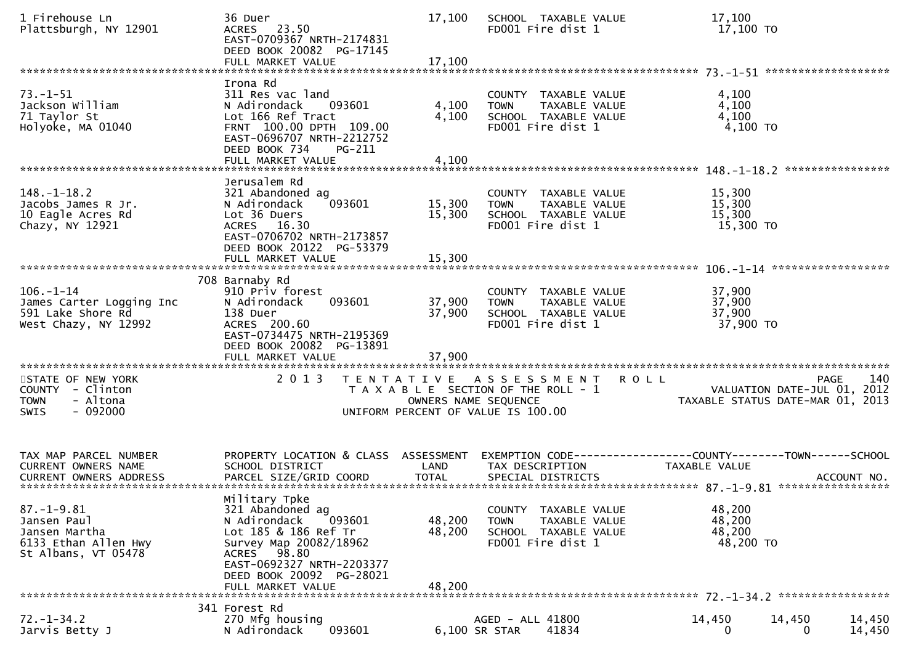| 1 Firehouse Ln<br>Plattsburgh, NY 12901                                                                               | 36 Duer<br>ACRES 23.50<br>EAST-0709367 NRTH-2174831<br>DEED BOOK 20082 PG-17145<br>FULL MARKET VALUE                                                                                                       | 17,100<br>17,100                                                                                    | SCHOOL TAXABLE VALUE<br>FD001 Fire dist 1                                        |                                       | 17,100<br>17,100 TO                                                           |             |                     |
|-----------------------------------------------------------------------------------------------------------------------|------------------------------------------------------------------------------------------------------------------------------------------------------------------------------------------------------------|-----------------------------------------------------------------------------------------------------|----------------------------------------------------------------------------------|---------------------------------------|-------------------------------------------------------------------------------|-------------|---------------------|
|                                                                                                                       |                                                                                                                                                                                                            |                                                                                                     |                                                                                  |                                       |                                                                               |             |                     |
| $73. - 1 - 51$<br>Jackson William<br>71 Taylor St<br>Holyoke, MA 01040                                                | Irona Rd<br>311 Res vac land<br>N Adirondack<br>093601<br>Lot 166 Ref Tract<br>FRNT 100.00 DPTH 109.00<br>EAST-0696707 NRTH-2212752<br>DEED BOOK 734<br>PG-211                                             | 4,100<br>4,100                                                                                      | COUNTY TAXABLE VALUE<br><b>TOWN</b><br>SCHOOL TAXABLE VALUE<br>FD001 Fire dist 1 | TAXABLE VALUE                         | 4,100<br>4,100<br>4,100<br>4,100 TO                                           |             |                     |
|                                                                                                                       | FULL MARKET VALUE                                                                                                                                                                                          | 4,100                                                                                               |                                                                                  |                                       |                                                                               |             |                     |
| $148. - 1 - 18.2$<br>Jacobs James R Jr.<br>10 Eagle Acres Rd<br>Chazy, NY 12921                                       | Jerusalem Rd<br>321 Abandoned ag<br>093601<br>N Adirondack<br>Lot 36 Duers<br>ACRES 16.30<br>EAST-0706702 NRTH-2173857<br>DEED BOOK 20122 PG-53379                                                         | 15,300<br>15,300                                                                                    | COUNTY TAXABLE VALUE<br><b>TOWN</b><br>SCHOOL TAXABLE VALUE<br>FD001 Fire dist 1 | TAXABLE VALUE                         | 15,300<br>15,300<br>15,300<br>15,300 TO                                       |             |                     |
|                                                                                                                       |                                                                                                                                                                                                            |                                                                                                     |                                                                                  |                                       |                                                                               |             |                     |
| $106. - 1 - 14$<br>James Carter Logging Inc<br>591 Lake Shore Rd<br>West Chazy, NY 12992<br>************************* | 708 Barnaby Rd<br>910 Priv forest<br>N Adirondack<br>093601<br>138 Duer<br>ACRES 200.60<br>EAST-0734475 NRTH-2195369<br>DEED BOOK 20082 PG-13891                                                           | 37,900<br>37,900                                                                                    | COUNTY TAXABLE VALUE<br><b>TOWN</b><br>SCHOOL TAXABLE VALUE<br>FD001 Fire dist 1 | TAXABLE VALUE                         | 37,900<br>37,900<br>37,900<br>37,900 TO                                       |             |                     |
| STATE OF NEW YORK<br>COUNTY - Clinton<br>- Altona<br><b>TOWN</b><br><b>SWIS</b><br>- 092000                           | 2 0 1 3                                                                                                                                                                                                    | TENTATIVE ASSESSMENT<br>T A X A B L E SECTION OF THE ROLL - 1<br>UNIFORM PERCENT OF VALUE IS 100.00 | OWNERS NAME SEQUENCE                                                             |                                       | <b>ROLL</b><br>VALUATION DATE-JUL 01,<br>TAXABLE STATUS DATE-MAR 01, 2013     |             | 140<br>PAGE<br>2012 |
| TAX MAP PARCEL NUMBER<br>CURRENT OWNERS NAME                                                                          | PROPERTY LOCATION & CLASS ASSESSMENT<br>SCHOOL DISTRICT                                                                                                                                                    | LAND                                                                                                | TAX DESCRIPTION                                                                  |                                       | EXEMPTION CODE-----------------COUNTY-------TOWN------SCHOOL<br>TAXABLE VALUE |             |                     |
| $87. - 1 - 9.81$<br>Jansen Paul<br>Jansen Martha<br>6133 Ethan Allen Hwy<br>St Albans, VT 05478                       | Military Tpke<br>321 Abandoned ag<br>N Adirondack<br>093601<br>Lot 185 & 186 Ref Tr<br>Survey Map 20082/18962<br>ACRES 98.80<br>EAST-0692327 NRTH-2203377<br>DEED BOOK 20092 PG-28021<br>FULL MARKET VALUE | 48,200<br>48,200<br>48,200                                                                          | COUNTY<br><b>TOWN</b><br>SCHOOL TAXABLE VALUE<br>FD001 Fire dist 1               | <b>TAXABLE VALUE</b><br>TAXABLE VALUE | 48,200<br>48,200<br>48,200<br>48,200 TO                                       |             |                     |
|                                                                                                                       | 341 Forest Rd                                                                                                                                                                                              |                                                                                                     |                                                                                  |                                       |                                                                               |             |                     |
| $72. - 1 - 34.2$<br>Jarvis Betty J                                                                                    | 270 Mfg housing<br>093601<br>N Adirondack                                                                                                                                                                  |                                                                                                     | AGED - ALL 41800<br>6,100 SR STAR                                                | 41834                                 | 14,450<br>$\Omega$                                                            | 14,450<br>0 | 14,450<br>14,450    |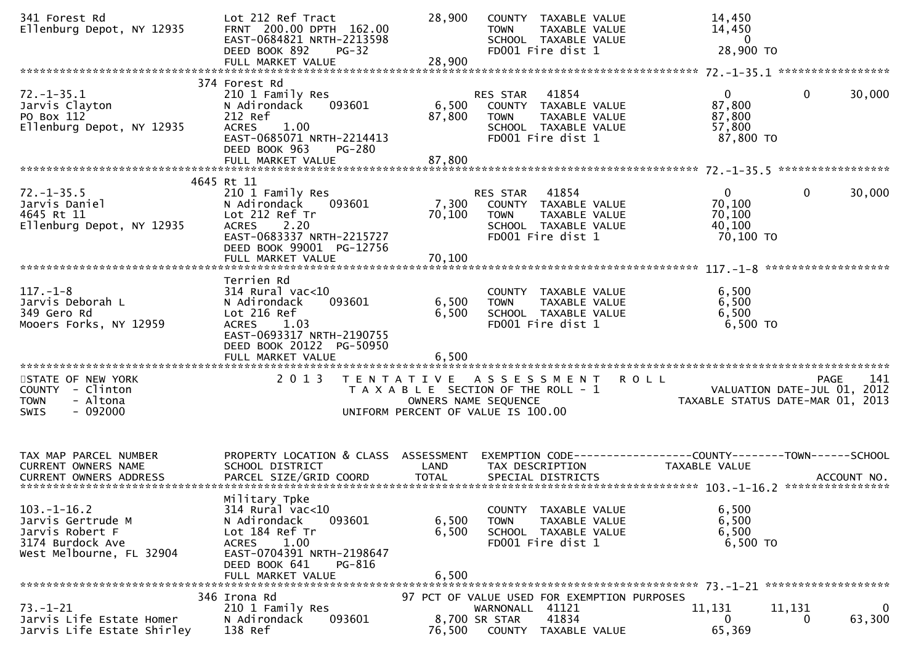| 341 Forest Rd<br>Ellenburg Depot, NY 12935                                                            | Lot 212 Ref Tract<br>FRNT 200.00 DPTH 162.00<br>EAST-0684821 NRTH-2213598<br>DEED BOOK 892<br>$PG-32$<br>FULL MARKET VALUE                                                    | 28,900<br>28,900        | COUNTY TAXABLE VALUE<br>TAXABLE VALUE<br><b>TOWN</b><br>SCHOOL TAXABLE VALUE<br>FD001 Fire dist 1                          | 14,450<br>14,450<br>$\mathbf{0}$<br>28,900 TO                                        |                                                                                       |
|-------------------------------------------------------------------------------------------------------|-------------------------------------------------------------------------------------------------------------------------------------------------------------------------------|-------------------------|----------------------------------------------------------------------------------------------------------------------------|--------------------------------------------------------------------------------------|---------------------------------------------------------------------------------------|
|                                                                                                       |                                                                                                                                                                               |                         |                                                                                                                            |                                                                                      |                                                                                       |
| $72. - 1 - 35.1$<br>Jarvis Clayton<br>PO Box 112<br>Ellenburg Depot, NY 12935                         | 374 Forest Rd<br>210 1 Family Res<br>093601<br>N Adirondack<br>212 Ref<br><b>ACRES</b><br>1.00<br>EAST-0685071 NRTH-2214413<br>DEED BOOK 963<br><b>PG-280</b>                 | 6,500<br>87,800         | 41854<br>RES STAR<br>COUNTY TAXABLE VALUE<br>TAXABLE VALUE<br><b>TOWN</b><br>SCHOOL TAXABLE VALUE<br>FD001 Fire dist 1     | $\mathbf{0}$<br>87,800<br>87,800<br>57,800<br>87,800 TO                              | $\mathbf 0$<br>30,000                                                                 |
|                                                                                                       | FULL MARKET VALUE                                                                                                                                                             | 87,800                  |                                                                                                                            |                                                                                      |                                                                                       |
|                                                                                                       |                                                                                                                                                                               |                         |                                                                                                                            |                                                                                      |                                                                                       |
| $72. - 1 - 35.5$<br>Jarvis Daniel<br>4645 Rt 11<br>Ellenburg Depot, NY 12935                          | 4645 Rt 11<br>210 1 Family Res<br>N Adirondack<br>093601<br>Lot 212 Ref Tr<br><b>ACRES</b><br>2.20<br>EAST-0683337 NRTH-2215727<br>DEED BOOK 99001 PG-12756                   | 7,300<br>70,100         | 41854<br>RES STAR<br>COUNTY TAXABLE VALUE<br>TAXABLE VALUE<br><b>TOWN</b><br>SCHOOL TAXABLE VALUE<br>FD001 Fire dist 1     | $\overline{0}$<br>70,100<br>70,100<br>40,100<br>70,100 TO                            | 0<br>30,000                                                                           |
|                                                                                                       | FULL MARKET VALUE                                                                                                                                                             | 70,100                  |                                                                                                                            |                                                                                      |                                                                                       |
| $117. - 1 - 8$<br>Jarvis Deborah L<br>349 Gero Rd<br>Mooers Forks, NY 12959                           | Terrien Rd<br>314 Rural vac<10<br>N Adirondack<br>093601<br>Lot 216 Ref<br>1.03<br><b>ACRES</b><br>EAST-0693317 NRTH-2190755<br>DEED BOOK 20122 PG-50950<br>FULL MARKET VALUE | 6,500<br>6,500<br>6,500 | COUNTY TAXABLE VALUE<br>TAXABLE VALUE<br><b>TOWN</b><br>SCHOOL TAXABLE VALUE<br>FD001 Fire dist 1                          | 6,500<br>6,500<br>6,500<br>6,500 TO                                                  |                                                                                       |
|                                                                                                       |                                                                                                                                                                               |                         |                                                                                                                            | *************************************                                                |                                                                                       |
| STATE OF NEW YORK<br>COUNTY - Clinton<br>- Altona<br><b>TOWN</b><br>$-092000$<br><b>SWIS</b>          | 2 0 1 3                                                                                                                                                                       | T E N T A T I V E       | A S S E S S M E N T<br>T A X A B L E SECTION OF THE ROLL - 1<br>OWNERS NAME SEQUENCE<br>UNIFORM PERCENT OF VALUE IS 100.00 | <b>ROLL</b>                                                                          | 141<br><b>PAGE</b><br>VALUATION DATE-JUL 01, 2012<br>TAXABLE STATUS DATE-MAR 01, 2013 |
| TAX MAP PARCEL NUMBER<br><b>CURRENT OWNERS NAME</b>                                                   | PROPERTY LOCATION & CLASS ASSESSMENT<br>SCHOOL DISTRICT                                                                                                                       | LAND                    | TAX DESCRIPTION                                                                                                            | EXEMPTION CODE-----------------COUNTY-------TOWN------SCHOOL<br><b>TAXABLE VALUE</b> |                                                                                       |
| $103.-1-16.2$<br>Jarvis Gertrude M<br>Jarvis Robert F<br>3174 Burdock Ave<br>West Melbourne, FL 32904 | Military Tpke<br>$314$ Rural vac<10<br>N Adirondack<br>093601<br>Lot 184 Ref Tr<br>1.00<br>ACRES<br>EAST-0704391 NRTH-2198647<br>DEED BOOK 641<br>PG-816<br>FULL MARKET VALUE | 6,500<br>6,500<br>6,500 | COUNTY TAXABLE VALUE<br>TAXABLE VALUE<br><b>TOWN</b><br>SCHOOL TAXABLE VALUE<br>FD001 Fire dist 1                          | 6,500<br>6,500<br>6,500<br>6,500 TO                                                  |                                                                                       |
|                                                                                                       | 346 Irona Rd                                                                                                                                                                  |                         | 97 PCT OF VALUE USED FOR EXEMPTION PURPOSES                                                                                |                                                                                      |                                                                                       |
| $73. - 1 - 21$<br>Jarvis Life Estate Homer<br>Jarvis Life Estate Shirley                              | 210 1 Family Res<br>093601<br>N Adirondack<br>138 Ref                                                                                                                         | 76,500                  | WARNONALL 41121<br>41834<br>8,700 SR STAR<br>COUNTY TAXABLE VALUE                                                          | 11,131<br>$\Omega$<br>65,369                                                         | 11,131<br>$\mathbf{0}$<br>63,300<br>0                                                 |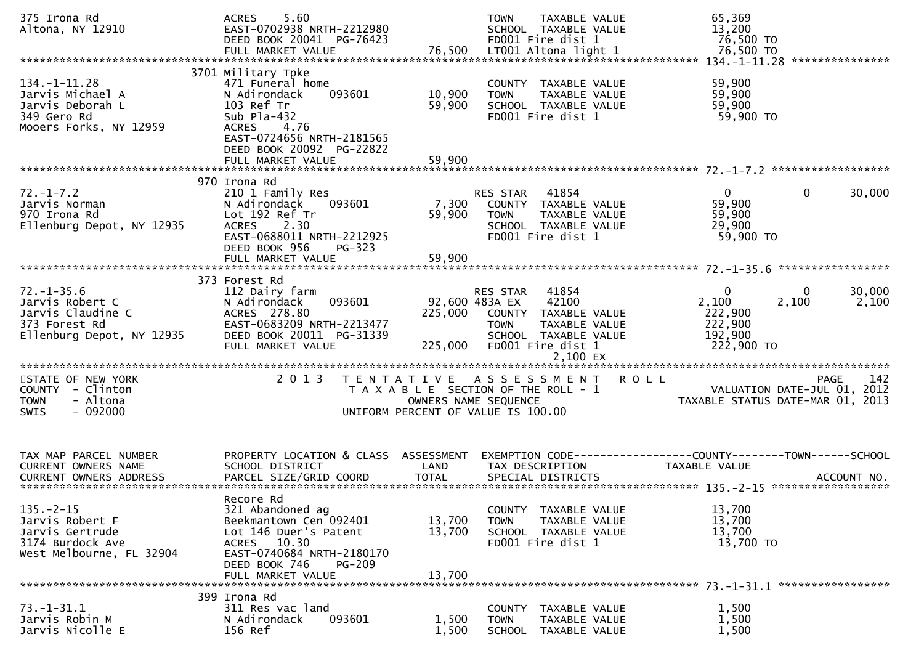| 375 Irona Rd<br>Altona, NY 12910                                                                       | 5.60<br><b>ACRES</b><br>EAST-0702938 NRTH-2212980<br>DEED BOOK 20041 PG-76423                                                                                                       |                            | TAXABLE VALUE<br><b>TOWN</b><br>SCHOOL TAXABLE VALUE<br>FD001 Fire dist 1                                                                         | 65,369<br>13,200<br>76,500 TO                                                             |                    |
|--------------------------------------------------------------------------------------------------------|-------------------------------------------------------------------------------------------------------------------------------------------------------------------------------------|----------------------------|---------------------------------------------------------------------------------------------------------------------------------------------------|-------------------------------------------------------------------------------------------|--------------------|
| $134. - 1 - 11.28$<br>Jarvis Michael A<br>Jarvis Deborah L<br>349 Gero Rd<br>Mooers Forks, NY 12959    | 3701 Military Tpke<br>471 Funeral home<br>093601<br>N Adirondack<br>103 Ref Tr<br>Sub $Pla-432$<br>4.76<br><b>ACRES</b><br>EAST-0724656 NRTH-2181565<br>DEED BOOK 20092 PG-22822    | 10,900<br>59,900           | COUNTY TAXABLE VALUE<br>TAXABLE VALUE<br><b>TOWN</b><br>SCHOOL TAXABLE VALUE<br>FD001 Fire dist 1                                                 | 59,900<br>59,900<br>59,900<br>59,900 TO                                                   |                    |
|                                                                                                        | FULL MARKET VALUE                                                                                                                                                                   | 59,900                     |                                                                                                                                                   |                                                                                           |                    |
| $72. - 1 - 7.2$<br>Jarvis Norman<br>970 Irona Rd<br>Ellenburg Depot, NY 12935                          | 970 Irona Rd<br>210 1 Family Res<br>N Adirondack<br>093601<br>Lot 192 Ref Tr<br><b>ACRES</b><br>2.30<br>EAST-0688011 NRTH-2212925<br>DEED BOOK 956<br>$PG-323$                      | 7,300<br>59,900            | RES STAR<br>41854<br>COUNTY TAXABLE VALUE<br>TAXABLE VALUE<br><b>TOWN</b><br>SCHOOL TAXABLE VALUE<br>FD001 Fire dist 1                            | $\mathbf{0}$<br>$\mathbf 0$<br>59,900<br>59,900<br>29,900<br>59,900 TO                    | 30,000             |
|                                                                                                        | 373 Forest Rd                                                                                                                                                                       |                            |                                                                                                                                                   |                                                                                           |                    |
| $72. - 1 - 35.6$<br>Jarvis Robert C<br>Jarvis Claudine C<br>373 Forest Rd<br>Ellenburg Depot, NY 12935 | 112 Dairy farm<br>093601<br>N Adirondack<br>ACRES 278.80<br>EAST-0683209 NRTH-2213477<br>DEED BOOK 20011 PG-31339<br>FULL MARKET VALUE                                              | 225,000<br>225,000         | 41854<br>RES STAR<br>42100<br>92,600 483A EX<br>COUNTY TAXABLE VALUE<br><b>TOWN</b><br>TAXABLE VALUE<br>SCHOOL TAXABLE VALUE<br>FD001 Fire dist 1 | $\mathbf{0}$<br>$\Omega$<br>2,100<br>2,100<br>222,900<br>222,900<br>192,900<br>222,900 TO | 30,000<br>2,100    |
| STATE OF NEW YORK<br>COUNTY - Clinton<br>- Altona<br><b>TOWN</b><br>$-092000$<br>SWIS                  | 2 0 1 3                                                                                                                                                                             |                            | TENTATIVE ASSESSMENT<br>T A X A B L E SECTION OF THE ROLL - 1<br>OWNERS NAME SEQUENCE<br>UNIFORM PERCENT OF VALUE IS 100.00                       | <b>ROLL</b><br>VALUATION DATE-JUL 01, 2012<br>TAXABLE STATUS DATE-MAR 01, 2013            | 142<br><b>PAGE</b> |
| TAX MAP PARCEL NUMBER<br><b>CURRENT OWNERS NAME</b>                                                    | PROPERTY LOCATION & CLASS ASSESSMENT<br>SCHOOL DISTRICT                                                                                                                             | LAND                       | TAX DESCRIPTION                                                                                                                                   | EXEMPTION CODE-----------------COUNTY-------TOWN------SCHOOL<br><b>TAXABLE VALUE</b>      |                    |
| $135. - 2 - 15$<br>Jarvis Robert F<br>Jarvis Gertrude<br>3174 Burdock Ave<br>West Melbourne, FL 32904  | Recore Rd<br>321 Abandoned ag<br>Beekmantown Cen 092401<br>Lot 146 Duer's Patent<br>ACRES 10.30<br>EAST-0740684 NRTH-2180170<br>DEED BOOK 746<br><b>PG-209</b><br>FULL MARKET VALUE | 13,700<br>13,700<br>13,700 | COUNTY TAXABLE VALUE<br><b>TOWN</b><br>TAXABLE VALUE<br>SCHOOL TAXABLE VALUE<br>FD001 Fire dist 1                                                 | 13,700<br>13,700<br>13,700<br>13,700 TO                                                   |                    |
|                                                                                                        | 399 Irona Rd                                                                                                                                                                        |                            |                                                                                                                                                   |                                                                                           |                    |
| $73. - 1 - 31.1$<br>Jarvis Robin M<br>Jarvis Nicolle E                                                 | 311 Res vac land<br>093601<br>N Adirondack<br>156 Ref                                                                                                                               | 1,500<br>1,500             | COUNTY TAXABLE VALUE<br>TAXABLE VALUE<br><b>TOWN</b><br><b>SCHOOL</b><br>TAXABLE VALUE                                                            | 1,500<br>1,500<br>1,500                                                                   |                    |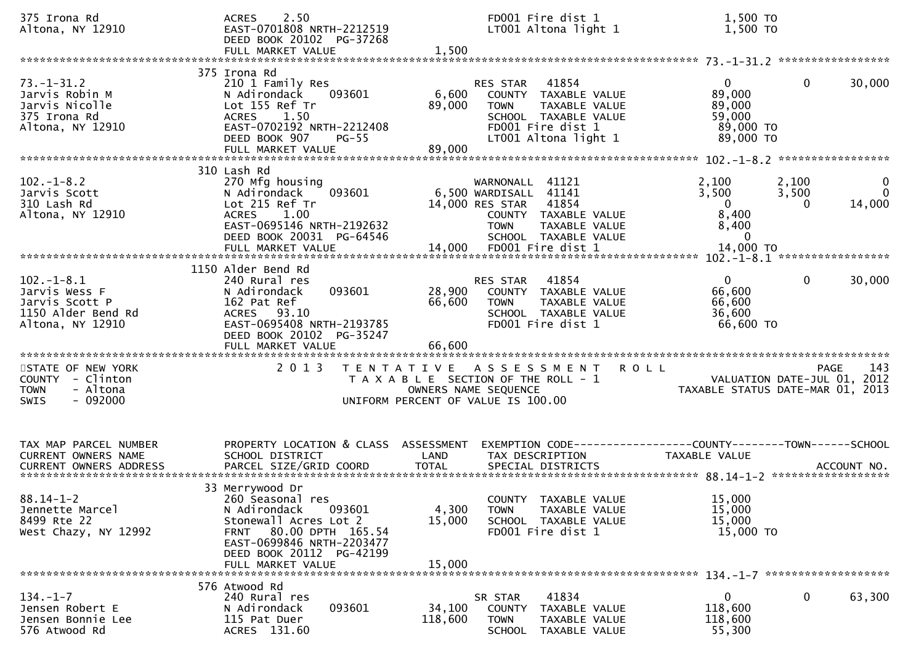| 375 Irona Rd<br>Altona, NY 12910                                                                | 2.50<br><b>ACRES</b><br>EAST-0701808 NRTH-2212519<br>DEED BOOK 20102 PG-37268<br>FULL MARKET VALUE                                                                                             | 1,500                      | FD001 Fire dist 1<br>LT001 Altona light 1                                                                                                                                        |         | 1,500 TO<br>1,500 TO                                                        |                            |                                        |
|-------------------------------------------------------------------------------------------------|------------------------------------------------------------------------------------------------------------------------------------------------------------------------------------------------|----------------------------|----------------------------------------------------------------------------------------------------------------------------------------------------------------------------------|---------|-----------------------------------------------------------------------------|----------------------------|----------------------------------------|
| $73. - 1 - 31.2$<br>Jarvis Robin M<br>Jarvis Nicolle<br>375 Irona Rd<br>Altona, NY 12910        | 375 Irona Rd<br>210 1 Family Res<br>093601<br>N Adirondack<br>Lot 155 Ref Tr<br>ACRES 1.50<br>EAST-0702192 NRTH-2212408<br>DEED BOOK 907<br><b>PG-55</b><br>FULL MARKET VALUE                  | 6,600<br>89,000<br>89,000  | 41854<br>RES STAR<br>COUNTY TAXABLE VALUE<br><b>TOWN</b><br>TAXABLE VALUE<br>SCHOOL TAXABLE VALUE<br>FD001 Fire dist 1<br>LT001 Altona light 1                                   |         | $\overline{0}$<br>89,000<br>89,000<br>59,000<br>89,000 TO<br>89,000 TO      | 0                          | 30,000                                 |
| $102 - 1 - 8.2$<br>Jarvis Scott<br>310 Lash Rd<br>Altona, NY 12910                              | 310 Lash Rd<br>270 Mfg housing<br>093601<br>N Adirondack<br>Lot 215 Ref Tr<br>1.00<br><b>ACRES</b><br>EAST-0695146 NRTH-2192632<br>DEED BOOK 20031 PG-64546<br>FULL MARKET VALUE               |                            | WARNONALL 41121<br>6,500 WARDISALL 41141<br>41854<br>14,000 RES STAR<br>COUNTY TAXABLE VALUE<br><b>TOWN</b><br>TAXABLE VALUE<br>SCHOOL TAXABLE VALUE<br>14,000 FD001 Fire dist 1 |         | 2,100<br>3,500<br>$\overline{0}$<br>8,400<br>8,400<br>$\Omega$<br>14,000 TO | 2,100<br>3,500<br>$\Omega$ | $\mathbf{0}$<br>$\mathbf{0}$<br>14,000 |
| $102. -1 - 8.1$<br>Jarvis Wess F<br>Jarvis Scott P<br>1150 Alder Bend Rd<br>Altona, NY 12910    | 1150 Alder Bend Rd<br>240 Rural res<br>093601<br>N Adirondack<br>162 Pat Ref<br>ACRES 93.10<br>EAST-0695408 NRTH-2193785<br>DEED BOOK 20102 PG-35247<br>FULL MARKET VALUE                      | 28,900<br>66,600<br>66,600 | 41854<br>RES STAR<br>COUNTY TAXABLE VALUE<br>TAXABLE VALUE<br><b>TOWN</b><br>SCHOOL TAXABLE VALUE<br>FD001 Fire dist 1                                                           |         | $\overline{0}$<br>66,600<br>66,600<br>36,600<br>66,600 TO                   | $\mathbf{0}$               | 30,000                                 |
| STATE OF NEW YORK<br>COUNTY<br>- Clinton<br>- Altona<br><b>TOWN</b><br>$-092000$<br><b>SWIS</b> | 2 0 1 3                                                                                                                                                                                        | OWNERS NAME SEQUENCE       | TENTATIVE ASSESSMENT<br>T A X A B L E SECTION OF THE ROLL - 1<br>UNIFORM PERCENT OF VALUE IS 100.00                                                                              | R O L L | VALUATION DATE-JUL 01, 2012<br>TAXABLE STATUS DATE-MAR 01, 2013             | PAGE                       | 143                                    |
| TAX MAP PARCEL NUMBER<br>CURRENT OWNERS NAME<br><b>CURRENT OWNERS ADDRESS</b>                   | PROPERTY LOCATION & CLASS ASSESSMENT<br>SCHOOL DISTRICT<br>PARCEL SIZE/GRID COORD                                                                                                              | LAND<br><b>TOTAL</b>       | EXEMPTION CODE-----------------COUNTY-------TOWN------SCHOOL<br>TAX DESCRIPTION<br>SPECIAL DISTRICTS                                                                             |         | TAXABLE VALUE                                                               |                            | ACCOUNT NO.                            |
| $88.14 - 1 - 2$<br>Jennette Marcel<br>8499 Rte 22<br>West Chazy, NY 12992                       | 33 Merrywood Dr<br>260 Seasonal res<br>093601<br>N Adirondack<br>Stonewall Acres Lot 2<br>FRNT 80.00 DPTH 165.54<br>EAST-0699846 NRTH-2203477<br>DEED BOOK 20112 PG-42199<br>FULL MARKET VALUE | 4,300<br>15,000<br>15,000  | COUNTY TAXABLE VALUE<br>TAXABLE VALUE<br><b>TOWN</b><br>SCHOOL TAXABLE VALUE<br>FD001 Fire dist 1                                                                                |         | 15,000<br>15,000<br>15,000<br>15,000 TO                                     |                            |                                        |
| $134. - 1 - 7$<br>Jensen Robert E<br>Jensen Bonnie Lee<br>576 Atwood Rd                         | 576 Atwood Rd<br>240 Rural res<br>093601<br>N Adirondack<br>115 Pat Duer<br>ACRES 131.60                                                                                                       | 34,100<br>118,600          | 41834<br>SR STAR<br>COUNTY TAXABLE VALUE<br><b>TOWN</b><br>TAXABLE VALUE<br>SCHOOL TAXABLE VALUE                                                                                 |         | $\mathbf{0}$<br>118,600<br>118,600<br>55,300                                | $\mathbf{0}$               | 63,300                                 |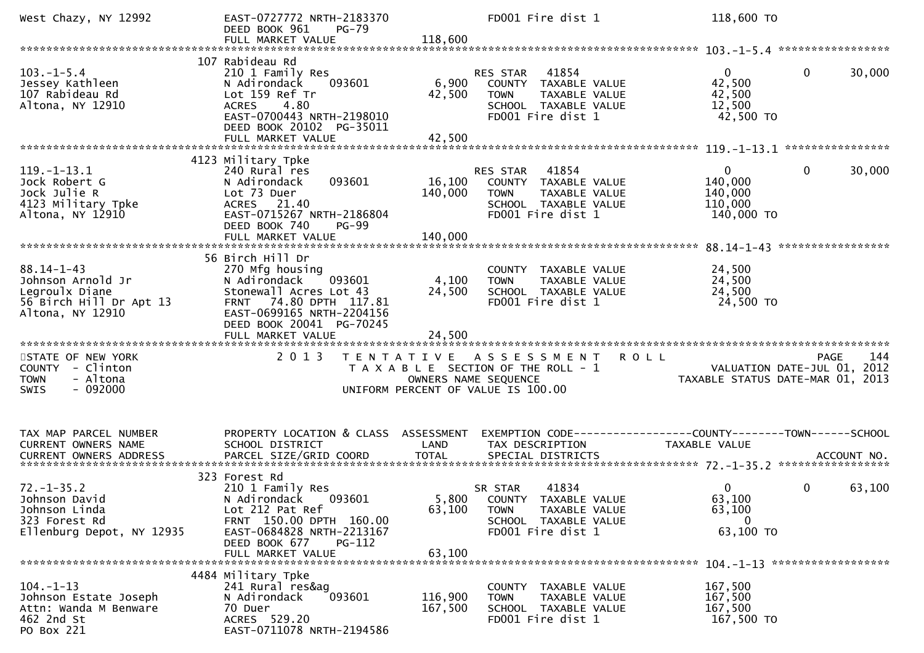| West Chazy, NY 12992                                                                                   | EAST-0727772 NRTH-2183370<br>DEED BOOK 961<br><b>PG-79</b><br>FULL MARKET VALUE                                                                                                                 | 118,600                   | FD001 Fire dist 1                                                                                                             | 118,600 TO                                                    |                                                   |
|--------------------------------------------------------------------------------------------------------|-------------------------------------------------------------------------------------------------------------------------------------------------------------------------------------------------|---------------------------|-------------------------------------------------------------------------------------------------------------------------------|---------------------------------------------------------------|---------------------------------------------------|
|                                                                                                        |                                                                                                                                                                                                 |                           |                                                                                                                               |                                                               |                                                   |
| $103. - 1 - 5.4$<br>Jessey Kathleen<br>107 Rabideau Rd<br>Altona, NY 12910                             | 107 Rabideau Rd<br>210 1 Family Res<br>093601<br>N Adirondack<br>Lot 159 Ref Tr<br>4.80<br><b>ACRES</b><br>EAST-0700443 NRTH-2198010<br>DEED BOOK 20102 PG-35011<br>FULL MARKET VALUE           | 6,900<br>42,500<br>42,500 | 41854<br><b>RES STAR</b><br>COUNTY TAXABLE VALUE<br><b>TOWN</b><br>TAXABLE VALUE<br>SCHOOL TAXABLE VALUE<br>FD001 Fire dist 1 | $\overline{0}$<br>42,500<br>42,500<br>12,500<br>42,500 TO     | $\mathbf{0}$<br>30,000                            |
|                                                                                                        | 4123 Military Tpke                                                                                                                                                                              |                           |                                                                                                                               |                                                               |                                                   |
| $119. - 1 - 13.1$<br>Jock Robert G<br>Jock Julie R<br>4123 Military Tpke<br>Altona, NY 12910           | 240 Rural res<br>093601<br>N Adirondack<br>Lot 73 Duer<br>ACRES 21.40<br>EAST-0715267 NRTH-2186804<br>DEED BOOK 740<br>$PG-99$                                                                  | 16,100<br>140,000         | 41854<br>RES STAR<br>COUNTY TAXABLE VALUE<br><b>TOWN</b><br>TAXABLE VALUE<br>SCHOOL TAXABLE VALUE<br>FD001 Fire dist 1        | $\overline{0}$<br>140,000<br>140,000<br>110,000<br>140,000 TO | $\mathbf{0}$<br>30,000                            |
|                                                                                                        | FULL MARKET VALUE                                                                                                                                                                               | 140,000                   |                                                                                                                               |                                                               |                                                   |
| $88.14 - 1 - 43$<br>Johnson Arnold Jr<br>Legroulx Diane<br>56 Birch Hill Dr Apt 13<br>Altona, NY 12910 | 56 Birch Hill Dr<br>270 Mfg housing<br>093601<br>N Adirondack<br>Stonewall Acres Lot 43<br>FRNT 74.80 DPTH 117.81<br>EAST-0699165 NRTH-2204156<br>DEED BOOK 20041 PG-70245<br>FULL MARKET VALUE | 4,100<br>24,500<br>24,500 | COUNTY TAXABLE VALUE<br><b>TOWN</b><br>TAXABLE VALUE<br>SCHOOL TAXABLE VALUE<br>FD001 Fire dist 1                             | 24,500<br>24,500<br>24,500<br>24,500 TO                       |                                                   |
| STATE OF NEW YORK<br>COUNTY - Clinton<br><b>TOWN</b><br>- Altona<br>$-092000$<br><b>SWIS</b>           | 2 0 1 3                                                                                                                                                                                         |                           | TENTATIVE ASSESSMENT<br>T A X A B L E SECTION OF THE ROLL - 1<br>OWNERS NAME SEQUENCE<br>UNIFORM PERCENT OF VALUE IS 100.00   | <b>ROLL</b><br>TAXABLE STATUS DATE-MAR 01, 2013               | 144<br><b>PAGE</b><br>VALUATION DATE-JUL 01, 2012 |
| TAX MAP PARCEL NUMBER<br>CURRENT OWNERS NAME                                                           | PROPERTY LOCATION & CLASS ASSESSMENT<br>SCHOOL DISTRICT                                                                                                                                         | LAND                      | TAX DESCRIPTION                                                                                                               | TAXABLE VALUE                                                 |                                                   |
| $72. - 1 - 35.2$<br>Johnson David<br>Johnson Linda<br>323 Forest Rd<br>Ellenburg Depot, NY 12935       | 323 Forest Rd<br>210 1 Family Res<br>093601<br>N Adirondack<br>Lot 212 Pat Ref<br>FRNT 150.00 DPTH 160.00<br>EAST-0684828 NRTH-2213167<br><b>PG-112</b><br>DEED BOOK 677<br>FULL MARKET VALUE   | 63,100<br>63,100          | 41834<br>SR STAR<br>5,800 COUNTY TAXABLE VALUE<br>TAXABLE VALUE<br><b>TOWN</b><br>SCHOOL TAXABLE VALUE<br>FD001 Fire dist 1   | 0<br>63,100<br>63,100<br>$\mathbf{0}$<br>63,100 TO            | $\mathbf{0}$<br>63,100                            |
|                                                                                                        | 4484 Military Tpke                                                                                                                                                                              |                           |                                                                                                                               |                                                               |                                                   |
| $104. - 1 - 13$<br>Johnson Estate Joseph<br>Attn: Wanda M Benware<br>462 2nd St<br>PO Box 221          | 241 Rural res&ag<br>093601<br>N Adirondack<br>70 Duer<br>ACRES 529.20<br>EAST-0711078 NRTH-2194586                                                                                              | 116,900<br>167,500        | COUNTY TAXABLE VALUE<br>TAXABLE VALUE<br><b>TOWN</b><br>SCHOOL TAXABLE VALUE<br>FD001 Fire dist 1                             | 167,500<br>167,500<br>167,500<br>167,500 TO                   |                                                   |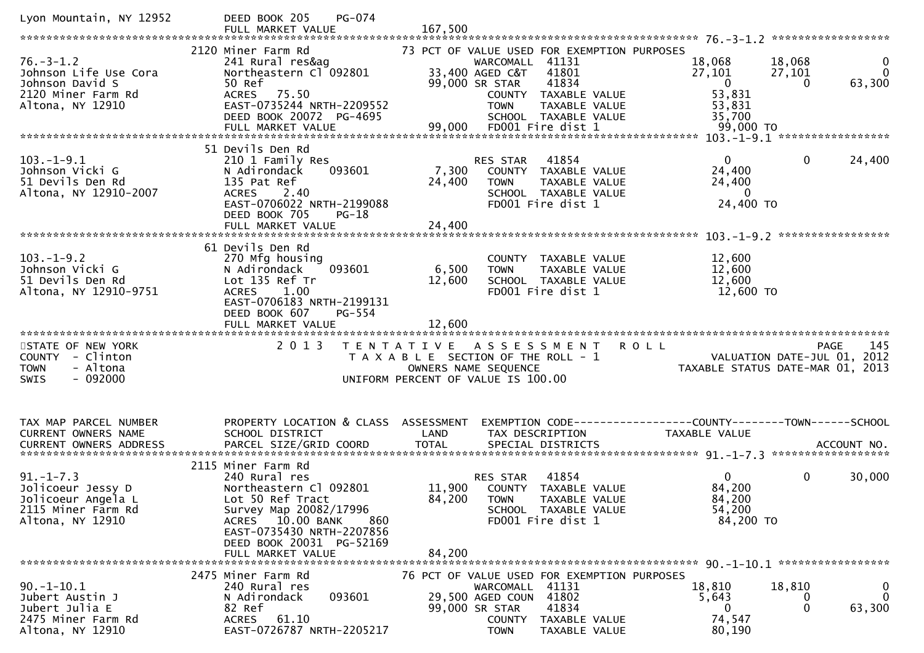| Lyon Mountain, NY 12952              | DEED BOOK 205<br>PG-074                                      |        |                                                                |                                                              |                        |
|--------------------------------------|--------------------------------------------------------------|--------|----------------------------------------------------------------|--------------------------------------------------------------|------------------------|
|                                      |                                                              |        |                                                                |                                                              |                        |
| $76. - 3 - 1.2$                      | 2120 Miner Farm Rd<br>241 Rural res&ag                       |        | 73 PCT OF VALUE USED FOR EXEMPTION PURPOSES<br>WARCOMALL 41131 | 18,068<br>18,068                                             | 0                      |
| Johnson Life Use Cora                | Northeastern Cl 092801                                       |        | 33,400 AGED C&T<br>41801                                       | 27,101<br>27,101                                             | $\mathbf{0}$           |
| Johnson David S                      | 50 Ref                                                       |        | 99,000 SR STAR<br>41834                                        | $\overline{0}$                                               | 63,300<br>$\Omega$     |
| 2120 Miner Farm Rd                   | ACRES 75.50                                                  |        | COUNTY TAXABLE VALUE                                           | 53,831                                                       |                        |
| Altona, NY 12910                     | EAST-0735244 NRTH-2209552                                    |        | <b>TOWN</b><br><b>TAXABLE VALUE</b>                            | 53,831                                                       |                        |
|                                      | DEED BOOK 20072 PG-4695                                      |        | SCHOOL TAXABLE VALUE                                           | 35,700                                                       |                        |
|                                      |                                                              |        |                                                                |                                                              |                        |
|                                      |                                                              |        |                                                                |                                                              |                        |
|                                      | 51 Devils Den Rd                                             |        |                                                                |                                                              |                        |
| $103.-1-9.1$                         | 210 1 Family Res                                             |        | RES STAR<br>41854                                              | $\overline{0}$                                               | 24,400<br>$\mathbf{0}$ |
| Johnson Vicki G                      | 093601<br>N Adirondack                                       | 7,300  | COUNTY TAXABLE VALUE                                           | 24,400                                                       |                        |
| 51 Devils Den Rd                     | 135 Pat Ref                                                  | 24,400 | <b>TOWN</b><br>TAXABLE VALUE                                   | 24,400                                                       |                        |
| Altona, NY 12910-2007                | 2.40<br><b>ACRES</b>                                         |        | SCHOOL TAXABLE VALUE                                           | $\mathbf{0}$                                                 |                        |
|                                      | EAST-0706022 NRTH-2199088                                    |        | FD001 Fire dist 1                                              | 24,400 TO                                                    |                        |
|                                      | DEED BOOK 705<br>$PG-18$                                     |        |                                                                |                                                              |                        |
|                                      | FULL MARKET VALUE                                            | 24,400 |                                                                |                                                              |                        |
|                                      | 61 Devils Den Rd                                             |        |                                                                |                                                              |                        |
| $103.-1-9.2$                         | 270 Mfg housing                                              |        | COUNTY TAXABLE VALUE                                           | 12,600                                                       |                        |
| Johnson Vicki G                      | 093601<br>N Adirondack                                       | 6,500  | <b>TOWN</b><br>TAXABLE VALUE                                   | 12,600                                                       |                        |
| 51 Devils Den Rd                     | Lot 135 Ref Tr                                               | 12,600 | SCHOOL TAXABLE VALUE                                           | 12,600                                                       |                        |
| Altona, NY 12910-9751                | ACRES 1.00                                                   |        | FD001 Fire dist 1                                              | 12,600 TO                                                    |                        |
|                                      | EAST-0706183 NRTH-2199131                                    |        |                                                                |                                                              |                        |
|                                      | DEED BOOK 607<br>PG-554                                      |        |                                                                |                                                              |                        |
|                                      | FULL MARKET VALUE                                            | 12,600 |                                                                |                                                              |                        |
|                                      |                                                              |        |                                                                |                                                              |                        |
|                                      |                                                              |        |                                                                |                                                              |                        |
| STATE OF NEW YORK                    | 2 0 1 3                                                      |        | TENTATIVE ASSESSMENT                                           | <b>ROLL</b>                                                  | 145<br>PAGE            |
| COUNTY - Clinton                     |                                                              |        | T A X A B L E SECTION OF THE ROLL - 1                          | VALUATION DATE-JUL 01,                                       | 2012                   |
| - Altona<br><b>TOWN</b>              |                                                              |        | OWNERS NAME SEQUENCE                                           | TAXABLE STATUS DATE-MAR 01, 2013                             |                        |
| $-092000$<br><b>SWIS</b>             |                                                              |        | UNIFORM PERCENT OF VALUE IS 100.00                             |                                                              |                        |
|                                      |                                                              |        |                                                                |                                                              |                        |
|                                      |                                                              |        |                                                                |                                                              |                        |
| TAX MAP PARCEL NUMBER                | PROPERTY LOCATION & CLASS ASSESSMENT                         |        |                                                                | EXEMPTION CODE-----------------COUNTY-------TOWN------SCHOOL |                        |
| CURRENT OWNERS NAME                  | SCHOOL DISTRICT                                              | LAND   | TAX DESCRIPTION                                                | TAXABLE VALUE                                                |                        |
|                                      |                                                              |        |                                                                |                                                              |                        |
|                                      |                                                              |        |                                                                |                                                              |                        |
|                                      | 2115 Miner Farm Rd                                           |        |                                                                |                                                              |                        |
| $91. - 1 - 7.3$                      | 240 Rural res                                                |        | 41854<br>RES STAR                                              | $\mathbf{0}$                                                 | $\mathbf 0$<br>30,000  |
| Jolicoeur Jessy D                    | Northeastern Cl 092801                                       | 11,900 | COUNTY TAXABLE VALUE                                           | 84,200                                                       |                        |
| Jolicoeur Angela L                   | Lot 50 Ref Tract                                             | 84,200 | <b>TOWN</b><br>TAXABLE VALUE                                   | 84,200                                                       |                        |
| 2115 Miner Farm Rd                   | Survey Map 20082/17996                                       |        | SCHOOL TAXABLE VALUE                                           | 54,200                                                       |                        |
| Altona, NY 12910                     | ACRES 10.00 BANK<br>860                                      |        | FD001 Fire dist 1                                              | 84,200 TO                                                    |                        |
|                                      | EAST-0735430 NRTH-2207856                                    |        |                                                                |                                                              |                        |
|                                      | DEED BOOK 20031 PG-52169                                     |        |                                                                |                                                              |                        |
| **************************           | FULL MARKET VALUE<br>*******************************         | 84,200 |                                                                |                                                              |                        |
|                                      |                                                              |        |                                                                |                                                              |                        |
|                                      | 2475 Miner Farm Rd                                           |        | 76 PCT OF VALUE USED FOR EXEMPTION PURPOSES                    |                                                              |                        |
| $90. - 1 - 10.1$                     | 240 Rural res                                                |        | WARCOMALL 41131                                                | 18,810<br>18,810                                             | 0<br>$\mathbf 0$<br>0  |
| Jubert Austin J                      | 093601<br>N Adirondack                                       |        | 29,500 AGED COUN 41802                                         | 5,643<br>0                                                   | $\Omega$               |
| Jubert Julia E<br>2475 Miner Farm Rd | 82 Ref<br><b>ACRES</b><br>61.10<br>EAST-0726787 NRTH-2205217 |        | 99,000 SR STAR<br>41834<br>COUNTY<br>TAXABLE VALUE             | 74,547                                                       | 63,300                 |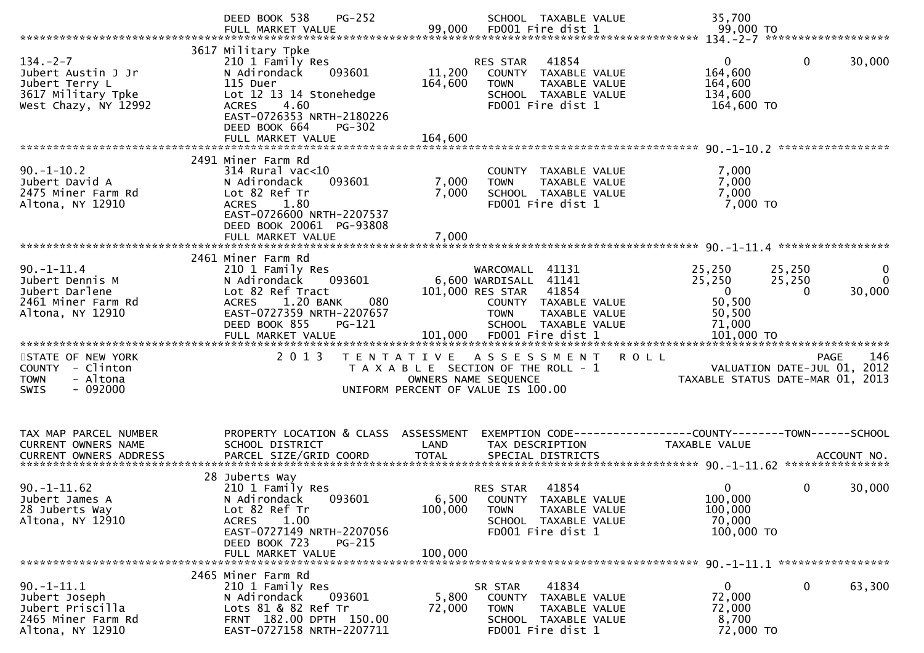|                                                                                                     | PG-252<br>DEED BOOK 538                                                                                                                                                                                             |                              | SCHOOL TAXABLE VALUE                                                                                                                                  | 35,700                                                                        |                                                                                       |
|-----------------------------------------------------------------------------------------------------|---------------------------------------------------------------------------------------------------------------------------------------------------------------------------------------------------------------------|------------------------------|-------------------------------------------------------------------------------------------------------------------------------------------------------|-------------------------------------------------------------------------------|---------------------------------------------------------------------------------------|
| $134. -2 - 7$<br>Jubert Austin J Jr<br>Jubert Terry L<br>3617 Military Tpke<br>West Chazy, NY 12992 | 3617 Military Tpke<br>210 1 Family Res<br>093601<br>N Adirondack<br>115 Duer<br>Lot 12 13 14 Stonehedge<br>4.60<br><b>ACRES</b><br>EAST-0726353 NRTH-2180226<br>DEED BOOK 664<br><b>PG-302</b><br>FULL MARKET VALUE | 11,200<br>164,600<br>164,600 | 41854<br>RES STAR<br>COUNTY TAXABLE VALUE<br><b>TOWN</b><br>TAXABLE VALUE<br>SCHOOL TAXABLE VALUE<br>FD001 Fire dist 1                                | $\mathbf{0}$<br>164,600<br>164,600<br>134,600<br>164,600 TO                   | $\mathbf{0}$<br>30,000                                                                |
| $90. -1 - 10.2$<br>Jubert David A<br>2475 Miner Farm Rd<br>Altona, NY 12910                         | 2491 Miner Farm Rd<br>$314$ Rural vac<10<br>093601<br>N Adirondack<br>Lot 82 Ref Tr<br><b>ACRES</b><br>1.80<br>EAST-0726600 NRTH-2207537<br>DEED BOOK 20061 PG-93808<br>FULL MARKET VALUE                           | 7,000<br>7,000<br>7,000      | COUNTY TAXABLE VALUE<br><b>TOWN</b><br>TAXABLE VALUE<br>SCHOOL TAXABLE VALUE<br>FD001 Fire dist 1                                                     | 7,000<br>7,000<br>7,000<br>7,000 TO                                           |                                                                                       |
| $90. -1 - 11.4$<br>Jubert Dennis M<br>Jubert Darlene<br>2461 Miner Farm Rd<br>Altona, NY 12910      | 2461 Miner Farm Rd<br>210 1 Family Res<br>N Adirondack<br>093601<br>Lot 82 Ref Tract<br>1.20 BANK<br>080<br><b>ACRES</b><br>EAST-0727359 NRTH-2207657<br>DEED BOOK 855<br><b>PG-121</b>                             |                              | WARCOMALL 41131<br>6,600 WARDISALL 41141<br>101,000 RES STAR<br>41854<br>COUNTY TAXABLE VALUE<br><b>TOWN</b><br>TAXABLE VALUE<br>SCHOOL TAXABLE VALUE | 25,250<br>25,250<br>$\overline{0}$<br>50,500<br>50,500<br>71,000              | 25,250<br>0<br>25,250<br>$\Omega$<br>30,000<br>0                                      |
| STATE OF NEW YORK<br>COUNTY - Clinton<br>- Altona<br><b>TOWN</b><br>$-092000$<br><b>SWIS</b>        | 2 0 1 3                                                                                                                                                                                                             |                              | TENTATIVE ASSESSMENT<br>T A X A B L E SECTION OF THE ROLL - 1<br>OWNERS NAME SEQUENCE<br>UNIFORM PERCENT OF VALUE IS 100.00                           | <b>ROLL</b>                                                                   | 146<br><b>PAGE</b><br>VALUATION DATE-JUL 01, 2012<br>TAXABLE STATUS DATE-MAR 01, 2013 |
| TAX MAP PARCEL NUMBER<br><b>CURRENT OWNERS NAME</b>                                                 | PROPERTY LOCATION & CLASS ASSESSMENT<br>SCHOOL DISTRICT                                                                                                                                                             | LAND                         | TAX DESCRIPTION                                                                                                                                       | EXEMPTION CODE-----------------COUNTY-------TOWN------SCHOOL<br>TAXABLE VALUE |                                                                                       |
| $90. -1 - 11.62$<br>Jubert James A<br>28 Juberts Way<br>Altona, NY 12910                            | 28 Juberts Way<br>210 1 Family Res<br>N Adirondack<br>093601<br>Lot 82 Ref Tr<br>1.00<br><b>ACRES</b><br>EAST-0727149 NRTH-2207056<br>DEED BOOK 723<br><b>PG-215</b><br>FULL MARKET VALUE                           | 6,500<br>100,000<br>100,000  | 41854<br><b>RES STAR</b><br>COUNTY TAXABLE VALUE<br><b>TOWN</b><br>TAXABLE VALUE<br>SCHOOL TAXABLE VALUE<br>FD001 Fire dist 1                         | 0<br>100,000<br>100,000<br>70,000<br>100,000 TO                               | 0<br>30,000                                                                           |
| $90. -1 - 11.1$<br>Jubert Joseph<br>Jubert Priscilla<br>2465 Miner Farm Rd<br>Altona, NY 12910      | 2465 Miner Farm Rd<br>210 1 Family Res<br>N Adirondack<br>093601<br>Lots 81 & 82 Ref Tr<br>FRNT 182.00 DPTH 150.00<br>EAST-0727158 NRTH-2207711                                                                     | 5,800<br>72,000              | 41834<br>SR STAR<br>COUNTY TAXABLE VALUE<br>TAXABLE VALUE<br><b>TOWN</b><br>SCHOOL TAXABLE VALUE<br>FD001 Fire dist 1                                 | 0<br>72,000<br>72,000<br>8,700<br>72,000 TO                                   | 63,300<br>0                                                                           |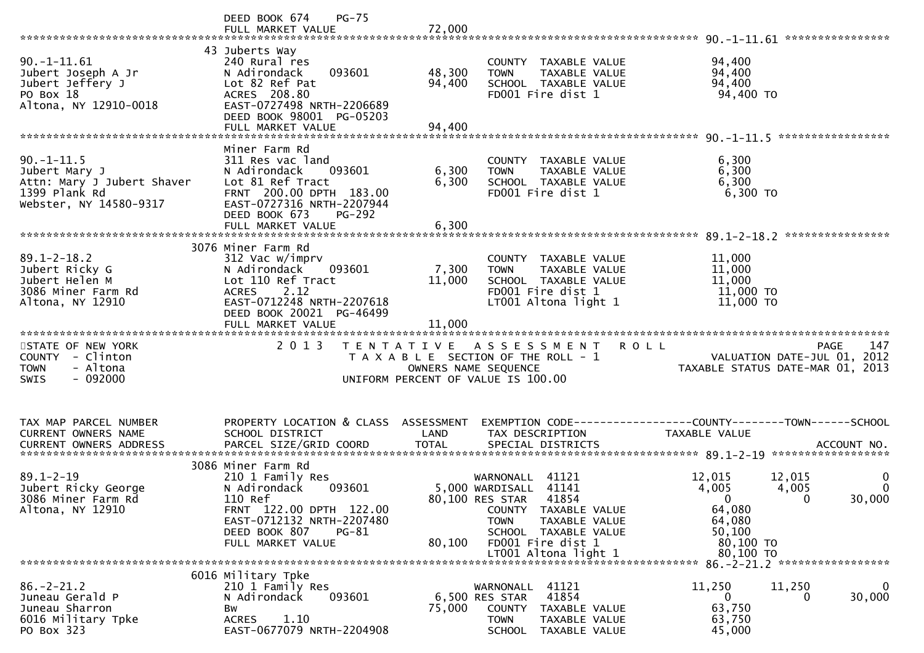|                                                                                                           | DEED BOOK 674<br>$PG-75$                                                                                                                                                  |                      |                                                                                                                              |                                                                                                         |
|-----------------------------------------------------------------------------------------------------------|---------------------------------------------------------------------------------------------------------------------------------------------------------------------------|----------------------|------------------------------------------------------------------------------------------------------------------------------|---------------------------------------------------------------------------------------------------------|
| $90. -1 - 11.61$<br>Jubert Joseph A Jr<br>Jubert Jeffery J<br>PO Box 18<br>Altona, NY 12910-0018          | 43 Juberts Way<br>240 Rural res<br>093601<br>N Adirondack<br>Lot 82 Ref Pat<br>ACRES 208.80<br>EAST-0727498 NRTH-2206689<br>DEED BOOK 98001 PG-05203                      | 48,300<br>94,400     | COUNTY TAXABLE VALUE<br><b>TOWN</b><br>TAXABLE VALUE<br>SCHOOL TAXABLE VALUE<br>FD001 Fire dist 1                            | 94,400<br>94,400<br>94,400<br>94,400 TO                                                                 |
|                                                                                                           |                                                                                                                                                                           |                      |                                                                                                                              |                                                                                                         |
| $90. -1 - 11.5$<br>Jubert Mary J<br>Attn: Mary J Jubert Shaver<br>1399 Plank Rd<br>Webster, NY 14580-9317 | Miner Farm Rd<br>311 Res vac land<br>N Adirondack<br>093601<br>Lot 81 Ref Tract<br>FRNT 200.00 DPTH 183.00<br>EAST-0727316 NRTH-2207944<br>DEED BOOK 673<br><b>PG-292</b> | 6,300<br>6,300       | COUNTY TAXABLE VALUE<br>TAXABLE VALUE<br><b>TOWN</b><br>SCHOOL TAXABLE VALUE<br>FD001 Fire dist 1                            | 6,300<br>6,300<br>6,300<br>6,300 TO                                                                     |
|                                                                                                           |                                                                                                                                                                           |                      |                                                                                                                              | ****************                                                                                        |
|                                                                                                           | 3076 Miner Farm Rd                                                                                                                                                        |                      |                                                                                                                              |                                                                                                         |
| $89.1 - 2 - 18.2$<br>Jubert Ricky G<br>Jubert Helen M<br>3086 Miner Farm Rd<br>Altona, NY 12910           | 312 Vac w/imprv<br>093601<br>N Adirondack<br>Lot 110 Ref Tract<br>2.12<br><b>ACRES</b><br>EAST-0712248 NRTH-2207618                                                       | 7,300<br>11,000      | COUNTY TAXABLE VALUE<br>TAXABLE VALUE<br><b>TOWN</b><br>SCHOOL TAXABLE VALUE<br>FD001 Fire dist 1<br>LT001 Altona light 1    | 11,000<br>11,000<br>11,000<br>11,000 TO<br>11,000 TO                                                    |
|                                                                                                           | DEED BOOK 20021 PG-46499<br>FULL MARKET VALUE                                                                                                                             | 11,000               |                                                                                                                              |                                                                                                         |
|                                                                                                           |                                                                                                                                                                           |                      |                                                                                                                              |                                                                                                         |
|                                                                                                           |                                                                                                                                                                           |                      |                                                                                                                              |                                                                                                         |
| STATE OF NEW YORK<br>COUNTY - Clinton<br>- Altona<br><b>TOWN</b><br>$-092000$<br><b>SWIS</b>              | 2 0 1 3                                                                                                                                                                   | OWNERS NAME SEQUENCE | R O L L<br>TENTATIVE ASSESSMENT<br>T A X A B L E SECTION OF THE ROLL - 1<br>UNIFORM PERCENT OF VALUE IS 100.00               | 147<br><b>PAGE</b><br>VALUATION DATE-JUL 01, 2012<br>TAXABLE STATUS DATE-MAR 01, 2013                   |
|                                                                                                           |                                                                                                                                                                           |                      |                                                                                                                              |                                                                                                         |
| TAX MAP PARCEL NUMBER<br>CURRENT OWNERS NAME                                                              | PROPERTY LOCATION & CLASS ASSESSMENT<br>SCHOOL DISTRICT                                                                                                                   | LAND                 | TAX DESCRIPTION                                                                                                              | TAXABLE VALUE                                                                                           |
|                                                                                                           |                                                                                                                                                                           |                      |                                                                                                                              |                                                                                                         |
| $89.1 - 2 - 19$<br>Jubert Ricky George<br>3086 Miner Farm Rd<br>Altona, NY 12910                          | 3086 Miner Farm Rd<br>210 1 Family Res<br>N Adirondack<br>093601<br>110 Ref<br>FRNT 122.00 DPTH 122.00<br>EAST-0712132 NRTH-2207480                                       |                      | WARNONALL 41121<br>5,000 WARDISALL 41141<br>41854<br>80,100 RES STAR<br>COUNTY TAXABLE VALUE<br>TAXABLE VALUE<br><b>TOWN</b> | 12,015<br>12,015<br>0<br>$\mathbf{0}$<br>4,005<br>4,005<br>30,000<br>$\Omega$<br>0<br>64,080<br>64,080  |
|                                                                                                           | DEED BOOK 807<br>PG-81<br>FULL MARKET VALUE                                                                                                                               | 80,100               | SCHOOL TAXABLE VALUE<br>FD001 Fire dist 1                                                                                    | 50,100<br>80,100 TO                                                                                     |
|                                                                                                           |                                                                                                                                                                           |                      |                                                                                                                              | 80,100 TO                                                                                               |
| $86. - 2 - 21.2$<br>Juneau Gerald P<br>Juneau Sharron                                                     | 6016 Military Tpke<br>210 1 Family Res<br>N Adirondack<br>093601<br>Вw                                                                                                    | 75,000               | 41121<br>WARNONALL<br>6,500 RES STAR<br>41854<br>COUNTY<br>TAXABLE VALUE                                                     | 86. - 2 - 21. 2 ******************<br>11,250<br>11,250<br>0<br>30,000<br>$\Omega$<br>$\Omega$<br>63,750 |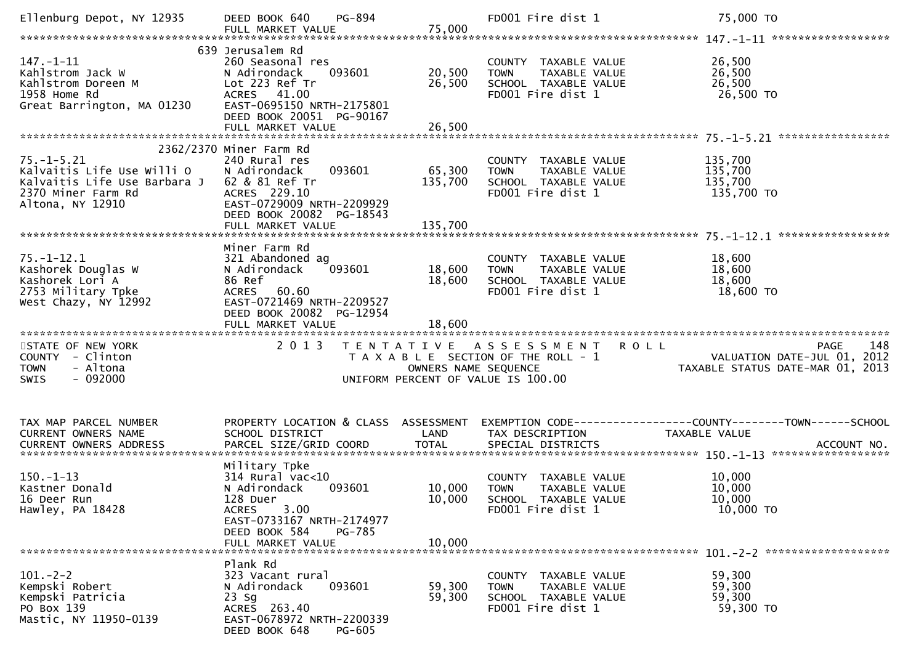| Ellenburg Depot, NY 12935                                                                                                               | PG-894<br>DEED BOOK 640                                                                                                                                                           |                            | FD001 Fire dist 1                                                                                                 | 75,000 TO                                                                                                         |
|-----------------------------------------------------------------------------------------------------------------------------------------|-----------------------------------------------------------------------------------------------------------------------------------------------------------------------------------|----------------------------|-------------------------------------------------------------------------------------------------------------------|-------------------------------------------------------------------------------------------------------------------|
| $147. - 1 - 11$<br>Kahlstrom Jack W<br>Kahlstrom Doreen M<br>1958 Home Rd<br>Great Barrington, MA 01230                                 | 639 Jerusalem Rd<br>260 Seasonal res<br>093601<br>N Adirondack<br>Lot 223 Ref Tr<br>ACRES 41.00<br>EAST-0695150 NRTH-2175801<br>DEED BOOK 20051 PG-90167                          | 20,500<br>26,500           | COUNTY TAXABLE VALUE<br><b>TOWN</b><br>TAXABLE VALUE<br>SCHOOL TAXABLE VALUE<br>FD001 Fire dist 1                 | 26,500<br>26,500<br>26,500<br>26,500 TO                                                                           |
| $75. - 1 - 5.21$<br>Kalvaitis Life Use Willi O<br>Kalvaitis Life Use Barbara J 62 & 81 Ref Tr<br>2370 Miner Farm Rd<br>Altona, NY 12910 | 2362/2370 Miner Farm Rd<br>240 Rural res<br>093601<br>N Adirondack<br>ACRES 229.10<br>EAST-0729009 NRTH-2209929<br>DEED BOOK 20082 PG-18543                                       | 65,300<br>135,700          | COUNTY TAXABLE VALUE<br>TAXABLE VALUE<br><b>TOWN</b><br>SCHOOL TAXABLE VALUE<br>FD001 Fire dist 1                 | 135,700<br>135,700<br>135,700<br>135,700 TO                                                                       |
| $75. - 1 - 12.1$<br>Kashorek Douglas W<br>Kashorek Lori A<br>2753 Military Tpke<br>West Chazy, NY 12992                                 | Miner Farm Rd<br>321 Abandoned ag<br>093601<br>N Adirondack<br>86 Ref<br>ACRES 60.60<br>EAST-0721469 NRTH-2209527<br>DEED BOOK 20082 PG-12954<br>FULL MARKET VALUE                | 18,600<br>18,600<br>18,600 | COUNTY TAXABLE VALUE<br><b>TOWN</b><br>TAXABLE VALUE<br>SCHOOL TAXABLE VALUE<br>FD001 Fire dist 1                 | 18,600<br>18,600<br>18,600<br>18,600 TO                                                                           |
| STATE OF NEW YORK<br>COUNTY - Clinton<br>- Altona<br><b>TOWN</b><br>$-092000$<br><b>SWIS</b>                                            | 2 0 1 3<br>T E N T A T I V E                                                                                                                                                      | OWNERS NAME SEQUENCE       | <b>ROLL</b><br>A S S E S S M E N T<br>T A X A B L E SECTION OF THE ROLL - 1<br>UNIFORM PERCENT OF VALUE IS 100.00 | 148<br><b>PAGE</b><br>VALUATION DATE-JUL 01, 2012<br>TAXABLE STATUS DATE-MAR 01, 2013                             |
| TAX MAP PARCEL NUMBER<br>CURRENT OWNERS NAME<br><b>CURRENT OWNERS ADDRESS</b>                                                           | SCHOOL DISTRICT                                                                                                                                                                   | LAND                       | TAX DESCRIPTION                                                                                                   | PROPERTY LOCATION & CLASS ASSESSMENT EXEMPTION CODE----------------COUNTY-------TOWN------SCHOOL<br>TAXABLE VALUE |
| $150. - 1 - 13$                                                                                                                         |                                                                                                                                                                                   |                            |                                                                                                                   |                                                                                                                   |
| Kastner Donald<br>16 Deer Run<br>Hawley, PA 18428                                                                                       | Military Tpke<br>$314$ Rural vac< $10$<br>N Adirondack<br>093601<br>128 Duer<br>3.00<br><b>ACRES</b><br>EAST-0733167 NRTH-2174977<br>DEED BOOK 584<br>PG-785<br>FULL MARKET VALUE | 10,000<br>10,000<br>10,000 | COUNTY TAXABLE VALUE<br><b>TOWN</b><br>TAXABLE VALUE<br>SCHOOL TAXABLE VALUE<br>FD001 Fire dist 1                 | 10,000<br>10,000<br>10,000<br>10,000 TO                                                                           |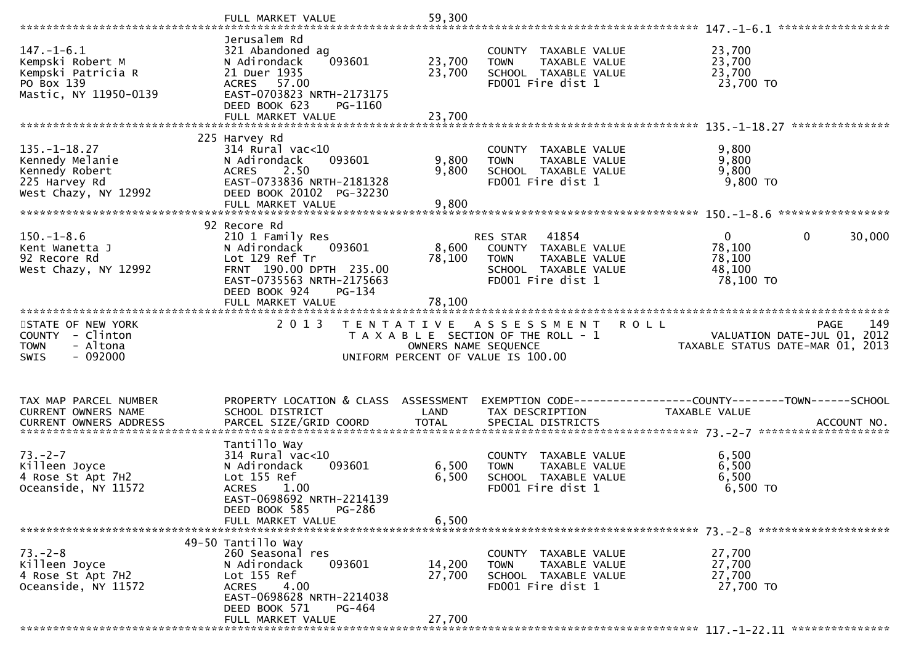|                                                                                                   | FULL MARKET VALUE                                                                                                                                                       | 59,300                     |                                                                                                                              |                                                                                       |
|---------------------------------------------------------------------------------------------------|-------------------------------------------------------------------------------------------------------------------------------------------------------------------------|----------------------------|------------------------------------------------------------------------------------------------------------------------------|---------------------------------------------------------------------------------------|
| $147. - 1 - 6.1$<br>Kempski Robert M<br>Kempski Patricia R<br>PO Box 139<br>Mastic, NY 11950-0139 | Jerusalem Rd<br>321 Abandoned ag<br>N Adirondack<br>093601<br>21 Duer 1935<br>ACRES 57.00<br>EAST-0703823 NRTH-2173175<br>DEED BOOK 623<br>PG-1160<br>FULL MARKET VALUE | 23,700<br>23,700<br>23,700 | COUNTY TAXABLE VALUE<br>TAXABLE VALUE<br><b>TOWN</b><br>SCHOOL TAXABLE VALUE<br>FD001 Fire dist 1                            | 23,700<br>23,700<br>23,700<br>23,700 TO                                               |
|                                                                                                   | 225 Harvey Rd                                                                                                                                                           |                            |                                                                                                                              |                                                                                       |
| $135. - 1 - 18.27$<br>Kennedy Melanie<br>Kennedy Robert<br>225 Harvey Rd<br>West Chazy, NY 12992  | $314$ Rural vac<10<br>N Adirondack<br>093601<br>2.50<br><b>ACRES</b><br>EAST-0733836 NRTH-2181328<br>DEED BOOK 20102 PG-32230                                           | 9,800<br>9,800             | COUNTY TAXABLE VALUE<br>TAXABLE VALUE<br><b>TOWN</b><br>SCHOOL TAXABLE VALUE<br>FD001 Fire dist 1                            | 9,800<br>9,800<br>9,800<br>$9,800$ TO                                                 |
|                                                                                                   | 92 Recore Rd                                                                                                                                                            |                            |                                                                                                                              |                                                                                       |
| $150.-1-8.6$<br>Kent Wanetta J<br>92 Recore Rd<br>West Chazy, NY 12992                            | 210 1 Family Res<br>N Adirondack<br>093601<br>Lot 129 Ref Tr<br>FRNT 190.00 DPTH 235.00<br>EAST-0735563 NRTH-2175663<br>DEED BOOK 924<br>PG-134                         | 78,100                     | 41854<br>RES STAR<br>8,600 COUNTY TAXABLE VALUE<br><b>TOWN</b><br>TAXABLE VALUE<br>SCHOOL TAXABLE VALUE<br>FD001 Fire dist 1 | $\mathbf{0}$<br>30,000<br>0<br>78,100<br>78,100<br>48,100<br>78,100 TO                |
|                                                                                                   | FULL MARKET VALUE                                                                                                                                                       | 78,100                     |                                                                                                                              |                                                                                       |
|                                                                                                   |                                                                                                                                                                         |                            |                                                                                                                              |                                                                                       |
| STATE OF NEW YORK<br>COUNTY - Clinton<br>- Altona<br><b>TOWN</b><br>$-092000$<br>SWIS             | 2 0 1 3                                                                                                                                                                 | OWNERS NAME SEQUENCE       | TENTATIVE ASSESSMENT ROLL<br>T A X A B L E SECTION OF THE ROLL - 1<br>UNIFORM PERCENT OF VALUE IS 100.00                     | 149<br><b>PAGE</b><br>VALUATION DATE-JUL 01, 2012<br>TAXABLE STATUS DATE-MAR 01, 2013 |
| TAX MAP PARCEL NUMBER<br>CURRENT OWNERS NAME                                                      | PROPERTY LOCATION & CLASS ASSESSMENT<br>SCHOOL DISTRICT                                                                                                                 | LAND                       | TAX DESCRIPTION                                                                                                              | EXEMPTION CODE-----------------COUNTY--------TOWN------SCHOOL<br>TAXABLE VALUE        |
|                                                                                                   |                                                                                                                                                                         |                            |                                                                                                                              |                                                                                       |
| $73. - 2 - 7$<br>Killeen Joyce<br>4 Rose St Apt 7H2<br>Oceanside, NY 11572                        | Tantillo Way<br>$314$ Rural vac< $10$<br>093601<br>N Adirondack<br>Lot 155 Ref<br><b>ACRES</b><br>1.00<br>EAST-0698692 NRTH-2214139<br>DEED BOOK 585<br>PG-286          | 6,500<br>6,500             | COUNTY TAXABLE VALUE<br>TAXABLE VALUE<br><b>TOWN</b><br>SCHOOL TAXABLE VALUE<br>FD001 Fire dist 1                            | 6,500<br>6,500<br>6,500<br>6,500 TO                                                   |
|                                                                                                   | FULL MARKET VALUE                                                                                                                                                       | 6.500                      |                                                                                                                              |                                                                                       |
| $73. - 2 - 8$<br>Killeen Joyce<br>4 Rose St Apt 7H2<br>Oceanside, NY 11572                        | 49-50 Tantillo Way<br>260 Seasonal res<br>N Adirondack<br>093601<br>Lot 155 Ref<br>4.00<br><b>ACRES</b><br>EAST-0698628 NRTH-2214038<br>DEED BOOK 571<br>PG-464         | 14,200<br>27,700<br>27,700 | COUNTY TAXABLE VALUE<br><b>TOWN</b><br>TAXABLE VALUE<br>SCHOOL TAXABLE VALUE<br>FD001 Fire dist 1                            | 27,700<br>27,700<br>27,700<br>27,700 TO                                               |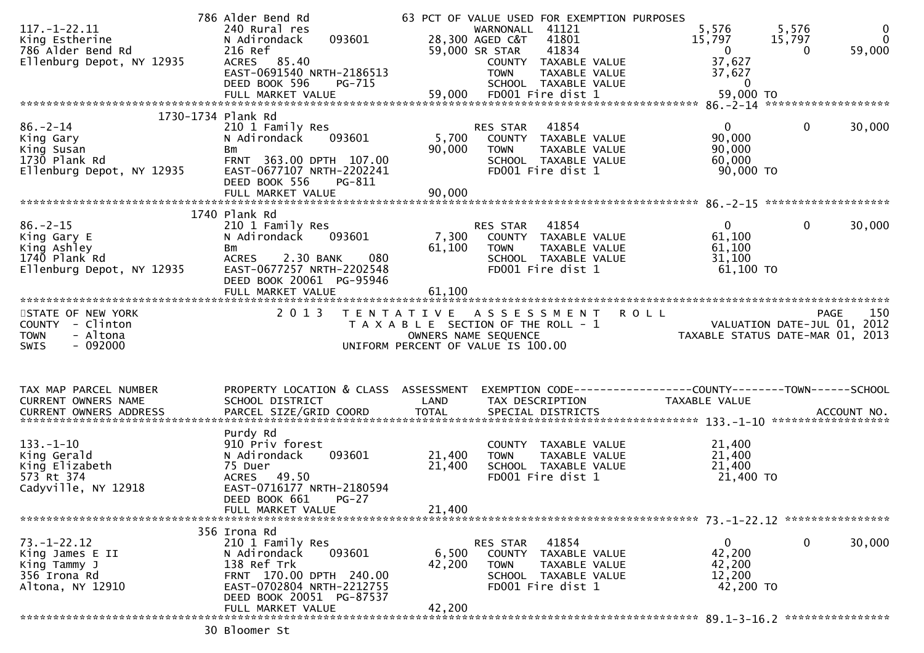|                               | 786 Alder Bend Rd                    |              | 63 PCT OF VALUE USED FOR EXEMPTION PURPOSES |                                                                 |                    |
|-------------------------------|--------------------------------------|--------------|---------------------------------------------|-----------------------------------------------------------------|--------------------|
| $117. - 1 - 22.11$            | 240 Rural res                        |              | WARNONALL 41121                             | 5,576<br>5,576                                                  | $\overline{0}$     |
| King Estherine                | 093601<br>N Adirondack               |              | 28,300 AGED C&T 41801                       | 15,797<br>15,797                                                | $\overline{0}$     |
| 786 Alder Bend Rd             | 216 Ref                              |              | 41834<br>59,000 SR STAR                     | $\mathbf{0}$<br>$\Omega$                                        | 59,000             |
| Ellenburg Depot, NY 12935     | ACRES 85.40                          |              | COUNTY TAXABLE VALUE                        | 37,627                                                          |                    |
|                               | EAST-0691540 NRTH-2186513            |              | <b>TOWN</b><br>TAXABLE VALUE                | 37,627                                                          |                    |
|                               | PG-715                               |              |                                             | $\overline{\phantom{0}}$                                        |                    |
|                               | DEED BOOK 596                        |              | SCHOOL TAXABLE VALUE                        |                                                                 |                    |
|                               | FULL MARKET VALUE                    |              | 59,000 FD001 Fire dist 1                    | 59,000 TO                                                       |                    |
|                               |                                      |              |                                             |                                                                 |                    |
|                               | 1730-1734 Plank Rd                   |              |                                             |                                                                 |                    |
| $86. - 2 - 14$                | 210 1 Family Res                     |              | 41854<br>RES STAR                           | $\mathbf 0$<br>$\mathbf{0}$                                     | 30,000             |
| King Gary                     | 093601<br>N Adirondack               | 5,700        | COUNTY TAXABLE VALUE                        | 90,000                                                          |                    |
| King Susan                    | Bm                                   | 90,000       | TAXABLE VALUE<br>TOWN                       | 90,000                                                          |                    |
| 1730 Plank Rd                 | FRNT 363.00 DPTH 107.00              |              | SCHOOL TAXABLE VALUE                        | 60,000                                                          |                    |
| Ellenburg Depot, NY 12935     | EAST-0677107 NRTH-2202241            |              | FD001 Fire dist 1                           | 90,000 TO                                                       |                    |
|                               | DEED BOOK 556<br>PG-811              |              |                                             |                                                                 |                    |
|                               |                                      |              |                                             |                                                                 |                    |
|                               |                                      |              |                                             |                                                                 |                    |
|                               |                                      |              |                                             |                                                                 |                    |
|                               | 1740 Plank Rd                        |              |                                             |                                                                 |                    |
| $86. - 2 - 15$                | 210 1 Family Res                     |              | RES STAR<br>41854                           | $\mathbf{0}$<br>$\mathbf 0$                                     | 30,000             |
| King Gary E                   | 093601<br>N Adirondack               | 7,300        | COUNTY TAXABLE VALUE                        | 61,100                                                          |                    |
| King Ashley                   | Bm                                   | 61,100       | TAXABLE VALUE<br>TOWN                       | 61,100                                                          |                    |
| 1740 Plank Rd                 | 2.30 BANK<br>080<br><b>ACRES</b>     |              | SCHOOL TAXABLE VALUE                        | 31,100                                                          |                    |
| Ellenburg Depot, NY 12935     | EAST-0677257 NRTH-2202548            |              | FD001 Fire dist 1                           | 61,100 TO                                                       |                    |
|                               | DEED BOOK 20061 PG-95946             |              |                                             |                                                                 |                    |
|                               | FULL MARKET VALUE                    | 61,100       |                                             |                                                                 |                    |
|                               |                                      |              |                                             |                                                                 |                    |
|                               |                                      |              |                                             |                                                                 |                    |
|                               |                                      |              |                                             |                                                                 |                    |
| STATE OF NEW YORK             | 2 0 1 3                              |              | TENTATIVE ASSESSMENT                        | <b>ROLL</b>                                                     | 150<br><b>PAGE</b> |
| COUNTY - Clinton              |                                      |              | T A X A B L E SECTION OF THE ROLL - 1       |                                                                 |                    |
| - Altona<br><b>TOWN</b>       |                                      |              | OWNERS NAME SEQUENCE                        | VALUATION DATE-JUL 01, 2012<br>TAXABLE STATUS DATE-MAR 01, 2013 |                    |
| $-092000$<br><b>SWIS</b>      |                                      |              | UNIFORM PERCENT OF VALUE IS 100.00          |                                                                 |                    |
|                               |                                      |              |                                             |                                                                 |                    |
|                               |                                      |              |                                             |                                                                 |                    |
|                               |                                      |              |                                             |                                                                 |                    |
|                               |                                      |              |                                             |                                                                 |                    |
| TAX MAP PARCEL NUMBER         | PROPERTY LOCATION & CLASS ASSESSMENT |              |                                             | EXEMPTION CODE------------------COUNTY--------TOWN------SCHOOL  |                    |
| CURRENT OWNERS NAME           | SCHOOL DISTRICT                      | LAND         | TAX DESCRIPTION                             | TAXABLE VALUE                                                   |                    |
| <b>CURRENT OWNERS ADDRESS</b> | PARCEL SIZE/GRID COORD               | <b>TOTAL</b> | SPECIAL DISTRICTS                           |                                                                 | ACCOUNT NO.        |
|                               |                                      |              |                                             |                                                                 |                    |
|                               | Purdy Rd                             |              |                                             |                                                                 |                    |
| $133. - 1 - 10$               | 910 Priv forest                      |              | COUNTY TAXABLE VALUE                        | 21,400                                                          |                    |
| King Gerald                   | 093601<br>N Adirondack               | 21,400       | TAXABLE VALUE<br><b>TOWN</b>                | 21,400                                                          |                    |
| King Elizabeth                | 75 Duer                              | 21,400       | SCHOOL TAXABLE VALUE                        | 21,400                                                          |                    |
| 573 Rt 374                    | 49.50<br><b>ACRES</b>                |              | FD001 Fire dist 1                           | 21,400 TO                                                       |                    |
| Cadyville, NY 12918           | EAST-0716177 NRTH-2180594            |              |                                             |                                                                 |                    |
|                               |                                      |              |                                             |                                                                 |                    |
|                               | DEED BOOK 661<br>$PG-27$             |              |                                             |                                                                 |                    |
|                               | FULL MARKET VALUE                    | 21,400       |                                             |                                                                 |                    |
|                               |                                      |              |                                             |                                                                 |                    |
|                               | 356 Irona Rd                         |              |                                             |                                                                 |                    |
| $73. - 1 - 22.12$             | 210 1 Family Res                     |              | 41854<br>RES STAR                           | $\mathbf 0$<br>$\mathbf{0}$                                     | 30,000             |
| King James E II               | 093601<br>N Adirondack               | 6,500        | COUNTY TAXABLE VALUE                        | 42,200                                                          |                    |
| King Tammy J                  | 138 Ref Trk                          | 42,200       | <b>TOWN</b><br>TAXABLE VALUE                | 42,200                                                          |                    |
| 356 Irona Rd                  | FRNT 170.00 DPTH 240.00              |              | SCHOOL TAXABLE VALUE                        | 12,200                                                          |                    |
| Altona, NY 12910              | EAST-0702804 NRTH-2212755            |              | FD001 Fire dist 1                           | 42,200 TO                                                       |                    |
|                               | DEED BOOK 20051 PG-87537             |              |                                             |                                                                 |                    |
|                               | FULL MARKET VALUE                    | 42,200       |                                             |                                                                 |                    |

30 Bloomer St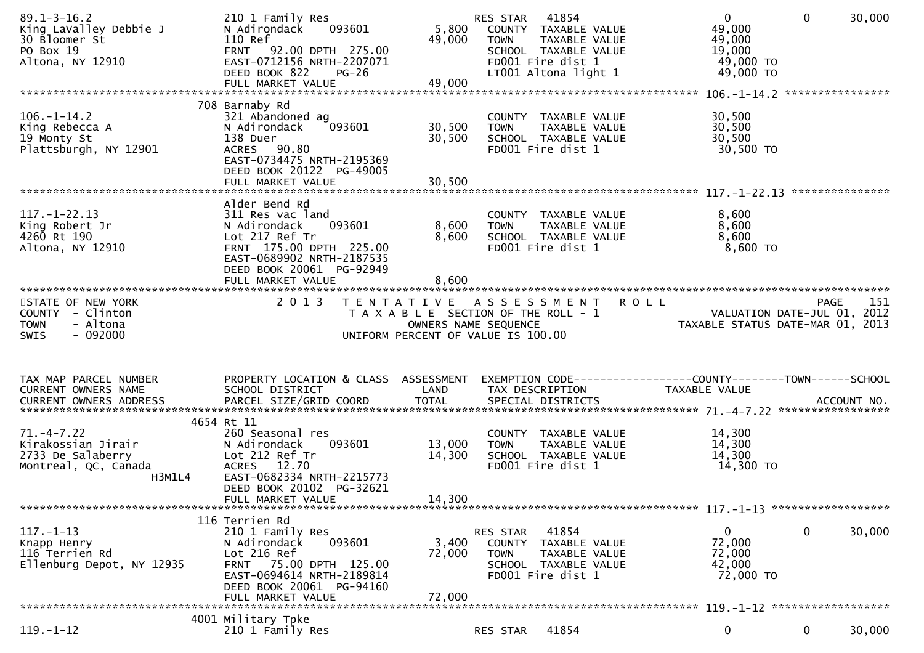| $89.1 - 3 - 16.2$<br>King LaValley Debbie J<br>30 Bloomer St<br>PO Box 19<br>Altona, NY 12910 | 210 1 Family Res<br>093601<br>N Adirondack<br>110 Ref<br>FRNT 92.00 DPTH 275.00<br>EAST-0712156 NRTH-2207071<br>DEED BOOK 822<br>$PG-26$<br>FULL MARKET VALUE                          | 5,800<br>49,000<br>49,000  | 41854<br>RES STAR<br>COUNTY TAXABLE VALUE<br>TAXABLE VALUE<br><b>TOWN</b><br>SCHOOL TAXABLE VALUE<br>FD001 Fire dist 1<br>LT001 Altona light 1 | $\overline{0}$<br>$\mathbf{0}$<br>49,000<br>49,000<br>19,000<br>49,000 TO<br>49,000 TO<br>**************** | 30,000 |
|-----------------------------------------------------------------------------------------------|----------------------------------------------------------------------------------------------------------------------------------------------------------------------------------------|----------------------------|------------------------------------------------------------------------------------------------------------------------------------------------|------------------------------------------------------------------------------------------------------------|--------|
|                                                                                               | 708 Barnaby Rd                                                                                                                                                                         |                            |                                                                                                                                                |                                                                                                            |        |
| $106. - 1 - 14.2$<br>King Rebecca A<br>19 Monty St<br>Plattsburgh, NY 12901                   | 321 Abandoned ag<br>093601<br>N Adirondack<br>138 Duer<br>ACRES 90.80<br>EAST-0734475 NRTH-2195369<br>DEED BOOK 20122 PG-49005<br>FULL MARKET VALUE                                    | 30,500<br>30,500<br>30,500 | COUNTY TAXABLE VALUE<br>TAXABLE VALUE<br><b>TOWN</b><br>SCHOOL TAXABLE VALUE<br>FD001 Fire dist 1                                              | 30,500<br>30,500<br>30,500<br>30,500 TO                                                                    |        |
|                                                                                               |                                                                                                                                                                                        |                            |                                                                                                                                                |                                                                                                            |        |
| $117. - 1 - 22.13$<br>King Robert Jr<br>4260 Rt 190<br>Altona, NY 12910                       | Alder Bend Rd<br>311 Res vac land<br>093601<br>N Adirondack<br>Lot 217 Ref Tr<br>FRNT 175.00 DPTH 225.00<br>EAST-0689902 NRTH-2187535<br>DEED BOOK 20061 PG-92949<br>FULL MARKET VALUE | 8,600<br>8,600<br>8,600    | COUNTY TAXABLE VALUE<br><b>TOWN</b><br>TAXABLE VALUE<br>SCHOOL TAXABLE VALUE<br>FD001 Fire dist 1                                              | 8,600<br>8,600<br>8,600<br>8,600 TO                                                                        |        |
|                                                                                               |                                                                                                                                                                                        |                            |                                                                                                                                                |                                                                                                            |        |
| STATE OF NEW YORK<br>COUNTY - Clinton<br><b>TOWN</b><br>- Altona                              | 2 0 1 3                                                                                                                                                                                | OWNERS NAME SEQUENCE       | TENTATIVE ASSESSMENT ROLL<br>T A X A B L E SECTION OF THE ROLL - 1                                                                             | PAGE<br>VALUATION DATE-JUL 01, 2012<br>TAXABLE STATUS DATE-MAR 01, 2013                                    | 151    |
| $-092000$<br><b>SWIS</b>                                                                      |                                                                                                                                                                                        |                            | UNIFORM PERCENT OF VALUE IS 100.00                                                                                                             |                                                                                                            |        |
|                                                                                               |                                                                                                                                                                                        |                            |                                                                                                                                                |                                                                                                            |        |
| TAX MAP PARCEL NUMBER<br>CURRENT OWNERS NAME                                                  | PROPERTY LOCATION & CLASS ASSESSMENT<br>SCHOOL DISTRICT                                                                                                                                | LAND                       | TAX DESCRIPTION                                                                                                                                | TAXABLE VALUE                                                                                              |        |
|                                                                                               | 4654 Rt 11                                                                                                                                                                             |                            |                                                                                                                                                |                                                                                                            |        |
| $71. - 4 - 7.22$<br>Kirakossian Jirair<br>2733 De Salaberry<br>Montreal, QC, Canada<br>H3M1L4 | 260 Seasonal res<br>N Adirondack<br>093601<br>Lot 212 Ref Tr<br>ACRES 12.70<br>EAST-0682334 NRTH-2215773<br>DEED BOOK 20102 PG-32621                                                   | 13,000<br>14,300           | COUNTY TAXABLE VALUE<br>TAXABLE VALUE<br><b>TOWN</b><br>SCHOOL TAXABLE VALUE<br>FD001 Fire dist 1                                              | 14,300<br>14,300<br>14,300<br>14,300 TO                                                                    |        |
|                                                                                               | FULL MARKET VALUE                                                                                                                                                                      | 14,300                     |                                                                                                                                                |                                                                                                            |        |
|                                                                                               | 116 Terrien Rd                                                                                                                                                                         |                            |                                                                                                                                                |                                                                                                            |        |
| $117. - 1 - 13$<br>Knapp Henry<br>116 Terrien Rd<br>Ellenburg Depot, NY 12935                 | 210 1 Family Res<br>093601<br>N Adirondack<br>Lot 216 Ref<br>FRNT 75.00 DPTH 125.00<br>EAST-0694614 NRTH-2189814<br>DEED BOOK 20061 PG-94160                                           | 3,400<br>72,000            | RES STAR<br>41854<br>COUNTY TAXABLE VALUE<br><b>TOWN</b><br>TAXABLE VALUE<br>SCHOOL TAXABLE VALUE<br>FD001 Fire dist 1                         | 0<br>0<br>72,000<br>72,000<br>42,000<br>72,000 TO                                                          | 30,000 |
|                                                                                               | FULL MARKET VALUE<br>4001 Military Tpke                                                                                                                                                | 72,000                     |                                                                                                                                                |                                                                                                            |        |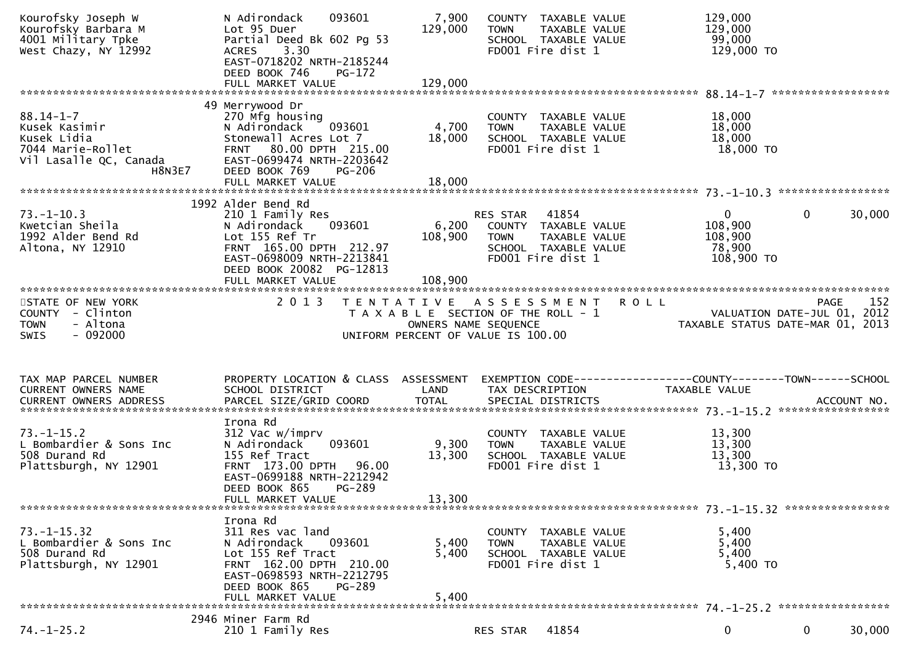| Kourofsky Joseph W<br>Kourofsky Barbara M<br>4001 Military Tpke<br>West Chazy, NY 12992                  | 093601<br>N Adirondack<br>Lot 95 Duer<br>Partial Deed Bk 602 Pg 53<br>3.30<br><b>ACRES</b><br>EAST-0718202 NRTH-2185244<br>DEED BOOK 746<br>PG-172                                         | 7,900<br>129,000          | COUNTY TAXABLE VALUE<br>TAXABLE VALUE<br><b>TOWN</b><br>SCHOOL TAXABLE VALUE<br>FD001 Fire dist 1                                | 129,000<br>129,000<br>99,000<br>129,000 TO                                            |
|----------------------------------------------------------------------------------------------------------|--------------------------------------------------------------------------------------------------------------------------------------------------------------------------------------------|---------------------------|----------------------------------------------------------------------------------------------------------------------------------|---------------------------------------------------------------------------------------|
| $88.14 - 1 - 7$<br>Kusek Kasimir<br>Kusek Lidia<br>7044 Marie-Rollet<br>Vil Lasalle QC, Canada<br>H8N3E7 | 49 Merrywood Dr<br>270 Mfg housing<br>N Adirondack<br>093601<br>Stonewall Acres Lot 7<br>FRNT 80.00 DPTH 215.00<br>EAST-0699474 NRTH-2203642<br>DEED BOOK 769<br>PG-206                    | 4,700<br>18,000           | COUNTY TAXABLE VALUE<br><b>TOWN</b><br>TAXABLE VALUE<br>SCHOOL TAXABLE VALUE<br>FD001 Fire dist 1                                | 18,000<br>18,000<br>18,000<br>18,000 TO                                               |
| $73. - 1 - 10.3$<br>Kwetcian Sheila<br>1992 Alder Bend Rd<br>Altona, NY 12910                            | 1992 Alder Bend Rd<br>210 1 Family Res<br>N Adirondack<br>093601<br>Lot 155 Ref Tr<br>FRNT 165.00 DPTH 212.97<br>EAST-0698009 NRTH-2213841<br>DEED BOOK 20082 PG-12813                     | 6,200<br>108,900          | RES STAR 41854<br>COUNTY TAXABLE VALUE<br><b>TOWN</b><br>TAXABLE VALUE<br>SCHOOL TAXABLE VALUE<br>FD001 Fire dist 1              | $\mathbf{0}$<br>$\mathbf{0}$<br>30,000<br>108,900<br>108,900<br>78,900<br>108,900 TO  |
| STATE OF NEW YORK<br>COUNTY - Clinton<br>- Altona<br><b>TOWN</b><br>$-092000$<br>SWIS                    | 2 0 1 3                                                                                                                                                                                    |                           | TENTATIVE ASSESSMENT ROLL<br>T A X A B L E SECTION OF THE ROLL - 1<br>OWNERS NAME SEQUENCE<br>UNIFORM PERCENT OF VALUE IS 100.00 | 152<br><b>PAGE</b><br>VALUATION DATE-JUL 01, 2012<br>TAXABLE STATUS DATE-MAR 01, 2013 |
| TAX MAP PARCEL NUMBER<br>CURRENT OWNERS NAME                                                             | PROPERTY LOCATION & CLASS ASSESSMENT<br>SCHOOL DISTRICT                                                                                                                                    | LAND                      | EXEMPTION CODE------------------COUNTY--------TOWN------SCHOOL                                                                   |                                                                                       |
|                                                                                                          |                                                                                                                                                                                            |                           | TAX DESCRIPTION                                                                                                                  | TAXABLE VALUE                                                                         |
| $73. - 1 - 15.2$<br>L Bombardier & Sons Inc<br>508 Durand Rd<br>Plattsburgh, NY 12901                    | Irona Rd<br>312 Vac w/imprv<br>093601<br>N Adirondack<br>155 Ref Tract<br>FRNT 173.00 DPTH 96.00<br>EAST-0699188 NRTH-2212942<br>DEED BOOK 865<br><b>PG-289</b><br>FULL MARKET VALUE       | 9,300<br>13,300<br>13,300 | COUNTY TAXABLE VALUE<br><b>TOWN</b><br>TAXABLE VALUE<br>SCHOOL TAXABLE VALUE<br>FD001 Fire dist 1                                | 13,300<br>13,300<br>13,300<br>13,300 TO                                               |
| $73. - 1 - 15.32$<br>L Bombardier & Sons Inc<br>508 Durand Rd<br>Plattsburgh, NY 12901                   | Irona Rd<br>311 Res vac land<br>N Adirondack<br>093601<br>Lot 155 Ref Tract<br>FRNT 162.00 DPTH 210.00<br>EAST-0698593 NRTH-2212795<br>DEED BOOK 865<br><b>PG-289</b><br>FULL MARKET VALUE | 5,400<br>5,400<br>5,400   | COUNTY TAXABLE VALUE<br>TAXABLE VALUE<br><b>TOWN</b><br>SCHOOL TAXABLE VALUE<br>FD001 Fire dist 1                                | 5,400<br>5,400<br>5,400<br>5,400 TO                                                   |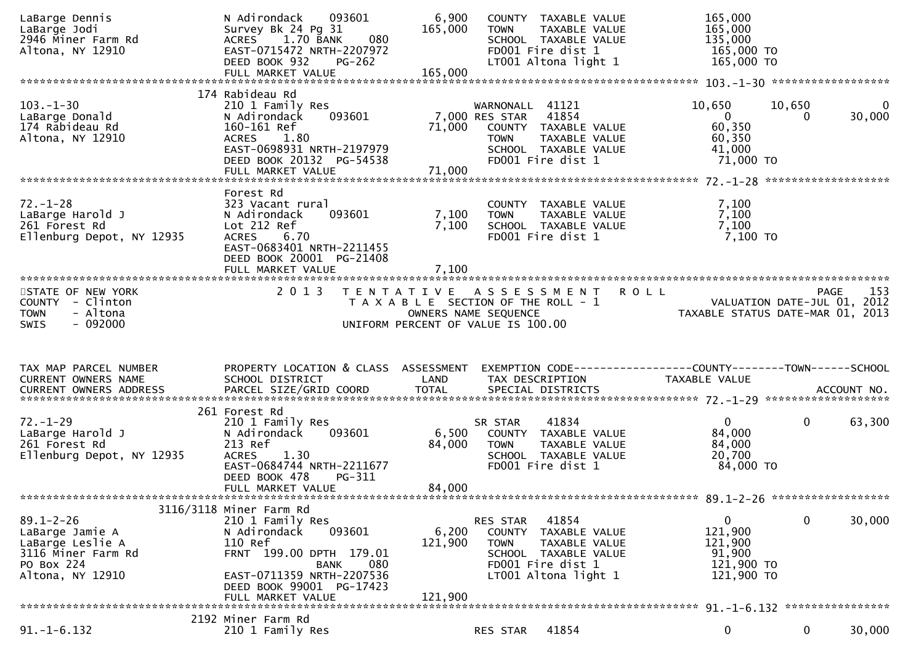| LaBarge Jodi<br>2946 Miner Farm Rd<br>Altona, NY 12910                           | N Adirondack<br>093601<br>Survey Bk 24 Pg 31<br>080<br>1.70 BANK<br>ACRES<br>EAST-0715472 NRTH-2207972<br>DEED BOOK 932<br><b>PG-262</b>   | 6,900<br>165,000          | COUNTY TAXABLE VALUE<br>TAXABLE VALUE<br>TOWN<br>SCHOOL TAXABLE VALUE<br>FD001 Fire dist 1<br>LT001 Altona light 1                           | 165,000<br>165,000<br>135,000<br>165,000 TO<br>165,000 TO           |                    |                        |
|----------------------------------------------------------------------------------|--------------------------------------------------------------------------------------------------------------------------------------------|---------------------------|----------------------------------------------------------------------------------------------------------------------------------------------|---------------------------------------------------------------------|--------------------|------------------------|
|                                                                                  | FULL MARKET VALUE                                                                                                                          | 165,000                   |                                                                                                                                              |                                                                     |                    |                        |
|                                                                                  | 174 Rabideau Rd                                                                                                                            |                           |                                                                                                                                              |                                                                     |                    |                        |
| $103. - 1 - 30$<br>LaBarge Donald<br>174 Rabideau Rd<br>Altona, NY 12910         | 210 1 Family Res<br>093601<br>N Adirondack<br>160-161 Ref<br>ACRES 1.80<br>EAST-0698931 NRTH-2197979<br>DEED BOOK 20132 PG-54538           | 71,000                    | WARNONALL 41121<br>7,000 RES STAR 41854<br>COUNTY TAXABLE VALUE<br>TAXABLE VALUE<br><b>TOWN</b><br>SCHOOL TAXABLE VALUE<br>FD001 Fire dist 1 | 10,650<br>$\overline{0}$<br>60,350<br>60,350<br>41,000<br>71,000 TO | 10,650<br>$\Omega$ | $\mathbf{0}$<br>30,000 |
|                                                                                  | FULL MARKET VALUE                                                                                                                          | 71,000                    |                                                                                                                                              |                                                                     |                    |                        |
|                                                                                  | Forest Rd                                                                                                                                  |                           |                                                                                                                                              |                                                                     |                    |                        |
| $72. - 1 - 28$<br>LaBarge Harold J<br>261 Forest Rd<br>Ellenburg Depot, NY 12935 | 323 Vacant rural<br>093601<br>N Adirondack<br>Lot 212 Ref<br><b>ACRES</b><br>6.70<br>EAST-0683401 NRTH-2211455<br>DEED BOOK 20001 PG-21408 | 7,100<br>7,100            | COUNTY TAXABLE VALUE<br>TAXABLE VALUE<br><b>TOWN</b><br>SCHOOL TAXABLE VALUE<br>FD001 Fire dist 1                                            | 7,100<br>7,100<br>7,100<br>7,100 TO                                 |                    |                        |
|                                                                                  |                                                                                                                                            |                           |                                                                                                                                              |                                                                     |                    |                        |
| STATE OF NEW YORK<br>COUNTY - Clinton                                            | 2 0 1 3                                                                                                                                    |                           | TENTATIVE ASSESSMENT<br><b>ROLL</b><br>T A X A B L E SECTION OF THE ROLL - 1                                                                 | VALUATION DATE-JUL 01, 2012<br>TAXABLE STATIIS DATE-MAP 01 2012     | PAGE               | 153                    |
| - Altona<br><b>TOWN</b><br>$-092000$<br>SWIS                                     |                                                                                                                                            |                           | OWNERS NAME SEQUENCE<br>UNIFORM PERCENT OF VALUE IS 100.00                                                                                   | TAXABLE STATUS DATE-MAR 01, 2013                                    |                    |                        |
|                                                                                  |                                                                                                                                            |                           |                                                                                                                                              |                                                                     |                    |                        |
| TAX MAP PARCEL NUMBER                                                            |                                                                                                                                            |                           |                                                                                                                                              |                                                                     |                    |                        |
| CURRENT OWNERS NAME                                                              | PROPERTY LOCATION & CLASS ASSESSMENT<br>SCHOOL DISTRICT                                                                                    | <b>Example 12 DE LAND</b> | EXEMPTION CODE------------------COUNTY-------TOWN------SCHOOL<br>TAX DESCRIPTION                                                             | TAXABLE VALUE                                                       |                    |                        |
|                                                                                  | 261 Forest Rd                                                                                                                              |                           |                                                                                                                                              |                                                                     |                    |                        |
| $72. - 1 - 29$<br>LaBarge Harold J<br>261 Forest Rd                              | 210 1 Family Res<br>093601<br>N Adirondack<br>213 Ref                                                                                      | 6,500                     | 41834<br>SR STAR<br>COUNTY TAXABLE VALUE<br><b>TOWN</b>                                                                                      | $\overline{0}$<br>84,000                                            | $\mathbf{0}$       | 63,300                 |
| Ellenburg Depot, NY 12935                                                        | 1.30<br><b>ACRES</b><br>EAST-0684744 NRTH-2211677<br>PG-311                                                                                | 84,000                    | TAXABLE VALUE<br>SCHOOL TAXABLE VALUE<br>FD001 Fire dist 1                                                                                   | 84,000<br>20,700<br>84,000 TO                                       |                    |                        |
|                                                                                  | DEED BOOK 478<br>FULL MARKET VALUE                                                                                                         | 84,000                    |                                                                                                                                              |                                                                     |                    |                        |
|                                                                                  |                                                                                                                                            |                           |                                                                                                                                              |                                                                     |                    |                        |
| $89.1 - 2 - 26$                                                                  | 3116/3118 Miner Farm Rd                                                                                                                    |                           | 41854<br>RES STAR                                                                                                                            | 0                                                                   | 0                  | 30,000                 |
| LaBarge Jamie A<br>LaBarge Leslie A                                              | 210 1 Family Res<br>N Adirondack<br>093601<br>110 Ref                                                                                      | 6,200<br>121,900          | COUNTY<br>TAXABLE VALUE<br>TAXABLE VALUE<br><b>TOWN</b>                                                                                      | 121,900<br>121,900                                                  |                    |                        |
| 3116 Miner Farm Rd                                                               | FRNT 199.00 DPTH 179.01                                                                                                                    |                           | SCHOOL TAXABLE VALUE                                                                                                                         | 91,900                                                              |                    |                        |
| PO Box 224<br>Altona, NY 12910                                                   | <b>BANK</b><br>080<br>EAST-0711359 NRTH-2207536<br>DEED BOOK 99001 PG-17423                                                                |                           | FD001 Fire dist 1<br>LT001 Altona light 1                                                                                                    | 121,900 TO<br>121,900 TO                                            |                    |                        |
|                                                                                  | FULL MARKET VALUE                                                                                                                          | 121,900                   |                                                                                                                                              |                                                                     |                    |                        |
|                                                                                  | 2192 Miner Farm Rd                                                                                                                         |                           |                                                                                                                                              |                                                                     | ****************   |                        |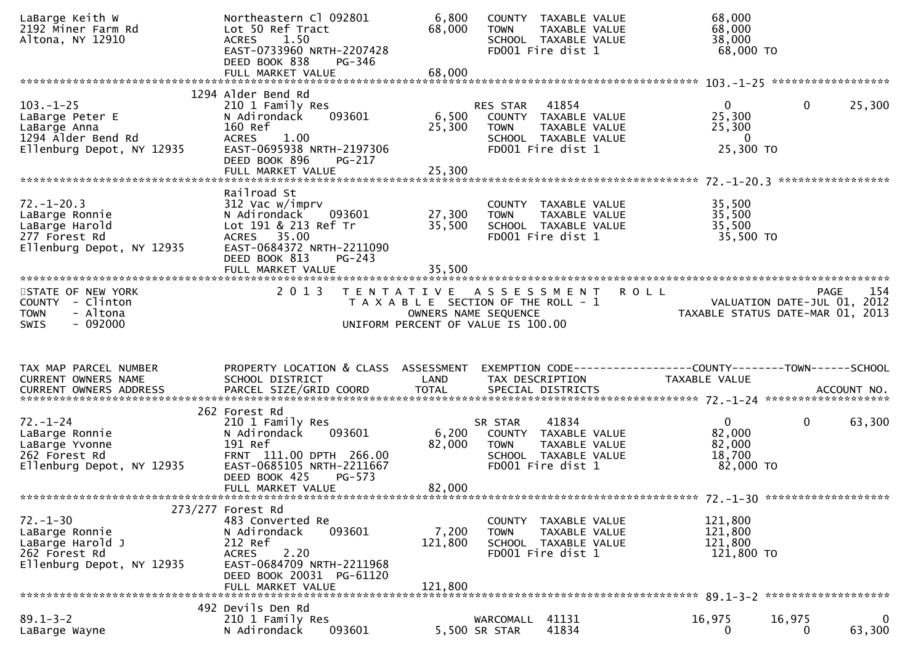| LaBarge Keith W<br>2192 Miner Farm Rd<br>Altona, NY 12910                                             | Northeastern Cl 092801<br>Lot 50 Ref Tract<br>1.50<br>ACRES<br>EAST-0733960 NRTH-2207428<br>DEED BOOK 838<br>PG-346                                                              | 6,800<br>68,000             | COUNTY TAXABLE VALUE<br>TAXABLE VALUE<br><b>TOWN</b><br>SCHOOL TAXABLE VALUE<br>FD001 Fire dist 1                                | 68,000<br>68,000<br>38,000<br>68,000 TO                                                                      |                    |
|-------------------------------------------------------------------------------------------------------|----------------------------------------------------------------------------------------------------------------------------------------------------------------------------------|-----------------------------|----------------------------------------------------------------------------------------------------------------------------------|--------------------------------------------------------------------------------------------------------------|--------------------|
|                                                                                                       | FULL MARKET VALUE                                                                                                                                                                | 68,000                      |                                                                                                                                  |                                                                                                              |                    |
| $103. - 1 - 25$<br>LaBarge Peter E<br>LaBarge Anna<br>1294 Alder Bend Rd<br>Ellenburg Depot, NY 12935 | 1294 Alder Bend Rd<br>210 1 Family Res<br>093601<br>N Adirondack<br>160 Ref<br><b>ACRES</b><br>1.00<br>EAST-0695938 NRTH-2197306<br>DEED BOOK 896<br>$PG-217$                    | 6,500<br>25,300             | 41854<br>RES STAR<br>COUNTY TAXABLE VALUE<br>TAXABLE VALUE<br>TOWN<br>SCHOOL TAXABLE VALUE<br>FD001 Fire dist 1                  | $\mathbf{0}$<br>$\mathbf 0$<br>25,300<br>25,300<br>$\overline{0}$<br>25,300 TO                               | 25,300             |
|                                                                                                       | FULL MARKET VALUE                                                                                                                                                                | 25,300                      |                                                                                                                                  |                                                                                                              |                    |
| $72. - 1 - 20.3$<br>LaBarge Ronnie<br>LaBarge Harold<br>277 Forest Rd<br>Ellenburg Depot, NY 12935    | Railroad St<br>312 Vac w/imprv<br>N Adirondack<br>093601<br>Lot 191 & 213 Ref Tr<br>ACRES 35.00<br>EAST-0684372 NRTH-2211090<br>DEED BOOK 813<br>$PG-243$                        | 27,300<br>35,500            | COUNTY TAXABLE VALUE<br>TAXABLE VALUE<br><b>TOWN</b><br>SCHOOL TAXABLE VALUE<br>FD001 Fire dist 1                                | 35,500<br>35,500<br>35,500<br>35,500 TO                                                                      |                    |
|                                                                                                       |                                                                                                                                                                                  |                             |                                                                                                                                  |                                                                                                              |                    |
| STATE OF NEW YORK<br>COUNTY - Clinton<br>- Altona<br><b>TOWN</b><br>$-092000$<br><b>SWIS</b>          | 2 0 1 3                                                                                                                                                                          |                             | TENTATIVE ASSESSMENT ROLL<br>T A X A B L E SECTION OF THE ROLL - 1<br>OWNERS NAME SEQUENCE<br>UNIFORM PERCENT OF VALUE IS 100.00 | 1941<br>VALUATION DATE-JUL 01, 2012<br>TAXARIF STATILE DATE MAR 01, 2013<br>TAXABLE STATUS DATE-MAR 01, 2013 | 154<br><b>PAGE</b> |
|                                                                                                       |                                                                                                                                                                                  |                             |                                                                                                                                  |                                                                                                              |                    |
| TAX MAP PARCEL NUMBER<br>CURRENT OWNERS NAME                                                          | PROPERTY LOCATION & CLASS ASSESSMENT<br>SCHOOL DISTRICT                                                                                                                          | LAND                        | EXEMPTION CODE------------------COUNTY--------TOWN------SCHOOL<br>TAX DESCRIPTION                                                | TAXABLE VALUE                                                                                                |                    |
| $72. - 1 - 24$<br>LaBarge Ronnie<br>LaBarge Yvonne<br>262 Forest Rd<br>Ellenburg Depot, NY 12935      | 262 Forest Rd<br>210 1 Family Res<br>093601<br>N Adirondack<br>191 Ref<br>FRNT 111.00 DPTH 266.00<br>EAST-0685105 NRTH-2211667<br>DEED BOOK 425<br>$PG-573$<br>FULL MARKET VALUE | 6,200<br>82,000<br>82,000   | 41834<br>SR STAR<br>COUNTY TAXABLE VALUE<br><b>TOWN</b><br>TAXABLE VALUE<br>SCHOOL TAXABLE VALUE<br>FD001 Fire dist 1            | $\mathbf{0}$<br>$\mathbf{0}$<br>82,000<br>82,000<br>18,700<br>82,000 TO                                      | 63,300             |
|                                                                                                       |                                                                                                                                                                                  |                             |                                                                                                                                  |                                                                                                              |                    |
| $72. - 1 - 30$<br>LaBarge Ronnie<br>LaBarge Harold J<br>262 Forest Rd<br>Ellenburg Depot, NY 12935    | 273/277 Forest Rd<br>483 Converted Re<br>N Adirondack<br>093601<br>212 Ref<br>2.20<br><b>ACRES</b><br>EAST-0684709 NRTH-2211968<br>DEED BOOK 20031 PG-61120<br>FULL MARKET VALUE | 7,200<br>121,800<br>121,800 | TAXABLE VALUE<br><b>COUNTY</b><br>TAXABLE VALUE<br><b>TOWN</b><br>SCHOOL TAXABLE VALUE<br>FD001 Fire dist 1                      | 121,800<br>121,800<br>121,800<br>121,800 TO                                                                  |                    |
| $89.1 - 3 - 2$                                                                                        | 492 Devils Den Rd                                                                                                                                                                |                             | 41131<br>WARCOMALL                                                                                                               | 16,975<br>16,975                                                                                             |                    |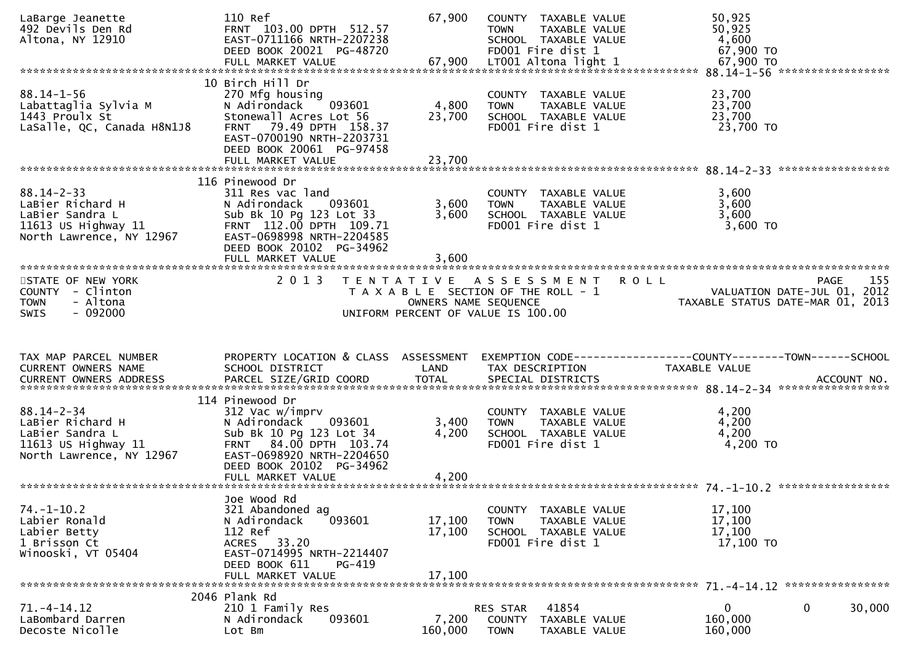| LaBarge Jeanette<br>492 Devils Den Rd<br>Altona, NY 12910                                                    | 110 Ref<br>FRNT 103.00 DPTH 512.57<br>EAST-0711166 NRTH-2207238<br>DEED BOOK 20021 PG-48720<br>FULL MARKET VALUE                                                                                          | 67,900<br>67,900           | COUNTY TAXABLE VALUE<br>TAXABLE VALUE<br><b>TOWN</b><br>SCHOOL TAXABLE VALUE<br>FD001 Fire dist 1<br>LT001 Altona light 1 | 50,925<br>50,925<br>4,600<br>67,900 TO<br>67,900 TO                             |
|--------------------------------------------------------------------------------------------------------------|-----------------------------------------------------------------------------------------------------------------------------------------------------------------------------------------------------------|----------------------------|---------------------------------------------------------------------------------------------------------------------------|---------------------------------------------------------------------------------|
| $88.14 - 1 - 56$<br>Labattaglia Sylvia M<br>1443 Proulx St<br>LaSalle, QC, Canada H8N1J8                     | 10 Birch Hill Dr<br>270 Mfg housing<br>093601<br>N Adirondack<br>Stonewall Acres Lot 56<br>79.49 DPTH 158.37<br><b>FRNT</b><br>EAST-0700190 NRTH-2203731<br>DEED BOOK 20061 PG-97458<br>FULL MARKET VALUE | 4,800<br>23,700<br>23,700  | COUNTY TAXABLE VALUE<br><b>TOWN</b><br>TAXABLE VALUE<br>SCHOOL TAXABLE VALUE<br>FD001 Fire dist 1                         | 23,700<br>23,700<br>23,700<br>23,700 TO                                         |
|                                                                                                              |                                                                                                                                                                                                           |                            |                                                                                                                           |                                                                                 |
| $88.14 - 2 - 33$<br>LaBier Richard H<br>LaBier Sandra L<br>11613 US Highway $11$<br>North Lawrence, NY 12967 | 116 Pinewood Dr<br>311 Res vac land<br>N Adirondack<br>093601<br>Sub Bk 10 Pg 123 Lot 33<br>FRNT 112.00 DPTH 109.71<br>EAST-0698998 NRTH-2204585<br>DEED BOOK 20102 PG-34962<br>FULL MARKET VALUE         | 3,600<br>3,600<br>3,600    | COUNTY TAXABLE VALUE<br>TAXABLE VALUE<br><b>TOWN</b><br>SCHOOL TAXABLE VALUE<br>FD001 Fire dist 1                         | 3,600<br>3,600<br>3,600<br>3,600 TO                                             |
| STATE OF NEW YORK                                                                                            | 2 0 1 3                                                                                                                                                                                                   |                            | TENTATIVE ASSESSMENT                                                                                                      | 155<br><b>ROLL</b><br>PAGE                                                      |
| COUNTY - Clinton<br><b>TOWN</b><br>- Altona<br>$-092000$<br><b>SWIS</b>                                      |                                                                                                                                                                                                           | OWNERS NAME SEQUENCE       | T A X A B L E SECTION OF THE ROLL - 1<br>UNIFORM PERCENT OF VALUE IS 100.00                                               | VALUATION DATE-JUL 01, 2012<br>TAXABLE STATUS DATE-MAR 01, 2013                 |
|                                                                                                              |                                                                                                                                                                                                           |                            |                                                                                                                           |                                                                                 |
|                                                                                                              |                                                                                                                                                                                                           |                            |                                                                                                                           |                                                                                 |
| TAX MAP PARCEL NUMBER<br>CURRENT OWNERS NAME                                                                 | PROPERTY LOCATION & CLASS ASSESSMENT<br>SCHOOL DISTRICT                                                                                                                                                   | LAND                       | TAX DESCRIPTION                                                                                                           | EXEMPTION CODE------------------COUNTY--------TOWN------SCHOOL<br>TAXABLE VALUE |
|                                                                                                              |                                                                                                                                                                                                           |                            |                                                                                                                           |                                                                                 |
| $88.14 - 2 - 34$<br>LaBier Richard H<br>LaBier Sandra L<br>11613 US Highway $11$<br>North Lawrence, NY 12967 | 114 Pinewood Dr<br>312 Vac w/imprv<br>N Adirondack<br>093601<br>Sub Bk 10 Pg 123 Lot 34<br>FRNT 84.00 DPTH 103.74<br>EAST-0698920 NRTH-2204650                                                            | 3,400<br>4,200             | COUNTY TAXABLE VALUE<br>TAXABLE VALUE<br><b>TOWN</b><br>SCHOOL TAXABLE VALUE<br>FD001 Fire dist 1                         | 4,200<br>4,200<br>4,200<br>4,200 TO                                             |
|                                                                                                              | DEED BOOK 20102 PG-34962                                                                                                                                                                                  |                            |                                                                                                                           |                                                                                 |
|                                                                                                              |                                                                                                                                                                                                           |                            |                                                                                                                           |                                                                                 |
| $74. - 1 - 10.2$<br>Labier Ronald<br>Labier Betty<br>1 Brisson Ct<br>Winooski, VT 05404                      | Joe Wood Rd<br>321 Abandoned ag<br>093601<br>N Adirondack<br>112 Ref<br>ACRES 33.20<br>EAST-0714995 NRTH-2214407<br>DEED BOOK 611<br>PG-419<br>FULL MARKET VALUE                                          | 17,100<br>17,100<br>17,100 | COUNTY TAXABLE VALUE<br>TAXABLE VALUE<br><b>TOWN</b><br>SCHOOL TAXABLE VALUE<br>FD001 Fire dist 1                         | 17,100<br>17,100<br>17,100<br>17,100 TO                                         |
|                                                                                                              | 2046 Plank Rd                                                                                                                                                                                             |                            |                                                                                                                           |                                                                                 |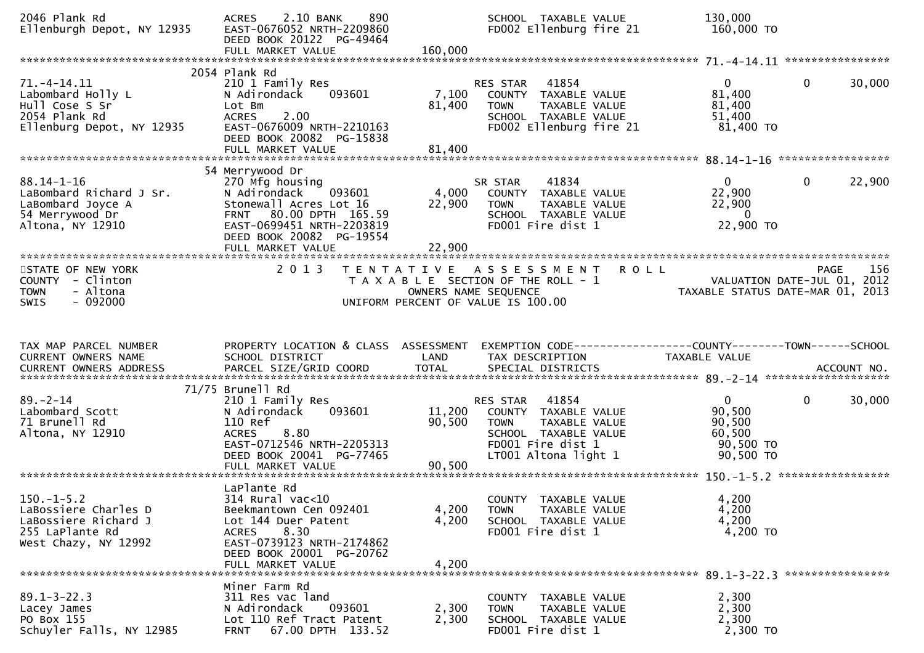| 2046 Plank Rd<br>Ellenburgh Depot, NY 12935                                                             | 2.10 BANK<br>890<br><b>ACRES</b><br>EAST-0676052 NRTH-2209860<br>DEED BOOK 20122 PG-49464<br>FULL MARKET VALUE                                                                  | 160,000                    | SCHOOL TAXABLE VALUE<br>FD002 Ellenburg fire 21                                                                                                | 130,000<br>160,000 TO                                                |                        |
|---------------------------------------------------------------------------------------------------------|---------------------------------------------------------------------------------------------------------------------------------------------------------------------------------|----------------------------|------------------------------------------------------------------------------------------------------------------------------------------------|----------------------------------------------------------------------|------------------------|
|                                                                                                         |                                                                                                                                                                                 |                            |                                                                                                                                                |                                                                      |                        |
| $71. -4 - 14.11$<br>Labombard Holly L<br>Hull Cose S Sr<br>2054 Plank Rd<br>Ellenburg Depot, NY 12935   | 2054 Plank Rd<br>210 1 Family Res<br>093601<br>N Adirondack<br>Lot Bm<br>2.00<br><b>ACRES</b><br>EAST-0676009 NRTH-2210163<br>DEED BOOK 20082 PG-15838                          | 7,100<br>81,400            | 41854<br>RES STAR<br>COUNTY TAXABLE VALUE<br>TAXABLE VALUE<br><b>TOWN</b><br>SCHOOL TAXABLE VALUE<br>FD002 Ellenburg fire 21                   | $\mathbf{0}$<br>81,400<br>81,400<br>51,400<br>81,400 TO              | $\mathbf{0}$<br>30,000 |
|                                                                                                         | 54 Merrywood Dr                                                                                                                                                                 |                            |                                                                                                                                                |                                                                      |                        |
| $88.14 - 1 - 16$<br>LaBombard Richard J Sr.<br>LaBombard Joyce A<br>54 Merrywood Dr<br>Altona, NY 12910 | 270 Mfg housing<br>N Adirondack 093601<br>Stonewall Acres Lot 16<br>FRNT 80.00 DPTH 165.59<br>EAST-0699451 NRTH-2203819<br>DEED BOOK 20082 PG-19554<br>FULL MARKET VALUE        | 4,000<br>22,900<br>22,900  | SR STAR<br>41834<br>COUNTY TAXABLE VALUE<br>TAXABLE VALUE<br><b>TOWN</b><br>SCHOOL TAXABLE VALUE<br>FD001 Fire dist 1                          | $\mathbf{0}$<br>22,900<br>22,900<br>- 0<br>22,900 TO                 | $\mathbf{0}$<br>22,900 |
|                                                                                                         |                                                                                                                                                                                 |                            |                                                                                                                                                |                                                                      |                        |
| STATE OF NEW YORK<br>COUNTY - Clinton<br>- Altona<br><b>TOWN</b><br>$-092000$<br><b>SWIS</b>            | 2 0 1 3                                                                                                                                                                         |                            | <b>ROLL</b><br>TENTATIVE ASSESSMENT<br>T A X A B L E SECTION OF THE ROLL - 1<br>OWNERS NAME SEQUENCE<br>UNIFORM PERCENT OF VALUE IS 100.00     | VALUATION DATE-JUL 01, 2012<br>TAXABLE STATUS DATE-MAR 01, 2013      | <b>PAGE</b><br>156     |
|                                                                                                         |                                                                                                                                                                                 |                            |                                                                                                                                                |                                                                      |                        |
| TAX MAP PARCEL NUMBER<br>CURRENT OWNERS NAME<br>CURRENT OWNERS ADDRESS                                  | PROPERTY LOCATION & CLASS ASSESSMENT<br>SCHOOL DISTRICT<br>PARCEL SIZE/GRID COORD                                                                                               | LAND<br><b>TOTAL</b>       | EXEMPTION CODE-----------------COUNTY-------TOWN------SCHOOL<br>TAX DESCRIPTION<br>SPECIAL DISTRICTS                                           | TAXABLE VALUE                                                        | ACCOUNT NO.            |
|                                                                                                         |                                                                                                                                                                                 |                            |                                                                                                                                                |                                                                      |                        |
| $89. - 2 - 14$<br>Labombard Scott<br>71 Brunell Rd<br>Altona, NY 12910                                  | 71/75 Brunell Rd<br>210 1 Family Res<br>093601<br>N Adirondack<br>110 Ref<br>8.80<br><b>ACRES</b><br>EAST-0712546 NRTH-2205313<br>DEED BOOK 20041 PG-77465<br>FULL MARKET VALUE | 11,200<br>90,500<br>90,500 | 41854<br>RES STAR<br>COUNTY TAXABLE VALUE<br>TAXABLE VALUE<br><b>TOWN</b><br>SCHOOL TAXABLE VALUE<br>FD001 Fire dist 1<br>LT001 Altona light 1 | $\mathbf{0}$<br>90,500<br>90,500<br>60,500<br>90,500 TO<br>90,500 TO | $\mathbf 0$<br>30,000  |
|                                                                                                         |                                                                                                                                                                                 |                            |                                                                                                                                                |                                                                      |                        |
| $150.-1-5.2$<br>LaBossiere Charles D<br>LaBossiere Richard J<br>255 LaPlante Rd<br>West Chazy, NY 12992 | LaPlante Rd<br>314 Rural vac<10<br>Beekmantown Cen 092401<br>Lot 144 Duer Patent<br>8.30<br>ACRES<br>EAST-0739123 NRTH-2174862<br>DEED BOOK 20001 PG-20762<br>FULL MARKET VALUE | 4,200<br>4,200<br>4,200    | COUNTY TAXABLE VALUE<br>TAXABLE VALUE<br><b>TOWN</b><br>SCHOOL TAXABLE VALUE<br>FD001 Fire dist 1                                              | 4,200<br>4,200<br>4,200<br>4,200 TO                                  |                        |
|                                                                                                         | Miner Farm Rd                                                                                                                                                                   |                            |                                                                                                                                                |                                                                      |                        |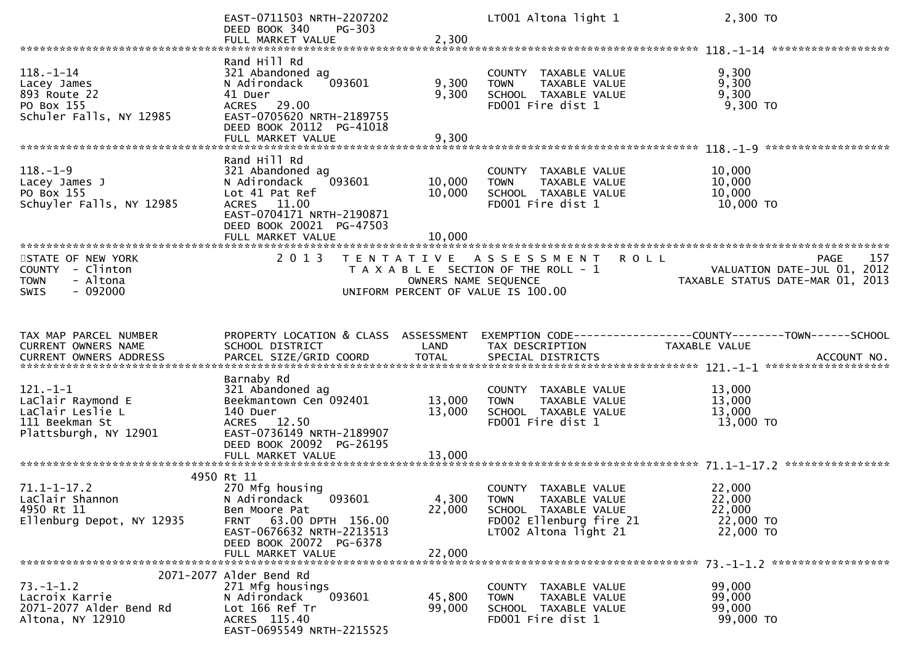|                                                                                                | EAST-0711503 NRTH-2207202<br>DEED BOOK 340<br>PG-303<br>FULL MARKET VALUE                                                                                                 | 2,300                                     | LT001 Altona light 1                                                                                                             | 2,300 TO                                                                       |
|------------------------------------------------------------------------------------------------|---------------------------------------------------------------------------------------------------------------------------------------------------------------------------|-------------------------------------------|----------------------------------------------------------------------------------------------------------------------------------|--------------------------------------------------------------------------------|
|                                                                                                |                                                                                                                                                                           |                                           |                                                                                                                                  |                                                                                |
| $118. - 1 - 14$<br>Lacey James<br>893 Route 22<br>PO Box 155<br>Schuler Falls, NY 12985        | Rand Hill Rd<br>321 Abandoned ag<br>093601<br>N Adirondack<br>41 Duer<br>ACRES 29.00<br>EAST-0705620 NRTH-2189755<br>DEED BOOK 20112 PG-41018                             | 9,300<br>9,300                            | COUNTY TAXABLE VALUE<br>TAXABLE VALUE<br><b>TOWN</b><br>SCHOOL TAXABLE VALUE<br>FD001 Fire dist 1                                | 9,300<br>9,300<br>9,300<br>$9,300$ TO                                          |
|                                                                                                | FULL MARKET VALUE                                                                                                                                                         | 9,300                                     |                                                                                                                                  |                                                                                |
| $118. - 1 - 9$<br>Lacey James J<br>PO Box 155<br>Schuyler Falls, NY 12985                      | Rand Hill Rd<br>321 Abandoned ag<br>093601<br>N Adirondack<br>Lot 41 Pat Ref<br>ACRES 11.00<br>EAST-0704171 NRTH-2190871<br>DEED BOOK 20021 PG-47503<br>FULL MARKET VALUE | 10,000<br>10,000<br>10,000                | COUNTY TAXABLE VALUE<br><b>TOWN</b><br>TAXABLE VALUE<br>SCHOOL TAXABLE VALUE<br>FD001 Fire dist 1                                | 10,000<br>10,000<br>10,000<br>10,000 TO                                        |
| STATE OF NEW YORK<br>COUNTY - Clinton<br>- Altona<br><b>TOWN</b><br>$-092000$<br>SWIS          | 2 0 1 3                                                                                                                                                                   | T E N T A T I V E<br>OWNERS NAME SEQUENCE | A S S E S S M E N T R O L L<br>T A X A B L E SECTION OF THE ROLL - 1<br>UNIFORM PERCENT OF VALUE IS 100.00                       | PAGE<br>157<br>VALUATION DATE-JUL 01, 2012<br>TAXABLE STATUS DATE-MAR 01, 2013 |
|                                                                                                |                                                                                                                                                                           |                                           |                                                                                                                                  |                                                                                |
| TAX MAP PARCEL NUMBER<br>CURRENT OWNERS NAME                                                   | PROPERTY LOCATION & CLASS ASSESSMENT<br>SCHOOL DISTRICT                                                                                                                   | LAND                                      | TAX DESCRIPTION                                                                                                                  | EXEMPTION CODE-----------------COUNTY-------TOWN------SCHOOL<br>TAXABLE VALUE  |
| $121.-1-1$<br>LaClair Raymond E<br>LaClair Leslie L<br>111 Beekman St<br>Plattsburgh, NY 12901 | Barnaby Rd<br>321 Abandoned ag<br>Beekmantown Cen 092401<br>140 Duer<br>ACRES 12.50<br>EAST-0736149 NRTH-2189907<br>DEED BOOK 20092 PG-26195<br>FULL MARKET VALUE         | 13,000<br>13,000<br>13,000                | COUNTY TAXABLE VALUE<br><b>TOWN</b><br>TAXABLE VALUE<br>SCHOOL TAXABLE VALUE<br>FD001 Fire dist 1                                | 13,000<br>13,000<br>13,000<br>13,000 TO                                        |
|                                                                                                | 4950 Rt 11                                                                                                                                                                |                                           |                                                                                                                                  |                                                                                |
| $71.1 - 1 - 17.2$<br>LaClair Shannon<br>4950 Rt 11<br>Ellenburg Depot, NY 12935                | 270 Mfg housing<br>N Adirondack<br>093601<br>Ben Moore Pat<br>63.00 DPTH 156.00<br><b>FRNT</b><br>EAST-0676632 NRTH-2213513<br>DEED BOOK 20072 PG-6378                    | 4,300<br>22,000                           | COUNTY TAXABLE VALUE<br><b>TOWN</b><br>TAXABLE VALUE<br>SCHOOL TAXABLE VALUE<br>FD002 Ellenburg fire 21<br>LT002 Altona light 21 | 22,000<br>22,000<br>22,000<br>22,000 TO<br>22,000 TO                           |
|                                                                                                | FULL MARKET VALUE                                                                                                                                                         | 22,000                                    |                                                                                                                                  |                                                                                |
| $73. - 1 - 1.2$                                                                                | 2071-2077 Alder Bend Rd<br>271 Mfg housings                                                                                                                               |                                           | COUNTY TAXABLE VALUE                                                                                                             | 99,000                                                                         |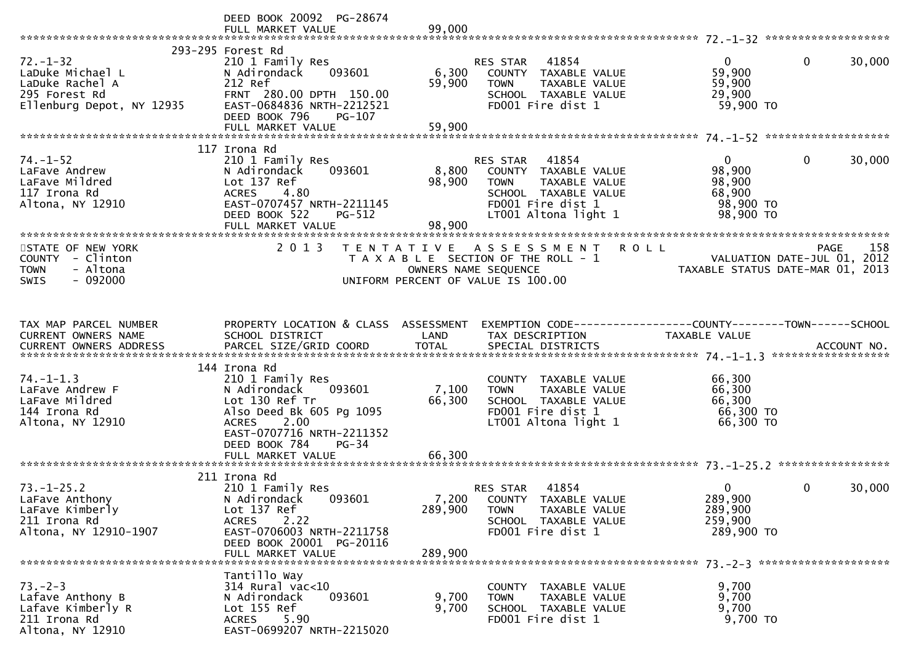|                                                                                                     | DEED BOOK 20092 PG-28674                                                                                                                                                                  |                           |                                                                                                                                                |                                                                      |                                            |
|-----------------------------------------------------------------------------------------------------|-------------------------------------------------------------------------------------------------------------------------------------------------------------------------------------------|---------------------------|------------------------------------------------------------------------------------------------------------------------------------------------|----------------------------------------------------------------------|--------------------------------------------|
| $72. - 1 - 32$<br>LaDuke Michael L<br>LaDuke Rachel A<br>295 Forest Rd<br>Ellenburg Depot, NY 12935 | 293-295 Forest Rd<br>210 1 Family Res<br>093601<br>N Adirondack<br>212 Ref<br>FRNT 280.00 DPTH 150.00<br>EAST-0684836 NRTH-2212521<br>DEED BOOK 796<br>PG-107<br>FULL MARKET VALUE        | 6,300<br>59,900<br>59,900 | 41854<br>RES STAR<br>COUNTY TAXABLE VALUE<br><b>TOWN</b><br>TAXABLE VALUE<br>SCHOOL TAXABLE VALUE<br>FD001 Fire dist 1                         | $\overline{0}$<br>59,900<br>59,900<br>29,900<br>59,900 TO            | $\mathbf{0}$<br>30,000                     |
|                                                                                                     |                                                                                                                                                                                           |                           |                                                                                                                                                |                                                                      |                                            |
| $74. - 1 - 52$<br>LaFave Andrew<br>LaFave Mildred<br>117 Irona Rd<br>Altona, NY 12910               | 117 Irona Rd<br>210 1 Family Res<br>093601<br>N Adirondack<br>Lot 137 Ref<br><b>ACRES</b><br>4.80<br>EAST-0707457 NRTH-2211145<br>DEED BOOK 522<br>PG-512<br>FULL MARKET VALUE            | 8,800<br>98,900<br>98,900 | RES STAR<br>41854<br>COUNTY TAXABLE VALUE<br><b>TOWN</b><br>TAXABLE VALUE<br>SCHOOL TAXABLE VALUE<br>FD001 Fire dist 1<br>LT001 Altona light 1 | $\mathbf{0}$<br>98,900<br>98,900<br>68,900<br>98,900 TO<br>98,900 TO | 30,000<br>0                                |
|                                                                                                     |                                                                                                                                                                                           |                           |                                                                                                                                                |                                                                      |                                            |
| STATE OF NEW YORK<br>COUNTY - Clinton<br><b>TOWN</b><br>- Altona<br>$-092000$<br><b>SWIS</b>        | 2 0 1 3                                                                                                                                                                                   |                           | <b>ROLL</b><br>TENTATIVE ASSESSMENT<br>T A X A B L E SECTION OF THE ROLL - 1<br>OWNERS NAME SEQUENCE<br>UNIFORM PERCENT OF VALUE IS 100.00     | TAXABLE STATUS DATE-MAR 01, 2013                                     | 158<br>PAGE<br>VALUATION DATE-JUL 01, 2012 |
|                                                                                                     |                                                                                                                                                                                           |                           |                                                                                                                                                |                                                                      |                                            |
| TAX MAP PARCEL NUMBER<br>CURRENT OWNERS NAME                                                        | PROPERTY LOCATION & CLASS ASSESSMENT<br>SCHOOL DISTRICT                                                                                                                                   | LAND                      | EXEMPTION CODE-----------------COUNTY-------TOWN------SCHOOL<br>TAX DESCRIPTION                                                                | TAXABLE VALUE                                                        |                                            |
| $74. - 1 - 1.3$<br>LaFave Andrew F<br>LaFave Mildred<br>144 Irona Rd<br>Altona, NY 12910            | 144 Irona Rd<br>210 1 Family Res<br>N Adirondack<br>093601<br>Lot 130 Ref Tr<br>Also Deed Bk 605 Pg 1095<br>2.00<br><b>ACRES</b><br>EAST-0707716 NRTH-2211352<br>DEED BOOK 784<br>$PG-34$ | 7,100<br>66,300           | COUNTY TAXABLE VALUE<br>TAXABLE VALUE<br><b>TOWN</b><br>SCHOOL TAXABLE VALUE<br>FD001 Fire dist 1<br>LT001 Altona light 1                      | 66,300<br>66,300<br>66,300<br>66,300 TO<br>66,300 ТО                 |                                            |
|                                                                                                     |                                                                                                                                                                                           |                           |                                                                                                                                                |                                                                      |                                            |
| $73. - 1 - 25.2$<br>LaFave Anthony<br>LaFave Kimberly<br>211 Irona Rd<br>Altona, NY 12910-1907      | 211 Irona Rd<br>210 1 Family Res<br>N Adirondack<br>093601<br>Lot 137 Ref<br>2.22<br><b>ACRES</b><br>EAST-0706003 NRTH-2211758<br>DEED BOOK 20001 PG-20116                                | 7,200<br>289,900          | 41854<br><b>RES STAR</b><br>COUNTY TAXABLE VALUE<br>TAXABLE VALUE<br><b>TOWN</b><br>SCHOOL TAXABLE VALUE<br>FD001 Fire dist 1                  | 0<br>289,900<br>289,900<br>259,900<br>289,900 TO                     | 0<br>30,000                                |
|                                                                                                     | FULL MARKET VALUE                                                                                                                                                                         | 289,900                   |                                                                                                                                                |                                                                      |                                            |
| $73. - 2 - 3$<br>Lafave Anthony B<br>Lafave Kimberly R<br>211 Irona Rd<br>Altona, NY 12910          | Tantillo Way<br>314 Rural vac<10<br>093601<br>N Adirondack<br>Lot 155 Ref<br>5.90<br><b>ACRES</b><br>EAST-0699207 NRTH-2215020                                                            | 9,700<br>9,700            | COUNTY TAXABLE VALUE<br>TAXABLE VALUE<br><b>TOWN</b><br>SCHOOL TAXABLE VALUE<br>FD001 Fire dist 1                                              | 9,700<br>9,700<br>9,700<br>9,700 TO                                  |                                            |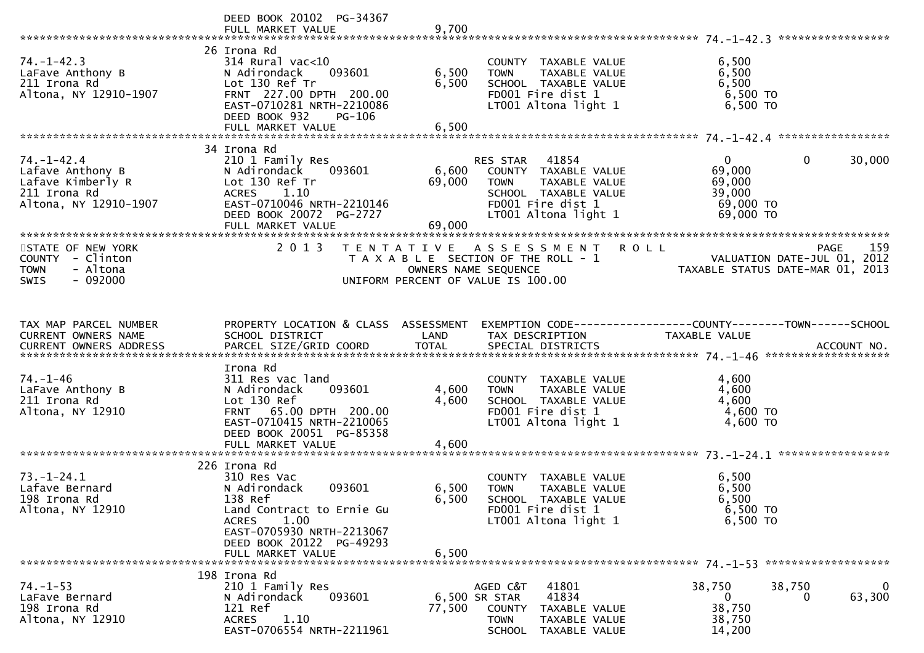|                                                                                                    | DEED BOOK 20102 PG-34367                                                                                                                                                            |                           |                                                                                                                                      |                                                                                                      |                            |
|----------------------------------------------------------------------------------------------------|-------------------------------------------------------------------------------------------------------------------------------------------------------------------------------------|---------------------------|--------------------------------------------------------------------------------------------------------------------------------------|------------------------------------------------------------------------------------------------------|----------------------------|
| $74. - 1 - 42.3$<br>LaFave Anthony B<br>211 Irona Rd<br>Altona, NY 12910-1907                      | 26 Irona Rd<br>$314$ Rural vac< $10$<br>N Adirondack<br>093601<br>Lot 130 Ref Tr<br>FRNT 227.00 DPTH 200.00<br>EAST-0710281 NRTH-2210086<br>DEED BOOK 932<br>PG-106                 | 6,500<br>6,500            | COUNTY TAXABLE VALUE<br><b>TOWN</b><br>TAXABLE VALUE<br>SCHOOL TAXABLE VALUE<br>FD001 Fire dist 1<br>LT001 Altona light 1            | 6,500<br>6,500<br>6,500<br>6,500 TO<br>6,500 TO                                                      |                            |
|                                                                                                    |                                                                                                                                                                                     |                           |                                                                                                                                      |                                                                                                      |                            |
| $74. - 1 - 42.4$<br>Lafave Anthony B<br>Lafave Kimberly R<br>211 Irona Rd<br>Altona, NY 12910-1907 | 34 Irona Rd<br>210 1 Family Res<br>N Adirondack<br>093601<br>Lot 130 Ref Tr<br>ACRES 1.10<br>EAST-0710046 NRTH-2210146<br>DEED BOOK 20072 PG-2727                                   | 6,600<br>69,000<br>69,000 | RES STAR 41854<br>COUNTY TAXABLE VALUE<br>TAXABLE VALUE<br>TOWN<br>SCHOOL TAXABLE VALUE<br>FD001 Fire dist 1<br>LT001 Altona light 1 | $\overline{0}$<br>69,000<br>69,000<br>39,000<br>69,000 TO<br>69,000 TO                               | $\mathbf{0}$<br>30,000     |
| STATE OF NEW YORK<br>COUNTY - Clinton<br>- Altona<br><b>TOWN</b><br>$-092000$<br><b>SWIS</b>       | 2013                                                                                                                                                                                | OWNERS NAME SEQUENCE      | TENTATIVE ASSESSMENT<br><b>ROLL</b><br>T A X A B L E SECTION OF THE ROLL - 1<br>UNIFORM PERCENT OF VALUE IS 100.00                   | VALUATION DATE-JUL 01, 2012<br>TAXABLE STATIIS DATE-MAP 01, 2012<br>TAXABLE STATUS DATE-MAR 01, 2013 | 159<br>PAGE                |
| TAX MAP PARCEL NUMBER<br>CURRENT OWNERS NAME                                                       | PROPERTY LOCATION & CLASS ASSESSMENT<br>SCHOOL DISTRICT                                                                                                                             | LAND                      | EXEMPTION CODE-----------------COUNTY-------TOWN------SCHOOL<br>TAX DESCRIPTION                                                      | TAXABLE VALUE                                                                                        |                            |
| $74. - 1 - 46$<br>LaFave Anthony B<br>211 Irona Rd<br>Altona, NY 12910                             | Irona Rd<br>311 Res vac land<br>093601<br>N Adirondack<br>Lot 130 Ref<br>FRNT 65.00 DPTH 200.00<br>EAST-0710415 NRTH-2210065<br>DEED BOOK 20051 PG-85358<br>FULL MARKET VALUE       | 4,600<br>4,600<br>4,600   | COUNTY TAXABLE VALUE<br>TAXABLE VALUE<br><b>TOWN</b><br>SCHOOL TAXABLE VALUE<br>FD001 Fire dist 1<br>LT001 Altona light 1            | 4,600<br>4,600<br>4,600<br>4,600 TO<br>4,600 TO                                                      |                            |
|                                                                                                    | 226 Irona Rd                                                                                                                                                                        |                           |                                                                                                                                      |                                                                                                      |                            |
| $73. - 1 - 24.1$<br>Lafave Bernard<br>198 Irona Rd<br>Altona, NY 12910                             | 310 Res Vac<br>093601<br>N Adirondack<br>138 Ref<br>Land Contract to Ernie Gu<br>1.00<br><b>ACRES</b><br>EAST-0705930 NRTH-2213067<br>DEED BOOK 20122 PG-49293<br>FULL MARKET VALUE | 6,500<br>6,500<br>6,500   | COUNTY TAXABLE VALUE<br>TAXABLE VALUE<br><b>TOWN</b><br>SCHOOL TAXABLE VALUE<br>FD001 Fire dist 1<br>LT001 Altona light 1            | 6.500<br>6,500<br>6,500<br>$6,500$ TO<br>6,500 TO                                                    |                            |
|                                                                                                    |                                                                                                                                                                                     |                           |                                                                                                                                      |                                                                                                      |                            |
| $74. - 1 - 53$<br>LaFave Bernard<br>198 Irona Rd<br>Altona, NY 12910                               | 198 Irona Rd<br>210 1 Family Res<br>093601<br>N Adirondack<br>121 Ref<br><b>ACRES</b><br>1.10<br>EAST-0706554 NRTH-2211961                                                          | 6,500 SR STAR<br>77,500   | AGED C&T<br>41801<br>41834<br>COUNTY TAXABLE VALUE<br><b>TOWN</b><br>TAXABLE VALUE<br><b>SCHOOL</b><br>TAXABLE VALUE                 | 38,750<br>38,750<br>0<br>38,750<br>38,750<br>14,200                                                  | $\mathbf 0$<br>63,300<br>0 |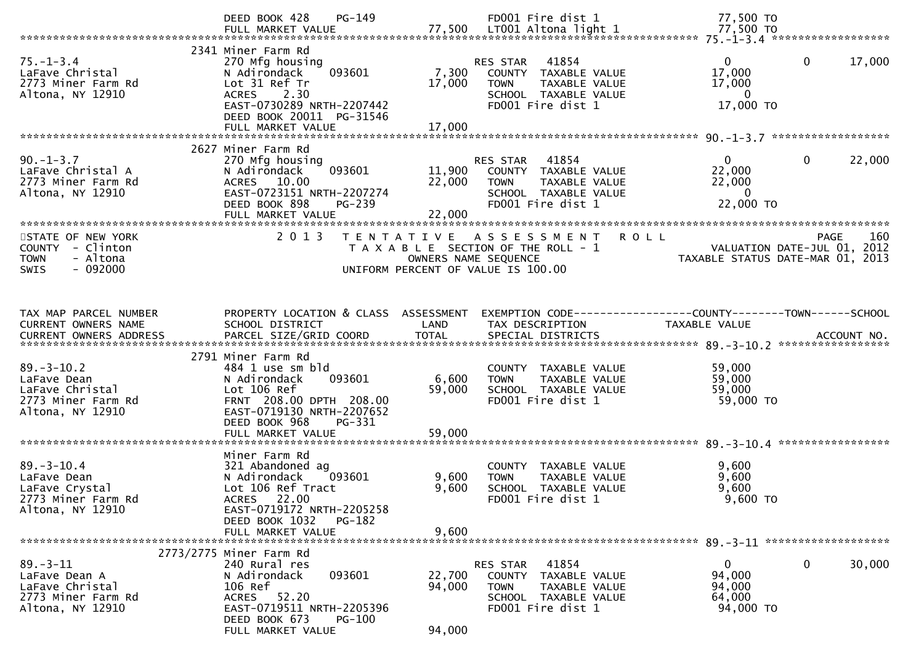|                          | PG-149<br>DEED BOOK 428                              |                      | FD001 Fire dist 1                     | 77,500 TO                                                    |
|--------------------------|------------------------------------------------------|----------------------|---------------------------------------|--------------------------------------------------------------|
|                          |                                                      |                      |                                       |                                                              |
|                          | 2341 Miner Farm Rd                                   |                      |                                       |                                                              |
| $75. - 1 - 3.4$          | 270 Mfg housing                                      |                      | 41854<br>RES STAR                     | $\Omega$<br>17,000<br>0                                      |
| LaFave Christal          | 093601<br>N Adirondack                               | 7,300                | COUNTY TAXABLE VALUE                  | 17,000                                                       |
| 2773 Miner Farm Rd       | Lot 31 Ref Tr                                        | 17,000               | TAXABLE VALUE<br><b>TOWN</b>          | 17,000                                                       |
| Altona, NY 12910         | 2.30<br><b>ACRES</b>                                 |                      | SCHOOL TAXABLE VALUE                  | $\mathbf{0}$                                                 |
|                          | EAST-0730289 NRTH-2207442                            |                      | FD001 Fire dist 1                     | 17,000 TO                                                    |
|                          | DEED BOOK 20011 PG-31546                             |                      |                                       |                                                              |
|                          |                                                      |                      |                                       |                                                              |
|                          | 2627 Miner Farm Rd                                   |                      |                                       |                                                              |
| $90. - 1 - 3.7$          | 270 Mfg housing                                      |                      | RES STAR<br>41854                     | 22,000<br>0<br>0                                             |
| LaFave Christal A        | 093601<br>N Adirondack                               | 11,900               | COUNTY TAXABLE VALUE                  | 22,000                                                       |
| 2773 Miner Farm Rd       | ACRES 10.00                                          | 22,000               | TAXABLE VALUE<br><b>TOWN</b>          | 22,000                                                       |
| Altona, NY 12910         | EAST-0723151 NRTH-2207274                            |                      | SCHOOL TAXABLE VALUE                  | $\overline{0}$                                               |
|                          | DEED BOOK 898<br>PG-239                              |                      | FD001 Fire dist 1                     | 22,000 TO                                                    |
|                          | FULL MARKET VALUE                                    | 22,000               |                                       |                                                              |
| STATE OF NEW YORK        | 2013                                                 | T E N T A T I V E    | A S S E S S M E N T<br><b>ROLL</b>    | 160<br>PAGE                                                  |
| COUNTY - Clinton         |                                                      |                      | T A X A B L E SECTION OF THE ROLL - 1 | VALUATION DATE-JUL 01, 2012                                  |
| <b>TOWN</b><br>- Altona  |                                                      | OWNERS NAME SEQUENCE |                                       | TAXABLE STATUS DATE-MAR 01, 2013                             |
| $-092000$<br><b>SWIS</b> |                                                      |                      | UNIFORM PERCENT OF VALUE IS 100.00    |                                                              |
|                          |                                                      |                      |                                       |                                                              |
|                          |                                                      |                      |                                       |                                                              |
| TAX MAP PARCEL NUMBER    | PROPERTY LOCATION & CLASS ASSESSMENT                 |                      |                                       | EXEMPTION CODE-----------------COUNTY-------TOWN------SCHOOL |
| CURRENT OWNERS NAME      | SCHOOL DISTRICT                                      | LAND                 | TAX DESCRIPTION                       | TAXABLE VALUE                                                |
|                          |                                                      |                      |                                       |                                                              |
|                          |                                                      |                      |                                       |                                                              |
|                          |                                                      |                      |                                       |                                                              |
|                          | 2791 Miner Farm Rd                                   |                      |                                       |                                                              |
| $89. - 3 - 10.2$         | 484 1 use sm bld                                     |                      | COUNTY TAXABLE VALUE                  | 59,000                                                       |
| LaFave Dean              | 093601<br>N Adirondack                               | 6,600                | <b>TOWN</b><br>TAXABLE VALUE          | 59,000                                                       |
| LaFave Christal          | Lot 106 Ref                                          | 59,000               | SCHOOL TAXABLE VALUE                  | 59,000                                                       |
| 2773 Miner Farm Rd       | FRNT 208.00 DPTH 208.00                              |                      | FD001 Fire dist 1                     | 59,000 TO                                                    |
| Altona, NY 12910         | EAST-0719130 NRTH-2207652                            |                      |                                       |                                                              |
|                          | DEED BOOK 968<br>PG-331                              |                      |                                       |                                                              |
|                          | FULL MARKET VALUE                                    | 59,000               |                                       |                                                              |
|                          | Miner Farm Rd                                        |                      |                                       |                                                              |
| $89. - 3 - 10.4$         | 321 Abandoned ag                                     |                      | COUNTY TAXABLE VALUE                  | 9,600                                                        |
| LaFave Dean              | N Adirondack<br>093601                               | 9,600                | TAXABLE VALUE<br><b>TOWN</b>          | 9,600                                                        |
| LaFave Crystal           | Lot 106 Ref Tract                                    | 9,600                | SCHOOL TAXABLE VALUE                  | 9,600                                                        |
| 2773 Miner Farm Rd       | ACRES 22.00                                          |                      | FD001 Fire dist 1                     | 9,600 TO                                                     |
| Altona, NY 12910         | EAST-0719172 NRTH-2205258                            |                      |                                       |                                                              |
|                          | DEED BOOK 1032<br>PG-182                             |                      |                                       |                                                              |
|                          | FULL MARKET VALUE                                    | 9,600                |                                       |                                                              |
|                          | 2773/2775 Miner Farm Rd                              |                      |                                       |                                                              |
| $89 - 3 - 11$            | 240 Rural res                                        |                      | 41854<br>RES STAR                     | 0<br>30,000<br>0                                             |
| LaFave Dean A            | N Adirondack<br>093601                               | 22,700               | COUNTY TAXABLE VALUE                  | 94,000                                                       |
| LaFave Christal          | 106 Ref                                              | 94,000               | <b>TOWN</b><br>TAXABLE VALUE          | 94,000                                                       |
| 2773 Miner Farm Rd       | 52.20<br>ACRES                                       |                      | SCHOOL TAXABLE VALUE                  | 64,000                                                       |
| Altona, NY 12910         | EAST-0719511 NRTH-2205396<br>DEED BOOK 673<br>PG-100 |                      | FD001 Fire dist 1                     | 94,000 TO                                                    |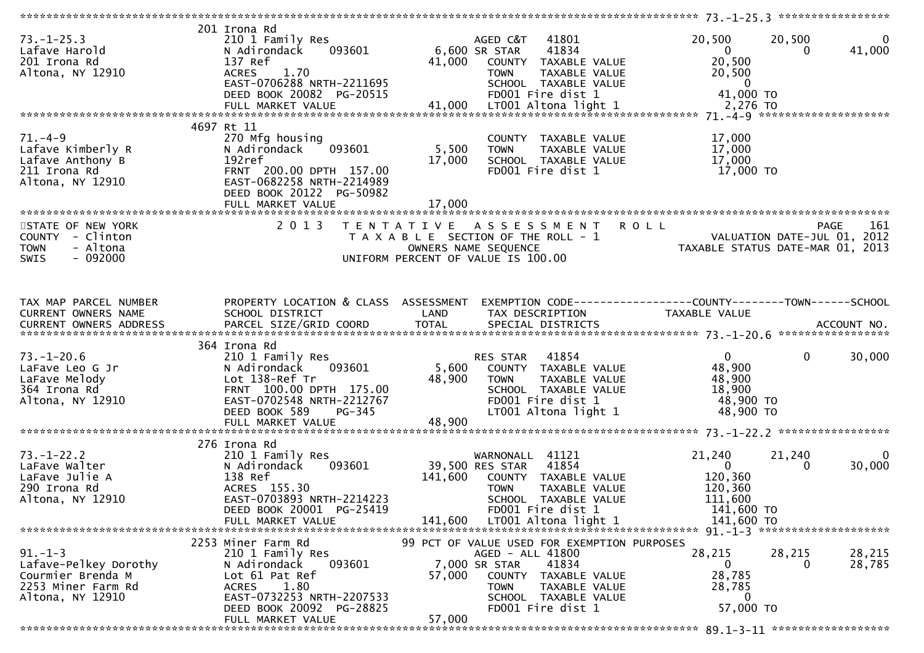| $73. - 1 - 25.3$<br>Lafave Harold<br>201 Irona Rd<br>Altona, NY 12910                                 | 201 Irona Rd<br>210 1 Family Res<br>093601<br>N Adirondack<br>137 Ref<br><b>ACRES</b><br>1.70<br>EAST-0706288 NRTH-2211695<br>DEED BOOK 20082 PG-20515              | 6,600 SR STAR   | 41801<br>AGED C&T<br>41834<br>41,000 COUNTY TAXABLE VALUE<br><b>TOWN</b><br>TAXABLE VALUE<br>SCHOOL TAXABLE VALUE<br>FD001 Fire dist 1                                                         | 20,500<br>$\overline{0}$<br>20,500<br>20,500<br>$\overline{\phantom{0}}$ 0<br>41,000 TO | 20,500<br>$\overline{0}$<br>41,000<br>0        |
|-------------------------------------------------------------------------------------------------------|---------------------------------------------------------------------------------------------------------------------------------------------------------------------|-----------------|------------------------------------------------------------------------------------------------------------------------------------------------------------------------------------------------|-----------------------------------------------------------------------------------------|------------------------------------------------|
|                                                                                                       |                                                                                                                                                                     |                 |                                                                                                                                                                                                |                                                                                         |                                                |
| $71. -4-9$<br>Lafave Kimberly R<br>Lafave Anthony B<br>211 Irona Rd<br>Altona, NY 12910               | 4697 Rt 11<br>270 Mfg housing<br>093601<br>N Adirondack<br>192ref<br>FRNT 200.00 DPTH 157.00<br>EAST-0682258 NRTH-2214989<br>DEED BOOK 20122 PG-50982               | 5,500<br>17,000 | COUNTY TAXABLE VALUE<br><b>TOWN</b><br>TAXABLE VALUE<br>SCHOOL TAXABLE VALUE<br>FD001 Fire dist 1                                                                                              | 17,000<br>17,000<br>17,000<br>17,000 TO                                                 |                                                |
|                                                                                                       |                                                                                                                                                                     |                 |                                                                                                                                                                                                |                                                                                         |                                                |
| STATE OF NEW YORK<br>COUNTY - Clinton<br><b>TOWN</b><br>- Altona<br><b>SWIS</b><br>- 092000           | 2 0 1 3                                                                                                                                                             |                 | TENTATIVE ASSESSMENT<br>T A X A B L E SECTION OF THE ROLL - 1<br>OWNERS NAME SEQUENCE<br>UNIFORM PERCENT OF VALUE IS 100.00                                                                    | <b>ROLL</b><br>VALUATION DATE-JUL 01, 2012<br>TAXABLE STATUS DATE-MAR 01, 2013          | 161<br>PAGE                                    |
| TAX MAP PARCEL NUMBER                                                                                 | PROPERTY LOCATION & CLASS ASSESSMENT                                                                                                                                |                 | EXEMPTION CODE------------------COUNTY--------TOWN------SCHOOL                                                                                                                                 |                                                                                         |                                                |
| CURRENT OWNERS NAME                                                                                   | SCHOOL DISTRICT                                                                                                                                                     | LAND            | TAX DESCRIPTION                                                                                                                                                                                | TAXABLE VALUE                                                                           |                                                |
|                                                                                                       |                                                                                                                                                                     |                 |                                                                                                                                                                                                |                                                                                         |                                                |
| $73. - 1 - 20.6$<br>LaFave Leo G Jr<br>LaFave Melody<br>364 Irona Rd<br>Altona, NY 12910              | 364 Irona Rd<br>210 1 Family Res<br>093601<br>N Adirondack<br>Lot 138-Ref Tr<br>FRNT 100.00 DPTH 175.00<br>EAST-0702548 NRTH-2212767<br>DEED BOOK 589<br>PG-345     | 48,900          | 41854<br>RES STAR<br>5,600 COUNTY TAXABLE VALUE<br>TAXABLE VALUE<br><b>TOWN</b><br>SCHOOL TAXABLE VALUE<br>FD001 Fire dist 1<br>LT001 Altona light 1                                           | $\mathbf{0}$<br>48,900<br>48,900<br>18,900<br>48,900 TO<br>48,900 TO                    | $\mathbf{0}$<br>30,000                         |
|                                                                                                       | FULL MARKET VALUE                                                                                                                                                   | 48,900          |                                                                                                                                                                                                |                                                                                         |                                                |
|                                                                                                       |                                                                                                                                                                     |                 |                                                                                                                                                                                                |                                                                                         |                                                |
| $73. - 1 - 22.2$<br>LaFave Walter<br>LaFave Julie A<br>290 Irona Rd<br>Altona, NY 12910               | 276 Irona Rd<br>210 1 Family Res<br>093601<br>N Adirondack<br>138 Ref<br>ACRES 155.30<br>EAST-0703893 NRTH-2214223<br>DEED BOOK 20001 PG-25419                      | 141,600         | WARNONALL 41121<br>39,500 RES STAR 41854<br>COUNTY TAXABLE VALUE<br><b>TOWN</b><br>TAXABLE VALUE<br>SCHOOL TAXABLE VALUE<br>FD001 Fire dist 1                                                  | 21,240<br>$\overline{0}$<br>120,360<br>120,360<br>111,600<br>141,600 TO                 | 21,240<br>$\overline{0}$<br>30,000<br>$\Omega$ |
|                                                                                                       | FULL MARKET VALUE                                                                                                                                                   | 141,600         | LT001 Altona light 1                                                                                                                                                                           | 141,600 TO                                                                              |                                                |
|                                                                                                       |                                                                                                                                                                     |                 |                                                                                                                                                                                                |                                                                                         |                                                |
| $91. - 1 - 3$<br>Lafave-Pelkey Dorothy<br>Courmier Brenda M<br>2253 Miner Farm Rd<br>Altona, NY 12910 | 2253 Miner Farm Rd<br>210 1 Family Res<br>093601<br>N Adirondack<br>Lot 61 Pat Ref<br>1.80<br><b>ACRES</b><br>EAST-0732253 NRTH-2207533<br>DEED BOOK 20092 PG-28825 | 57,000          | 99 PCT OF VALUE USED FOR EXEMPTION PURPOSES<br>AGED - ALL 41800<br>7,000 SR STAR<br>41834<br>COUNTY TAXABLE VALUE<br><b>TOWN</b><br>TAXABLE VALUE<br>SCHOOL TAXABLE VALUE<br>FD001 Fire dist 1 | 28,215<br>$\overline{0}$<br>28,785<br>28,785<br>0<br>57,000 TO                          | 28,215<br>28,215<br>28,785<br>0                |
|                                                                                                       | FULL MARKET VALUE                                                                                                                                                   | 57,000          |                                                                                                                                                                                                |                                                                                         |                                                |
|                                                                                                       |                                                                                                                                                                     |                 |                                                                                                                                                                                                |                                                                                         |                                                |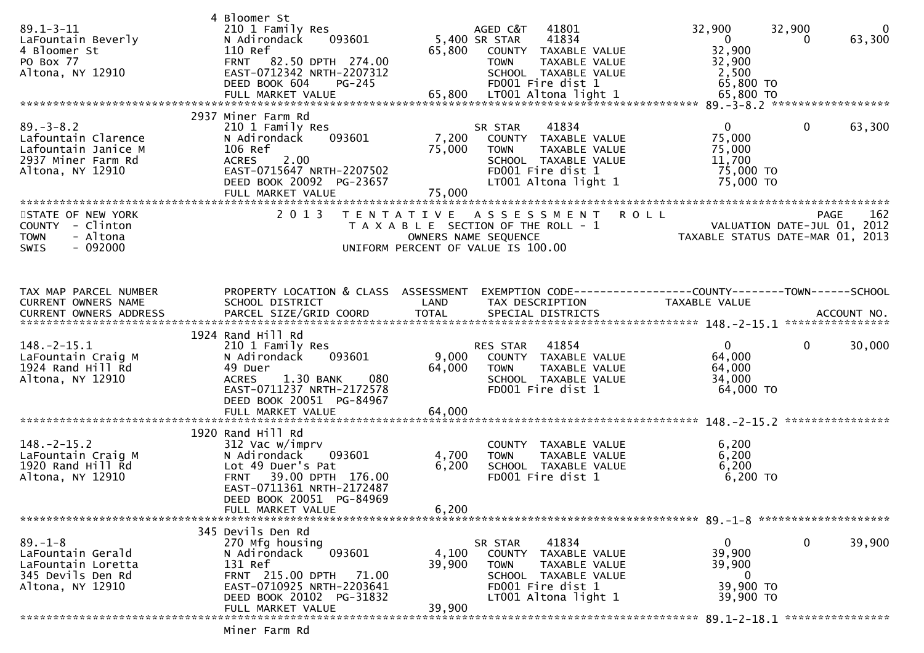| $89.1 - 3 - 11$<br>LaFountain Beverly<br>4 Bloomer St<br>PO Box 77<br>Altona, NY 12910                  | 4 Bloomer St<br>210 1 Family Res<br>093601<br>N Adirondack<br>110 Ref<br>FRNT 82.50 DPTH 274.00<br>EAST-0712342 NRTH-2207312<br>DEED BOOK 604<br>PG-245                                               | 65,800                    | 41801<br>AGED C&T<br>5,400 SR STAR<br>41834<br>COUNTY TAXABLE VALUE<br><b>TOWN</b><br>TAXABLE VALUE<br>SCHOOL TAXABLE VALUE<br>FD001 Fire dist 1        | 32,900<br>$\overline{0}$<br>32,900<br>32,900<br>2,500<br>65,800 TO     | 32,900<br>$\mathbf{0}$<br>63,300<br>0                                          |
|---------------------------------------------------------------------------------------------------------|-------------------------------------------------------------------------------------------------------------------------------------------------------------------------------------------------------|---------------------------|---------------------------------------------------------------------------------------------------------------------------------------------------------|------------------------------------------------------------------------|--------------------------------------------------------------------------------|
|                                                                                                         | 2937 Miner Farm Rd                                                                                                                                                                                    |                           |                                                                                                                                                         |                                                                        |                                                                                |
| $89. - 3 - 8.2$<br>Lafountain Clarence<br>Lafountain Janice M<br>2937 Miner Farm Rd<br>Altona, NY 12910 | 210 1 Family Res<br>093601<br>N Adirondack<br>106 Ref<br><b>ACRES</b><br>2.00<br>EAST-0715647 NRTH-2207502<br>DEED BOOK 20092 PG-23657<br>FULL MARKET VALUE                                           | 7,200<br>75,000<br>75,000 | 41834<br>SR STAR<br>COUNTY TAXABLE VALUE<br><b>TOWN</b><br><b>TAXABLE VALUE</b><br>SCHOOL TAXABLE VALUE<br>FD001 Fire dist 1<br>LT001 Altona light 1    | $\overline{0}$<br>75,000<br>75,000<br>11,700<br>75,000 TO<br>75,000 TO | $\mathbf{0}$<br>63,300                                                         |
|                                                                                                         |                                                                                                                                                                                                       |                           |                                                                                                                                                         |                                                                        |                                                                                |
| STATE OF NEW YORK<br>COUNTY - Clinton<br><b>TOWN</b><br>- Altona<br>$-092000$<br><b>SWIS</b>            | 2 0 1 3                                                                                                                                                                                               |                           | TENTATIVE ASSESSMENT<br>T A X A B L E SECTION OF THE ROLL - 1<br>OWNERS NAME SEQUENCE<br>UNIFORM PERCENT OF VALUE IS 100.00                             | <b>ROLL</b>                                                            | 162<br>PAGE<br>VALUATION DATE-JUL 01, 2012<br>TAXABLE STATUS DATE-MAR 01, 2013 |
| TAX MAP PARCEL NUMBER                                                                                   | PROPERTY LOCATION & CLASS ASSESSMENT                                                                                                                                                                  |                           | EXEMPTION CODE-----------------COUNTY-------TOWN------SCHOOL                                                                                            |                                                                        |                                                                                |
| CURRENT OWNERS NAME                                                                                     | SCHOOL DISTRICT                                                                                                                                                                                       | LAND                      | TAX DESCRIPTION                                                                                                                                         | TAXABLE VALUE                                                          |                                                                                |
|                                                                                                         | 1924 Rand Hill Rd                                                                                                                                                                                     |                           |                                                                                                                                                         |                                                                        |                                                                                |
| $148.-2-15.1$<br>LaFountain Craig M<br>1924 Rand Hill Rd<br>Altona, NY 12910                            | 210 1 Family Res<br>N Adirondack<br>093601<br>49 Duer<br>1.30 BANK<br>080<br><b>ACRES</b><br>EAST-0711237 NRTH-2172578<br>DEED BOOK 20051 PG-84967                                                    | 9,000<br>64,000           | 41854<br>RES STAR<br>COUNTY TAXABLE VALUE<br><b>TOWN</b><br>TAXABLE VALUE<br>SCHOOL TAXABLE VALUE<br>FD001 Fire dist 1                                  | $\overline{0}$<br>64,000<br>64,000<br>34,000<br>64,000 TO              | $\mathbf{0}$<br>30,000                                                         |
|                                                                                                         | FULL MARKET VALUE                                                                                                                                                                                     | 64,000                    |                                                                                                                                                         |                                                                        |                                                                                |
|                                                                                                         |                                                                                                                                                                                                       |                           |                                                                                                                                                         |                                                                        | ****************                                                               |
| $148. - 2 - 15.2$<br>LaFountain Craig M<br>1920 Rand Hill Rd<br>Altona, NY 12910                        | 1920 Rand Hill Rd<br>312 Vac w/imprv<br>093601<br>N Adirondack<br>Lot 49 Duer's Pat<br>39.00 DPTH 176.00<br><b>FRNT</b><br>EAST-0711361 NRTH-2172487<br>DEED BOOK 20051 PG-84969<br>FULL MARKET VALUE | 4,700<br>6,200<br>6,200   | COUNTY TAXABLE VALUE<br><b>TOWN</b><br>TAXABLE VALUE<br>SCHOOL TAXABLE VALUE<br>FD001 Fire dist 1                                                       | 6,200<br>6,200<br>6,200<br>6,200 TO                                    |                                                                                |
|                                                                                                         |                                                                                                                                                                                                       |                           |                                                                                                                                                         |                                                                        |                                                                                |
| $89. - 1 - 8$<br>LaFountain Gerald<br>LaFountain Loretta<br>345 Devils Den Rd<br>Altona, NY 12910       | 345 Devils Den Rd<br>270 Mfg housing<br>093601<br>N Adirondack<br>131 Ref<br>FRNT 215.00 DPTH<br>71.00<br>EAST-0710925 NRTH-2203641<br>DEED BOOK 20102 PG-31832<br>FULL MARKET VALUE                  | 4,100<br>39,900<br>39,900 | 41834<br>SR STAR<br><b>COUNTY</b><br>TAXABLE VALUE<br><b>TOWN</b><br>TAXABLE VALUE<br>SCHOOL TAXABLE VALUE<br>FD001 Fire dist 1<br>LT001 Altona light 1 | 0<br>39,900<br>39,900<br>0<br>39,900 TO<br>39,900 TO                   | 0<br>39,900                                                                    |
|                                                                                                         |                                                                                                                                                                                                       |                           |                                                                                                                                                         |                                                                        | ****************                                                               |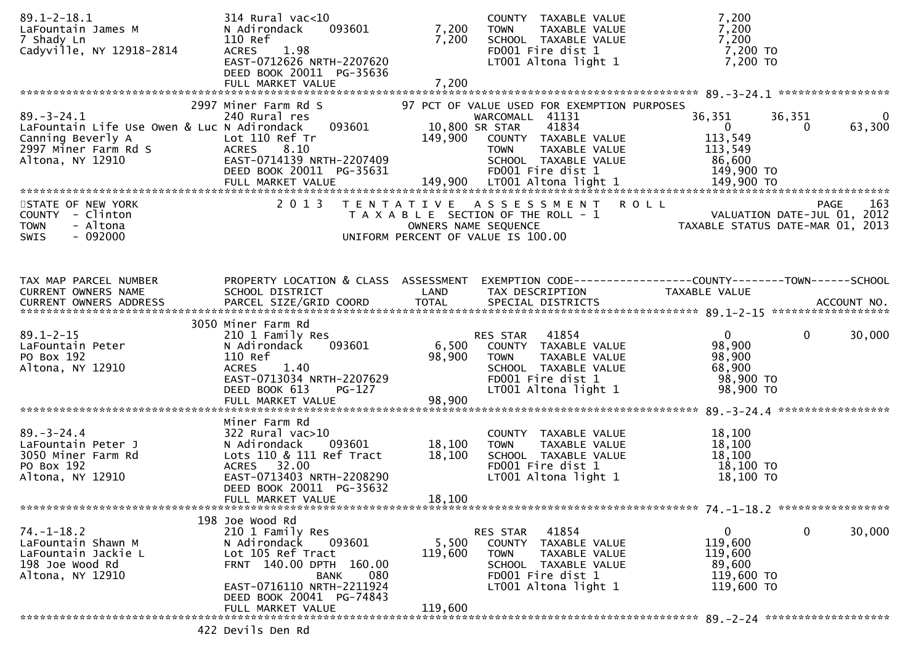| $89.1 - 2 - 18.1$<br>LaFountain James M<br>7 Shady Ln<br>Cadyville, NY 12918-2814                                                | 314 Rural vac<10<br>N Adirondack<br>093601<br>110 Ref<br>ACRES 1.98<br>EAST-0712626 NRTH-2207620<br>DEED BOOK 20011 PG-35636<br>FULL MARKET VALUE                                                                 | 7,200<br>7,200<br>7,200     | COUNTY TAXABLE VALUE<br>TAXABLE VALUE<br><b>TOWN</b><br>SCHOOL TAXABLE VALUE<br>FD001 Fire dist 1<br>LT001 Altona light 1                                                                      | 7,200<br>7,200<br>7,200<br>7,200 TO<br>7,200 TO                                                             |
|----------------------------------------------------------------------------------------------------------------------------------|-------------------------------------------------------------------------------------------------------------------------------------------------------------------------------------------------------------------|-----------------------------|------------------------------------------------------------------------------------------------------------------------------------------------------------------------------------------------|-------------------------------------------------------------------------------------------------------------|
| $89. - 3 - 24.1$<br>LaFountain Life Use Owen & Luc N Adirondack<br>Canning Beverly A<br>2997 Miner Farm Rd S<br>Altona, NY 12910 | 2997 Miner Farm Rd S<br>240 Rural res<br>093601<br>Lot 110 Ref Tr<br>8.10<br><b>ACRES</b><br>EAST-0714139 NRTH-2207409<br>DEED BOOK 20011 PG-35631                                                                | 149,900                     | 97 PCT OF VALUE USED FOR EXEMPTION PURPOSES<br>WARCOMALL 41131<br>10,800 SR STAR<br>41834<br>COUNTY TAXABLE VALUE<br>TAXABLE VALUE<br><b>TOWN</b><br>SCHOOL TAXABLE VALUE<br>FD001 Fire dist 1 | 36,351<br>36,351<br>0<br>63,300<br>$\overline{0}$<br>$\Omega$<br>113,549<br>113,549<br>86,600<br>149,900 TO |
| STATE OF NEW YORK<br>COUNTY - Clinton<br><b>TOWN</b><br>- Altona<br>$-092000$<br><b>SWIS</b>                                     | 2 0 1 3                                                                                                                                                                                                           |                             | TENTATIVE ASSESSMENT ROLL<br>T A X A B L E SECTION OF THE ROLL - 1<br>OWNERS NAME SEQUENCE<br>UNIFORM PERCENT OF VALUE IS 100.00                                                               | 163<br>PAGE<br>VALUATION DATE-JUL 01, 2012<br>TAXABLE STATUS DATE-MAR 01, 2013                              |
| TAX MAP PARCEL NUMBER<br>CURRENT OWNERS NAME                                                                                     | PROPERTY LOCATION & CLASS ASSESSMENT<br>SCHOOL DISTRICT                                                                                                                                                           | LAND                        | TAX DESCRIPTION                                                                                                                                                                                | <b>TAXABLE VALUE</b>                                                                                        |
| $89.1 - 2 - 15$<br>LaFountain Peter<br>PO Box 192<br>Altona, NY 12910                                                            | 3050 Miner Farm Rd<br>210 1 Family Res<br>N Adirondack<br>093601<br>110 Ref<br>1.40<br><b>ACRES</b><br>EAST-0713034 NRTH-2207629<br>DEED BOOK 613<br>PG-127<br>FULL MARKET VALUE                                  | 6,500<br>98,900<br>98,900   | RES STAR 41854<br>COUNTY TAXABLE VALUE<br>TAXABLE VALUE<br><b>TOWN</b><br>SCHOOL TAXABLE VALUE<br>FD001 Fire dist 1<br>LT001 Altona light 1                                                    | $\overline{0}$<br>$\mathbf 0$<br>30,000<br>98,900<br>98,900<br>68,900<br>98,900 TO<br>98,900 TO             |
| $89. - 3 - 24.4$<br>LaFountain Peter J<br>3050 Miner Farm Rd<br>PO Box 192<br>Altona, NY 12910                                   | Miner Farm Rd<br>$322$ Rural vac $>10$<br>093601<br>N Adirondack<br>Lots 110 & 111 Ref Tract<br>ACRES 32.00<br>EAST-0713403 NRTH-2208290<br>DEED BOOK 20011 PG-35632<br>FULL MARKET VALUE                         | 18,100<br>18,100<br>18,100  | COUNTY TAXABLE VALUE<br>TAXABLE VALUE<br><b>TOWN</b><br>SCHOOL TAXABLE VALUE<br>FD001 Fire dist 1<br>LT001 Altona light 1                                                                      | 18,100<br>18,100<br>18,100<br>18,100 TO<br>18,100 TO                                                        |
| $74. - 1 - 18.2$<br>LaFountain Shawn M<br>LaFountain Jackie L<br>198 Joe Wood Rd<br>Altona, NY 12910                             | 198 Joe Wood Rd<br>210 1 Family Res<br>093601<br>N Adirondack<br>Lot 105 Ref Tract<br>FRNT 140.00 DPTH 160.00<br>080<br><b>BANK</b><br>EAST-0716110 NRTH-2211924<br>DEED BOOK 20041 PG-74843<br>FULL MARKET VALUE | 5,500<br>119,600<br>119,600 | RES STAR 41854<br>COUNTY TAXABLE VALUE<br><b>TOWN</b><br>TAXABLE VALUE<br>SCHOOL TAXABLE VALUE<br>FD001 Fire dist 1<br>LT001 Altona light 1                                                    | 0<br>30,000<br>$\overline{0}$<br>119,600<br>119,600<br>89,600<br>119,600 TO<br>119,600 TO                   |
|                                                                                                                                  | 422 Devils Den Rd                                                                                                                                                                                                 |                             |                                                                                                                                                                                                |                                                                                                             |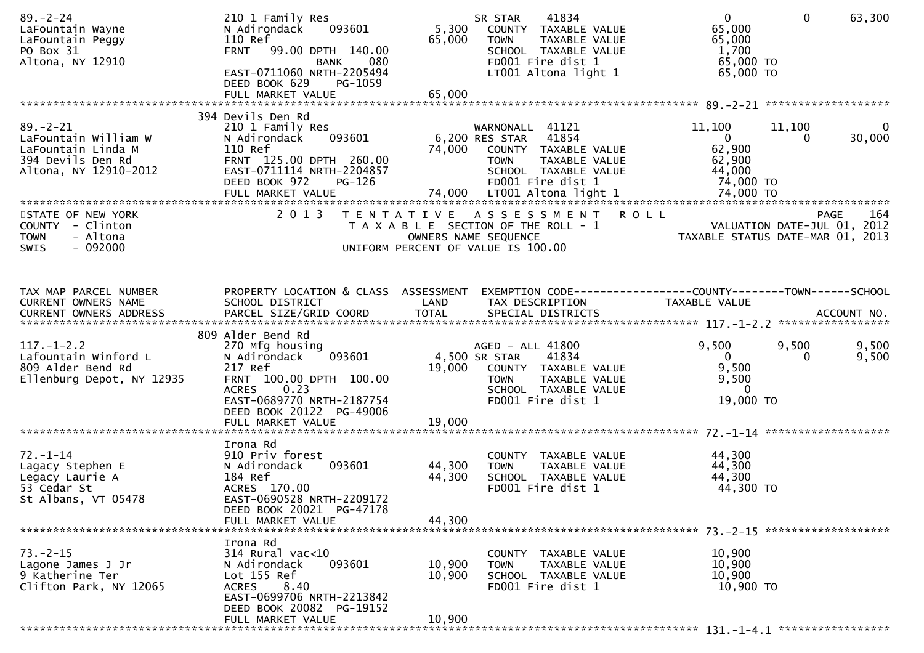| $89. - 2 - 24$<br>LaFountain Wayne<br>LaFountain Peggy<br>PO Box 31<br>Altona, NY 12910                   | 210 1 Family Res<br>093601<br>N Adirondack<br>110 Ref<br>FRNT 99.00 DPTH 140.00<br><b>BANK</b><br>080<br>EAST-0711060 NRTH-2205494<br>DEED BOOK 629<br>PG-1059<br>FULL MARKET VALUE   | 5,300<br>65,000<br>65,000  | 41834<br>SR STAR<br>COUNTY TAXABLE VALUE<br><b>TOWN</b><br>TAXABLE VALUE<br>SCHOOL TAXABLE VALUE<br>FD001 Fire dist 1<br>LT001 Altona light 1                           | $\mathbf{0}$<br>$\Omega$<br>65,000<br>65,000<br>1,700<br>65,000 TO<br>65,000 TO                                      | 63,300         |
|-----------------------------------------------------------------------------------------------------------|---------------------------------------------------------------------------------------------------------------------------------------------------------------------------------------|----------------------------|-------------------------------------------------------------------------------------------------------------------------------------------------------------------------|----------------------------------------------------------------------------------------------------------------------|----------------|
|                                                                                                           |                                                                                                                                                                                       |                            |                                                                                                                                                                         |                                                                                                                      |                |
| $89 - 2 - 21$<br>LaFountain William W<br>LaFountain Linda M<br>394 Devils Den Rd<br>Altona, NY 12910-2012 | 394 Devils Den Rd<br>210 1 Family Res<br>093601<br>N Adirondack<br>110 Ref<br>FRNT 125.00 DPTH 260.00<br>EAST-0711114 NRTH-2204857<br>DEED BOOK 972<br>PG-126                         | 74,000                     | WARNONALL 41121<br>6,200 RES STAR 41854<br>COUNTY TAXABLE VALUE<br>TAXABLE VALUE<br><b>TOWN</b><br>SCHOOL TAXABLE VALUE<br>FD001 Fire dist 1                            | 11,100<br>11,100<br>$\overline{0}$<br>0<br>62,900<br>62,900<br>44,000<br>44,∪ <del>∪</del><br>74,000 TO<br>11.000 TO | 0<br>30,000    |
| STATE OF NEW YORK<br>COUNTY - Clinton<br>- Altona<br><b>TOWN</b><br>SWIS<br>$-092000$                     |                                                                                                                                                                                       |                            | 2013 TENTATIVE ASSESSMENT ROLL<br>T A X A B L E SECTION OF THE ROLL - 1<br>OWNERS NAME SEQUENCE<br>UNIFORM PERCENT OF VALUE IS 100.00                                   | PAGE 164<br>VALUATION DATE-JUL 01, 2012<br>TAXABLE STATUS DATE 110 01, 2012                                          |                |
| TAX MAP PARCEL NUMBER<br>CURRENT OWNERS NAME                                                              | PROPERTY LOCATION & CLASS ASSESSMENT<br>SCHOOL DISTRICT                                                                                                                               | <b>Example 18 The LAND</b> | TAX DESCRIPTION                                                                                                                                                         | EXEMPTION CODE-----------------COUNTY--------TOWN------SCHOOL<br>TAXABLE VALUE                                       |                |
| $117. - 1 - 2.2$<br>Lafountain Winford L<br>809 Alder Bend Rd<br>Ellenburg Depot, NY 12935                | 809 Alder Bend Rd<br>270 Mfg housing<br>093601<br>N Adirondack<br>217 Ref<br>FRNT 100.00 DPTH 100.00<br>0.23<br><b>ACRES</b><br>EAST-0689770 NRTH-2187754<br>DEED BOOK 20122 PG-49006 | 4,500 SR STAR              | AGED - ALL 41800<br>41834<br>19,000 COUNTY TAXABLE VALUE<br>TAXABLE VALUE<br>TAXABLE VALUE<br>TAXABLE VALUE<br><b>TOWN</b><br>SCHOOL TAXABLE VALUE<br>FD001 Fire dist 1 | 9,500<br>9,500<br>$\overline{0}$<br>$\Omega$<br>9,500<br>9,500<br>$\overline{0}$<br>19,000 TO                        | 9,500<br>9,500 |
|                                                                                                           | FULL MARKET VALUE                                                                                                                                                                     | 19,000                     |                                                                                                                                                                         |                                                                                                                      |                |
| $72. - 1 - 14$<br>Lagacy Stephen E<br>Legacy Laurie A<br>53 Cedar St<br>St Albans, VT 05478               | Irona Rd<br>910 Priv forest<br>093601<br>N Adirondack<br>184 Ref<br>ACRES 170.00<br>EAST-0690528 NRTH-2209172<br>DEED BOOK 20021 PG-47178<br>FULL MARKET VALUE                        | 44,300<br>44,300<br>44,300 | COUNTY TAXABLE VALUE<br>TAXABLE VALUE<br><b>TOWN</b><br>SCHOOL TAXABLE VALUE<br>FD001 Fire dist 1                                                                       | 44,300<br>44,300<br>44,300<br>44,300 TO                                                                              |                |
|                                                                                                           |                                                                                                                                                                                       |                            |                                                                                                                                                                         |                                                                                                                      |                |
| $73. - 2 - 15$<br>Lagone James J Jr<br>9 Katherine Ter<br>Clifton Park, NY 12065                          | Irona Rd<br>$314$ Rural vac<10<br>093601<br>N Adirondack<br>Lot 155 Ref<br>8.40<br><b>ACRES</b><br>EAST-0699706 NRTH-2213842<br>DEED BOOK 20082 PG-19152                              | 10,900<br>10,900           | COUNTY TAXABLE VALUE<br>TAXABLE VALUE<br><b>TOWN</b><br>SCHOOL TAXABLE VALUE<br>FD001 Fire dist 1                                                                       | 10,900<br>10,900<br>10,900<br>10,900 TO                                                                              |                |
|                                                                                                           | FULL MARKET VALUE                                                                                                                                                                     | 10,900                     |                                                                                                                                                                         |                                                                                                                      |                |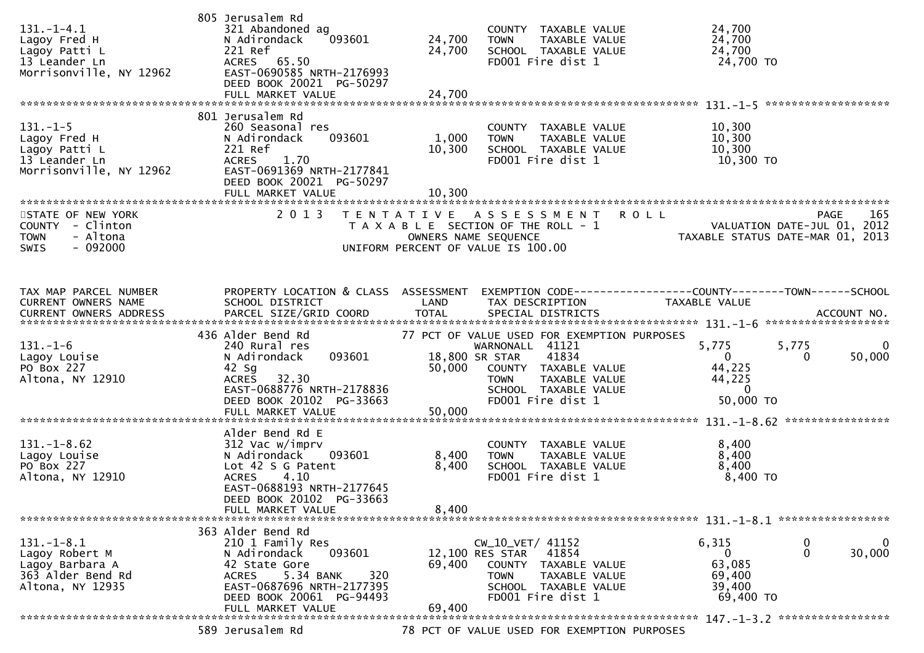| $131. - 1 - 4.1$<br>Lagoy Fred H<br>Lagoy Patti L<br>13 Leander Ln<br>Morrisonville, NY 12962 | 805 Jerusalem Rd<br>321 Abandoned ag<br>093601<br>N Adirondack<br>221 Ref<br>ACRES 65.50<br>EAST-0690585 NRTH-2176993<br>DEED BOOK 20021 PG-50297                                       | 24,700<br>24,700        | COUNTY TAXABLE VALUE<br>TAXABLE VALUE<br><b>TOWN</b><br>SCHOOL TAXABLE VALUE<br>FD001 Fire dist 1                                                 | 24,700<br>24,700<br>24,700<br>24,700 TO                       |                                               |
|-----------------------------------------------------------------------------------------------|-----------------------------------------------------------------------------------------------------------------------------------------------------------------------------------------|-------------------------|---------------------------------------------------------------------------------------------------------------------------------------------------|---------------------------------------------------------------|-----------------------------------------------|
|                                                                                               | 801 Jerusalem Rd                                                                                                                                                                        |                         |                                                                                                                                                   |                                                               |                                               |
| $131. - 1 - 5$<br>Lagoy Fred H<br>Lagoy Patti L<br>13 Leander Ln<br>Morrisonville, NY 12962   | 260 Seasonal res<br>N Adirondack<br>093601<br>221 Ref<br>1.70<br><b>ACRES</b><br>EAST-0691369 NRTH-2177841<br>DEED BOOK 20021 PG-50297                                                  | 1,000<br>10,300         | COUNTY TAXABLE VALUE<br>TAXABLE VALUE<br><b>TOWN</b><br>SCHOOL TAXABLE VALUE<br>FD001 Fire dist 1                                                 | 10,300<br>10,300<br>10,300<br>10,300 TO                       |                                               |
|                                                                                               | FULL MARKET VALUE                                                                                                                                                                       | 10,300                  |                                                                                                                                                   |                                                               |                                               |
| STATE OF NEW YORK                                                                             | 2 0 1 3                                                                                                                                                                                 | T E N T A T I V E       | A S S E S S M E N T                                                                                                                               | <b>ROLL</b>                                                   | 165<br><b>PAGE</b>                            |
| COUNTY - Clinton<br><b>TOWN</b><br>- Altona<br>$-092000$<br><b>SWIS</b>                       |                                                                                                                                                                                         |                         | T A X A B L E SECTION OF THE ROLL - 1<br>OWNERS NAME SEQUENCE<br>UNIFORM PERCENT OF VALUE IS 100.00                                               | TAXABLE STATUS DATE-MAR 01, 2013                              | VALUATION DATE-JUL 01, 2012                   |
| TAX MAP PARCEL NUMBER                                                                         | PROPERTY LOCATION & CLASS ASSESSMENT                                                                                                                                                    |                         |                                                                                                                                                   | EXEMPTION CODE-----------------COUNTY--------TOWN------SCHOOL |                                               |
| CURRENT OWNERS NAME<br>CURRENT OWNERS ADDRESS                                                 | SCHOOL DISTRICT<br>PARCEL SIZE/GRID COORD                                                                                                                                               | LAND<br><b>TOTAL</b>    | TAX DESCRIPTION<br>SPECIAL DISTRICTS                                                                                                              | TAXABLE VALUE                                                 | ACCOUNT NO.                                   |
|                                                                                               | 436 Alder Bend Rd                                                                                                                                                                       |                         | 77 PCT OF VALUE USED FOR EXEMPTION PURPOSES                                                                                                       |                                                               |                                               |
| $131. - 1 - 6$<br>Lagoy Louise<br>PO Box 227<br>Altona, NY 12910                              | 240 Rural res<br>N Adirondack<br>093601<br>$42$ Sg<br>ACRES 32.30                                                                                                                       | 50,000                  | WARNONALL 41121<br>41834<br>18,800 SR STAR<br>COUNTY TAXABLE VALUE<br><b>TOWN</b><br>TAXABLE VALUE                                                | 5,775<br>$\mathbf{0}$<br>44,225<br>44,225                     | 5,775<br>$\bf{0}$<br>50,000<br>0              |
|                                                                                               | EAST-0688776 NRTH-2178836<br>DEED BOOK 20102 PG-33663                                                                                                                                   |                         | SCHOOL TAXABLE VALUE<br>FD001 Fire dist 1                                                                                                         | $\overline{0}$<br>50,000 TO                                   |                                               |
|                                                                                               |                                                                                                                                                                                         |                         |                                                                                                                                                   |                                                               |                                               |
| $131.-1-8.62$<br>Lagoy Louise<br>PO Box 227<br>Altona, NY 12910                               | Alder Bend Rd E<br>312 Vac w/imprv<br>N Adirondack<br>093601<br>Lot 42 S G Patent<br>4.10<br><b>ACRES</b><br>EAST-0688193 NRTH-2177645<br>DEED BOOK 20102 PG-33663<br>FULL MARKET VALUE | 8,400<br>8,400<br>8,400 | COUNTY TAXABLE VALUE<br>TAXABLE VALUE<br><b>TOWN</b><br>SCHOOL TAXABLE VALUE<br>FD001 Fire dist 1                                                 | 8,400<br>8,400<br>8,400<br>8,400 TO                           |                                               |
|                                                                                               |                                                                                                                                                                                         |                         |                                                                                                                                                   |                                                               |                                               |
| 131. – 1–8.1<br>Lagoy Robert M<br>Lagoy Barbara A<br>363 Alder Bend Rd<br>Altona, NY 12935    | 363 Alder Bend Rd<br>210 1 Family Res<br>N Adirondack<br>093601<br>42 State Gore<br>5.34 BANK<br>320<br><b>ACRES</b><br>EAST-0687696 NRTH-2177395<br>DEED BOOK 20061 PG-94493           | 69,400                  | CW_10_VET/ 41152<br>41854<br>12,100 RES STAR<br>COUNTY TAXABLE VALUE<br><b>TOWN</b><br>TAXABLE VALUE<br>SCHOOL TAXABLE VALUE<br>FD001 Fire dist 1 | 6,315<br>0<br>63,085<br>69,400<br>39,400<br>69,400 TO         | 0<br>$\overline{0}$<br>$\mathbf{0}$<br>30,000 |
|                                                                                               | FULL MARKET VALUE                                                                                                                                                                       | 69,400                  |                                                                                                                                                   |                                                               |                                               |
|                                                                                               | 589 Jerusalem Rd                                                                                                                                                                        |                         | 78 PCT OF VALUE USED FOR EXEMPTION PURPOSES                                                                                                       |                                                               |                                               |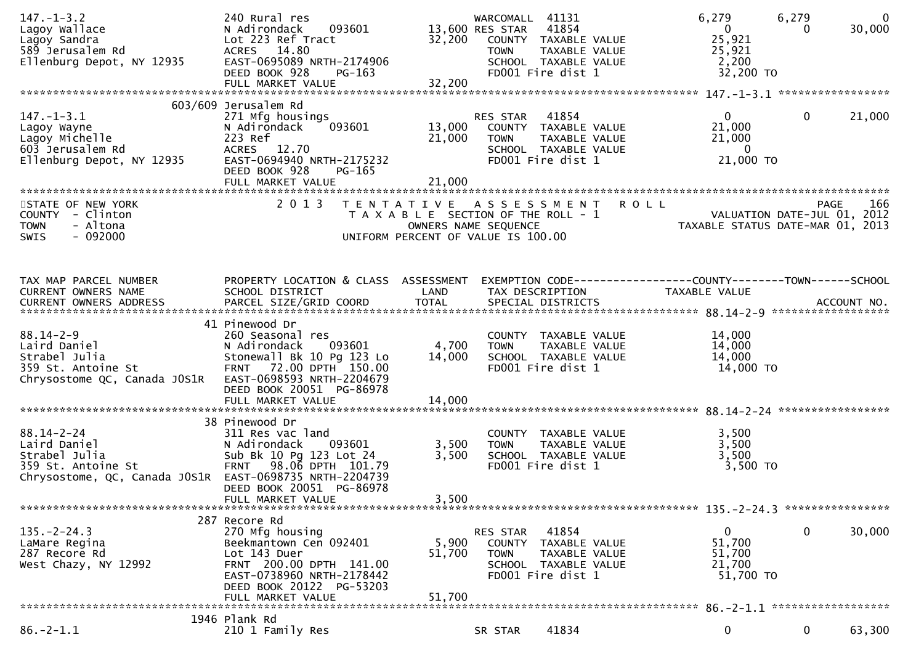| $147. - 1 - 3.2$<br>Lagoy Wallace<br>Lagoy Sandra<br>589 Jerusalem Rd<br>Ellenburg Depot, NY 12935                                 | 240 Rural res<br>093601<br>N Adirondack<br>Lot 223 Ref Tract<br>ACRES 14.80<br>EAST-0695089 NRTH-2174906<br>DEED BOOK 928<br>PG-163                                                 | 32,200                     | WARCOMALL<br>41131<br>41854<br>13,600 RES STAR<br>COUNTY TAXABLE VALUE<br><b>TOWN</b><br>TAXABLE VALUE<br>SCHOOL TAXABLE VALUE<br>FD001 Fire dist 1 | 6,279<br>$\overline{0}$<br>25,921<br>25,921<br>2,200<br>32,200 TO             | 6,279<br>$\mathbf{0}$<br>30,000<br>0                                           |
|------------------------------------------------------------------------------------------------------------------------------------|-------------------------------------------------------------------------------------------------------------------------------------------------------------------------------------|----------------------------|-----------------------------------------------------------------------------------------------------------------------------------------------------|-------------------------------------------------------------------------------|--------------------------------------------------------------------------------|
|                                                                                                                                    |                                                                                                                                                                                     |                            |                                                                                                                                                     |                                                                               |                                                                                |
| $147. - 1 - 3.1$<br>Lagoy Wayne<br>Lagoy Michelle<br>603 Jerusalem Rd<br>Ellenburg Depot, NY 12935                                 | 603/609 Jerusalem Rd<br>271 Mfg housings<br>N Adirondack<br>093601<br>223 Ref<br>ACRES 12.70<br>EAST-0694940 NRTH-2175232<br>DEED BOOK 928<br>PG-165<br>FULL MARKET VALUE           | 13,000<br>21,000<br>21,000 | 41854<br>RES STAR<br>COUNTY TAXABLE VALUE<br><b>TOWN</b><br>TAXABLE VALUE<br>SCHOOL TAXABLE VALUE<br>FD001 Fire dist 1                              | $\mathbf{0}$<br>21,000<br>21,000<br>$\overline{0}$<br>21,000 TO               | $\mathbf 0$<br>21,000                                                          |
| STATE OF NEW YORK<br>COUNTY - Clinton<br>- Altona<br><b>TOWN</b><br>$-092000$<br>SWIS                                              | 2 0 1 3                                                                                                                                                                             |                            | TENTATIVE ASSESSMENT<br>T A X A B L E SECTION OF THE ROLL - 1<br>OWNERS NAME SEQUENCE<br>UNIFORM PERCENT OF VALUE IS 100.00                         | <b>ROLL</b>                                                                   | 166<br>PAGE<br>VALUATION DATE-JUL 01, 2012<br>TAXABLE STATUS DATE-MAR 01, 2013 |
| TAX MAP PARCEL NUMBER<br>CURRENT OWNERS NAME                                                                                       | PROPERTY LOCATION & CLASS ASSESSMENT<br>SCHOOL DISTRICT                                                                                                                             | LAND                       | TAX DESCRIPTION                                                                                                                                     | EXEMPTION CODE-----------------COUNTY-------TOWN------SCHOOL<br>TAXABLE VALUE |                                                                                |
| $88.14 - 2 - 9$<br>Laird Daniel<br>Strabel Julia<br>359 St. Antoine St<br>Chrysostome QC, Canada JOS1R                             | 41 Pinewood Dr<br>260 Seasonal res<br>N Adirondack<br>093601<br>Stonewall Bk 10 Pg 123 Lo<br>FRNT 72.00 DPTH 150.00<br>EAST-0698593 NRTH-2204679<br>DEED BOOK 20051 PG-86978        | 4,700<br>14,000            | COUNTY TAXABLE VALUE<br>TAXABLE VALUE<br><b>TOWN</b><br>SCHOOL TAXABLE VALUE<br>FD001 Fire dist 1                                                   | 14,000<br>14,000<br>14,000<br>14,000 TO                                       |                                                                                |
|                                                                                                                                    | 38 Pinewood Dr                                                                                                                                                                      |                            |                                                                                                                                                     |                                                                               |                                                                                |
| $88.14 - 2 - 24$<br>Laird Daniel<br>Strabel Julia<br>359 St. Antoine St<br>Chrysostome, QC, Canada JOS1R EAST-0698735 NRTH-2204739 | 311 Res vac land<br>N Adirondack<br>093601<br>Sub Bk 10 Pg 123 Lot 24<br>FRNT 98.06 DPTH 101.79<br>DEED BOOK 20051 PG-86978<br>FULL MARKET VALUE                                    | 3,500<br>3,500<br>3,500    | COUNTY TAXABLE VALUE<br>TAXABLE VALUE<br><b>TOWN</b><br>SCHOOL TAXABLE VALUE<br>FD001 Fire dist 1                                                   | 3,500<br>3,500<br>3,500<br>3,500 TO                                           |                                                                                |
|                                                                                                                                    |                                                                                                                                                                                     |                            |                                                                                                                                                     |                                                                               |                                                                                |
| $135. -2 - 24.3$<br>LaMare Regina<br>287 Recore Rd<br>West Chazy, NY 12992                                                         | 287 Recore Rd<br>270 Mfg housing<br>Beekmantown Cen 092401<br>Lot 143 Duer<br>FRNT 200.00 DPTH 141.00<br>EAST-0738960 NRTH-2178442<br>DEED BOOK 20122 PG-53203<br>FULL MARKET VALUE | 5,900<br>51,700<br>51,700  | 41854<br>RES STAR<br>COUNTY TAXABLE VALUE<br><b>TOWN</b><br>TAXABLE VALUE<br>SCHOOL TAXABLE VALUE<br>FD001 Fire dist 1                              | $\mathbf{0}$<br>51,700<br>51,700<br>21,700<br>51,700 TO                       | $\mathbf 0$<br>30,000                                                          |
|                                                                                                                                    | 1946 Plank Rd                                                                                                                                                                       |                            |                                                                                                                                                     |                                                                               |                                                                                |
| $86. -2 - 1.1$                                                                                                                     | 210 1 Family Res                                                                                                                                                                    |                            | 41834<br>SR STAR                                                                                                                                    | 0                                                                             | $\mathbf 0$<br>63,300                                                          |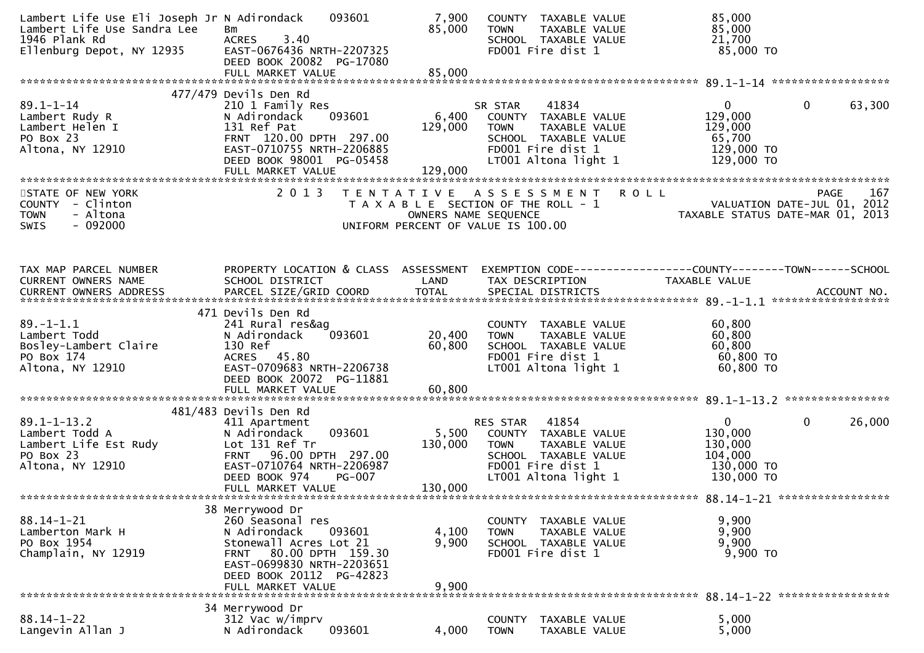| Lambert Life Use Eli Joseph Jr N Adirondack<br>Lambert Life Use Sandra Lee<br>1946 Plank Rd<br>Ellenburg Depot, NY 12935 | 093601<br>Bm<br>3.40<br><b>ACRES</b><br>EAST-0676436 NRTH-2207325<br>DEED BOOK 20082 PG-17080                                                                                                             | 7,900<br>85,000                           | COUNTY TAXABLE VALUE<br>TAXABLE VALUE<br><b>TOWN</b><br>SCHOOL TAXABLE VALUE<br>FD001 Fire dist 1                                              | 85,000<br>85,000<br>21,700<br>85,000 TO                                                            |
|--------------------------------------------------------------------------------------------------------------------------|-----------------------------------------------------------------------------------------------------------------------------------------------------------------------------------------------------------|-------------------------------------------|------------------------------------------------------------------------------------------------------------------------------------------------|----------------------------------------------------------------------------------------------------|
|                                                                                                                          |                                                                                                                                                                                                           |                                           |                                                                                                                                                |                                                                                                    |
| $89.1 - 1 - 14$<br>Lambert Rudy R<br>Lambert Helen I<br>PO Box 23<br>Altona, NY 12910                                    | 477/479 Devils Den Rd<br>210 1 Family Res<br>093601<br>N Adirondack<br>131 Ref Pat<br>FRNT 120.00 DPTH 297.00<br>EAST-0710755 NRTH-2206885<br>DEED BOOK 98001 PG-05458<br>FULL MARKET VALUE               | 6,400<br>129,000<br>129,000               | 41834<br>SR STAR<br>COUNTY TAXABLE VALUE<br>TAXABLE VALUE<br><b>TOWN</b><br>SCHOOL TAXABLE VALUE<br>FD001 Fire dist 1<br>LT001 Altona light 1  | $\mathbf{0}$<br>$\mathbf{0}$<br>63,300<br>129,000<br>129,000<br>65,700<br>129,000 TO<br>129,000 TO |
|                                                                                                                          |                                                                                                                                                                                                           |                                           |                                                                                                                                                |                                                                                                    |
| STATE OF NEW YORK<br>COUNTY - Clinton<br><b>TOWN</b><br>- Altona<br>$-092000$<br><b>SWIS</b>                             | 2 0 1 3                                                                                                                                                                                                   | T E N T A T I V E<br>OWNERS NAME SEQUENCE | A S S E S S M E N T<br>T A X A B L E SECTION OF THE ROLL - 1<br>UNIFORM PERCENT OF VALUE IS 100.00                                             | ROLL<br>167<br>PAGE<br>VALUATION DATE-JUL 01, 2012<br>TAXABLE STATUS DATE-MAR 01, 2013             |
|                                                                                                                          |                                                                                                                                                                                                           |                                           |                                                                                                                                                |                                                                                                    |
| TAX MAP PARCEL NUMBER<br>CURRENT OWNERS NAME                                                                             | PROPERTY LOCATION & CLASS ASSESSMENT<br>SCHOOL DISTRICT                                                                                                                                                   | LAND                                      | TAX DESCRIPTION                                                                                                                                | EXEMPTION CODE------------------COUNTY--------TOWN------SCHOOL<br>TAXABLE VALUE                    |
|                                                                                                                          |                                                                                                                                                                                                           |                                           |                                                                                                                                                |                                                                                                    |
| $89. - 1 - 1.1$<br>Lambert Todd<br>Bosley-Lambert Claire<br>PO Box 174<br>Altona, NY 12910                               | 471 Devils Den Rd<br>241 Rural res&ag<br>093601<br>N Adirondack<br>130 Ref<br>ACRES 45.80<br>EAST-0709683 NRTH-2206738<br>DEED BOOK 20072 PG-11881                                                        | 20,400<br>60,800                          | COUNTY TAXABLE VALUE<br><b>TOWN</b><br>TAXABLE VALUE<br>SCHOOL TAXABLE VALUE<br>FD001 Fire dist 1<br>LT001 Altona light 1                      | 60,800<br>60,800<br>60,800<br>60,800 TO<br>60,800 TO                                               |
|                                                                                                                          | 481/483 Devils Den Rd                                                                                                                                                                                     |                                           |                                                                                                                                                |                                                                                                    |
| $89.1 - 1 - 13.2$<br>Lambert Todd A<br>Lambert Life Est Rudy<br>PO Box 23<br>Altona, NY 12910                            | 411 Apartment<br>093601<br>N Adirondack<br>Lot 131 Ref Tr<br>FRNT 96.00 DPTH 297.00<br>EAST-0710764 NRTH-2206987<br>DEED BOOK 974<br><b>PG-007</b><br>FULL MARKET VALUE                                   | 5,500<br>130,000<br>130,000               | 41854<br>RES STAR<br>COUNTY TAXABLE VALUE<br><b>TOWN</b><br>TAXABLE VALUE<br>SCHOOL TAXABLE VALUE<br>FD001 Fire dist 1<br>LT001 Altona light 1 | $\mathbf{0}$<br>$\mathbf 0$<br>26,000<br>130,000<br>130,000<br>104,000<br>130,000 TO<br>130,000 TO |
|                                                                                                                          |                                                                                                                                                                                                           |                                           |                                                                                                                                                |                                                                                                    |
| $88.14 - 1 - 21$<br>Lamberton Mark H<br>PO Box 1954<br>Champlain, NY 12919                                               | 38 Merrywood Dr<br>260 Seasonal res<br>N Adirondack<br>093601<br>Stonewall Acres Lot 21<br>80.00 DPTH 159.30<br><b>FRNT</b><br>EAST-0699830 NRTH-2203651<br>DEED BOOK 20112 PG-42823<br>FULL MARKET VALUE | 4,100<br>9,900<br>9,900                   | COUNTY TAXABLE VALUE<br>TAXABLE VALUE<br><b>TOWN</b><br>SCHOOL TAXABLE VALUE<br>FD001 Fire dist 1                                              | 9,900<br>9,900<br>9,900<br>9,900 TO                                                                |
|                                                                                                                          | 34 Merrywood Dr                                                                                                                                                                                           |                                           |                                                                                                                                                |                                                                                                    |
| $88.14 - 1 - 22$<br>Langevin Allan J                                                                                     | 312 Vac w/imprv<br>093601<br>N Adirondack                                                                                                                                                                 | 4,000                                     | <b>COUNTY</b><br><b>TAXABLE VALUE</b><br>TAXABLE VALUE<br><b>TOWN</b>                                                                          | 5,000<br>5,000                                                                                     |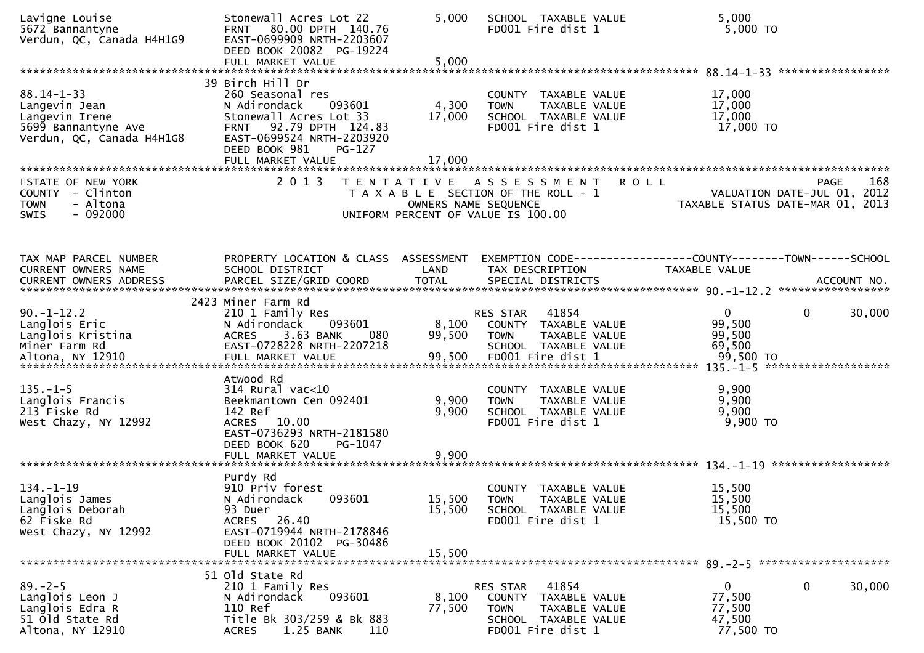| Lavigne Louise<br>5672 Bannantyne<br>Verdun, QC, Canada H4H1G9                                          | Stonewall Acres Lot 22<br>FRNT 80.00 DPTH 140.76<br>EAST-0699909 NRTH-2203607<br>DEED BOOK 20082 PG-19224<br>FULL MARKET VALUE                                                                    | 5,000<br>5,000             | SCHOOL TAXABLE VALUE<br>FD001 Fire dist 1                                                                                     | 5,000<br>5,000 TO                                                                             |
|---------------------------------------------------------------------------------------------------------|---------------------------------------------------------------------------------------------------------------------------------------------------------------------------------------------------|----------------------------|-------------------------------------------------------------------------------------------------------------------------------|-----------------------------------------------------------------------------------------------|
| $88.14 - 1 - 33$<br>Langevin Jean<br>Langevin Irene<br>5699 Bannantyne Ave<br>Verdun, QC, Canada H4H1G8 | 39 Birch Hill Dr<br>260 Seasonal res<br>N Adirondack<br>093601<br>Stonewall Acres Lot 33<br>FRNT 92.79 DPTH 124.83<br>EAST-0699524 NRTH-2203920<br>DEED BOOK 981<br>$PG-127$<br>FULL MARKET VALUE | 4,300<br>17,000<br>17,000  | COUNTY TAXABLE VALUE<br>TAXABLE VALUE<br><b>TOWN</b><br>SCHOOL TAXABLE VALUE<br>FD001 Fire dist 1                             | 17,000<br>17,000<br>17,000<br>17,000 TO                                                       |
| STATE OF NEW YORK<br>COUNTY - Clinton<br><b>TOWN</b><br>- Altona<br>$-092000$<br><b>SWIS</b>            | 2013                                                                                                                                                                                              |                            | TENTATIVE ASSESSMENT<br>T A X A B L E SECTION OF THE ROLL - 1<br>OWNERS NAME SEQUENCE<br>UNIFORM PERCENT OF VALUE IS 100.00   | 168<br><b>ROLL</b><br>PAGE<br>VALUATION DATE-JUL 01, 2012<br>TAXABLE STATUS DATE-MAR 01, 2013 |
| TAX MAP PARCEL NUMBER<br>CURRENT OWNERS NAME<br>CURRENT OWNERS ADDRESS                                  | PROPERTY LOCATION & CLASS ASSESSMENT<br>SCHOOL DISTRICT                                                                                                                                           | LAND                       | TAX DESCRIPTION                                                                                                               | EXEMPTION CODE-----------------COUNTY-------TOWN------SCHOOL<br>TAXABLE VALUE                 |
| $90. -1 - 12.2$<br>Langlois Eric<br>Langlois Kristina<br>Miner Farm Rd                                  | 2423 Miner Farm Rd<br>210 1 Family Res<br>N Adirondack<br>093601<br>3.63 BANK<br><b>ACRES</b><br>080<br>EAST-0728228 NRTH-2207218                                                                 | 8,100<br>99,500            | 41854<br>RES STAR<br>COUNTY TAXABLE VALUE<br><b>TOWN</b><br>TAXABLE VALUE<br>SCHOOL TAXABLE VALUE                             | 0<br>30,000<br>0<br>99,500<br>99,500<br>69,500<br>99,500 TO<br>*******************            |
| $135. - 1 - 5$<br>Langlois Francis<br>213 Fiske Rd<br>West Chazy, NY 12992                              | Atwood Rd<br>$314$ Rural vac<10<br>Beekmantown Cen 092401<br>142 Ref<br>ACRES 10.00<br>EAST-0736293 NRTH-2181580<br>DEED BOOK 620<br>PG-1047<br>FULL MARKET VALUE                                 | 9,900<br>9,900<br>9,900    | COUNTY TAXABLE VALUE<br>TAXABLE VALUE<br><b>TOWN</b><br>SCHOOL TAXABLE VALUE<br>FD001 Fire dist 1                             | 9,900<br>9,900<br>9,900<br>9,900 TO                                                           |
| $134. - 1 - 19$<br>Langlois James<br>Langlois Deborah<br>62 Fiske Rd<br>West Chazy, NY 12992            | Purdy Rd<br>910 Priv forest<br>N Adirondack<br>093601<br>93 Duer<br>ACRES 26.40<br>EAST-0719944 NRTH-2178846<br>DEED BOOK 20102 PG-30486<br>FULL MARKET VALUE                                     | 15,500<br>15,500<br>15,500 | <b>COUNTY</b><br>TAXABLE VALUE<br><b>TOWN</b><br>TAXABLE VALUE<br>SCHOOL TAXABLE VALUE<br>FD001 Fire dist 1                   | 15,500<br>15,500<br>15,500<br>15,500 TO                                                       |
| $89. - 2 - 5$<br>Langlois Leon J<br>Langlois Edra R<br>51 old State Rd<br>Altona, NY 12910              | 51 old State Rd<br>210 1 Family Res<br>N Adirondack<br>093601<br>110 Ref<br>Title Bk 303/259 & Bk 883<br>1.25 BANK<br><b>ACRES</b><br>110                                                         | 8,100<br>77,500            | 41854<br><b>RES STAR</b><br>COUNTY TAXABLE VALUE<br><b>TOWN</b><br>TAXABLE VALUE<br>SCHOOL TAXABLE VALUE<br>FD001 Fire dist 1 | 0<br>0<br>30,000<br>77,500<br>77,500<br>47,500<br>77,500 TO                                   |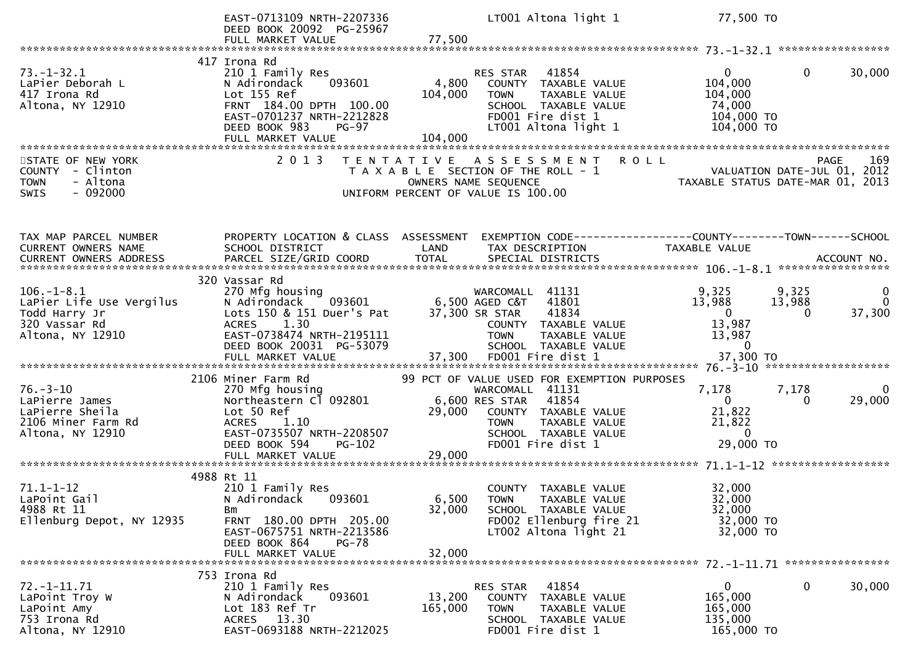|                                                                                                        | EAST-0713109 NRTH-2207336<br>DEED BOOK 20092 PG-25967<br>FULL MARKET VALUE                                                                                                         | LT001 Altona light 1<br>77,500                                                                                                                                                                                     | 77,500 TO                                                                                                                                                                                       |
|--------------------------------------------------------------------------------------------------------|------------------------------------------------------------------------------------------------------------------------------------------------------------------------------------|--------------------------------------------------------------------------------------------------------------------------------------------------------------------------------------------------------------------|-------------------------------------------------------------------------------------------------------------------------------------------------------------------------------------------------|
|                                                                                                        |                                                                                                                                                                                    |                                                                                                                                                                                                                    |                                                                                                                                                                                                 |
| $73. - 1 - 32.1$<br>LaPier Deborah L<br>417 Irona Rd<br>Altona, NY 12910                               | 417 Irona Rd<br>210 1 Family Res<br>093601<br>N Adirondack<br>Lot 155 Ref<br>FRNT 184.00 DPTH 100.00<br>EAST-0701237 NRTH-2212828<br>DEED BOOK 983<br>$PG-97$<br>FULL MARKET VALUE | 41854<br>RES STAR<br>4,800<br>COUNTY TAXABLE VALUE<br>104,000<br><b>TOWN</b><br>TAXABLE VALUE<br>SCHOOL TAXABLE VALUE<br>FD001 Fire dist 1<br>LT001 Altona light 1<br>104,000                                      | $\Omega$<br>30,000<br>$\overline{0}$<br>104,000<br>104,000<br>74,000<br>104,000 TO<br>104,000 TO                                                                                                |
| STATE OF NEW YORK<br><b>COUNTY</b><br>- Clinton<br>- Altona<br><b>TOWN</b><br>$-092000$<br><b>SWIS</b> | 2 0 1 3                                                                                                                                                                            | <b>ROLL</b><br>T E N T A T I V E<br>A S S E S S M E N T<br>T A X A B L E SECTION OF THE ROLL - 1<br>OWNERS NAME SEQUENCE<br>UNIFORM PERCENT OF VALUE IS 100.00                                                     | <b>PAGE</b><br>169<br>VALUATION DATE-JUL 01, 2012<br>TAXABLE STATUS DATE-MAR 01, 2013                                                                                                           |
| TAX MAP PARCEL NUMBER<br>CURRENT OWNERS NAME                                                           | PROPERTY LOCATION & CLASS ASSESSMENT<br>SCHOOL DISTRICT                                                                                                                            | LAND<br>TAX DESCRIPTION                                                                                                                                                                                            | EXEMPTION CODE------------------COUNTY--------TOWN------SCHOOL<br><b>TAXABLE VALUE</b><br>CURRENT OWNERS ADDRESS PARCEL SIZE/GRID COORD TOTAL SPECIAL DISTRICTS (ACCOUNT NO. 4CCOUNT NO. 1997). |
| $106. - 1 - 8.1$<br>LaPier Life Use Vergilus<br>Todd Harry Jr<br>320 Vassar Rd<br>Altona, NY 12910     | 320 Vassar Rd<br>270 Mfg housing<br>N Adirondack<br>093601<br>Lots 150 & 151 Duer's Pat<br>1.30<br><b>ACRES</b><br>EAST-0738474 NRTH-2195111<br>DEED BOOK 20031 PG-53079           | WARCOMALL 41131<br>6,500 AGED C&T<br>41801<br>41834<br>37,300 SR STAR<br>COUNTY TAXABLE VALUE<br><b>TOWN</b><br><b>TAXABLE VALUE</b><br>SCHOOL TAXABLE VALUE                                                       | 9,325<br>9,325<br>0<br>13,988<br>13,988<br>$\Omega$<br>37,300<br>$\mathbf{0}$<br>0<br>13,987<br>13,987<br>$\Omega$                                                                              |
| $76. - 3 - 10$<br>LaPierre James<br>LaPierre Sheila<br>2106 Miner Farm Rd<br>Altona, NY 12910          | 2106 Miner Farm Rd<br>270 Mfg housing<br>Northeastern Cl 092801<br>Lot 50 Ref<br><b>ACRES</b><br>1.10<br>EAST-0735507 NRTH-2208507<br>DEED BOOK 594<br>PG-102<br>FULL MARKET VALUE | 99 PCT OF VALUE USED FOR EXEMPTION PURPOSES<br>WARCOMALL 41131<br>6,600 RES STAR<br>41854<br>29,000<br>COUNTY TAXABLE VALUE<br>TAXABLE VALUE<br><b>TOWN</b><br>SCHOOL TAXABLE VALUE<br>FD001 Fire dist 1<br>29,000 | 7,178<br>7,178<br>$\Omega$<br>$\mathbf{0}$<br>29,000<br>0<br>21,822<br>21,822<br>$\mathbf{0}$<br>29,000 TO                                                                                      |
| $71.1 - 1 - 12$<br>LaPoint Gail<br>4988 Rt 11<br>Ellenburg Depot, NY 12935                             | 4988 Rt 11<br>210 1 Family Res<br>093601<br>N Adirondack<br>Bm<br>FRNT 180.00 DPTH 205.00<br>EAST-0675751 NRTH-2213586<br>DEED BOOK 864<br><b>PG-78</b><br>FULL MARKET VALUE       | COUNTY TAXABLE VALUE<br>6,500<br><b>TOWN</b><br>TAXABLE VALUE<br>32,000<br>SCHOOL TAXABLE VALUE<br>FD002 Ellenburg fire 21<br>LT002 Altona light 21<br>32,000                                                      | 32,000<br>32,000<br>32,000<br>32,000 TO<br>32,000 TO                                                                                                                                            |
| $72. -1 - 11.71$<br>LaPoint Troy W<br>LaPoint Amy<br>753 Irona Rd<br>Altona, NY 12910                  | 753 Irona Rd<br>210 1 Family Res<br>N Adirondack<br>093601<br>Lot 183 Ref Tr<br>ACRES 13.30<br>EAST-0693188 NRTH-2212025                                                           | 41854<br>RES STAR<br>13,200<br>COUNTY TAXABLE VALUE<br>165,000<br>TAXABLE VALUE<br><b>TOWN</b><br>SCHOOL TAXABLE VALUE<br>FD001 Fire dist 1                                                                        | $\mathbf{0}$<br>0<br>30,000<br>165,000<br>165,000<br>135,000<br>165,000 TO                                                                                                                      |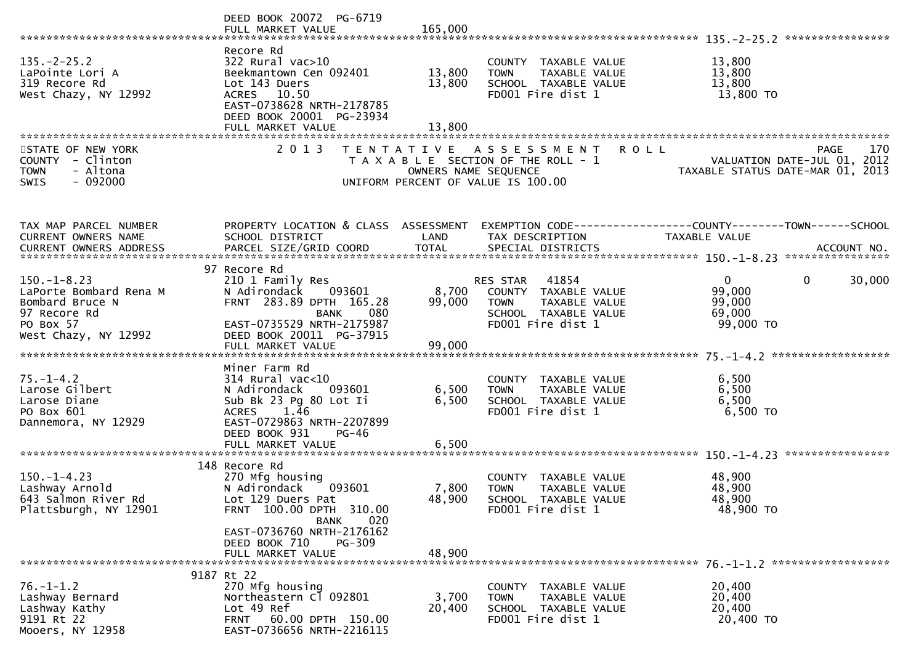|                                                                                                                    | DEED BOOK 20072 PG-6719                                                                                                                                                                            |                                           |                                                                                                                        | ****************                                                                                                                                                   |
|--------------------------------------------------------------------------------------------------------------------|----------------------------------------------------------------------------------------------------------------------------------------------------------------------------------------------------|-------------------------------------------|------------------------------------------------------------------------------------------------------------------------|--------------------------------------------------------------------------------------------------------------------------------------------------------------------|
| $135. -2 - 25.2$<br>LaPointe Lori A<br>319 Recore Rd<br>West Chazy, NY 12992                                       | Recore Rd<br>$322$ Rural vac $>10$<br>Beekmantown Cen 092401<br>Lot 143 Duers<br>ACRES 10.50<br>EAST-0738628 NRTH-2178785<br>DEED BOOK 20001 PG-23934<br>FULL MARKET VALUE                         | 13,800<br>13,800<br>13,800                | COUNTY TAXABLE VALUE<br><b>TOWN</b><br>TAXABLE VALUE<br>SCHOOL TAXABLE VALUE<br>FD001 Fire dist 1                      | 13,800<br>13,800<br>13,800<br>13,800 TO                                                                                                                            |
| STATE OF NEW YORK<br>COUNTY - Clinton<br>- Altona<br><b>TOWN</b><br>$-092000$<br><b>SWIS</b>                       | 2 0 1 3                                                                                                                                                                                            | T E N T A T I V E<br>OWNERS NAME SEQUENCE | ASSESSMENT<br>T A X A B L E SECTION OF THE ROLL - 1<br>UNIFORM PERCENT OF VALUE IS 100.00                              | 170<br><b>ROLL</b><br>PAGE<br>VALUATION DATE-JUL 01, 2012<br>TAXABLE STATUS DATE-MAR 01, 2013                                                                      |
| TAX MAP PARCEL NUMBER<br>CURRENT OWNERS NAME                                                                       | PROPERTY LOCATION & CLASS ASSESSMENT<br>SCHOOL DISTRICT                                                                                                                                            | LAND                                      | TAX DESCRIPTION                                                                                                        | TAXABLE VALUE<br>.CURRENT OWNERS ADDRESS PARCEL SIZE/GRID COORD TOTAL SPECIAL DISTRICTS MOTHERS ADDRESS PARCEL SIZE/GRID COORD TOTAL SPECIAL DISTRICTS ACCOUNT NO. |
|                                                                                                                    | 97 Recore Rd                                                                                                                                                                                       |                                           |                                                                                                                        |                                                                                                                                                                    |
| $150. -1 - 8.23$<br>LaPorte Bombard Rena M<br>Bombard Bruce N<br>97 Recore Rd<br>PO Box 57<br>West Chazy, NY 12992 | 210 1 Family Res<br>N Adirondack<br>093601<br>FRNT 283.89 DPTH 165.28<br><b>BANK</b><br>080<br>EAST-0735529 NRTH-2175987<br>DEED BOOK 20011 PG-37915                                               | 8,700<br>99,000                           | 41854<br>RES STAR<br>COUNTY TAXABLE VALUE<br><b>TOWN</b><br>TAXABLE VALUE<br>SCHOOL TAXABLE VALUE<br>FD001 Fire dist 1 | $\overline{0}$<br>$\mathbf{0}$<br>30,000<br>99,000<br>99,000<br>69,000<br>99,000 TO                                                                                |
|                                                                                                                    | FULL MARKET VALUE                                                                                                                                                                                  | 99,000                                    |                                                                                                                        |                                                                                                                                                                    |
| $75. - 1 - 4.2$<br>Larose Gilbert<br>Larose Diane<br>PO Box 601<br>Dannemora, NY 12929                             | Miner Farm Rd<br>$314$ Rural vac<10<br>N Adirondack<br>093601<br>Sub Bk 23 Pg 80 Lot Ii<br>1.46<br><b>ACRES</b><br>EAST-0729863 NRTH-2207899<br>DEED BOOK 931<br><b>PG-46</b><br>FULL MARKET VALUE | 6,500<br>6,500<br>6,500                   | COUNTY TAXABLE VALUE<br>TAXABLE VALUE<br><b>TOWN</b><br>SCHOOL TAXABLE VALUE<br>FD001 Fire dist 1                      | 6,500<br>6,500<br>6,500<br>6,500 TO                                                                                                                                |
|                                                                                                                    |                                                                                                                                                                                                    |                                           |                                                                                                                        |                                                                                                                                                                    |
| $150. -1 - 4.23$<br>Lashway Arnold<br>643 Salmon River Rd<br>Plattsburgh, NY 12901                                 | 148 Recore Rd<br>270 Mfg housing<br>093601<br>N Adirondack<br>Lot 129 Duers Pat<br>FRNT 100.00 DPTH 310.00<br>020<br>BANK                                                                          | 7,800<br>48,900                           | COUNTY TAXABLE VALUE<br><b>TOWN</b><br>TAXABLE VALUE<br>SCHOOL TAXABLE VALUE<br>FD001 Fire dist 1                      | 48,900<br>48,900<br>48,900<br>48,900 TO                                                                                                                            |
|                                                                                                                    | EAST-0736760 NRTH-2176162<br>PG-309<br>DEED BOOK 710<br>FULL MARKET VALUE                                                                                                                          | 48,900                                    |                                                                                                                        |                                                                                                                                                                    |
| $76. - 1 - 1.2$<br>Lashway Bernard<br>Lashway Kathy<br>9191 Rt 22<br>Mooers, NY 12958                              | 9187 Rt 22<br>270 Mfg housing<br>Northeastern C1 092801<br>Lot 49 Ref<br>FRNT 60.00 DPTH 150.00<br>EAST-0736656 NRTH-2216115                                                                       | 3,700<br>20,400                           | COUNTY TAXABLE VALUE<br>TAXABLE VALUE<br><b>TOWN</b><br>SCHOOL TAXABLE VALUE<br>FD001 Fire dist 1                      | 20,400<br>20,400<br>20,400<br>20,400 TO                                                                                                                            |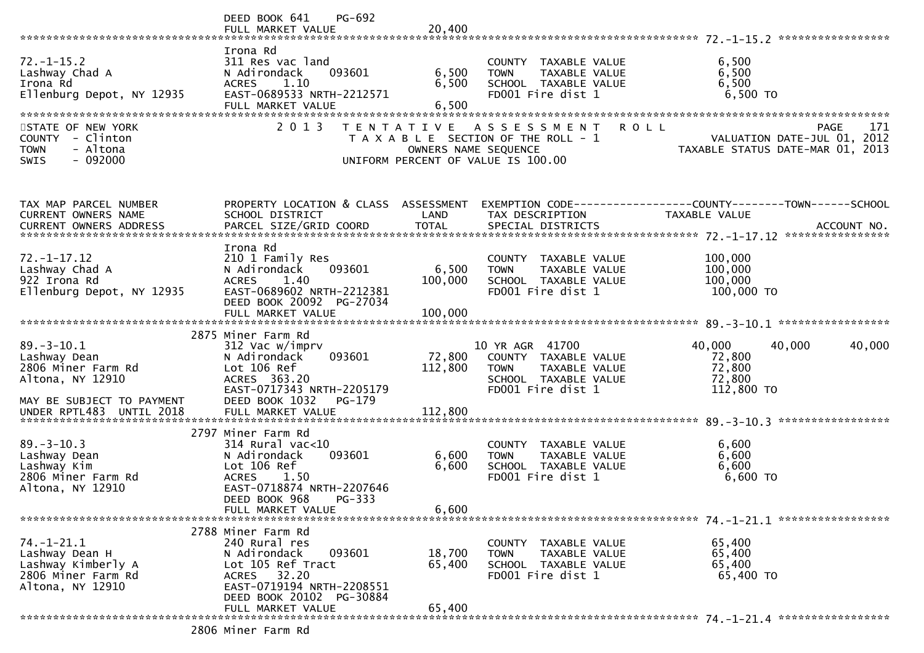|                                                                                                         | PG-692<br>DEED BOOK 641                                                                                                                                                                   |                                           |                                                                                                                      |                                                                                                                   |        |
|---------------------------------------------------------------------------------------------------------|-------------------------------------------------------------------------------------------------------------------------------------------------------------------------------------------|-------------------------------------------|----------------------------------------------------------------------------------------------------------------------|-------------------------------------------------------------------------------------------------------------------|--------|
|                                                                                                         |                                                                                                                                                                                           |                                           |                                                                                                                      |                                                                                                                   |        |
| $72. - 1 - 15.2$<br>Lashway Chad A<br>Irona Rd<br>Ellenburg Depot, NY 12935                             | Irona Rd<br>311 Res vac land<br>093601<br>N Adirondack<br><b>ACRES</b><br>1.10<br>EAST-0689533 NRTH-2212571<br>FULL MARKET VALUE                                                          | 6,500<br>6,500<br>6,500                   | COUNTY TAXABLE VALUE<br>TAXABLE VALUE<br><b>TOWN</b><br>SCHOOL TAXABLE VALUE<br>FD001 Fire dist 1                    | 6,500<br>6,500<br>6,500<br>6,500 TO                                                                               |        |
| STATE OF NEW YORK<br>COUNTY - Clinton<br>- Altona<br><b>TOWN</b><br>$-092000$<br><b>SWIS</b>            | 2 0 1 3                                                                                                                                                                                   | T E N T A T I V E<br>OWNERS NAME SEQUENCE | A S S E S S M E N T<br>T A X A B L E SECTION OF THE ROLL - 1<br>UNIFORM PERCENT OF VALUE IS 100.00                   | <b>ROLL</b><br><b>PAGE</b><br>VALUATION DATE-JUL 01, 2012<br>TAXABLE STATUS DATE-MAR 01, 2013                     | 171    |
| TAX MAP PARCEL NUMBER<br>CURRENT OWNERS NAME                                                            | SCHOOL DISTRICT                                                                                                                                                                           | LAND                                      | TAX DESCRIPTION                                                                                                      | PROPERTY LOCATION & CLASS ASSESSMENT EXEMPTION CODE----------------COUNTY-------TOWN------SCHOOL<br>TAXABLE VALUE |        |
| $72. - 1 - 17.12$<br>Lashway Chad A<br>922 Irona Rd<br>Ellenburg Depot, NY 12935                        | Irona Rd<br>210 1 Family Res<br>093601<br>N Adirondack<br>1.40<br><b>ACRES</b><br>EAST-0689602 NRTH-2212381<br>DEED BOOK 20092 PG-27034<br>FULL MARKET VALUE                              | 6,500<br>100,000<br>100,000               | COUNTY TAXABLE VALUE<br>TAXABLE VALUE<br><b>TOWN</b><br>SCHOOL TAXABLE VALUE<br>FD001 Fire dist 1                    | 100,000<br>100,000<br>100,000<br>100,000 то                                                                       |        |
| $89. - 3 - 10.1$<br>Lashway Dean<br>2806 Miner Farm Rd<br>Altona, NY 12910<br>MAY BE SUBJECT TO PAYMENT | 2875 Miner Farm Rd<br>312 Vac w/imprv<br>093601<br>N Adirondack<br>Lot 106 Ref<br>ACRES 363.20<br>EAST-0717343 NRTH-2205179<br>DEED BOOK 1032<br>$PG-179$                                 | 72,800<br>112,800                         | 10 YR AGR 41700<br>COUNTY TAXABLE VALUE<br><b>TOWN</b><br>TAXABLE VALUE<br>SCHOOL TAXABLE VALUE<br>FD001 Fire dist 1 | 40,000<br>40,000<br>72,800<br>72,800<br>72,800<br>112,800 TO                                                      | 40,000 |
|                                                                                                         |                                                                                                                                                                                           |                                           |                                                                                                                      |                                                                                                                   |        |
| $89. - 3 - 10.3$<br>Lashway Dean<br>Lashway Kim<br>2806 Miner Farm Rd<br>Altona, NY 12910               | 2797 Miner Farm Rd<br>$314$ Rural vac< $10$<br>093601<br>N Adirondack<br>Lot 106 Ref<br>1.50<br><b>ACRES</b><br>EAST-0718874 NRTH-2207646<br>DEED BOOK 968<br>PG-333<br>FULL MARKET VALUE | 6,600<br>6,600<br>6,600                   | COUNTY TAXABLE VALUE<br><b>TOWN</b><br>TAXABLE VALUE<br>SCHOOL TAXABLE VALUE<br>FD001 Fire dist 1                    | 6,600<br>6,600<br>6,600<br>6,600 TO                                                                               |        |
|                                                                                                         | 2788 Miner Farm Rd                                                                                                                                                                        |                                           |                                                                                                                      |                                                                                                                   |        |
| $74. - 1 - 21.1$<br>Lashway Dean H<br>Lashway Kimberly A<br>2806 Miner Farm Rd<br>Altona, NY 12910      | 240 Rural res<br>N Adirondack<br>093601<br>Lot 105 Ref Tract<br>32.20<br><b>ACRES</b><br>EAST-0719194 NRTH-2208551<br>DEED BOOK 20102<br>PG-30884                                         | 18,700<br>65,400                          | COUNTY TAXABLE VALUE<br>TAXABLE VALUE<br>TOWN<br>SCHOOL TAXABLE VALUE<br>FD001 Fire dist 1                           | 65,400<br>65,400<br>65,400<br>65,400 TO                                                                           |        |
|                                                                                                         | FULL MARKET VALUE                                                                                                                                                                         | 65,400                                    |                                                                                                                      |                                                                                                                   |        |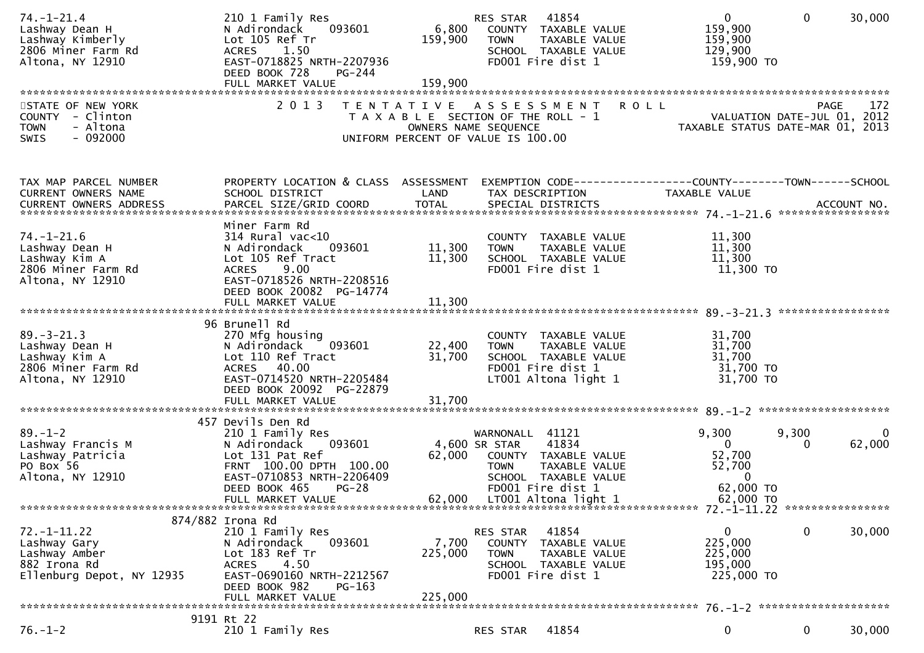| 2806 Miner Farm Rd<br>1.50<br>SCHOOL TAXABLE VALUE<br>129,900<br><b>ACRES</b><br>Altona, NY 12910<br>EAST-0718825 NRTH-2207936<br>FD001 Fire dist 1<br>159,900 то<br>DEED BOOK 728<br>PG-244                                                                                                                                                                                                                                                                                                                      |                    |
|-------------------------------------------------------------------------------------------------------------------------------------------------------------------------------------------------------------------------------------------------------------------------------------------------------------------------------------------------------------------------------------------------------------------------------------------------------------------------------------------------------------------|--------------------|
| STATE OF NEW YORK<br>2 0 1 3<br><b>ROLL</b><br>TENTATIVE ASSESSMENT<br>PAGE<br>VALUATION DATE-JUL 01, 2012<br>COUNTY - Clinton<br>T A X A B L E SECTION OF THE ROLL - 1<br>- Altona<br><b>TOWN</b><br>OWNERS NAME SEQUENCE<br>TAXABLE STATUS DATE-MAR 01, 2013<br>SWIS<br>- 092000<br>UNIFORM PERCENT OF VALUE IS 100.00                                                                                                                                                                                          | 172                |
| PROPERTY LOCATION & CLASS ASSESSMENT<br>EXEMPTION CODE------------------COUNTY--------TOWN------SCHOOL<br>TAX MAP PARCEL NUMBER<br>CURRENT OWNERS NAME<br>SCHOOL DISTRICT<br>LAND<br>TAX DESCRIPTION<br>TAXABLE VALUE<br>CURRENT OWNERS ADDRESS                                                                                                                                                                                                                                                                   |                    |
| Miner Farm Rd<br>$74. - 1 - 21.6$<br>11,300<br>$314$ Rural vac<10<br>COUNTY TAXABLE VALUE<br>Lashway Dean H<br>11,300<br>11,300<br>N Adirondack<br>093601<br><b>TOWN</b><br>TAXABLE VALUE<br>Lot 105 Ref Tract<br>11,300<br>Lashway Kim A<br>11,300<br>SCHOOL TAXABLE VALUE<br>2806 Miner Farm Rd<br>9.00<br>FD001 Fire dist 1<br>11,300 TO<br><b>ACRES</b><br>Altona, NY 12910<br>EAST-0718526 NRTH-2208516<br>DEED BOOK 20082 PG-14774                                                                          |                    |
| 96 Brunell Rd<br>$89. - 3 - 21.3$<br>31,700<br>270 Mfg housing<br>COUNTY TAXABLE VALUE<br>31,700<br>Lashway Dean H<br>N Adirondack<br>093601<br>22,400<br>TAXABLE VALUE<br><b>TOWN</b><br>31,700<br>Lashway Kim A<br>Lot 110 Ref Tract<br>31,700<br>SCHOOL TAXABLE VALUE<br>FD001 Fire dist 1<br>31,700 TO<br>2806 Miner Farm Rd<br>ACRES 40.00<br>31,700 TO<br>EAST-0714520 NRTH-2205484<br>LT001 Altona light 1<br>Altona, NY 12910<br>DEED BOOK 20092 PG-22879                                                 |                    |
|                                                                                                                                                                                                                                                                                                                                                                                                                                                                                                                   |                    |
| 457 Devils Den Rd<br>$89. - 1 - 2$<br>9,300<br>9,300<br>210 1 Family Res<br>WARNONALL 41121<br>093601<br>41834<br>$\mathbf{0}$<br>Lashway Francis M<br>4,600 SR STAR<br>N Adirondack<br>0<br>52,700<br>Lot 131 Pat Ref<br>Lashway Patricia<br>62,000<br>COUNTY TAXABLE VALUE<br>PO Box 56<br>FRNT 100.00 DPTH 100.00<br>TAXABLE VALUE<br>52,700<br><b>TOWN</b><br>EAST-0710853 NRTH-2206409<br>$\Omega$<br>Altona, NY 12910<br>SCHOOL TAXABLE VALUE<br>62,000 TO<br>DEED BOOK 465<br>$PG-28$<br>FD001 Fire dist 1 | $\Omega$<br>62,000 |
| 62,000<br>LT001 Altona light 1<br>62,000 TO<br>FULL MARKET VALUE                                                                                                                                                                                                                                                                                                                                                                                                                                                  |                    |
| 874/882 Irona Rd<br>0<br>$72. - 1 - 11.22$<br>210 1 Family Res<br>41854<br>0<br>RES STAR<br>225,000<br>7,700<br>093601<br>Lashway Gary<br>N Adirondack<br>COUNTY TAXABLE VALUE<br>Lashway Amber<br>Lot 183 Ref Tr<br>225,000<br>225,000<br><b>TOWN</b><br>TAXABLE VALUE<br>882 Irona Rd<br>4.50<br><b>ACRES</b><br>SCHOOL TAXABLE VALUE<br>195,000<br>FD001 Fire dist 1<br>225,000 TO<br>EAST-0690160 NRTH-2212567<br>Ellenburg Depot, NY 12935<br>DEED BOOK 982<br>PG-163<br>225,000<br>FULL MARKET VALUE        | 30,000             |
| 9191 Rt 22<br>$76. - 1 - 2$<br>0<br>210 1 Family Res<br>41854<br>0<br>RES STAR                                                                                                                                                                                                                                                                                                                                                                                                                                    | 30,000             |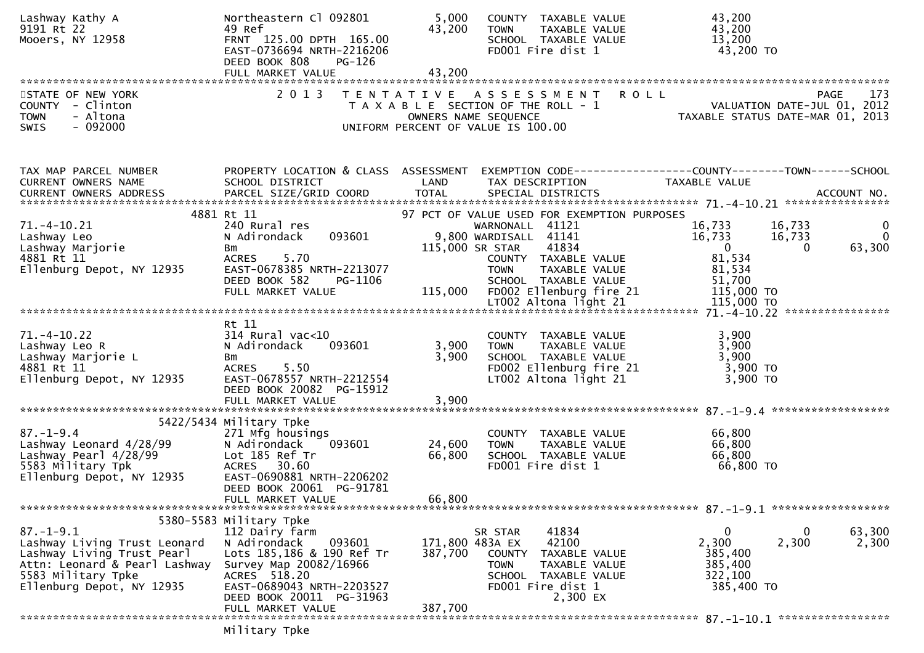| Lashway Kathy A<br>9191 Rt 22<br>Mooers, NY 12958                                                                                                                 | Northeastern Cl 092801<br>49 Ref<br>FRNT 125.00 DPTH 165.00<br>EAST-0736694 NRTH-2216206<br>DEED BOOK 808<br>PG-126                                                                                 | 5,000<br>43,200<br>43,200 | COUNTY TAXABLE VALUE<br><b>TOWN</b><br>SCHOOL TAXABLE VALUE<br>FD001 Fire dist 1                                            | TAXABLE VALUE                                                | 43,200<br>43,200<br>13,200<br>43,200 TO                                         |                              |                                |
|-------------------------------------------------------------------------------------------------------------------------------------------------------------------|-----------------------------------------------------------------------------------------------------------------------------------------------------------------------------------------------------|---------------------------|-----------------------------------------------------------------------------------------------------------------------------|--------------------------------------------------------------|---------------------------------------------------------------------------------|------------------------------|--------------------------------|
|                                                                                                                                                                   |                                                                                                                                                                                                     |                           |                                                                                                                             |                                                              |                                                                                 |                              |                                |
| STATE OF NEW YORK<br>COUNTY - Clinton<br><b>TOWN</b><br>- Altona<br>$-092000$<br>SWIS                                                                             | 2 0 1 3                                                                                                                                                                                             |                           | TENTATIVE ASSESSMENT<br>T A X A B L E SECTION OF THE ROLL - 1<br>OWNERS NAME SEQUENCE<br>UNIFORM PERCENT OF VALUE IS 100.00 | <b>ROLL</b>                                                  | VALUATION DATE-JUL 01, 2012<br>TAXABLE STATUS DATE-MAR 01, 2013                 |                              | 173<br><b>PAGE</b>             |
| TAX MAP PARCEL NUMBER<br>CURRENT OWNERS NAME                                                                                                                      | PROPERTY LOCATION & CLASS ASSESSMENT<br>SCHOOL DISTRICT                                                                                                                                             | LAND                      | TAX DESCRIPTION                                                                                                             |                                                              | EXEMPTION CODE------------------COUNTY--------TOWN------SCHOOL<br>TAXABLE VALUE |                              |                                |
|                                                                                                                                                                   | 4881 Rt 11                                                                                                                                                                                          |                           |                                                                                                                             | 97 PCT OF VALUE USED FOR EXEMPTION PURPOSES                  |                                                                                 |                              |                                |
| $71. - 4 - 10.21$<br>Lashway Leo<br>Lashway Marjorie<br>4881 Rt 11                                                                                                | 240 Rural res<br>093601<br>N Adirondack<br>Bm<br><b>ACRES</b><br>5.70<br>EAST-0678385 NRTH-2213077                                                                                                  |                           | WARNONALL 41121<br>9,800 WARDISALL 41141<br>115,000 SR STAR<br><b>TOWN</b>                                                  | 41834<br>COUNTY TAXABLE VALUE<br>TAXABLE VALUE               | 16,733<br>16,733<br>$\overline{0}$<br>81,534<br>81,534                          | 16,733<br>16,733<br>$\Omega$ | $\bf{0}$<br>$\Omega$<br>63,300 |
| Ellenburg Depot, NY 12935                                                                                                                                         | DEED BOOK 582<br>PG-1106<br>FULL MARKET VALUE                                                                                                                                                       |                           | SCHOOL TAXABLE VALUE<br>115,000 FD002 Ellenburg fire 21                                                                     |                                                              | 51,700<br>115,000 TO                                                            |                              |                                |
|                                                                                                                                                                   |                                                                                                                                                                                                     |                           |                                                                                                                             |                                                              |                                                                                 |                              |                                |
| $71. - 4 - 10.22$<br>Lashway Leo R<br>Lashway Marjorie L<br>4881 Rt 11<br>Ellenburg Depot, NY 12935                                                               | Rt 11<br>$314$ Rural vac< $10$<br>N Adirondack<br>093601<br>Bm<br>ACRES 5.50<br>EAST-0678557 NRTH-2212554<br>DEED BOOK 20082 PG-15912<br>FULL MARKET VALUE                                          | 3,900<br>3,900<br>3,900   | COUNTY TAXABLE VALUE<br><b>TOWN</b><br>SCHOOL TAXABLE VALUE<br>LT002 Altona light 21                                        | TAXABLE VALUE<br>FD002 Ellenburg fire 21                     | 3,900<br>3,900<br>3,900<br>$3,900$ TO<br>3,900 TO                               |                              |                                |
|                                                                                                                                                                   | 5422/5434 Military Tpke                                                                                                                                                                             |                           |                                                                                                                             |                                                              |                                                                                 |                              |                                |
| $87. - 1 - 9.4$<br>Lashway Leonard 4/28/99<br>Lashway Pearl 4/28/99<br>5583 Military Tpk<br>Ellenburg Depot, NY 12935                                             | 271 Mfg housings<br>093601<br>N Adirondack<br>Lot 185 Ref Tr<br>ACRES 30.60<br>EAST-0690881 NRTH-2206202<br>DEED BOOK 20061 PG-91781                                                                | 24,600<br>66,800          | COUNTY TAXABLE VALUE<br><b>TOWN</b><br>SCHOOL TAXABLE VALUE<br>FD001 Fire dist 1                                            | TAXABLE VALUE                                                | 66,800<br>66,800<br>66,800<br>66,800 TO                                         |                              |                                |
|                                                                                                                                                                   | FULL MARKET VALUE                                                                                                                                                                                   | 66,800                    |                                                                                                                             |                                                              |                                                                                 |                              |                                |
|                                                                                                                                                                   |                                                                                                                                                                                                     |                           |                                                                                                                             |                                                              |                                                                                 |                              |                                |
| $87. - 1 - 9.1$<br>Lashway Living Trust Leonard<br>Lashway Living Trust Pearl<br>Attn: Leonard & Pearl Lashway<br>5583 Military Tpke<br>Ellenburg Depot, NY 12935 | 5380-5583 Military Tpke<br>112 Dairy farm<br>093601<br>N Adirondack<br>Lots 185,186 & 190 Ref Tr<br>Survey Map 20082/16966<br>ACRES 518.20<br>EAST-0689043 NRTH-2203527<br>DEED BOOK 20011 PG-31963 | 387,700                   | SR STAR<br>171,800 483A EX<br><b>COUNTY</b><br><b>TOWN</b><br>SCHOOL TAXABLE VALUE<br>FD001 Fire dist 1                     | 41834<br>42100<br>TAXABLE VALUE<br>TAXABLE VALUE<br>2,300 EX | 0<br>2,300<br>385,400<br>385,400<br>322,100<br>385,400 TO                       | 0<br>2,300                   | 63,300<br>2,300                |
|                                                                                                                                                                   | FULL MARKET VALUE                                                                                                                                                                                   | 387,700                   |                                                                                                                             |                                                              |                                                                                 |                              |                                |

Military Tpke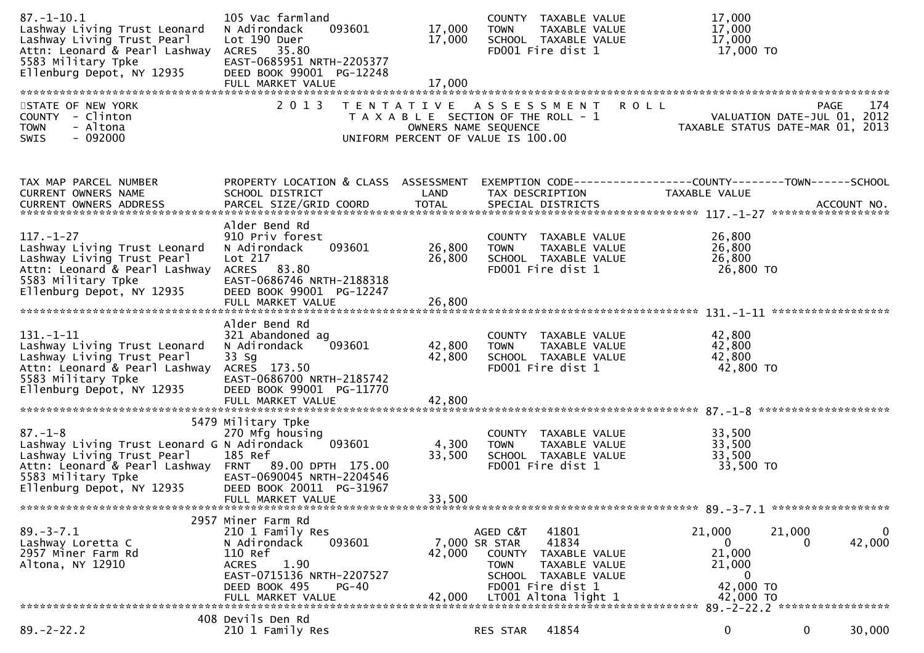| $87. - 1 - 10.1$<br>Lashway Living Trust Leonard<br>Lashway Living Trust Pearl<br>Attn: Leonard & Pearl Lashway<br>5583 Military Tpke<br>Ellenburg Depot, NY 12935                                                          | 105 Vac farmland<br>093601<br>N Adirondack<br>Lot 190 Duer<br>ACRES 35.80<br>EAST-0685951 NRTH-2205377<br>DEED BOOK 99001 PG-12248<br>FULL MARKET VALUE                           | 17,000<br>17,000<br>17,000 | COUNTY TAXABLE VALUE<br>TAXABLE VALUE<br><b>TOWN</b><br>SCHOOL TAXABLE VALUE<br>FD001 Fire dist 1                                                                        | 17,000<br>17,000<br>17,000<br>17,000 TO                                                           |
|-----------------------------------------------------------------------------------------------------------------------------------------------------------------------------------------------------------------------------|-----------------------------------------------------------------------------------------------------------------------------------------------------------------------------------|----------------------------|--------------------------------------------------------------------------------------------------------------------------------------------------------------------------|---------------------------------------------------------------------------------------------------|
| STATE OF NEW YORK<br>COUNTY - Clinton<br><b>TOWN</b><br>- Altona<br>$-092000$<br>SWIS                                                                                                                                       | 2013                                                                                                                                                                              | OWNERS NAME SEQUENCE       | TENTATIVE ASSESSMENT ROLL<br>T A X A B L E SECTION OF THE ROLL - 1<br>UNIFORM PERCENT OF VALUE IS 100.00                                                                 | 174<br>PAGE<br>VALUATION DATE-JUL 01, 2012<br>TAXABLE STATUS DATE-MAR 01, 2013                    |
| TAX MAP PARCEL NUMBER<br>CURRENT OWNERS NAME                                                                                                                                                                                | PROPERTY LOCATION & CLASS ASSESSMENT<br>SCHOOL DISTRICT                                                                                                                           | LAND                       | TAX DESCRIPTION                                                                                                                                                          | EXEMPTION CODE-----------------COUNTY-------TOWN------SCHOOL<br>TAXABLE VALUE                     |
| $117. - 1 - 27$<br>Lashway Living Trust Leonard<br>Lashway Living Trust Pearl<br>Attn: Leonard & Pearl Lashway<br>5583 Military Tpke<br>Ellenburg Depot, NY 12935                                                           | Alder Bend Rd<br>910 Priv forest<br>093601<br>N Adirondack<br>Lot 217<br>ACRES 83.80<br>EAST-0686746 NRTH-2188318<br>DEED BOOK 99001 PG-12247                                     | 26,800<br>26,800           | COUNTY TAXABLE VALUE<br>TAXABLE VALUE<br><b>TOWN</b><br>SCHOOL TAXABLE VALUE<br>FD001 Fire dist 1                                                                        | 26,800<br>26,800<br>26,800<br>26,800 TO                                                           |
| $131. - 1 - 11$<br>Lashway Living Trust Leonard<br>Lashway Living Trust Pearl<br>Attn: Leonard & Pearl Lashway ACRES 173.50<br>5583 Military Tpke<br>Ellenburg Depot, NY 12935                                              | Alder Bend Rd<br>321 Abandoned ag<br>093601<br>N Adirondack<br>33 Sg<br>EAST-0686700 NRTH-2185742<br>DEED BOOK 99001 PG-11770                                                     | 42,800<br>42,800           | COUNTY TAXABLE VALUE<br><b>TOWN</b><br>TAXABLE VALUE<br>SCHOOL TAXABLE VALUE<br>FD001 Fire dist 1                                                                        | 42,800<br>42,800<br>42,800<br>42,800 TO                                                           |
| $87. - 1 - 8$<br>Lashway Living Trust Leonard G N Adirondack<br>Lashway Living Trust Pearl<br>Attn: Leonard & Pearl Lashway FRNT 89.00 DPTH 175.00<br>5583 Military Tpke<br>5583 Military Tpke<br>Ellenburg Depot, NY 12935 | 5479 Military Tpke<br>270 Mfg housing<br>093601<br>185 Ref<br>EAST-0690045 NRTH-2204546<br>DEED BOOK 20011 PG-31967<br>FULL MARKET VALUE                                          | 4,300<br>33,500<br>33,500  | COUNTY TAXABLE VALUE<br><b>TOWN</b><br>TAXABLE VALUE<br>SCHOOL TAXABLE VALUE<br>FD001 Fire dist 1                                                                        | 33,500<br>33,500<br>33,500<br>33,500 TO                                                           |
| $89. - 3 - 7.1$<br>Lashway Loretta C<br>2957 Miner Farm Rd<br>Altona, NY 12910                                                                                                                                              | 2957 Miner Farm Rd<br>210 1 Family Res<br>093601<br>N Adirondack<br>110 Ref<br>1.90<br><b>ACRES</b><br>EAST-0715136 NRTH-2207527<br>DEED BOOK 495<br>$PG-40$<br>FULL MARKET VALUE | 42,000<br>42,000           | 41801<br>AGED C&T<br>41834<br>7,000 SR STAR<br>COUNTY TAXABLE VALUE<br>TAXABLE VALUE<br><b>TOWN</b><br>SCHOOL TAXABLE VALUE<br>FD001 Fire dist 1<br>LT001 Altona light 1 | 21,000<br>21,000<br>0<br>42,000<br>0<br>21,000<br>21,000<br>$\mathbf 0$<br>42,000 TO<br>42,000 TO |
| $89. -2 - 22.2$                                                                                                                                                                                                             | 408 Devils Den Rd<br>210 1 Family Res                                                                                                                                             |                            | 41854<br>RES STAR                                                                                                                                                        | 0<br>$\mathbf{0}$<br>30,000                                                                       |
|                                                                                                                                                                                                                             |                                                                                                                                                                                   |                            |                                                                                                                                                                          |                                                                                                   |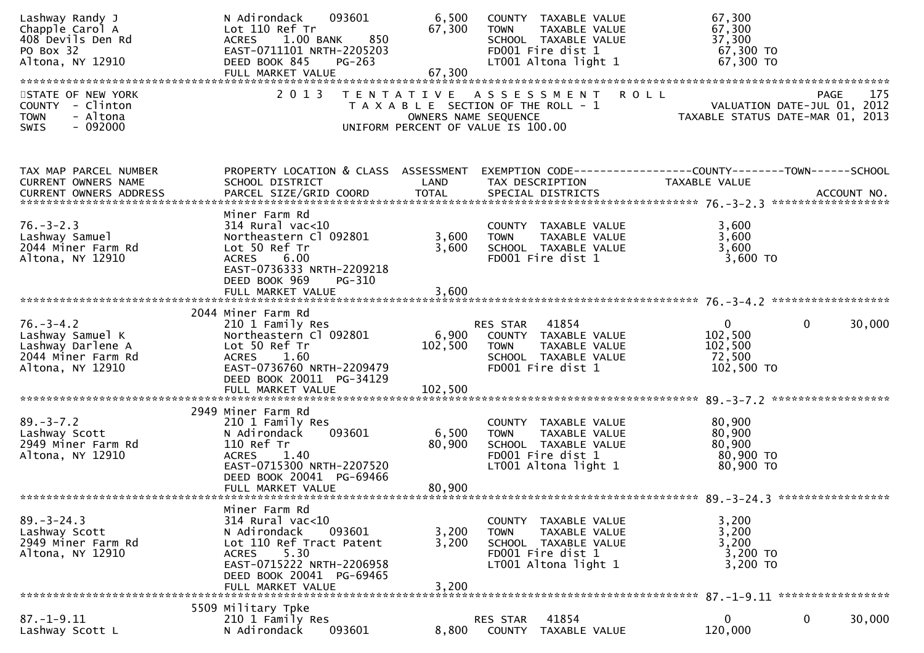| Lashway Randy J<br>Chapple Carol A<br>408 Devils Den Rd<br>PO Box 32<br>Altona, NY 12910           | 093601<br>N Adirondack<br>Lot 110 Ref Tr<br>1.00 BANK<br>850<br><b>ACRES</b><br>EAST-0711101 NRTH-2205203<br>DEED BOOK 845<br>PG-263<br>FULL MARKET VALUE                                     | 6,500<br>67,300<br>67,300 | COUNTY TAXABLE VALUE<br>TAXABLE VALUE<br><b>TOWN</b><br>SCHOOL TAXABLE VALUE<br>FD001 Fire dist 1<br>LT001 Altona light 1 | 67,300<br>67,300<br>37,300<br>67,300 TO<br>67,300 TO                                                              |                    |
|----------------------------------------------------------------------------------------------------|-----------------------------------------------------------------------------------------------------------------------------------------------------------------------------------------------|---------------------------|---------------------------------------------------------------------------------------------------------------------------|-------------------------------------------------------------------------------------------------------------------|--------------------|
| STATE OF NEW YORK<br>COUNTY - Clinton<br><b>TOWN</b><br>- Altona<br>$-092000$<br>SWIS              | 2 0 1 3                                                                                                                                                                                       | OWNERS NAME SEQUENCE      | TENTATIVE ASSESSMENT<br>T A X A B L E SECTION OF THE ROLL - 1<br>UNIFORM PERCENT OF VALUE IS 100.00                       | <b>ROLL</b><br>VALUATION DATE-JUL 01, 2012<br>TAXABLE STATUS DATE-MAR 01, 2013                                    | 175<br><b>PAGE</b> |
| TAX MAP PARCEL NUMBER<br>CURRENT OWNERS NAME                                                       | SCHOOL DISTRICT                                                                                                                                                                               | LAND                      | TAX DESCRIPTION                                                                                                           | PROPERTY LOCATION & CLASS ASSESSMENT EXEMPTION CODE----------------COUNTY-------TOWN------SCHOOL<br>TAXABLE VALUE |                    |
| $76. - 3 - 2.3$<br>Lashway Samuel<br>2044 Miner Farm Rd<br>Altona, NY 12910                        | Miner Farm Rd<br>$314$ Rural vac< $10$<br>Northeastern Cl 092801<br>Lot 50 Ref Tr<br>6.00<br><b>ACRES</b><br>EAST-0736333 NRTH-2209218<br>DEED BOOK 969<br>PG-310                             | 3,600<br>3,600            | COUNTY TAXABLE VALUE<br><b>TOWN</b><br>TAXABLE VALUE<br>SCHOOL TAXABLE VALUE<br>FD001 Fire dist 1                         | 3,600<br>3,600<br>3,600<br>3,600 TO                                                                               |                    |
|                                                                                                    |                                                                                                                                                                                               |                           |                                                                                                                           |                                                                                                                   |                    |
| $76. - 3 - 4.2$<br>Lashway Samuel K<br>Lashway Darlene A<br>2044 Miner Farm Rd<br>Altona, NY 12910 | 2044 Miner Farm Rd<br>210 1 Family Res<br>Northeastern Cl 092801<br>Lot 50 Ref Tr<br>ACRES 1.60<br>EAST-0736760 NRTH-2209479<br>DEED BOOK 20011 PG-34129                                      | 102,500                   | RES STAR 41854<br>6,900 COUNTY TAXABLE VALUE<br><b>TOWN</b><br>TAXABLE VALUE<br>SCHOOL TAXABLE VALUE<br>FD001 Fire dist 1 | $\mathbf{0}$<br>$\mathbf{0}$<br>102,500<br>102,500<br>72,500<br>102,500 TO                                        | 30,000             |
| $89. - 3 - 7.2$<br>Lashway Scott<br>2949 Miner Farm Rd<br>Altona, NY 12910                         | 2949 Miner Farm Rd<br>210 1 Family Res<br>093601<br>N Adirondack<br>110 Ref Tr<br><b>ACRES</b><br>1.40<br>EAST-0715300 NRTH-2207520<br>DEED BOOK 20041 PG-69466<br>FULL MARKET VALUE          | 6,500<br>80,900<br>80,900 | COUNTY TAXABLE VALUE<br>TAXABLE VALUE<br><b>TOWN</b><br>SCHOOL TAXABLE VALUE<br>FD001 Fire dist 1<br>LT001 Altona light 1 | 80,900<br>80,900<br>80,900<br>80,900 TO<br>80,900 TO                                                              |                    |
| $89. - 3 - 24.3$<br>Lashway Scott<br>2949 Miner Farm Rd<br>Altona, NY 12910                        | Miner Farm Rd<br>314 Rural vac<10<br>093601<br>N Adirondack<br>Lot 110 Ref Tract Patent<br>5.30<br><b>ACRES</b><br>EAST-0715222 NRTH-2206958<br>DEED BOOK 20041 PG-69465<br>FULL MARKET VALUE | 3,200<br>3,200<br>3,200   | COUNTY TAXABLE VALUE<br>TAXABLE VALUE<br><b>TOWN</b><br>SCHOOL TAXABLE VALUE<br>FD001 Fire dist 1<br>LT001 Altona light 1 | 3,200<br>3,200<br>3,200<br>3,200 TO<br>3,200 TO                                                                   |                    |
|                                                                                                    | 5509 Military Tpke                                                                                                                                                                            |                           |                                                                                                                           |                                                                                                                   |                    |
| $87. - 1 - 9.11$<br>Lashway Scott L                                                                | 210 1 Family Res<br>N Adirondack<br>093601                                                                                                                                                    | 8,800                     | 41854<br>RES STAR<br>COUNTY<br>TAXABLE VALUE                                                                              | $\mathbf{0}$<br>0<br>120,000                                                                                      | 30,000             |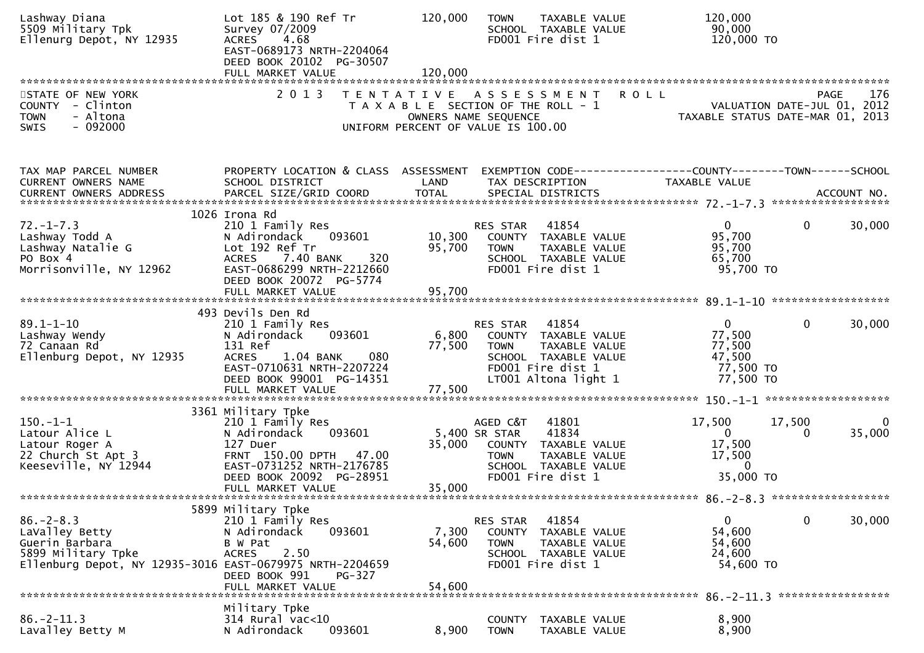| Lashway Diana<br>5509 Military Tpk<br>Ellenurg Depot, NY 12935                                                                        | Lot 185 & 190 Ref Tr<br>Survey 07/2009<br>4.68<br><b>ACRES</b><br>EAST-0689173 NRTH-2204064<br>DEED BOOK 20102 PG-30507<br>FULL MARKET VALUE                                         | 120,000<br>120,000                                                          | <b>TOWN</b>                              | TAXABLE VALUE<br>SCHOOL TAXABLE VALUE<br>FD001 Fire dist 1                                                          |         | 120,000<br>90,000<br>120,000 TO                                                 |                                   |                    |
|---------------------------------------------------------------------------------------------------------------------------------------|--------------------------------------------------------------------------------------------------------------------------------------------------------------------------------------|-----------------------------------------------------------------------------|------------------------------------------|---------------------------------------------------------------------------------------------------------------------|---------|---------------------------------------------------------------------------------|-----------------------------------|--------------------|
| STATE OF NEW YORK<br>COUNTY - Clinton<br>- Altona<br><b>TOWN</b><br>$-092000$<br><b>SWIS</b>                                          | 2013 TENTATIVE ASSESSMENT                                                                                                                                                            | T A X A B L E SECTION OF THE ROLL - 1<br>UNIFORM PERCENT OF VALUE IS 100.00 | OWNERS NAME SEQUENCE                     |                                                                                                                     | R O L L | PAGE 1/6<br>VALUATION DATE-JUL 01, 2012<br>TAXABLE STATUS DATE-MAR 01, 2013     | PAGE                              | 176                |
| TAX MAP PARCEL NUMBER<br>CURRENT OWNERS NAME                                                                                          | PROPERTY LOCATION & CLASS ASSESSMENT<br>SCHOOL DISTRICT                                                                                                                              | LAND                                                                        | TAX DESCRIPTION                          |                                                                                                                     |         | EXEMPTION CODE------------------COUNTY--------TOWN------SCHOOL<br>TAXABLE VALUE |                                   |                    |
| $72. - 1 - 7.3$<br>Lashway Todd A<br>Lashway Natalie G<br>PO Box 4<br>Morrisonville, NY 12962                                         | 1026 Irona Rd<br>210 1 Family Res<br>093601<br>N Adirondack<br>Lot 192 Ref Tr<br>ACRES 7.40 BANK<br>320<br>EAST-0686299 NRTH-2212660<br>DEED BOOK 20072 PG-5774<br>FULL MARKET VALUE | 10,300<br>95,700<br>95,700                                                  | RES STAR<br><b>TOWN</b>                  | 41854<br>COUNTY TAXABLE VALUE<br>TAXABLE VALUE<br>SCHOOL TAXABLE VALUE<br>FD001 Fire dist 1                         |         | $\overline{0}$<br>95,700<br>95,700<br>65,700<br>95,700 TO                       | $\mathbf{0}$                      | 30,000             |
|                                                                                                                                       | 493 Devils Den Rd                                                                                                                                                                    |                                                                             |                                          |                                                                                                                     |         |                                                                                 |                                   |                    |
| $89.1 - 1 - 10$<br>Lashway Wendy<br>72 Canaan Rd<br>Ellenburg Depot, NY 12935                                                         | 210 1 Family Res<br>093601<br>N Adirondack<br>131 Ref<br><b>ACRES</b><br>080<br>1.04 BANK<br>EAST-0710631 NRTH-2207224<br>DEED BOOK 99001 PG-14351<br>FULL MARKET VALUE              | 6,800<br>77,500<br>77,500                                                   | RES STAR<br><b>TOWN</b>                  | 41854<br>COUNTY TAXABLE VALUE<br>TAXABLE VALUE<br>SCHOOL TAXABLE VALUE<br>FD001 Fire dist 1<br>LT001 Altona light 1 |         | $\mathbf 0$<br>77,500<br>77,500<br>47,500<br>77,500 TO<br>77,500 TO             | $\mathbf{0}$                      | 30,000             |
|                                                                                                                                       | 3361 Military Tpke                                                                                                                                                                   |                                                                             |                                          |                                                                                                                     |         |                                                                                 |                                   |                    |
| $150.-1-1$<br>Latour Alice L<br>Latour Roger A<br>22 Church St Apt 3<br>Keeseville, NY 12944                                          | 210 1 Family Res<br>093601<br>N Adirondack<br>127 Duer<br>FRNT 150.00 DPTH 47.00<br>EAST-0731252 NRTH-2176785<br>DEED BOOK 20092 PG-28951<br>FULL MARKET VALUE                       | 35,000<br>35,000                                                            | AGED C&T<br>5,400 SR STAR<br><b>TOWN</b> | 41801<br>41834<br>COUNTY TAXABLE VALUE<br>TAXABLE VALUE<br>SCHOOL TAXABLE VALUE<br>FD001 Fire dist 1                |         | 17,500<br>$\mathbf{0}$<br>17,500<br>17,500<br>$\overline{0}$<br>35,000 TO       | 17,500<br>$\Omega$                | $\bf{0}$<br>35,000 |
|                                                                                                                                       | 5899 Military Tpke                                                                                                                                                                   |                                                                             |                                          |                                                                                                                     |         |                                                                                 |                                   |                    |
| $86. - 2 - 8.3$<br>LaValley Betty<br>Guerin Barbara<br>5899 Military Tpke<br>Ellenburg Depot, NY 12935-3016 EAST-0679975 NRTH-2204659 | 210 1 Family Res<br>N Adirondack<br>093601<br>B W Pat<br>2.50<br><b>ACRES</b><br>DEED BOOK 991<br>PG-327<br>FULL MARKET VALUE                                                        | 7,300<br>54,600<br>54,600                                                   | RES STAR<br>COUNTY<br><b>TOWN</b>        | 41854<br>TAXABLE VALUE<br>TAXABLE VALUE<br>SCHOOL TAXABLE VALUE<br>FD001 Fire dist 1                                |         | 0<br>54,600<br>54,600<br>24,600<br>54,600 TO                                    | 0                                 | 30,000             |
|                                                                                                                                       | Military Tpke                                                                                                                                                                        |                                                                             |                                          |                                                                                                                     |         |                                                                                 | 86. - 2 - 11.3 ****************** |                    |
| $86. -2 - 11.3$<br>Lavalley Betty M                                                                                                   | 314 Rural vac<10<br>093601<br>N Adirondack                                                                                                                                           | 8,900                                                                       | <b>COUNTY</b><br><b>TOWN</b>             | TAXABLE VALUE<br>TAXABLE VALUE                                                                                      |         | 8,900<br>8,900                                                                  |                                   |                    |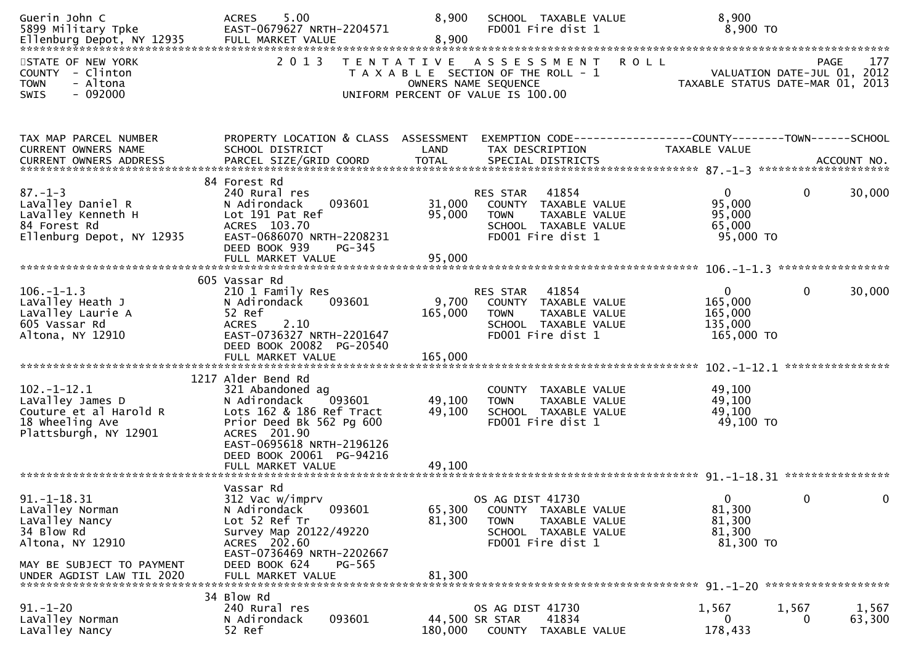| Guerin John C<br>5899 Military Tpke                                                                                  | 5.00<br><b>ACRES</b><br>EAST-0679627 NRTH-2204571                                                                                                                                                                      | 8,900                       | SCHOOL TAXABLE VALUE<br>FD001 Fire dist 1                                                                                                  | 8,900<br>8,900 TO                                             |                                                   |
|----------------------------------------------------------------------------------------------------------------------|------------------------------------------------------------------------------------------------------------------------------------------------------------------------------------------------------------------------|-----------------------------|--------------------------------------------------------------------------------------------------------------------------------------------|---------------------------------------------------------------|---------------------------------------------------|
| STATE OF NEW YORK<br>COUNTY - Clinton<br>- Altona<br><b>TOWN</b><br>$-092000$<br>SWIS                                | 2 0 1 3                                                                                                                                                                                                                |                             | <b>ROLL</b><br>TENTATIVE ASSESSMENT<br>T A X A B L E SECTION OF THE ROLL - 1<br>OWNERS NAME SEQUENCE<br>UNIFORM PERCENT OF VALUE IS 100.00 | TAXABLE STATUS DATE-MAR 01, 2013                              | 177<br><b>PAGE</b><br>VALUATION DATE-JUL 01, 2012 |
| TAX MAP PARCEL NUMBER<br>CURRENT OWNERS NAME                                                                         | PROPERTY LOCATION & CLASS ASSESSMENT<br>SCHOOL DISTRICT                                                                                                                                                                | LAND                        | EXEMPTION CODE-----------------COUNTY-------TOWN------SCHOOL<br>TAX DESCRIPTION                                                            | TAXABLE VALUE                                                 |                                                   |
| $87. - 1 - 3$<br>LaValley Daniel R<br>LaValley Kenneth H<br>84 Forest Rd<br>Ellenburg Depot, NY 12935                | 84 Forest Rd<br>240 Rural res<br>N Adirondack<br>093601<br>Lot 191 Pat Ref<br>ACRES 103.70<br>EAST-0686070 NRTH-2208231<br>DEED BOOK 939<br>PG-345                                                                     | 31,000<br>95,000            | 41854<br>RES STAR<br>COUNTY TAXABLE VALUE<br><b>TOWN</b><br>TAXABLE VALUE<br>SCHOOL TAXABLE VALUE<br>FD001 Fire dist 1                     | $\overline{0}$<br>95,000<br>95,000<br>65,000<br>95,000 TO     | 0<br>30,000                                       |
| $106. - 1 - 1.3$<br>LaValley Heath J<br>LaValley Laurie A<br>605 Vassar Rd<br>Altona, NY 12910                       | 605 Vassar Rd<br>210 1 Family Res<br>093601<br>N Adirondack<br>52 Ref<br>2.10<br><b>ACRES</b><br>EAST-0736327 NRTH-2201647<br>DEED BOOK 20082 PG-20540<br>FULL MARKET VALUE                                            | 9,700<br>165,000<br>165,000 | 41854<br>RES STAR<br>COUNTY TAXABLE VALUE<br><b>TOWN</b><br><b>TAXABLE VALUE</b><br>SCHOOL TAXABLE VALUE<br>FD001 Fire dist 1              | $\overline{0}$<br>165,000<br>165,000<br>135,000<br>165,000 TO | 0<br>30,000                                       |
| $102. - 1 - 12.1$<br>LaValley James D<br>Couture et al Harold R<br>18 Wheeling Ave<br>Plattsburgh, NY 12901          | 1217 Alder Bend Rd<br>321 Abandoned ag<br>093601<br>N Adirondack<br>Lots 162 & 186 Ref Tract<br>Prior Deed Bk 562 Pg 600<br>ACRES 201.90<br>EAST-0695618 NRTH-2196126<br>DEED BOOK 20061 PG-94216<br>FULL MARKET VALUE | 49,100<br>49,100<br>49,100  | COUNTY TAXABLE VALUE<br>TAXABLE VALUE<br><b>TOWN</b><br>SCHOOL TAXABLE VALUE<br>FD001 Fire dist 1                                          | 49,100<br>49,100<br>49,100<br>49,100 TO                       |                                                   |
| $91. -1 - 18.31$<br>LaValley Norman<br>LaValley Nancy<br>34 Blow Rd<br>Altona, NY 12910<br>MAY BE SUBJECT TO PAYMENT | Vassar Rd<br>312 Vac w/imprv<br>093601<br>N Adirondack<br>Lot 52 Ref Tr<br>Survey Map 20122/49220<br>ACRES 202.60<br>EAST-0736469 NRTH-2202667<br>DEED BOOK 624<br>PG-565                                              | 65,300<br>81,300            | OS AG DIST 41730<br>COUNTY TAXABLE VALUE<br><b>TOWN</b><br>TAXABLE VALUE<br>SCHOOL TAXABLE VALUE<br>FD001 Fire dist 1                      | $\Omega$<br>81,300<br>81,300<br>81,300<br>81,300 TO           | 0<br>0                                            |
| $91. - 1 - 20$<br>LaValley Norman<br>LaValley Nancy                                                                  | 34 Blow Rd<br>240 Rural res<br>093601<br>N Adirondack<br>52 Ref                                                                                                                                                        | 180,000                     | OS AG DIST 41730<br>41834<br>44,500 SR STAR<br>COUNTY TAXABLE VALUE                                                                        | 1,567<br>1,567<br>0<br>178,433                                | 1,567<br>63,300<br>0                              |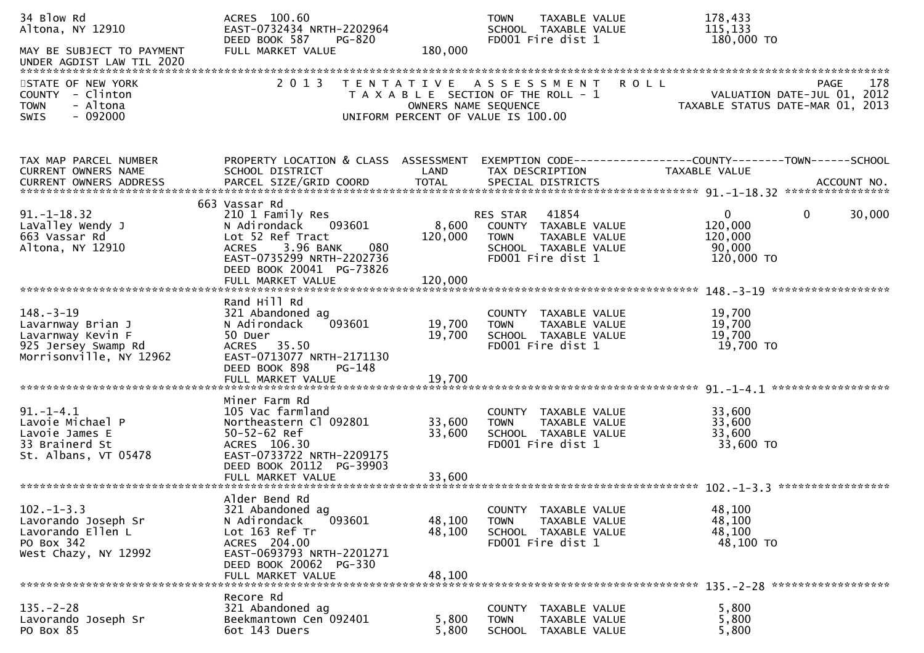| 34 Blow Rd<br>Altona, NY 12910                                                                                            | ACRES 100.60<br>EAST-0732434 NRTH-2202964<br>DEED BOOK 587<br>PG-820                                                                                                                              |                             | TAXABLE VALUE<br><b>TOWN</b><br>SCHOOL TAXABLE VALUE<br>FD001 Fire dist 1                                              | 178,433<br>115,133<br>180,000 TO                                                      |        |
|---------------------------------------------------------------------------------------------------------------------------|---------------------------------------------------------------------------------------------------------------------------------------------------------------------------------------------------|-----------------------------|------------------------------------------------------------------------------------------------------------------------|---------------------------------------------------------------------------------------|--------|
| MAY BE SUBJECT TO PAYMENT<br>UNDER AGDIST LAW TIL 2020                                                                    | FULL MARKET VALUE                                                                                                                                                                                 | 180,000                     |                                                                                                                        |                                                                                       |        |
| STATE OF NEW YORK<br>COUNTY - Clinton<br>- Altona<br><b>TOWN</b><br>$-092000$<br>SWIS                                     | 2 0 1 3                                                                                                                                                                                           | OWNERS NAME SEQUENCE        | TENTATIVE ASSESSMENT<br><b>ROLL</b><br>T A X A B L E SECTION OF THE ROLL - 1<br>UNIFORM PERCENT OF VALUE IS 100.00     | PAGE<br>VALUATION DATE-JUL 01, 2012<br>TAXABLE STATUS DATE-MAR 01, 2013               | 178    |
| TAX MAP PARCEL NUMBER<br>CURRENT OWNERS NAME                                                                              | PROPERTY LOCATION & CLASS ASSESSMENT<br>SCHOOL DISTRICT                                                                                                                                           | LAND                        | TAX DESCRIPTION                                                                                                        | EXEMPTION CODE-----------------COUNTY--------TOWN------SCHOOL<br><b>TAXABLE VALUE</b> |        |
| $91. - 1 - 18.32$<br>LaValley Wendy J<br>663 Vassar Rd<br>Altona, NY 12910                                                | 663 Vassar Rd<br>210 1 Family Res<br>093601<br>N Adirondack<br>Lot 52 Ref Tract<br>3.96 BANK<br>080<br><b>ACRES</b><br>EAST-0735299 NRTH-2202736<br>DEED BOOK 20041 PG-73826<br>FULL MARKET VALUE | 8,600<br>120,000<br>120,000 | 41854<br>RES STAR<br>COUNTY TAXABLE VALUE<br><b>TOWN</b><br>TAXABLE VALUE<br>SCHOOL TAXABLE VALUE<br>FD001 Fire dist 1 | $\mathbf 0$<br>$\Omega$<br>120,000<br>120,000<br>90,000<br>120,000 TO                 | 30,000 |
| $148. - 3 - 19$<br>Lavarnway Brian J<br>Lavarnway Kevin F<br>925 Jersey Swamp Rd<br>Morrisonville, NY 12962               | Rand Hill Rd<br>321 Abandoned ag<br>093601<br>N Adirondack<br>50 Duer<br>ACRES 35.50<br>EAST-0713077 NRTH-2171130<br>DEED BOOK 898<br>PG-148<br>FULL MARKET VALUE                                 | 19,700<br>19,700<br>19,700  | COUNTY TAXABLE VALUE<br>TAXABLE VALUE<br><b>TOWN</b><br>SCHOOL TAXABLE VALUE<br>FD001 Fire dist 1                      | ******************<br>19,700<br>19,700<br>19,700<br>19,700 TO                         |        |
| $91. - 1 - 4.1$<br>Lavoie Michael P<br>Lavoie James E<br>33 Brainerd St<br>St. Albans, VT 05478<br>********************** | Miner Farm Rd<br>105 Vac farmland<br>Northeastern Cl 092801<br>$50 - 52 - 62$ Ref<br>ACRES 106.30<br>EAST-0733722 NRTH-2209175<br>DEED BOOK 20112 PG-39903<br>FULL MARKET VALUE                   | 33,600<br>33,600<br>33,600  | COUNTY TAXABLE VALUE<br>TAXABLE VALUE<br><b>TOWN</b><br>SCHOOL TAXABLE VALUE<br>FD001 Fire dist 1                      | 33,600<br>33,600<br>33,600<br>33,600 TO                                               |        |
| $102 - 1 - 3.3$<br>Lavorando Joseph Sr<br>Lavorando Ellen L<br>PO Box 342<br>West Chazy, NY 12992                         | Alder Bend Rd<br>321 Abandoned ag<br>093601<br>N Adirondack<br>Lot 163 Ref Tr<br>ACRES 204.00<br>EAST-0693793 NRTH-2201271<br>DEED BOOK 20062 PG-330<br>FULL MARKET VALUE                         | 48,100<br>48,100<br>48,100  | COUNTY TAXABLE VALUE<br>TAXABLE VALUE<br><b>TOWN</b><br>SCHOOL TAXABLE VALUE<br>FD001 Fire dist 1                      | 48,100<br>48,100<br>48,100<br>48,100 TO                                               |        |
| $135. - 2 - 28$<br>Lavorando Joseph Sr<br>PO Box 85                                                                       | Recore Rd<br>321 Abandoned ag<br>Beekmantown Cen 092401<br>6ot 143 Duers                                                                                                                          | 5,800<br>5,800              | COUNTY<br>TAXABLE VALUE<br><b>TOWN</b><br>TAXABLE VALUE<br>SCHOOL TAXABLE VALUE                                        | 5,800<br>5,800<br>5,800                                                               |        |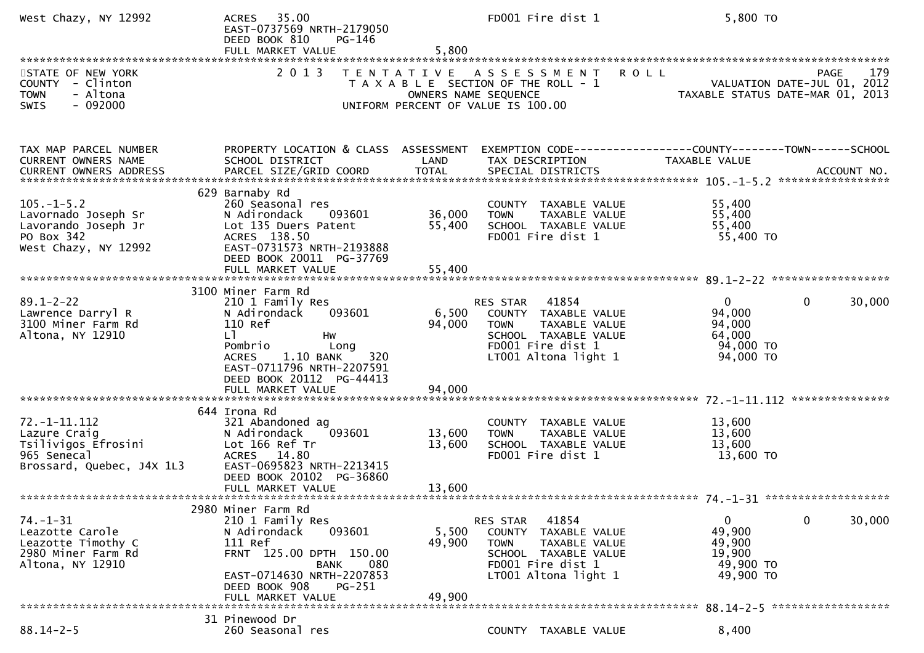| West Chazy, NY 12992                                                                                 | ACRES 35.00<br>EAST-0737569 NRTH-2179050<br>DEED BOOK 810<br>PG-146<br>FULL MARKET VALUE                                                                                                                                     | 5,800                      | FD001 Fire dist 1                                                                                                                                 | 5,800 TO                                                                                         |
|------------------------------------------------------------------------------------------------------|------------------------------------------------------------------------------------------------------------------------------------------------------------------------------------------------------------------------------|----------------------------|---------------------------------------------------------------------------------------------------------------------------------------------------|--------------------------------------------------------------------------------------------------|
| STATE OF NEW YORK<br>COUNTY - Clinton<br>- Altona<br><b>TOWN</b><br>$-092000$<br>SWIS                | 2 0 1 3                                                                                                                                                                                                                      |                            | <b>ROLL</b><br>TENTATIVE ASSESSMENT<br>T A X A B L E SECTION OF THE ROLL - 1<br>OWNERS NAME SEQUENCE<br>UNIFORM PERCENT OF VALUE IS 100.00        | 179<br>PAGE<br>رومیں<br>2012, VALUATION DATE-JUL 01<br>2013, TAXABLE STATUS DATE-MAR 01          |
| TAX MAP PARCEL NUMBER<br><b>CURRENT OWNERS NAME</b><br>CURRENT OWNERS ADDRESS                        | PROPERTY LOCATION & CLASS ASSESSMENT<br>SCHOOL DISTRICT                                                                                                                                                                      | LAND                       | TAX DESCRIPTION                                                                                                                                   | EXEMPTION CODE------------------COUNTY--------TOWN------SCHOOL<br>TAXABLE VALUE                  |
| $105. -1 - 5.2$<br>Lavornado Joseph Sr<br>Lavorando Joseph Jr<br>PO Box 342<br>West Chazy, NY 12992  | 629 Barnaby Rd<br>260 Seasonal res<br>N Adirondack<br>093601<br>Lot 135 Duers Patent<br>ACRES 138.50<br>EAST-0731573 NRTH-2193888<br>DEED BOOK 20011 PG-37769<br>FULL MARKET VALUE                                           | 36,000<br>55,400<br>55,400 | COUNTY TAXABLE VALUE<br><b>TOWN</b><br>TAXABLE VALUE<br>SCHOOL TAXABLE VALUE<br>FD001 Fire dist 1                                                 | 55,400<br>55,400<br>55,400<br>55,400 TO                                                          |
| $89.1 - 2 - 22$<br>Lawrence Darryl R<br>3100 Miner Farm Rd<br>Altona, NY 12910                       | 3100 Miner Farm Rd<br>210 1 Family Res<br>093601<br>N Adirondack<br>110 Ref<br>L]<br>Hw<br>Pombrio<br>Long<br>1.10 BANK<br>320<br><b>ACRES</b><br>EAST-0711796 NRTH-2207591<br>DEED BOOK 20112 PG-44413<br>FULL MARKET VALUE | 6,500<br>94,000<br>94,000  | RES STAR 41854<br>COUNTY TAXABLE VALUE<br>TAXABLE VALUE<br><b>TOWN</b><br>SCHOOL TAXABLE VALUE<br>FD001 Fire dist 1<br>LT001 Altona light 1       | $\overline{0}$<br>$\mathbf{0}$<br>30,000<br>94,000<br>94,000<br>64,000<br>94,000 TO<br>94,000 TO |
| $72. -1 - 11.112$<br>Lazure Craig<br>Tsilivigos Efrosini<br>965 Senecal<br>Brossard, Quebec, J4X 1L3 | 644 Irona Rd<br>321 Abandoned ag<br>093601<br>N Adirondack<br>Lot 166 Ref Tr<br>ACRES 14.80<br>EAST-0695823 NRTH-2213415<br>DEED BOOK 20102 PG-36860<br>FULL MARKET VALUE                                                    | 13,600<br>13,600<br>13,600 | COUNTY TAXABLE VALUE<br>TAXABLE VALUE<br><b>TOWN</b><br>SCHOOL TAXABLE VALUE<br>FD001 Fire dist 1                                                 | 13,600<br>13,600<br>13,600<br>13,600 TO                                                          |
| 74. –1–31<br>Leazotte Carole<br>Leazotte Timothy C<br>2980 Miner Farm Rd<br>Altona, NY 12910         | 2980 Miner Farm Rd<br>210 1 Family Res<br>N Adirondack<br>093601<br>111 Ref<br>FRNT 125.00 DPTH 150.00<br>080<br>BANK<br>EAST-0714630 NRTH-2207853<br>PG-251<br>DEED BOOK 908<br>FULL MARKET VALUE                           | 5,500<br>49,900<br>49,900  | RES STAR<br>41854<br>COUNTY<br>TAXABLE VALUE<br><b>TOWN</b><br>TAXABLE VALUE<br>SCHOOL TAXABLE VALUE<br>FD001 Fire dist 1<br>LT001 Altona light 1 | $\mathbf 0$<br>30,000<br>0<br>49,900<br>49,900<br>19,900<br>49,900 TO<br>49,900 TO               |
| $88.14 - 2 - 5$                                                                                      | 31 Pinewood Dr<br>260 Seasonal res                                                                                                                                                                                           |                            | COUNTY TAXABLE VALUE                                                                                                                              | 8,400                                                                                            |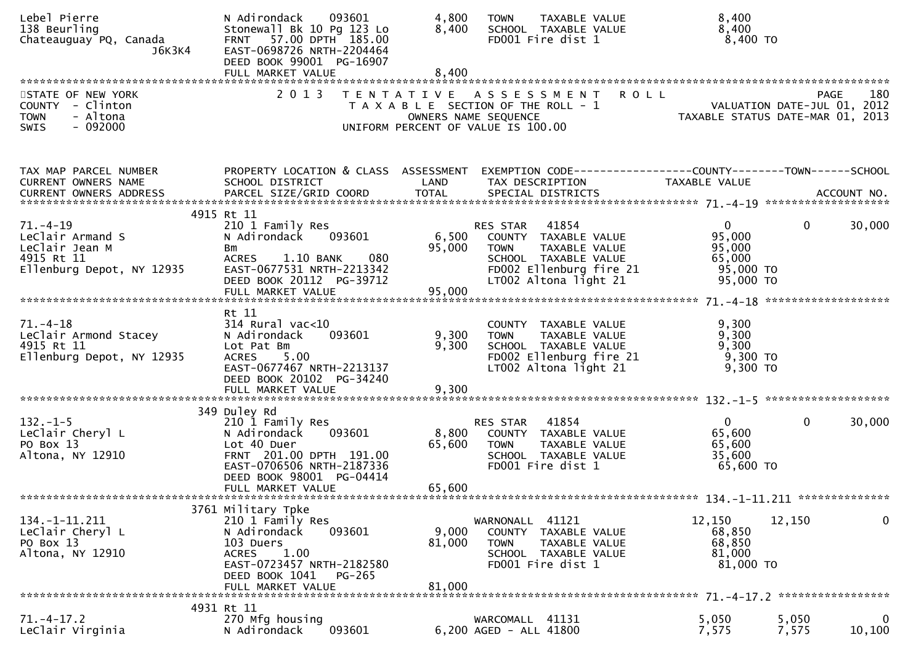| Lebel Pierre<br>138 Beurling<br>Chateauguay PQ, Canada<br>J6K3K4                                | N Adirondack<br>093601<br>Stonewall Bk 10 Pg 123 Lo<br>FRNT 57.00 DPTH 185.00<br>EAST-0698726 NRTH-2204464<br>DEED BOOK 99001 PG-16907                             | 4,800<br>8,400            | TAXABLE VALUE<br><b>TOWN</b><br>SCHOOL TAXABLE VALUE<br>FD001 Fire dist 1                                                                         | 8,400<br>8,400<br>$8,400$ TO                                                                                    |                |                       |
|-------------------------------------------------------------------------------------------------|--------------------------------------------------------------------------------------------------------------------------------------------------------------------|---------------------------|---------------------------------------------------------------------------------------------------------------------------------------------------|-----------------------------------------------------------------------------------------------------------------|----------------|-----------------------|
|                                                                                                 |                                                                                                                                                                    |                           |                                                                                                                                                   |                                                                                                                 |                |                       |
| STATE OF NEW YORK<br>COUNTY - Clinton<br>- Altona<br><b>TOWN</b><br>SWIS<br>$-092000$           | 2 0 1 3                                                                                                                                                            | OWNERS NAME SEQUENCE      | TENTATIVE ASSESSMENT ROLL<br>T A X A B L E SECTION OF THE ROLL - 1<br>UNIFORM PERCENT OF VALUE IS 100.00                                          | PAGE 180<br>VALUATION DATE-JUL 01, 2012<br>TAXARLE STATUS DATE ULL 01, 2012<br>TAXABLE STATUS DATE-MAR 01, 2013 | PAGE           | 180                   |
| TAX MAP PARCEL NUMBER<br>CURRENT OWNERS NAME                                                    | PROPERTY LOCATION & CLASS ASSESSMENT<br>SCHOOL DISTRICT                                                                                                            | LAND                      | TAX DESCRIPTION                                                                                                                                   | EXEMPTION CODE-----------------COUNTY--------TOWN------SCHOOL<br>TAXABLE VALUE                                  |                |                       |
|                                                                                                 | 4915 Rt 11                                                                                                                                                         |                           |                                                                                                                                                   |                                                                                                                 |                |                       |
| $71. - 4 - 19$<br>LeClair Armand S<br>LeClair Jean M<br>4915 Rt 11<br>Ellenburg Depot, NY 12935 | 210 1 Family Res<br>N Adirondack<br>093601<br><b>Bm</b><br>080<br><b>ACRES</b><br>1.10 BANK<br>EAST-0677531 NRTH-2213342<br>DEED BOOK 20112 PG-39712               | 95,000                    | RES STAR 41854<br>6,500 COUNTY TAXABLE VALUE<br>TAXABLE VALUE<br>TOWN<br>SCHOOL TAXABLE VALUE<br>FD002 Ellenburg fire 21<br>LT002 Altona light 21 | 0<br>95,000<br>95,000<br>65,000<br>95,000 TO<br>95,000 TO                                                       | 0              | 30,000                |
|                                                                                                 | FULL MARKET VALUE                                                                                                                                                  | 95,000                    |                                                                                                                                                   |                                                                                                                 |                |                       |
|                                                                                                 |                                                                                                                                                                    |                           |                                                                                                                                                   |                                                                                                                 |                |                       |
| $71. - 4 - 18$<br>LeClair Armond Stacey<br>4915 Rt 11<br>Ellenburg Depot, NY 12935              | Rt 11<br>$314$ Rural vac<10<br>093601<br>N Adirondack<br>Lot Pat Bm<br>5.00<br><b>ACRES</b><br>EAST-0677467 NRTH-2213137<br>DEED BOOK 20102 PG-34240               | 9,300<br>9,300            | COUNTY TAXABLE VALUE<br><b>TOWN</b><br>TAXABLE VALUE<br>SCHOOL TAXABLE VALUE<br>FD002 Ellenburg fire 21<br>LT002 Altona light 21                  | 9,300<br>9,300<br>9,300<br>9,300 TO<br>$9,300$ TO                                                               |                |                       |
|                                                                                                 | 349 Duley Rd                                                                                                                                                       |                           |                                                                                                                                                   |                                                                                                                 |                |                       |
| $132. - 1 - 5$<br>LeClair Cheryl L<br>PO Box 13<br>Altona, NY 12910                             | 210 1 Family Res<br>093601<br>N Adirondack<br>Lot 40 Duer<br>FRNT 201.00 DPTH 191.00<br>EAST-0706506 NRTH-2187336<br>DEED BOOK 98001 PG-04414<br>FULL MARKET VALUE | 8,800<br>65,600<br>65,600 | 41854<br>RES STAR<br>COUNTY TAXABLE VALUE<br>TAXABLE VALUE<br><b>TOWN</b><br>SCHOOL TAXABLE VALUE<br>FD001 Fire dist 1                            | $\Omega$<br>65,600<br>65,600<br>35,600<br>65,600 TO                                                             | $\mathbf{0}$   | 30,000                |
|                                                                                                 |                                                                                                                                                                    |                           |                                                                                                                                                   |                                                                                                                 |                |                       |
| 134. -1-11. 211<br>LeClair Cheryl L<br>PO Box 13<br>Altona, NY 12910                            | 3761 Military Tpke<br>210 1 Family Res<br>N Adirondack<br>093601<br>103 Duers<br>1.00<br><b>ACRES</b><br>EAST-0723457 NRTH-2182580<br>DEED BOOK 1041<br>PG-265     | 9,000<br>81,000           | WARNONALL 41121<br>COUNTY TAXABLE VALUE<br><b>TOWN</b><br>TAXABLE VALUE<br>SCHOOL TAXABLE VALUE<br>FD001 Fire dist 1                              | 12,150<br>68,850<br>68,850<br>81,000<br>81,000 TO                                                               | 12,150         | 0                     |
|                                                                                                 | FULL MARKET VALUE                                                                                                                                                  | 81,000                    |                                                                                                                                                   |                                                                                                                 |                |                       |
| $71. - 4 - 17.2$<br>LeClair Virginia                                                            | 4931 Rt 11<br>270 Mfg housing<br>093601<br>N Adirondack                                                                                                            |                           | WARCOMALL 41131<br>6,200 AGED - ALL 41800                                                                                                         | 5,050<br>7,575                                                                                                  | 5,050<br>7,575 | $\mathbf 0$<br>10,100 |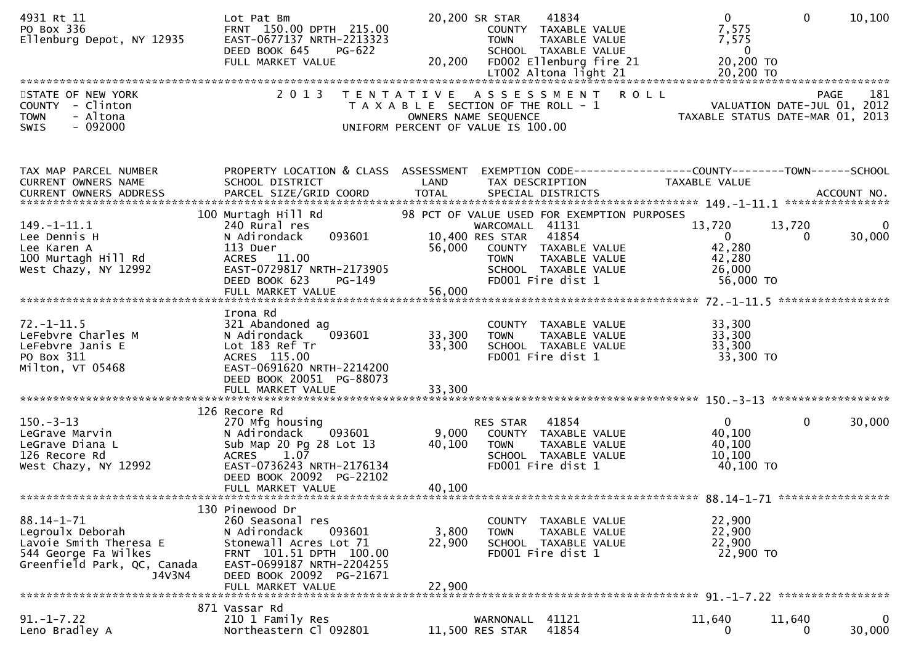| 4931 Rt 11<br>PO Box 336<br>Ellenburg Depot, NY 12935                                                                     | Lot Pat Bm<br>FRNT 150.00 DPTH 215.00<br>EAST-0677137 NRTH-2213323<br>DEED BOOK 645<br>PG-622                                                                                                    |                                                                             | 20,200 SR STAR<br><b>TOWN</b>                           | 41834<br>COUNTY TAXABLE VALUE<br>TAXABLE VALUE<br>SCHOOL TAXABLE VALUE                      | $\overline{0}$<br>7,575<br>7,575<br>$\overline{0}$                                                               | $\mathbf{0}$ | 10,100      |
|---------------------------------------------------------------------------------------------------------------------------|--------------------------------------------------------------------------------------------------------------------------------------------------------------------------------------------------|-----------------------------------------------------------------------------|---------------------------------------------------------|---------------------------------------------------------------------------------------------|------------------------------------------------------------------------------------------------------------------|--------------|-------------|
|                                                                                                                           |                                                                                                                                                                                                  |                                                                             |                                                         |                                                                                             |                                                                                                                  |              |             |
| STATE OF NEW YORK<br>COUNTY - Clinton<br>- Altona<br><b>TOWN</b><br>SWIS<br>$-092000$                                     | 2 0 1 3                                                                                                                                                                                          | T A X A B L E SECTION OF THE ROLL - 1<br>UNIFORM PERCENT OF VALUE IS 100.00 | OWNERS NAME SEQUENCE                                    | TENTATIVE ASSESSMENT ROLL                                                                   | PAGE 181<br>VALUATION DATE-JUL 01, 2012<br>TAXARLE STATUS DATE WILL 01, 2012<br>TAXABLE STATUS DATE-MAR 01, 2013 |              | 181<br>PAGE |
| TAX MAP PARCEL NUMBER<br>CURRENT OWNERS NAME                                                                              | PROPERTY LOCATION & CLASS ASSESSMENT<br>SCHOOL DISTRICT                                                                                                                                          | LAND                                                                        | TAX DESCRIPTION                                         |                                                                                             | EXEMPTION CODE------------------COUNTY--------TOWN------SCHOOL<br>TAXABLE VALUE                                  |              |             |
|                                                                                                                           | 100 Murtagh Hill Rd                                                                                                                                                                              |                                                                             |                                                         | 98 PCT OF VALUE USED FOR EXEMPTION PURPOSES                                                 |                                                                                                                  |              |             |
| 149. - 1 - 11. 1<br>Lee Dennis H<br>Lee Karen A<br>100 Murtagh Hill Rd<br>West Chazy, NY 12992                            | 240 Rural res<br>093601<br>N Adirondack<br>113 Duer<br>ACRES 11.00<br>EAST-0729817 NRTH-2173905<br>DEED BOOK 623<br>PG-149                                                                       | 56,000                                                                      | WARCOMALL 41131<br>10,400 RES STAR 41854<br><b>TOWN</b> | COUNTY TAXABLE VALUE<br>TAXABLE VALUE<br>SCHOOL TAXABLE VALUE<br>FD001 Fire dist 1          | 13,720<br>$\mathbf{0}$<br>42,280<br>42,280<br>26,000<br>56,000 TO                                                | 13,720<br>0  | 30,000      |
|                                                                                                                           |                                                                                                                                                                                                  | 56,000                                                                      |                                                         |                                                                                             |                                                                                                                  |              |             |
|                                                                                                                           | FULL MARKET VALUE                                                                                                                                                                                |                                                                             |                                                         |                                                                                             |                                                                                                                  |              |             |
|                                                                                                                           |                                                                                                                                                                                                  |                                                                             |                                                         |                                                                                             |                                                                                                                  |              |             |
| $72. - 1 - 11.5$<br>LeFebvre Charles M<br>LeFebvre Janis E<br>PO Box 311<br>Milton, VT 05468                              | Irona Rd<br>321 Abandoned ag<br>093601<br>N Adirondack<br>Lot 183 Ref Tr<br>ACRES 115.00<br>EAST-0691620 NRTH-2214200<br>DEED BOOK 20051 PG-88073                                                | 33,300<br>33,300                                                            | <b>TOWN</b>                                             | COUNTY TAXABLE VALUE<br>TAXABLE VALUE<br>SCHOOL TAXABLE VALUE<br>FD001 Fire dist 1          | 33,300<br>33,300<br>33,300<br>33,300 TO                                                                          |              |             |
|                                                                                                                           | 126 Recore Rd                                                                                                                                                                                    |                                                                             |                                                         |                                                                                             |                                                                                                                  |              |             |
| $150. -3 - 13$<br>LeGrave Marvin<br>LeGrave Diana L<br>126 Recore Rd<br>West Chazy, NY 12992                              | 270 Mfg housing<br>093601<br>N Adirondack<br>Sub Map 20 Pg 28 Lot 13<br>1.07<br><b>ACRES</b><br>EAST-0736243 NRTH-2176134<br>DEED BOOK 20092 PG-22102<br>FULL MARKET VALUE                       | 9,000<br>40,100<br>40,100                                                   | RES STAR<br><b>TOWN</b>                                 | 41854<br>COUNTY TAXABLE VALUE<br>TAXABLE VALUE<br>SCHOOL TAXABLE VALUE<br>FD001 Fire dist 1 | $\mathbf{0}$<br>40,100<br>40,100<br>10,100<br>40,100 TO                                                          | $\mathbf{0}$ | 30,000      |
|                                                                                                                           |                                                                                                                                                                                                  |                                                                             |                                                         |                                                                                             |                                                                                                                  |              |             |
| 88.14-1-71<br>Legroulx Deborah<br>Lavoie Smith Theresa E<br>544 George Fa Wilkes<br>Greenfield Park, QC, Canada<br>J4V3N4 | 130 Pinewood Dr<br>260 Seasonal res<br>N Adirondack<br>093601<br>Stonewall Acres Lot 71<br>FRNT 101.51 DPTH 100.00<br>EAST-0699187 NRTH-2204255<br>DEED BOOK 20092 PG-21671<br>FULL MARKET VALUE | 3,800<br>22,900<br>22,900                                                   | COUNTY<br><b>TOWN</b>                                   | TAXABLE VALUE<br>TAXABLE VALUE<br>SCHOOL TAXABLE VALUE<br>FD001 Fire dist 1                 | 22,900<br>22,900<br>22,900<br>22,900 TO                                                                          |              |             |
|                                                                                                                           |                                                                                                                                                                                                  |                                                                             |                                                         |                                                                                             |                                                                                                                  |              |             |
| $91. - 1 - 7.22$<br>Leno Bradley A                                                                                        | 871 Vassar Rd<br>210 1 Family Res<br>Northeastern Cl 092801                                                                                                                                      |                                                                             | WARNONALL<br>11,500 RES STAR                            | 41121<br>41854                                                                              | 11,640<br>0                                                                                                      | 11,640<br>0  | 0<br>30,000 |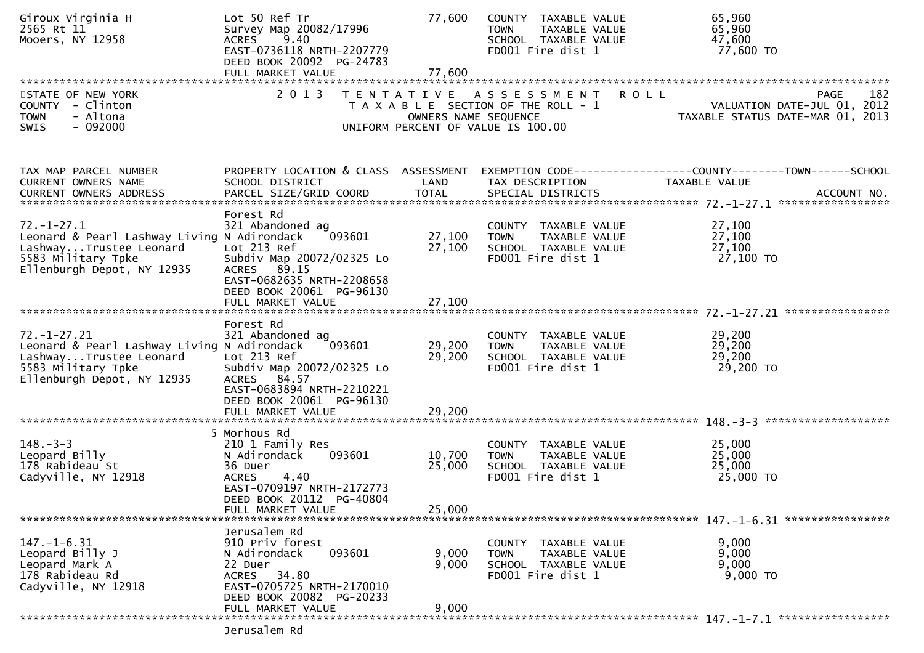| Giroux Virginia H<br>2565 Rt 11<br>Mooers, NY 12958                                                                                            | Lot 50 Ref Tr<br>Survey Map 20082/17996<br>9.40<br><b>ACRES</b><br>EAST-0736118 NRTH-2207779<br>DEED BOOK 20092 PG-24783<br>FULL MARKET VALUE                                    | 77,600<br>77,600           | COUNTY TAXABLE VALUE<br>TAXABLE VALUE<br><b>TOWN</b><br>SCHOOL TAXABLE VALUE<br>FD001 Fire dist 1                  | 65,960<br>65,960<br>47,600<br>77,600 TO                                         |
|------------------------------------------------------------------------------------------------------------------------------------------------|----------------------------------------------------------------------------------------------------------------------------------------------------------------------------------|----------------------------|--------------------------------------------------------------------------------------------------------------------|---------------------------------------------------------------------------------|
| STATE OF NEW YORK<br>COUNTY - Clinton<br>- Altona<br><b>TOWN</b><br><b>SWIS</b><br>- 092000                                                    | 2 0 1 3                                                                                                                                                                          | OWNERS NAME SEQUENCE       | <b>ROLL</b><br>TENTATIVE ASSESSMENT<br>T A X A B L E SECTION OF THE ROLL - 1<br>UNIFORM PERCENT OF VALUE IS 100.00 | 182<br>PAGE<br>VALUATION DATE-JUL 01, 2012<br>TAXABLE STATUS DATE-MAR 01, 2013  |
| TAX MAP PARCEL NUMBER<br>CURRENT OWNERS NAME                                                                                                   | PROPERTY LOCATION & CLASS ASSESSMENT<br>SCHOOL DISTRICT                                                                                                                          | LAND                       | TAX DESCRIPTION                                                                                                    | EXEMPTION CODE------------------COUNTY--------TOWN------SCHOOL<br>TAXABLE VALUE |
| $72. - 1 - 27.1$<br>Leonard & Pearl Lashway Living N Adirondack<br>LashwayTrustee Leonard<br>5583 Military Tpke<br>Ellenburgh Depot, NY 12935  | Forest Rd<br>321 Abandoned ag<br>093601<br>Lot 213 Ref<br>Subdiv Map 20072/02325 Lo<br>ACRES 89.15<br>EAST-0682635 NRTH-2208658<br>DEED BOOK 20061 PG-96130                      | 27,100<br>27,100           | COUNTY TAXABLE VALUE<br><b>TOWN</b><br>TAXABLE VALUE<br>SCHOOL TAXABLE VALUE<br>FD001 Fire dist 1                  | 27,100<br>27,100<br>27,100<br>27,100 TO                                         |
| $72. - 1 - 27.21$<br>Leonard & Pearl Lashway Living N Adirondack<br>LashwayTrustee Leonard<br>5583 Military Tpke<br>Ellenburgh Depot, NY 12935 | Forest Rd<br>321 Abandoned ag<br>093601<br>Lot 213 Ref<br>Subdiv Map 20072/02325 Lo<br>ACRES 84.57<br>EAST-0683894 NRTH-2210221<br>DEED BOOK 20061 PG-96130<br>FULL MARKET VALUE | 29,200<br>29,200<br>29,200 | COUNTY TAXABLE VALUE<br>TAXABLE VALUE<br>TOWN<br>SCHOOL TAXABLE VALUE<br>FD001 Fire dist 1                         | 29,200<br>29,200<br>29,200<br>29,200 TO                                         |
| $148. - 3 - 3$<br>Leopard Billy<br>178 Rabideau St<br>Cadyville, NY 12918                                                                      | 5 Morhous Rd<br>210 1 Family Res<br>N Adirondack<br>093601<br>36 Duer<br><b>ACRES</b><br>4.40<br>EAST-0709197 NRTH-2172773<br>DEED BOOK 20112 PG-40804<br>FULL MARKET VALUE      | 10,700<br>25,000<br>25,000 | COUNTY TAXABLE VALUE<br>TAXABLE VALUE<br><b>TOWN</b><br>SCHOOL TAXABLE VALUE<br>FD001 Fire dist 1                  | 25,000<br>25,000<br>25,000<br>25,000 TO                                         |
| $147. - 1 - 6.31$<br>Leopard Billy J<br>Leopard Mark A<br>178 Rabideau Rd<br>Cadyville, NY 12918                                               | Jerusalem Rd<br>910 Priv forest<br>N Adirondack<br>093601<br>22 Duer<br>ACRES 34.80<br>EAST-0705725 NRTH-2170010<br>DEED BOOK 20082 PG-20233<br>FULL MARKET VALUE                | 9,000<br>9,000<br>9,000    | COUNTY TAXABLE VALUE<br><b>TOWN</b><br>TAXABLE VALUE<br>SCHOOL TAXABLE VALUE<br>FD001 Fire dist 1                  | 9,000<br>9,000<br>9,000<br>9,000 TO                                             |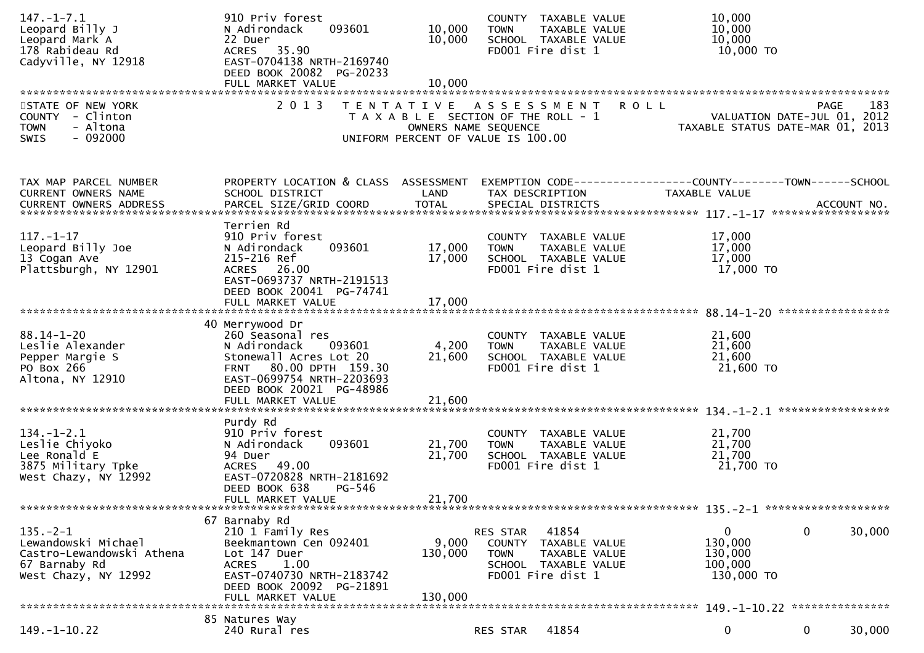| $147. - 1 - 7.1$<br>Leopard Billy J<br>Leopard Mark A<br>178 Rabideau Rd<br>Cadyville, NY 12918            | 910 Priv forest<br>093601<br>N Adirondack<br>22 Duer<br>ACRES 35.90<br>EAST-0704138 NRTH-2169740<br>DEED BOOK 20082 PG-20233<br>FULL MARKET VALUE                                 | 10,000<br>10,000<br>10,000  | COUNTY TAXABLE VALUE<br>TAXABLE VALUE<br><b>TOWN</b><br>SCHOOL TAXABLE VALUE<br>FD001 Fire dist 1                      | 10,000<br>10,000<br>10,000<br>10,000 TO                                               |
|------------------------------------------------------------------------------------------------------------|-----------------------------------------------------------------------------------------------------------------------------------------------------------------------------------|-----------------------------|------------------------------------------------------------------------------------------------------------------------|---------------------------------------------------------------------------------------|
| STATE OF NEW YORK<br>COUNTY - Clinton<br>- Altona<br><b>TOWN</b><br>$-092000$<br>SWIS                      | 2013                                                                                                                                                                              | OWNERS NAME SEQUENCE        | TENTATIVE ASSESSMENT<br><b>ROLL</b><br>T A X A B L E SECTION OF THE ROLL - 1<br>UNIFORM PERCENT OF VALUE IS 100.00     | 183<br><b>PAGE</b><br>VALUATION DATE-JUL 01, 2012<br>TAXABLE STATUS DATE-MAR 01, 2013 |
| TAX MAP PARCEL NUMBER<br>CURRENT OWNERS NAME                                                               | PROPERTY LOCATION & CLASS ASSESSMENT<br>SCHOOL DISTRICT                                                                                                                           | LAND                        | TAX DESCRIPTION                                                                                                        | TAXABLE VALUE                                                                         |
| $117. - 1 - 17$<br>Leopard Billy Joe<br>13 Cogan Ave<br>Plattsburgh, NY 12901                              | Terrien Rd<br>910 Priv forest<br>093601<br>N Adirondack<br>215-216 Ref<br>ACRES 26.00<br>EAST-0693737 NRTH-2191513<br>DEED BOOK 20041 PG-74741                                    | 17,000<br>17,000            | COUNTY TAXABLE VALUE<br>TAXABLE VALUE<br><b>TOWN</b><br>SCHOOL TAXABLE VALUE<br>FD001 Fire dist 1                      | 17,000<br>17,000<br>17,000<br>17,000 TO                                               |
| $88.14 - 1 - 20$<br>Leslie Alexander<br>Pepper Margie S<br>PO Box 266<br>Altona, NY 12910                  | 40 Merrywood Dr<br>260 Seasonal res<br>N Adirondack<br>093601<br>Stonewall Acres Lot 20<br>FRNT 80.00 DPTH 159.30<br>EAST-0699754 NRTH-2203693<br>DEED BOOK 20021 PG-48986        | 4,200<br>21,600             | COUNTY TAXABLE VALUE<br><b>TOWN</b><br>TAXABLE VALUE<br>SCHOOL TAXABLE VALUE<br>FD001 Fire dist 1                      | 21,600<br>21,600<br>21,600<br>21,600 TO                                               |
|                                                                                                            |                                                                                                                                                                                   |                             |                                                                                                                        |                                                                                       |
| $134. - 1 - 2.1$<br>Leslie Chiyoko<br>Lee Ronald E<br>3875 Military Tpke<br>West Chazy, NY 12992           | Purdy Rd<br>910 Priv forest<br>093601<br>N Adirondack<br>94 Duer<br>ACRES 49.00<br>EAST-0720828 NRTH-2181692<br>DEED BOOK 638<br>PG-546<br>FULL MARKET VALUE                      | 21,700<br>21,700<br>21,700  | COUNTY TAXABLE VALUE<br>TAXABLE VALUE<br><b>TOWN</b><br>SCHOOL TAXABLE VALUE<br>FD001 Fire dist 1                      | 21,700<br>21,700<br>21,700<br>21,700 TO                                               |
|                                                                                                            |                                                                                                                                                                                   |                             |                                                                                                                        |                                                                                       |
| $135. -2 - 1$<br>Lewandowski Michael<br>Castro-Lewandowski Athena<br>67 Barnaby Rd<br>West Chazy, NY 12992 | 67 Barnaby Rd<br>210 1 Family Res<br>Beekmantown Cen 092401<br>Lot 147 Duer<br>1.00<br><b>ACRES</b><br>EAST-0740730 NRTH-2183742<br>DEED BOOK 20092 PG-21891<br>FULL MARKET VALUE | 9,000<br>130,000<br>130,000 | 41854<br>RES STAR<br>COUNTY TAXABLE VALUE<br><b>TOWN</b><br>TAXABLE VALUE<br>SCHOOL TAXABLE VALUE<br>FD001 Fire dist 1 | $\mathbf 0$<br>$\mathbf 0$<br>30,000<br>130,000<br>130,000<br>100,000<br>130,000 TO   |
|                                                                                                            | 85 Natures Way                                                                                                                                                                    |                             |                                                                                                                        |                                                                                       |
| $149. - 1 - 10.22$                                                                                         | 240 Rural res                                                                                                                                                                     |                             | 41854<br>RES STAR                                                                                                      | $\mathbf 0$<br>0<br>30,000                                                            |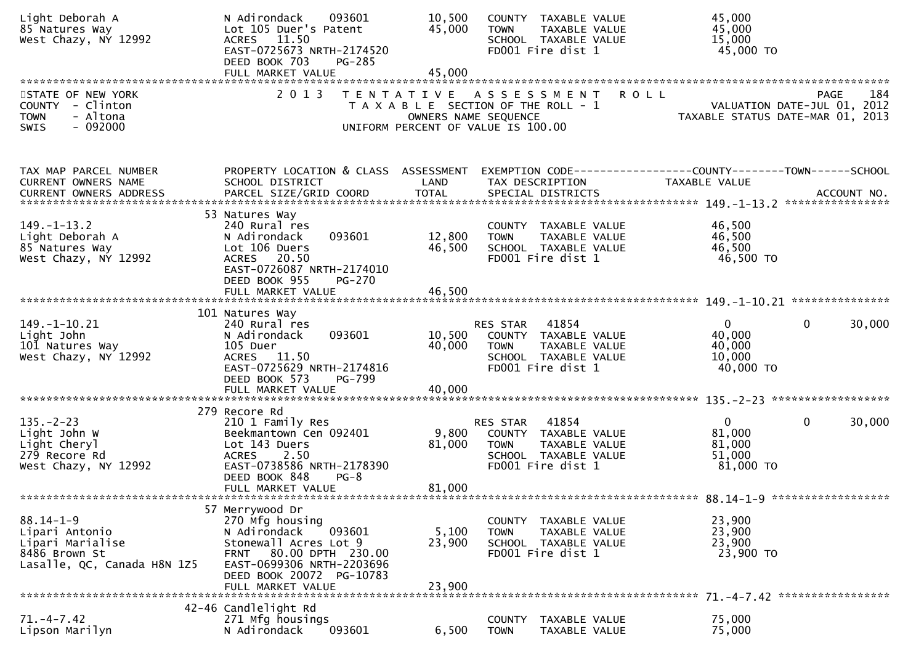| Light Deborah A<br>85 Natures Way<br>West Chazy, NY 12992                                             | 093601<br>N Adirondack<br>Lot 105 Duer's Patent<br>ACRES 11.50<br>EAST-0725673 NRTH-2174520<br>DEED BOOK 703<br><b>PG-285</b>                                                                           | 10,500<br>45,000          | COUNTY TAXABLE VALUE<br>TAXABLE VALUE<br><b>TOWN</b><br>SCHOOL TAXABLE VALUE<br>FD001 Fire dist 1                      | 45,000<br>45,000<br>15,000<br>45,000 TO                                        |                    |
|-------------------------------------------------------------------------------------------------------|---------------------------------------------------------------------------------------------------------------------------------------------------------------------------------------------------------|---------------------------|------------------------------------------------------------------------------------------------------------------------|--------------------------------------------------------------------------------|--------------------|
| STATE OF NEW YORK<br>COUNTY - Clinton<br><b>TOWN</b><br>- Altona<br>$-092000$<br><b>SWIS</b>          | 2 0 1 3                                                                                                                                                                                                 | OWNERS NAME SEQUENCE      | TENTATIVE ASSESSMENT<br>T A X A B L E SECTION OF THE ROLL - 1<br>UNIFORM PERCENT OF VALUE IS 100.00                    | <b>ROLL</b><br>VALUATION DATE-JUL 01, 2012<br>TAXABLE STATUS DATE-MAR 01, 2013 | 184<br><b>PAGE</b> |
| TAX MAP PARCEL NUMBER<br>CURRENT OWNERS NAME                                                          | PROPERTY LOCATION & CLASS ASSESSMENT<br>SCHOOL DISTRICT                                                                                                                                                 | LAND                      | TAX DESCRIPTION                                                                                                        | EXEMPTION CODE-----------------COUNTY-------TOWN------SCHOOL<br>TAXABLE VALUE  |                    |
| $149. - 1 - 13.2$<br>Light Deborah A<br>85 Natures Way<br>West Chazy, NY 12992                        | 53 Natures Way<br>240 Rural res<br>093601<br>N Adirondack<br>Lot 106 Duers<br>ACRES 20.50<br>EAST-0726087 NRTH-2174010<br>DEED BOOK 955<br><b>PG-270</b>                                                | 12,800<br>46,500          | COUNTY TAXABLE VALUE<br>TAXABLE VALUE<br><b>TOWN</b><br>SCHOOL TAXABLE VALUE<br>FD001 Fire dist 1                      | 46,500<br>46,500<br>46,500<br>46,500 TO                                        |                    |
|                                                                                                       |                                                                                                                                                                                                         |                           |                                                                                                                        |                                                                                |                    |
| $149. - 1 - 10.21$<br>Light John<br>101 Natures Way<br>West Chazy, NY 12992                           | 101 Natures Way<br>240 Rural res<br>093601<br>N Adirondack<br>105 Duer<br>ACRES 11.50<br>EAST-0725629 NRTH-2174816<br>DEED BOOK 573<br>PG-799                                                           | 10,500<br>40,000          | 41854<br>RES STAR<br>COUNTY TAXABLE VALUE<br><b>TOWN</b><br>TAXABLE VALUE<br>SCHOOL TAXABLE VALUE<br>FD001 Fire dist 1 | $\overline{0}$<br>$\mathbf{0}$<br>40,000<br>40,000<br>10,000<br>$40,000$ TO    | 30,000             |
| $135. - 2 - 23$<br>Light John W<br>Light Cheryl<br>279 Recore Rd<br>West Chazy, NY 12992              | 279 Recore Rd<br>210 1 Family Res<br>Beekmantown Cen 092401<br>Lot 143 Duers<br>2.50<br><b>ACRES</b><br>EAST-0738586 NRTH-2178390<br>DEED BOOK 848<br>$PG-8$<br>FULL MARKET VALUE                       | 9,800<br>81,000<br>81,000 | 41854<br>RES STAR<br>COUNTY TAXABLE VALUE<br><b>TOWN</b><br>TAXABLE VALUE<br>SCHOOL TAXABLE VALUE<br>FD001 Fire dist 1 | $\overline{0}$<br>$\mathbf 0$<br>81,000<br>81,000<br>51,000<br>81,000 TO       | 30,000             |
| $88.14 - 1 - 9$<br>Lipari Antonio<br>Lipari Marialise<br>8486 Brown St<br>Lasalle, QC, Canada H8N 1Z5 | 57 Merrywood Dr<br>270 Mfg housing<br>N Adirondack<br>093601<br>Stonewall Acres Lot 9<br>80.00 DPTH 230.00<br><b>FRNT</b><br>EAST-0699306 NRTH-2203696<br>DEED BOOK 20072 PG-10783<br>FULL MARKET VALUE | 5,100<br>23,900<br>23,900 | COUNTY TAXABLE VALUE<br><b>TOWN</b><br>TAXABLE VALUE<br>SCHOOL TAXABLE VALUE<br>FD001 Fire dist 1                      | 23,900<br>23,900<br>23,900<br>23,900 TO                                        |                    |
|                                                                                                       | 42-46 Candlelight Rd                                                                                                                                                                                    |                           |                                                                                                                        |                                                                                |                    |
| $71. - 4 - 7.42$<br>Lipson Marilyn                                                                    | 271 Mfg housings<br>N Adirondack<br>093601                                                                                                                                                              | 6,500                     | COUNTY TAXABLE VALUE<br><b>TOWN</b><br>TAXABLE VALUE                                                                   | 75,000<br>75,000                                                               |                    |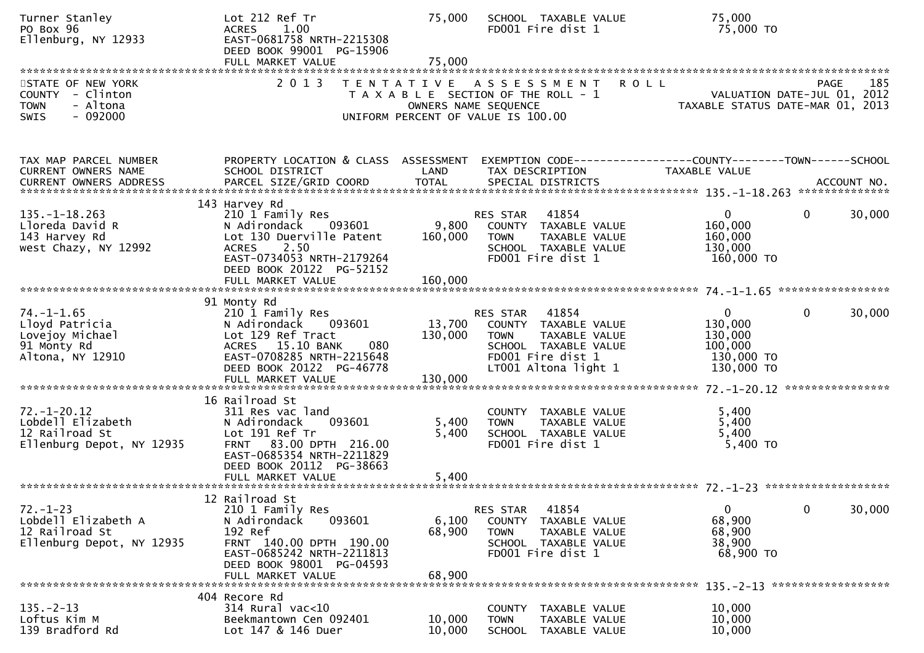| Turner Stanley<br>PO Box 96<br>Ellenburg, NY 12933                                           | Lot 212 Ref Tr<br>1.00<br><b>ACRES</b><br>EAST-0681758 NRTH-2215308<br>DEED BOOK 99001 PG-15906<br>FULL MARKET VALUE                                                             | 75,000<br>75,000          | SCHOOL TAXABLE VALUE<br>FD001 Fire dist 1                                                                                                      | 75,000<br>75,000 TO                                                      |                                            |
|----------------------------------------------------------------------------------------------|----------------------------------------------------------------------------------------------------------------------------------------------------------------------------------|---------------------------|------------------------------------------------------------------------------------------------------------------------------------------------|--------------------------------------------------------------------------|--------------------------------------------|
| STATE OF NEW YORK<br>COUNTY - Clinton<br>- Altona<br><b>TOWN</b><br>$-092000$<br><b>SWIS</b> | 2 0 1 3                                                                                                                                                                          | T E N T A T I V E         | A S S E S S M E N T<br>T A X A B L E SECTION OF THE ROLL - 1<br>OWNERS NAME SEQUENCE<br>UNIFORM PERCENT OF VALUE IS 100.00                     | <b>ROLL</b><br>TAXABLE STATUS DATE-MAR 01, 2013                          | 185<br>PAGE<br>VALUATION DATE-JUL 01, 2012 |
| TAX MAP PARCEL NUMBER<br>CURRENT OWNERS NAME                                                 | PROPERTY LOCATION & CLASS ASSESSMENT<br>SCHOOL DISTRICT                                                                                                                          | LAND                      | EXEMPTION CODE-----------------COUNTY-------TOWN------SCHOOL<br>TAX DESCRIPTION                                                                | TAXABLE VALUE                                                            |                                            |
| $135. - 1 - 18.263$<br>Lloreda David R<br>143 Harvey Rd<br>west Chazy, NY 12992              | 143 Harvey Rd<br>210 1 Family Res<br>N Adirondack<br>093601<br>Lot 130 Duerville Patent<br>2.50<br><b>ACRES</b><br>EAST-0734053 NRTH-2179264<br>DEED BOOK 20122 PG-52152         | 9,800<br>160,000          | 41854<br>RES STAR<br>COUNTY TAXABLE VALUE<br>TAXABLE VALUE<br><b>TOWN</b><br>SCHOOL TAXABLE VALUE<br>FD001 Fire dist 1                         | $\mathbf 0$<br>160,000<br>160,000<br>130,000<br>160,000 TO               | $\mathbf{0}$<br>30,000                     |
| $74. - 1 - 1.65$<br>Lloyd Patricia<br>Lovejoy Michael<br>91 Monty Rd<br>Altona, NY 12910     | 91 Monty Rd<br>210 1 Family Res<br>N Adirondack<br>093601<br>Lot 129 Ref Tract<br>15.10 BANK<br>080<br><b>ACRES</b><br>EAST-0708285 NRTH-2215648<br>DEED BOOK 20122 PG-46778     | 13,700<br>130,000         | RES STAR<br>41854<br>COUNTY TAXABLE VALUE<br>TAXABLE VALUE<br><b>TOWN</b><br>SCHOOL TAXABLE VALUE<br>FD001 Fire dist 1<br>LT001 Altona light 1 | $\mathbf 0$<br>130,000<br>130,000<br>100,000<br>130,000 TO<br>130,000 TO | 0<br>30,000                                |
| $72. - 1 - 20.12$<br>Lobdell Elizabeth<br>12 Railroad St<br>Ellenburg Depot, NY 12935        | 16 Railroad St<br>311 Res vac land<br>N Adirondack<br>093601<br>Lot 191 Ref Tr<br>FRNT 83.00 DPTH 216.00<br>EAST-0685354 NRTH-2211829<br>DEED BOOK 20112 PG-38663                | 5,400<br>5,400            | COUNTY TAXABLE VALUE<br>TAXABLE VALUE<br><b>TOWN</b><br>SCHOOL TAXABLE VALUE<br>FD001 Fire dist 1                                              | 5,400<br>5,400<br>5,400<br>5,400 TO                                      |                                            |
| $72. - 1 - 23$<br>Lobdell Elizabeth A<br>12 Railroad St<br>Ellenburg Depot, NY 12935         | 12 Railroad St<br>210 1 Family Res<br>093601<br>N Adirondack<br>192 Ref<br>FRNT 140.00 DPTH 190.00<br>EAST-0685242 NRTH-2211813<br>DEED BOOK 98001 PG-04593<br>FULL MARKET VALUE | 6,100<br>68,900<br>68,900 | 41854<br>RES STAR<br>COUNTY TAXABLE VALUE<br>TAXABLE VALUE<br><b>TOWN</b><br>SCHOOL TAXABLE VALUE<br>FD001 Fire dist 1                         | $\mathbf 0$<br>68,900<br>68,900<br>38,900<br>68,900 TO                   | $\mathbf 0$<br>30,000                      |
| $135. - 2 - 13$<br>Loftus Kim M<br>139 Bradford Rd                                           | 404 Recore Rd<br>$314$ Rural vac<10<br>Beekmantown Cen 092401<br>Lot 147 & 146 Duer                                                                                              | 10,000<br>10,000          | COUNTY<br>TAXABLE VALUE<br><b>TOWN</b><br>TAXABLE VALUE<br><b>SCHOOL</b><br>TAXABLE VALUE                                                      | 10,000<br>10,000<br>10,000                                               |                                            |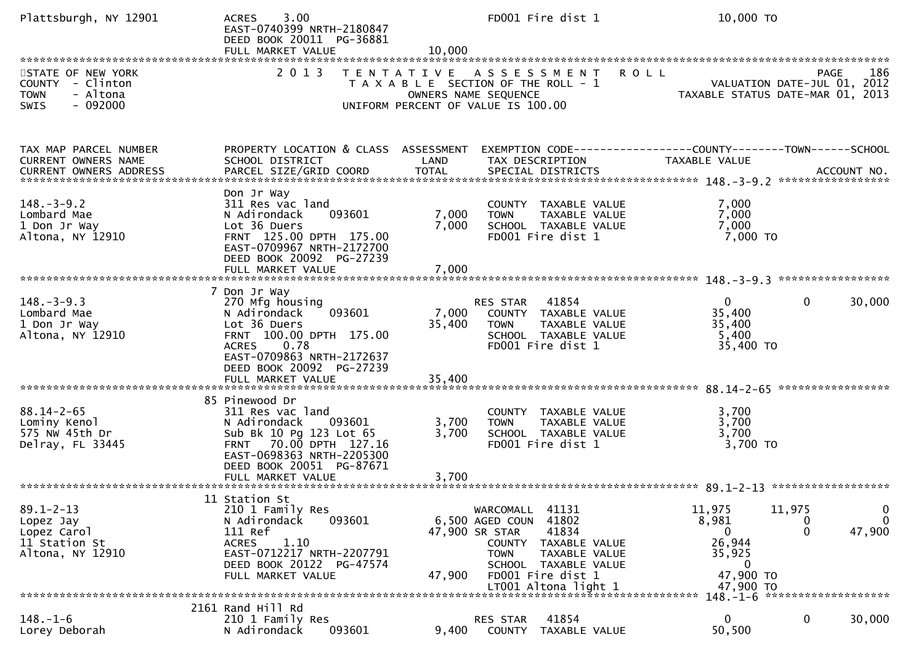| Plattsburgh, NY 12901                                                                        | 3.00<br><b>ACRES</b><br>EAST-0740399 NRTH-2180847<br>DEED BOOK 20011 PG-36881<br>FULL MARKET VALUE                                                                                    | 10,000                  | FD001 Fire dist 1                                                                                                                                                                                      | 10,000 TO                                                                                                                                                                                                                                                                                                         |
|----------------------------------------------------------------------------------------------|---------------------------------------------------------------------------------------------------------------------------------------------------------------------------------------|-------------------------|--------------------------------------------------------------------------------------------------------------------------------------------------------------------------------------------------------|-------------------------------------------------------------------------------------------------------------------------------------------------------------------------------------------------------------------------------------------------------------------------------------------------------------------|
| STATE OF NEW YORK<br>COUNTY - Clinton<br>- Altona<br><b>TOWN</b><br>$-092000$<br><b>SWIS</b> | 2 0 1 3                                                                                                                                                                               | T E N T A T I V E       | A S S E S S M E N T<br>T A X A B L E SECTION OF THE ROLL - 1<br>OWNERS NAME SEQUENCE<br>UNIFORM PERCENT OF VALUE IS 100.00                                                                             | <b>ROLL</b><br>186<br>PAGE<br>VALUATION DATE-JUL 01, 2012<br>,WALUATION DATE-JUL 01<br>,TAXABLE STATUS DATE-MAR 01<br>2013                                                                                                                                                                                        |
| TAX MAP PARCEL NUMBER<br>CURRENT OWNERS NAME                                                 | PROPERTY LOCATION & CLASS ASSESSMENT<br>SCHOOL DISTRICT                                                                                                                               | LAND                    | TAX DESCRIPTION                                                                                                                                                                                        | EXEMPTION CODE------------------COUNTY--------TOWN------SCHOOL<br>TAXABLE VALUE<br>.4CCOUNT NO . PARCEL SIZE/GRID COORD TOTAL SPECIAL DISTRICTS SPERE TO ACCOUNT NO . AND MALL TO A SALL AND REST AND TO TAL SPECIAL DISTRICTS AND REST TO TAL THE REST OF THE REST OF THE REST OF THE REST OF THE REST OF THE RE |
| $148. - 3 - 9.2$<br>Lombard Mae<br>1 Don Jr Way<br>Altona, NY 12910                          | Don Jr Way<br>311 Res vac land<br>093601<br>N Adirondack<br>Lot 36 Duers<br>FRNT 125.00 DPTH 175.00<br>EAST-0709967 NRTH-2172700<br>DEED BOOK 20092 PG-27239<br>FULL MARKET VALUE     | 7,000<br>7,000<br>7,000 | COUNTY TAXABLE VALUE<br><b>TOWN</b><br>TAXABLE VALUE<br>SCHOOL TAXABLE VALUE<br>FD001 Fire dist 1                                                                                                      | 7,000<br>7,000<br>7,000<br>$7,000$ TO                                                                                                                                                                                                                                                                             |
| $148. - 3 - 9.3$<br>Lombard Mae<br>1 Don Jr Way<br>Altona, NY 12910                          | 7 Don Jr Way<br>270 Mfg housing<br>093601<br>N Adirondack<br>Lot 36 Duers<br>FRNT 100.00 DPTH 175.00<br>0.78<br><b>ACRES</b><br>EAST-0709863 NRTH-2172637<br>DEED BOOK 20092 PG-27239 | 7,000<br>35,400         | 41854<br>RES STAR<br>COUNTY TAXABLE VALUE<br>TAXABLE VALUE<br><b>TOWN</b><br>SCHOOL TAXABLE VALUE<br>FD001 Fire dist 1                                                                                 | $\mathbf{0}$<br>$\mathbf{0}$<br>30,000<br>35,400<br>35,400<br>5,400<br>35,400 TO                                                                                                                                                                                                                                  |
| $88.14 - 2 - 65$<br>Lominy Kenol<br>575 NW 45th Dr<br>Delray, FL 33445                       | 85 Pinewood Dr<br>311 Res vac land<br>N Adirondack<br>093601<br>Sub Bk 10 Pg 123 Lot 65<br>FRNT 70.00 DPTH 127.16<br>EAST-0698363 NRTH-2205300<br>DEED BOOK 20051 PG-87671            | 3,700<br>3,700          | COUNTY TAXABLE VALUE<br>TAXABLE VALUE<br><b>TOWN</b><br>SCHOOL TAXABLE VALUE<br>FD001 Fire dist 1                                                                                                      | 3,700<br>3,700<br>3,700<br>$3,700$ TO                                                                                                                                                                                                                                                                             |
| $89.1 - 2 - 13$<br>Lopez Jay<br>Lopez Carol<br>11 Station St<br>Altona, NY 12910             | 11 Station St<br>210 1 Family Res<br>093601<br>N Adirondack<br>111 Ref<br>1.10<br><b>ACRES</b><br>EAST-0712217 NRTH-2207791<br>DEED BOOK 20122 PG-47574<br>FULL MARKET VALUE          | 47,900                  | 41131<br>WARCOMALL<br>6,500 AGED COUN<br>41802<br>47,900 SR STAR<br>41834<br>COUNTY TAXABLE VALUE<br>TAXABLE VALUE<br><b>TOWN</b><br>SCHOOL TAXABLE VALUE<br>FD001 Fire dist 1<br>LT001 Altona light 1 | $\mathbf 0$<br>11,975<br>11,975<br>0<br>8,981<br>U<br>47,900<br>0<br>0<br>26,944<br>35,925<br>0<br>47,900 TO<br>47,900 TO                                                                                                                                                                                         |
| $148. - 1 - 6$<br>Lorey Deborah                                                              | 2161 Rand Hill Rd<br>210 1 Family Res<br>093601<br>N Adirondack                                                                                                                       | 9,400                   | RES STAR<br>41854<br>TAXABLE VALUE<br>COUNTY                                                                                                                                                           | 148. -1-6 *********************<br>0<br>$\mathbf{0}$<br>30,000<br>50,500                                                                                                                                                                                                                                          |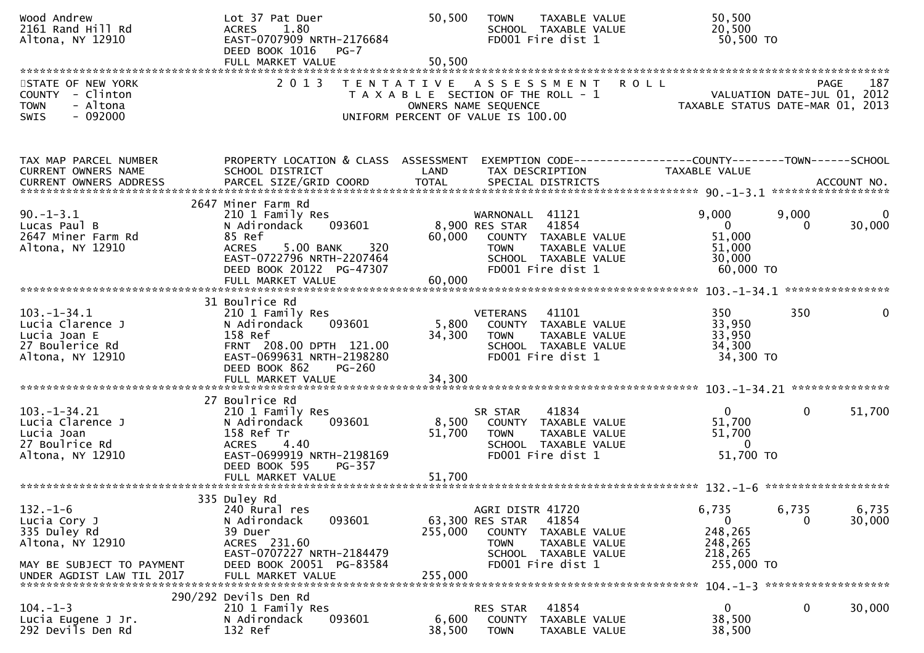| Wood Andrew<br>2161 Rand Hill Rd<br>Altona, NY 12910                                                                         | Lot 37 Pat Duer<br>1.80<br><b>ACRES</b><br>EAST-0707909 NRTH-2176684<br>DEED BOOK 1016<br>$PG-7$<br>FULL MARKET VALUE                                                                        | 50,500<br>50,500                                                                                    | <b>TOWN</b>                                      | TAXABLE VALUE<br>SCHOOL TAXABLE VALUE<br>FD001 Fire dist 1                                  |             | 50,500<br>20,500<br>50,500 TO                                                        |                    |                                        |
|------------------------------------------------------------------------------------------------------------------------------|----------------------------------------------------------------------------------------------------------------------------------------------------------------------------------------------|-----------------------------------------------------------------------------------------------------|--------------------------------------------------|---------------------------------------------------------------------------------------------|-------------|--------------------------------------------------------------------------------------|--------------------|----------------------------------------|
| STATE OF NEW YORK<br>COUNTY - Clinton<br><b>TOWN</b><br>- Altona<br>$-092000$<br><b>SWIS</b>                                 | 2 0 1 3                                                                                                                                                                                      | TENTATIVE ASSESSMENT<br>T A X A B L E SECTION OF THE ROLL - 1<br>UNIFORM PERCENT OF VALUE IS 100.00 | OWNERS NAME SEQUENCE                             |                                                                                             | <b>ROLL</b> | VALUATION DATE-JUL 01, 2012<br>TAXABLE STATUS DATE-MAR 01,                           | <b>PAGE</b>        | 187<br>2013                            |
| TAX MAP PARCEL NUMBER<br>CURRENT OWNERS NAME<br>CURRENT OWNERS ADDRESS                                                       | PROPERTY LOCATION & CLASS ASSESSMENT<br>SCHOOL DISTRICT                                                                                                                                      | LAND                                                                                                |                                                  | TAX DESCRIPTION                                                                             |             | EXEMPTION        CODE-----------------COUNTY-------TOWN------SCHOOL<br>TAXABLE VALUE | ****************** | ACCOUNT NO.                            |
| $90. -1 - 3.1$<br>Lucas Paul B<br>2647 Miner Farm Rd<br>Altona, NY 12910                                                     | 2647 Miner Farm Rd<br>210 1 Family Res<br>N Adirondack<br>093601<br>85 Ref<br>5.00 BANK<br>320<br><b>ACRES</b><br>EAST-0722796 NRTH-2207464<br>DEED BOOK 20122 PG-47307<br>FULL MARKET VALUE | 60,000<br>60,000                                                                                    | WARNONALL 41121<br>8,900 RES STAR<br><b>TOWN</b> | 41854<br>COUNTY TAXABLE VALUE<br>TAXABLE VALUE<br>SCHOOL TAXABLE VALUE<br>FD001 Fire dist 1 |             | 9,000<br>$\Omega$<br>51,000<br>51,000<br>30,000<br>60,000 TO                         | 9,000<br>$\Omega$  | $\Omega$<br>30,000<br>**************** |
| $103. - 1 - 34.1$<br>Lucia Clarence J<br>Lucia Joan E<br>27 Boulerice Rd<br>Altona, NY 12910                                 | 31 Boulrice Rd<br>210 1 Family Res<br>N Adirondack<br>093601<br>158 Ref<br>FRNT 208.00 DPTH 121.00<br>EAST-0699631 NRTH-2198280<br>DEED BOOK 862<br>$PG-260$<br>FULL MARKET VALUE            | 5,800<br>34,300<br>34,300                                                                           | <b>VETERANS</b><br>COUNTY<br><b>TOWN</b>         | 41101<br>TAXABLE VALUE<br>TAXABLE VALUE<br>SCHOOL TAXABLE VALUE<br>FD001 Fire dist 1        |             | 350<br>33,950<br>33,950<br>34,300<br>34,300 TO                                       | 350                | 0                                      |
| 103. –1–34. 21<br>Lucia Clarence J<br>Lucia Joan<br>27 Boulrice Rd<br>Altona, NY 12910                                       | 27 Boulrice Rd<br>210 1 Family Res<br>093601<br>N Adirondack<br>158 Ref Tr<br><b>ACRES</b><br>4.40<br>EAST-0699919 NRTH-2198169<br>DEED BOOK 595<br>PG-357<br>FULL MARKET VALUE              | 8,500<br>51,700<br>51,700                                                                           | SR STAR<br><b>TOWN</b>                           | 41834<br>COUNTY TAXABLE VALUE<br>TAXABLE VALUE<br>SCHOOL TAXABLE VALUE<br>FD001 Fire dist 1 |             | $\mathbf{0}$<br>51,700<br>51,700<br>$\mathbf{0}$<br>51,700 TO                        | $\mathbf{0}$       | 51,700                                 |
| $132. - 1 - 6$<br>Lucia Cory J<br>335 Duley Rd<br>Altona, NY 12910<br>MAY BE SUBJECT TO PAYMENT<br>UNDER AGDIST LAW TIL 2017 | 335 Duley Rd<br>240 Rural res<br>093601<br>N Adirondack<br>39 Duer<br>ACRES 231.60<br>EAST-0707227 NRTH-2184479<br>DEED BOOK 20051 PG-83584<br>FULL MARKET VALUE                             | 255,000<br>255,000                                                                                  | AGRI DISTR 41720<br>63,300 RES STAR<br>TOWN      | 41854<br>COUNTY TAXABLE VALUE<br>TAXABLE VALUE<br>SCHOOL TAXABLE VALUE<br>FD001 Fire dist 1 |             | 6,735<br>$\mathbf{0}$<br>248,265<br>248,265<br>218,265<br>255,000 TO                 | 6,735<br>0         | 6,735<br>30,000                        |
| $104. - 1 - 3$<br>Lucia Eugene J Jr.<br>292 Devils Den Rd                                                                    | 290/292 Devils Den Rd<br>210 1 Family Res<br>093601<br>N Adirondack<br>132 Ref                                                                                                               | 6,600<br>38,500                                                                                     | <b>RES STAR</b><br><b>COUNTY</b><br><b>TOWN</b>  | 41854<br>TAXABLE VALUE<br>TAXABLE VALUE                                                     |             | 0<br>38,500<br>38,500                                                                | 0                  | 30,000                                 |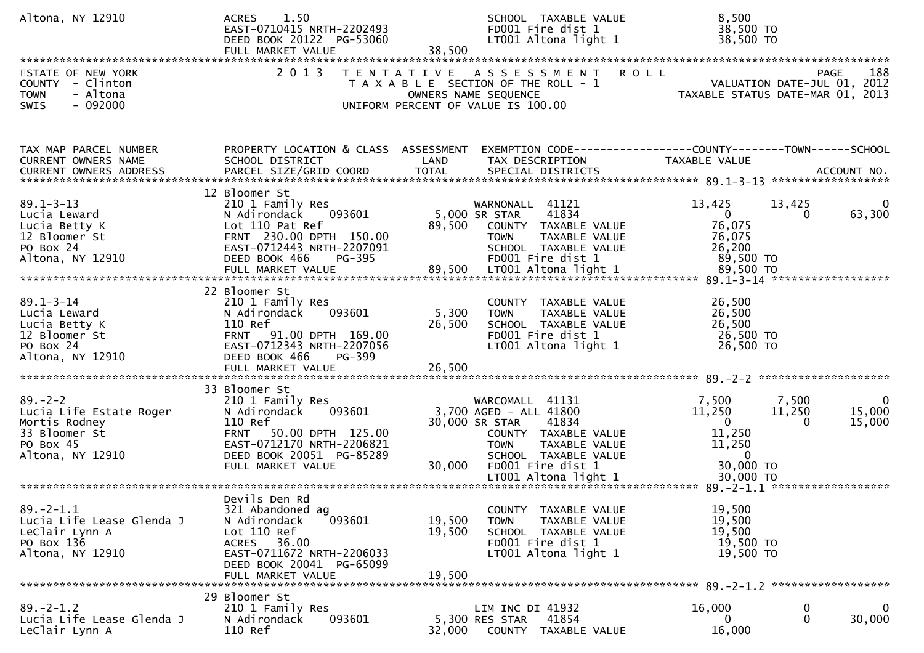| Altona, NY 12910                                                                                            | 1.50<br><b>ACRES</b><br>EAST-0710415 NRTH-2202493<br>DEED BOOK 20122 PG-53060<br>FULL MARKET VALUE                                                                                       | SCHOOL TAXABLE VALUE<br>FD001 Fire dist 1<br>LT001 Altona light 1<br>38,500                                                                                                         | 8,500<br>38,500 TO<br>38,500 TO                                                                                                       |
|-------------------------------------------------------------------------------------------------------------|------------------------------------------------------------------------------------------------------------------------------------------------------------------------------------------|-------------------------------------------------------------------------------------------------------------------------------------------------------------------------------------|---------------------------------------------------------------------------------------------------------------------------------------|
| STATE OF NEW YORK<br>COUNTY - Clinton<br>- Altona<br><b>TOWN</b><br>$-092000$<br>SWIS                       | 2 0 1 3<br>T E N T A T I V E                                                                                                                                                             | A S S E S S M E N T R O L L<br>T A X A B L E SECTION OF THE ROLL - 1<br>OWNERS NAME SEQUENCE<br>UNIFORM PERCENT OF VALUE IS 100.00                                                  | 188<br><b>PAGE</b><br>PAGE 188<br>ROLL - 1 VALUATION DATE-JUL 01, 2012<br>TAXABLE STATUS DATE-MAR 01, 2013                            |
| TAX MAP PARCEL NUMBER<br>CURRENT OWNERS NAME                                                                | PROPERTY LOCATION & CLASS ASSESSMENT<br>SCHOOL DISTRICT                                                                                                                                  | LAND<br>TAX DESCRIPTION                                                                                                                                                             | EXEMPTION CODE-----------------COUNTY--------TOWN------SCHOOL<br>TAXABLE VALUE                                                        |
| $89.1 - 3 - 13$<br>Lucia Leward<br>Lucia Betty K<br>12 Bloomer St<br>PO Box 24<br>Altona, NY 12910          | 12 Bloomer St<br>210 1 Family Res<br>N Adirondack 093601<br>Lot 110 Pat Ref<br>FRNT 230.00 DPTH 150.00<br>EAST-0712443 NRTH-2207091<br>DEED BOOK 466<br>PG-395                           | WARNONALL 41121<br>5,000 SR STAR<br>41834<br>89,500<br>COUNTY TAXABLE VALUE<br>TAXABLE VALUE<br><b>TOWN</b><br>SCHOOL TAXABLE VALUE<br>FD001 Fire dist 1                            | 13,425<br>13,425<br>$\overline{0}$<br>63,300<br>$\Omega$<br>76,075<br>76,075<br>26,200<br>89,500 TO                                   |
| $89.1 - 3 - 14$<br>Lucia Leward<br>Lucia Betty K<br>12 Bloomer St<br>PO Box 24<br>Altona, NY 12910          | 22 Bloomer St<br>210 1 Family Res<br>093601<br>N Adirondack<br>110 Ref<br>FRNT 91.00 DPTH 169.00<br>EAST-0712343 NRTH-2207056<br>DEED BOOK 466<br>PG-399<br>FULL MARKET VALUE            | COUNTY TAXABLE VALUE<br>5,300<br>TAXABLE VALUE<br><b>TOWN</b><br>26,500<br>SCHOOL TAXABLE VALUE<br>FD001 Fire dist 1<br>LT001 Altona light 1<br>26,500                              | 26,500<br>26,500<br>26,500<br>26,500 TO<br>26,500 TO                                                                                  |
| $89. - 2 - 2$<br>Lucia Life Estate Roger<br>Mortis Rodney<br>33 Bloomer St<br>PO Box 45<br>Altona, NY 12910 | 33 Bloomer St<br>210 1 Family Res<br>093601<br>N Adirondack<br>110 Ref<br>50.00 DPTH 125.00<br><b>FRNT</b><br>EAST-0712170 NRTH-2206821<br>DEED BOOK 20051 PG-85289<br>FULL MARKET VALUE | WARCOMALL 41131<br>3,700 AGED - ALL 41800<br>30,000 SR STAR<br>41834<br>COUNTY TAXABLE VALUE<br><b>TOWN</b><br>TAXABLE VALUE<br>SCHOOL TAXABLE VALUE<br>30,000<br>FD001 Fire dist 1 | 7,500<br>7,500<br>11,250<br>11,250<br>15,000<br>$\mathbf{0}$<br>15,000<br>$\Omega$<br>11,250<br>11,250<br>$\overline{0}$<br>30,000 TO |
| $89. - 2 - 1.1$<br>Lucia Life Lease Glenda J<br>LeClair Lynn A<br>PO Box 136<br>Altona, NY 12910            | Devils Den Rd<br>321 Abandoned ag<br>N Adirondack<br>093601<br>Lot 110 Ref<br>ACRES 36.00<br>EAST-0711672 NRTH-2206033<br>DEED BOOK 20041 PG-65099<br>FULL MARKET VALUE                  | COUNTY TAXABLE VALUE<br>19,500<br><b>TOWN</b><br>TAXABLE VALUE<br>19,500<br>SCHOOL TAXABLE VALUE<br>FD001 Fire dist 1<br>LT001 Altona light 1<br>19,500                             | 19,500<br>19,500<br>19,500<br>19,500 TO<br>19,500 TO                                                                                  |
| $89. - 2 - 1.2$<br>Lucia Life Lease Glenda J<br>LeClair Lynn A                                              | 29 Bloomer St<br>210 1 Family Res<br>093601<br>N Adirondack<br>110 Ref                                                                                                                   | LIM INC DI 41932<br>5,300 RES STAR<br>41854<br>32,000<br>COUNTY TAXABLE VALUE                                                                                                       | 16,000<br>0<br>0<br>30,000<br>$\mathbf{0}$<br>0<br>16,000                                                                             |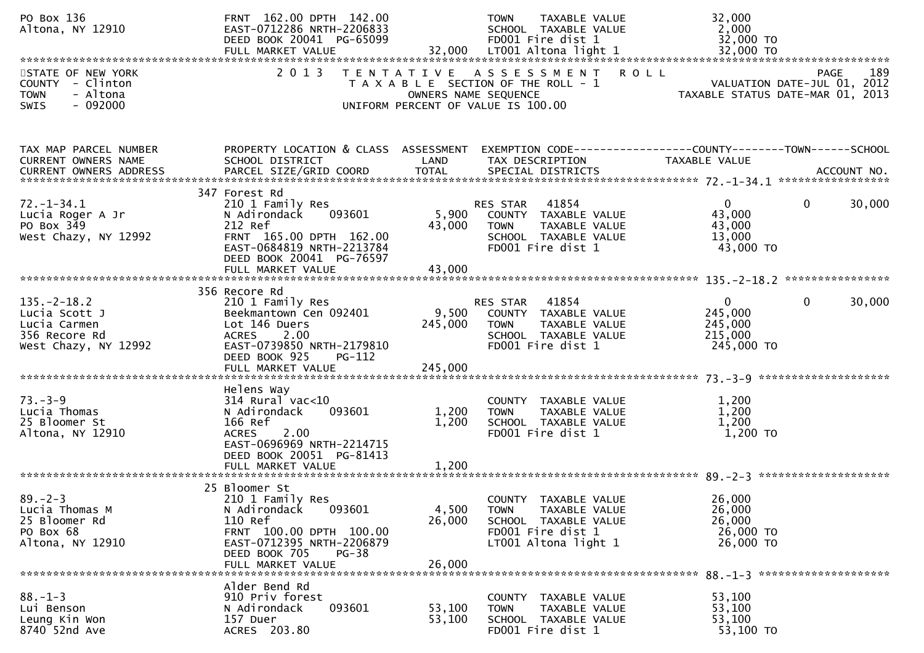| PO Box 136<br>Altona, NY 12910                                                              | FRNT 162.00 DPTH 142.00<br>EAST-0712286 NRTH-2206833<br>DEED BOOK 20041 PG-65099                                                                                                |                           | <b>TOWN</b><br>TAXABLE VALUE<br>SCHOOL TAXABLE VALUE<br>FD001 Fire dist 1                                                        | 32,000<br>2,000<br>32,000 TO                                |                                            |
|---------------------------------------------------------------------------------------------|---------------------------------------------------------------------------------------------------------------------------------------------------------------------------------|---------------------------|----------------------------------------------------------------------------------------------------------------------------------|-------------------------------------------------------------|--------------------------------------------|
| STATE OF NEW YORK<br>COUNTY - Clinton<br>- Altona<br><b>TOWN</b><br>$-092000$<br>SWIS       | 2 0 1 3                                                                                                                                                                         |                           | TENTATIVE ASSESSMENT ROLL<br>T A X A B L E SECTION OF THE ROLL - 1<br>OWNERS NAME SEQUENCE<br>UNIFORM PERCENT OF VALUE IS 100.00 | TAXABLE STATUS DATE-MAR 01, 2013                            | 189<br>PAGE<br>VALUATION DATE-JUL 01, 2012 |
|                                                                                             |                                                                                                                                                                                 |                           |                                                                                                                                  |                                                             |                                            |
| TAX MAP PARCEL NUMBER<br>CURRENT OWNERS NAME<br><b>CURRENT OWNERS ADDRESS</b>               | PROPERTY LOCATION & CLASS ASSESSMENT<br>SCHOOL DISTRICT<br>PARCEL SIZE/GRID COORD                                                                                               | LAND<br><b>TOTAL</b>      | EXEMPTION CODE------------------COUNTY--------TOWN------SCHOOL<br>TAX DESCRIPTION<br>SPECIAL DISTRICTS                           | TAXABLE VALUE                                               | ACCOUNT NO.                                |
| $72. - 1 - 34.1$<br>Lucia Roger A Jr<br>PO Box 349<br>West Chazy, NY 12992                  | 347 Forest Rd<br>210 1 Family Res<br>093601<br>N Adirondack<br>212 Ref<br>FRNT 165.00 DPTH 162.00<br>EAST-0684819 NRTH-2213784<br>DEED BOOK 20041 PG-76597<br>FULL MARKET VALUE | 5,900<br>43,000<br>43,000 | 41854<br>RES STAR<br>COUNTY TAXABLE VALUE<br>TAXABLE VALUE<br><b>TOWN</b><br>SCHOOL TAXABLE VALUE<br>FD001 Fire dist 1           | $\mathbf{0}$<br>43,000<br>43,000<br>13,000<br>43,000 TO     | $\mathbf{0}$<br>30,000                     |
|                                                                                             | 356 Recore Rd                                                                                                                                                                   |                           |                                                                                                                                  |                                                             |                                            |
| $135. - 2 - 18.2$<br>Lucia Scott J<br>Lucia Carmen<br>356 Recore Rd<br>West Chazy, NY 12992 | 210 1 Family Res<br>Beekmantown Cen 092401<br>Lot 146 Duers<br>2.00<br><b>ACRES</b><br>EAST-0739850 NRTH-2179810<br>DEED BOOK 925<br><b>PG-112</b><br>FULL MARKET VALUE         | 245,000<br>245,000        | 41854<br>RES STAR<br>9,500 COUNTY TAXABLE VALUE<br>TAXABLE VALUE<br>TOWN<br>SCHOOL TAXABLE VALUE<br>FD001 Fire dist 1            | $\mathbf{0}$<br>245,000<br>245,000<br>215,000<br>245,000 TO | $\mathbf{0}$<br>30,000                     |
|                                                                                             |                                                                                                                                                                                 |                           |                                                                                                                                  |                                                             |                                            |
| $73. - 3 - 9$<br>Lucia Thomas<br>25 Bloomer St<br>Altona, NY 12910                          | Helens Way<br>$314$ Rural vac<10<br>093601<br>N Adirondack<br>166 Ref<br><b>ACRES</b><br>2.00<br>EAST-0696969 NRTH-2214715<br>DEED BOOK 20051 PG-81413                          | 1,200<br>1,200            | COUNTY TAXABLE VALUE<br>TAXABLE VALUE<br><b>TOWN</b><br>SCHOOL TAXABLE VALUE<br>FD001 Fire dist 1                                | 1,200<br>1,200<br>1,200<br>1,200 TO                         |                                            |
|                                                                                             | FULL MARKET VALUE                                                                                                                                                               | 1,200                     |                                                                                                                                  |                                                             |                                            |
| $89. - 2 - 3$<br>Lucia Thomas M<br>25 Bloomer Rd<br>PO Box 68<br>Altona, NY 12910           | 25 Bloomer St<br>210 1 Family Res<br>093601<br>N Adirondack<br>110 Ref<br>FRNT 100.00 DPTH 100.00<br>EAST-0712395 NRTH-2206879<br>DEED BOOK 705<br>$PG-38$<br>FULL MARKET VALUE | 4,500<br>26,000<br>26,000 | COUNTY TAXABLE VALUE<br><b>TOWN</b><br>TAXABLE VALUE<br>SCHOOL TAXABLE VALUE<br>FD001 Fire dist 1<br>LT001 Altona light 1        | 26,000<br>26,000<br>26,000<br>26,000 TO<br>26,000 TO        |                                            |
| $88. - 1 - 3$<br>Lui Benson<br>Leung Kin Won<br>8740 52nd Ave                               | Alder Bend Rd<br>910 Priv forest<br>093601<br>N Adirondack<br>157 Duer<br>ACRES 203.80                                                                                          | 53,100<br>53,100          | COUNTY TAXABLE VALUE<br><b>TOWN</b><br>TAXABLE VALUE<br>SCHOOL TAXABLE VALUE<br>FD001 Fire dist 1                                | 53,100<br>53,100<br>53,100<br>53,100 TO                     |                                            |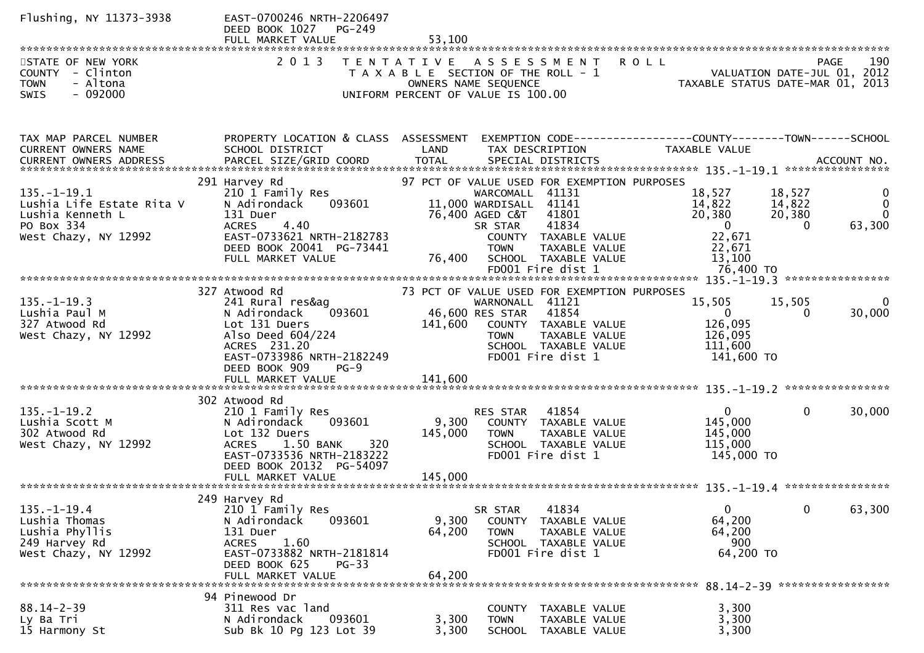| Flushing, NY 11373-3938                                                                       | EAST-0700246 NRTH-2206497<br>DEED BOOK 1027<br>PG-249<br>FULL MARKET VALUE                                                                               | 53,100                                                                                                                                                                                |                                                                                                 |
|-----------------------------------------------------------------------------------------------|----------------------------------------------------------------------------------------------------------------------------------------------------------|---------------------------------------------------------------------------------------------------------------------------------------------------------------------------------------|-------------------------------------------------------------------------------------------------|
| STATE OF NEW YORK<br>COUNTY - Clinton<br><b>TOWN</b><br>- Altona                              | 2 0 1 3                                                                                                                                                  | TENTATIVE ASSESSMENT<br>T A X A B L E SECTION OF THE ROLL - 1<br>OWNERS NAME SEQUENCE                                                                                                 | 190<br><b>ROLL</b><br>PAGE<br>VALUATION DATE-JUL 01, 2012<br>TAXABLE STATUS DATE-MAR 01, 2013   |
| $-092000$<br><b>SWIS</b>                                                                      |                                                                                                                                                          | UNIFORM PERCENT OF VALUE IS 100.00                                                                                                                                                    |                                                                                                 |
| TAX MAP PARCEL NUMBER<br>CURRENT OWNERS NAME                                                  | PROPERTY LOCATION & CLASS ASSESSMENT<br>SCHOOL DISTRICT                                                                                                  | LAND<br>TAX DESCRIPTION                                                                                                                                                               | EXEMPTION CODE-----------------COUNTY-------TOWN------SCHOOL<br>TAXABLE VALUE                   |
| $135. - 1 - 19.1$<br>Lushia Life Estate Rita V<br>Lushia Kenneth L                            | 291 Harvey Rd<br>210 1 Family Res<br>N Adirondack<br>093601<br>131 Duer                                                                                  | 97 PCT OF VALUE USED FOR EXEMPTION PURPOSES<br>WARCOMALL 41131<br>11,000 WARDISALL 41141<br>76,400 AGED C&T<br>41801                                                                  | 18,527<br>0<br>18,527<br>14,822<br>14,822<br>$\mathbf{0}$<br>20,380<br>20,380<br>$\overline{0}$ |
| PO Box 334<br>West Chazy, NY 12992                                                            | <b>ACRES</b><br>4.40<br>EAST-0733621 NRTH-2182783<br>DEED BOOK 20041 PG-73441<br>FULL MARKET VALUE                                                       | 41834<br>SR STAR<br>COUNTY TAXABLE VALUE<br>TAXABLE VALUE<br><b>TOWN</b><br>76,400<br>SCHOOL TAXABLE VALUE<br>FD001 Fire dist 1                                                       | $\overline{0}$<br>$\Omega$<br>63,300<br>22,671<br>22,671<br>13,100<br>76,400 TO                 |
|                                                                                               |                                                                                                                                                          |                                                                                                                                                                                       |                                                                                                 |
| $135. - 1 - 19.3$<br>Lushia Paul M<br>327 Atwood Rd<br>West Chazy, NY 12992                   | 327 Atwood Rd<br>241 Rural res&ag<br>093601<br>N Adirondack<br>Lot 131 Duers<br>Also Deed 604/224<br>ACRES 231.20                                        | 73 PCT OF VALUE USED FOR EXEMPTION PURPOSES<br>WARNONALL 41121<br>46,600 RES STAR<br>41854<br>141,600<br>COUNTY TAXABLE VALUE<br><b>TOWN</b><br>TAXABLE VALUE<br>SCHOOL TAXABLE VALUE | 15,505<br>15,505<br>0<br>30,000<br>$\mathbf 0$<br>0<br>126,095<br>126,095<br>111,600            |
|                                                                                               | EAST-0733986 NRTH-2182249<br>DEED BOOK 909<br>$PG-9$<br>FULL MARKET VALUE                                                                                | FD001 Fire dist 1<br>141,600                                                                                                                                                          | 141,600 TO                                                                                      |
|                                                                                               | 302 Atwood Rd                                                                                                                                            |                                                                                                                                                                                       |                                                                                                 |
| $135. - 1 - 19.2$<br>Lushia Scott M<br>302 Atwood Rd<br>West Chazy, NY 12992                  | 210 1 Family Res<br>093601<br>N Adirondack<br>Lot 132 Duers<br>1.50 BANK<br>320<br><b>ACRES</b><br>EAST-0733536 NRTH-2183222<br>DEED BOOK 20132 PG-54097 | RES STAR 41854<br>9,300<br>COUNTY TAXABLE VALUE<br>145,000<br><b>TOWN</b><br><b>TAXABLE VALUE</b><br>SCHOOL TAXABLE VALUE<br>FD001 Fire dist 1                                        | $\mathbf{0}$<br>$\mathbf{0}$<br>30,000<br>145,000<br>145,000<br>115,000<br>145,000 TO           |
|                                                                                               |                                                                                                                                                          |                                                                                                                                                                                       |                                                                                                 |
| $135. - 1 - 19.4$<br>Lushia Thomas<br>Lushia Phyllis<br>249 Harvey Rd<br>West Chazy, NY 12992 | 249 Harvey Rd<br>210 1 Family Res<br>093601<br>N Adirondack<br>131 Duer<br>1.60<br><b>ACRES</b><br>EAST-0733882 NRTH-2181814<br>DEED BOOK 625<br>$PG-33$ | 41834<br>SR STAR<br>9,300<br>COUNTY TAXABLE VALUE<br>64,200<br><b>TOWN</b><br>TAXABLE VALUE<br>SCHOOL TAXABLE VALUE<br>FD001 Fire dist 1                                              | $\mathbf{0}$<br>0<br>63,300<br>64,200<br>64,200<br>900<br>64,200 TO                             |
|                                                                                               | FULL MARKET VALUE                                                                                                                                        | 64,200                                                                                                                                                                                |                                                                                                 |
| $88.14 - 2 - 39$<br>Ly Ba Tri<br>15 Harmony St                                                | 94 Pinewood Dr<br>311 Res vac land<br>093601<br>N Adirondack<br>Sub Bk 10 Pg 123 Lot 39                                                                  | COUNTY TAXABLE VALUE<br>3,300<br>TAXABLE VALUE<br><b>TOWN</b><br>3,300<br><b>SCHOOL</b><br>TAXABLE VALUE                                                                              | 3,300<br>3,300<br>3,300                                                                         |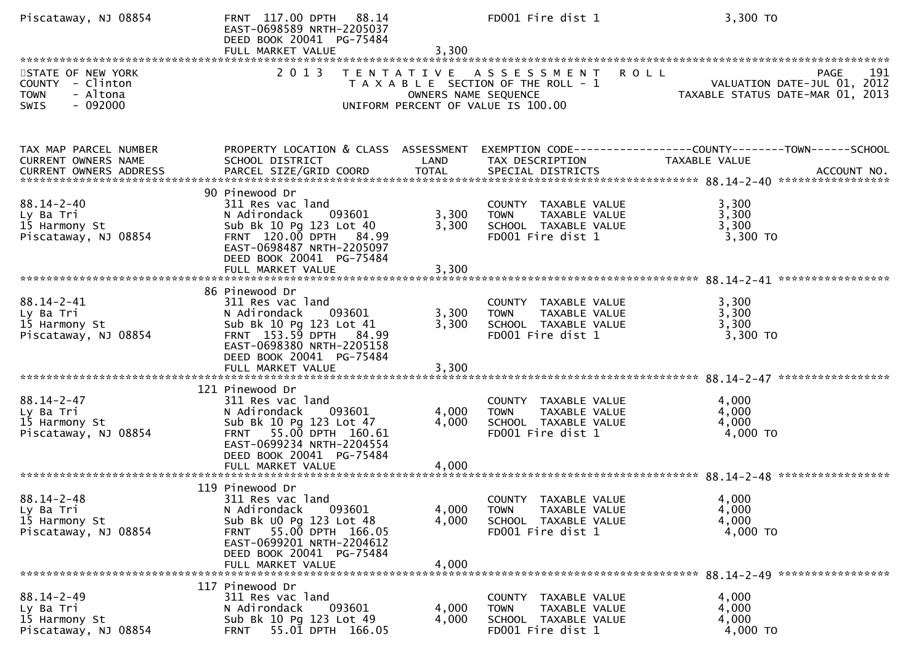| Piscataway, NJ 08854                                                                         | FRNT 117.00 DPTH 88.14<br>EAST-0698589 NRTH-2205037<br>DEED BOOK 20041 PG-75484<br>FULL MARKET VALUE                                                                                                | 3,300                   | FD001 Fire dist 1                                                                                        | 3,300 TO                                                                              |
|----------------------------------------------------------------------------------------------|-----------------------------------------------------------------------------------------------------------------------------------------------------------------------------------------------------|-------------------------|----------------------------------------------------------------------------------------------------------|---------------------------------------------------------------------------------------|
| STATE OF NEW YORK<br>COUNTY - Clinton<br>- Altona<br><b>TOWN</b><br>$-092000$<br><b>SWIS</b> | 2 0 1 3                                                                                                                                                                                             | OWNERS NAME SEQUENCE    | TENTATIVE ASSESSMENT ROLL<br>T A X A B L E SECTION OF THE ROLL - 1<br>UNIFORM PERCENT OF VALUE IS 100.00 | 191<br><b>PAGE</b><br>VALUATION DATE-JUL 01, 2012<br>TAXABLE STATUS DATE-MAR 01, 2013 |
|                                                                                              |                                                                                                                                                                                                     |                         |                                                                                                          |                                                                                       |
| TAX MAP PARCEL NUMBER<br>CURRENT OWNERS NAME<br><b>CURRENT OWNERS ADDRESS</b>                | PROPERTY LOCATION & CLASS ASSESSMENT<br>SCHOOL DISTRICT                                                                                                                                             | LAND                    | TAX DESCRIPTION                                                                                          | EXEMPTION CODE-----------------COUNTY-------TOWN------SCHOOL<br>TAXABLE VALUE         |
| $88.14 - 2 - 40$<br>Ly Ba Tri<br>15 Harmony St<br>Piscataway, NJ 08854                       | 90 Pinewood Dr<br>311 Res vac land<br>N Adirondack<br>093601<br>Sub Bk 10 Pg 123 Lot 40<br>FRNT 120.00 DPTH 84.99<br>EAST-0698487 NRTH-2205097<br>DEED BOOK 20041 PG-75484<br>FULL MARKET VALUE     | 3,300<br>3,300<br>3,300 | COUNTY TAXABLE VALUE<br>TAXABLE VALUE<br><b>TOWN</b><br>SCHOOL TAXABLE VALUE<br>FD001 Fire dist 1        | 3,300<br>3,300<br>3,300<br>$3,300$ TO                                                 |
| $88.14 - 2 - 41$<br>Ly Ba Tri<br>15 Harmony St<br>Piscataway, NJ 08854                       | 86 Pinewood Dr<br>311 Res vac land<br>093601<br>N Adirondack<br>Sub Bk 10 Pg 123 Lot 41<br>FRNT 153.59 DPTH 84.99<br>EAST-0698380 NRTH-2205158<br>DEED BOOK 20041 PG-75484<br>FULL MARKET VALUE     | 3,300<br>3,300<br>3,300 | COUNTY TAXABLE VALUE<br>TAXABLE VALUE<br><b>TOWN</b><br>SCHOOL TAXABLE VALUE<br>FD001 Fire dist 1        | 3,300<br>3,300<br>3,300<br>3,300 TO                                                   |
| $88.14 - 2 - 47$<br>Ly Ba Tri<br>15 Harmony St<br>Piscataway, NJ 08854                       | 121 Pinewood Dr<br>311 Res vac land<br>N Adirondack<br>093601<br>Sub Bk 10 Pg 123 Lot 47<br>FRNT 55.00 DPTH 160.61<br>EAST-0699234 NRTH-2204554<br>DEED BOOK 20041 PG-75484<br>FULL MARKET VALUE    | 4,000<br>4,000<br>4,000 | COUNTY TAXABLE VALUE<br>TAXABLE VALUE<br><b>TOWN</b><br>SCHOOL TAXABLE VALUE<br>FD001 Fire dist 1        | 4,000<br>4,000<br>4,000<br>4,000 TO                                                   |
| $88.14 - 2 - 48$<br>Ly Ba Tri<br>15 Harmony St<br>Piscataway, NJ 08854                       | 119 Pinewood Dr<br>311 Res vac land<br>N Adirondack<br>093601<br>Sub Bk UO Pg 123 Lot 48<br>55.00 DPTH 166.05<br>FRNT<br>EAST-0699201 NRTH-2204612<br>DEED BOOK 20041 PG-75484<br>FULL MARKET VALUE | 4,000<br>4,000<br>4,000 | COUNTY TAXABLE VALUE<br><b>TOWN</b><br>TAXABLE VALUE<br>SCHOOL TAXABLE VALUE<br>FD001 Fire dist 1        | 4,000<br>4,000<br>4,000<br>4,000 TO                                                   |
| $88.14 - 2 - 49$<br>Ly Ba Tri<br>15 Harmony St<br>Piscataway, NJ 08854                       | 117 Pinewood Dr<br>311 Res vac land<br>N Adirondack<br>093601<br>Sub Bk 10 Pg 123 Lot 49<br>55.01 DPTH 166.05<br><b>FRNT</b>                                                                        | 4,000<br>4,000          | COUNTY TAXABLE VALUE<br>TAXABLE VALUE<br><b>TOWN</b><br>SCHOOL TAXABLE VALUE<br>FD001 Fire dist 1        | 4,000<br>4,000<br>4,000<br>4,000 TO                                                   |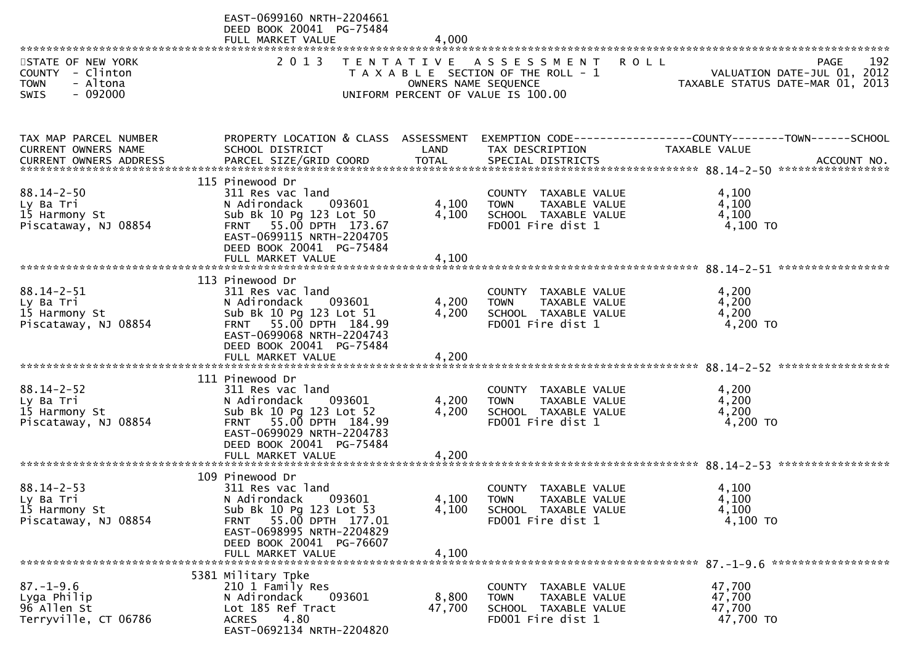|                                                                                              | EAST-0699160 NRTH-2204661<br>DEED BOOK 20041 PG-75484<br>FULL MARKET VALUE                                                                                                                                 | 4,000                   |                                                                                                                    |                                                                                                                   |
|----------------------------------------------------------------------------------------------|------------------------------------------------------------------------------------------------------------------------------------------------------------------------------------------------------------|-------------------------|--------------------------------------------------------------------------------------------------------------------|-------------------------------------------------------------------------------------------------------------------|
| STATE OF NEW YORK<br>COUNTY - Clinton<br>- Altona<br><b>TOWN</b><br>$-092000$<br><b>SWIS</b> | 2 0 1 3                                                                                                                                                                                                    | OWNERS NAME SEQUENCE    | TENTATIVE ASSESSMENT<br><b>ROLL</b><br>T A X A B L E SECTION OF THE ROLL - 1<br>UNIFORM PERCENT OF VALUE IS 100.00 | 192<br><b>PAGE</b><br>VALUATION DATE-JUL 01, 2012<br>TAXABLE STATUS DATE-MAR 01, 2013                             |
| TAX MAP PARCEL NUMBER<br><b>CURRENT OWNERS NAME</b>                                          | SCHOOL DISTRICT                                                                                                                                                                                            | LAND                    | TAX DESCRIPTION                                                                                                    | PROPERTY LOCATION & CLASS ASSESSMENT EXEMPTION CODE----------------COUNTY-------TOWN------SCHOOL<br>TAXABLE VALUE |
| $88.14 - 2 - 50$<br>Ly Ba Tri<br>15 Harmony St<br>Piscataway, NJ 08854                       | 115 Pinewood Dr<br>311 Res vac land<br>N Adirondack<br>093601<br>Sub Bk 10 Pg 123 Lot 50<br>FRNT 55.00 DPTH 173.67<br>EAST-0699115 NRTH-2204705<br>DEED BOOK 20041 PG-75484<br>FULL MARKET VALUE           | 4,100<br>4,100<br>4,100 | COUNTY TAXABLE VALUE<br><b>TOWN</b><br>TAXABLE VALUE<br>SCHOOL TAXABLE VALUE<br>FD001 Fire dist 1                  | 4,100<br>4,100<br>4,100<br>4,100 TO                                                                               |
| $88.14 - 2 - 51$<br>Ly Ba Tri<br>15 Harmony St<br>Piscataway, NJ 08854                       | 113 Pinewood Dr<br>311 Res vac land<br>N Adirondack<br>093601<br>Sub Bk 10 Pg 123 Lot 51<br>FRNT 55.00 DPTH 184.99<br>EAST-0699068 NRTH-2204743<br>DEED BOOK 20041 PG-75484<br>FULL MARKET VALUE           | 4,200<br>4,200<br>4,200 | COUNTY TAXABLE VALUE<br><b>TOWN</b><br>TAXABLE VALUE<br>SCHOOL TAXABLE VALUE<br>FD001 Fire dist 1                  | 4,200<br>4,200<br>4,200<br>4,200 TO                                                                               |
| $88.14 - 2 - 52$<br>Ly Ba Tri<br>15 Harmony St<br>Piscataway, NJ 08854                       | 111 Pinewood Dr<br>311 Res vac land<br>N Adirondack<br>093601<br>Sub Bk 10 Pg 123 Lot 52<br>FRNT 55.00 DPTH 184.99<br>EAST-0699029 NRTH-2204783<br>DEED BOOK 20041 PG-75484<br>FULL MARKET VALUE           | 4,200<br>4,200<br>4,200 | COUNTY TAXABLE VALUE<br>TAXABLE VALUE<br><b>TOWN</b><br>SCHOOL TAXABLE VALUE<br>FD001 Fire dist 1                  | 4,200<br>4,200<br>4,200<br>4,200 TO                                                                               |
| $88.14 - 2 - 53$<br>Ly Ba Tri<br>15 Harmony St<br>Piscataway, NJ 08854                       | 109 Pinewood Dr<br>311 Res vac land<br>N Adirondack<br>093601<br>Sub Bk 10 Pg 123 Lot 53<br>55.00 DPTH 177.01<br><b>FRNT</b><br>EAST-0698995 NRTH-2204829<br>DEED BOOK 20041 PG-76607<br>FULL MARKET VALUE | 4,100<br>4,100<br>4,100 | <b>COUNTY</b><br>TAXABLE VALUE<br><b>TOWN</b><br>TAXABLE VALUE<br>SCHOOL TAXABLE VALUE<br>FD001 Fire dist 1        | 4,100<br>4,100<br>4,100<br>4,100 TO                                                                               |
| $87. - 1 - 9.6$<br>Lyga Philip<br>96 Allen St<br>Terryville, CT 06786                        | 5381 Military Tpke<br>210 1 Family Res<br>N Adirondack<br>093601<br>Lot 185 Ref Tract<br>4.80<br><b>ACRES</b><br>EAST-0692134 NRTH-2204820                                                                 | 8,800<br>47,700         | <b>COUNTY</b><br>TAXABLE VALUE<br>TAXABLE VALUE<br><b>TOWN</b><br>SCHOOL TAXABLE VALUE<br>FD001 Fire dist 1        | 47,700<br>47,700<br>47,700<br>47,700 TO                                                                           |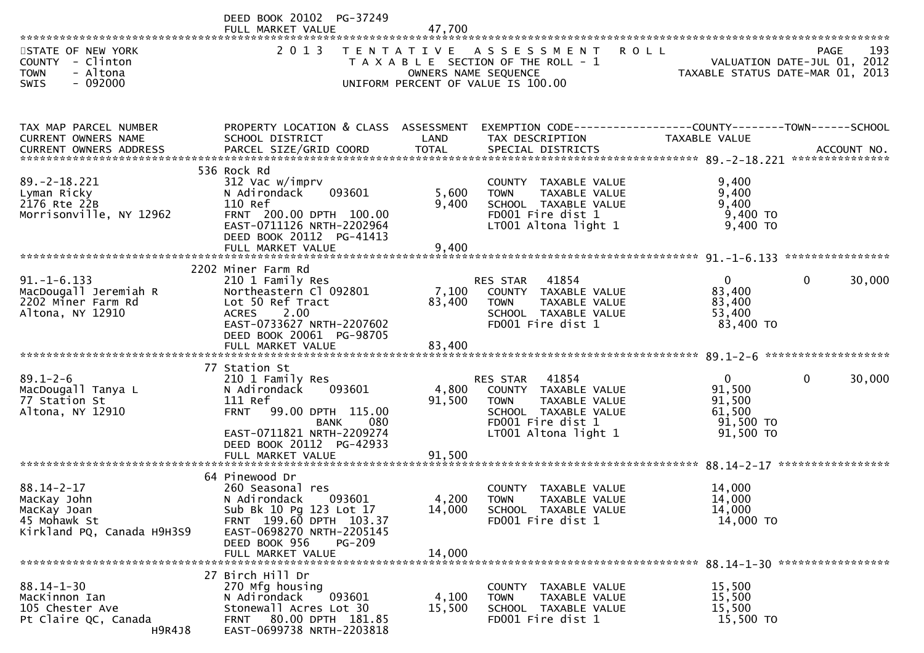|                                                                                              | DEED BOOK 20102 PG-37249<br>FULL MARKET VALUE                                                                                                                                              | 47.700                    |                                                                                                                                                |                                                                        |                        |
|----------------------------------------------------------------------------------------------|--------------------------------------------------------------------------------------------------------------------------------------------------------------------------------------------|---------------------------|------------------------------------------------------------------------------------------------------------------------------------------------|------------------------------------------------------------------------|------------------------|
| STATE OF NEW YORK<br>COUNTY - Clinton<br>- Altona<br><b>TOWN</b><br>$-092000$<br><b>SWIS</b> | 2 0 1 3                                                                                                                                                                                    |                           | TENTATIVE ASSESSMENT<br><b>ROLL</b><br>T A X A B L E SECTION OF THE ROLL - 1<br>OWNERS NAME SEQUENCE<br>UNIFORM PERCENT OF VALUE IS 100.00     | VALUATION DATE-JUL 01, 2012<br>TAXABLE STATUS DATE-MAR 01, 2013        | 193<br>PAGE            |
| TAX MAP PARCEL NUMBER<br>CURRENT OWNERS NAME<br>CURRENT OWNERS ADDRESS                       | PROPERTY LOCATION & CLASS ASSESSMENT<br>SCHOOL DISTRICT                                                                                                                                    | LAND                      | EXEMPTION CODE------------------COUNTY--------TOWN------SCHOOL<br>TAX DESCRIPTION                                                              | TAXABLE VALUE                                                          |                        |
| $89. - 2 - 18.221$<br>Lyman Ricky<br>2176 Rte 22B<br>Morrisonville, NY 12962                 | 536 Rock Rd<br>312 Vac w/imprv<br>093601<br>N Adirondack<br>110 Ref<br>FRNT 200.00 DPTH 100.00<br>EAST-0711126 NRTH-2202964<br>DEED BOOK 20112 PG-41413<br>FULL MARKET VALUE               | 5,600<br>9,400<br>9,400   | COUNTY TAXABLE VALUE<br>TAXABLE VALUE<br><b>TOWN</b><br>SCHOOL TAXABLE VALUE<br>FD001 Fire dist 1<br>LT001 Altona light 1                      | 9,400<br>9,400<br>9,400<br>$9,400$ TO<br>9,400 TO                      |                        |
|                                                                                              |                                                                                                                                                                                            |                           |                                                                                                                                                |                                                                        |                        |
| $91. -1 - 6.133$<br>MacDougall Jeremiah R<br>2202 Miner Farm Rd<br>Altona, NY 12910          | 2202 Miner Farm Rd<br>210 1 Family Res<br>Northeastern Cl 092801<br>Lot 50 Ref Tract<br>2.00<br><b>ACRES</b><br>EAST-0733627 NRTH-2207602<br>DEED BOOK 20061 PG-98705<br>FULL MARKET VALUE | 7,100<br>83,400<br>83,400 | 41854<br>RES STAR<br>COUNTY TAXABLE VALUE<br>TAXABLE VALUE<br><b>TOWN</b><br>SCHOOL TAXABLE VALUE<br>FD001 Fire dist 1                         | $\mathbf{0}$<br>83,400<br>83,400<br>53,400<br>83,400 TO                | $\mathbf{0}$<br>30,000 |
| $89.1 - 2 - 6$<br>MacDougall Tanya L<br>77 Station St<br>Altona, NY 12910                    | 77 Station St<br>210 1 Family Res<br>N Adirondack<br>093601<br>111 Ref<br><b>FRNT</b><br>99.00 DPTH 115.00<br>080<br><b>BANK</b><br>EAST-0711821 NRTH-2209274<br>DEED BOOK 20112 PG-42933  | 4,800<br>91,500           | 41854<br>RES STAR<br>COUNTY TAXABLE VALUE<br>TAXABLE VALUE<br><b>TOWN</b><br>SCHOOL TAXABLE VALUE<br>FD001 Fire dist 1<br>LT001 Altona light 1 | $\mathbf{0}$<br>91,500<br>91,500<br>61,500<br>$91,500$ TO<br>91,500 TO | $\mathbf{0}$<br>30,000 |
|                                                                                              | 64 Pinewood Dr                                                                                                                                                                             |                           |                                                                                                                                                |                                                                        |                        |
| $88.14 - 2 - 17$<br>MacKay John<br>MacKay Joan<br>45 Mohawk St<br>Kirkland PQ, Canada H9H3S9 | 260 Seasonal res<br>093601<br>N Adirondack<br>Sub Bk 10 Pg 123 Lot 17<br>FRNT 199.60 DPTH 103.37<br>EAST-0698270 NRTH-2205145<br>DEED BOOK 956<br>PG-209                                   | 4,200<br>14,000           | COUNTY TAXABLE VALUE<br><b>TOWN</b><br>TAXABLE VALUE<br>SCHOOL TAXABLE VALUE<br>FD001 Fire dist 1                                              | 14,000<br>14,000<br>14,000<br>14,000 TO                                |                        |
|                                                                                              | FULL MARKET VALUE                                                                                                                                                                          | 14,000                    |                                                                                                                                                |                                                                        |                        |
| $88.14 - 1 - 30$<br>MacKinnon Ian<br>105 Chester Ave<br>Pt Claire QC, Canada<br>H9R4J8       | 27 Birch Hill Dr<br>270 Mfg housing<br>N Adirondack<br>093601<br>Stonewall Acres Lot 30<br>80.00 DPTH 181.85<br><b>FRNT</b><br>EAST-0699738 NRTH-2203818                                   | 4,100<br>15,500           | COUNTY TAXABLE VALUE<br>TAXABLE VALUE<br><b>TOWN</b><br>SCHOOL TAXABLE VALUE<br>FD001 Fire dist 1                                              | 15,500<br>15,500<br>15,500<br>15,500 TO                                |                        |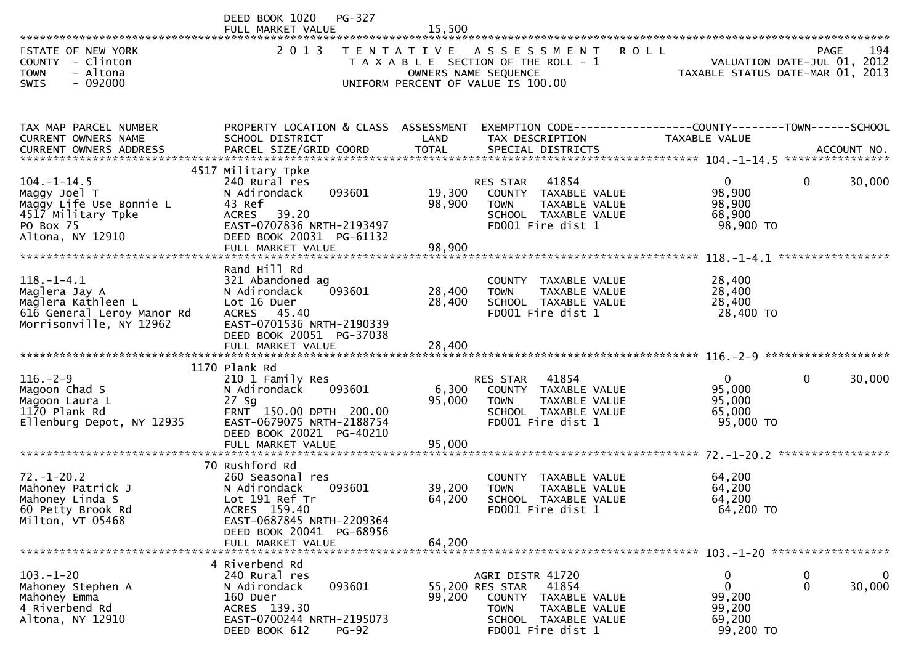|                                                                                                                     | <b>PG-327</b><br>DEED BOOK 1020<br>FULL MARKET VALUE                                                                                                                             | 15,500                     |                                                                                                                                                      |                                                                 |                                        |
|---------------------------------------------------------------------------------------------------------------------|----------------------------------------------------------------------------------------------------------------------------------------------------------------------------------|----------------------------|------------------------------------------------------------------------------------------------------------------------------------------------------|-----------------------------------------------------------------|----------------------------------------|
| STATE OF NEW YORK<br>COUNTY - Clinton<br>- Altona<br><b>TOWN</b><br>$-092000$<br><b>SWIS</b>                        | 2 0 1 3                                                                                                                                                                          |                            | TENTATIVE ASSESSMENT<br><b>ROLL</b><br>T A X A B L E SECTION OF THE ROLL - 1<br>OWNERS NAME SEQUENCE<br>UNIFORM PERCENT OF VALUE IS 100.00           | VALUATION DATE-JUL 01, 2012<br>TAXABLE STATUS DATE-MAR 01, 2013 | 194<br><b>PAGE</b>                     |
| TAX MAP PARCEL NUMBER<br>CURRENT OWNERS NAME                                                                        | PROPERTY LOCATION & CLASS ASSESSMENT<br>SCHOOL DISTRICT                                                                                                                          | LAND                       | EXEMPTION CODE------------------COUNTY--------TOWN------SCHOOL<br>TAX DESCRIPTION                                                                    | TAXABLE VALUE                                                   |                                        |
| $104. - 1 - 14.5$<br>Maggy Joel T<br>Maggy Life Use Bonnie L<br>4517 Military Tpke<br>PO Box 75<br>Altona, NY 12910 | 4517 Military Tpke<br>240 Rural res<br>093601<br>N Adirondack<br>43 Ref<br>39.20<br><b>ACRES</b><br>EAST-0707836 NRTH-2193497<br>DEED BOOK 20031 PG-61132<br>FULL MARKET VALUE   | 19,300<br>98,900<br>98,900 | 41854<br><b>RES STAR</b><br>COUNTY TAXABLE VALUE<br><b>TOWN</b><br>TAXABLE VALUE<br>SCHOOL TAXABLE VALUE<br>FD001 Fire dist 1                        | $\mathbf{0}$<br>98,900<br>98,900<br>68,900<br>98,900 TO         | 30,000<br>0                            |
| $118.-1-4.1$<br>Maglera Jay A<br>Maglera Kathleen L<br>616 General Leroy Manor Rd<br>Morrisonville, NY 12962        | Rand Hill Rd<br>321 Abandoned ag<br>093601<br>N Adirondack<br>Lot 16 Duer<br><b>ACRES</b><br>45.40<br>EAST-0701536 NRTH-2190339<br>DEED BOOK 20051 PG-37038<br>FULL MARKET VALUE | 28,400<br>28,400<br>28,400 | COUNTY TAXABLE VALUE<br>TAXABLE VALUE<br><b>TOWN</b><br>SCHOOL TAXABLE VALUE<br>FD001 Fire dist 1                                                    | 28,400<br>28,400<br>28,400<br>28,400 TO                         |                                        |
| $116. - 2 - 9$<br>Magoon Chad S<br>Magoon Laura L<br>1170 Plank Rd<br>Ellenburg Depot, NY 12935                     | 1170 Plank Rd<br>210 1 Family Res<br>093601<br>N Adirondack<br>$27$ Sg<br>FRNT 150.00 DPTH 200.00<br>EAST-0679075 NRTH-2188754<br>DEED BOOK 20021 PG-40210<br>FULL MARKET VALUE  | 6,300<br>95,000<br>95,000  | 41854<br>RES STAR<br>COUNTY TAXABLE VALUE<br>TAXABLE VALUE<br><b>TOWN</b><br>SCHOOL TAXABLE VALUE<br>FD001 Fire dist 1                               | $\mathbf{0}$<br>95,000<br>95,000<br>65,000<br>95,000 TO         | 30,000<br>0                            |
| $72. - 1 - 20.2$<br>Mahoney Patrick J<br>Mahoney Linda S<br>60 Petty Brook Rd<br>Milton, VT 05468                   | 70 Rushford Rd<br>260 Seasonal res<br>093601<br>N Adirondack<br>Lot 191 Ref Tr<br>ACRES 159.40<br>EAST-0687845 NRTH-2209364<br>DEED BOOK 20041 PG-68956<br>FULL MARKET VALUE     | 39,200<br>64,200<br>64,200 | COUNTY TAXABLE VALUE<br><b>TOWN</b><br>TAXABLE VALUE<br>SCHOOL TAXABLE VALUE<br>FD001 Fire dist 1                                                    | 64,200<br>64,200<br>64,200<br>64,200 TO                         |                                        |
| $103.-1-20$<br>Mahoney Stephen A<br>Mahoney Emma<br>4 Riverbend Rd<br>Altona, NY 12910                              | 4 Riverbend Rd<br>240 Rural res<br>093601<br>N Adirondack<br>160 Duer<br>ACRES 139.30<br>EAST-0700244 NRTH-2195073<br>DEED BOOK 612<br>$PG-92$                                   | 99,200                     | AGRI DISTR 41720<br>41854<br>55,200 RES STAR<br><b>COUNTY</b><br>TAXABLE VALUE<br>TAXABLE VALUE<br>TOWN<br>SCHOOL TAXABLE VALUE<br>FD001 Fire dist 1 | 0<br>0<br>99,200<br>99,200<br>69,200<br>99,200 TO               | 0<br>$\bf{0}$<br>$\mathbf 0$<br>30,000 |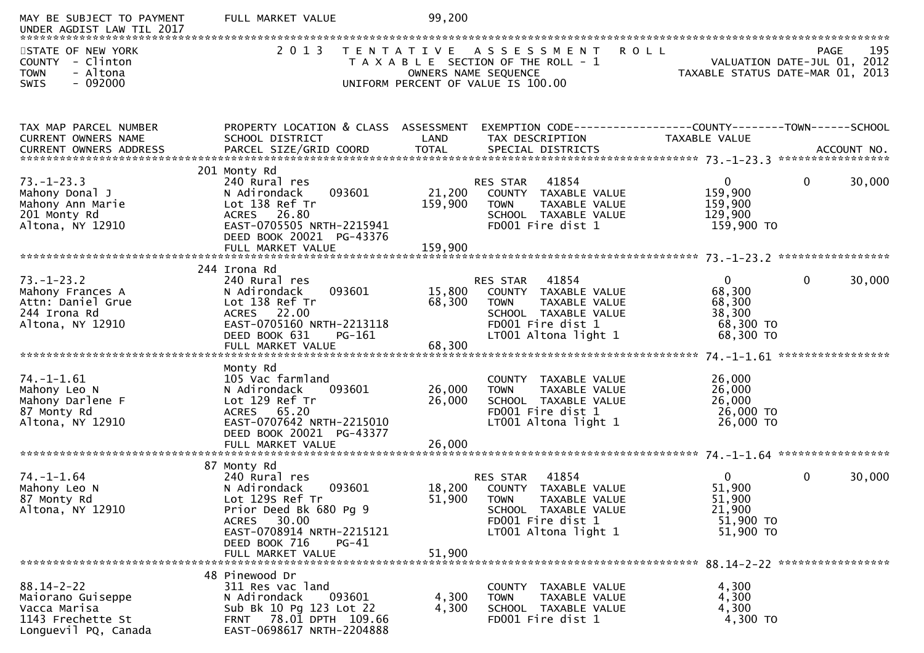| MAY BE SUBJECT TO PAYMENT<br>UNDER AGDIST LAW TIL 2017                                             | FULL MARKET VALUE                                                                                                                                            | 99,200                       |                                                                                                                                                   |                                                                      |              |        |
|----------------------------------------------------------------------------------------------------|--------------------------------------------------------------------------------------------------------------------------------------------------------------|------------------------------|---------------------------------------------------------------------------------------------------------------------------------------------------|----------------------------------------------------------------------|--------------|--------|
| STATE OF NEW YORK<br>COUNTY - Clinton<br>- Altona<br><b>TOWN</b>                                   | 2 0 1 3                                                                                                                                                      |                              | TENTATIVE ASSESSMENT ROLL<br>T A X A B L E SECTION OF THE ROLL - 1<br>OWNERS NAME SEQUENCE                                                        | VALUATION DATE-JUL 01, 2012<br>TAXABLE STATUS DATE-MAR 01, 2013      | <b>PAGE</b>  | 195    |
| $-092000$<br>SWIS                                                                                  |                                                                                                                                                              |                              | UNIFORM PERCENT OF VALUE IS 100.00                                                                                                                |                                                                      |              |        |
| TAX MAP PARCEL NUMBER<br>CURRENT OWNERS NAME                                                       | PROPERTY LOCATION & CLASS ASSESSMENT<br>SCHOOL DISTRICT                                                                                                      | LAND                         | EXEMPTION CODE-----------------COUNTY--------TOWN------SCHOOL<br>TAX DESCRIPTION                                                                  | TAXABLE VALUE                                                        |              |        |
|                                                                                                    | 201 Monty Rd                                                                                                                                                 |                              |                                                                                                                                                   |                                                                      |              |        |
| $73. - 1 - 23.3$<br>Mahony Donal J<br>Mahony Ann Marie<br>201 Monty Rd<br>Altona, NY 12910         | 240 Rural res<br>093601<br>N Adirondack<br>Lot 138 Ref Tr<br>ACRES 26.80<br>EAST-0705505 NRTH-2215941<br>DEED BOOK 20021 PG-43376<br>FULL MARKET VALUE       | 21,200<br>159,900<br>159,900 | RES STAR<br>41854<br>COUNTY TAXABLE VALUE<br>TAXABLE VALUE<br><b>TOWN</b><br>SCHOOL TAXABLE VALUE<br>FD001 Fire dist 1                            | $\mathbf{0}$<br>159,900<br>159,900<br>129,900<br>159,900 TO          | $\mathbf{0}$ | 30,000 |
|                                                                                                    | 244 Irona Rd                                                                                                                                                 |                              |                                                                                                                                                   |                                                                      |              |        |
| $73. - 1 - 23.2$<br>Mahony Frances A<br>Attn: Daniel Grue<br>244 Irona Rd<br>Altona, NY 12910      | 240 Rural res<br>093601<br>N Adirondack<br>Lot 138 Ref Tr<br>ACRES 22.00<br>EAST-0705160 NRTH-2213118<br>DEED BOOK 631<br>$PG-161$<br>FULL MARKET VALUE      | 15,800<br>68,300<br>68,300   | 41854<br>RES STAR<br>COUNTY TAXABLE VALUE<br><b>TOWN</b><br>TAXABLE VALUE<br>SCHOOL TAXABLE VALUE<br>FD001 Fire dist 1<br>LT001 Altona light 1    | $\mathbf{0}$<br>68,300<br>68,300<br>38,300<br>68,300 TO<br>68,300 TO | $\mathbf{0}$ | 30,000 |
|                                                                                                    | Monty Rd                                                                                                                                                     |                              |                                                                                                                                                   |                                                                      |              |        |
| $74. - 1 - 1.61$<br>Mahony Leo N<br>Mahony Darlene F<br>87 Monty Rd<br>Altona, NY 12910            | 105 Vac farmland<br>093601<br>N Adirondack<br>Lot 129 Ref Tr<br>ACRES 65.20<br>EAST-0707642 NRTH-2215010<br>DEED BOOK 20021 PG-43377<br>FULL MARKET VALUE    | 26,000<br>26,000<br>26,000   | COUNTY TAXABLE VALUE<br><b>TOWN</b><br>TAXABLE VALUE<br>SCHOOL TAXABLE VALUE<br>FD001 Fire dist 1<br>LT001 Altona light 1                         | 26,000<br>26,000<br>26,000<br>26,000 TO<br>26,000 TO                 |              |        |
|                                                                                                    | 87 Monty Rd                                                                                                                                                  |                              |                                                                                                                                                   |                                                                      |              |        |
| $74. - 1 - 1.64$<br>Mahony Leo N<br>87 Monty Rd<br>Altona, NY 12910                                | 240 Rural res<br>093601<br>N Adirondack<br>Lot 129S Ref Tr<br>Prior Deed Bk 680 Pg 9<br>ACRES 30.00<br>EAST-0708914 NRTH-2215121<br>DEED BOOK 716<br>$PG-41$ | 18,200<br>51,900             | 41854<br>RES STAR<br>TAXABLE VALUE<br>COUNTY<br><b>TOWN</b><br>TAXABLE VALUE<br>SCHOOL TAXABLE VALUE<br>FD001 Fire dist 1<br>LT001 Altona light 1 | $\Omega$<br>51,900<br>51,900<br>21,900<br>51,900 TO<br>51,900 TO     | $\mathbf{0}$ | 30,000 |
|                                                                                                    | FULL MARKET VALUE                                                                                                                                            | 51,900                       |                                                                                                                                                   |                                                                      |              |        |
| $88.14 - 2 - 22$<br>Maiorano Guiseppe<br>Vacca Marisa<br>1143 Frechette St<br>Longuevil PQ, Canada | 48 Pinewood Dr<br>311 Res vac land<br>N Adirondack<br>093601<br>Sub Bk 10 Pg 123 Lot 22<br>FRNT 78.01 DPTH 109.66<br>EAST-0698617 NRTH-2204888               | 4,300<br>4,300               | COUNTY TAXABLE VALUE<br>TAXABLE VALUE<br><b>TOWN</b><br>SCHOOL TAXABLE VALUE<br>FD001 Fire dist 1                                                 | 4,300<br>4,300<br>4,300<br>4,300 TO                                  |              |        |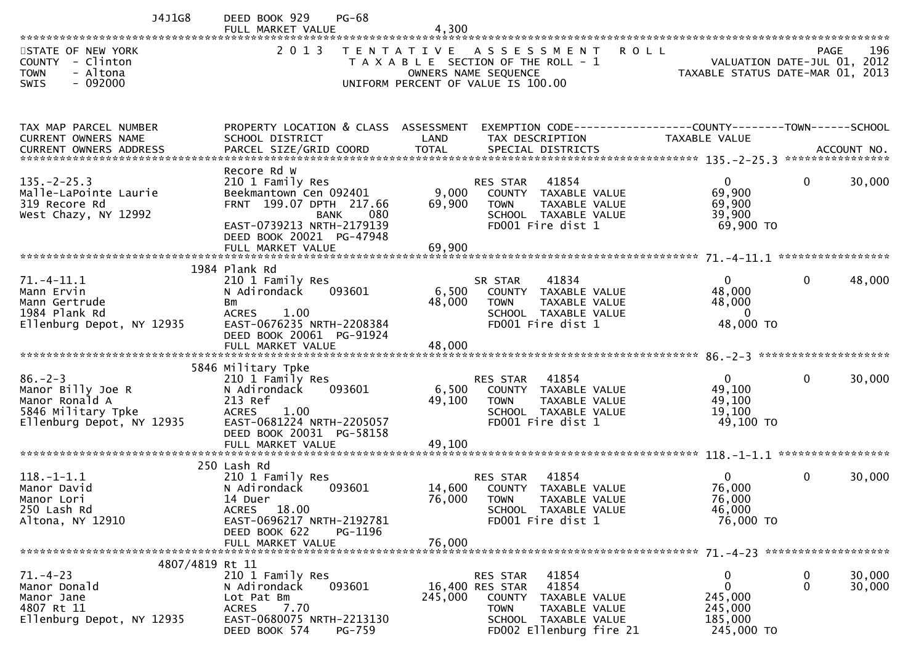| J4J1G8                                                                                                  | DEED BOOK 929<br><b>PG-68</b><br>FULL MARKET VALUE                                                                                                                                                                                                                                                                                                    | 4,300                                                                                                                       |                                                                                                                      |                                                                  |                                                                                |
|---------------------------------------------------------------------------------------------------------|-------------------------------------------------------------------------------------------------------------------------------------------------------------------------------------------------------------------------------------------------------------------------------------------------------------------------------------------------------|-----------------------------------------------------------------------------------------------------------------------------|----------------------------------------------------------------------------------------------------------------------|------------------------------------------------------------------|--------------------------------------------------------------------------------|
| STATE OF NEW YORK<br>COUNTY - Clinton<br>- Altona<br><b>TOWN</b><br>$-092000$<br>SWIS                   | 2 0 1 3                                                                                                                                                                                                                                                                                                                                               | TENTATIVE ASSESSMENT<br>T A X A B L E SECTION OF THE ROLL - 1<br>OWNERS NAME SEQUENCE<br>UNIFORM PERCENT OF VALUE IS 100.00 | <b>ROLL</b>                                                                                                          |                                                                  | 196<br>PAGE<br>VALUATION DATE-JUL 01, 2012<br>TAXABLE STATUS DATE-MAR 01, 2013 |
| TAX MAP PARCEL NUMBER<br>CURRENT OWNERS NAME                                                            | PROPERTY LOCATION & CLASS ASSESSMENT EXEMPTION CODE----------------COUNTY-------TOWN------SCHOOL<br>SCHOOL DISTRICT<br>.CURRENT OWNERS ADDRESS PARCEL SIZE/GRID COORD TOTAL SPECIAL DISTRICTS THE STAT ACCOUNT NO ACCOUNT NO AND A SERVER THE SERVER AND TOTAL SPECIAL DISTRICTS AND A SERVER AND THE SERVER AND THE SERVER AND THE SERVER AND THE SE | LAND                                                                                                                        | TAX DESCRIPTION                                                                                                      | <b>TAXABLE VALUE</b>                                             |                                                                                |
| $135. -2 - 25.3$<br>Malle-LaPointe Laurie<br>319 Recore Rd<br>West Chazy, NY 12992                      | Recore Rd W<br>210 1 Family Res<br>Beekmantown Cen 092401<br>FRNT 199.07 DPTH 217.66<br>BANK<br>080<br>EAST-0739213 NRTH-2179139<br>DEED BOOK 20021 PG-47948<br>FULL MARKET VALUE                                                                                                                                                                     | RES STAR<br>9,000<br>69,900<br><b>TOWN</b><br>69,900                                                                        | 41854<br>COUNTY TAXABLE VALUE<br>TAXABLE VALUE<br>SCHOOL TAXABLE VALUE<br>FD001 Fire dist 1                          | $\overline{0}$<br>69,900<br>69,900<br>39,900<br>69,900 TO        | 30,000<br>$\overline{0}$                                                       |
| $71. - 4 - 11.1$<br>Mann Ervin<br>Mann Gertrude<br>1984 Plank Rd<br>Ellenburg Depot, NY 12935           | 1984 Plank Rd<br>210 1 Family Res<br>N Adirondack<br>093601<br>Bm<br><b>ACRES</b><br>1.00<br>EAST-0676235 NRTH-2208384<br>DEED BOOK 20061 PG-91924<br>FULL MARKET VALUE                                                                                                                                                                               | SR STAR<br>6,500<br>48,000<br><b>TOWN</b><br>48,000                                                                         | 41834<br>COUNTY TAXABLE VALUE<br><b>TAXABLE VALUE</b><br>SCHOOL TAXABLE VALUE<br>FD001 Fire dist 1                   | $\mathbf{0}$<br>48,000<br>48,000<br>$\overline{0}$<br>48,000 TO  | 48,000<br>0                                                                    |
| $86. - 2 - 3$<br>Manor Billy Joe R<br>Manor Ronald A<br>5846 Military Tpke<br>Ellenburg Depot, NY 12935 | 5846 Military Tpke<br>210 1 Family Res<br>093601<br>N Adirondack<br>213 Ref<br><b>ACRES</b><br>1.00<br>EAST-0681224 NRTH-2205057<br>DEED BOOK 20031 PG-58158<br>FULL MARKET VALUE                                                                                                                                                                     | RES STAR<br>6,500<br>49,100<br><b>TOWN</b><br>49,100                                                                        | 41854<br>COUNTY TAXABLE VALUE<br>TAXABLE VALUE<br>SCHOOL TAXABLE VALUE<br>FD001 Fire dist 1                          | $\mathbf{0}$<br>49,100<br>49,100<br>19,100<br>49,100 TO          | 30,000<br>$\overline{0}$                                                       |
| $118. - 1 - 1.1$<br>Manor David<br>Manor Lori<br>250 Lash Rd<br>Altona, NY 12910                        | 250 Lash Rd<br>210 1 Family Res<br>N Adirondack<br>093601<br>14 Duer<br>ACRES 18.00<br>EAST-0696217 NRTH-2192781<br>DEED BOOK 622<br>PG-1196<br>FULL MARKET VALUE                                                                                                                                                                                     | <b>RES STAR</b><br>14,600<br>76,000                                                                                         | 41854<br><b>COUNTY</b><br>TAXABLE VALUE<br>76,000 TOWN TAXABLE VALUE<br>SCHOOL TAXABLE VALUE<br>FD001 Fire dist 1    | $\overline{0}$<br>76,000<br>76,000<br>46,000<br>76,000 TO        | 30,000<br>0                                                                    |
| $71. - 4 - 23$<br>Manor Donald<br>Manor Jane<br>4807 Rt 11<br>Ellenburg Depot, NY 12935                 | 4807/4819 Rt 11<br>210 1 Family Res<br>093601<br>N Adirondack<br>Lot Pat Bm<br>7.70<br><b>ACRES</b><br>EAST-0680075 NRTH-2213130<br>DEED BOOK 574<br>PG-759                                                                                                                                                                                           | <b>RES STAR</b><br>16,400 RES STAR<br>245,000<br><b>TOWN</b>                                                                | 41854<br>41854<br><b>COUNTY</b><br>TAXABLE VALUE<br>TAXABLE VALUE<br>SCHOOL TAXABLE VALUE<br>FD002 Ellenburg fire 21 | 0<br>$\mathbf{0}$<br>245,000<br>245,000<br>185,000<br>245,000 TO | 30,000<br>0<br>$\mathbf{0}$<br>30,000                                          |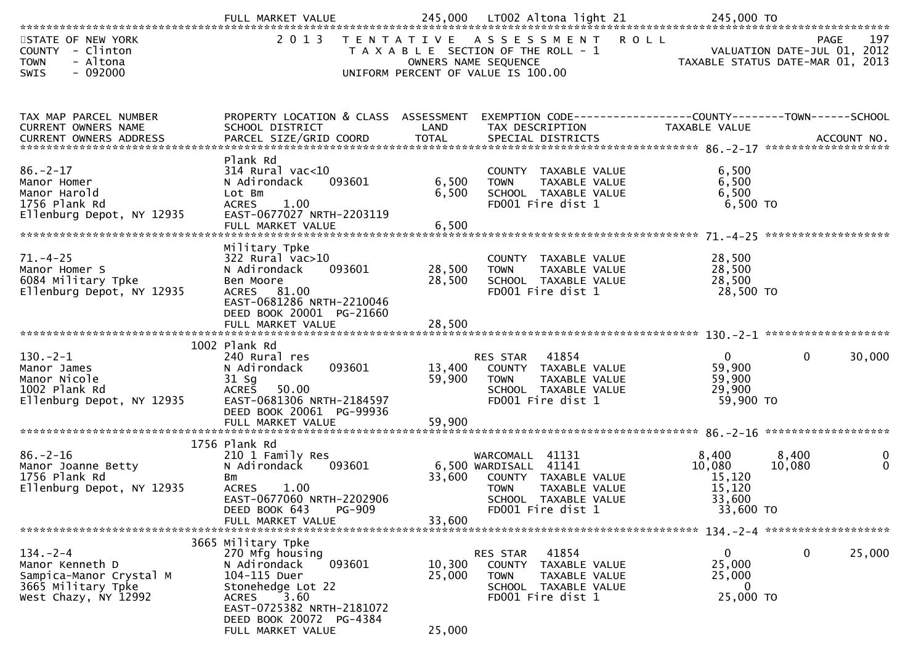|                                                                                                            | FULL MARKET VALUE                                                                                                                                                                                  |                            | 245,000 LT002 Altona light 21                                                                                                                 | 245,000 TO                                                             |                 |                  |
|------------------------------------------------------------------------------------------------------------|----------------------------------------------------------------------------------------------------------------------------------------------------------------------------------------------------|----------------------------|-----------------------------------------------------------------------------------------------------------------------------------------------|------------------------------------------------------------------------|-----------------|------------------|
| STATE OF NEW YORK<br>COUNTY - Clinton<br><b>TOWN</b><br>- Altona<br>$-092000$<br><b>SWIS</b>               | 2013                                                                                                                                                                                               | OWNERS NAME SEQUENCE       | TENTATIVE ASSESSMENT ROLL<br>T A X A B L E SECTION OF THE ROLL - 1<br>UNIFORM PERCENT OF VALUE IS 100.00                                      | - 1<br>VALUATION DATE-JUL 01, 2012<br>TAXABLE STATUS DATE-MAR 01, 2013 | PAGE            | 197              |
| TAX MAP PARCEL NUMBER<br>CURRENT OWNERS NAME                                                               | PROPERTY LOCATION & CLASS ASSESSMENT<br>SCHOOL DISTRICT                                                                                                                                            | LAND                       | EXEMPTION CODE-----------------COUNTY-------TOWN------SCHOOL<br>TAX DESCRIPTION                                                               | TAXABLE VALUE                                                          |                 |                  |
| $86. - 2 - 17$<br>Manor Homer<br>Manor Harold<br>1756 Plank Rd<br>Ellenburg Depot, NY 12935                | Plank Rd<br>$314$ Rural vac<10<br>093601<br>N Adirondack<br>Lot Bm<br><b>ACRES</b><br>1.00<br>EAST-0677027 NRTH-2203119<br>FULL MARKET VALUE                                                       | 6,500<br>6,500<br>6,500    | COUNTY TAXABLE VALUE<br><b>TOWN</b><br>TAXABLE VALUE<br>SCHOOL TAXABLE VALUE<br>FD001 Fire dist 1                                             | 6,500<br>6,500<br>6,500<br>6,500 TO                                    |                 |                  |
| $71. - 4 - 25$<br>Manor Homer S<br>6084 Military Tpke<br>Ellenburg Depot, NY 12935                         | Military Tpke<br>$322$ Rural vac $>10$<br>093601<br>N Adirondack<br>Ben Moore<br>ACRES 81.00<br>EAST-0681286 NRTH-2210046<br>DEED BOOK 20001 PG-21660<br>FULL MARKET VALUE                         | 28,500<br>28,500<br>28,500 | COUNTY TAXABLE VALUE<br>TAXABLE VALUE<br><b>TOWN</b><br>SCHOOL TAXABLE VALUE<br>FD001 Fire dist 1                                             | 28,500<br>28,500<br>28,500<br>28,500 TO                                |                 |                  |
|                                                                                                            |                                                                                                                                                                                                    |                            |                                                                                                                                               |                                                                        |                 |                  |
| $130 - 2 - 1$<br>Manor James<br>Manor Nicole<br>1002 Plank Rd<br>Ellenburg Depot, NY 12935                 | 1002 Plank Rd<br>240 Rural res<br>093601<br>N Adirondack<br>$31$ Sg<br><b>ACRES</b><br>50.00<br>EAST-0681306 NRTH-2184597<br>DEED BOOK 20061 PG-99936                                              | 13,400<br>59,900           | 41854<br>RES STAR<br>COUNTY TAXABLE VALUE<br>TAXABLE VALUE<br>TOWN<br>SCHOOL TAXABLE VALUE<br>FD001 Fire dist 1                               | $\mathbf{0}$<br>59,900<br>59,900<br>29,900<br>59,900 TO                | $\mathbf 0$     | 30,000           |
|                                                                                                            | FULL MARKET VALUE                                                                                                                                                                                  | 59,900                     |                                                                                                                                               |                                                                        |                 |                  |
|                                                                                                            | 1756 Plank Rd                                                                                                                                                                                      |                            |                                                                                                                                               |                                                                        |                 |                  |
| $86. - 2 - 16$<br>Manor Joanne Betty<br>1756 Plank Rd<br>Ellenburg Depot, NY 12935                         | 210 1 Family Res<br>N Adirondack<br>093601<br>Bm<br><b>ACRES</b><br>1.00<br>EAST-0677060 NRTH-2202906<br>DEED BOOK 643<br>PG-909                                                                   | 33,600                     | WARCOMALL 41131<br>6,500 WARDISALL 41141<br>COUNTY TAXABLE VALUE<br><b>TOWN</b><br>TAXABLE VALUE<br>SCHOOL TAXABLE VALUE<br>FD001 Fire dist 1 | 8,400<br>10,080<br>15,120<br>15,120<br>33,600<br>33,600 TO             | 8,400<br>10,080 | 0<br>$\mathbf 0$ |
|                                                                                                            | FULL MARKET VALUE                                                                                                                                                                                  | 33,600                     |                                                                                                                                               |                                                                        |                 |                  |
| $134. - 2 - 4$<br>Manor Kenneth D<br>Sampica-Manor Crystal M<br>3665 Military Tpke<br>West Chazy, NY 12992 | 3665 Military Tpke<br>270 Mfg housing<br>093601<br>N Adirondack<br>104-115 Duer<br>Stonehedge Lot 22<br>3.60<br>ACRES<br>EAST-0725382 NRTH-2181072<br>DEED BOOK 20072 PG-4384<br>FULL MARKET VALUE | 10,300<br>25,000<br>25,000 | RES STAR<br>41854<br><b>COUNTY</b><br>TAXABLE VALUE<br>TAXABLE VALUE<br><b>TOWN</b><br>SCHOOL TAXABLE VALUE<br>FD001 Fire dist 1              | $\overline{0}$<br>25,000<br>25,000<br>0<br>25,000 TO                   | 0               | 25,000           |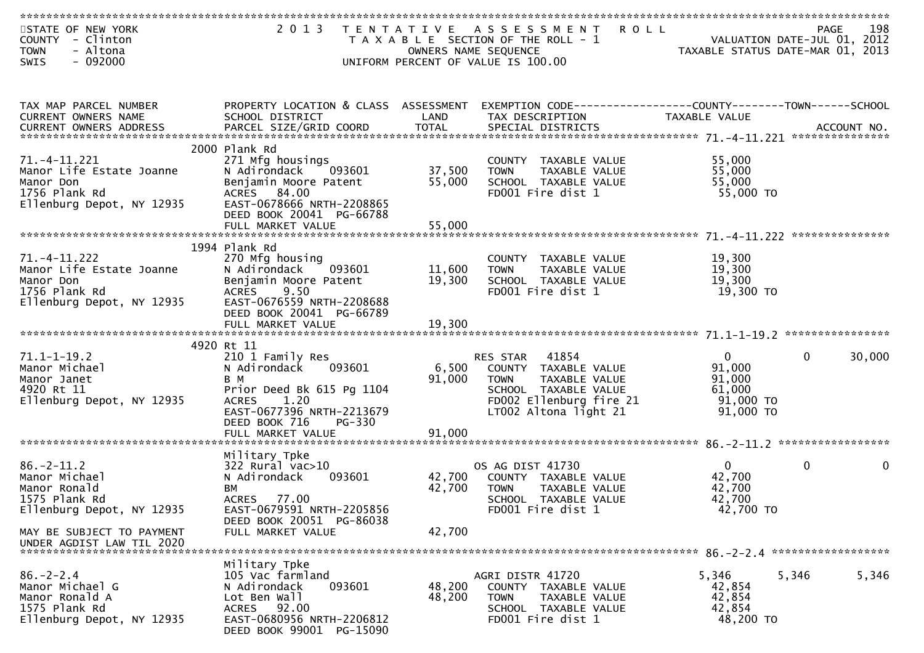| STATE OF NEW YORK<br>COUNTY - Clinton<br>- Altona<br><b>TOWN</b><br>$-092000$ | 2 0 1 3                                               |        | TENTATIVE ASSESSMENT ROLL<br>T A X A B L E SECTION OF THE ROLL - 1<br>OWNERS NAME SEQUENCE<br>UNIFORM PERCENT OF VALUE IS 100.00 | VALUATION DATE-JUL 01, 2012<br>TAXABLE STATUS DATE-MAR 01, 2013 | 198<br>PAGE        |
|-------------------------------------------------------------------------------|-------------------------------------------------------|--------|----------------------------------------------------------------------------------------------------------------------------------|-----------------------------------------------------------------|--------------------|
| SWIS                                                                          |                                                       |        |                                                                                                                                  |                                                                 |                    |
|                                                                               |                                                       |        |                                                                                                                                  |                                                                 |                    |
| TAX MAP PARCEL NUMBER                                                         | PROPERTY LOCATION & CLASS ASSESSMENT                  |        |                                                                                                                                  |                                                                 |                    |
| CURRENT OWNERS NAME                                                           | SCHOOL DISTRICT                                       | LAND   | TAX DESCRIPTION                                                                                                                  | TAXABLE VALUE                                                   |                    |
|                                                                               |                                                       |        |                                                                                                                                  |                                                                 |                    |
|                                                                               | 2000 Plank Rd                                         |        |                                                                                                                                  |                                                                 |                    |
| $71. -4 - 11.221$<br>Manor Life Estate Joanne                                 | 271 Mfg housings<br>N Adirondack<br>093601            | 37,500 | COUNTY TAXABLE VALUE<br>TAXABLE VALUE<br><b>TOWN</b>                                                                             | 55,000<br>55,000                                                |                    |
| Manor Don                                                                     | Benjamin Moore Patent                                 | 55,000 | SCHOOL TAXABLE VALUE                                                                                                             | 55,000                                                          |                    |
| 1756 Plank Rd                                                                 | ACRES 84.00                                           |        | FD001 Fire dist 1                                                                                                                | 55,000 TO                                                       |                    |
| Ellenburg Depot, NY 12935                                                     | EAST-0678666 NRTH-2208865<br>DEED BOOK 20041 PG-66788 |        |                                                                                                                                  |                                                                 |                    |
|                                                                               | FULL MARKET VALUE                                     | 55,000 |                                                                                                                                  |                                                                 |                    |
|                                                                               |                                                       |        |                                                                                                                                  |                                                                 | ***************    |
| 71. –4–11.222                                                                 | 1994 Plank Rd<br>270 Mfg housing                      |        | COUNTY TAXABLE VALUE                                                                                                             | 19,300                                                          |                    |
| Manor Life Estate Joanne                                                      | 093601<br>N Adirondack                                | 11,600 | <b>TOWN</b><br>TAXABLE VALUE                                                                                                     | 19,300                                                          |                    |
| Manor Don                                                                     | Benjamin Moore Patent                                 | 19,300 | SCHOOL TAXABLE VALUE                                                                                                             | 19,300                                                          |                    |
| 1756 Plank Rd<br>Ellenburg Depot, NY 12935                                    | 9.50<br><b>ACRES</b><br>EAST-0676559 NRTH-2208688     |        | FD001 Fire dist 1                                                                                                                | 19,300 TO                                                       |                    |
|                                                                               | DEED BOOK 20041 PG-66789                              |        |                                                                                                                                  |                                                                 |                    |
|                                                                               | FULL MARKET VALUE                                     | 19,300 |                                                                                                                                  |                                                                 |                    |
|                                                                               | 4920 Rt 11                                            |        |                                                                                                                                  |                                                                 |                    |
| $71.1 - 1 - 19.2$                                                             | 210 1 Family Res                                      |        | 41854<br>RES STAR                                                                                                                | 0                                                               | 30,000<br>$\Omega$ |
| Manor Michael                                                                 | N Adirondack<br>093601                                | 6,500  | COUNTY TAXABLE VALUE                                                                                                             | 91,000                                                          |                    |
| Manor Janet<br>4920 Rt 11                                                     | B M<br>Prior Deed Bk 615 Pg 1104                      | 91,000 | <b>TOWN</b><br>TAXABLE VALUE<br>SCHOOL TAXABLE VALUE                                                                             | 91,000<br>61,000                                                |                    |
| Ellenburg Depot, NY 12935                                                     | <b>ACRES</b><br>1.20                                  |        | FD002 Ellenburg fire 21                                                                                                          | 91,000 TO                                                       |                    |
|                                                                               | EAST-0677396 NRTH-2213679                             |        | LT002 Altona light 21                                                                                                            | 91,000 TO                                                       |                    |
|                                                                               | DEED BOOK 716<br>PG-330<br>FULL MARKET VALUE          | 91,000 |                                                                                                                                  |                                                                 |                    |
|                                                                               |                                                       |        |                                                                                                                                  |                                                                 |                    |
|                                                                               | Military Tpke                                         |        |                                                                                                                                  |                                                                 |                    |
| $86. - 2 - 11.2$<br>Manor Michael                                             | $322$ Rural vac $>10$<br>N Adirondack<br>093601       | 42,700 | OS AG DIST 41730<br>COUNTY TAXABLE VALUE                                                                                         | $\mathbf{0}$<br>42,700                                          | 0<br>$\mathbf 0$   |
| Manor Ronald                                                                  | BМ                                                    | 42,700 | <b>TOWN</b><br><b>TAXABLE VALUE</b>                                                                                              | 42,700                                                          |                    |
| 1575 Plank Rd                                                                 | <b>ACRES</b><br>77.00                                 |        | SCHOOL TAXABLE VALUE                                                                                                             | 42,700                                                          |                    |
| Ellenburg Depot, NY 12935                                                     | EAST-0679591 NRTH-2205856<br>DEED BOOK 20051 PG-86038 |        | FD001 Fire dist 1                                                                                                                | 42,700 TO                                                       |                    |
| MAY BE SUBJECT TO PAYMENT                                                     | FULL MARKET VALUE                                     | 42,700 |                                                                                                                                  |                                                                 |                    |
| UNDER AGDIST LAW TIL 2020                                                     |                                                       |        |                                                                                                                                  |                                                                 |                    |
|                                                                               | Military Tpke                                         |        |                                                                                                                                  |                                                                 |                    |
| $86. - 2 - 2.4$                                                               | 105 Vac farmland                                      |        | AGRI DISTR 41720                                                                                                                 | 5,346<br>5,346                                                  | 5,346              |
| Manor Michael G                                                               | N Adirondack<br>093601                                | 48,200 | COUNTY TAXABLE VALUE                                                                                                             | 42,854                                                          |                    |
| Manor Ronald A                                                                | Lot Ben Wall                                          | 48,200 | <b>TOWN</b><br>TAXABLE VALUE                                                                                                     | 42,854                                                          |                    |
| 1575 Plank Rd<br>Ellenburg Depot, NY 12935                                    | ACRES 92.00<br>EAST-0680956 NRTH-2206812              |        | SCHOOL TAXABLE VALUE<br>FD001 Fire dist 1                                                                                        | 42,854<br>48,200 TO                                             |                    |
|                                                                               | DEED BOOK 99001 PG-15090                              |        |                                                                                                                                  |                                                                 |                    |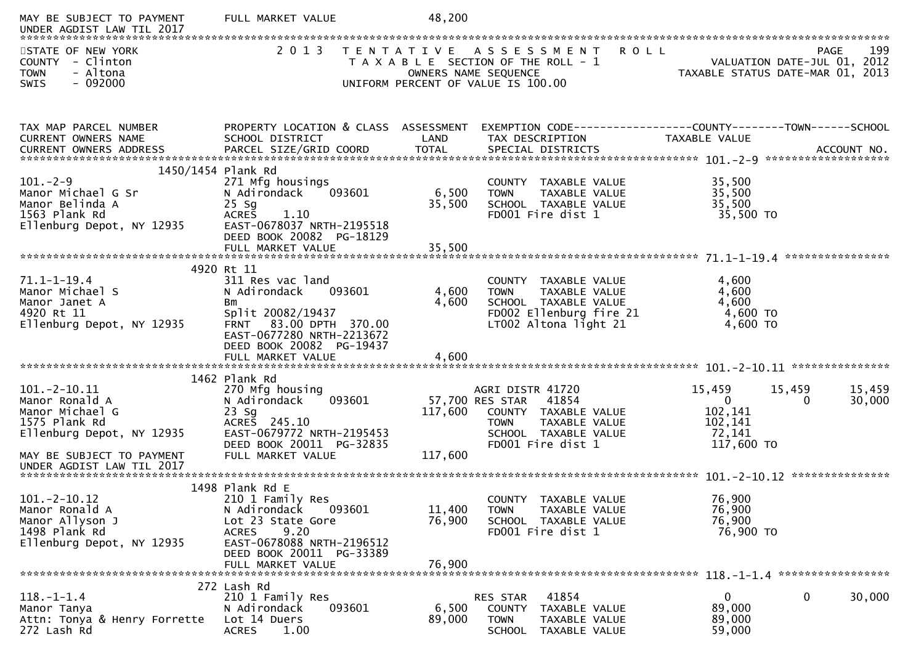| MAY BE SUBJECT TO PAYMENT<br>UNDER AGDIST LAW TIL 2017                                                                                                      | FULL MARKET VALUE                                                                                                                                                                                     | 48,200                     |                                                                                                                                            |                                                                                  |                                            |
|-------------------------------------------------------------------------------------------------------------------------------------------------------------|-------------------------------------------------------------------------------------------------------------------------------------------------------------------------------------------------------|----------------------------|--------------------------------------------------------------------------------------------------------------------------------------------|----------------------------------------------------------------------------------|--------------------------------------------|
| STATE OF NEW YORK<br>COUNTY - Clinton<br>- Altona<br><b>TOWN</b><br>$-092000$<br><b>SWIS</b>                                                                | 2 0 1 3                                                                                                                                                                                               |                            | TENTATIVE ASSESSMENT ROLL<br>T A X A B L E SECTION OF THE ROLL - 1<br>OWNERS NAME SEQUENCE<br>UNIFORM PERCENT OF VALUE IS 100.00           | ROLL - 1<br>TAXABLE STATUS DATE-JUL 01, 2012<br>TAXABLE STATUS DATE-MAR 01, 2013 | 199<br><b>PAGE</b>                         |
| TAX MAP PARCEL NUMBER<br>CURRENT OWNERS NAME                                                                                                                | SCHOOL DISTRICT                                                                                                                                                                                       | LAND                       | PROPERTY LOCATION & CLASS ASSESSMENT EXEMPTION CODE----------------COUNTY-------TOWN------SCHOOL<br>TAX DESCRIPTION                        | TAXABLE VALUE                                                                    |                                            |
| 1450/1454 Plank Rd<br>$101 - 2 - 9$<br>Manor Michael G Sr<br>Manor Belinda A<br>1563 Plank Rd<br>Ellenburg Depot, NY 12935                                  | 271 Mfg housings<br>093601<br>N Adirondack<br>$25$ Sg<br><b>ACRES</b><br>1.10<br>EAST-0678037 NRTH-2195518<br>DEED BOOK 20082 PG-18129<br>FULL MARKET VALUE                                           | 6,500<br>35,500<br>35,500  | COUNTY TAXABLE VALUE<br><b>TOWN</b><br>TAXABLE VALUE<br>SCHOOL TAXABLE VALUE<br>FD001 Fire dist 1                                          | 35,500<br>35,500<br>35,500<br>35,500 TO                                          |                                            |
| $71.1 - 1 - 19.4$<br>Manor Michael S<br>Manor Janet A<br>4920 Rt 11<br>Ellenburg Depot, NY 12935                                                            | 4920 Rt 11<br>311 Res vac land<br>N Adirondack<br>093601<br>Bm<br>Split 20082/19437<br>83.00 DPTH 370.00<br><b>FRNT</b><br>EAST-0677280 NRTH-2213672<br>DEED BOOK 20082 PG-19437<br>FULL MARKET VALUE | 4,600<br>4,600<br>4,600    | COUNTY TAXABLE VALUE<br><b>TOWN</b><br>TAXABLE VALUE<br>SCHOOL TAXABLE VALUE<br>FD002 Ellenburg fire 21<br>LT002 Altona light 21           | 4,600<br>4,600<br>4,600<br>4,600 TO<br>4,600 TO                                  |                                            |
| $101.-2-10.11$<br>Manor Ronald A<br>Manor Michael G<br>1575 Plank Rd<br>Ellenburg Depot, NY 12935<br>MAY BE SUBJECT TO PAYMENT<br>UNDER AGDIST LAW TIL 2017 | 1462 Plank Rd<br>270 Mfg housing<br>093601<br>N Adirondack<br>$23$ Sg<br>ACRES 245.10<br>EAST-0679772 NRTH-2195453<br>DEED BOOK 20011 PG-32835<br>FULL MARKET VALUE                                   | 117,600<br>117,600         | AGRI DISTR 41720<br>57,700 RES STAR<br>41854<br>COUNTY TAXABLE VALUE<br>TAXABLE VALUE<br>TOWN<br>SCHOOL TAXABLE VALUE<br>FD001 Fire dist 1 | 15,459<br>$\overline{\mathbf{0}}$<br>102,141<br>102,141<br>72,141<br>117,600 TO  | 15,459<br>15,459<br>$\mathbf{0}$<br>30,000 |
| $101. -2 - 10.12$<br>Manor Ronald A<br>Manor Allyson J<br>1498 Plank Rd<br>Ellenburg Depot, NY 12935                                                        | 1498 Plank Rd E<br>210 1 Family Res<br>093601<br>N Adirondack<br>Lot 23 State Gore<br>9.20<br><b>ACRES</b><br>EAST-0678088 NRTH-2196512<br>DEED BOOK 20011 PG-33389<br>FULL MARKET VALUE              | 11,400<br>76,900<br>76,900 | COUNTY TAXABLE VALUE<br>TAXABLE VALUE<br><b>TOWN</b><br>SCHOOL TAXABLE VALUE<br>FD001 Fire dist 1                                          | 76,900<br>76,900<br>76,900<br>76,900 TO                                          |                                            |
| $118.-1-1.4$<br>Manor Tanya<br>Attn: Tonya & Henry Forrette<br>272 Lash Rd                                                                                  | 272 Lash Rd<br>210 1 Family Res<br>093601<br>N Adirondack<br>Lot 14 Duers<br><b>ACRES</b><br>1.00                                                                                                     | 6,500<br>89,000            | 41854<br><b>RES STAR</b><br><b>COUNTY</b><br>TAXABLE VALUE<br>TAXABLE VALUE<br><b>TOWN</b><br><b>SCHOOL</b><br>TAXABLE VALUE               | $\mathbf{0}$<br>89,000<br>89,000<br>59,000                                       | 30,000<br>0                                |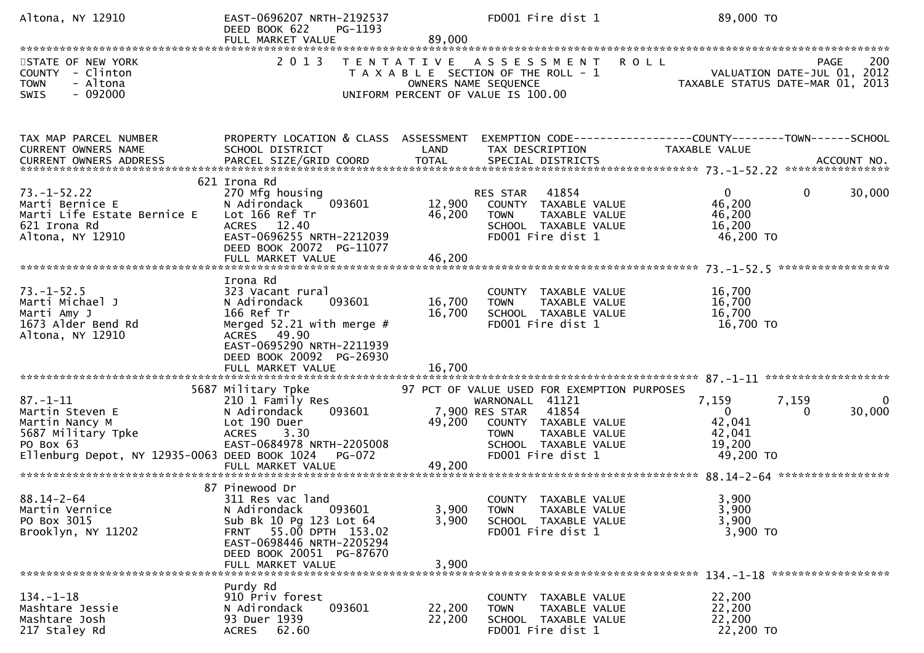| Altona, NY 12910                                                                                                                        | EAST-0696207 NRTH-2192537<br>DEED BOOK 622<br>PG-1193<br>FULL MARKET VALUE                                                                                                                       | 89,000                     | FD001 Fire dist 1                                                                                                                                                                       | 89,000 TO                                                                             |        |
|-----------------------------------------------------------------------------------------------------------------------------------------|--------------------------------------------------------------------------------------------------------------------------------------------------------------------------------------------------|----------------------------|-----------------------------------------------------------------------------------------------------------------------------------------------------------------------------------------|---------------------------------------------------------------------------------------|--------|
| STATE OF NEW YORK<br>COUNTY - Clinton<br>- Altona<br><b>TOWN</b><br>$-092000$<br>SWIS                                                   | 2 0 1 3                                                                                                                                                                                          |                            | TENTATIVE ASSESSMENT ROLL<br>T A X A B L E SECTION OF THE ROLL - 1<br>OWNERS NAME SEQUENCE<br>UNIFORM PERCENT OF VALUE IS 100.00                                                        | PAGE<br>VALUATION DATE-JUL 01, 2012<br>TAXABLE STATUS DATE-MAR 01, 2013               | 200    |
| TAX MAP PARCEL NUMBER<br>CURRENT OWNERS NAME                                                                                            | PROPERTY LOCATION & CLASS ASSESSMENT<br>SCHOOL DISTRICT                                                                                                                                          | LAND                       | TAX DESCRIPTION                                                                                                                                                                         | EXEMPTION CODE------------------COUNTY--------TOWN------SCHOOL<br>TAXABLE VALUE       |        |
| $73. - 1 - 52.22$<br>Marti Bernice E<br>Marti Life Estate Bernice E<br>621 Irona Rd<br>Altona, NY 12910                                 | 621 Irona Rd<br>270 Mfg housing<br>093601<br>N Adirondack<br>Lot 166 Ref Tr<br>ACRES 12.40<br>EAST-0696255 NRTH-2212039<br>DEED BOOK 20072 PG-11077                                              | 12,900<br>46,200           | 41854<br>RES STAR<br>COUNTY TAXABLE VALUE<br><b>TOWN</b><br>TAXABLE VALUE<br>SCHOOL TAXABLE VALUE<br>FD001 Fire dist 1                                                                  | $\mathbf{0}$<br>$\mathbf{0}$<br>46,200<br>46,200<br>16,200<br>46,200 TO               | 30,000 |
| $73. - 1 - 52.5$<br>Marti Michael J<br>Marti Amy J<br>1673 Alder Bend Rd<br>Altona, NY 12910                                            | Irona Rd<br>323 Vacant rural<br>093601<br>N Adirondack<br>166 Ref Tr<br>Merged $52.21$ with merge #<br>ACRES 49.90<br>EAST-0695290 NRTH-2211939<br>DEED BOOK 20092 PG-26930<br>FULL MARKET VALUE | 16,700<br>16,700<br>16,700 | COUNTY TAXABLE VALUE<br>TAXABLE VALUE<br><b>TOWN</b><br>SCHOOL TAXABLE VALUE<br>FD001 Fire dist 1                                                                                       | 16,700<br>16,700<br>16,700<br>16,700 TO                                               |        |
| $87. - 1 - 11$<br>Martin Steven E<br>Martin Nancy M<br>5687 Military Tpke<br>PO Box 63<br>Ellenburg Depot, NY 12935-0063 DEED BOOK 1024 | 5687 Military Tpke<br>210 1 Family Res<br>093601<br>N Adirondack<br>Lot 190 Duer<br><b>ACRES</b><br>3.30<br>EAST-0684978 NRTH-2205008<br><b>PG-072</b><br>FULL MARKET VALUE                      | 49,200<br>49,200           | 97 PCT OF VALUE USED FOR EXEMPTION PURPOSES<br>WARNONALL 41121<br>41854<br>7,900 RES STAR<br>COUNTY TAXABLE VALUE<br>TAXABLE VALUE<br>TOWN<br>SCHOOL TAXABLE VALUE<br>FD001 Fire dist 1 | 7,159<br>7,159<br>$\mathbf{0}$<br>$\Omega$<br>42,041<br>42,041<br>19,200<br>49,200 TO | 30,000 |
| $88.14 - 2 - 64$<br>Martin Vernice<br>PO Box 3015<br>Brooklyn, NY 11202                                                                 | 87 Pinewood Dr<br>311 Res vac land<br>N Adirondack<br>093601<br>Sub Bk 10 Pg 123 Lot 64<br>FRNT 55.00 DPTH 153.02<br>EAST-0698446 NRTH-2205294<br>DEED BOOK 20051 PG-87670<br>FULL MARKET VALUE  | 3,900<br>3,900<br>3,900    | COUNTY TAXABLE VALUE<br>TAXABLE VALUE<br><b>TOWN</b><br>SCHOOL TAXABLE VALUE<br>FD001 Fire dist 1                                                                                       | 3,900<br>3,900<br>3,900<br>3,900 TO                                                   |        |
| $134. - 1 - 18$<br>Mashtare Jessie<br>Mashtare Josh<br>217 Staley Rd                                                                    | Purdy Rd<br>910 Priv forest<br>093601<br>N Adirondack<br>93 Duer 1939<br>62.60<br><b>ACRES</b>                                                                                                   | 22,200<br>22,200           | COUNTY TAXABLE VALUE<br><b>TOWN</b><br>TAXABLE VALUE<br>SCHOOL TAXABLE VALUE<br>FD001 Fire dist 1                                                                                       | 22,200<br>22,200<br>22,200<br>22,200 TO                                               |        |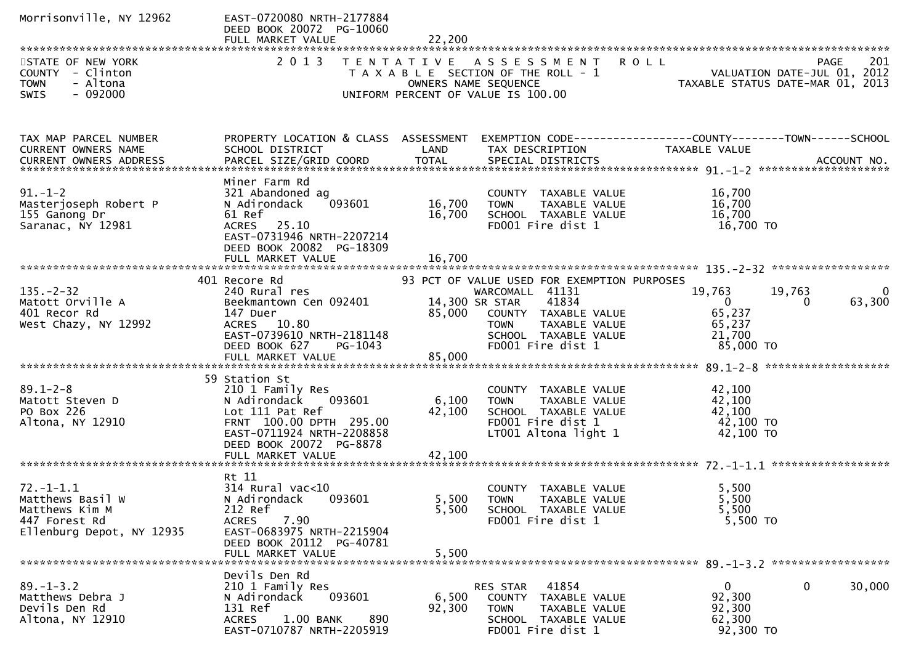| Morrisonville, NY 12962                                                                             | EAST-0720080 NRTH-2177884<br>DEED BOOK 20072 PG-10060<br>FULL MARKET VALUE                                                                                         | 22,200                     |                                                                                                                                                                                                    |                                                                   |                                         |
|-----------------------------------------------------------------------------------------------------|--------------------------------------------------------------------------------------------------------------------------------------------------------------------|----------------------------|----------------------------------------------------------------------------------------------------------------------------------------------------------------------------------------------------|-------------------------------------------------------------------|-----------------------------------------|
| STATE OF NEW YORK<br>COUNTY - Clinton<br><b>TOWN</b><br>- Altona<br>$-092000$<br><b>SWIS</b>        |                                                                                                                                                                    |                            | 2013 TENTATIVE ASSESSMENT ROLL<br>T A X A B L E SECTION OF THE ROLL - 1 VALUATION DATE-JUL 01, 2012<br>OWNERS NAME SEQUENCE TAXABLE STATUS DATE-MAR 01, 2013<br>UNIFORM PERCENT OF VALUE IS 100.00 |                                                                   | 201<br><b>PAGE</b>                      |
| TAX MAP PARCEL NUMBER<br>CURRENT OWNERS NAME                                                        | PROPERTY LOCATION & CLASS ASSESSMENT EXEMPTION CODE----------------COUNTY-------TOWN------SCHOOL<br>SCHOOL DISTRICT                                                | LAND                       | TAX DESCRIPTION                                                                                                                                                                                    | TAXABLE VALUE                                                     |                                         |
| $91. - 1 - 2$<br>Masterjoseph Robert P<br>155 Ganong Dr<br>Saranac, NY 12981                        | Miner Farm Rd<br>321 Abandoned ag<br>093601<br>N Adirondack<br>61 Ref<br>ACRES 25.10<br>EAST-0731946 NRTH-2207214<br>DEED BOOK 20082 PG-18309<br>FULL MARKET VALUE | 16,700<br>16,700<br>16,700 | COUNTY TAXABLE VALUE<br><b>TOWN</b><br>TAXABLE VALUE<br>SCHOOL TAXABLE VALUE<br>FD001 Fire dist 1                                                                                                  | 16,700<br>16,700<br>16,700<br>16,700 TO                           |                                         |
|                                                                                                     | 401 Recore Rd                                                                                                                                                      |                            | 93 PCT OF VALUE USED FOR EXEMPTION PURPOSES                                                                                                                                                        |                                                                   |                                         |
| $135. - 2 - 32$<br>Matott Orville A<br>401 Recor Rd<br>West Chazy, NY 12992                         | 240 Rural res<br>Beekmantown Cen 092401<br>147 Duer<br>ACRES 10.80<br>EAST-0739610 NRTH-2181148<br>DEED BOOK 627<br>PG-1043                                        | 85,000                     | WARCOMALL 41131<br>14,300 SR STAR<br>41834<br>COUNTY TAXABLE VALUE<br>TAXABLE VALUE<br>TOWN<br>SCHOOL TAXABLE VALUE<br>FD001 Fire dist 1                                                           | 19,763<br>$\mathbf{0}$<br>65,237<br>65,237<br>21,700<br>85,000 TO | 19,763<br>$\overline{0}$<br>63,300<br>0 |
|                                                                                                     | 59 Station St                                                                                                                                                      |                            |                                                                                                                                                                                                    |                                                                   |                                         |
| $89.1 - 2 - 8$<br>Matott Steven D<br>PO Box 226<br>Altona, NY 12910                                 | 210 1 Family Res<br>093601<br>N Adirondack<br>Lot 111 Pat Ref<br>FRNT 100.00 DPTH 295.00<br>EAST-0711924 NRTH-2208858<br>DEED BOOK 20072 PG-8878                   | 6,100<br>42,100            | COUNTY TAXABLE VALUE<br><b>TOWN</b><br>TAXABLE VALUE<br>SCHOOL TAXABLE VALUE<br>FD001 Fire dist 1<br>LT001 Altona light 1                                                                          | 42,100<br>42,100<br>42,100<br>42,100 TO<br>42,100 TO              |                                         |
|                                                                                                     |                                                                                                                                                                    |                            |                                                                                                                                                                                                    |                                                                   |                                         |
| $72. - 1 - 1.1$<br>Matthews Basil W<br>Matthews Kim M<br>447 Forest Rd<br>Ellenburg Depot, NY 12935 | Rt 11<br>314 Rural vac<10<br>N Adirondack 093601<br>212 Ref<br><b>ACRES</b><br>7.90<br>EAST-0683975 NRTH-2215904<br>DEED BOOK 20112 PG-40781<br>FULL MARKET VALUE  | 5,500<br>5,500             | COUNTY TAXABLE VALUE<br>5,500 TOWN TAXABLE VALUE<br>SCHOOL TAXABLE VALUE<br>FD001 Fire dist 1                                                                                                      | 5,500<br>5,500<br>5,500<br>5,500 TO                               |                                         |
|                                                                                                     |                                                                                                                                                                    |                            |                                                                                                                                                                                                    |                                                                   |                                         |
| $89. - 1 - 3.2$<br>Matthews Debra J<br>Devils Den Rd<br>Altona, NY 12910                            | Devils Den Rd<br>210 1 Family Res<br>093601<br>N Adirondack<br>131 Ref<br><b>ACRES</b><br>1.00 BANK<br>890<br>EAST-0710787 NRTH-2205919                            | 6,500<br>92,300            | RES STAR<br>41854<br>COUNTY TAXABLE VALUE<br>TAXABLE VALUE<br><b>TOWN</b><br>SCHOOL TAXABLE VALUE<br>FD001 Fire dist 1                                                                             | $\mathbf{0}$<br>92,300<br>92,300<br>62,300<br>92,300 TO           | $\mathbf 0$<br>30,000                   |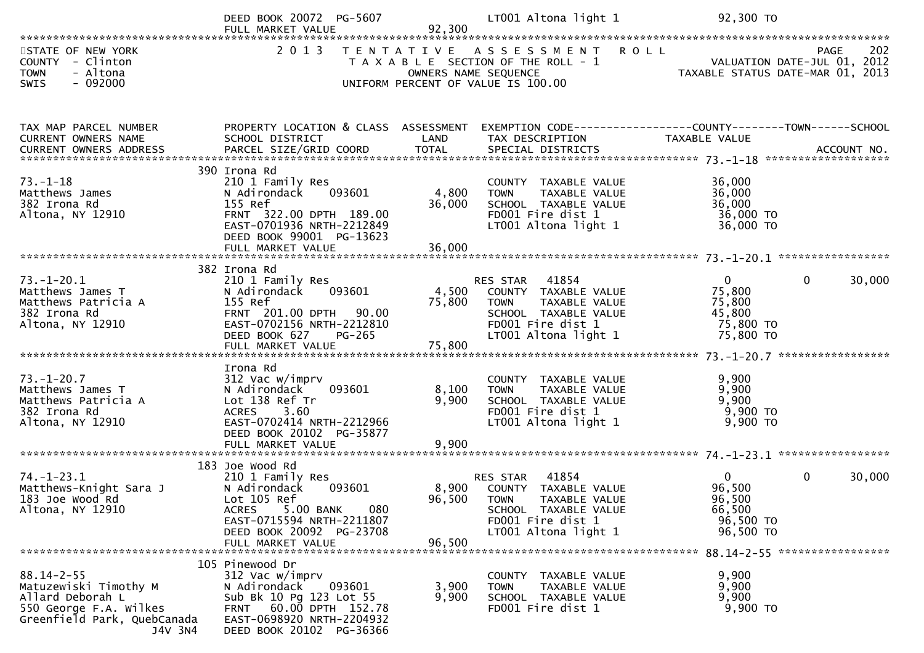|                                                                                                                                   | DEED BOOK 20072 PG-5607                                                                                                                                                              |                 | LT001 Altona light 1                                                                                                                                                                                       | 92,300 TO                                                                 |                        |
|-----------------------------------------------------------------------------------------------------------------------------------|--------------------------------------------------------------------------------------------------------------------------------------------------------------------------------------|-----------------|------------------------------------------------------------------------------------------------------------------------------------------------------------------------------------------------------------|---------------------------------------------------------------------------|------------------------|
| STATE OF NEW YORK<br>COUNTY - Clinton<br><b>TOWN</b><br>- Altona<br>SWIS<br>$-092000$                                             | 2 0 1 3                                                                                                                                                                              |                 | TENTATIVE ASSESSMENT ROLL<br>T A X A B L E SECTION OF THE ROLL - 1<br>T A X A B L E SECTION OF THE ROLL - 1<br>OWNERS NAME SEQUENCE TAXABLE STATUS DATE-MAR 01, 2013<br>UNIFORM PERCENT OF VALUE IS 100.00 |                                                                           | 202<br><b>PAGE</b>     |
| TAX MAP PARCEL NUMBER<br>CURRENT OWNERS NAME<br>CURRENT OWNERS ADDRESS                                                            | PROPERTY LOCATION & CLASS ASSESSMENT EXEMPTION CODE----------------COUNTY-------TOWN------SCHOOL<br>SCHOOL DISTRICT                                                                  | LAND            | TAX DESCRIPTION                                                                                                                                                                                            | TAXABLE VALUE                                                             |                        |
| $73. - 1 - 18$<br>73.-⊥-⊥o<br>Matthews James<br>382 Irona Rd<br>Altona, NY 12910                                                  | 390 Irona Rd<br>210 1 Family Res<br>N Adirondack 093601<br>155 Ref<br>FRNT 322.00 DPTH 189.00<br>EAST-0701936 NRTH-2212849<br>DEED BOOK 99001 PG-13623                               | 4,800<br>36,000 | COUNTY TAXABLE VALUE<br><b>TOWN</b><br>TAXABLE VALUE<br>SCHOOL TAXABLE VALUE<br>FD001 Fire dist 1<br>$LT001$ Altona light 1                                                                                | 36,000<br>36,000<br>36,000<br>36,000 TO<br>36,000 TO                      |                        |
|                                                                                                                                   | 382 Irona Rd                                                                                                                                                                         |                 |                                                                                                                                                                                                            |                                                                           |                        |
| $73. - 1 - 20.1$<br>Matthews James T<br>Matthews Patricia A<br>382 Irona Rd<br>Altona, NY 12910                                   | 210 1 Family Res<br>N Adirondack 093601<br>155 Ref<br>FRNT 201.00 DPTH 90.00<br>EAST-0702156 NRTH-2212810<br>DEED BOOK 627<br><b>PG-265</b>                                          | 4,500<br>75,800 | RES STAR 41854<br>COUNTY TAXABLE VALUE<br>TAXABLE VALUE<br><b>TOWN</b><br>SCHOOL TAXABLE VALUE<br>FD001 Fire dist 1<br>LT001 Altona light 1                                                                | $0 \qquad \qquad$<br>75,800<br>75,800<br>45,800<br>75,800 TO<br>75,800 TO | 30,000<br>$\mathbf{0}$ |
|                                                                                                                                   | Irona Rd                                                                                                                                                                             |                 |                                                                                                                                                                                                            |                                                                           |                        |
| $73. - 1 - 20.7$<br>Matthews James T<br>Matthews Patricia A<br>382 Irona Rd<br>Altona, NY 12910                                   | 312 Vac w/imprv<br>N Adirondack<br>093601<br>Lot 138 Ref Tr<br><b>ACRES</b><br>3.60<br>EAST-0702414 NRTH-2212966<br>DEED BOOK 20102 PG-35877                                         | 8,100<br>9,900  | COUNTY TAXABLE VALUE<br><b>TOWN</b><br>TAXABLE VALUE<br>SCHOOL TAXABLE VALUE<br>FD001 Fire dist 1<br>LT001 Altona light 1                                                                                  | 9,900<br>9,900<br>9,900<br>$9,900$ TO<br>9,900 TO                         |                        |
|                                                                                                                                   | 183 Joe Wood Rd                                                                                                                                                                      |                 |                                                                                                                                                                                                            |                                                                           |                        |
| $74. - 1 - 23.1$<br>Matthews-Knight Sara J<br>183 Joe Wood Rd<br>Altona, NY 12910                                                 | 210 1 Family Res<br>N Adirondack<br>093601<br>Lot 105 Ref<br>5.00 BANK<br>080<br><b>ACRES</b><br>EAST-0715594 NRTH-2211807<br>DEED BOOK 20092 PG-23708<br>FULL MARKET VALUE          | 96,500          | RES STAR 41854<br>8,900 COUNTY TAXABLE VALUE<br>96,500 TOWN<br>TAXABLE VALUE<br>SCHOOL TAXABLE VALUE<br>FD001 Fire dist 1<br>LT001 Altona light 1                                                          | $\overline{0}$<br>96,500<br>96,500<br>66,500<br>96,500 TO<br>96,500 TO    | $\mathbf{0}$<br>30,000 |
|                                                                                                                                   |                                                                                                                                                                                      |                 |                                                                                                                                                                                                            |                                                                           |                        |
| $88.14 - 2 - 55$<br>Matuzewiski Timothy M<br>Allard Deborah L<br>550 George F.A. Wilkes<br>Greenfield Park, QuebCanada<br>J4V 3N4 | 105 Pinewood Dr<br>312 Vac w/imprv<br>N Adirondack<br>093601<br>Sub Bk 10 Pg 123 Lot 55<br>60.00 DPTH 152.78<br><b>FRNT</b><br>EAST-0698920 NRTH-2204932<br>DEED BOOK 20102 PG-36366 | 3,900<br>9,900  | COUNTY TAXABLE VALUE<br>TAXABLE VALUE<br><b>TOWN</b><br>SCHOOL TAXABLE VALUE<br>FD001 Fire dist 1                                                                                                          | 9,900<br>9,900<br>9,900<br>9,900 TO                                       |                        |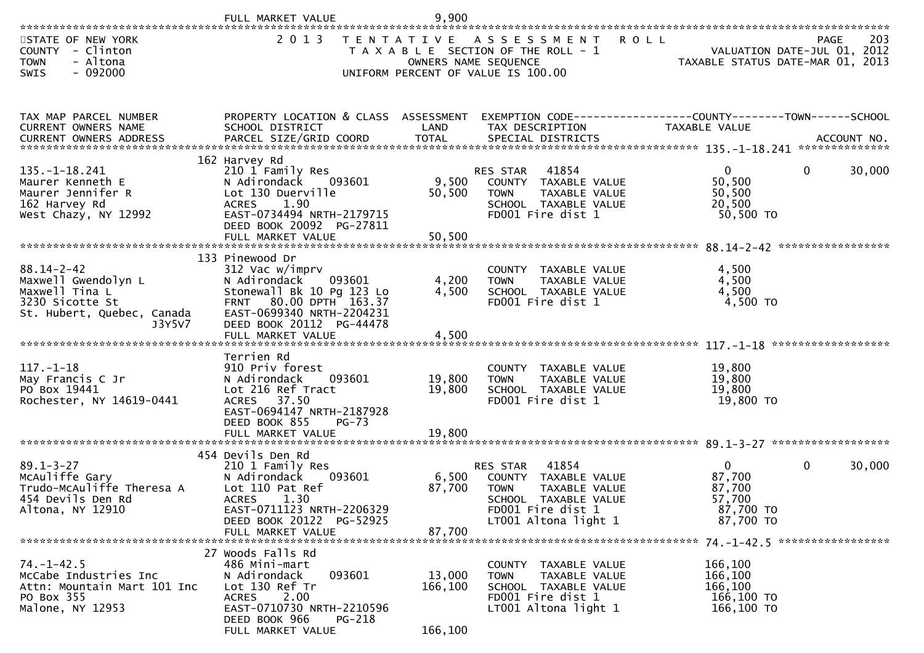|                                                                                                                      | FULL MARKET VALUE                                                                                                                                                                   | 9,900                        |                                                                                                                                                |                                                                        |                                                   |
|----------------------------------------------------------------------------------------------------------------------|-------------------------------------------------------------------------------------------------------------------------------------------------------------------------------------|------------------------------|------------------------------------------------------------------------------------------------------------------------------------------------|------------------------------------------------------------------------|---------------------------------------------------|
| STATE OF NEW YORK<br>COUNTY - Clinton<br>- Altona<br><b>TOWN</b><br>$-092000$<br>SWIS                                | 2 0 1 3                                                                                                                                                                             |                              | TENTATIVE ASSESSMENT<br>T A X A B L E SECTION OF THE ROLL - 1<br>OWNERS NAME SEQUENCE<br>UNIFORM PERCENT OF VALUE IS 100.00                    | <b>ROLL</b><br>TAXABLE STATUS DATE-MAR 01, 2013                        | 203<br><b>PAGE</b><br>VALUATION DATE-JUL 01, 2012 |
| TAX MAP PARCEL NUMBER<br>CURRENT OWNERS NAME                                                                         | PROPERTY LOCATION & CLASS ASSESSMENT<br>SCHOOL DISTRICT                                                                                                                             | LAND                         | EXEMPTION CODE------------------COUNTY--------TOWN------SCHOOL<br>TAX DESCRIPTION                                                              | TAXABLE VALUE                                                          |                                                   |
| $135. - 1 - 18.241$<br>Maurer Kenneth E<br>Maurer Jennifer R<br>162 Harvey Rd<br>West Chazy, NY 12992                | 162 Harvey Rd<br>210 1 Family Res<br>N Adirondack 093601<br>Lot 130 Duerville<br><b>ACRES</b><br>1.90<br>EAST-0734494 NRTH-2179715<br>DEED BOOK 20092 PG-27811<br>FULL MARKET VALUE | 9,500<br>50,500<br>50,500    | <b>RES STAR</b><br>41854<br>COUNTY TAXABLE VALUE<br><b>TOWN</b><br>TAXABLE VALUE<br>SCHOOL TAXABLE VALUE<br>FD001 Fire dist 1                  | $\overline{0}$<br>50,500<br>50,500<br>20,500<br>50,500 TO              | $\Omega$<br>30,000                                |
| $88.14 - 2 - 42$<br>Maxwell Gwendolyn L<br>Maxwell Tina L<br>3230 Sicotte St<br>St. Hubert, Quebec, Canada<br>J3Y5V7 | 133 Pinewood Dr<br>312 Vac w/imprv<br>N Adirondack<br>093601<br>Stonewall Bk 10 Pg 123 Lo<br>FRNT 80.00 DPTH 163.37<br>EAST-0699340 NRTH-2204231<br>DEED BOOK 20112 PG-44478        | 4,200<br>4,500               | COUNTY TAXABLE VALUE<br>TAXABLE VALUE<br><b>TOWN</b><br>SCHOOL TAXABLE VALUE<br>FD001 Fire dist 1                                              | 4,500<br>4,500<br>4,500<br>4,500 TO                                    |                                                   |
| $117. - 1 - 18$<br>May Francis C Jr<br>PO Box 19441<br>Rochester, NY 14619-0441                                      | Terrien Rd<br>910 Priv forest<br>N Adirondack<br>093601<br>Lot 216 Ref Tract<br>ACRES 37.50<br>EAST-0694147 NRTH-2187928<br>DEED BOOK 855<br>$PG-73$                                | 19,800<br>19,800             | COUNTY TAXABLE VALUE<br><b>TOWN</b><br>TAXABLE VALUE<br>SCHOOL TAXABLE VALUE<br>FD001 Fire dist 1                                              | 19,800<br>19,800<br>19,800<br>19,800 TO                                |                                                   |
| $89.1 - 3 - 27$<br>McAuliffe Gary<br>Trudo-McAuliffe Theresa A<br>454 Devils Den Rd<br>Altona, NY 12910              | 454 Devils Den Rd<br>210 1 Family Res<br>N Adirondack<br>093601<br>Lot 110 Pat Ref<br>ACRES<br>1.30<br>EAST-0711123 NRTH-2206329<br>DEED BOOK 20122 PG-52925<br>FULL MARKET VALUE   | 6,500<br>87,700<br>87,700    | 41854<br>RES STAR<br>COUNTY TAXABLE VALUE<br><b>TOWN</b><br>TAXABLE VALUE<br>SCHOOL TAXABLE VALUE<br>FD001 Fire dist 1<br>LT001 Altona light 1 | $\overline{0}$<br>87,700<br>87,700<br>57,700<br>87,700 TO<br>87,700 TO | 30,000<br>$\mathbf{0}$                            |
| $74. - 1 - 42.5$<br>McCabe Industries Inc<br>Attn: Mountain Mart 101 Inc<br>PO Box 355<br>Malone, NY 12953           | 27 Woods Falls Rd<br>486 Mini-mart<br>N Adirondack<br>093601<br>Lot 130 Ref Tr<br>2.00<br>ACRES<br>EAST-0710730 NRTH-2210596<br>DEED BOOK 966<br>PG-218<br>FULL MARKET VALUE        | 13,000<br>166,100<br>166,100 | TAXABLE VALUE<br><b>COUNTY</b><br>TAXABLE VALUE<br><b>TOWN</b><br>SCHOOL TAXABLE VALUE<br>FD001 Fire dist 1<br>LT001 Altona light 1            | 166,100<br>166,100<br>166,100<br>166,100 TO<br>166,100 TO              |                                                   |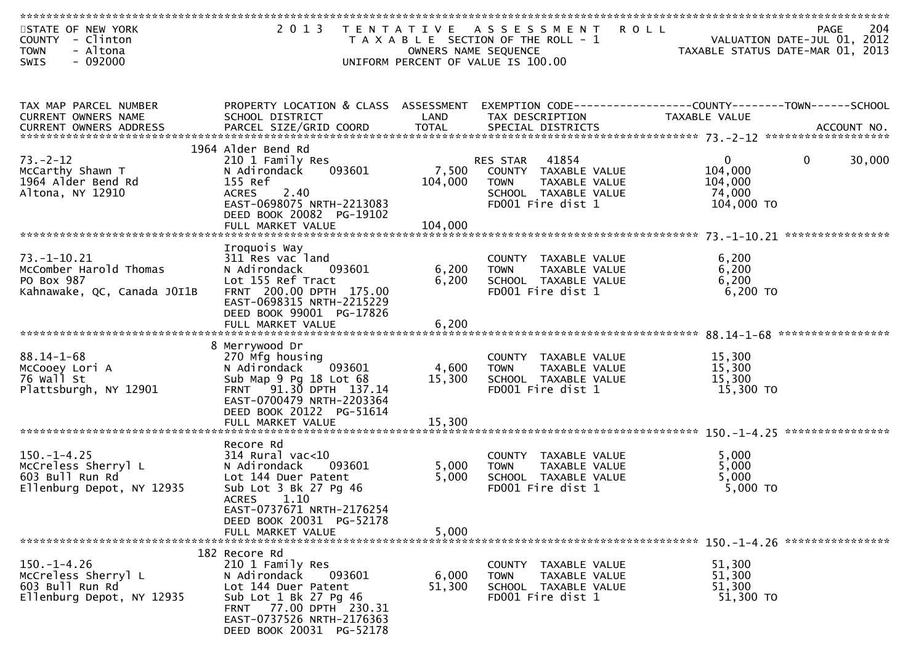| STATE OF NEW YORK<br><b>COUNTY</b><br>- Clinton<br>- Altona<br><b>TOWN</b> | 2 0 1 3                                                       | OWNERS NAME SEQUENCE | TENTATIVE ASSESSMENT<br>R O L L<br>T A X A B L E SECTION OF THE ROLL - 1 | TAXABLE STATUS DATE-MAR 01, 2013 | 204<br>PAGE<br>VALUATION DATE-JUL 01, 2012 |
|----------------------------------------------------------------------------|---------------------------------------------------------------|----------------------|--------------------------------------------------------------------------|----------------------------------|--------------------------------------------|
| $-092000$<br><b>SWIS</b>                                                   |                                                               |                      | UNIFORM PERCENT OF VALUE IS 100.00                                       |                                  |                                            |
|                                                                            |                                                               |                      |                                                                          |                                  |                                            |
| TAX MAP PARCEL NUMBER                                                      | PROPERTY LOCATION & CLASS ASSESSMENT                          |                      | EXEMPTION CODE------------------COUNTY--------TOWN------SCHOOL           |                                  |                                            |
| CURRENT OWNERS NAME                                                        | SCHOOL DISTRICT                                               | LAND                 | TAX DESCRIPTION                                                          | TAXABLE VALUE                    |                                            |
| <b>CURRENT OWNERS ADDRESS</b>                                              |                                                               |                      |                                                                          |                                  |                                            |
|                                                                            | 1964 Alder Bend Rd                                            |                      |                                                                          |                                  |                                            |
| $73. - 2 - 12$                                                             | 210 1 Family Res                                              |                      | 41854<br>RES STAR                                                        | $\mathbf{0}$                     | $\mathbf 0$<br>30,000                      |
| McCarthy Shawn T<br>1964 Alder Bend Rd                                     | 093601<br>N Adirondack<br>155 Ref                             | 7,500<br>104,000     | COUNTY TAXABLE VALUE<br>TAXABLE VALUE<br><b>TOWN</b>                     | 104,000<br>104,000               |                                            |
| Altona, NY 12910                                                           | 2.40<br><b>ACRES</b>                                          |                      | SCHOOL TAXABLE VALUE                                                     | 74,000                           |                                            |
|                                                                            | EAST-0698075 NRTH-2213083                                     |                      | FD001 Fire dist 1                                                        | 104,000 TO                       |                                            |
|                                                                            | DEED BOOK 20082 PG-19102<br>FULL MARKET VALUE                 | 104,000              |                                                                          |                                  |                                            |
|                                                                            |                                                               |                      |                                                                          |                                  |                                            |
|                                                                            | Iroquois Way                                                  |                      |                                                                          |                                  |                                            |
| $73. - 1 - 10.21$<br>McComber Harold Thomas                                | 311 Res vac land<br>N Adirondack<br>093601                    | 6,200                | COUNTY TAXABLE VALUE<br>TAXABLE VALUE<br><b>TOWN</b>                     | 6,200<br>6,200                   |                                            |
| PO Box 987                                                                 | Lot 155 Ref Tract                                             | 6,200                | SCHOOL TAXABLE VALUE                                                     | 6,200                            |                                            |
| Kahnawake, QC, Canada JOI1B                                                | FRNT 200.00 DPTH 175.00                                       |                      | FD001 Fire dist 1                                                        | $6,200$ TO                       |                                            |
|                                                                            | EAST-0698315 NRTH-2215229<br>DEED BOOK 99001 PG-17826         |                      |                                                                          |                                  |                                            |
|                                                                            | FULL MARKET VALUE                                             | 6,200                |                                                                          |                                  |                                            |
|                                                                            |                                                               |                      |                                                                          |                                  |                                            |
| $88.14 - 1 - 68$                                                           | 8 Merrywood Dr<br>270 Mfg housing                             |                      | COUNTY TAXABLE VALUE                                                     | 15,300                           |                                            |
| McCooey Lori A                                                             | 093601<br>N Adirondack                                        | 4,600                | <b>TOWN</b><br>TAXABLE VALUE                                             | 15,300                           |                                            |
| 76 Wall St                                                                 | Sub Map 9 Pg 18 Lot 68                                        | 15,300               | SCHOOL TAXABLE VALUE                                                     | 15,300                           |                                            |
| Plattsburgh, NY 12901                                                      | 91.30 DPTH 137.14<br><b>FRNT</b><br>EAST-0700479 NRTH-2203364 |                      | FD001 Fire dist 1                                                        | 15,300 TO                        |                                            |
|                                                                            | DEED BOOK 20122 PG-51614                                      |                      |                                                                          |                                  |                                            |
|                                                                            | FULL MARKET VALUE                                             | 15,300               |                                                                          |                                  |                                            |
|                                                                            | Recore Rd                                                     |                      |                                                                          |                                  |                                            |
| $150. - 1 - 4.25$                                                          | $314$ Rural vac<10                                            |                      | COUNTY TAXABLE VALUE                                                     | 5,000                            |                                            |
| McCreless Sherryl L<br>603 Bull Run Rd                                     | N Adirondack<br>093601                                        | 5,000                | TAXABLE VALUE<br><b>TOWN</b>                                             | 5,000                            |                                            |
| Ellenburg Depot, NY 12935                                                  | Lot 144 Duer Patent<br>Sub Lot 3 Bk 27 Pg 46                  | 5,000                | SCHOOL TAXABLE VALUE<br>FD001 Fire dist 1                                | 5,000<br>$5,000$ TO              |                                            |
|                                                                            | <b>ACRES</b><br>1.10                                          |                      |                                                                          |                                  |                                            |
|                                                                            | EAST-0737671 NRTH-2176254                                     |                      |                                                                          |                                  |                                            |
|                                                                            | DEED BOOK 20031 PG-52178<br>FULL MARKET VALUE                 | 5,000                |                                                                          |                                  |                                            |
|                                                                            |                                                               |                      |                                                                          |                                  |                                            |
| $150.-1-4.26$                                                              | 182 Recore Rd<br>210 1 Family Res                             |                      |                                                                          | 51,300                           |                                            |
| McCreless Sherryl L                                                        | 093601<br>N Adirondack                                        | 6,000                | COUNTY TAXABLE VALUE<br>TAXABLE VALUE<br><b>TOWN</b>                     | 51,300                           |                                            |
| 603 Bull Run Rd                                                            | Lot 144 Duer Patent                                           | 51,300               | SCHOOL TAXABLE VALUE                                                     | 51,300                           |                                            |
| Ellenburg Depot, NY 12935                                                  | Sub Lot 1 Bk 27 Pg 46<br>FRNT 77.00 DPTH 230.31               |                      | FD001 Fire dist 1                                                        | 51,300 TO                        |                                            |
|                                                                            | EAST-0737526 NRTH-2176363                                     |                      |                                                                          |                                  |                                            |
|                                                                            | DEED BOOK 20031 PG-52178                                      |                      |                                                                          |                                  |                                            |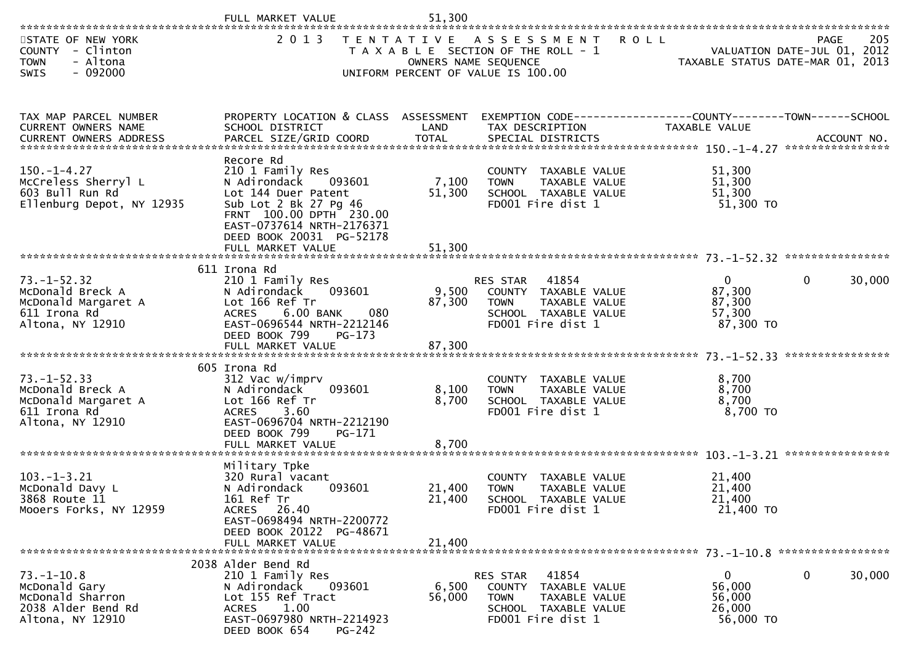|                                                                                                  | FULL MARKET VALUE                                                                                                                                                                                                | 51,300                     |                                                                                                                             |                                                         |                                                                                       |
|--------------------------------------------------------------------------------------------------|------------------------------------------------------------------------------------------------------------------------------------------------------------------------------------------------------------------|----------------------------|-----------------------------------------------------------------------------------------------------------------------------|---------------------------------------------------------|---------------------------------------------------------------------------------------|
| STATE OF NEW YORK<br>COUNTY - Clinton<br>- Altona<br><b>TOWN</b><br>$-092000$<br>SWIS            | 2 0 1 3                                                                                                                                                                                                          |                            | TENTATIVE ASSESSMENT<br>T A X A B L E SECTION OF THE ROLL - 1<br>OWNERS NAME SEQUENCE<br>UNIFORM PERCENT OF VALUE IS 100.00 | <b>ROLL</b>                                             | 205<br><b>PAGE</b><br>VALUATION DATE-JUL 01, 2012<br>TAXABLE STATUS DATE-MAR 01, 2013 |
| TAX MAP PARCEL NUMBER<br>CURRENT OWNERS NAME                                                     | PROPERTY LOCATION & CLASS ASSESSMENT<br>SCHOOL DISTRICT                                                                                                                                                          | LAND                       | EXEMPTION CODE------------------COUNTY--------TOWN------SCHOOL<br>TAX DESCRIPTION                                           | TAXABLE VALUE                                           |                                                                                       |
| $150. - 1 - 4.27$<br>McCreless Sherryl L<br>603 Bull Run Rd<br>Ellenburg Depot, NY 12935         | Recore Rd<br>210 1 Family Res<br>N Adirondack<br>093601<br>Lot 144 Duer Patent<br>Sub Lot 2 Bk 27 Pg 46<br>FRNT 100.00 DPTH 230.00<br>EAST-0737614 NRTH-2176371<br>DEED BOOK 20031 PG-52178<br>FULL MARKET VALUE | 7,100<br>51,300<br>51,300  | COUNTY TAXABLE VALUE<br>TAXABLE VALUE<br><b>TOWN</b><br>SCHOOL TAXABLE VALUE<br>FD001 Fire dist 1                           | 51,300<br>51,300<br>51,300<br>51,300 TO                 |                                                                                       |
|                                                                                                  |                                                                                                                                                                                                                  |                            |                                                                                                                             |                                                         |                                                                                       |
| $73. - 1 - 52.32$<br>McDonald Breck A<br>McDonald Margaret A<br>611 Irona Rd<br>Altona, NY 12910 | 611 Irona Rd<br>210 1 Family Res<br>093601<br>N Adirondack<br>Lot 166 Ref Tr<br>6.00 BANK<br><b>ACRES</b><br>080<br>EAST-0696544 NRTH-2212146<br>DEED BOOK 799<br>PG-173<br>FULL MARKET VALUE                    | 9,500<br>87,300<br>87,300  | 41854<br>RES STAR<br>COUNTY TAXABLE VALUE<br>TAXABLE VALUE<br><b>TOWN</b><br>SCHOOL TAXABLE VALUE<br>FD001 Fire dist 1      | $\mathbf{0}$<br>87,300<br>87,300<br>57,300<br>87,300 TO | 30,000<br>$\mathbf{0}$                                                                |
| $73. - 1 - 52.33$<br>McDonald Breck A<br>McDonald Margaret A<br>611 Irona Rd<br>Altona, NY 12910 | 605 Irona Rd<br>312 Vac w/imprv<br>N Adirondack<br>093601<br>Lot 166 Ref Tr<br><b>ACRES</b><br>3.60<br>EAST-0696704 NRTH-2212190<br>DEED BOOK 799<br>PG-171<br>FULL MARKET VALUE                                 | 8,100<br>8,700<br>8,700    | COUNTY TAXABLE VALUE<br>TAXABLE VALUE<br><b>TOWN</b><br>SCHOOL TAXABLE VALUE<br>FD001 Fire dist 1                           | 8,700<br>8,700<br>8,700<br>8,700 TO                     |                                                                                       |
| $103. -1 - 3.21$<br>McDonald Davy L<br>3868 Route 11<br>Mooers Forks, NY 12959                   | Military Tpke<br>320 Rural vacant<br>093601<br>N Adirondack<br>161 Ref Tr<br>ACRES 26.40<br>EAST-0698494 NRTH-2200772<br>DEED BOOK 20122 PG-48671<br>FULL MARKET VALUE                                           | 21,400<br>21,400<br>21,400 | COUNTY TAXABLE VALUE<br><b>TOWN</b><br>TAXABLE VALUE<br>SCHOOL TAXABLE VALUE<br>FD001 Fire dist 1                           | 21,400<br>21,400<br>21,400<br>21,400 TO                 |                                                                                       |
| $73. - 1 - 10.8$<br>McDonald Gary<br>McDonald Sharron<br>2038 Alder Bend Rd<br>Altona, NY 12910  | 2038 Alder Bend Rd<br>210 1 Family Res<br>N Adirondack<br>093601<br>Lot 155 Ref Tract<br>1.00<br><b>ACRES</b><br>EAST-0697980 NRTH-2214923<br>PG-242<br>DEED BOOK 654                                            | 6,500<br>56,000            | 41854<br>RES STAR<br>COUNTY TAXABLE VALUE<br>TAXABLE VALUE<br><b>TOWN</b><br>SCHOOL TAXABLE VALUE<br>FD001 Fire dist 1      | $\mathbf{0}$<br>56,000<br>56,000<br>26,000<br>56,000 TO | 30,000<br>$\mathbf{0}$                                                                |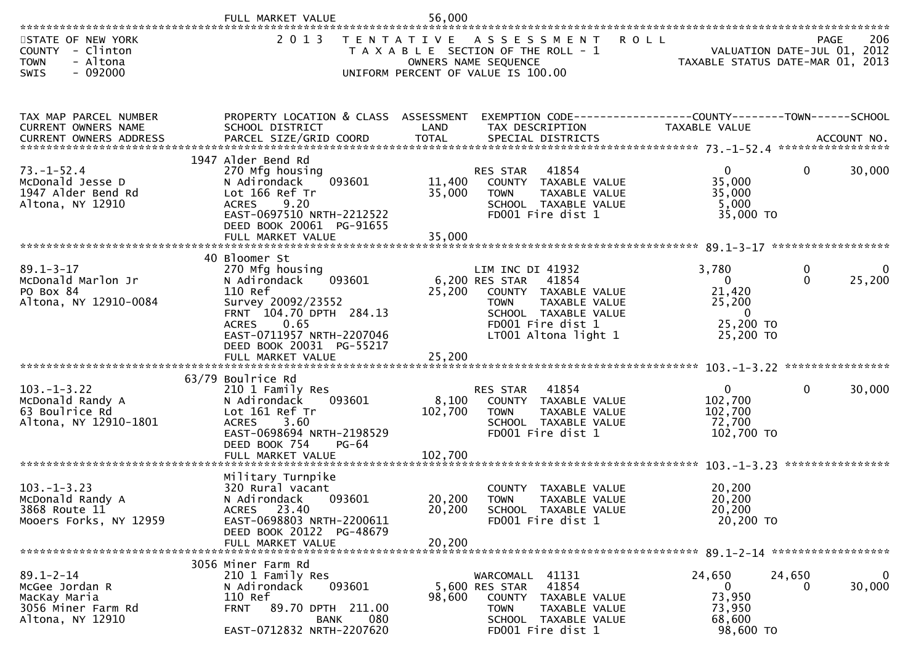|                                                                                             | FULL MARKET VALUE                                                                                                                                                                       | 56,000                      |                                                                                                                                                                                 |                                                                                         |                                     |                       |
|---------------------------------------------------------------------------------------------|-----------------------------------------------------------------------------------------------------------------------------------------------------------------------------------------|-----------------------------|---------------------------------------------------------------------------------------------------------------------------------------------------------------------------------|-----------------------------------------------------------------------------------------|-------------------------------------|-----------------------|
| STATE OF NEW YORK<br>COUNTY - Clinton<br>- Altona<br><b>TOWN</b><br>$-092000$<br>SWIS       | 2 0 1 3                                                                                                                                                                                 |                             | TENTATIVE ASSESSMENT<br>T A X A B L E SECTION OF THE ROLL - 1<br>OWNERS NAME SEQUENCE<br>UNIFORM PERCENT OF VALUE IS 100.00                                                     | <b>ROLL</b><br>TAXABLE STATUS DATE-MAR 01, 2013                                         | PAGE<br>VALUATION DATE-JUL 01, 2012 | 206                   |
| TAX MAP PARCEL NUMBER<br>CURRENT OWNERS NAME                                                | PROPERTY LOCATION & CLASS ASSESSMENT<br>SCHOOL DISTRICT                                                                                                                                 | LAND                        | EXEMPTION CODE------------------COUNTY--------TOWN------SCHOOL<br>TAX DESCRIPTION                                                                                               | TAXABLE VALUE                                                                           |                                     |                       |
| $73. - 1 - 52.4$<br>McDonald Jesse D<br>1947 Alder Bend Rd<br>Altona, NY 12910              | 1947 Alder Bend Rd<br>270 Mfg housing<br>093601<br>N Adirondack<br>Lot 166 Ref Tr<br>9.20<br><b>ACRES</b><br>EAST-0697510 NRTH-2212522<br>DEED BOOK 20061 PG-91655<br>FULL MARKET VALUE | 11,400<br>35,000<br>35,000  | RES STAR<br>41854<br>COUNTY TAXABLE VALUE<br><b>TOWN</b><br>TAXABLE VALUE<br>SCHOOL TAXABLE VALUE<br>FD001 Fire dist 1                                                          | $\overline{0}$<br>35,000<br>35,000<br>5,000<br>35,000 TO                                | $\overline{0}$                      | 30,000                |
|                                                                                             | 40 Bloomer St                                                                                                                                                                           |                             |                                                                                                                                                                                 |                                                                                         |                                     |                       |
| $89.1 - 3 - 17$<br>McDonald Marlon Jr<br>PO Box 84<br>Altona, NY 12910-0084                 | 270 Mfg housing<br>093601<br>N Adirondack<br>110 Ref<br>Survey 20092/23552<br>FRNT 104.70 DPTH 284.13<br>0.65<br><b>ACRES</b><br>EAST-0711957 NRTH-2207046<br>DEED BOOK 20031 PG-55217  | 25,200                      | LIM INC DI 41932<br>6,200 RES STAR<br>41854<br>COUNTY TAXABLE VALUE<br><b>TAXABLE VALUE</b><br><b>TOWN</b><br>SCHOOL TAXABLE VALUE<br>FD001 Fire dist 1<br>LT001 Altona light 1 | 3,780<br>$\overline{0}$<br>21,420<br>25,200<br>$\overline{0}$<br>25,200 TO<br>25,200 TO | 0<br>$\Omega$                       | 0<br>25,200           |
| $103. -1 - 3.22$<br>McDonald Randy A<br>63 Boulrice Rd<br>Altona, NY 12910-1801             | 63/79 Boulrice Rd<br>210 1 Family Res<br>093601<br>N Adirondack<br>Lot 161 Ref Tr<br>ACRES 3.60<br>EAST-0698694 NRTH-2198529<br>DEED BOOK 754<br>PG-64<br>FULL MARKET VALUE             | 8,100<br>102,700<br>102,700 | 41854<br>RES STAR<br>COUNTY TAXABLE VALUE<br>TAXABLE VALUE<br><b>TOWN</b><br>SCHOOL TAXABLE VALUE<br>FD001 Fire dist 1                                                          | $\overline{0}$<br>102,700<br>102,700<br>72,700<br>102,700 TO                            | $\mathbf{0}$                        | 30,000                |
| $103. -1 - 3.23$<br>McDonald Randy A<br>3868 Route 11<br>Mooers Forks, NY 12959             | Military Turnpike<br>320 Rural vacant<br>093601<br>N Adirondack<br>ACRES 23.40<br>EAST-0698803 NRTH-2200611<br>DEED BOOK 20122 PG-48679<br>FULL MARKET VALUE                            | 20,200<br>20,200<br>20,200  | COUNTY TAXABLE VALUE<br><b>TOWN</b><br>TAXABLE VALUE<br>SCHOOL TAXABLE VALUE<br>FD001 Fire dist 1                                                                               | 20,200<br>20,200<br>20,200<br>20,200 TO                                                 |                                     |                       |
| $89.1 - 2 - 14$<br>McGee Jordan R<br>MacKay Maria<br>3056 Miner Farm Rd<br>Altona, NY 12910 | 3056 Miner Farm Rd<br>210 1 Family Res<br>N Adirondack<br>093601<br>110 Ref<br><b>FRNT</b><br>89.70 DPTH 211.00<br>080<br>BANK<br>EAST-0712832 NRTH-2207620                             | 98,600                      | WARCOMALL 41131<br>41854<br>5,600 RES STAR<br><b>COUNTY</b><br>TAXABLE VALUE<br>TAXABLE VALUE<br>TOWN<br>SCHOOL TAXABLE VALUE<br>FD001 Fire dist 1                              | 24,650<br>$\mathbf{0}$<br>73,950<br>73,950<br>68,600<br>98,600 TO                       | 24,650<br>0                         | $\mathbf 0$<br>30,000 |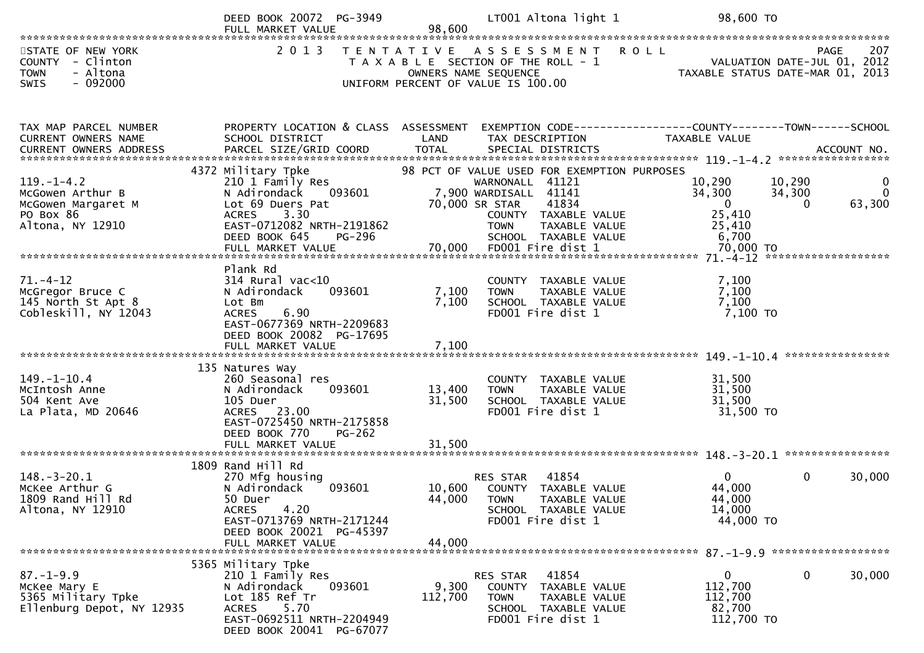|                                                                                              | DEED BOOK 20072 PG-3949<br>FULL MARKET VALUE                                                                                                                                       | 98,600                     | LT001 Altona light 1                                                                                                                                                                                                    | 98,600 TO                                                                    |                                                         |
|----------------------------------------------------------------------------------------------|------------------------------------------------------------------------------------------------------------------------------------------------------------------------------------|----------------------------|-------------------------------------------------------------------------------------------------------------------------------------------------------------------------------------------------------------------------|------------------------------------------------------------------------------|---------------------------------------------------------|
| STATE OF NEW YORK<br>COUNTY - Clinton<br><b>TOWN</b><br>- Altona<br>$-092000$<br><b>SWIS</b> | 2 0 1 3                                                                                                                                                                            |                            | TENTATIVE ASSESSMENT ROLL<br>T A X A B L E SECTION OF THE ROLL - 1<br>OWNERS NAME SEQUENCE<br>UNIFORM PERCENT OF VALUE IS 100.00                                                                                        | - 1<br>VALUATION DATE-JUL 01, 2012<br>TAXABLE STATUS DATE-MAR 01, 2013       | 207<br><b>PAGE</b>                                      |
| TAX MAP PARCEL NUMBER                                                                        | PROPERTY LOCATION & CLASS ASSESSMENT EXEMPTION CODE----------------COUNTY-------TOWN------SCHOOL                                                                                   |                            |                                                                                                                                                                                                                         |                                                                              |                                                         |
| CURRENT OWNERS NAME<br>CURRENT OWNERS ADDRESS                                                | SCHOOL DISTRICT                                                                                                                                                                    | LAND                       | TAX DESCRIPTION                                                                                                                                                                                                         | TAXABLE VALUE                                                                |                                                         |
| $119. - 1 - 4.2$<br>McGowen Arthur B<br>McGowen Margaret M<br>PO Box 86<br>Altona, NY 12910  | 4372 Military Tpke<br>210 1 Family Res<br>N Adirondack<br>093601<br>Lot 69 Duers Pat<br>3.30<br>ACRES<br>EAST-0712082 NRTH-2191862<br>DEED BOOK 645<br>PG-296<br>FULL MARKET VALUE | 70,000                     | 98 PCT OF VALUE USED FOR EXEMPTION PURPOSES<br>WARNONALL 41121<br>7,900 WARDISALL 41141<br>70,000 SR STAR<br>41834<br>COUNTY TAXABLE VALUE<br><b>TOWN</b><br>TAXABLE VALUE<br>SCHOOL TAXABLE VALUE<br>FD001 Fire dist 1 | 10,290<br>34,300<br>$\overline{0}$<br>25,410<br>25,410<br>6,700<br>70,000 TO | 10,290<br>0<br>$\Omega$<br>34,300<br>63,300<br>$\Omega$ |
|                                                                                              |                                                                                                                                                                                    |                            |                                                                                                                                                                                                                         |                                                                              |                                                         |
| $71. - 4 - 12$<br>McGregor Bruce C<br>145 North St Apt 8<br>Cobleskill, NY 12043             | Plank Rd<br>$314$ Rural vac<10<br>093601<br>N Adirondack<br>Lot Bm<br>6.90<br><b>ACRES</b><br>EAST-0677369 NRTH-2209683<br>DEED BOOK 20082 PG-17695                                | 7,100<br>7,100             | COUNTY TAXABLE VALUE<br><b>TOWN</b><br>TAXABLE VALUE<br>SCHOOL TAXABLE VALUE<br>FD001 Fire dist 1                                                                                                                       | 7,100<br>7,100<br>7,100<br>7,100 TO                                          |                                                         |
|                                                                                              | FULL MARKET VALUE                                                                                                                                                                  | 7,100                      |                                                                                                                                                                                                                         |                                                                              | ****************                                        |
| $149. - 1 - 10.4$<br>McIntosh Anne<br>504 Kent Ave<br>La Plata, MD 20646                     | 135 Natures Way<br>260 Seasonal res<br>093601<br>N Adirondack<br>105 Duer<br>ACRES 23.00<br>EAST-0725450 NRTH-2175858<br>DEED BOOK 770<br>$PG-262$<br>FULL MARKET VALUE            | 13,400<br>31,500<br>31,500 | COUNTY TAXABLE VALUE<br><b>TOWN</b><br>TAXABLE VALUE<br>SCHOOL TAXABLE VALUE<br>FD001 Fire dist 1                                                                                                                       | 31,500<br>31,500<br>31,500<br>31,500 TO                                      |                                                         |
|                                                                                              |                                                                                                                                                                                    |                            |                                                                                                                                                                                                                         |                                                                              |                                                         |
| $148.-3-20.1$<br>McKee Arthur G<br>1809 Rand Hill Rd<br>Altona, NY 12910                     | 1809 Rand Hill Rd<br>270 Mfg housing<br>093601<br>N Adirondack<br>50 Duer<br>4.20<br><b>ACRES</b><br>EAST-0713769 NRTH-2171244<br>DEED BOOK 20021 PG-45397                         | 10,600<br>44,000           | 41854<br>RES STAR<br>COUNTY TAXABLE VALUE<br><b>TOWN</b><br>TAXABLE VALUE<br>SCHOOL TAXABLE VALUE<br>FD001 Fire dist 1                                                                                                  | $\Omega$<br>44,000<br>44,000<br>14,000<br>44,000 TO                          | $\mathbf{0}$<br>30,000                                  |
|                                                                                              | FULL MARKET VALUE                                                                                                                                                                  | 44,000                     |                                                                                                                                                                                                                         |                                                                              |                                                         |
| $87. - 1 - 9.9$<br>McKee Mary E<br>5365 Military Tpke<br>Ellenburg Depot, NY 12935           | 5365 Military Tpke<br>210 1 Family Res<br>093601<br>N Adirondack<br>Lot 185 Ref Tr<br><b>ACRES</b><br>5.70<br>EAST-0692511 NRTH-2204949<br>DEED BOOK 20041 PG-67077                | 9,300<br>112,700           | 41854<br>RES STAR<br>COUNTY<br>TAXABLE VALUE<br>TAXABLE VALUE<br><b>TOWN</b><br>SCHOOL TAXABLE VALUE<br>FD001 Fire dist 1                                                                                               | 0<br>112,700<br>112,700<br>82,700<br>112,700 TO                              | $\bf{0}$<br>30,000                                      |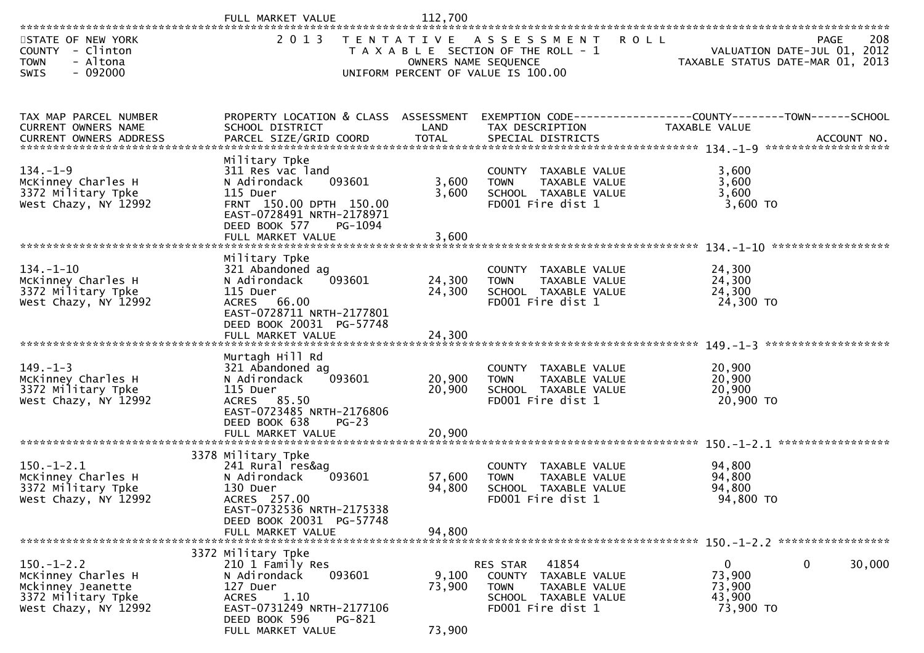|                                                                                                           | FULL MARKET VALUE                                                                                                                                                                 | 112,700                    |                                                                                                                           |                                                         |                                            |
|-----------------------------------------------------------------------------------------------------------|-----------------------------------------------------------------------------------------------------------------------------------------------------------------------------------|----------------------------|---------------------------------------------------------------------------------------------------------------------------|---------------------------------------------------------|--------------------------------------------|
| STATE OF NEW YORK<br>COUNTY - Clinton<br><b>TOWN</b><br>- Altona<br>$-092000$<br><b>SWIS</b>              | 2 0 1 3                                                                                                                                                                           | OWNERS NAME SEQUENCE       | TENTATIVE ASSESSMENT<br>T A X A B L E SECTION OF THE ROLL - 1<br>UNIFORM PERCENT OF VALUE IS 100.00                       | <b>ROLL</b><br>TAXABLE STATUS DATE-MAR 01, 2013         | 208<br>PAGE<br>VALUATION DATE-JUL 01, 2012 |
| TAX MAP PARCEL NUMBER<br>CURRENT OWNERS NAME                                                              | PROPERTY LOCATION & CLASS ASSESSMENT<br>SCHOOL DISTRICT                                                                                                                           | LAND                       | EXEMPTION CODE------------------COUNTY--------TOWN------SCHOOL<br>TAX DESCRIPTION                                         | TAXABLE VALUE                                           |                                            |
| $134. - 1 - 9$<br>McKinney Charles H<br>3372 Military Tpke<br>West Chazy, NY 12992                        | Military Tpke<br>311 Res vac land<br>093601<br>N Adirondack<br>115 Duer<br>FRNT 150.00 DPTH 150.00<br>EAST-0728491 NRTH-2178971<br>DEED BOOK 577<br>PG-1094<br>FULL MARKET VALUE  | 3,600<br>3,600<br>3,600    | COUNTY TAXABLE VALUE<br><b>TOWN</b><br>TAXABLE VALUE<br>SCHOOL TAXABLE VALUE<br>FD001 Fire dist 1                         | 3,600<br>3,600<br>3,600<br>3,600 TO                     |                                            |
| $134. - 1 - 10$<br>McKinney Charles H<br>3372 Military Tpke<br>West Chazy, NY 12992                       | Military Tpke<br>321 Abandoned ag<br>093601<br>N Adirondack<br>115 Duer<br>ACRES 66.00<br>EAST-0728711 NRTH-2177801<br>DEED BOOK 20031 PG-57748<br>FULL MARKET VALUE              | 24,300<br>24,300<br>24,300 | COUNTY TAXABLE VALUE<br>TAXABLE VALUE<br><b>TOWN</b><br>SCHOOL TAXABLE VALUE<br>FD001 Fire dist 1                         | 24,300<br>24,300<br>24,300<br>24,300 TO                 |                                            |
| $149. - 1 - 3$<br>McKinney Charles H<br>3372 Military Tpke<br>West Chazy, NY 12992                        | Murtagh Hill Rd<br>321 Abandoned ag<br>093601<br>N Adirondack<br>115 Duer<br>ACRES 85.50<br>EAST-0723485 NRTH-2176806<br>DEED BOOK 638<br>$PG-23$<br>FULL MARKET VALUE            | 20,900<br>20,900<br>20,900 | COUNTY TAXABLE VALUE<br><b>TOWN</b><br>TAXABLE VALUE<br>SCHOOL TAXABLE VALUE<br>FD001 Fire dist 1                         | 20,900<br>20,900<br>20,900<br>20,900 TO                 | *******************                        |
| $150.-1-2.1$<br>McKinney Charles H<br>3372 Military Tpke<br>West Chazy, NY 12992                          | 3378 Military Tpke<br>241 Rural res&ag<br>093601<br>N Adirondack<br>130 Duer<br>ACRES 257.00<br>EAST-0732536 NRTH-2175338<br>DEED BOOK 20031 PG-57748<br>FULL MARKET VALUE        | 57,600<br>94,800<br>94,800 | COUNTY<br>TAXABLE VALUE<br>TAXABLE VALUE<br><b>TOWN</b><br>SCHOOL TAXABLE VALUE<br>FD001 Fire dist 1                      | 94,800<br>94,800<br>94,800<br>94,800 TO                 |                                            |
| $150. - 1 - 2.2$<br>McKinney Charles H<br>Mckinney Jeanette<br>3372 Military Tpke<br>West Chazy, NY 12992 | 3372 Military Tpke<br>210 1 Family Res<br>N Adirondack<br>093601<br>127 Duer<br>1.10<br><b>ACRES</b><br>EAST-0731249 NRTH-2177106<br>DEED BOOK 596<br>PG-821<br>FULL MARKET VALUE | 9,100<br>73,900<br>73,900  | RES STAR<br>41854<br>COUNTY<br>TAXABLE VALUE<br><b>TOWN</b><br>TAXABLE VALUE<br>SCHOOL TAXABLE VALUE<br>FD001 Fire dist 1 | $\mathbf{0}$<br>73,900<br>73,900<br>43,900<br>73,900 TO | 30,000<br>0                                |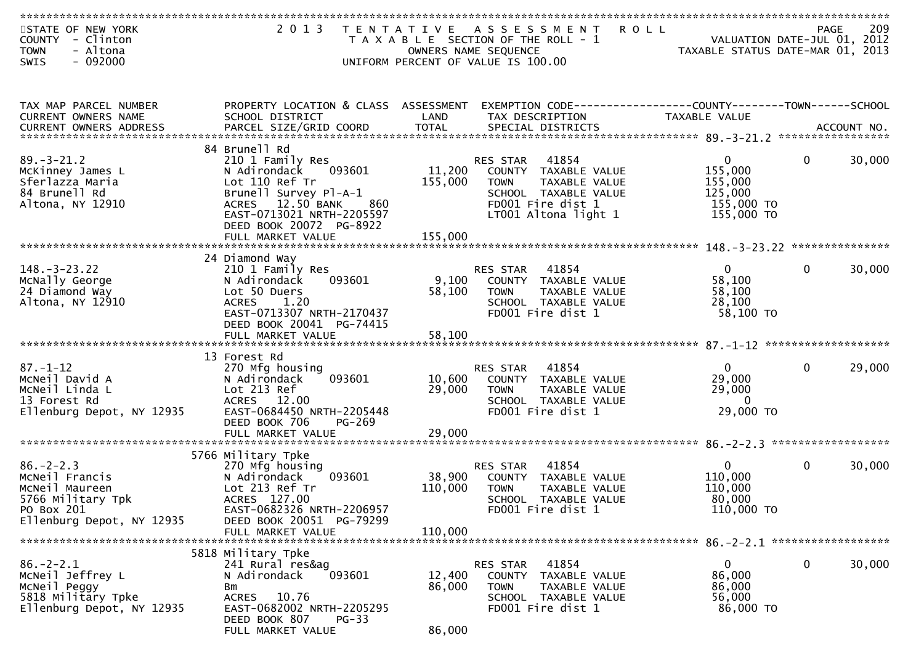| STATE OF NEW YORK          | 2 0 1 3                                           |                 | TENTATIVE ASSESSMENT                                         | <b>ROLL</b>                      | <b>PAGE</b>  | 209    |
|----------------------------|---------------------------------------------------|-----------------|--------------------------------------------------------------|----------------------------------|--------------|--------|
| COUNTY<br>- Clinton        |                                                   |                 | T A X A B L E SECTION OF THE ROLL - 1                        | VALUATION DATE-JUL 01, 2012      |              |        |
| - Altona<br><b>TOWN</b>    |                                                   |                 | OWNERS NAME SEQUENCE                                         | TAXABLE STATUS DATE-MAR 01, 2013 |              |        |
| $-092000$<br><b>SWIS</b>   |                                                   |                 | UNIFORM PERCENT OF VALUE IS 100.00                           |                                  |              |        |
|                            |                                                   |                 |                                                              |                                  |              |        |
|                            |                                                   |                 |                                                              |                                  |              |        |
|                            |                                                   |                 |                                                              |                                  |              |        |
| TAX MAP PARCEL NUMBER      | PROPERTY LOCATION & CLASS ASSESSMENT              |                 | EXEMPTION CODE-----------------COUNTY-------TOWN------SCHOOL |                                  |              |        |
| <b>CURRENT OWNERS NAME</b> | SCHOOL DISTRICT                                   | LAND            | TAX DESCRIPTION                                              | <b>TAXABLE VALUE</b>             |              |        |
|                            |                                                   |                 |                                                              |                                  |              |        |
|                            |                                                   |                 |                                                              |                                  |              |        |
|                            | 84 Brunell Rd                                     |                 |                                                              |                                  |              |        |
| $89. - 3 - 21.2$           | 210 1 Family Res                                  |                 | 41854<br>RES STAR                                            | $\mathbf{0}$                     | $\mathbf{0}$ | 30,000 |
| McKinney James L           | 093601<br>N Adirondack                            | 11,200          | COUNTY TAXABLE VALUE                                         | 155,000                          |              |        |
| Sferlazza Maria            | Lot 110 Ref Tr                                    | 155,000         | <b>TOWN</b><br>TAXABLE VALUE                                 | 155,000                          |              |        |
| 84 Brunell Rd              | Brunell Survey Pl-A-1                             |                 | SCHOOL TAXABLE VALUE                                         | 125,000                          |              |        |
| Altona, NY 12910           | 12.50 BANK<br><b>ACRES</b><br>860                 |                 | FD001 Fire dist 1                                            | 155,000 TO                       |              |        |
|                            | EAST-0713021 NRTH-2205597                         |                 | LT001 Altona light 1                                         | 155,000 TO                       |              |        |
|                            | DEED BOOK 20072 PG-8922                           |                 |                                                              |                                  |              |        |
|                            | FULL MARKET VALUE                                 | 155,000         |                                                              |                                  |              |        |
|                            |                                                   |                 |                                                              |                                  |              |        |
| $148. - 3 - 23.22$         | 24 Diamond Way                                    |                 | 41854                                                        | $\overline{0}$                   | $\mathbf{0}$ |        |
| McNally George             | 210 1 Family Res                                  |                 | RES STAR                                                     | 58,100                           |              | 30,000 |
|                            | N Adirondack<br>093601                            | 9,100<br>58,100 | COUNTY TAXABLE VALUE<br><b>TOWN</b>                          |                                  |              |        |
| 24 Diamond Way             | Lot 50 Duers                                      |                 | TAXABLE VALUE                                                | 58,100                           |              |        |
| Altona, NY 12910           | <b>ACRES</b><br>1.20<br>EAST-0713307 NRTH-2170437 |                 | SCHOOL TAXABLE VALUE<br>FD001 Fire dist 1                    | 28,100<br>58,100 TO              |              |        |
|                            |                                                   |                 |                                                              |                                  |              |        |
|                            | DEED BOOK 20041 PG-74415                          |                 |                                                              |                                  |              |        |
|                            |                                                   |                 |                                                              |                                  |              |        |
|                            | 13 Forest Rd                                      |                 |                                                              |                                  |              |        |
| $87. - 1 - 12$             | 270 Mfg housing                                   |                 | 41854<br><b>RES STAR</b>                                     | $\overline{0}$                   | $\mathbf 0$  | 29,000 |
| MCNeil David A             | 093601<br>N Adirondack                            | 10,600          | COUNTY TAXABLE VALUE                                         | 29,000                           |              |        |
| McNeil Linda L             | Lot 213 Ref                                       | 29,000          | TAXABLE VALUE<br><b>TOWN</b>                                 | 29,000                           |              |        |
| 13 Forest Rd               | ACRES 12.00                                       |                 | SCHOOL TAXABLE VALUE                                         | $\Omega$                         |              |        |
| Ellenburg Depot, NY 12935  | EAST-0684450 NRTH-2205448                         |                 | FD001 Fire dist 1                                            | 29,000 TO                        |              |        |
|                            | DEED BOOK 706<br>PG-269                           |                 |                                                              |                                  |              |        |
|                            |                                                   |                 |                                                              |                                  |              |        |
|                            |                                                   |                 |                                                              |                                  |              |        |
|                            | 5766 Military Tpke                                |                 |                                                              |                                  |              |        |
| $86. - 2 - 2.3$            | 270 Mfg housing                                   |                 | 41854<br>RES STAR                                            | $\overline{0}$                   | $\mathbf 0$  | 30,000 |
| MCNeil Francis             | N Adirondack<br>093601                            | 38,900          | COUNTY TAXABLE VALUE                                         | 110,000                          |              |        |
| McNeil Maureen             | Lot 213 Ref Tr                                    | 110,000         | <b>TOWN</b><br><b>TAXABLE VALUE</b>                          | 110,000                          |              |        |
| 5766 Military Tpk          | ACRES 127.00                                      |                 | SCHOOL TAXABLE VALUE                                         | 80,000                           |              |        |
| PO Box 201                 | EAST-0682326 NRTH-2206957                         |                 | FD001 Fire dist 1                                            | 110,000 TO                       |              |        |
| Ellenburg Depot, NY 12935  | DEED BOOK 20051 PG-79299                          |                 |                                                              |                                  |              |        |
|                            | FULL MARKET VALUE                                 | 110,000         |                                                              |                                  |              |        |
|                            |                                                   |                 |                                                              |                                  |              |        |
|                            | 5818 Military Tpke                                |                 |                                                              |                                  |              |        |
| $86. - 2 - 2.1$            | 241 Rural res&aq                                  |                 | RES STAR<br>41854                                            | $\overline{0}$                   | $\mathbf 0$  | 30,000 |
| MCNeil Jeffrey L           | N Adirondack<br>093601                            | 12,400          | COUNTY TAXABLE VALUE                                         | 86,000                           |              |        |
| McNeil Peggy               | Bm                                                | 86,000          | TAXABLE VALUE<br><b>TOWN</b>                                 | 86,000                           |              |        |
| 5818 Military Tpke         | ACRES 10.76                                       |                 | SCHOOL TAXABLE VALUE                                         | 56,000                           |              |        |
| Ellenburg Depot, NY 12935  | EAST-0682002 NRTH-2205295                         |                 | FD001 Fire dist 1                                            | 86,000 TO                        |              |        |
|                            | DEED BOOK 807<br>$PG-33$                          |                 |                                                              |                                  |              |        |
|                            | FULL MARKET VALUE                                 | 86,000          |                                                              |                                  |              |        |
|                            |                                                   |                 |                                                              |                                  |              |        |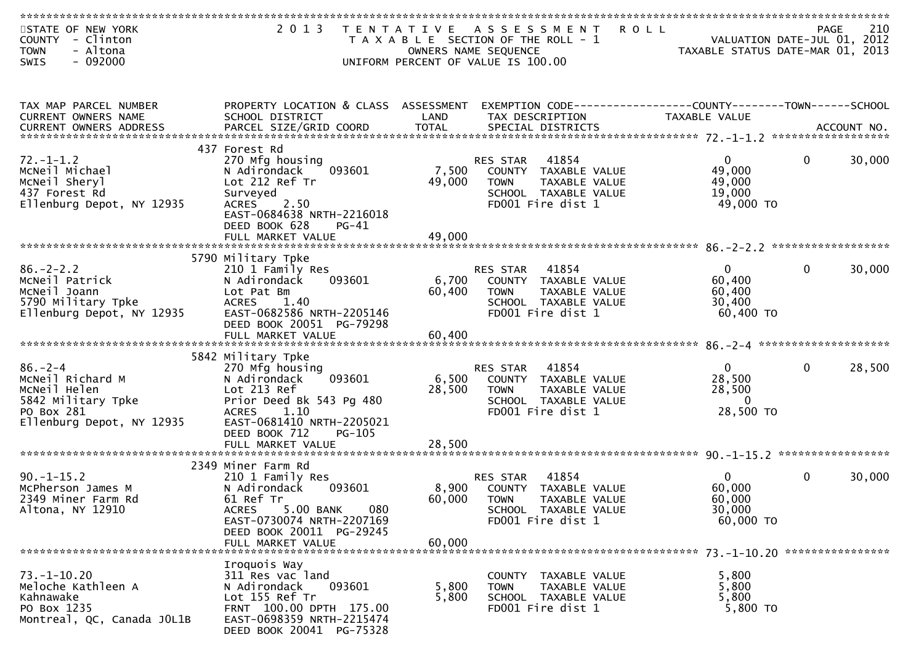| STATE OF NEW YORK<br><b>COUNTY</b><br>- Clinton<br>- Altona<br><b>TOWN</b> | 2 0 1 3                                                                     |                 | TENTATIVE ASSESSMENT<br>T A X A B L E SECTION OF THE ROLL - 1<br>OWNERS NAME SEQUENCE | <b>ROLL</b><br>VALUATION DATE-JUL 01, 2012<br>TAXABLE STATUS DATE-MAR 01, 2013 | PAGE | 210    |
|----------------------------------------------------------------------------|-----------------------------------------------------------------------------|-----------------|---------------------------------------------------------------------------------------|--------------------------------------------------------------------------------|------|--------|
| $-092000$<br><b>SWIS</b>                                                   |                                                                             |                 | UNIFORM PERCENT OF VALUE IS 100.00                                                    |                                                                                |      |        |
|                                                                            |                                                                             |                 |                                                                                       |                                                                                |      |        |
| TAX MAP PARCEL NUMBER<br>CURRENT OWNERS NAME                               | PROPERTY LOCATION & CLASS ASSESSMENT<br>SCHOOL DISTRICT                     | LAND            | EXEMPTION CODE-----------------COUNTY-------TOWN------SCHOOL<br>TAX DESCRIPTION       | TAXABLE VALUE                                                                  |      |        |
|                                                                            |                                                                             |                 |                                                                                       |                                                                                |      |        |
|                                                                            | 437 Forest Rd                                                               |                 |                                                                                       |                                                                                |      |        |
| $72. - 1 - 1.2$<br>MCNeil Michael                                          | 270 Mfg housing<br>093601<br>N Adirondack                                   | 7,500           | 41854<br>RES STAR<br>COUNTY TAXABLE VALUE                                             | $\mathbf{0}$<br>49,000                                                         | 0    | 30,000 |
| MCNeil Sheryl                                                              | Lot 212 Ref Tr                                                              | 49,000          | <b>TOWN</b><br>TAXABLE VALUE                                                          | 49,000                                                                         |      |        |
| 437 Forest Rd                                                              | Surveyed                                                                    |                 | SCHOOL TAXABLE VALUE                                                                  | 19,000                                                                         |      |        |
| Ellenburg Depot, NY 12935                                                  | <b>ACRES</b><br>2.50<br>EAST-0684638 NRTH-2216018<br>DEED BOOK 628<br>PG-41 |                 | FD001 Fire dist 1                                                                     | 49,000 TO                                                                      |      |        |
|                                                                            |                                                                             |                 |                                                                                       |                                                                                |      |        |
|                                                                            | 5790 Military Tpke                                                          |                 |                                                                                       |                                                                                |      |        |
| $86. - 2 - 2.2$                                                            | 210 1 Family Res                                                            |                 | 41854<br>RES STAR                                                                     | $\overline{0}$                                                                 | 0    | 30,000 |
| MCNeil Patrick                                                             | N Adirondack<br>093601                                                      | 6,700           | COUNTY TAXABLE VALUE                                                                  | 60,400                                                                         |      |        |
| MCNeil Joann<br>5790 Military Tpke                                         | Lot Pat Bm<br><b>ACRES</b><br>1.40                                          | 60,400          | <b>TOWN</b><br>TAXABLE VALUE<br>SCHOOL TAXABLE VALUE                                  | 60,400<br>30,400                                                               |      |        |
| Ellenburg Depot, NY 12935                                                  | EAST-0682586 NRTH-2205146                                                   |                 | FD001 Fire dist 1                                                                     | $60,400$ TO                                                                    |      |        |
|                                                                            | DEED BOOK 20051 PG-79298                                                    |                 |                                                                                       |                                                                                |      |        |
|                                                                            |                                                                             |                 |                                                                                       |                                                                                |      |        |
|                                                                            | 5842 Military Tpke                                                          |                 |                                                                                       |                                                                                |      |        |
| $86. -2 - 4$                                                               | 270 Mfg housing                                                             |                 | RES STAR<br>41854                                                                     | $\Omega$                                                                       | 0    | 28,500 |
| MCNeil Richard M                                                           | N Adirondack<br>093601                                                      | 6,500           | COUNTY TAXABLE VALUE                                                                  | 28,500                                                                         |      |        |
| MCNeil Helen<br>5842 Military Tpke                                         | Lot 213 Ref<br>Prior Deed Bk 543 Pg 480                                     | 28,500          | TAXABLE VALUE<br><b>TOWN</b><br>SCHOOL TAXABLE VALUE                                  | 28,500<br>$\overline{0}$                                                       |      |        |
| PO Box 281                                                                 | <b>ACRES</b><br>1.10                                                        |                 | FD001 Fire dist 1                                                                     | 28,500 TO                                                                      |      |        |
| Ellenburg Depot, NY 12935                                                  | EAST-0681410 NRTH-2205021                                                   |                 |                                                                                       |                                                                                |      |        |
|                                                                            | DEED BOOK 712<br><b>PG-105</b>                                              |                 |                                                                                       |                                                                                |      |        |
|                                                                            | FULL MARKET VALUE                                                           | 28,500          |                                                                                       |                                                                                |      |        |
|                                                                            | 2349 Miner Farm Rd                                                          |                 |                                                                                       |                                                                                |      |        |
| $90. -1 - 15.2$                                                            | 210 1 Family Res                                                            |                 | RES STAR<br>41854                                                                     | $\Omega$                                                                       | 0    | 30,000 |
| McPherson James M<br>2349 Miner Farm Rd                                    | 093601<br>N Adirondack<br>61 Ref Tr                                         | 8,900<br>60,000 | TAXABLE VALUE<br>COUNTY<br><b>TOWN</b><br><b>TAXABLE VALUE</b>                        | 60,000<br>60,000                                                               |      |        |
| Altona, NY 12910                                                           | 5.00 BANK<br><b>ACRES</b><br>080                                            |                 | SCHOOL TAXABLE VALUE                                                                  | 30,000                                                                         |      |        |
|                                                                            | EAST-0730074 NRTH-2207169                                                   |                 | FD001 Fire dist 1                                                                     | 60,000 TO                                                                      |      |        |
|                                                                            | DEED BOOK 20011 PG-29245                                                    |                 |                                                                                       |                                                                                |      |        |
|                                                                            | FULL MARKET VALUE                                                           | 60,000          |                                                                                       |                                                                                |      |        |
|                                                                            | Iroquois Way                                                                |                 |                                                                                       |                                                                                |      |        |
| $73. - 1 - 10.20$                                                          | 311 Res vac land                                                            |                 | COUNTY TAXABLE VALUE                                                                  | 5,800                                                                          |      |        |
| Meloche Kathleen A                                                         | N Adirondack<br>093601                                                      | 5,800           | TAXABLE VALUE<br><b>TOWN</b>                                                          | 5,800                                                                          |      |        |
| Kahnawake<br>PO Box 1235                                                   | Lot 155 Ref Tr<br>FRNT 100.00 DPTH 175.00                                   | 5,800           | SCHOOL TAXABLE VALUE<br>FD001 Fire dist 1                                             | 5,800<br>5,800 TO                                                              |      |        |
| Montreal, QC, Canada JOL1B                                                 | EAST-0698359 NRTH-2215474                                                   |                 |                                                                                       |                                                                                |      |        |
|                                                                            | DEED BOOK 20041 PG-75328                                                    |                 |                                                                                       |                                                                                |      |        |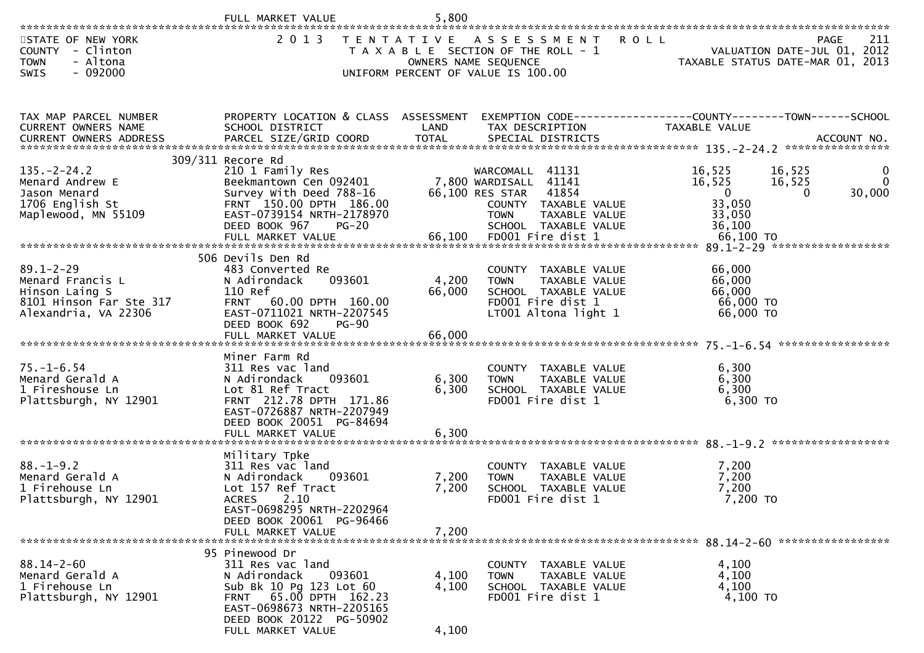|                                                                                                          | FULL MARKET VALUE                                                                                                                                                                                         | 5,800                   |                                                                                                                                                                  |                                                                                                                        |                             |
|----------------------------------------------------------------------------------------------------------|-----------------------------------------------------------------------------------------------------------------------------------------------------------------------------------------------------------|-------------------------|------------------------------------------------------------------------------------------------------------------------------------------------------------------|------------------------------------------------------------------------------------------------------------------------|-----------------------------|
| STATE OF NEW YORK<br>COUNTY - Clinton<br>- Altona<br><b>TOWN</b><br>$-092000$<br>SWIS                    |                                                                                                                                                                                                           |                         | 2013 TENTATIVE ASSESSMENT<br>T A X A B L E SECTION OF THE ROLL - 1<br>OWNERS NAME SEQUENCE<br>UNIFORM PERCENT OF VALUE IS 100.00                                 | <b>ROLL</b><br>VALUATION DATE-JUL 01, 2012<br>TAXABLE STATUS DATE-MAR 01, 2013                                         | 211<br>PAGE                 |
| TAX MAP PARCEL NUMBER<br>CURRENT OWNERS NAME                                                             | PROPERTY LOCATION & CLASS ASSESSMENT<br>SCHOOL DISTRICT                                                                                                                                                   | LAND                    | TAX DESCRIPTION                                                                                                                                                  | EXEMPTION CODE------------------COUNTY--------TOWN------SCHOOL<br>TAXABLE VALUE                                        |                             |
| $135. - 2 - 24.2$<br>Menard Andrew E<br>Jason Menard<br>1706 English St<br>Maplewood, MN 55109           | 309/311 Recore Rd<br>210 1 Family Res<br>Beekmantown Cen 092401<br>Survey With Deed 788-16<br>FRNT 150.00 DPTH 186.00<br>EAST-0739154 NRTH-2178970<br>DEED BOOK 967<br><b>PG-20</b><br>FULL MARKET VALUE  | 66,100                  | WARCOMALL 41131<br>7,800 WARDISALL 41141<br>66,100 RES STAP<br>COUNTY TAXABLE VALUE<br>TAXABLE VALUE<br><b>TOWN</b><br>SCHOOL TAXABLE VALUE<br>FD001 Fire dist 1 | 16,525<br>16,525<br>16,525<br>16,525<br>$\overline{\mathbf{0}}$<br>$\Omega$<br>33,050<br>33,050<br>36,100<br>66,100 TO | 0<br>$\mathbf{0}$<br>30,000 |
| $89.1 - 2 - 29$<br>Menard Francis L<br>Hinson Laing S<br>8101 Hinson Far Ste 317<br>Alexandria, VA 22306 | 506 Devils Den Rd<br>483 Converted Re<br>N Adirondack<br>093601<br>110 Ref<br>FRNT 60.00 DPTH 160.00<br>EAST-0711021 NRTH-2207545<br>DEED BOOK 692<br>$PG-90$                                             | 4,200<br>66,000         | COUNTY TAXABLE VALUE<br>TAXABLE VALUE<br><b>TOWN</b><br>SCHOOL TAXABLE VALUE<br>FD001 Fire dist 1<br>LT001 Altona light 1                                        | 66,000<br>66,000<br>66,000<br>66,000 TO<br>66,000 TO                                                                   |                             |
| $75. - 1 - 6.54$<br>Menard Gerald A<br>1 Fireshouse Ln<br>Plattsburgh, NY 12901                          | Miner Farm Rd<br>311 Res vac land<br>093601<br>N Adirondack<br>Lot 81 Ref Tract<br>FRNT 212.78 DPTH 171.86<br>EAST-0726887 NRTH-2207949<br>DEED BOOK 20051 PG-84694                                       | 6,300<br>6,300          | COUNTY TAXABLE VALUE<br><b>TOWN</b><br>TAXABLE VALUE<br>SCHOOL TAXABLE VALUE<br>FD001 Fire dist 1                                                                | 6,300<br>6,300<br>6,300<br>6,300 TO                                                                                    |                             |
| $88. - 1 - 9.2$<br>Menard Gerald A<br>1 Firehouse Ln<br>Plattsburgh, NY 12901                            | Military Tpke<br>311 Res vac land<br>N Adirondack<br>093601<br>Lot 157 Ref Tract<br><b>ACRES</b><br>2.10<br>EAST-0698295 NRTH-2202964<br>DEED BOOK 20061 PG-96466<br>FULL MARKET VALUE                    | 7,200<br>7,200<br>7,200 | COUNTY TAXABLE VALUE<br>TAXABLE VALUE<br><b>TOWN</b><br>SCHOOL TAXABLE VALUE<br>FD001 Fire dist 1                                                                | 7,200<br>7,200<br>7,200<br>7,200 TO                                                                                    |                             |
| $88.14 - 2 - 60$<br>Menard Gerald A<br>1 Firehouse Ln<br>Plattsburgh, NY 12901                           | 95 Pinewood Dr<br>311 Res vac land<br>N Adirondack<br>093601<br>Sub Bk 10 Pg 123 Lot 60<br>65.00 DPTH 162.23<br><b>FRNT</b><br>EAST-0698673 NRTH-2205165<br>DEED BOOK 20122 PG-50902<br>FULL MARKET VALUE | 4,100<br>4,100<br>4,100 | COUNTY TAXABLE VALUE<br>TAXABLE VALUE<br><b>TOWN</b><br>SCHOOL TAXABLE VALUE<br>FD001 Fire dist 1                                                                | 4,100<br>4,100<br>4,100<br>4,100 TO                                                                                    |                             |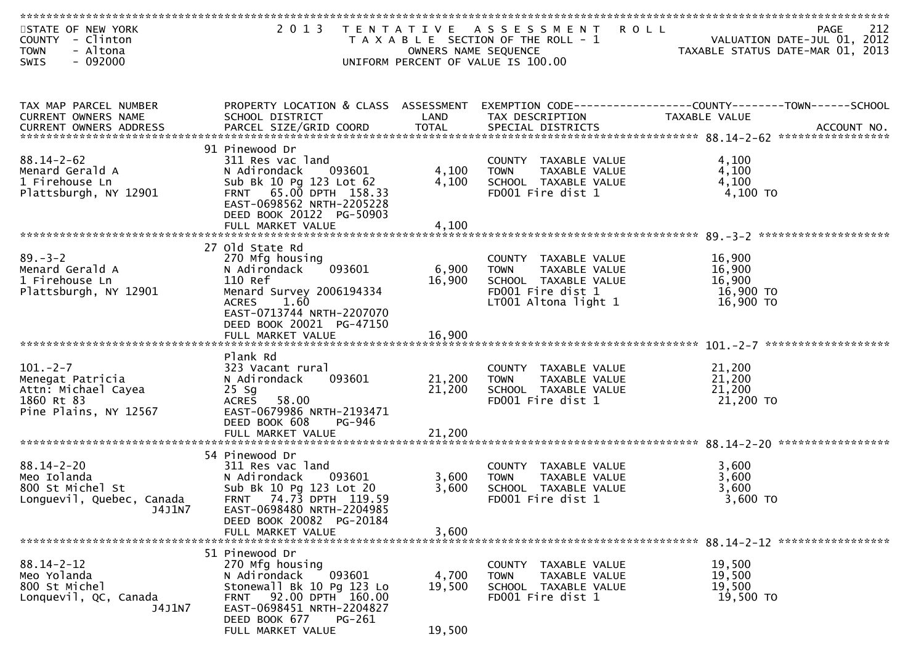| STATE OF NEW YORK<br>COUNTY - Clinton<br>- Altona<br><b>TOWN</b>                                | 2013 TENTATIVE                                                                                                                                                                                            | OWNERS NAME SEQUENCE       | A S S E S S M E N T<br><b>ROLL</b><br>T A X A B L E SECTION OF THE ROLL - 1                                               | 212<br>PAGE<br>VALUATION DATE-JUL 01, 2012<br>TAXABLE STATUS DATE-MAR 01, 2013                                                                                                                     |
|-------------------------------------------------------------------------------------------------|-----------------------------------------------------------------------------------------------------------------------------------------------------------------------------------------------------------|----------------------------|---------------------------------------------------------------------------------------------------------------------------|----------------------------------------------------------------------------------------------------------------------------------------------------------------------------------------------------|
| $-092000$<br><b>SWIS</b>                                                                        |                                                                                                                                                                                                           |                            | UNIFORM PERCENT OF VALUE IS 100.00                                                                                        |                                                                                                                                                                                                    |
| TAX MAP PARCEL NUMBER<br>CURRENT OWNERS NAME                                                    | PROPERTY LOCATION & CLASS ASSESSMENT<br>SCHOOL DISTRICT                                                                                                                                                   | LAND                       | TAX DESCRIPTION                                                                                                           | EXEMPTION CODE------------------COUNTY--------TOWN------SCHOOL<br>TAXABLE VALUE<br>.CURRENT OWNERS ADDRESS PARCEL SIZE/GRID COORD TOTAL SPECIAL DISTRICTS ACCOUNT NO ACCOUNT NO ACCOUNT NO ACCOUNT |
| $88.14 - 2 - 62$<br>Menard Gerald A<br>1 Firehouse Ln<br>Plattsburgh, NY 12901                  | 91 Pinewood Dr<br>311 Res vac land<br>N Adirondack<br>093601<br>Sub Bk 10 Pg 123 Lot 62<br>FRNT 65.00 DPTH 158.33<br>EAST-0698562 NRTH-2205228<br>DEED BOOK 20122 PG-50903<br>FULL MARKET VALUE           | 4,100<br>4,100<br>4,100    | COUNTY TAXABLE VALUE<br>TAXABLE VALUE<br><b>TOWN</b><br>SCHOOL TAXABLE VALUE<br>FD001 Fire dist 1                         | 4,100<br>4,100<br>4,100<br>4,100 TO                                                                                                                                                                |
| $89. - 3 - 2$<br>Menard Gerald A<br>1 Firehouse Ln<br>Plattsburgh, NY 12901                     | 27 Old State Rd<br>270 Mfg housing<br>093601<br>N Adirondack<br>110 Ref<br>Menard Survey 2006194334<br>1.60<br>ACRES<br>EAST-0713744 NRTH-2207070<br>DEED BOOK 20021 PG-47150                             | 6,900<br>16,900            | COUNTY TAXABLE VALUE<br>TAXABLE VALUE<br><b>TOWN</b><br>SCHOOL TAXABLE VALUE<br>FD001 Fire dist 1<br>LT001 Altona light 1 | 16,900<br>16,900<br>16,900<br>16,900 TO<br>16,900 TO                                                                                                                                               |
| $101. -2 - 7$<br>Menegat Patricia<br>Attn: Michael Cayea<br>1860 Rt 83<br>Pine Plains, NY 12567 | Plank Rd<br>323 Vacant rural<br>N Adirondack<br>093601<br>$25$ Sg<br>58.00<br>ACRES<br>EAST-0679986 NRTH-2193471<br>DEED BOOK 608<br>PG-946<br>FULL MARKET VALUE                                          | 21,200<br>21,200<br>21,200 | COUNTY TAXABLE VALUE<br><b>TOWN</b><br>TAXABLE VALUE<br>SCHOOL TAXABLE VALUE<br>FD001 Fire dist 1                         | 21,200<br>21,200<br>21,200<br>21,200 TO                                                                                                                                                            |
| $88.14 - 2 - 20$<br>Meo Iolanda<br>800 St Michel St<br>Longuevil, Quebec, Canada<br>J4J1N7      | 54 Pinewood Dr<br>311 Res vac land<br>N Adirondack<br>093601<br>Sub Bk 10 Pg 123 Lot 20<br>FRNT 74.73 DPTH 119.59<br>EAST-0698480 NRTH-2204985<br>DEED BOOK 20082 PG-20184<br>FULL MARKET VALUE           | 3,600<br>3,600<br>3,600    | COUNTY TAXABLE VALUE<br>TAXABLE VALUE<br><b>TOWN</b><br>SCHOOL TAXABLE VALUE<br>FD001 Fire dist 1                         | 3,600<br>3,600<br>3,600<br>3,600 TO                                                                                                                                                                |
| $88.14 - 2 - 12$<br>Meo Yolanda<br>800 St Michel<br>Lonquevil, QC, Canada<br>J4J1N7             | 51 Pinewood Dr<br>270 Mfg housing<br>093601<br>N Adirondack<br>Stonewall Bk 10 Pg 123 Lo<br>92.00 DPTH 160.00<br><b>FRNT</b><br>EAST-0698451 NRTH-2204827<br>DEED BOOK 677<br>PG-261<br>FULL MARKET VALUE | 4,700<br>19,500<br>19,500  | COUNTY TAXABLE VALUE<br>TAXABLE VALUE<br><b>TOWN</b><br>SCHOOL TAXABLE VALUE<br>FD001 Fire dist 1                         | 19,500<br>19,500<br>19,500<br>19,500 TO                                                                                                                                                            |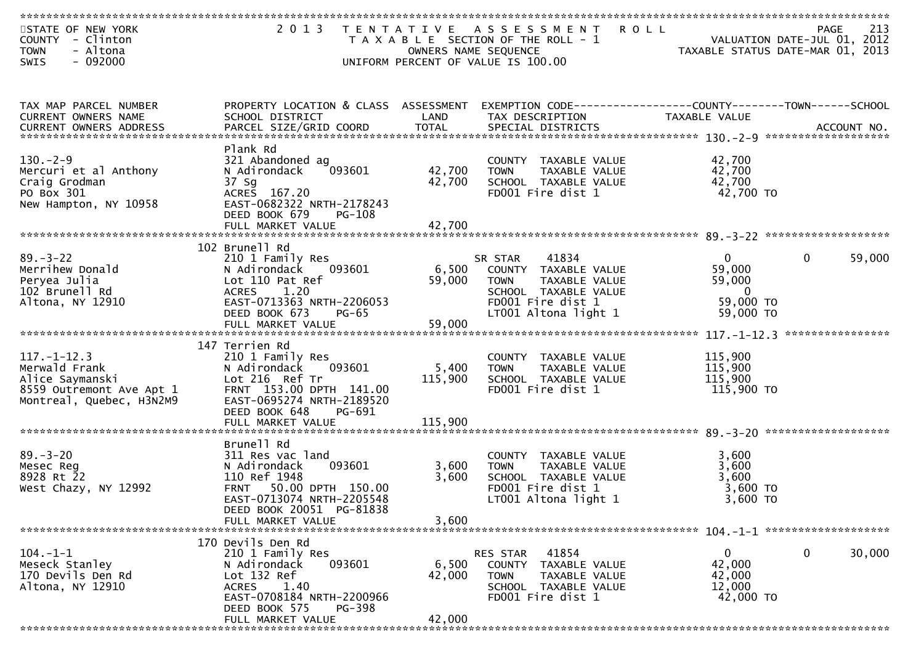| STATE OF NEW YORK<br>COUNTY - Clinton<br>- Altona<br><b>TOWN</b><br>$-092000$<br><b>SWIS</b>                  | 2 0 1 3<br>T E N T A T I V E                                                                                                                                      |                  | A S S E S S M E N T<br><b>ROLL</b><br>T A X A B L E SECTION OF THE ROLL - 1<br>OWNERS NAME SEQUENCE<br>UNIFORM PERCENT OF VALUE IS 100.00 | VALUATION DATE-JUL 01, 2012<br>TAXABLE STATUS DATE-MAR 01, 2013 | 213<br>PAGE      |
|---------------------------------------------------------------------------------------------------------------|-------------------------------------------------------------------------------------------------------------------------------------------------------------------|------------------|-------------------------------------------------------------------------------------------------------------------------------------------|-----------------------------------------------------------------|------------------|
| TAX MAP PARCEL NUMBER                                                                                         | PROPERTY LOCATION & CLASS ASSESSMENT                                                                                                                              |                  |                                                                                                                                           | EXEMPTION CODE------------------COUNTY--------TOWN------SCHOOL  |                  |
| CURRENT OWNERS NAME<br><b>CURRENT OWNERS ADDRESS</b>                                                          | SCHOOL DISTRICT                                                                                                                                                   | LAND             | TAX DESCRIPTION                                                                                                                           | TAXABLE VALUE                                                   |                  |
| $130. - 2 - 9$                                                                                                | Plank Rd<br>321 Abandoned ag                                                                                                                                      |                  | COUNTY TAXABLE VALUE                                                                                                                      | 42,700                                                          |                  |
| Mercuri et al Anthony<br>Craig Grodman<br>PO Box 301                                                          | 093601<br>N Adirondack<br>37 Sg<br>ACRES 167.20                                                                                                                   | 42,700<br>42,700 | TAXABLE VALUE<br><b>TOWN</b><br>SCHOOL TAXABLE VALUE<br>FD001 Fire dist 1                                                                 | 42,700<br>42,700<br>42,700 TO                                   |                  |
| New Hampton, NY 10958                                                                                         | EAST-0682322 NRTH-2178243<br>DEED BOOK 679<br><b>PG-108</b>                                                                                                       |                  |                                                                                                                                           |                                                                 |                  |
|                                                                                                               | FULL MARKET VALUE                                                                                                                                                 | 42,700           |                                                                                                                                           |                                                                 |                  |
| $89 - 3 - 22$<br>Merrihew Donald<br>Peryea Julia                                                              | 102 Brunell Rd<br>210 1 Family Res<br>N Adirondack<br>093601<br>Lot 110 Pat Ref                                                                                   | 6,500<br>59,000  | 41834<br>SR STAR<br>COUNTY TAXABLE VALUE<br><b>TOWN</b><br>TAXABLE VALUE                                                                  | $\mathbf{0}$<br>$\mathbf{0}$<br>59,000<br>59,000                | 59,000           |
| 102 Brunell Rd<br>Altona, NY 12910                                                                            | <b>ACRES</b><br>1.20<br>EAST-0713363 NRTH-2206053<br>DEED BOOK 673<br>$PG-65$                                                                                     |                  | SCHOOL TAXABLE VALUE<br>FD001 Fire dist 1<br>LT001 Altona light 1                                                                         | $\mathbf 0$<br>59,000 TO<br>59,000 TO                           |                  |
|                                                                                                               |                                                                                                                                                                   |                  |                                                                                                                                           |                                                                 | **************** |
| $117. - 1 - 12.3$<br>Merwald Frank<br>Alice Saymanski<br>8559 Outremont Ave Apt 1<br>Montreal, Quebec, H3N2M9 | 147 Terrien Rd<br>210 1 Family Res<br>093601<br>N Adirondack<br>Lot 216 Ref Tr<br>FRNT 153.00 DPTH 141.00<br>EAST-0695274 NRTH-2189520<br>DEED BOOK 648<br>PG-691 | 5,400<br>115,900 | COUNTY TAXABLE VALUE<br><b>TOWN</b><br>TAXABLE VALUE<br>SCHOOL TAXABLE VALUE<br>FD001 Fire dist 1                                         | 115,900<br>115,900<br>115,900<br>115,900 TO                     |                  |
|                                                                                                               | FULL MARKET VALUE                                                                                                                                                 | 115,900          |                                                                                                                                           |                                                                 |                  |
|                                                                                                               | Brunell Rd                                                                                                                                                        |                  |                                                                                                                                           |                                                                 |                  |
| $89. - 3 - 20$<br>Mesec Reg<br>8928 Rt 22<br>West Chazy, NY 12992                                             | 311 Res vac land<br>093601<br>N Adirondack<br>110 Ref 1948<br>50.00 DPTH 150.00<br><b>FRNT</b><br>EAST-0713074 NRTH-2205548<br>DEED BOOK 20051 PG-81838           | 3,600<br>3,600   | COUNTY TAXABLE VALUE<br>TAXABLE VALUE<br><b>TOWN</b><br>SCHOOL TAXABLE VALUE<br>FD001 Fire dist 1<br>LT001 Altona light 1                 | 3,600<br>3,600<br>3,600<br>$3,600$ TO<br>3,600 TO               |                  |
|                                                                                                               | FULL MARKET VALUE                                                                                                                                                 | 3,600            |                                                                                                                                           |                                                                 |                  |
| $104. -1 -1$                                                                                                  | 170 Devils Den Rd<br>210 1 Family Res                                                                                                                             |                  | RES STAR<br>41854                                                                                                                         | $\mathbf 0$<br>$\mathbf{0}$                                     | 30,000           |
| Meseck Stanley<br>170 Devils Den Rd                                                                           | 093601<br>N Adirondack<br>Lot 132 Ref                                                                                                                             | 6,500<br>42,000  | COUNTY TAXABLE VALUE<br><b>TOWN</b><br>TAXABLE VALUE                                                                                      | 42,000<br>42,000                                                |                  |
| Altona, NY 12910                                                                                              | 1.40<br><b>ACRES</b><br>EAST-0708184 NRTH-2200966<br>DEED BOOK 575<br>PG-398                                                                                      |                  | SCHOOL TAXABLE VALUE<br>FD001 Fire dist 1                                                                                                 | 12,000<br>42,000 TO                                             |                  |
| *************                                                                                                 | FULL MARKET VALUE                                                                                                                                                 | 42,000           |                                                                                                                                           |                                                                 |                  |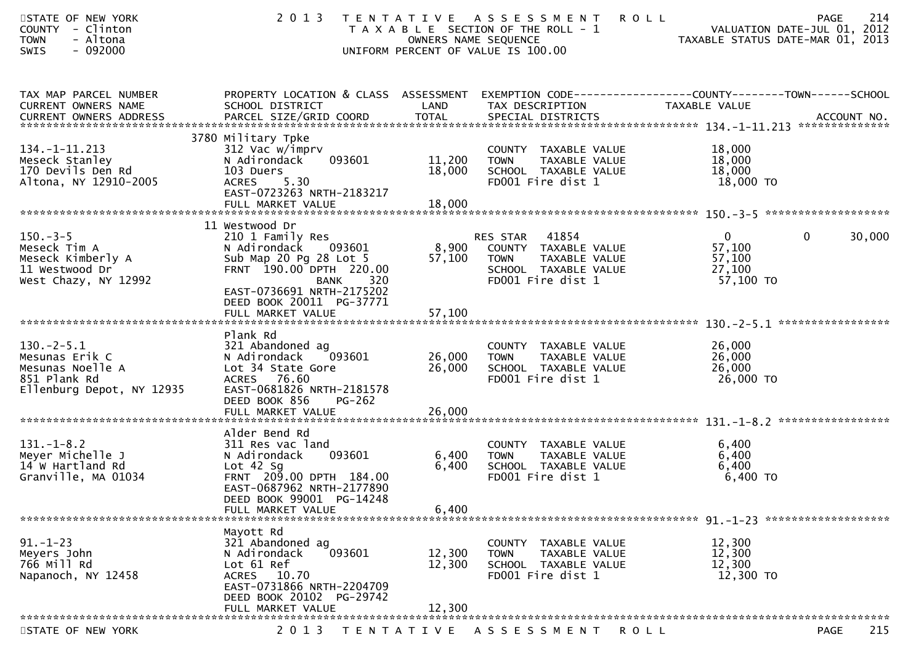| STATE OF NEW YORK<br>COUNTY - Clinton<br>- Altona<br><b>TOWN</b><br>$-092000$<br><b>SWIS</b>                       | 2 0 1 3                                                                                                                                                                                                            | OWNERS NAME SEQUENCE       | TENTATIVE ASSESSMENT<br><b>ROLL</b><br>T A X A B L E SECTION OF THE ROLL - 1<br>UNIFORM PERCENT OF VALUE IS 100.00     | PAGE<br>VALUATION DATE-JUL 01, 2012<br>TAXABLE STATUS DATE-MAR 01, 2013                                           | 214    |
|--------------------------------------------------------------------------------------------------------------------|--------------------------------------------------------------------------------------------------------------------------------------------------------------------------------------------------------------------|----------------------------|------------------------------------------------------------------------------------------------------------------------|-------------------------------------------------------------------------------------------------------------------|--------|
| TAX MAP PARCEL NUMBER<br>CURRENT OWNERS NAME                                                                       | SCHOOL DISTRICT                                                                                                                                                                                                    | LAND                       | TAX DESCRIPTION                                                                                                        | PROPERTY LOCATION & CLASS ASSESSMENT EXEMPTION CODE----------------COUNTY-------TOWN------SCHOOL<br>TAXABLE VALUE |        |
| 134. -1 -11. 213<br>Meseck Stanley<br>170 Devils Den Rd<br>Altona, NY 12910-2005                                   | 3780 Military Tpke<br>312 Vac w/imprv<br>093601<br>N Adirondack<br>103 Duers<br><b>ACRES</b><br>5.30<br>EAST-0723263 NRTH-2183217<br>FULL MARKET VALUE                                                             | 11,200<br>18,000<br>18,000 | COUNTY TAXABLE VALUE<br>TAXABLE VALUE<br><b>TOWN</b><br>SCHOOL TAXABLE VALUE<br>FD001 Fire dist 1                      | 18,000<br>18,000<br>18,000<br>18,000 TO                                                                           |        |
| $150. -3 - 5$<br>Meseck Tim A<br>Meseck Kimberly A<br>11 Westwood Dr<br>West Chazy, NY 12992                       | 11 Westwood Dr<br>210 1 Family Res<br>N Adirondack 093601<br>Sub Map 20 Pg 28 Lot 5<br>FRNT 190.00 DPTH 220.00<br>320<br><b>BANK</b><br>EAST-0736691 NRTH-2175202<br>DEED BOOK 20011 PG-37771<br>FULL MARKET VALUE | 8,900<br>57,100<br>57,100  | 41854<br>RES STAR<br>COUNTY TAXABLE VALUE<br><b>TOWN</b><br>TAXABLE VALUE<br>SCHOOL TAXABLE VALUE<br>FD001 Fire dist 1 | $\Omega$<br>$\overline{0}$<br>57,100<br>57,100<br>27,100<br>57,100 TO                                             | 30,000 |
| $130.-2-5.1$<br>Mesunas Erik C<br>Mesunas Noelle A<br>851 Plank Rd<br>Ellenburg Depot, NY 12935                    | Plank Rd<br>321 Abandoned ag<br>N Adirondack<br>093601<br>Lot 34 State Gore<br>ACRES 76.60<br>EAST-0681826 NRTH-2181578<br>DEED BOOK 856<br>$PG-262$                                                               | 26,000<br>26,000           | COUNTY TAXABLE VALUE<br>TAXABLE VALUE<br><b>TOWN</b><br>SCHOOL TAXABLE VALUE<br>FD001 Fire dist 1                      | 26,000<br>26,000<br>26,000<br>26,000 TO                                                                           |        |
| $131. - 1 - 8.2$<br>Meyer Michelle J<br>14 W Hartland Rd<br>Granville, MA 01034<br>******************************* | Alder Bend Rd<br>311 Res vac land<br>093601<br>N Adirondack<br>Lot $42$ Sg<br>FRNT 209.00 DPTH 184.00<br>EAST-0687962 NRTH-2177890<br>DEED BOOK 99001 PG-14248<br>FULL MARKET VALUE                                | 6,400<br>6,400<br>6,400    | COUNTY TAXABLE VALUE<br><b>TOWN</b><br>TAXABLE VALUE<br>SCHOOL TAXABLE VALUE<br>FD001 Fire dist 1                      | 6,400<br>6,400<br>6,400<br>6,400 TO                                                                               |        |
| $91. - 1 - 23$<br>Meyers John<br>766 Mill Rd<br>Napanoch, NY 12458                                                 | Mayott Rd<br>321 Abandoned ag<br>093601<br>N Adirondack<br>Lot 61 Ref<br><b>ACRES</b><br>10.70<br>EAST-0731866 NRTH-2204709<br>DEED BOOK 20102 PG-29742<br>FULL MARKET VALUE                                       | 12,300<br>12,300<br>12,300 | COUNTY TAXABLE VALUE<br><b>TOWN</b><br>TAXABLE VALUE<br>SCHOOL TAXABLE VALUE<br>FD001 Fire dist 1                      | 12,300<br>12,300<br>12,300<br>12,300 TO                                                                           |        |
| STATE OF NEW YORK                                                                                                  | 2 0 1 3                                                                                                                                                                                                            | T E N T A T I V E          | A S S E S S M E N T<br>R O L L                                                                                         | <b>PAGE</b>                                                                                                       | 215    |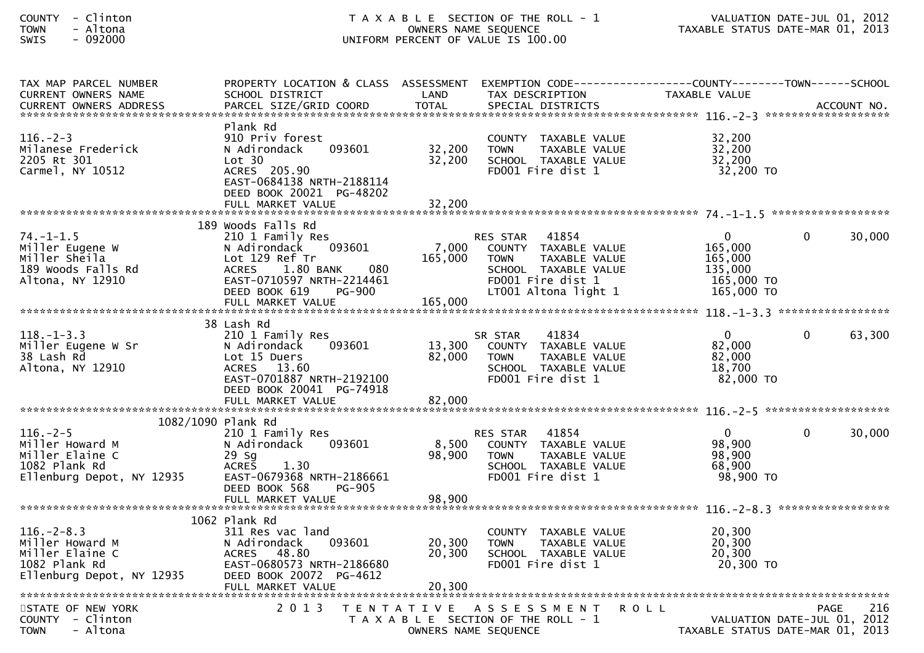## COUNTY - Clinton T A X A B L E SECTION OF THE ROLL - 1 VALUATION DATE-JUL 01, 2012TOWN - Altona OWNERS NAME SEQUENCE TAXABLE STATUS DATE-MAR 01, 2013SWIS - 092000 UNIFORM PERCENT OF VALUE IS 100.00

| TAX MAP PARCEL NUMBER<br>CURRENT OWNERS NAME<br><b>CURRENT OWNERS ADDRESS</b>                                             | PROPERTY LOCATION & CLASS ASSESSMENT<br>SCHOOL DISTRICT<br>PARCEL SIZE/GRID COORD                                                                                                     | LAND<br><b>TOTAL</b>       | EXEMPTION CODE-----------------COUNTY-------TOWN------SCHOOL<br>TAX DESCRIPTION<br>SPECIAL DISTRICTS                                                  | TAXABLE VALUE                                                               | ACCOUNT NO.        |
|---------------------------------------------------------------------------------------------------------------------------|---------------------------------------------------------------------------------------------------------------------------------------------------------------------------------------|----------------------------|-------------------------------------------------------------------------------------------------------------------------------------------------------|-----------------------------------------------------------------------------|--------------------|
| $116. - 2 - 3$<br>Milanese Frederick<br>2205 Rt 301<br>Carmel, NY 10512                                                   | Plank Rd<br>910 Priv forest<br>N Adirondack<br>093601<br>Lot 30<br>ACRES 205.90<br>EAST-0684138 NRTH-2188114<br>DEED BOOK 20021 PG-48202<br>FULL MARKET VALUE                         | 32,200<br>32,200<br>32,200 | COUNTY TAXABLE VALUE<br>TAXABLE VALUE<br><b>TOWN</b><br>SCHOOL TAXABLE VALUE<br>FD001 Fire dist 1                                                     | 32,200<br>32,200<br>32,200<br>32,200 TO                                     |                    |
| $74. - 1 - 1.5$<br>Miller Eugene W<br>Miller Sheila<br>189 Woods Falls Rd<br>Altona, NY 12910                             | 189 Woods Falls Rd<br>210 1 Family Res<br>093601<br>N Adirondack<br>Lot 129 Ref Tr<br>080<br><b>ACRES</b><br>1.80 BANK<br>EAST-0710597 NRTH-2214461<br>DEED BOOK 619<br><b>PG-900</b> | 7,000<br>165,000           | 41854<br><b>RES STAR</b><br>COUNTY TAXABLE VALUE<br><b>TOWN</b><br>TAXABLE VALUE<br>SCHOOL TAXABLE VALUE<br>FD001 Fire dist 1<br>LT001 Altona light 1 | $\overline{0}$<br>165,000<br>165,000<br>135,000<br>165,000 TO<br>165,000 TO | 30,000<br>$\Omega$ |
| $118. - 1 - 3.3$<br>Miller Eugene W Sr<br>38 Lash Rd<br>Altona, NY 12910                                                  | 38 Lash Rd<br>210 1 Family Res<br>093601<br>N Adirondack<br>Lot 15 Duers<br>ACRES 13.60<br>EAST-0701887 NRTH-2192100<br>DEED BOOK 20041 PG-74918                                      | 13,300<br>82,000           | 41834<br>SR STAR<br>COUNTY TAXABLE VALUE<br><b>TOWN</b><br>TAXABLE VALUE<br>SCHOOL TAXABLE VALUE<br>FD001 Fire dist 1                                 | $\mathbf{0}$<br>82,000<br>82,000<br>18,700<br>82,000 TO                     | 63,300<br>$\Omega$ |
| $116. - 2 - 5$<br>Miller Howard M<br>Miller Elaine C<br>1082 Plank Rd<br>Ellenburg Depot, NY 12935                        | 1082/1090 Plank Rd<br>210 1 Family Res<br>N Adirondack<br>093601<br>29 Sa<br><b>ACRES</b><br>1.30<br>EAST-0679368 NRTH-2186661<br>DEED BOOK 568<br><b>PG-905</b><br>FULL MARKET VALUE | 8,500<br>98,900<br>98,900  | 41854<br><b>RES STAR</b><br>COUNTY TAXABLE VALUE<br><b>TOWN</b><br>TAXABLE VALUE<br>SCHOOL TAXABLE VALUE<br>FD001 Fire dist 1                         | $\overline{0}$<br>98,900<br>98,900<br>68,900<br>98,900 TO                   | 30,000<br>0        |
| $116. - 2 - 8.3$<br>Miller Howard M<br>Miller Elaine C<br>1082 Plank Rd<br>Ellenburg Depot, NY 12935<br>STATE OF NEW YORK | 1062 Plank Rd<br>311 Res vac land<br>N Adirondack<br>093601<br>48.80<br><b>ACRES</b><br>EAST-0680573 NRTH-2186680<br>DEED BOOK 20072 PG-4612<br>FULL MARKET VALUE<br>2 0 1 3          | 20,300<br>20,300<br>20,300 | COUNTY TAXABLE VALUE<br><b>TOWN</b><br>TAXABLE VALUE<br>SCHOOL TAXABLE VALUE<br>FD001 Fire dist 1<br>TENTATIVE ASSESSMENT<br><b>ROLL</b>              | 20,300<br>20,300<br>20,300<br>20,300 TO                                     | 216<br>PAGE        |
| $COUNTY - Clinton$<br>- Altona<br><b>TOWN</b>                                                                             |                                                                                                                                                                                       |                            | T A X A B L E SECTION OF THE ROLL - 1<br>OWNERS NAME SEQUENCE                                                                                         | VALUATION DATE-JUL 01, 2012<br>TAXABLE STATUS DATE-MAR 01, 2013             |                    |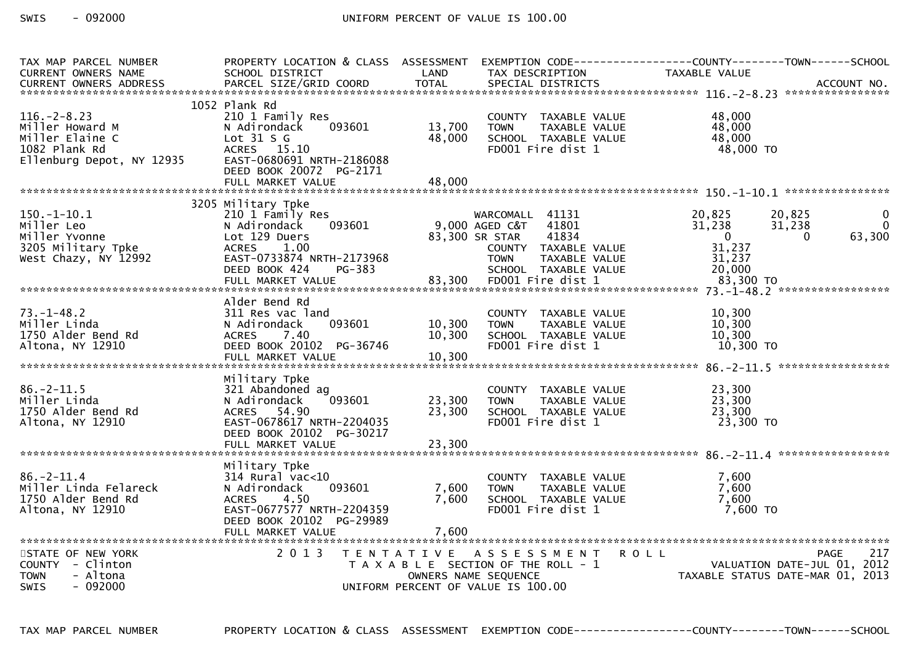| TAX MAP PARCEL NUMBER                      | PROPERTY LOCATION & CLASS ASSESSMENT              |        |                                                      | EXEMPTION CODE------------------COUNTY--------TOWN------SCHOOL |                                  |
|--------------------------------------------|---------------------------------------------------|--------|------------------------------------------------------|----------------------------------------------------------------|----------------------------------|
| <b>CURRENT OWNERS NAME</b>                 | SCHOOL DISTRICT                                   | LAND   | TAX DESCRIPTION                                      | TAXABLE VALUE                                                  |                                  |
|                                            |                                                   |        |                                                      |                                                                |                                  |
|                                            | 1052 Plank Rd                                     |        |                                                      |                                                                |                                  |
| $116. - 2 - 8.23$                          | 210 1 Family Res                                  |        | COUNTY TAXABLE VALUE                                 | 48,000                                                         |                                  |
| Miller Howard M                            | 093601<br>N Adirondack                            | 13,700 | <b>TOWN</b><br>TAXABLE VALUE                         | 48,000                                                         |                                  |
| Miller Elaine C                            | Lot $31 S G$                                      | 48,000 | SCHOOL TAXABLE VALUE                                 | 48,000                                                         |                                  |
| 1082 Plank Rd<br>Ellenburg Depot, NY 12935 | ACRES 15.10<br>EAST-0680691 NRTH-2186088          |        | FD001 Fire dist 1                                    | 48,000 TO                                                      |                                  |
|                                            | DEED BOOK 20072 PG-2171                           |        |                                                      |                                                                |                                  |
|                                            |                                                   |        |                                                      |                                                                |                                  |
|                                            |                                                   |        |                                                      |                                                                |                                  |
|                                            | 3205 Military Tpke                                |        |                                                      |                                                                |                                  |
| $150.-1-10.1$                              | 210 1 Family Res                                  |        | WARCOMALL 41131                                      | 20,825                                                         | 20,825<br>0                      |
| Miller Leo                                 | N Adirondack<br>093601                            |        | $9,000$ AGED C&T<br>41801                            | 31,238                                                         | $\Omega$<br>31,238               |
| Miller Yvonne                              | Lot 129 Duers                                     |        | 83,300 SR STAR<br>41834                              | $\overline{0}$                                                 | 63,300<br>$\Omega$               |
| 3205 Military Tpke<br>West Chazy, NY 12992 | <b>ACRES</b><br>1.00<br>EAST-0733874 NRTH-2173968 |        | COUNTY TAXABLE VALUE<br><b>TOWN</b><br>TAXABLE VALUE | 31,237<br>31,237                                               |                                  |
|                                            | DEED BOOK 424<br>PG-383                           |        | SCHOOL TAXABLE VALUE                                 | 20,000                                                         |                                  |
|                                            |                                                   |        |                                                      |                                                                |                                  |
|                                            |                                                   |        |                                                      |                                                                |                                  |
|                                            | Alder Bend Rd                                     |        |                                                      |                                                                |                                  |
| $73. - 1 - 48.2$                           | 311 Res vac land                                  |        | COUNTY TAXABLE VALUE                                 | 10,300                                                         |                                  |
| Miller Linda                               | 093601<br>N Adirondack                            | 10,300 | TAXABLE VALUE<br><b>TOWN</b>                         | 10,300                                                         |                                  |
| 1750 Alder Bend Rd                         | 7.40<br><b>ACRES</b>                              | 10,300 | SCHOOL TAXABLE VALUE                                 | 10,300                                                         |                                  |
| Altona, NY 12910                           | DEED BOOK 20102 PG-36746<br>FULL MARKET VALUE     | 10,300 | FD001 Fire dist 1                                    | 10,300 TO                                                      |                                  |
|                                            |                                                   |        |                                                      |                                                                |                                  |
|                                            | Military Tpke                                     |        |                                                      |                                                                |                                  |
| $86. -2 - 11.5$                            | 321 Abandoned ag                                  |        | COUNTY TAXABLE VALUE                                 | 23,300                                                         |                                  |
| Miller Linda                               | 093601<br>N Adirondack                            | 23,300 | TAXABLE VALUE<br><b>TOWN</b>                         | 23,300                                                         |                                  |
| 1750 Alder Bend Rd                         | ACRES 54.90                                       | 23,300 | SCHOOL TAXABLE VALUE                                 | 23,300                                                         |                                  |
| Altona, NY 12910                           | EAST-0678617 NRTH-2204035                         |        | FD001 Fire dist 1                                    | 23,300 TO                                                      |                                  |
|                                            | DEED BOOK 20102 PG-30217                          |        |                                                      |                                                                |                                  |
|                                            | FULL MARKET VALUE                                 | 23,300 |                                                      |                                                                |                                  |
|                                            | Military Tpke                                     |        |                                                      |                                                                |                                  |
| $86. - 2 - 11.4$                           | $314$ Rural vac<10                                |        | COUNTY TAXABLE VALUE                                 | 7,600                                                          |                                  |
| Miller Linda Felareck                      | 093601<br>N Adirondack                            | 7,600  | <b>TOWN</b><br>TAXABLE VALUE                         | 7,600                                                          |                                  |
| 1750 Alder Bend Rd                         | 4.50<br><b>ACRES</b>                              | 7,600  | SCHOOL TAXABLE VALUE                                 | 7,600                                                          |                                  |
| Altona, NY 12910                           | EAST-0677577 NRTH-2204359                         |        | FD001 Fire dist 1                                    | $7,600$ TO                                                     |                                  |
|                                            | DEED BOOK 20102 PG-29989                          |        |                                                      |                                                                |                                  |
|                                            |                                                   |        |                                                      |                                                                |                                  |
| STATE OF NEW YORK                          | 2 0 1 3                                           |        | TENTATIVE ASSESSMENT                                 | <b>ROLL</b>                                                    | 217<br>PAGE                      |
| COUNTY - Clinton                           |                                                   |        | T A X A B L E SECTION OF THE ROLL - 1                | VALUATION DATE-JUL 01, 2012                                    |                                  |
| - Altona<br><b>TOWN</b>                    |                                                   |        | OWNERS NAME SEQUENCE                                 |                                                                | TAXABLE STATUS DATE-MAR 01, 2013 |
| $-092000$<br><b>SWIS</b>                   |                                                   |        | UNIFORM PERCENT OF VALUE IS 100.00                   |                                                                |                                  |
|                                            |                                                   |        |                                                      |                                                                |                                  |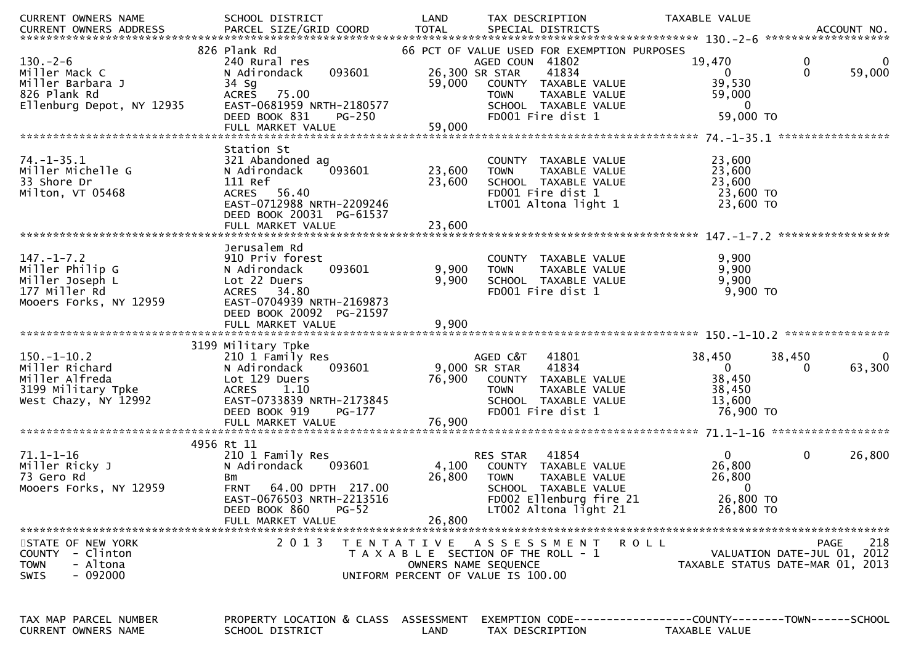| CURRENT OWNERS NAME                                                                               | SCHOOL DISTRICT                                                                                                                                                                        | LAND                      | TAX DESCRIPTION                                                                                                                                                                                | <b>TAXABLE VALUE</b>                                                      |                                                                                       |
|---------------------------------------------------------------------------------------------------|----------------------------------------------------------------------------------------------------------------------------------------------------------------------------------------|---------------------------|------------------------------------------------------------------------------------------------------------------------------------------------------------------------------------------------|---------------------------------------------------------------------------|---------------------------------------------------------------------------------------|
|                                                                                                   |                                                                                                                                                                                        |                           |                                                                                                                                                                                                |                                                                           |                                                                                       |
| $130. - 2 - 6$<br>Miller Mack C<br>Miller Barbara J<br>826 Plank Rd<br>Ellenburg Depot, NY 12935  | 826 Plank Rd<br>240 Rural res<br>093601<br>N Adirondack<br>34 Sg<br>75.00<br><b>ACRES</b><br>EAST-0681959 NRTH-2180577<br>DEED BOOK 831<br><b>PG-250</b>                               | 59,000                    | 66 PCT OF VALUE USED FOR EXEMPTION PURPOSES<br>AGED COUN 41802<br>41834<br>26,300 SR STAR<br>COUNTY TAXABLE VALUE<br>TAXABLE VALUE<br><b>TOWN</b><br>SCHOOL TAXABLE VALUE<br>FD001 Fire dist 1 | 19,470<br>$\mathbf{0}$<br>39,530<br>59,000<br>$\overline{0}$<br>59,000 TO | 0<br>$\mathbf{0}$<br>59,000                                                           |
| $74. - 1 - 35.1$<br>Miller Michelle G<br>33 Shore Dr<br>Milton, VT 05468                          | Station St<br>321 Abandoned ag<br>093601<br>N Adirondack<br>111 Ref<br>56.40<br><b>ACRES</b><br>EAST-0712988 NRTH-2209246<br>DEED BOOK 20031 PG-61537                                  | 23,600<br>23,600          | COUNTY TAXABLE VALUE<br><b>TOWN</b><br>TAXABLE VALUE<br>SCHOOL TAXABLE VALUE<br>FD001 Fire dist 1<br>LT001 Altona light 1                                                                      | 23,600<br>23,600<br>23,600<br>23,600 TO<br>23,600 TO                      |                                                                                       |
| $147. - 1 - 7.2$<br>Miller Philip G<br>Miller Joseph L<br>177 Miller Rd<br>Mooers Forks, NY 12959 | Jerusalem Rd<br>910 Priv forest<br>093601<br>N Adirondack<br>Lot 22 Duers<br><b>ACRES</b><br>34.80<br>EAST-0704939 NRTH-2169873<br>DEED BOOK 20092 PG-21597<br>FULL MARKET VALUE       | 9,900<br>9,900<br>9,900   | COUNTY TAXABLE VALUE<br>TAXABLE VALUE<br><b>TOWN</b><br>SCHOOL TAXABLE VALUE<br>FD001 Fire dist 1                                                                                              | 9,900<br>9,900<br>9,900<br>$9,900$ TO                                     |                                                                                       |
|                                                                                                   |                                                                                                                                                                                        |                           |                                                                                                                                                                                                |                                                                           |                                                                                       |
| $150.-1-10.2$<br>Miller Richard<br>Miller Alfreda<br>3199 Military Tpke<br>West Chazy, NY 12992   | 3199 Military Tpke<br>210 1 Family Res<br>093601<br>N Adirondack<br>Lot 129 Duers<br><b>ACRES</b><br>1.10<br>EAST-0733839 NRTH-2173845<br>DEED BOOK 919<br>PG-177<br>FULL MARKET VALUE | 76,900<br>76,900          | AGED C&T<br>41801<br>41834<br>9,000 SR STAR<br>COUNTY TAXABLE VALUE<br>TAXABLE VALUE<br><b>TOWN</b><br>SCHOOL TAXABLE VALUE<br>FD001 Fire dist 1                                               | 38,450<br>$\mathbf{0}$<br>38,450<br>38,450<br>13,600<br>76,900 TO         | 38,450<br>$\Omega$<br>63,300<br>0                                                     |
|                                                                                                   |                                                                                                                                                                                        |                           |                                                                                                                                                                                                |                                                                           |                                                                                       |
| $71.1 - 1 - 16$<br>Miller Ricky J<br>73 Gero Rd<br>Mooers Forks, NY 12959                         | 4956 Rt 11<br>210 1 Family Res<br>N Adirondack<br>093601<br>Bm<br>FRNT 64.00 DPTH 217.00<br>EAST-0676503 NRTH-2213516<br>DEED BOOK 860<br>$PG-52$<br>FULL MARKET VALUE                 | 4,100<br>26,800<br>26,800 | 41854<br>RES STAR<br>COUNTY TAXABLE VALUE<br><b>TOWN</b><br><b>TAXABLE VALUE</b><br>SCHOOL TAXABLE VALUE<br>FD002 Ellenburg fire 21<br>LT002 Altona light 21                                   | $\mathbf{0}$<br>26,800<br>26,800<br>$\bf{0}$<br>26,800 TO<br>26,800 TO    | 0<br>26,800                                                                           |
| STATE OF NEW YORK<br>COUNTY - Clinton<br>- Altona<br><b>TOWN</b><br>- 092000<br><b>SWIS</b>       | 2 0 1 3                                                                                                                                                                                |                           | TENTATIVE ASSESSMENT<br>T A X A B L E SECTION OF THE ROLL - 1<br>OWNERS NAME SEQUENCE<br>UNIFORM PERCENT OF VALUE IS 100.00                                                                    | R O L L                                                                   | 218<br><b>PAGE</b><br>VALUATION DATE-JUL 01, 2012<br>TAXABLE STATUS DATE-MAR 01, 2013 |
| TAX MAP PARCEL NUMBER<br>CURRENT OWNERS NAME                                                      | PROPERTY LOCATION & CLASS ASSESSMENT<br>SCHOOL DISTRICT                                                                                                                                | LAND                      | EXEMPTION CODE-----------------COUNTY--------TOWN------SCHOOL<br>TAX DESCRIPTION                                                                                                               | TAXABLE VALUE                                                             |                                                                                       |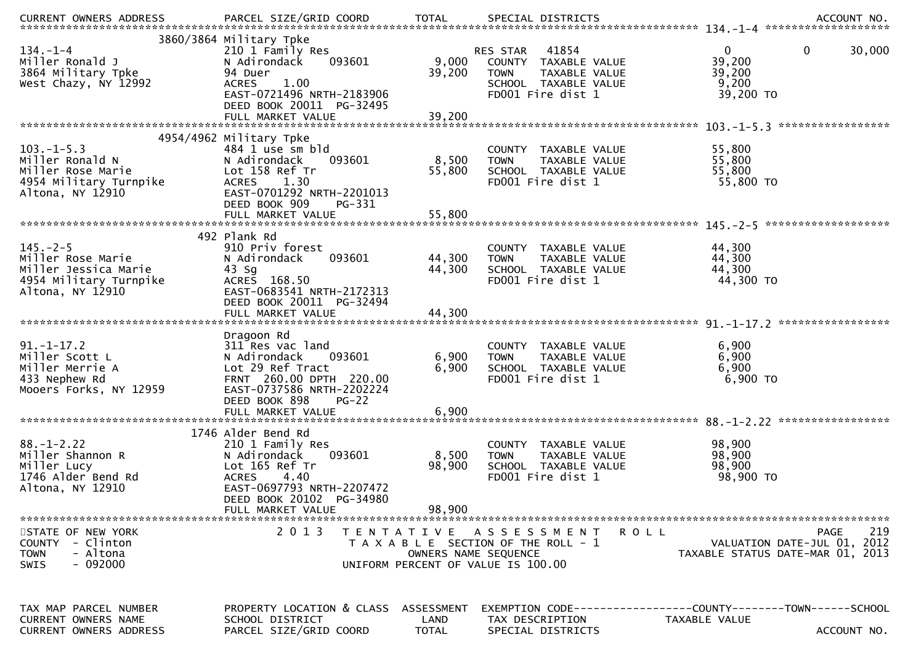| $134. - 1 - 4$<br>Miller Ronald J<br>3864 Military Tpke<br>West Chazy, NY 12992                           | 3860/3864 Military Tpke<br>210 1 Family Res<br>093601<br>N Adirondack<br>94 Duer<br>1.00<br><b>ACRES</b><br>EAST-0721496 NRTH-2183906<br>DEED BOOK 20011 PG-32495                        | 9,000<br>39,200                    | RES STAR 41854<br>COUNTY TAXABLE VALUE<br>TAXABLE VALUE<br><b>TOWN</b><br>SCHOOL TAXABLE VALUE<br>FD001 Fire dist 1 | $\mathbf 0$<br>$\mathbf{0}$<br>30,000<br>39,200<br>39,200<br>9,200<br>39,200 TO                     |
|-----------------------------------------------------------------------------------------------------------|------------------------------------------------------------------------------------------------------------------------------------------------------------------------------------------|------------------------------------|---------------------------------------------------------------------------------------------------------------------|-----------------------------------------------------------------------------------------------------|
|                                                                                                           | FULL MARKET VALUE                                                                                                                                                                        | 39,200                             |                                                                                                                     |                                                                                                     |
| $103. -1 - 5.3$<br>Miller Ronald N<br>Miller Rose Marie<br>4954 Military Turnpike<br>Altona, NY 12910     | 4954/4962 Military Tpke<br>484 1 use sm bld<br>093601<br>N Adirondack<br>Lot 158 Ref Tr<br>1.30<br><b>ACRES</b><br>EAST-0701292 NRTH-2201013                                             | 8,500<br>55,800                    | COUNTY TAXABLE VALUE<br>TAXABLE VALUE<br><b>TOWN</b><br>SCHOOL TAXABLE VALUE<br>FD001 Fire dist 1                   | 55,800<br>55,800<br>55,800<br>55,800 TO                                                             |
|                                                                                                           | DEED BOOK 909<br>PG-331                                                                                                                                                                  |                                    |                                                                                                                     |                                                                                                     |
| $145. - 2 - 5$<br>Miller Rose Marie<br>Miller Jessica Marie<br>4954 Military Turnpike<br>Altona, NY 12910 | 492 Plank Rd<br>910 Priv forest<br>093601<br>N Adirondack<br>$43$ Sg<br>ACRES 168.50<br>EAST-0683541 NRTH-2172313<br>DEED BOOK 20011 PG-32494<br>FULL MARKET VALUE                       | 44,300<br>44,300<br>44,300         | COUNTY TAXABLE VALUE<br>TAXABLE VALUE<br><b>TOWN</b><br>SCHOOL TAXABLE VALUE<br>FD001 Fire dist 1                   | 44,300<br>44,300<br>44,300<br>44,300 TO                                                             |
| $91. - 1 - 17.2$<br>Miller Scott L<br>Miller Merrie A<br>433 Nephew Rd<br>Mooers Forks, NY 12959          | Dragoon Rd<br>311 Res vac land<br>093601<br>N Adirondack<br>Lot 29 Ref Tract<br>FRNT 260.00 DPTH 220.00<br>EAST-0737586 NRTH-2202224<br>DEED BOOK 898<br>$PG-22$<br>FULL MARKET VALUE    | 6,900<br>6,900<br>6,900            | COUNTY TAXABLE VALUE<br><b>TOWN</b><br>TAXABLE VALUE<br>SCHOOL TAXABLE VALUE<br>FD001 Fire dist 1                   | 6,900<br>6,900<br>6,900<br>6,900 TO                                                                 |
| $88. - 1 - 2.22$<br>Miller Shannon R<br>Miller Lucy<br>1746 Alder Bend Rd<br>Altona, NY 12910             | 1746 Alder Bend Rd<br>210 1 Family Res<br>093601<br>N Adirondack<br>Lot 165 Ref Tr<br><b>ACRES</b><br>4.40<br>EAST-0697793 NRTH-2207472<br>DEED BOOK 20102 PG-34980<br>FULL MARKET VALUE | 8,500<br>98,900<br>98,900          | COUNTY TAXABLE VALUE<br>TAXABLE VALUE<br><b>TOWN</b><br>SCHOOL TAXABLE VALUE<br>FD001 Fire dist 1                   | 98,900<br>98,900<br>98,900<br>98,900 TO                                                             |
| STATE OF NEW YORK<br>COUNTY - Clinton<br>- Altona<br><b>TOWN</b><br>$-092000$<br><b>SWIS</b>              | 2 0 1 3                                                                                                                                                                                  | OWNERS NAME SEQUENCE               | TENTATIVE ASSESSMENT<br>ROLL<br>T A X A B L E SECTION OF THE ROLL - 1<br>UNIFORM PERCENT OF VALUE IS 100.00         | 219<br>PAGE<br>VALUATION DATE-JUL 01, 2012<br>TAXABLE STATUS DATE-MAR 01, 2013                      |
| TAX MAP PARCEL NUMBER<br><b>CURRENT OWNERS NAME</b><br>CURRENT OWNERS ADDRESS                             | PROPERTY LOCATION & CLASS<br>SCHOOL DISTRICT<br>PARCEL SIZE/GRID COORD                                                                                                                   | ASSESSMENT<br>LAND<br><b>TOTAL</b> | TAX DESCRIPTION<br>SPECIAL DISTRICTS                                                                                | EXEMPTION        CODE-----------------COUNTY-------TOWN------SCHOOL<br>TAXABLE VALUE<br>ACCOUNT NO. |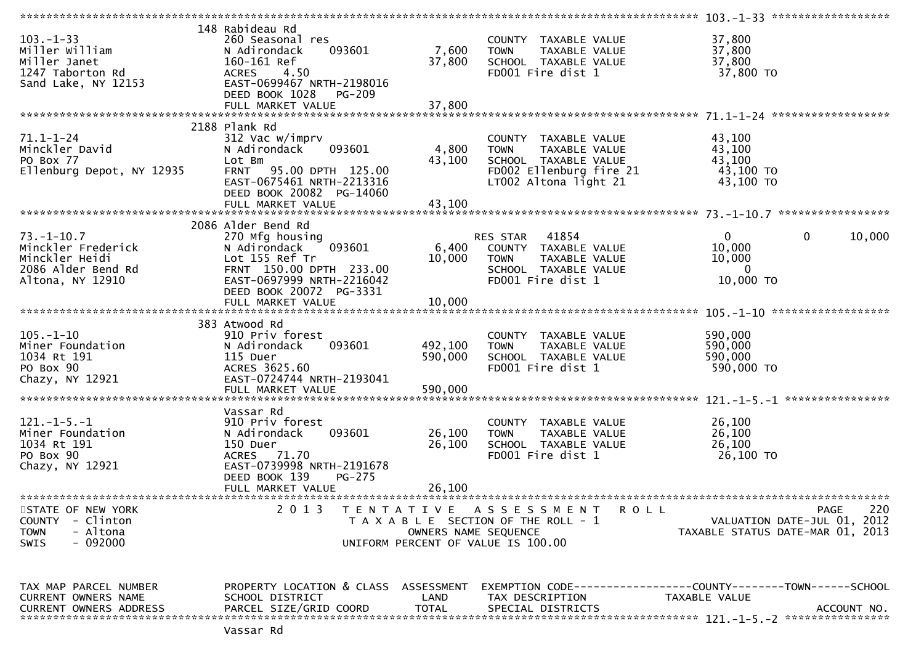|                                                                                                    |                                                                                                                                                                      |                            |                                                                                                                                         | $103 - 1 - 33$ *******************                                                                  |
|----------------------------------------------------------------------------------------------------|----------------------------------------------------------------------------------------------------------------------------------------------------------------------|----------------------------|-----------------------------------------------------------------------------------------------------------------------------------------|-----------------------------------------------------------------------------------------------------|
| $103. - 1 - 33$<br>Miller William<br>Miller Janet<br>1247 Taborton Rd<br>Sand Lake, NY 12153       | 148 Rabideau Rd<br>260 Seasonal res<br>N Adirondack<br>093601<br>160-161 Ref<br><b>ACRES</b><br>4.50<br>EAST-0699467 NRTH-2198016<br>DEED BOOK 1028<br><b>PG-209</b> | 7,600<br>37,800            | COUNTY TAXABLE VALUE<br>TAXABLE VALUE<br><b>TOWN</b><br>SCHOOL TAXABLE VALUE<br>FD001 Fire dist 1                                       | 37,800<br>37,800<br>37,800<br>37,800 TO                                                             |
|                                                                                                    |                                                                                                                                                                      |                            |                                                                                                                                         |                                                                                                     |
| $71.1 - 1 - 24$<br>Minckler David<br>PO Box 77<br>Ellenburg Depot, NY 12935                        | 2188 Plank Rd<br>312 Vac w/imprv<br>093601<br>N Adirondack<br>Lot Bm<br>FRNT 95.00 DPTH 125.00<br>EAST-0675461 NRTH-2213316<br>DEED BOOK 20082 PG-14060              | 4,800<br>43,100            | COUNTY TAXABLE VALUE<br><b>TAXABLE VALUE</b><br><b>TOWN</b><br>SCHOOL TAXABLE VALUE<br>FD002 Ellenburg fire 21<br>LT002 Altona light 21 | 43,100<br>43,100<br>43,100<br>43,100 TO<br>43,100 TO<br>*****************                           |
|                                                                                                    |                                                                                                                                                                      |                            |                                                                                                                                         |                                                                                                     |
| $73. - 1 - 10.7$<br>Minckler Frederick<br>Minckler Heidi<br>2086 Alder Bend Rd<br>Altona, NY 12910 | 2086 Alder Bend Rd<br>270 Mfg housing<br>N Adirondack<br>093601<br>Lot 155 Ref Tr<br>FRNT 150.00 DPTH 233.00<br>EAST-0697999 NRTH-2216042<br>DEED BOOK 20072 PG-3331 | 6,400<br>10,000            | RES STAR<br>41854<br>COUNTY TAXABLE VALUE<br><b>TOWN</b><br>TAXABLE VALUE<br>SCHOOL TAXABLE VALUE<br>FD001 Fire dist 1                  | $\mathbf{0}$<br>0<br>10,000<br>10,000<br>10,000<br>$\mathbf{0}$<br>10,000 TO                        |
|                                                                                                    | FULL MARKET VALUE                                                                                                                                                    | 10,000                     |                                                                                                                                         |                                                                                                     |
|                                                                                                    |                                                                                                                                                                      |                            |                                                                                                                                         |                                                                                                     |
| $105. - 1 - 10$<br>Miner Foundation<br>1034 Rt 191<br>PO Box 90<br>Chazy, NY 12921                 | 383 Atwood Rd<br>910 Priv forest<br>093601<br>N Adirondack<br>115 Duer<br>ACRES 3625.60<br>EAST-0724744 NRTH-2193041                                                 | 492,100<br>590,000         | COUNTY TAXABLE VALUE<br><b>TOWN</b><br>TAXABLE VALUE<br>SCHOOL TAXABLE VALUE<br>FD001 Fire dist 1                                       | 590,000<br>590,000<br>590,000<br>590,000 TO<br>****************                                     |
|                                                                                                    |                                                                                                                                                                      |                            |                                                                                                                                         |                                                                                                     |
| $121.-1-5.-1$<br>Miner Foundation<br>1034 Rt 191<br>PO Box 90<br>Chazy, NY 12921                   | Vassar Rd<br>910 Priv forest<br>093601<br>N Adirondack<br>150 Duer<br>ACRES 71.70<br>EAST-0739998 NRTH-2191678<br>DEED BOOK 139<br>$PG-275$<br>FULL MARKET VALUE     | 26,100<br>26,100<br>26,100 | COUNTY TAXABLE VALUE<br><b>TOWN</b><br>TAXABLE VALUE<br>SCHOOL TAXABLE VALUE<br>FD001 Fire dist 1                                       | 26,100<br>26,100<br>26,100<br>26,100 TO                                                             |
|                                                                                                    |                                                                                                                                                                      |                            |                                                                                                                                         |                                                                                                     |
| STATE OF NEW YORK<br>COUNTY - Clinton<br><b>TOWN</b><br>- Altona<br>SWIS<br>- 092000               | 2 0 1 3                                                                                                                                                              | OWNERS NAME SEQUENCE       | TENTATIVE ASSESSMENT<br><b>ROLL</b><br>T A X A B L E SECTION OF THE ROLL - 1<br>UNIFORM PERCENT OF VALUE IS 100.00                      | PAGE<br>220<br>VALUATION DATE-JUL 01, 2012<br>TAXABLE STATUS DATE-MAR 01, 2013                      |
| TAX MAP PARCEL NUMBER<br>CURRENT OWNERS NAME<br><b>CURRENT OWNERS ADDRESS</b>                      | PROPERTY LOCATION & CLASS ASSESSMENT<br>SCHOOL DISTRICT<br>PARCEL SIZE/GRID COORD                                                                                    | LAND<br><b>TOTAL</b>       | TAX DESCRIPTION<br>SPECIAL DISTRICTS                                                                                                    | EXEMPTION        CODE-----------------COUNTY-------TOWN------SCHOOL<br>TAXABLE VALUE<br>ACCOUNT NO. |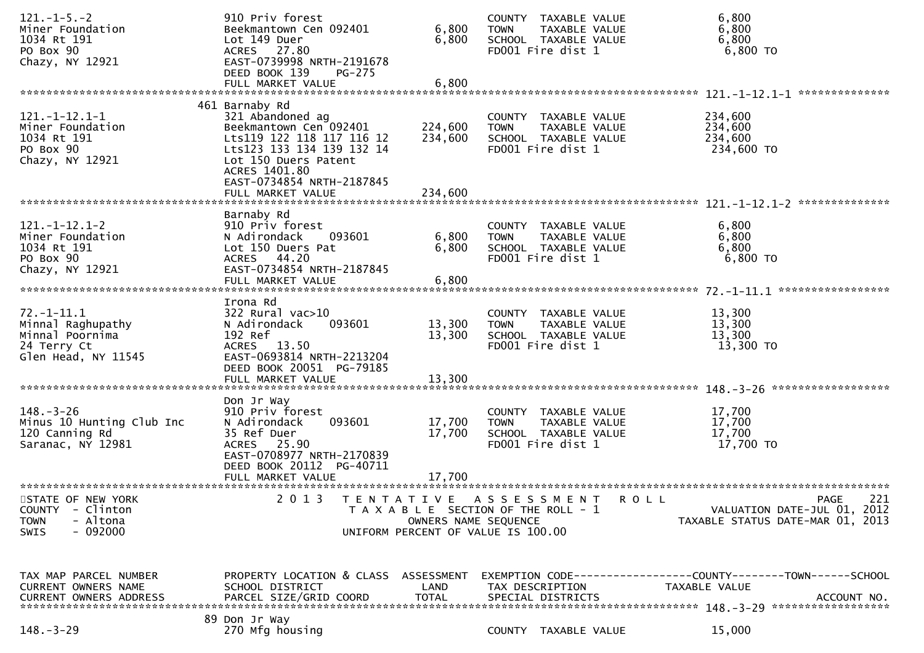| $121. -1 - 5. -2$             | 910 Priv forest                                             |                      | COUNTY TAXABLE VALUE                  | 6,800                                                        |
|-------------------------------|-------------------------------------------------------------|----------------------|---------------------------------------|--------------------------------------------------------------|
| Miner Foundation              | Beekmantown Cen 092401                                      | 6,800                | <b>TOWN</b><br>TAXABLE VALUE          | 6,800                                                        |
| 1034 Rt 191                   | Lot 149 Duer                                                | 6,800                | SCHOOL TAXABLE VALUE                  | 6,800                                                        |
| PO Box 90                     | ACRES 27.80                                                 |                      | FD001 Fire dist 1                     | 6,800 TO                                                     |
| Chazy, NY 12921               | EAST-0739998 NRTH-2191678<br>DEED BOOK 139<br><b>PG-275</b> |                      |                                       |                                                              |
|                               | FULL MARKET VALUE                                           | 6,800                |                                       |                                                              |
|                               |                                                             |                      |                                       | **************<br>$121. - 1 - 12.1 - 1$                      |
|                               | 461 Barnaby Rd                                              |                      |                                       |                                                              |
| $121. -1 - 12.1 - 1$          | 321 Abandoned ag                                            |                      | COUNTY TAXABLE VALUE                  | 234,600                                                      |
| Miner Foundation              | Beekmantown Cen 092401                                      | 224,600              | TAXABLE VALUE<br><b>TOWN</b>          | 234,600                                                      |
| 1034 Rt 191                   | Lts119 122 118 117 116 12                                   | 234,600              | SCHOOL TAXABLE VALUE                  | 234,600                                                      |
| PO Box 90                     | Lts123 133 134 139 132 14                                   |                      | FD001 Fire dist 1                     | 234,600 TO                                                   |
| Chazy, NY 12921               | Lot 150 Duers Patent<br>ACRES 1401.80                       |                      |                                       |                                                              |
|                               | EAST-0734854 NRTH-2187845                                   |                      |                                       |                                                              |
|                               | FULL MARKET VALUE                                           | 234,600              |                                       |                                                              |
|                               |                                                             |                      |                                       |                                                              |
|                               | Barnaby Rd                                                  |                      |                                       |                                                              |
| $121. - 1 - 12.1 - 2$         | 910 Priv forest                                             |                      | COUNTY TAXABLE VALUE                  | 6,800                                                        |
| Miner Foundation              | N Adirondack<br>093601                                      | 6,800                | <b>TOWN</b><br>TAXABLE VALUE          | 6,800                                                        |
| 1034 Rt 191                   | Lot 150 Duers Pat                                           | 6,800                | SCHOOL TAXABLE VALUE                  | 6,800                                                        |
| PO Box 90                     | ACRES 44.20<br>EAST-0734854 NRTH-2187845                    |                      | FD001 Fire dist 1                     | 6,800 TO                                                     |
| Chazy, NY 12921               | FULL MARKET VALUE                                           | 6,800                |                                       |                                                              |
|                               |                                                             |                      |                                       | *****************                                            |
|                               | Irona Rd                                                    |                      |                                       |                                                              |
| $72. - 1 - 11.1$              | $322$ Rural vac $>10$                                       |                      | COUNTY TAXABLE VALUE                  | 13,300                                                       |
| Minnal Raghupathy             | N Adirondack<br>093601                                      | 13,300               | TAXABLE VALUE<br><b>TOWN</b>          | 13,300                                                       |
| Minnal Poornima               | 192 Ref                                                     | 13,300               | SCHOOL TAXABLE VALUE                  | 13,300                                                       |
| 24 Terry Ct                   | ACRES 13.50                                                 |                      | FD001 Fire dist 1                     | 13,300 TO                                                    |
| Glen Head, NY 11545           | EAST-0693814 NRTH-2213204<br>DEED BOOK 20051 PG-79185       |                      |                                       |                                                              |
|                               | FULL MARKET VALUE                                           | 13,300               |                                       |                                                              |
|                               |                                                             |                      |                                       |                                                              |
|                               | Don Jr Way                                                  |                      |                                       |                                                              |
| $148. - 3 - 26$               | 910 Priv forest                                             |                      | COUNTY TAXABLE VALUE                  | 17,700                                                       |
| Minus 10 Hunting Club Inc     | 093601<br>N Adirondack                                      | 17,700               | TAXABLE VALUE<br><b>TOWN</b>          | 17,700                                                       |
| 120 Canning Rd                | 35 Ref Duer                                                 | 17,700               | SCHOOL TAXABLE VALUE                  | 17,700                                                       |
| Saranac, NY 12981             | ACRES 25.90<br>EAST-0708977 NRTH-2170839                    |                      | FD001 Fire dist 1                     | 17,700 TO                                                    |
|                               | DEED BOOK 20112 PG-40711                                    |                      |                                       |                                                              |
|                               | FULL MARKET VALUE                                           | 17,700               |                                       |                                                              |
|                               |                                                             |                      |                                       |                                                              |
| STATE OF NEW YORK             | 2 0 1 3<br>T E N T A T I V E                                |                      | ASSESSMENT ROLL                       | 221<br>PAGE                                                  |
| <b>COUNTY</b><br>- Clinton    |                                                             |                      | T A X A B L E SECTION OF THE ROLL - 1 | VALUATION DATE-JUL 01, 2012                                  |
| <b>TOWN</b><br>- Altona       |                                                             | OWNERS NAME SEQUENCE |                                       | TAXABLE STATUS DATE-MAR 01, 2013                             |
| $-092000$<br>SWIS             |                                                             |                      | UNIFORM PERCENT OF VALUE IS 100.00    |                                                              |
|                               |                                                             |                      |                                       |                                                              |
|                               |                                                             |                      |                                       |                                                              |
| TAX MAP PARCEL NUMBER         | PROPERTY LOCATION & CLASS                                   | ASSESSMENT           |                                       | EXEMPTION CODE-----------------COUNTY-------TOWN------SCHOOL |
| CURRENT OWNERS NAME           | SCHOOL DISTRICT                                             | LAND                 | TAX DESCRIPTION                       | TAXABLE VALUE                                                |
| <b>CURRENT OWNERS ADDRESS</b> | PARCEL SIZE/GRID COORD                                      | <b>TOTAL</b>         | SPECIAL DISTRICTS                     | ACCOUNT NO.                                                  |
|                               | 89 Don Jr Way                                               |                      |                                       |                                                              |
| $148. - 3 - 29$               | 270 Mfg housing                                             |                      | COUNTY TAXABLE VALUE                  | 15,000                                                       |
|                               |                                                             |                      |                                       |                                                              |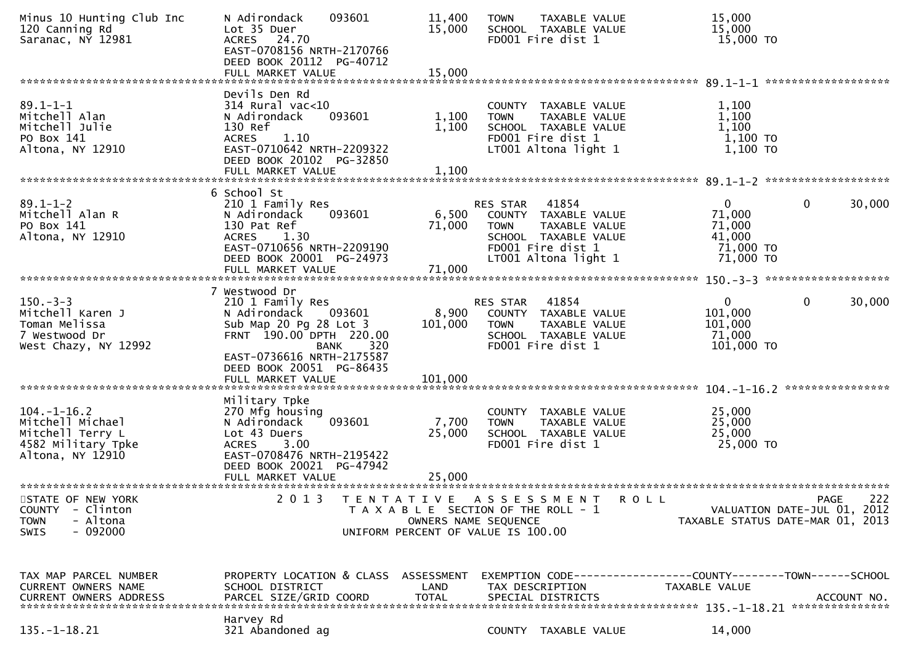| Minus 10 Hunting Club Inc<br>120 Canning Rd<br>Saranac, NY 12981                                       | 093601<br>N Adirondack<br>Lot 35 Duer<br>ACRES 24.70<br>EAST-0708156 NRTH-2170766<br>DEED BOOK 20112 PG-40712                                                                                                        | 11,400<br>15,000                                                                                    | <b>TOWN</b>                    | TAXABLE VALUE<br>SCHOOL TAXABLE VALUE<br>FD001 Fire dist 1                                                          |                                                               | 15,000<br>15,000<br>15,000 TO                                        |             |             |
|--------------------------------------------------------------------------------------------------------|----------------------------------------------------------------------------------------------------------------------------------------------------------------------------------------------------------------------|-----------------------------------------------------------------------------------------------------|--------------------------------|---------------------------------------------------------------------------------------------------------------------|---------------------------------------------------------------|----------------------------------------------------------------------|-------------|-------------|
|                                                                                                        | FULL MARKET VALUE                                                                                                                                                                                                    | 15,000                                                                                              |                                |                                                                                                                     |                                                               |                                                                      |             |             |
| $89.1 - 1 - 1$<br>Mitchell Alan<br>Mitchell Julie<br>PO Box 141<br>Altona, NY 12910                    | Devils Den Rd<br>$314$ Rural vac<10<br>093601<br>N Adirondack<br>130 Ref<br><b>ACRES</b><br>1.10<br>EAST-0710642 NRTH-2209322<br>DEED BOOK 20102 PG-32850<br>FULL MARKET VALUE                                       | 1,100<br>1,100<br>1,100                                                                             | <b>TOWN</b>                    | COUNTY TAXABLE VALUE<br>TAXABLE VALUE<br>SCHOOL TAXABLE VALUE<br>FD001 Fire dist 1<br>LT001 Altona light 1          |                                                               | 1,100<br>1,100<br>1,100<br>$1,100$ TO<br>1,100 TO                    |             |             |
|                                                                                                        | 6 School St                                                                                                                                                                                                          |                                                                                                     |                                |                                                                                                                     |                                                               |                                                                      |             |             |
| $89.1 - 1 - 2$<br>Mitchell Alan R<br>PO Box 141<br>Altona, NY 12910                                    | 210 1 Family Res<br>093601<br>N Adirondack<br>130 Pat Ref<br>1.30<br><b>ACRES</b><br>EAST-0710656 NRTH-2209190<br>DEED BOOK 20001 PG-24973<br>FULL MARKET VALUE                                                      | 6,500<br>71,000<br>71,000                                                                           | <b>RES STAR</b><br><b>TOWN</b> | 41854<br>COUNTY TAXABLE VALUE<br>TAXABLE VALUE<br>SCHOOL TAXABLE VALUE<br>FD001 Fire dist 1<br>LT001 Altona light 1 |                                                               | $\mathbf{0}$<br>71,000<br>71,000<br>41,000<br>71,000 TO<br>71,000 TO | 0           | 30,000      |
|                                                                                                        |                                                                                                                                                                                                                      |                                                                                                     |                                |                                                                                                                     |                                                               |                                                                      |             |             |
| $150 - 3 - 3$<br>Mitchell Karen J<br>Toman Melissa<br>7 Westwood Dr<br>West Chazy, NY 12992            | 7 Westwood Dr<br>210 1 Family Res<br>N Adirondack<br>093601<br>Sub Map 20 Pg 28 Lot 3<br>FRNT 190.00 DPTH 220.00<br>320<br><b>BANK</b><br>EAST-0736616 NRTH-2175587<br>DEED BOOK 20051 PG-86435<br>FULL MARKET VALUE | 8,900<br>101,000<br>101,000                                                                         | RES STAR<br><b>TOWN</b>        | 41854<br>COUNTY TAXABLE VALUE<br>TAXABLE VALUE<br>SCHOOL TAXABLE VALUE<br>FD001 Fire dist 1                         |                                                               | $\mathbf{0}$<br>101,000<br>101,000<br>71,000<br>101,000 TO           | 0           | 30,000      |
|                                                                                                        |                                                                                                                                                                                                                      |                                                                                                     |                                |                                                                                                                     |                                                               |                                                                      |             |             |
| $104. - 1 - 16.2$<br>Mitchell Michael<br>Mitchell Terry L<br>4582 Military Tpke<br>Altona, NY 12910    | Military Tpke<br>270 Mfg housing<br>N Adirondack<br>093601<br>Lot 43 Duers<br>3.00<br><b>ACRES</b><br>EAST-0708476 NRTH-2195422<br>DEED BOOK 20021<br>PG-47942<br>FULL MARKET VALUE                                  | 7,700<br>25,000<br>25,000                                                                           | <b>TOWN</b>                    | COUNTY TAXABLE VALUE<br>TAXABLE VALUE<br>SCHOOL TAXABLE VALUE<br>FD001 Fire dist 1                                  |                                                               | 25,000<br>25,000<br>25,000<br>25,000 TO                              |             |             |
|                                                                                                        |                                                                                                                                                                                                                      |                                                                                                     |                                |                                                                                                                     |                                                               |                                                                      |             |             |
| STATE OF NEW YORK<br>- Clinton<br><b>COUNTY</b><br>- Altona<br><b>TOWN</b><br>$-092000$<br><b>SWIS</b> | 2013<br>T E N T A T I V E                                                                                                                                                                                            | T A X A B L E SECTION OF THE ROLL - 1<br>OWNERS NAME SEQUENCE<br>UNIFORM PERCENT OF VALUE IS 100.00 |                                | A S S E S S M E N T                                                                                                 | <b>ROLL</b>                                                   | VALUATION DATE-JUL 01, 2012<br>TAXABLE STATUS DATE-MAR 01, 2013      | <b>PAGE</b> | 222         |
| TAX MAP PARCEL NUMBER<br>CURRENT OWNERS NAME<br><b>CURRENT OWNERS ADDRESS</b>                          | PROPERTY LOCATION & CLASS<br>SCHOOL DISTRICT<br>PARCEL SIZE/GRID COORD                                                                                                                                               | ASSESSMENT<br>LAND<br><b>TOTAL</b>                                                                  | TAX DESCRIPTION                | SPECIAL DISTRICTS                                                                                                   | EXEMPTION CODE------------------COUNTY-------TOWN------SCHOOL | TAXABLE VALUE                                                        |             | ACCOUNT NO. |
| $135. - 1 - 18.21$                                                                                     | Harvey Rd<br>321 Abandoned ag                                                                                                                                                                                        |                                                                                                     |                                | COUNTY TAXABLE VALUE                                                                                                |                                                               | 14,000                                                               |             |             |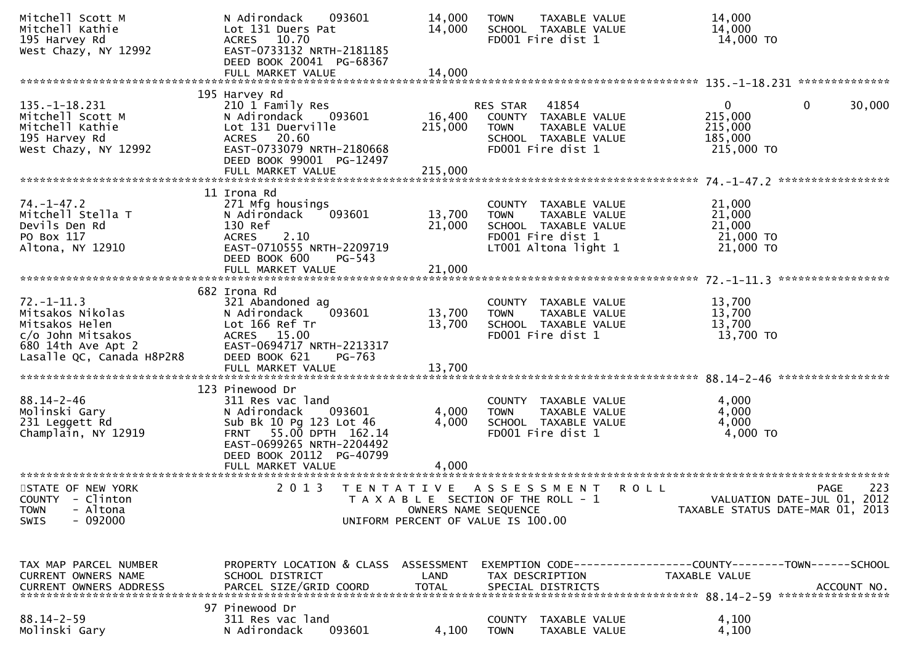| Mitchell Scott M<br>Mitchell Kathie<br>195 Harvey Rd<br>West Chazy, NY 12992                                                                                                                                                                                                   | N Adirondack<br>093601<br>Lot 131 Duers Pat<br>ACRES 10.70<br>EAST-0733132 NRTH-2181185<br>DEED BOOK 20041 PG-68367                                                                              | 14,000<br>14,000             | <b>TOWN</b><br>TAXABLE VALUE<br>SCHOOL TAXABLE VALUE<br>FD001 Fire dist 1                                                 | 14,000<br>14,000<br>14,000 TO                                                   |                                                   |
|--------------------------------------------------------------------------------------------------------------------------------------------------------------------------------------------------------------------------------------------------------------------------------|--------------------------------------------------------------------------------------------------------------------------------------------------------------------------------------------------|------------------------------|---------------------------------------------------------------------------------------------------------------------------|---------------------------------------------------------------------------------|---------------------------------------------------|
|                                                                                                                                                                                                                                                                                |                                                                                                                                                                                                  |                              |                                                                                                                           |                                                                                 |                                                   |
| $135. - 1 - 18.231$<br>Mitchell Scott M<br>Mitchell Kathie<br>195 Harvey Rd<br>West Chazy, NY 12992                                                                                                                                                                            | 195 Harvey Rd<br>210 1 Family Res<br>N Adirondack<br>093601<br>Lot 131 Duerville<br>ACRES 20.60<br>EAST-0733079 NRTH-2180668<br>DEED BOOK 99001 PG-12497<br>FULL MARKET VALUE                    | 16,400<br>215,000<br>215,000 | 41854<br>RES STAR<br>COUNTY TAXABLE VALUE<br>TAXABLE VALUE<br><b>TOWN</b><br>SCHOOL TAXABLE VALUE<br>FD001 Fire dist 1    | $\mathbf{0}$<br>215,000<br>215,000<br>185,000<br>215,000 TO                     | 30,000<br>0                                       |
|                                                                                                                                                                                                                                                                                |                                                                                                                                                                                                  |                              |                                                                                                                           |                                                                                 |                                                   |
| $74. - 1 - 47.2$<br>Mitchell Stella T<br>Devils Den Rd<br>PO Box 117<br>Altona, NY 12910                                                                                                                                                                                       | 11 Irona Rd<br>271 Mfg housings<br>093601<br>N Adirondack<br>130 Ref<br>2.10<br><b>ACRES</b><br>EAST-0710555 NRTH-2209719<br>DEED BOOK 600<br>PG-543                                             | 13,700<br>21,000             | COUNTY TAXABLE VALUE<br>TAXABLE VALUE<br><b>TOWN</b><br>SCHOOL TAXABLE VALUE<br>FD001 Fire dist 1<br>LT001 Altona light 1 | 21,000<br>21,000<br>21,000<br>21,000 TO<br>21,000 TO                            |                                                   |
|                                                                                                                                                                                                                                                                                | FULL MARKET VALUE                                                                                                                                                                                | 21,000                       |                                                                                                                           |                                                                                 |                                                   |
| $72. - 1 - 11.3$<br>Mitsakos Nikolas<br>Mitsakos Helen<br>c/o John Mitsakos<br>680 14th Ave Apt 2<br>Lasalle QC, Canada H8P2R8                                                                                                                                                 | 682 Irona Rd<br>321 Abandoned ag<br>093601<br>N Adirondack<br>Lot 166 Ref Tr<br>ACRES 15.00<br>EAST-0694717 NRTH-2213317<br>DEED BOOK 621<br>PG-763<br>FULL MARKET VALUE                         | 13,700<br>13,700<br>13,700   | COUNTY TAXABLE VALUE<br><b>TOWN</b><br>TAXABLE VALUE<br>SCHOOL TAXABLE VALUE<br>FD001 Fire dist 1                         | 13,700<br>13,700<br>13,700<br>13,700 TO                                         |                                                   |
|                                                                                                                                                                                                                                                                                |                                                                                                                                                                                                  |                              |                                                                                                                           |                                                                                 |                                                   |
| $88.14 - 2 - 46$<br>Molinski Gary<br>231 Leggett Rd<br>Champlain, NY 12919                                                                                                                                                                                                     | 123 Pinewood Dr<br>311 Res vac land<br>N Adirondack<br>093601<br>Sub Bk 10 Pg 123 Lot 46<br>FRNT 55.00 DPTH 162.14<br>EAST-0699265 NRTH-2204492<br>DEED BOOK 20112 PG-40799<br>FULL MARKET VALUE | 4,000<br>4,000<br>4,000      | COUNTY TAXABLE VALUE<br><b>TOWN</b><br>TAXABLE VALUE<br>SCHOOL TAXABLE VALUE<br>FD001 Fire dist 1                         | 4,000<br>4,000<br>4,000<br>4,000 TO                                             |                                                   |
| STATE OF NEW YORK<br>COUNTY - Clinton<br>- Altona<br><b>TOWN</b><br>$-092000$<br><b>SWIS</b>                                                                                                                                                                                   | 2 0 1 3                                                                                                                                                                                          | OWNERS NAME SEQUENCE         | TENTATIVE ASSESSMENT<br>T A X A B L E SECTION OF THE ROLL - 1<br>UNIFORM PERCENT OF VALUE IS 100.00                       | <b>ROLL</b><br>TAXABLE STATUS DATE-MAR 01, 2013                                 | 223<br><b>PAGE</b><br>VALUATION DATE-JUL 01, 2012 |
| TAX MAP PARCEL NUMBER<br>CURRENT OWNERS NAME<br>.CURRENT OWNERS ADDRESS PARCEL SIZE/GRID COORD TOTAL SPECIAL DISTRICTS (ALL PARTING ACCOUNT NO ACCOUNT NO AND MANAGERY SERVIT AND AND AND A SERVIT ASSESS TO A SERVIT ASSESS TO A SERVIT ASSESSED TO A SERVIT AS THE SERVIT AS | PROPERTY LOCATION & CLASS ASSESSMENT<br>SCHOOL DISTRICT                                                                                                                                          | LAND                         | TAX DESCRIPTION                                                                                                           | EXEMPTION CODE------------------COUNTY--------TOWN------SCHOOL<br>TAXABLE VALUE |                                                   |
| $88.14 - 2 - 59$<br>Molinski Gary                                                                                                                                                                                                                                              | 97 Pinewood Dr<br>311 Res vac land<br>N Adirondack<br>093601                                                                                                                                     | 4,100                        | COUNTY<br>TAXABLE VALUE<br><b>TOWN</b><br>TAXABLE VALUE                                                                   | 4,100<br>4,100                                                                  |                                                   |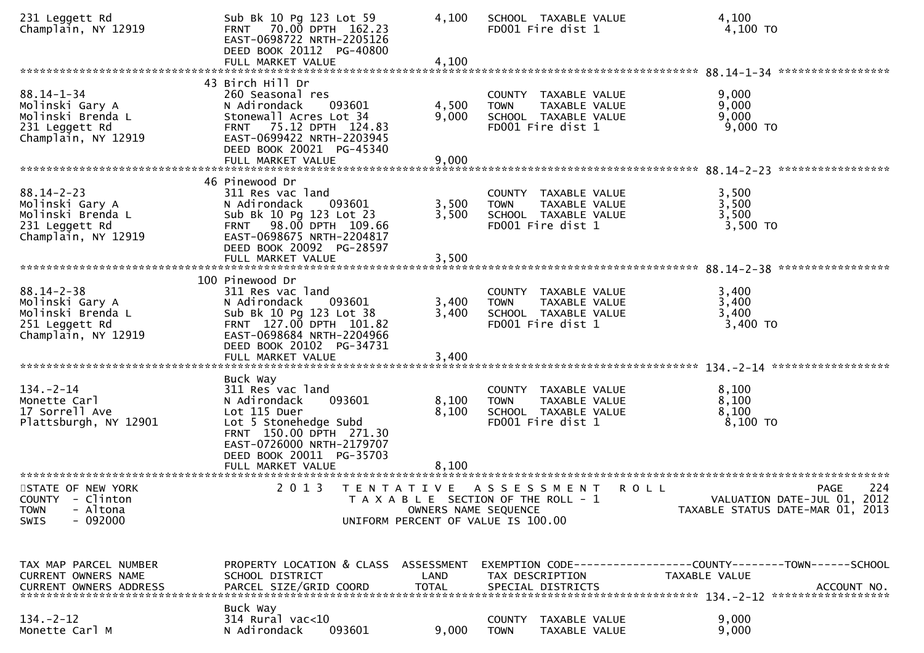| 231 Leggett Rd<br>Champlain, NY 12919                                                             | Sub Bk 10 Pg 123 Lot 59<br>FRNT 70.00 DPTH 162.23<br>EAST-0698722 NRTH-2205126<br>DEED BOOK 20112 PG-40800<br>FULL MARKET VALUE                                                                          | 4,100<br>4,100          | SCHOOL TAXABLE VALUE<br>FD001 Fire dist 1                                                           | 4,100<br>4,100 TO                                                                                    |
|---------------------------------------------------------------------------------------------------|----------------------------------------------------------------------------------------------------------------------------------------------------------------------------------------------------------|-------------------------|-----------------------------------------------------------------------------------------------------|------------------------------------------------------------------------------------------------------|
| $88.14 - 1 - 34$<br>Molinski Gary A<br>Molinski Brenda L<br>231 Leggett Rd<br>Champlain, NY 12919 | 43 Birch Hill Dr<br>260 Seasonal res<br>N Adirondack<br>093601<br>Stonewall Acres Lot 34<br>75.12 DPTH 124.83<br><b>FRNT</b><br>EAST-0699422 NRTH-2203945<br>DEED BOOK 20021 PG-45340                    | 4,500<br>9,000          | COUNTY TAXABLE VALUE<br>TAXABLE VALUE<br><b>TOWN</b><br>SCHOOL TAXABLE VALUE<br>FD001 Fire dist 1   | 9,000<br>9,000<br>9,000<br>9,000 TO                                                                  |
|                                                                                                   | FULL MARKET VALUE                                                                                                                                                                                        | 9,000                   |                                                                                                     |                                                                                                      |
| $88.14 - 2 - 23$<br>Molinski Gary A<br>Molinski Brenda L<br>231 Leggett Rd<br>Champlain, NY 12919 | 46 Pinewood Dr<br>311 Res vac land<br>093601<br>N Adirondack<br>Sub Bk 10 Pg 123 Lot 23<br>FRNT 98.00 DPTH 109.66<br>EAST-0698675 NRTH-2204817<br>DEED BOOK 20092 PG-28597                               | 3,500<br>3,500          | COUNTY TAXABLE VALUE<br>TAXABLE VALUE<br>TOWN<br>SCHOOL TAXABLE VALUE<br>FD001 Fire dist 1          | 3,500<br>3,500<br>3,500<br>3,500 TO                                                                  |
|                                                                                                   |                                                                                                                                                                                                          |                         |                                                                                                     |                                                                                                      |
| $88.14 - 2 - 38$<br>Molinski Gary A<br>Molinski Brenda L<br>251 Leggett Rd<br>Champlain, NY 12919 | 100 Pinewood Dr<br>311 Res vac land<br>093601<br>N Adirondack<br>Sub Bk 10 Pg 123 Lot 38<br>FRNT 127.00 DPTH 101.82<br>EAST-0698684 NRTH-2204966<br>DEED BOOK 20102 PG-34731                             | 3,400<br>3,400          | COUNTY TAXABLE VALUE<br>TAXABLE VALUE<br><b>TOWN</b><br>SCHOOL TAXABLE VALUE<br>FD001 Fire dist 1   | 3,400<br>3,400<br>3,400<br>3,400 TO                                                                  |
|                                                                                                   |                                                                                                                                                                                                          |                         |                                                                                                     |                                                                                                      |
| $134. - 2 - 14$<br>Monette Carl<br>17 Sorrell Ave<br>Plattsburgh, NY 12901                        | Buck Way<br>311 Res vac land<br>093601<br>N Adirondack<br>Lot 115 Duer<br>Lot 5 Stonehedge Subd<br>FRNT 150.00 DPTH 271.30<br>EAST-0726000 NRTH-2179707<br>DEED BOOK 20011 PG-35703<br>FULL MARKET VALUE | 8,100<br>8,100<br>8,100 | COUNTY TAXABLE VALUE<br><b>TOWN</b><br>TAXABLE VALUE<br>SCHOOL TAXABLE VALUE<br>FD001 Fire dist 1   | 8,100<br>8,100<br>8,100<br>8,100 TO                                                                  |
|                                                                                                   |                                                                                                                                                                                                          |                         |                                                                                                     |                                                                                                      |
| STATE OF NEW YORK<br>COUNTY - Clinton<br>- Altona<br><b>TOWN</b><br>$-092000$<br><b>SWIS</b>      | 2 0 1 3                                                                                                                                                                                                  | OWNERS NAME SEQUENCE    | TENTATIVE ASSESSMENT<br>T A X A B L E SECTION OF THE ROLL - 1<br>UNIFORM PERCENT OF VALUE IS 100.00 | 224<br><b>ROLL</b><br><b>PAGE</b><br>VALUATION DATE-JUL 01, 2012<br>TAXABLE STATUS DATE-MAR 01, 2013 |
| TAX MAP PARCEL NUMBER<br>CURRENT OWNERS NAME                                                      | PROPERTY LOCATION & CLASS ASSESSMENT<br>SCHOOL DISTRICT                                                                                                                                                  | LAND                    | TAX DESCRIPTION                                                                                     | EXEMPTION CODE-----------------COUNTY-------TOWN------SCHOOL<br>TAXABLE VALUE                        |
| $134 - 2 - 12$<br>Monette Carl M                                                                  | Buck Way<br>314 Rural vac<10<br>093601<br>N Adirondack                                                                                                                                                   | 9,000                   | COUNTY TAXABLE VALUE<br><b>TOWN</b><br>TAXABLE VALUE                                                | 9,000<br>9,000                                                                                       |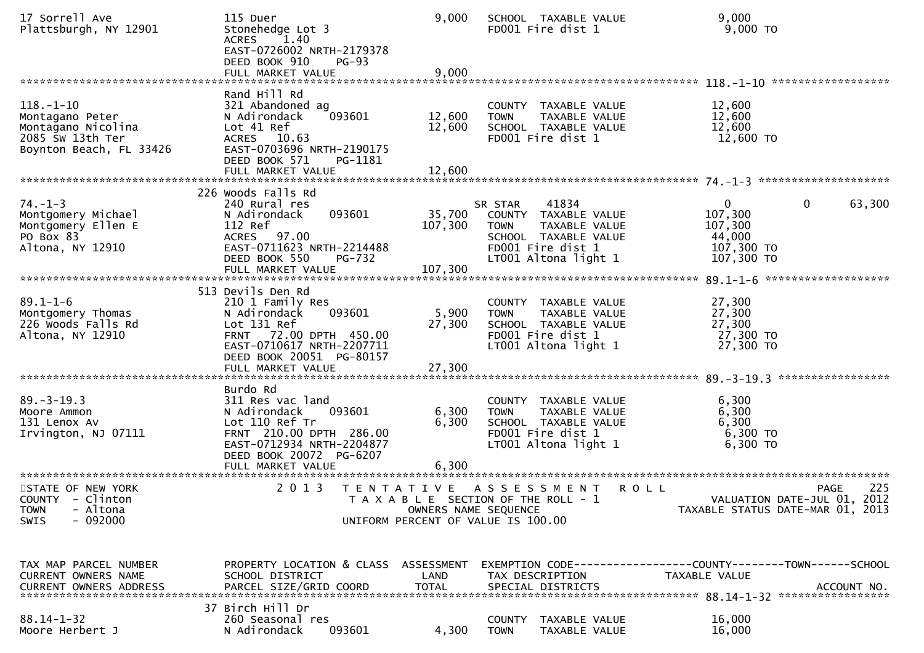| 17 Sorrell Ave<br>Plattsburgh, NY 12901                                                                 | 115 Duer<br>Stonehedge Lot 3<br><b>ACRES</b><br>1.40<br>EAST-0726002 NRTH-2179378<br>DEED BOOK 910<br><b>PG-93</b>                                                                     | 9,000                        | SCHOOL TAXABLE VALUE<br>FD001 Fire dist 1                                                                                                     | 9,000<br>9,000 TO                                                                                  |
|---------------------------------------------------------------------------------------------------------|----------------------------------------------------------------------------------------------------------------------------------------------------------------------------------------|------------------------------|-----------------------------------------------------------------------------------------------------------------------------------------------|----------------------------------------------------------------------------------------------------|
|                                                                                                         | FULL MARKET VALUE                                                                                                                                                                      | 9,000                        |                                                                                                                                               |                                                                                                    |
| $118. - 1 - 10$<br>Montagano Peter<br>Montagano Nicolina<br>2085 Sw 13th Ter<br>Boynton Beach, FL 33426 | Rand Hill Rd<br>321 Abandoned ag<br>093601<br>N Adirondack<br>Lot 41 Ref<br>ACRES 10.63<br>EAST-0703696 NRTH-2190175<br>DEED BOOK 571<br>PG-1181                                       | 12,600<br>12,600             | COUNTY TAXABLE VALUE<br><b>TOWN</b><br>TAXABLE VALUE<br>SCHOOL TAXABLE VALUE<br>FD001 Fire dist 1                                             | 12,600<br>12,600<br>12,600<br>12,600 TO                                                            |
|                                                                                                         | FULL MARKET VALUE                                                                                                                                                                      | 12,600                       |                                                                                                                                               |                                                                                                    |
| $74. - 1 - 3$<br>Montgomery Michael<br>Montgomery Ellen E<br>PO Box 83<br>Altona, NY 12910              | 226 Woods Falls Rd<br>240 Rural res<br>N Adirondack<br>093601<br>112 Ref<br>ACRES 97.00<br>EAST-0711623 NRTH-2214488<br>DEED BOOK 550<br>PG-732<br>FULL MARKET VALUE                   | 35,700<br>107,300<br>107,300 | 41834<br>SR STAR<br>COUNTY TAXABLE VALUE<br><b>TOWN</b><br>TAXABLE VALUE<br>SCHOOL TAXABLE VALUE<br>FD001 Fire dist 1<br>LT001 Altona light 1 | $\mathbf{0}$<br>$\mathbf{0}$<br>63,300<br>107,300<br>107,300<br>44,000<br>107,300 TO<br>107,300 TO |
| $89.1 - 1 - 6$<br>Montgomery Thomas<br>226 Woods Falls Rd<br>Altona, NY 12910                           | 513 Devils Den Rd<br>210 1 Family Res<br>093601<br>N Adirondack<br>Lot 131 Ref<br>FRNT 72.00 DPTH 450.00<br>EAST-0710617 NRTH-2207711<br>DEED BOOK 20051 PG-80157<br>FULL MARKET VALUE | 5,900<br>27,300<br>27,300    | COUNTY TAXABLE VALUE<br>TAXABLE VALUE<br><b>TOWN</b><br>SCHOOL TAXABLE VALUE<br>FD001 Fire dist 1<br>LT001 Altona light 1                     | 27,300<br>27,300<br>27,300<br>27,300 TO<br>27,300 TO                                               |
| $89. - 3 - 19.3$<br>Moore Ammon<br>131 Lenox Av<br>Irvington, NJ 07111                                  | Burdo Rd<br>311 Res vac land<br>093601<br>N Adirondack<br>Lot 110 Ref Tr<br>FRNT 210.00 DPTH 286.00<br>EAST-0712934 NRTH-2204877<br>DEED BOOK 20072 PG-6207<br>FULL MARKET VALUE       | 6,300<br>6,300<br>6,300      | COUNTY TAXABLE VALUE<br>TAXABLE VALUE<br><b>TOWN</b><br>SCHOOL TAXABLE VALUE<br>FD001 Fire dist 1<br>LT001 Altona light 1                     | 6,300<br>6,300<br>6,300<br>6,300 TO<br>$6,300$ TO                                                  |
| STATE OF NEW YORK<br>COUNTY - Clinton<br>- Altona<br><b>TOWN</b><br>$-092000$<br><b>SWIS</b>            | 2 0 1 3                                                                                                                                                                                |                              | TENTATIVE ASSESSMENT<br>T A X A B L E SECTION OF THE ROLL - 1<br>OWNERS NAME SEQUENCE<br>UNIFORM PERCENT OF VALUE IS 100.00                   | 225<br><b>PAGE</b><br>ROLL<br>VALUATION DATE-JUL 01, 2012<br>TAXABLE STATUS DATE-MAR 01, 2013      |
| TAX MAP PARCEL NUMBER<br>CURRENT OWNERS NAME                                                            | PROPERTY LOCATION & CLASS ASSESSMENT<br>SCHOOL DISTRICT                                                                                                                                | LAND                         | TAX DESCRIPTION                                                                                                                               | EXEMPTION CODE-----------------COUNTY-------TOWN------SCHOOL<br>TAXABLE VALUE                      |
| $88.14 - 1 - 32$<br>Moore Herbert J                                                                     | 37 Birch Hill Dr<br>260 Seasonal res<br>093601<br>N Adirondack                                                                                                                         | 4,300                        | COUNTY TAXABLE VALUE<br><b>TOWN</b><br>TAXABLE VALUE                                                                                          | 16,000<br>16,000                                                                                   |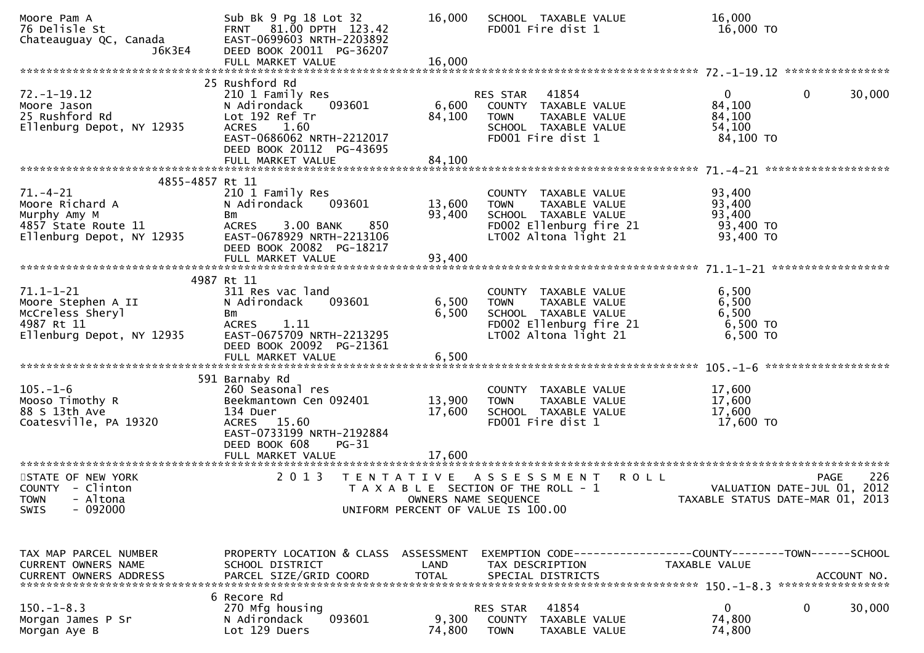| Moore Pam A<br>76 Delisle St<br>Chateauguay QC, Canada<br>J6K3E4                                                                                                | Sub Bk 9 Pg 18 Lot 32<br>FRNT 81.00 DPTH 123.42<br>EAST-0699603 NRTH-2203892<br>DEED BOOK 20011 PG-36207                                                                   | 16,000                     | SCHOOL TAXABLE VALUE<br>FD001 Fire dist 1                                                                                        | 16,000<br>16,000 TO                                                       |                    |
|-----------------------------------------------------------------------------------------------------------------------------------------------------------------|----------------------------------------------------------------------------------------------------------------------------------------------------------------------------|----------------------------|----------------------------------------------------------------------------------------------------------------------------------|---------------------------------------------------------------------------|--------------------|
|                                                                                                                                                                 |                                                                                                                                                                            |                            |                                                                                                                                  |                                                                           |                    |
| $72. - 1 - 19.12$<br>Moore Jason<br>25 Rushford Rd<br>Ellenburg Depot, NY 12935                                                                                 | 25 Rushford Rd<br>210 1 Family Res<br>N Adirondack<br>093601<br>Lot 192 Ref Tr<br>ACRES 1.60<br>EAST-0686062 NRTH-2212017<br>DEED BOOK 20112 PG-43695                      | 6,600<br>84,100            | RES STAR 41854<br>COUNTY TAXABLE VALUE<br><b>TOWN</b><br>TAXABLE VALUE<br>SCHOOL TAXABLE VALUE<br>FD001 Fire dist 1              | $\overline{0}$<br>$\mathbf{0}$<br>84,100<br>84,100<br>54,100<br>84,100 TO | 30,000             |
|                                                                                                                                                                 | FULL MARKET VALUE                                                                                                                                                          | 84,100                     |                                                                                                                                  |                                                                           |                    |
| 4855-4857 Rt 11<br>$71. - 4 - 21$<br>Moore Richard A<br>Murphy Amy M<br>4857 State Route 11<br>Ellenburg Depot, NY 12935                                        | 210 1 Family Res<br>N Adirondack<br>093601<br>Bm<br>850<br><b>ACRES</b><br>3.00 BANK<br>EAST-0678929 NRTH-2213106<br>DEED BOOK 20082 PG-18217                              | 13,600<br>93,400           | COUNTY TAXABLE VALUE<br>TAXABLE VALUE<br><b>TOWN</b><br>SCHOOL TAXABLE VALUE<br>FD002 Ellenburg fire 21<br>LT002 Altona light 21 | 93,400<br>93,400<br>93,400<br>93,400 TO<br>93,400 TO                      |                    |
|                                                                                                                                                                 | FULL MARKET VALUE                                                                                                                                                          | 93,400                     |                                                                                                                                  |                                                                           |                    |
|                                                                                                                                                                 |                                                                                                                                                                            |                            |                                                                                                                                  |                                                                           |                    |
| $71.1 - 1 - 21$<br>Moore Stephen A II<br>McCreless Sheryl<br>4987 Rt 11<br>Ellenburg Depot, NY 12935                                                            | 4987 Rt 11<br>311 Res vac land<br>N Adirondack<br>093601<br>Bm<br><b>ACRES</b><br>1.11<br>EAST-0675709 NRTH-2213295<br>DEED BOOK 20092 PG-21361                            | 6,500<br>6,500             | COUNTY TAXABLE VALUE<br>TAXABLE VALUE<br><b>TOWN</b><br>SCHOOL TAXABLE VALUE<br>FD002 Ellenburg fire 21<br>LT002 Altona light 21 | 6,500<br>6,500<br>6,500<br>6,500 TO<br>6,500 TO                           |                    |
|                                                                                                                                                                 |                                                                                                                                                                            |                            |                                                                                                                                  |                                                                           |                    |
| $105. - 1 - 6$<br>Mooso Timothy R<br>88 S 13th Ave<br>Coatesville, PA 19320                                                                                     | 591 Barnaby Rd<br>260 Seasonal res<br>Beekmantown Cen 092401<br>134 Duer<br>ACRES 15.60<br>EAST-0733199 NRTH-2192884<br>DEED BOOK 608<br><b>PG-31</b><br>FULL MARKET VALUE | 13,900<br>17,600<br>17,600 | COUNTY TAXABLE VALUE<br>TAXABLE VALUE<br><b>TOWN</b><br>SCHOOL TAXABLE VALUE<br>FD001 Fire dist 1                                | 17,600<br>17,600<br>17,600<br>17,600 TO                                   |                    |
|                                                                                                                                                                 |                                                                                                                                                                            |                            |                                                                                                                                  |                                                                           |                    |
| STATE OF NEW YORK<br>COUNTY - Clinton<br><b>TOWN</b><br>- Altona<br>$-092000$<br><b>SWIS</b>                                                                    | 2 0 1 3                                                                                                                                                                    | OWNERS NAME SEQUENCE       | <b>ROLL</b><br>TENTATIVE ASSESSMENT<br>T A X A B L E SECTION OF THE ROLL - 1<br>UNIFORM PERCENT OF VALUE IS 100.00               | VALUATION DATE-JUL 01, 2012<br>TAXABLE STATUS DATE-MAR 01, 2013           | 226<br><b>PAGE</b> |
| TAX MAP PARCEL NUMBER<br>CURRENT OWNERS NAME<br>.CURRENT OWNERS ADDRESS PARCEL SIZE/GRID COORD TOTAL SPECIAL DISTRICTS ACCOUNT NO ACCOUNT NO ACCOUNT NO ACCOUNT | PROPERTY LOCATION & CLASS ASSESSMENT<br>SCHOOL DISTRICT                                                                                                                    | LAND                       | EXEMPTION CODE------------------COUNTY--------TOWN------SCHOOL<br>TAX DESCRIPTION                                                | TAXABLE VALUE                                                             |                    |
| $150. - 1 - 8.3$<br>Morgan James P Sr<br>Morgan Aye B                                                                                                           | 6 Recore Rd<br>270 Mfg housing<br>093601<br>N Adirondack<br>Lot 129 Duers                                                                                                  | 9,300<br>74,800            | 41854<br>RES STAR<br>COUNTY<br>TAXABLE VALUE<br><b>TOWN</b><br>TAXABLE VALUE                                                     | 0<br>0<br>74,800<br>74,800                                                | 30,000             |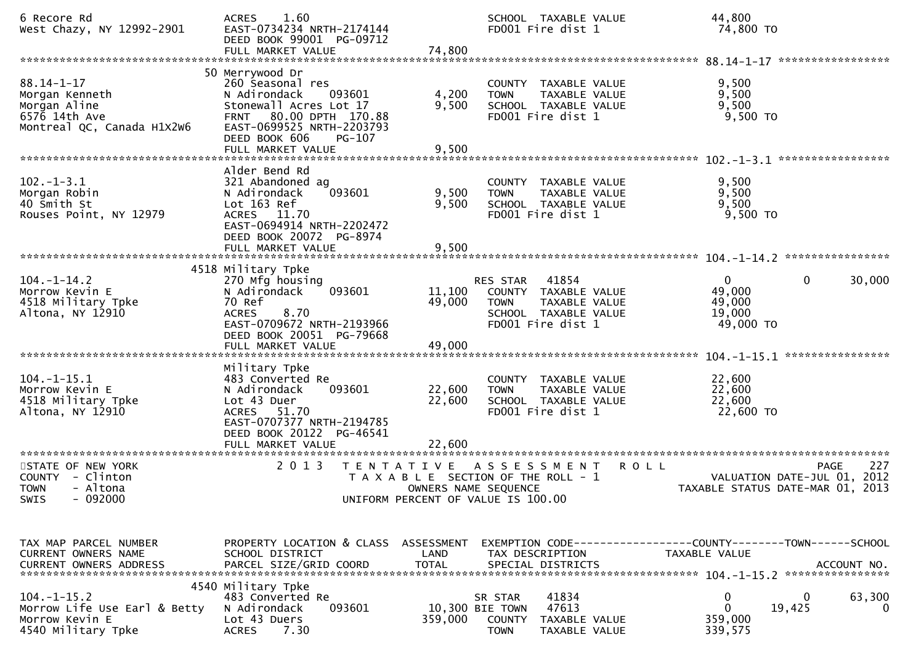| 6 Recore Rd<br>West Chazy, NY 12992-2901                                                                       | 1.60<br><b>ACRES</b><br>EAST-0734234 NRTH-2174144<br>DEED BOOK 99001 PG-09712<br>FULL MARKET VALUE                                                                                             | 74,800                     | SCHOOL TAXABLE VALUE<br>FD001 Fire dist 1                                                                                  | 44,800<br>74,800 TO                                     |                                            |
|----------------------------------------------------------------------------------------------------------------|------------------------------------------------------------------------------------------------------------------------------------------------------------------------------------------------|----------------------------|----------------------------------------------------------------------------------------------------------------------------|---------------------------------------------------------|--------------------------------------------|
| $88.14 - 1 - 17$<br>Morgan Kenneth<br>Morgan Aline<br>$657\overline{6}$ 14th Ave<br>Montreal QC, Canada H1X2W6 | 50 Merrywood Dr<br>260 Seasonal res<br>N Adirondack<br>093601<br>Stonewall Acres Lot 17<br>FRNT 80.00 DPTH 170.88<br>EAST-0699525 NRTH-2203793<br>DEED BOOK 606<br>PG-107<br>FULL MARKET VALUE | 4,200<br>9,500<br>9,500    | COUNTY TAXABLE VALUE<br>TAXABLE VALUE<br><b>TOWN</b><br>SCHOOL TAXABLE VALUE<br>FD001 Fire dist 1                          | 9,500<br>9,500<br>9,500<br>$9,500$ TO                   |                                            |
| $102. -1 - 3.1$<br>Morgan Robin<br>40 Smith St<br>Rouses Point, NY 12979                                       | Alder Bend Rd<br>321 Abandoned ag<br>093601<br>N Adirondack<br>Lot 163 Ref<br>ACRES 11.70<br>EAST-0694914 NRTH-2202472<br>DEED BOOK 20072 PG-8974<br>FULL MARKET VALUE                         | 9,500<br>9,500<br>9,500    | COUNTY TAXABLE VALUE<br>TAXABLE VALUE<br><b>TOWN</b><br>SCHOOL TAXABLE VALUE<br>FD001 Fire dist 1                          | 9,500<br>9,500<br>9,500<br>$9,500$ TO                   |                                            |
| $104. - 1 - 14.2$<br>Morrow Kevin E<br>4518 Military Tpke<br>Altona, NY 12910                                  | 4518 Military Tpke<br>270 Mfg housing<br>093601<br>N Adirondack<br>70 Ref<br>8.70<br><b>ACRES</b><br>EAST-0709672 NRTH-2193966<br>DEED BOOK 20051 PG-79668<br>FULL MARKET VALUE                | 11,100<br>49,000<br>49,000 | 41854<br>RES STAR<br>COUNTY TAXABLE VALUE<br><b>TOWN</b><br>TAXABLE VALUE<br>SCHOOL TAXABLE VALUE<br>FD001 Fire dist 1     | $\mathbf{0}$<br>49,000<br>49,000<br>19,000<br>49,000 TO | $\mathbf 0$<br>30,000<br>****************  |
| $104. -1 - 15.1$<br>Morrow Kevin E<br>4518 Military Tpke<br>Altona, NY 12910                                   | Military Tpke<br>483 Converted Re<br>093601<br>N Adirondack<br>Lot 43 Duer<br>51.70<br><b>ACRES</b><br>EAST-0707377 NRTH-2194785<br>DEED BOOK 20122 PG-46541<br>FULL MARKET VALUE              | 22,600<br>22,600<br>22,600 | COUNTY TAXABLE VALUE<br><b>TOWN</b><br>TAXABLE VALUE<br>SCHOOL TAXABLE VALUE<br>FD001 Fire dist 1                          | 22,600<br>22,600<br>22,600<br>22,600 TO                 |                                            |
| STATE OF NEW YORK<br>COUNTY - Clinton<br>- Altona<br><b>TOWN</b><br>- 092000<br>SWIS                           | 2 0 1 3                                                                                                                                                                                        | T E N T A T I V E          | A S S E S S M E N T<br>T A X A B L E SECTION OF THE ROLL - 1<br>OWNERS NAME SEQUENCE<br>UNIFORM PERCENT OF VALUE IS 100.00 | <b>ROLL</b><br>TAXABLE STATUS DATE-MAR 01, 2013         | 227<br>PAGE<br>VALUATION DATE-JUL 01, 2012 |
| TAX MAP PARCEL NUMBER<br>CURRENT OWNERS NAME<br><b>CURRENT OWNERS ADDRESS</b>                                  | PROPERTY LOCATION & CLASS ASSESSMENT<br>SCHOOL DISTRICT<br>PARCEL SIZE/GRID COORD                                                                                                              | LAND<br><b>TOTAL</b>       | EXEMPTION CODE------------------COUNTY--------TOWN------SCHOOL<br>TAX DESCRIPTION<br>SPECIAL DISTRICTS                     | TAXABLE VALUE                                           | ACCOUNT NO.                                |
| $104. -1 - 15.2$<br>Morrow Life Use Earl & Betty<br>Morrow Kevin E<br>4540 Military Tpke                       | 4540 Military Tpke<br>483 Converted Re<br>N Adirondack<br>093601<br>Lot 43 Duers<br>7.30<br><b>ACRES</b>                                                                                       | 359,000                    | 41834<br>SR STAR<br>47613<br>10,300 BIE TOWN<br><b>COUNTY</b><br>TAXABLE VALUE<br><b>TOWN</b><br>TAXABLE VALUE             | 0<br>$\Omega$<br>359,000<br>339,575                     | 63,300<br>0<br>19,425<br>$\mathbf{0}$      |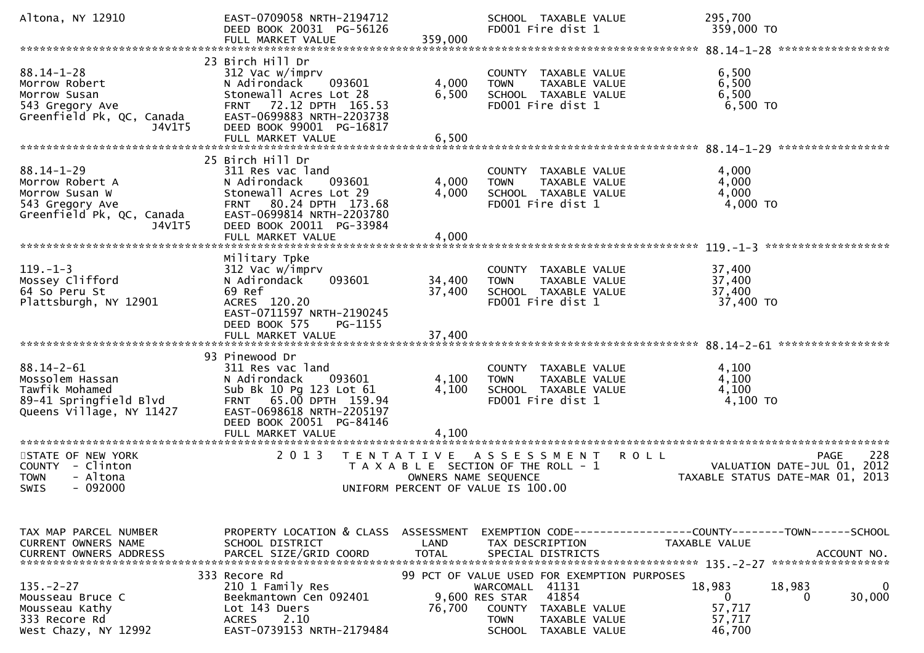| Altona, NY 12910                                                                                                | EAST-0709058 NRTH-2194712<br>DEED BOOK 20031 PG-56126<br>FULL MARKET VALUE                                                                                                                                              | 359,000                                   | SCHOOL TAXABLE VALUE<br>FD001 Fire dist 1                                                                                                                                       | 295,700<br>359,000 TO                                                             |
|-----------------------------------------------------------------------------------------------------------------|-------------------------------------------------------------------------------------------------------------------------------------------------------------------------------------------------------------------------|-------------------------------------------|---------------------------------------------------------------------------------------------------------------------------------------------------------------------------------|-----------------------------------------------------------------------------------|
|                                                                                                                 |                                                                                                                                                                                                                         |                                           |                                                                                                                                                                                 | *****************                                                                 |
| $88.14 - 1 - 28$<br>Morrow Robert<br>Morrow Susan<br>543 Gregory Ave<br>Greenfield Pk, QC, Canada<br>J4V1T5     | 23 Birch Hill Dr<br>312 Vac w/imprv<br>N Adirondack<br>093601<br>Stonewall Acres Lot 28<br>72.12 DPTH 165.53<br><b>FRNT</b><br>EAST-0699883 NRTH-2203738<br>DEED BOOK 99001 PG-16817<br>FULL MARKET VALUE               | 4,000<br>6,500<br>6,500                   | COUNTY TAXABLE VALUE<br><b>TAXABLE VALUE</b><br><b>TOWN</b><br>SCHOOL TAXABLE VALUE<br>FD001 Fire dist 1                                                                        | 6,500<br>6,500<br>6,500<br>6,500 TO                                               |
|                                                                                                                 |                                                                                                                                                                                                                         |                                           |                                                                                                                                                                                 |                                                                                   |
| $88.14 - 1 - 29$<br>Morrow Robert A<br>Morrow Susan W<br>543 Gregory Ave<br>Greenfield Pk, QC, Canada<br>J4V1T5 | 25 Birch Hill Dr<br>311 Res vac land<br>N Adirondack<br>093601<br>Stonewall Acres Lot 29<br>80.24 DPTH 173.68<br><b>FRNT</b><br>EAST-0699814 NRTH-2203780<br>DEED BOOK 20011 PG-33984                                   | 4,000<br>4,000                            | COUNTY TAXABLE VALUE<br><b>TOWN</b><br>TAXABLE VALUE<br>SCHOOL TAXABLE VALUE<br>FD001 Fire dist 1                                                                               | 4,000<br>4,000<br>4,000<br>4,000 TO                                               |
|                                                                                                                 | FULL MARKET VALUE                                                                                                                                                                                                       | 4,000                                     |                                                                                                                                                                                 | *******************                                                               |
| $119. - 1 - 3$<br>Mossey Clifford<br>64 So Peru St<br>Plattsburgh, NY 12901                                     | Military Tpke<br>312 Vac w/imprv<br>N Adirondack<br>093601<br>69 Ref<br>ACRES 120.20<br>EAST-0711597 NRTH-2190245<br>DEED BOOK 575<br>PG-1155                                                                           | 34,400<br>37,400                          | COUNTY TAXABLE VALUE<br>TAXABLE VALUE<br><b>TOWN</b><br>SCHOOL TAXABLE VALUE<br>FD001 Fire dist 1                                                                               | 37,400<br>37,400<br>37,400<br>37,400 TO                                           |
|                                                                                                                 | FULL MARKET VALUE                                                                                                                                                                                                       | 37,400                                    |                                                                                                                                                                                 |                                                                                   |
| $88.14 - 2 - 61$<br>Mossolem Hassan<br>Tawfik Mohamed<br>89-41 Springfield Blvd<br>Queens Village, NY 11427     | 93 Pinewood Dr<br>311 Res vac land<br>N Adirondack<br>093601<br>Sub Bk 10 Pg 123 Lot 61<br>FRNT 65.00 DPTH 159.94<br>EAST-0698618 NRTH-2205197<br>DEED BOOK 20051 PG-84146<br>FULL MARKET VALUE<br>******************** | 4,100<br>4,100<br>4,100                   | COUNTY TAXABLE VALUE<br>TAXABLE VALUE<br><b>TOWN</b><br>SCHOOL TAXABLE VALUE<br>FD001 Fire dist 1                                                                               | 4,100<br>4,100<br>4,100<br>4,100 TO                                               |
| STATE OF NEW YORK<br><b>COUNTY</b><br>- Clinton<br><b>TOWN</b><br>- Altona<br>$-092000$<br>SWIS                 | 2013                                                                                                                                                                                                                    | T E N T A T I V E<br>OWNERS NAME SEQUENCE | ASSESSMENT<br><b>ROLL</b><br>T A X A B L E SECTION OF THE ROLL - 1<br>UNIFORM PERCENT OF VALUE IS 100.00                                                                        | 228<br>PAGE<br>VALUATION DATE-JUL 01, 2012<br>TAXABLE STATUS DATE-MAR 01, 2013    |
|                                                                                                                 |                                                                                                                                                                                                                         |                                           |                                                                                                                                                                                 |                                                                                   |
| TAX MAP PARCEL NUMBER<br>CURRENT OWNERS NAME                                                                    | PROPERTY LOCATION & CLASS<br>SCHOOL DISTRICT                                                                                                                                                                            | ASSESSMENT<br>LAND                        | TAX DESCRIPTION                                                                                                                                                                 | <b>TAXABLE VALUE</b><br>ACCOUNT NO.<br>******************                         |
| $135. - 2 - 27$<br>Mousseau Bruce C<br>Mousseau Kathy<br>333 Recore Rd<br>West Chazy, NY 12992                  | 333 Recore Rd<br>210 1 Family Res<br>Beekmantown Cen 092401<br>Lot 143 Duers<br>2.10<br><b>ACRES</b><br>EAST-0739153 NRTH-2179484                                                                                       | 76,700                                    | 99 PCT OF VALUE USED FOR EXEMPTION PURPOSES<br>41131<br>WARCOMALL<br>41854<br>9,600 RES STAR<br>COUNTY<br>TAXABLE VALUE<br><b>TOWN</b><br>TAXABLE VALUE<br>SCHOOL TAXABLE VALUE | 18,983<br>18,983<br>0<br>$\mathbf 0$<br>30,000<br>0<br>57,717<br>57,717<br>46,700 |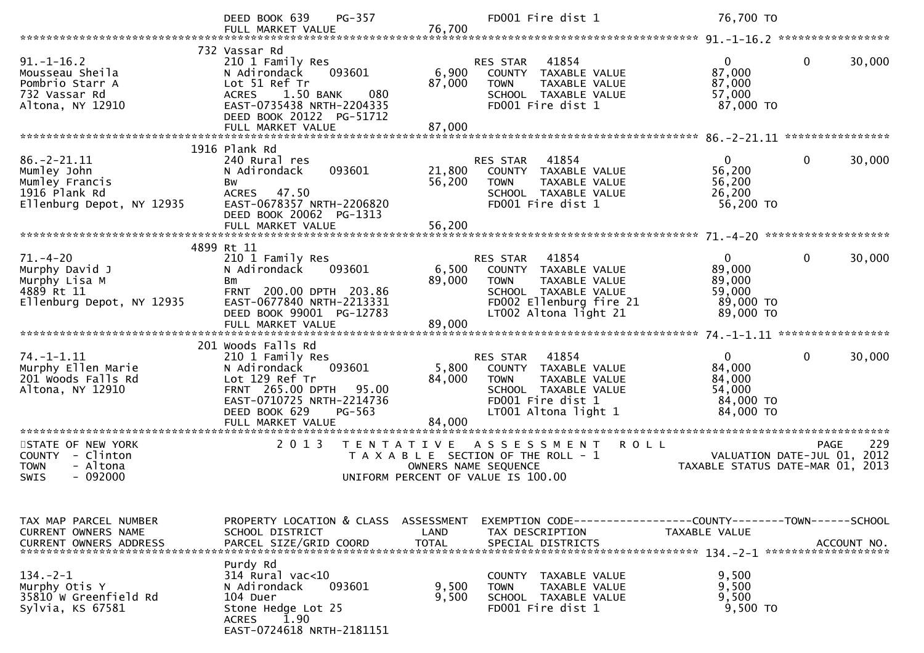|                                                                                                  | PG-357<br>DEED BOOK 639                                                                                                                                                   |                                                                 | FD001 Fire dist 1                                                                                                                              | 76,700 TO                                                            |                            |
|--------------------------------------------------------------------------------------------------|---------------------------------------------------------------------------------------------------------------------------------------------------------------------------|-----------------------------------------------------------------|------------------------------------------------------------------------------------------------------------------------------------------------|----------------------------------------------------------------------|----------------------------|
|                                                                                                  |                                                                                                                                                                           |                                                                 |                                                                                                                                                |                                                                      |                            |
| $91. - 1 - 16.2$<br>Mousseau Sheila<br>Pombrio Starr A<br>732 Vassar Rd<br>Altona, NY 12910      | 732 Vassar Rd<br>210 1 Family Res<br>093601<br>N Adirondack<br>Lot 51 Ref Tr<br>1.50 BANK<br>080<br><b>ACRES</b><br>EAST-0735438 NRTH-2204335<br>DEED BOOK 20122 PG-51712 | 6,900<br>87,000                                                 | 41854<br>RES STAR<br>COUNTY TAXABLE VALUE<br>TAXABLE VALUE<br><b>TOWN</b><br>SCHOOL TAXABLE VALUE<br>FD001 Fire dist 1                         | $\mathbf{0}$<br>87,000<br>87,000<br>57,000<br>87,000 TO              | $\mathbf 0$<br>30,000      |
|                                                                                                  |                                                                                                                                                                           |                                                                 |                                                                                                                                                |                                                                      |                            |
| $86. - 2 - 21.11$<br>Mumley John<br>Mumley Francis<br>1916 Plank Rd<br>Ellenburg Depot, NY 12935 | 1916 Plank Rd<br>240 Rural res<br>093601<br>N Adirondack<br>Bw<br>ACRES 47.50<br>EAST-0678357 NRTH-2206820<br>DEED BOOK 20062 PG-1313                                     | 21,800<br>56,200                                                | 41854<br>RES STAR<br>COUNTY TAXABLE VALUE<br><b>TOWN</b><br>TAXABLE VALUE<br>SCHOOL TAXABLE VALUE<br>FD001 Fire dist 1                         | $\overline{0}$<br>56,200<br>56,200<br>26,200<br>56,200 TO            | $\mathbf{0}$<br>30,000     |
|                                                                                                  |                                                                                                                                                                           |                                                                 |                                                                                                                                                |                                                                      |                            |
| $71. - 4 - 20$                                                                                   | 4899 Rt 11<br>210 1 Family Res                                                                                                                                            |                                                                 | RES STAR<br>41854                                                                                                                              | $\mathbf{0}$                                                         | $\mathbf 0$<br>30,000      |
| Murphy David J<br>Murphy Lisa M<br>4889 Rt 11<br>Ellenburg Depot, NY 12935                       | N Adirondack<br>093601<br><b>Bm</b><br>FRNT 200.00 DPTH 203.86<br>EAST-0677840 NRTH-2213331<br>DEED BOOK 99001 PG-12783<br>FULL MARKET VALUE                              | 6,500<br>89,000<br>89,000                                       | COUNTY TAXABLE VALUE<br><b>TOWN</b><br>TAXABLE VALUE<br>SCHOOL TAXABLE VALUE<br>FD002 Ellenburg fire 21<br>LT002 Altona light 21               | 89,000<br>89,000<br>59,000<br>89,000 TO<br>89,000 TO                 |                            |
|                                                                                                  |                                                                                                                                                                           |                                                                 |                                                                                                                                                |                                                                      |                            |
| $74. - 1 - 1.11$<br>Murphy Ellen Marie<br>201 Woods Falls Rd<br>Altona, NY 12910                 | 201 Woods Falls Rd<br>210 1 Family Res<br>N Adirondack<br>093601<br>Lot 129 Ref Tr<br>FRNT 265.00 DPTH 95.00<br>EAST-0710725 NRTH-2214736<br>DEED BOOK 629<br>PG-563      | 5,800<br>84,000                                                 | 41854<br>RES STAR<br>COUNTY TAXABLE VALUE<br><b>TOWN</b><br>TAXABLE VALUE<br>SCHOOL TAXABLE VALUE<br>FD001 Fire dist 1<br>LT001 Altona light 1 | $\mathbf{0}$<br>84,000<br>84,000<br>54,000<br>84,000 TO<br>84,000 TO | $\mathbf{0}$<br>30,000     |
|                                                                                                  | FULL MARKET VALUE                                                                                                                                                         | 84,000                                                          |                                                                                                                                                |                                                                      |                            |
| STATE OF NEW YORK<br>COUNTY - Clinton<br><b>TOWN</b><br>- Altona<br>$-092000$<br>SWIS            | **********************<br>2013                                                                                                                                            | ******************<br>T E N T A T I V E<br>OWNERS NAME SEQUENCE | <b>ROLL</b><br>A S S E S S M E N T<br>T A X A B L E SECTION OF THE ROLL - 1<br>UNIFORM PERCENT OF VALUE IS 100.00                              | VALUATION DATE-JUL 01,<br>TAXABLE STATUS DATE-MAR 01, 2013           | 229<br><b>PAGE</b><br>2012 |
| TAX MAP PARCEL NUMBER<br>CURRENT OWNERS NAME<br><b>CURRENT OWNERS ADDRESS</b>                    | PROPERTY LOCATION & CLASS<br>SCHOOL DISTRICT<br>PARCEL SIZE/GRID COORD                                                                                                    | ASSESSMENT<br>LAND<br><b>TOTAL</b>                              | TAX DESCRIPTION<br>SPECIAL DISTRICTS                                                                                                           | TAXABLE VALUE                                                        | ACCOUNT NO.                |
| $134. - 2 - 1$<br>Murphy Otis Y<br>35810 W Greenfield Rd<br>Sylvia, KS 67581                     | Purdy Rd<br>314 Rural vac<10<br>N Adirondack<br>093601<br>104 Duer<br>Stone Hedge Lot 25<br>1.90<br>ACRES<br>EAST-0724618 NRTH-2181151                                    | 9,500<br>9,500                                                  | COUNTY TAXABLE VALUE<br>TAXABLE VALUE<br><b>TOWN</b><br>SCHOOL TAXABLE VALUE<br>FD001 Fire dist 1                                              | 9,500<br>9,500<br>9,500<br>9,500 TO                                  |                            |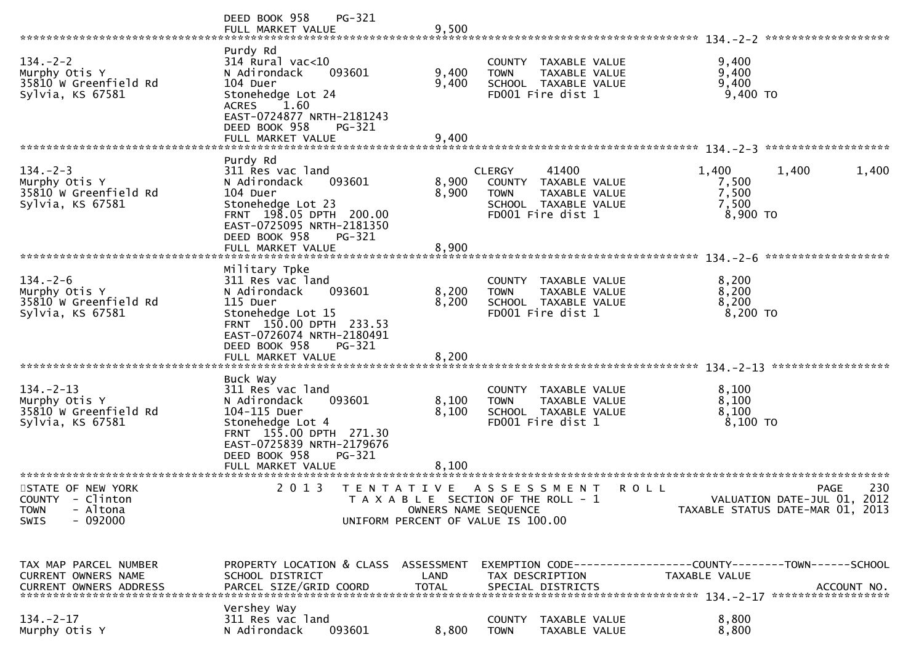|                                                                                                          | PG-321<br>DEED BOOK 958                                                                                                                                                                              |                         |                                                                                                                             |             |                                              |                                                                                |
|----------------------------------------------------------------------------------------------------------|------------------------------------------------------------------------------------------------------------------------------------------------------------------------------------------------------|-------------------------|-----------------------------------------------------------------------------------------------------------------------------|-------------|----------------------------------------------|--------------------------------------------------------------------------------|
| $134. - 2 - 2$<br>Murphy Otis Y<br>35810 W Greenfield Rd<br>Sylvia, KS 67581                             | Purdy Rd<br>$314$ Rural vac< $10$<br>093601<br>N Adirondack<br>104 Duer<br>Stonehedge Lot 24<br>ACRES 1.60<br>EAST-0724877 NRTH-2181243<br>DEED BOOK 958<br>PG-321<br>FULL MARKET VALUE              | 9,400<br>9,400<br>9,400 | COUNTY TAXABLE VALUE<br>TAXABLE VALUE<br><b>TOWN</b><br>SCHOOL TAXABLE VALUE<br>FD001 Fire dist 1                           |             | 9,400<br>9,400<br>9,400<br>$9,400$ TO        |                                                                                |
| $134. - 2 - 3$<br>Murphy Otis Y<br>35810 W Greenfield Rd<br>Sylvia, KS 67581                             | Purdy Rd<br>311 Res vac land<br>093601<br>N Adirondack<br>104 Duer<br>Stonehedge Lot 23<br>FRNT 198.05 DPTH 200.00<br>EAST-0725095 NRTH-2181350<br>DEED BOOK 958<br>PG-321<br>FULL MARKET VALUE      | 8,900<br>8,900<br>8,900 | 41400<br><b>CLERGY</b><br>COUNTY TAXABLE VALUE<br>TAXABLE VALUE<br><b>TOWN</b><br>SCHOOL TAXABLE VALUE<br>FD001 Fire dist 1 |             | 1,400<br>7,500<br>7,500<br>7,500<br>8,900 TO | 1,400<br>1,400                                                                 |
| $134. - 2 - 6$<br>Murphy Otis Y<br>35810 W Greenfield Rd<br>Sylvia, KS 67581<br>************************ | Military Tpke<br>311 Res vac land<br>093601<br>N Adirondack<br>115 Duer<br>Stonehedge Lot 15<br>FRNT 150.00 DPTH 233.53<br>EAST-0726074 NRTH-2180491<br>DEED BOOK 958<br>PG-321<br>FULL MARKET VALUE | 8,200<br>8,200<br>8,200 | COUNTY TAXABLE VALUE<br>TAXABLE VALUE<br><b>TOWN</b><br>SCHOOL TAXABLE VALUE<br>FD001 Fire dist 1                           |             | 8,200<br>8,200<br>8,200<br>$8,200$ TO        |                                                                                |
| $134. - 2 - 13$<br>Murphy Otis Y<br>35810 W Greenfield Rd<br>Sylvia, KS 67581                            | Buck Way<br>311 Res vac land<br>093601<br>N Adirondack<br>104-115 Duer<br>Stonehedge Lot 4<br>FRNT 155.00 DPTH 271.30<br>EAST-0725839 NRTH-2179676<br>DEED BOOK 958<br>PG-321<br>FULL MARKET VALUE   | 8,100<br>8,100<br>8,100 | COUNTY<br>TAXABLE VALUE<br>TAXABLE VALUE<br><b>TOWN</b><br>SCHOOL TAXABLE VALUE<br>FD001 Fire dist 1                        |             | 8,100<br>8,100<br>8,100<br>8,100 TO          |                                                                                |
| STATE OF NEW YORK<br>COUNTY - Clinton<br>- Altona<br><b>TOWN</b><br>$-092000$<br>SWIS                    | 2 0 1 3                                                                                                                                                                                              |                         | TENTATIVE ASSESSMENT<br>T A X A B L E SECTION OF THE ROLL - 1<br>OWNERS NAME SEQUENCE<br>UNIFORM PERCENT OF VALUE IS 100.00 | <b>ROLL</b> |                                              | 230<br>PAGE<br>VALUATION DATE-JUL 01, 2012<br>TAXABLE STATUS DATE-MAR 01, 2013 |
| TAX MAP PARCEL NUMBER<br><b>CURRENT OWNERS NAME</b><br><b>CURRENT OWNERS ADDRESS</b>                     | PROPERTY LOCATION & CLASS ASSESSMENT<br>SCHOOL DISTRICT<br>PARCEL SIZE/GRID COORD                                                                                                                    | LAND<br><b>TOTAL</b>    | TAX DESCRIPTION<br>SPECIAL DISTRICTS                                                                                        |             | TAXABLE VALUE                                | EXEMPTION CODE-----------------COUNTY-------TOWN------SCHOOL<br>ACCOUNT NO.    |
| $134. - 2 - 17$<br>Murphy Otis Y                                                                         | Vershey Way<br>311 Res vac land<br>N Adirondack<br>093601                                                                                                                                            | 8,800                   | COUNTY<br>TAXABLE VALUE<br><b>TOWN</b><br>TAXABLE VALUE                                                                     |             | 8,800<br>8,800                               |                                                                                |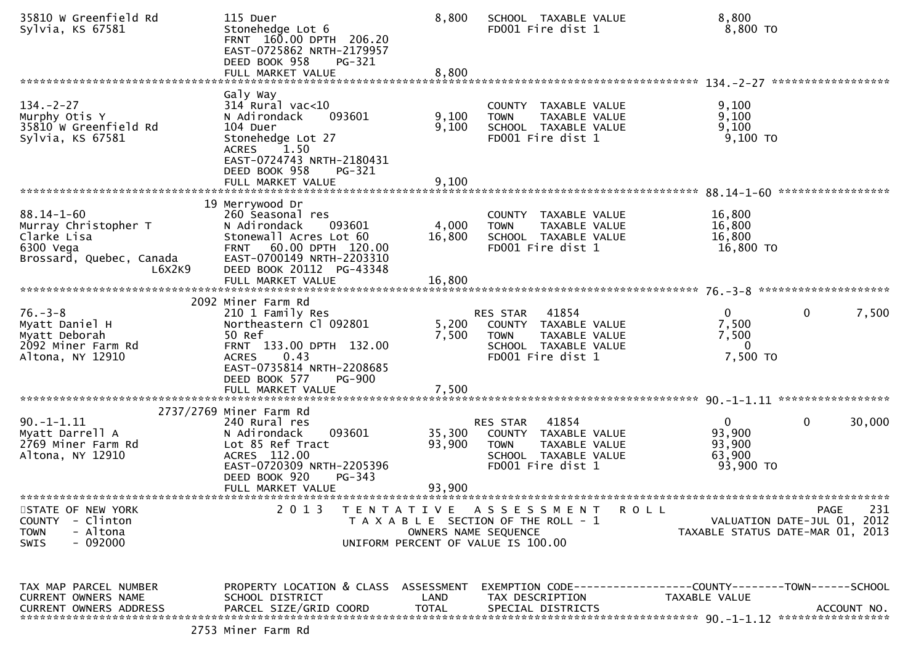| 35810 W Greenfield Rd<br>Sylvia, KS 67581                                                                  | 115 Duer<br>Stonehedge Lot 6<br>FRNT 160.00 DPTH 206.20<br>EAST-0725862 NRTH-2179957<br>DEED BOOK 958<br>PG-321                                                                              | 8,800                              | SCHOOL TAXABLE VALUE<br>FD001 Fire dist 1                                                                                              | 8,800<br>8,800 TO                                                                     |
|------------------------------------------------------------------------------------------------------------|----------------------------------------------------------------------------------------------------------------------------------------------------------------------------------------------|------------------------------------|----------------------------------------------------------------------------------------------------------------------------------------|---------------------------------------------------------------------------------------|
|                                                                                                            | FULL MARKET VALUE                                                                                                                                                                            | 8,800                              |                                                                                                                                        |                                                                                       |
| $134. - 2 - 27$<br>Murphy Otis Y<br>35810 W Greenfield Rd<br>Sylvia, KS 67581                              | Galy Way<br>$314$ Rural vac<10<br>N Adirondack<br>093601<br>104 Duer<br>Stonehedge Lot 27<br><b>ACRES</b><br>1.50<br>EAST-0724743 NRTH-2180431<br>DEED BOOK 958<br>PG-321                    | 9,100<br>9,100<br>9,100            | COUNTY TAXABLE VALUE<br><b>TOWN</b><br>TAXABLE VALUE<br>SCHOOL TAXABLE VALUE<br>FD001 Fire dist 1                                      | 9,100<br>9,100<br>9,100<br>$9,100$ TO                                                 |
|                                                                                                            | FULL MARKET VALUE                                                                                                                                                                            |                                    |                                                                                                                                        |                                                                                       |
| $88.14 - 1 - 60$<br>Murray Christopher T<br>Clarke Lisa<br>6300 Vega<br>Brossard, Quebec, Canada<br>L6X2K9 | 19 Merrywood Dr<br>260 Seasonal res<br>N Adirondack<br>093601<br>Stonewall Acres Lot 60<br>60.00 DPTH 120.00<br><b>FRNT</b><br>EAST-0700149 NRTH-2203310<br>DEED BOOK 20112 PG-43348         | 4,000<br>16,800                    | COUNTY TAXABLE VALUE<br>TAXABLE VALUE<br><b>TOWN</b><br>SCHOOL TAXABLE VALUE<br>FD001 Fire dist 1                                      | 16,800<br>16,800<br>16,800<br>16,800 TO                                               |
|                                                                                                            |                                                                                                                                                                                              |                                    |                                                                                                                                        |                                                                                       |
| $76. - 3 - 8$<br>Myatt Daniel H<br>Myatt Deborah<br>2092 Miner Farm Rd<br>Altona, NY 12910                 | 2092 Miner Farm Rd<br>210 1 Family Res<br>Northeastern Cl 092801<br>50 Ref<br>FRNT 133.00 DPTH 132.00<br>0.43<br><b>ACRES</b><br>EAST-0735814 NRTH-2208685<br>DEED BOOK 577<br><b>PG-900</b> | 5,200<br>7,500                     | 41854<br>RES STAR<br>COUNTY TAXABLE VALUE<br>TAXABLE VALUE<br><b>TOWN</b><br>SCHOOL TAXABLE VALUE<br>FD001 Fire dist 1                 | $\mathbf{0}$<br>0<br>7,500<br>7,500<br>7,500<br>$\overline{0}$<br>7,500 TO            |
|                                                                                                            | FULL MARKET VALUE                                                                                                                                                                            | 7,500                              |                                                                                                                                        |                                                                                       |
| $90. -1 - 1.11$<br>Myatt Darrell A<br>2769 Miner Farm Rd<br>Altona, NY 12910                               | 2737/2769 Miner Farm Rd<br>240 Rural res<br>N Adirondack<br>093601<br>Lot 85 Ref Tract<br>ACRES 112.00<br>EAST-0720309 NRTH-2205396<br>DEED BOOK 920<br>$PG-343$<br>FULL MARKET VALUE        | 35,300<br>93,900<br>93,900         | 41854<br>RES STAR<br>COUNTY TAXABLE VALUE<br><b>TOWN</b><br>TAXABLE VALUE<br>SCHOOL TAXABLE VALUE<br>FD001 Fire dist 1                 | $\mathbf{0}$<br>0<br>30,000<br>93,900<br>93,900<br>63,900<br>93,900 TO                |
| STATE OF NEW YORK<br><b>COUNTY</b><br>- Clinton<br>- Altona<br><b>TOWN</b><br>$-092000$<br><b>SWIS</b>     | 2 0 1 3                                                                                                                                                                                      | **************                     | TENTATIVE ASSESSMENT<br>R O L L<br>T A X A B L E SECTION OF THE ROLL - 1<br>OWNERS NAME SEQUENCE<br>UNIFORM PERCENT OF VALUE IS 100.00 | 231<br><b>PAGE</b><br>VALUATION DATE-JUL 01, 2012<br>TAXABLE STATUS DATE-MAR 01, 2013 |
| TAX MAP PARCEL NUMBER<br>CURRENT OWNERS NAME<br><b>CURRENT OWNERS ADDRESS</b>                              | PROPERTY LOCATION & CLASS<br>SCHOOL DISTRICT<br>PARCEL SIZE/GRID COORD                                                                                                                       | ASSESSMENT<br>LAND<br><b>TOTAL</b> | TAX DESCRIPTION<br>SPECIAL DISTRICTS                                                                                                   | TAXABLE VALUE<br>ACCOUNT NO.                                                          |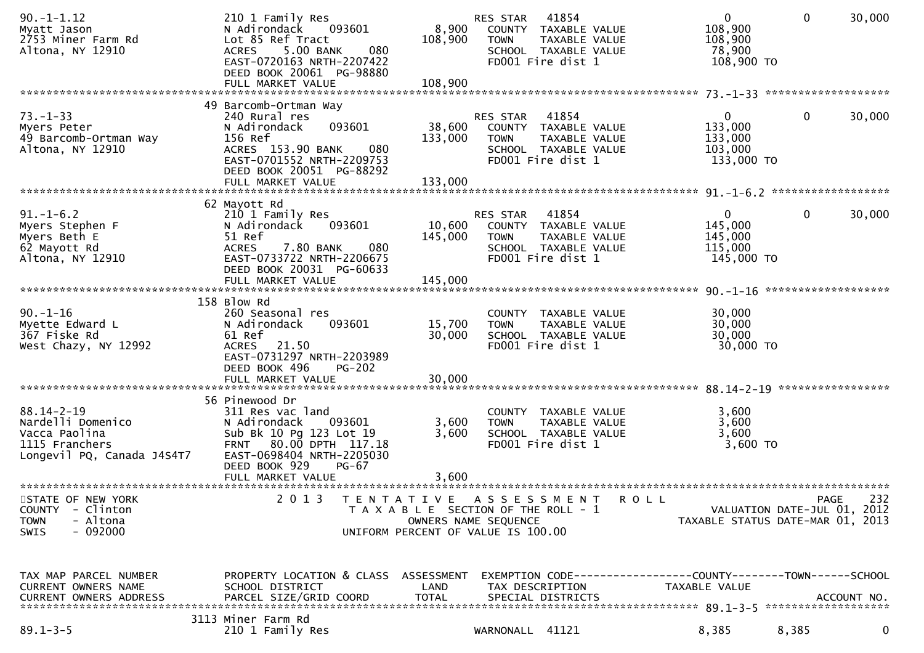| $90. -1 - 1.12$<br>Myatt Jason<br>2753 Miner Farm Rd<br>Altona, NY 12910                               | 210 1 Family Res<br>093601<br>N Adirondack<br>Lot 85 Ref Tract<br>5.00 BANK<br>080<br><b>ACRES</b><br>EAST-0720163 NRTH-2207422<br>DEED BOOK 20061 PG-98880<br>FULL MARKET VALUE      | 8,900<br>108,900<br>108,900  | <b>RES STAR</b><br><b>TOWN</b><br>FD001 Fire dist 1                                       | 41854<br>COUNTY TAXABLE VALUE<br>TAXABLE VALUE<br>SCHOOL TAXABLE VALUE | $\Omega$<br>108,900<br>108,900<br>78,900<br>108,900 TO                        | $\mathbf{0}$ | 30,000      |
|--------------------------------------------------------------------------------------------------------|---------------------------------------------------------------------------------------------------------------------------------------------------------------------------------------|------------------------------|-------------------------------------------------------------------------------------------|------------------------------------------------------------------------|-------------------------------------------------------------------------------|--------------|-------------|
|                                                                                                        |                                                                                                                                                                                       |                              |                                                                                           |                                                                        |                                                                               |              |             |
| $73. - 1 - 33$<br>Myers Peter<br>49 Barcomb-Ortman Way<br>Altona, NY 12910                             | 49 Barcomb-Ortman Way<br>240 Rural res<br>093601<br>N Adirondack<br>156 Ref<br>ACRES 153.90 BANK<br>080<br>EAST-0701552 NRTH-2209753<br>DEED BOOK 20051 PG-88292<br>FULL MARKET VALUE | 38,600<br>133,000<br>133,000 | <b>RES STAR</b><br><b>TOWN</b><br>FD001 Fire dist 1                                       | 41854<br>COUNTY TAXABLE VALUE<br>TAXABLE VALUE<br>SCHOOL TAXABLE VALUE | 0<br>133,000<br>133,000<br>103,000<br>133,000 TO                              | 0            | 30,000      |
|                                                                                                        |                                                                                                                                                                                       |                              |                                                                                           |                                                                        |                                                                               |              |             |
| $91. - 1 - 6.2$<br>Myers Stephen F<br>Myers Beth E<br>62 Mayott Rd<br>Altona, NY 12910                 | 62 Mayott Rd<br>210 1 Family Res<br>N Adirondack<br>093601<br>51 Ref<br><b>ACRES</b><br>7.80 BANK<br>080<br>EAST-0733722 NRTH-2206675<br>DEED BOOK 20031 PG-60633                     | 10,600<br>145,000            | RES STAR<br><b>TOWN</b><br>FD001 Fire dist 1                                              | 41854<br>COUNTY TAXABLE VALUE<br>TAXABLE VALUE<br>SCHOOL TAXABLE VALUE | $\mathbf{0}$<br>145,000<br>145,000<br>115,000<br>145,000 TO                   | 0            | 30,000      |
|                                                                                                        | FULL MARKET VALUE                                                                                                                                                                     | 145,000                      |                                                                                           |                                                                        |                                                                               |              |             |
| $90. - 1 - 16$<br>Myette Edward L<br>367 Fiske Rd<br>West Chazy, NY 12992                              | 158 Blow Rd<br>260 Seasonal res<br>093601<br>N Adirondack<br>61 Ref<br><b>ACRES</b><br>21.50<br>EAST-0731297 NRTH-2203989<br>DEED BOOK 496<br><b>PG-202</b><br>FULL MARKET VALUE      | 15,700<br>30,000<br>30,000   | COUNTY<br><b>TOWN</b><br>FD001 Fire dist 1                                                | <b>TAXABLE VALUE</b><br>TAXABLE VALUE<br>SCHOOL TAXABLE VALUE          | 30,000<br>30,000<br>30,000<br>30,000 TO                                       |              |             |
|                                                                                                        |                                                                                                                                                                                       |                              |                                                                                           |                                                                        |                                                                               |              |             |
| $88.14 - 2 - 19$<br>Nardelli Domenico<br>Vacca Paolina<br>1115 Franchers<br>Longevil PQ, Canada J4S4T7 | 56 Pinewood Dr<br>311 Res vac land<br>N Adirondack<br>093601<br>Sub Bk 10 Pg 123 Lot 19<br>FRNT 80.00 DPTH 117.18<br>EAST-0698404 NRTH-2205030<br>DEED BOOK 929<br><b>PG-67</b>       | 3,600<br>3,600               | <b>TOWN</b><br>FD001 Fire dist 1                                                          | COUNTY TAXABLE VALUE<br>TAXABLE VALUE<br>SCHOOL TAXABLE VALUE          | 3,600<br>3,600<br>3,600<br>3,600 TO                                           |              |             |
|                                                                                                        | FULL MARKET VALUE                                                                                                                                                                     | 3.600                        |                                                                                           |                                                                        |                                                                               |              |             |
| STATE OF NEW YORK<br><b>COUNTY</b><br>- Clinton<br>- Altona<br><b>TOWN</b><br>$-092000$<br><b>SWIS</b> | 2 0 1 3<br>T E N T A T I V E                                                                                                                                                          | OWNERS NAME SEQUENCE         | ASSESSMENT<br>T A X A B L E SECTION OF THE ROLL - 1<br>UNIFORM PERCENT OF VALUE IS 100.00 | ROLL                                                                   | VALUATION DATE-JUL 01, 2012<br>TAXABLE STATUS DATE-MAR 01, 2013               | <b>PAGE</b>  | 232         |
| TAX MAP PARCEL NUMBER<br>CURRENT OWNERS NAME<br>CURRENT OWNERS ADDRESS                                 | PROPERTY LOCATION & CLASS ASSESSMENT<br>SCHOOL DISTRICT<br>PARCEL SIZE/GRID COORD                                                                                                     | LAND<br><b>TOTAL</b>         | TAX DESCRIPTION<br>SPECIAL DISTRICTS                                                      |                                                                        | EXEMPTION CODE-----------------COUNTY-------TOWN------SCHOOL<br>TAXABLE VALUE |              | ACCOUNT NO. |
| $89.1 - 3 - 5$                                                                                         | 3113 Miner Farm Rd<br>210 1 Family Res                                                                                                                                                |                              | WARNONALL 41121                                                                           |                                                                        | 8,385                                                                         | 8,385        | 0           |
|                                                                                                        |                                                                                                                                                                                       |                              |                                                                                           |                                                                        |                                                                               |              |             |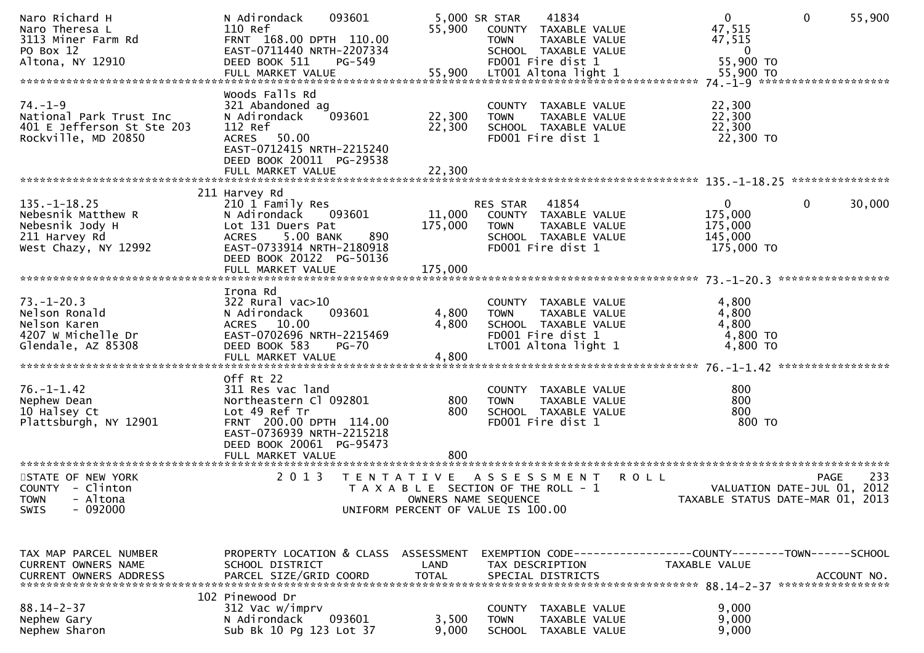| Naro Richard H<br>Naro Theresa L<br>3113 Miner Farm Rd<br>PO Box 12                                  | 093601<br>N Adirondack<br>110 Ref<br>FRNT 168.00 DPTH 110.00<br>EAST-0711440 NRTH-2207334<br>DEED BOOK 511<br>PG-549                                                 | 55,900                     | 5,000 SR STAR<br>41834<br>COUNTY TAXABLE VALUE<br>TAXABLE VALUE<br><b>TOWN</b><br>SCHOOL TAXABLE VALUE<br>FD001 Fire dist 1 | $\overline{0}$<br>47,515<br>47,515<br>$\overline{0}$<br>55,900 TO | $\mathbf 0$<br>55,900                             |
|------------------------------------------------------------------------------------------------------|----------------------------------------------------------------------------------------------------------------------------------------------------------------------|----------------------------|-----------------------------------------------------------------------------------------------------------------------------|-------------------------------------------------------------------|---------------------------------------------------|
| Altona, NY 12910                                                                                     |                                                                                                                                                                      |                            |                                                                                                                             |                                                                   |                                                   |
| $74. - 1 - 9$<br>National Park Trust Inc<br>401 E Jefferson St Ste 203<br>Rockville, MD 20850        | Woods Falls Rd<br>321 Abandoned ag<br>093601<br>N Adirondack<br>112 Ref<br>ACRES 50.00<br>EAST-0712415 NRTH-2215240<br>DEED BOOK 20011 PG-29538<br>FULL MARKET VALUE | 22,300<br>22,300<br>22,300 | COUNTY TAXABLE VALUE<br>TAXABLE VALUE<br><b>TOWN</b><br>SCHOOL TAXABLE VALUE<br>FD001 Fire dist 1                           | 22,300<br>22,300<br>22,300<br>22,300 TO                           |                                                   |
|                                                                                                      | 211 Harvey Rd                                                                                                                                                        |                            |                                                                                                                             |                                                                   |                                                   |
| $135. - 1 - 18.25$<br>Nebesnik Matthew R<br>Nebesnik Jody H<br>211 Harvey Rd<br>West Chazy, NY 12992 | 210 1 Family Res<br>093601<br>N Adirondack<br>Lot 131 Duers Pat<br>5.00 BANK<br>890<br><b>ACRES</b><br>EAST-0733914 NRTH-2180918<br>DEED BOOK 20122 PG-50136         | 11,000<br>175,000          | 41854<br>RES STAR<br>COUNTY TAXABLE VALUE<br><b>TOWN</b><br>TAXABLE VALUE<br>SCHOOL TAXABLE VALUE<br>FD001 Fire dist 1      | $\mathbf{0}$<br>175,000<br>175,000<br>145,000<br>175,000 TO       | 0<br>30,000                                       |
|                                                                                                      | Irona Rd                                                                                                                                                             |                            |                                                                                                                             |                                                                   |                                                   |
| $73. - 1 - 20.3$<br>Nelson Ronald<br>Nelson Karen<br>4207 W Michelle Dr<br>Glendale, AZ 85308        | $322$ Rural vac $>10$<br>N Adirondack<br>093601<br>ACRES 10.00<br>EAST-0702696 NRTH-2215469<br>DEED BOOK 583<br><b>PG-70</b>                                         | 4,800<br>4,800             | COUNTY TAXABLE VALUE<br><b>TOWN</b><br>TAXABLE VALUE<br>SCHOOL TAXABLE VALUE<br>FD001 Fire dist 1<br>LT001 Altona light 1   | 4,800<br>4,800<br>4,800<br>4,800 TO<br>4,800 TO                   |                                                   |
|                                                                                                      | Off Rt 22                                                                                                                                                            |                            |                                                                                                                             |                                                                   |                                                   |
| $76. - 1 - 1.42$<br>Nephew Dean<br>10 Halsey Ct<br>Plattsburgh, NY 12901                             | 311 Res vac land<br>Northeastern Cl 092801<br>Lot 49 Ref Tr<br>FRNT 200.00 DPTH 114.00<br>EAST-0736939 NRTH-2215218<br>DEED BOOK 20061 PG-95473                      | 800<br>800                 | COUNTY<br>TAXABLE VALUE<br><b>TOWN</b><br>TAXABLE VALUE<br>SCHOOL TAXABLE VALUE<br>FD001 Fire dist 1                        | 800<br>800<br>800<br>800 TO                                       |                                                   |
|                                                                                                      |                                                                                                                                                                      |                            |                                                                                                                             |                                                                   |                                                   |
| STATE OF NEW YORK<br>COUNTY - Clinton<br>- Altona<br><b>TOWN</b><br>$-092000$<br><b>SWIS</b>         | 2 0 1 3                                                                                                                                                              | OWNERS NAME SEQUENCE       | TENTATIVE ASSESSMENT<br>T A X A B L E SECTION OF THE ROLL - 1<br>UNIFORM PERCENT OF VALUE IS 100.00                         | <b>ROLL</b><br>TAXABLE STATUS DATE-MAR 01, 2013                   | 233<br><b>PAGE</b><br>VALUATION DATE-JUL 01, 2012 |
|                                                                                                      |                                                                                                                                                                      |                            |                                                                                                                             |                                                                   |                                                   |
| TAX MAP PARCEL NUMBER<br>CURRENT OWNERS NAME<br>CURRENT OWNERS ADDRESS                               | PROPERTY LOCATION & CLASS ASSESSMENT<br>SCHOOL DISTRICT<br>PARCEL SIZE/GRID COORD                                                                                    | LAND<br><b>TOTAL</b>       | EXEMPTION CODE-----------------COUNTY-------TOWN------SCHOOL<br>TAX DESCRIPTION<br>SPECIAL DISTRICTS                        | TAXABLE VALUE                                                     | ACCOUNT NO.                                       |
|                                                                                                      | 102 Pinewood Dr                                                                                                                                                      |                            |                                                                                                                             |                                                                   |                                                   |
| $88.14 - 2 - 37$<br>Nephew Gary<br>Nephew Sharon                                                     | 312 Vac w/imprv<br>093601<br>N Adirondack<br>Sub Bk 10 Pg 123 Lot 37                                                                                                 | 3,500<br>9,000             | COUNTY<br>TAXABLE VALUE<br><b>TOWN</b><br>TAXABLE VALUE<br>SCHOOL TAXABLE VALUE                                             | 9,000<br>9,000<br>9,000                                           |                                                   |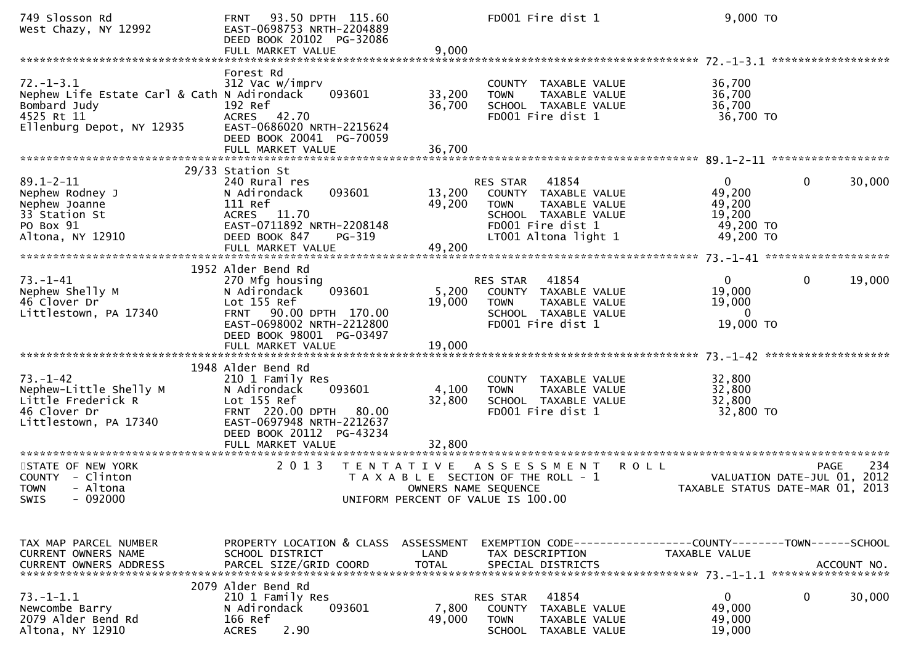| 749 Slosson Rd<br>West Chazy, NY 12992                                                                                    | 93.50 DPTH 115.60<br><b>FRNT</b><br>EAST-0698753 NRTH-2204889<br>DEED BOOK 20102 PG-32086<br>FULL MARKET VALUE                                                                             | 9,000                                     | FD001 Fire dist 1                                                                                                                              | 9,000 TO                                                                                     |      |
|---------------------------------------------------------------------------------------------------------------------------|--------------------------------------------------------------------------------------------------------------------------------------------------------------------------------------------|-------------------------------------------|------------------------------------------------------------------------------------------------------------------------------------------------|----------------------------------------------------------------------------------------------|------|
| $72. - 1 - 3.1$<br>Nephew Life Estate Carl & Cath N Adirondack<br>Bombard Judy<br>4525 Rt 11<br>Ellenburg Depot, NY 12935 | Forest Rd<br>312 Vac w/imprv<br>093601<br>192 Ref<br>ACRES 42.70<br>EAST-0686020 NRTH-2215624<br>DEED BOOK 20041 PG-70059<br>FULL MARKET VALUE                                             | 33,200<br>36,700<br>36,700                | COUNTY TAXABLE VALUE<br>TAXABLE VALUE<br><b>TOWN</b><br>SCHOOL TAXABLE VALUE<br>FD001 Fire dist 1                                              | 36,700<br>36,700<br>36,700<br>36,700 TO                                                      |      |
|                                                                                                                           | 29/33 Station St                                                                                                                                                                           |                                           |                                                                                                                                                |                                                                                              |      |
| $89.1 - 2 - 11$<br>Nephew Rodney J<br>Nephew Joanne<br>33 Station St<br>PO Box 91<br>Altona, NY 12910                     | 240 Rural res<br>093601<br>N Adirondack<br>111 Ref<br>ACRES 11.70<br>EAST-0711892 NRTH-2208148<br>DEED BOOK 847<br>PG-319<br>FULL MARKET VALUE                                             | 13,200<br>49,200<br>49,200                | RES STAR<br>41854<br>COUNTY TAXABLE VALUE<br>TAXABLE VALUE<br><b>TOWN</b><br>SCHOOL TAXABLE VALUE<br>FD001 Fire dist 1<br>LT001 Altona light 1 | $\mathbf{0}$<br>30,000<br>0<br>49,200<br>49,200<br>19,200<br>49,200 TO<br>49,200 TO          |      |
|                                                                                                                           | 1952 Alder Bend Rd                                                                                                                                                                         |                                           |                                                                                                                                                |                                                                                              |      |
| $73. - 1 - 41$<br>Nephew Shelly M<br>46 Clover Dr<br>Littlestown, PA 17340                                                | 270 Mfg housing<br>093601<br>N Adirondack<br>Lot 155 Ref<br>90.00 DPTH 170.00<br><b>FRNT</b><br>EAST-0698002 NRTH-2212800<br>DEED BOOK 98001 PG-03497<br>FULL MARKET VALUE                 | 5,200<br>19,000<br>19,000                 | 41854<br><b>RES STAR</b><br>COUNTY TAXABLE VALUE<br><b>TOWN</b><br>TAXABLE VALUE<br>SCHOOL TAXABLE VALUE<br>FD001 Fire dist 1                  | $\mathbf{0}$<br>19,000<br>$\mathbf{0}$<br>19,000<br>19,000<br>$\Omega$<br>19,000 TO          |      |
| $73. - 1 - 42$<br>Nephew-Little Shelly M<br>Little Frederick R<br>46 Clover Dr<br>Littlestown, PA 17340                   | 1948 Alder Bend Rd<br>210 1 Family Res<br>093601<br>N Adirondack<br>Lot 155 Ref<br>FRNT 220.00 DPTH<br>80.00<br>EAST-0697948 NRTH-2212637<br>DEED BOOK 20112 PG-43234<br>FULL MARKET VALUE | 4,100<br>32,800<br>32,800                 | COUNTY TAXABLE VALUE<br><b>TOWN</b><br>TAXABLE VALUE<br>SCHOOL TAXABLE VALUE<br>FD001 Fire dist 1                                              | 32,800<br>32,800<br>32,800<br>32,800 TO                                                      |      |
| STATE OF NEW YORK<br>COUNTY - Clinton<br><b>TOWN</b><br>- Altona<br>SWIS - 092000                                         | 2 0 1 3                                                                                                                                                                                    | T E N T A T I V E<br>OWNERS NAME SEQUENCE | A S S E S S M E N T<br>T A X A B L E SECTION OF THE ROLL - 1<br>UNIFORM PERCENT OF VALUE IS 100.00                                             | <b>ROLL</b><br>PAGE<br>VALUATION DATE-JUL 01, 2012<br>TAXABLE STATUS DATE-MAR 01, 2013       | -234 |
|                                                                                                                           |                                                                                                                                                                                            |                                           |                                                                                                                                                |                                                                                              |      |
| TAX MAP PARCEL NUMBER<br>CURRENT OWNERS NAME<br><b>CURRENT OWNERS ADDRESS</b>                                             | PROPERTY LOCATION & CLASS ASSESSMENT<br>SCHOOL DISTRICT<br>PARCEL SIZE/GRID COORD                                                                                                          | LAND<br><b>TOTAL</b>                      | TAX DESCRIPTION<br>SPECIAL DISTRICTS                                                                                                           | EXEMPTION CODE-----------------COUNTY-------TOWN------SCHOOL<br>TAXABLE VALUE<br>ACCOUNT NO. |      |
| $73. - 1 - 1.1$<br>Newcombe Barry<br>2079 Alder Bend Rd<br>Altona, NY 12910                                               | 2079 Alder Bend Rd<br>210 1 Family Res<br>N Adirondack<br>093601<br>166 Ref<br>2.90<br><b>ACRES</b>                                                                                        | 7,800<br>49,000                           | 41854<br>RES STAR<br>COUNTY TAXABLE VALUE<br><b>TOWN</b><br>TAXABLE VALUE<br>SCHOOL TAXABLE VALUE                                              | 0<br>30,000<br>0<br>49,000<br>49,000<br>19,000                                               |      |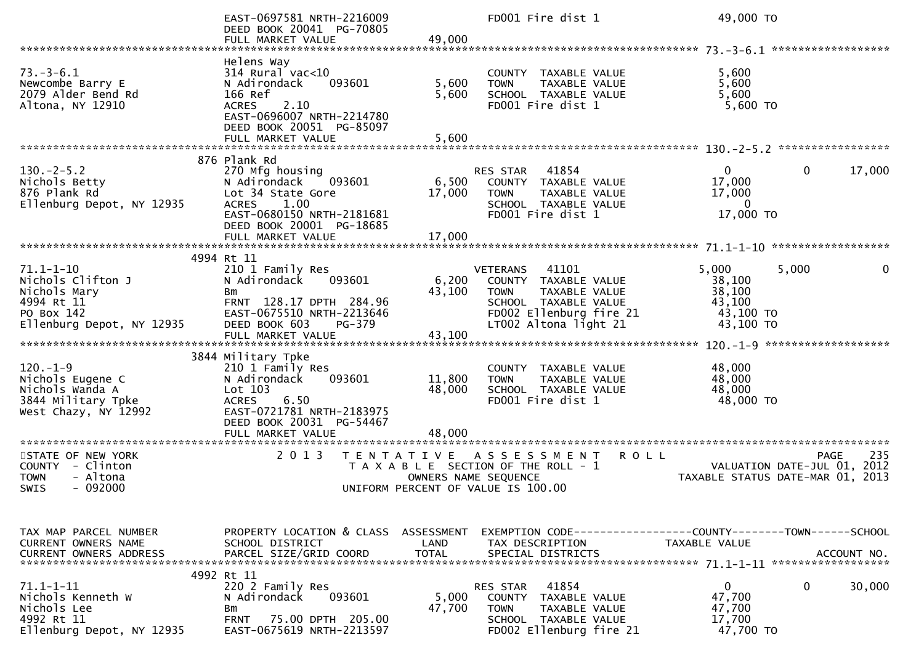|                                                                                                               | EAST-0697581 NRTH-2216009<br>DEED BOOK 20041 PG-70805<br>FULL MARKET VALUE                                                                                                  | 49,000                    | FD001 Fire dist 1                                                                                                                                            |             | 49,000 TO                                                     |                                                                                |        |
|---------------------------------------------------------------------------------------------------------------|-----------------------------------------------------------------------------------------------------------------------------------------------------------------------------|---------------------------|--------------------------------------------------------------------------------------------------------------------------------------------------------------|-------------|---------------------------------------------------------------|--------------------------------------------------------------------------------|--------|
|                                                                                                               |                                                                                                                                                                             |                           |                                                                                                                                                              |             |                                                               |                                                                                |        |
| $73. - 3 - 6.1$<br>Newcombe Barry E<br>2079 Alder Bend Rd<br>Altona, NY 12910                                 | Helens Way<br>$314$ Rural vac<10<br>N Adirondack<br>093601<br>166 Ref<br>2.10<br><b>ACRES</b><br>EAST-0696007 NRTH-2214780<br>DEED BOOK 20051 PG-85097<br>FULL MARKET VALUE | 5,600<br>5,600<br>5,600   | COUNTY TAXABLE VALUE<br>TAXABLE VALUE<br><b>TOWN</b><br>SCHOOL TAXABLE VALUE<br>FD001 Fire dist 1                                                            |             | 5,600<br>5,600<br>5,600<br>5,600 TO                           |                                                                                |        |
|                                                                                                               | 876 Plank Rd                                                                                                                                                                |                           |                                                                                                                                                              |             |                                                               |                                                                                |        |
| $130 - 2 - 5.2$<br>Nichols Betty<br>876 Plank Rd<br>Ellenburg Depot, NY 12935                                 | 270 Mfg housing<br>N Adirondack<br>093601<br>Lot 34 State Gore<br>1.00<br><b>ACRES</b><br>EAST-0680150 NRTH-2181681<br>DEED BOOK 20001 PG-18685<br>FULL MARKET VALUE        | 6,500<br>17,000<br>17,000 | RES STAR<br>41854<br>COUNTY TAXABLE VALUE<br><b>TOWN</b><br>TAXABLE VALUE<br>SCHOOL TAXABLE VALUE<br>FD001 Fire dist 1                                       |             | 0<br>17,000<br>17,000<br>$\Omega$<br>17,000 TO                | 0                                                                              | 17,000 |
|                                                                                                               |                                                                                                                                                                             |                           |                                                                                                                                                              |             |                                                               |                                                                                |        |
| $71.1 - 1 - 10$<br>Nichols Clifton J<br>Nichols Mary<br>4994 Rt 11<br>PO Box 142<br>Ellenburg Depot, NY 12935 | 4994 Rt 11<br>210 1 Family Res<br>N Adirondack<br>093601<br><b>Bm</b><br>FRNT 128.17 DPTH 284.96<br>EAST-0675510 NRTH-2213646<br>DEED BOOK 603<br>PG-379                    | 6,200<br>43,100           | 41101<br><b>VETERANS</b><br>COUNTY TAXABLE VALUE<br><b>TOWN</b><br>TAXABLE VALUE<br>SCHOOL TAXABLE VALUE<br>FD002 Ellenburg fire 21<br>LT002 Altona light 21 |             | 5,000<br>38,100<br>38,100<br>43,100<br>43,100 TO<br>43,100 TO | 5,000                                                                          | 0      |
|                                                                                                               | 3844 Military Tpke                                                                                                                                                          |                           |                                                                                                                                                              |             |                                                               |                                                                                |        |
| $120. - 1 - 9$<br>Nichols Eugene C<br>Nichols Wanda A<br>3844 Military Tpke<br>West Chazy, NY 12992           | 210 1 Family Res<br>093601<br>N Adirondack<br>Lot 103<br>6.50<br><b>ACRES</b><br>EAST-0721781 NRTH-2183975<br>DEED BOOK 20031 PG-54467                                      | 11,800<br>48,000          | COUNTY TAXABLE VALUE<br><b>TOWN</b><br>TAXABLE VALUE<br>SCHOOL TAXABLE VALUE<br>FD001 Fire dist 1                                                            |             | 48,000<br>48,000<br>48,000<br>48,000 TO                       |                                                                                |        |
|                                                                                                               | FULL MARKET VALUE                                                                                                                                                           | 48,000                    |                                                                                                                                                              |             |                                                               |                                                                                |        |
| STATE OF NEW YORK<br><b>COUNTY</b><br>- Clinton<br>- Altona<br><b>TOWN</b><br><b>SWIS</b><br>- 092000         | 2 0 1 3                                                                                                                                                                     | T E N T A T I V E         | A S S E S S M E N T<br>T A X A B L E SECTION OF THE ROLL - 1<br>OWNERS NAME SEQUENCE<br>UNIFORM PERCENT OF VALUE IS 100.00                                   | <b>ROLL</b> |                                                               | <b>PAGE</b><br>VALUATION DATE-JUL 01, 2012<br>TAXABLE STATUS DATE-MAR 01, 2013 | 235    |
| TAX MAP PARCEL NUMBER<br><b>CURRENT OWNERS NAME</b>                                                           | PROPERTY LOCATION & CLASS<br>SCHOOL DISTRICT                                                                                                                                | ASSESSMENT<br>LAND        | TAX DESCRIPTION                                                                                                                                              |             | TAXABLE VALUE                                                 |                                                                                |        |
| CURRENT OWNERS ADDRESS                                                                                        | PARCEL SIZE/GRID COORD                                                                                                                                                      | <b>TOTAL</b>              | SPECIAL DISTRICTS                                                                                                                                            |             |                                                               | ACCOUNT NO.                                                                    |        |
| $71.1 - 1 - 11$<br>Nichols Kenneth W<br>Nichols Lee<br>4992 Rt 11<br>Ellenburg Depot, NY 12935                | 4992 Rt 11<br>220 2 Family Res<br>N Adirondack<br>093601<br>Bm<br><b>FRNT</b><br>75.00 DPTH 205.00<br>EAST-0675619 NRTH-2213597                                             | 5,000<br>47,700           | 41854<br>RES STAR<br><b>COUNTY</b><br>TAXABLE VALUE<br><b>TOWN</b><br>TAXABLE VALUE<br>SCHOOL TAXABLE VALUE<br>FD002 Ellenburg fire 21                       |             | $\mathbf 0$<br>47,700<br>47,700<br>17,700<br>47,700 TO        | 0                                                                              | 30,000 |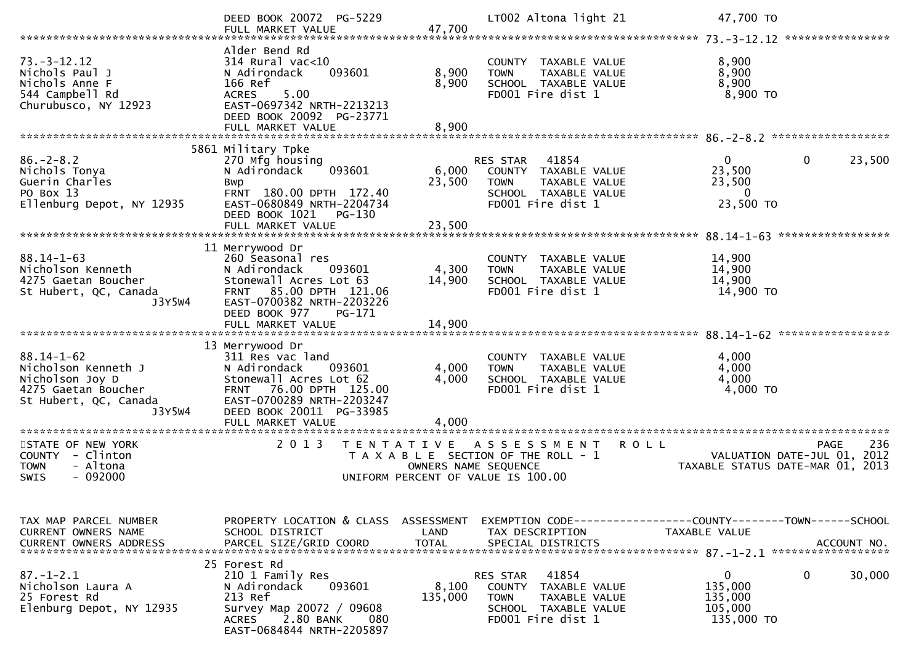|                                                       | DEED BOOK 20072 PG-5229                                                                    |                      | LT002 Altona light 21                                                        | 47,700 TO<br>****************                                                         |
|-------------------------------------------------------|--------------------------------------------------------------------------------------------|----------------------|------------------------------------------------------------------------------|---------------------------------------------------------------------------------------|
|                                                       | Alder Bend Rd                                                                              |                      |                                                                              |                                                                                       |
| $73. - 3 - 12.12$<br>Nichols Paul J<br>Nichols Anne F | $314$ Rural vac<10<br>093601<br>N Adirondack<br>166 Ref<br>5.00                            | 8,900<br>8,900       | COUNTY TAXABLE VALUE<br>TAXABLE VALUE<br><b>TOWN</b><br>SCHOOL TAXABLE VALUE | 8,900<br>8,900<br>8,900                                                               |
| 544 Campbell Rd<br>Churubusco, NY 12923               | <b>ACRES</b><br>EAST-0697342 NRTH-2213213<br>DEED BOOK 20092 PG-23771<br>FULL MARKET VALUE | 8,900                | FD001 Fire dist 1                                                            | $8,900$ TO                                                                            |
|                                                       |                                                                                            |                      |                                                                              |                                                                                       |
| $86. - 2 - 8.2$                                       | 5861 Military Tpke<br>270 Mfg housing                                                      |                      | 41854<br>RES STAR                                                            | 0<br>$\mathbf 0$<br>23,500                                                            |
| Nichols Tonya<br>Guerin Charles                       | N Adirondack<br>093601<br>Bwp                                                              | 6,000<br>23,500      | COUNTY TAXABLE VALUE<br>TAXABLE VALUE<br><b>TOWN</b>                         | 23,500<br>23,500                                                                      |
| PO Box 13                                             | FRNT 180.00 DPTH 172.40                                                                    |                      | SCHOOL TAXABLE VALUE                                                         | $\mathbf{0}$                                                                          |
| Ellenburg Depot, NY 12935                             | EAST-0680849 NRTH-2204734<br>DEED BOOK 1021<br>PG-130                                      |                      | FD001 Fire dist 1                                                            | 23,500 TO                                                                             |
|                                                       |                                                                                            |                      |                                                                              | *****************                                                                     |
| $88.14 - 1 - 63$                                      | 11 Merrywood Dr<br>260 Seasonal res                                                        |                      | COUNTY TAXABLE VALUE                                                         | 14,900                                                                                |
| Nicholson Kenneth                                     | N Adirondack<br>093601                                                                     | 4,300                | TAXABLE VALUE<br><b>TOWN</b>                                                 | 14,900                                                                                |
| 4275 Gaetan Boucher<br>St Hubert, QC, Canada          | Stonewall Acres Lot 63<br>85.00 DPTH 121.06<br><b>FRNT</b>                                 | 14,900               | SCHOOL TAXABLE VALUE<br>FD001 Fire dist 1                                    | 14,900<br>14,900 TO                                                                   |
| J3Y5W4                                                | EAST-0700382 NRTH-2203226<br>DEED BOOK 977<br>PG-171                                       |                      |                                                                              |                                                                                       |
|                                                       | FULL MARKET VALUE                                                                          | 14,900               |                                                                              |                                                                                       |
| $88.14 - 1 - 62$                                      | 13 Merrywood Dr<br>311 Res vac land                                                        |                      | COUNTY TAXABLE VALUE                                                         | 4,000                                                                                 |
| Nicholson Kenneth J                                   | N Adirondack<br>093601                                                                     | 4,000                | <b>TAXABLE VALUE</b><br><b>TOWN</b>                                          | 4,000                                                                                 |
| Nicholson Joy D<br>4275 Gaetan Boucher                | Stonewall Acres Lot 62<br>76.00 DPTH 125.00<br>FRNT                                        | 4,000                | SCHOOL TAXABLE VALUE<br>FD001 Fire dist 1                                    | 4,000<br>4,000 TO                                                                     |
| St Hubert, QC, Canada                                 | EAST-0700289 NRTH-2203247                                                                  |                      |                                                                              |                                                                                       |
| J3Y5W4                                                | DEED BOOK 20011 PG-33985<br>FULL MARKET VALUE                                              | 4,000                |                                                                              |                                                                                       |
| *******************************                       | **********************                                                                     |                      |                                                                              |                                                                                       |
| STATE OF NEW YORK<br>COUNTY - Clinton                 | 2013<br>T E N T A T I V E                                                                  |                      | A S S E S S M E N T<br><b>ROLL</b><br>T A X A B L E SECTION OF THE ROLL - 1  | 236<br><b>PAGE</b><br>2012<br>VALUATION DATE-JUL 01,                                  |
| <b>TOWN</b><br>- Altona                               |                                                                                            | OWNERS NAME SEQUENCE |                                                                              | TAXABLE STATUS DATE-MAR 01, 2013                                                      |
| $-092000$<br>SWIS                                     |                                                                                            |                      | UNIFORM PERCENT OF VALUE IS 100.00                                           |                                                                                       |
|                                                       |                                                                                            |                      |                                                                              |                                                                                       |
| TAX MAP PARCEL NUMBER<br>CURRENT OWNERS NAME          | PROPERTY LOCATION & CLASS ASSESSMENT<br>SCHOOL DISTRICT                                    | LAND                 | TAX DESCRIPTION                                                              | EXEMPTION        CODE------------------COUNTY-------TOWN------SCHOOL<br>TAXABLE VALUE |
| <b>CURRENT OWNERS ADDRESS</b>                         | PARCEL SIZE/GRID COORD                                                                     | <b>TOTAL</b>         | SPECIAL DISTRICTS                                                            | ACCOUNT NO.                                                                           |
|                                                       | 25 Forest Rd                                                                               |                      |                                                                              |                                                                                       |
| $87. - 1 - 2.1$<br>Nicholson Laura A                  | 210 1 Family Res<br>093601<br>N Adirondack                                                 | 8,100                | 41854<br>RES STAR<br>COUNTY TAXABLE VALUE                                    | $\mathbf 0$<br>0<br>30,000<br>135,000                                                 |
| 25 Forest Rd                                          | 213 Ref                                                                                    | 135,000              | <b>TOWN</b><br>TAXABLE VALUE                                                 | 135,000                                                                               |
| Elenburg Depot, NY 12935                              | Survey Map 20072 / 09608<br>2.80 BANK<br>ACRES<br>080                                      |                      | SCHOOL TAXABLE VALUE<br>FD001 Fire dist 1                                    | 105,000<br>135,000 TO                                                                 |
|                                                       | EAST-0684844 NRTH-2205897                                                                  |                      |                                                                              |                                                                                       |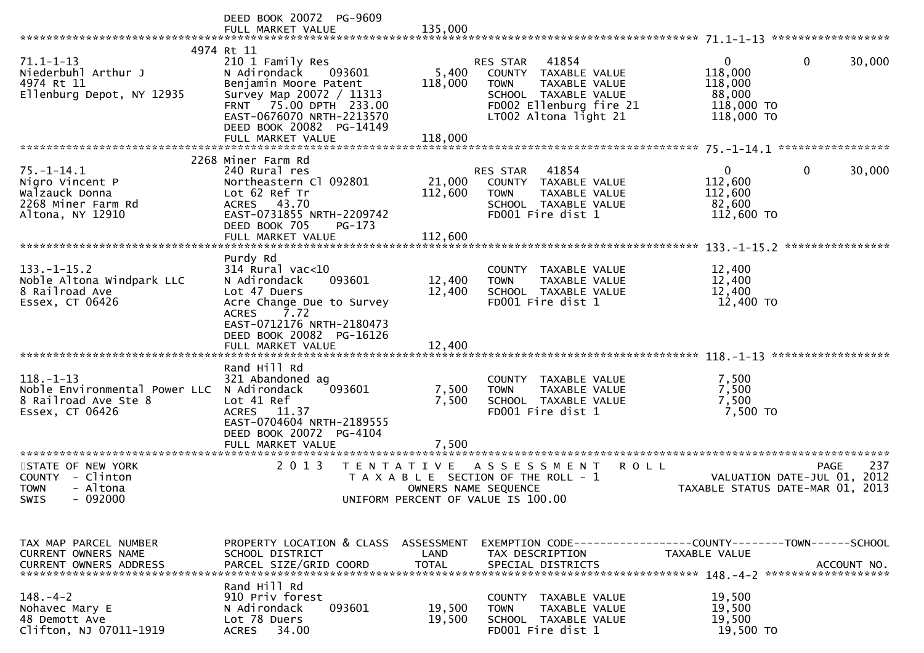|                                                                                                          | DEED BOOK 20072 PG-9609<br>FULL MARKET VALUE                                                                                                                                                                          | 135,000                      |                                                                                                                                                       |                                                                                 |                            |
|----------------------------------------------------------------------------------------------------------|-----------------------------------------------------------------------------------------------------------------------------------------------------------------------------------------------------------------------|------------------------------|-------------------------------------------------------------------------------------------------------------------------------------------------------|---------------------------------------------------------------------------------|----------------------------|
| $71.1 - 1 - 13$<br>Niederbuhl Arthur J<br>4974 Rt 11<br>Ellenburg Depot, NY 12935                        | 4974 Rt 11<br>210 1 Family Res<br>N Adirondack<br>093601<br>Benjamin Moore Patent<br>Survey Map 20072 / 11313<br>FRNT 75.00 DPTH 233.00<br>EAST-0676070 NRTH-2213570<br>DEED BOOK 20082 PG-14149<br>FULL MARKET VALUE | 5,400<br>118,000<br>118,000  | 41854<br>RES STAR<br>COUNTY TAXABLE VALUE<br><b>TOWN</b><br>TAXABLE VALUE<br>SCHOOL TAXABLE VALUE<br>FD002 Ellenburg fire 21<br>LT002 Altona light 21 | $\overline{0}$<br>0<br>118,000<br>118,000<br>88,000<br>118,000 TO<br>118,000 TO | 30,000                     |
|                                                                                                          | 2268 Miner Farm Rd                                                                                                                                                                                                    |                              |                                                                                                                                                       |                                                                                 |                            |
| $75. - 1 - 14.1$<br>Nigro Vincent P<br>Walzauck Donna<br>2268 Miner Farm Rd<br>Altona, NY 12910          | 240 Rural res<br>Northeastern Cl 092801<br>Lot 62 Ref Tr<br>ACRES 43.70<br>EAST-0731855 NRTH-2209742<br>DEED BOOK 705<br>PG-173<br>FULL MARKET VALUE                                                                  | 21,000<br>112,600<br>112,600 | 41854<br>RES STAR<br>COUNTY TAXABLE VALUE<br><b>TOWN</b><br>TAXABLE VALUE<br>SCHOOL TAXABLE VALUE<br>FD001 Fire dist 1                                | $\mathbf{0}$<br>0<br>112,600<br>112,600<br>82,600<br>112,600 TO                 | 30,000                     |
|                                                                                                          |                                                                                                                                                                                                                       |                              |                                                                                                                                                       |                                                                                 |                            |
| $133. - 1 - 15.2$<br>Noble Altona Windpark LLC<br>8 Railroad Ave<br>Essex, CT 06426                      | Purdy Rd<br>$314$ Rural vac< $10$<br>N Adirondack<br>093601<br>Lot 47 Duers<br>Acre Change Due to Survey<br><b>ACRES</b><br>7.72<br>EAST-0712176 NRTH-2180473<br>DEED BOOK 20082 PG-16126                             | 12,400<br>12,400             | COUNTY TAXABLE VALUE<br>TAXABLE VALUE<br><b>TOWN</b><br>SCHOOL TAXABLE VALUE<br>FD001 Fire dist 1                                                     | 12,400<br>12,400<br>12,400<br>12,400 TO                                         |                            |
|                                                                                                          |                                                                                                                                                                                                                       |                              |                                                                                                                                                       |                                                                                 | ******************         |
| $118. - 1 - 13$<br>Noble Environmental Power LLC N Adirondack<br>8 Railroad Ave Ste 8<br>Essex, CT 06426 | Rand Hill Rd<br>321 Abandoned ag<br>093601<br>Lot 41 Ref<br>ACRES 11.37<br>EAST-0704604 NRTH-2189555<br>DEED BOOK 20072 PG-4104<br>FULL MARKET VALUE                                                                  | 7,500<br>7,500<br>7,500      | COUNTY TAXABLE VALUE<br>TAXABLE VALUE<br><b>TOWN</b><br>SCHOOL TAXABLE VALUE<br>FD001 Fire dist 1                                                     | 7,500<br>7,500<br>7,500<br>7,500 TO                                             |                            |
| STATE OF NEW YORK<br>COUNTY - Clinton<br><b>TOWN</b><br>- Altona<br>$-092000$<br>SWIS                    | 2 0 1 3<br>T E N T A T I V E                                                                                                                                                                                          | OWNERS NAME SEQUENCE         | A S S E S S M E N T<br>R O L L<br>T A X A B L E SECTION OF THE ROLL - 1<br>UNIFORM PERCENT OF VALUE IS 100.00                                         | VALUATION DATE-JUL 01,<br>TAXABLE STATUS DATE-MAR 01, 2013                      | 237<br><b>PAGE</b><br>2012 |
| TAX MAP PARCEL NUMBER<br><b>CURRENT OWNERS NAME</b><br><b>CURRENT OWNERS ADDRESS</b>                     | PROPERTY LOCATION & CLASS ASSESSMENT<br>SCHOOL DISTRICT<br>PARCEL SIZE/GRID COORD                                                                                                                                     | LAND<br><b>TOTAL</b>         | EXEMPTION CODE------------------COUNTY--------TOWN------SCHOOL<br>TAX DESCRIPTION<br>SPECIAL DISTRICTS                                                | TAXABLE VALUE                                                                   | ACCOUNT NO.                |
| $148. - 4 - 2$<br>Nohavec Mary E<br>48 Demott Ave<br>Clifton, NJ 07011-1919                              | Rand Hill Rd<br>910 Priv forest<br>N Adirondack<br>093601<br>Lot 78 Duers<br>34.00<br><b>ACRES</b>                                                                                                                    | 19,500<br>19,500             | COUNTY TAXABLE VALUE<br><b>TOWN</b><br>TAXABLE VALUE<br>SCHOOL TAXABLE VALUE<br>FD001 Fire dist 1                                                     | 19,500<br>19,500<br>19,500<br>19,500 TO                                         |                            |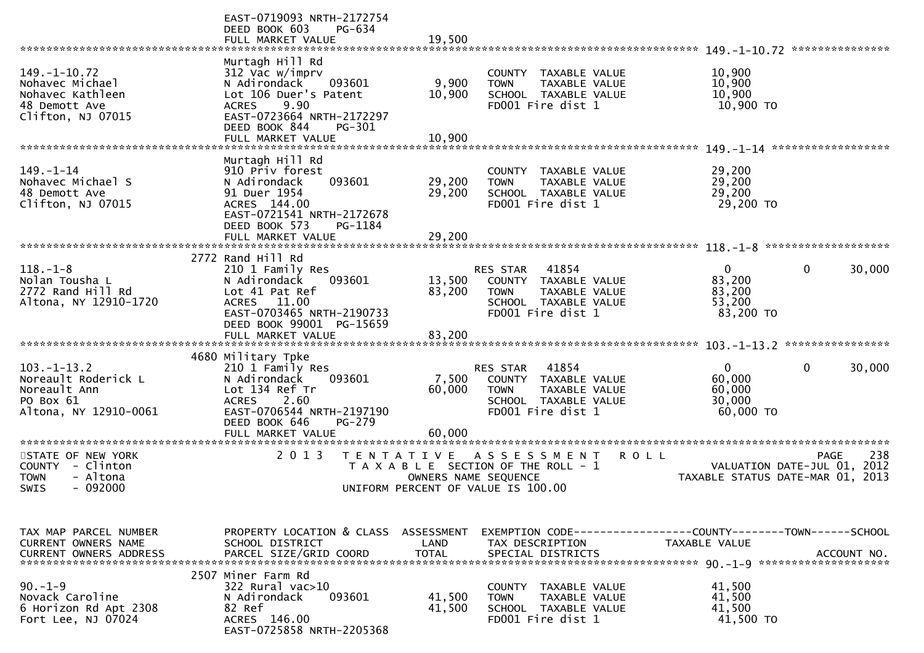|                                                                                                 | EAST-0719093 NRTH-2172754<br>DEED BOOK 603<br>PG-634<br>FULL MARKET VALUE                                                                                          | 19,500               |                                                                                                                        |                                                                                   |
|-------------------------------------------------------------------------------------------------|--------------------------------------------------------------------------------------------------------------------------------------------------------------------|----------------------|------------------------------------------------------------------------------------------------------------------------|-----------------------------------------------------------------------------------|
| $149. - 1 - 10.72$<br>Nohavec Michael<br>Nohavec Kathleen<br>48 Demott Ave<br>Clifton, NJ 07015 | Murtagh Hill Rd<br>312 Vac w/imprv<br>N Adirondack<br>093601<br>Lot 106 Duer's Patent<br><b>ACRES</b><br>9.90<br>EAST-0723664 NRTH-2172297                         | 9,900<br>10,900      | COUNTY TAXABLE VALUE<br><b>TOWN</b><br>TAXABLE VALUE<br>SCHOOL TAXABLE VALUE<br>FD001 Fire dist 1                      | 10,900<br>10,900<br>10,900<br>10,900 TO                                           |
|                                                                                                 | DEED BOOK 844<br>PG-301<br>FULL MARKET VALUE                                                                                                                       | 10,900               |                                                                                                                        |                                                                                   |
| $149. - 1 - 14$<br>Nohavec Michael S<br>48 Demott Ave<br>Clifton, NJ 07015                      | Murtagh Hill Rd<br>910 Priv forest<br>093601<br>N Adirondack<br>91 Duer 1954<br>ACRES 144.00<br>EAST-0721541 NRTH-2172678<br>DEED BOOK 573<br>PG-1184              | 29,200<br>29,200     | COUNTY TAXABLE VALUE<br><b>TOWN</b><br>TAXABLE VALUE<br>SCHOOL TAXABLE VALUE<br>FD001 Fire dist 1                      | 29,200<br>29,200<br>29,200<br>29,200 TO                                           |
|                                                                                                 | FULL MARKET VALUE                                                                                                                                                  | 29,200               |                                                                                                                        |                                                                                   |
| $118. - 1 - 8$<br>Nolan Tousha L<br>2772 Rand Hill Rd<br>Altona, NY 12910-1720                  | 2772 Rand Hill Rd<br>210 1 Family Res<br>N Adirondack<br>093601<br>Lot 41 Pat Ref<br>ACRES 11.00<br>EAST-0703465 NRTH-2190733<br>DEED BOOK 99001 PG-15659          | 13,500<br>83,200     | 41854<br>RES STAR<br>COUNTY TAXABLE VALUE<br>TAXABLE VALUE<br><b>TOWN</b><br>SCHOOL TAXABLE VALUE<br>FD001 Fire dist 1 | $\Omega$<br>$\mathbf{0}$<br>30,000<br>83,200<br>83,200<br>53,200<br>83,200 TO     |
|                                                                                                 |                                                                                                                                                                    |                      |                                                                                                                        |                                                                                   |
| $103. -1 - 13.2$<br>Noreault Roderick L<br>Noreault Ann<br>PO Box 61<br>Altona, NY 12910-0061   | 4680 Military Tpke<br>210 1 Family Res<br>093601<br>N Adirondack<br>Lot 134 Ref Tr<br><b>ACRES</b><br>2.60<br>EAST-0706544 NRTH-2197190<br>DEED BOOK 646<br>PG-279 | 7,500<br>60,000      | RES STAR<br>41854<br>COUNTY TAXABLE VALUE<br>TAXABLE VALUE<br><b>TOWN</b><br>SCHOOL TAXABLE VALUE<br>FD001 Fire dist 1 | 0<br>$\mathbf 0$<br>30,000<br>60,000<br>60,000<br>30,000<br>60,000 TO             |
|                                                                                                 | FULL MARKET VALUE                                                                                                                                                  | 60,000               |                                                                                                                        |                                                                                   |
| STATE OF NEW YORK<br>COUNTY - Clinton<br>- Altona<br><b>TOWN</b><br><b>SWIS</b><br>- 092000     | 2 0 1 3<br>T E N T A T I V E                                                                                                                                       | OWNERS NAME SEOUENCE | <b>ROLL</b><br>A S S E S S M E N T<br>T A X A B L E SECTION OF THE ROLL - 1<br>UNIFORM PERCENT OF VALUE IS 100.00      | 238<br>PAGE<br>VALUATION DATE-JUL 01,<br>2012<br>TAXABLE STATUS DATE-MAR 01, 2013 |
| TAX MAP PARCEL NUMBER<br>CURRENT OWNERS NAME                                                    | PROPERTY LOCATION & CLASS ASSESSMENT<br>SCHOOL DISTRICT                                                                                                            | LAND                 | TAX DESCRIPTION                                                                                                        | TAXABLE VALUE                                                                     |
| $90. -1 - 9$<br>Novack Caroline<br>6 Horizon Rd Apt 2308<br>Fort Lee, NJ 07024                  | 2507 Miner Farm Rd<br>322 Rural vac>10<br>N Adirondack<br>093601<br>82 Ref<br>ACRES 146.00<br>EAST-0725858 NRTH-2205368                                            | 41,500<br>41,500     | COUNTY TAXABLE VALUE<br><b>TOWN</b><br>TAXABLE VALUE<br>SCHOOL TAXABLE VALUE<br>FD001 Fire dist 1                      | 41,500<br>41,500<br>41,500<br>41,500 TO                                           |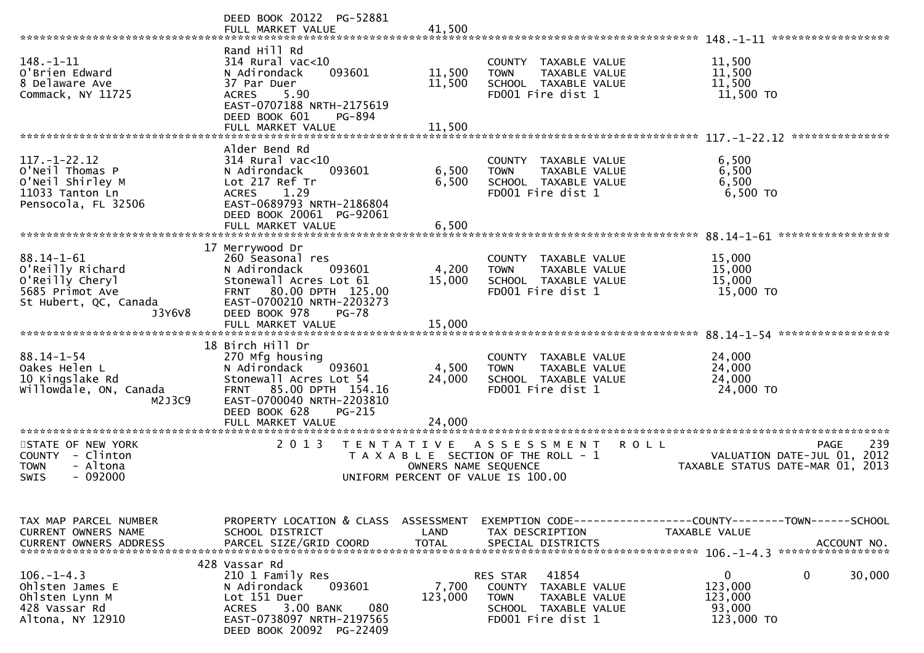|                                                                                                               | DEED BOOK 20122 PG-52881<br>FULL MARKET VALUE                                                                                                                                       | 41,500                     |                                                                                                                           | ******************<br>148. – 1–11                                                           |
|---------------------------------------------------------------------------------------------------------------|-------------------------------------------------------------------------------------------------------------------------------------------------------------------------------------|----------------------------|---------------------------------------------------------------------------------------------------------------------------|---------------------------------------------------------------------------------------------|
| 148. -1-11<br>O'Brien Edward<br>8 Delaware Ave<br>Commack, NY 11725                                           | Rand Hill Rd<br>$314$ Rural vac< $10$<br>N Adirondack<br>093601<br>37 Par Duer<br>5.90<br><b>ACRES</b><br>EAST-0707188 NRTH-2175619<br>DEED BOOK 601<br>PG-894<br>FULL MARKET VALUE | 11,500<br>11,500<br>11,500 | COUNTY TAXABLE VALUE<br>TAXABLE VALUE<br><b>TOWN</b><br>SCHOOL TAXABLE VALUE<br>FD001 Fire dist 1                         | 11,500<br>11,500<br>11,500<br>11,500 TO                                                     |
|                                                                                                               |                                                                                                                                                                                     |                            |                                                                                                                           | ***************                                                                             |
| $117. - 1 - 22.12$<br>O'Neil Thomas P<br>O'Neil Shirley M<br>11033 Tanton Ln<br>Pensocola, FL 32506           | Alder Bend Rd<br>$314$ Rural vac<10<br>093601<br>N Adirondack<br>Lot 217 Ref Tr<br><b>ACRES</b><br>1.29<br>EAST-0689793 NRTH-2186804<br>DEED BOOK 20061 PG-92061                    | 6,500<br>6,500             | COUNTY TAXABLE VALUE<br><b>TOWN</b><br>TAXABLE VALUE<br>SCHOOL TAXABLE VALUE<br>FD001 Fire dist 1                         | 6,500<br>6,500<br>6,500<br>6,500 TO                                                         |
|                                                                                                               | FULL MARKET VALUE                                                                                                                                                                   | 6,500                      |                                                                                                                           |                                                                                             |
|                                                                                                               | 17 Merrywood Dr                                                                                                                                                                     |                            |                                                                                                                           | 88.14-1-61<br>*****************                                                             |
| $88.14 - 1 - 61$<br>O'Reilly Richard<br>O'Reilly Cheryl<br>5685 Primot Ave<br>St Hubert, QC, Canada<br>J3Y6V8 | 260 Seasonal res<br>N Adirondack<br>093601<br>Stonewall Acres Lot 61<br>FRNT 80.00 DPTH 125.00<br>EAST-0700210 NRTH-2203273<br>DEED BOOK 978<br><b>PG-78</b>                        | 4,200<br>15,000            | COUNTY TAXABLE VALUE<br><b>TOWN</b><br>TAXABLE VALUE<br>SCHOOL TAXABLE VALUE<br>FD001 Fire dist 1                         | 15,000<br>15,000<br>15,000<br>15,000 TO                                                     |
|                                                                                                               | FULL MARKET VALUE                                                                                                                                                                   | 15,000                     |                                                                                                                           |                                                                                             |
|                                                                                                               | 18 Birch Hill Dr                                                                                                                                                                    |                            |                                                                                                                           |                                                                                             |
| $88.14 - 1 - 54$<br>Oakes Helen L<br>10 Kingslake Rd<br>Willowdale, ON, Canada<br>M2J3C9                      | 270 Mfg housing<br>N Adirondack<br>093601<br>Stonewall Acres Lot 54<br>FRNT 85.00 DPTH 154.16<br>EAST-0700040 NRTH-2203810<br>DEED BOOK 628<br>PG-215                               | 4,500<br>24,000            | COUNTY TAXABLE VALUE<br><b>TOWN</b><br>TAXABLE VALUE<br>SCHOOL TAXABLE VALUE<br>FD001 Fire dist 1                         | 24,000<br>24,000<br>24,000<br>24,000 TO                                                     |
|                                                                                                               | FULL MARKET VALUE<br>*******************                                                                                                                                            | 24,000                     |                                                                                                                           |                                                                                             |
| STATE OF NEW YORK<br>COUNTY - Clinton<br>- Altona<br><b>TOWN</b><br>$-092000$<br>SWIS                         | 2 0 1 3<br>T E N T A T I V E                                                                                                                                                        | OWNERS NAME SEQUENCE       | ASSESSMENT<br><b>ROLL</b><br>T A X A B L E SECTION OF THE ROLL - 1<br>UNIFORM PERCENT OF VALUE IS 100.00                  | 239<br><b>PAGE</b><br>VALUATION DATE-JUL 01, 2012<br>TAXABLE STATUS DATE-MAR 01, 2013       |
|                                                                                                               |                                                                                                                                                                                     |                            |                                                                                                                           |                                                                                             |
| TAX MAP PARCEL NUMBER<br>CURRENT OWNERS NAME<br>CURRENT OWNERS ADDRESS                                        | PROPERTY LOCATION & CLASS ASSESSMENT<br>SCHOOL DISTRICT<br>PARCEL SIZE/GRID COORD                                                                                                   | LAND<br><b>TOTAL</b>       | TAX DESCRIPTION<br>SPECIAL DISTRICTS                                                                                      | EXEMPTION CODE-----------------COUNTY-------TOWN-----SCHOOL<br>TAXABLE VALUE<br>ACCOUNT NO. |
|                                                                                                               | 428 Vassar Rd                                                                                                                                                                       |                            |                                                                                                                           |                                                                                             |
| $106. - 1 - 4.3$<br>Ohlsten James E<br>Ohlsten Lynn M<br>428 Vassar Rd<br>Altona, NY 12910                    | 210 1 Family Res<br>N Adirondack<br>093601<br>Lot 151 Duer<br>080<br>3.00 BANK<br><b>ACRES</b><br>EAST-0738097 NRTH-2197565<br>DEED BOOK 20092 PG-22409                             | 7,700<br>123,000           | 41854<br>RES STAR<br>COUNTY<br>TAXABLE VALUE<br><b>TOWN</b><br>TAXABLE VALUE<br>SCHOOL TAXABLE VALUE<br>FD001 Fire dist 1 | $\mathbf{0}$<br>$\mathbf 0$<br>30,000<br>123,000<br>123,000<br>93,000<br>123,000 TO         |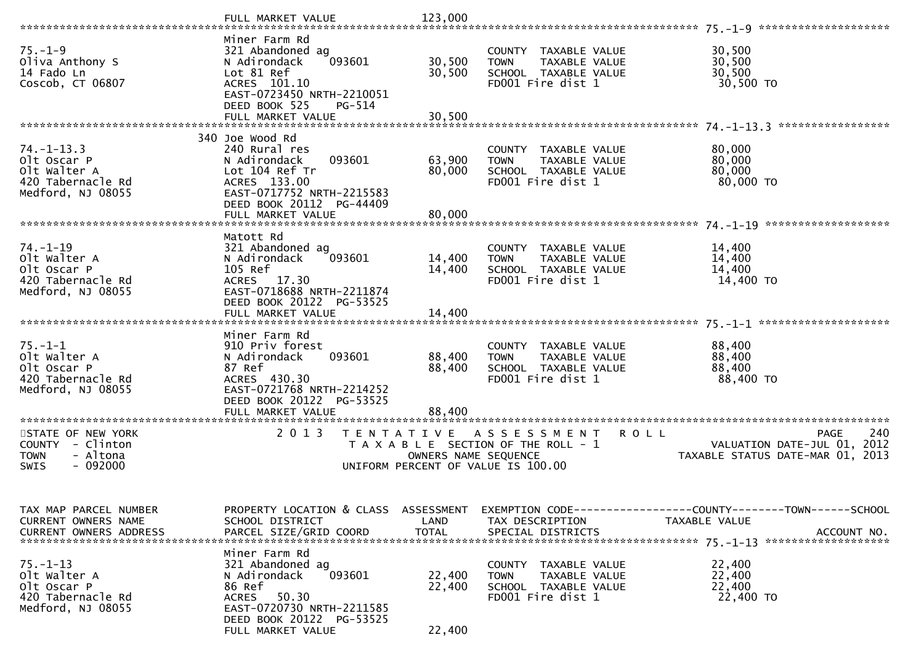|                                                                                              |                                                                                                                                                                       |                            |                                                                                                                   | ********************                                                                        |
|----------------------------------------------------------------------------------------------|-----------------------------------------------------------------------------------------------------------------------------------------------------------------------|----------------------------|-------------------------------------------------------------------------------------------------------------------|---------------------------------------------------------------------------------------------|
| $75. - 1 - 9$<br>Oliva Anthony S<br>14 Fado Ln<br>Coscob, CT 06807                           | Miner Farm Rd<br>321 Abandoned ag<br>093601<br>N Adirondack<br>Lot 81 Ref<br>ACRES 101.10<br>EAST-0723450 NRTH-2210051                                                | 30,500<br>30,500           | COUNTY TAXABLE VALUE<br><b>TOWN</b><br>TAXABLE VALUE<br>SCHOOL TAXABLE VALUE<br>FD001 Fire dist 1                 | 30,500<br>30,500<br>30,500<br>30,500 TO                                                     |
|                                                                                              | DEED BOOK 525<br>PG-514<br>FULL MARKET VALUE                                                                                                                          | 30,500                     |                                                                                                                   |                                                                                             |
| $74. - 1 - 13.3$<br>Olt Oscar P<br>Olt Walter A<br>420 Tabernacle Rd<br>Medford, NJ 08055    | 340 Joe Wood Rd<br>240 Rural res<br>N Adirondack<br>093601<br>Lot 104 Ref Tr<br>ACRES 133.00<br>EAST-0717752 NRTH-2215583<br>DEED BOOK 20112 PG-44409                 | 63,900<br>80,000           | COUNTY TAXABLE VALUE<br>TAXABLE VALUE<br><b>TOWN</b><br>SCHOOL TAXABLE VALUE<br>FD001 Fire dist 1                 | 80,000<br>80,000<br>80,000<br>80,000 TO                                                     |
|                                                                                              | FULL MARKET VALUE                                                                                                                                                     | 80,000                     |                                                                                                                   |                                                                                             |
| $74. - 1 - 19$<br>Olt Walter A<br>Olt Oscar P<br>420 Tabernacle Rd<br>Medford, NJ 08055      | Matott Rd<br>321 Abandoned ag<br>N Adirondack<br>093601<br>105 Ref<br>ACRES 17.30<br>EAST-0718688 NRTH-2211874<br>DEED BOOK 20122 PG-53525<br>FULL MARKET VALUE       | 14,400<br>14,400<br>14,400 | COUNTY TAXABLE VALUE<br><b>TOWN</b><br>TAXABLE VALUE<br>SCHOOL TAXABLE VALUE<br>FD001 Fire dist 1                 | 14,400<br>14,400<br>14,400<br>14,400 TO                                                     |
|                                                                                              |                                                                                                                                                                       |                            |                                                                                                                   |                                                                                             |
| $75. - 1 - 1$<br>Olt Walter A<br>Olt Oscar P<br>420 Tabernacle Rd<br>Medford, NJ 08055       | Miner Farm Rd<br>910 Priv forest<br>N Adirondack<br>093601<br>87 Ref<br>ACRES 430.30<br>EAST-0721768 NRTH-2214252<br>DEED BOOK 20122 PG-53525<br>FULL MARKET VALUE    | 88,400<br>88,400<br>88,400 | COUNTY TAXABLE VALUE<br>TAXABLE VALUE<br><b>TOWN</b><br>SCHOOL TAXABLE VALUE<br>FD001 Fire dist 1                 | 88,400<br>88,400<br>88,400<br>88,400 TO                                                     |
|                                                                                              |                                                                                                                                                                       |                            |                                                                                                                   |                                                                                             |
| STATE OF NEW YORK<br>COUNTY - Clinton<br>- Altona<br><b>TOWN</b><br>$-092000$<br><b>SWIS</b> | 2 0 1 3<br>T E N T A T I V E                                                                                                                                          | OWNERS NAME SEQUENCE       | <b>ROLL</b><br>A S S E S S M E N T<br>T A X A B L E SECTION OF THE ROLL - 1<br>UNIFORM PERCENT OF VALUE IS 100.00 | 240<br><b>PAGE</b><br>2012<br>VALUATION DATE-JUL 01,<br>2013<br>TAXABLE STATUS DATE-MAR 01, |
| TAX MAP PARCEL NUMBER<br>CURRENT OWNERS NAME                                                 | PROPERTY LOCATION & CLASS ASSESSMENT<br>SCHOOL DISTRICT                                                                                                               | LAND                       | TAX DESCRIPTION                                                                                                   | EXEMPTION CODE-----------------COUNTY-------TOWN------SCHOOL<br>TAXABLE VALUE               |
| 75.–1–13<br>olt walter A<br>Olt Oscar P<br>420 Tabernacle Rd<br>Medford, NJ 08055            | Miner Farm Rd<br>321 Abandoned ag<br>N Adirondack<br>093601<br>86 Ref<br>50.30<br>ACRES<br>EAST-0720730 NRTH-2211585<br>DEED BOOK 20122 PG-53525<br>FULL MARKET VALUE | 22,400<br>22,400<br>22,400 | COUNTY TAXABLE VALUE<br>TAXABLE VALUE<br><b>TOWN</b><br>SCHOOL TAXABLE VALUE<br>FD001 Fire dist 1                 | 22,400<br>22,400<br>22,400<br>22,400 TO                                                     |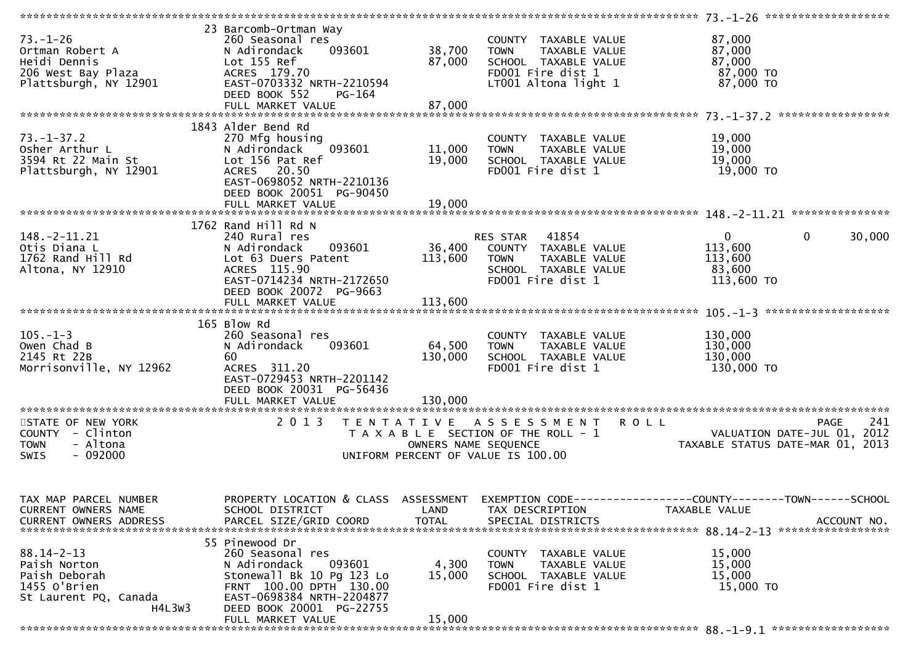| $73. - 1 - 26$                                              | 23 Barcomb-Ortman Way<br>260 Seasonal res |              | COUNTY TAXABLE VALUE               | 87,000                                                                                           |
|-------------------------------------------------------------|-------------------------------------------|--------------|------------------------------------|--------------------------------------------------------------------------------------------------|
| Ortman Robert A                                             | 093601<br>N Adirondack                    | 38,700       | TOWN TAXABLE VALUE                 | 87,000                                                                                           |
|                                                             | Lot 155 Ref                               | 87,000       | SCHOOL TAXABLE VALUE               | 87,000                                                                                           |
| Heıdi Dennis<br>206 West Bay Plaza<br>Plattsburgh, NY 12901 |                                           |              |                                    |                                                                                                  |
|                                                             | ACRES 179.70                              |              | FD001 Fire dist 1                  | $87,000$ TO<br>$87,000$ TO                                                                       |
|                                                             | EAST-0703332 NRTH-2210594                 |              | LT001 Altona light 1               | 87,000 TO                                                                                        |
|                                                             | DEED BOOK 552<br>PG-164                   |              |                                    |                                                                                                  |
|                                                             |                                           |              |                                    |                                                                                                  |
|                                                             |                                           |              |                                    |                                                                                                  |
|                                                             | 1843 Alder Bend Rd                        |              |                                    |                                                                                                  |
| $73. - 1 - 37.2$                                            | 270 Mfg housing                           |              | COUNTY TAXABLE VALUE               | 19,000                                                                                           |
| Osher Arthur L                                              | N Adirondack<br>093601                    | 11,000       | <b>TOWN</b><br>TAXABLE VALUE       | 19,000                                                                                           |
| 3594 Rt 22 Main St                                          | Lot 156 Pat Ref                           | 19,000       | SCHOOL TAXABLE VALUE               | 19,000                                                                                           |
| Plattsburgh, NY 12901                                       | ACRES 20.50                               |              | FD001 Fire dist 1                  | 19,000 TO                                                                                        |
|                                                             | EAST-0698052 NRTH-2210136                 |              |                                    |                                                                                                  |
|                                                             | DEED BOOK 20051 PG-90450                  |              |                                    |                                                                                                  |
|                                                             |                                           |              |                                    |                                                                                                  |
|                                                             |                                           |              |                                    |                                                                                                  |
|                                                             |                                           |              |                                    |                                                                                                  |
|                                                             | 1762 Rand Hill Rd N                       |              |                                    |                                                                                                  |
| $148. - 2 - 11.21$                                          | 240 Rural res                             |              | RES STAR 41854                     | $\mathbf 0$<br>$\mathbf{0}$<br>30,000                                                            |
| Otis Diana L                                                | 093601<br>N Adirondack                    | 36,400       | COUNTY TAXABLE VALUE               | 113,600                                                                                          |
| 1762 Rand Hill Rd                                           | Lot 63 Duers Patent                       | 113,600      | <b>TOWN</b><br>TAXABLE VALUE       | 113,600                                                                                          |
| Altona, NY 12910                                            | ACRES 115.90                              |              | SCHOOL TAXABLE VALUE               | 83,600                                                                                           |
|                                                             | EAST-0714234 NRTH-2172650                 |              | FD001 Fire dist 1                  | 113,600 TO                                                                                       |
|                                                             | DEED BOOK 20072 PG-9663                   |              |                                    |                                                                                                  |
|                                                             |                                           |              |                                    |                                                                                                  |
|                                                             |                                           |              |                                    |                                                                                                  |
|                                                             | 165 Blow Rd                               |              |                                    |                                                                                                  |
| $105. - 1 - 3$                                              | 260 Seasonal res                          |              | COUNTY TAXABLE VALUE               | 130,000                                                                                          |
| Owen Chad B                                                 | 093601<br>N Adirondack                    | 64,500       | TAXABLE VALUE<br><b>TOWN</b>       | 130,000                                                                                          |
| 2145 Rt 22B                                                 | 60                                        | 130,000      | SCHOOL TAXABLE VALUE               | 130,000                                                                                          |
| Morrisonville, NY 12962                                     | ACRES 311.20                              |              | FD001 Fire dist 1                  | 130,000 TO                                                                                       |
|                                                             | EAST-0729453 NRTH-2201142                 |              |                                    |                                                                                                  |
|                                                             | DEED BOOK 20031 PG-56436                  |              |                                    |                                                                                                  |
|                                                             |                                           |              |                                    |                                                                                                  |
|                                                             |                                           |              |                                    |                                                                                                  |
| STATE OF NEW YORK                                           | 2 0 1 3                                   |              | TENTATIVE ASSESSMENT               | <b>ROLL</b><br>241<br><b>PAGE</b>                                                                |
| COUNTY - Clinton                                            |                                           |              |                                    |                                                                                                  |
| <b>TOWN</b><br>- Altona                                     |                                           |              |                                    | T A X A B L E SECTION OF THE ROLL - 1<br>OWNERS NAME SEQUENCE TAXABLE STATUS DATE-MAR 01, 2013   |
|                                                             |                                           |              | UNIFORM PERCENT OF VALUE IS 100.00 |                                                                                                  |
| $-092000$<br>SWIS                                           |                                           |              |                                    |                                                                                                  |
|                                                             |                                           |              |                                    |                                                                                                  |
|                                                             |                                           |              |                                    |                                                                                                  |
|                                                             |                                           |              |                                    |                                                                                                  |
| TAX MAP PARCEL NUMBER                                       |                                           |              |                                    | PROPERTY LOCATION & CLASS ASSESSMENT EXEMPTION CODE----------------COUNTY-------TOWN------SCHOOL |
| CURRENT OWNERS NAME                                         | SCHOOL DISTRICT                           | LAND         | TAX DESCRIPTION                    | TAXABLE VALUE                                                                                    |
| <b>CURRENT OWNERS ADDRESS</b>                               | PARCEL SIZE/GRID COORD                    | <b>TOTAL</b> | SPECIAL DISTRICTS                  | ACCOUNT NO.                                                                                      |
|                                                             |                                           |              |                                    |                                                                                                  |
|                                                             | 55 Pinewood Dr                            |              |                                    |                                                                                                  |
| 88.14-2-13                                                  | 260 Seasonal res                          |              | COUNTY TAXABLE VALUE               | 15,000                                                                                           |
| Paish Norton                                                | 093601<br>N Adirondack                    | 4,300        | TAXABLE VALUE<br><b>TOWN</b>       | 15,000                                                                                           |
| Paish Deborah                                               | Stonewall Bk 10 Pg 123 Lo                 | 15,000       | SCHOOL TAXABLE VALUE               | 15,000                                                                                           |
| 1455 O'Brien                                                | FRNT 100.00 DPTH 130.00                   |              | FD001 Fire dist 1                  | 15,000 TO                                                                                        |
| St Laurent PQ, Canada                                       | EAST-0698384 NRTH-2204877                 |              |                                    |                                                                                                  |
| H4L3W3                                                      | DEED BOOK 20001 PG-22755                  |              |                                    |                                                                                                  |
|                                                             | FULL MARKET VALUE                         | 15,000       |                                    |                                                                                                  |
|                                                             |                                           |              |                                    |                                                                                                  |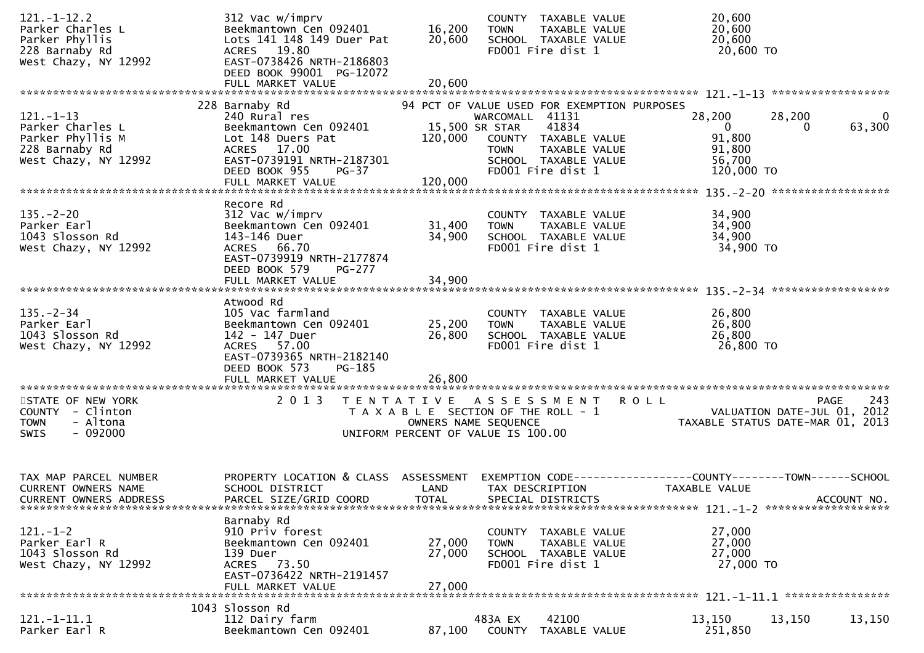| $121. - 1 - 12.2$<br>Parker Charles L<br>Parker Phyllis<br>228 Barnaby Rd<br>West Chazy, NY 12992 | 312 Vac w/imprv<br>Beekmantown Cen 092401<br>Lots 141 148 149 Duer Pat<br>ACRES 19.80<br>EAST-0738426 NRTH-2186803<br>DEED BOOK 99001 PG-12072<br>FULL MARKET VALUE | 16,200<br>20,600<br>20,600                                                                                               | <b>TOWN</b>                                      | COUNTY TAXABLE VALUE<br>TAXABLE VALUE<br>SCHOOL TAXABLE VALUE<br>FD001 Fire dist 1                                                         | 20,600<br>20,600<br>20,600<br>20,600 TO                                       |                                                                                |
|---------------------------------------------------------------------------------------------------|---------------------------------------------------------------------------------------------------------------------------------------------------------------------|--------------------------------------------------------------------------------------------------------------------------|--------------------------------------------------|--------------------------------------------------------------------------------------------------------------------------------------------|-------------------------------------------------------------------------------|--------------------------------------------------------------------------------|
|                                                                                                   |                                                                                                                                                                     |                                                                                                                          |                                                  |                                                                                                                                            |                                                                               |                                                                                |
| $121. - 1 - 13$<br>Parker Charles L<br>Parker Phyllis M<br>228 Barnaby Rd<br>West Chazy, NY 12992 | 228 Barnaby Rd<br>240 Rural res<br>Beekmantown Cen 092401<br>Lot 148 Duers Pat<br>ACRES 17.00<br>EAST-0739191 NRTH-2187301<br>DEED BOOK 955<br>PG-37                | 120,000                                                                                                                  | WARCOMALL 41131<br>15,500 SR STAR<br><b>TOWN</b> | 94 PCT OF VALUE USED FOR EXEMPTION PURPOSES<br>41834<br>COUNTY TAXABLE VALUE<br>TAXABLE VALUE<br>SCHOOL TAXABLE VALUE<br>FD001 Fire dist 1 | 28,200<br>$\overline{0}$<br>91,800<br>91,800<br>56,700<br>120,000 TO          | 28,200<br>0<br>63,300<br>0                                                     |
|                                                                                                   |                                                                                                                                                                     |                                                                                                                          |                                                  |                                                                                                                                            |                                                                               |                                                                                |
| $135. - 2 - 20$<br>Parker Earl<br>1043 Slosson Rd<br>West Chazy, NY 12992                         | Recore Rd<br>312 Vac w/imprv<br>Beekmantown Cen 092401<br>143-146 Duer<br>ACRES 66.70<br>EAST-0739919 NRTH-2177874<br>DEED BOOK 579<br><b>PG-277</b>                | 31,400<br>34,900                                                                                                         | <b>TOWN</b>                                      | COUNTY TAXABLE VALUE<br><b>TAXABLE VALUE</b><br>SCHOOL TAXABLE VALUE<br>FD001 Fire dist 1                                                  | 34,900<br>34,900<br>34,900<br>34,900 TO                                       |                                                                                |
|                                                                                                   |                                                                                                                                                                     |                                                                                                                          |                                                  |                                                                                                                                            |                                                                               |                                                                                |
|                                                                                                   |                                                                                                                                                                     |                                                                                                                          |                                                  |                                                                                                                                            |                                                                               |                                                                                |
| $135. - 2 - 34$<br>Parker Earl<br>1043 Slosson Rd<br>West Chazy, NY 12992                         | Atwood Rd<br>105 Vac farmland<br>Beekmantown Cen 092401<br>142 - 147 Duer<br>ACRES 57.00<br>EAST-0739365 NRTH-2182140<br>DEED BOOK 573<br>PG-185                    | 25,200<br>26,800                                                                                                         | <b>TOWN</b>                                      | COUNTY TAXABLE VALUE<br>TAXABLE VALUE<br>SCHOOL TAXABLE VALUE<br>FD001 Fire dist 1                                                         | 26,800<br>26,800<br>26,800<br>26,800 TO                                       |                                                                                |
|                                                                                                   | FULL MARKET VALUE                                                                                                                                                   | 26,800                                                                                                                   |                                                  |                                                                                                                                            |                                                                               |                                                                                |
| STATE OF NEW YORK<br>COUNTY - Clinton<br><b>TOWN</b><br>- Altona<br>$-092000$<br><b>SWIS</b>      | 2 0 1 3                                                                                                                                                             | T E N T A T I V E<br>T A X A B L E SECTION OF THE ROLL - 1<br>OWNERS NAME SEQUENCE<br>UNIFORM PERCENT OF VALUE IS 100.00 |                                                  | A S S E S S M E N T                                                                                                                        | <b>ROLL</b>                                                                   | 243<br>PAGE<br>VALUATION DATE-JUL 01, 2012<br>TAXABLE STATUS DATE-MAR 01, 2013 |
|                                                                                                   |                                                                                                                                                                     |                                                                                                                          |                                                  |                                                                                                                                            |                                                                               |                                                                                |
| TAX MAP PARCEL NUMBER<br><b>CURRENT OWNERS NAME</b><br><b>CURRENT OWNERS ADDRESS</b>              | PROPERTY LOCATION & CLASS<br>SCHOOL DISTRICT<br>PARCEL SIZE/GRID COORD                                                                                              | ASSESSMENT<br>LAND<br><b>TOTAL</b>                                                                                       |                                                  | TAX DESCRIPTION<br>SPECIAL DISTRICTS                                                                                                       | EXEMPTION CODE-----------------COUNTY-------TOWN------SCHOOL<br>TAXABLE VALUE | ACCOUNT NO.                                                                    |
|                                                                                                   | Barnaby Rd                                                                                                                                                          |                                                                                                                          |                                                  |                                                                                                                                            |                                                                               |                                                                                |
| $121 - 1 - 2$<br>Parker Earl R<br>1043 Slosson Rd<br>West Chazy, NY 12992                         | 910 Priv forest<br>Beekmantown Cen 092401<br>139 Duer<br>ACRES 73.50<br>EAST-0736422 NRTH-2191457                                                                   | 27,000<br>27,000                                                                                                         | <b>TOWN</b>                                      | COUNTY TAXABLE VALUE<br>TAXABLE VALUE<br>SCHOOL TAXABLE VALUE<br>FD001 Fire dist 1                                                         | 27,000<br>27,000<br>27,000<br>27,000 TO                                       |                                                                                |
|                                                                                                   | FULL MARKET VALUE                                                                                                                                                   | 27,000                                                                                                                   |                                                  |                                                                                                                                            |                                                                               |                                                                                |
| 121.-1-11.1<br>Parker Earl R                                                                      | 1043 Slosson Rd<br>112 Dairy farm<br>Beekmantown Cen 092401                                                                                                         | 87,100                                                                                                                   | 483A EX                                          | 42100<br>COUNTY TAXABLE VALUE                                                                                                              | 13,150<br>251,850                                                             | 13,150<br>13,150                                                               |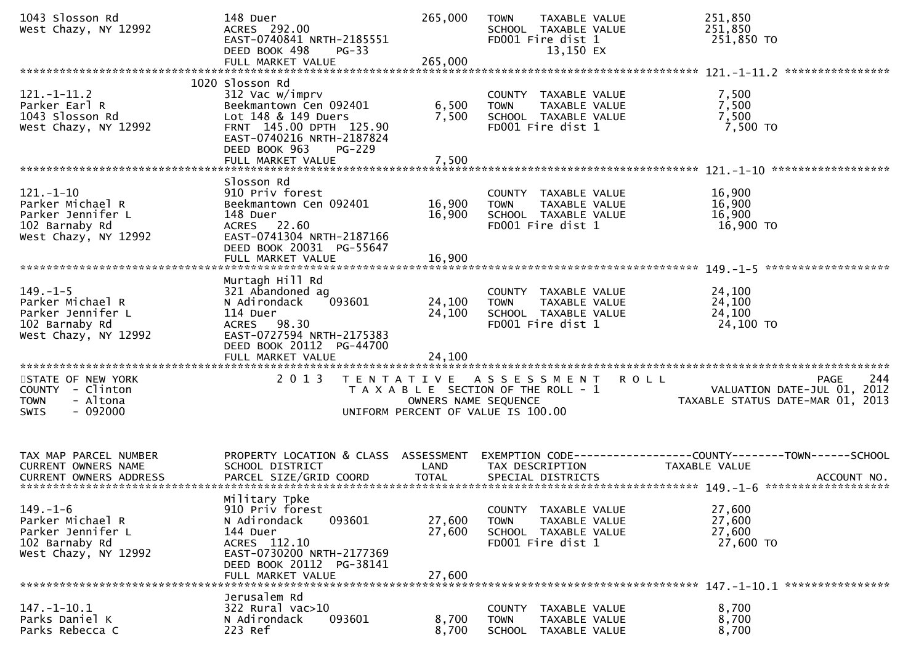| 1043 Slosson Rd<br>West Chazy, NY 12992                                                            | 148 Duer<br>ACRES 292.00<br>EAST-0740841 NRTH-2185551<br>DEED BOOK 498<br>$PG-33$<br>FULL MARKET VALUE                                                                        | 265,000<br>265,000         | <b>TOWN</b><br>TAXABLE VALUE<br>SCHOOL TAXABLE VALUE<br>FD001 Fire dist 1<br>13,150 EX                             | 251,850<br>251,850<br>251,850 TO                                                         |
|----------------------------------------------------------------------------------------------------|-------------------------------------------------------------------------------------------------------------------------------------------------------------------------------|----------------------------|--------------------------------------------------------------------------------------------------------------------|------------------------------------------------------------------------------------------|
| $121. - 1 - 11.2$<br>Parker Earl R<br>1043 Slosson Rd<br>West Chazy, NY 12992                      | 1020 Slosson Rd<br>312 Vac w/imprv<br>Beekmantown Cen 092401<br>Lot 148 & 149 Duers<br>FRNT 145.00 DPTH 125.90<br>EAST-0740216 NRTH-2187824<br>DEED BOOK 963<br><b>PG-229</b> | 6,500<br>7,500             | COUNTY TAXABLE VALUE<br><b>TOWN</b><br>TAXABLE VALUE<br>SCHOOL TAXABLE VALUE<br>FD001 Fire dist 1                  | 7,500<br>7,500<br>7,500<br>7,500 TO                                                      |
|                                                                                                    | FULL MARKET VALUE                                                                                                                                                             | 7,500                      |                                                                                                                    |                                                                                          |
| $121. - 1 - 10$<br>Parker Michael R<br>Parker Jennifer L<br>102 Barnaby Rd<br>West Chazy, NY 12992 | Slosson Rd<br>910 Priv forest<br>Beekmantown Cen 092401<br>148 Duer<br>ACRES 22.60<br>EAST-0741304 NRTH-2187166<br>DEED BOOK 20031 PG-55647<br>FULL MARKET VALUE              | 16,900<br>16,900<br>16,900 | COUNTY TAXABLE VALUE<br>TAXABLE VALUE<br><b>TOWN</b><br>SCHOOL TAXABLE VALUE<br>FD001 Fire dist 1                  | 16,900<br>16,900<br>16,900<br>16,900 TO                                                  |
|                                                                                                    | Murtagh Hill Rd                                                                                                                                                               |                            |                                                                                                                    |                                                                                          |
| $149. - 1 - 5$<br>Parker Michael R<br>Parker Jennifer L<br>102 Barnaby Rd<br>West Chazy, NY 12992  | 321 Abandoned ag<br>N Adirondack<br>093601<br>114 Duer<br>ACRES 98.30<br>EAST-0727594 NRTH-2175383<br>DEED BOOK 20112 PG-44700                                                | 24,100<br>24,100           | COUNTY TAXABLE VALUE<br>TAXABLE VALUE<br><b>TOWN</b><br>SCHOOL TAXABLE VALUE<br>FD001 Fire dist 1                  | 24,100<br>24,100<br>24,100<br>24,100 TO                                                  |
| ************************                                                                           | FULL MARKET VALUE<br>***********************                                                                                                                                  | 24,100                     |                                                                                                                    |                                                                                          |
| STATE OF NEW YORK<br>COUNTY - Clinton<br>- Altona<br><b>TOWN</b><br>$-092000$<br><b>SWIS</b>       | 2 0 1 3                                                                                                                                                                       | OWNERS NAME SEQUENCE       | TENTATIVE ASSESSMENT<br><b>ROLL</b><br>T A X A B L E SECTION OF THE ROLL - 1<br>UNIFORM PERCENT OF VALUE IS 100.00 | 244<br><b>PAGE</b><br>VALUATION DATE-JUL 01,<br>2012<br>TAXABLE STATUS DATE-MAR 01, 2013 |
| TAX MAP PARCEL NUMBER<br><b>CURRENT OWNERS NAME</b>                                                | PROPERTY LOCATION & CLASS ASSESSMENT<br>SCHOOL DISTRICT                                                                                                                       | LAND                       | TAX DESCRIPTION                                                                                                    | EXEMPTION CODE-----------------COUNTY-------TOWN------SCHOOL<br>TAXABLE VALUE            |
| $149. - 1 - 6$<br>Parker Michael R<br>Parker Jennifer L<br>102 Barnaby Rd<br>West Chazy, NY 12992  | Military Tpke<br>910 Priv forest<br>093601<br>N Adirondack<br>144 Duer<br>ACRES 112.10<br>EAST-0730200 NRTH-2177369<br>DEED BOOK 20112 PG-38141<br>FULL MARKET VALUE          | 27,600<br>27,600<br>27,600 | COUNTY TAXABLE VALUE<br><b>TOWN</b><br>TAXABLE VALUE<br>SCHOOL TAXABLE VALUE<br>FD001 Fire dist 1                  | 27,600<br>27,600<br>27,600<br>27,600 TO                                                  |
|                                                                                                    | Jerusalem Rd                                                                                                                                                                  |                            |                                                                                                                    |                                                                                          |
| $147. - 1 - 10.1$<br>Parks Daniel K<br>Parks Rebecca C                                             | 322 Rural vac>10<br>093601<br>N Adirondack<br>223 Ref                                                                                                                         | 8,700<br>8,700             | COUNTY TAXABLE VALUE<br>TAXABLE VALUE<br><b>TOWN</b><br>SCHOOL TAXABLE VALUE                                       | 8,700<br>8,700<br>8,700                                                                  |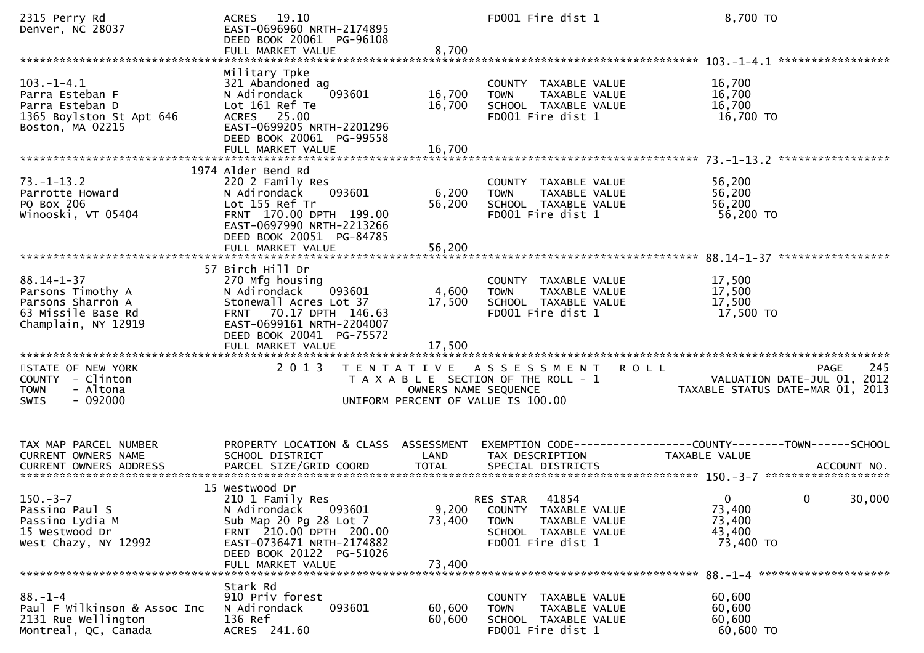| 2315 Perry Rd<br>Denver, NC 28037                                                                       | ACRES 19.10<br>EAST-0696960 NRTH-2174895<br>DEED BOOK 20061 PG-96108<br>FULL MARKET VALUE                                                                                                                 | 8,700                      | FD001 Fire dist 1                                                                                                      | 8,700 TO                                                                              |
|---------------------------------------------------------------------------------------------------------|-----------------------------------------------------------------------------------------------------------------------------------------------------------------------------------------------------------|----------------------------|------------------------------------------------------------------------------------------------------------------------|---------------------------------------------------------------------------------------|
| $103. -1 - 4.1$<br>Parra Esteban F<br>Parra Esteban D<br>1365 Boylston St Apt 646<br>Boston, MA 02215   | Military Tpke<br>321 Abandoned ag<br>093601<br>N Adirondack<br>Lot 161 Ref Te<br>ACRES 25.00<br>EAST-0699205 NRTH-2201296<br>DEED BOOK 20061 PG-99558<br>FULL MARKET VALUE                                | 16,700<br>16,700<br>16,700 | COUNTY TAXABLE VALUE<br>TAXABLE VALUE<br><b>TOWN</b><br>SCHOOL TAXABLE VALUE<br>FD001 Fire dist 1                      | 16,700<br>16,700<br>16,700<br>16,700 TO                                               |
| $73. - 1 - 13.2$<br>Parrotte Howard<br>PO Box 206<br>Winooski, VT 05404                                 | 1974 Alder Bend Rd<br>220 2 Family Res<br>093601<br>N Adirondack<br>Lot 155 Ref Tr<br>FRNT 170.00 DPTH 199.00<br>EAST-0697990 NRTH-2213266<br>DEED BOOK 20051 PG-84785<br>FULL MARKET VALUE               | 6,200<br>56,200<br>56,200  | COUNTY TAXABLE VALUE<br>TAXABLE VALUE<br><b>TOWN</b><br>SCHOOL TAXABLE VALUE<br>FD001 Fire dist 1                      | 56,200<br>56,200<br>56,200<br>56,200 TO                                               |
| $88.14 - 1 - 37$<br>Parsons Timothy A<br>Parsons Sharron A<br>63 Missile Base Rd<br>Champlain, NY 12919 | 57 Birch Hill Dr<br>270 Mfg housing<br>093601<br>N Adirondack<br>Stonewall Acres Lot 37<br>70.17 DPTH 146.63<br><b>FRNT</b><br>EAST-0699161 NRTH-2204007<br>DEED BOOK 20041 PG-75572<br>FULL MARKET VALUE | 4,600<br>17,500<br>17,500  | COUNTY TAXABLE VALUE<br>TAXABLE VALUE<br><b>TOWN</b><br>SCHOOL TAXABLE VALUE<br>FD001 Fire dist 1                      | 17,500<br>17,500<br>17,500<br>17,500 TO                                               |
| STATE OF NEW YORK<br>COUNTY - Clinton<br>- Altona<br><b>TOWN</b><br>$-092000$<br>SWIS                   | 2 0 1 3                                                                                                                                                                                                   | OWNERS NAME SEQUENCE       | TENTATIVE ASSESSMENT<br><b>ROLL</b><br>T A X A B L E SECTION OF THE ROLL - 1<br>UNIFORM PERCENT OF VALUE IS 100.00     | 245<br><b>PAGE</b><br>VALUATION DATE-JUL 01, 2012<br>TAXABLE STATUS DATE-MAR 01, 2013 |
| TAX MAP PARCEL NUMBER<br>CURRENT OWNERS NAME                                                            | PROPERTY LOCATION & CLASS ASSESSMENT<br>SCHOOL DISTRICT                                                                                                                                                   | LAND                       | TAX DESCRIPTION                                                                                                        | EXEMPTION CODE-----------------COUNTY-------TOWN------SCHOOL<br>TAXABLE VALUE         |
| $150.-3-7$<br>Passino Paul S<br>Passino Lydia M<br>15 Westwood Dr<br>West Chazy, NY 12992               | 15 Westwood Dr<br>210 1 Family Res<br>N Adirondack 093601<br>Sub Map 20 Pg 28 Lot 7<br>FRNT 210.00 DPTH 200.00<br>EAST-0736471 NRTH-2174882<br>DEED BOOK 20122 PG-51026<br>FULL MARKET VALUE              | 9,200<br>73,400<br>73,400  | 41854<br>RES STAR<br>COUNTY TAXABLE VALUE<br><b>TOWN</b><br>TAXABLE VALUE<br>SCHOOL TAXABLE VALUE<br>FD001 Fire dist 1 | 30,000<br>$\mathbf{0}$<br>$\mathbf{0}$<br>73,400<br>73,400<br>43,400<br>73,400 TO     |
| $88. - 1 - 4$<br>Paul F Wilkinson & Assoc Inc<br>2131 Rue Wellington<br>Montreal, QC, Canada            | Stark Rd<br>910 Priv forest<br>093601<br>N Adirondack<br>136 Ref<br>ACRES 241.60                                                                                                                          | 60,600<br>60,600           | COUNTY TAXABLE VALUE<br>TAXABLE VALUE<br><b>TOWN</b><br>SCHOOL TAXABLE VALUE<br>FD001 Fire dist 1                      | 60,600<br>60,600<br>60,600<br>60,600 TO                                               |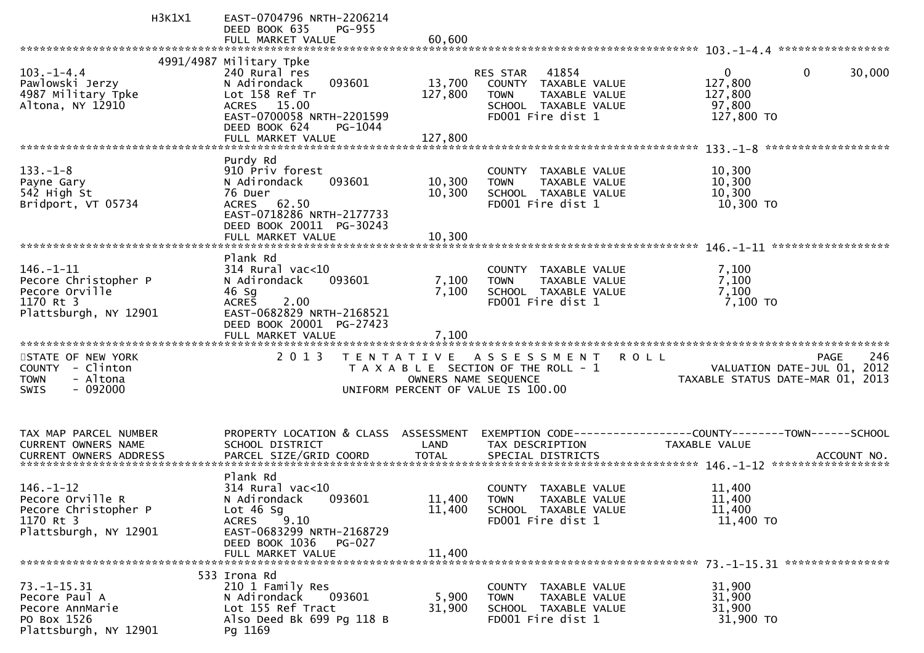| 4991/4987 Military Tpke<br>41854<br>$\mathbf{0}$<br>30,000<br>$103. - 1 - 4.4$<br>240 Rural res<br>RES STAR<br>0<br>127,800<br>Pawlowski Jerzy<br>093601<br>13,700<br>N Adirondack<br>COUNTY TAXABLE VALUE<br>127,800<br>4987 Military Tpke<br>Lot 158 Ref Tr<br>127,800<br><b>TOWN</b><br>TAXABLE VALUE<br>Altona, NY 12910<br>97,800<br>ACRES 15.00<br>SCHOOL TAXABLE VALUE<br>FD001 Fire dist 1<br>127,800 TO<br>EAST-0700058 NRTH-2201599<br>DEED BOOK 624<br>PG-1044<br>127,800<br>FULL MARKET VALUE<br>Purdy Rd<br>910 Priv forest<br>$133. - 1 - 8$<br>10,300<br>COUNTY TAXABLE VALUE<br>10,300<br>N Adirondack<br>093601<br>10,300<br>TAXABLE VALUE<br>Payne Gary<br><b>TOWN</b><br>542 High St<br>76 Duer<br>10,300<br>SCHOOL TAXABLE VALUE<br>10,300<br>FD001 Fire dist 1<br>10,300 TO<br>Bridport, VT 05734<br>ACRES 62.50<br>EAST-0718286 NRTH-2177733<br>DEED BOOK 20011 PG-30243<br>FULL MARKET VALUE<br>10.300<br>Plank Rd<br>$146. - 1 - 11$<br>$314$ Rural vac<10<br>7,100<br>COUNTY TAXABLE VALUE<br>Pecore Christopher P<br>7,100<br>N Adirondack<br>093601<br>7,100<br>TAXABLE VALUE<br><b>TOWN</b><br>7,100<br>7,100<br>Pecore Orville<br>46 Sg<br>SCHOOL TAXABLE VALUE<br>1170 Rt 3<br>FD001 Fire dist 1<br>7,100 TO<br>2.00<br><b>ACRES</b><br>Plattsburgh, NY 12901<br>EAST-0682829 NRTH-2168521<br>DEED BOOK 20001 PG-27423<br>7,100<br>FULL MARKET VALUE<br>2 0 1 3<br>246<br>STATE OF NEW YORK<br>T E N T A T I V E<br>A S S E S S M E N T<br><b>ROLL</b><br>PAGE<br>COUNTY - Clinton<br>T A X A B L E SECTION OF THE ROLL - 1<br>VALUATION DATE-JUL 01, 2012<br>- Altona<br><b>TOWN</b><br>OWNERS NAME SEQUENCE<br>TAXABLE STATUS DATE-MAR 01, 2013<br>$-092000$<br>UNIFORM PERCENT OF VALUE IS 100.00<br>SWIS<br>PROPERTY LOCATION & CLASS<br>TAX MAP PARCEL NUMBER<br>ASSESSMENT |
|----------------------------------------------------------------------------------------------------------------------------------------------------------------------------------------------------------------------------------------------------------------------------------------------------------------------------------------------------------------------------------------------------------------------------------------------------------------------------------------------------------------------------------------------------------------------------------------------------------------------------------------------------------------------------------------------------------------------------------------------------------------------------------------------------------------------------------------------------------------------------------------------------------------------------------------------------------------------------------------------------------------------------------------------------------------------------------------------------------------------------------------------------------------------------------------------------------------------------------------------------------------------------------------------------------------------------------------------------------------------------------------------------------------------------------------------------------------------------------------------------------------------------------------------------------------------------------------------------------------------------------------------------------------------------------------------------------------------------------------------------------------------------------------------------------------|
|                                                                                                                                                                                                                                                                                                                                                                                                                                                                                                                                                                                                                                                                                                                                                                                                                                                                                                                                                                                                                                                                                                                                                                                                                                                                                                                                                                                                                                                                                                                                                                                                                                                                                                                                                                                                                |
|                                                                                                                                                                                                                                                                                                                                                                                                                                                                                                                                                                                                                                                                                                                                                                                                                                                                                                                                                                                                                                                                                                                                                                                                                                                                                                                                                                                                                                                                                                                                                                                                                                                                                                                                                                                                                |
|                                                                                                                                                                                                                                                                                                                                                                                                                                                                                                                                                                                                                                                                                                                                                                                                                                                                                                                                                                                                                                                                                                                                                                                                                                                                                                                                                                                                                                                                                                                                                                                                                                                                                                                                                                                                                |
|                                                                                                                                                                                                                                                                                                                                                                                                                                                                                                                                                                                                                                                                                                                                                                                                                                                                                                                                                                                                                                                                                                                                                                                                                                                                                                                                                                                                                                                                                                                                                                                                                                                                                                                                                                                                                |
|                                                                                                                                                                                                                                                                                                                                                                                                                                                                                                                                                                                                                                                                                                                                                                                                                                                                                                                                                                                                                                                                                                                                                                                                                                                                                                                                                                                                                                                                                                                                                                                                                                                                                                                                                                                                                |
|                                                                                                                                                                                                                                                                                                                                                                                                                                                                                                                                                                                                                                                                                                                                                                                                                                                                                                                                                                                                                                                                                                                                                                                                                                                                                                                                                                                                                                                                                                                                                                                                                                                                                                                                                                                                                |
|                                                                                                                                                                                                                                                                                                                                                                                                                                                                                                                                                                                                                                                                                                                                                                                                                                                                                                                                                                                                                                                                                                                                                                                                                                                                                                                                                                                                                                                                                                                                                                                                                                                                                                                                                                                                                |
|                                                                                                                                                                                                                                                                                                                                                                                                                                                                                                                                                                                                                                                                                                                                                                                                                                                                                                                                                                                                                                                                                                                                                                                                                                                                                                                                                                                                                                                                                                                                                                                                                                                                                                                                                                                                                |
|                                                                                                                                                                                                                                                                                                                                                                                                                                                                                                                                                                                                                                                                                                                                                                                                                                                                                                                                                                                                                                                                                                                                                                                                                                                                                                                                                                                                                                                                                                                                                                                                                                                                                                                                                                                                                |
|                                                                                                                                                                                                                                                                                                                                                                                                                                                                                                                                                                                                                                                                                                                                                                                                                                                                                                                                                                                                                                                                                                                                                                                                                                                                                                                                                                                                                                                                                                                                                                                                                                                                                                                                                                                                                |
|                                                                                                                                                                                                                                                                                                                                                                                                                                                                                                                                                                                                                                                                                                                                                                                                                                                                                                                                                                                                                                                                                                                                                                                                                                                                                                                                                                                                                                                                                                                                                                                                                                                                                                                                                                                                                |
|                                                                                                                                                                                                                                                                                                                                                                                                                                                                                                                                                                                                                                                                                                                                                                                                                                                                                                                                                                                                                                                                                                                                                                                                                                                                                                                                                                                                                                                                                                                                                                                                                                                                                                                                                                                                                |
|                                                                                                                                                                                                                                                                                                                                                                                                                                                                                                                                                                                                                                                                                                                                                                                                                                                                                                                                                                                                                                                                                                                                                                                                                                                                                                                                                                                                                                                                                                                                                                                                                                                                                                                                                                                                                |
|                                                                                                                                                                                                                                                                                                                                                                                                                                                                                                                                                                                                                                                                                                                                                                                                                                                                                                                                                                                                                                                                                                                                                                                                                                                                                                                                                                                                                                                                                                                                                                                                                                                                                                                                                                                                                |
|                                                                                                                                                                                                                                                                                                                                                                                                                                                                                                                                                                                                                                                                                                                                                                                                                                                                                                                                                                                                                                                                                                                                                                                                                                                                                                                                                                                                                                                                                                                                                                                                                                                                                                                                                                                                                |
|                                                                                                                                                                                                                                                                                                                                                                                                                                                                                                                                                                                                                                                                                                                                                                                                                                                                                                                                                                                                                                                                                                                                                                                                                                                                                                                                                                                                                                                                                                                                                                                                                                                                                                                                                                                                                |
|                                                                                                                                                                                                                                                                                                                                                                                                                                                                                                                                                                                                                                                                                                                                                                                                                                                                                                                                                                                                                                                                                                                                                                                                                                                                                                                                                                                                                                                                                                                                                                                                                                                                                                                                                                                                                |
|                                                                                                                                                                                                                                                                                                                                                                                                                                                                                                                                                                                                                                                                                                                                                                                                                                                                                                                                                                                                                                                                                                                                                                                                                                                                                                                                                                                                                                                                                                                                                                                                                                                                                                                                                                                                                |
|                                                                                                                                                                                                                                                                                                                                                                                                                                                                                                                                                                                                                                                                                                                                                                                                                                                                                                                                                                                                                                                                                                                                                                                                                                                                                                                                                                                                                                                                                                                                                                                                                                                                                                                                                                                                                |
|                                                                                                                                                                                                                                                                                                                                                                                                                                                                                                                                                                                                                                                                                                                                                                                                                                                                                                                                                                                                                                                                                                                                                                                                                                                                                                                                                                                                                                                                                                                                                                                                                                                                                                                                                                                                                |
|                                                                                                                                                                                                                                                                                                                                                                                                                                                                                                                                                                                                                                                                                                                                                                                                                                                                                                                                                                                                                                                                                                                                                                                                                                                                                                                                                                                                                                                                                                                                                                                                                                                                                                                                                                                                                |
|                                                                                                                                                                                                                                                                                                                                                                                                                                                                                                                                                                                                                                                                                                                                                                                                                                                                                                                                                                                                                                                                                                                                                                                                                                                                                                                                                                                                                                                                                                                                                                                                                                                                                                                                                                                                                |
|                                                                                                                                                                                                                                                                                                                                                                                                                                                                                                                                                                                                                                                                                                                                                                                                                                                                                                                                                                                                                                                                                                                                                                                                                                                                                                                                                                                                                                                                                                                                                                                                                                                                                                                                                                                                                |
|                                                                                                                                                                                                                                                                                                                                                                                                                                                                                                                                                                                                                                                                                                                                                                                                                                                                                                                                                                                                                                                                                                                                                                                                                                                                                                                                                                                                                                                                                                                                                                                                                                                                                                                                                                                                                |
|                                                                                                                                                                                                                                                                                                                                                                                                                                                                                                                                                                                                                                                                                                                                                                                                                                                                                                                                                                                                                                                                                                                                                                                                                                                                                                                                                                                                                                                                                                                                                                                                                                                                                                                                                                                                                |
|                                                                                                                                                                                                                                                                                                                                                                                                                                                                                                                                                                                                                                                                                                                                                                                                                                                                                                                                                                                                                                                                                                                                                                                                                                                                                                                                                                                                                                                                                                                                                                                                                                                                                                                                                                                                                |
|                                                                                                                                                                                                                                                                                                                                                                                                                                                                                                                                                                                                                                                                                                                                                                                                                                                                                                                                                                                                                                                                                                                                                                                                                                                                                                                                                                                                                                                                                                                                                                                                                                                                                                                                                                                                                |
|                                                                                                                                                                                                                                                                                                                                                                                                                                                                                                                                                                                                                                                                                                                                                                                                                                                                                                                                                                                                                                                                                                                                                                                                                                                                                                                                                                                                                                                                                                                                                                                                                                                                                                                                                                                                                |
|                                                                                                                                                                                                                                                                                                                                                                                                                                                                                                                                                                                                                                                                                                                                                                                                                                                                                                                                                                                                                                                                                                                                                                                                                                                                                                                                                                                                                                                                                                                                                                                                                                                                                                                                                                                                                |
|                                                                                                                                                                                                                                                                                                                                                                                                                                                                                                                                                                                                                                                                                                                                                                                                                                                                                                                                                                                                                                                                                                                                                                                                                                                                                                                                                                                                                                                                                                                                                                                                                                                                                                                                                                                                                |
|                                                                                                                                                                                                                                                                                                                                                                                                                                                                                                                                                                                                                                                                                                                                                                                                                                                                                                                                                                                                                                                                                                                                                                                                                                                                                                                                                                                                                                                                                                                                                                                                                                                                                                                                                                                                                |
| CURRENT OWNERS NAME<br>SCHOOL DISTRICT<br>LAND<br>TAX DESCRIPTION<br><b>TAXABLE VALUE</b>                                                                                                                                                                                                                                                                                                                                                                                                                                                                                                                                                                                                                                                                                                                                                                                                                                                                                                                                                                                                                                                                                                                                                                                                                                                                                                                                                                                                                                                                                                                                                                                                                                                                                                                      |
| PARCEL SIZE/GRID COORD<br><b>TOTAL</b><br><b>CURRENT OWNERS ADDRESS</b><br>SPECIAL DISTRICTS<br>ACCOUNT NO.                                                                                                                                                                                                                                                                                                                                                                                                                                                                                                                                                                                                                                                                                                                                                                                                                                                                                                                                                                                                                                                                                                                                                                                                                                                                                                                                                                                                                                                                                                                                                                                                                                                                                                    |
|                                                                                                                                                                                                                                                                                                                                                                                                                                                                                                                                                                                                                                                                                                                                                                                                                                                                                                                                                                                                                                                                                                                                                                                                                                                                                                                                                                                                                                                                                                                                                                                                                                                                                                                                                                                                                |
| Plank Rd                                                                                                                                                                                                                                                                                                                                                                                                                                                                                                                                                                                                                                                                                                                                                                                                                                                                                                                                                                                                                                                                                                                                                                                                                                                                                                                                                                                                                                                                                                                                                                                                                                                                                                                                                                                                       |
| $146. - 1 - 12$<br>$314$ Rural vac<10<br>COUNTY TAXABLE VALUE<br>11,400<br>11,400<br>N Adirondack                                                                                                                                                                                                                                                                                                                                                                                                                                                                                                                                                                                                                                                                                                                                                                                                                                                                                                                                                                                                                                                                                                                                                                                                                                                                                                                                                                                                                                                                                                                                                                                                                                                                                                              |
| Pecore Orville R<br>093601<br>11,400<br><b>TOWN</b><br>TAXABLE VALUE<br>Pecore Christopher P<br>Lot $46$ Sg<br>11,400<br>11,400<br>SCHOOL TAXABLE VALUE                                                                                                                                                                                                                                                                                                                                                                                                                                                                                                                                                                                                                                                                                                                                                                                                                                                                                                                                                                                                                                                                                                                                                                                                                                                                                                                                                                                                                                                                                                                                                                                                                                                        |
| $^{\circ}$ 9.10<br>1170 Rt 3<br>FD001 Fire dist 1<br><b>ACRES</b><br>11,400 TO                                                                                                                                                                                                                                                                                                                                                                                                                                                                                                                                                                                                                                                                                                                                                                                                                                                                                                                                                                                                                                                                                                                                                                                                                                                                                                                                                                                                                                                                                                                                                                                                                                                                                                                                 |
|                                                                                                                                                                                                                                                                                                                                                                                                                                                                                                                                                                                                                                                                                                                                                                                                                                                                                                                                                                                                                                                                                                                                                                                                                                                                                                                                                                                                                                                                                                                                                                                                                                                                                                                                                                                                                |
|                                                                                                                                                                                                                                                                                                                                                                                                                                                                                                                                                                                                                                                                                                                                                                                                                                                                                                                                                                                                                                                                                                                                                                                                                                                                                                                                                                                                                                                                                                                                                                                                                                                                                                                                                                                                                |
| Plattsburgh, NY 12901<br>EAST-0683299 NRTH-2168729<br>DEED BOOK 1036<br>PG-027                                                                                                                                                                                                                                                                                                                                                                                                                                                                                                                                                                                                                                                                                                                                                                                                                                                                                                                                                                                                                                                                                                                                                                                                                                                                                                                                                                                                                                                                                                                                                                                                                                                                                                                                 |
| FULL MARKET VALUE<br>11,400                                                                                                                                                                                                                                                                                                                                                                                                                                                                                                                                                                                                                                                                                                                                                                                                                                                                                                                                                                                                                                                                                                                                                                                                                                                                                                                                                                                                                                                                                                                                                                                                                                                                                                                                                                                    |
|                                                                                                                                                                                                                                                                                                                                                                                                                                                                                                                                                                                                                                                                                                                                                                                                                                                                                                                                                                                                                                                                                                                                                                                                                                                                                                                                                                                                                                                                                                                                                                                                                                                                                                                                                                                                                |
| 533 Irona Rd                                                                                                                                                                                                                                                                                                                                                                                                                                                                                                                                                                                                                                                                                                                                                                                                                                                                                                                                                                                                                                                                                                                                                                                                                                                                                                                                                                                                                                                                                                                                                                                                                                                                                                                                                                                                   |
| 73. –1–15.31<br>210 1 Family Res<br>31,900<br>COUNTY TAXABLE VALUE                                                                                                                                                                                                                                                                                                                                                                                                                                                                                                                                                                                                                                                                                                                                                                                                                                                                                                                                                                                                                                                                                                                                                                                                                                                                                                                                                                                                                                                                                                                                                                                                                                                                                                                                             |
| 093601<br>5,900<br>Pecore Paul A<br>N Adirondack<br>TAXABLE VALUE<br>31,900<br><b>TOWN</b>                                                                                                                                                                                                                                                                                                                                                                                                                                                                                                                                                                                                                                                                                                                                                                                                                                                                                                                                                                                                                                                                                                                                                                                                                                                                                                                                                                                                                                                                                                                                                                                                                                                                                                                     |
| 31,900<br>Lot 155 Ref Tract<br>31,900<br>SCHOOL TAXABLE VALUE<br>Pecore AnnMarie<br>PO Box 1526<br>Also Deed Bk 699 Pg 118 B<br>FD001 Fire dist 1<br>31,900 TO                                                                                                                                                                                                                                                                                                                                                                                                                                                                                                                                                                                                                                                                                                                                                                                                                                                                                                                                                                                                                                                                                                                                                                                                                                                                                                                                                                                                                                                                                                                                                                                                                                                 |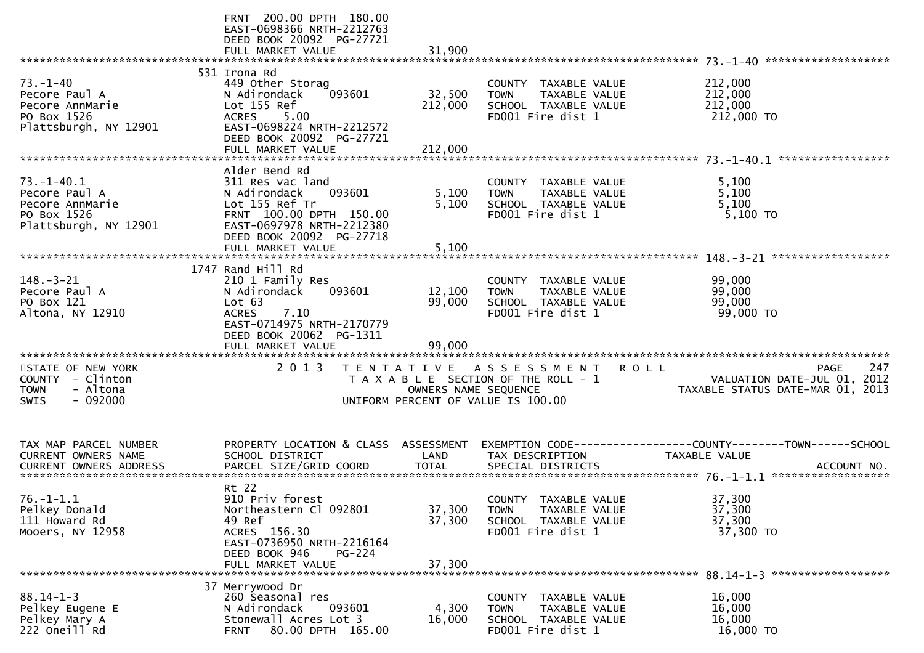|                                                                                              | FRNT 200.00 DPTH 180.00<br>EAST-0698366 NRTH-2212763<br>DEED BOOK 20092 PG-27721<br>FULL MARKET VALUE                                                                                  | 31,900                       |                                                                                                                |                                                                                                     |
|----------------------------------------------------------------------------------------------|----------------------------------------------------------------------------------------------------------------------------------------------------------------------------------------|------------------------------|----------------------------------------------------------------------------------------------------------------|-----------------------------------------------------------------------------------------------------|
| $73. - 1 - 40$<br>Pecore Paul A<br>Pecore AnnMarie<br>PO Box 1526<br>Plattsburgh, NY 12901   | 531 Irona Rd<br>449 Other Storag<br>093601<br>N Adirondack<br>Lot 155 Ref<br><b>ACRES</b><br>5.00<br>EAST-0698224 NRTH-2212572<br>DEED BOOK 20092 PG-27721<br>FULL MARKET VALUE        | 32,500<br>212,000<br>212,000 | COUNTY TAXABLE VALUE<br>TAXABLE VALUE<br><b>TOWN</b><br>SCHOOL TAXABLE VALUE<br>FD001 Fire dist 1              | 212,000<br>212,000<br>212,000<br>212,000 TO                                                         |
| $73. - 1 - 40.1$<br>Pecore Paul A<br>Pecore AnnMarie<br>PO Box 1526<br>Plattsburgh, NY 12901 | Alder Bend Rd<br>311 Res vac land<br>N Adirondack<br>093601<br>Lot 155 Ref Tr<br>FRNT 100.00 DPTH 150.00<br>EAST-0697978 NRTH-2212380<br>DEED BOOK 20092 PG-27718<br>FULL MARKET VALUE | 5,100<br>5,100<br>5,100      | COUNTY TAXABLE VALUE<br>TAXABLE VALUE<br><b>TOWN</b><br>SCHOOL TAXABLE VALUE<br>FD001 Fire dist 1              | 5,100<br>5,100<br>5,100<br>5,100 TO                                                                 |
| $148. - 3 - 21$<br>Pecore Paul A<br>PO Box 121<br>Altona, NY 12910                           | 1747 Rand Hill Rd<br>210 1 Family Res<br>093601<br>N Adirondack<br>Lot 63<br>7.10<br><b>ACRES</b><br>EAST-0714975 NRTH-2170779<br>DEED BOOK 20062 PG-1311<br>FULL MARKET VALUE         | 12,100<br>99,000<br>99,000   | COUNTY TAXABLE VALUE<br>TAXABLE VALUE<br><b>TOWN</b><br>SCHOOL TAXABLE VALUE<br>FD001 Fire dist 1              | 99,000<br>99,000<br>99,000<br>99,000 TO                                                             |
| STATE OF NEW YORK<br>COUNTY - Clinton<br>- Altona<br><b>TOWN</b><br>$-092000$<br><b>SWIS</b> | 2 0 1 3                                                                                                                                                                                | OWNERS NAME SEQUENCE         | TENTATIVE ASSESSMENT<br>R O L L<br>T A X A B L E SECTION OF THE ROLL - 1<br>UNIFORM PERCENT OF VALUE IS 100.00 | 247<br>PAGE<br>VALUATION DATE-JUL 01, 2012<br>TAXABLE STATUS DATE-MAR 01, 2013                      |
| TAX MAP PARCEL NUMBER<br>CURRENT OWNERS NAME<br>CURRENT OWNERS ADDRESS                       | PROPERTY LOCATION & CLASS ASSESSMENT<br>SCHOOL DISTRICT<br>PARCEL SIZE/GRID COORD                                                                                                      | LAND<br><b>TOTAL</b>         | TAX DESCRIPTION<br>SPECIAL DISTRICTS                                                                           | EXEMPTION CODE-----------------COUNTY-------TOWN------SCHOOL<br><b>TAXABLE VALUE</b><br>ACCOUNT NO. |
| $76. - 1 - 1.1$<br>Pelkey Donald<br>111 Howard Rd<br>Mooers, NY 12958                        | Rt 22<br>910 Priv forest<br>Northeastern Cl 092801<br>49 Ref<br>ACRES 156.30<br>EAST-0736950 NRTH-2216164<br>DEED BOOK 946<br><b>PG-224</b><br>FULL MARKET VALUE                       | 37,300<br>37,300<br>37,300   | COUNTY TAXABLE VALUE<br><b>TOWN</b><br>TAXABLE VALUE<br>SCHOOL TAXABLE VALUE<br>FD001 Fire dist 1              | 37,300<br>37,300<br>37,300<br>37,300 TO                                                             |
| $88.14 - 1 - 3$<br>Pelkey Eugene E<br>Pelkey Mary A<br>222 Oneill Rd                         | 37 Merrywood Dr<br>260 Seasonal res<br>093601<br>N Adirondack<br>Stonewall Acres Lot 3<br>80.00 DPTH 165.00<br><b>FRNT</b>                                                             | 4,300<br>16,000              | COUNTY TAXABLE VALUE<br>TAXABLE VALUE<br><b>TOWN</b><br>SCHOOL TAXABLE VALUE<br>FD001 Fire dist 1              | 16,000<br>16,000<br>16,000<br>16,000 TO                                                             |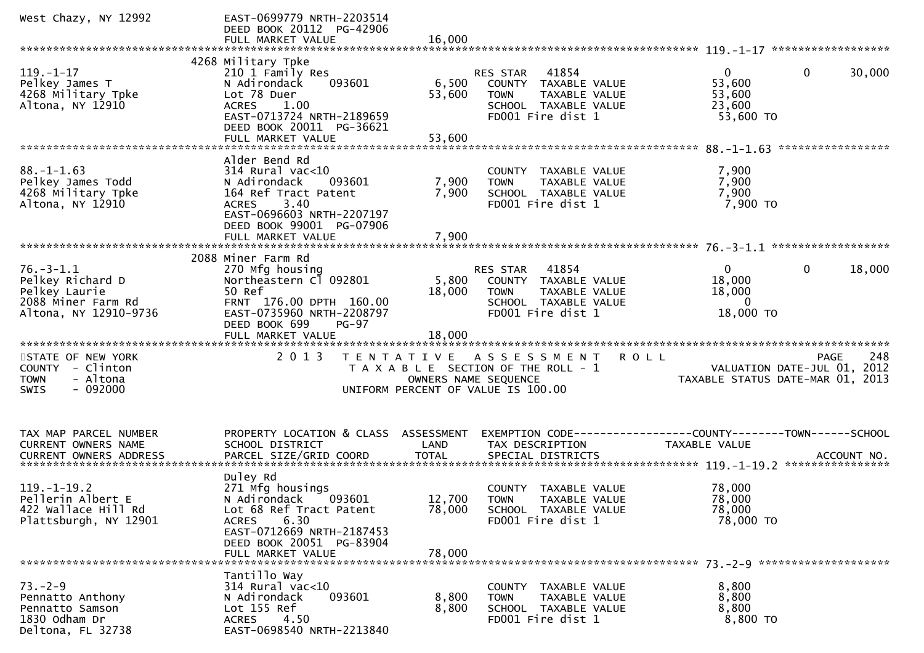| West Chazy, NY 12992                                                                                | EAST-0699779 NRTH-2203514<br>DEED BOOK 20112 PG-42906<br>FULL MARKET VALUE                                                                                                                  | 16.000                     |                                                                                                                        |                                                             |                                            |
|-----------------------------------------------------------------------------------------------------|---------------------------------------------------------------------------------------------------------------------------------------------------------------------------------------------|----------------------------|------------------------------------------------------------------------------------------------------------------------|-------------------------------------------------------------|--------------------------------------------|
|                                                                                                     |                                                                                                                                                                                             |                            |                                                                                                                        |                                                             |                                            |
| $119. - 1 - 17$<br>Pelkey James T<br>4268 Military Tpke<br>Altona, NY 12910                         | 4268 Military Tpke<br>210 1 Family Res<br>N Adirondack<br>093601<br>Lot 78 Duer<br><b>ACRES</b><br>1.00<br>EAST-0713724 NRTH-2189659<br>DEED BOOK 20011 PG-36621                            | 6,500<br>53,600            | 41854<br>RES STAR<br>COUNTY TAXABLE VALUE<br>TAXABLE VALUE<br><b>TOWN</b><br>SCHOOL TAXABLE VALUE<br>FD001 Fire dist 1 | $\overline{0}$<br>53,600<br>53,600<br>23,600<br>53,600 TO   | $\mathbf{0}$<br>30,000                     |
|                                                                                                     | FULL MARKET VALUE                                                                                                                                                                           | 53,600                     |                                                                                                                        |                                                             |                                            |
| $88. - 1 - 1.63$<br>Pelkey James Todd<br>4268 Military Tpke<br>Altona, NY 12910                     | Alder Bend Rd<br>$314$ Rural vac<10<br>N Adirondack<br>093601<br>164 Ref Tract Patent<br>3.40<br><b>ACRES</b><br>EAST-0696603 NRTH-2207197<br>DEED BOOK 99001 PG-07906<br>FULL MARKET VALUE | 7,900<br>7,900<br>7,900    | COUNTY TAXABLE VALUE<br>TAXABLE VALUE<br><b>TOWN</b><br>SCHOOL TAXABLE VALUE<br>FD001 Fire dist 1                      | 7,900<br>7,900<br>7,900<br>7,900 TO                         |                                            |
|                                                                                                     |                                                                                                                                                                                             |                            |                                                                                                                        |                                                             |                                            |
| $76. - 3 - 1.1$<br>Pelkey Richard D<br>Pelkey Laurie<br>2088 Miner Farm Rd<br>Altona, NY 12910-9736 | 2088 Miner Farm Rd<br>270 Mfg housing<br>Northeastern Cl 092801<br>50 Ref<br>FRNT 176.00 DPTH 160.00<br>EAST-0735960 NRTH-2208797<br>DEED BOOK 699<br>$PG-97$                               | 5,800<br>18,000            | 41854<br>RES STAR<br>COUNTY TAXABLE VALUE<br><b>TOWN</b><br>TAXABLE VALUE<br>SCHOOL TAXABLE VALUE<br>FD001 Fire dist 1 | $\overline{0}$<br>18,000<br>18,000<br>$\Omega$<br>18,000 TO | 18,000<br>$\mathbf{0}$                     |
|                                                                                                     |                                                                                                                                                                                             |                            |                                                                                                                        |                                                             |                                            |
| STATE OF NEW YORK<br>COUNTY - Clinton<br>- Altona<br><b>TOWN</b><br>$-092000$<br><b>SWIS</b>        | 2 0 1 3                                                                                                                                                                                     | OWNERS NAME SEQUENCE       | TENTATIVE ASSESSMENT<br>T A X A B L E SECTION OF THE ROLL - 1<br>UNIFORM PERCENT OF VALUE IS 100.00                    | <b>ROLL</b><br>TAXABLE STATUS DATE-MAR 01, 2013             | 248<br>PAGE<br>VALUATION DATE-JUL 01, 2012 |
| TAX MAP PARCEL NUMBER<br><b>CURRENT OWNERS NAME</b>                                                 | PROPERTY LOCATION & CLASS ASSESSMENT<br>SCHOOL DISTRICT                                                                                                                                     | LAND                       | TAX DESCRIPTION                                                                                                        | <b>TAXABLE VALUE</b>                                        |                                            |
| $119. - 1 - 19.2$<br>Pellerin Albert E<br>422 Wallace Hill Rd<br>Plattsburgh, NY 12901              | Duley Rd<br>271 Mfg housings<br>093601<br>N Adirondack<br>Lot 68 Ref Tract Patent<br>6.30<br><b>ACRES</b><br>EAST-0712669 NRTH-2187453<br>DEED BOOK 20051 PG-83904<br>FULL MARKET VALUE     | 12,700<br>78,000<br>78,000 | COUNTY TAXABLE VALUE<br><b>TOWN</b><br>TAXABLE VALUE<br>SCHOOL TAXABLE VALUE<br>FD001 Fire dist 1                      | 78,000<br>78,000<br>78,000<br>78,000 TO                     |                                            |
| $73. - 2 - 9$<br>Pennatto Anthony<br>Pennatto Samson<br>1830 Odham Dr<br>Deltona, FL 32738          | Tantillo Way<br>$314$ Rural vac<10<br>093601<br>N Adirondack<br>Lot 155 Ref<br>4.50<br><b>ACRES</b><br>EAST-0698540 NRTH-2213840                                                            | 8,800<br>8,800             | COUNTY TAXABLE VALUE<br>TAXABLE VALUE<br><b>TOWN</b><br>SCHOOL TAXABLE VALUE<br>FD001 Fire dist 1                      | 8,800<br>8,800<br>8,800<br>8,800 TO                         |                                            |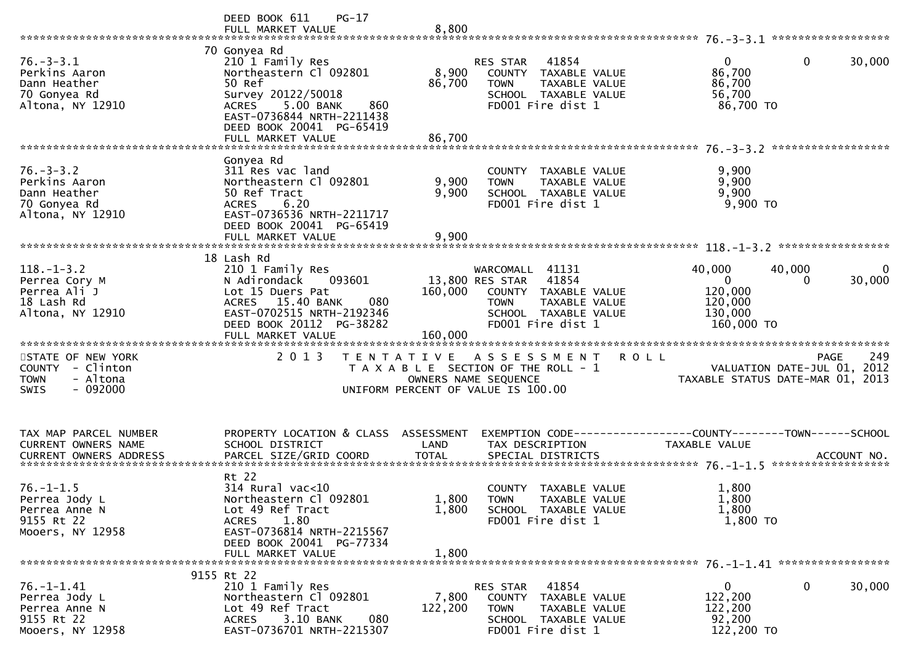|                                                                                              | DEED BOOK 611<br>$PG-17$<br>FULL MARKET VALUE                                                                                                                                                                | 8,800                              |                                                                                                                                                  |                                                                   |                                                                                   |
|----------------------------------------------------------------------------------------------|--------------------------------------------------------------------------------------------------------------------------------------------------------------------------------------------------------------|------------------------------------|--------------------------------------------------------------------------------------------------------------------------------------------------|-------------------------------------------------------------------|-----------------------------------------------------------------------------------|
| $76. - 3 - 3.1$<br>Perkins Aaron<br>Dann Heather<br>70 Gonyea Rd<br>Altona, NY 12910         | 70 Gonyea Rd<br>210 1 Family Res<br>Northeastern Cl 092801<br>50 Ref<br>Survey 20122/50018<br>5.00 BANK<br><b>ACRES</b><br>860<br>EAST-0736844 NRTH-2211438<br>DEED BOOK 20041 PG-65419<br>FULL MARKET VALUE | 8,900<br>86,700<br>86,700          | 41854<br><b>RES STAR</b><br>COUNTY TAXABLE VALUE<br><b>TOWN</b><br>TAXABLE VALUE<br>SCHOOL TAXABLE VALUE<br>FD001 Fire dist 1                    | $\Omega$<br>86,700<br>86,700<br>56,700<br>86,700 TO               | 0<br>30,000                                                                       |
| $76. - 3 - 3.2$<br>Perkins Aaron<br>Dann Heather<br>70 Gonyea Rd<br>Altona, NY 12910         | Gonyea Rd<br>311 Res vac land<br>Northeastern Cl 092801<br>50 Ref Tract<br>6.20<br><b>ACRES</b><br>EAST-0736536 NRTH-2211717<br>DEED BOOK 20041 PG-65419<br>FULL MARKET VALUE                                | 9,900<br>9,900<br>9,900            | COUNTY TAXABLE VALUE<br><b>TOWN</b><br>TAXABLE VALUE<br>SCHOOL TAXABLE VALUE<br>FD001 Fire dist 1                                                | 9,900<br>9,900<br>9,900<br>9,900 TO                               |                                                                                   |
| $118. - 1 - 3.2$<br>Perrea Cory M<br>Perrea Ali J<br>18 Lash Rd<br>Altona, NY 12910          | 18 Lash Rd<br>210 1 Family Res<br>N Adirondack<br>093601<br>Lot 15 Duers Pat<br>15.40 BANK<br><b>ACRES</b><br>080<br>EAST-0702515 NRTH-2192346<br>DEED BOOK 20112 PG-38282                                   | 160,000                            | WARCOMALL 41131<br>13,800 RES STAR<br>41854<br>COUNTY TAXABLE VALUE<br>TAXABLE VALUE<br><b>TOWN</b><br>SCHOOL TAXABLE VALUE<br>FD001 Fire dist 1 | 40,000<br>$\Omega$<br>120,000<br>120,000<br>130,000<br>160,000 TO | 40,000<br>30,000<br>$\Omega$                                                      |
| STATE OF NEW YORK<br>COUNTY - Clinton<br>- Altona<br><b>TOWN</b><br>$-092000$<br><b>SWIS</b> | 2 0 1 3                                                                                                                                                                                                      | T E N T A T I V E                  | A S S E S S M E N T<br>T A X A B L E SECTION OF THE ROLL - 1<br>OWNERS NAME SEQUENCE<br>UNIFORM PERCENT OF VALUE IS 100.00                       | <b>ROLL</b>                                                       | 249<br>PAGE<br>VALUATION DATE-JUL 01, 2012<br>TAXABLE STATUS DATE-MAR 01,<br>2013 |
| TAX MAP PARCEL NUMBER<br><b>CURRENT OWNERS NAME</b><br><b>CURRENT OWNERS ADDRESS</b>         | PROPERTY LOCATION & CLASS<br>SCHOOL DISTRICT<br>PARCEL SIZE/GRID COORD                                                                                                                                       | ASSESSMENT<br>LAND<br><b>TOTAL</b> | TAX DESCRIPTION<br>SPECIAL DISTRICTS                                                                                                             | <b>TAXABLE VALUE</b>                                              | ACCOUNT NO.                                                                       |
| $76. - 1 - 1.5$<br>Perrea Jody L<br>Perrea Anne N<br>9155 Rt 22<br>Mooers, NY 12958          | Rt 22<br>314 Rural vac<10<br>Northeastern Cl 092801<br>Lot 49 Ref Tract<br>1.80<br><b>ACRES</b><br>EAST-0736814 NRTH-2215567<br>DEED BOOK 20041 PG-77334<br>FULL MARKET VALUE                                | 1,800<br>1,800<br>1,800            | <b>COUNTY</b><br>TAXABLE VALUE<br><b>TOWN</b><br>TAXABLE VALUE<br>SCHOOL TAXABLE VALUE<br>FD001 Fire dist 1                                      | 1,800<br>1,800<br>1,800<br>1,800 TO                               |                                                                                   |
| $76. - 1 - 1.41$<br>Perrea Jody L<br>Perrea Anne N<br>9155 Rt 22<br>Mooers, NY 12958         | 9155 Rt 22<br>210 1 Family Res<br>Northeastern Cl 092801<br>Lot 49 Ref Tract<br>3.10 BANK<br>080<br>ACRES<br>EAST-0736701 NRTH-2215307                                                                       | 7,800<br>122,200                   | 41854<br>RES STAR<br>COUNTY TAXABLE VALUE<br><b>TOWN</b><br>TAXABLE VALUE<br>SCHOOL TAXABLE VALUE<br>FD001 Fire dist 1                           | 0<br>122,200<br>122,200<br>92,200<br>122,200 TO                   | 0<br>30,000                                                                       |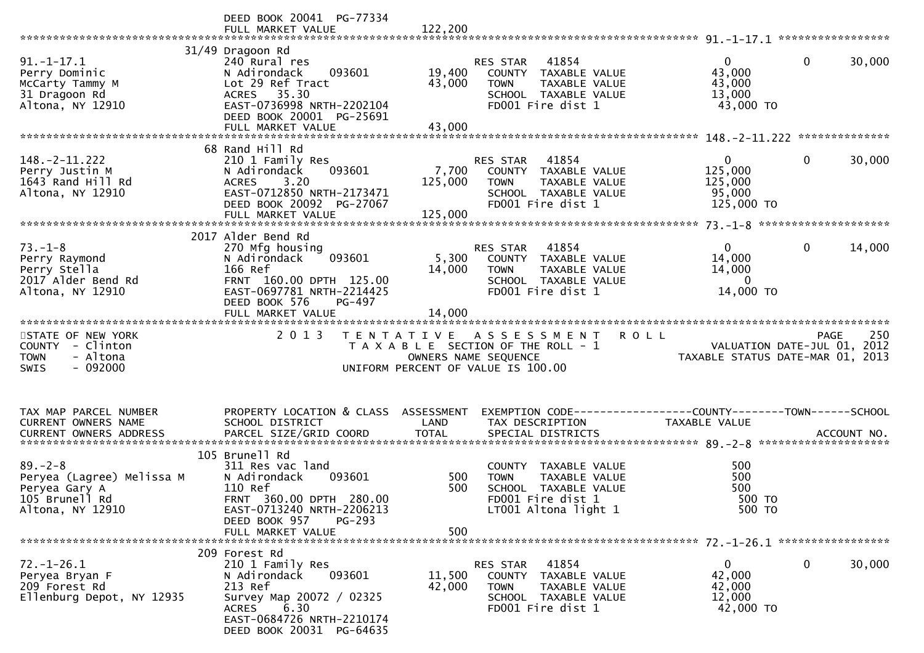|                                                                                                   | DEED BOOK 20041 PG-77334<br>FULL MARKET VALUE                                                                                                                                | 122,200                     |                                                                                                                               |                                                                                               |
|---------------------------------------------------------------------------------------------------|------------------------------------------------------------------------------------------------------------------------------------------------------------------------------|-----------------------------|-------------------------------------------------------------------------------------------------------------------------------|-----------------------------------------------------------------------------------------------|
| $91.-1-17.1$<br>Perry Dominic<br>McCarty Tammy M<br>31 Dragoon Rd<br>Altona, NY 12910             | 31/49 Dragoon Rd<br>240 Rural res<br>N Adirondack<br>093601<br>Lot 29 Ref Tract<br>ACRES 35.30<br>EAST-0736998 NRTH-2202104<br>DEED BOOK 20001 PG-25691<br>FULL MARKET VALUE | 19,400<br>43,000<br>43,000  | 41854<br><b>RES STAR</b><br>COUNTY TAXABLE VALUE<br><b>TOWN</b><br>TAXABLE VALUE<br>SCHOOL TAXABLE VALUE<br>FD001 Fire dist 1 | $\Omega$<br>$\mathbf{0}$<br>30,000<br>43,000<br>43,000<br>13,000<br>43,000 TO                 |
|                                                                                                   | 68 Rand Hill Rd                                                                                                                                                              |                             |                                                                                                                               |                                                                                               |
| $148. - 2 - 11.222$<br>Perry Justin M<br>1643 Rand Hill Rd<br>Altona, NY 12910                    | 210 1 Family Res<br>093601<br>N Adirondack<br>3.20<br><b>ACRES</b><br>EAST-0712850 NRTH-2173471<br>DEED BOOK 20092 PG-27067<br>FULL MARKET VALUE                             | 7,700<br>125,000<br>125,000 | RES STAR<br>41854<br>COUNTY TAXABLE VALUE<br><b>TOWN</b><br>TAXABLE VALUE<br>SCHOOL TAXABLE VALUE<br>FD001 Fire dist 1        | 30,000<br>$\overline{0}$<br>$\overline{0}$<br>125,000<br>125,000<br>95,000<br>125,000 TO      |
|                                                                                                   | 2017 Alder Bend Rd                                                                                                                                                           |                             |                                                                                                                               |                                                                                               |
| $73. - 1 - 8$<br>Perry Raymond<br>Perry Stella<br>2017 Alder Bend Rd<br>Altona, NY 12910          | 270 Mfg housing<br>N Adirondack<br>093601<br>166 Ref<br>FRNT 160.00 DPTH 125.00<br>EAST-0697781 NRTH-2214425<br>DEED BOOK 576<br>PG-497                                      | 5,300<br>14,000             | 41854<br>RES STAR<br>COUNTY TAXABLE VALUE<br><b>TOWN</b><br>TAXABLE VALUE<br>SCHOOL TAXABLE VALUE<br>FD001 Fire dist 1        | $\mathbf{0}$<br>$\mathbf 0$<br>14,000<br>14,000<br>14,000<br>$\mathbf{0}$<br>14,000 TO        |
|                                                                                                   | FULL MARKET VALUE                                                                                                                                                            | 14,000                      |                                                                                                                               |                                                                                               |
|                                                                                                   |                                                                                                                                                                              |                             |                                                                                                                               |                                                                                               |
| STATE OF NEW YORK<br>COUNTY - Clinton<br>- Altona<br><b>TOWN</b><br>$-092000$<br>SWIS             | 2 0 1 3<br>T E N T A T I V E                                                                                                                                                 |                             | A S S E S S M E N T<br>T A X A B L E SECTION OF THE ROLL - 1<br>OWNERS NAME SEQUENCE<br>UNIFORM PERCENT OF VALUE IS 100.00    | 250<br><b>ROLL</b><br>PAGE<br>VALUATION DATE-JUL 01, 2012<br>TAXABLE STATUS DATE-MAR 01, 2013 |
| TAX MAP PARCEL NUMBER<br>CURRENT OWNERS NAME<br>CURRENT OWNERS ADDRESS                            | PROPERTY LOCATION & CLASS ASSESSMENT<br>SCHOOL DISTRICT<br>PARCEL SIZE/GRID COORD                                                                                            | LAND<br><b>TOTAL</b>        | TAX DESCRIPTION<br>SPECIAL DISTRICTS                                                                                          | TAXABLE VALUE<br>ACCOUNT NO.                                                                  |
|                                                                                                   | 105 Brunell Rd                                                                                                                                                               |                             |                                                                                                                               |                                                                                               |
| $89. - 2 - 8$<br>Peryea (Lagree) Melissa M<br>Peryea Gary A<br>105 Brunell Rd<br>Altona, NY 12910 | 311 Res vac land<br>N Adirondack<br>093601<br>110 Ref<br>FRNT 360.00 DPTH 280.00<br>EAST-0713240 NRTH-2206213                                                                | 500<br>500                  | COUNTY TAXABLE VALUE<br>TAXABLE VALUE<br><b>TOWN</b><br>SCHOOL TAXABLE VALUE<br>FD001 Fire dist 1<br>LT001 Altona light 1     | 500<br>500<br>500<br>500 TO<br>500 TO                                                         |
|                                                                                                   | DEED BOOK 957<br>PG-293<br>FULL MARKET VALUE                                                                                                                                 | 500                         |                                                                                                                               |                                                                                               |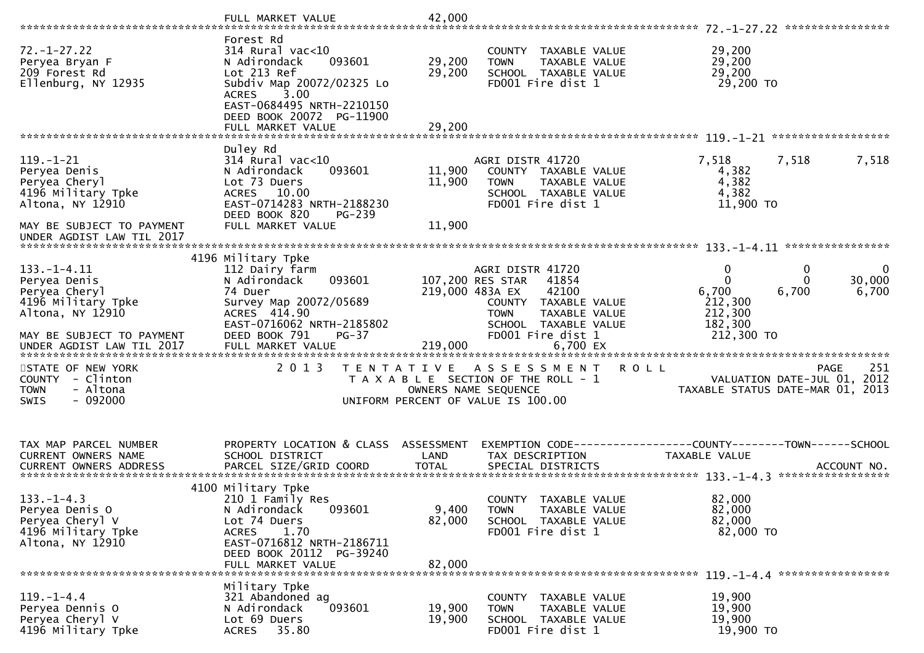|                                                                                                                           | FULL MARKET VALUE                                                                                                                                                                                           | 42,000                     |                                                                                                                                                             |                                                                                        |                      |
|---------------------------------------------------------------------------------------------------------------------------|-------------------------------------------------------------------------------------------------------------------------------------------------------------------------------------------------------------|----------------------------|-------------------------------------------------------------------------------------------------------------------------------------------------------------|----------------------------------------------------------------------------------------|----------------------|
| $72. - 1 - 27.22$<br>Peryea Bryan F<br>209 Forest Rd<br>Ellenburg, NY 12935                                               | Forest Rd<br>$314$ Rural vac<10<br>093601<br>N Adirondack<br>Lot 213 Ref<br>Subdiv Map 20072/02325 Lo<br>3.00<br><b>ACRES</b><br>EAST-0684495 NRTH-2210150<br>DEED BOOK 20072 PG-11900<br>FULL MARKET VALUE | 29,200<br>29,200<br>29,200 | COUNTY TAXABLE VALUE<br><b>TOWN</b><br>TAXABLE VALUE<br>SCHOOL TAXABLE VALUE<br>FD001 Fire dist 1                                                           | 29,200<br>29,200<br>29,200<br>29,200 TO                                                |                      |
|                                                                                                                           |                                                                                                                                                                                                             |                            |                                                                                                                                                             |                                                                                        |                      |
| 119. - 1 - 21<br>Peryea Denis<br>Peryea Cheryl<br>4196 Military Tpke<br>Altona, NY 12910<br>MAY BE SUBJECT TO PAYMENT     | Duley Rd<br>$314$ Rural vac<10<br>N Adirondack<br>093601<br>Lot 73 Duers<br>ACRES 10.00<br>EAST-0714283 NRTH-2188230<br>DEED BOOK 820<br>PG-239<br>FULL MARKET VALUE                                        | 11,900<br>11,900<br>11,900 | AGRI DISTR 41720<br>COUNTY TAXABLE VALUE<br>TAXABLE VALUE<br><b>TOWN</b><br>SCHOOL TAXABLE VALUE<br>FD001 Fire dist 1                                       | 7,518<br>7,518<br>4,382<br>4,382<br>4,382<br>11,900 TO                                 | 7,518                |
| UNDER AGDIST LAW TIL 2017                                                                                                 |                                                                                                                                                                                                             |                            |                                                                                                                                                             |                                                                                        |                      |
| $133. - 1 - 4.11$<br>Peryea Denis<br>Peryea Cheryl<br>4196 Military Tpke<br>Altona, NY 12910<br>MAY BE SUBJECT TO PAYMENT | 4196 Military Tpke<br>112 Dairy farm<br>093601<br>N Adirondack<br>74 Duer<br>Survey Map 20072/05689<br>ACRES 414.90<br>EAST-0716062 NRTH-2185802<br>DEED BOOK 791<br>$PG-37$                                | 219,000 483A EX            | AGRI DISTR 41720<br>107,200 RES STAR<br>41854<br>42100<br>COUNTY TAXABLE VALUE<br><b>TOWN</b><br>TAXABLE VALUE<br>SCHOOL TAXABLE VALUE<br>FD001 Fire dist 1 | 0<br>0<br>$\Omega$<br>6,700<br>6,700<br>212,300<br>212,300<br>182,300<br>212,300 TO    | 0<br>30,000<br>6,700 |
| STATE OF NEW YORK<br>COUNTY - Clinton<br>- Altona<br><b>TOWN</b><br><b>SWIS</b><br>- 092000                               | 2 0 1 3                                                                                                                                                                                                     |                            | TENTATIVE ASSESSMENT<br><b>ROLL</b><br>T A X A B L E SECTION OF THE ROLL - 1<br>OWNERS NAME SEQUENCE<br>UNIFORM PERCENT OF VALUE IS 100.00                  | VALUATION DATE-JUL 01,<br>TAXABLE STATUS DATE-MAR 01, 2013                             | 251<br>PAGE<br>2012  |
| TAX MAP PARCEL NUMBER<br><b>CURRENT OWNERS NAME</b>                                                                       | PROPERTY LOCATION & CLASS ASSESSMENT<br>SCHOOL DISTRICT                                                                                                                                                     | LAND                       | TAX DESCRIPTION                                                                                                                                             | EXEMPTION CODE------------------COUNTY--------TOWN------SCHOOL<br><b>TAXABLE VALUE</b> |                      |
| $133. - 1 - 4.3$<br>Peryea Denis O<br>Peryea Cheryl V<br>4196 Military Tpke<br>Altona, NY 12910                           | 4100 Military Tpke<br>210 1 Family Res<br>N Adirondack<br>093601<br>Lot 74 Duers<br>1.70<br><b>ACRES</b><br>EAST-0716812 NRTH-2186711<br>DEED BOOK 20112 PG-39240<br>FULL MARKET VALUE                      | 9,400<br>82,000<br>82,000  | COUNTY TAXABLE VALUE<br><b>TOWN</b><br>TAXABLE VALUE<br>SCHOOL TAXABLE VALUE<br>FD001 Fire dist 1                                                           | 82,000<br>82,000<br>82,000<br>82,000 TO                                                |                      |
| $119. - 1 - 4.4$<br>Peryea Dennis O<br>Peryea Cheryl V<br>4196 Military Tpke                                              | Military Tpke<br>321 Abandoned ag<br>N Adirondack<br>093601<br>Lot 69 Duers<br>35.80<br><b>ACRES</b>                                                                                                        | 19,900<br>19,900           | COUNTY<br>TAXABLE VALUE<br>TAXABLE VALUE<br><b>TOWN</b><br>SCHOOL TAXABLE VALUE<br>FD001 Fire dist 1                                                        | 19,900<br>19,900<br>19,900<br>19,900 TO                                                |                      |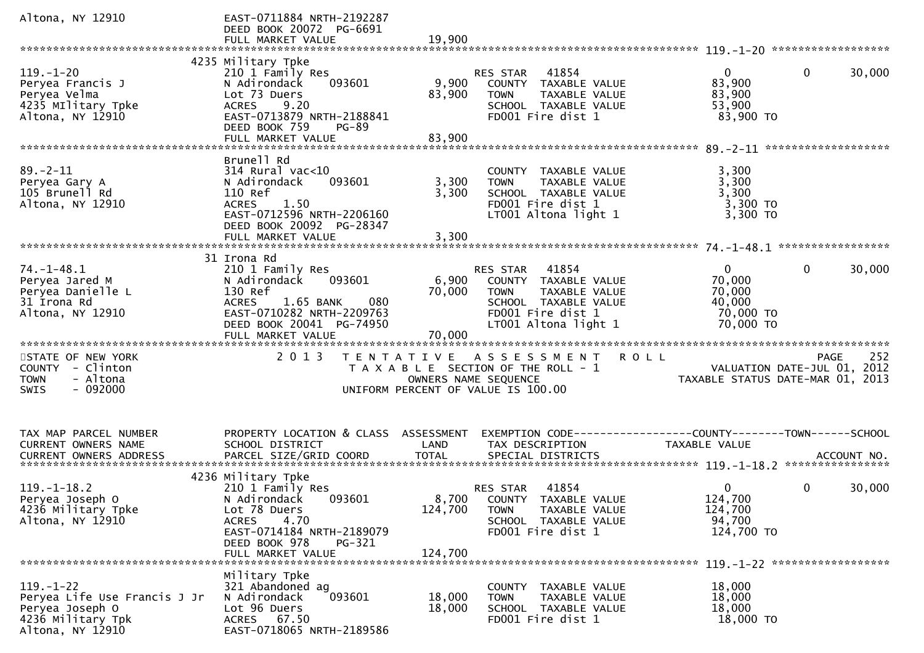| Altona, NY 12910                                                                                            | EAST-0711884 NRTH-2192287<br>DEED BOOK 20072 PG-6691<br>FULL MARKET VALUE                                                                                                             | 19,900                      |                                                                                                                                                |                                                                        |                                                                                |
|-------------------------------------------------------------------------------------------------------------|---------------------------------------------------------------------------------------------------------------------------------------------------------------------------------------|-----------------------------|------------------------------------------------------------------------------------------------------------------------------------------------|------------------------------------------------------------------------|--------------------------------------------------------------------------------|
|                                                                                                             |                                                                                                                                                                                       |                             |                                                                                                                                                |                                                                        |                                                                                |
| $119. - 1 - 20$<br>Peryea Francis J<br>Peryea Velma<br>4235 Military Tpke<br>Altona, NY 12910               | 4235 Military Tpke<br>210 1 Family Res<br>093601<br>N Adirondack<br>Lot 73 Duers<br>9.20<br><b>ACRES</b><br>EAST-0713879 NRTH-2188841<br>DEED BOOK 759<br>$PG-89$                     | 9,900<br>83,900             | 41854<br><b>RES STAR</b><br>COUNTY TAXABLE VALUE<br>TAXABLE VALUE<br><b>TOWN</b><br>SCHOOL TAXABLE VALUE<br>FD001 Fire dist 1                  | $\overline{0}$<br>83,900<br>83,900<br>53,900<br>83,900 TO              | $\mathbf{0}$<br>30,000                                                         |
|                                                                                                             | FULL MARKET VALUE                                                                                                                                                                     | 83,900                      |                                                                                                                                                |                                                                        |                                                                                |
| $89. - 2 - 11$<br>Peryea Gary A<br>105 Brunell Rd<br>Altona, NY 12910                                       | Brunell Rd<br>$314$ Rural vac<10<br>N Adirondack<br>093601<br>110 Ref<br><b>ACRES</b><br>1.50<br>EAST-0712596 NRTH-2206160<br>DEED BOOK 20092 PG-28347<br>FULL MARKET VALUE           | 3,300<br>3,300<br>3,300     | COUNTY TAXABLE VALUE<br>TAXABLE VALUE<br><b>TOWN</b><br>SCHOOL TAXABLE VALUE<br>FD001 Fire dist 1<br>LT001 Altona light 1                      | 3,300<br>3,300<br>3,300<br>3,300 TO<br>3,300 TO                        |                                                                                |
|                                                                                                             |                                                                                                                                                                                       |                             |                                                                                                                                                |                                                                        |                                                                                |
| $74. - 1 - 48.1$<br>Peryea Jared M<br>Peryea Danielle L<br>31 Irona Rd<br>Altona, NY 12910                  | 31 Irona Rd<br>210 1 Family Res<br>093601<br>N Adirondack<br>130 Ref<br>1.65 BANK<br>080<br><b>ACRES</b><br>EAST-0710282 NRTH-2209763<br>DEED BOOK 20041 PG-74950                     | 6,900<br>70,000             | 41854<br>RES STAR<br>COUNTY TAXABLE VALUE<br><b>TOWN</b><br>TAXABLE VALUE<br>SCHOOL TAXABLE VALUE<br>FD001 Fire dist 1<br>LT001 Altona light 1 | $\overline{0}$<br>70,000<br>70,000<br>40,000<br>70,000 TO<br>70,000 TO | $\mathbf{0}$<br>30,000                                                         |
|                                                                                                             |                                                                                                                                                                                       |                             |                                                                                                                                                |                                                                        |                                                                                |
| STATE OF NEW YORK<br>COUNTY - Clinton<br>- Altona<br><b>TOWN</b><br>$-092000$<br><b>SWIS</b>                | 2 0 1 3                                                                                                                                                                               | OWNERS NAME SEQUENCE        | TENTATIVE ASSESSMENT<br>T A X A B L E SECTION OF THE ROLL - 1<br>UNIFORM PERCENT OF VALUE IS 100.00                                            | <b>ROLL</b>                                                            | 252<br>PAGE<br>VALUATION DATE-JUL 01, 2012<br>TAXABLE STATUS DATE-MAR 01, 2013 |
| TAX MAP PARCEL NUMBER<br>CURRENT OWNERS NAME                                                                | PROPERTY LOCATION & CLASS<br>SCHOOL DISTRICT                                                                                                                                          | ASSESSMENT<br>LAND          | TAX DESCRIPTION                                                                                                                                | TAXABLE VALUE                                                          |                                                                                |
| $119. - 1 - 18.2$<br>Peryea Joseph O<br>4236 Military Tpke<br>Altona, NY 12910                              | 4236 Military Tpke<br>210 1 Family Res<br>N Adirondack<br>093601<br>Lot 78 Duers<br>4.70<br><b>ACRES</b><br>EAST-0714184 NRTH-2189079<br>DEED BOOK 978<br>PG-321<br>FULL MARKET VALUE | 8,700<br>124,700<br>124,700 | 41854<br><b>RES STAR</b><br>COUNTY TAXABLE VALUE<br>TAXABLE VALUE<br><b>TOWN</b><br>SCHOOL TAXABLE VALUE<br>FD001 Fire dist 1                  | 0<br>124,700<br>124,700<br>94,700<br>124,700 TO                        | 0<br>30,000                                                                    |
| $119. - 1 - 22$<br>Peryea Life Use Francis J Jr<br>Peryea Joseph O<br>4236 Military Tpk<br>Altona, NY 12910 | Military Tpke<br>321 Abandoned ag<br>093601<br>N Adirondack<br>Lot 96 Duers<br>ACRES 67.50<br>EAST-0718065 NRTH-2189586                                                               | 18,000<br>18,000            | <b>COUNTY</b><br>TAXABLE VALUE<br>TAXABLE VALUE<br><b>TOWN</b><br>SCHOOL TAXABLE VALUE<br>FD001 Fire dist 1                                    | 18,000<br>18,000<br>18,000<br>18,000 TO                                |                                                                                |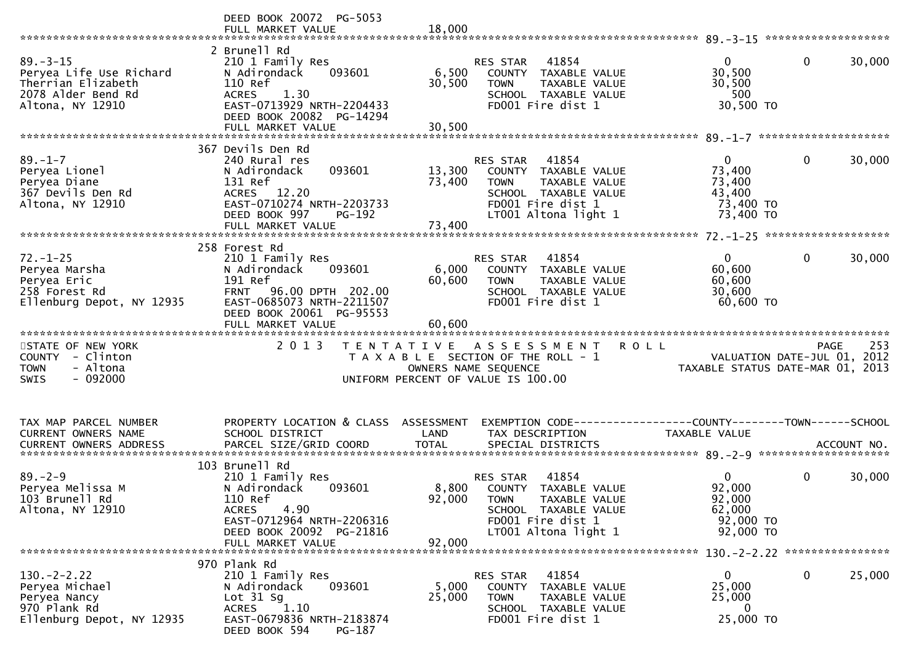| 2 Brunell Rd<br>$89 - 3 - 15$<br>41854<br>$\mathbf{0}$<br>210 1 Family Res<br>RES STAR<br>$\overline{0}$<br>30,500<br>Peryea Life Use Richard<br>6,500<br>N Adirondack<br>093601<br>TAXABLE VALUE<br>COUNTY<br>Therrian Elizabeth<br>110 Ref<br>30,500<br>30,500<br><b>TOWN</b><br>TAXABLE VALUE<br>2078 Alder Bend Rd<br>500<br><b>ACRES</b><br>1.30<br>SCHOOL TAXABLE VALUE<br>30,500 TO<br>EAST-0713929 NRTH-2204433<br>Altona, NY 12910<br>FD001 Fire dist 1<br>DEED BOOK 20082 PG-14294<br>FULL MARKET VALUE<br>30,500<br>367 Devils Den Rd<br>$89. - 1 - 7$<br>240 Rural res<br>$\mathbf 0$<br>RES STAR<br>41854<br>$\mathbf{0}$<br>093601<br>13,300<br>73,400<br>Peryea Lionel<br>N Adirondack<br>COUNTY TAXABLE VALUE<br>131 Ref<br>73,400<br>Peryea Diane<br>73,400<br><b>TOWN</b><br>TAXABLE VALUE<br>367 Devils Den Rd<br>43,400<br>ACRES 12.20<br>SCHOOL TAXABLE VALUE<br>EAST-0710274 NRTH-2203733<br>Altona, NY 12910<br>FD001 Fire dist 1<br>73,400 TO<br>DEED BOOK 997<br>PG-192<br>LT001 Altona light 1<br>73,400 TO<br>FULL MARKET VALUE<br>73,400<br>258 Forest Rd<br>$72. - 1 - 25$<br>$\overline{0}$<br>$\mathbf{0}$<br>210 1 Family Res<br>RES STAR<br>41854<br>6,000<br>60,600<br>Peryea Marsha<br>N Adirondack<br>093601<br>TAXABLE VALUE<br>COUNTY<br>191 Ref<br>60,600<br>Peryea Eric<br>60,600<br><b>TOWN</b><br>TAXABLE VALUE<br>258 Forest Rd<br>96.00 DPTH 202.00<br>30,600<br><b>FRNT</b><br>SCHOOL TAXABLE VALUE<br>FD001 Fire dist 1<br>Ellenburg Depot, NY 12935<br>EAST-0685073 NRTH-2211507<br>60,600 TO<br>DEED BOOK 20061 PG-95553<br>60,600<br>FULL MARKET VALUE<br>2013<br>STATE OF NEW YORK<br>TENTATIVE ASSESSMENT<br><b>ROLL</b><br>PAGE<br>COUNTY - Clinton<br>T A X A B L E SECTION OF THE ROLL - 1<br>VALUATION DATE-JUL 01, 2012<br><b>TOWN</b><br>- Altona<br>OWNERS NAME SEQUENCE<br>TAXABLE STATUS DATE-MAR 01, 2013<br>$-092000$<br><b>SWIS</b><br>UNIFORM PERCENT OF VALUE IS 100.00<br>PROPERTY LOCATION & CLASS<br>ASSESSMENT<br>TAX MAP PARCEL NUMBER<br>CURRENT OWNERS NAME<br>SCHOOL DISTRICT<br>LAND<br>TAX DESCRIPTION<br>TAXABLE VALUE<br>103 Brunell Rd<br>$89. - 2 - 9$<br>41854<br>$\mathbf 0$<br>210 1 Family Res<br>0<br><b>RES STAR</b><br>8,800<br>92,000<br>Peryea Melissa M<br>N Adirondack<br>093601<br>TAXABLE VALUE<br>COUNTY<br>92,000<br>103 Brunell Rd<br>110 Ref<br>92,000<br><b>TOWN</b><br>TAXABLE VALUE<br>62,000<br>Altona, NY 12910<br>4.90<br><b>ACRES</b><br>SCHOOL TAXABLE VALUE<br>EAST-0712964 NRTH-2206316<br>FD001 Fire dist 1<br>92,000 TO<br>DEED BOOK 20092 PG-21816<br>LT001 Altona light 1<br>92,000 TO<br>92,000<br>FULL MARKET VALUE<br>130. - 2 - 2.22 *****************<br>970 Plank Rd<br>$130 - 2 - 2.22$<br>210 1 Family Res<br>RES STAR<br>41854<br>$\mathbf{0}$<br>0<br>25,000<br>Peryea Michael<br>093601<br>5,000<br>25,000<br>N Adirondack<br><b>COUNTY</b><br>TAXABLE VALUE<br>Lot $31$ Sg<br>25,000<br>Peryea Nancy<br>25,000<br><b>TOWN</b><br>TAXABLE VALUE<br>1.10<br>970 Plank Rd<br>ACRES<br>SCHOOL TAXABLE VALUE<br>0<br>25,000 TO<br>Ellenburg Depot, NY 12935<br>EAST-0679836 NRTH-2183874<br>FD001 Fire dist 1 | DEED BOOK 20072 PG-5053 |  |  |        |
|------------------------------------------------------------------------------------------------------------------------------------------------------------------------------------------------------------------------------------------------------------------------------------------------------------------------------------------------------------------------------------------------------------------------------------------------------------------------------------------------------------------------------------------------------------------------------------------------------------------------------------------------------------------------------------------------------------------------------------------------------------------------------------------------------------------------------------------------------------------------------------------------------------------------------------------------------------------------------------------------------------------------------------------------------------------------------------------------------------------------------------------------------------------------------------------------------------------------------------------------------------------------------------------------------------------------------------------------------------------------------------------------------------------------------------------------------------------------------------------------------------------------------------------------------------------------------------------------------------------------------------------------------------------------------------------------------------------------------------------------------------------------------------------------------------------------------------------------------------------------------------------------------------------------------------------------------------------------------------------------------------------------------------------------------------------------------------------------------------------------------------------------------------------------------------------------------------------------------------------------------------------------------------------------------------------------------------------------------------------------------------------------------------------------------------------------------------------------------------------------------------------------------------------------------------------------------------------------------------------------------------------------------------------------------------------------------------------------------------------------------------------------------------------------------------------------------------------------------------------------------------------------------------------------------------------------------------------------------------------------------------------------------------------------------------------------------------------------------------------------------------|-------------------------|--|--|--------|
|                                                                                                                                                                                                                                                                                                                                                                                                                                                                                                                                                                                                                                                                                                                                                                                                                                                                                                                                                                                                                                                                                                                                                                                                                                                                                                                                                                                                                                                                                                                                                                                                                                                                                                                                                                                                                                                                                                                                                                                                                                                                                                                                                                                                                                                                                                                                                                                                                                                                                                                                                                                                                                                                                                                                                                                                                                                                                                                                                                                                                                                                                                                                    |                         |  |  | 30,000 |
|                                                                                                                                                                                                                                                                                                                                                                                                                                                                                                                                                                                                                                                                                                                                                                                                                                                                                                                                                                                                                                                                                                                                                                                                                                                                                                                                                                                                                                                                                                                                                                                                                                                                                                                                                                                                                                                                                                                                                                                                                                                                                                                                                                                                                                                                                                                                                                                                                                                                                                                                                                                                                                                                                                                                                                                                                                                                                                                                                                                                                                                                                                                                    |                         |  |  |        |
|                                                                                                                                                                                                                                                                                                                                                                                                                                                                                                                                                                                                                                                                                                                                                                                                                                                                                                                                                                                                                                                                                                                                                                                                                                                                                                                                                                                                                                                                                                                                                                                                                                                                                                                                                                                                                                                                                                                                                                                                                                                                                                                                                                                                                                                                                                                                                                                                                                                                                                                                                                                                                                                                                                                                                                                                                                                                                                                                                                                                                                                                                                                                    |                         |  |  | 30,000 |
|                                                                                                                                                                                                                                                                                                                                                                                                                                                                                                                                                                                                                                                                                                                                                                                                                                                                                                                                                                                                                                                                                                                                                                                                                                                                                                                                                                                                                                                                                                                                                                                                                                                                                                                                                                                                                                                                                                                                                                                                                                                                                                                                                                                                                                                                                                                                                                                                                                                                                                                                                                                                                                                                                                                                                                                                                                                                                                                                                                                                                                                                                                                                    |                         |  |  |        |
|                                                                                                                                                                                                                                                                                                                                                                                                                                                                                                                                                                                                                                                                                                                                                                                                                                                                                                                                                                                                                                                                                                                                                                                                                                                                                                                                                                                                                                                                                                                                                                                                                                                                                                                                                                                                                                                                                                                                                                                                                                                                                                                                                                                                                                                                                                                                                                                                                                                                                                                                                                                                                                                                                                                                                                                                                                                                                                                                                                                                                                                                                                                                    |                         |  |  | 30,000 |
|                                                                                                                                                                                                                                                                                                                                                                                                                                                                                                                                                                                                                                                                                                                                                                                                                                                                                                                                                                                                                                                                                                                                                                                                                                                                                                                                                                                                                                                                                                                                                                                                                                                                                                                                                                                                                                                                                                                                                                                                                                                                                                                                                                                                                                                                                                                                                                                                                                                                                                                                                                                                                                                                                                                                                                                                                                                                                                                                                                                                                                                                                                                                    |                         |  |  |        |
|                                                                                                                                                                                                                                                                                                                                                                                                                                                                                                                                                                                                                                                                                                                                                                                                                                                                                                                                                                                                                                                                                                                                                                                                                                                                                                                                                                                                                                                                                                                                                                                                                                                                                                                                                                                                                                                                                                                                                                                                                                                                                                                                                                                                                                                                                                                                                                                                                                                                                                                                                                                                                                                                                                                                                                                                                                                                                                                                                                                                                                                                                                                                    |                         |  |  |        |
|                                                                                                                                                                                                                                                                                                                                                                                                                                                                                                                                                                                                                                                                                                                                                                                                                                                                                                                                                                                                                                                                                                                                                                                                                                                                                                                                                                                                                                                                                                                                                                                                                                                                                                                                                                                                                                                                                                                                                                                                                                                                                                                                                                                                                                                                                                                                                                                                                                                                                                                                                                                                                                                                                                                                                                                                                                                                                                                                                                                                                                                                                                                                    |                         |  |  |        |
|                                                                                                                                                                                                                                                                                                                                                                                                                                                                                                                                                                                                                                                                                                                                                                                                                                                                                                                                                                                                                                                                                                                                                                                                                                                                                                                                                                                                                                                                                                                                                                                                                                                                                                                                                                                                                                                                                                                                                                                                                                                                                                                                                                                                                                                                                                                                                                                                                                                                                                                                                                                                                                                                                                                                                                                                                                                                                                                                                                                                                                                                                                                                    |                         |  |  | 253    |
|                                                                                                                                                                                                                                                                                                                                                                                                                                                                                                                                                                                                                                                                                                                                                                                                                                                                                                                                                                                                                                                                                                                                                                                                                                                                                                                                                                                                                                                                                                                                                                                                                                                                                                                                                                                                                                                                                                                                                                                                                                                                                                                                                                                                                                                                                                                                                                                                                                                                                                                                                                                                                                                                                                                                                                                                                                                                                                                                                                                                                                                                                                                                    |                         |  |  |        |
|                                                                                                                                                                                                                                                                                                                                                                                                                                                                                                                                                                                                                                                                                                                                                                                                                                                                                                                                                                                                                                                                                                                                                                                                                                                                                                                                                                                                                                                                                                                                                                                                                                                                                                                                                                                                                                                                                                                                                                                                                                                                                                                                                                                                                                                                                                                                                                                                                                                                                                                                                                                                                                                                                                                                                                                                                                                                                                                                                                                                                                                                                                                                    |                         |  |  |        |
|                                                                                                                                                                                                                                                                                                                                                                                                                                                                                                                                                                                                                                                                                                                                                                                                                                                                                                                                                                                                                                                                                                                                                                                                                                                                                                                                                                                                                                                                                                                                                                                                                                                                                                                                                                                                                                                                                                                                                                                                                                                                                                                                                                                                                                                                                                                                                                                                                                                                                                                                                                                                                                                                                                                                                                                                                                                                                                                                                                                                                                                                                                                                    |                         |  |  |        |
|                                                                                                                                                                                                                                                                                                                                                                                                                                                                                                                                                                                                                                                                                                                                                                                                                                                                                                                                                                                                                                                                                                                                                                                                                                                                                                                                                                                                                                                                                                                                                                                                                                                                                                                                                                                                                                                                                                                                                                                                                                                                                                                                                                                                                                                                                                                                                                                                                                                                                                                                                                                                                                                                                                                                                                                                                                                                                                                                                                                                                                                                                                                                    |                         |  |  |        |
|                                                                                                                                                                                                                                                                                                                                                                                                                                                                                                                                                                                                                                                                                                                                                                                                                                                                                                                                                                                                                                                                                                                                                                                                                                                                                                                                                                                                                                                                                                                                                                                                                                                                                                                                                                                                                                                                                                                                                                                                                                                                                                                                                                                                                                                                                                                                                                                                                                                                                                                                                                                                                                                                                                                                                                                                                                                                                                                                                                                                                                                                                                                                    |                         |  |  | 30,000 |
| DEED BOOK 594<br>PG-187                                                                                                                                                                                                                                                                                                                                                                                                                                                                                                                                                                                                                                                                                                                                                                                                                                                                                                                                                                                                                                                                                                                                                                                                                                                                                                                                                                                                                                                                                                                                                                                                                                                                                                                                                                                                                                                                                                                                                                                                                                                                                                                                                                                                                                                                                                                                                                                                                                                                                                                                                                                                                                                                                                                                                                                                                                                                                                                                                                                                                                                                                                            |                         |  |  |        |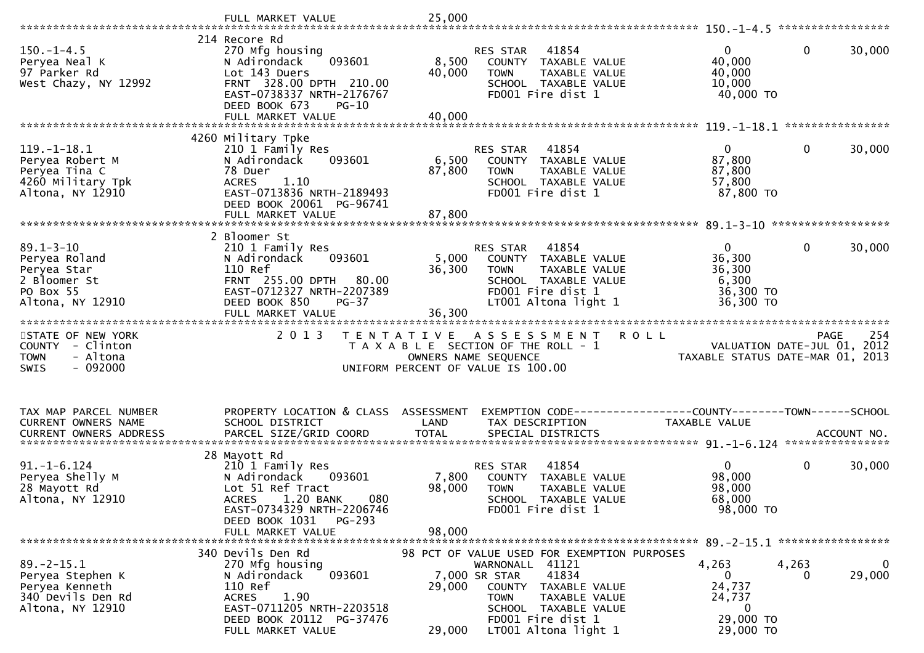|                                                      | FULL MARKET VALUE                                                                                 | 25,000               |                                                                           | *****************                                |
|------------------------------------------------------|---------------------------------------------------------------------------------------------------|----------------------|---------------------------------------------------------------------------|--------------------------------------------------|
| $150. - 1 - 4.5$<br>Peryea Neal K                    | 214 Recore Rd<br>270 Mfg housing<br>093601<br>N Adirondack                                        | 8,500                | 41854<br><b>RES STAR</b><br>COUNTY<br>TAXABLE VALUE                       | $\Omega$<br>$\mathbf 0$<br>30,000<br>40,000      |
| 97 Parker Rd<br>West Chazy, NY 12992                 | Lot 143 Duers<br>FRNT 328.00 DPTH 210.00<br>EAST-0738337 NRTH-2176767<br>DEED BOOK 673<br>$PG-10$ | 40,000               | <b>TOWN</b><br>TAXABLE VALUE<br>SCHOOL TAXABLE VALUE<br>FD001 Fire dist 1 | 40,000<br>10,000<br>40,000 TO                    |
|                                                      | FULL MARKET VALUE                                                                                 | 40,000               |                                                                           | ****************                                 |
|                                                      | 4260 Military Tpke                                                                                |                      |                                                                           |                                                  |
| $119. - 1 - 18.1$<br>Peryea Robert M                 | 210 1 Family Res<br>093601<br>N Adirondack                                                        | 6,500                | 41854<br>RES STAR<br>TAXABLE VALUE<br>COUNTY                              | $\mathbf{0}$<br>$\mathbf{0}$<br>30,000<br>87,800 |
| Peryea Tina C                                        | 78 Duer                                                                                           | 87,800               | <b>TOWN</b><br>TAXABLE VALUE                                              | 87,800                                           |
| 4260 Military Tpk                                    | <b>ACRES</b><br>1.10                                                                              |                      | SCHOOL TAXABLE VALUE                                                      | 57,800                                           |
| Altona, NY 12910                                     | EAST-0713836 NRTH-2189493<br>DEED BOOK 20061 PG-96741                                             |                      | FD001 Fire dist 1                                                         | 87,800 TO                                        |
|                                                      | FULL MARKET VALUE                                                                                 | 87,800               |                                                                           | ******************                               |
|                                                      | 2 Bloomer St                                                                                      |                      |                                                                           |                                                  |
| $89.1 - 3 - 10$                                      | 210 1 Family Res                                                                                  |                      | RES STAR<br>41854                                                         | $\mathbf{0}$<br>$\mathbf 0$<br>30,000            |
| Peryea Roland<br>Peryea Star                         | N Adirondack<br>093601<br>110 Ref                                                                 | 5,000<br>36,300      | <b>COUNTY</b><br>TAXABLE VALUE<br><b>TOWN</b><br>TAXABLE VALUE            | 36,300<br>36,300                                 |
| 2 Bloomer St                                         | FRNT 255.00 DPTH<br>80.00                                                                         |                      | SCHOOL TAXABLE VALUE                                                      | 6,300                                            |
| PO Box 55<br>Altona, NY 12910                        | EAST-0712327 NRTH-2207389<br>DEED BOOK 850<br>$PG-37$                                             |                      | FD001 Fire dist 1<br>LT001 Altona light 1                                 | 36,300 TO<br>36,300 TO                           |
|                                                      | FULL MARKET VALUE                                                                                 | 36,300               |                                                                           |                                                  |
|                                                      |                                                                                                   |                      |                                                                           |                                                  |
| STATE OF NEW YORK                                    | 2 0 1 3<br>T E N T A T I V E                                                                      |                      | A S S E S S M E N T                                                       | 254<br><b>ROLL</b><br><b>PAGE</b>                |
| <b>COUNTY</b><br>- Clinton                           |                                                                                                   |                      | T A X A B L E SECTION OF THE ROLL - 1                                     | VALUATION DATE-JUL 01,<br>2012                   |
| <b>TOWN</b><br>- Altona<br>$-092000$<br>SWIS         |                                                                                                   |                      | OWNERS NAME SEQUENCE<br>UNIFORM PERCENT OF VALUE IS 100.00                | TAXABLE STATUS DATE-MAR 01, 2013                 |
|                                                      |                                                                                                   |                      |                                                                           |                                                  |
|                                                      |                                                                                                   |                      |                                                                           |                                                  |
| TAX MAP PARCEL NUMBER                                | PROPERTY LOCATION & CLASS                                                                         | ASSESSMENT           |                                                                           |                                                  |
| CURRENT OWNERS NAME<br><b>CURRENT OWNERS ADDRESS</b> | SCHOOL DISTRICT<br>PARCEL SIZE/GRID COORD                                                         | LAND<br><b>TOTAL</b> | TAX DESCRIPTION<br>SPECIAL DISTRICTS                                      | TAXABLE VALUE<br>ACCOUNT NO.                     |
|                                                      |                                                                                                   |                      |                                                                           |                                                  |
| $91. - 1 - 6.124$                                    | 28 Mayott Rd<br>210 1 Family Res                                                                  |                      | 41854<br><b>RES STAR</b>                                                  | $\Omega$<br>$\mathbf 0$<br>30,000                |
| Peryea Shelly M                                      | N Adirondack<br>093601                                                                            | 7,800                | COUNTY<br>TAXABLE VALUE                                                   | 98,000                                           |
| 28 Mayott Rd<br>Altona, NY 12910                     | Lot 51 Ref Tract<br>1.20 BANK<br>080<br><b>ACRES</b>                                              | 98,000               | <b>TOWN</b><br>TAXABLE VALUE<br><b>SCHOOL</b><br>TAXABLE VALUE            | 98,000<br>68,000                                 |
|                                                      | EAST-0734329 NRTH-2206746                                                                         |                      | FD001 Fire dist 1                                                         | 98,000 TO                                        |
|                                                      | DEED BOOK 1031<br>PG-293<br>FULL MARKET VALUE                                                     | 98,000               |                                                                           |                                                  |
|                                                      |                                                                                                   |                      |                                                                           |                                                  |
| $89. - 2 - 15.1$                                     | 340 Devils Den Rd<br>270 Mfg housing                                                              |                      | 98 PCT OF VALUE USED FOR EXEMPTION PURPOSES<br>WARNONALL 41121            | $\mathbf 0$<br>4,263<br>4,263                    |
| Peryea Stephen K                                     | N Adirondack<br>093601                                                                            |                      | 41834<br>7,000 SR STAR                                                    | 29,000<br>$\Omega$<br>0                          |
| Peryea Kenneth<br>340 Devils Den Rd                  | 110 Ref<br><b>ACRES</b><br>1.90                                                                   | 29,000               | COUNTY<br>TAXABLE VALUE<br>TAXABLE VALUE<br>TOWN                          | 24,737<br>24,737                                 |
| Altona, NY 12910                                     | EAST-0711205 NRTH-2203518<br>DEED BOOK 20112 PG-37476                                             |                      | SCHOOL TAXABLE VALUE<br>FD001 Fire dist 1                                 | $\bf{0}$<br>29,000 TO                            |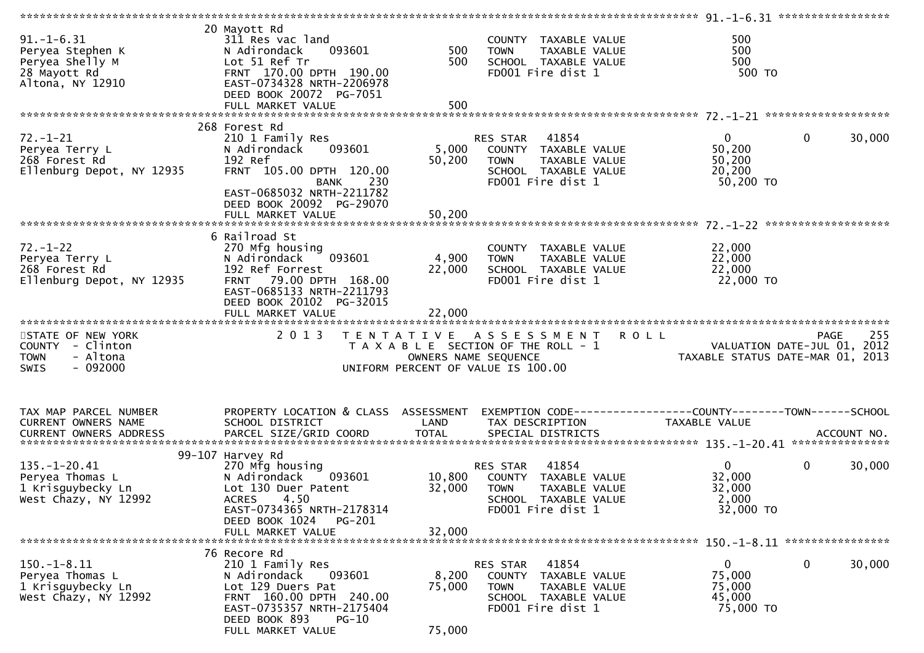| $91. - 1 - 6.31$<br>Peryea Stephen K<br>Peryea Shelly M<br>28 Mayott Rd<br>Altona, NY 12910 | 20 Mayott Rd<br>311 Res vac land<br>N Adirondack<br>093601<br>Lot 51 Ref Tr<br>FRNT 170.00 DPTH 190.00<br>EAST-0734328 NRTH-2206978<br>DEED BOOK 20072 PG-7051                           | 500<br>500                | COUNTY TAXABLE VALUE<br>TAXABLE VALUE<br><b>TOWN</b><br>SCHOOL TAXABLE VALUE<br>FD001 Fire dist 1                                          | 500<br>500<br>500<br>500 TO                                            |             |
|---------------------------------------------------------------------------------------------|------------------------------------------------------------------------------------------------------------------------------------------------------------------------------------------|---------------------------|--------------------------------------------------------------------------------------------------------------------------------------------|------------------------------------------------------------------------|-------------|
|                                                                                             | 268 Forest Rd                                                                                                                                                                            |                           |                                                                                                                                            |                                                                        |             |
| $72. - 1 - 21$<br>Peryea Terry L<br>268 Forest Rd<br>Ellenburg Depot, NY 12935              | 210 1 Family Res<br>N Adirondack<br>093601<br>192 Ref<br>FRNT 105.00 DPTH 120.00<br>230<br><b>BANK</b>                                                                                   | 5,000<br>50,200           | 41854<br>RES STAR<br>COUNTY TAXABLE VALUE<br>TAXABLE VALUE<br><b>TOWN</b><br>SCHOOL TAXABLE VALUE<br>FD001 Fire dist 1                     | $\mathbf 0$<br>$\mathbf{0}$<br>50,200<br>50,200<br>20,200<br>50,200 TO | 30,000      |
|                                                                                             | EAST-0685032 NRTH-2211782<br>DEED BOOK 20092 PG-29070<br>FULL MARKET VALUE                                                                                                               | 50,200                    |                                                                                                                                            |                                                                        |             |
|                                                                                             | 6 Railroad St                                                                                                                                                                            |                           |                                                                                                                                            |                                                                        |             |
| $72. - 1 - 22$<br>Peryea Terry L<br>268 Forest Rd<br>Ellenburg Depot, NY 12935              | 270 Mfg housing<br>093601<br>N Adirondack<br>192 Ref Forrest<br>FRNT 79.00 DPTH 168.00<br>EAST-0685133 NRTH-2211793<br>DEED BOOK 20102 PG-32015                                          | 4,900<br>22,000           | COUNTY TAXABLE VALUE<br>TAXABLE VALUE<br><b>TOWN</b><br>SCHOOL TAXABLE VALUE<br>FD001 Fire dist 1                                          | 22,000<br>22,000<br>22,000<br>22,000 TO                                |             |
|                                                                                             | FULL MARKET VALUE                                                                                                                                                                        | 22,000                    |                                                                                                                                            |                                                                        |             |
| STATE OF NEW YORK<br>COUNTY - Clinton<br>- Altona<br><b>TOWN</b><br>$-092000$<br>SWIS       | 2 0 1 3                                                                                                                                                                                  |                           | TENTATIVE ASSESSMENT<br><b>ROLL</b><br>T A X A B L E SECTION OF THE ROLL - 1<br>OWNERS NAME SEQUENCE<br>UNIFORM PERCENT OF VALUE IS 100.00 | VALUATION DATE-JUL 01, 2012<br>TAXABLE STATUS DATE-MAR 01, 2013        | 255<br>PAGE |
| TAX MAP PARCEL NUMBER                                                                       | PROPERTY LOCATION & CLASS ASSESSMENT                                                                                                                                                     |                           |                                                                                                                                            | EXEMPTION CODE------------------COUNTY--------TOWN------SCHOOL         |             |
| CURRENT OWNERS NAME                                                                         | SCHOOL DISTRICT                                                                                                                                                                          | LAND                      | TAX DESCRIPTION                                                                                                                            | TAXABLE VALUE                                                          |             |
|                                                                                             | 99-107 Harvey Rd                                                                                                                                                                         |                           |                                                                                                                                            |                                                                        |             |
| $135. - 1 - 20.41$<br>Peryea Thomas L<br>1 Krisguybecky Ln<br>West Chazy, NY 12992          | 270 Mfg housing<br>N Adirondack<br>093601<br>Lot 130 Duer Patent<br>4.50<br><b>ACRES</b><br>EAST-0734365 NRTH-2178314                                                                    | 10,800<br>32,000          | 41854<br>RES STAR<br>COUNTY TAXABLE VALUE<br><b>TOWN</b><br>TAXABLE VALUE<br>SCHOOL TAXABLE VALUE<br>FD001 Fire dist 1                     | $\mathbf{0}$<br>$\mathbf{0}$<br>32,000<br>32,000<br>2,000<br>32,000 TO | 30,000      |
|                                                                                             | DEED BOOK 1024<br>PG-201<br>FULL MARKET VALUE                                                                                                                                            | 32,000                    |                                                                                                                                            |                                                                        |             |
|                                                                                             |                                                                                                                                                                                          |                           |                                                                                                                                            |                                                                        |             |
| $150.-1-8.11$<br>Peryea Thomas L<br>1 Krisguybecky Ln<br>West Chazy, NY 12992               | 76 Recore Rd<br>210 1 Family Res<br>N Adirondack<br>093601<br>Lot 129 Duers Pat<br>FRNT 160.00 DPTH 240.00<br>EAST-0735357 NRTH-2175404<br>DEED BOOK 893<br>$PG-10$<br>FULL MARKET VALUE | 8,200<br>75,000<br>75,000 | 41854<br>RES STAR<br>COUNTY<br>TAXABLE VALUE<br><b>TOWN</b><br>TAXABLE VALUE<br>SCHOOL TAXABLE VALUE<br>FD001 Fire dist 1                  | $\mathbf{0}$<br>0<br>75,000<br>75,000<br>45,000<br>75,000 TO           | 30,000      |
|                                                                                             |                                                                                                                                                                                          |                           |                                                                                                                                            |                                                                        |             |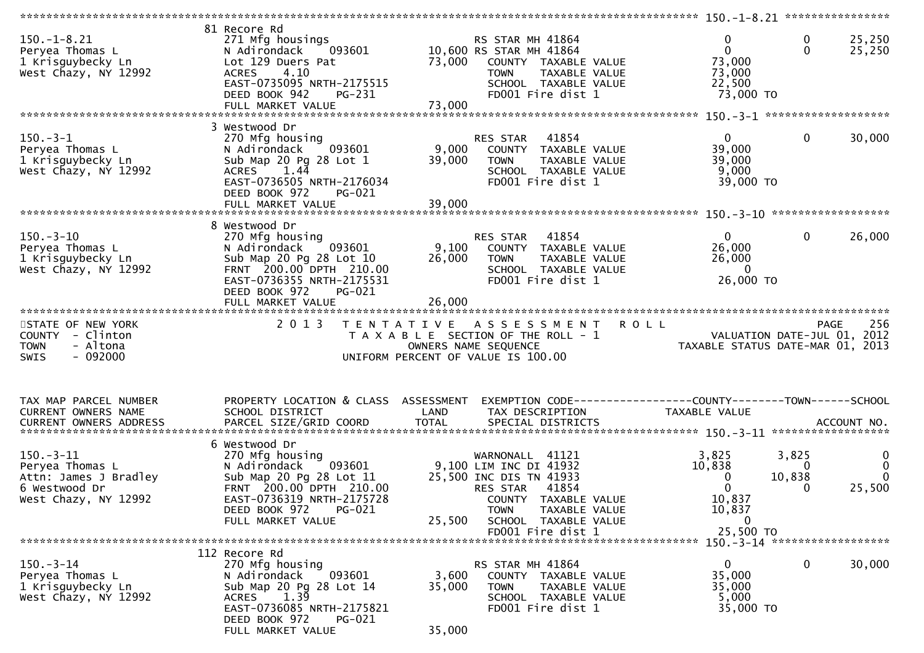|                                                                                                      |                                                                                                                                                                                               |                                                                                                                                                           |                        | ********************** 150.-1-8.21 ****************                         |                           |                                                      |
|------------------------------------------------------------------------------------------------------|-----------------------------------------------------------------------------------------------------------------------------------------------------------------------------------------------|-----------------------------------------------------------------------------------------------------------------------------------------------------------|------------------------|-----------------------------------------------------------------------------|---------------------------|------------------------------------------------------|
| $150.-1-8.21$<br>Peryea Thomas L<br>1 Krisguybecky Ln<br>West Chazy, NY 12992                        | 81 Recore Rd<br>271 Mfg housings<br>093601<br>N Adirondack<br>Lot 129 Duers Pat<br>4.10<br><b>ACRES</b><br>EAST-0735095 NRTH-2175515<br>DEED BOOK 942<br>PG-231                               | RS STAR MH 41864<br>10,600 RS STAR MH 41864<br>73,000 COUNTY TAXABLE VALUE<br><b>TOWN</b><br>SCHOOL TAXABLE VALUE<br>FD001 Fire dist 1                    | TAXABLE VALUE          | 0<br>$\mathbf{0}$<br>73,000<br>73,000<br>22,500<br>73,000 TO                | $\bf{0}$<br>$\Omega$      | 25,250<br>25,250                                     |
|                                                                                                      | 3 Westwood Dr                                                                                                                                                                                 |                                                                                                                                                           |                        |                                                                             |                           |                                                      |
| $150.-3-1$<br>Peryea Thomas L<br>1 Krisguybecky Ln<br>West Chazy, NY 12992                           | 270 Mfg housing<br>093601<br>N Adirondack<br>Sub Map 20 Pg 28 Lot 1<br>1.44<br><b>ACRES</b><br>EAST-0736505 NRTH-2176034<br>DEED BOOK 972<br><b>PG-021</b>                                    | RES STAR 41854<br>9,000<br>COUNTY TAXABLE VALUE<br>39,000<br>TOWN<br>SCHOOL TAXABLE VALUE<br>FD001 Fire dist 1                                            | TAXABLE VALUE          | 0<br>39,000<br>39,000<br>9,000<br>39,000 TO                                 | $\mathbf{0}$              | 30,000                                               |
|                                                                                                      |                                                                                                                                                                                               |                                                                                                                                                           |                        |                                                                             |                           |                                                      |
| $150.-3-10$<br>Peryea Thomas L<br>1 Krisguybecky Ln<br>West Chazy, NY 12992                          | 8 Westwood Dr<br>270 Mfg housing<br>N Adirondack 093601<br>Sub Map 20 Pg 28 Lot 10<br>FRNT 200.00 DPTH 210.00<br>EAST-0736355 NRTH-2175531<br>DEED BOOK 972<br>PG-021<br>FULL MARKET VALUE    | RES STAR 41854<br>9,100<br>COUNTY TAXABLE VALUE<br>26,000<br><b>TOWN</b><br>SCHOOL TAXABLE VALUE<br>FD001 Fire dist 1<br>26,000                           | TAXABLE VALUE          | $\overline{0}$<br>26,000<br>26,000<br>$\overline{\phantom{0}}$<br>26,000 TO | $\mathbf 0$               | 26,000                                               |
| *************************                                                                            |                                                                                                                                                                                               |                                                                                                                                                           |                        |                                                                             |                           |                                                      |
| STATE OF NEW YORK<br>COUNTY - Clinton<br>- Altona<br><b>TOWN</b><br>$-092000$<br>SWIS                | 2 0 1 3                                                                                                                                                                                       | TENTATIVE ASSESSMENT<br>T A X A B L E SECTION OF THE ROLL - 1<br>OWNERS NAME SEQUENCE<br>UNIFORM PERCENT OF VALUE IS 100.00                               | <b>ROLL</b>            | VALUATION DATE-JUL 01, 2012<br>TAXABLE STATUS DATE-MAR 01, 2013             | <b>PAGE</b>               | 256                                                  |
| TAX MAP PARCEL NUMBER<br>CURRENT OWNERS NAME                                                         | PROPERTY LOCATION & CLASS ASSESSMENT<br>SCHOOL DISTRICT                                                                                                                                       | LAND<br>TAX DESCRIPTION                                                                                                                                   |                        | TAXABLE VALUE                                                               |                           |                                                      |
| $150. - 3 - 11$<br>Peryea Thomas L<br>Attn: James J Bradley<br>6 Westwood Dr<br>West Chazy, NY 12992 | 6 Westwood Dr<br>270 Mfg housing<br>093601<br>N Adirondack<br>Sub Map 20 Pg 28 Lot 11<br>FRNT 200.00 DPTH 210.00<br>EAST-0736319 NRTH-2175728<br>DEED BOOK 972<br>PG-021<br>FULL MARKET VALUE | WARNONALL 41121<br>9,100 LIM INC DI 41932<br>25,500 INC DIS TN 41933<br>RES STAR<br>COUNTY TAXABLE VALUE<br><b>TOWN</b><br>25,500<br>SCHOOL TAXABLE VALUE | 41854<br>TAXABLE VALUE | 3,825<br>10,838<br>0<br>$\Omega$<br>10,837<br>10,837<br>$\bf{0}$            | 3,825<br>0<br>10,838<br>0 | $\mathbf{0}$<br>$\overline{0}$<br>$\Omega$<br>25,500 |
|                                                                                                      |                                                                                                                                                                                               | FD001 Fire dist 1                                                                                                                                         |                        | 25,500 TO                                                                   |                           |                                                      |
| $150 - 3 - 14$<br>Peryea Thomas L<br>1 Krisguybecky Ln<br>West Chazy, NY 12992                       | 112 Recore Rd<br>270 Mfg housing<br>093601<br>N Adirondack<br>Sub Map 20 Pg 28 Lot 14<br>1.39<br>ACRES<br>EAST-0736085 NRTH-2175821<br>DEED BOOK 972<br><b>PG-021</b><br>FULL MARKET VALUE    | RS STAR MH 41864<br>3,600<br>COUNTY TAXABLE VALUE<br>35,000<br><b>TOWN</b><br>SCHOOL TAXABLE VALUE<br>FD001 Fire dist 1<br>35,000                         | TAXABLE VALUE          | $\mathbf{0}$<br>35,000<br>35,000<br>5,000<br>35,000 TO                      | 0                         | 30,000                                               |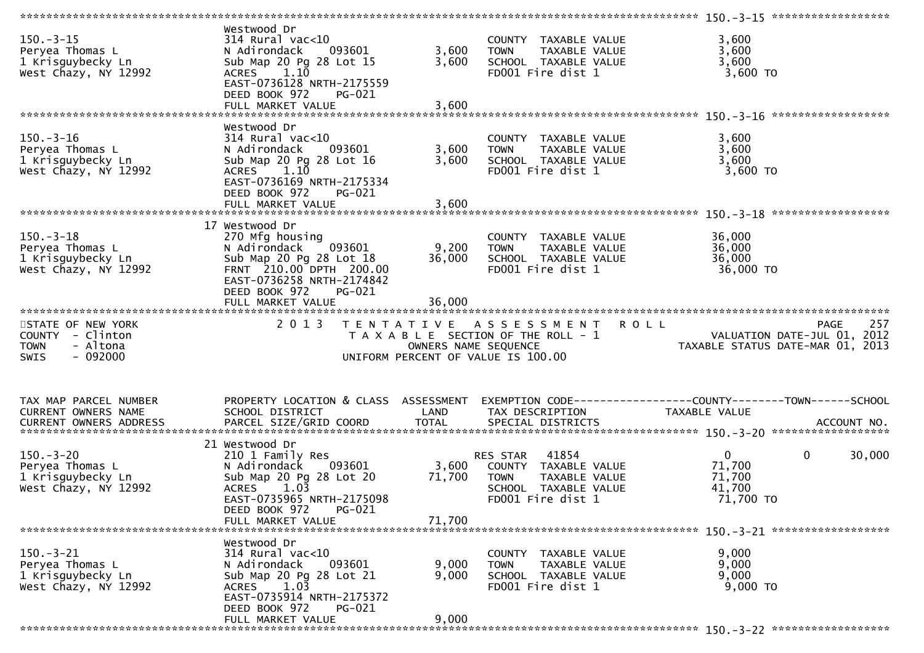| $150.-3-15$<br>Peryea Thomas L<br>1 Krisguybecky Ln<br>West Chazy, NY 12992                  | Westwood Dr<br>314 Rural vac<10<br>N Adirondack<br>093601<br>Sub Map 20 Pg 28 Lot 15<br>ACRES 1.10<br>EAST-0736128 NRTH-2175559<br>DEED BOOK 972<br>PG-021                                     | 3,600<br>3,600            | COUNTY TAXABLE VALUE<br>TAXABLE VALUE<br><b>TOWN</b><br>SCHOOL TAXABLE VALUE<br>FD001 Fire dist 1                      | 3,600<br>3,600<br>3,600<br>3,600 TO                                                           |        |
|----------------------------------------------------------------------------------------------|------------------------------------------------------------------------------------------------------------------------------------------------------------------------------------------------|---------------------------|------------------------------------------------------------------------------------------------------------------------|-----------------------------------------------------------------------------------------------|--------|
| $150. - 3 - 16$<br>Peryea Thomas L<br>1 Krisguybecky Ln<br>West Chazy, NY 12992              | Westwood Dr<br>$314$ Rural vac<10<br>N Adirondack<br>093601<br>Sub Map 20 Pg 28 Lot 16<br>ACRES 1.10<br>EAST-0736169 NRTH-2175334<br>DEED BOOK 972<br>PG-021<br>FULL MARKET VALUE              | 3,600<br>3,600<br>3,600   | COUNTY TAXABLE VALUE<br>TAXABLE VALUE<br><b>TOWN</b><br>SCHOOL TAXABLE VALUE<br>FD001 Fire dist 1                      | 3,600<br>3,600<br>3,600<br>$3,600$ TO                                                         |        |
| $150. - 3 - 18$<br>Peryea Thomas L<br>1 Krisguybecky Ln<br>West Chazy, NY 12992              | 17 Westwood Dr<br>270 Mfg housing<br>N Adirondack<br>093601<br>Sub Map 20 Pg 28 Lot 18<br>FRNT 210.00 DPTH 200.00<br>EAST-0736258 NRTH-2174842<br>DEED BOOK 972<br>PG-021<br>FULL MARKET VALUE | 9,200<br>36,000<br>36,000 | COUNTY TAXABLE VALUE<br>TAXABLE VALUE<br><b>TOWN</b><br>SCHOOL TAXABLE VALUE<br>FD001 Fire dist 1                      | 36,000<br>36,000<br>36,000<br>36,000 TO                                                       |        |
| STATE OF NEW YORK<br>COUNTY - Clinton<br>- Altona<br><b>TOWN</b><br>$-092000$<br><b>SWIS</b> | 2 0 1 3                                                                                                                                                                                        | OWNERS NAME SEQUENCE      | TENTATIVE ASSESSMENT<br>T A X A B L E SECTION OF THE ROLL - 1<br>UNIFORM PERCENT OF VALUE IS 100.00                    | <b>ROLL</b><br><b>PAGE</b><br>VALUATION DATE-JUL 01, 2012<br>TAXABLE STATUS DATE-MAR 01, 2013 | 257    |
| TAX MAP PARCEL NUMBER<br>CURRENT OWNERS NAME                                                 | PROPERTY LOCATION & CLASS ASSESSMENT<br>SCHOOL DISTRICT                                                                                                                                        | LAND                      | TAX DESCRIPTION                                                                                                        | TAXABLE VALUE                                                                                 |        |
| $150. - 3 - 20$<br>Peryea Thomas L<br>1 Krisguybecky Ln<br>West Chazy, NY 12992              | 21 Westwood Dr<br>210 1 Family Res<br>N Adirondack<br>093601<br>Sub Map 20 Pg 28 Lot 20<br>1.03<br><b>ACRES</b><br>EAST-0735965 NRTH-2175098<br>DEED BOOK 972<br>PG-021                        | 3,600<br>71,700           | 41854<br>RES STAR<br>COUNTY TAXABLE VALUE<br><b>TOWN</b><br>TAXABLE VALUE<br>SCHOOL TAXABLE VALUE<br>FD001 Fire dist 1 | $\mathbf{0}$<br>$\mathbf 0$<br>71,700<br>71,700<br>41,700<br>71,700 TO                        | 30,000 |
|                                                                                              | FULL MARKET VALUE                                                                                                                                                                              | 71,700                    |                                                                                                                        |                                                                                               |        |
| $150. - 3 - 21$<br>Peryea Thomas L<br>1 Krisguybecky Ln<br>West Chazy, NY 12992              | Westwood Dr<br>314 Rural vac<10<br>093601<br>N Adirondack<br>Sub Map 20 Pg 28 Lot 21<br>1.03<br><b>ACRES</b><br>EAST-0735914 NRTH-2175372<br>DEED BOOK 972<br><b>PG-021</b>                    | 9,000<br>9,000            | COUNTY TAXABLE VALUE<br>TAXABLE VALUE<br><b>TOWN</b><br>SCHOOL TAXABLE VALUE<br>FD001 Fire dist 1                      | 9,000<br>9,000<br>9,000<br>9,000 TO                                                           |        |
|                                                                                              | FULL MARKET VALUE                                                                                                                                                                              | 9,000                     |                                                                                                                        |                                                                                               |        |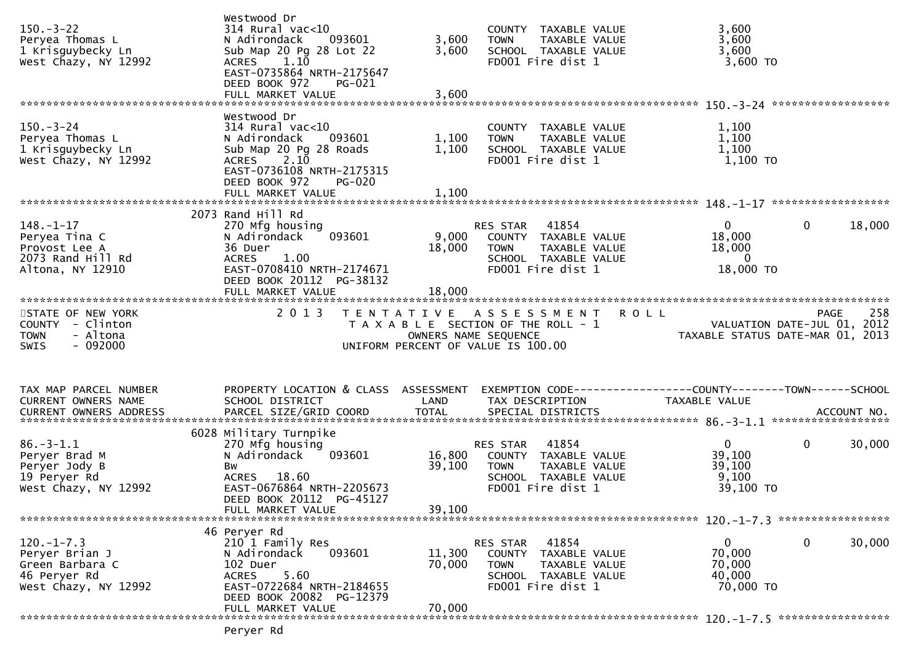| $150.-3-22$<br>Peryea Thomas L<br>1 Krisguybecky Ln<br>West Chazy, NY 12992                  | Westwood Dr<br>$314$ Rural vac<10<br>093601<br>N Adirondack<br>Sub Map 20 Pg 28 Lot 22<br>$1.1\overline{0}$<br><b>ACRES</b><br>EAST-0735864 NRTH-2175647<br>DEED BOOK 972<br>PG-021<br>FULL MARKET VALUE | 3,600<br>3,600<br>3,600    | COUNTY TAXABLE VALUE<br>TAXABLE VALUE<br><b>TOWN</b><br>SCHOOL TAXABLE VALUE<br>FD001 Fire dist 1                      | 3,600<br>3,600<br>3,600<br>$3,600$ TO                                          |        |
|----------------------------------------------------------------------------------------------|----------------------------------------------------------------------------------------------------------------------------------------------------------------------------------------------------------|----------------------------|------------------------------------------------------------------------------------------------------------------------|--------------------------------------------------------------------------------|--------|
|                                                                                              |                                                                                                                                                                                                          |                            |                                                                                                                        |                                                                                |        |
| $150 - 3 - 24$<br>Peryea Thomas L<br>1 Krisguybecky Ln<br>West Chazy, NY 12992               | Westwood Dr<br>314 Rural vac<10<br>093601<br>N Adirondack<br>Sub Map 20 Pg 28 Roads<br>2.10<br><b>ACRES</b><br>EAST-0736108 NRTH-2175315<br>DEED BOOK 972<br><b>PG-020</b>                               | 1,100<br>1,100             | COUNTY TAXABLE VALUE<br><b>TOWN</b><br>TAXABLE VALUE<br>SCHOOL TAXABLE VALUE<br>FD001 Fire dist 1                      | 1,100<br>1,100<br>1,100<br>$1,100$ TO                                          |        |
|                                                                                              |                                                                                                                                                                                                          |                            |                                                                                                                        |                                                                                |        |
|                                                                                              | 2073 Rand Hill Rd                                                                                                                                                                                        |                            |                                                                                                                        |                                                                                |        |
| $148. - 1 - 17$<br>Peryea Tina C<br>Provost Lee A<br>2073 Rand Hill Rd<br>Altona, NY 12910   | 270 Mfg housing<br>093601<br>N Adirondack<br>36 Duer<br><b>ACRES</b><br>1.00<br>EAST-0708410 NRTH-2174671<br>DEED BOOK 20112 PG-38132                                                                    | 9,000<br>18,000            | RES STAR 41854<br>COUNTY TAXABLE VALUE<br>TAXABLE VALUE<br>TOWN<br>SCHOOL TAXABLE VALUE<br>FD001 Fire dist 1           | $\mathbf 0$<br>$\overline{0}$<br>18,000<br>18,000<br>$\mathbf{0}$<br>18,000 TO | 18,000 |
|                                                                                              | FULL MARKET VALUE                                                                                                                                                                                        | 18,000                     |                                                                                                                        |                                                                                |        |
| STATE OF NEW YORK                                                                            | 2 0 1 3                                                                                                                                                                                                  |                            | TENTATIVE ASSESSMENT                                                                                                   | R O L L<br><b>PAGE</b>                                                         | 258    |
| COUNTY - Clinton<br>- Altona<br><b>TOWN</b><br>$-092000$<br><b>SWIS</b>                      |                                                                                                                                                                                                          | OWNERS NAME SEQUENCE       | T A X A B L E SECTION OF THE ROLL - 1<br>UNIFORM PERCENT OF VALUE IS 100.00                                            | VALUATION DATE-JUL 01, 2012<br>TAXABLE STATUS DATE-MAR 01, 2013                |        |
|                                                                                              |                                                                                                                                                                                                          |                            |                                                                                                                        |                                                                                |        |
| TAX MAP PARCEL NUMBER<br>CURRENT OWNERS NAME                                                 | PROPERTY LOCATION & CLASS ASSESSMENT<br>SCHOOL DISTRICT                                                                                                                                                  | LAND                       | TAX DESCRIPTION                                                                                                        | EXEMPTION CODE-----------------COUNTY--------TOWN------SCHOOL<br>TAXABLE VALUE |        |
|                                                                                              |                                                                                                                                                                                                          |                            |                                                                                                                        |                                                                                |        |
| $86. - 3 - 1.1$<br>Peryer Brad M<br>Peryer Jody B<br>19 Peryer Rd<br>West Chazy, NY 12992    | 6028 Military Turnpike<br>270 Mfg housing<br>093601<br>N Adirondack<br>Bw<br>ACRES 18.60<br>EAST-0676864 NRTH-2205673<br>DEED BOOK 20112 PG-45127<br>FULL MARKET VALUE                                   | 16,800<br>39,100<br>39,100 | RES STAR<br>41854<br>COUNTY TAXABLE VALUE<br>TOWN<br>TAXABLE VALUE<br>SCHOOL TAXABLE VALUE<br>FD001 Fire dist 1        | $\mathbf{0}$<br>$\mathbf 0$<br>39,100<br>39,100<br>9,100<br>39,100 TO          | 30,000 |
|                                                                                              |                                                                                                                                                                                                          |                            |                                                                                                                        |                                                                                |        |
| $120. -1 - 7.3$<br>Peryer Brian J<br>Green Barbara C<br>46 Peryer Rd<br>West Chazy, NY 12992 | 46 Peryer Rd<br>210 1 Family Res<br>093601<br>N Adirondack<br>102 Duer<br>5.60<br><b>ACRES</b><br>EAST-0722684 NRTH-2184655<br>DEED BOOK 20082 PG-12379                                                  | 11,300<br>70,000           | 41854<br>RES STAR<br>COUNTY TAXABLE VALUE<br>TAXABLE VALUE<br><b>TOWN</b><br>SCHOOL TAXABLE VALUE<br>FD001 Fire dist 1 | 0<br>0<br>70,000<br>70,000<br>40,000<br>70,000 TO                              | 30,000 |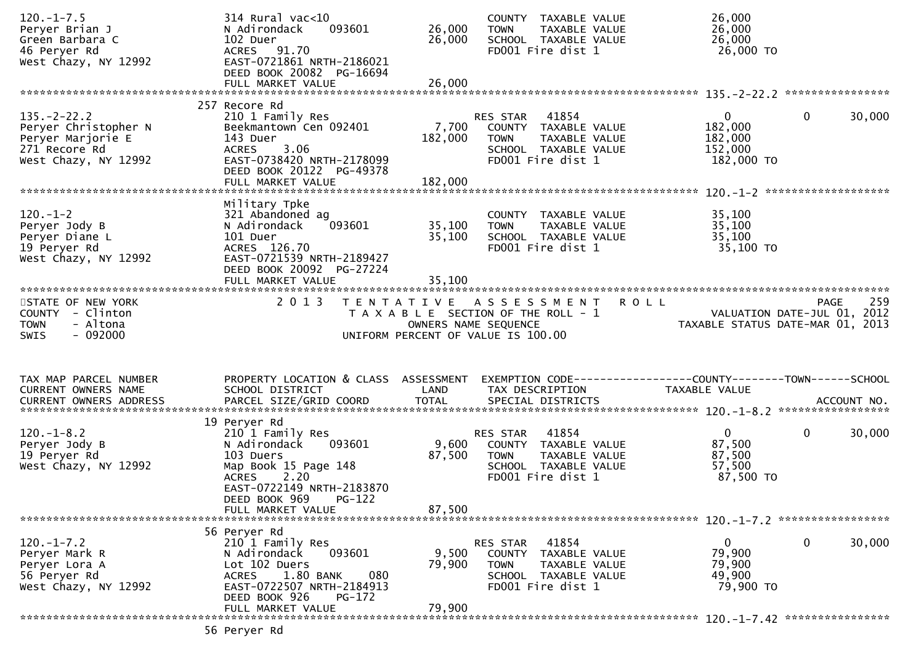| $120. -1 - 7.5$<br>Peryer Brian J<br>Green Barbara C<br>46 Peryer Rd<br>West Chazy, NY 12992           | $314$ Rural vac< $10$<br>093601<br>N Adirondack<br>102 Duer<br>ACRES 91.70<br>EAST-0721861 NRTH-2186021<br>DEED BOOK 20082 PG-16694<br>FULL MARKET VALUE                          | 26,000<br>26,000<br>26,000  | COUNTY TAXABLE VALUE<br>TAXABLE VALUE<br><b>TOWN</b><br>SCHOOL TAXABLE VALUE<br>FD001 Fire dist 1                                | 26,000<br>26,000<br>26,000<br>26,000 TO                                        |             |
|--------------------------------------------------------------------------------------------------------|-----------------------------------------------------------------------------------------------------------------------------------------------------------------------------------|-----------------------------|----------------------------------------------------------------------------------------------------------------------------------|--------------------------------------------------------------------------------|-------------|
|                                                                                                        | 257 Recore Rd                                                                                                                                                                     |                             |                                                                                                                                  |                                                                                |             |
| $135. -2 - 22.2$<br>Peryer Christopher N<br>Peryer Marjorie E<br>271 Recore Rd<br>West Chazy, NY 12992 | 210 1 Family Res<br>Beekmantown Cen 092401<br>143 Duer<br>3.06<br><b>ACRES</b><br>EAST-0738420 NRTH-2178099<br>DEED BOOK 20122 PG-49378<br>FULL MARKET VALUE                      | 7,700<br>182,000<br>182,000 | RES STAR<br>41854<br>COUNTY TAXABLE VALUE<br><b>TOWN</b><br>TAXABLE VALUE<br>SCHOOL TAXABLE VALUE<br>FD001 Fire dist 1           | $\overline{0}$<br>$\mathbf{0}$<br>182,000<br>182,000<br>152,000<br>182,000 TO  | 30,000      |
|                                                                                                        |                                                                                                                                                                                   |                             |                                                                                                                                  |                                                                                |             |
| $120. -1 - 2$<br>Peryer Jody B<br>Peryer Diane L<br>19 Peryer Rd<br>West Chazy, NY 12992               | Military Tpke<br>321 Abandoned ag<br>093601<br>N Adirondack<br>101 Duer<br>ACRES 126.70<br>EAST-0721539 NRTH-2189427<br>DEED BOOK 20092 PG-27224                                  | 35,100<br>35,100            | COUNTY TAXABLE VALUE<br>TAXABLE VALUE<br><b>TOWN</b><br>SCHOOL TAXABLE VALUE<br>FD001 Fire dist 1                                | 35,100<br>35,100<br>35,100<br>35,100 TO                                        |             |
|                                                                                                        | FULL MARKET VALUE                                                                                                                                                                 | 35,100                      |                                                                                                                                  |                                                                                |             |
| STATE OF NEW YORK<br>COUNTY - Clinton<br>- Altona<br><b>TOWN</b><br>$-092000$<br><b>SWIS</b>           | 2 0 1 3                                                                                                                                                                           |                             | TENTATIVE ASSESSMENT ROLL<br>T A X A B L E SECTION OF THE ROLL - 1<br>OWNERS NAME SEQUENCE<br>UNIFORM PERCENT OF VALUE IS 100.00 | VALUATION DATE-JUL 01, 2012<br>TAXABLE STATUS DATE-MAR 01, 2013                | 259<br>PAGE |
|                                                                                                        |                                                                                                                                                                                   |                             |                                                                                                                                  |                                                                                |             |
| TAX MAP PARCEL NUMBER<br>CURRENT OWNERS NAME                                                           | PROPERTY LOCATION & CLASS ASSESSMENT<br>SCHOOL DISTRICT                                                                                                                           | LAND                        | TAX DESCRIPTION                                                                                                                  | EXEMPTION CODE-----------------COUNTY--------TOWN------SCHOOL<br>TAXABLE VALUE |             |
|                                                                                                        |                                                                                                                                                                                   |                             |                                                                                                                                  |                                                                                |             |
| $120. - 1 - 8.2$<br>Peryer Jody B<br>19 Peryer Rd<br>West Chazy, NY 12992                              | 19 Peryer Rd<br>210 1 Family Res<br>093601<br>N Adirondack<br>103 Duers<br>Map Book 15 Page 148<br><b>ACRES</b><br>2.20<br>EAST-0722149 NRTH-2183870<br>DEED BOOK 969<br>$PG-122$ | 9,600<br>87,500             | 41854<br>RES STAR<br>COUNTY TAXABLE VALUE<br><b>TOWN</b><br>TAXABLE VALUE<br>SCHOOL TAXABLE VALUE<br>FD001 Fire dist 1           | $\overline{0}$<br>$\mathbf 0$<br>87,500<br>87,500<br>57,500<br>87,500 TO       | 30,000      |
|                                                                                                        | FULL MARKET VALUE                                                                                                                                                                 | 87,500                      |                                                                                                                                  |                                                                                |             |
|                                                                                                        |                                                                                                                                                                                   |                             |                                                                                                                                  |                                                                                |             |
| $120. -1 - 7.2$<br>Peryer Mark R<br>Peryer Lora A<br>56 Peryer Rd<br>West Chazy, NY 12992              | 56 Peryer Rd<br>210 1 Family Res<br>N Adirondack<br>093601<br>Lot 102 Duers<br>1.80 BANK<br>080<br><b>ACRES</b><br>EAST-0722507 NRTH-2184913<br>DEED BOOK 926<br>$PG-172$         | 9,500<br>79,900             | 41854<br>RES STAR<br>COUNTY TAXABLE VALUE<br><b>TOWN</b><br>TAXABLE VALUE<br>SCHOOL TAXABLE VALUE<br>FD001 Fire dist 1           | 0<br>$\mathbf{0}$<br>79,900<br>79,900<br>49,900<br>79,900 TO                   | 30,000      |
|                                                                                                        | FULL MARKET VALUE                                                                                                                                                                 | 79,900                      |                                                                                                                                  |                                                                                |             |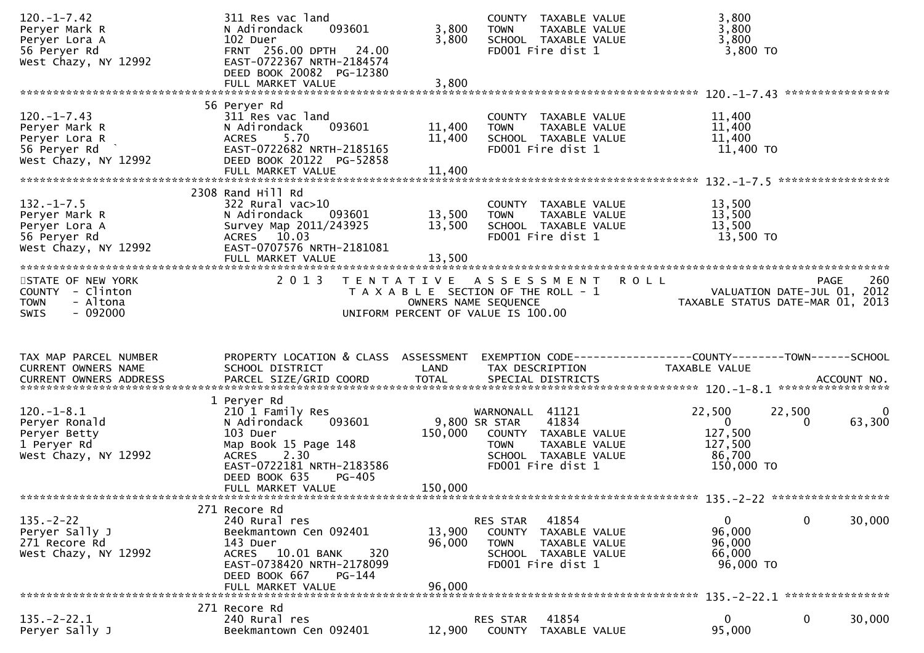| $120. -1 - 7.42$<br>Peryer Mark R<br>Peryer Lora A<br>56 Peryer Rd<br>West Chazy, NY 12992   | 311 Res vac land<br>093601<br>N Adirondack<br>102 Duer<br>FRNT 256.00 DPTH 24.00<br>EAST-0722367 NRTH-2184574<br>DEED BOOK 20082 PG-12380<br>FULL MARKET VALUE                                     | COUNTY TAXABLE VALUE<br>3,800<br>TAXABLE VALUE<br><b>TOWN</b><br>3,800<br>SCHOOL TAXABLE VALUE<br>FD001 Fire dist 1<br>3,800                                         | 3,800<br>3,800<br>3,800<br>3,800 TO                                                                         |
|----------------------------------------------------------------------------------------------|----------------------------------------------------------------------------------------------------------------------------------------------------------------------------------------------------|----------------------------------------------------------------------------------------------------------------------------------------------------------------------|-------------------------------------------------------------------------------------------------------------|
|                                                                                              | 56 Peryer Rd                                                                                                                                                                                       |                                                                                                                                                                      |                                                                                                             |
| $120.-1-7.43$<br>Peryer Mark R<br>Peryer Lora R<br>56 Peryer Rd<br>West Chazy, NY 12992      | 311 Res vac land<br>093601<br>N Adirondack<br><b>ACRES</b><br>5.70<br>EAST-0722682 NRTH-2185165<br>DEED BOOK 20122 PG-52858<br>FULL MARKET VALUE                                                   | COUNTY TAXABLE VALUE<br>11,400<br>TAXABLE VALUE<br><b>TOWN</b><br>11,400<br>SCHOOL TAXABLE VALUE<br>FD001 Fire dist 1<br>11,400                                      | 11,400<br>11,400<br>11,400<br>11,400 TO                                                                     |
|                                                                                              |                                                                                                                                                                                                    |                                                                                                                                                                      |                                                                                                             |
| $132. - 1 - 7.5$<br>Peryer Mark R<br>Peryer Lora A<br>56 Peryer Rd<br>West Chazy, NY 12992   | 2308 Rand Hill Rd<br>$322$ Rural vac $>10$<br>N Adirondack<br>093601<br>Survey Map 2011/243925<br>ACRES 10.03<br>EAST-0707576 NRTH-2181081                                                         | COUNTY TAXABLE VALUE<br>13,500<br>TAXABLE VALUE<br><b>TOWN</b><br>13,500<br>SCHOOL TAXABLE VALUE<br>FD001 Fire dist 1                                                | 13,500<br>13,500<br>13,500<br>13,500 TO                                                                     |
|                                                                                              |                                                                                                                                                                                                    |                                                                                                                                                                      |                                                                                                             |
| STATE OF NEW YORK<br>COUNTY - Clinton<br>- Altona<br><b>TOWN</b><br>$-092000$<br><b>SWIS</b> | 2 0 1 3                                                                                                                                                                                            | TENTATIVE ASSESSMENT<br>T A X A B L E SECTION OF THE ROLL - 1<br>OWNERS NAME SEQUENCE<br>UNIFORM PERCENT OF VALUE IS 100.00                                          | 260<br><b>ROLL</b><br>PAGE<br>VALUATION DATE-JUL 01, 2012<br>TAXABLE STATUS DATE-MAR 01, 2013               |
| TAX MAP PARCEL NUMBER<br>CURRENT OWNERS NAME                                                 | PROPERTY LOCATION & CLASS ASSESSMENT<br>SCHOOL DISTRICT                                                                                                                                            | LAND<br>TAX DESCRIPTION                                                                                                                                              | EXEMPTION CODE------------------COUNTY-------TOWN------SCHOOL<br>TAXABLE VALUE                              |
| $120.-1-8.1$<br>Peryer Ronald<br>Peryer Betty<br>1 Peryer Rd<br>West Chazy, NY 12992         | 1 Peryer Rd<br>210 1 Family Res<br>093601<br>N Adirondack<br>103 Duer<br>Map Book 15 Page 148<br>2.30<br><b>ACRES</b><br>EAST-0722181 NRTH-2183586<br>DEED BOOK 635<br>PG-405<br>FULL MARKET VALUE | WARNONALL 41121<br>9,800 SR STAR<br>41834<br>150,000<br>COUNTY TAXABLE VALUE<br>TAXABLE VALUE<br><b>TOWN</b><br>SCHOOL TAXABLE VALUE<br>FD001 Fire dist 1<br>150,000 | 22,500<br>22,500<br>0<br>63,300<br>$\overline{0}$<br>$\Omega$<br>127,500<br>127,500<br>86,700<br>150,000 TO |
|                                                                                              |                                                                                                                                                                                                    |                                                                                                                                                                      |                                                                                                             |
| $135. - 2 - 22$                                                                              | 271 Recore Rd                                                                                                                                                                                      | 41854<br>RES STAR                                                                                                                                                    | 0<br>30,000<br>0                                                                                            |
| Peryer Sally J<br>271 Recore Rd<br>West Chazy, NY 12992                                      | 240 Rural res<br>Beekmantown Cen 092401<br>143 Duer<br>ACRES 10.01 BANK<br>320<br>EAST-0738420 NRTH-2178099<br>DEED BOOK 667<br>PG-144<br>FULL MARKET VALUE                                        | 13,900<br><b>COUNTY</b><br>TAXABLE VALUE<br>96,000<br><b>TOWN</b><br>TAXABLE VALUE<br>SCHOOL TAXABLE VALUE<br>FD001 Fire dist 1<br>96,000                            | 96,000<br>96,000<br>66,000<br>96,000 TO                                                                     |
|                                                                                              | 271 Recore Rd                                                                                                                                                                                      |                                                                                                                                                                      |                                                                                                             |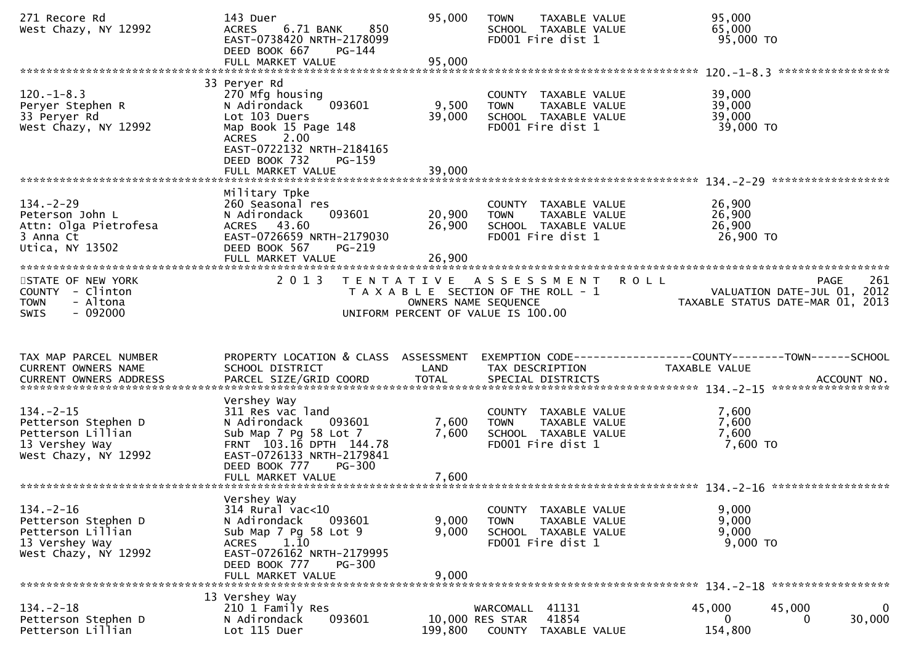| 271 Recore Rd<br>West Chazy, NY 12992                                                                 | 143 Duer<br>6.71 BANK<br>850<br><b>ACRES</b><br>EAST-0738420 NRTH-2178099<br>DEED BOOK 667<br>PG-144<br>FULL MARKET VALUE                                                                      | 95,000<br>95,000           | TAXABLE VALUE<br><b>TOWN</b><br>SCHOOL TAXABLE VALUE<br>FD001 Fire dist 1                           |             | 95,000<br>65,000<br>95,000 TO                                                 |                   |
|-------------------------------------------------------------------------------------------------------|------------------------------------------------------------------------------------------------------------------------------------------------------------------------------------------------|----------------------------|-----------------------------------------------------------------------------------------------------|-------------|-------------------------------------------------------------------------------|-------------------|
|                                                                                                       |                                                                                                                                                                                                |                            |                                                                                                     |             |                                                                               | ***************** |
| $120. -1 - 8.3$<br>Peryer Stephen R<br>33 Peryer Rd<br>West Chazy, NY 12992                           | 33 Peryer Rd<br>270 Mfg housing<br>N Adirondack<br>093601<br>Lot 103 Duers<br>Map Book 15 Page 148<br>2.00<br><b>ACRES</b><br>EAST-0722132 NRTH-2184165<br>DEED BOOK 732<br>$PG-159$           | 9,500<br>39,000            | COUNTY TAXABLE VALUE<br>TAXABLE VALUE<br><b>TOWN</b><br>SCHOOL TAXABLE VALUE<br>FD001 Fire dist 1   |             | 39,000<br>39,000<br>39,000<br>39,000 TO                                       |                   |
|                                                                                                       | FULL MARKET VALUE                                                                                                                                                                              | 39,000                     |                                                                                                     |             |                                                                               |                   |
| $134. - 2 - 29$<br>Peterson John L<br>Attn: Olga Pietrofesa<br>3 Anna Ct<br>Utica, NY 13502           | Military Tpke<br>260 Seasonal res<br>093601<br>N Adirondack<br>ACRES 43.60<br>EAST-0726659 NRTH-2179030<br>DEED BOOK 567<br>PG-219<br>FULL MARKET VALUE                                        | 20,900<br>26,900<br>26,900 | COUNTY TAXABLE VALUE<br>TAXABLE VALUE<br><b>TOWN</b><br>SCHOOL TAXABLE VALUE<br>FD001 Fire dist 1   |             | 26,900<br>26,900<br>26,900<br>26,900 TO                                       |                   |
| STATE OF NEW YORK                                                                                     | 2 0 1 3                                                                                                                                                                                        |                            | TENTATIVE ASSESSMENT                                                                                | <b>ROLL</b> |                                                                               | 261<br>PAGE       |
| COUNTY - Clinton<br><b>TOWN</b><br>- Altona<br>$-092000$<br><b>SWIS</b>                               |                                                                                                                                                                                                |                            | T A X A B L E SECTION OF THE ROLL - 1<br>OWNERS NAME SEQUENCE<br>UNIFORM PERCENT OF VALUE IS 100.00 |             | VALUATION DATE-JUL 01, 2012<br>TAXABLE STATUS DATE-MAR 01, 2013               |                   |
|                                                                                                       |                                                                                                                                                                                                |                            |                                                                                                     |             |                                                                               |                   |
|                                                                                                       |                                                                                                                                                                                                |                            |                                                                                                     |             |                                                                               |                   |
| TAX MAP PARCEL NUMBER<br>CURRENT OWNERS NAME                                                          | PROPERTY LOCATION & CLASS ASSESSMENT<br>SCHOOL DISTRICT                                                                                                                                        | LAND                       | TAX DESCRIPTION                                                                                     |             | EXEMPTION CODE-----------------COUNTY-------TOWN------SCHOOL<br>TAXABLE VALUE | ACCOUNT NO.       |
|                                                                                                       |                                                                                                                                                                                                |                            |                                                                                                     |             | ******************                                                            |                   |
| $134. - 2 - 15$<br>Petterson Stephen D<br>Petterson Lillian<br>13 Vershey Way<br>West Chazy, NY 12992 | Vershey Way<br>311 Res vac land<br>N Adirondack<br>093601<br>Sub Map 7 Pg 58 Lot 7<br>FRNT 103.16 DPTH 144.78<br>EAST-0726133 NRTH-2179841                                                     | 7,600<br>7,600             | COUNTY TAXABLE VALUE<br>TAXABLE VALUE<br><b>TOWN</b><br>SCHOOL TAXABLE VALUE<br>FD001 Fire dist 1   |             | 7,600<br>7,600<br>7,600<br>7,600 TO                                           |                   |
|                                                                                                       | <b>PG-300</b><br>DEED BOOK 777                                                                                                                                                                 |                            |                                                                                                     |             |                                                                               |                   |
|                                                                                                       |                                                                                                                                                                                                |                            |                                                                                                     |             |                                                                               |                   |
| $134. - 2 - 16$<br>Petterson Stephen D<br>Petterson Lillian<br>13 Vershey Way<br>West Chazy, NY 12992 | Vershey Way<br>314 Rural vac<10<br>N Adirondack<br>093601<br>Sub Map 7 Pg 58 Lot 9<br>1.10<br><b>ACRES</b><br>EAST-0726162 NRTH-2179995<br>DEED BOOK 777<br><b>PG-300</b><br>FULL MARKET VALUE | 9,000<br>9,000<br>9,000    | COUNTY TAXABLE VALUE<br><b>TOWN</b><br>TAXABLE VALUE<br>SCHOOL TAXABLE VALUE<br>FD001 Fire dist 1   |             | 9,000<br>9,000<br>9,000<br>9,000 TO                                           |                   |
|                                                                                                       | 13 Vershey Way                                                                                                                                                                                 |                            |                                                                                                     |             |                                                                               |                   |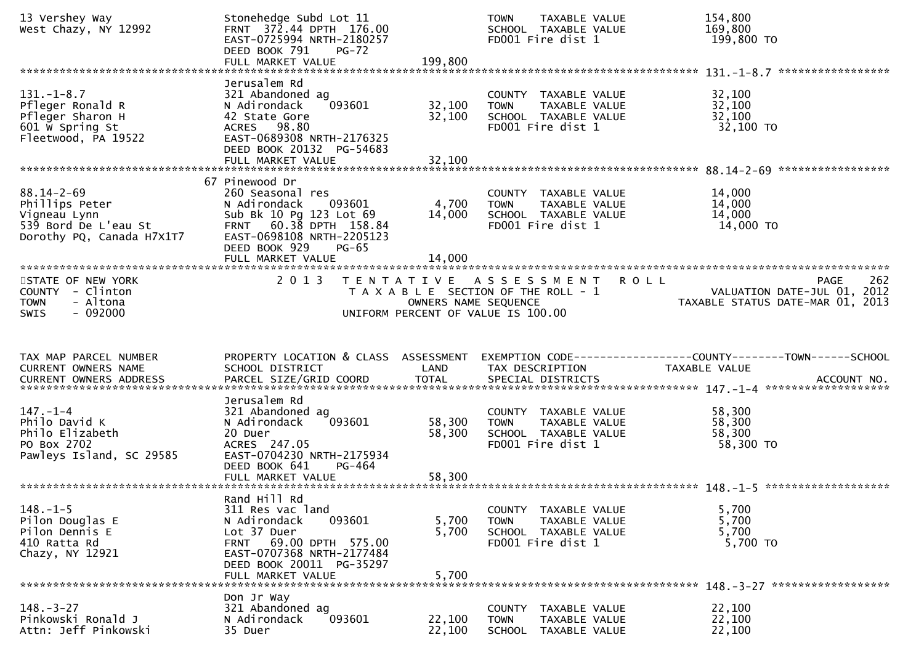| 13 Vershey Way<br>West Chazy, NY 12992                                                                  | Stonehedge Subd Lot 11<br>FRNT 372.44 DPTH 176.00<br>EAST-0725994 NRTH-2180257<br>DEED BOOK 791<br>$PG-72$<br>FULL MARKET VALUE                                                                 | 199,800                    | TAXABLE VALUE<br><b>TOWN</b><br>SCHOOL TAXABLE VALUE<br>FD001 Fire dist 1                                          | 154,800<br>169,800<br>199,800 TO                                                      |
|---------------------------------------------------------------------------------------------------------|-------------------------------------------------------------------------------------------------------------------------------------------------------------------------------------------------|----------------------------|--------------------------------------------------------------------------------------------------------------------|---------------------------------------------------------------------------------------|
| $131. - 1 - 8.7$<br>Pfleger Ronald R<br>Pfleger Sharon H<br>601 W Spring St<br>Fleetwood, PA 19522      | Jerusalem Rd<br>321 Abandoned ag<br>093601<br>N Adirondack<br>42 State Gore<br>ACRES 98.80<br>EAST-0689308 NRTH-2176325<br>DEED BOOK 20132 PG-54683<br>FULL MARKET VALUE                        | 32,100<br>32,100<br>32,100 | COUNTY TAXABLE VALUE<br>TAXABLE VALUE<br><b>TOWN</b><br>SCHOOL TAXABLE VALUE<br>FD001 Fire dist 1                  | *****************<br>32,100<br>32,100<br>32,100<br>32,100 TO                          |
| $88.14 - 2 - 69$<br>Phillips Peter<br>Vigneau Lynn<br>539 Bord De L'eau St<br>Dorothy PQ, Canada H7X1T7 | 67 Pinewood Dr<br>260 Seasonal res<br>N Adirondack<br>093601<br>Sub Bk 10 Pg 123 Lot 69<br>FRNT 60.38 DPTH 158.84<br>EAST-0698108 NRTH-2205123<br>DEED BOOK 929<br>$PG-65$<br>FULL MARKET VALUE | 4,700<br>14,000<br>14,000  | COUNTY TAXABLE VALUE<br>TAXABLE VALUE<br><b>TOWN</b><br>SCHOOL TAXABLE VALUE<br>FD001 Fire dist 1                  | 14,000<br>14,000<br>14,000<br>14,000 TO                                               |
| STATE OF NEW YORK<br>COUNTY - Clinton<br><b>TOWN</b><br>- Altona<br>$-092000$<br><b>SWIS</b>            | 2 0 1 3                                                                                                                                                                                         | OWNERS NAME SEQUENCE       | <b>ROLL</b><br>TENTATIVE ASSESSMENT<br>T A X A B L E SECTION OF THE ROLL - 1<br>UNIFORM PERCENT OF VALUE IS 100.00 | 262<br><b>PAGE</b><br>VALUATION DATE-JUL 01, 2012<br>TAXABLE STATUS DATE-MAR 01, 2013 |
|                                                                                                         |                                                                                                                                                                                                 |                            |                                                                                                                    |                                                                                       |
| TAX MAP PARCEL NUMBER<br>CURRENT OWNERS NAME                                                            | PROPERTY LOCATION & CLASS ASSESSMENT<br>SCHOOL DISTRICT                                                                                                                                         | LAND                       | TAX DESCRIPTION                                                                                                    | TAXABLE VALUE                                                                         |
| $147. - 1 - 4$<br>Philo David K<br>Philo Elizabeth<br>PO Box 2702<br>Pawleys Island, SC 29585           | Jerusalem Rd<br>321 Abandoned ag<br>N Adirondack<br>093601<br>20 Duer<br>ACRES 247.05<br>EAST-0704230 NRTH-2175934<br>DEED BOOK 641<br>$PG-464$                                                 | 58,300<br>58,300           | COUNTY TAXABLE VALUE<br>TAXABLE VALUE<br>TOWN<br>SCHOOL TAXABLE VALUE<br>FD001 Fire dist 1                         | 58,300<br>58,300<br>58,300<br>58,300 TO                                               |
| $148. - 1 - 5$<br>Pilon Douglas E<br>Pilon Dennis E<br>410 Ratta Rd<br>Chazy, NY 12921                  | Rand Hill Rd<br>311 Res vac land<br>093601<br>N Adirondack<br>Lot 37 Duer<br>FRNT 69.00 DPTH 575.00<br>EAST-0707368 NRTH-2177484<br>DEED BOOK 20011 PG-35297<br>FULL MARKET VALUE               | 5,700<br>5,700<br>5,700    | COUNTY TAXABLE VALUE<br>TAXABLE VALUE<br><b>TOWN</b><br>SCHOOL TAXABLE VALUE<br>FD001 Fire dist 1                  | 5,700<br>5,700<br>5,700<br>5,700 TO                                                   |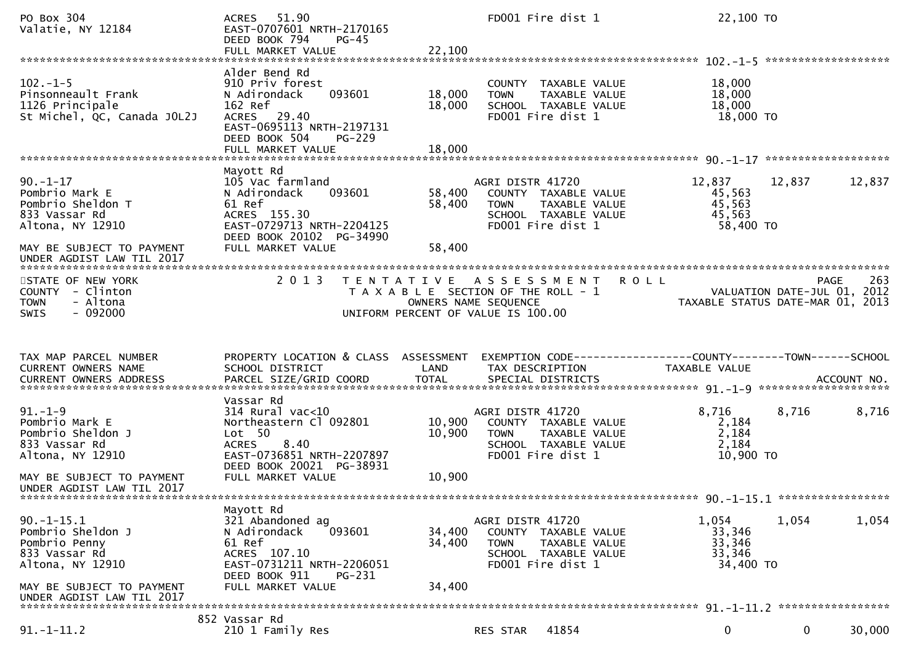| PO Box 304<br>Valatie, NY 12184                                                                                                                     | 51.90<br><b>ACRES</b><br>EAST-0707601 NRTH-2170165<br>DEED BOOK 794<br>$PG-45$<br>FULL MARKET VALUE                                                                       | 22,100                                    | FD001 Fire dist 1                                                                                                     | 22,100 TO                                         |                                                                                |
|-----------------------------------------------------------------------------------------------------------------------------------------------------|---------------------------------------------------------------------------------------------------------------------------------------------------------------------------|-------------------------------------------|-----------------------------------------------------------------------------------------------------------------------|---------------------------------------------------|--------------------------------------------------------------------------------|
| $102. -1 - 5$<br>Pinsonneault Frank<br>1126 Principale<br>St Michel, QC, Canada JOL2J                                                               | Alder Bend Rd<br>910 Priv forest<br>093601<br>N Adirondack<br>162 Ref<br>ACRES 29.40<br>EAST-0695113 NRTH-2197131<br>DEED BOOK 504<br>$PG-229$<br>FULL MARKET VALUE       | 18,000<br>18,000<br>18,000                | COUNTY TAXABLE VALUE<br>TAXABLE VALUE<br><b>TOWN</b><br>SCHOOL TAXABLE VALUE<br>FD001 Fire dist 1                     | 18,000<br>18,000<br>18,000<br>18,000 TO           |                                                                                |
| $90. -1 - 17$<br>Pombrio Mark E<br>Pombrio Sheldon T<br>833 Vassar Rd<br>Altona, NY 12910<br>MAY BE SUBJECT TO PAYMENT                              | Mayott Rd<br>105 Vac farmland<br>N Adirondack<br>093601<br>61 Ref<br>ACRES 155.30<br>EAST-0729713 NRTH-2204125<br>DEED BOOK 20102 PG-34990<br>FULL MARKET VALUE           | 58,400<br>58,400<br>58,400                | AGRI DISTR 41720<br>COUNTY TAXABLE VALUE<br>TAXABLE VALUE<br><b>TOWN</b><br>SCHOOL TAXABLE VALUE<br>FD001 Fire dist 1 | 12,837<br>45,563<br>45,563<br>45,563<br>58,400 TO | 12,837<br>12,837                                                               |
| STATE OF NEW YORK<br>COUNTY - Clinton<br>- Altona<br><b>TOWN</b><br>$-092000$<br><b>SWIS</b>                                                        | 2 0 1 3                                                                                                                                                                   | T E N T A T I V E<br>OWNERS NAME SEQUENCE | A S S E S S M E N T<br>T A X A B L E SECTION OF THE ROLL - 1<br>UNIFORM PERCENT OF VALUE IS 100.00                    | <b>ROLL</b>                                       | 263<br>PAGE<br>VALUATION DATE-JUL 01, 2012<br>TAXABLE STATUS DATE-MAR 01, 2013 |
|                                                                                                                                                     |                                                                                                                                                                           |                                           |                                                                                                                       |                                                   |                                                                                |
| TAX MAP PARCEL NUMBER<br>CURRENT OWNERS NAME<br>CURRENT OWNERS ADDRESS                                                                              | PROPERTY LOCATION & CLASS ASSESSMENT<br>SCHOOL DISTRICT<br>PARCEL SIZE/GRID COORD                                                                                         | LAND<br><b>TOTAL</b>                      | TAX DESCRIPTION<br>SPECIAL DISTRICTS                                                                                  | TAXABLE VALUE                                     | ACCOUNT NO.                                                                    |
| $91. - 1 - 9$<br>Pombrio Mark E<br>Pombrio Sheldon J<br>833 Vassar Rd<br>Altona, NY 12910<br>MAY BE SUBJECT TO PAYMENT<br>UNDER AGDIST LAW TIL 2017 | Vassar Rd<br>$314$ Rural vac<10<br>Northeastern Cl 092801<br>Lot 50<br><b>ACRES</b><br>8.40<br>EAST-0736851 NRTH-2207897<br>DEED BOOK 20021 PG-38931<br>FULL MARKET VALUE | 10,900<br>10,900<br>10,900                | AGRI DISTR 41720<br>COUNTY TAXABLE VALUE<br><b>TOWN</b><br>TAXABLE VALUE<br>SCHOOL TAXABLE VALUE<br>FD001 Fire dist 1 | 8,716<br>2,184<br>2,184<br>2,184<br>10,900 TO     | 8,716<br>8,716                                                                 |
| $90.-1-15.1$<br>Pombrio Sheldon J<br>Pombrio Penny<br>833 Vassar Rd<br>Altona, NY 12910<br>MAY BE SUBJECT TO PAYMENT<br>UNDER AGDIST LAW TIL 2017   | Mayott Rd<br>321 Abandoned ag<br>N Adirondack<br>093601<br>61 Ref<br>ACRES 107.10<br>EAST-0731211 NRTH-2206051<br>DEED BOOK 911<br>PG-231<br>FULL MARKET VALUE            | 34,400<br>34,400<br>34,400                | AGRI DISTR 41720<br>COUNTY TAXABLE VALUE<br><b>TOWN</b><br>TAXABLE VALUE<br>SCHOOL TAXABLE VALUE<br>FD001 Fire dist 1 | 1,054<br>33,346<br>33,346<br>33,346<br>34,400 TO  | 1,054<br>1,054                                                                 |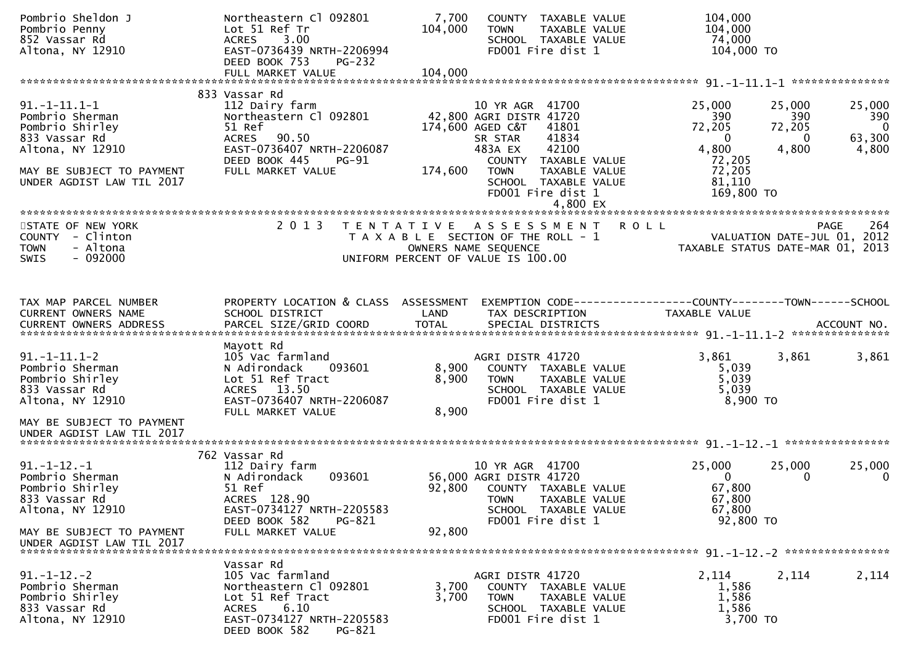| Pombrio Sheldon J<br>Pombrio Penny<br>852 Vassar Rd<br>Altona, NY 12910                                                                                  | Northeastern Cl 092801<br>Lot 51 Ref Tr<br>3.00<br><b>ACRES</b><br>EAST-0736439 NRTH-2206994<br>DEED BOOK 753<br>PG-232                                                    | 7,700<br>104,000        | COUNTY TAXABLE VALUE<br>TAXABLE VALUE<br><b>TOWN</b><br>SCHOOL TAXABLE VALUE<br>FD001 Fire dist 1                                                                                                                    | 104,000<br>104,000<br>74,000<br>104,000 TO                                                     |                                                                                           |
|----------------------------------------------------------------------------------------------------------------------------------------------------------|----------------------------------------------------------------------------------------------------------------------------------------------------------------------------|-------------------------|----------------------------------------------------------------------------------------------------------------------------------------------------------------------------------------------------------------------|------------------------------------------------------------------------------------------------|-------------------------------------------------------------------------------------------|
|                                                                                                                                                          |                                                                                                                                                                            |                         |                                                                                                                                                                                                                      |                                                                                                |                                                                                           |
| $91. -1 - 11.1 - 1$<br>Pombrio Sherman<br>Pombrio Shirley<br>833 Vassar Rd<br>Altona, NY 12910<br>MAY BE SUBJECT TO PAYMENT<br>UNDER AGDIST LAW TIL 2017 | 833 Vassar Rd<br>112 Dairy farm<br>Northeastern Cl 092801<br>51 Ref<br><b>ACRES</b><br>90.50<br>EAST-0736407 NRTH-2206087<br>DEED BOOK 445<br>$PG-91$<br>FULL MARKET VALUE | 174,600                 | 10 YR AGR 41700<br>42,800 AGRI DISTR 41720<br>174,600 AGED C&T<br>41801<br>41834<br>SR STAR<br>42100<br>483A EX<br>COUNTY TAXABLE VALUE<br><b>TOWN</b><br>TAXABLE VALUE<br>SCHOOL TAXABLE VALUE<br>FD001 Fire dist 1 | 25,000<br>390<br>72,205<br>$\overline{0}$<br>4,800<br>72,205<br>72,205<br>81,110<br>169,800 TO | 25,000<br>25,000<br>390<br>390<br>72,205<br>$\mathbf{0}$<br>63,300<br>0<br>4,800<br>4,800 |
| STATE OF NEW YORK<br>COUNTY - Clinton<br>- Altona<br><b>TOWN</b><br>SWIS<br>$-092000$                                                                    | 2 0 1 3                                                                                                                                                                    |                         | TENTATIVE ASSESSMENT<br>T A X A B L E SECTION OF THE ROLL - 1<br>OWNERS NAME SEQUENCE<br>UNIFORM PERCENT OF VALUE IS 100.00                                                                                          | <b>ROLL</b>                                                                                    | 264<br><b>PAGE</b><br>VALUATION DATE-JUL 01, 2012<br>TAXABLE STATUS DATE-MAR 01, 2013     |
| TAX MAP PARCEL NUMBER<br>CURRENT OWNERS NAME<br>CURRENT OWNERS ADDRESS                                                                                   | PROPERTY LOCATION & CLASS ASSESSMENT<br>SCHOOL DISTRICT                                                                                                                    | LAND                    | TAX DESCRIPTION                                                                                                                                                                                                      | EXEMPTION CODE-----------------COUNTY-------TOWN------SCHOOL<br><b>TAXABLE VALUE</b>           |                                                                                           |
| $91. -1 - 11.1 - 2$<br>Pombrio Sherman<br>Pombrio Shirley<br>833 Vassar Rd<br>Altona, NY 12910<br>MAY BE SUBJECT TO PAYMENT                              | Mayott Rd<br>105 Vac farmland<br>N Adirondack<br>093601<br>Lot 51 Ref Tract<br>ACRES 13.50<br>EAST-0736407 NRTH-2206087<br>FULL MARKET VALUE                               | 8,900<br>8,900<br>8,900 | AGRI DISTR 41720<br>COUNTY TAXABLE VALUE<br><b>TOWN</b><br>TAXABLE VALUE<br>SCHOOL TAXABLE VALUE<br>FD001 Fire dist 1                                                                                                | 3,861<br>5,039<br>5,039<br>5,039<br>8,900 TO                                                   | 3,861<br>3,861                                                                            |
|                                                                                                                                                          |                                                                                                                                                                            |                         |                                                                                                                                                                                                                      |                                                                                                |                                                                                           |
| $91. -1 - 12. -1$<br>Pombrio Sherman<br>Pombrio Shirley<br>833 Vassar Rd<br>Altona, NY 12910                                                             | 762 Vassar Rd<br>112 Dairy farm<br>093601<br>N Adirondack<br>51 Ref<br>ACRES 128.90<br>EAST-0734127 NRTH-2205583<br>DEED BOOK 582<br>PG-821                                | 92,800                  | 10 YR AGR 41700<br>56,000 AGRI DISTR 41720<br>COUNTY TAXABLE VALUE<br><b>TOWN</b><br>TAXABLE VALUE<br>SCHOOL TAXABLE VALUE<br>FD001 Fire dist 1                                                                      | 25,000<br>$\Omega$<br>67,800<br>67,800<br>67,800<br>92,800 TO                                  | 25,000<br>25,000<br>0<br>0                                                                |
| MAY BE SUBJECT TO PAYMENT<br>UNDER AGDIST LAW TIL 2017                                                                                                   | FULL MARKET VALUE                                                                                                                                                          | 92,800                  |                                                                                                                                                                                                                      |                                                                                                |                                                                                           |
| $91. - 1 - 12. - 2$<br>Pombrio Sherman<br>Pombrio Shirley<br>833 Vassar Rd<br>Altona, NY 12910                                                           | Vassar Rd<br>105 Vac farmland<br>Northeastern Cl 092801<br>Lot 51 Ref Tract<br>6.10<br>ACRES<br>EAST-0734127 NRTH-2205583<br>DEED BOOK 582<br>PG-821                       | 3,700<br>3,700          | AGRI DISTR 41720<br>COUNTY TAXABLE VALUE<br><b>TOWN</b><br>TAXABLE VALUE<br>SCHOOL TAXABLE VALUE<br>FD001 Fire dist 1                                                                                                | 2,114<br>1,586<br>1,586<br>1,586<br>3,700 TO                                                   | 2,114<br>2,114                                                                            |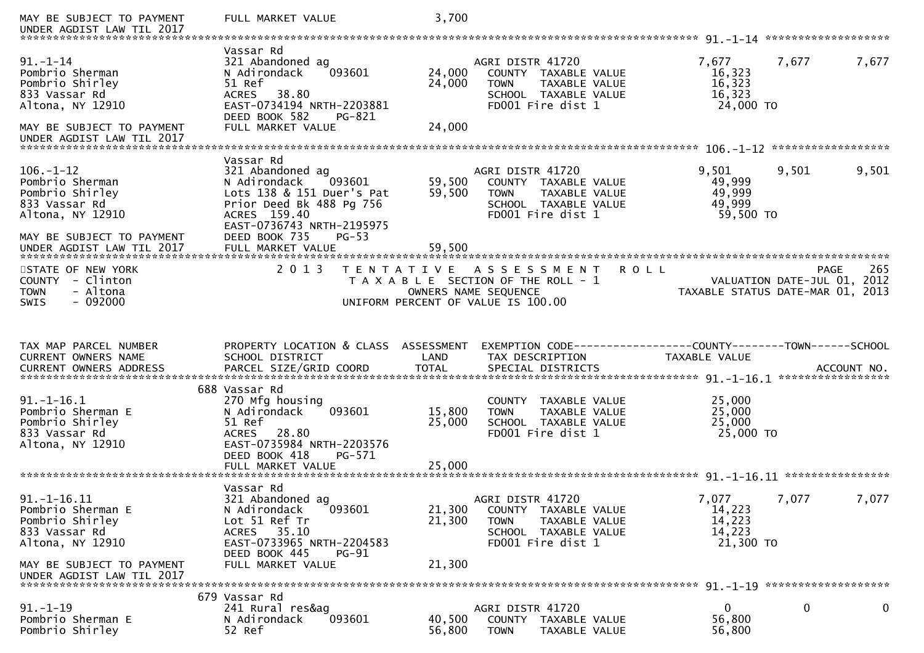| MAY BE SUBJECT TO PAYMENT<br>UNDER AGDIST LAW TIL 2017                                                                                              | FULL MARKET VALUE                                                                                                                                                       | 3,700                      |                                                                                                                                           |                                                  |                                                                                       |
|-----------------------------------------------------------------------------------------------------------------------------------------------------|-------------------------------------------------------------------------------------------------------------------------------------------------------------------------|----------------------------|-------------------------------------------------------------------------------------------------------------------------------------------|--------------------------------------------------|---------------------------------------------------------------------------------------|
| $91. - 1 - 14$<br>Pombrio Sherman<br>Pombrio Shirley<br>833 Vassar Rd<br>Altona, NY 12910<br>MAY BE SUBJECT TO PAYMENT<br>UNDER AGDIST LAW TIL 2017 | Vassar Rd<br>321 Abandoned ag<br>N Adirondack<br>093601<br>51 Ref<br>38.80<br><b>ACRES</b><br>EAST-0734194 NRTH-2203881<br>DEED BOOK 582<br>PG-821<br>FULL MARKET VALUE | 24,000<br>24,000<br>24,000 | AGRI DISTR 41720<br>COUNTY TAXABLE VALUE<br>TAXABLE VALUE<br><b>TOWN</b><br>SCHOOL TAXABLE VALUE<br>FD001 Fire dist 1                     | 7,677<br>16,323<br>16,323<br>16,323<br>24,000 TO | 7,677<br>7,677                                                                        |
|                                                                                                                                                     | Vassar Rd                                                                                                                                                               |                            |                                                                                                                                           |                                                  |                                                                                       |
| $106. - 1 - 12$<br>Pombrio Sherman<br>Pombrio Shirley<br>833 Vassar Rd<br>Altona, NY 12910                                                          | 321 Abandoned ag<br>093601<br>N Adirondack<br>Lots 138 & 151 Duer's Pat<br>Prior Deed Bk 488 Pg 756<br>ACRES 159.40<br>EAST-0736743 NRTH-2195975                        | 59,500<br>59,500           | AGRI DISTR 41720<br>COUNTY TAXABLE VALUE<br><b>TOWN</b><br>TAXABLE VALUE<br>SCHOOL TAXABLE VALUE<br>FD001 Fire dist 1                     | 9,501<br>49,999<br>49,999<br>49,999<br>59,500 TO | 9,501<br>9,501                                                                        |
| MAY BE SUBJECT TO PAYMENT<br>UNDER AGDIST LAW TIL 2017                                                                                              | DEED BOOK 735<br>$PG-53$<br>FULL MARKET VALUE                                                                                                                           | 59,500                     |                                                                                                                                           |                                                  |                                                                                       |
| STATE OF NEW YORK<br>COUNTY - Clinton<br>- Altona<br><b>TOWN</b><br>$-092000$<br><b>SWIS</b>                                                        | 2 0 1 3<br>T E N T A T I V E                                                                                                                                            |                            | A S S E S S M E N T<br><b>ROLL</b><br>T A X A B L E SECTION OF THE ROLL - 1<br>OWNERS NAME SEQUENCE<br>UNIFORM PERCENT OF VALUE IS 100.00 |                                                  | 265<br><b>PAGE</b><br>VALUATION DATE-JUL 01, 2012<br>TAXABLE STATUS DATE-MAR 01, 2013 |
|                                                                                                                                                     |                                                                                                                                                                         |                            |                                                                                                                                           |                                                  |                                                                                       |
|                                                                                                                                                     |                                                                                                                                                                         |                            |                                                                                                                                           |                                                  |                                                                                       |
| TAX MAP PARCEL NUMBER<br>CURRENT OWNERS NAME<br>CURRENT OWNERS ADDRESS                                                                              | PROPERTY LOCATION & CLASS ASSESSMENT<br>SCHOOL DISTRICT<br>PARCEL SIZE/GRID COORD                                                                                       | LAND<br><b>TOTAL</b>       | EXEMPTION CODE-----------------COUNTY-------TOWN------SCHOOL<br>TAX DESCRIPTION<br>SPECIAL DISTRICTS                                      | TAXABLE VALUE                                    | ACCOUNT NO.                                                                           |
|                                                                                                                                                     |                                                                                                                                                                         |                            |                                                                                                                                           |                                                  |                                                                                       |
| $91. - 1 - 16.1$<br>Pombrio Sherman E<br>Pombrio Shirley<br>833 Vassar Rd<br>Altona, NY 12910                                                       | 688 Vassar Rd<br>270 Mfg housing<br>093601<br>N Adirondack<br>51 Ref<br>28.80<br><b>ACRES</b><br>EAST-0735984 NRTH-2203576<br>DEED BOOK 418<br>PG-571                   | 15,800<br>25,000           | COUNTY TAXABLE VALUE<br>TAXABLE VALUE<br><b>TOWN</b><br>SCHOOL TAXABLE VALUE<br>FD001 Fire dist 1                                         | 25,000<br>25,000<br>25,000<br>25,000 TO          |                                                                                       |
|                                                                                                                                                     | FULL MARKET VALUE                                                                                                                                                       | 25,000                     |                                                                                                                                           |                                                  |                                                                                       |
| $91. - 1 - 16.11$<br>Pombrio Sherman E<br>Pombrio Shirley<br>833 Vassar Rd<br>Altona, NY 12910                                                      | Vassar Rd<br>321 Abandoned ag<br>093601<br>N Adirondack<br>Lot 51 Ref Tr<br>ACRES 35.10<br>EAST-0733965 NRTH-2204583                                                    | 21,300<br>21,300           | AGRI DISTR 41720<br>COUNTY TAXABLE VALUE<br><b>TOWN</b><br>TAXABLE VALUE<br>SCHOOL TAXABLE VALUE<br>FD001 Fire dist 1                     | 7,077<br>14,223<br>14,223<br>14,223<br>21,300 TO | 7,077<br>7,077                                                                        |
| MAY BE SUBJECT TO PAYMENT<br>UNDER AGDIST LAW TIL 2017                                                                                              | DEED BOOK 445<br><b>PG-91</b><br>FULL MARKET VALUE                                                                                                                      | 21,300                     |                                                                                                                                           |                                                  |                                                                                       |
| $91. - 1 - 19$                                                                                                                                      | 679 Vassar Rd<br>241 Rural res&ag                                                                                                                                       |                            | AGRI DISTR 41720                                                                                                                          | 0                                                | 0<br>0                                                                                |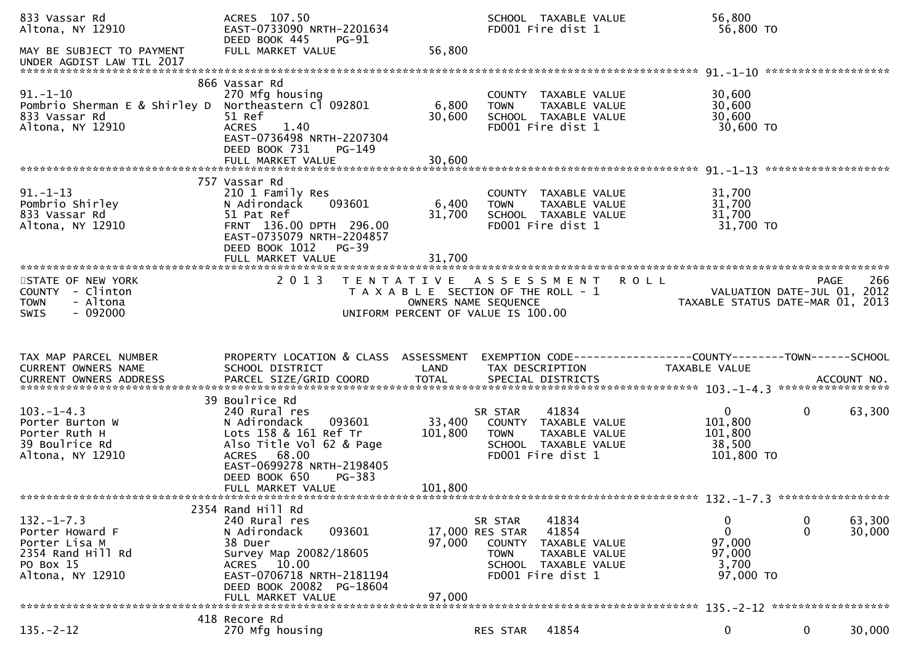| 833 Vassar Rd<br>Altona, NY 12910                                                                         | ACRES 107.50<br>EAST-0733090 NRTH-2201634<br>DEED BOOK 445<br><b>PG-91</b>                                                                                                   |                   | FD001 Fire dist 1                                                                    | SCHOOL TAXABLE VALUE                                                     | 56,800<br>56,800 TO                                                            |                     |                  |
|-----------------------------------------------------------------------------------------------------------|------------------------------------------------------------------------------------------------------------------------------------------------------------------------------|-------------------|--------------------------------------------------------------------------------------|--------------------------------------------------------------------------|--------------------------------------------------------------------------------|---------------------|------------------|
| MAY BE SUBJECT TO PAYMENT                                                                                 | FULL MARKET VALUE                                                                                                                                                            | 56,800            |                                                                                      |                                                                          |                                                                                |                     |                  |
|                                                                                                           | 866 Vassar Rd                                                                                                                                                                |                   |                                                                                      |                                                                          |                                                                                |                     |                  |
| $91.-1-10$<br>Pombrio Sherman E & Shirley D Northeastern C1 092801<br>833 Vassar Rd<br>Altona, NY 12910   | 270 Mfg housing<br>51 Ref<br><b>ACRES</b><br>1.40<br>EAST-0736498 NRTH-2207304<br>DEED BOOK 731<br>PG-149                                                                    | 6,800<br>30,600   | <b>TOWN</b><br>FD001 Fire dist 1                                                     | COUNTY TAXABLE VALUE<br>TAXABLE VALUE<br>SCHOOL TAXABLE VALUE            | 30,600<br>30,600<br>30,600<br>30,600 TO                                        |                     |                  |
|                                                                                                           |                                                                                                                                                                              |                   |                                                                                      |                                                                          |                                                                                |                     |                  |
|                                                                                                           |                                                                                                                                                                              |                   |                                                                                      |                                                                          |                                                                                | ******************* |                  |
| $91. - 1 - 13$<br>Pombrio Shirley<br>833 Vassar Rd<br>Altona, NY 12910                                    | 757 Vassar Rd<br>210 1 Family Res<br>N Adirondack<br>093601<br>51 Pat Ref<br>FRNT 136.00 DPTH 296.00<br>EAST-0735079 NRTH-2204857<br>DEED BOOK 1012<br>$PG-39$               | 6,400<br>31,700   | <b>TOWN</b><br>FD001 Fire dist 1                                                     | COUNTY TAXABLE VALUE<br>TAXABLE VALUE<br>SCHOOL TAXABLE VALUE            | 31,700<br>31,700<br>31,700<br>31,700 TO                                        |                     |                  |
|                                                                                                           | FULL MARKET VALUE                                                                                                                                                            | 31,700            |                                                                                      |                                                                          |                                                                                |                     |                  |
| STATE OF NEW YORK<br>COUNTY - Clinton<br>- Altona<br><b>TOWN</b><br>$-092000$<br><b>SWIS</b>              | 2 0 1 3<br>T E N T A T I V E<br>UNIFORM PERCENT OF VALUE IS 100.00                                                                                                           |                   | A S S E S S M E N T<br>T A X A B L E SECTION OF THE ROLL - 1<br>OWNERS NAME SEQUENCE |                                                                          | <b>ROLL</b><br>VALUATION DATE-JUL 01, 2012<br>TAXABLE STATUS DATE-MAR 01, 2013 | <b>PAGE</b>         | 266              |
|                                                                                                           |                                                                                                                                                                              |                   |                                                                                      |                                                                          |                                                                                |                     |                  |
|                                                                                                           |                                                                                                                                                                              |                   |                                                                                      |                                                                          |                                                                                |                     |                  |
|                                                                                                           |                                                                                                                                                                              |                   |                                                                                      |                                                                          |                                                                                |                     |                  |
| TAX MAP PARCEL NUMBER<br>CURRENT OWNERS NAME<br>CURRENT OWNERS ADDRESS                                    | PROPERTY LOCATION & CLASS ASSESSMENT<br>SCHOOL DISTRICT                                                                                                                      | LAND              | TAX DESCRIPTION                                                                      |                                                                          | TAXABLE VALUE                                                                  |                     |                  |
|                                                                                                           |                                                                                                                                                                              |                   |                                                                                      |                                                                          |                                                                                |                     |                  |
| $103. -1 - 4.3$<br>Porter Burton W<br>Porter Ruth H<br>39 Boulrice Rd<br>Altona, NY 12910                 | 39 Boulrice Rd<br>240 Rural res<br>N Adirondack<br>093601<br>Lots 158 & 161 Ref Tr<br>Also Title Vol 62 & Page<br>ACRES 68.00                                                | 33,400<br>101,800 | SR STAR<br><b>TOWN</b><br>FD001 Fire dist 1                                          | 41834<br>COUNTY TAXABLE VALUE<br>TAXABLE VALUE<br>SCHOOL TAXABLE VALUE   | $\overline{0}$<br>101,800<br>101,800<br>38,500<br>101,800 TO                   | $\mathbf{0}$        | 63,300           |
|                                                                                                           | EAST-0699278 NRTH-2198405<br>DEED BOOK 650<br>PG-383<br>FULL MARKET VALUE                                                                                                    | 101,800           |                                                                                      |                                                                          |                                                                                |                     |                  |
|                                                                                                           |                                                                                                                                                                              |                   |                                                                                      |                                                                          |                                                                                |                     |                  |
| $132. -1 - 7.3$<br>Porter Howard F<br>Porter Lisa M<br>2354 Rand Hill Rd<br>PO Box 15<br>Altona, NY 12910 | 2354 Rand Hill Rd<br>240 Rural res<br>093601<br>N Adirondack<br>38 Duer<br>Survey Map 20082/18605<br>10.00<br>ACRES<br>EAST-0706718 NRTH-2181194<br>DEED BOOK 20082 PG-18604 | 97,000            | SR STAR<br>17,000 RES STAR<br>COUNTY<br><b>TOWN</b><br>FD001 Fire dist 1             | 41834<br>41854<br>TAXABLE VALUE<br>TAXABLE VALUE<br>SCHOOL TAXABLE VALUE | 0<br>0<br>97,000<br>97,000<br>3,700<br>97,000 TO                               | 0<br>$\mathbf{0}$   | 63,300<br>30,000 |
|                                                                                                           | FULL MARKET VALUE                                                                                                                                                            | 97,000            |                                                                                      |                                                                          |                                                                                |                     |                  |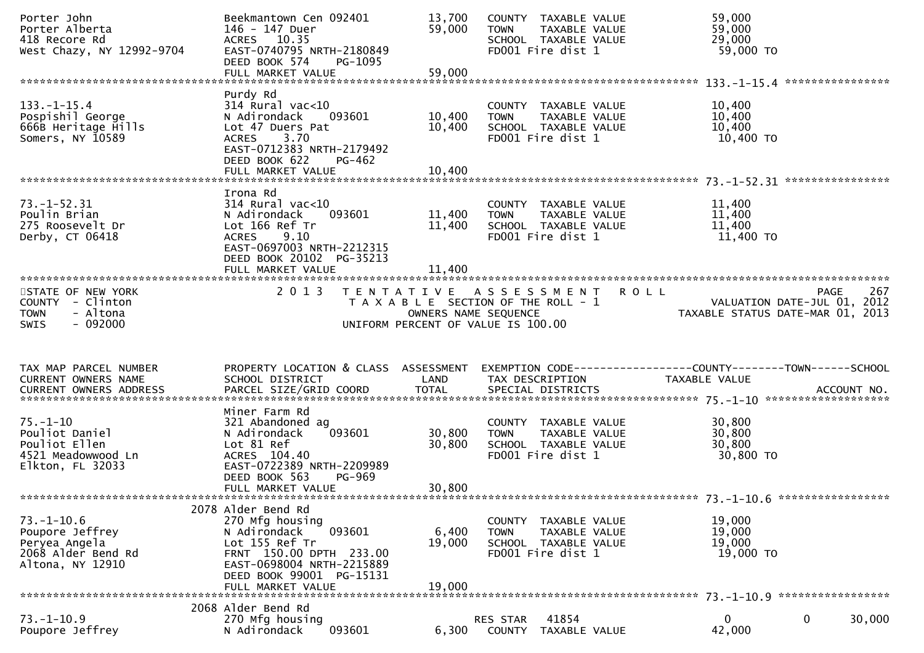| Porter John<br>Porter Alberta<br>418 Recore Rd<br>West Chazy, NY 12992-9704                    | Beekmantown Cen 092401<br>146 - 147 Duer<br>ACRES 10.35<br>EAST-0740795 NRTH-2180849<br>DEED BOOK 574<br>PG-1095                                                                           | 13,700<br>59,000           | COUNTY TAXABLE VALUE<br>TAXABLE VALUE<br><b>TOWN</b><br>SCHOOL TAXABLE VALUE<br>FD001 Fire dist 1        | 59,000<br>59,000<br>29,000<br>59,000 TO                                                                                                                                 |
|------------------------------------------------------------------------------------------------|--------------------------------------------------------------------------------------------------------------------------------------------------------------------------------------------|----------------------------|----------------------------------------------------------------------------------------------------------|-------------------------------------------------------------------------------------------------------------------------------------------------------------------------|
|                                                                                                | FULL MARKET VALUE                                                                                                                                                                          | 59,000                     |                                                                                                          |                                                                                                                                                                         |
| $133. - 1 - 15.4$<br>Pospishil George<br>666B Heritage Hills<br>Somers, NY 10589               | Purdy Rd<br>$314$ Rural vac< $10$<br>N Adirondack<br>093601<br>Lot 47 Duers Pat<br>3.70<br><b>ACRES</b><br>EAST-0712383 NRTH-2179492<br>DEED BOOK 622<br>PG-462<br>FULL MARKET VALUE       | 10,400<br>10,400<br>10,400 | COUNTY TAXABLE VALUE<br><b>TOWN</b><br>TAXABLE VALUE<br>SCHOOL TAXABLE VALUE<br>FD001 Fire dist 1        | 10,400<br>10,400<br>10,400<br>10,400 TO                                                                                                                                 |
|                                                                                                |                                                                                                                                                                                            |                            |                                                                                                          |                                                                                                                                                                         |
| $73. - 1 - 52.31$<br>Poulin Brian<br>275 Roosevelt Dr<br>Derby, CT 06418                       | Irona Rd<br>$314$ Rural vac< $10$<br>N Adirondack<br>093601<br>Lot 166 Ref Tr<br><b>ACRES</b><br>9.10<br>EAST-0697003 NRTH-2212315<br>DEED BOOK 20102 PG-35213<br>FULL MARKET VALUE        | 11,400<br>11,400<br>11,400 | COUNTY TAXABLE VALUE<br>TAXABLE VALUE<br><b>TOWN</b><br>SCHOOL TAXABLE VALUE<br>FD001 Fire dist 1        | 11,400<br>11,400<br>11,400<br>11,400 TO                                                                                                                                 |
|                                                                                                |                                                                                                                                                                                            |                            |                                                                                                          |                                                                                                                                                                         |
| STATE OF NEW YORK<br>COUNTY - Clinton<br>- Altona<br><b>TOWN</b><br>$-092000$<br><b>SWIS</b>   | 2 0 1 3                                                                                                                                                                                    | OWNERS NAME SEQUENCE       | TENTATIVE ASSESSMENT ROLL<br>T A X A B L E SECTION OF THE ROLL - 1<br>UNIFORM PERCENT OF VALUE IS 100.00 | 267<br><b>PAGE</b><br>VALUATION DATE-JUL 01, 2012<br>TAXABLE STATUS DATE-MAR 01, 2013                                                                                   |
|                                                                                                |                                                                                                                                                                                            |                            |                                                                                                          |                                                                                                                                                                         |
| TAX MAP PARCEL NUMBER<br>CURRENT OWNERS NAME                                                   | SCHOOL DISTRICT                                                                                                                                                                            | LAND                       | TAX DESCRIPTION                                                                                          | PROPERTY LOCATION & CLASS ASSESSMENT EXEMPTION CODE----------------COUNTY-------TOWN------SCHOOL<br>TAXABLE VALUE                                                       |
| $75. - 1 - 10$<br>Pouliot Daniel<br>Pouliot Ellen<br>4521 Meadowwood Ln<br>Elkton, FL 32033    | Miner Farm Rd<br>321 Abandoned ag<br>093601<br>N Adirondack<br>Lot 81 Ref<br>ACRES 104.40<br>EAST-0722389 NRTH-2209989<br>DEED BOOK 563<br><b>PG-969</b><br>FULL MARKET VALUE              | 30,800<br>30,800<br>30,800 | COUNTY TAXABLE VALUE<br><b>TOWN</b><br>TAXABLE VALUE<br>SCHOOL TAXABLE VALUE<br>FD001 Fire dist 1        | CURRENT OWNERS ADDRESS FARCEL SIZE/GRID COORD TOTAL SPECIAL DISTRICTS FOR THE SPECIAL OURRENT OWNERS ADDRESS FOR ACCOUNT NO.<br>30,800<br>30,800<br>30,800<br>30,800 TO |
|                                                                                                |                                                                                                                                                                                            |                            |                                                                                                          |                                                                                                                                                                         |
| $73. - 1 - 10.6$<br>Poupore Jeffrey<br>Peryea Angela<br>2068 Alder Bend Rd<br>Altona, NY 12910 | 2078 Alder Bend Rd<br>270 Mfg housing<br>N Adirondack<br>093601<br>Lot 155 Ref Tr<br>FRNT 150.00 DPTH 233.00<br>EAST-0698004 NRTH-2215889<br>DEED BOOK 99001 PG-15131<br>FULL MARKET VALUE | 6,400<br>19,000<br>19.000  | COUNTY TAXABLE VALUE<br><b>TOWN</b><br>TAXABLE VALUE<br>SCHOOL TAXABLE VALUE<br>FD001 Fire dist 1        | 19,000<br>19,000<br>19,000<br>19,000 TO                                                                                                                                 |
|                                                                                                | 2068 Alder Bend Rd                                                                                                                                                                         |                            |                                                                                                          |                                                                                                                                                                         |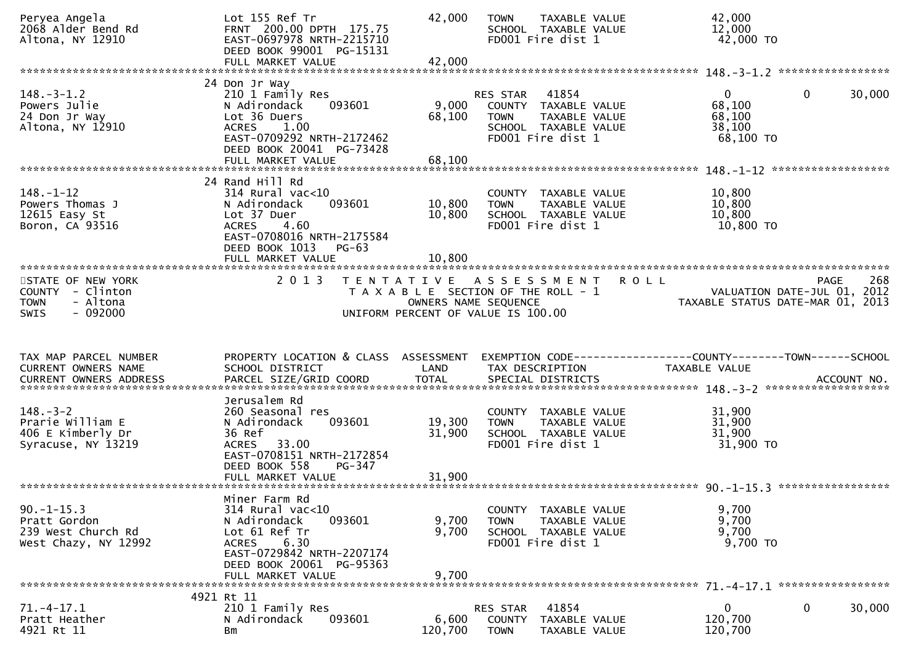| Peryea Angela<br>2068 Alder Bend Rd<br>Altona, NY 12910                                         | Lot 155 Ref Tr<br>FRNT 200.00 DPTH 175.75<br>EAST-0697978 NRTH-2215710<br>DEED BOOK 99001 PG-15131<br>FULL MARKET VALUE                                                             | 42,000<br>42,000           | TAXABLE VALUE<br><b>TOWN</b><br>SCHOOL TAXABLE VALUE<br>FD001 Fire dist 1                                                   | 42,000<br>12,000<br>42,000 TO                                                        | *****************      |
|-------------------------------------------------------------------------------------------------|-------------------------------------------------------------------------------------------------------------------------------------------------------------------------------------|----------------------------|-----------------------------------------------------------------------------------------------------------------------------|--------------------------------------------------------------------------------------|------------------------|
| $148. - 3 - 1.2$<br>Powers Julie<br>24 Don Jr Way<br>Altona, NY 12910                           | 24 Don Jr Way<br>210 1 Family Res<br>N Adirondack<br>093601<br>Lot 36 Duers<br><b>ACRES</b><br>1.00<br>EAST-0709292 NRTH-2172462<br>DEED BOOK 20041 PG-73428<br>FULL MARKET VALUE   | 9,000<br>68,100<br>68,100  | RES STAR<br>41854<br>COUNTY TAXABLE VALUE<br><b>TOWN</b><br>TAXABLE VALUE<br>SCHOOL TAXABLE VALUE<br>FD001 Fire dist 1      | $\overline{0}$<br>68,100<br>68,100<br>38,100<br>68,100 TO                            | $\mathbf{0}$<br>30,000 |
| $148. - 1 - 12$<br>Powers Thomas J<br>$12615$ Easy St<br>Boron, CA 93516                        | 24 Rand Hill Rd<br>314 Rural vac<10<br>093601<br>N Adirondack<br>Lot 37 Duer<br><b>ACRES</b><br>4.60<br>EAST-0708016 NRTH-2175584<br>DEED BOOK 1013<br>$PG-63$<br>FULL MARKET VALUE | 10,800<br>10,800<br>10,800 | COUNTY<br>TAXABLE VALUE<br>TAXABLE VALUE<br><b>TOWN</b><br>SCHOOL TAXABLE VALUE<br>FD001 Fire dist 1                        | 10,800<br>10,800<br>10,800<br>10,800 TO                                              | *****************      |
| STATE OF NEW YORK<br>- Clinton<br><b>COUNTY</b><br><b>TOWN</b><br>- Altona<br>$-092000$<br>SWIS | 2 0 1 3                                                                                                                                                                             |                            | TENTATIVE ASSESSMENT<br>T A X A B L E SECTION OF THE ROLL - 1<br>OWNERS NAME SEQUENCE<br>UNIFORM PERCENT OF VALUE IS 100.00 | <b>ROLL</b><br>VALUATION DATE-JUL 01, 2012<br>TAXABLE STATUS DATE-MAR 01, 2013       | 268<br>PAGE            |
|                                                                                                 |                                                                                                                                                                                     |                            |                                                                                                                             |                                                                                      |                        |
| TAX MAP PARCEL NUMBER<br>CURRENT OWNERS NAME                                                    | PROPERTY LOCATION & CLASS ASSESSMENT<br>SCHOOL DISTRICT                                                                                                                             | LAND                       | TAX DESCRIPTION                                                                                                             | EXEMPTION CODE-----------------COUNTY-------TOWN------SCHOOL<br><b>TAXABLE VALUE</b> |                        |
| $148. - 3 - 2$<br>Prarie William E<br>406 E Kimberly Dr<br>Syracuse, NY 13219                   | Jerusalem Rd<br>260 Seasonal res<br>093601<br>N Adirondack<br>36 Ref<br>33.00<br><b>ACRES</b><br>EAST-0708151 NRTH-2172854<br>DEED BOOK 558<br>PG-347<br>FULL MARKET VALUE          | 19,300<br>31,900<br>31,900 | COUNTY TAXABLE VALUE<br><b>TAXABLE VALUE</b><br><b>TOWN</b><br>SCHOOL TAXABLE VALUE<br>FD001 Fire dist 1                    | 31,900<br>31,900<br>31,900<br>31,900 TO                                              |                        |
| $90. -1 - 15.3$<br>Pratt Gordon<br>239 West Church Rd<br>West Chazy, NY 12992                   | Miner Farm Rd<br>$314$ Rural vac<10<br>N Adirondack<br>093601<br>Lot 61 Ref Tr<br>6.30<br>ACRES<br>EAST-0729842 NRTH-2207174<br>DEED BOOK 20061 PG-95363<br>FULL MARKET VALUE       | 9,700<br>9.700<br>9,700    | COUNTY TAXABLE VALUE<br>TAXABLE VALUE<br><b>TOWN</b><br>SCHOOL TAXABLE VALUE<br>FD001 Fire dist 1                           | 9,700<br>9,700<br>9,700<br>9,700 TO                                                  | *****************      |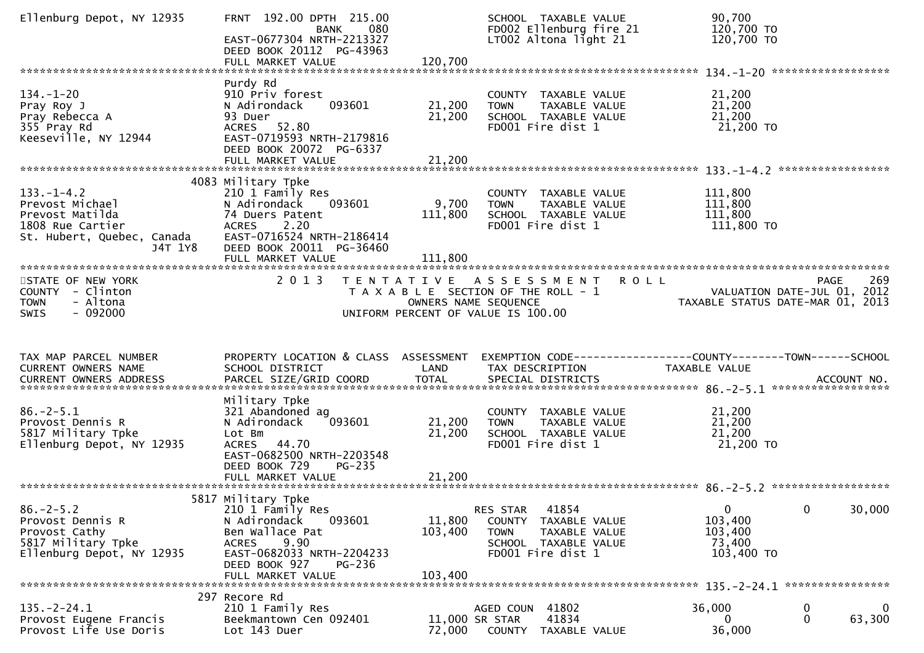| Ellenburg Depot, NY 12935                                                                                           | FRNT 192.00 DPTH 215.00<br>080<br><b>BANK</b><br>EAST-0677304 NRTH-2213327<br>DEED BOOK 20112 PG-43963<br>FULL MARKET VALUE                                                                     | 120,700                      | SCHOOL TAXABLE VALUE<br>FD002 Ellenburg fire 21<br>LT002 Altona light 21                                               | 90,700<br>120,700 TO<br>120,700 TO                                                            |        |
|---------------------------------------------------------------------------------------------------------------------|-------------------------------------------------------------------------------------------------------------------------------------------------------------------------------------------------|------------------------------|------------------------------------------------------------------------------------------------------------------------|-----------------------------------------------------------------------------------------------|--------|
|                                                                                                                     |                                                                                                                                                                                                 |                              |                                                                                                                        |                                                                                               |        |
| $134. - 1 - 20$<br>Pray Roy J<br>Pray Rebecca A<br>355 Pray Rd<br>Keeseville, NY 12944                              | Purdy Rd<br>910 Priv forest<br>093601<br>N Adirondack<br>93 Duer<br>ACRES 52.80<br>EAST-0719593 NRTH-2179816<br>DEED BOOK 20072 PG-6337                                                         | 21,200<br>21,200             | COUNTY TAXABLE VALUE<br>TAXABLE VALUE<br><b>TOWN</b><br>SCHOOL TAXABLE VALUE<br>FD001 Fire dist 1                      | 21,200<br>21,200<br>21,200<br>21,200 TO                                                       |        |
|                                                                                                                     | FULL MARKET VALUE                                                                                                                                                                               | 21,200                       |                                                                                                                        |                                                                                               |        |
| $133. - 1 - 4.2$<br>Prevost Michael<br>Prevost Matilda<br>1808 Rue Cartier<br>St. Hubert, Quebec, Canada<br>J4T 1Y8 | 4083 Military Tpke<br>210 1 Family Res<br>N Adirondack<br>093601<br>74 Duers Patent<br>2.20<br><b>ACRES</b><br>EAST-0716524 NRTH-2186414<br>DEED BOOK 20011 PG-36460<br>FULL MARKET VALUE       | 9,700<br>111,800<br>111,800  | COUNTY TAXABLE VALUE<br>TAXABLE VALUE<br><b>TOWN</b><br>SCHOOL TAXABLE VALUE<br>FD001 Fire dist 1                      | 111,800<br>111,800<br>111,800<br>111,800 TO                                                   |        |
|                                                                                                                     |                                                                                                                                                                                                 |                              |                                                                                                                        |                                                                                               |        |
| STATE OF NEW YORK<br>COUNTY - Clinton<br>- Altona<br><b>TOWN</b><br>$-092000$<br><b>SWIS</b>                        | 2 0 1 3                                                                                                                                                                                         | OWNERS NAME SEQUENCE         | TENTATIVE ASSESSMENT<br><b>ROLL</b><br>T A X A B L E SECTION OF THE ROLL - 1<br>UNIFORM PERCENT OF VALUE IS 100.00     | <b>PAGE</b><br>VALUATION DATE-JUL 01, 2012<br>TAXABLE STATUS DATE-MAR 01, 2013                | 269    |
|                                                                                                                     |                                                                                                                                                                                                 |                              |                                                                                                                        |                                                                                               |        |
|                                                                                                                     |                                                                                                                                                                                                 |                              |                                                                                                                        |                                                                                               |        |
| TAX MAP PARCEL NUMBER<br>CURRENT OWNERS NAME                                                                        | PROPERTY LOCATION & CLASS ASSESSMENT<br>SCHOOL DISTRICT                                                                                                                                         | LAND                         | TAX DESCRIPTION                                                                                                        | EXEMPTION CODE-----------------COUNTY-------TOWN------SCHOOL<br>TAXABLE VALUE                 |        |
| $86. - 2 - 5.1$<br>Provost Dennis R<br>5817 Military Tpke<br>Ellenburg Depot, NY 12935                              | Military Tpke<br>321 Abandoned ag<br>N Adirondack<br>093601<br>Lot Bm<br>ACRES 44.70<br>EAST-0682500 NRTH-2203548<br>DEED BOOK 729<br>$PG-235$                                                  | 21,200<br>21,200             | COUNTY TAXABLE VALUE<br>TAXABLE VALUE<br><b>TOWN</b><br>SCHOOL TAXABLE VALUE<br>FD001 Fire dist 1                      | 21,200<br>21,200<br>21,200<br>21,200 TO                                                       |        |
|                                                                                                                     |                                                                                                                                                                                                 |                              |                                                                                                                        |                                                                                               |        |
| $86. - 2 - 5.2$<br>Provost Dennis R<br>Provost Cathy<br>5817 Military Tpke<br>Ellenburg Depot, NY 12935             | 5817 Military Tpke<br>210 1 Family Res<br>N Adirondack<br>093601<br>Ben Wallace Pat<br>9.90<br><b>ACRES</b><br>EAST-0682033 NRTH-2204233<br>DEED BOOK 927<br><b>PG-236</b><br>FULL MARKET VALUE | 11,800<br>103,400<br>103,400 | 41854<br>RES STAR<br>COUNTY TAXABLE VALUE<br>TAXABLE VALUE<br><b>TOWN</b><br>SCHOOL TAXABLE VALUE<br>FD001 Fire dist 1 | $\mathbf{0}$<br>$\mathbf 0$<br>103,400<br>103,400<br>73,400<br>103,400 TO<br>**************** | 30,000 |
|                                                                                                                     | 297 Recore Rd                                                                                                                                                                                   |                              |                                                                                                                        |                                                                                               |        |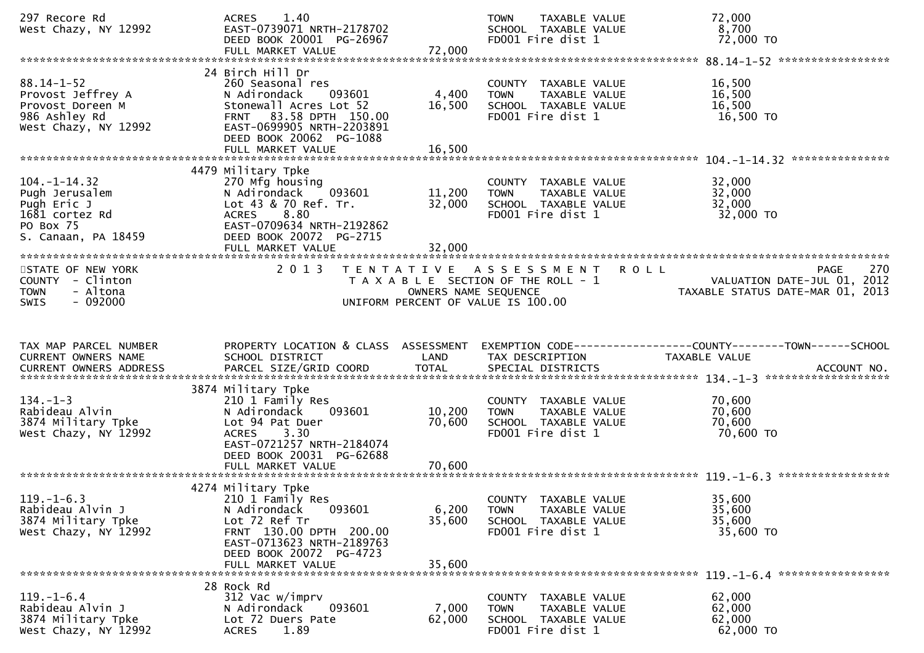| 297 Recore Rd<br>West Chazy, NY 12992                                                                     | 1.40<br><b>ACRES</b><br>EAST-0739071 NRTH-2178702<br>DEED BOOK 20001 PG-26967                                                                                                                |                                           | TAXABLE VALUE<br><b>TOWN</b><br>SCHOOL TAXABLE VALUE<br>FD001 Fire dist 1                                         | 72,000<br>8,700<br>72,000 TO                                                   |             |
|-----------------------------------------------------------------------------------------------------------|----------------------------------------------------------------------------------------------------------------------------------------------------------------------------------------------|-------------------------------------------|-------------------------------------------------------------------------------------------------------------------|--------------------------------------------------------------------------------|-------------|
|                                                                                                           |                                                                                                                                                                                              |                                           |                                                                                                                   |                                                                                |             |
| $88.14 - 1 - 52$<br>Provost Jeffrey A<br>Provost Doreen M<br>986 Ashley Rd<br>West Chazy, NY 12992        | 24 Birch Hill Dr<br>260 Seasonal res<br>093601<br>N Adirondack<br>Stonewall Acres Lot 52<br>FRNT 83.58 DPTH 150.00<br>EAST-0699905 NRTH-2203891<br>DEED BOOK 20062 PG-1088                   | 4,400<br>16,500                           | COUNTY TAXABLE VALUE<br><b>TOWN</b><br>TAXABLE VALUE<br>SCHOOL TAXABLE VALUE<br>FD001 Fire dist 1                 | 16,500<br>16,500<br>16,500<br>16,500 TO                                        |             |
|                                                                                                           |                                                                                                                                                                                              |                                           |                                                                                                                   | ***************                                                                |             |
| $104. - 1 - 14.32$<br>Pugh Jerusalem<br>Pugh Eric J<br>1681 cortez Rd<br>PO Box 75<br>S. Canaan, PA 18459 | 4479 Military Tpke<br>270 Mfg housing<br>093601<br>N Adirondack<br>Lot 43 & 70 Ref. Tr.<br>8.80<br><b>ACRES</b><br>EAST-0709634 NRTH-2192862<br>DEED BOOK 20072 PG-2715<br>FULL MARKET VALUE | 11,200<br>32,000<br>32,000                | COUNTY TAXABLE VALUE<br>TAXABLE VALUE<br><b>TOWN</b><br>SCHOOL TAXABLE VALUE<br>FD001 Fire dist 1                 | 32,000<br>32,000<br>32,000<br>32,000 TO                                        |             |
|                                                                                                           |                                                                                                                                                                                              |                                           |                                                                                                                   |                                                                                |             |
| STATE OF NEW YORK<br>COUNTY - Clinton<br><b>TOWN</b><br>- Altona<br>$-092000$<br><b>SWIS</b>              | 2 0 1 3                                                                                                                                                                                      | T E N T A T I V E<br>OWNERS NAME SEQUENCE | <b>ROLL</b><br>A S S E S S M E N T<br>T A X A B L E SECTION OF THE ROLL - 1<br>UNIFORM PERCENT OF VALUE IS 100.00 | <b>PAGE</b><br>VALUATION DATE-JUL 01, 2012<br>TAXABLE STATUS DATE-MAR 01, 2013 | 270         |
|                                                                                                           |                                                                                                                                                                                              |                                           |                                                                                                                   |                                                                                |             |
| TAX MAP PARCEL NUMBER<br>CURRENT OWNERS NAME<br>CURRENT OWNERS ADDRESS                                    | PROPERTY LOCATION & CLASS ASSESSMENT<br>SCHOOL DISTRICT<br>PARCEL SIZE/GRID COORD                                                                                                            | LAND<br><b>TOTAL</b>                      | TAX DESCRIPTION<br>SPECIAL DISTRICTS                                                                              | EXEMPTION CODE-----------------COUNTY-------TOWN------SCHOOL<br>TAXABLE VALUE  | ACCOUNT NO. |
| $134. - 1 - 3$<br>Rabideau Alvin<br>3874 Military Tpke<br>West Chazy, NY 12992                            | 3874 Military Tpke<br>210 1 Family Res<br>N Adirondack<br>093601<br>Lot 94 Pat Duer<br>3.30<br><b>ACRES</b><br>EAST-0721257 NRTH-2184074<br>DEED BOOK 20031 PG-62688<br>FULL MARKET VALUE    | 10,200<br>70,600<br>70,600                | COUNTY TAXABLE VALUE<br><b>TOWN</b><br>TAXABLE VALUE<br>SCHOOL TAXABLE VALUE<br>FD001 Fire dist 1                 | 70,600<br>70,600<br>70,600<br>70,600 TO                                        |             |
| $119. - 1 - 6.3$<br>Rabideau Alvin J<br>3874 Military Tpke<br>West Chazy, NY 12992                        | 4274 Military Tpke<br>210 1 Family Res<br>093601<br>N Adirondack<br>Lot 72 Ref Tr<br>FRNT 130.00 DPTH 200.00<br>EAST-0713623 NRTH-2189763<br>DEED BOOK 20072 PG-4723<br>FULL MARKET VALUE    | 6,200<br>35,600<br>35,600                 | COUNTY TAXABLE VALUE<br>TAXABLE VALUE<br><b>TOWN</b><br>SCHOOL TAXABLE VALUE<br>FD001 Fire dist 1                 | 35,600<br>35,600<br>35,600<br>35,600 TO<br>*****************                   |             |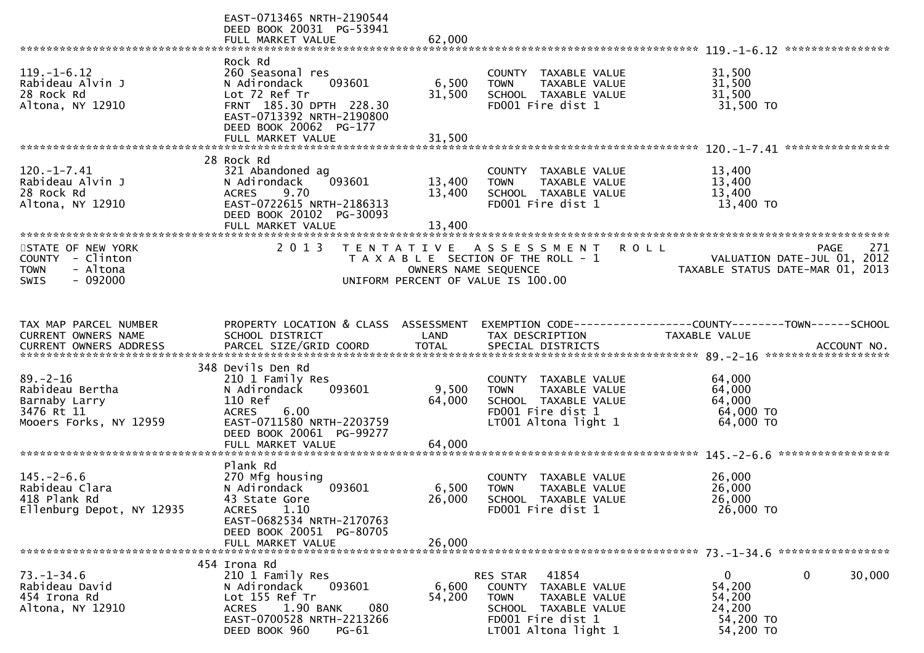|                                                                                              | EAST-0713465 NRTH-2190544<br>DEED BOOK 20031 PG-53941<br>FULL MARKET VALUE                                                                                                                      | 62,000                                    |                                                                                                                                                   |                                                                                 |        |
|----------------------------------------------------------------------------------------------|-------------------------------------------------------------------------------------------------------------------------------------------------------------------------------------------------|-------------------------------------------|---------------------------------------------------------------------------------------------------------------------------------------------------|---------------------------------------------------------------------------------|--------|
| $119. - 1 - 6.12$<br>Rabideau Alvin J<br>28 Rock Rd<br>Altona, NY 12910                      | Rock Rd<br>260 Seasonal res<br>093601<br>N Adirondack<br>Lot 72 Ref Tr<br>FRNT 185.30 DPTH 228.30<br>EAST-0713392 NRTH-2190800<br>DEED BOOK 20062 PG-177<br>FULL MARKET VALUE                   | 6,500<br>31,500<br>31,500                 | COUNTY TAXABLE VALUE<br>TAXABLE VALUE<br><b>TOWN</b><br>SCHOOL TAXABLE VALUE<br>FD001 Fire dist 1                                                 | 31,500<br>31,500<br>31,500<br>31,500 TO                                         |        |
| $120. - 1 - 7.41$<br>Rabideau Alvin J<br>28 Rock Rd<br>Altona, NY 12910                      | 28 Rock Rd<br>321 Abandoned ag<br>093601<br>N Adirondack<br>9.70<br><b>ACRES</b><br>EAST-0722615 NRTH-2186313<br>DEED BOOK 20102 PG-30093<br>FULL MARKET VALUE<br>***************************** | 13,400<br>13,400<br>13,400                | COUNTY TAXABLE VALUE<br><b>TOWN</b><br>TAXABLE VALUE<br>SCHOOL TAXABLE VALUE<br>FD001 Fire dist 1                                                 | 13,400<br>13,400<br>13,400<br>13,400 TO                                         |        |
| STATE OF NEW YORK<br>COUNTY - Clinton<br><b>TOWN</b><br>- Altona<br>$-092000$<br><b>SWIS</b> | 2 0 1 3                                                                                                                                                                                         | T E N T A T I V E<br>OWNERS NAME SEQUENCE | A S S E S S M E N T<br><b>ROLL</b><br>T A X A B L E SECTION OF THE ROLL - 1<br>UNIFORM PERCENT OF VALUE IS 100.00                                 | <b>PAGE</b><br>VALUATION DATE-JUL 01, 2012<br>TAXABLE STATUS DATE-MAR 01, 2013  | 271    |
| TAX MAP PARCEL NUMBER<br>CURRENT OWNERS NAME                                                 | PROPERTY LOCATION & CLASS ASSESSMENT<br>SCHOOL DISTRICT                                                                                                                                         | LAND                                      | TAX DESCRIPTION                                                                                                                                   | EXEMPTION CODE------------------COUNTY--------TOWN------SCHOOL<br>TAXABLE VALUE |        |
| $89. - 2 - 16$<br>Rabideau Bertha<br>Barnaby Larry<br>3476 Rt 11<br>Mooers Forks, NY 12959   | 348 Devils Den Rd<br>210 1 Family Res<br>093601<br>N Adirondack<br>110 Ref<br>6.00<br><b>ACRES</b><br>EAST-0711580 NRTH-2203759<br>DEED BOOK 20061 PG-99277<br>FULL MARKET VALUE                | 9,500<br>64,000<br>64,000                 | COUNTY TAXABLE VALUE<br><b>TOWN</b><br>TAXABLE VALUE<br>SCHOOL TAXABLE VALUE<br>FD001 Fire dist 1<br>LT001 Altona light 1                         | 64,000<br>64,000<br>64,000<br>64,000 TO<br>64,000 TO                            |        |
| $145. - 2 - 6.6$<br>Rabideau Clara<br>418 Plank Rd<br>Ellenburg Depot, NY 12935              | Plank Rd<br>270 Mfg housing<br>093601<br>N Adirondack<br>43 State Gore<br>1.10<br><b>ACRES</b><br>EAST-0682534 NRTH-2170763<br>DEED BOOK 20051 PG-80705<br>FULL MARKET VALUE                    | 6,500<br>26,000<br>26,000                 | COUNTY TAXABLE VALUE<br><b>TOWN</b><br>TAXABLE VALUE<br>SCHOOL TAXABLE VALUE<br>FD001 Fire dist 1                                                 | *****************<br>26,000<br>26,000<br>26,000<br>26,000 TO                    |        |
| $73. - 1 - 34.6$<br>Rabideau David<br>454 Irona Rd<br>Altona, NY 12910                       | 454 Irona Rd<br>210 1 Family Res<br>N Adirondack<br>093601<br>Lot 155 Ref Tr<br>1.90 BANK<br>080<br>ACRES<br>EAST-0700528 NRTH-2213266<br>DEED BOOK 960<br>$PG-61$                              | 6,600<br>54,200                           | 41854<br>RES STAR<br>COUNTY<br>TAXABLE VALUE<br><b>TOWN</b><br>TAXABLE VALUE<br>SCHOOL TAXABLE VALUE<br>FD001 Fire dist 1<br>LT001 Altona light 1 | $\overline{0}$<br>0<br>54,200<br>54,200<br>24,200<br>54,200 TO<br>54,200 TO     | 30,000 |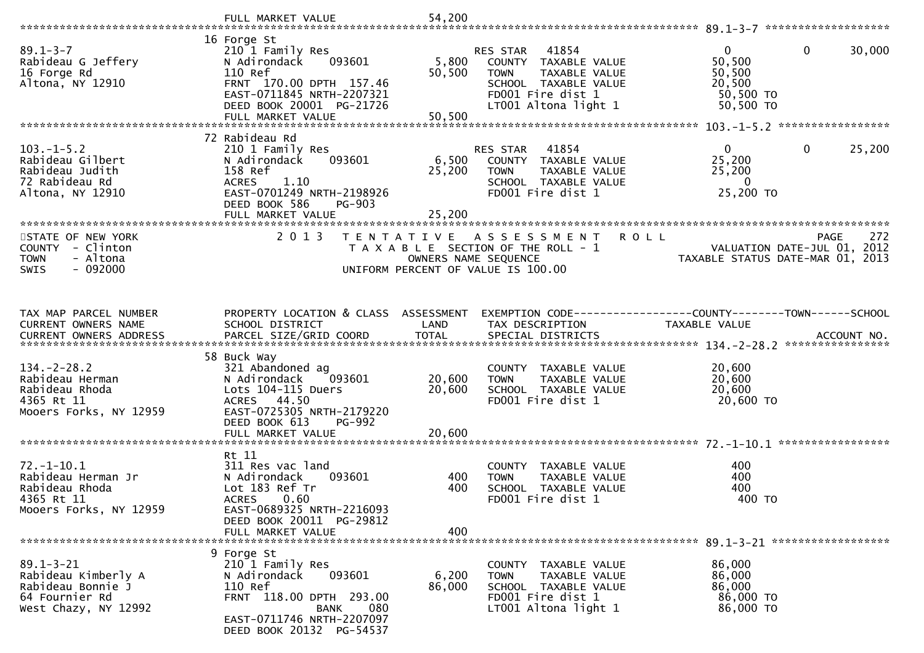|                                                                                                       | FULL MARKET VALUE                                                                                                                                                                  | 54,200                                    |                                                                                                                                                       |                                                                        | 89.1-3-7 *********************                    |
|-------------------------------------------------------------------------------------------------------|------------------------------------------------------------------------------------------------------------------------------------------------------------------------------------|-------------------------------------------|-------------------------------------------------------------------------------------------------------------------------------------------------------|------------------------------------------------------------------------|---------------------------------------------------|
| $89.1 - 3 - 7$<br>Rabideau G Jeffery<br>16 Forge Rd<br>Altona, NY 12910                               | 16 Forge St<br>210 1 Family Res<br>093601<br>N Adirondack<br>110 Ref<br>FRNT 170.00 DPTH 157.46<br>EAST-0711845 NRTH-2207321<br>DEED BOOK 20001 PG-21726<br>FULL MARKET VALUE      | 5,800<br>50,500<br>50,500                 | 41854<br><b>RES STAR</b><br>COUNTY TAXABLE VALUE<br><b>TOWN</b><br>TAXABLE VALUE<br>SCHOOL TAXABLE VALUE<br>FD001 Fire dist 1<br>LT001 Altona light 1 | $\overline{0}$<br>50,500<br>50,500<br>20,500<br>50,500 TO<br>50,500 TO | 30,000<br>0                                       |
|                                                                                                       | 72 Rabideau Rd                                                                                                                                                                     |                                           |                                                                                                                                                       |                                                                        |                                                   |
| $103.-1-5.2$<br>Rabideau Gilbert<br>Rabideau Judith<br>72 Rabideau Rd<br>Altona, NY 12910             | 210 1 Family Res<br>093601<br>N Adirondack<br>158 Ref<br>1.10<br><b>ACRES</b><br>EAST-0701249 NRTH-2198926<br>DEED BOOK 586<br><b>PG-903</b><br>FULL MARKET VALUE                  | 6,500<br>25,200<br>25,200                 | 41854<br>RES STAR<br>COUNTY TAXABLE VALUE<br>TAXABLE VALUE<br><b>TOWN</b><br>SCHOOL TAXABLE VALUE<br>FD001 Fire dist 1                                | $\overline{0}$<br>25,200<br>25,200<br>$\bf{0}$<br>25,200 TO            | 25,200<br>0                                       |
| STATE OF NEW YORK                                                                                     | 2 0 1 3                                                                                                                                                                            |                                           |                                                                                                                                                       |                                                                        |                                                   |
| COUNTY - Clinton<br>- Altona<br><b>TOWN</b><br>$-092000$<br><b>SWIS</b>                               |                                                                                                                                                                                    | T E N T A T I V E<br>OWNERS NAME SEQUENCE | ASSESSMENT<br>T A X A B L E SECTION OF THE ROLL - 1<br>UNIFORM PERCENT OF VALUE IS 100.00                                                             | <b>ROLL</b><br>TAXABLE STATUS DATE-MAR 01, 2013                        | 272<br><b>PAGE</b><br>VALUATION DATE-JUL 01, 2012 |
| TAX MAP PARCEL NUMBER<br>CURRENT OWNERS NAME                                                          | PROPERTY LOCATION & CLASS ASSESSMENT<br>SCHOOL DISTRICT                                                                                                                            | LAND                                      | EXEMPTION CODE------------------COUNTY--------TOWN------SCHOOL<br>TAX DESCRIPTION                                                                     | TAXABLE VALUE                                                          | ACCOUNT NO.<br>****************                   |
| $134. -2 - 28.2$<br>Rabideau Herman<br>Rabideau Rhoda<br>4365 Rt 11<br>Mooers Forks, NY 12959         | 58 Buck Way<br>321 Abandoned ag<br>N Adirondack<br>093601<br>Lots 104-115 Duers<br>ACRES 44.50<br>EAST-0725305 NRTH-2179220<br>DEED BOOK 613<br><b>PG-992</b><br>FULL MARKET VALUE | 20,600<br>20,600<br>20,600                | COUNTY TAXABLE VALUE<br>TAXABLE VALUE<br><b>TOWN</b><br>SCHOOL TAXABLE VALUE<br>FD001 Fire dist 1                                                     | 20,600<br>20,600<br>20,600<br>20,600 TO                                |                                                   |
|                                                                                                       | Rt 11                                                                                                                                                                              |                                           |                                                                                                                                                       |                                                                        |                                                   |
| $72. - 1 - 10.1$<br>Rabideau Herman Jr<br>Rabideau Rhoda<br>4365 Rt 11<br>Mooers Forks, NY 12959      | 311 Res vac land<br>N Adirondack<br>093601<br>Lot 183 Ref Tr<br><b>ACRES</b><br>0.60<br>EAST-0689325 NRTH-2216093<br>DEED BOOK 20011 PG-29812                                      | 400<br>400                                | COUNTY TAXABLE VALUE<br>TAXABLE VALUE<br><b>TOWN</b><br>SCHOOL TAXABLE VALUE<br>FD001 Fire dist 1                                                     | 400<br>400<br>400<br>400 TO                                            |                                                   |
|                                                                                                       | FULL MARKET VALUE                                                                                                                                                                  | 400                                       |                                                                                                                                                       |                                                                        |                                                   |
| $89.1 - 3 - 21$<br>Rabideau Kimberly A<br>Rabideau Bonnie J<br>64 Fournier Rd<br>West Chazy, NY 12992 | 9 Forge St<br>210 1 Family Res<br>093601<br>N Adirondack<br>110 Ref<br>FRNT 118.00 DPTH 293.00<br>080<br>BANK<br>EAST-0711746 NRTH-2207097<br>DEED BOOK 20132 PG-54537             | 6,200<br>86,000                           | COUNTY TAXABLE VALUE<br>TAXABLE VALUE<br><b>TOWN</b><br>SCHOOL TAXABLE VALUE<br>FD001 Fire dist 1<br>LT001 Altona light 1                             | 86,000<br>86,000<br>86,000<br>86,000 TO<br>86,000 TO                   |                                                   |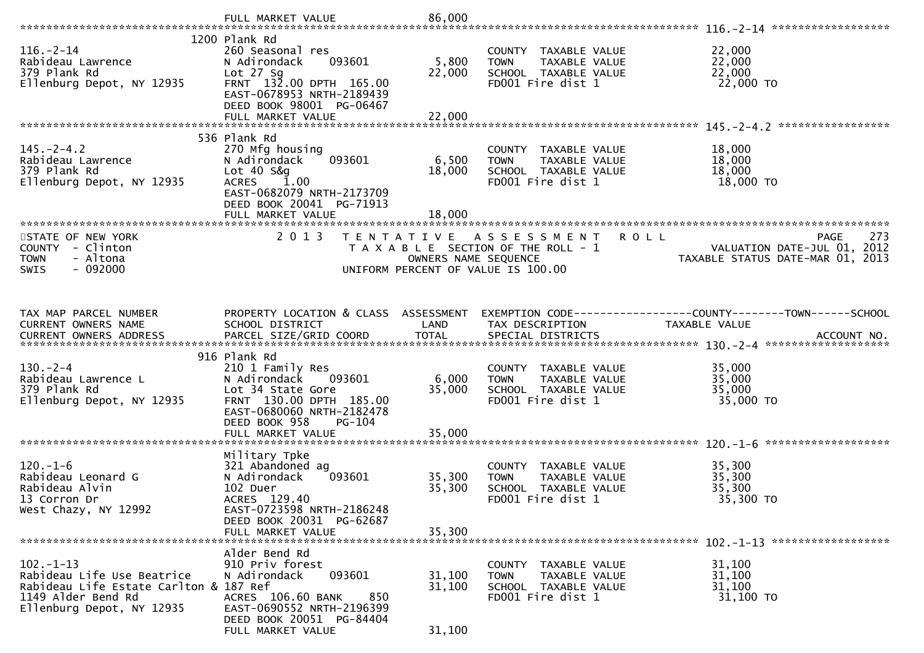|                                                                                                                                           | FULL MARKET VALUE                                                                                                                                  | 86,000               |                                                                                                          |                                                                                       |
|-------------------------------------------------------------------------------------------------------------------------------------------|----------------------------------------------------------------------------------------------------------------------------------------------------|----------------------|----------------------------------------------------------------------------------------------------------|---------------------------------------------------------------------------------------|
|                                                                                                                                           |                                                                                                                                                    |                      |                                                                                                          |                                                                                       |
| $116. - 2 - 14$<br>Rabideau Lawrence<br>379 Plank Rd<br>Ellenburg Depot, NY 12935                                                         | 1200 Plank Rd<br>260 Seasonal res<br>093601<br>N Adirondack<br>Lot $27$ Sq<br>FRNT 132.00 DPTH 165.00<br>EAST-0678953 NRTH-2189439                 | 5,800<br>22,000      | COUNTY TAXABLE VALUE<br>TAXABLE VALUE<br><b>TOWN</b><br>SCHOOL TAXABLE VALUE<br>FD001 Fire dist 1        | 22,000<br>22,000<br>22,000<br>22,000 TO                                               |
|                                                                                                                                           | DEED BOOK 98001 PG-06467                                                                                                                           |                      |                                                                                                          |                                                                                       |
|                                                                                                                                           | FULL MARKET VALUE                                                                                                                                  | 22,000               |                                                                                                          |                                                                                       |
|                                                                                                                                           | 536 Plank Rd                                                                                                                                       |                      |                                                                                                          |                                                                                       |
| $145. -2 - 4.2$<br>Rabideau Lawrence<br>379 Plank Rd<br>Ellenburg Depot, NY 12935                                                         | 270 Mfg housing<br>093601<br>N Adirondack<br>Lot $40 S&q$<br><b>1.00</b><br><b>ACRES</b><br>EAST-0682079 NRTH-2173709<br>DEED BOOK 20041 PG-71913  | 6,500<br>18,000      | COUNTY TAXABLE VALUE<br>TAXABLE VALUE<br><b>TOWN</b><br>SCHOOL TAXABLE VALUE<br>FD001 Fire dist 1        | 18,000<br>18,000<br>18,000<br>18,000 TO                                               |
|                                                                                                                                           | FULL MARKET VALUE                                                                                                                                  | 18,000               |                                                                                                          |                                                                                       |
|                                                                                                                                           |                                                                                                                                                    |                      |                                                                                                          |                                                                                       |
| STATE OF NEW YORK<br>COUNTY - Clinton<br><b>TOWN</b><br>- Altona<br>$-092000$<br>SWIS                                                     | 2013                                                                                                                                               | OWNERS NAME SEQUENCE | TENTATIVE ASSESSMENT ROLL<br>T A X A B L E SECTION OF THE ROLL - 1<br>UNIFORM PERCENT OF VALUE IS 100.00 | 273<br><b>PAGE</b><br>VALUATION DATE-JUL 01, 2012<br>TAXABLE STATUS DATE-MAR 01, 2013 |
|                                                                                                                                           |                                                                                                                                                    |                      |                                                                                                          |                                                                                       |
| TAX MAP PARCEL NUMBER<br>CURRENT OWNERS NAME                                                                                              | PROPERTY LOCATION & CLASS ASSESSMENT<br>SCHOOL DISTRICT                                                                                            | LAND                 | TAX DESCRIPTION                                                                                          | EXEMPTION CODE------------------COUNTY--------TOWN------SCHOOL<br>TAXABLE VALUE       |
|                                                                                                                                           | 916 Plank Rd                                                                                                                                       |                      |                                                                                                          |                                                                                       |
| $130 - 2 - 4$<br>Rabideau Lawrence L<br>379 Plank Rd<br>Ellenburg Depot, NY 12935                                                         | 210 1 Family Res<br>N Adirondack<br>093601<br>Lot 34 State Gore<br>FRNT 130.00 DPTH 185.00<br>EAST-0680060 NRTH-2182478<br>DEED BOOK 958<br>PG-104 | 6,000<br>35,000      | COUNTY TAXABLE VALUE<br>TAXABLE VALUE<br><b>TOWN</b><br>SCHOOL TAXABLE VALUE<br>FD001 Fire dist 1        | 35,000<br>35,000<br>35,000<br>35,000 TO                                               |
|                                                                                                                                           |                                                                                                                                                    |                      |                                                                                                          |                                                                                       |
| $120. - 1 - 6$<br>Rabideau Leonard G<br>Rabideau Alvin<br>13 Corron Dr<br>West Chazy, NY 12992                                            | Military Tpke<br>321 Abandoned ag<br>N Adirondack<br>093601<br>102 Duer<br>ACRES 129.40<br>EAST-0723598 NRTH-2186248<br>DEED BOOK 20031 PG-62687   | 35,300<br>35,300     | COUNTY TAXABLE VALUE<br>TAXABLE VALUE<br><b>TOWN</b><br>SCHOOL TAXABLE VALUE<br>FD001 Fire dist 1        | 35,300<br>35,300<br>35,300<br>35,300 TO                                               |
|                                                                                                                                           | FULL MARKET VALUE                                                                                                                                  | 35,300               |                                                                                                          |                                                                                       |
|                                                                                                                                           |                                                                                                                                                    |                      |                                                                                                          |                                                                                       |
| $102 - 1 - 13$<br>Rabideau Life Use Beatrice<br>Rabideau Life Estate Carlton & 187 Ref<br>1149 Alder Bend Rd<br>Ellenburg Depot, NY 12935 | Alder Bend Rd<br>910 Priv forest<br>093601<br>N Adirondack<br>ACRES 106.60 BANK<br>850<br>EAST-0690552 NRTH-2196399<br>DEED BOOK 20051 PG-84404    | 31,100<br>31,100     | COUNTY TAXABLE VALUE<br><b>TOWN</b><br>TAXABLE VALUE<br>SCHOOL TAXABLE VALUE<br>FD001 Fire dist 1        | 31,100<br>31,100<br>31,100<br>31,100 TO                                               |
|                                                                                                                                           | FULL MARKET VALUE                                                                                                                                  | 31,100               |                                                                                                          |                                                                                       |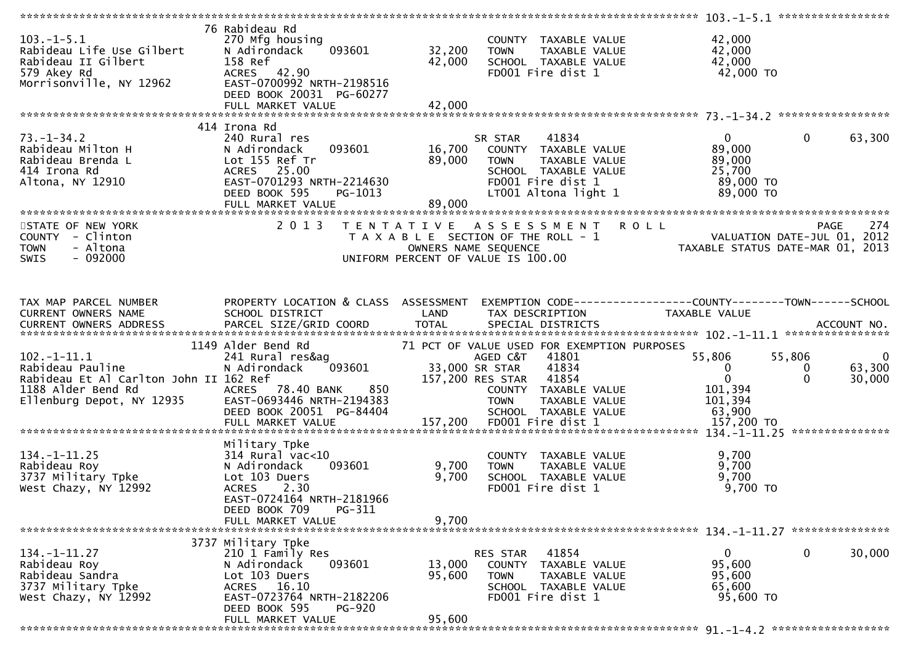|                                                                                                                                                                                                                                                                  |                                                                                                                                                                   |                                                                                                                                                     |                                                                 | *************** 103.-1-5.1 ******************                                                                                             |
|------------------------------------------------------------------------------------------------------------------------------------------------------------------------------------------------------------------------------------------------------------------|-------------------------------------------------------------------------------------------------------------------------------------------------------------------|-----------------------------------------------------------------------------------------------------------------------------------------------------|-----------------------------------------------------------------|-------------------------------------------------------------------------------------------------------------------------------------------|
| $103.-1-5.1$<br>Rabideau Life Use Gilbert<br>Rabideau II Gilbert<br>S79 Akey Rd<br>Morrisonville, NY 12962<br>Morrisonville, NY 12962<br>Morrisonville, NY 12962<br>Morrisonville, NY 12962<br>Morrisonville, NY 12962<br>Morrisonville, NY 12962<br>Morrisonvil | 76 Rabideau Rd<br>270 Mfg housing<br>093601<br>DEED BOOK 20031 PG-60277                                                                                           | COUNTY TAXABLE VALUE<br>32,200<br>42,000                                                                                                            | TOWN TAXABLE VALUE<br>SCHOOL TAXABLE VALUE<br>FDOO1 Fire dist 1 | 42,000<br>42,000<br>42,000<br>42,000 TO                                                                                                   |
|                                                                                                                                                                                                                                                                  |                                                                                                                                                                   |                                                                                                                                                     |                                                                 |                                                                                                                                           |
| $73. - 1 - 34.2$<br>Rabideau Milton H<br>Rabideau Brenda L<br>Alta Irona Rd<br>Altona, NY 12910<br>Altona, NY 12910<br>RAST-0701293_NR                                                                                                                           | 414 Irona Rd<br>240 Rural res<br>093601<br>N Adirondack<br>EAST-0701293 NRTH-2214630<br>DEED BOOK 595<br>PG-1013                                                  | SR STAR 41834<br>16,700 COUNTY TAXABLE VALUE<br>22,200 TOWN TAXABLE VALUE<br>FD001 Fire dist 1<br>LT001 Altona light 1                              | SCHOOL TAXABLE VALUE<br>FDOO1 Fire dist 1                       | $\overline{0}$<br>63,300<br>$0 \qquad \qquad$<br>89,000<br>89,000<br>25,700<br>89,000 TO<br>89,000 TO                                     |
|                                                                                                                                                                                                                                                                  |                                                                                                                                                                   |                                                                                                                                                     |                                                                 |                                                                                                                                           |
| STATE OF NEW YORK<br>COUNTY - Clinton<br>- Altona<br><b>TOWN</b><br>$-092000$<br><b>SWIS</b>                                                                                                                                                                     | 2 0 1 3                                                                                                                                                           | TENTATIVE ASSESSMENT ROLL<br>TAXABLE SECTION OF THE ROLL - 1<br>OWNERS NAME SEQUENCE<br>CONNERS NAME SEQUENCE<br>UNIFORM PERCENT OF VALUE IS 100.00 |                                                                 | 274<br><b>PAGE</b>                                                                                                                        |
|                                                                                                                                                                                                                                                                  |                                                                                                                                                                   |                                                                                                                                                     |                                                                 |                                                                                                                                           |
|                                                                                                                                                                                                                                                                  |                                                                                                                                                                   | TAX DESCRIPTION                                                                                                                                     | TAXABLE VALUE                                                   | EXEMPTION CODE------------------COUNTY--------TOWN------SCHOOL                                                                            |
|                                                                                                                                                                                                                                                                  | 1149 Alder Bend Rd                                                                                                                                                | 71 PCT OF VALUE USED FOR EXEMPTION PURPOSES                                                                                                         |                                                                 |                                                                                                                                           |
| $102.-1-11.1$<br>Rabideau Pauline<br>Rabideau Et Al Carlton John II 162 Ref<br>1188 Alder Bend Rd<br>Ellenburg Depot, NY 12935 EAST-0693446 NRTH-2194383<br>Ellenburg Depot, NY 12935 EAST-0693446 NRTH-2194383                                                  | 241 Rural res&ag<br>N Adirondack 093601 33,000 SR STAR 41834<br>162 Ref 157,200 RES STAR 41854<br>ACRES 78.40 BANK 850 COUNTY TAXABLE<br>DEED BOOK 20051 PG-84404 | <b>TOWN</b><br>SCHOOL TAXABLE VALUE                                                                                                                 | 55,806<br>COUNTY TAXABLE VALUE<br>TAXABLE VALUE<br>63,900       | 55,806<br>$\overline{\mathbf{0}}$<br>$\mathbf{0}$<br>63,300<br>$\mathbf{0}$<br>$\overline{0}$<br>$\Omega$<br>30,000<br>101,394<br>101,394 |
|                                                                                                                                                                                                                                                                  | FULL MARKET VALUE                                                                                                                                                 | FD001 Fire dist 1<br>157,200                                                                                                                        |                                                                 | 157,200 TO                                                                                                                                |
|                                                                                                                                                                                                                                                                  |                                                                                                                                                                   |                                                                                                                                                     |                                                                 |                                                                                                                                           |
| $134. - 1 - 11.25$<br>Rabideau Roy<br>3737 Military Tpke<br>West Chazy, NY 12992                                                                                                                                                                                 | Military Tpke<br>$314$ Rural vac<10<br>093601<br>N Adirondack<br>Lot 103 Duers<br>ACRES 2.30<br>EAST-0724164 NRTH-2181966                                         | COUNTY TAXABLE VALUE<br>9,700<br><b>TOWN</b><br>9,700<br>SCHOOL TAXABLE VALUE<br>FD001 Fire dist 1                                                  | TAXABLE VALUE                                                   | 9,700<br>9,700<br>9,700<br>$9,700$ TO                                                                                                     |
|                                                                                                                                                                                                                                                                  | DEED BOOK 709<br>PG-311<br>FULL MARKET VALUE                                                                                                                      | 9,700                                                                                                                                               |                                                                 |                                                                                                                                           |
|                                                                                                                                                                                                                                                                  |                                                                                                                                                                   |                                                                                                                                                     |                                                                 |                                                                                                                                           |
|                                                                                                                                                                                                                                                                  | 3737 Military Tpke                                                                                                                                                |                                                                                                                                                     |                                                                 |                                                                                                                                           |
| $134. - 1 - 11.27$<br>Rabideau Roy<br>Rabideau Sandra<br>3737 Military Tpke<br>West Chazy, NY 12992                                                                                                                                                              | 210 1 Family Res<br>N Adirondack<br>093601<br>Lot 103 Duers<br>ACRES 16.10<br>EAST-0723764 NRTH-2182206<br>DEED BOOK 595<br><b>PG-920</b>                         | 41854<br>RES STAR<br>13,000<br>COUNTY TAXABLE VALUE<br>95,600<br><b>TOWN</b><br>SCHOOL TAXABLE VALUE<br>FD001 Fire dist 1                           | TAXABLE VALUE                                                   | 30,000<br>0<br>$\mathbf{0}$<br>95,600<br>95,600<br>65,600<br>95,600 TO                                                                    |
|                                                                                                                                                                                                                                                                  | FULL MARKET VALUE                                                                                                                                                 | 95,600                                                                                                                                              |                                                                 |                                                                                                                                           |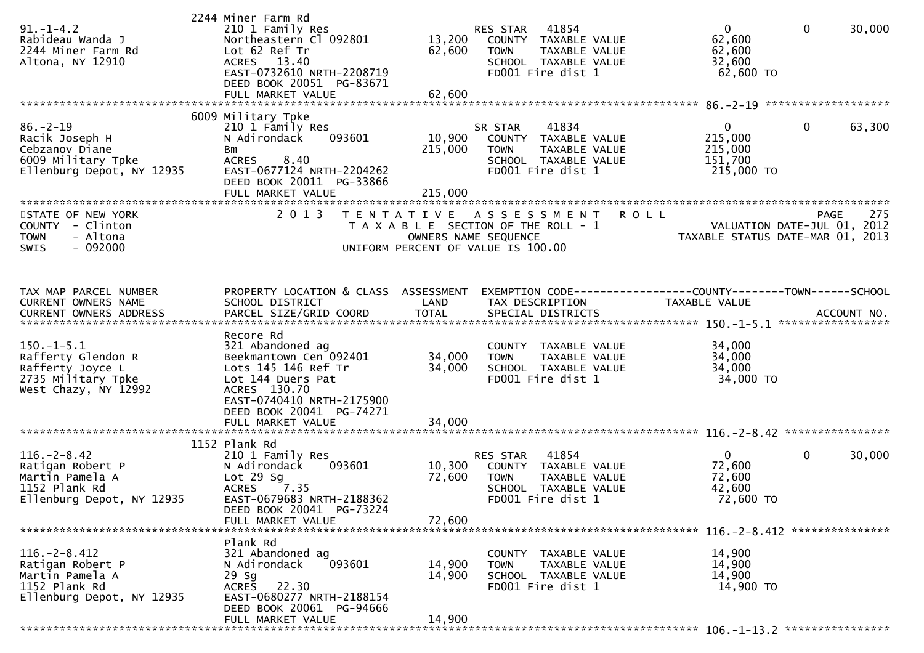| $91. - 1 - 4.2$<br>Rabideau Wanda J<br>2244 Miner Farm Rd<br>Altona, NY 12910                           | 2244 Miner Farm Rd<br>210 1 Family Res<br>Northeastern Cl 092801<br>Lot 62 Ref Tr<br>ACRES 13.40<br>EAST-0732610 NRTH-2208719<br>DEED BOOK 20051 PG-83671                    | 13,200<br>62,600             | RES STAR 41854<br>COUNTY TAXABLE VALUE<br><b>TOWN</b><br>TAXABLE VALUE<br>SCHOOL TAXABLE VALUE<br>FD001 Fire dist 1    | $\mathbf{0}$<br>62,600<br>62,600<br>32,600<br>62,600 TO                         | $\mathbf 0$<br>30,000                                           |
|---------------------------------------------------------------------------------------------------------|------------------------------------------------------------------------------------------------------------------------------------------------------------------------------|------------------------------|------------------------------------------------------------------------------------------------------------------------|---------------------------------------------------------------------------------|-----------------------------------------------------------------|
|                                                                                                         | 6009 Military Tpke                                                                                                                                                           |                              |                                                                                                                        |                                                                                 |                                                                 |
| $86. - 2 - 19$<br>Racik Joseph H<br>Cebzanov Diane<br>6009 Military Tpke<br>Ellenburg Depot, NY 12935   | 210 1 Family Res<br>N Adirondack<br>093601<br>Bm<br>8.40<br><b>ACRES</b><br>EAST-0677124 NRTH-2204262<br>DEED BOOK 20011 PG-33866<br>FULL MARKET VALUE                       | 10,900<br>215,000<br>215,000 | 41834<br>SR STAR<br>COUNTY TAXABLE VALUE<br>TAXABLE VALUE<br><b>TOWN</b><br>SCHOOL TAXABLE VALUE<br>FD001 Fire dist 1  | $\overline{0}$<br>215,000<br>215,000<br>151,700<br>215,000 TO                   | 0<br>63,300                                                     |
| STATE OF NEW YORK                                                                                       | 2 0 1 3                                                                                                                                                                      |                              | TENTATIVE ASSESSMENT                                                                                                   | <b>ROLL</b>                                                                     | 275<br><b>PAGE</b>                                              |
| COUNTY - Clinton<br>- Altona<br><b>TOWN</b><br>$-092000$<br><b>SWIS</b>                                 |                                                                                                                                                                              |                              | T A X A B L E SECTION OF THE ROLL - 1<br>OWNERS NAME SEQUENCE<br>UNIFORM PERCENT OF VALUE IS 100.00                    |                                                                                 | VALUATION DATE-JUL 01, 2012<br>TAXABLE STATUS DATE-MAR 01, 2013 |
| TAX MAP PARCEL NUMBER<br>CURRENT OWNERS NAME                                                            | PROPERTY LOCATION & CLASS ASSESSMENT<br>SCHOOL DISTRICT                                                                                                                      | LAND                         | TAX DESCRIPTION                                                                                                        | EXEMPTION CODE------------------COUNTY--------TOWN------SCHOOL<br>TAXABLE VALUE |                                                                 |
| $150.-1-5.1$<br>Rafferty Glendon R<br>Rafferty Joyce L<br>2735 Military Tpke<br>West Chazy, NY 12992    | Recore Rd<br>321 Abandoned ag<br>Beekmantown Cen 092401<br>Lots 145 146 Ref Tr<br>Lot 144 Duers Pat<br>ACRES 130.70<br>EAST-0740410 NRTH-2175900<br>DEED BOOK 20041 PG-74271 | 34,000<br>34,000             | COUNTY TAXABLE VALUE<br><b>TOWN</b><br>TAXABLE VALUE<br>SCHOOL TAXABLE VALUE<br>FD001 Fire dist 1                      | 34,000<br>34,000<br>34,000<br>34,000 TO                                         |                                                                 |
|                                                                                                         |                                                                                                                                                                              |                              |                                                                                                                        |                                                                                 |                                                                 |
|                                                                                                         |                                                                                                                                                                              |                              |                                                                                                                        |                                                                                 |                                                                 |
| $116. - 2 - 8.42$<br>Ratigan Robert P<br>Martin Pamela A<br>1152 Plank Rd<br>Ellenburg Depot, NY 12935  | 1152 Plank Rd<br>210 1 Family Res<br>093601<br>N Adirondack<br>Lot 29 Sg<br>7.35<br><b>ACRES</b><br>EAST-0679683 NRTH-2188362<br>DEED BOOK 20041 PG-73224                    | 10,300<br>72,600             | 41854<br>RES STAR<br>COUNTY TAXABLE VALUE<br><b>TOWN</b><br>TAXABLE VALUE<br>SCHOOL TAXABLE VALUE<br>FD001 Fire dist 1 | $\mathbf{0}$<br>72,600<br>72,600<br>42,600<br>72,600 TO                         | $\mathbf 0$<br>30,000                                           |
|                                                                                                         | FULL MARKET VALUE                                                                                                                                                            | 72,600                       |                                                                                                                        |                                                                                 |                                                                 |
|                                                                                                         | Plank Rd                                                                                                                                                                     |                              |                                                                                                                        |                                                                                 |                                                                 |
| $116. - 2 - 8.412$<br>Ratigan Robert P<br>Martin Pamela A<br>1152 Plank Rd<br>Ellenburg Depot, NY 12935 | 321 Abandoned ag<br>093601<br>N Adirondack<br>29 Sg<br>ACRES 22.30<br>EAST-0680277 NRTH-2188154<br>DEED BOOK 20061 PG-94666                                                  | 14,900<br>14,900             | COUNTY TAXABLE VALUE<br>TAXABLE VALUE<br><b>TOWN</b><br>SCHOOL TAXABLE VALUE<br>FD001 Fire dist 1                      | 14,900<br>14,900<br>14,900<br>14,900 TO                                         |                                                                 |
|                                                                                                         | FULL MARKET VALUE                                                                                                                                                            | 14,900                       |                                                                                                                        |                                                                                 |                                                                 |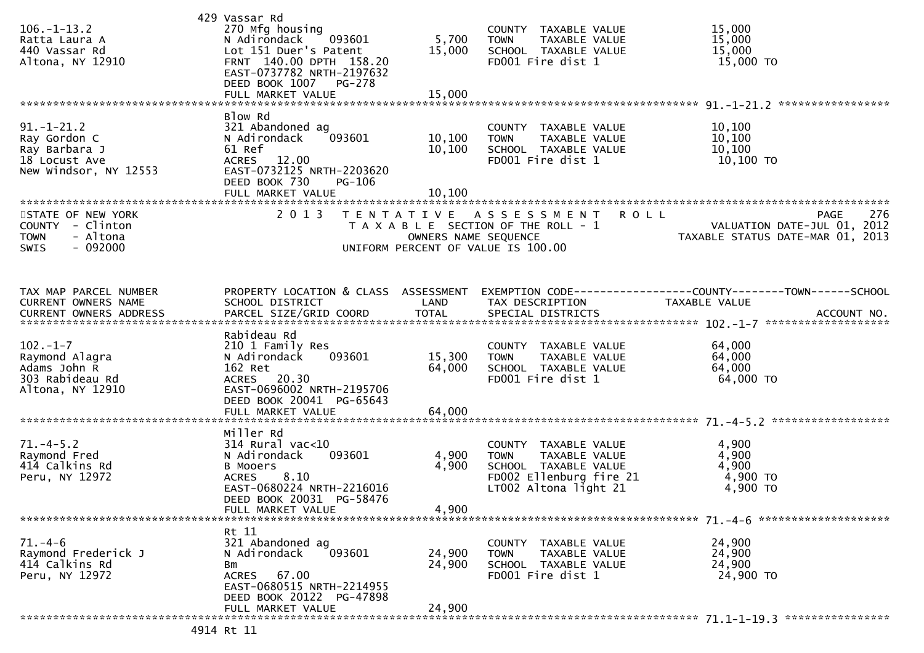| $106. - 1 - 13.2$<br>Ratta Laura A<br>440 Vassar Rd<br>Altona, NY 12910                      | 429 Vassar Rd<br>270 Mfg housing<br>N Adirondack<br>093601<br>Lot 151 Duer's Patent<br>FRNT 140.00 DPTH 158.20<br>EAST-0737782 NRTH-2197632<br>DEED BOOK 1007<br>PG-278<br>FULL MARKET VALUE | 5,700<br>15,000<br>15,000    | COUNTY TAXABLE VALUE<br><b>TOWN</b><br>TAXABLE VALUE<br>SCHOOL TAXABLE VALUE<br>FD001 Fire dist 1                                  | 15,000<br>15,000<br>15,000<br>15,000 TO                                                                                                                                                     |     |
|----------------------------------------------------------------------------------------------|----------------------------------------------------------------------------------------------------------------------------------------------------------------------------------------------|------------------------------|------------------------------------------------------------------------------------------------------------------------------------|---------------------------------------------------------------------------------------------------------------------------------------------------------------------------------------------|-----|
|                                                                                              |                                                                                                                                                                                              |                              |                                                                                                                                    |                                                                                                                                                                                             |     |
| $91. - 1 - 21.2$<br>Ray Gordon C<br>Ray Barbara J<br>18 Locust Ave<br>New Windsor, NY 12553  | Blow Rd<br>321 Abandoned ag<br>N Adirondack<br>093601<br>61 Ref<br>ACRES 12.00<br>EAST-0732125 NRTH-2203620<br>DEED BOOK 730<br>PG-106<br>FULL MARKET VALUE                                  | 10, 100<br>10, 100<br>10,100 | COUNTY TAXABLE VALUE<br><b>TOWN</b><br>TAXABLE VALUE<br>SCHOOL TAXABLE VALUE<br>FD001 Fire dist 1                                  | 10,100<br>10,100<br>10,100<br>10,100 TO                                                                                                                                                     |     |
| STATE OF NEW YORK<br>COUNTY - Clinton<br>- Altona<br><b>TOWN</b><br>$-092000$<br><b>SWIS</b> | 2 0 1 3                                                                                                                                                                                      | OWNERS NAME SEQUENCE         | TENTATIVE ASSESSMENT ROLL<br>T A X A B L E SECTION OF THE ROLL - 1<br>UNIFORM PERCENT OF VALUE IS 100.00                           | PAGE<br>VALUATION DATE-JUL 01, 2012<br>TAXABLE STATUS DATE-MAR 01, 2013                                                                                                                     | 276 |
| TAX MAP PARCEL NUMBER<br>CURRENT OWNERS NAME                                                 | PROPERTY LOCATION & CLASS ASSESSMENT<br>SCHOOL DISTRICT                                                                                                                                      | LAND                         | TAX DESCRIPTION                                                                                                                    | EXEMPTION CODE------------------COUNTY--------TOWN------SCHOOL<br>TAXABLE VALUE<br>CURRENT OWNERS ADDRESS PARCEL SIZE/GRID COORD TOTAL SPECIAL DISTRICTS (2011) 10. ACCOUNT NO. ACCOUNT NO. |     |
| $102 - 1 - 7$<br>Raymond Alagra<br>Adams John R<br>303 Rabideau Rd<br>Altona, NY 12910       | Rabideau Rd<br>210 1 Family Res<br>N Adirondack<br>093601<br>162 Ret<br>ACRES 20.30<br>EAST-0696002 NRTH-2195706<br>DEED BOOK 20041 PG-65643                                                 | 15,300<br>64,000             | COUNTY TAXABLE VALUE<br><b>TOWN</b><br>TAXABLE VALUE<br>SCHOOL TAXABLE VALUE<br>FD001 Fire dist 1                                  | 64,000<br>64,000<br>64,000<br>64,000 TO                                                                                                                                                     |     |
|                                                                                              | FULL MARKET VALUE                                                                                                                                                                            | 64,000                       |                                                                                                                                    |                                                                                                                                                                                             |     |
| $71. -4 - 5.2$<br>Raymond Fred<br>414 Calkins Rd<br>Peru, NY 12972                           | Miller Rd<br>314 Rural vac<10<br>093601<br>N Adirondack<br><b>B Mooers</b><br>8.10<br><b>ACRES</b><br>EAST-0680224 NRTH-2216016<br>DEED BOOK 20031 PG-58476<br>FULL MARKET VALUE             | 4,900<br>4,900<br>4,900      | COUNTY TAXABLE VALUE<br>TAXABLE VALUE<br><b>TOWN</b><br>SCHOOL TAXABLE VALUE<br>FD002 Ellenburg fire 21<br>$LT002$ Altona light 21 | 4,900<br>4,900<br>4,900<br>4,900 TO<br>4,900 TO                                                                                                                                             |     |
|                                                                                              |                                                                                                                                                                                              |                              |                                                                                                                                    |                                                                                                                                                                                             |     |
| $71. - 4 - 6$<br>Raymond Frederick J<br>414 Calkins Rd<br>Peru, NY 12972                     | Rt 11<br>321 Abandoned ag<br>N Adirondack<br>093601<br>Bm<br>67.00<br>ACRES<br>EAST-0680515 NRTH-2214955<br>DEED BOOK 20122 PG-47898                                                         | 24,900<br>24,900             | COUNTY TAXABLE VALUE<br><b>TOWN</b><br>TAXABLE VALUE<br>SCHOOL TAXABLE VALUE<br>FD001 Fire dist 1                                  | 24,900<br>24,900<br>24,900<br>24,900 TO                                                                                                                                                     |     |
| 1 N 1 1                                                                                      | FULL MARKET VALUE                                                                                                                                                                            | 24,900                       |                                                                                                                                    |                                                                                                                                                                                             |     |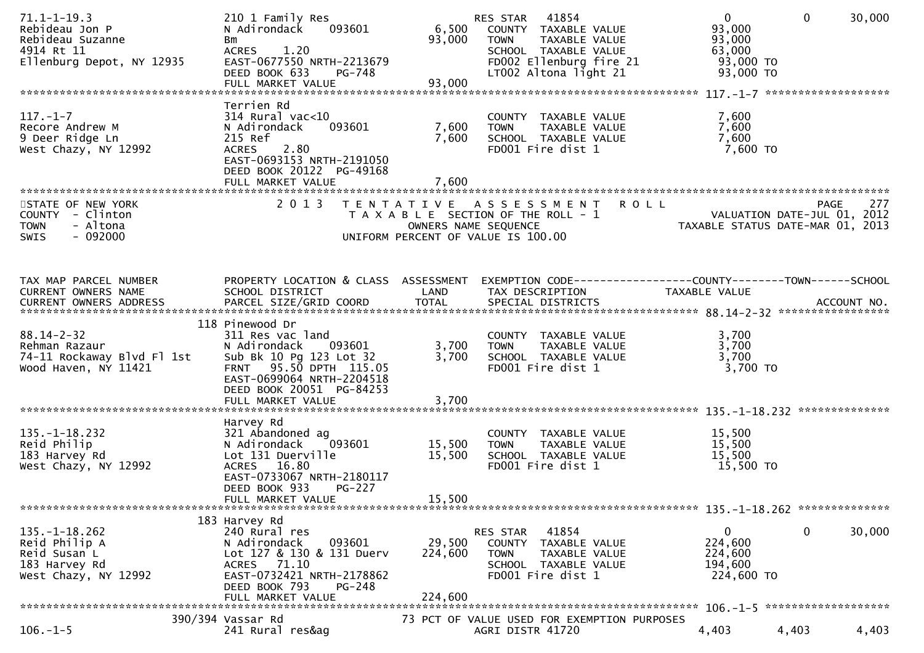| $71.1 - 1 - 19.3$<br>Rebideau Jon P<br>Rebideau Suzanne<br>4914 Rt 11<br>Ellenburg Depot, NY 12935 | 210 1 Family Res<br>N Adirondack<br>093601<br>Bm<br><b>ACRES</b><br>1.20<br>EAST-0677550 NRTH-2213679<br>DEED BOOK 633<br>PG-748<br>FULL MARKET VALUE                                | 6,500<br>93,000<br>93,000    | 41854<br>RES STAR<br>COUNTY TAXABLE VALUE<br>TAXABLE VALUE<br><b>TOWN</b><br>SCHOOL TAXABLE VALUE<br>FD002 Ellenburg fire 21<br>LT002 Altona light 21 | $\overline{0}$<br>93,000<br>93,000<br>63,000<br>93,000 TO<br>93,000 TO | $\mathbf{0}$<br>30,000                     |
|----------------------------------------------------------------------------------------------------|--------------------------------------------------------------------------------------------------------------------------------------------------------------------------------------|------------------------------|-------------------------------------------------------------------------------------------------------------------------------------------------------|------------------------------------------------------------------------|--------------------------------------------|
|                                                                                                    |                                                                                                                                                                                      |                              |                                                                                                                                                       |                                                                        |                                            |
| $117. - 1 - 7$<br>Recore Andrew M<br>9 Deer Ridge Ln<br>West Chazy, NY 12992                       | Terrien Rd<br>$314$ Rural vac< $10$<br>093601<br>N Adirondack<br>215 Ref<br><b>ACRES</b><br>2.80<br>EAST-0693153 NRTH-2191050<br>DEED BOOK 20122 PG-49168<br>FULL MARKET VALUE       | 7,600<br>7,600<br>7,600      | COUNTY TAXABLE VALUE<br>TAXABLE VALUE<br><b>TOWN</b><br>SCHOOL TAXABLE VALUE<br>FD001 Fire dist 1                                                     | 7,600<br>7,600<br>7,600<br>7,600 TO                                    |                                            |
|                                                                                                    |                                                                                                                                                                                      |                              |                                                                                                                                                       |                                                                        |                                            |
| STATE OF NEW YORK<br>COUNTY - Clinton<br><b>TOWN</b><br>- Altona<br>$-092000$<br><b>SWIS</b>       | 2 0 1 3                                                                                                                                                                              | OWNERS NAME SEQUENCE         | <b>ROLL</b><br>TENTATIVE ASSESSMENT<br>T A X A B L E SECTION OF THE ROLL - 1<br>UNIFORM PERCENT OF VALUE IS 100.00                                    | TAXABLE STATUS DATE-MAR 01, 2013                                       | 277<br>PAGE<br>VALUATION DATE-JUL 01, 2012 |
|                                                                                                    |                                                                                                                                                                                      |                              |                                                                                                                                                       |                                                                        |                                            |
| TAX MAP PARCEL NUMBER<br>CURRENT OWNERS NAME                                                       | PROPERTY LOCATION & CLASS ASSESSMENT<br>SCHOOL DISTRICT                                                                                                                              | LAND                         | EXEMPTION CODE-----------------COUNTY-------TOWN------SCHOOL<br>TAX DESCRIPTION                                                                       | TAXABLE VALUE                                                          |                                            |
|                                                                                                    |                                                                                                                                                                                      |                              |                                                                                                                                                       |                                                                        |                                            |
| $88.14 - 2 - 32$<br>Rehman Razaur<br>74-11 Rockaway Blvd Fl 1st<br>Wood Haven, NY 11421            | 118 Pinewood Dr<br>311 Res vac land<br>N Adirondack<br>093601<br>Sub Bk 10 Pg 123 Lot 32<br>FRNT 95.50 DPTH 115.05<br>EAST-0699064 NRTH-2204518<br>DEED BOOK 20051 PG-84253          | 3,700<br>3,700               | COUNTY TAXABLE VALUE<br>TAXABLE VALUE<br><b>TOWN</b><br>SCHOOL TAXABLE VALUE<br>FD001 Fire dist 1                                                     | 3,700<br>3,700<br>3,700<br>3,700 TO                                    |                                            |
|                                                                                                    |                                                                                                                                                                                      |                              |                                                                                                                                                       |                                                                        |                                            |
|                                                                                                    |                                                                                                                                                                                      |                              |                                                                                                                                                       |                                                                        | **************                             |
| $135. - 1 - 18.232$<br>Reid Philip<br>183 Harvey Rd<br>West Chazy, NY 12992                        | Harvey Rd<br>321 Abandoned ag<br>093601<br>N Adirondack<br>Lot 131 Duerville<br>ACRES 16.80<br>EAST-0733067 NRTH-2180117<br>DEED BOOK 933<br><b>PG-227</b><br>FULL MARKET VALUE      | 15,500<br>15,500<br>15,500   | COUNTY TAXABLE VALUE<br><b>TOWN</b><br>TAXABLE VALUE<br>SCHOOL TAXABLE VALUE<br>FD001 Fire dist 1                                                     | 15,500<br>15,500<br>15,500<br>15,500 TO                                |                                            |
|                                                                                                    |                                                                                                                                                                                      |                              |                                                                                                                                                       |                                                                        |                                            |
| $135. - 1 - 18.262$<br>Reid Philip A<br>Reid Susan L<br>183 Harvey Rd<br>West Chazy, NY 12992      | 183 Harvey Rd<br>240 Rural res<br>093601<br>N Adirondack<br>Lot 127 & 130 & 131 Duerv<br>71.10<br>ACRES<br>EAST-0732421 NRTH-2178862<br>DEED BOOK 793<br>PG-248<br>FULL MARKET VALUE | 29,500<br>224,600<br>224,600 | 41854<br>RES STAR<br>COUNTY TAXABLE VALUE<br><b>TOWN</b><br>TAXABLE VALUE<br>SCHOOL TAXABLE VALUE<br>FD001 Fire dist 1                                | 0<br>224,600<br>224,600<br>194,600<br>224,600 TO                       | 0<br>30,000                                |
|                                                                                                    | 390/394 Vassar Rd                                                                                                                                                                    |                              | 73 PCT OF VALUE USED FOR EXEMPTION PURPOSES                                                                                                           |                                                                        |                                            |
| $106. - 1 - 5$                                                                                     | 241 Rural res&ag                                                                                                                                                                     |                              | AGRI DISTR 41720                                                                                                                                      | 4,403                                                                  | 4,403<br>4,403                             |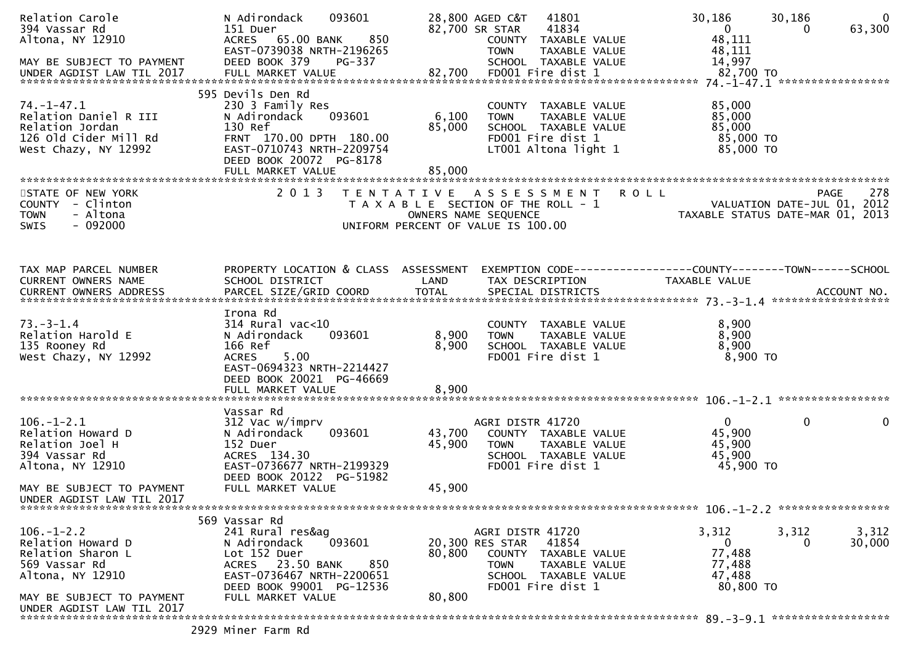| Relation Carole<br>394 Vassar Rd<br>Altona, NY 12910<br>MAY BE SUBJECT TO PAYMENT<br>UNDER AGDIST LAW TIL 2017 | 093601<br>N Adirondack<br>151 Duer<br>ACRES 65.00 BANK<br>850<br>EAST-0739038 NRTH-2196265<br>DEED BOOK 379<br>PG-337                                                              |                           | 28,800 AGED C&T<br>41801<br>41834<br>82,700 SR STAR<br>COUNTY TAXABLE VALUE<br><b>TOWN</b><br>TAXABLE VALUE<br>SCHOOL TAXABLE VALUE               | 30,186<br>30,186<br>$\Omega$<br>0<br>48,111<br>48,111<br>14,997                                                   | $\overline{0}$<br>63,300 |
|----------------------------------------------------------------------------------------------------------------|------------------------------------------------------------------------------------------------------------------------------------------------------------------------------------|---------------------------|---------------------------------------------------------------------------------------------------------------------------------------------------|-------------------------------------------------------------------------------------------------------------------|--------------------------|
| $74. - 1 - 47.1$<br>Relation Daniel R III<br>Relation Jordan<br>126 Old Cider Mill Rd<br>West Chazy, NY 12992  | 595 Devils Den Rd<br>230 3 Family Res<br>093601<br>N Adirondack<br>130 Ref<br>FRNT 170.00 DPTH 180.00<br>EAST-0710743 NRTH-2209754<br>DEED BOOK 20072 PG-8178<br>FULL MARKET VALUE | 6,100<br>85,000<br>85,000 | COUNTY TAXABLE VALUE<br><b>TOWN</b><br>TAXABLE VALUE<br>SCHOOL TAXABLE VALUE<br>FD001 Fire dist 1<br>LT001 Altona light 1                         | 85,000<br>85,000<br>85,000<br>85,000 TO<br>85,000 TO                                                              |                          |
| STATE OF NEW YORK<br>COUNTY - Clinton<br><b>TOWN</b><br>- Altona<br>$-092000$<br>SWIS                          | 2 0 1 3                                                                                                                                                                            |                           | <b>ROLL</b><br>TENTATIVE ASSESSMENT<br>T A X A B L E SECTION OF THE ROLL - 1<br>OWNERS NAME SEQUENCE<br>UNIFORM PERCENT OF VALUE IS 100.00        | <b>PAGE</b><br>VALUATION DATE-JUL 01, 2012<br>TAXABLE STATUS DATE-MAR 01, 2013                                    | 278                      |
| TAX MAP PARCEL NUMBER<br>CURRENT OWNERS NAME                                                                   | SCHOOL DISTRICT                                                                                                                                                                    | LAND                      | TAX DESCRIPTION                                                                                                                                   | PROPERTY LOCATION & CLASS ASSESSMENT EXEMPTION CODE----------------COUNTY-------TOWN------SCHOOL<br>TAXABLE VALUE |                          |
| $73 - 3 - 1.4$<br>Relation Harold E<br>135 Rooney Rd<br>West Chazy, NY 12992                                   | Irona Rd<br>314 Rural vac<10<br>N Adirondack<br>093601<br>166 Ref<br>5.00<br><b>ACRES</b><br>EAST-0694323 NRTH-2214427<br>DEED BOOK 20021 PG-46669                                 | 8,900<br>8,900            | COUNTY TAXABLE VALUE<br><b>TOWN</b><br>TAXABLE VALUE<br>SCHOOL TAXABLE VALUE<br>FD001 Fire dist 1                                                 | 8,900<br>8,900<br>8,900<br>8,900 TO                                                                               |                          |
|                                                                                                                |                                                                                                                                                                                    |                           |                                                                                                                                                   |                                                                                                                   |                          |
| $106. - 1 - 2.1$<br>Relation Howard D<br>Relation Joel H<br>394 Vassar Rd<br>Altona, NY 12910                  | Vassar Rd<br>312 Vac w/imprv<br>093601<br>N Adirondack<br>152 Duer<br>ACRES 134.30<br>EAST-0736677 NRTH-2199329<br>DEED BOOK 20122 PG-51982                                        | 43,700<br>45,900          | AGRI DISTR 41720<br>COUNTY TAXABLE VALUE<br>TAXABLE VALUE<br><b>TOWN</b><br>SCHOOL TAXABLE VALUE<br>FD001 Fire dist 1                             | $\mathbf{0}$<br>0<br>45,900<br>45,900<br>45,900<br>45,900 TO                                                      | 0                        |
| MAY BE SUBJECT TO PAYMENT<br>UNDER AGDIST LAW TIL 2017                                                         | FULL MARKET VALUE                                                                                                                                                                  | 45,900                    |                                                                                                                                                   |                                                                                                                   |                          |
|                                                                                                                | 569 Vassar Rd                                                                                                                                                                      |                           |                                                                                                                                                   | $106. - 1 - 2.2$ ******************                                                                               |                          |
| $106. - 1 - 2.2$<br>Relation Howard D<br>Relation Sharon L<br>569 Vassar Rd<br>Altona, NY 12910                | 241 Rural res&ag<br>093601<br>N Adirondack<br>Lot 152 Duer<br>ACRES 23.50 BANK<br>850<br>EAST-0736467 NRTH-2200651<br>DEED BOOK 99001 PG-12536                                     | 80,800                    | AGRI DISTR 41720<br>20,300 RES STAR<br>41854<br>COUNTY TAXABLE VALUE<br><b>TOWN</b><br>TAXABLE VALUE<br>SCHOOL TAXABLE VALUE<br>FD001 Fire dist 1 | 3,312<br>3,312<br>$\mathbf{0}$<br>0<br>77,488<br>77,488<br>47,488<br>80,800 TO                                    | 3,312<br>30,000          |
| MAY BE SUBJECT TO PAYMENT<br>UNDER AGDIST LAW TIL 2017                                                         | FULL MARKET VALUE                                                                                                                                                                  | 80,800                    |                                                                                                                                                   |                                                                                                                   |                          |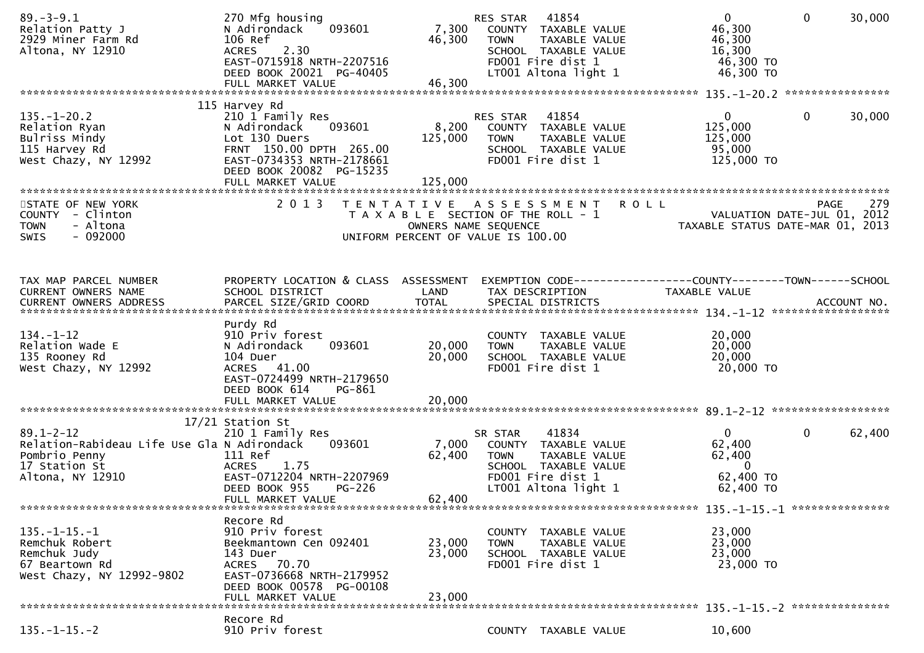| $89. - 3 - 9.1$<br>Relation Patty J<br>2929 Miner Farm Rd<br>Altona, NY 12910                                        | 270 Mfg housing<br>093601<br>N Adirondack<br>106 Ref<br>2.30<br><b>ACRES</b><br>EAST-0715918 NRTH-2207516<br>DEED BOOK 20021 PG-40405<br>FULL MARKET VALUE                            | 7,300<br>46,300<br>46,300   | 41854<br>RES STAR<br>COUNTY TAXABLE VALUE<br><b>TOWN</b><br>TAXABLE VALUE<br>SCHOOL TAXABLE VALUE<br>FD001 Fire dist 1<br>LT001 Altona light 1 | $\overline{0}$<br>46,300<br>46,300<br>16,300<br>46,300 TO<br>46,300 TO   | $\mathbf{0}$<br>30,000                                          |
|----------------------------------------------------------------------------------------------------------------------|---------------------------------------------------------------------------------------------------------------------------------------------------------------------------------------|-----------------------------|------------------------------------------------------------------------------------------------------------------------------------------------|--------------------------------------------------------------------------|-----------------------------------------------------------------|
|                                                                                                                      |                                                                                                                                                                                       |                             |                                                                                                                                                |                                                                          |                                                                 |
| $135. - 1 - 20.2$<br>Relation Ryan<br>Bulriss Mindy<br>115 Harvey Rd<br>West Chazy, NY 12992                         | 115 Harvey Rd<br>210 1 Family Res<br>N Adirondack<br>093601<br>Lot 130 Duers<br>FRNT 150.00 DPTH 265.00<br>EAST-0734353 NRTH-2178661<br>DEED BOOK 20082 PG-15235<br>FULL MARKET VALUE | 8,200<br>125,000<br>125,000 | 41854<br><b>RES STAR</b><br>COUNTY TAXABLE VALUE<br><b>TOWN</b><br>TAXABLE VALUE<br>SCHOOL TAXABLE VALUE<br>FD001 Fire dist 1                  | $\overline{0}$<br>125,000<br>125,000<br>95,000<br>125,000 TO             | $\mathbf{0}$<br>30,000                                          |
| STATE OF NEW YORK                                                                                                    | 2 0 1 3                                                                                                                                                                               |                             | TENTATIVE ASSESSMENT                                                                                                                           | <b>ROLL</b>                                                              | 279<br>PAGE                                                     |
| COUNTY - Clinton<br>- Altona<br><b>TOWN</b><br>$-092000$<br><b>SWIS</b>                                              |                                                                                                                                                                                       | OWNERS NAME SEQUENCE        | T A X A B L E SECTION OF THE ROLL - 1<br>UNIFORM PERCENT OF VALUE IS 100.00                                                                    |                                                                          | VALUATION DATE-JUL 01, 2012<br>TAXABLE STATUS DATE-MAR 01, 2013 |
| TAX MAP PARCEL NUMBER                                                                                                | PROPERTY LOCATION & CLASS ASSESSMENT                                                                                                                                                  |                             |                                                                                                                                                | EXEMPTION CODE-----------------COUNTY-------TOWN------SCHOOL             |                                                                 |
| CURRENT OWNERS NAME                                                                                                  | SCHOOL DISTRICT                                                                                                                                                                       | LAND                        | TAX DESCRIPTION                                                                                                                                | TAXABLE VALUE                                                            |                                                                 |
| $134. - 1 - 12$<br>Relation Wade E<br>135 Rooney Rd<br>West Chazy, NY 12992                                          | Purdy Rd<br>910 Priv forest<br>093601<br>N Adirondack<br>104 Duer<br>ACRES 41.00<br>EAST-0724499 NRTH-2179650<br>DEED BOOK 614<br>PG-861                                              | 20,000<br>20,000            | COUNTY TAXABLE VALUE<br>TAXABLE VALUE<br><b>TOWN</b><br>SCHOOL TAXABLE VALUE<br>FD001 Fire dist 1                                              | 20,000<br>20,000<br>20,000<br>20,000 TO                                  |                                                                 |
|                                                                                                                      |                                                                                                                                                                                       |                             |                                                                                                                                                |                                                                          |                                                                 |
|                                                                                                                      | 17/21 Station St                                                                                                                                                                      |                             |                                                                                                                                                |                                                                          |                                                                 |
| $89.1 - 2 - 12$<br>Relation-Rabideau Life Use Gla N Adirondack<br>Pombrio Penny<br>17 Station St<br>Altona, NY 12910 | 210 1 Family Res<br>093601<br>111 Ref<br>1.75<br><b>ACRES</b><br>EAST-0712204 NRTH-2207969<br>DEED BOOK 955<br>PG-226<br>FULL MARKET VALUE                                            | 7,000<br>62,400<br>62,400   | 41834<br>SR STAR<br>COUNTY TAXABLE VALUE<br><b>TOWN</b><br>TAXABLE VALUE<br>SCHOOL TAXABLE VALUE<br>FD001 Fire dist 1<br>LT001 Altona light 1  | $\overline{0}$<br>62,400<br>62,400<br>$\bf{0}$<br>62,400 TO<br>62,400 TO | $\mathbf{0}$<br>62,400                                          |
|                                                                                                                      |                                                                                                                                                                                       |                             |                                                                                                                                                |                                                                          |                                                                 |
| $135. -1 - 15. -1$<br>Remchuk Robert<br>Remchuk Judy<br>67 Beartown Rd<br>West Chazy, NY 12992-9802                  | Recore Rd<br>910 Priv forest<br>Beekmantown Cen 092401<br>143 Duer<br>ACRES 70.70<br>EAST-0736668 NRTH-2179952<br>DEED BOOK 00578 PG-00108                                            | 23,000<br>23,000<br>23,000  | COUNTY TAXABLE VALUE<br><b>TOWN</b><br>TAXABLE VALUE<br>SCHOOL TAXABLE VALUE<br>FD001 Fire dist 1                                              | 23,000<br>23,000<br>23,000<br>23,000 TO                                  |                                                                 |
|                                                                                                                      | FULL MARKET VALUE                                                                                                                                                                     |                             |                                                                                                                                                |                                                                          |                                                                 |
| $135. - 1 - 15. - 2$                                                                                                 | Recore Rd<br>910 Priv forest                                                                                                                                                          |                             | COUNTY TAXABLE VALUE                                                                                                                           | 10,600                                                                   |                                                                 |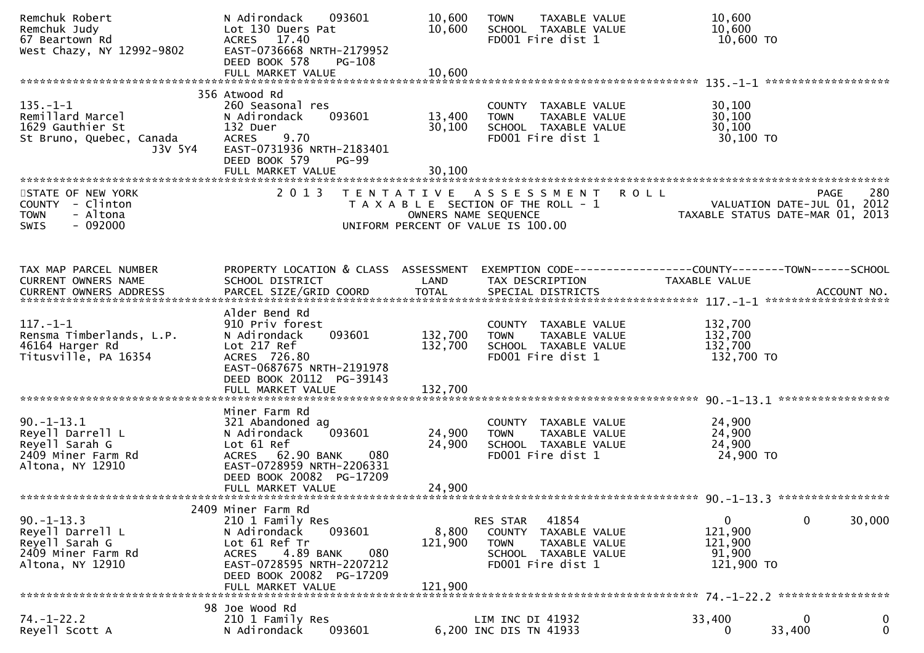| Remchuk Robert<br>Remchuk Judy<br>67 Beartown Rd<br>West Chazy, NY 12992-9802                 | N Adirondack<br>093601<br>Lot 130 Duers Pat<br>ACRES 17.40<br>EAST-0736668 NRTH-2179952<br>DEED BOOK 578<br><b>PG-108</b><br>FULL MARKET VALUE                                     | 10,600<br>10,600<br>10,600 | TAXABLE VALUE<br><b>TOWN</b><br>SCHOOL TAXABLE VALUE<br>FD001 Fire dist 1                           | 10,600<br>10,600<br>10,600 TO                                                  |             |
|-----------------------------------------------------------------------------------------------|------------------------------------------------------------------------------------------------------------------------------------------------------------------------------------|----------------------------|-----------------------------------------------------------------------------------------------------|--------------------------------------------------------------------------------|-------------|
|                                                                                               |                                                                                                                                                                                    |                            |                                                                                                     |                                                                                |             |
| $135. - 1 - 1$<br>Remillard Marcel<br>1629 Gauthier St<br>St Bruno, Quebec, Canada<br>J3V 5Y4 | 356 Atwood Rd<br>260 Seasonal res<br>N Adirondack<br>093601<br>132 Duer<br>9.70<br><b>ACRES</b><br>EAST-0731936 NRTH-2183401<br>DEED BOOK 579<br><b>PG-99</b><br>FULL MARKET VALUE | 13,400<br>30,100<br>30,100 | COUNTY TAXABLE VALUE<br><b>TOWN</b><br>TAXABLE VALUE<br>SCHOOL TAXABLE VALUE<br>FD001 Fire dist 1   | 30,100<br>30,100<br>30, 100<br>30,100 TO                                       |             |
|                                                                                               |                                                                                                                                                                                    |                            |                                                                                                     |                                                                                |             |
| STATE OF NEW YORK<br>COUNTY - Clinton<br>- Altona<br><b>TOWN</b><br>$-092000$<br><b>SWIS</b>  | 2 0 1 3                                                                                                                                                                            | OWNERS NAME SEQUENCE       | TENTATIVE ASSESSMENT<br>T A X A B L E SECTION OF THE ROLL - 1<br>UNIFORM PERCENT OF VALUE IS 100.00 | <b>ROLL</b><br>VALUATION DATE-JUL 01, 2012<br>TAXABLE STATUS DATE-MAR 01, 2013 | 280<br>PAGE |
|                                                                                               |                                                                                                                                                                                    |                            |                                                                                                     |                                                                                |             |
| TAX MAP PARCEL NUMBER                                                                         | PROPERTY LOCATION & CLASS ASSESSMENT                                                                                                                                               |                            |                                                                                                     | EXEMPTION CODE-----------------COUNTY-------TOWN------SCHOOL                   |             |
| CURRENT OWNERS NAME                                                                           | SCHOOL DISTRICT                                                                                                                                                                    | LAND                       | TAX DESCRIPTION                                                                                     | TAXABLE VALUE                                                                  |             |
| <b>CURRENT OWNERS ADDRESS</b>                                                                 | PARCEL SIZE/GRID COORD                                                                                                                                                             | <b>TOTAL</b>               | SPECIAL DISTRICTS                                                                                   |                                                                                | ACCOUNT NO. |
|                                                                                               | Alder Bend Rd                                                                                                                                                                      |                            |                                                                                                     |                                                                                |             |
| $117. - 1 - 1$                                                                                | 910 Priv forest                                                                                                                                                                    |                            | COUNTY TAXABLE VALUE                                                                                | 132,700                                                                        |             |
| Rensma Timberlands, L.P.                                                                      | 093601<br>N Adirondack                                                                                                                                                             | 132,700                    | <b>TOWN</b><br>TAXABLE VALUE                                                                        | 132,700                                                                        |             |
| 46164 Harger Rd                                                                               | Lot 217 Ref                                                                                                                                                                        | 132,700                    | SCHOOL TAXABLE VALUE                                                                                | 132,700                                                                        |             |
| Titusville, PA 16354                                                                          | ACRES 726.80<br>EAST-0687675 NRTH-2191978<br>DEED BOOK 20112 PG-39143<br>FULL MARKET VALUE                                                                                         | 132,700                    | FD001 Fire dist 1                                                                                   | 132,700 TO                                                                     |             |
|                                                                                               |                                                                                                                                                                                    |                            |                                                                                                     |                                                                                |             |
|                                                                                               | Miner Farm Rd                                                                                                                                                                      |                            |                                                                                                     |                                                                                |             |
| $90. -1 - 13.1$                                                                               | 321 Abandoned ag                                                                                                                                                                   |                            | COUNTY TAXABLE VALUE                                                                                | 24,900                                                                         |             |
| Reyell Darrell L                                                                              | 093601<br>N Adirondack                                                                                                                                                             | 24,900                     | <b>TOWN</b><br>TAXABLE VALUE                                                                        | 24,900                                                                         |             |
| Reyell Sarah G<br>2409 Miner Farm Rd                                                          | Lot 61 Ref                                                                                                                                                                         | 24,900                     | SCHOOL TAXABLE VALUE<br>FD001 Fire dist 1                                                           | 24,900                                                                         |             |
| Altona, NY 12910                                                                              | ACRES 62.90 BANK<br>080<br>EAST-0728959 NRTH-2206331                                                                                                                               |                            |                                                                                                     | 24,900 TO                                                                      |             |
|                                                                                               | DEED BOOK 20082 PG-17209                                                                                                                                                           |                            |                                                                                                     |                                                                                |             |
|                                                                                               | FULL MARKET VALUE                                                                                                                                                                  | 24,900                     |                                                                                                     |                                                                                |             |
|                                                                                               |                                                                                                                                                                                    |                            |                                                                                                     |                                                                                |             |
|                                                                                               | 2409 Miner Farm Rd                                                                                                                                                                 |                            |                                                                                                     |                                                                                |             |
| $90. -1 - 13.3$<br>Reyell Darrell L                                                           | 210 1 Family Res<br>N Adirondack<br>093601                                                                                                                                         | 8,800                      | 41854<br>RES STAR<br>TAXABLE VALUE                                                                  | 0<br>0<br>121,900                                                              | 30,000      |
| Reyell Sarah G                                                                                | Lot 61 Ref Tr                                                                                                                                                                      | 121,900                    | COUNTY<br><b>TOWN</b><br>TAXABLE VALUE                                                              | 121,900                                                                        |             |
| 2409 Miner Farm Rd                                                                            | 4.89 BANK<br>080<br><b>ACRES</b>                                                                                                                                                   |                            | SCHOOL TAXABLE VALUE                                                                                | 91,900                                                                         |             |
| Altona, NY 12910                                                                              | EAST-0728595 NRTH-2207212                                                                                                                                                          |                            | FD001 Fire dist 1                                                                                   | 121,900 TO                                                                     |             |
|                                                                                               | DEED BOOK 20082 PG-17209                                                                                                                                                           |                            |                                                                                                     |                                                                                |             |
|                                                                                               | FULL MARKET VALUE                                                                                                                                                                  | 121,900                    |                                                                                                     |                                                                                |             |
|                                                                                               | 98 Joe Wood Rd                                                                                                                                                                     |                            |                                                                                                     |                                                                                |             |
| $74. - 1 - 22.2$                                                                              | 210 1 Family Res                                                                                                                                                                   |                            | LIM INC DI 41932                                                                                    | 33,400                                                                         | 0           |
| Reyell Scott A                                                                                | N Adirondack<br>093601                                                                                                                                                             |                            | 6,200 INC DIS TN 41933                                                                              | 33,400<br>0                                                                    | $\mathbf 0$ |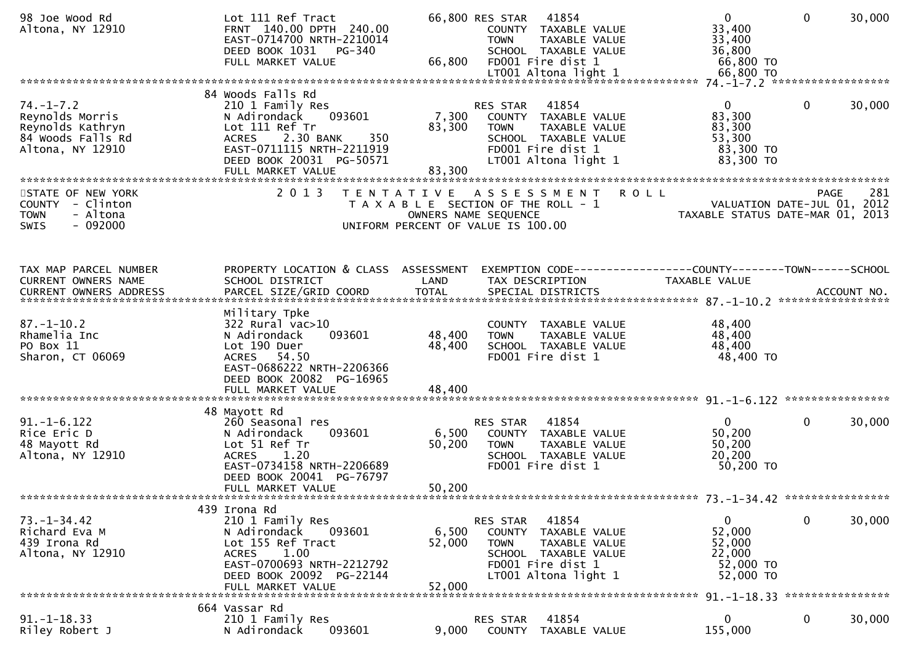| 98 Joe Wood Rd<br>Altona, NY 12910                                                              | Lot 111 Ref Tract<br>FRNT 140.00 DPTH 240.00<br>EAST-0714700 NRTH-2210014<br>DEED BOOK 1031 PG-340<br>FULL MARKET VALUE                                                                             | 66,800                     | 66,800 RES STAR<br>41854<br>COUNTY TAXABLE VALUE<br><b>TOWN</b><br>TAXABLE VALUE<br>SCHOOL TAXABLE VALUE<br>FD001 Fire dist 1                        | $\overline{0}$<br>33,400<br>33,400<br>36,800<br>66,800 TO            | $\mathbf 0$  | 30,000      |
|-------------------------------------------------------------------------------------------------|-----------------------------------------------------------------------------------------------------------------------------------------------------------------------------------------------------|----------------------------|------------------------------------------------------------------------------------------------------------------------------------------------------|----------------------------------------------------------------------|--------------|-------------|
| $74. - 1 - 7.2$<br>Reynolds Morris<br>Reynolds Kathryn<br>84 Woods Falls Rd<br>Altona, NY 12910 | 84 Woods Falls Rd<br>210 1 Family Res<br>093601<br>N Adirondack<br>Lot 111 Ref Tr<br>350<br>2.30 BANK<br><b>ACRES</b><br>EAST-0711115 NRTH-2211919<br>DEED BOOK 20031 PG-50571<br>FULL MARKET VALUE | 83,300<br>83,300           | 41854<br>RES STAR<br>7,300 COUNTY TAXABLE VALUE<br>TAXABLE VALUE<br><b>TOWN</b><br>SCHOOL TAXABLE VALUE<br>FD001 Fire dist 1<br>LT001 Altona light 1 | $\mathbf{0}$<br>83,300<br>83,300<br>53,300<br>83,300 TO<br>83,300 TO | $\mathbf{0}$ | 30,000      |
| STATE OF NEW YORK<br>COUNTY - Clinton<br>- Altona<br><b>TOWN</b><br>$-092000$<br>SWIS           | 2 0 1 3                                                                                                                                                                                             |                            | <b>ROLL</b><br>TENTATIVE ASSESSMENT<br>T A X A B L E SECTION OF THE ROLL - 1<br>OWNERS NAME SEQUENCE<br>UNIFORM PERCENT OF VALUE IS 100.00           | VALUATION DATE-JUL 01, 2012<br>TAXABLE STATUS DATE-MAR 01, 2013      | <b>PAGE</b>  | 281         |
| TAX MAP PARCEL NUMBER<br>CURRENT OWNERS NAME<br><b>CURRENT OWNERS ADDRESS</b>                   | PROPERTY LOCATION & CLASS ASSESSMENT<br>SCHOOL DISTRICT<br>PARCEL SIZE/GRID COORD                                                                                                                   | LAND<br><b>TOTAL</b>       | EXEMPTION CODE------------------COUNTY--------TOWN------SCHOOL<br>TAX DESCRIPTION<br>SPECIAL DISTRICTS                                               | TAXABLE VALUE                                                        |              | ACCOUNT NO. |
| $87. - 1 - 10.2$<br>Rhamelia Inc<br>PO Box 11<br>Sharon, CT 06069                               | Military Tpke<br>$322$ Rural vac $>10$<br>093601<br>N Adirondack<br>Lot 190 Duer<br>ACRES 54.50<br>EAST-0686222 NRTH-2206366<br>DEED BOOK 20082 PG-16965<br>FULL MARKET VALUE                       | 48,400<br>48,400<br>48,400 | COUNTY TAXABLE VALUE<br>TAXABLE VALUE<br><b>TOWN</b><br>SCHOOL TAXABLE VALUE<br>FD001 Fire dist 1                                                    | 48,400<br>48,400<br>48,400<br>48,400 TO                              |              |             |
| $91. - 1 - 6.122$<br>Rice Eric D<br>48 Mayott Rd<br>Altona, NY 12910                            | 48 Mayott Rd<br>260 Seasonal res<br>093601<br>N Adirondack<br>Lot 51 Ref Tr<br>1.20<br><b>ACRES</b><br>EAST-0734158 NRTH-2206689<br>DEED BOOK 20041 PG-76797<br>FULL MARKET VALUE                   | 6,500<br>50,200<br>50,200  | 41854<br>RES STAR<br>COUNTY TAXABLE VALUE<br>TAXABLE VALUE<br><b>TOWN</b><br>SCHOOL TAXABLE VALUE<br>FD001 Fire dist 1                               | $\mathbf{0}$<br>50,200<br>50,200<br>20,200<br>50,200 TO              | $\mathbf{0}$ | 30,000      |
| $73. - 1 - 34.42$<br>Richard Eva M<br>439 Irona Rd<br>Altona, NY 12910                          | 439 Irona Rd<br>210 1 Family Res<br>N Adirondack<br>093601<br>Lot 155 Ref Tract<br>1.00<br><b>ACRES</b><br>EAST-0700693 NRTH-2212792<br>DEED BOOK 20092 PG-22144<br>FULL MARKET VALUE               | 6,500<br>52,000<br>52,000  | 41854<br>RES STAR<br>COUNTY<br>TAXABLE VALUE<br>TAXABLE VALUE<br><b>TOWN</b><br>SCHOOL TAXABLE VALUE<br>FD001 Fire dist 1<br>LT001 Altona light 1    | 0<br>52,000<br>52,000<br>22,000<br>52,000 TO<br>52,000 TO            | $\mathbf 0$  | 30,000      |
| $91. -1 - 18.33$<br>Riley Robert J                                                              | 664 Vassar Rd<br>210 1 Family Res<br>093601<br>N Adirondack                                                                                                                                         | 9,000                      | 41854<br>RES STAR<br>COUNTY<br>TAXABLE VALUE                                                                                                         | 0<br>155,000                                                         | $\bf{0}$     | 30,000      |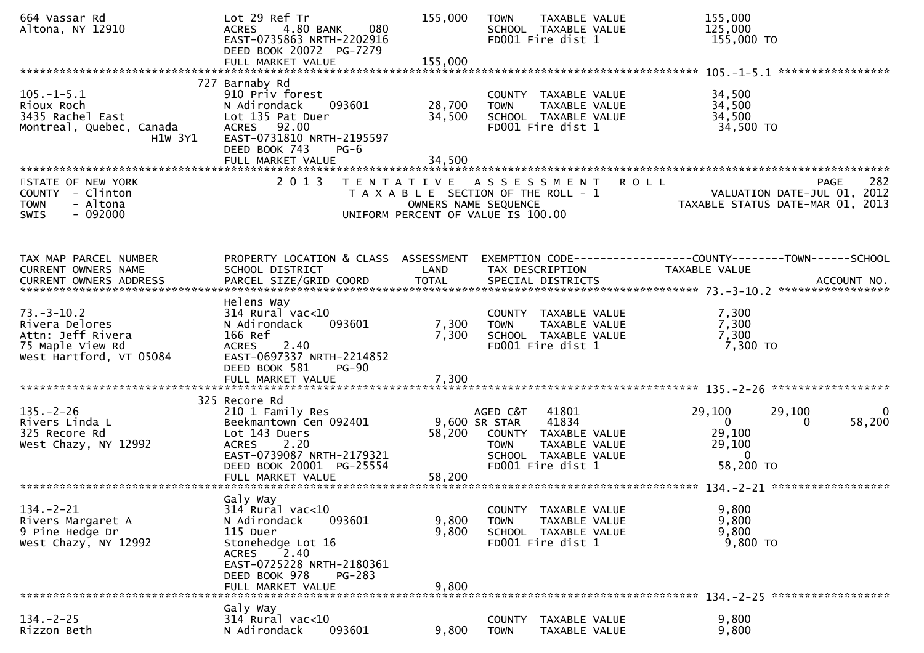| 664 Vassar Rd<br>Altona, NY 12910                                                                      | Lot 29 Ref Tr<br>4.80 BANK<br>080<br><b>ACRES</b><br>EAST-0735863 NRTH-2202916<br>DEED BOOK 20072 PG-7279<br>FULL MARKET VALUE                                                          | 155,000<br>155,000                                                                                  | <b>TOWN</b>                              | TAXABLE VALUE<br>SCHOOL TAXABLE VALUE<br>FD001 Fire dist 1                                           | 155,000<br>125,000<br>155,000 TO                                                              |             |
|--------------------------------------------------------------------------------------------------------|-----------------------------------------------------------------------------------------------------------------------------------------------------------------------------------------|-----------------------------------------------------------------------------------------------------|------------------------------------------|------------------------------------------------------------------------------------------------------|-----------------------------------------------------------------------------------------------|-------------|
| $105. - 1 - 5.1$<br>Rioux Roch<br>3435 Rachel East<br>Montreal, Quebec, Canada<br>H1W 3Y1              | 727 Barnaby Rd<br>910 Priv forest<br>N Adirondack<br>093601<br>Lot 135 Pat Duer<br>ACRES 92.00<br>EAST-0731810 NRTH-2195597<br>DEED BOOK 743<br>$PG-6$<br>FULL MARKET VALUE             | 28,700<br>34,500<br>34,500                                                                          | <b>TOWN</b>                              | COUNTY TAXABLE VALUE<br>TAXABLE VALUE<br>SCHOOL TAXABLE VALUE<br>FD001 Fire dist 1                   | 34,500<br>34,500<br>34,500<br>34,500 TO                                                       |             |
| STATE OF NEW YORK<br>COUNTY - Clinton<br>- Altona<br><b>TOWN</b><br>$-092000$<br><b>SWIS</b>           | 2013                                                                                                                                                                                    | TENTATIVE ASSESSMENT<br>T A X A B L E SECTION OF THE ROLL - 1<br>UNIFORM PERCENT OF VALUE IS 100.00 | OWNERS NAME SEQUENCE                     |                                                                                                      | <b>ROLL</b><br><b>PAGE</b><br>VALUATION DATE-JUL 01, 2012<br>TAXABLE STATUS DATE-MAR 01, 2013 | 282         |
| TAX MAP PARCEL NUMBER<br>CURRENT OWNERS NAME                                                           | PROPERTY LOCATION & CLASS ASSESSMENT<br>SCHOOL DISTRICT                                                                                                                                 | LAND                                                                                                |                                          | TAX DESCRIPTION                                                                                      | EXEMPTION CODE-----------------COUNTY-------TOWN------SCHOOL<br>TAXABLE VALUE                 |             |
| $73. - 3 - 10.2$<br>Rivera Delores<br>Attn: Jeff Rivera<br>75 Maple View Rd<br>West Hartford, VT 05084 | Helens Way<br>$314$ Rural vac<10<br>N Adirondack<br>093601<br>166 Ref<br>2.40<br><b>ACRES</b><br>EAST-0697337 NRTH-2214852<br>DEED BOOK 581<br>$PG-90$                                  | 7,300<br>7,300                                                                                      | <b>TOWN</b>                              | COUNTY TAXABLE VALUE<br>TAXABLE VALUE<br>SCHOOL TAXABLE VALUE<br>FD001 Fire dist 1                   | 7,300<br>7,300<br>7,300<br>7,300 TO                                                           |             |
|                                                                                                        |                                                                                                                                                                                         |                                                                                                     |                                          |                                                                                                      |                                                                                               |             |
| $135. - 2 - 26$<br>Rivers Linda L<br>325 Recore Rd<br>West Chazy, NY 12992                             | 325 Recore Rd<br>210 1 Family Res<br>Beekmantown Cen 092401<br>Lot 143 Duers<br>2.20<br><b>ACRES</b><br>EAST-0739087 NRTH-2179321<br>DEED BOOK 20001 PG-25554                           | 58,200                                                                                              | AGED C&T<br>9,600 SR STAR<br><b>TOWN</b> | 41801<br>41834<br>COUNTY TAXABLE VALUE<br>TAXABLE VALUE<br>SCHOOL TAXABLE VALUE<br>FD001 Fire dist 1 | 29,100<br>29,100<br>$\overline{0}$<br>0<br>29,100<br>29,100<br>$\Omega$<br>58,200 TO          | 0<br>58,200 |
|                                                                                                        |                                                                                                                                                                                         |                                                                                                     |                                          |                                                                                                      |                                                                                               |             |
| $134. -2 - 21$<br>Rivers Margaret A<br>9 Pine Hedge Dr<br>West Chazy, NY 12992                         | Galy Way<br>314 Rural vac<10<br>N Adirondack<br>093601<br>115 Duer<br>Stonehedge Lot 16<br>2.40<br>ACRES<br>EAST-0725228 NRTH-2180361<br>DEED BOOK 978<br>$PG-283$<br>FULL MARKET VALUE | 9,800<br>9,800<br>9,800                                                                             | <b>TOWN</b>                              | COUNTY TAXABLE VALUE<br>TAXABLE VALUE<br>SCHOOL TAXABLE VALUE<br>FD001 Fire dist 1                   | 9,800<br>9,800<br>9,800<br>9,800 TO                                                           |             |
|                                                                                                        |                                                                                                                                                                                         |                                                                                                     |                                          |                                                                                                      |                                                                                               |             |
| $134. - 2 - 25$<br>Rizzon Beth                                                                         | Galy Way<br>314 Rural vac<10<br>N Adirondack<br>093601                                                                                                                                  | 9,800                                                                                               | <b>TOWN</b>                              | COUNTY TAXABLE VALUE<br>TAXABLE VALUE                                                                | 9,800<br>9,800                                                                                |             |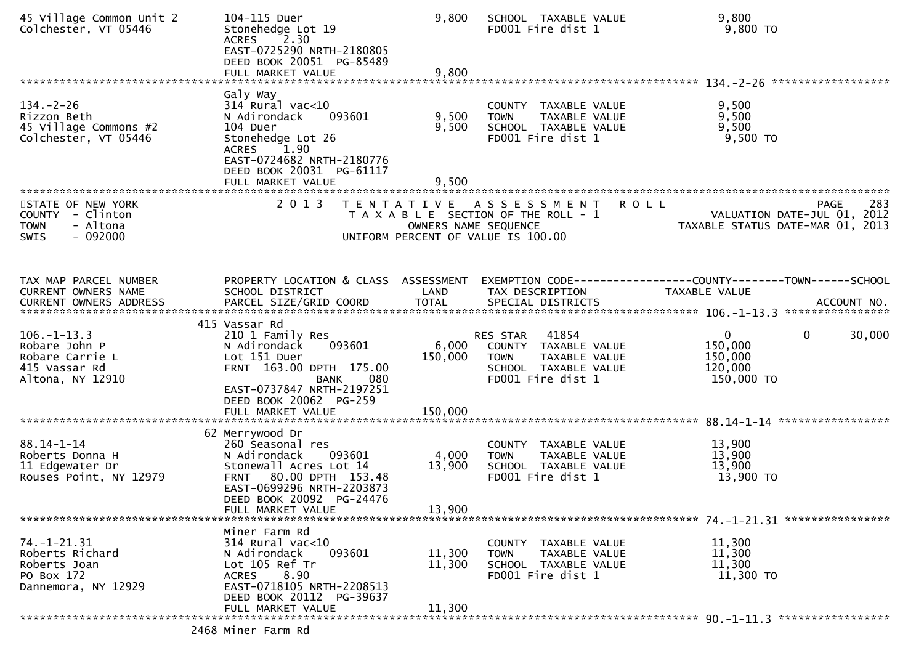| 45 Village Common Unit 2<br>Colchester, VT 05446                                           | 104-115 Duer<br>Stonehedge Lot 19<br>ACRES 2.30<br>EAST-0725290 NRTH-2180805<br>DEED BOOK 20051 PG-85489<br>FULL MARKET VALUE                                                                   | 9,800<br>9,800            | SCHOOL TAXABLE VALUE<br>FD001 Fire dist 1                                                                                                  | 9,800<br>9,800 TO                                                                       |
|--------------------------------------------------------------------------------------------|-------------------------------------------------------------------------------------------------------------------------------------------------------------------------------------------------|---------------------------|--------------------------------------------------------------------------------------------------------------------------------------------|-----------------------------------------------------------------------------------------|
|                                                                                            | Galy Way                                                                                                                                                                                        |                           |                                                                                                                                            |                                                                                         |
| $134. - 2 - 26$<br>Rizzon Beth<br>45 Village Commons #2<br>Colchester, VT 05446            | $314$ Rural vac<10<br>093601<br>N Adirondack<br>104 Duer<br>Stonehedge Lot 26<br>1.90<br><b>ACRES</b><br>EAST-0724682 NRTH-2180776<br>DEED BOOK 20031 PG-61117                                  | 9,500<br>9,500            | COUNTY TAXABLE VALUE<br>TAXABLE VALUE<br><b>TOWN</b><br>SCHOOL TAXABLE VALUE<br>FD001 Fire dist 1                                          | 9,500<br>9,500<br>9,500<br>$9,500$ TO                                                   |
|                                                                                            | FULL MARKET VALUE                                                                                                                                                                               | 9,500                     |                                                                                                                                            |                                                                                         |
| STATE OF NEW YORK<br>COUNTY - Clinton<br>- Altona<br><b>TOWN</b><br>$-092000$<br>SWIS      | 2 0 1 3                                                                                                                                                                                         |                           | <b>ROLL</b><br>TENTATIVE ASSESSMENT<br>T A X A B L E SECTION OF THE ROLL - 1<br>OWNERS NAME SEQUENCE<br>UNIFORM PERCENT OF VALUE IS 100.00 | 283<br>PAGE<br>VALUATION DATE-JUL 01, 2012<br>TAXABLE STATUS DATE-MAR 01, 2013          |
| TAX MAP PARCEL NUMBER<br>CURRENT OWNERS NAME                                               | PROPERTY LOCATION & CLASS ASSESSMENT<br>SCHOOL DISTRICT                                                                                                                                         | LAND                      | TAX DESCRIPTION                                                                                                                            | TAXABLE VALUE                                                                           |
| $106. - 1 - 13.3$<br>Robare John P<br>Robare Carrie L<br>415 Vassar Rd<br>Altona, NY 12910 | 415 Vassar Rd<br>210 1 Family Res<br>093601<br>N Adirondack<br>Lot 151 Duer<br>FRNT 163.00 DPTH 175.00<br><b>BANK</b><br>080<br>EAST-0737847 NRTH-2197251<br>DEED BOOK 20062 PG-259             | 6,000<br>150,000          | RES STAR 41854<br>COUNTY TAXABLE VALUE<br>TAXABLE VALUE<br><b>TOWN</b><br>SCHOOL TAXABLE VALUE<br>FD001 Fire dist 1                        | $\overline{0}$<br>$\mathbf{0}$<br>30,000<br>150,000<br>150,000<br>120,000<br>150,000 TO |
|                                                                                            |                                                                                                                                                                                                 |                           |                                                                                                                                            |                                                                                         |
| $88.14 - 1 - 14$<br>Roberts Donna H<br>11 Edgewater Dr<br>Rouses Point, NY 12979           | 62 Merrywood Dr<br>260 Seasonal res<br>N Adirondack<br>093601<br>Stonewall Acres Lot 14<br>FRNT 80.00 DPTH 153.48<br>EAST-0699296 NRTH-2203873<br>DEED BOOK 20092 PG-24476<br>FULL MARKET VALUE | 4,000<br>13,900<br>13,900 | COUNTY TAXABLE VALUE<br>TAXABLE VALUE<br><b>TOWN</b><br>SCHOOL TAXABLE VALUE<br>FD001 Fire dist 1                                          | 13,900<br>13,900<br>13,900<br>13,900 TO                                                 |
|                                                                                            |                                                                                                                                                                                                 |                           |                                                                                                                                            |                                                                                         |
| 74. –1–21. 31<br>Roberts Richard<br>Roberts Joan<br>PO Box 172<br>Dannemora, NY 12929      | Miner Farm Rd<br>$314$ Rural vac<10<br>093601<br>N Adirondack<br>Lot 105 Ref Tr<br>8.90<br><b>ACRES</b><br>EAST-0718105 NRTH-2208513<br>DEED BOOK 20112 PG-39637                                | 11,300<br>11,300          | COUNTY TAXABLE VALUE<br><b>TOWN</b><br>TAXABLE VALUE<br>SCHOOL TAXABLE VALUE<br>FD001 Fire dist 1                                          | 11,300<br>11,300<br>11,300<br>11,300 TO                                                 |
|                                                                                            | FULL MARKET VALUE                                                                                                                                                                               | 11,300                    |                                                                                                                                            |                                                                                         |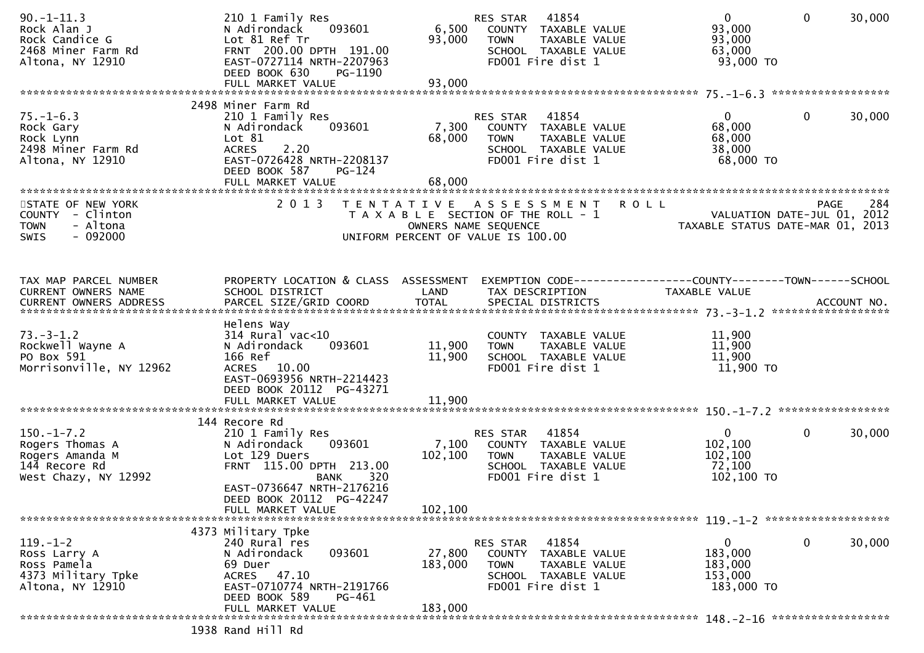| $90. -1 - 11.3$<br>Rock Alan J<br>Rock Candice G<br>2468 Miner Farm Rd<br>Altona, NY 12910   | 210 1 Family Res<br>093601<br>N Adirondack<br>Lot 81 Ref Tr<br>FRNT 200.00 DPTH 191.00<br>EAST-0727114 NRTH-2207963<br>DEED BOOK 630<br>PG-1190<br>FULL MARKET VALUE            | 6,500<br>93,000<br>93,000 | 41854<br>RES STAR<br>COUNTY TAXABLE VALUE<br><b>TOWN</b><br>TAXABLE VALUE<br>SCHOOL TAXABLE VALUE<br>FD001 Fire dist 1 | $\mathbf{0}$<br>93,000<br>93,000<br>63,000<br>93,000 TO    | $\mathbf{0}$<br>30,000                     |
|----------------------------------------------------------------------------------------------|---------------------------------------------------------------------------------------------------------------------------------------------------------------------------------|---------------------------|------------------------------------------------------------------------------------------------------------------------|------------------------------------------------------------|--------------------------------------------|
|                                                                                              |                                                                                                                                                                                 |                           |                                                                                                                        |                                                            |                                            |
| $75. - 1 - 6.3$<br>Rock Gary<br>Rock Lynn<br>2498 Miner Farm Rd<br>Altona, NY 12910          | 2498 Miner Farm Rd<br>210 1 Family Res<br>093601<br>N Adirondack<br>Lot 81<br>2.20<br><b>ACRES</b><br>EAST-0726428 NRTH-2208137<br>DEED BOOK 587<br>PG-124<br>FULL MARKET VALUE | 7,300<br>68,000<br>68,000 | 41854<br>RES STAR<br>COUNTY TAXABLE VALUE<br><b>TOWN</b><br>TAXABLE VALUE<br>SCHOOL TAXABLE VALUE<br>FD001 Fire dist 1 | $\overline{0}$<br>68,000<br>68,000<br>38,000<br>68,000 TO  | $\mathbf{0}$<br>30,000                     |
|                                                                                              |                                                                                                                                                                                 |                           |                                                                                                                        |                                                            |                                            |
| STATE OF NEW YORK<br>COUNTY - Clinton<br>- Altona<br><b>TOWN</b><br>$-092000$<br><b>SWIS</b> | 2 0 1 3                                                                                                                                                                         | OWNERS NAME SEQUENCE      | TENTATIVE ASSESSMENT<br><b>ROLL</b><br>T A X A B L E SECTION OF THE ROLL - 1<br>UNIFORM PERCENT OF VALUE IS 100.00     | TAXABLE STATUS DATE-MAR 01, 2013                           | 284<br>PAGE<br>VALUATION DATE-JUL 01, 2012 |
| TAX MAP PARCEL NUMBER<br>CURRENT OWNERS NAME                                                 | PROPERTY LOCATION & CLASS ASSESSMENT<br>SCHOOL DISTRICT                                                                                                                         | LAND                      | EXEMPTION CODE-----------------COUNTY-------TOWN------SCHOOL<br>TAX DESCRIPTION                                        | <b>TAXABLE VALUE</b>                                       |                                            |
|                                                                                              |                                                                                                                                                                                 |                           |                                                                                                                        |                                                            |                                            |
| $73. - 3 - 1.2$<br>Rockwell Wayne A<br>PO Box 591<br>Morrisonville, NY 12962                 | Helens Way<br>$314$ Rural vac< $10$<br>093601<br>N Adirondack<br>166 Ref<br>ACRES 10.00<br>EAST-0693956 NRTH-2214423<br>DEED BOOK 20112 PG-43271                                | 11,900<br>11,900          | COUNTY TAXABLE VALUE<br>TAXABLE VALUE<br><b>TOWN</b><br>SCHOOL TAXABLE VALUE<br>FD001 Fire dist 1                      | 11,900<br>11,900<br>11,900<br>11,900 TO                    |                                            |
|                                                                                              | FULL MARKET VALUE                                                                                                                                                               | 11,900                    |                                                                                                                        |                                                            |                                            |
|                                                                                              |                                                                                                                                                                                 |                           |                                                                                                                        |                                                            |                                            |
| $150.-1-7.2$<br>Rogers Thomas A<br>Rogers Amanda M<br>144 Recore Rd<br>West Chazy, NY 12992  | 144 Recore Rd<br>210 1 Family Res<br>093601<br>N Adirondack<br>Lot 129 Duers<br>FRNT 115.00 DPTH 213.00<br>320<br><b>BANK</b><br>EAST-0736647 NRTH-2176216                      | 7,100<br>102,100          | 41854<br>RES STAR<br>COUNTY TAXABLE VALUE<br><b>TOWN</b><br>TAXABLE VALUE<br>SCHOOL TAXABLE VALUE<br>FD001 Fire dist 1 | $\mathbf{0}$<br>102,100<br>102,100<br>72,100<br>102,100 TO | 30,000<br>$\mathbf{0}$                     |
|                                                                                              | DEED BOOK 20112 PG-42247                                                                                                                                                        | 102,100                   |                                                                                                                        |                                                            |                                            |
|                                                                                              | FULL MARKET VALUE                                                                                                                                                               |                           |                                                                                                                        |                                                            |                                            |
| $119. - 1 - 2$<br>Ross Larry A<br>Ross Pamela<br>4373 Military Tpke<br>Altona, NY 12910      | 4373 Military Tpke<br>240 Rural res<br>093601<br>N Adirondack<br>69 Duer<br>ACRES 47.10<br>EAST-0710774 NRTH-2191766<br>DEED BOOK 589<br>PG-461                                 | 27,800<br>183,000         | 41854<br>RES STAR<br>COUNTY TAXABLE VALUE<br><b>TOWN</b><br>TAXABLE VALUE<br>SCHOOL TAXABLE VALUE<br>FD001 Fire dist 1 | 0<br>183,000<br>183,000<br>153,000<br>183,000 TO           | 0<br>30,000                                |
|                                                                                              | FULL MARKET VALUE                                                                                                                                                               | 183,000                   |                                                                                                                        |                                                            |                                            |
|                                                                                              | 1938 Rand Hill Rd                                                                                                                                                               |                           |                                                                                                                        |                                                            |                                            |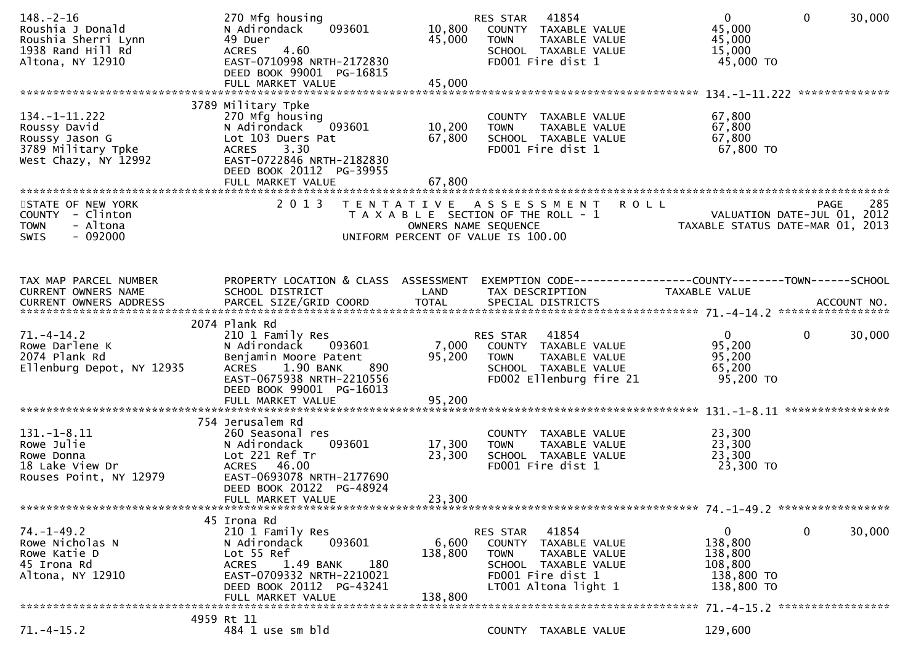| $148. - 2 - 16$<br>Roushia J Donald<br>Roushia Sherri Lynn<br>1938 Rand Hill Rd<br>Altona, NY 12910 | 270 Mfg housing<br>093601<br>N Adirondack<br>49 Duer<br>4.60<br>ACRES<br>EAST-0710998 NRTH-2172830<br>DEED BOOK 99001 PG-16815                                                             | 10,800<br>45,000            | 41854<br>RES STAR<br>COUNTY TAXABLE VALUE<br>TAXABLE VALUE<br><b>TOWN</b><br>SCHOOL TAXABLE VALUE<br>FD001 Fire dist 1                         | $\mathbf{0}$<br>$\mathbf{0}$<br>45,000<br>45,000<br>15,000<br>45,000 TO                  | 30,000<br>************** |
|-----------------------------------------------------------------------------------------------------|--------------------------------------------------------------------------------------------------------------------------------------------------------------------------------------------|-----------------------------|------------------------------------------------------------------------------------------------------------------------------------------------|------------------------------------------------------------------------------------------|--------------------------|
| $134. - 1 - 11.222$<br>Roussy David<br>Roussy Jason G<br>3789 Military Tpke<br>West Chazy, NY 12992 | 3789 Military Tpke<br>270 Mfg housing<br>N Adirondack<br>093601<br>Lot 103 Duers Pat<br>3.30<br><b>ACRES</b><br>EAST-0722846 NRTH-2182830<br>DEED BOOK 20112 PG-39955<br>FULL MARKET VALUE | 10,200<br>67,800<br>67,800  | COUNTY TAXABLE VALUE<br>TAXABLE VALUE<br><b>TOWN</b><br>SCHOOL TAXABLE VALUE<br>FD001 Fire dist 1                                              | 67,800<br>67,800<br>67,800<br>67,800 TO                                                  |                          |
| STATE OF NEW YORK<br>COUNTY - Clinton<br>- Altona<br><b>TOWN</b><br>$-092000$<br><b>SWIS</b>        | 2 0 1 3                                                                                                                                                                                    | OWNERS NAME SEQUENCE        | TENTATIVE ASSESSMENT ROLL<br>T A X A B L E SECTION OF THE ROLL - 1<br>UNIFORM PERCENT OF VALUE IS 100.00                                       | VALUATION DATE-JUL 01, 2012<br>TAXABLE STATUS DATE-MAR 01, 2013                          | 285<br>PAGE              |
| TAX MAP PARCEL NUMBER<br>CURRENT OWNERS NAME                                                        | PROPERTY LOCATION & CLASS ASSESSMENT<br>SCHOOL DISTRICT                                                                                                                                    | LAND                        | TAX DESCRIPTION                                                                                                                                | <b>TAXABLE VALUE</b>                                                                     |                          |
| $71. - 4 - 14.2$<br>Rowe Darlene K<br>2074 Plank Rd<br>Ellenburg Depot, NY 12935                    | 2074 Plank Rd<br>210 1 Family Res<br>N Adirondack<br>093601<br>Benjamin Moore Patent<br>1.90 BANK<br><b>ACRES</b><br>890<br>EAST-0675938 NRTH-2210556<br>DEED BOOK 99001 PG-16013          | 7,000<br>95,200             | RES STAR 41854<br>COUNTY TAXABLE VALUE<br><b>TOWN</b><br>TAXABLE VALUE<br>SCHOOL TAXABLE VALUE<br>FD002 Ellenburg fire 21                      | $\overline{0}$<br>$\mathbf{0}$<br>95,200<br>95,200<br>65,200<br>95,200 TO                | 30,000                   |
| $131.-1-8.11$<br>Rowe Julie<br>Rowe Donna<br>18 Lake View Dr<br>Rouses Point, NY 12979              | 754 Jerusalem Rd<br>260 Seasonal res<br>093601<br>N Adirondack<br>Lot 221 Ref Tr<br>ACRES 46.00<br>EAST-0693078 NRTH-2177690<br>DEED BOOK 20122 PG-48924<br>FULL MARKET VALUE              | 17,300<br>23,300<br>23,300  | COUNTY TAXABLE VALUE<br><b>TOWN</b><br>TAXABLE VALUE<br>SCHOOL TAXABLE VALUE<br>FD001 Fire dist 1                                              | 23,300<br>23,300<br>23,300<br>23,300 TO                                                  | ****************         |
| $74. - 1 - 49.2$<br>Rowe Nicholas N<br>Rowe Katie D<br>45 Irona Rd<br>Altona, NY 12910              | 45 Irona Rd<br>210 1 Family Res<br>093601<br>N Adirondack<br>Lot 55 Ref<br>180<br>1.49 BANK<br>ACRES<br>EAST-0709332 NRTH-2210021<br>DEED BOOK 20112 PG-43241<br>FULL MARKET VALUE         | 6,600<br>138,800<br>138,800 | 41854<br>RES STAR<br>COUNTY TAXABLE VALUE<br>TAXABLE VALUE<br><b>TOWN</b><br>SCHOOL TAXABLE VALUE<br>FD001 Fire dist 1<br>LT001 Altona light 1 | $\mathbf 0$<br>$\mathbf{0}$<br>138,800<br>138,800<br>108,800<br>138,800 TO<br>138,800 TO | 30,000                   |
| $71.-4-15.2$                                                                                        | 4959 Rt 11<br>484 1 use sm bld                                                                                                                                                             |                             | COUNTY TAXABLE VALUE                                                                                                                           | 129,600                                                                                  |                          |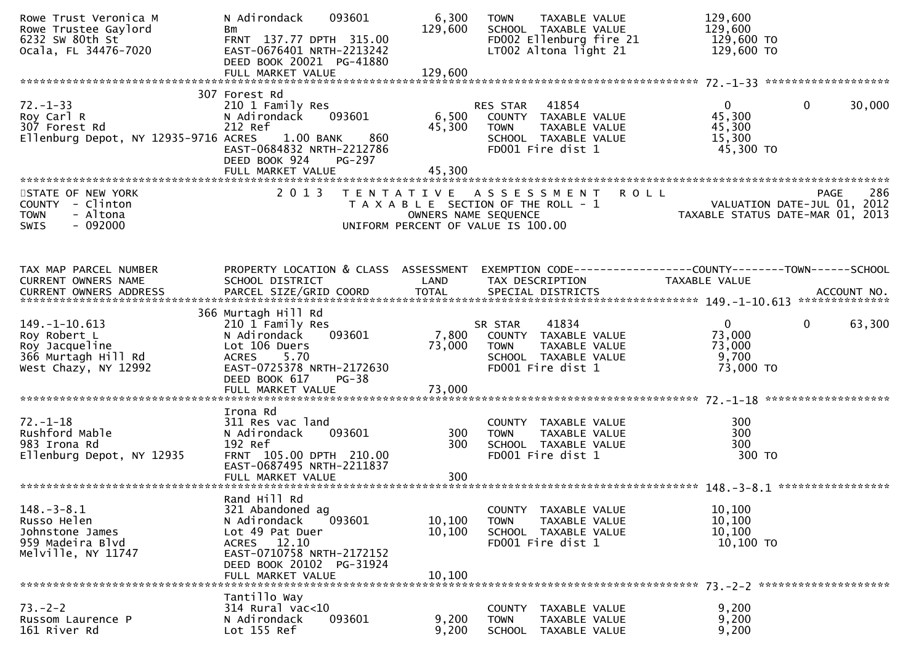| Rowe Trust Veronica M<br>Rowe Trustee Gaylord<br>6232 SW 80th St<br>Ocala, FL 34476-7020         | 093601<br>N Adirondack<br>Bm<br>FRNT 137.77 DPTH 315.00<br>EAST-0676401 NRTH-2213242<br>DEED BOOK 20021 PG-41880                                                           | 6,300<br>129,600           | <b>TOWN</b><br>TAXABLE VALUE<br>SCHOOL TAXABLE VALUE<br>FD002 Ellenburg fire 21<br>$LT002$ Altona light 21                                 | 129,600<br>129,600<br>129,600 TO<br>129,600 TO                  |                        |
|--------------------------------------------------------------------------------------------------|----------------------------------------------------------------------------------------------------------------------------------------------------------------------------|----------------------------|--------------------------------------------------------------------------------------------------------------------------------------------|-----------------------------------------------------------------|------------------------|
|                                                                                                  |                                                                                                                                                                            |                            |                                                                                                                                            |                                                                 |                        |
| $72. - 1 - 33$<br>Roy Carl R<br>307 Forest Rd<br>Ellenburg Depot, NY 12935-9716 ACRES 1.00 BANK  | 307 Forest Rd<br>210 1 Family Res<br>N Adirondack    093601<br>212 Ref<br>860<br>EAST-0684832 NRTH-2212786<br>DEED BOOK 924<br>PG-297                                      | 45,300<br>45,300           | RES STAR 41854<br>6,500 COUNTY TAXABLE VALUE<br>TAXABLE VALUE<br><b>TOWN</b><br>SCHOOL TAXABLE VALUE<br>FD001 Fire dist 1                  | $\mathbf{0}$<br>45,300<br>45,300<br>15,300<br>45,300 TO         | $\mathbf 0$<br>30,000  |
|                                                                                                  | FULL MARKET VALUE                                                                                                                                                          |                            |                                                                                                                                            |                                                                 |                        |
| STATE OF NEW YORK<br>COUNTY - Clinton<br>- Altona<br><b>TOWN</b><br>$-092000$<br><b>SWIS</b>     | 2 0 1 3                                                                                                                                                                    |                            | <b>ROLL</b><br>TENTATIVE ASSESSMENT<br>T A X A B L E SECTION OF THE ROLL - 1<br>OWNERS NAME SEQUENCE<br>UNIFORM PERCENT OF VALUE IS 100.00 | VALUATION DATE-JUL 01, 2012<br>TAXABLE STATUS DATE-MAR 01, 2013 | 286<br><b>PAGE</b>     |
| TAX MAP PARCEL NUMBER<br>CURRENT OWNERS NAME                                                     | PROPERTY LOCATION & CLASS ASSESSMENT EXEMPTION CODE----------------COUNTY-------TOWN------SCHOOL<br>SCHOOL DISTRICT                                                        | LAND                       | TAX DESCRIPTION                                                                                                                            | TAXABLE VALUE                                                   |                        |
|                                                                                                  | 366 Murtagh Hill Rd                                                                                                                                                        |                            |                                                                                                                                            |                                                                 |                        |
| 149. –1–10. 613<br>Roy Robert L<br>Roy Jacqueline<br>366 Murtagh Hill Rd<br>West Chazy, NY 12992 | 210 1 Family Res<br>N Adirondack<br>093601<br>Lot 106 Duers<br>ACRES 5.70<br>EAST-0725378 NRTH-2172630<br>DEED BOOK 617<br>PG-38                                           | 73,000                     | 41834<br>SR STAR<br>7,800 COUNTY TAXABLE VALUE<br>TAXABLE VALUE<br><b>TOWN</b><br>SCHOOL TAXABLE VALUE<br>FD001 Fire dist 1                | $\overline{0}$<br>73,000<br>73,000<br>9,700<br>73,000 TO        | $\mathbf{0}$<br>63,300 |
|                                                                                                  |                                                                                                                                                                            |                            |                                                                                                                                            |                                                                 |                        |
| $72. - 1 - 18$<br>Rushford Mable<br>983 Irona Rd<br>Ellenburg Depot, NY 12935                    | Irona Rd<br>311 Res vac land<br>093601<br>N Adirondack<br>192 Ref<br>FRNT 105.00 DPTH 210.00<br>EAST-0687495 NRTH-2211837                                                  | 300<br>300                 | COUNTY TAXABLE VALUE<br>TAXABLE VALUE<br><b>TOWN</b><br>SCHOOL TAXABLE VALUE<br>FD001 Fire dist 1                                          | 300<br>300<br>300<br>300 TO                                     |                        |
|                                                                                                  |                                                                                                                                                                            |                            |                                                                                                                                            |                                                                 |                        |
| $148. - 3 - 8.1$<br>Russo Helen<br>Johnstone James<br>959 Madeira Blvd<br>Melville, NY 11747     | Rand Hill Rd<br>321 Abandoned ag<br>093601<br>N Adirondack<br>Lot 49 Pat Duer<br>ACRES 12.10<br>EAST-0710758 NRTH-2172152<br>DEED BOOK 20102 PG-31924<br>FULL MARKET VALUE | 10,100<br>10,100<br>10,100 | COUNTY TAXABLE VALUE<br><b>TOWN</b><br>TAXABLE VALUE<br>SCHOOL TAXABLE VALUE<br>FD001 Fire dist 1                                          | 10,100<br>10, 100<br>10,100<br>$10,100$ TO                      |                        |
|                                                                                                  | Tantillo Way                                                                                                                                                               |                            |                                                                                                                                            |                                                                 |                        |
| $73. - 2 - 2$<br>Russom Laurence P<br>161 River Rd                                               | $314$ Rural vac< $10$<br>093601<br>N Adirondack<br>Lot 155 Ref                                                                                                             | 9,200<br>9,200             | COUNTY<br>TAXABLE VALUE<br><b>TOWN</b><br>TAXABLE VALUE<br>SCHOOL TAXABLE VALUE                                                            | 9,200<br>9,200<br>9,200                                         |                        |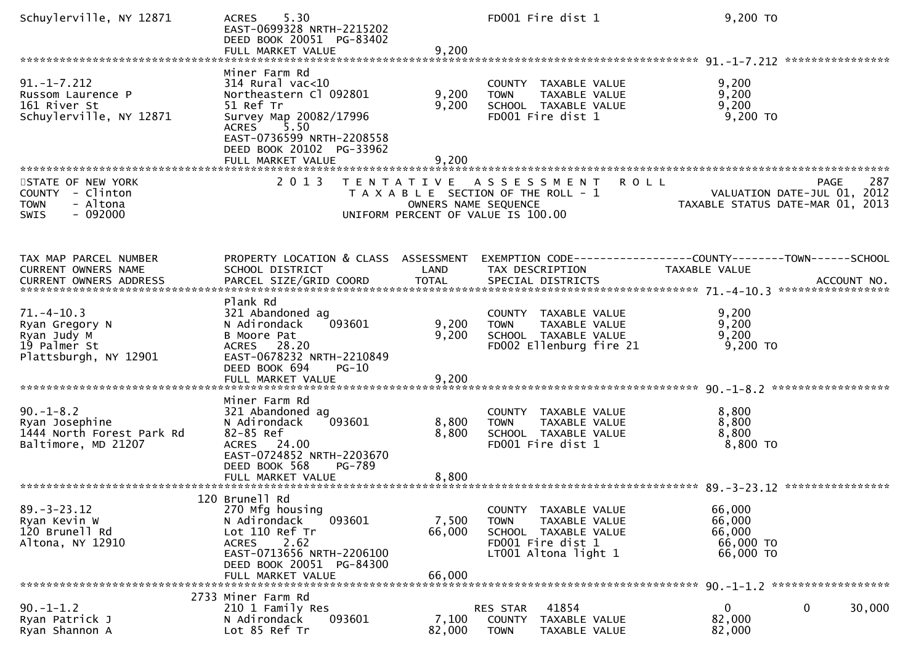| Schuylerville, NY 12871                                                                   | 5.30<br><b>ACRES</b><br>EAST-0699328 NRTH-2215202<br>DEED BOOK 20051 PG-83402<br>FULL MARKET VALUE                                                                                  | 9,200                     | FD001 Fire dist 1                                                                                                            | 9,200 TO                                                             |                     |
|-------------------------------------------------------------------------------------------|-------------------------------------------------------------------------------------------------------------------------------------------------------------------------------------|---------------------------|------------------------------------------------------------------------------------------------------------------------------|----------------------------------------------------------------------|---------------------|
|                                                                                           |                                                                                                                                                                                     |                           |                                                                                                                              |                                                                      |                     |
| $91. -1 - 7.212$<br>Russom Laurence P<br>161 River St<br>Schuylerville, NY 12871          | Miner Farm Rd<br>$314$ Rural vac<10<br>Northeastern Cl 092801<br>51 Ref Tr<br>Survey Map 20082/17996<br>5.50<br><b>ACRES</b>                                                        | 9,200<br>9,200            | COUNTY TAXABLE VALUE<br>TAXABLE VALUE<br><b>TOWN</b><br>SCHOOL TAXABLE VALUE<br>FD001 Fire dist 1                            | 9,200<br>9,200<br>9,200<br>$9,200$ TO                                |                     |
|                                                                                           | EAST-0736599 NRTH-2208558<br>DEED BOOK 20102 PG-33962<br>FULL MARKET VALUE<br>********************                                                                                  | 9,200                     |                                                                                                                              |                                                                      |                     |
| STATE OF NEW YORK<br>COUNTY - Clinton<br>- Altona<br><b>TOWN</b><br>$-092000$<br>SWIS     | 2 0 1 3<br>T E N T A T I V E                                                                                                                                                        | OWNERS NAME SEQUENCE      | <b>ROLL</b><br>A S S E S S M E N T<br>T A X A B L E SECTION OF THE ROLL - 1<br>UNIFORM PERCENT OF VALUE IS 100.00            | <b>PAGE</b><br>VALUATION DATE-JUL 01,<br>TAXABLE STATUS DATE-MAR 01, | 287<br>2012<br>2013 |
| TAX MAP PARCEL NUMBER<br><b>CURRENT OWNERS NAME</b>                                       | PROPERTY LOCATION & CLASS ASSESSMENT<br>SCHOOL DISTRICT                                                                                                                             | LAND                      | TAX DESCRIPTION                                                                                                              | TAXABLE VALUE                                                        |                     |
| $71. -4 - 10.3$<br>Ryan Gregory N<br>Ryan Judy M<br>19 Palmer St<br>Plattsburgh, NY 12901 | Plank Rd<br>321 Abandoned ag<br>N Adirondack<br>093601<br>B Moore Pat<br>ACRES 28.20<br>EAST-0678232 NRTH-2210849<br>DEED BOOK 694<br>$PG-10$                                       | 9,200<br>9,200            | COUNTY TAXABLE VALUE<br>TAXABLE VALUE<br><b>TOWN</b><br>SCHOOL TAXABLE VALUE<br>FD002 Ellenburg fire 21                      | 9,200<br>9,200<br>9,200<br>9,200 TO                                  |                     |
|                                                                                           |                                                                                                                                                                                     |                           |                                                                                                                              |                                                                      |                     |
| $90. -1 - 8.2$<br>Ryan Josephine<br>1444 North Forest Park Rd<br>Baltimore, MD 21207      | Miner Farm Rd<br>321 Abandoned ag<br>N Adirondack<br>093601<br>82-85 Ref<br>ACRES 24.00<br>EAST-0724852 NRTH-2203670<br>DEED BOOK 568<br>PG-789                                     | 8,800<br>8,800            | COUNTY TAXABLE VALUE<br>TAXABLE VALUE<br><b>TOWN</b><br>SCHOOL TAXABLE VALUE<br>FD001 Fire dist 1                            | 8,800<br>8,800<br>8,800<br>$8,800$ TO                                |                     |
|                                                                                           |                                                                                                                                                                                     |                           |                                                                                                                              |                                                                      |                     |
|                                                                                           |                                                                                                                                                                                     |                           |                                                                                                                              |                                                                      |                     |
| $89. - 3 - 23.12$<br>Ryan Kevin W<br>120 Brunell Rd<br>Altona, NY 12910                   | 120 Brunell Rd<br>270 Mfg housing<br>N Adirondack<br>093601<br>Lot 110 Ref Tr<br>2.62<br><b>ACRES</b><br>EAST-0713656 NRTH-2206100<br>DEED BOOK 20051 PG-84300<br>FULL MARKET VALUE | 7,500<br>66,000<br>66,000 | TAXABLE VALUE<br>COUNTY<br><b>TOWN</b><br>TAXABLE VALUE<br>SCHOOL TAXABLE VALUE<br>FD001 Fire dist 1<br>LT001 Altona light 1 | 66,000<br>66,000<br>66,000<br>66,000 TO<br>66,000 TO                 |                     |
|                                                                                           |                                                                                                                                                                                     |                           |                                                                                                                              |                                                                      |                     |
| $90. -1 - 1.2$<br>Ryan Patrick J<br>Ryan Shannon A                                        | 2733 Miner Farm Rd<br>210 1 Family Res<br>N Adirondack<br>093601<br>Lot 85 Ref Tr                                                                                                   | 7,100<br>82,000           | 41854<br>RES STAR<br><b>COUNTY</b><br>TAXABLE VALUE<br><b>TOWN</b><br>TAXABLE VALUE                                          | 0<br>0<br>82,000<br>82,000                                           | 30,000              |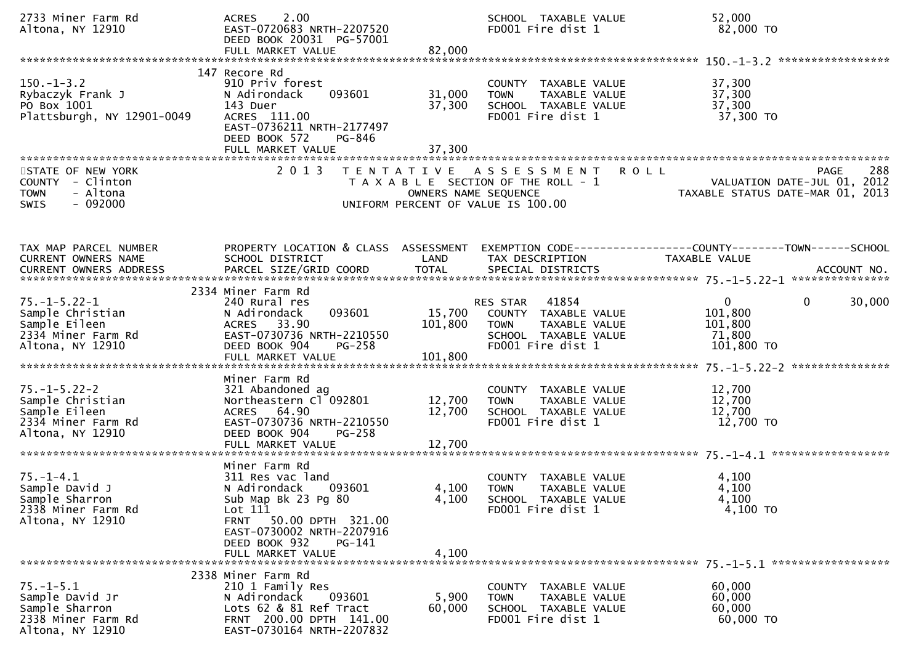| 2733 Miner Farm Rd<br>Altona, NY 12910                                                              | 2.00<br><b>ACRES</b><br>EAST-0720683 NRTH-2207520<br>DEED BOOK 20031 PG-57001                                                                                  |                            | SCHOOL TAXABLE VALUE<br>FD001 Fire dist 1                                                                              | 52,000<br>82,000 TO                                                                      |     |
|-----------------------------------------------------------------------------------------------------|----------------------------------------------------------------------------------------------------------------------------------------------------------------|----------------------------|------------------------------------------------------------------------------------------------------------------------|------------------------------------------------------------------------------------------|-----|
|                                                                                                     |                                                                                                                                                                |                            |                                                                                                                        |                                                                                          |     |
| $150.-1-3.2$<br>Rybaczyk Frank J<br>PO Box 1001<br>Plattsburgh, NY 12901-0049                       | 147 Recore Rd<br>910 Priv forest<br>093601<br>N Adirondack<br>143 Duer<br>ACRES 111.00<br>EAST-0736211 NRTH-2177497<br>DEED BOOK 572<br>PG-846                 | 31,000<br>37,300           | COUNTY TAXABLE VALUE<br>TAXABLE VALUE<br><b>TOWN</b><br>SCHOOL TAXABLE VALUE<br>FD001 Fire dist 1                      | 37,300<br>37,300<br>37,300<br>37,300 TO                                                  |     |
|                                                                                                     |                                                                                                                                                                |                            |                                                                                                                        |                                                                                          |     |
| STATE OF NEW YORK<br>COUNTY - Clinton<br>- Altona<br><b>TOWN</b><br>$-092000$<br><b>SWIS</b>        | 2 0 1 3                                                                                                                                                        | OWNERS NAME SEQUENCE       | TENTATIVE ASSESSMENT<br><b>ROLL</b><br>T A X A B L E SECTION OF THE ROLL - 1<br>UNIFORM PERCENT OF VALUE IS 100.00     | <b>PAGE</b><br>288<br>VALUATION DATE-JUL 01, 2012<br>TAXABLE STATUS DATE-MAR 01, 2013    | 288 |
| TAX MAP PARCEL NUMBER<br>CURRENT OWNERS NAME                                                        | PROPERTY LOCATION & CLASS ASSESSMENT<br>SCHOOL DISTRICT                                                                                                        | LAND                       | TAX DESCRIPTION                                                                                                        | EXEMPTION CODE------------------COUNTY--------TOWN------SCHOOL<br>TAXABLE VALUE          |     |
|                                                                                                     | 2334 Miner Farm Rd                                                                                                                                             |                            |                                                                                                                        |                                                                                          |     |
| $75. - 1 - 5.22 - 1$<br>Sample Christian<br>Sample Eileen<br>2334 Miner Farm Rd<br>Altona, NY 12910 | 240 Rural res<br>093601<br>N Adirondack<br>ACRES 33.90<br>EAST-0730736 NRTH-2210550<br>DEED BOOK 904<br>PG-258                                                 | 101,800                    | 41854<br>RES STAR<br>15,700 COUNTY TAXABLE VALUE<br>TAXABLE VALUE<br>TOWN<br>SCHOOL TAXABLE VALUE<br>FD001 Fire dist 1 | $\mathbf{0}$<br>30,000<br>$\overline{0}$<br>101,800<br>101,800<br>71,800<br>$101,800$ TO |     |
|                                                                                                     | Miner Farm Rd                                                                                                                                                  |                            |                                                                                                                        |                                                                                          |     |
| $75. - 1 - 5.22 - 2$<br>Sample Christian<br>Sample Eileen<br>2334 Miner Farm Rd<br>Altona, NY 12910 | 321 Abandoned ag<br>Northeastern Cl 092801<br>ACRES 64.90<br>EAST-0730736 NRTH-2210550<br>DEED BOOK 904<br>PG-258<br>FULL MARKET VALUE                         | 12,700<br>12,700<br>12,700 | COUNTY TAXABLE VALUE<br>TAXABLE VALUE<br><b>TOWN</b><br>SCHOOL TAXABLE VALUE<br>FD001 Fire dist 1                      | 12,700<br>12,700<br>12,700<br>12,700 TO                                                  |     |
|                                                                                                     |                                                                                                                                                                |                            |                                                                                                                        |                                                                                          |     |
| $75. - 1 - 4.1$<br>Sample David J<br>Sample Sharron<br>2338 Miner Farm Rd<br>Altona, NY 12910       | Miner Farm Rd<br>311 Res vac land<br>093601<br>N Adirondack<br>Sub Map Bk 23 Pg 80<br>Lot 111<br><b>FRNT</b><br>50.00 DPTH 321.00<br>EAST-0730002 NRTH-2207916 | 4,100<br>4,100             | COUNTY TAXABLE VALUE<br><b>TOWN</b><br>TAXABLE VALUE<br>SCHOOL TAXABLE VALUE<br>FD001 Fire dist 1                      | 4,100<br>4,100<br>4,100<br>4,100 TO                                                      |     |
|                                                                                                     | DEED BOOK 932<br>PG-141<br>FULL MARKET VALUE                                                                                                                   | 4,100                      |                                                                                                                        |                                                                                          |     |
|                                                                                                     |                                                                                                                                                                |                            |                                                                                                                        |                                                                                          |     |
| $75. - 1 - 5.1$<br>Sample David Jr<br>Sample Sharron<br>2338 Miner Farm Rd<br>Altona, NY 12910      | 2338 Miner Farm Rd<br>210 1 Family Res<br>093601<br>N Adirondack<br>Lots 62 & 81 Ref Tract<br>FRNT 200.00 DPTH 141.00<br>EAST-0730164 NRTH-2207832             | 5,900<br>60,000            | COUNTY TAXABLE VALUE<br>TAXABLE VALUE<br><b>TOWN</b><br>SCHOOL TAXABLE VALUE<br>FD001 Fire dist 1                      | 60,000<br>60,000<br>60,000<br>60,000 TO                                                  |     |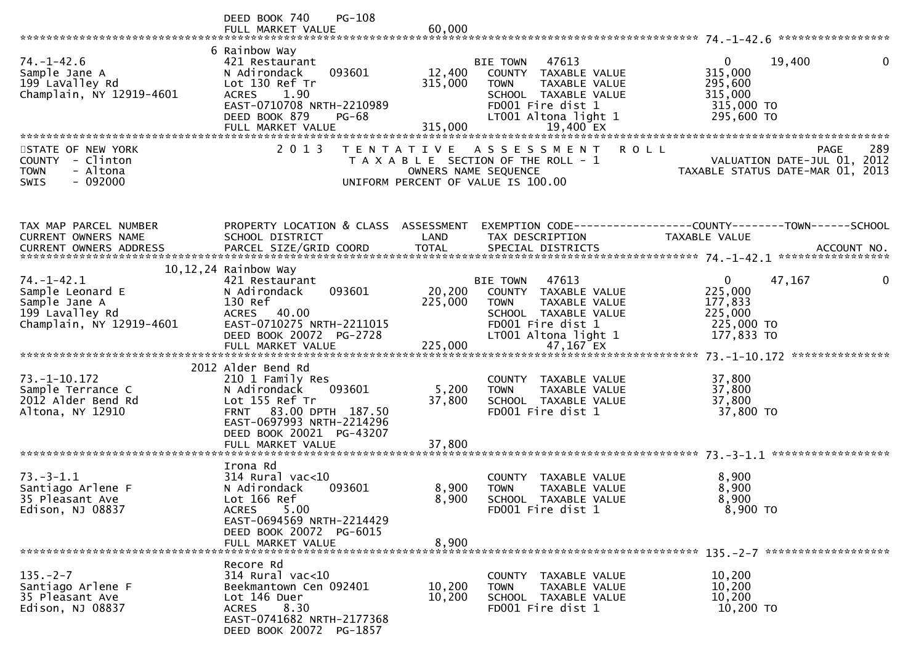|                                                                                                        | PG-108<br>DEED BOOK 740<br>FULL MARKET VALUE                                                                                                                                               | 60,000                       |                                                                                                                                                                    |                                                                                                                                                                                                                                                                                                                                |
|--------------------------------------------------------------------------------------------------------|--------------------------------------------------------------------------------------------------------------------------------------------------------------------------------------------|------------------------------|--------------------------------------------------------------------------------------------------------------------------------------------------------------------|--------------------------------------------------------------------------------------------------------------------------------------------------------------------------------------------------------------------------------------------------------------------------------------------------------------------------------|
| $74. - 1 - 42.6$<br>Sample Jane A<br>199 LaValley Rd<br>Champlain, NY 12919-4601                       | 6 Rainbow Way<br>421 Restaurant<br>093601<br>N Adirondack<br>Lot 130 Ref Tr<br><b>ACRES</b><br>1.90<br>EAST-0710708 NRTH-2210989<br>DEED BOOK 879<br><b>PG-68</b>                          | 12,400<br>315,000<br>315,000 | <b>BIE TOWN</b><br>47613<br>COUNTY TAXABLE VALUE<br><b>TOWN</b><br>TAXABLE VALUE<br>SCHOOL TAXABLE VALUE<br>FD001 Fire dist 1<br>LT001 Altona light 1              | $\overline{0}$<br>19,400<br>0<br>315,000<br>295,600<br>315,000<br>315,000 TO<br>295,600 TO                                                                                                                                                                                                                                     |
| STATE OF NEW YORK<br><b>COUNTY</b><br>- Clinton<br><b>TOWN</b><br>- Altona<br>$-092000$<br><b>SWIS</b> | 2 0 1 3                                                                                                                                                                                    | T E N T A T I V E            | ASSESSMENT<br><b>ROLL</b><br>T A X A B L E SECTION OF THE ROLL - 1<br>OWNERS NAME SEQUENCE<br>UNIFORM PERCENT OF VALUE IS 100.00                                   | 289<br>PAGE<br>VALUATION DATE-JUL 01, 2012<br>TAXABLE STATUS DATE-MAR 01, 2013                                                                                                                                                                                                                                                 |
| TAX MAP PARCEL NUMBER<br>CURRENT OWNERS NAME                                                           | PROPERTY LOCATION & CLASS ASSESSMENT<br>SCHOOL DISTRICT                                                                                                                                    | LAND                         | TAX DESCRIPTION                                                                                                                                                    | EXEMPTION        CODE------------------COUNTY-------TOWN------SCHOOL<br><b>TAXABLE VALUE</b><br>.00000 CURRENT OWNERS ADDRESS PARCEL SIZE/GRID COORD TOTAL SPECIAL DISTRICTS ACCOUNT NO ACCOUNT NO ACCOUNT NO بمعاملته بن المستحدثة بن المستحدثة بن المستحدثة بن المستحدثة بن المستحدثة بن المستحدثة بن المستحدثة بن المستحدثة |
| $74. - 1 - 42.1$<br>Sample Leonard E<br>Sample Jane A<br>199 Lavalley Rd<br>Champlain, NY 12919-4601   | 10, 12, 24 Rainbow Way<br>421 Restaurant<br>093601<br>N Adirondack<br>130 Ref<br>ACRES 40.00<br>EAST-0710275 NRTH-2211015<br>DEED BOOK 20072 PG-2728<br>FULL MARKET VALUE                  | 20,200<br>225,000<br>225,000 | 47613<br><b>BIE TOWN</b><br>COUNTY TAXABLE VALUE<br><b>TOWN</b><br>TAXABLE VALUE<br>SCHOOL TAXABLE VALUE<br>FD001 Fire dist 1<br>LT001 Altona light 1<br>47,167 EX | $\overline{0}$<br>0<br>47,167<br>225,000<br>177,833<br>225,000<br>225,000 TO<br>177,833 TO<br>***************                                                                                                                                                                                                                  |
| $73. - 1 - 10.172$<br>Sample Terrance C<br>2012 Alder Bend Rd<br>Altona, NY 12910                      | 2012 Alder Bend Rd<br>210 1 Family Res<br>093601<br>N Adirondack<br>Lot 155 Ref Tr<br>FRNT 83.00 DPTH 187.50<br>EAST-0697993 NRTH-2214296<br>DEED BOOK 20021 PG-43207<br>FULL MARKET VALUE | 5,200<br>37,800<br>37,800    | COUNTY TAXABLE VALUE<br>TAXABLE VALUE<br><b>TOWN</b><br>SCHOOL TAXABLE VALUE<br>FD001 Fire dist 1                                                                  | 37,800<br>37,800<br>37,800<br>37,800 TO                                                                                                                                                                                                                                                                                        |
| $73. - 3 - 1.1$<br>Santiago Arlene F<br>35 Pleasant Ave<br>Edison, NJ 08837                            | Irona Rd<br>$314$ Rural vac<10<br>N Adirondack<br>093601<br>Lot 166 Ref<br>5.00<br><b>ACRES</b><br>EAST-0694569 NRTH-2214429<br>DEED BOOK 20072 PG-6015<br>FULL MARKET VALUE               | 8,900<br>8,900<br>8,900      | COUNTY TAXABLE VALUE<br><b>TOWN</b><br>TAXABLE VALUE<br><b>SCHOOL</b><br>TAXABLE VALUE<br>FD001 Fire dist 1                                                        | 8,900<br>8,900<br>8,900<br>8,900 TO                                                                                                                                                                                                                                                                                            |
| $135. -2 - 7$<br>Santiago Arlene F<br>35 Pleasant Ave<br>Edison, NJ 08837                              | Recore Rd<br>314 Rural vac<10<br>Beekmantown Cen 092401<br>Lot 146 Duer<br>8.30<br><b>ACRES</b><br>EAST-0741682 NRTH-2177368<br>DEED BOOK 20072 PG-1857                                    | 10,200<br>10,200             | COUNTY TAXABLE VALUE<br>TAXABLE VALUE<br><b>TOWN</b><br>SCHOOL TAXABLE VALUE<br>FD001 Fire dist 1                                                                  | 10,200<br>10,200<br>10,200<br>10,200 TO                                                                                                                                                                                                                                                                                        |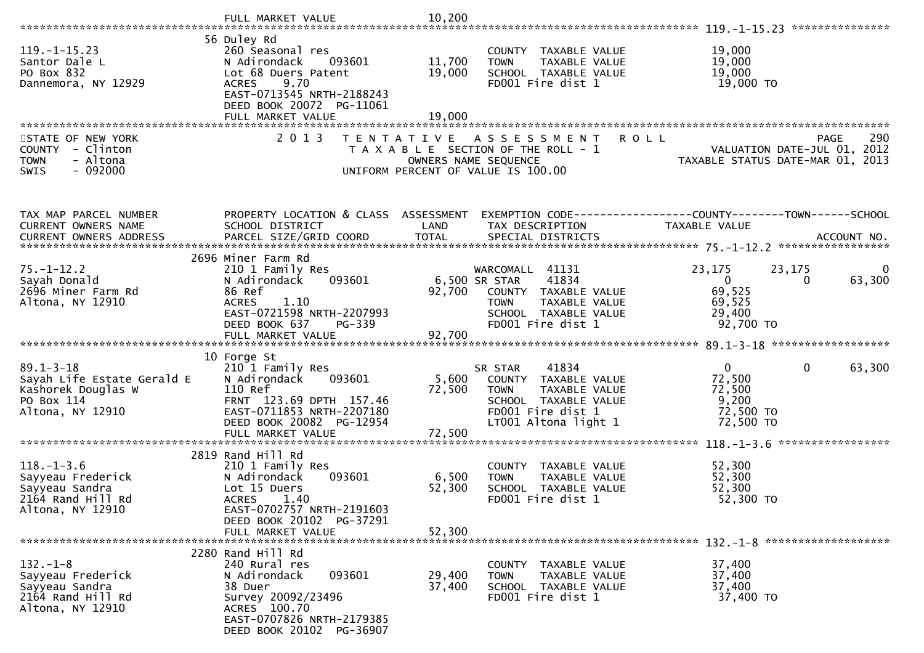|                                                                                              | FULL MARKET VALUE                                                                                                                                                 | 10,200               |                                                                                                                            |                                                                                                         |
|----------------------------------------------------------------------------------------------|-------------------------------------------------------------------------------------------------------------------------------------------------------------------|----------------------|----------------------------------------------------------------------------------------------------------------------------|---------------------------------------------------------------------------------------------------------|
|                                                                                              |                                                                                                                                                                   |                      |                                                                                                                            |                                                                                                         |
| $119. - 1 - 15.23$<br>Santor Dale L<br>PO Box 832<br>Dannemora, NY 12929                     | 56 Duley Rd<br>260 Seasonal res<br>N Adirondack<br>093601<br>Lot 68 Duers Patent<br>9.70<br><b>ACRES</b><br>EAST-0713545 NRTH-2188243<br>DEED BOOK 20072 PG-11061 | 11,700<br>19,000     | COUNTY TAXABLE VALUE<br>TAXABLE VALUE<br><b>TOWN</b><br>SCHOOL TAXABLE VALUE<br>FD001 Fire dist 1                          | 19,000<br>19,000<br>19,000<br>19,000 TO                                                                 |
|                                                                                              | FULL MARKET VALUE                                                                                                                                                 | 19,000               |                                                                                                                            |                                                                                                         |
|                                                                                              |                                                                                                                                                                   |                      |                                                                                                                            |                                                                                                         |
| STATE OF NEW YORK<br>COUNTY - Clinton<br><b>TOWN</b><br>- Altona<br>$-092000$<br><b>SWIS</b> | 2 0 1 3                                                                                                                                                           | T E N T A T I V E    | A S S E S S M E N T<br>T A X A B L E SECTION OF THE ROLL - 1<br>OWNERS NAME SEQUENCE<br>UNIFORM PERCENT OF VALUE IS 100.00 | 290<br><b>ROLL</b><br><b>PAGE</b><br>VALUATION DATE-JUL 01, 2012<br>TAXABLE STATUS DATE-MAR 01,<br>2013 |
|                                                                                              |                                                                                                                                                                   |                      |                                                                                                                            |                                                                                                         |
| TAX MAP PARCEL NUMBER<br>CURRENT OWNERS NAME<br>CURRENT OWNERS ADDRESS                       | PROPERTY LOCATION & CLASS ASSESSMENT<br>SCHOOL DISTRICT<br>PARCEL SIZE/GRID COORD                                                                                 | LAND<br><b>TOTAL</b> | TAX DESCRIPTION<br>SPECIAL DISTRICTS                                                                                       | EXEMPTION CODE------------------COUNTY--------TOWN------SCHOOL<br>TAXABLE VALUE<br>ACCOUNT NO.          |
|                                                                                              |                                                                                                                                                                   |                      |                                                                                                                            |                                                                                                         |
| $75. - 1 - 12.2$                                                                             | 2696 Miner Farm Rd<br>210 1 Family Res                                                                                                                            |                      | WARCOMALL 41131                                                                                                            | 23,175<br>23,175<br>$\mathbf{0}$                                                                        |
| Sayah Donald<br>2696 Miner Farm Rd                                                           | N Adirondack<br>093601<br>86 Ref                                                                                                                                  | 92,700               | 41834<br>6,500 SR STAR<br>COUNTY TAXABLE VALUE                                                                             | $\overline{0}$<br>63,300<br>0                                                                           |
| Altona, NY 12910                                                                             | <b>ACRES</b><br>1.10                                                                                                                                              |                      | <b>TOWN</b><br>TAXABLE VALUE                                                                                               | 69,525<br>69,525                                                                                        |
|                                                                                              | EAST-0721598 NRTH-2207993                                                                                                                                         |                      | SCHOOL TAXABLE VALUE                                                                                                       | 29,400                                                                                                  |
|                                                                                              | DEED BOOK 637<br>PG-339                                                                                                                                           |                      | FD001 Fire dist 1                                                                                                          | 92,700 TO                                                                                               |
|                                                                                              |                                                                                                                                                                   |                      |                                                                                                                            |                                                                                                         |
| $89.1 - 3 - 18$                                                                              | 10 Forge St                                                                                                                                                       |                      | 41834                                                                                                                      | $\overline{0}$<br>$\mathbf 0$<br>63,300                                                                 |
| Sayah Life Estate Gerald E                                                                   | 210 1 Family Res<br>093601<br>N Adirondack                                                                                                                        | 5,600                | SR STAR<br>COUNTY TAXABLE VALUE                                                                                            | 72,500                                                                                                  |
| Kashorek Douglas W                                                                           | 110 Ref                                                                                                                                                           | 72,500               | TAXABLE VALUE<br><b>TOWN</b>                                                                                               | 72,500                                                                                                  |
| PO Box 114<br>Altona, NY 12910                                                               | FRNT 123.69 DPTH 157.46<br>EAST-0711853 NRTH-2207180                                                                                                              |                      | SCHOOL TAXABLE VALUE<br>FD001 Fire dist 1                                                                                  | 9,200<br>72,500 TO                                                                                      |
|                                                                                              | DEED BOOK 20082 PG-12954                                                                                                                                          |                      | LT001 Altona light 1                                                                                                       | 72,500 TO                                                                                               |
|                                                                                              | FULL MARKET VALUE                                                                                                                                                 | 72,500               |                                                                                                                            | *****************                                                                                       |
|                                                                                              | 2819 Rand Hill Rd                                                                                                                                                 |                      |                                                                                                                            |                                                                                                         |
| $118. - 1 - 3.6$                                                                             | 210 1 Family Res                                                                                                                                                  |                      | COUNTY TAXABLE VALUE                                                                                                       | 52,300                                                                                                  |
| Sayyeau Frederick<br>Sayyeau Sandra                                                          | N Adirondack<br>093601<br>Lot 15 Duers                                                                                                                            | 6,500<br>52,300      | TAXABLE VALUE<br><b>TOWN</b><br>SCHOOL TAXABLE VALUE                                                                       | 52,300<br>52,300                                                                                        |
| 2164 Rand Hill Rd                                                                            | <b>ACRES</b><br>1.40                                                                                                                                              |                      | FD001 Fire dist 1                                                                                                          | 52,300 TO                                                                                               |
| Altona, NY 12910                                                                             | EAST-0702757 NRTH-2191603<br>DEED BOOK 20102 PG-37291                                                                                                             |                      |                                                                                                                            |                                                                                                         |
|                                                                                              | FULL MARKET VALUE                                                                                                                                                 | 52,300               |                                                                                                                            |                                                                                                         |
|                                                                                              |                                                                                                                                                                   |                      |                                                                                                                            |                                                                                                         |
| $132 - 1 - 8$                                                                                | 2280 Rand Hill Rd<br>240 Rural res                                                                                                                                |                      | COUNTY TAXABLE VALUE                                                                                                       | 37,400                                                                                                  |
| Sayyeau Frederick                                                                            | 093601<br>N Adirondack                                                                                                                                            | 29,400               | TAXABLE VALUE<br><b>TOWN</b>                                                                                               | 37,400                                                                                                  |
| Sayyeau Sandra<br>2164 Rand Hill Rd                                                          | 38 Duer<br>Survey 20092/23496                                                                                                                                     | 37,400               | SCHOOL TAXABLE VALUE<br>FD001 Fire dist 1                                                                                  | 37,400<br>37,400 TO                                                                                     |
| Altona, NY 12910                                                                             | ACRES 100.70<br>EAST-0707826 NRTH-2179385                                                                                                                         |                      |                                                                                                                            |                                                                                                         |
|                                                                                              | DEED BOOK 20102 PG-36907                                                                                                                                          |                      |                                                                                                                            |                                                                                                         |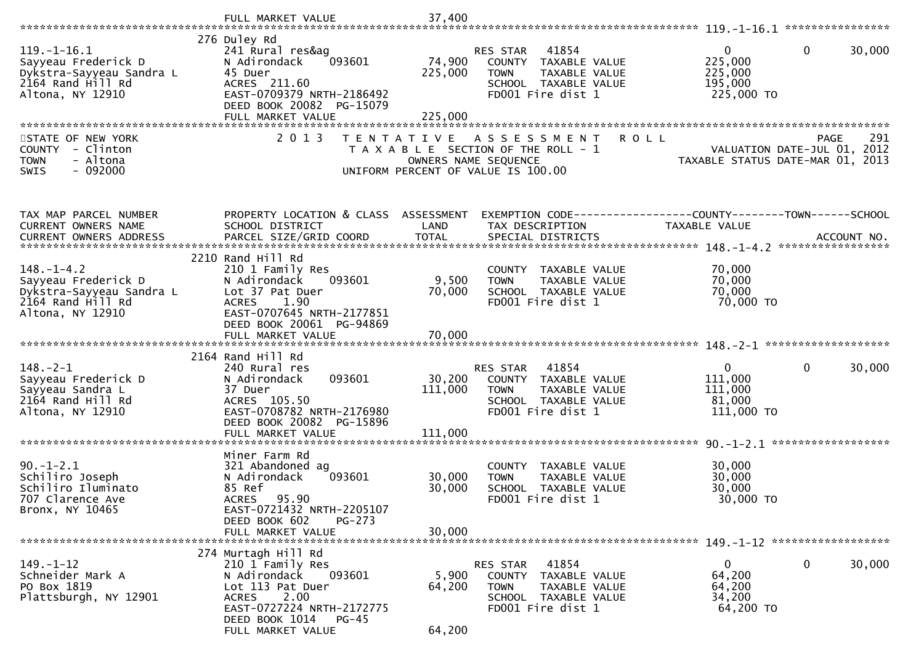|                                                                                                               | FULL MARKET VALUE                                                                                                  | 37,400            |                                                                                                                        |                                                                |                                     |
|---------------------------------------------------------------------------------------------------------------|--------------------------------------------------------------------------------------------------------------------|-------------------|------------------------------------------------------------------------------------------------------------------------|----------------------------------------------------------------|-------------------------------------|
|                                                                                                               |                                                                                                                    |                   |                                                                                                                        |                                                                |                                     |
| $119. - 1 - 16.1$<br>Sayyeau Frederick D<br>Dykstra-Sayyeau Sandra L<br>2164 Rand Hill Rd<br>Altona, NY 12910 | 276 Duley Rd<br>241 Rural res&ag<br>N Adirondack<br>093601<br>45 Duer<br>ACRES 211.60<br>EAST-0709379 NRTH-2186492 | 74,900<br>225,000 | 41854<br>RES STAR<br>COUNTY TAXABLE VALUE<br>TAXABLE VALUE<br><b>TOWN</b><br>SCHOOL TAXABLE VALUE<br>FD001 Fire dist 1 | $\mathbf 0$<br>225,000<br>225,000<br>195,000<br>225,000 TO     | $\mathbf{0}$<br>30,000              |
|                                                                                                               | DEED BOOK 20082 PG-15079<br>FULL MARKET VALUE                                                                      | 225,000           |                                                                                                                        |                                                                |                                     |
| STATE OF NEW YORK                                                                                             | 2 0 1 3                                                                                                            | T E N T A T I V E | A S S E S S M E N T                                                                                                    | <b>ROLL</b>                                                    | 291<br>PAGE                         |
| COUNTY - Clinton<br>- Altona<br><b>TOWN</b><br>$-092000$<br><b>SWIS</b>                                       |                                                                                                                    |                   | T A X A B L E SECTION OF THE ROLL - 1<br>OWNERS NAME SEQUENCE<br>UNIFORM PERCENT OF VALUE IS 100.00                    | TAXABLE STATUS DATE-MAR 01,                                    | VALUATION DATE-JUL 01, 2012<br>2013 |
| TAX MAP PARCEL NUMBER                                                                                         | PROPERTY LOCATION & CLASS ASSESSMENT                                                                               |                   |                                                                                                                        | EXEMPTION CODE------------------COUNTY--------TOWN------SCHOOL |                                     |
| CURRENT OWNERS NAME                                                                                           | SCHOOL DISTRICT                                                                                                    | LAND              | TAX DESCRIPTION                                                                                                        | TAXABLE VALUE                                                  |                                     |
|                                                                                                               |                                                                                                                    |                   |                                                                                                                        |                                                                |                                     |
|                                                                                                               | 2210 Rand Hill Rd                                                                                                  |                   |                                                                                                                        |                                                                |                                     |
| $148. - 1 - 4.2$                                                                                              | 210 1 Family Res                                                                                                   |                   | COUNTY TAXABLE VALUE                                                                                                   | 70,000                                                         |                                     |
| Sayyeau Frederick D<br>Dykstra-Sayyeau Sandra L                                                               | N Adirondack<br>093601<br>Lot 37 Pat Duer                                                                          | 9,500<br>70,000   | TAXABLE VALUE<br><b>TOWN</b><br>SCHOOL TAXABLE VALUE                                                                   | 70,000<br>70,000                                               |                                     |
| 2164 Rand Hill Rd                                                                                             | 1.90<br><b>ACRES</b>                                                                                               |                   | FD001 Fire dist 1                                                                                                      | 70,000 TO                                                      |                                     |
| Altona, NY 12910                                                                                              | EAST-0707645 NRTH-2177851                                                                                          |                   |                                                                                                                        |                                                                |                                     |
|                                                                                                               | DEED BOOK 20061 PG-94869                                                                                           |                   |                                                                                                                        |                                                                |                                     |
|                                                                                                               |                                                                                                                    |                   |                                                                                                                        |                                                                |                                     |
|                                                                                                               | 2164 Rand Hill Rd                                                                                                  |                   |                                                                                                                        |                                                                |                                     |
| $148. - 2 - 1$                                                                                                | 240 Rural res                                                                                                      |                   | RES STAR<br>41854                                                                                                      | $\overline{0}$                                                 | $\mathbf 0$<br>30,000               |
| Sayyeau Frederick D                                                                                           | 093601<br>N Adirondack                                                                                             | 30,200            | COUNTY TAXABLE VALUE                                                                                                   | 111,000                                                        |                                     |
| Sayyeau Sandra L<br>2164 Rand Hill Rd                                                                         | 37 Duer<br>ACRES 105.50                                                                                            | 111,000           | TAXABLE VALUE<br><b>TOWN</b>                                                                                           | 111,000<br>81,000                                              |                                     |
| Altona, NY 12910                                                                                              | EAST-0708782 NRTH-2176980                                                                                          |                   | SCHOOL TAXABLE VALUE<br>FD001 Fire dist 1                                                                              | 111,000 TO                                                     |                                     |
|                                                                                                               | DEED BOOK 20082 PG-15896                                                                                           |                   |                                                                                                                        |                                                                |                                     |
|                                                                                                               |                                                                                                                    |                   |                                                                                                                        |                                                                |                                     |
|                                                                                                               | Miner Farm Rd                                                                                                      |                   |                                                                                                                        |                                                                |                                     |
| $90. - 1 - 2.1$                                                                                               | 321 Abandoned ag                                                                                                   |                   | COUNTY TAXABLE VALUE                                                                                                   | 30,000                                                         |                                     |
| Schiliro Joseph                                                                                               | N Adirondack<br>093601                                                                                             | 30,000            | TAXABLE VALUE<br><b>TOWN</b>                                                                                           | 30,000                                                         |                                     |
| Schiliro Iluminato                                                                                            | 85 Ref                                                                                                             | 30,000            | SCHOOL TAXABLE VALUE                                                                                                   | 30,000                                                         |                                     |
| 707 Clarence Ave<br>Bronx, NY 10465                                                                           | 95.90<br><b>ACRES</b><br>EAST-0721432 NRTH-2205107                                                                 |                   | FD001 Fire dist 1                                                                                                      | 30,000 TO                                                      |                                     |
|                                                                                                               | DEED BOOK 602<br>$PG-273$                                                                                          |                   |                                                                                                                        |                                                                |                                     |
|                                                                                                               | FULL MARKET VALUE                                                                                                  | 30,000            |                                                                                                                        |                                                                |                                     |
|                                                                                                               | 274 Murtagh Hill Rd                                                                                                |                   |                                                                                                                        |                                                                |                                     |
| $149. - 1 - 12$                                                                                               | 210 1 Family Res                                                                                                   |                   | RES STAR<br>41854                                                                                                      | $\mathbf{0}$                                                   | $\mathbf 0$<br>30,000               |
| Schneider Mark A                                                                                              | N Adirondack<br>093601                                                                                             | 5,900             | COUNTY TAXABLE VALUE                                                                                                   | 64,200                                                         |                                     |
| PO Box 1819                                                                                                   | Lot 113 Pat Duer                                                                                                   | 64,200            | <b>TOWN</b><br>TAXABLE VALUE                                                                                           | 64,200                                                         |                                     |
| Plattsburgh, NY 12901                                                                                         | 2.00<br><b>ACRES</b><br>EAST-0727224 NRTH-2172775                                                                  |                   | SCHOOL TAXABLE VALUE<br>FD001 Fire dist 1                                                                              | 34,200<br>64,200 TO                                            |                                     |
|                                                                                                               | DEED BOOK 1014 PG-45                                                                                               |                   |                                                                                                                        |                                                                |                                     |
|                                                                                                               | FULL MARKET VALUE                                                                                                  | 64,200            |                                                                                                                        |                                                                |                                     |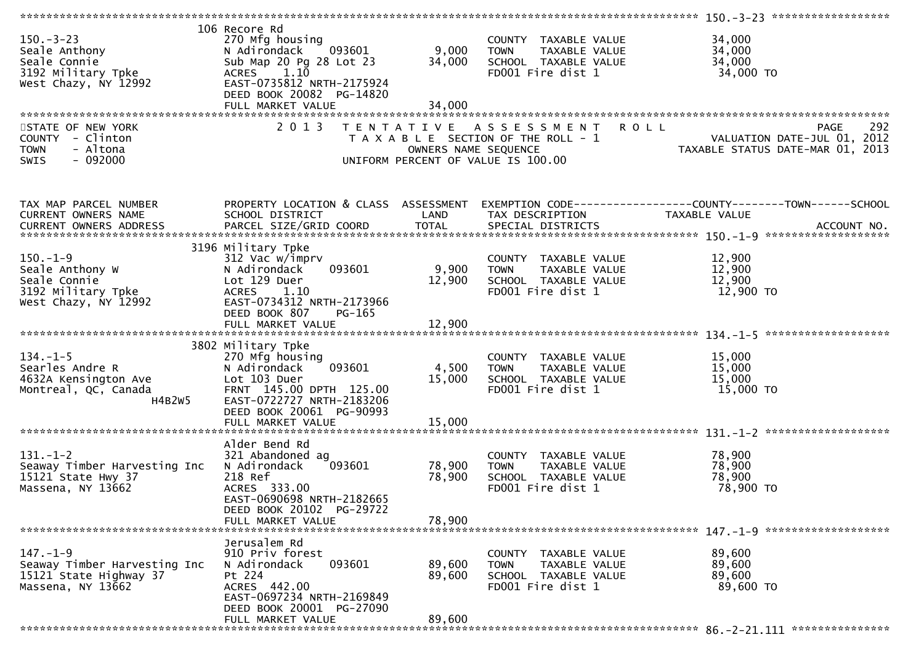| $150 - 3 - 23$<br>Seale Anthony<br>Seale Connie<br>3192 Military Tpke<br>West Chazy, NY 12992                | 106 Recore Rd<br>270 Mfg housing<br>N Adirondack 093601<br>Sub Map 20 Pg 28 Lot 23<br>ACRES 1.10<br>EAST-0735812 NRTH-2175924<br>DEED BOOK 20082 PG-14820 | 9,000<br>34,000<br>34,000 | COUNTY TAXABLE VALUE<br>TOWN       TAXABLE  VALUE<br>SCHOOL   TAXABLE  VALUE<br>FDOO1  Fire  dist  1                             | 34,000<br>34,000<br>34,000<br>34,000 TO                                                                           |
|--------------------------------------------------------------------------------------------------------------|-----------------------------------------------------------------------------------------------------------------------------------------------------------|---------------------------|----------------------------------------------------------------------------------------------------------------------------------|-------------------------------------------------------------------------------------------------------------------|
|                                                                                                              | FULL MARKET VALUE                                                                                                                                         |                           |                                                                                                                                  |                                                                                                                   |
| STATE OF NEW YORK<br>COUNTY - Clinton<br><b>TOWN</b><br>- Altona<br>$-092000$<br><b>SWIS</b>                 | 2 0 1 3                                                                                                                                                   | OWNERS NAME SEQUENCE      | TENTATIVE ASSESSMENT ROLL<br>T A X A B L E SECTION OF THE ROLL - 1<br>UNIFORM PERCENT OF VALUE IS 100.00                         | 292<br><b>PAGE</b><br>ROLL - 1<br>VALUATION DATE-JUL 01, 2012<br>TAXABLE STATUS DATE-MAR 01, 2013                 |
| TAX MAP PARCEL NUMBER<br>CURRENT OWNERS NAME<br>CURRENT OWNERS ADDRESS                                       | SCHOOL DISTRICT                                                                                                                                           | LAND                      | TAX DESCRIPTION                                                                                                                  | PROPERTY LOCATION & CLASS ASSESSMENT EXEMPTION CODE----------------COUNTY-------TOWN------SCHOOL<br>TAXABLE VALUE |
|                                                                                                              |                                                                                                                                                           |                           |                                                                                                                                  |                                                                                                                   |
| $150. - 1 - 9$<br>ע-ב-2015.<br>Seale Anthony W<br>Seale Connie<br>3192 Military Tpke<br>West Chazy, NY 12992 | 3196 Military Tpke<br>312 Vac w/imprv<br>093601<br>N Adirondack<br>Lot 129 Duer<br><b>ACRES</b><br>1.10<br>EAST-0734312 NRTH-2173966                      | 9,900<br>12,900           | COUNTY TAXABLE VALUE<br>TAXABLE VALUE<br><b>TOWN</b><br>SCHOOL TAXABLE VALUE<br>FD001 Fire dist 1                                | 12,900<br>12,900<br>12,900<br>12,900 TO                                                                           |
|                                                                                                              | DEED BOOK 807<br>PG-165<br>FULL MARKET VALUE                                                                                                              | 12,900                    |                                                                                                                                  |                                                                                                                   |
|                                                                                                              |                                                                                                                                                           |                           |                                                                                                                                  |                                                                                                                   |
|                                                                                                              | 3802 Military Tpke                                                                                                                                        |                           |                                                                                                                                  |                                                                                                                   |
| $134. - 1 - 5$<br>Searles Andre R<br>4632A Kensington Ave<br>Montreal, QC, Canada<br>H4B2W5                  | 270 Mfg housing<br>093601<br>N Adirondack<br>Lot 103 Duer<br>FRNT 145.00 DPTH 125.00<br>EAST-0722727 NRTH-2183206<br>DEED BOOK 20061 PG-90993             | 4,500<br>15,000           | COUNTY TAXABLE VALUE<br><b>TOWN</b><br>TAXABLE VALUE<br>TAXABLE VALUE<br>ALUE VALUE<br>SCHOOL TAXABLE VALUE<br>FD001 Fire dist 1 | 15,000<br>15,000<br>15,000<br>15,000 TO                                                                           |
|                                                                                                              | FULL MARKET VALUE                                                                                                                                         | 15,000                    |                                                                                                                                  |                                                                                                                   |
|                                                                                                              |                                                                                                                                                           |                           |                                                                                                                                  |                                                                                                                   |
| $131. - 1 - 2$<br>Seaway Timber Harvesting Inc<br>15121 State Hwy 37<br>Massena, NY 13662                    | Alder Bend Rd<br>321 Abandoned ag<br>093601<br>N Adirondack<br>218 Ref<br>ACRES 333.00<br>EAST-0690698 NRTH-2182665<br>DEED BOOK 20102 PG-29722           | 78,900<br>78,900          | COUNTY TAXABLE VALUE<br>TAXABLE VALUE<br><b>TOWN</b><br>SCHOOL TAXABLE VALUE<br>FD001 Fire dist 1                                | 78,900<br>78,900<br>78,900<br>78,900 TO                                                                           |
|                                                                                                              | FULL MARKET VALUE                                                                                                                                         | 78,900                    |                                                                                                                                  |                                                                                                                   |
|                                                                                                              |                                                                                                                                                           |                           |                                                                                                                                  |                                                                                                                   |
| $147. - 1 - 9$<br>Seaway Timber Harvesting Inc<br>15121 State Highway 37<br>Massena, NY 13662                | Jerusalem Rd<br>910 Priv forest<br>093601<br>N Adirondack<br>Pt 224<br>ACRES 442.00<br>EAST-0697234 NRTH-2169849                                          | 89,600<br>89,600          | COUNTY TAXABLE VALUE<br>TAXABLE VALUE<br><b>TOWN</b><br>SCHOOL TAXABLE VALUE<br>FD001 Fire dist 1                                | 89,600<br>89,600<br>89,600<br>89,600 TO                                                                           |
|                                                                                                              | DEED BOOK 20001 PG-27090<br>FULL MARKET VALUE                                                                                                             | 89,600                    |                                                                                                                                  |                                                                                                                   |
|                                                                                                              |                                                                                                                                                           |                           |                                                                                                                                  |                                                                                                                   |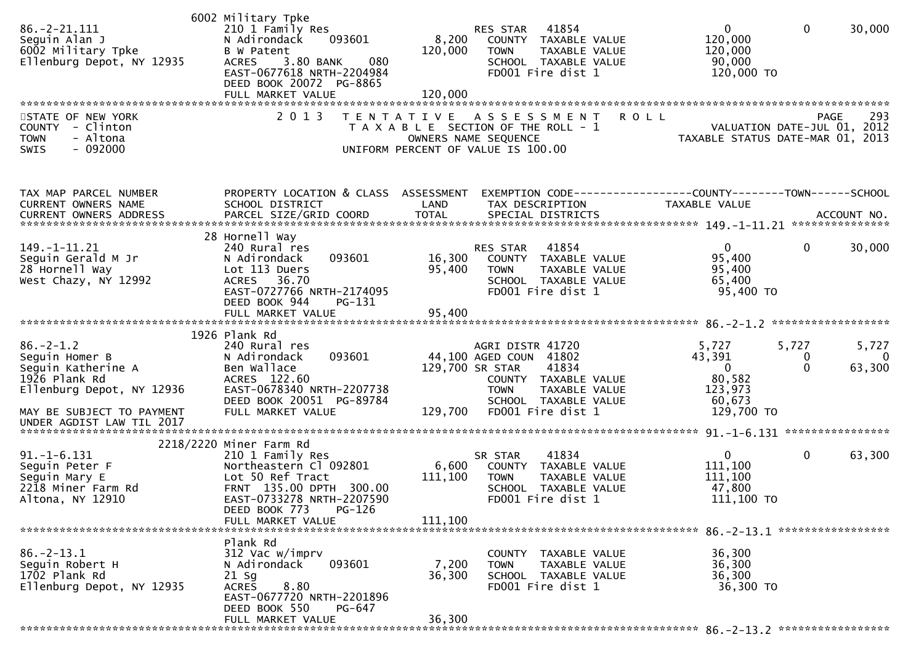| $86. - 2 - 21.111$<br>Seguin Alan J<br>6002 Military Tpke<br>Ellenburg Depot, NY 12935                                             | 6002 Military Tpke<br>210 1 Family Res<br>N Adirondack<br>093601<br>B W Patent<br>3.80 BANK<br>080<br><b>ACRES</b><br>EAST-0677618 NRTH-2204984<br>DEED BOOK 20072 PG-8865<br>FULL MARKET VALUE | 8,200<br>120,000<br>120,000 | 41854<br>RES STAR<br>COUNTY TAXABLE VALUE<br>TAXABLE VALUE<br><b>TOWN</b><br>SCHOOL TAXABLE VALUE<br>FD001 Fire dist 1                                                      | $\mathbf{0}$<br>120,000<br>120,000<br>90,000<br>120,000 TO                     | $\mathbf{0}$           | 30,000                      |
|------------------------------------------------------------------------------------------------------------------------------------|-------------------------------------------------------------------------------------------------------------------------------------------------------------------------------------------------|-----------------------------|-----------------------------------------------------------------------------------------------------------------------------------------------------------------------------|--------------------------------------------------------------------------------|------------------------|-----------------------------|
| STATE OF NEW YORK<br><b>COUNTY</b><br>- Clinton<br>- Altona<br><b>TOWN</b><br>$-092000$<br>SWIS                                    | 2 0 1 3                                                                                                                                                                                         |                             | ROLL<br>TENTATIVE ASSESSMENT<br>T A X A B L E SECTION OF THE ROLL - 1<br>OWNERS NAME SEQUENCE<br>UNIFORM PERCENT OF VALUE IS 100.00                                         | VALUATION DATE-JUL 01, 2012<br>TAXABLE STATUS DATE-MAR 01, 2013                | <b>PAGE</b>            | 293                         |
| TAX MAP PARCEL NUMBER<br>CURRENT OWNERS NAME                                                                                       | PROPERTY LOCATION & CLASS ASSESSMENT<br>SCHOOL DISTRICT                                                                                                                                         | LAND                        | EXEMPTION CODE------------------COUNTY--------TOWN------SCHOOL<br>TAX DESCRIPTION                                                                                           | TAXABLE VALUE                                                                  |                        |                             |
| 149. -1-11. 21<br>Seguin Gerald M Jr<br>28 Hornell Way<br>West Chazy, NY 12992                                                     | 28 Hornell Way<br>240 Rural res<br>093601<br>N Adirondack<br>Lot 113 Duers<br>ACRES 36.70<br>EAST-0727766 NRTH-2174095<br>DEED BOOK 944<br>$PG-131$                                             | 16,300<br>95,400            | 41854<br>RES STAR<br>COUNTY TAXABLE VALUE<br><b>TOWN</b><br>TAXABLE VALUE<br>SCHOOL TAXABLE VALUE<br>FD001 Fire dist 1                                                      | $\overline{0}$<br>95,400<br>95,400<br>65,400<br>95,400 TO                      | 0                      | 30,000                      |
|                                                                                                                                    | FULL MARKET VALUE                                                                                                                                                                               | 95,400                      |                                                                                                                                                                             |                                                                                |                        |                             |
| $86. - 2 - 1.2$<br>Seguin Homer B<br>Seguin Katherine A<br>1926 Plank Rd<br>Ellenburg Depot, NY 12936<br>MAY BE SUBJECT TO PAYMENT | 1926 Plank Rd<br>240 Rural res<br>093601<br>N Adirondack<br>Ben Wallace<br>ACRES 122.60<br>EAST-0678340 NRTH-2207738<br>DEED BOOK 20051 PG-89784<br>FULL MARKET VALUE                           | 129,700                     | AGRI DISTR 41720<br>44,100 AGED COUN 41802<br>129,700 SR STAR<br>41834<br>COUNTY TAXABLE VALUE<br><b>TOWN</b><br>TAXABLE VALUE<br>SCHOOL TAXABLE VALUE<br>FD001 Fire dist 1 | 5,727<br>43,391<br>$\overline{0}$<br>80,582<br>123,973<br>60,673<br>129,700 TO | 5,727<br>0<br>$\Omega$ | 5,727<br>$\Omega$<br>63,300 |
| UNDER AGDIST LAW TIL 2017                                                                                                          |                                                                                                                                                                                                 |                             |                                                                                                                                                                             |                                                                                |                        |                             |
| $91. - 1 - 6.131$<br>Seguin Peter F<br>Seguin Mary E<br>2218 Miner Farm Rd<br>Altona, NY 12910                                     | 2218/2220 Miner Farm Rd<br>210 1 Family Res<br>Northeastern Cl 092801<br>Lot 50 Ref Tract<br>FRNT 135.00 DPTH 300.00<br>EAST-0733278 NRTH-2207590<br>PG-126<br>DEED BOOK 773                    | 6,600<br>111,100            | 41834<br>SR STAR<br>COUNTY TAXABLE VALUE<br><b>TOWN</b><br>TAXABLE VALUE<br>SCHOOL TAXABLE VALUE<br>FD001 Fire dist 1                                                       | $\mathbf{0}$<br>111,100<br>111,100<br>47,800<br>$111,100$ TO                   | 0                      | 63,300                      |
|                                                                                                                                    | FULL MARKET VALUE                                                                                                                                                                               | 111,100                     |                                                                                                                                                                             | 86. - 2 - 13. 1 *******************                                            |                        |                             |
| $86. - 2 - 13.1$<br>Seguin Robert H<br>1702 Plank Rd<br>Ellenburg Depot, NY 12935                                                  | Plank Rd<br>312 Vac w/imprv<br>093601<br>N Adirondack<br>21 Sg<br>8.80<br><b>ACRES</b><br>EAST-0677720 NRTH-2201896<br>DEED BOOK 550<br>PG-647                                                  | 7,200<br>36,300             | COUNTY TAXABLE VALUE<br>TAXABLE VALUE<br><b>TOWN</b><br>SCHOOL TAXABLE VALUE<br>FD001 Fire dist 1                                                                           | 36,300<br>36,300<br>36,300<br>36,300 TO                                        |                        |                             |
|                                                                                                                                    | FULL MARKET VALUE                                                                                                                                                                               | 36,300                      |                                                                                                                                                                             |                                                                                |                        |                             |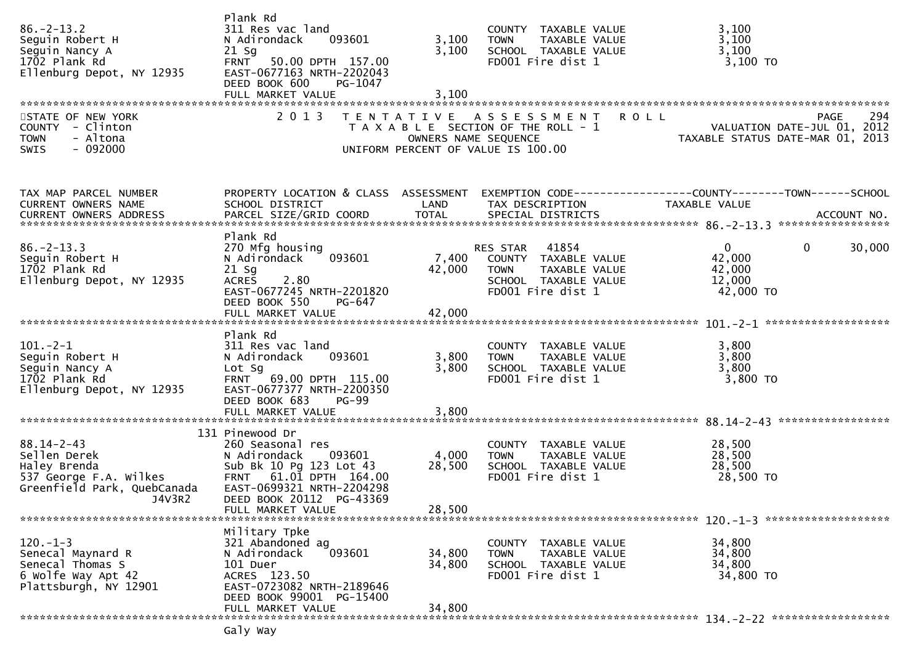| $86. - 2 - 13.2$<br>Seguin Robert H<br>Seguin Nancy A<br>1702 Plank Rd<br>Ellenburg Depot, NY 12935<br>STATE OF NEW YORK<br>COUNTY - Clinton<br>- Altona<br><b>TOWN</b><br>$-092000$<br><b>SWIS</b> | Plank Rd<br>311 Res vac land<br>093601<br>N Adirondack<br>$21$ Sg<br>50.00 DPTH 157.00<br><b>FRNT</b><br>EAST-0677163 NRTH-2202043<br>DEED BOOK 600<br>PG-1047<br>FULL MARKET VALUE<br>2 0 1 3   | 3,100<br>3,100<br>3,100<br>OWNERS NAME SEQUENCE | COUNTY TAXABLE VALUE<br><b>TOWN</b><br>TAXABLE VALUE<br>SCHOOL TAXABLE VALUE<br>FD001 Fire dist 1<br>TENTATIVE ASSESSMENT<br>T A X A B L E SECTION OF THE ROLL - 1<br>UNIFORM PERCENT OF VALUE IS 100.00 | 3,100<br>3,100<br>3,100<br>$3,100$ TO<br><b>ROLL</b><br><b>PAGE</b><br>VALUATION DATE-JUL 01, 2012<br>TAXABLE STATUS DATE-MAR 01, 2013 | 294    |
|-----------------------------------------------------------------------------------------------------------------------------------------------------------------------------------------------------|--------------------------------------------------------------------------------------------------------------------------------------------------------------------------------------------------|-------------------------------------------------|----------------------------------------------------------------------------------------------------------------------------------------------------------------------------------------------------------|----------------------------------------------------------------------------------------------------------------------------------------|--------|
|                                                                                                                                                                                                     |                                                                                                                                                                                                  |                                                 |                                                                                                                                                                                                          |                                                                                                                                        |        |
| TAX MAP PARCEL NUMBER<br>CURRENT OWNERS NAME                                                                                                                                                        | PROPERTY LOCATION & CLASS ASSESSMENT<br>SCHOOL DISTRICT                                                                                                                                          | LAND                                            | TAX DESCRIPTION                                                                                                                                                                                          | EXEMPTION CODE------------------COUNTY--------TOWN------SCHOOL<br><b>TAXABLE VALUE</b>                                                 |        |
| $86. - 2 - 13.3$<br>Seguin Robert H<br>1702 Plank Rd<br>Ellenburg Depot, NY 12935                                                                                                                   | Plank Rd<br>270 Mfg housing<br>093601<br>N Adirondack<br>$21$ Sg<br><b>ACRES</b><br>2.80<br>EAST-0677245 NRTH-2201820<br>DEED BOOK 550<br>PG-647                                                 | 7,400<br>42,000                                 | RES STAR 41854<br>COUNTY TAXABLE VALUE<br><b>TOWN</b><br>TAXABLE VALUE<br>SCHOOL TAXABLE VALUE<br>FD001 Fire dist 1                                                                                      | $\overline{0}$<br>$\mathbf{0}$<br>42,000<br>42,000<br>12,000<br>42,000 TO                                                              | 30,000 |
|                                                                                                                                                                                                     | FULL MARKET VALUE                                                                                                                                                                                | 42,000                                          |                                                                                                                                                                                                          |                                                                                                                                        |        |
| $101 - 2 - 1$<br>Seguin Robert H<br>Seguin Nancy A<br>1702 Plank Rd<br>Ellenburg Depot, NY 12935                                                                                                    | Plank Rd<br>311 Res vac land<br>N Adirondack<br>093601<br>Lot Sg<br>FRNT 69.00 DPTH 115.00<br>EAST-0677377 NRTH-2200350<br>DEED BOOK 683<br><b>PG-99</b><br>FULL MARKET VALUE                    | 3,800<br>3,800<br>3,800                         | COUNTY TAXABLE VALUE<br>TAXABLE VALUE<br><b>TOWN</b><br>SCHOOL TAXABLE VALUE<br>FD001 Fire dist 1                                                                                                        | 3,800<br>3,800<br>3,800<br>3,800 TO                                                                                                    |        |
|                                                                                                                                                                                                     |                                                                                                                                                                                                  |                                                 |                                                                                                                                                                                                          |                                                                                                                                        |        |
| $88.14 - 2 - 43$<br>Sellen Derek<br>Haley Brenda<br>537 George F.A. Wilkes<br>Greenfield Park, QuebCanada<br>J4V3R2                                                                                 | 131 Pinewood Dr<br>260 Seasonal res<br>093601<br>N Adirondack<br>Sub Bk 10 Pg 123 Lot 43<br>FRNT 61.01 DPTH 164.00<br>EAST-0699321 NRTH-2204298<br>DEED BOOK 20112 PG-43369<br>FULL MARKET VALUE | 4,000<br>28,500<br>28,500                       | COUNTY TAXABLE VALUE<br>TAXABLE VALUE<br><b>TOWN</b><br>SCHOOL TAXABLE VALUE<br>FD001 Fire dist 1                                                                                                        | 28,500<br>28,500<br>28,500<br>28,500 TO                                                                                                |        |
|                                                                                                                                                                                                     |                                                                                                                                                                                                  |                                                 |                                                                                                                                                                                                          |                                                                                                                                        |        |
| $120. - 1 - 3$<br>Senecal Maynard R<br>Senecal Thomas S<br>6 Wolfe Way Apt 42<br>Plattsburgh, NY 12901                                                                                              | Military Tpke<br>321 Abandoned ag<br>N Adirondack<br>093601<br>101 Duer<br>ACRES 123.50<br>EAST-0723082 NRTH-2189646<br>DEED BOOK 99001 PG-15400                                                 | 34,800<br>34,800                                | COUNTY TAXABLE VALUE<br><b>TOWN</b><br>TAXABLE VALUE<br>SCHOOL TAXABLE VALUE<br>FD001 Fire dist 1                                                                                                        | 34,800<br>34,800<br>34,800<br>34,800 TO                                                                                                |        |
|                                                                                                                                                                                                     | FULL MARKET VALUE                                                                                                                                                                                | 34,800                                          |                                                                                                                                                                                                          |                                                                                                                                        |        |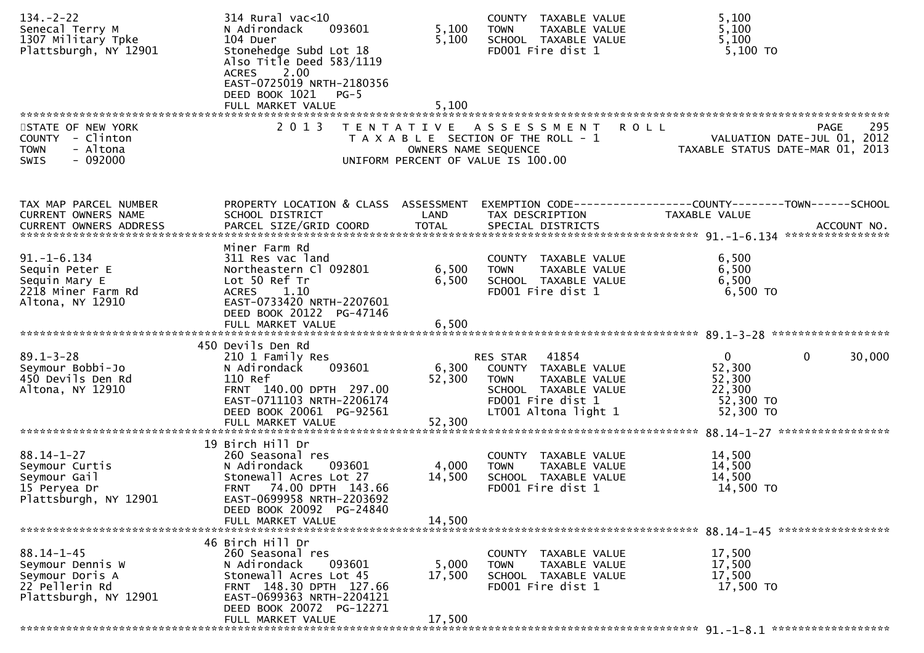| $134. - 2 - 22$<br>Senecal Terry M<br>1307 Military Tpke<br>Plattsburgh, NY 12901                  | $314$ Rural vac<10<br>N Adirondack<br>093601<br>104 Duer<br>Stonehedge Subd Lot 18<br>Also Title Deed 583/1119<br>2.00<br><b>ACRES</b><br>EAST-0725019 NRTH-2180356<br>DEED BOOK 1021 PG-5<br>FULL MARKET VALUE | 5,100<br>5,100<br>5,100 | COUNTY TAXABLE VALUE<br>TAXABLE VALUE<br><b>TOWN</b><br>SCHOOL TAXABLE VALUE<br>FD001 Fire dist 1                                                 | 5,100<br>5,100<br>5,100<br>5,100 TO                                                   |
|----------------------------------------------------------------------------------------------------|-----------------------------------------------------------------------------------------------------------------------------------------------------------------------------------------------------------------|-------------------------|---------------------------------------------------------------------------------------------------------------------------------------------------|---------------------------------------------------------------------------------------|
| STATE OF NEW YORK<br>COUNTY - Clinton<br>- Altona<br><b>TOWN</b><br>$-092000$<br><b>SWIS</b>       | 2 0 1 3                                                                                                                                                                                                         | OWNERS NAME SEQUENCE    | TENTATIVE ASSESSMENT ROLL<br>T A X A B L E SECTION OF THE ROLL - 1<br>UNIFORM PERCENT OF VALUE IS 100.00                                          | 295<br>PAGE<br>VALUATION DATE-JUL 01, 2012<br>TAXABLE STATUS DATE-MAR 01, 2013        |
| TAX MAP PARCEL NUMBER<br>CURRENT OWNERS NAME                                                       | PROPERTY LOCATION & CLASS ASSESSMENT<br>SCHOOL DISTRICT                                                                                                                                                         | LAND                    | TAX DESCRIPTION                                                                                                                                   | EXEMPTION        CODE------------------COUNTY-------TOWN------SCHOOL<br>TAXABLE VALUE |
| $91. - 1 - 6.134$<br>Sequin Peter E<br>Sequin Mary E<br>2218 Miner Farm Rd<br>Altona, NY 12910     | Miner Farm Rd<br>311 Res vac land<br>Northeastern Cl 092801<br>Lot 50 Ref Tr<br>1.10<br>ACRES<br>EAST-0733420 NRTH-2207601<br>DEED BOOK 20122 PG-47146<br>FULL MARKET VALUE                                     | 6,500<br>6,500<br>6,500 | COUNTY TAXABLE VALUE<br>TAXABLE VALUE<br><b>TOWN</b><br>SCHOOL TAXABLE VALUE<br>FD001 Fire dist 1                                                 | 6,500<br>6,500<br>6,500<br>$6,500$ TO                                                 |
|                                                                                                    |                                                                                                                                                                                                                 |                         |                                                                                                                                                   |                                                                                       |
| $89.1 - 3 - 28$<br>Seymour Bobbi-Jo<br>450 Devils Den Rd<br>Altona, NY 12910                       | 450 Devils Den Rd<br>210 1 Family Res<br>093601<br>N Adirondack<br>110 Ref<br>FRNT 140.00 DPTH 297.00<br>EAST-0711103 NRTH-2206174<br>DEED BOOK 20061 PG-92561                                                  | 52,300                  | RES STAR 41854<br>6,300 COUNTY TAXABLE VALUE<br>TAXABLE VALUE<br><b>TOWN</b><br>SCHOOL TAXABLE VALUE<br>FD001 Fire dist 1<br>LT001 Altona light 1 | $\Omega$<br>30,000<br>0<br>52,300<br>52,300<br>22,300<br>52,300 TO<br>52,300 TO       |
|                                                                                                    | FULL MARKET VALUE                                                                                                                                                                                               | 52,300                  |                                                                                                                                                   |                                                                                       |
| $88.14 - 1 - 27$<br>Seymour Curtis<br>Seymour Gail<br>15 Peryea Dr<br>Plattsburgh, NY 12901        | 19 Birch Hill Dr<br>260 Seasonal res<br>N Adirondack<br>093601<br>Stonewall Acres Lot 27<br>FRNT 74.00 DPTH 143.66<br>EAST-0699958 NRTH-2203692<br>DEED BOOK 20092 PG-24840                                     | 4,000<br>14,500         | COUNTY TAXABLE VALUE<br>TAXABLE VALUE<br><b>TOWN</b><br>SCHOOL TAXABLE VALUE<br>FD001 Fire dist 1                                                 | 14,500<br>14,500<br>14,500<br>14,500 TO                                               |
|                                                                                                    | FULL MARKET VALUE                                                                                                                                                                                               | 14,500                  |                                                                                                                                                   |                                                                                       |
| $88.14 - 1 - 45$<br>Seymour Dennis W<br>Seymour Doris A<br>22 Pellerin Rd<br>Plattsburgh, NY 12901 | 46 Birch Hill Dr<br>260 Seasonal res<br>093601<br>N Adirondack<br>Stonewall Acres Lot 45<br>FRNT 148.30 DPTH 127.66<br>EAST-0699363 NRTH-2204121<br>DEED BOOK 20072 PG-12271                                    | 5,000<br>17,500         | COUNTY TAXABLE VALUE<br>TAXABLE VALUE<br><b>TOWN</b><br>SCHOOL TAXABLE VALUE<br>FD001 Fire dist 1                                                 | 17,500<br>17,500<br>17,500<br>17,500 TO                                               |
|                                                                                                    | FULL MARKET VALUE                                                                                                                                                                                               | 17,500                  |                                                                                                                                                   |                                                                                       |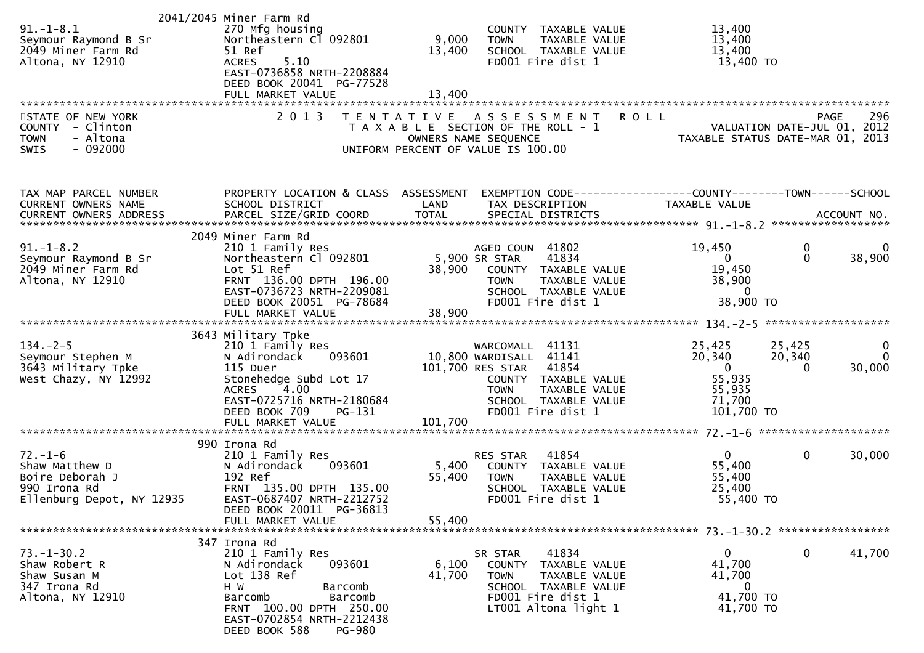|                              | 2041/2045 Miner Farm Rd              |         |                                               |                                                                                                                                   |
|------------------------------|--------------------------------------|---------|-----------------------------------------------|-----------------------------------------------------------------------------------------------------------------------------------|
| $91. - 1 - 8.1$              | 270 Mfg housing                      |         | COUNTY TAXABLE VALUE                          | 13,400                                                                                                                            |
| Seymour Raymond B Sr         | Northeastern Cl 092801               | 9,000   | <b>TOWN</b><br>TAXABLE VALUE                  | 13,400                                                                                                                            |
| 2049 Miner Farm Rd           | 51 Ref                               | 13,400  | SCHOOL TAXABLE VALUE                          | 13,400                                                                                                                            |
| Altona, NY 12910             | 5.10<br><b>ACRES</b>                 |         | FD001 Fire dist 1                             | 13,400 TO                                                                                                                         |
|                              | EAST-0736858 NRTH-2208884            |         |                                               |                                                                                                                                   |
|                              | DEED BOOK 20041 PG-77528             |         |                                               |                                                                                                                                   |
|                              | FULL MARKET VALUE                    | 13,400  |                                               |                                                                                                                                   |
|                              |                                      |         |                                               |                                                                                                                                   |
| STATE OF NEW YORK            | 2 0 1 3                              |         | TENTATIVE ASSESSMENT                          | 296<br><b>ROLL</b><br><b>PAGE</b>                                                                                                 |
|                              |                                      |         |                                               |                                                                                                                                   |
| COUNTY - Clinton<br>- Altona |                                      |         |                                               |                                                                                                                                   |
| <b>TOWN</b>                  |                                      |         |                                               |                                                                                                                                   |
| $-092000$<br>SWIS            |                                      |         |                                               | PAGE 296<br>OWNERS NAME SEQUENCE<br>ON DERES NAME SEQUENCE TAXABLE STATUS DATE-MAR 01, 2013<br>UNIFORM PERCENT OF VALUE IS 100.00 |
|                              |                                      |         |                                               |                                                                                                                                   |
| TAX MAP PARCEL NUMBER        | PROPERTY LOCATION & CLASS ASSESSMENT |         |                                               | EXEMPTION CODE-----------------COUNTY--------TOWN------SCHOOL                                                                     |
| CURRENT OWNERS NAME          | SCHOOL DISTRICT                      | LAND    | TAX DESCRIPTION                               | TAXABLE VALUE                                                                                                                     |
|                              |                                      |         |                                               |                                                                                                                                   |
|                              |                                      |         |                                               |                                                                                                                                   |
|                              | 2049 Miner Farm Rd                   |         |                                               |                                                                                                                                   |
| $91. - 1 - 8.2$              | 210 1 Family Res                     |         | AGED COUN 41802                               | 19,450<br>0<br>0                                                                                                                  |
| Seymour Raymond B Sr         | Northeastern Cl 092801               |         | 5,900 SR STAR<br>41834                        | $\Omega$<br>38,900<br>$\overline{0}$                                                                                              |
| 2049 Miner Farm Rd           | Lot 51 Ref                           | 38,900  | COUNTY TAXABLE VALUE                          | 19,450                                                                                                                            |
|                              | FRNT 136.00 DPTH 196.00              |         |                                               |                                                                                                                                   |
| Altona, NY 12910             | EAST-0736723 NRTH-2209081            |         | TAXABLE VALUE<br>TAXABLE VALUE<br><b>TOWN</b> | 38,900<br>$\overline{0}$                                                                                                          |
|                              |                                      |         | SCHOOL TAXABLE VALUE                          |                                                                                                                                   |
|                              | DEED BOOK 20051 PG-78684             |         | FD001 Fire dist 1                             | 38,900 TO                                                                                                                         |
|                              | FULL MARKET VALUE                    | 38,900  |                                               |                                                                                                                                   |
|                              |                                      |         |                                               |                                                                                                                                   |
|                              | 3643 Military Tpke                   |         |                                               |                                                                                                                                   |
| $134. - 2 - 5$               | 210 1 Family Res                     |         | WARCOMALL 41131                               | 25,425<br>25,425<br>0                                                                                                             |
| Seymour Stephen M            | 093601<br>N Adirondack               |         | 10,800 WARDISALL 41141                        | 20,340<br>20,340<br>$\Omega$                                                                                                      |
| 3643 Military Tpke           | 115 Duer                             |         | 101,700 RES STAR 41854                        | 30,000<br>$\overline{0}$<br>$\Omega$                                                                                              |
| West Chazy, NY 12992         | Stonehedge Subd Lot 17               |         | COUNTY TAXABLE VALUE                          | 55,935                                                                                                                            |
|                              | <b>ACRES</b><br>4.00                 |         | <b>TOWN</b><br>TAXABLE VALUE                  | 55,935                                                                                                                            |
|                              | EAST-0725716 NRTH-2180684            |         | SCHOOL TAXABLE VALUE                          | 71,700                                                                                                                            |
|                              | DEED BOOK 709<br>PG-131              |         | FD001 Fire dist 1                             | 101,700 TO                                                                                                                        |
|                              | FULL MARKET VALUE                    | 101,700 |                                               |                                                                                                                                   |
|                              |                                      |         |                                               |                                                                                                                                   |
|                              | 990 Irona Rd                         |         |                                               |                                                                                                                                   |
| $72. - 1 - 6$                | 210 1 Family Res                     |         | RES STAR 41854                                | $\overline{0}$<br>$\mathbf{0}$<br>30,000                                                                                          |
| Shaw Matthew D               | 093601<br>N Adirondack               |         | 5,400 COUNTY TAXABLE VALUE                    | 55,400                                                                                                                            |
| Boire Deborah J              | 192 Ref                              | 55,400  | TAXABLE VALUE<br>TOWN                         | 55,400                                                                                                                            |
| 990 Irona Rd                 | FRNT 135.00 DPTH 135.00              |         | SCHOOL TAXABLE VALUE                          | 25,400                                                                                                                            |
| Ellenburg Depot, NY 12935    | EAST-0687407 NRTH-2212752            |         | FD001 Fire dist 1                             | 55,400 TO                                                                                                                         |
|                              | DEED BOOK 20011 PG-36813             |         |                                               |                                                                                                                                   |
|                              | FULL MARKET VALUE                    | 55,400  |                                               |                                                                                                                                   |
|                              |                                      |         |                                               |                                                                                                                                   |
|                              |                                      |         |                                               |                                                                                                                                   |
|                              | 347 Irona Rd                         |         |                                               |                                                                                                                                   |
| $73. - 1 - 30.2$             | 210 1 Family Res                     |         | 41834<br>SR STAR                              | $\mathbf{0}$<br>0<br>41,700                                                                                                       |
| Shaw Robert R                | 093601<br>N Adirondack               | 6,100   | COUNTY TAXABLE VALUE                          | 41,700                                                                                                                            |
| Shaw Susan M                 | Lot 138 Ref                          | 41,700  | <b>TOWN</b><br>TAXABLE VALUE                  | 41,700                                                                                                                            |
| 347 Irona Rd                 | H W<br>Barcomb                       |         | SCHOOL TAXABLE VALUE                          | $\bf{0}$                                                                                                                          |
| Altona, NY 12910             | Barcomb<br>Barcomb                   |         | FD001 Fire dist 1                             | 41,700 TO                                                                                                                         |
|                              | FRNT 100.00 DPTH 250.00              |         | LT001 Altona light 1                          | 41,700 TO                                                                                                                         |
|                              | EAST-0702854 NRTH-2212438            |         |                                               |                                                                                                                                   |
|                              | DEED BOOK 588<br><b>PG-980</b>       |         |                                               |                                                                                                                                   |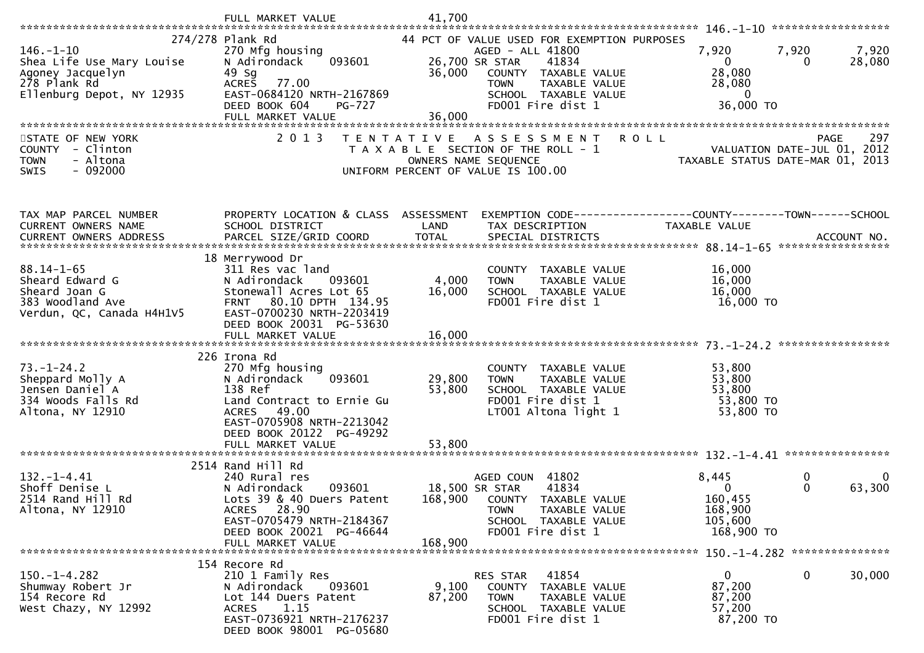|                                                                                  | FULL MARKET VALUE                                                                               | 41,700            |                                                                                                                                                    |                                                              |                                  |
|----------------------------------------------------------------------------------|-------------------------------------------------------------------------------------------------|-------------------|----------------------------------------------------------------------------------------------------------------------------------------------------|--------------------------------------------------------------|----------------------------------|
|                                                                                  |                                                                                                 |                   |                                                                                                                                                    |                                                              |                                  |
| $146. - 1 - 10$<br>Shea Life Use Mary Louise<br>Agoney Jacquelyn<br>278 Plank Rd | 274/278 Plank Rd<br>270 Mfg housing<br>093601<br>N Adirondack<br>49 Sg<br>77.00<br><b>ACRES</b> | 36,000            | 44 PCT OF VALUE USED FOR EXEMPTION PURPOSES<br>AGED - ALL 41800<br>41834<br>26,700 SR STAR<br>COUNTY TAXABLE VALUE<br>TAXABLE VALUE<br><b>TOWN</b> | 7,920<br>$\mathbf{0}$<br>28,080<br>28,080                    | 7,920<br>7,920<br>28,080         |
| Ellenburg Depot, NY 12935                                                        | EAST-0684120 NRTH-2167869                                                                       |                   | SCHOOL TAXABLE VALUE                                                                                                                               | $\mathbf 0$                                                  |                                  |
|                                                                                  | DEED BOOK 604<br><b>PG-727</b>                                                                  |                   | FD001 Fire dist 1                                                                                                                                  | 36,000 TO                                                    |                                  |
|                                                                                  | FULL MARKET VALUE                                                                               | 36,000            |                                                                                                                                                    |                                                              |                                  |
| STATE OF NEW YORK                                                                | 2 0 1 3                                                                                         |                   | A S S E S S M E N T                                                                                                                                | <b>ROLL</b>                                                  | 297<br><b>PAGE</b>               |
| COUNTY - Clinton                                                                 |                                                                                                 | T E N T A T I V E | T A X A B L E SECTION OF THE ROLL - 1                                                                                                              |                                                              | VALUATION DATE-JUL 01, 2012      |
| <b>TOWN</b><br>- Altona                                                          |                                                                                                 |                   | OWNERS NAME SEQUENCE                                                                                                                               |                                                              | TAXABLE STATUS DATE-MAR 01, 2013 |
| $-092000$<br><b>SWIS</b>                                                         |                                                                                                 |                   | UNIFORM PERCENT OF VALUE IS 100.00                                                                                                                 |                                                              |                                  |
|                                                                                  |                                                                                                 |                   |                                                                                                                                                    |                                                              |                                  |
|                                                                                  |                                                                                                 |                   |                                                                                                                                                    |                                                              |                                  |
| TAX MAP PARCEL NUMBER                                                            | PROPERTY LOCATION & CLASS ASSESSMENT                                                            |                   |                                                                                                                                                    | EXEMPTION CODE-----------------COUNTY-------TOWN------SCHOOL |                                  |
| CURRENT OWNERS NAME                                                              | SCHOOL DISTRICT                                                                                 | LAND              | TAX DESCRIPTION                                                                                                                                    | TAXABLE VALUE                                                |                                  |
|                                                                                  |                                                                                                 |                   |                                                                                                                                                    |                                                              |                                  |
|                                                                                  | 18 Merrywood Dr                                                                                 |                   |                                                                                                                                                    |                                                              |                                  |
| $88.14 - 1 - 65$                                                                 | 311 Res vac land                                                                                |                   | COUNTY TAXABLE VALUE                                                                                                                               | 16,000                                                       |                                  |
| Sheard Edward G                                                                  | N Adirondack<br>093601                                                                          | 4,000             | TAXABLE VALUE<br><b>TOWN</b>                                                                                                                       | 16,000                                                       |                                  |
| Sheard Joan G                                                                    | Stonewall Acres Lot 65                                                                          | 16,000            | SCHOOL TAXABLE VALUE                                                                                                                               | 16,000                                                       |                                  |
| 383 Woodland Ave<br>Verdun, QC, Canada H4H1V5                                    | FRNT 80.10 DPTH 134.95<br>EAST-0700230 NRTH-2203419                                             |                   | FD001 Fire dist 1                                                                                                                                  | 16,000 TO                                                    |                                  |
|                                                                                  | DEED BOOK 20031 PG-53630                                                                        |                   |                                                                                                                                                    |                                                              |                                  |
|                                                                                  |                                                                                                 |                   |                                                                                                                                                    |                                                              |                                  |
|                                                                                  |                                                                                                 |                   |                                                                                                                                                    |                                                              |                                  |
|                                                                                  | 226 Irona Rd                                                                                    |                   |                                                                                                                                                    |                                                              |                                  |
| $73. - 1 - 24.2$<br>Sheppard Molly A                                             | 270 Mfg housing<br>N Adirondack<br>093601                                                       | 29,800            | COUNTY TAXABLE VALUE<br><b>TOWN</b><br>TAXABLE VALUE                                                                                               | 53,800<br>53,800                                             |                                  |
| Jensen Daniel A                                                                  | 138 Ref                                                                                         | 53,800            | SCHOOL TAXABLE VALUE                                                                                                                               | 53,800                                                       |                                  |
| 334 Woods Falls Rd                                                               | Land Contract to Ernie Gu                                                                       |                   | FD001 Fire dist 1                                                                                                                                  | 53,800 TO                                                    |                                  |
| Altona, NY 12910                                                                 | ACRES 49.00                                                                                     |                   | LT001 Altona light 1                                                                                                                               | 53,800 TO                                                    |                                  |
|                                                                                  | EAST-0705908 NRTH-2213042                                                                       |                   |                                                                                                                                                    |                                                              |                                  |
|                                                                                  | DEED BOOK 20122 PG-49292<br>FULL MARKET VALUE                                                   | 53,800            |                                                                                                                                                    |                                                              |                                  |
|                                                                                  |                                                                                                 |                   |                                                                                                                                                    |                                                              |                                  |
|                                                                                  | 2514 Rand Hill Rd                                                                               |                   |                                                                                                                                                    |                                                              |                                  |
| $132 - 1 - 4.41$                                                                 | 240 Rural res                                                                                   |                   | AGED COUN 41802                                                                                                                                    | 8,445                                                        | 0<br>0                           |
| Shoff Denise L                                                                   | 093601<br>N Adirondack                                                                          | 18,500 SR STAR    | 41834                                                                                                                                              | 0                                                            | 63,300<br>0                      |
| 2514 Rand Hill Rd<br>Altona, NY 12910                                            | Lots 39 & 40 Duers Patent<br>ACRES 28.90                                                        |                   | 168,900 COUNTY TAXABLE VALUE<br>TAXABLE VALUE<br>TOWN                                                                                              | 160,455<br>168,900                                           |                                  |
|                                                                                  | EAST-0705479 NRTH-2184367                                                                       |                   | SCHOOL TAXABLE VALUE                                                                                                                               | 105,600                                                      |                                  |
|                                                                                  | DEED BOOK 20021 PG-46644                                                                        |                   | FD001 Fire dist 1                                                                                                                                  | 168,900 TO                                                   |                                  |
|                                                                                  | FULL MARKET VALUE                                                                               | 168,900           |                                                                                                                                                    |                                                              |                                  |
|                                                                                  |                                                                                                 |                   |                                                                                                                                                    |                                                              |                                  |
| $150. - 1 - 4.282$                                                               | 154 Recore Rd<br>210 1 Family Res                                                               |                   | 41854<br>RES STAR                                                                                                                                  | $\mathbf{0}$                                                 | 0<br>30,000                      |
| Shumway Robert Jr                                                                | N Adirondack<br>093601                                                                          | 9,100             | COUNTY TAXABLE VALUE                                                                                                                               | 87,200                                                       |                                  |
| 154 Recore Rd                                                                    | Lot 144 Duers Patent                                                                            | 87,200            | <b>TOWN</b><br>TAXABLE VALUE                                                                                                                       | 87,200                                                       |                                  |
| West Chazy, NY 12992                                                             | 1.15<br><b>ACRES</b>                                                                            |                   | SCHOOL TAXABLE VALUE                                                                                                                               | 57,200                                                       |                                  |
|                                                                                  | EAST-0736921 NRTH-2176237<br>DEED BOOK 98001 PG-05680                                           |                   | FD001 Fire dist 1                                                                                                                                  | 87,200 TO                                                    |                                  |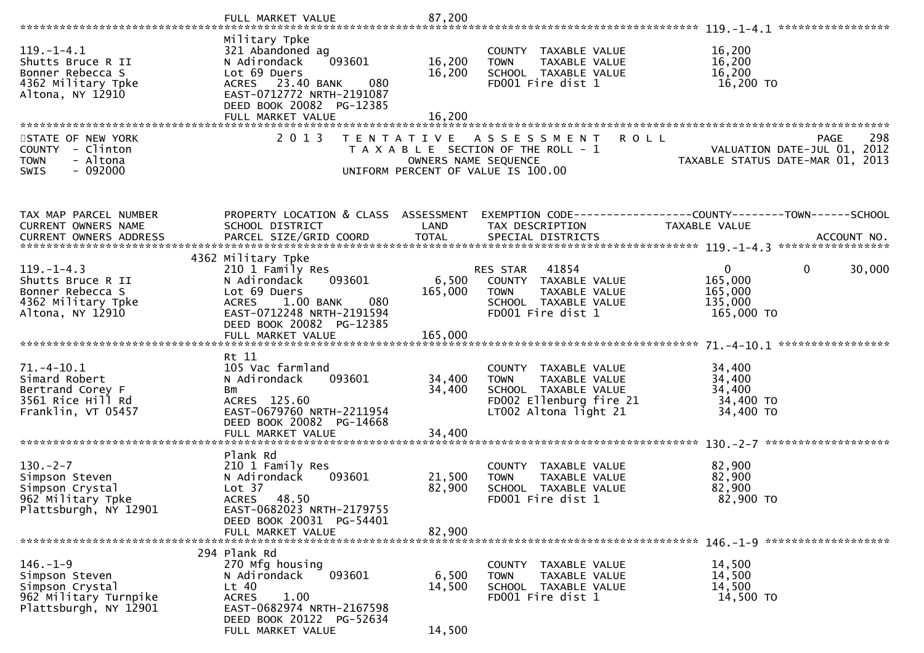|                                                                                                       | FULL MARKET VALUE                                                                                                                                                             | 87,200                                    |                                                                                                                                  |                                                                                       |
|-------------------------------------------------------------------------------------------------------|-------------------------------------------------------------------------------------------------------------------------------------------------------------------------------|-------------------------------------------|----------------------------------------------------------------------------------------------------------------------------------|---------------------------------------------------------------------------------------|
|                                                                                                       |                                                                                                                                                                               |                                           |                                                                                                                                  |                                                                                       |
| $119. - 1 - 4.1$<br>Shutts Bruce R II<br>Bonner Rebecca S<br>4362 Military Tpke<br>Altona, NY 12910   | Military Tpke<br>321 Abandoned ag<br>093601<br>N Adirondack<br>Lot 69 Duers<br>ACRES 23.40 BANK<br>080<br>EAST-0712772 NRTH-2191087<br>DEED BOOK 20082 PG-12385               | 16,200<br>16,200                          | COUNTY TAXABLE VALUE<br><b>TOWN</b><br>TAXABLE VALUE<br>SCHOOL TAXABLE VALUE<br>FD001 Fire dist 1                                | 16,200<br>16,200<br>16,200<br>16,200 TO                                               |
|                                                                                                       | FULL MARKET VALUE                                                                                                                                                             | 16,200                                    |                                                                                                                                  |                                                                                       |
| STATE OF NEW YORK<br>COUNTY - Clinton<br><b>TOWN</b><br>- Altona<br>$-092000$<br><b>SWIS</b>          | 2 0 1 3                                                                                                                                                                       | T E N T A T I V E<br>OWNERS NAME SEQUENCE | <b>ROLL</b><br>A S S E S S M E N T<br>T A X A B L E SECTION OF THE ROLL - 1<br>UNIFORM PERCENT OF VALUE IS 100.00                | 298<br><b>PAGE</b><br>VALUATION DATE-JUL 01, 2012<br>TAXABLE STATUS DATE-MAR 01, 2013 |
| TAX MAP PARCEL NUMBER<br>CURRENT OWNERS NAME                                                          | PROPERTY LOCATION & CLASS ASSESSMENT<br>SCHOOL DISTRICT                                                                                                                       | LAND                                      | TAX DESCRIPTION                                                                                                                  | EXEMPTION CODE------------------COUNTY--------TOWN------SCHOOL<br>TAXABLE VALUE       |
| <b>CURRENT OWNERS ADDRESS</b>                                                                         | PARCEL SIZE/GRID COORD                                                                                                                                                        | <b>TOTAL</b>                              | SPECIAL DISTRICTS                                                                                                                | ACCOUNT NO.                                                                           |
|                                                                                                       |                                                                                                                                                                               |                                           |                                                                                                                                  |                                                                                       |
| $119. - 1 - 4.3$<br>Shutts Bruce R II<br>Bonner Rebecca S<br>4362 Military Tpke<br>Altona, NY 12910   | 4362 Military Tpke<br>210 1 Family Res<br>093601<br>N Adirondack<br>Lot 69 Duers<br>1.00 BANK<br>080<br><b>ACRES</b><br>EAST-0712248 NRTH-2191594<br>DEED BOOK 20082 PG-12385 | 6,500<br>165,000                          | 41854<br><b>RES STAR</b><br>COUNTY TAXABLE VALUE<br>TAXABLE VALUE<br><b>TOWN</b><br>SCHOOL TAXABLE VALUE<br>FD001 Fire dist 1    | $\mathbf{0}$<br>$\mathbf{0}$<br>30,000<br>165,000<br>165,000<br>135,000<br>165,000 TO |
|                                                                                                       | Rt 11                                                                                                                                                                         |                                           |                                                                                                                                  |                                                                                       |
| $71. - 4 - 10.1$<br>Simard Robert<br>Bertrand Corey F<br>3561 Rice Hill Rd<br>Franklin, VT 05457      | 105 Vac farmland<br>093601<br>N Adirondack<br>Bm<br>ACRES 125.60<br>EAST-0679760 NRTH-2211954<br>DEED BOOK 20082 PG-14668                                                     | 34,400<br>34,400                          | COUNTY TAXABLE VALUE<br><b>TOWN</b><br>TAXABLE VALUE<br>SCHOOL TAXABLE VALUE<br>FD002 Ellenburg fire 21<br>LT002 Altona light 21 | 34,400<br>34,400<br>34,400<br>34,400 TO<br>34,400 TO                                  |
|                                                                                                       |                                                                                                                                                                               |                                           |                                                                                                                                  |                                                                                       |
| $130. -2 - 7$<br>Simpson Steven<br>Simpson Crystal<br>962 Military Tpke<br>Plattsburgh, NY 12901      | Plank Rd<br>210 1 Family Res<br>N Adirondack<br>093601<br>Lot 37<br><b>ACRES</b><br>48.50<br>EAST-0682023 NRTH-2179755                                                        | 21,500<br>82,900                          | COUNTY TAXABLE VALUE<br>TAXABLE VALUE<br><b>TOWN</b><br>SCHOOL TAXABLE VALUE<br>FD001 Fire dist 1                                | 82,900<br>82,900<br>82,900<br>82,900 TO                                               |
|                                                                                                       | DEED BOOK 20031 PG-54401<br>FULL MARKET VALUE                                                                                                                                 | 82,900                                    |                                                                                                                                  |                                                                                       |
|                                                                                                       |                                                                                                                                                                               |                                           |                                                                                                                                  |                                                                                       |
| $146. - 1 - 9$<br>Simpson Steven<br>Simpson Crystal<br>962 Military Turnpike<br>Plattsburgh, NY 12901 | 294 Plank Rd<br>270 Mfg housing<br>093601<br>N Adirondack<br>$Lt$ 40<br>1.00<br><b>ACRES</b><br>EAST-0682974 NRTH-2167598<br>DEED BOOK 20122 PG-52634                         | 6,500<br>14,500                           | COUNTY TAXABLE VALUE<br>TAXABLE VALUE<br><b>TOWN</b><br>SCHOOL TAXABLE VALUE<br>FD001 Fire dist 1                                | 14,500<br>14,500<br>14,500<br>14,500 TO                                               |
|                                                                                                       | FULL MARKET VALUE                                                                                                                                                             | 14,500                                    |                                                                                                                                  |                                                                                       |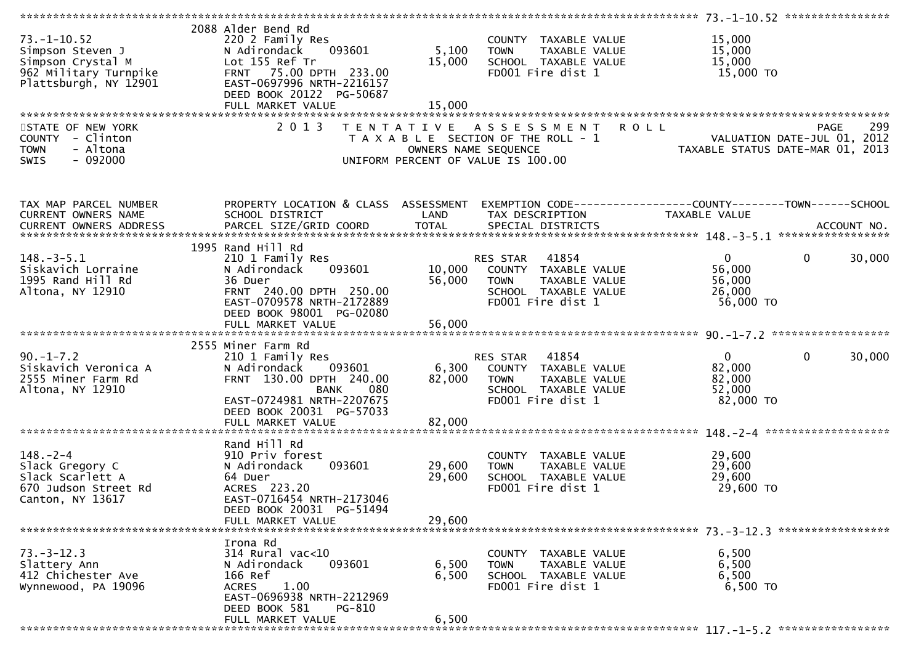| $73. - 1 - 10.52$<br>Simpson Steven J<br>Simpson Crystal M<br>962 Military Turnpike<br>Plattsburgh, NY 12901 | 2088 Alder Bend Rd<br>220 2 Family Res<br>093601<br>N Adirondack<br>Lot 155 Ref Tr<br>FRNT 75.00 DPTH 233.00<br>EAST-0697996 NRTH-2216157<br>DEED BOOK 20122 PG-50687<br>FULL MARKET VALUE | 5,100<br>15,000<br>15,000 | COUNTY TAXABLE VALUE<br><b>TOWN</b><br>TAXABLE VALUE<br>SCHOOL TAXABLE VALUE<br>FD001 Fire dist 1                          | 15,000<br>15,000<br>15,000<br>15,000 TO                                        |             |
|--------------------------------------------------------------------------------------------------------------|--------------------------------------------------------------------------------------------------------------------------------------------------------------------------------------------|---------------------------|----------------------------------------------------------------------------------------------------------------------------|--------------------------------------------------------------------------------|-------------|
| STATE OF NEW YORK<br>COUNTY - Clinton<br>- Altona<br><b>TOWN</b>                                             | 2 0 1 3                                                                                                                                                                                    | T E N T A T I V E         | A S S E S S M E N T<br>T A X A B L E SECTION OF THE ROLL - 1<br>OWNERS NAME SEQUENCE                                       | <b>ROLL</b><br>VALUATION DATE-JUL 01, 2012<br>TAXABLE STATUS DATE-MAR 01, 2013 | 299<br>PAGE |
| $-092000$<br><b>SWIS</b>                                                                                     |                                                                                                                                                                                            |                           | UNIFORM PERCENT OF VALUE IS 100.00                                                                                         |                                                                                |             |
| TAX MAP PARCEL NUMBER<br>CURRENT OWNERS NAME                                                                 | PROPERTY LOCATION & CLASS ASSESSMENT<br>SCHOOL DISTRICT                                                                                                                                    | LAND                      | TAX DESCRIPTION                                                                                                            | TAXABLE VALUE                                                                  |             |
|                                                                                                              | 1995 Rand Hill Rd                                                                                                                                                                          |                           |                                                                                                                            |                                                                                |             |
| $148. - 3 - 5.1$<br>Siskavich Lorraine<br>1995 Rand Hill Rd<br>Altona, NY 12910                              | 210 1 Family Res<br>093601<br>N Adirondack<br>36 Duer<br>FRNT 240.00 DPTH 250.00<br>EAST-0709578 NRTH-2172889                                                                              | 56,000                    | RES STAR 41854<br>10,000 COUNTY TAXABLE VALUE<br><b>TOWN</b><br>TAXABLE VALUE<br>SCHOOL TAXABLE VALUE<br>FD001 Fire dist 1 | $\overline{0}$<br>$\mathbf{0}$<br>56,000<br>56,000<br>26,000<br>56,000 TO      | 30,000      |
|                                                                                                              | DEED BOOK 98001 PG-02080                                                                                                                                                                   |                           |                                                                                                                            |                                                                                |             |
|                                                                                                              |                                                                                                                                                                                            |                           |                                                                                                                            |                                                                                |             |
|                                                                                                              | 2555 Miner Farm Rd                                                                                                                                                                         |                           |                                                                                                                            |                                                                                |             |
| $90. - 1 - 7.2$                                                                                              | 210 1 Family Res                                                                                                                                                                           |                           | 41854<br>RES STAR                                                                                                          | 0<br>0                                                                         | 30,000      |
| Siskavich Veronica A                                                                                         | 093601<br>N Adirondack                                                                                                                                                                     | 6,300                     | COUNTY TAXABLE VALUE                                                                                                       | 82,000                                                                         |             |
| 2555 Miner Farm Rd<br>Altona, NY 12910                                                                       | FRNT 130.00 DPTH 240.00<br><b>BANK</b><br>080                                                                                                                                              | 82,000                    | <b>TOWN</b><br>TAXABLE VALUE<br>SCHOOL TAXABLE VALUE                                                                       | 82,000<br>52,000                                                               |             |
|                                                                                                              | EAST-0724981 NRTH-2207675                                                                                                                                                                  |                           | FD001 Fire dist 1                                                                                                          | 82,000 TO                                                                      |             |
|                                                                                                              | DEED BOOK 20031 PG-57033                                                                                                                                                                   |                           |                                                                                                                            |                                                                                |             |
|                                                                                                              | FULL MARKET VALUE                                                                                                                                                                          | 82,000                    |                                                                                                                            |                                                                                |             |
|                                                                                                              | Rand Hill Rd                                                                                                                                                                               |                           |                                                                                                                            |                                                                                |             |
| $148. - 2 - 4$                                                                                               | 910 Priv forest                                                                                                                                                                            |                           | COUNTY TAXABLE VALUE                                                                                                       | 29,600                                                                         |             |
| Slack Gregory C                                                                                              | 093601<br>N Adirondack                                                                                                                                                                     | 29,600                    | TAXABLE VALUE<br><b>TOWN</b>                                                                                               | 29,600                                                                         |             |
| Slack Scarlett A                                                                                             | 64 Duer<br>ACRES 223.20                                                                                                                                                                    | 29,600                    | SCHOOL TAXABLE VALUE<br>FD001 Fire dist 1                                                                                  | 29,600<br>29,600 TO                                                            |             |
| 670 Judson Street Rd<br>Canton, NY 13617                                                                     | EAST-0716454 NRTH-2173046                                                                                                                                                                  |                           |                                                                                                                            |                                                                                |             |
|                                                                                                              | DEED BOOK 20031 PG-51494                                                                                                                                                                   |                           |                                                                                                                            |                                                                                |             |
|                                                                                                              | FULL MARKET VALUE                                                                                                                                                                          | 29,600                    |                                                                                                                            |                                                                                |             |
|                                                                                                              | Irona Rd                                                                                                                                                                                   |                           |                                                                                                                            |                                                                                |             |
| $73. - 3 - 12.3$                                                                                             | 314 Rural vac<10                                                                                                                                                                           |                           | COUNTY TAXABLE VALUE                                                                                                       | 6,500                                                                          |             |
| Slattery Ann                                                                                                 | 093601<br>N Adirondack                                                                                                                                                                     | 6,500                     | TAXABLE VALUE<br><b>TOWN</b>                                                                                               | 6,500                                                                          |             |
| 412 Chichester Ave                                                                                           | 166 Ref                                                                                                                                                                                    | 6,500                     | SCHOOL TAXABLE VALUE                                                                                                       | 6,500                                                                          |             |
| Wynnewood, PA 19096                                                                                          | 1.00<br><b>ACRES</b><br>EAST-0696938 NRTH-2212969                                                                                                                                          |                           | FD001 Fire dist 1                                                                                                          | 6,500 TO                                                                       |             |
|                                                                                                              | DEED BOOK 581<br>PG-810                                                                                                                                                                    |                           |                                                                                                                            |                                                                                |             |
|                                                                                                              | FULL MARKET VALUE                                                                                                                                                                          | 6,500                     |                                                                                                                            |                                                                                |             |
|                                                                                                              |                                                                                                                                                                                            |                           |                                                                                                                            |                                                                                |             |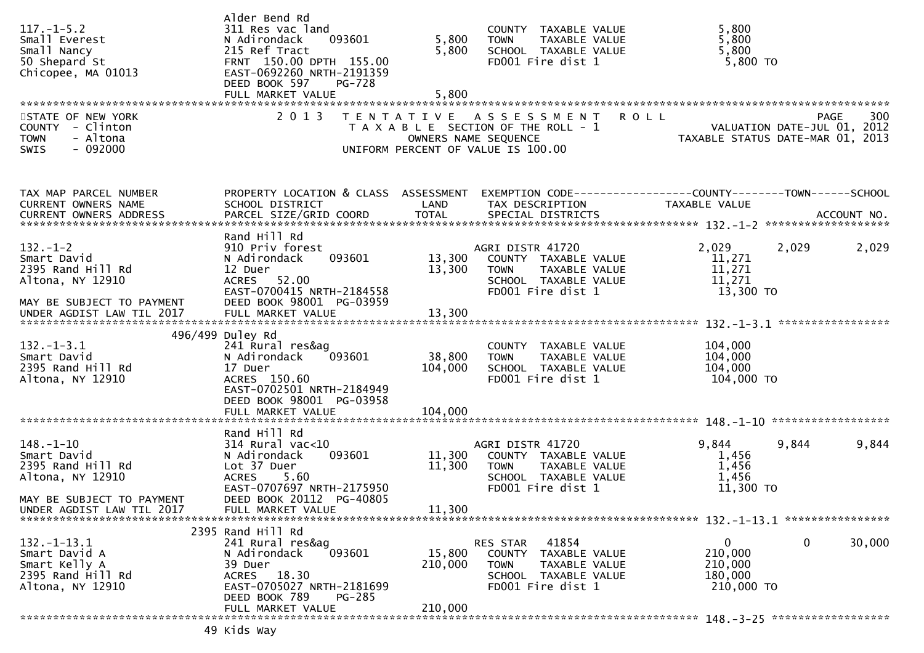| $117. - 1 - 5.2$<br>Small Everest<br>Small Nancy<br>50 Shepard St<br>Chicopee, MA 01013              | Alder Bend Rd<br>311 Res vac land<br>093601<br>N Adirondack<br>215 Ref Tract<br>FRNT 150.00 DPTH 155.00<br>EAST-0692260 NRTH-2191359<br>DEED BOOK 597<br>PG-728<br>FULL MARKET VALUE | 5,800<br>5,800<br>5,800 | COUNTY TAXABLE VALUE<br><b>TOWN</b><br>TAXABLE VALUE<br>SCHOOL TAXABLE VALUE<br>FD001 Fire dist 1                                          | 5,800<br>5,800<br>5,800<br>$5,800$ TO                                           |        |
|------------------------------------------------------------------------------------------------------|--------------------------------------------------------------------------------------------------------------------------------------------------------------------------------------|-------------------------|--------------------------------------------------------------------------------------------------------------------------------------------|---------------------------------------------------------------------------------|--------|
| STATE OF NEW YORK<br>COUNTY - Clinton<br>- Altona<br><b>TOWN</b><br>SWIS<br>$-092000$                | 2 0 1 3                                                                                                                                                                              |                         | TENTATIVE ASSESSMENT<br><b>ROLL</b><br>T A X A B L E SECTION OF THE ROLL - 1<br>OWNERS NAME SEQUENCE<br>UNIFORM PERCENT OF VALUE IS 100.00 | PAGE<br>VALUATION DATE-JUL 01, 2012<br>TAXABLE STATUS DATE-MAR 01, 2013         | 300    |
| TAX MAP PARCEL NUMBER<br>CURRENT OWNERS NAME                                                         | PROPERTY LOCATION & CLASS ASSESSMENT<br>SCHOOL DISTRICT<br>Rand Hill Rd                                                                                                              | LAND                    | TAX DESCRIPTION                                                                                                                            | EXEMPTION CODE------------------COUNTY--------TOWN------SCHOOL<br>TAXABLE VALUE |        |
| $132 - 1 - 2$<br>Smart David<br>2395 Rand Hill Rd<br>Altona, NY 12910<br>MAY BE SUBJECT TO PAYMENT   | 910 Priv forest<br>093601<br>N Adirondack<br>12 Duer<br>ACRES 52.00<br>EAST-0700415 NRTH-2184558<br>DEED BOOK 98001 PG-03959                                                         | 13,300<br>13,300        | AGRI DISTR 41720<br>COUNTY TAXABLE VALUE<br>TAXABLE VALUE<br><b>TOWN</b><br>SCHOOL TAXABLE VALUE<br>FD001 Fire dist 1                      | 2,029<br>2,029<br>11,271<br>11,271<br>11,271<br>13,300 TO                       | 2,029  |
| UNDER AGDIST LAW TIL 2017                                                                            | FULL MARKET VALUE                                                                                                                                                                    | 13,300                  |                                                                                                                                            |                                                                                 |        |
| $132. - 1 - 3.1$<br>Smart David<br>2395 Rand Hill Rd<br>Altona, NY 12910                             | 496/499 Duley Rd<br>241 Rural res&ag<br>093601<br>N Adirondack<br>17 Duer<br>ACRES 150.60<br>EAST-0702501 NRTH-2184949<br>DEED BOOK 98001 PG-03958                                   | 38,800<br>104,000       | COUNTY TAXABLE VALUE<br>TAXABLE VALUE<br><b>TOWN</b><br>SCHOOL TAXABLE VALUE<br>FD001 Fire dist 1                                          | 104,000<br>104,000<br>104,000<br>104,000 TO                                     |        |
|                                                                                                      | FULL MARKET VALUE                                                                                                                                                                    | 104,000                 |                                                                                                                                            |                                                                                 |        |
| $148. - 1 - 10$<br>Smart David<br>2395 Rand Hill Rd<br>Altona, NY 12910<br>MAY BE SUBJECT TO PAYMENT | Rand Hill Rd<br>$314$ Rural vac<10<br>093601<br>N Adirondack<br>Lot 37 Duer<br><b>ACRES</b><br>5.60<br>EAST-0707697 NRTH-2175950<br>DEED BOOK 20112 PG-40805                         | 11,300<br>11,300        | AGRI DISTR 41720<br>COUNTY TAXABLE VALUE<br>TAXABLE VALUE<br><b>TOWN</b><br>SCHOOL TAXABLE VALUE<br>FD001 Fire dist 1                      | 9,844<br>9,844<br>1,456<br>1,456<br>1,456<br>11,300 TO                          | 9,844  |
| UNDER AGDIST LAW TIL 2017                                                                            | FULL MARKET VALUE                                                                                                                                                                    | 11,300                  |                                                                                                                                            |                                                                                 |        |
| $132. - 1 - 13.1$<br>Smart David A<br>Smart Kelly A<br>2395 Rand Hill Rd<br>Altona, NY 12910         | 2395 Rand Hill Rd<br>241 Rural res&ag<br>N Adirondack<br>093601<br>39 Duer<br>ACRES 18.30<br>EAST-0705027 NRTH-2181699<br>DEED BOOK 789<br><b>PG-285</b>                             | 15,800<br>210,000       | 41854<br>RES STAR<br>COUNTY TAXABLE VALUE<br><b>TOWN</b><br>TAXABLE VALUE<br>SCHOOL TAXABLE VALUE<br>FD001 Fire dist 1                     | 0<br>0<br>210,000<br>210,000<br>180,000<br>210,000 TO                           | 30,000 |
|                                                                                                      | FULL MARKET VALUE                                                                                                                                                                    | 210,000                 |                                                                                                                                            |                                                                                 |        |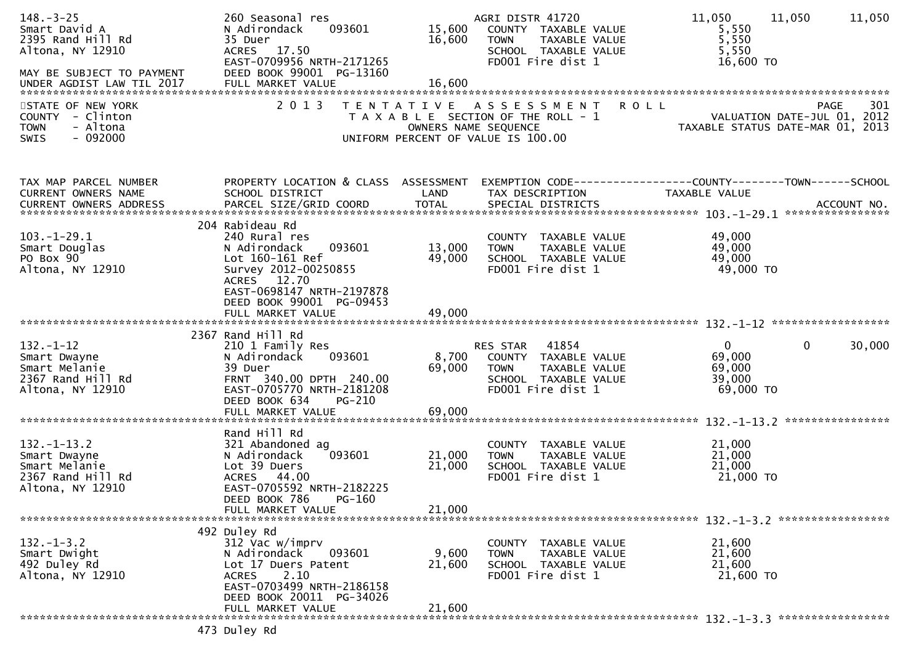| $148. - 3 - 25$<br>Smart David A<br>2395 Rand Hill Rd<br>Altona, NY 12910<br>MAY BE SUBJECT TO PAYMENT | 260 Seasonal res<br>093601<br>N Adirondack<br>35 Duer<br>ACRES 17.50<br>EAST-0709956 NRTH-2171265<br>DEED BOOK 99001 PG-13160                                                          | 15,600<br>16,600          | AGRI DISTR 41720<br>COUNTY TAXABLE VALUE<br><b>TOWN</b><br>TAXABLE VALUE<br>SCHOOL TAXABLE VALUE<br>FD001 Fire dist 1            | 11,050<br>11,050<br>5,550<br>5,550<br>5,550<br>16,600 TO        | 11,050             |
|--------------------------------------------------------------------------------------------------------|----------------------------------------------------------------------------------------------------------------------------------------------------------------------------------------|---------------------------|----------------------------------------------------------------------------------------------------------------------------------|-----------------------------------------------------------------|--------------------|
| STATE OF NEW YORK<br>COUNTY - Clinton<br><b>TOWN</b><br>- Altona<br>$-092000$<br>SWIS                  | 2 0 1 3                                                                                                                                                                                |                           | TENTATIVE ASSESSMENT ROLL<br>T A X A B L E SECTION OF THE ROLL - 1<br>OWNERS NAME SEQUENCE<br>UNIFORM PERCENT OF VALUE IS 100.00 | VALUATION DATE-JUL 01, 2012<br>TAXABLE STATUS DATE-MAR 01, 2013 | <b>PAGE</b><br>301 |
| TAX MAP PARCEL NUMBER<br>CURRENT OWNERS NAME                                                           | PROPERTY LOCATION & CLASS ASSESSMENT<br>SCHOOL DISTRICT                                                                                                                                | LAND                      | EXEMPTION CODE-----------------COUNTY-------TOWN------SCHOOL<br>TAX DESCRIPTION                                                  | TAXABLE VALUE                                                   |                    |
| $103.-1-29.1$<br>Smart Douglas<br>PO Box 90<br>Altona, NY 12910                                        | 204 Rabideau Rd<br>240 Rural res<br>093601<br>N Adirondack<br>Lot 160-161 Ref<br>Survey 2012-00250855<br>ACRES 12.70<br>EAST-0698147 NRTH-2197878<br>DEED BOOK 99001 PG-09453          | 13,000<br>49,000          | COUNTY TAXABLE VALUE<br><b>TOWN</b><br>TAXABLE VALUE<br>SCHOOL TAXABLE VALUE<br>FD001 Fire dist 1                                | 49,000<br>49,000<br>49,000<br>49,000 TO                         |                    |
|                                                                                                        | FULL MARKET VALUE                                                                                                                                                                      | 49,000                    |                                                                                                                                  |                                                                 |                    |
| $132. - 1 - 12$<br>Smart Dwayne<br>Smart Melanie<br>2367 Rand Hill Rd<br>Altona, NY 12910              | 2367 Rand Hill Rd<br>210 1 Family Res<br>093601<br>N Adirondack<br>39 Duer<br>FRNT 340.00 DPTH 240.00<br>EAST-0705770 NRTH-2181208<br>DEED BOOK 634<br>$PG-210$                        | 8,700<br>69,000           | 41854<br>RES STAR<br>COUNTY TAXABLE VALUE<br><b>TOWN</b><br>TAXABLE VALUE<br>SCHOOL TAXABLE VALUE<br>FD001 Fire dist 1           | $\mathbf{0}$<br>0<br>69,000<br>69,000<br>39,000<br>69,000 TO    | 30,000             |
|                                                                                                        | FULL MARKET VALUE                                                                                                                                                                      | 69,000                    |                                                                                                                                  |                                                                 |                    |
| $132 - 1 - 13.2$<br>Smart Dwayne<br>Smart Melanie<br>2367 Rand Hill Rd<br>Altona, NY 12910             | Rand Hill Rd<br>321 Abandoned ag<br>093601<br>N Adirondack<br>Lot 39 Duers<br>ACRES 44.00<br>EAST-0705592 NRTH-2182225<br>DEED BOOK 786<br>PG-160                                      | 21,000<br>21,000          | COUNTY TAXABLE VALUE<br>TAXABLE VALUE<br><b>TOWN</b><br>SCHOOL TAXABLE VALUE<br>FD001 Fire dist 1                                | 21,000<br>21,000<br>21,000<br>21,000 TO                         |                    |
|                                                                                                        | FULL MARKET VALUE                                                                                                                                                                      | 21,000                    |                                                                                                                                  |                                                                 |                    |
| $132 - 1 - 3.2$<br>Smart Dwight<br>492 Duley Rd<br>Altona, NY 12910                                    | 492 Duley Rd<br>312 Vac w/imprv<br>N Adirondack<br>093601<br>Lot 17 Duers Patent<br>2.10<br><b>ACRES</b><br>EAST-0703499 NRTH-2186158<br>DEED BOOK 20011 PG-34026<br>FULL MARKET VALUE | 9,600<br>21,600<br>21,600 | COUNTY TAXABLE VALUE<br><b>TOWN</b><br>TAXABLE VALUE<br>SCHOOL TAXABLE VALUE<br>FD001 Fire dist 1                                | 21,600<br>21,600<br>21,600<br>21,600 TO                         |                    |
|                                                                                                        | لهم برم 1991 179                                                                                                                                                                       |                           |                                                                                                                                  |                                                                 |                    |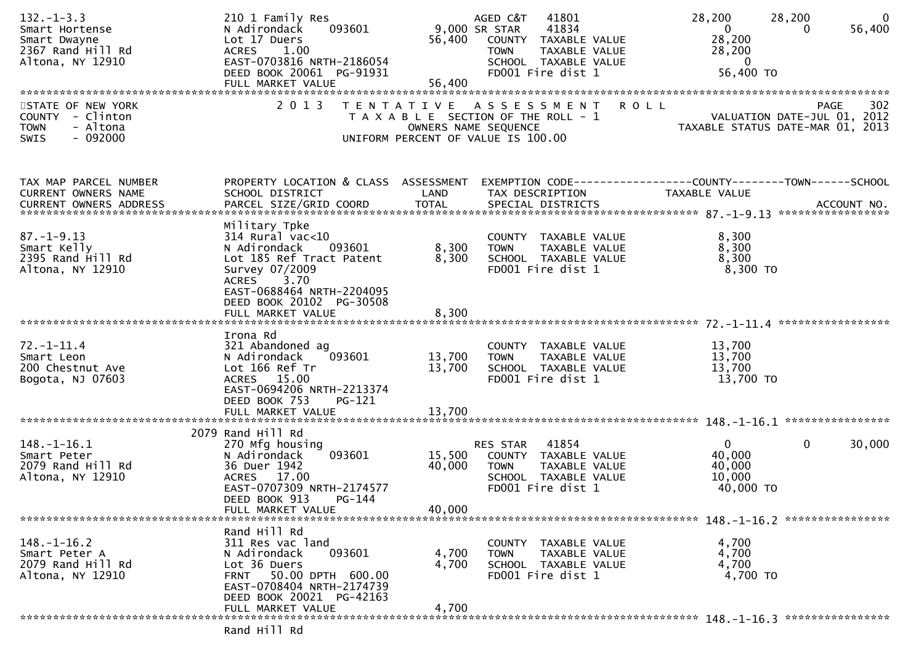| $132 - 1 - 3.3$<br>Smart Hortense<br>Smart Dwayne<br>2367 Rand Hill Rd<br>Altona, NY 12910 | 210 1 Family Res<br>093601<br>N Adirondack<br>Lot 17 Duers<br>1.00<br><b>ACRES</b><br>EAST-0703816 NRTH-2186054<br>DEED BOOK 20061 PG-91931                                        | 56,400<br>56,400           | AGED C&T<br>41801<br>41834<br>9,000 SR STAR<br>COUNTY TAXABLE VALUE<br>TAXABLE VALUE<br><b>TOWN</b><br>SCHOOL TAXABLE VALUE<br>FD001 Fire dist 1 | 28,200<br>$\mathbf{0}$<br>28,200<br>28,200<br>$\overline{0}$<br>56,400 TO | 28,200<br>$\mathbf{0}$<br>56,400<br>0             |
|--------------------------------------------------------------------------------------------|------------------------------------------------------------------------------------------------------------------------------------------------------------------------------------|----------------------------|--------------------------------------------------------------------------------------------------------------------------------------------------|---------------------------------------------------------------------------|---------------------------------------------------|
| STATE OF NEW YORK<br>COUNTY - Clinton<br>- Altona<br><b>TOWN</b><br>$-092000$<br>SWIS      | 2 0 1 3                                                                                                                                                                            |                            | <b>ROLL</b><br>TENTATIVE ASSESSMENT<br>T A X A B L E SECTION OF THE ROLL - 1<br>OWNERS NAME SEQUENCE<br>UNIFORM PERCENT OF VALUE IS 100.00       | TAXABLE STATUS DATE-MAR 01, 2013                                          | 302<br><b>PAGE</b><br>VALUATION DATE-JUL 01, 2012 |
| TAX MAP PARCEL NUMBER<br>CURRENT OWNERS NAME                                               | PROPERTY LOCATION & CLASS ASSESSMENT<br>SCHOOL DISTRICT                                                                                                                            | LAND                       | EXEMPTION CODE-----------------COUNTY-------TOWN------SCHOOL<br>TAX DESCRIPTION                                                                  | TAXABLE VALUE                                                             |                                                   |
| $87. - 1 - 9.13$<br>Smart Kelly<br>2395 Rand Hill Rd<br>Altona, NY 12910                   | Military Tpke<br>$314$ Rural vac<10<br>N Adirondack<br>093601<br>Lot 185 Ref Tract Patent<br>Survey 07/2009<br>ACRES 3.70<br>EAST-0688464 NRTH-2204095<br>DEED BOOK 20102 PG-30508 | 8,300<br>8,300             | COUNTY TAXABLE VALUE<br>TAXABLE VALUE<br><b>TOWN</b><br>SCHOOL TAXABLE VALUE<br>FD001 Fire dist 1                                                | 8,300<br>8,300<br>8,300<br>$8,300$ TO                                     |                                                   |
|                                                                                            | FULL MARKET VALUE                                                                                                                                                                  | 8,300                      |                                                                                                                                                  |                                                                           |                                                   |
| $72. - 1 - 11.4$<br>Smart Leon<br>200 Chestnut Ave<br>Bogota, NJ 07603                     | Irona Rd<br>321 Abandoned ag<br>093601<br>N Adirondack<br>Lot 166 Ref Tr<br>ACRES 15.00<br>EAST-0694206 NRTH-2213374<br>DEED BOOK 753<br>PG-121<br>FULL MARKET VALUE               | 13,700<br>13,700<br>13,700 | COUNTY TAXABLE VALUE<br><b>TOWN</b><br>TAXABLE VALUE<br>SCHOOL TAXABLE VALUE<br>FD001 Fire dist 1                                                | 13,700<br>13,700<br>13,700<br>13,700 TO                                   |                                                   |
|                                                                                            | 2079 Rand Hill Rd                                                                                                                                                                  |                            |                                                                                                                                                  |                                                                           |                                                   |
| $148. - 1 - 16.1$<br>Smart Peter<br>2079 Rand Hill Rd<br>Altona, NY 12910                  | 270 Mfg housing<br>093601<br>N Adirondack<br>36 Duer 1942<br>ACRES 17.00<br>EAST-0707309 NRTH-2174577<br>DEED BOOK 913<br>$PG-144$<br>FULL MARKET VALUE                            | 15,500<br>40,000<br>40,000 | 41854<br>RES STAR<br>COUNTY TAXABLE VALUE<br><b>TOWN</b><br>TAXABLE VALUE<br>SCHOOL TAXABLE VALUE<br>FD001 Fire dist 1                           | $\overline{0}$<br>40,000<br>40,000<br>10,000<br>40,000 TO                 | $\mathbf 0$<br>30,000                             |
|                                                                                            |                                                                                                                                                                                    |                            |                                                                                                                                                  |                                                                           |                                                   |
| $148. - 1 - 16.2$<br>Smart Peter A<br>2079 Rand Hill Rd<br>Altona, NY 12910                | Rand Hill Rd<br>311 Res vac land<br>093601<br>N Adirondack<br>Lot 36 Duers<br>50.00 DPTH 600.00<br><b>FRNT</b><br>EAST-0708404 NRTH-2174739<br>DEED BOOK 20021 PG-42163            | 4,700<br>4,700             | COUNTY TAXABLE VALUE<br>TAXABLE VALUE<br><b>TOWN</b><br>SCHOOL TAXABLE VALUE<br>FD001 Fire dist 1                                                | 4,700<br>4,700<br>4,700<br>4,700 TO                                       |                                                   |
|                                                                                            | FULL MARKET VALUE                                                                                                                                                                  | 4,700                      |                                                                                                                                                  |                                                                           |                                                   |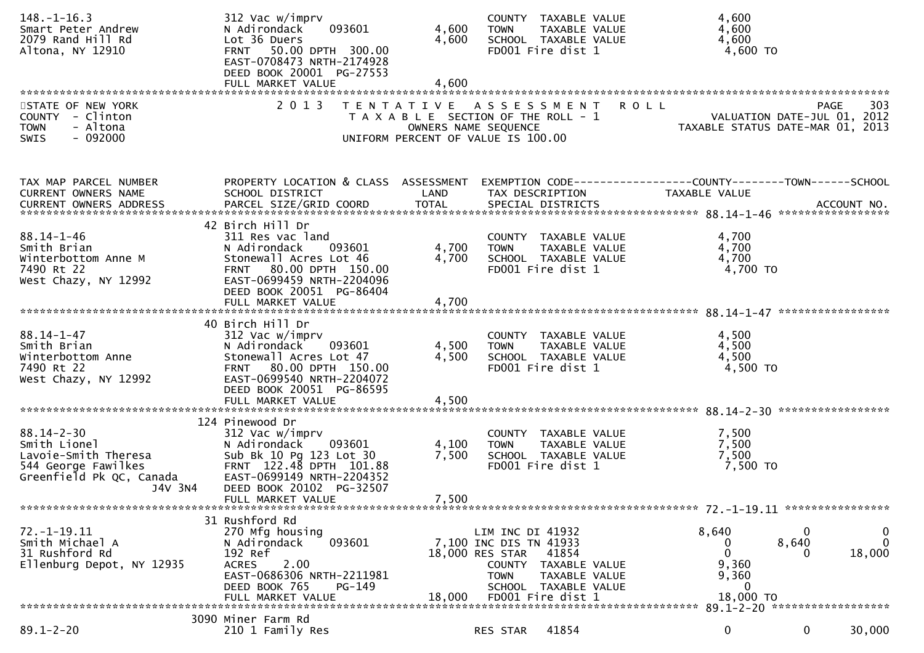| $148. - 1 - 16.3$<br>Smart Peter Andrew<br>2079 Rand Hill Rd<br>Altona, NY 12910                                       | 312 Vac w/imprv<br>093601<br>N Adirondack<br>Lot 36 Duers<br>FRNT 50.00 DPTH 300.00<br>EAST-0708473 NRTH-2174928<br>DEED BOOK 20001 PG-27553                                                  | 4,600<br>4,600          | COUNTY TAXABLE VALUE<br>TAXABLE VALUE<br><b>TOWN</b><br>SCHOOL TAXABLE VALUE<br>FD001 Fire dist 1                                                                           | 4,600<br>4,600<br>4,600<br>4,600 TO                                                                               |
|------------------------------------------------------------------------------------------------------------------------|-----------------------------------------------------------------------------------------------------------------------------------------------------------------------------------------------|-------------------------|-----------------------------------------------------------------------------------------------------------------------------------------------------------------------------|-------------------------------------------------------------------------------------------------------------------|
| STATE OF NEW YORK<br>COUNTY - Clinton<br><b>TOWN</b><br>- Altona<br>$-092000$<br>SWIS                                  | 2 0 1 3                                                                                                                                                                                       |                         | TENTATIVE ASSESSMENT ROLL<br>T A X A B L E SECTION OF THE ROLL - 1<br>OWNERS NAME SEQUENCE<br>UNIFORM PERCENT OF VALUE IS 100.00                                            | 303<br><b>PAGE</b><br>VALUATION DATE-JUL 01, 2012<br>TAXABLE STATUS DATE-MAR 01, 2013                             |
| TAX MAP PARCEL NUMBER<br>CURRENT OWNERS NAME                                                                           | SCHOOL DISTRICT                                                                                                                                                                               | LAND                    | TAX DESCRIPTION                                                                                                                                                             | PROPERTY LOCATION & CLASS ASSESSMENT EXEMPTION CODE----------------COUNTY-------TOWN------SCHOOL<br>TAXABLE VALUE |
| $88.14 - 1 - 46$<br>Smith Brian<br>Winterbottom Anne M<br>7490 Rt 22<br>West Chazy, NY 12992                           | 42 Birch Hill Dr<br>311 Res vac land<br>N Adirondack 093601<br>Stonewall Acres Lot 46<br>FRNT 80.00 DPTH 150.00<br>EAST-0699459 NRTH-2204096<br>DEED BOOK 20051 PG-86404                      | 4,700<br>4,700          | COUNTY TAXABLE VALUE<br><b>TOWN</b><br>TAXABLE VALUE<br>SCHOOL TAXABLE VALUE<br>FD001 Fire dist 1                                                                           | 4,700<br>4,700<br>4,700<br>4,700 TO                                                                               |
| $88.14 - 1 - 47$<br>Smith Brian<br>Winterbottom Anne<br>7490 Rt 22<br>West Chazy, NY 12992                             | 40 Birch Hill Dr<br>312 Vac w/imprv<br>N Adirondack<br>093601<br>Stonewall Acres Lot 47<br>FRNT 80.00 DPTH 150.00<br>EAST-0699540 NRTH-2204072<br>DEED BOOK 20051 PG-86595                    | 4,500<br>4,500          | COUNTY TAXABLE VALUE<br>TAXABLE VALUE<br>TOWN<br>SCHOOL TAXABLE VALUE<br>FD001 Fire dist 1                                                                                  | 4,500<br>4,500<br>4,500<br>4,500 TO                                                                               |
|                                                                                                                        |                                                                                                                                                                                               |                         |                                                                                                                                                                             |                                                                                                                   |
| $88.14 - 2 - 30$<br>Smith Lionel<br>Lavoie-Smith Theresa<br>544 George Fawilkes<br>Greenfield Pk QC, Canada<br>J4V 3N4 | 124 Pinewood Dr<br>312 Vac w/imprv<br>N Adirondack 093601<br>Sub Bk 10 Pg 123 Lot 30<br>FRNT 122.48 DPTH 101.88<br>EAST-0699149 NRTH-2204352<br>DEED BOOK 20102 PG-32507<br>FULL MARKET VALUE | 4,100<br>7,500<br>7,500 | COUNTY TAXABLE VALUE<br><b>TOWN</b><br>TAXABLE VALUE<br>SCHOOL TAXABLE VALUE<br>FD001 Fire dist 1                                                                           | 7,500<br>7,500<br>7,500<br>7,500 TO                                                                               |
|                                                                                                                        |                                                                                                                                                                                               |                         |                                                                                                                                                                             |                                                                                                                   |
| $72. - 1 - 19.11$<br>Smith Michael A<br>31 Rushford Rd<br>Ellenburg Depot, NY 12935                                    | 31 Rushford Rd<br>270 Mfg housing<br>093601<br>N Adirondack<br>192 Ref<br>2.00<br><b>ACRES</b><br>EAST-0686306 NRTH-2211981<br>DEED BOOK 765<br>PG-149<br>FULL MARKET VALUE                   | 18,000                  | LIM INC DI 41932<br>7,100 INC DIS TN 41933<br>18,000 RES STAR<br>41854<br>COUNTY TAXABLE VALUE<br><b>TOWN</b><br>TAXABLE VALUE<br>SCHOOL TAXABLE VALUE<br>FD001 Fire dist 1 | 8,640<br>0<br>0<br>$\mathbf{0}$<br>8,640<br>0<br>18,000<br>$\Omega$<br>9,360<br>9,360<br>0<br>18,000 TO           |
|                                                                                                                        | 3090 Miner Farm Rd                                                                                                                                                                            |                         |                                                                                                                                                                             |                                                                                                                   |
| $89.1 - 2 - 20$                                                                                                        | 210 1 Family Res                                                                                                                                                                              |                         | 41854<br>RES STAR                                                                                                                                                           | 0<br>0<br>30,000                                                                                                  |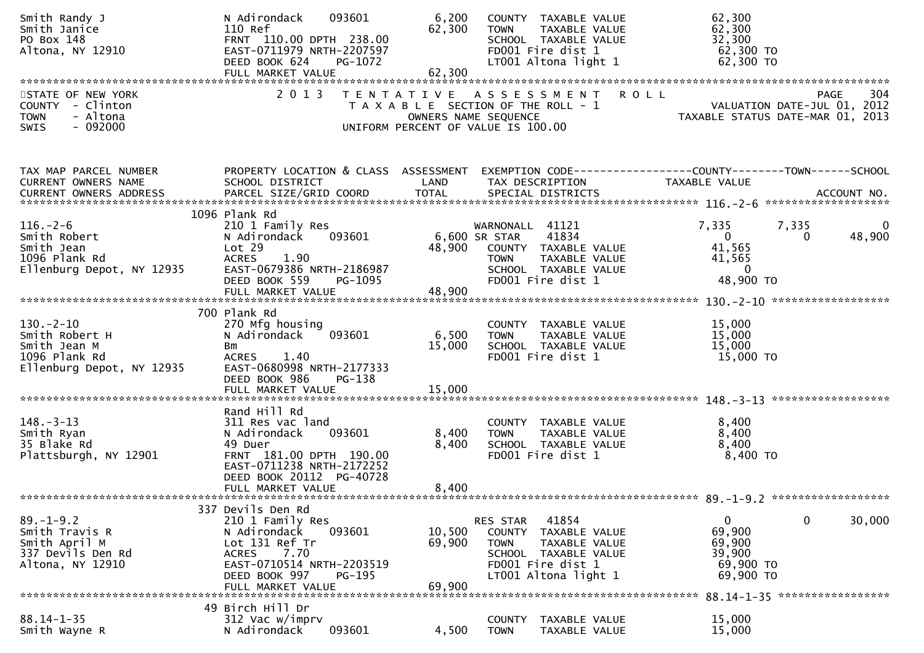| Smith Randy J<br>Smith Janice<br>PO Box 148<br>Altona, NY 12910                                | 093601<br>N Adirondack<br>110 Ref<br>FRNT 110.00 DPTH 238.00<br>EAST-0711979 NRTH-2207597<br>DEED BOOK 624<br>PG-1072<br>FULL MARKET VALUE                                             | 6,200<br>62,300<br>62,300  | COUNTY TAXABLE VALUE<br>TAXABLE VALUE<br><b>TOWN</b><br>SCHOOL TAXABLE VALUE<br>FD001 Fire dist 1<br>LT001 Altona light 1                                | 62,300<br>62,300<br>32,300<br>62,300 TO<br>62,300 TO                                         |                    |
|------------------------------------------------------------------------------------------------|----------------------------------------------------------------------------------------------------------------------------------------------------------------------------------------|----------------------------|----------------------------------------------------------------------------------------------------------------------------------------------------------|----------------------------------------------------------------------------------------------|--------------------|
| STATE OF NEW YORK<br>COUNTY - Clinton<br>- Altona<br><b>TOWN</b><br>$-092000$<br><b>SWIS</b>   | 2 0 1 3                                                                                                                                                                                |                            | TENTATIVE ASSESSMENT ROLL<br>T A X A B L E SECTION OF THE ROLL - 1<br>OWNERS NAME SEQUENCE<br>UNIFORM PERCENT OF VALUE IS 100.00                         | PAGE 304<br>VALUATION DATE-JUL 01, 2012<br>TAXABLE STATUS DATE MARIC 31                      | 304<br><b>PAGE</b> |
| TAX MAP PARCEL NUMBER<br>CURRENT OWNERS NAME                                                   | PROPERTY LOCATION & CLASS ASSESSMENT<br>SCHOOL DISTRICT                                                                                                                                | LAND                       | TAX DESCRIPTION                                                                                                                                          | EXEMPTION CODE------------------COUNTY--------TOWN------SCHOOL<br>TAXABLE VALUE              |                    |
| $116. - 2 - 6$<br>Smith Robert<br>Smith Jean<br>1096 Plank Rd<br>Ellenburg Depot, NY 12935     | 1096 Plank Rd<br>210 1 Family Res<br>N Adirondack<br>093601<br>Lot 29<br>1.90<br><b>ACRES</b><br>EAST-0679386 NRTH-2186987<br>DEED BOOK 559<br>PG-1095<br>FULL MARKET VALUE            | 48,900                     | WARNONALL 41121<br>6,600 SR STAR<br>41834<br>48,900 COUNTY TAXABLE VALUE<br>TAXABLE VALUE<br><b>TOWN</b><br>SCHOOL TAXABLE VALUE<br>FD001 Fire dist 1    | 7,335<br>7,335<br>$\mathbf 0$<br>$\Omega$<br>41,565<br>41,565<br>$\overline{0}$<br>48,900 TO | 48,900             |
| $130 - 2 - 10$<br>Smith Robert H<br>Smith Jean M<br>1096 Plank Rd<br>Ellenburg Depot, NY 12935 | 700 Plank Rd<br>270 Mfg housing<br>N Adirondack<br>093601<br>Bm<br>ACRES 1.40<br>EAST-0680998 NRTH-2177333<br>DEED BOOK 986<br>PG-138                                                  | 6,500<br>15,000            | COUNTY TAXABLE VALUE<br><b>TOWN</b><br>TAXABLE VALUE<br>SCHOOL TAXABLE VALUE<br>FD001 Fire dist 1                                                        | 15,000<br>15,000<br>15,000<br>15,000 TO                                                      |                    |
| $148. - 3 - 13$<br>Smith Ryan<br>35 Blake Rd<br>Plattsburgh, NY 12901                          | Rand Hill Rd<br>311 Res vac land<br>093601<br>N Adirondack<br>49 Duer<br>FRNT 181.00 DPTH 190.00<br>EAST-0711238 NRTH-2172252<br>DEED BOOK 20112 PG-40728<br>FULL MARKET VALUE         | 8,400<br>8,400<br>8,400    | COUNTY TAXABLE VALUE<br><b>TOWN</b><br>TAXABLE VALUE<br>SCHOOL TAXABLE VALUE<br>FD001 Fire dist 1                                                        | 8,400<br>8,400<br>8,400<br>8,400 TO                                                          |                    |
| $89. - 1 - 9.2$<br>Smith Travis R<br>Smith April M<br>337 Devils Den Rd<br>Altona, NY 12910    | 337 Devils Den Rd<br>210 1 Family Res<br>N Adirondack<br>093601<br>Lot 131 Ref Tr<br>7.70<br><b>ACRES</b><br>EAST-0710514 NRTH-2203519<br>DEED BOOK 997<br>PG-195<br>FULL MARKET VALUE | 10,500<br>69,900<br>69,900 | 41854<br>RES STAR<br><b>COUNTY</b><br>TAXABLE VALUE<br><b>TOWN</b><br>TAXABLE VALUE<br>SCHOOL TAXABLE VALUE<br>FD001 Fire dist 1<br>LT001 Altona light 1 | 0<br>0<br>69,900<br>69,900<br>39,900<br>69,900 TO<br>69,900 TO                               | 30,000             |
| $88.14 - 1 - 35$<br>Smith Wayne R                                                              | 49 Birch Hill Dr<br>312 Vac w/imprv<br>093601<br>N Adirondack                                                                                                                          | 4,500                      | TAXABLE VALUE<br><b>COUNTY</b><br>TAXABLE VALUE<br><b>TOWN</b>                                                                                           | 88.14-1-35 ******************<br>15,000<br>15,000                                            |                    |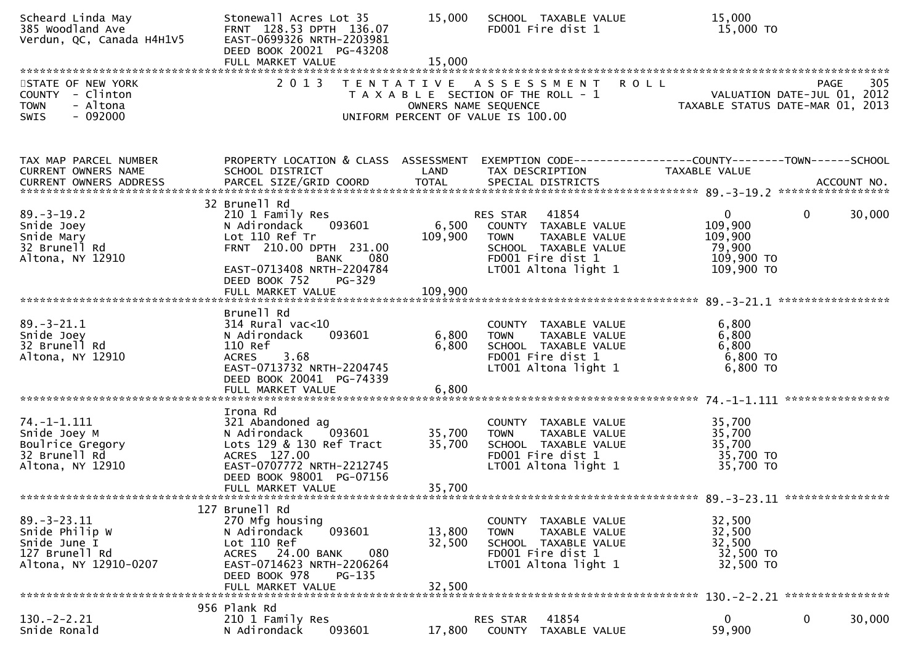| Scheard Linda May<br>385 Woodland Ave<br>Verdun, QC, Canada H4H1V5                             | Stonewall Acres Lot 35<br>FRNT 128.53 DPTH 136.07<br>EAST-0699326 NRTH-2203981<br>DEED BOOK 20021 PG-43208<br>FULL MARKET VALUE                                                                      | 15,000<br>15,000            | SCHOOL TAXABLE VALUE<br>FD001 Fire dist 1                                                                                                   | 15,000<br>15,000 TO                                                     |                        |
|------------------------------------------------------------------------------------------------|------------------------------------------------------------------------------------------------------------------------------------------------------------------------------------------------------|-----------------------------|---------------------------------------------------------------------------------------------------------------------------------------------|-------------------------------------------------------------------------|------------------------|
| STATE OF NEW YORK<br>COUNTY - Clinton<br><b>TOWN</b><br>- Altona<br>$-092000$<br>SWIS          | 2 0 1 3                                                                                                                                                                                              | OWNERS NAME SEQUENCE        | <b>ROLL</b><br>TENTATIVE ASSESSMENT<br>T A X A B L E SECTION OF THE ROLL - 1<br>UNIFORM PERCENT OF VALUE IS 100.00                          | VALUATION DATE-JUL 01, 2012<br>TAXABLE STATUS DATE-MAR 01, 2013         | 305<br>PAGE            |
| TAX MAP PARCEL NUMBER<br>CURRENT OWNERS NAME                                                   | PROPERTY LOCATION & CLASS ASSESSMENT EXEMPTION CODE----------------COUNTY-------TOWN------SCHOOL<br>SCHOOL DISTRICT                                                                                  | LAND                        | TAX DESCRIPTION                                                                                                                             | TAXABLE VALUE                                                           |                        |
| $89. - 3 - 19.2$<br>Snide Joey<br>Snide Mary<br>32 Brunell Rd<br>Altona, NY 12910              | 32 Brunell Rd<br>210 1 Family Res<br>N Adirondack<br>093601<br>Lot 110 Ref Tr<br>FRNT 210.00 DPTH 231.00<br>BANK<br>080<br>EAST-0713408 NRTH-2204784<br>DEED BOOK 752<br>PG-329<br>FULL MARKET VALUE | 6,500<br>109,900<br>109,900 | RES STAR 41854<br>COUNTY TAXABLE VALUE<br>TAXABLE VALUE<br><b>TOWN</b><br>SCHOOL TAXABLE VALUE<br>FD001 Fire dist 1<br>LT001 Altona light 1 | $\mathbf 0$<br>109,900<br>109,900<br>79,900<br>109,900 TO<br>109,900 TO | $\mathbf{0}$<br>30,000 |
| $89. - 3 - 21.1$<br>Snide Joey<br>32 Brunell Rd<br>Altona, NY 12910                            | Brunell Rd<br>$314$ Rural vac<10<br>N Adirondack<br>093601<br>110 Ref<br><b>ACRES</b><br>3.68<br>EAST-0713732 NRTH-2204745<br>DEED BOOK 20041 PG-74339<br>FULL MARKET VALUE                          | 6,800<br>6,800<br>6,800     | COUNTY TAXABLE VALUE<br>TAXABLE VALUE<br><b>TOWN</b><br>SCHOOL TAXABLE VALUE<br>FD001 Fire dist 1<br>LT001 Altona light 1                   | 6,800<br>6,800<br>6,800<br>6,800 TO<br>$6,800$ TO                       |                        |
| 74. –1–1.111<br>Snide Joey M<br>Boulrice Gregory<br>32 Brunell Rd<br>Altona, NY 12910          | Irona Rd<br>321 Abandoned ag<br>093601<br>N Adirondack<br>Lots 129 & 130 Ref Tract<br>ACRES 127.00<br>EAST-0707772 NRTH-2212745<br>DEED BOOK 98001 PG-07156<br>FULL MARKET VALUE                     | 35,700<br>35,700<br>35,700  | COUNTY TAXABLE VALUE<br>TAXABLE VALUE<br><b>TOWN</b><br>SCHOOL TAXABLE VALUE<br>FD001 Fire dist 1<br>LT001 Altona light 1                   | 35,700<br>35,700<br>35,700<br>35,700 TO<br>35,700 TO                    |                        |
| $89. - 3 - 23.11$<br>Snide Philip W<br>Snide June I<br>127 Brunell Rd<br>Altona, NY 12910-0207 | 127 Brunell Rd<br>270 Mfg housing<br>N Adirondack<br>093601<br>Lot 110 Ref<br>24.00 BANK<br>080<br>ACRES<br>EAST-0714623 NRTH-2206264<br>DEED BOOK 978<br><b>PG-135</b><br>FULL MARKET VALUE         | 13,800<br>32,500<br>32,500  | COUNTY TAXABLE VALUE<br><b>TOWN</b><br>TAXABLE VALUE<br>SCHOOL TAXABLE VALUE<br>FD001 Fire dist 1<br>LT001 Altona light 1                   | 32,500<br>32,500<br>32,500<br>32,500 TO<br>32,500 TO                    |                        |
| $130 - 2 - 2.21$<br>Snide Ronald                                                               | 956 Plank Rd<br>210 1 Family Res<br>N Adirondack<br>093601                                                                                                                                           | 17,800                      | 41854<br><b>RES STAR</b><br>COUNTY TAXABLE VALUE                                                                                            | 0<br>59,900                                                             | 30,000<br>0            |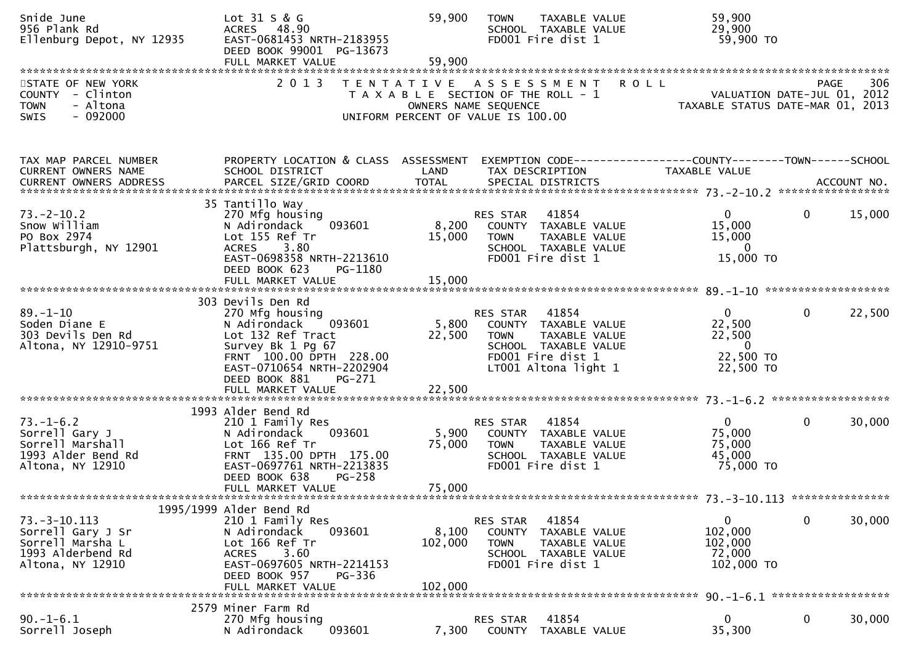| Snide June<br>956 Plank Rd<br>Ellenburg Depot, NY 12935                                              | Lot 31 S & G<br>ACRES 48.90<br>EAST-0681453 NRTH-2183955<br>DEED BOOK 99001 PG-13673<br>FULL MARKET VALUE                                                                                    | 59,900<br>59,900                                                                                    | <b>TOWN</b>                       | TAXABLE VALUE<br>SCHOOL TAXABLE VALUE<br>FD001 Fire dist 1                                                          | 59,900<br>29,900<br>59,900 TO                                                 |                                                    |
|------------------------------------------------------------------------------------------------------|----------------------------------------------------------------------------------------------------------------------------------------------------------------------------------------------|-----------------------------------------------------------------------------------------------------|-----------------------------------|---------------------------------------------------------------------------------------------------------------------|-------------------------------------------------------------------------------|----------------------------------------------------|
| STATE OF NEW YORK<br>COUNTY - Clinton<br><b>TOWN</b><br>- Altona<br>$-092000$<br><b>SWIS</b>         | 2 0 1 3                                                                                                                                                                                      | TENTATIVE ASSESSMENT<br>T A X A B L E SECTION OF THE ROLL - 1<br>UNIFORM PERCENT OF VALUE IS 100.00 | OWNERS NAME SEQUENCE              |                                                                                                                     | <b>ROLL</b><br>TAXABLE STATUS DATE-MAR 01,                                    | 306<br>PAGE<br>VALUATION DATE-JUL 01, 2012<br>2013 |
| TAX MAP PARCEL NUMBER<br>CURRENT OWNERS NAME                                                         | PROPERTY LOCATION & CLASS ASSESSMENT<br>SCHOOL DISTRICT                                                                                                                                      | LAND                                                                                                | TAX DESCRIPTION                   |                                                                                                                     | EXEMPTION CODE-----------------COUNTY-------TOWN------SCHOOL<br>TAXABLE VALUE |                                                    |
| $73. - 2 - 10.2$<br>Snow William<br>PO Box 2974<br>Plattsburgh, NY 12901                             | 35 Tantillo Way<br>270 Mfg housing<br>N Adirondack<br>093601<br>Lot 155 Ref Tr<br>3.80<br><b>ACRES</b><br>EAST-0698358 NRTH-2213610<br>DEED BOOK 623<br>PG-1180                              | 8,200<br>15,000                                                                                     | RES STAR<br><b>TOWN</b>           | 41854<br>COUNTY TAXABLE VALUE<br>TAXABLE VALUE<br>SCHOOL TAXABLE VALUE<br>FD001 Fire dist 1                         | $\mathbf 0$<br>15,000<br>15,000<br>$\mathbf 0$<br>15,000 TO                   | 15,000<br>$\mathbf{0}$                             |
| $89. - 1 - 10$<br>Soden Diane E<br>303 Devils Den Rd<br>Altona, NY 12910-9751                        | 303 Devils Den Rd<br>270 Mfg housing<br>093601<br>N Adirondack<br>Lot 132 Ref Tract<br>Survey Bk 1 Pg 67<br>FRNT 100.00 DPTH 228.00<br>EAST-0710654 NRTH-2202904<br>DEED BOOK 881<br>PG-271  | 5,800<br>22,500                                                                                     | RES STAR<br><b>TOWN</b>           | 41854<br>COUNTY TAXABLE VALUE<br>TAXABLE VALUE<br>SCHOOL TAXABLE VALUE<br>FD001 Fire dist 1<br>LT001 Altona light 1 | $\mathbf{0}$<br>22,500<br>22,500<br>$\mathbf{0}$<br>22,500 TO<br>22,500 TO    | $\mathbf{0}$<br>22,500                             |
| $73. - 1 - 6.2$<br>Sorrell Gary J<br>Sorrell Marshall<br>1993 Alder Bend Rd<br>Altona, NY 12910      | 1993 Alder Bend Rd<br>210 1 Family Res<br>093601<br>N Adirondack<br>Lot 166 Ref Tr<br>FRNT 135.00 DPTH 175.00<br>EAST-0697761 NRTH-2213835<br>DEED BOOK 638<br>$PG-258$<br>FULL MARKET VALUE | 5,900<br>75,000<br>75,000                                                                           | RES STAR<br><b>TOWN</b>           | 41854<br>COUNTY TAXABLE VALUE<br>TAXABLE VALUE<br>SCHOOL TAXABLE VALUE<br>FD001 Fire dist 1                         | $\mathbf{0}$<br>75,000<br>75,000<br>45,000<br>75,000 TO                       | $\mathbf{0}$<br>30,000                             |
| $73. - 3 - 10.113$<br>Sorrell Gary J Sr<br>Sorrell Marsha L<br>1993 Alderbend Rd<br>Altona, NY 12910 | 1995/1999 Alder Bend Rd<br>210 1 Family Res<br>N Adirondack<br>093601<br>Lot 166 Ref Tr<br>3.60<br><b>ACRES</b><br>EAST-0697605 NRTH-2214153<br>DEED BOOK 957<br>PG-336<br>FULL MARKET VALUE | 8,100<br>102,000<br>102,000                                                                         | RES STAR<br>COUNTY<br><b>TOWN</b> | 41854<br>TAXABLE VALUE<br>TAXABLE VALUE<br>SCHOOL TAXABLE VALUE<br>FD001 Fire dist 1                                | 0<br>102,000<br>102,000<br>72,000<br>102,000 TO                               | 0<br>30,000                                        |
| $90. - 1 - 6.1$<br>Sorrell Joseph                                                                    | 2579 Miner Farm Rd<br>270 Mfg housing<br>093601<br>N Adirondack                                                                                                                              | 7,300                                                                                               | RES STAR<br>COUNTY                | 41854<br>TAXABLE VALUE                                                                                              | $\mathbf 0$<br>35,300                                                         | $\mathbf 0$<br>30,000                              |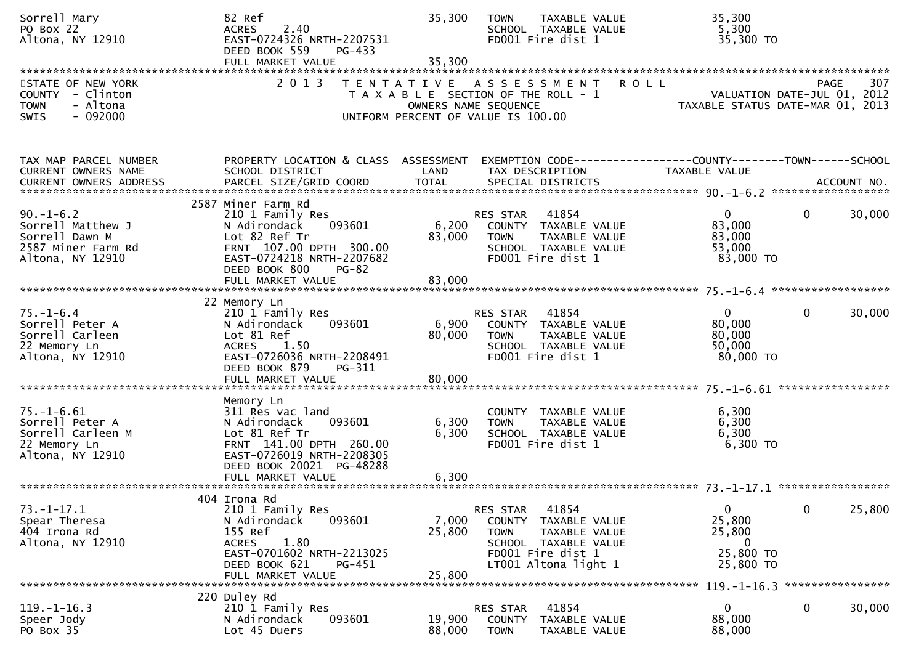| Sorrell Mary<br>PO Box 22<br>Altona, NY 12910                                                                                            | 82 Ref<br>2.40<br><b>ACRES</b><br>EAST-0724326 NRTH-2207531<br>DEED BOOK 559<br>PG-433<br>FULL MARKET VALUE                                                                                | 35,300<br>35,300                                                                                                            | <b>TOWN</b>                                     | TAXABLE VALUE<br>SCHOOL TAXABLE VALUE<br>FD001 Fire dist 1                                                   |             | 35,300<br>5,300<br>35,300 TO                                                         |                       |        |
|------------------------------------------------------------------------------------------------------------------------------------------|--------------------------------------------------------------------------------------------------------------------------------------------------------------------------------------------|-----------------------------------------------------------------------------------------------------------------------------|-------------------------------------------------|--------------------------------------------------------------------------------------------------------------|-------------|--------------------------------------------------------------------------------------|-----------------------|--------|
| STATE OF NEW YORK<br>COUNTY - Clinton<br><b>TOWN</b><br>- Altona<br>$-092000$<br><b>SWIS</b>                                             | 2013                                                                                                                                                                                       | TENTATIVE ASSESSMENT<br>T A X A B L E SECTION OF THE ROLL - 1<br>OWNERS NAME SEQUENCE<br>UNIFORM PERCENT OF VALUE IS 100.00 |                                                 |                                                                                                              | <b>ROLL</b> | VALUATION DATE-JUL 01, 2012<br>TAXABLE STATUS DATE-MAR 01, 2013                      | PAGE                  | 307    |
| TAX MAP PARCEL NUMBER<br>CURRENT OWNERS NAME<br>CURRENT OWNERS ADDRESS PARCEL SIZE/GRID COORD TOTAL SPECIAL DISTRICTS (2000) ACCOUNT NO. | PROPERTY LOCATION & CLASS ASSESSMENT<br>SCHOOL DISTRICT                                                                                                                                    | LAND                                                                                                                        |                                                 | TAX DESCRIPTION                                                                                              |             | EXEMPTION        CODE-----------------COUNTY-------TOWN------SCHOOL<br>TAXABLE VALUE |                       |        |
| $90. - 1 - 6.2$<br>Sorrell Matthew J<br>Sorrell Dawn M<br>2587 Miner Farm Rd<br>Altona, NY 12910                                         | 2587 Miner Farm Rd<br>210 1 Family Res<br>N Adirondack<br>093601<br>Lot 82 Ref Tr<br>FRNT 107.00 DPTH 300.00<br>EAST-0724218 NRTH-2207682<br>DEED BOOK 800<br>$PG-82$<br>FULL MARKET VALUE | 6,200<br>83,000<br>83,000                                                                                                   | RES STAR<br><b>TOWN</b>                         | 41854<br>COUNTY TAXABLE VALUE<br>TAXABLE VALUE<br>SCHOOL TAXABLE VALUE<br>FD001 Fire dist 1                  |             | $\mathbf{0}$<br>83,000<br>83,000<br>53,000<br>83,000 TO                              | $\mathbf{0}$          | 30,000 |
| $75. - 1 - 6.4$<br>Sorrell Peter A<br>Sorrell Carleen<br>22 Memory Ln<br>Altona, NY 12910                                                | 22 Memory Ln<br>210 1 Family Res<br>N Adirondack<br>093601<br>Lot 81 Ref<br><b>ACRES</b><br>1.50<br>EAST-0726036 NRTH-2208491<br>DEED BOOK 879<br>PG-311<br>FULL MARKET VALUE              | 6,900<br>80,000<br>80,000                                                                                                   | RES STAR<br><b>TOWN</b>                         | 41854<br>COUNTY TAXABLE VALUE<br>TAXABLE VALUE<br>SCHOOL TAXABLE VALUE<br>FD001 Fire dist 1                  |             | $\mathbf{0}$<br>80,000<br>80,000<br>50,000<br>80,000 TO                              | $\mathbf 0$           | 30,000 |
| $75. - 1 - 6.61$<br>Sorrell Peter A<br>Sorrell Carleen M<br>22 Memory Ln<br>Altona, NY 12910                                             | Memory Ln<br>311 Res vac land<br>093601<br>N Adirondack<br>Lot 81 Ref Tr<br>FRNT 141.00 DPTH 260.00<br>EAST-0726019 NRTH-2208305<br>DEED BOOK 20021 PG-48288<br>FULL MARKET VALUE          | 6,300<br>6,300<br>6,300                                                                                                     | <b>TOWN</b>                                     | COUNTY TAXABLE VALUE<br>TAXABLE VALUE<br>SCHOOL TAXABLE VALUE<br>FD001 Fire dist 1                           |             | 6,300<br>6,300<br>6,300<br>$6,300$ TO                                                |                       |        |
| $73. - 1 - 17.1$<br>Spear Theresa<br>404 Irona Rd<br>Altona, NY 12910                                                                    | 404 Irona Rd<br>210 1 Family Res<br>N Adirondack<br>093601<br>155 Ref<br>1.80<br><b>ACRES</b><br>EAST-0701602 NRTH-2213025<br>DEED BOOK 621<br>PG-451<br>FULL MARKET VALUE                 | 7,000<br>25,800<br>25,800                                                                                                   | <b>RES STAR</b><br>COUNTY<br><b>TOWN</b>        | 41854<br>TAXABLE VALUE<br>TAXABLE VALUE<br>SCHOOL TAXABLE VALUE<br>FD001 Fire dist 1<br>LT001 Altona light 1 |             | $\mathbf 0$<br>25,800<br>25,800<br>$\bf{0}$<br>25,800 TO<br>25,800 TO                | $\mathbf 0$           | 25,800 |
| $119. - 1 - 16.3$<br>Speer Jody<br>PO Box 35                                                                                             | 220 Duley Rd<br>210 1 Family Res<br>093601<br>N Adirondack<br>Lot 45 Duers                                                                                                                 | 19,900<br>88,000                                                                                                            | <b>RES STAR</b><br><b>COUNTY</b><br><b>TOWN</b> | 41854<br>TAXABLE VALUE<br>TAXABLE VALUE                                                                      |             | $119. - 1 - 16.3$<br>0<br>88,000<br>88,000                                           | ****************<br>0 | 30,000 |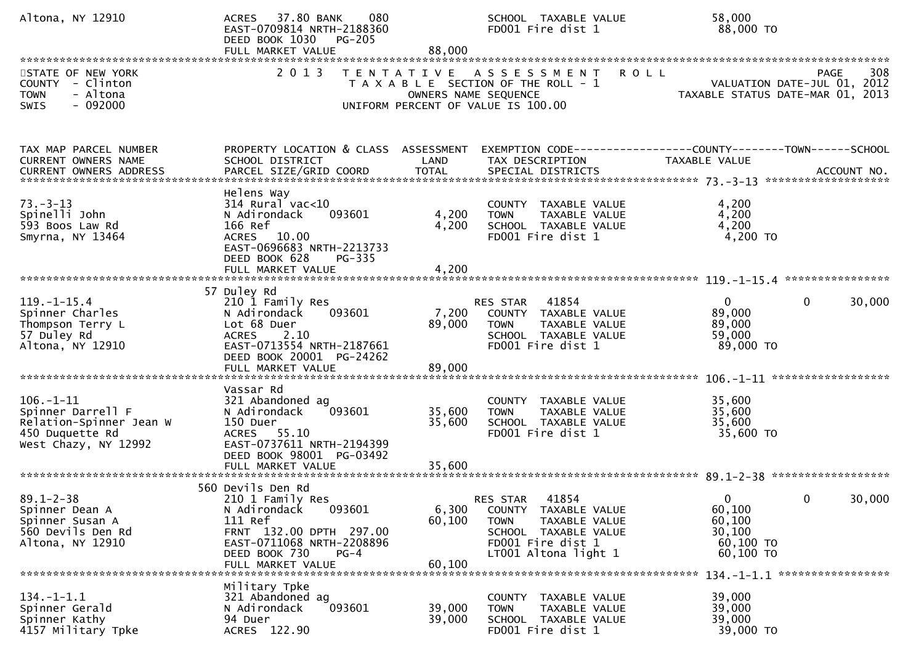| Altona, NY 12910                                                                                           | ACRES 37.80 BANK<br>080<br>EAST-0709814 NRTH-2188360<br>DEED BOOK 1030 PG-205<br>FULL MARKET VALUE                                                                                 | 88,000                    | SCHOOL TAXABLE VALUE<br>FD001 Fire dist 1                                                                                                  | 58,000<br>88,000 TO                                                                            |
|------------------------------------------------------------------------------------------------------------|------------------------------------------------------------------------------------------------------------------------------------------------------------------------------------|---------------------------|--------------------------------------------------------------------------------------------------------------------------------------------|------------------------------------------------------------------------------------------------|
| STATE OF NEW YORK<br>COUNTY - Clinton<br>- Altona<br><b>TOWN</b><br>$-092000$<br>SWIS                      | 2 0 1 3                                                                                                                                                                            |                           | <b>ROLL</b><br>TENTATIVE ASSESSMENT<br>T A X A B L E SECTION OF THE ROLL - 1<br>OWNERS NAME SEQUENCE<br>UNIFORM PERCENT OF VALUE IS 100.00 | 308<br>PAGE<br>VALUATION DATE-JUL 01, 2012<br>TAXABLE STATUS DATE-MAR 01, 2013                 |
| TAX MAP PARCEL NUMBER<br>CURRENT OWNERS NAME<br>CURRENT OWNERS ADDRESS                                     | PROPERTY LOCATION & CLASS ASSESSMENT<br>SCHOOL DISTRICT<br>PARCEL SIZE/GRID COORD                                                                                                  | LAND<br><b>TOTAL</b>      | TAX DESCRIPTION<br>SPECIAL DISTRICTS                                                                                                       | EXEMPTION CODE------------------COUNTY--------TOWN------SCHOOL<br>TAXABLE VALUE<br>ACCOUNT NO. |
| $73. - 3 - 13$<br>Spinelli John<br>593 Boos Law Rd<br>Smyrna, NY 13464                                     | Helens Way<br>$314$ Rural vac<10<br>093601<br>N Adirondack<br>166 Ref<br>ACRES 10.00<br>EAST-0696683 NRTH-2213733<br>DEED BOOK 628<br>$PG-335$<br>FULL MARKET VALUE                | 4,200<br>4,200<br>4,200   | COUNTY TAXABLE VALUE<br>TAXABLE VALUE<br><b>TOWN</b><br>SCHOOL TAXABLE VALUE<br>FD001 Fire dist 1                                          | 4,200<br>4,200<br>4,200<br>$4,200$ TO                                                          |
| $119. - 1 - 15.4$<br>Spinner Charles<br>Thompson Terry L<br>57 Duley Rd<br>Altona, NY 12910                | 57 Duley Rd<br>210 1 Family Res<br>093601<br>N Adirondack<br>Lot 68 Duer<br>2.10<br><b>ACRES</b><br>EAST-0713554 NRTH-2187661<br>DEED BOOK 20001 PG-24262<br>FULL MARKET VALUE     | 7,200<br>89,000<br>89,000 | RES STAR<br>41854<br>COUNTY TAXABLE VALUE<br>TAXABLE VALUE<br><b>TOWN</b><br>SCHOOL TAXABLE VALUE<br>FD001 Fire dist 1                     | $\mathbf{0}$<br>30,000<br>0<br>89,000<br>89,000<br>59,000<br>89,000 TO                         |
| $106. - 1 - 11$<br>Spinner Darrell F<br>Relation-Spinner Jean W<br>450 Duquette Rd<br>West Chazy, NY 12992 | Vassar Rd<br>321 Abandoned ag<br>N Adirondack<br>093601<br>150 Duer<br>ACRES 55.10<br>EAST-0737611 NRTH-2194399<br>DEED BOOK 98001 PG-03492                                        | 35,600<br>35,600          | COUNTY TAXABLE VALUE<br>TAXABLE VALUE<br><b>TOWN</b><br>SCHOOL TAXABLE VALUE<br>FD001 Fire dist 1                                          | 35,600<br>35,600<br>35,600<br>35,600 TO                                                        |
| $89.1 - 2 - 38$<br>Spinner Dean A<br>Spinner Susan A<br>560 Devils Den Rd<br>Altona, NY 12910              | 560 Devils Den Rd<br>210 1 Family Res<br>093601<br>N Adirondack<br>111 Ref<br>FRNT 132.00 DPTH 297.00<br>EAST-0711068 NRTH-2208896<br>DEED BOOK 730<br>$PG-4$<br>FULL MARKET VALUE | 6,300<br>60,100<br>60,100 | 41854<br>RES STAR<br>COUNTY TAXABLE VALUE<br>TAXABLE VALUE<br>TOWN<br>SCHOOL TAXABLE VALUE<br>FD001 Fire dist 1<br>LT001 Altona light 1    | $\Omega$<br>$\mathbf{0}$<br>30,000<br>60,100<br>60,100<br>30,100<br>60,100 TO<br>60,100 ТО     |
| $134. - 1 - 1.1$<br>Spinner Gerald<br>Spinner Kathy<br>4157 Military Tpke                                  | Military Tpke<br>321 Abandoned ag<br>093601<br>N Adirondack<br>94 Duer<br>ACRES 122.90                                                                                             | 39,000<br>39,000          | COUNTY TAXABLE VALUE<br>TAXABLE VALUE<br>TOWN<br>SCHOOL TAXABLE VALUE<br>FD001 Fire dist 1                                                 | 39,000<br>39,000<br>39,000<br>39,000 TO                                                        |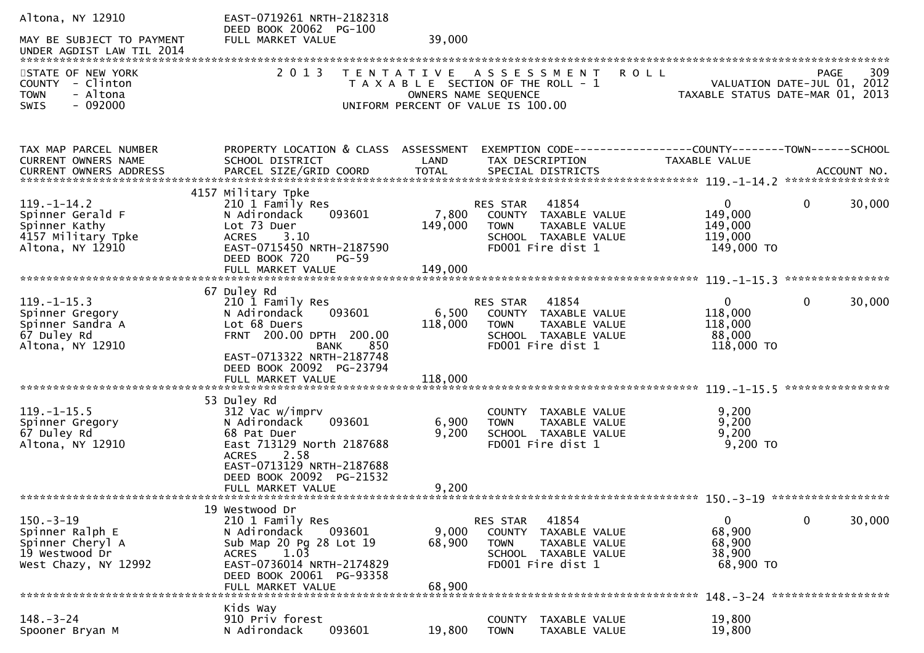| Altona, NY 12910                                    | EAST-0719261 NRTH-2182318<br>DEED BOOK 20062 PG-100     |                   |                                                            |                             |                             |
|-----------------------------------------------------|---------------------------------------------------------|-------------------|------------------------------------------------------------|-----------------------------|-----------------------------|
| MAY BE SUBJECT TO PAYMENT                           | FULL MARKET VALUE                                       | 39,000            |                                                            |                             |                             |
| STATE OF NEW YORK                                   | 2 0 1 3                                                 | T E N T A T I V E | A S S E S S M E N T                                        | <b>ROLL</b>                 | 309<br>PAGE                 |
| COUNTY - Clinton                                    |                                                         |                   | T A X A B L E SECTION OF THE ROLL - 1                      |                             | VALUATION DATE-JUL 01, 2012 |
| - Altona<br><b>TOWN</b><br>$-092000$<br><b>SWIS</b> |                                                         |                   | OWNERS NAME SEQUENCE<br>UNIFORM PERCENT OF VALUE IS 100.00 | TAXABLE STATUS DATE-MAR 01, | 2013                        |
|                                                     |                                                         |                   |                                                            |                             |                             |
| TAX MAP PARCEL NUMBER<br>CURRENT OWNERS NAME        | PROPERTY LOCATION & CLASS ASSESSMENT<br>SCHOOL DISTRICT | LAND              | TAX DESCRIPTION                                            | <b>TAXABLE VALUE</b>        |                             |
| CURRENT OWNERS ADDRESS                              | PARCEL SIZE/GRID COORD                                  | <b>TOTAL</b>      | SPECIAL DISTRICTS                                          |                             | ACCOUNT NO.                 |
|                                                     |                                                         |                   |                                                            |                             |                             |
| $119. - 1 - 14.2$                                   | 4157 Military Tpke<br>210 1 Family Res                  |                   | 41854<br>RES STAR                                          | $\overline{0}$              | $\mathbf{0}$<br>30,000      |
| Spinner Gerald F                                    | N Adirondack<br>093601                                  | 7,800             | COUNTY TAXABLE VALUE                                       | 149,000                     |                             |
| Spinner Kathy                                       | Lot 73 Duer                                             | 149,000           | <b>TAXABLE VALUE</b><br><b>TOWN</b>                        | 149,000                     |                             |
| 4157 Military Tpke<br>Altona, NY 12910              | <b>ACRES</b><br>3.10<br>EAST-0715450 NRTH-2187590       |                   | SCHOOL TAXABLE VALUE<br>FD001 Fire dist 1                  | 119,000<br>149,000 TO       |                             |
|                                                     | DEED BOOK 720<br>$PG-59$                                |                   |                                                            |                             |                             |
|                                                     |                                                         |                   |                                                            |                             |                             |
|                                                     | 67 Duley Rd                                             |                   |                                                            |                             |                             |
| $119. - 1 - 15.3$                                   | 210 1 Family Res                                        |                   | RES STAR<br>41854                                          | $\mathbf{0}$                | 0<br>30,000                 |
| Spinner Gregory                                     | N Adirondack<br>093601                                  | 6,500             | COUNTY TAXABLE VALUE                                       | 118,000                     |                             |
| Spinner Sandra A<br>67 Duley Rd                     | Lot 68 Duers<br>FRNT 200.00 DPTH 200.00                 | 118,000           | TAXABLE VALUE<br><b>TOWN</b><br>SCHOOL TAXABLE VALUE       | 118,000<br>88,000           |                             |
| Altona, NY 12910                                    | BANK<br>850                                             |                   | FD001 Fire dist 1                                          | 118,000 TO                  |                             |
|                                                     | EAST-0713322 NRTH-2187748                               |                   |                                                            |                             |                             |
|                                                     | DEED BOOK 20092 PG-23794<br>FULL MARKET VALUE           | 118,000           |                                                            |                             |                             |
|                                                     |                                                         |                   |                                                            |                             | ****************            |
|                                                     | 53 Duley Rd                                             |                   |                                                            |                             |                             |
| $119. - 1 - 15.5$<br>Spinner Gregory                | 312 Vac w/imprv<br>093601<br>N Adirondack               | 6,900             | COUNTY TAXABLE VALUE<br>TAXABLE VALUE<br><b>TOWN</b>       | 9,200<br>9,200              |                             |
| 67 Duley Rd                                         | 68 Pat Duer                                             | 9,200             | SCHOOL TAXABLE VALUE                                       | 9,200                       |                             |
| Altona, NY 12910                                    | East 713129 North 2187688                               |                   | FD001 Fire dist 1                                          | $9,200$ TO                  |                             |
|                                                     | 2.58<br><b>ACRES</b><br>EAST-0713129 NRTH-2187688       |                   |                                                            |                             |                             |
|                                                     | DEED BOOK 20092 PG-21532                                |                   |                                                            |                             |                             |
|                                                     | FULL MARKET VALUE                                       | 9,200             |                                                            |                             |                             |
|                                                     |                                                         |                   |                                                            |                             |                             |
| $150 - 3 - 19$                                      | 19 Westwood Dr<br>210 1 Family Res                      |                   | 41854<br>RES STAR                                          | 0                           | 0<br>30,000                 |
| Spinner Ralph E                                     | N Adirondack<br>093601                                  | 9,000             | COUNTY<br>TAXABLE VALUE                                    | 68,900                      |                             |
| Spinner Cheryl A                                    | Sub Map 20 Pg 28 Lot 19                                 | 68,900            | <b>TOWN</b><br>TAXABLE VALUE                               | 68,900                      |                             |
| 19 Westwood Dr<br>West Chazy, NY 12992              | 1.03<br><b>ACRES</b><br>EAST-0736014 NRTH-2174829       |                   | SCHOOL TAXABLE VALUE<br>FD001 Fire dist 1                  | 38,900<br>68,900 TO         |                             |
|                                                     | DEED BOOK 20061 PG-93358                                |                   |                                                            |                             |                             |
|                                                     | FULL MARKET VALUE                                       | 68,900            |                                                            |                             |                             |
|                                                     | Kids Way                                                |                   |                                                            |                             |                             |
| $148. - 3 - 24$                                     | 910 Priv forest                                         |                   | TAXABLE VALUE<br><b>COUNTY</b>                             | 19,800                      |                             |
| Spooner Bryan M                                     | 093601<br>N Adirondack                                  | 19,800            | <b>TOWN</b><br>TAXABLE VALUE                               | 19,800                      |                             |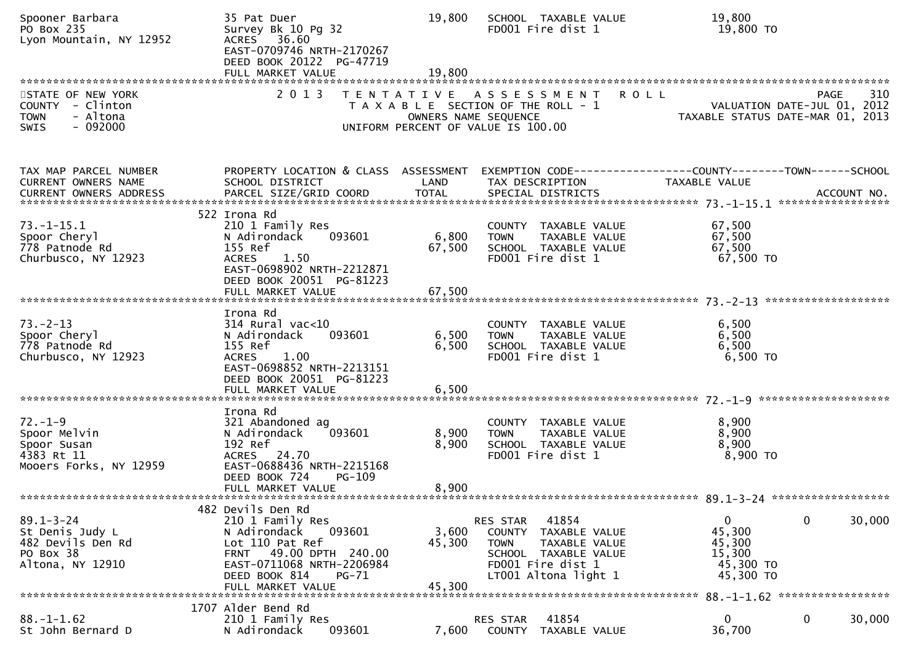| Spooner Barbara<br>PO Box 235<br>Lyon Mountain, NY 12952                                     | 35 Pat Duer<br>Survey Bk 10 Pg 32<br>ACRES 36.60<br>EAST-0709746 NRTH-2170267<br>DEED BOOK 20122 PG-47719<br>FULL MARKET VALUE                                              | 19,800<br>19,800          | SCHOOL TAXABLE VALUE<br>FD001 Fire dist 1                                                                                                                | 19,800<br>19,800 TO                                                                           |
|----------------------------------------------------------------------------------------------|-----------------------------------------------------------------------------------------------------------------------------------------------------------------------------|---------------------------|----------------------------------------------------------------------------------------------------------------------------------------------------------|-----------------------------------------------------------------------------------------------|
| STATE OF NEW YORK<br>COUNTY - Clinton<br><b>TOWN</b><br>- Altona<br>$-092000$<br><b>SWIS</b> | 2 0 1 3                                                                                                                                                                     |                           | TENTATIVE ASSESSMENT<br>T A X A B L E SECTION OF THE ROLL - 1<br>OWNERS NAME SEQUENCE<br>UNIFORM PERCENT OF VALUE IS 100.00                              | 310<br><b>ROLL</b><br>PAGE<br>VALUATION DATE-JUL 01, 2012<br>TAXABLE STATUS DATE-MAR 01, 2013 |
| TAX MAP PARCEL NUMBER<br>CURRENT OWNERS NAME                                                 | PROPERTY LOCATION & CLASS ASSESSMENT<br>SCHOOL DISTRICT                                                                                                                     | LAND                      | TAX DESCRIPTION                                                                                                                                          | TAXABLE VALUE                                                                                 |
| $73. - 1 - 15.1$<br>Spoor Cheryl<br>778 Patnode Rd<br>Churbusco, NY 12923                    | 522 Irona Rd<br>210 1 Family Res<br>093601<br>N Adirondack<br>155 Ref<br>1.50<br><b>ACRES</b><br>EAST-0698902 NRTH-2212871<br>DEED BOOK 20051 PG-81223<br>FULL MARKET VALUE | 6,800<br>67,500<br>67,500 | COUNTY TAXABLE VALUE<br>TAXABLE VALUE<br><b>TOWN</b><br>SCHOOL TAXABLE VALUE<br>FD001 Fire dist 1                                                        | 67,500<br>67,500<br>67,500<br>67,500 TO                                                       |
| $73. - 2 - 13$<br>Spoor Cheryl                                                               | Irona Rd<br>$314$ Rural vac<10<br>N Adirondack<br>093601                                                                                                                    | 6,500                     | COUNTY TAXABLE VALUE<br>TAXABLE VALUE<br><b>TOWN</b>                                                                                                     | 6,500<br>6,500                                                                                |
| 778 Patnode Rd<br>Churbusco, NY 12923                                                        | 155 Ref<br><b>ACRES</b><br>1.00<br>EAST-0698852 NRTH-2213151<br>DEED BOOK 20051 PG-81223<br>FULL MARKET VALUE                                                               | 6,500<br>6,500            | SCHOOL TAXABLE VALUE<br>FD001 Fire dist 1                                                                                                                | 6,500<br>6,500 TO                                                                             |
|                                                                                              | Irona Rd                                                                                                                                                                    |                           |                                                                                                                                                          |                                                                                               |
| $72. - 1 - 9$<br>Spoor Melvin<br>Spoor Susan<br>4383 Rt 11<br>Mooers Forks, NY 12959         | 321 Abandoned ag<br>093601<br>N Adirondack<br>192 Ref<br>ACRES 24.70<br>EAST-0688436 NRTH-2215168                                                                           | 8,900<br>8,900            | COUNTY TAXABLE VALUE<br>TAXABLE VALUE<br><b>TOWN</b><br>SCHOOL TAXABLE VALUE<br>FD001 Fire dist 1                                                        | 8,900<br>8,900<br>8,900<br>8,900 TO                                                           |
|                                                                                              | DEED BOOK 724<br>PG-109<br>FULL MARKET VALUE                                                                                                                                | 8,900                     |                                                                                                                                                          |                                                                                               |
|                                                                                              | 482 Devils Den Rd                                                                                                                                                           |                           |                                                                                                                                                          |                                                                                               |
| $89.1 - 3 - 24$<br>St Denis Judy L<br>482 Devils Den Rd<br>PO Box 38<br>Altona, NY 12910     | 210 1 Family Res<br>093601<br>N Adirondack<br>Lot 110 Pat Ref<br>49.00 DPTH 240.00<br><b>FRNT</b><br>EAST-0711068 NRTH-2206984<br>DEED BOOK 814<br>PG-71                    | 3,600<br>45,300           | 41854<br>RES STAR<br>TAXABLE VALUE<br><b>COUNTY</b><br><b>TOWN</b><br>TAXABLE VALUE<br>SCHOOL TAXABLE VALUE<br>FD001 Fire dist 1<br>LT001 Altona light 1 | 0<br>0<br>30,000<br>45,300<br>45,300<br>15,300<br>45,300 TO<br>45,300 TO                      |
|                                                                                              | FULL MARKET VALUE                                                                                                                                                           | 45,300                    |                                                                                                                                                          | 88. -1-1.62 ******************                                                                |
|                                                                                              | 1707 Alder Bend Rd                                                                                                                                                          |                           |                                                                                                                                                          |                                                                                               |
| $88. - 1 - 1.62$<br>St John Bernard D                                                        | 210 1 Family Res<br>093601<br>N Adirondack                                                                                                                                  | 7,600                     | 41854<br>RES STAR<br>TAXABLE VALUE<br>COUNTY                                                                                                             | 0<br>$\mathbf{0}$<br>30,000<br>36,700                                                         |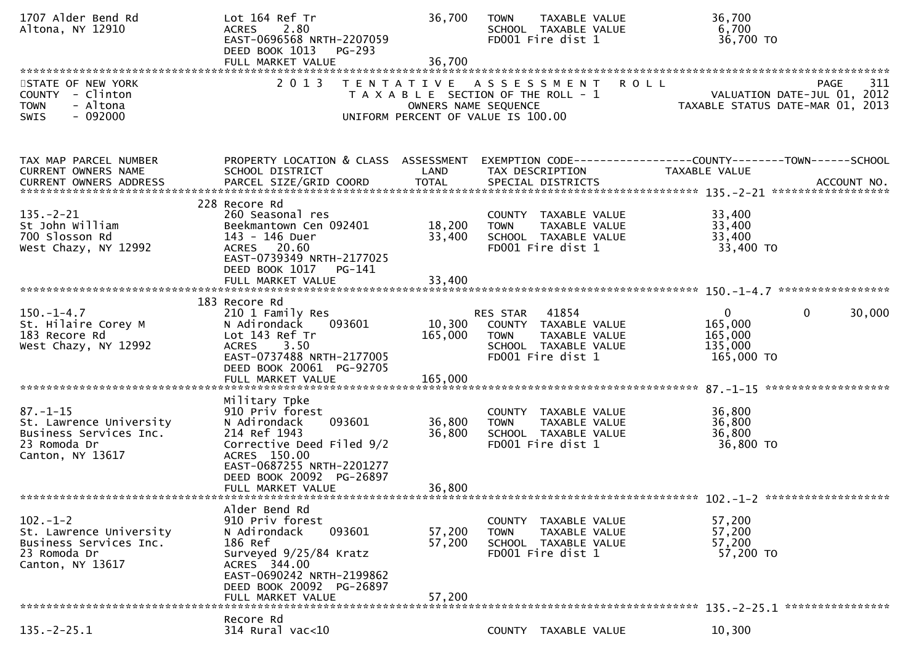| 1707 Alder Bend Rd<br>Altona, NY 12910                                                                  | Lot 164 Ref Tr<br><b>ACRES</b><br>2.80<br>EAST-0696568 NRTH-2207059<br>DEED BOOK 1013<br><b>PG-293</b><br>FULL MARKET VALUE                                                                           | 36,700<br>36,700             | <b>TAXABLE VALUE</b><br><b>TOWN</b><br>SCHOOL TAXABLE VALUE<br>FD001 Fire dist 1                                       | 36,700<br>6,700                              | 36,700 TO                                                                                         |
|---------------------------------------------------------------------------------------------------------|-------------------------------------------------------------------------------------------------------------------------------------------------------------------------------------------------------|------------------------------|------------------------------------------------------------------------------------------------------------------------|----------------------------------------------|---------------------------------------------------------------------------------------------------|
| STATE OF NEW YORK<br>COUNTY - Clinton<br><b>TOWN</b><br>- Altona<br>$-092000$<br><b>SWIS</b>            | 2 0 1 3<br>T E N T A T I V E                                                                                                                                                                          | OWNERS NAME SEQUENCE         | A S S E S S M E N T<br>T A X A B L E SECTION OF THE ROLL - 1<br>UNIFORM PERCENT OF VALUE IS 100.00                     | <b>ROLL</b>                                  | 311<br>PAGE<br>VALUATION DATE-JUL 01, 2012<br>TAXABLE STATUS DATE-MAR 01, 2013                    |
| TAX MAP PARCEL NUMBER<br>CURRENT OWNERS NAME                                                            | PROPERTY LOCATION & CLASS ASSESSMENT<br>SCHOOL DISTRICT                                                                                                                                               | LAND                         | TAX DESCRIPTION                                                                                                        | <b>TAXABLE VALUE</b>                         | EXEMPTION CODE-----------------COUNTY-------TOWN------SCHOOL<br>ACCOUNT NO.<br>****************** |
| $135. - 2 - 21$<br>St John William<br>700 Slosson Rd<br>West Chazy, NY 12992                            | 228 Recore Rd<br>260 Seasonal res<br>Beekmantown Cen 092401<br>143 - 146 Duer<br>ACRES 20.60<br>EAST-0739349 NRTH-2177025<br>DEED BOOK 1017<br>PG-141                                                 | 18,200<br>33,400             | COUNTY TAXABLE VALUE<br>TAXABLE VALUE<br><b>TOWN</b><br>SCHOOL TAXABLE VALUE<br>FD001 Fire dist 1                      | 33,400<br>33,400<br>33,400                   | 33,400 TO                                                                                         |
| $150.-1-4.7$<br>St. Hilaire Corey M<br>183 Recore Rd<br>West Chazy, NY 12992                            | 183 Recore Rd<br>210 1 Family Res<br>N Adirondack<br>093601<br>Lot 143 Ref Tr<br>3.50<br><b>ACRES</b><br>EAST-0737488 NRTH-2177005<br>DEED BOOK 20061 PG-92705<br>FULL MARKET VALUE                   | 10,300<br>165,000<br>165,000 | 41854<br>RES STAR<br>COUNTY TAXABLE VALUE<br><b>TOWN</b><br>TAXABLE VALUE<br>SCHOOL TAXABLE VALUE<br>FD001 Fire dist 1 | $\mathbf 0$<br>165,000<br>165,000<br>135,000 | $\mathbf{0}$<br>30,000<br>165,000 TO                                                              |
| $87. - 1 - 15$<br>St. Lawrence University<br>Business Services Inc.<br>23 Romoda Dr<br>Canton, NY 13617 | Military Tpke<br>910 Priv forest<br>093601<br>N Adirondack<br>214 Ref 1943<br>Corrective Deed Filed 9/2<br>ACRES 150.00<br>EAST-0687255 NRTH-2201277<br>DEED BOOK 20092 PG-26897<br>FULL MARKET VALUE | 36,800<br>36,800<br>36,800   | COUNTY TAXABLE VALUE<br>TAXABLE VALUE<br><b>TOWN</b><br>SCHOOL TAXABLE VALUE<br>FD001 Fire dist 1                      | 36,800<br>36,800<br>36,800                   | 36,800 TO                                                                                         |
| $102 - 1 - 2$<br>St. Lawrence University<br>Business Services Inc.<br>23 Romoda Dr<br>Canton, NY 13617  | Alder Bend Rd<br>910 Priv forest<br>N Adirondack<br>093601<br>186 Ref<br>Surveyed 9/25/84 Kratz<br>ACRES 344.00<br>EAST-0690242 NRTH-2199862<br>DEED BOOK 20092 PG-26897<br>FULL MARKET VALUE         | 57,200<br>57,200<br>57,200   | COUNTY TAXABLE VALUE<br><b>TOWN</b><br>TAXABLE VALUE<br>SCHOOL TAXABLE VALUE<br>FD001 Fire dist 1                      | 57,200<br>57,200<br>57,200                   | 57,200 TO                                                                                         |
| $135. -2 - 25.1$                                                                                        | Recore Rd<br>314 Rural vac<10                                                                                                                                                                         |                              | COUNTY TAXABLE VALUE                                                                                                   | 10,300                                       |                                                                                                   |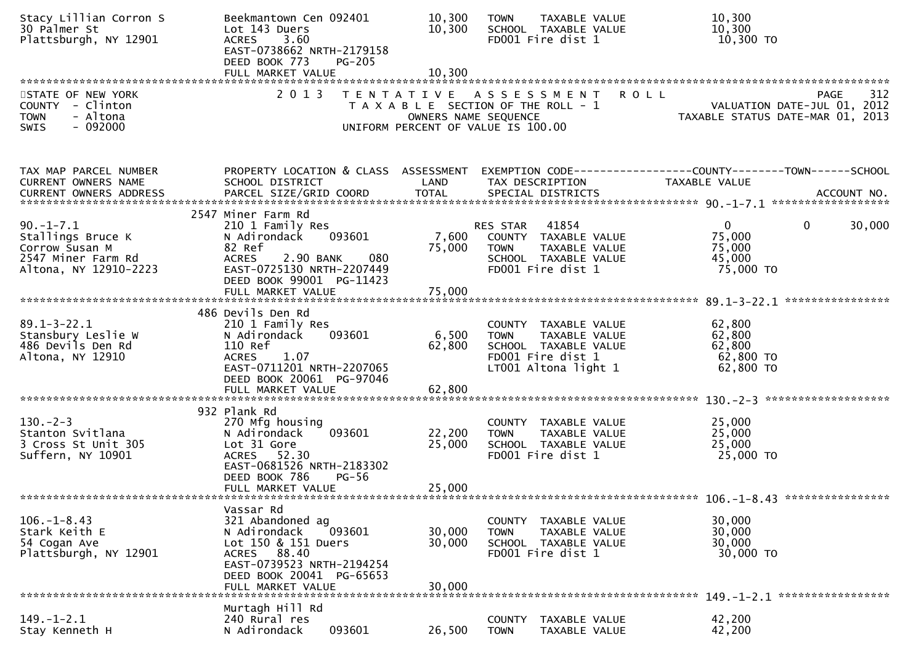| Stacy Lillian Corron S<br>30 Palmer St<br>Plattsburgh, NY 12901                                       | Beekmantown Cen 092401<br>Lot 143 Duers<br>3.60<br><b>ACRES</b><br>EAST-0738662 NRTH-2179158<br>DEED BOOK 773                                                               | <b>PG-205</b>                                                                                       | 10,300<br>10,300                               | <b>TOWN</b>                   | TAXABLE VALUE<br>SCHOOL TAXABLE VALUE<br>FD001 Fire dist 1                                                 |             | 10,300<br>10,300<br>10,300 TO                           |                                                                                    |
|-------------------------------------------------------------------------------------------------------|-----------------------------------------------------------------------------------------------------------------------------------------------------------------------------|-----------------------------------------------------------------------------------------------------|------------------------------------------------|-------------------------------|------------------------------------------------------------------------------------------------------------|-------------|---------------------------------------------------------|------------------------------------------------------------------------------------|
|                                                                                                       |                                                                                                                                                                             |                                                                                                     |                                                |                               |                                                                                                            |             |                                                         |                                                                                    |
| STATE OF NEW YORK<br>COUNTY - Clinton<br>- Altona<br><b>TOWN</b><br>SWIS<br>$-092000$                 | 2013                                                                                                                                                                        | TENTATIVE ASSESSMENT<br>T A X A B L E SECTION OF THE ROLL - 1<br>UNIFORM PERCENT OF VALUE IS 100.00 | OWNERS NAME SEQUENCE                           |                               |                                                                                                            | <b>ROLL</b> |                                                         | 312<br>PAGE 312<br>VALUATION DATE-JUL 01, 2012<br>TAXABLE STATUS DATE-MAR 01, 2013 |
| TAX MAP PARCEL NUMBER<br>CURRENT OWNERS NAME<br><b>CURRENT OWNERS ADDRESS</b>                         | PROPERTY LOCATION & CLASS ASSESSMENT<br>SCHOOL DISTRICT                                                                                                                     |                                                                                                     | LAND                                           | TAX DESCRIPTION               |                                                                                                            |             | TAXABLE VALUE                                           | EXEMPTION CODE------------------COUNTY--------TOWN------SCHOOL                     |
| $90. - 1 - 7.1$<br>Stallings Bruce K<br>Corrow Susan M<br>2547 Miner Farm Rd<br>Altona, NY 12910-2223 | 2547 Miner Farm Rd<br>210 1 Family Res<br>N Adirondack<br>82 Ref<br><b>ACRES</b><br>2.90 BANK<br>EAST-0725130 NRTH-2207449<br>DEED BOOK 99001 PG-11423<br>FULL MARKET VALUE | 093601<br>080                                                                                       | 7,600 COUNTY TAXABLE VALUE<br>75,000<br>75,000 | RES STAR 41854<br><b>TOWN</b> | TAXABLE VALUE<br>SCHOOL TAXABLE VALUE<br>FD001 Fire dist 1                                                 |             | $\mathbf{0}$<br>75,000<br>75,000<br>45,000<br>75,000 TO | 30,000<br>$\mathbf{0}$                                                             |
|                                                                                                       | 486 Devils Den Rd                                                                                                                                                           |                                                                                                     |                                                |                               |                                                                                                            |             |                                                         |                                                                                    |
| $89.1 - 3 - 22.1$<br>Stansbury Leslie W<br>486 Devils Den Rd<br>Altona, NY 12910                      | 210 1 Family Res<br>093601<br>N Adirondack<br>110 Ref<br><b>ACRES</b><br>1.07<br>EAST-0711201 NRTH-2207065<br>DEED BOOK 20061 PG-97046<br>FULL MARKET VALUE                 |                                                                                                     | 6,500<br>62,800<br>62,800                      | <b>TOWN</b>                   | COUNTY TAXABLE VALUE<br>TAXABLE VALUE<br>SCHOOL TAXABLE VALUE<br>FD001 Fire dist 1<br>LT001 Altona light 1 |             | 62,800<br>62,800<br>62,800<br>62,800 TO<br>62,800 TO    |                                                                                    |
|                                                                                                       | 932 Plank Rd                                                                                                                                                                |                                                                                                     |                                                |                               |                                                                                                            |             |                                                         |                                                                                    |
| $130 - 2 - 3$<br>Stanton Svitlana<br>3 Cross St Unit 305<br>Suffern, NY 10901                         | 270 Mfg housing<br>N Adirondack<br>Lot 31 Gore<br>ACRES 52.30<br>EAST-0681526 NRTH-2183302<br>DEED BOOK 786<br>FULL MARKET VALUE                                            | 093601<br>$PG-56$                                                                                   | 22,200<br>25,000<br>25,000                     | <b>TOWN</b>                   | COUNTY TAXABLE VALUE<br>TAXABLE VALUE<br>SCHOOL TAXABLE VALUE<br>FD001 Fire dist 1                         |             | 25,000<br>25,000<br>25,000<br>25,000 TO                 |                                                                                    |
|                                                                                                       |                                                                                                                                                                             |                                                                                                     |                                                |                               |                                                                                                            |             |                                                         |                                                                                    |
| $106. - 1 - 8.43$<br>Stark Keith E<br>54 Cogan Ave<br>Plattsburgh, NY 12901                           | Vassar Rd<br>321 Abandoned ag<br>N Adirondack<br>Lot 150 & 151 Duers<br>88.40<br><b>ACRES</b><br>EAST-0739523 NRTH-2194254<br>DEED BOOK 20041 PG-65653<br>FULL MARKET VALUE | 093601                                                                                              | 30,000<br>30,000<br>30,000                     | COUNTY<br><b>TOWN</b>         | TAXABLE VALUE<br>TAXABLE VALUE<br>SCHOOL TAXABLE VALUE<br>FD001 Fire dist 1                                |             | 30,000<br>30,000<br>30,000<br>30,000 TO                 |                                                                                    |
|                                                                                                       | Murtagh Hill Rd                                                                                                                                                             |                                                                                                     |                                                |                               |                                                                                                            |             |                                                         |                                                                                    |
| $149. - 1 - 2.1$<br>Stay Kenneth H                                                                    | 240 Rural res<br>N Adirondack                                                                                                                                               | 093601                                                                                              | 26,500                                         | <b>COUNTY</b><br><b>TOWN</b>  | TAXABLE VALUE<br>TAXABLE VALUE                                                                             |             | 42,200<br>42,200                                        |                                                                                    |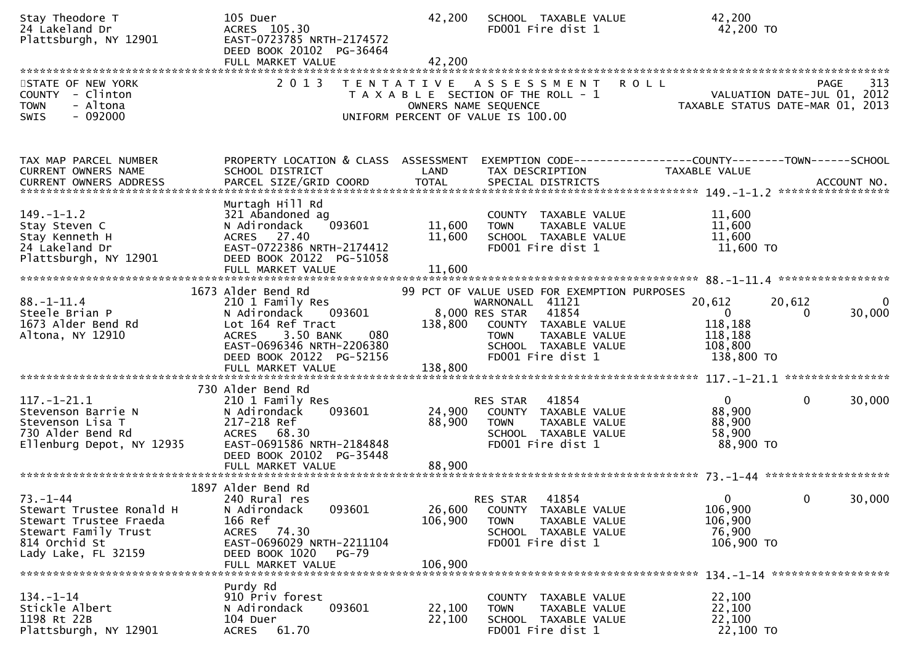| Stay Theodore T<br>24 Lakeland Dr<br>Plattsburgh, NY 12901                                                                           | 105 Duer<br>ACRES 105.30<br>EAST-0723785 NRTH-2174572<br>DEED BOOK 20102 PG-36464<br>FULL MARKET VALUE                                                                                                  | 42,200<br>42,200             | SCHOOL TAXABLE VALUE<br>FD001 Fire dist 1                                                                                                                                                      | 42,200<br>42,200 TO                                                                                        |
|--------------------------------------------------------------------------------------------------------------------------------------|---------------------------------------------------------------------------------------------------------------------------------------------------------------------------------------------------------|------------------------------|------------------------------------------------------------------------------------------------------------------------------------------------------------------------------------------------|------------------------------------------------------------------------------------------------------------|
| STATE OF NEW YORK<br>COUNTY - Clinton<br><b>TOWN</b><br>- Altona<br>$-092000$<br><b>SWIS</b>                                         | 2 0 1 3                                                                                                                                                                                                 |                              | TENTATIVE ASSESSMENT<br>T A X A B L E SECTION OF THE ROLL - 1<br>OWNERS NAME SEQUENCE<br>UNIFORM PERCENT OF VALUE IS 100.00                                                                    | 313<br><b>ROLL</b><br>PAGE<br>VALUATION DATE-JUL 01, 2012<br>TAXABLE STATUS DATE-MAR 01, 2013              |
| TAX MAP PARCEL NUMBER<br>CURRENT OWNERS NAME<br>CURRENT OWNERS ADDRESS                                                               | PROPERTY LOCATION & CLASS ASSESSMENT<br>SCHOOL DISTRICT                                                                                                                                                 | LAND                         | TAX DESCRIPTION                                                                                                                                                                                | EXEMPTION        CODE------------------COUNTY--------TOWN------SCHOOL<br>TAXABLE VALUE                     |
| $149. - 1 - 1.2$<br>Stay Steven C<br>Stay Kenneth H<br>24 Lakeland Dr<br>Plattsburgh, NY 12901                                       | Murtagh Hill Rd<br>321 Abandoned ag<br>N Adirondack<br>093601<br>ACRES 27.40<br>EAST-0722386 NRTH-2174412<br>DEED BOOK 20122 PG-51058<br>FULL MARKET VALUE                                              | 11,600<br>11,600<br>11,600   | COUNTY TAXABLE VALUE<br>TAXABLE VALUE<br><b>TOWN</b><br>SCHOOL TAXABLE VALUE<br>FD001 Fire dist 1                                                                                              | 11,600<br>11,600<br>11,600<br>11,600 TO                                                                    |
| $88. - 1 - 11.4$<br>Steele Brian P<br>1673 Alder Bend Rd<br>Altona, NY 12910                                                         | 1673 Alder Bend Rd<br>210 1 Family Res<br>093601<br>N Adirondack<br>Lot 164 Ref Tract<br>3.50 BANK<br>080<br><b>ACRES</b><br>EAST-0696346 NRTH-2206380<br>DEED BOOK 20122 PG-52156<br>FULL MARKET VALUE | 138,800<br>138,800           | 99 PCT OF VALUE USED FOR EXEMPTION PURPOSES<br>WARNONALL 41121<br>8,000 RES STAR<br>41854<br>COUNTY TAXABLE VALUE<br>TAXABLE VALUE<br><b>TOWN</b><br>SCHOOL TAXABLE VALUE<br>FD001 Fire dist 1 | 20,612<br>20,612<br>0<br>30,000<br>$\mathbf{0}$<br>$\Omega$<br>118,188<br>118,188<br>108,800<br>138,800 TO |
| $117. - 1 - 21.1$<br>Stevenson Barrie N<br>Stevenson Lisa T<br>730 Alder Bend Rd<br>Ellenburg Depot, NY 12935                        | 730 Alder Bend Rd<br>210 1 Family Res<br>093601<br>N Adirondack<br>217-218 Ref<br>ACRES 68.30<br>EAST-0691586 NRTH-2184848<br>DEED BOOK 20102<br>PG-35448<br>FULL MARKET VALUE                          | 24,900<br>88,900<br>88,900   | 41854<br>RES STAR<br>COUNTY TAXABLE VALUE<br><b>TOWN</b><br>TAXABLE VALUE<br>SCHOOL TAXABLE VALUE<br>FD001 Fire dist 1                                                                         | $\overline{0}$<br>$\mathbf 0$<br>30,000<br>88,900<br>88,900<br>58,900<br>88,900 TO                         |
| $73. - 1 - 44$<br>Stewart Trustee Ronald H<br>Stewart Trustee Fraeda<br>Stewart Family Trust<br>814 Orchid St<br>Lady Lake, FL 32159 | 1897 Alder Bend Rd<br>240 Rural res<br>093601<br>N Adirondack<br>166 Ref<br>ACRES 74.30<br>EAST-0696029 NRTH-2211104<br>DEED BOOK 1020<br>$PG-79$<br>FULL MARKET VALUE                                  | 26,600<br>106,900<br>106,900 | 41854<br><b>RES STAR</b><br>COUNTY TAXABLE VALUE<br><b>TOWN</b><br>TAXABLE VALUE<br>SCHOOL TAXABLE VALUE<br>FD001 Fire dist 1                                                                  | $\mathbf{0}$<br>$\mathbf{0}$<br>30,000<br>106,900<br>106,900<br>76,900<br>106,900 TO                       |
| $134. - 1 - 14$<br>Stickle Albert<br>1198 Rt 22B<br>Plattsburgh, NY 12901                                                            | Purdy Rd<br>910 Priv forest<br>093601<br>N Adirondack<br>104 Duer<br>ACRES 61.70                                                                                                                        | 22,100<br>22,100             | COUNTY TAXABLE VALUE<br><b>TOWN</b><br>TAXABLE VALUE<br>SCHOOL TAXABLE VALUE<br>FD001 Fire dist 1                                                                                              | 22,100<br>22,100<br>22,100<br>22,100 TO                                                                    |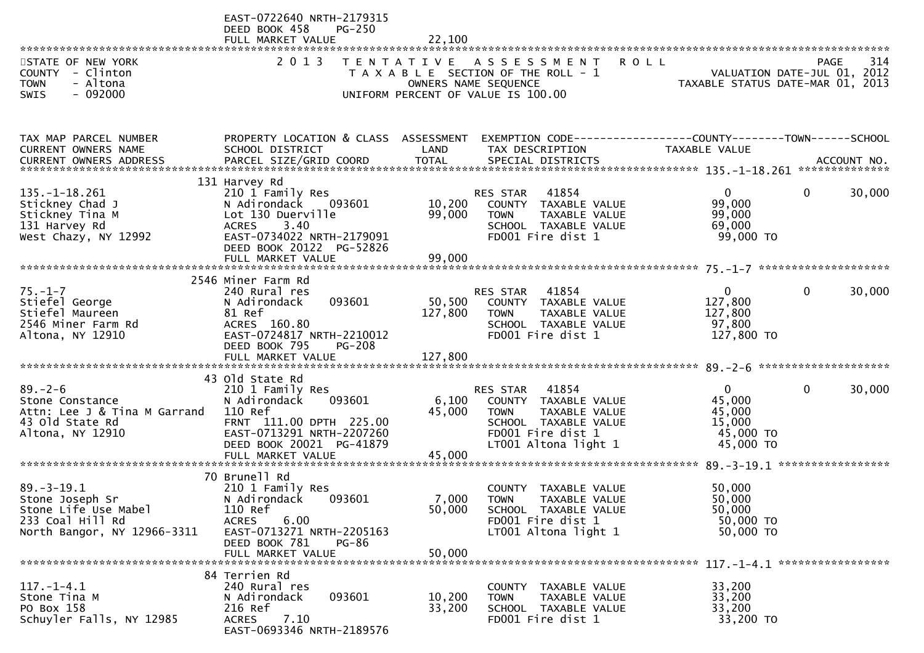|                                                                                                                | EAST-0722640 NRTH-2179315<br>DEED BOOK 458<br><b>PG-250</b><br>FULL MARKET VALUE                                                                                                  | 22,100                    |                                                                                                                                                |                                                                      |                                                   |
|----------------------------------------------------------------------------------------------------------------|-----------------------------------------------------------------------------------------------------------------------------------------------------------------------------------|---------------------------|------------------------------------------------------------------------------------------------------------------------------------------------|----------------------------------------------------------------------|---------------------------------------------------|
| STATE OF NEW YORK<br>COUNTY - Clinton<br><b>TOWN</b><br>- Altona<br>$-092000$<br>SWIS                          | 2 0 1 3                                                                                                                                                                           |                           | TENTATIVE ASSESSMENT<br>T A X A B L E SECTION OF THE ROLL - 1<br>OWNERS NAME SEQUENCE<br>UNIFORM PERCENT OF VALUE IS 100.00                    | <b>ROLL</b><br>TAXABLE STATUS DATE-MAR 01, 2013                      | 314<br><b>PAGE</b><br>VALUATION DATE-JUL 01, 2012 |
| TAX MAP PARCEL NUMBER<br>CURRENT OWNERS NAME                                                                   | PROPERTY LOCATION & CLASS ASSESSMENT<br>SCHOOL DISTRICT                                                                                                                           | LAND                      | EXEMPTION CODE------------------COUNTY--------TOWN------SCHOOL<br>TAX DESCRIPTION                                                              | TAXABLE VALUE                                                        |                                                   |
| $135. - 1 - 18.261$<br>Stickney Chad J<br>Stickney Tina M<br>131 Harvey Rd<br>West Chazy, NY 12992             | 131 Harvey Rd<br>210 1 Family Res<br>N Adirondack 093601<br>Lot 130 Duerville<br><b>ACRES</b><br>3.40<br>EAST-0734022 NRTH-2179091<br>DEED BOOK 20122 PG-52826                    | 10,200<br>99,000          | 41854<br>RES STAR<br>COUNTY TAXABLE VALUE<br><b>TOWN</b><br>TAXABLE VALUE<br>SCHOOL TAXABLE VALUE<br>FD001 Fire dist 1                         | $\mathbf{0}$<br>99,000<br>99,000<br>69,000<br>99,000 TO              | 0<br>30,000                                       |
| $75. - 1 - 7$<br>Stiefel George<br>Stiefel Maureen<br>2546 Miner Farm Rd<br>Altona, NY 12910                   | 2546 Miner Farm Rd<br>240 Rural res<br>093601<br>N Adirondack<br>81 Ref<br>ACRES 160.80<br>EAST-0724817 NRTH-2210012<br>DEED BOOK 795<br><b>PG-208</b>                            | 50,500<br>127,800         | RES STAR 41854<br>COUNTY TAXABLE VALUE<br><b>TOWN</b><br>TAXABLE VALUE<br>SCHOOL TAXABLE VALUE<br>FD001 Fire dist 1                            | $\mathbf{0}$<br>127,800<br>127,800<br>97,800<br>127,800 TO           | $\Omega$<br>30,000                                |
| $89. - 2 - 6$<br>Stone Constance<br>Attn: Lee J & Tina M Garrand<br>43 Old State Rd<br>Altona, NY 12910        | 43 Old State Rd<br>210 1 Family Res<br>N Adirondack<br>093601<br>110 Ref<br>FRNT 111.00 DPTH 225.00<br>EAST-0713291 NRTH-2207260<br>DEED BOOK 20021 PG-41879<br>FULL MARKET VALUE | 6,100<br>45,000<br>45,000 | 41854<br><b>RES STAR</b><br>COUNTY TAXABLE VALUE<br>TAXABLE VALUE<br>TOWN<br>SCHOOL TAXABLE VALUE<br>FD001 Fire dist 1<br>LT001 Altona light 1 | $\mathbf{0}$<br>45,000<br>45,000<br>15,000<br>45,000 TO<br>45,000 TO | 30,000<br>$\mathbf{0}$                            |
| $89. - 3 - 19.1$<br>Stone Joseph Sr<br>Stone Life Use Mabel<br>233 Coal Hill Rd<br>North Bangor, NY 12966-3311 | 70 Brunell Rd<br>210 1 Family Res<br>N Adirondack<br>093601<br>110 Ref<br>6.00<br><b>ACRES</b><br>EAST-0713271 NRTH-2205163<br>DEED BOOK 781<br><b>PG-86</b><br>FULL MARKET VALUE | 50,000<br>50,000          | COUNTY TAXABLE VALUE<br>7,000 TOWN<br>TAXABLE VALUE<br>SCHOOL TAXABLE VALUE<br>FD001 Fire dist 1<br>LT001 Altona light 1                       | 50,000<br>50,000<br>50,000<br>50,000 TO<br>50,000 TO                 |                                                   |
| $117. - 1 - 4.1$<br>Stone Tina M<br>PO Box 158<br>Schuyler Falls, NY 12985                                     | 84 Terrien Rd<br>240 Rural res<br>093601<br>N Adirondack<br>216 Ref<br>7.10<br><b>ACRES</b><br>EAST-0693346 NRTH-2189576                                                          | 10,200<br>33,200          | COUNTY TAXABLE VALUE<br>TAXABLE VALUE<br><b>TOWN</b><br>SCHOOL TAXABLE VALUE<br>FD001 Fire dist 1                                              | 33,200<br>33,200<br>33,200<br>33,200 TO                              |                                                   |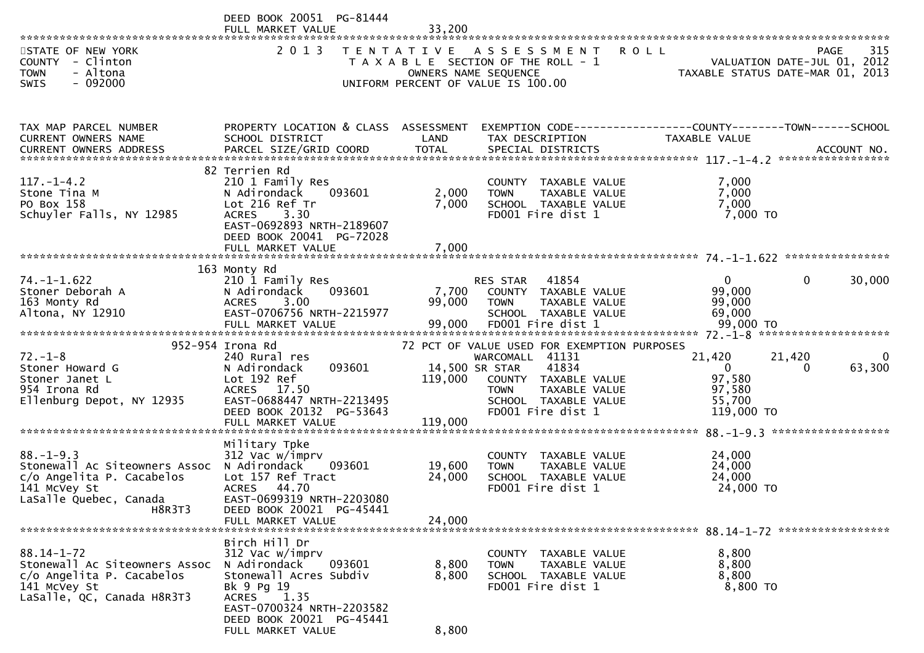|                                               | DEED BOOK 20051 PG-81444                      |                |                                                               |                                                                                |                          |
|-----------------------------------------------|-----------------------------------------------|----------------|---------------------------------------------------------------|--------------------------------------------------------------------------------|--------------------------|
|                                               | FULL MARKET VALUE                             | 33,200         |                                                               |                                                                                |                          |
| STATE OF NEW YORK<br>COUNTY - Clinton         | 2 0 1 3                                       |                | TENTATIVE ASSESSMENT<br>T A X A B L E SECTION OF THE ROLL - 1 | <b>ROLL</b>                                                                    | 315<br>PAGE              |
| - Altona<br><b>TOWN</b>                       |                                               |                | OWNERS NAME SEQUENCE                                          | ROLL - 1<br>2012 - VALUATION DATE-JUL 01, 2012<br>2013 TAXABLE STATUS DATE-MAR |                          |
| $-092000$<br><b>SWIS</b>                      |                                               |                | UNIFORM PERCENT OF VALUE IS 100.00                            |                                                                                |                          |
|                                               |                                               |                |                                                               |                                                                                |                          |
|                                               |                                               |                |                                                               |                                                                                |                          |
| TAX MAP PARCEL NUMBER                         | PROPERTY LOCATION & CLASS ASSESSMENT          |                |                                                               | EXEMPTION CODE------------------COUNTY--------TOWN------SCHOOL                 |                          |
| CURRENT OWNERS NAME<br>CURRENT OWNERS ADDRESS | SCHOOL DISTRICT                               | LAND           | TAX DESCRIPTION                                               | TAXABLE VALUE                                                                  |                          |
|                                               |                                               |                |                                                               |                                                                                |                          |
|                                               | 82 Terrien Rd                                 |                |                                                               |                                                                                |                          |
| $117. - 1 - 4.2$                              | 210 1 Family Res                              |                | COUNTY TAXABLE VALUE                                          | 7,000                                                                          |                          |
| Stone Tina M<br>PO Box 158                    | 093601<br>N Adirondack<br>Lot 216 Ref Tr      | 2,000<br>7,000 | TAXABLE VALUE<br><b>TOWN</b><br>SCHOOL TAXABLE VALUE          | 7,000<br>7,000                                                                 |                          |
| Schuyler Falls, NY 12985                      | 3.30<br><b>ACRES</b>                          |                | FD001 Fire dist 1                                             | 7,000 TO                                                                       |                          |
|                                               | EAST-0692893 NRTH-2189607                     |                |                                                               |                                                                                |                          |
|                                               | DEED BOOK 20041 PG-72028<br>FULL MARKET VALUE | 7,000          |                                                               |                                                                                |                          |
|                                               |                                               |                |                                                               |                                                                                |                          |
|                                               | 163 Monty Rd                                  |                |                                                               |                                                                                |                          |
| $74. - 1 - 1.622$                             | 210 1 Family Res<br>093601<br>N Adirondack    |                | 41854<br>RES STAR<br>7,700 COUNTY TAXABLE VALUE               | $\overline{0}$                                                                 | $\overline{0}$<br>30,000 |
| Stoner Deborah A<br>163 Monty Rd              | 3.00<br><b>ACRES</b>                          | 99,000         | TAXABLE VALUE<br><b>TOWN</b>                                  | 99,000<br>99,000                                                               |                          |
| Altona, NY 12910                              | EAST-0706756 NRTH-2215977                     |                | SCHOOL TAXABLE VALUE                                          | 69,000                                                                         |                          |
|                                               |                                               |                |                                                               |                                                                                |                          |
|                                               | 952-954 Irona Rd                              |                | 72 PCT OF VALUE USED FOR EXEMPTION PURPOSES                   |                                                                                |                          |
| $72. - 1 - 8$                                 | 240 Rural res                                 |                | WARCOMALL 41131                                               | 21,420                                                                         | 21,420                   |
| Stoner Howard G                               | 093601<br>N Adirondack                        |                | 41834<br>14,500 SR STAR                                       | $\overline{0}$                                                                 | 63,300<br>0              |
| Stoner Janet L                                | Lot 192 Ref                                   | 119,000        | COUNTY TAXABLE VALUE                                          | 97,580                                                                         |                          |
| 954 Irona Rd<br>Ellenburg Depot, NY 12935     | ACRES 17.50<br>EAST-0688447 NRTH-2213495      |                | TAXABLE VALUE<br><b>TOWN</b><br>SCHOOL TAXABLE VALUE          | 97,580<br>55,700                                                               |                          |
|                                               | DEED BOOK 20132 PG-53643                      |                | FD001 Fire dist 1                                             | 119,000 TO                                                                     |                          |
|                                               | FULL MARKET VALUE                             | 119,000        |                                                               |                                                                                |                          |
|                                               | Military Tpke                                 |                |                                                               |                                                                                |                          |
| $88. - 1 - 9.3$                               | 312 Vac w/imprv                               |                | COUNTY TAXABLE VALUE                                          | 24,000                                                                         |                          |
| Stonewall Ac Siteowners Assoc N Adirondack    | 093601                                        | 19,600         | TAXABLE VALUE<br>TOWN                                         | 24,000                                                                         |                          |
| c/o Angelita P. Cacabelos<br>141 McVey St     | Lot 157 Ref Tract<br>ACRES 44.70              | 24,000         | SCHOOL TAXABLE VALUE<br>FD001 Fire dist 1                     | 24,000<br>24,000 TO                                                            |                          |
| LaSalle Quebec, Canada                        | EAST-0699319 NRTH-2203080                     |                |                                                               |                                                                                |                          |
| H8R3T3                                        | DEED BOOK 20021 PG-45441                      |                |                                                               |                                                                                |                          |
|                                               | FULL MARKET VALUE                             | 24,000         |                                                               |                                                                                |                          |
|                                               | Birch Hill Dr                                 |                |                                                               |                                                                                |                          |
| $88.14 - 1 - 72$                              | 312 Vac w/imprv                               |                | COUNTY TAXABLE VALUE                                          | 8,800                                                                          |                          |
| Stonewall Ac Siteowners Assoc                 | N Adirondack<br>093601                        | 8,800          | TAXABLE VALUE<br><b>TOWN</b>                                  | 8,800                                                                          |                          |
| c/o Angelita P. Cacabelos<br>141 McVey St     | Stonewall Acres Subdiv<br>Bk 9 Pg 19          | 8,800          | SCHOOL TAXABLE VALUE<br>FD001 Fire dist 1                     | 8,800<br>8,800 TO                                                              |                          |
| LaSalle, QC, Canada H8R3T3                    | <b>ACRES</b><br>1.35                          |                |                                                               |                                                                                |                          |
|                                               | EAST-0700324 NRTH-2203582                     |                |                                                               |                                                                                |                          |
|                                               | DEED BOOK 20021 PG-45441<br>FULL MARKET VALUE |                |                                                               |                                                                                |                          |
|                                               |                                               | 8,800          |                                                               |                                                                                |                          |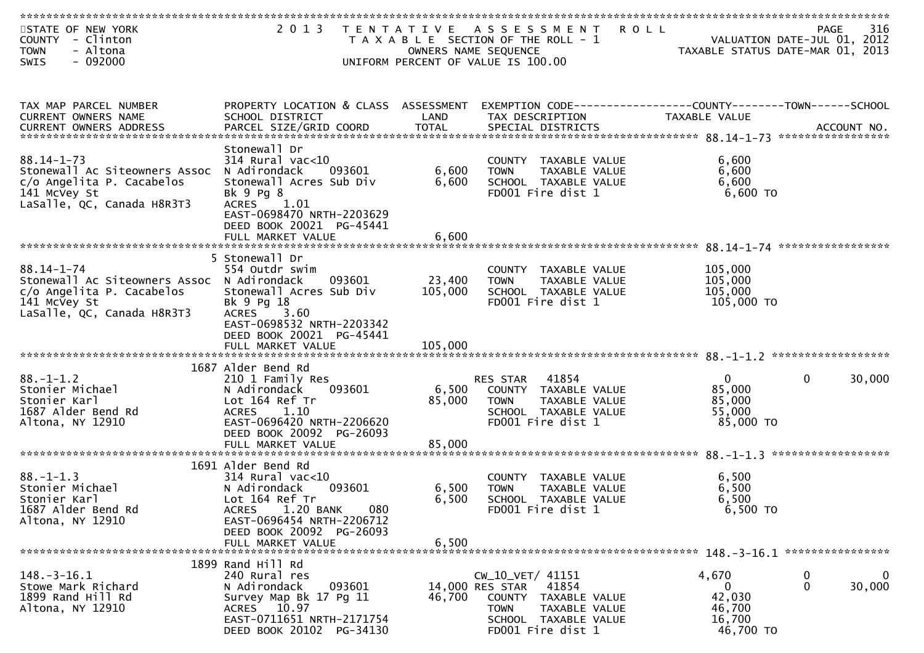| STATE OF NEW YORK<br>COUNTY - Clinton<br><b>TOWN</b><br>- Altona        | 2013<br>T E N T A T I V E                                     |                   | A S S E S S M E N T<br>T A X A B L E SECTION OF THE ROLL - 1<br>OWNERS NAME SEQUENCE | <b>ROLL</b>        | 316<br><b>PAGE</b><br>VALUATION DATE-JUL 01, 2012<br>TAXABLE STATUS DATE-MAR 01, 2013 |
|-------------------------------------------------------------------------|---------------------------------------------------------------|-------------------|--------------------------------------------------------------------------------------|--------------------|---------------------------------------------------------------------------------------|
| $-092000$<br><b>SWIS</b>                                                |                                                               |                   | UNIFORM PERCENT OF VALUE IS 100.00                                                   |                    |                                                                                       |
|                                                                         |                                                               |                   |                                                                                      |                    |                                                                                       |
| TAX MAP PARCEL NUMBER                                                   | PROPERTY LOCATION & CLASS ASSESSMENT                          |                   |                                                                                      |                    |                                                                                       |
| CURRENT OWNERS NAME                                                     | SCHOOL DISTRICT                                               | LAND              | TAX DESCRIPTION                                                                      | TAXABLE VALUE      |                                                                                       |
|                                                                         |                                                               |                   |                                                                                      |                    |                                                                                       |
|                                                                         | Stonewall Dr                                                  |                   |                                                                                      |                    |                                                                                       |
| $88.14 - 1 - 73$<br>Stonewall Ac Siteowners Assoc                       | $314$ Rural vac<10<br>N Adirondack<br>093601                  | 6,600             | COUNTY TAXABLE VALUE<br><b>TOWN</b><br>TAXABLE VALUE                                 | 6,600<br>6,600     |                                                                                       |
| c/o Angelita P. Cacabelos                                               | Stonewall Acres Sub Div                                       | 6,600             | SCHOOL TAXABLE VALUE                                                                 | 6,600              |                                                                                       |
| 141 McVey St                                                            | Bk 9 Pg 8                                                     |                   | FD001 Fire dist 1                                                                    | 6,600 TO           |                                                                                       |
| LaSalle, QC, Canada H8R3T3                                              | ACRES 1.01<br>EAST-0698470 NRTH-2203629                       |                   |                                                                                      |                    |                                                                                       |
|                                                                         | DEED BOOK 20021 PG-45441                                      |                   |                                                                                      |                    |                                                                                       |
|                                                                         | FULL MARKET VALUE                                             | 6,600             |                                                                                      |                    |                                                                                       |
|                                                                         | 5 Stonewall Dr                                                |                   |                                                                                      |                    |                                                                                       |
| $88.14 - 1 - 74$                                                        | 554 Outdr swim                                                |                   | COUNTY TAXABLE VALUE                                                                 | 105,000            |                                                                                       |
| Stonewall Ac Siteowners Assoc N Adirondack<br>c/o Angelita P. Cacabelos | 093601<br>Stonewall Acres Sub Div                             | 23,400<br>105,000 | TAXABLE VALUE<br><b>TOWN</b><br>SCHOOL TAXABLE VALUE                                 | 105,000<br>105,000 |                                                                                       |
| 141 McVey St                                                            | Bk 9 Pg 18                                                    |                   | FD001 Fire dist 1                                                                    | 105,000 TO         |                                                                                       |
| LaSalle, QC, Canada H8R3T3                                              | ACRES 3.60                                                    |                   |                                                                                      |                    |                                                                                       |
|                                                                         | EAST-0698532 NRTH-2203342<br>DEED BOOK 20021 PG-45441         |                   |                                                                                      |                    |                                                                                       |
|                                                                         |                                                               |                   |                                                                                      |                    |                                                                                       |
|                                                                         | 1687 Alder Bend Rd                                            |                   |                                                                                      |                    |                                                                                       |
| $88. - 1 - 1.2$                                                         | 210 1 Family Res                                              |                   | RES STAR<br>41854                                                                    | $\mathbf{0}$       | 0<br>30,000                                                                           |
| Stonier Michael                                                         | N Adirondack<br>093601                                        | 6,500             | COUNTY TAXABLE VALUE                                                                 | 85,000             |                                                                                       |
| Stonier Karl<br>1687 Alder Bend Rd                                      | Lot 164 Ref Tr<br>1.10<br><b>ACRES</b>                        | 85,000            | <b>TOWN</b><br>TAXABLE VALUE<br>SCHOOL TAXABLE VALUE                                 | 85,000<br>55,000   |                                                                                       |
| Altona, NY 12910                                                        | EAST-0696420 NRTH-2206620                                     |                   | FD001 Fire dist 1                                                                    | 85,000 TO          |                                                                                       |
|                                                                         | DEED BOOK 20092 PG-26093<br>FULL MARKET VALUE                 | 85,000            |                                                                                      |                    |                                                                                       |
|                                                                         |                                                               |                   |                                                                                      |                    |                                                                                       |
| $88. - 1 - 1.3$                                                         | 1691 Alder Bend Rd                                            |                   |                                                                                      |                    |                                                                                       |
| Stonier Michael                                                         | $314$ Rural vac<10<br>093601<br>N Adirondack                  | 6,500             | COUNTY TAXABLE VALUE<br><b>TOWN</b><br>TAXABLE VALUE                                 | 6,500<br>6,500     |                                                                                       |
| Stonier Karl                                                            | Lot 164 Ref Tr                                                | 6,500             | SCHOOL TAXABLE VALUE                                                                 | 6,500              |                                                                                       |
| 1687 Alder Bend Rd<br>Altona, NY 12910                                  | 1.20 BANK<br>080<br><b>ACRES</b><br>EAST-0696454 NRTH-2206712 |                   | FD001 Fire dist 1                                                                    | 6,500 TO           |                                                                                       |
|                                                                         | DEED BOOK 20092 PG-26093                                      |                   |                                                                                      |                    |                                                                                       |
|                                                                         | FULL MARKET VALUE                                             | 6,500             |                                                                                      |                    |                                                                                       |
|                                                                         | 1899 Rand Hill Rd                                             |                   |                                                                                      |                    |                                                                                       |
| $148.-3-16.1$                                                           | 240 Rural res                                                 |                   | $CW_10_VET/41151$                                                                    | 4,670              | 0<br>0                                                                                |
| Stowe Mark Richard<br>1899 Rand Hill Rd                                 | N Adirondack<br>093601<br>Survey Map Bk 17 Pg 11              | 46,700            | 14,000 RES STAR<br>41854<br>COUNTY TAXABLE VALUE                                     | 0<br>42,030        | 30,000<br>0                                                                           |
| Altona, NY 12910                                                        | ACRES 10.97                                                   |                   | TAXABLE VALUE<br>TOWN                                                                | 46,700             |                                                                                       |
|                                                                         | EAST-0711651 NRTH-2171754                                     |                   | SCHOOL TAXABLE VALUE                                                                 | 16,700             |                                                                                       |
|                                                                         | DEED BOOK 20102 PG-34130                                      |                   | FD001 Fire dist 1                                                                    | 46,700 TO          |                                                                                       |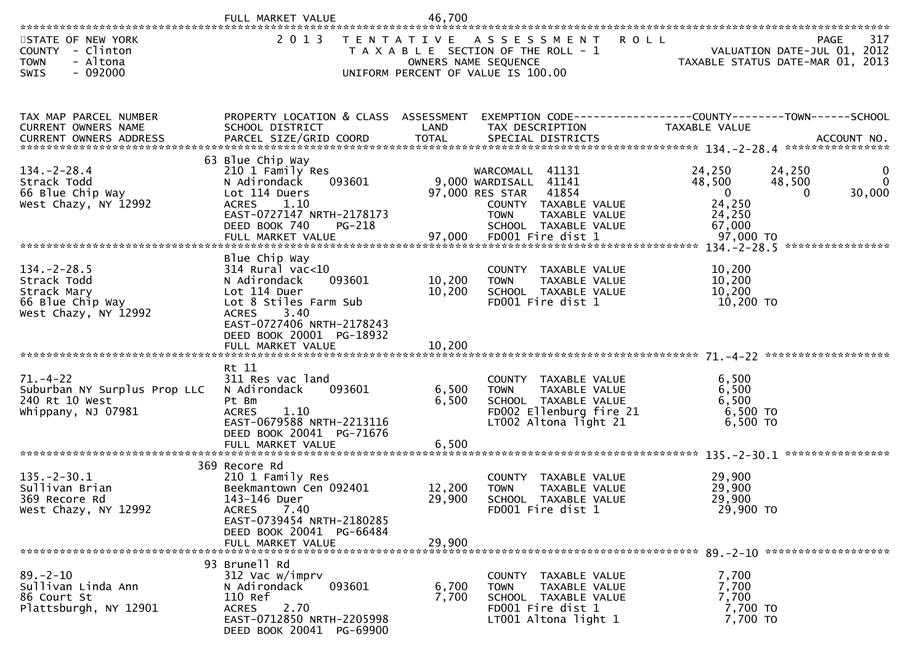|                                                                                            | FULL MARKET VALUE                                                                                                                                                                       | 46,700                     |                                                                                                                                                                           |                                                                                                                 |                                |
|--------------------------------------------------------------------------------------------|-----------------------------------------------------------------------------------------------------------------------------------------------------------------------------------------|----------------------------|---------------------------------------------------------------------------------------------------------------------------------------------------------------------------|-----------------------------------------------------------------------------------------------------------------|--------------------------------|
| STATE OF NEW YORK<br>COUNTY - Clinton<br>- Altona<br><b>TOWN</b><br>$-092000$<br>SWIS      | 2 0 1 3                                                                                                                                                                                 |                            | TENTATIVE ASSESSMENT<br><b>ROLL</b><br>T A X A B L E SECTION OF THE ROLL - 1<br>OWNERS NAME SEQUENCE<br>UNIFORM PERCENT OF VALUE IS 100.00                                | 11/ FAGE<br>VALUATION DATE-JUL 01, 2012<br>TAXABLE STATUS DATE MARIC 2015                                       | 317<br>PAGE                    |
| TAX MAP PARCEL NUMBER<br>CURRENT OWNERS NAME                                               | PROPERTY LOCATION & CLASS ASSESSMENT<br>SCHOOL DISTRICT                                                                                                                                 | LAND                       | TAX DESCRIPTION                                                                                                                                                           | EXEMPTION CODE------------------COUNTY--------TOWN------SCHOOL<br>TAXABLE VALUE                                 |                                |
| $134. - 2 - 28.4$<br>Strack Todd<br>66 Blue Chip Way<br>West Chazy, NY 12992               | 63 Blue Chip Way<br>210 1 Family Res<br>093601<br>N Adirondack<br>Lot 114 Duers<br><b>ACRES</b><br>1.10<br>EAST-0727147 NRTH-2178173<br>DEED BOOK 740<br>$PG-218$<br>FULL MARKET VALUE  | 97,000                     | WARCOMALL 41131<br>9,000 WARDISALL 41141<br>97,000 RES STAR<br>41854<br>COUNTY TAXABLE VALUE<br><b>TOWN</b><br>TAXABLE VALUE<br>SCHOOL TAXABLE VALUE<br>FD001 Fire dist 1 | 24,250<br>24,250<br>48,500<br>48,500<br>$\overline{\mathbf{0}}$<br>0<br>24,250<br>24,250<br>67,000<br>97,000 TO | $\bf{0}$<br>$\Omega$<br>30,000 |
| $134. -2 - 28.5$<br>Strack Todd<br>Strack Mary<br>66 Blue Chip Way<br>West Chazy, NY 12992 | Blue Chip Way<br>$314$ Rural vac<10<br>093601<br>N Adirondack<br>Lot 114 Duer<br>Lot 8 Stiles Farm Sub<br><b>ACRES</b><br>3.40<br>EAST-0727406 NRTH-2178243<br>DEED BOOK 20001 PG-18932 | 10,200<br>10,200           | COUNTY TAXABLE VALUE<br>TAXABLE VALUE<br><b>TOWN</b><br>SCHOOL TAXABLE VALUE<br>FD001 Fire dist 1                                                                         | 10,200<br>10,200<br>10,200<br>10,200 TO                                                                         |                                |
| $71. - 4 - 22$<br>Suburban NY Surplus Prop LLC<br>240 Rt 10 West<br>Whippany, NJ 07981     | Rt 11<br>311 Res vac land<br>N Adirondack<br>093601<br>Pt Bm<br>1.10<br><b>ACRES</b><br>EAST-0679588 NRTH-2213116<br>DEED BOOK 20041 PG-71676<br>FULL MARKET VALUE                      | 6,500<br>6,500<br>6,500    | COUNTY TAXABLE VALUE<br><b>TOWN</b><br>TAXABLE VALUE<br>SCHOOL TAXABLE VALUE<br>FD002 Ellenburg fire 21<br>LT002 Altona light 21                                          | 6,500<br>6,500<br>6,500<br>6,500 TO<br>6,500 TO                                                                 |                                |
| $135. - 2 - 30.1$<br>Sullivan Brian<br>369 Recore Rd<br>West Chazy, NY 12992               | 369 Recore Rd<br>210 1 Family Res<br>Beekmantown Cen 092401<br>143-146 Duer<br>7.40<br><b>ACRES</b><br>EAST-0739454 NRTH-2180285<br>DEED BOOK 20041 PG-66484<br>FULL MARKET VALUE       | 12,200<br>29,900<br>29,900 | COUNTY TAXABLE VALUE<br><b>TOWN</b><br><b>TAXABLE VALUE</b><br>SCHOOL TAXABLE VALUE<br>FD001 Fire dist 1                                                                  | 29,900<br>29,900<br>29,900<br>29,900 TO                                                                         |                                |
| $89. - 2 - 10$<br>Sullivan Linda Ann<br>86 Court St<br>Plattsburgh, NY 12901               | 93 Brunell Rd<br>312 Vac w/imprv<br>093601<br>N Adirondack<br>110 Ref<br><b>ACRES</b><br>2.70<br>EAST-0712850 NRTH-2205998<br>DEED BOOK 20041 PG-69900                                  | 6,700<br>7,700             | COUNTY TAXABLE VALUE<br><b>TOWN</b><br>TAXABLE VALUE<br>SCHOOL TAXABLE VALUE<br>FD001 Fire dist 1<br>LT001 Altona light 1                                                 | 7,700<br>7,700<br>7,700<br>7,700 TO<br>7,700 TO                                                                 |                                |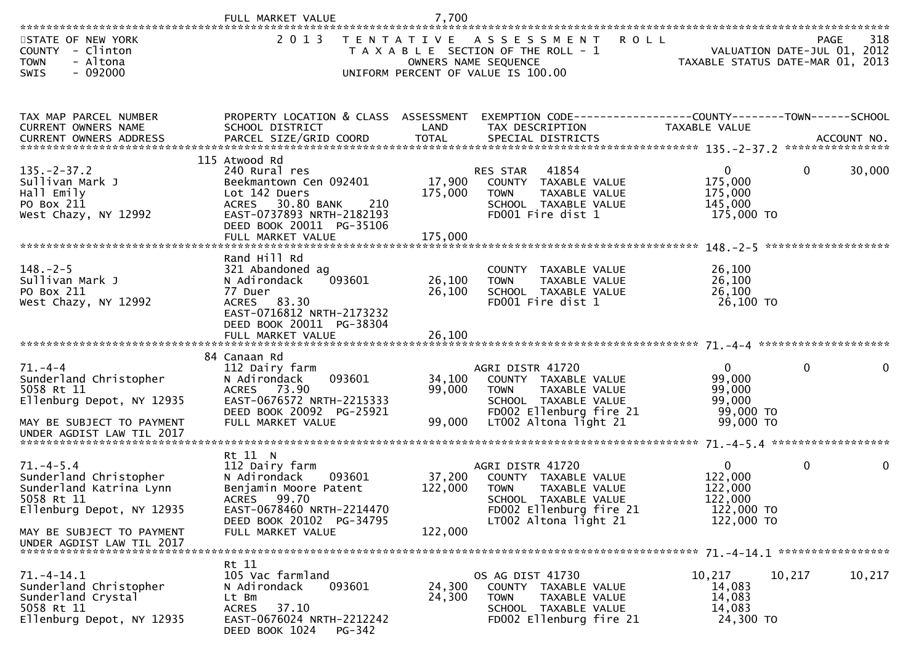|                                                                                                                                                                          | FULL MARKET VALUE                                                                                                                                                                  | 7,700                        |                                                                                                                                                      |                                                                           |             |                    |
|--------------------------------------------------------------------------------------------------------------------------------------------------------------------------|------------------------------------------------------------------------------------------------------------------------------------------------------------------------------------|------------------------------|------------------------------------------------------------------------------------------------------------------------------------------------------|---------------------------------------------------------------------------|-------------|--------------------|
| STATE OF NEW YORK<br>COUNTY - Clinton<br><b>TOWN</b><br>- Altona<br>$-092000$<br><b>SWIS</b>                                                                             | 2 0 1 3                                                                                                                                                                            |                              | TENTATIVE ASSESSMENT<br><b>ROLL</b><br>T A X A B L E SECTION OF THE ROLL - 1<br>OWNERS NAME SEQUENCE<br>UNIFORM PERCENT OF VALUE IS 100.00           | VALUATION DATE-JUL 01, 2012<br>TAXABLE STATUS DATE-MAR 01, 2013           |             | 318<br><b>PAGE</b> |
| TAX MAP PARCEL NUMBER<br>CURRENT OWNERS NAME                                                                                                                             | PROPERTY LOCATION & CLASS ASSESSMENT<br>SCHOOL DISTRICT                                                                                                                            | LAND                         | EXEMPTION CODE-----------------COUNTY--------TOWN------SCHOOL<br>TAX DESCRIPTION                                                                     | TAXABLE VALUE                                                             |             |                    |
| $135. -2 - 37.2$<br>Sullivan Mark J<br>Hall Emily<br>PO Box 211<br>West Chazy, NY 12992                                                                                  | 115 Atwood Rd<br>240 Rural res<br>Beekmantown Cen 092401<br>Lot 142 Duers<br>ACRES 30.80 BANK<br>210<br>EAST-0737893 NRTH-2182193<br>DEED BOOK 20011 PG-35106<br>FULL MARKET VALUE | 17,900<br>175,000<br>175,000 | 41854<br><b>RES STAR</b><br>COUNTY TAXABLE VALUE<br>TAXABLE VALUE<br><b>TOWN</b><br>SCHOOL TAXABLE VALUE<br>FD001 Fire dist 1                        | $\mathbf{0}$<br>175,000<br>175,000<br>145,000<br>175,000 TO               | $\mathbf 0$ | 30,000             |
| $148. - 2 - 5$<br>Sullivan Mark J<br>PO Box 211<br>West Chazy, NY 12992                                                                                                  | Rand Hill Rd<br>321 Abandoned ag<br>093601<br>N Adirondack<br>77 Duer<br>ACRES 83.30<br>EAST-0716812 NRTH-2173232<br>DEED BOOK 20011 PG-38304                                      | 26,100<br>26,100             | COUNTY TAXABLE VALUE<br><b>TAXABLE VALUE</b><br><b>TOWN</b><br>SCHOOL TAXABLE VALUE<br>FD001 Fire dist 1                                             | 26,100<br>26,100<br>26,100<br>26,100 TO                                   |             |                    |
| $71. - 4 - 4$<br>Sunderland Christopher<br>5058 Rt 11<br>Ellenburg Depot, NY 12935<br>MAY BE SUBJECT TO PAYMENT<br>UNDER AGDIST LAW TIL 2017                             | 84 Canaan Rd<br>112 Dairy farm<br>093601<br>N Adirondack<br>ACRES 73.90<br>EAST-0676572 NRTH-2215333<br>DEED BOOK 20092 PG-25921<br>FULL MARKET VALUE                              | 34,100<br>99,000<br>99,000   | AGRI DISTR 41720<br>COUNTY TAXABLE VALUE<br>TAXABLE VALUE<br><b>TOWN</b><br>SCHOOL TAXABLE VALUE<br>FD002 Ellenburg fire 21<br>LT002 Altona light 21 | $\overline{0}$<br>99,000<br>99,000<br>99,000<br>99,000 TO<br>99,000 TO    | $\mathbf 0$ | 0                  |
| $71. -4 - 5.4$<br>Sunderland Christopher<br>Sunderland Katrina Lynn<br>5058 Rt 11<br>Ellenburg Depot, NY 12935<br>MAY BE SUBJECT TO PAYMENT<br>UNDER AGDIST LAW TIL 2017 | Rt 11 N<br>112 Dairy farm<br>093601<br>N Adirondack<br>Benjamin Moore Patent<br>ACRES 99.70<br>EAST-0678460 NRTH-2214470<br>DEED BOOK 20102 PG-34795<br>FULL MARKET VALUE          | 37,200<br>122,000<br>122,000 | AGRI DISTR 41720<br>COUNTY TAXABLE VALUE<br><b>TOWN</b><br>TAXABLE VALUE<br>SCHOOL TAXABLE VALUE<br>FD002 Ellenburg fire 21<br>LT002 Altona light 21 | $\mathbf{0}$<br>122,000<br>122,000<br>122,000<br>122,000 TO<br>122,000 TO | 0           | 0                  |
| $71. -4 - 14.1$<br>Sunderland Christopher<br>Sunderland Crystal<br>5058 Rt 11<br>Ellenburg Depot, NY 12935                                                               | Rt 11<br>105 Vac farmland<br>N Adirondack<br>093601<br>Lt Bm<br>37.10<br><b>ACRES</b><br>EAST-0676024 NRTH-2212242<br>DEED BOOK 1024<br><b>PG-342</b>                              | 24,300<br>24,300             | OS AG DIST 41730<br>COUNTY TAXABLE VALUE<br>TAXABLE VALUE<br>TOWN<br>SCHOOL TAXABLE VALUE<br>FD002 Ellenburg fire 21                                 | 10,217<br>14,083<br>14,083<br>14,083<br>24,300 TO                         | 10,217      | 10,217             |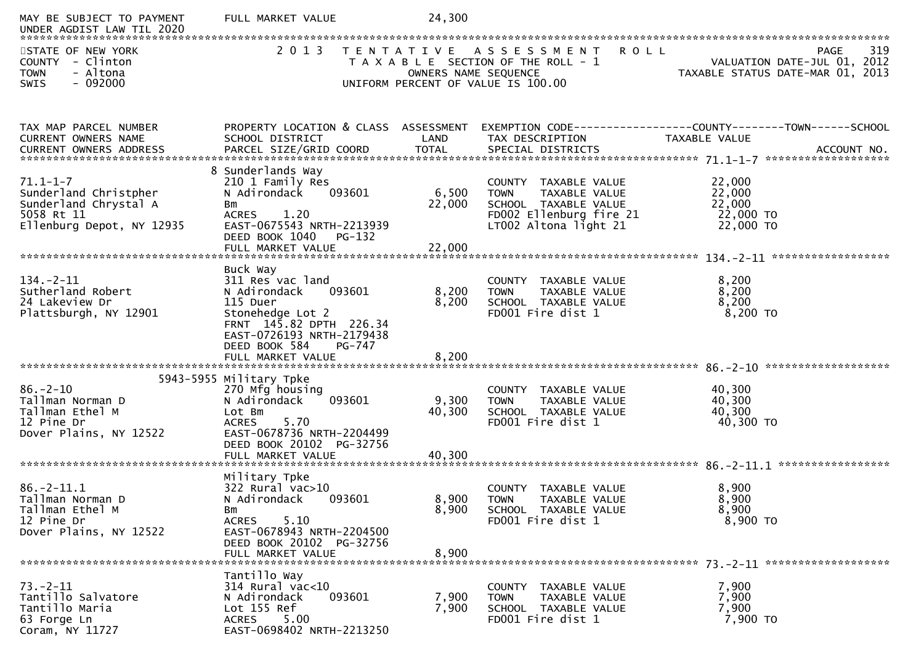| MAY BE SUBJECT TO PAYMENT<br>UNDER AGDIST LAW TIL 2020                                                      | FULL MARKET VALUE                                                                                                                                                           | 24,300                    |                                                                                                                                  |                                                                                 |
|-------------------------------------------------------------------------------------------------------------|-----------------------------------------------------------------------------------------------------------------------------------------------------------------------------|---------------------------|----------------------------------------------------------------------------------------------------------------------------------|---------------------------------------------------------------------------------|
| STATE OF NEW YORK<br>COUNTY - Clinton<br>- Altona<br><b>TOWN</b><br>$-092000$<br><b>SWIS</b>                | 2 0 1 3                                                                                                                                                                     | OWNERS NAME SEQUENCE      | TENTATIVE ASSESSMENT ROLL<br>T A X A B L E SECTION OF THE ROLL - 1<br>UNIFORM PERCENT OF VALUE IS 100.00                         | 319<br>PAGE<br>VALUATION DATE-JUL 01, 2012<br>TAXABLE STATUS DATE-MAR 01, 2013  |
|                                                                                                             |                                                                                                                                                                             |                           |                                                                                                                                  |                                                                                 |
| TAX MAP PARCEL NUMBER<br>CURRENT OWNERS NAME                                                                | PROPERTY LOCATION & CLASS ASSESSMENT<br>SCHOOL DISTRICT                                                                                                                     | LAND                      | TAX DESCRIPTION                                                                                                                  | EXEMPTION CODE------------------COUNTY--------TOWN------SCHOOL<br>TAXABLE VALUE |
| $71.1 - 1 - 7$<br>Sunderland Christpher<br>Sunderland Chrystal A<br>5058 Rt 11<br>Ellenburg Depot, NY 12935 | 8 Sunderlands Way<br>210 1 Family Res<br>093601<br>N Adirondack<br>Bm<br>1.20<br><b>ACRES</b><br>EAST-0675543 NRTH-2213939<br>DEED BOOK 1040<br>PG-132<br>FULL MARKET VALUE | 6,500<br>22,000<br>22,000 | COUNTY TAXABLE VALUE<br><b>TOWN</b><br>TAXABLE VALUE<br>SCHOOL TAXABLE VALUE<br>FD002 Ellenburg fire 21<br>LT002 Altona light 21 | 22,000<br>22,000<br>22,000<br>22,000 TO<br>22,000 TO                            |
|                                                                                                             | Buck Way                                                                                                                                                                    |                           |                                                                                                                                  |                                                                                 |
| $134. - 2 - 11$<br>Sutherland Robert<br>24 Lakeview Dr<br>Plattsburgh, NY 12901                             | 311 Res vac land<br>093601<br>N Adirondack<br>115 Duer<br>Stonehedge Lot 2<br>FRNT 145.82 DPTH 226.34<br>EAST-0726193 NRTH-2179438<br>DEED BOOK 584<br>PG-747               | 8,200<br>8,200            | COUNTY TAXABLE VALUE<br>TAXABLE VALUE<br><b>TOWN</b><br>SCHOOL TAXABLE VALUE<br>FD001 Fire dist 1                                | 8,200<br>8,200<br>8,200<br>$8,200$ TO                                           |
|                                                                                                             | FULL MARKET VALUE                                                                                                                                                           | 8,200                     |                                                                                                                                  |                                                                                 |
| $86. - 2 - 10$<br>Tallman Norman D<br>Tallman Ethel M<br>12 Pine Dr<br>Dover Plains, NY 12522               | 5943-5955 Military Tpke<br>270 Mfg housing<br>N Adirondack<br>093601<br>Lot Bm<br>5.70<br><b>ACRES</b><br>EAST-0678736 NRTH-2204499<br>DEED BOOK 20102 PG-32756             | 9,300<br>40,300           | COUNTY<br>TAXABLE VALUE<br>TAXABLE VALUE<br><b>TOWN</b><br>SCHOOL TAXABLE VALUE<br>FD001 Fire dist 1                             | 40,300<br>40,300<br>40,300<br>40,300 TO                                         |
|                                                                                                             | Military Tpke                                                                                                                                                               |                           |                                                                                                                                  |                                                                                 |
| $86. - 2 - 11.1$<br>Tallman Norman D<br>Tallman Ethel M<br>12 Pine Dr<br>Dover Plains, NY 12522             | 322 Rural vac>10<br>093601<br>N Adirondack<br>Bm<br><b>ACRES</b><br>5.10<br>EAST-0678943 NRTH-2204500                                                                       | 8,900<br>8,900            | <b>COUNTY</b><br>TAXABLE VALUE<br><b>TOWN</b><br>TAXABLE VALUE<br>SCHOOL TAXABLE VALUE<br>FD001 Fire dist 1                      | 8,900<br>8,900<br>8,900<br>8,900 TO                                             |
|                                                                                                             | DEED BOOK 20102 PG-32756<br>FULL MARKET VALUE                                                                                                                               | 8,900                     |                                                                                                                                  |                                                                                 |
| $73. - 2 - 11$<br>Tantillo Salvatore<br>Tantillo Maria<br>63 Forge Ln<br>Coram, NY 11727                    | Tantillo Way<br>$314$ Rural vac<10<br>093601<br>N Adirondack<br>Lot 155 Ref<br><b>ACRES</b><br>5.00<br>EAST-0698402 NRTH-2213250                                            | 7,900<br>7,900            | COUNTY TAXABLE VALUE<br><b>TOWN</b><br>TAXABLE VALUE<br>SCHOOL TAXABLE VALUE<br>FD001 Fire dist 1                                | 7,900<br>7,900<br>7,900<br>7,900 TO                                             |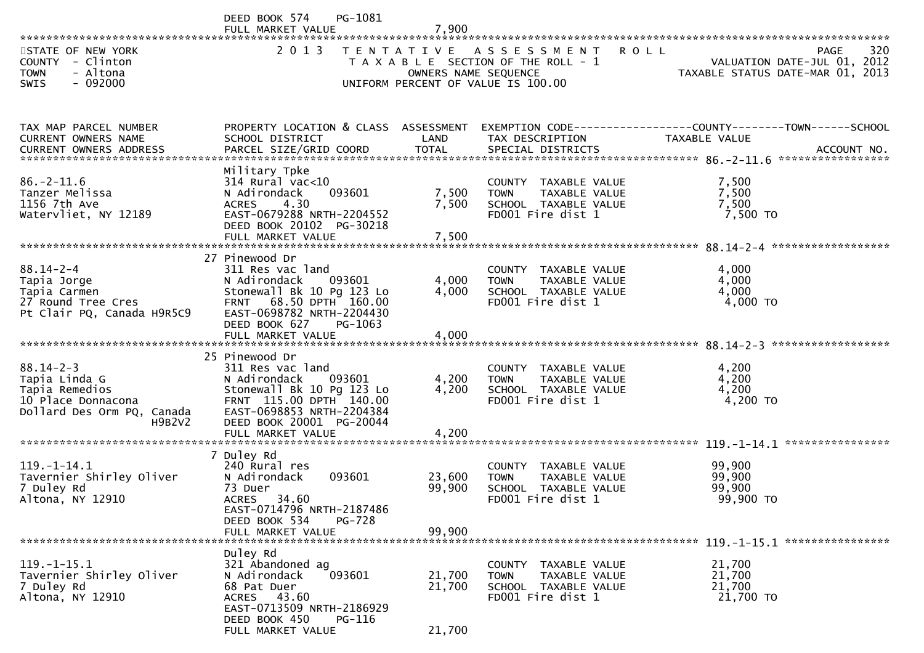|                                                                                                        | PG-1081<br>DEED BOOK 574                                                                                                                                                                          |                         |                                                                                                                             |                                                                                                      |
|--------------------------------------------------------------------------------------------------------|---------------------------------------------------------------------------------------------------------------------------------------------------------------------------------------------------|-------------------------|-----------------------------------------------------------------------------------------------------------------------------|------------------------------------------------------------------------------------------------------|
| STATE OF NEW YORK<br>COUNTY - Clinton<br>- Altona<br><b>TOWN</b><br>$-092000$<br><b>SWIS</b>           | 2013                                                                                                                                                                                              |                         | TENTATIVE ASSESSMENT<br>T A X A B L E SECTION OF THE ROLL - 1<br>OWNERS NAME SEQUENCE<br>UNIFORM PERCENT OF VALUE IS 100.00 | 320<br><b>ROLL</b><br><b>PAGE</b><br>VALUATION DATE-JUL 01, 2012<br>TAXABLE STATUS DATE-MAR 01, 2013 |
| TAX MAP PARCEL NUMBER<br>CURRENT OWNERS NAME<br><b>CURRENT OWNERS ADDRESS</b>                          | PROPERTY LOCATION & CLASS ASSESSMENT<br>SCHOOL DISTRICT                                                                                                                                           | LAND                    | TAX DESCRIPTION                                                                                                             | EXEMPTION CODE-----------------COUNTY--------TOWN------SCHOOL<br>TAXABLE VALUE                       |
| $86. - 2 - 11.6$<br>Tanzer Melissa<br>1156 7th Ave<br>Watervliet, NY 12189                             | Military Tpke<br>$314$ Rural vac<10<br>093601<br>N Adirondack<br>4.30<br><b>ACRES</b><br>EAST-0679288 NRTH-2204552<br>DEED BOOK 20102 PG-30218<br>FULL MARKET VALUE                               | 7,500<br>7,500<br>7,500 | COUNTY TAXABLE VALUE<br>TAXABLE VALUE<br><b>TOWN</b><br>SCHOOL TAXABLE VALUE<br>FD001 Fire dist 1                           | 7,500<br>7,500<br>7,500<br>7,500 TO                                                                  |
| $88.14 - 2 - 4$<br>Tapia Jorge<br>Tapia Carmen<br>27 Round Tree Cres<br>Pt Clair PQ, Canada H9R5C9     | 27 Pinewood Dr<br>311 Res vac land<br>N Adirondack<br>093601<br>Stonewall Bk 10 Pg 123 Lo<br>FRNT 68.50 DPTH 160.00<br>EAST-0698782 NRTH-2204430<br>DEED BOOK 627<br>PG-1063<br>FULL MARKET VALUE | 4,000<br>4,000<br>4,000 | COUNTY TAXABLE VALUE<br>TAXABLE VALUE<br><b>TOWN</b><br>SCHOOL TAXABLE VALUE<br>FD001 Fire dist 1                           | 4,000<br>4,000<br>4,000<br>4,000 TO                                                                  |
| $88.14 - 2 - 3$<br>Tapia Linda G<br>Tapia Remedios<br>10 Place Donnacona<br>Dollard Des Orm PQ, Canada | 25 Pinewood Dr<br>311 Res vac land<br>093601<br>N Adirondack<br>Stonewall Bk 10 Pg 123 Lo<br>FRNT 115.00 DPTH 140.00<br>EAST-0698853 NRTH-2204384                                                 | 4,200<br>4,200          | COUNTY TAXABLE VALUE<br><b>TOWN</b><br>TAXABLE VALUE<br>SCHOOL TAXABLE VALUE<br>FD001 Fire dist 1                           | 4,200<br>4,200<br>4,200<br>4,200 TO                                                                  |
| H9B2V2                                                                                                 | DEED BOOK 20001 PG-20044<br>FULL MARKET VALUE                                                                                                                                                     | 4,200                   |                                                                                                                             |                                                                                                      |
| $119. - 1 - 14.1$<br>Tavernier Shirley Oliver<br>7 Duley Rd<br>Altona, NY 12910                        | 7 Duley Rd<br>240 Rural res<br>093601<br>N Adirondack<br>73 Duer<br>ACRES 34.60<br>EAST-0714796 NRTH-2187486<br>DEED BOOK 534<br>PG-728                                                           | 23,600<br>99,900        | COUNTY TAXABLE VALUE<br>TAXABLE VALUE<br><b>TOWN</b><br>SCHOOL TAXABLE VALUE<br>FD001 Fire dist 1                           | 99,900<br>99,900<br>99,900<br>99,900 TO                                                              |
|                                                                                                        | FULL MARKET VALUE                                                                                                                                                                                 | 99,900                  |                                                                                                                             |                                                                                                      |
| $119. - 1 - 15.1$<br>Tavernier Shirley Oliver<br>7 Duley Rd<br>Altona, NY 12910                        | Duley Rd<br>321 Abandoned ag<br>093601<br>N Adirondack<br>68 Pat Duer<br>ACRES 43.60<br>EAST-0713509 NRTH-2186929<br>DEED BOOK 450<br>PG-116                                                      | 21,700<br>21,700        | COUNTY TAXABLE VALUE<br><b>TOWN</b><br>TAXABLE VALUE<br>SCHOOL TAXABLE VALUE<br>FD001 Fire dist 1                           | 21,700<br>21,700<br>21,700<br>21,700 TO                                                              |
|                                                                                                        | FULL MARKET VALUE                                                                                                                                                                                 | 21,700                  |                                                                                                                             |                                                                                                      |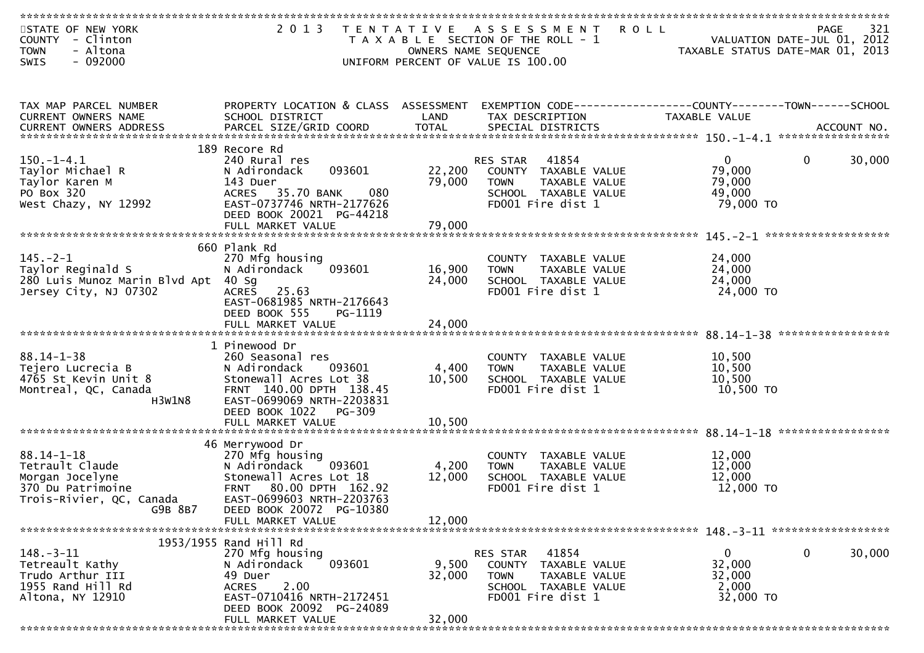| STATE OF NEW YORK<br><b>COUNTY</b><br>- Clinton<br>- Altona<br><b>TOWN</b>                            | 2 0 1 3                                                 | OWNERS NAME SEQUENCE | TENTATIVE ASSESSMENT<br>R O L L<br>T A X A B L E SECTION OF THE ROLL - 1 | VALUATION DATE-JUL 01, 2012<br>TAXABLE STATUS DATE-MAR 01, 2013 | 321<br><b>PAGE</b> |
|-------------------------------------------------------------------------------------------------------|---------------------------------------------------------|----------------------|--------------------------------------------------------------------------|-----------------------------------------------------------------|--------------------|
| $-092000$<br><b>SWIS</b>                                                                              |                                                         |                      | UNIFORM PERCENT OF VALUE IS 100.00                                       |                                                                 |                    |
|                                                                                                       |                                                         |                      |                                                                          |                                                                 |                    |
| TAX MAP PARCEL NUMBER<br>CURRENT OWNERS NAME                                                          | PROPERTY LOCATION & CLASS ASSESSMENT<br>SCHOOL DISTRICT | LAND                 | TAX DESCRIPTION                                                          | TAXABLE VALUE                                                   |                    |
| CURRENT OWNERS ADDRESS PARCEL SIZE/GRID COORD TOTAL SPECIAL DISTRICTS (ACCOUNT NO. 4CCOUNT NO. 1997). |                                                         |                      |                                                                          |                                                                 |                    |
|                                                                                                       |                                                         |                      |                                                                          |                                                                 |                    |
| $150. - 1 - 4.1$                                                                                      | 189 Recore Rd<br>240 Rural res                          |                      | 41854<br><b>RES STAR</b>                                                 | $\mathbf{0}$<br>0                                               | 30,000             |
| Taylor Michael R                                                                                      | 093601<br>N Adirondack                                  | 22,200               | COUNTY TAXABLE VALUE                                                     | 79,000                                                          |                    |
| Taylor Karen M<br>PO Box 320                                                                          | 143 Duer<br>ACRES 35.70 BANK<br>080                     | 79,000               | TAXABLE VALUE<br><b>TOWN</b><br>SCHOOL TAXABLE VALUE                     | 79,000<br>49,000                                                |                    |
| West Chazy, NY 12992                                                                                  | EAST-0737746 NRTH-2177626                               |                      | FD001 Fire dist 1                                                        | 79,000 TO                                                       |                    |
|                                                                                                       | DEED BOOK 20021 PG-44218<br>FULL MARKET VALUE           | 79,000               |                                                                          |                                                                 |                    |
|                                                                                                       |                                                         |                      |                                                                          |                                                                 |                    |
|                                                                                                       | 660 Plank Rd                                            |                      |                                                                          |                                                                 |                    |
| $145. -2 - 1$<br>Taylor Reginald S                                                                    | 270 Mfg housing<br>093601<br>N Adirondack               | 16,900               | COUNTY TAXABLE VALUE<br>TAXABLE VALUE<br><b>TOWN</b>                     | 24,000<br>24,000                                                |                    |
| 280 Luis Munoz Marin Blvd Apt                                                                         | $40$ Sg                                                 | 24,000               | SCHOOL TAXABLE VALUE                                                     | 24,000                                                          |                    |
| Jersey City, NJ 07302                                                                                 | ACRES 25.63<br>EAST-0681985 NRTH-2176643                |                      | FD001 Fire dist 1                                                        | 24,000 TO                                                       |                    |
|                                                                                                       | DEED BOOK 555<br>PG-1119                                |                      |                                                                          |                                                                 |                    |
|                                                                                                       | FULL MARKET VALUE                                       | 24,000               |                                                                          |                                                                 |                    |
|                                                                                                       | 1 Pinewood Dr                                           |                      |                                                                          |                                                                 |                    |
| $88.14 - 1 - 38$                                                                                      | 260 Seasonal res                                        |                      | COUNTY TAXABLE VALUE                                                     | 10,500                                                          |                    |
| Tejero Lucrecia B<br>4765 St Kevin Unit 8                                                             | N Adirondack<br>093601<br>Stonewall Acres Lot 38        | 4,400<br>10,500      | <b>TOWN</b><br>TAXABLE VALUE<br>SCHOOL TAXABLE VALUE                     | 10,500<br>10,500                                                |                    |
| Montreal, QC, Canada                                                                                  | FRNT 140.00 DPTH 138.45                                 |                      | FD001 Fire dist 1                                                        | 10,500 TO                                                       |                    |
| H3W1N8                                                                                                | EAST-0699069 NRTH-2203831<br>DEED BOOK 1022<br>PG-309   |                      |                                                                          |                                                                 |                    |
|                                                                                                       | FULL MARKET VALUE                                       | 10,500               |                                                                          |                                                                 |                    |
|                                                                                                       | 46 Merrywood Dr                                         |                      |                                                                          |                                                                 |                    |
| $88.14 - 1 - 18$                                                                                      | 270 Mfg housing                                         |                      | COUNTY TAXABLE VALUE                                                     | 12,000                                                          |                    |
| Tetrault Claude                                                                                       | N Adirondack<br>093601<br>Stonewall Acres Lot 18        | 4,200                | <b>TOWN</b><br>TAXABLE VALUE                                             | 12,000<br>12,000                                                |                    |
| Morgan Jocelyne<br>370 Du Patrimoine                                                                  | <b>FRNT</b><br>80.00 DPTH 162.92                        | 12,000               | SCHOOL TAXABLE VALUE<br>FD001 Fire dist 1                                | 12,000 TO                                                       |                    |
| Trois-Rivier, QC, Canada                                                                              | EAST-0699603 NRTH-2203763                               |                      |                                                                          |                                                                 |                    |
| G9B 8B7                                                                                               | DEED BOOK 20072 PG-10380<br>FULL MARKET VALUE           | 12,000               |                                                                          |                                                                 |                    |
|                                                                                                       |                                                         |                      |                                                                          |                                                                 |                    |
| $148. - 3 - 11$                                                                                       | 1953/1955 Rand Hill Rd<br>270 Mfg housing               |                      | 41854<br>RES STAR                                                        | 0<br>0                                                          | 30,000             |
| Tetreault Kathy                                                                                       | 093601<br>N Adirondack                                  | 9,500                | COUNTY TAXABLE VALUE                                                     | 32,000                                                          |                    |
| Trudo Arthur III                                                                                      | 49 Duer                                                 | 32,000               | <b>TOWN</b><br>TAXABLE VALUE                                             | 32,000                                                          |                    |
| 1955 Rand Hill Rd<br>Altona, NY 12910                                                                 | 2.00<br><b>ACRES</b><br>EAST-0710416 NRTH-2172451       |                      | SCHOOL TAXABLE VALUE<br>FD001 Fire dist 1                                | 2,000<br>32,000 TO                                              |                    |
|                                                                                                       | DEED BOOK 20092 PG-24089                                |                      |                                                                          |                                                                 |                    |
|                                                                                                       | FULL MARKET VALUE                                       | 32,000               |                                                                          |                                                                 |                    |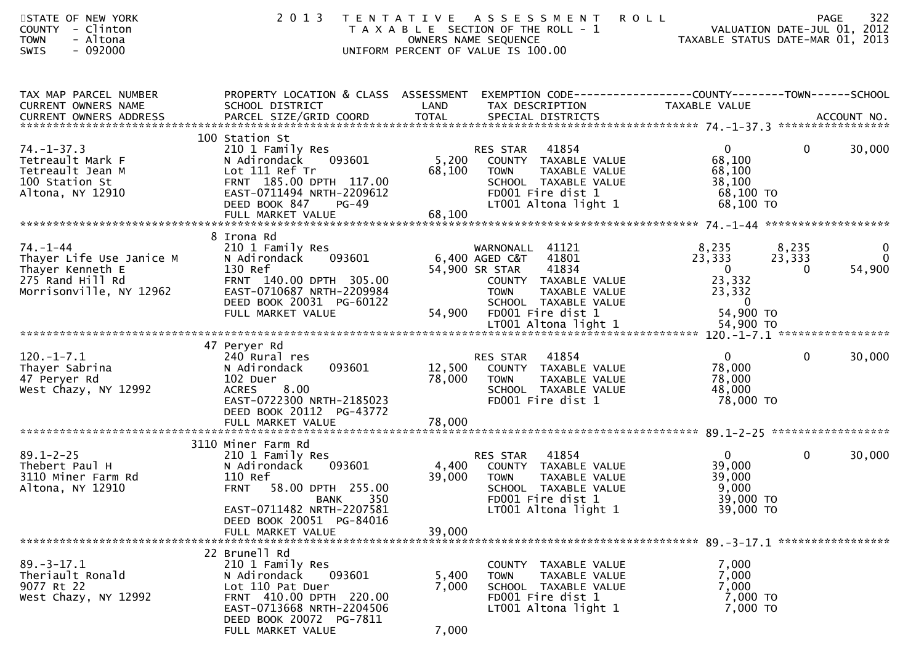| STATE OF NEW YORK<br>COUNTY - Clinton<br><b>TOWN</b><br>- Altona<br>$-092000$<br><b>SWIS</b>                  | 2 0 1 3                                                                                                                                                                                 | <b>ROLL</b><br>T E N T A T I V E<br>A S S E S S M E N T<br>T A X A B L E SECTION OF THE ROLL - 1<br>OWNERS NAME SEQUENCE<br>UNIFORM PERCENT OF VALUE IS 100.00                                               | 322<br><b>PAGE</b><br>VALUATION DATE-JUL 01, 2012<br>TAXABLE STATUS DATE-MAR 01, 2013                                                                               |
|---------------------------------------------------------------------------------------------------------------|-----------------------------------------------------------------------------------------------------------------------------------------------------------------------------------------|--------------------------------------------------------------------------------------------------------------------------------------------------------------------------------------------------------------|---------------------------------------------------------------------------------------------------------------------------------------------------------------------|
| TAX MAP PARCEL NUMBER<br>CURRENT OWNERS NAME                                                                  | PROPERTY LOCATION & CLASS ASSESSMENT<br>SCHOOL DISTRICT                                                                                                                                 | LAND<br>TAX DESCRIPTION                                                                                                                                                                                      | EXEMPTION CODE-----------------COUNTY--------TOWN------SCHOOL<br>TAXABLE VALUE                                                                                      |
| $74. - 1 - 37.3$<br>Tetreault Mark F<br>Tetreault Jean M<br>100 Station St<br>Altona, NY 12910                | 100 Station St<br>210 1 Family Res<br>N Adirondack<br>093601<br>Lot 111 Ref Tr<br>FRNT 185.00 DPTH 117.00<br>EAST-0711494 NRTH-2209612<br>DEED BOOK 847<br>$PG-49$                      | 41854<br>RES STAR<br>5,200<br>COUNTY TAXABLE VALUE<br>68,100<br><b>TOWN</b><br>TAXABLE VALUE<br>SCHOOL TAXABLE VALUE<br>FD001 Fire dist 1<br>LT001 Altona light 1                                            | $\mathbf{0}$<br>$\mathbf{0}$<br>30,000<br>68,100<br>68,100<br>38,100<br>68,100 TO<br>68,100 TO                                                                      |
| $74. - 1 - 44$<br>Thayer Life Use Janice M<br>Thayer Kenneth E<br>275 Rand Hill Rd<br>Morrisonville, NY 12962 | 8 Irona Rd<br>210 1 Family Res<br>093601<br>N Adirondack<br>130 Ref<br>FRNT 140.00 DPTH 305.00<br>EAST-0710687 NRTH-2209984<br>DEED BOOK 20031 PG-60122<br>FULL MARKET VALUE            | WARNONALL 41121<br>6,400 AGED C&T<br>41801<br>41834<br>54,900 SR STAR<br>COUNTY TAXABLE VALUE<br>TAXABLE VALUE<br><b>TOWN</b><br>SCHOOL TAXABLE VALUE<br>54,900<br>FD001 Fire dist 1<br>LT001 Altona light 1 | 8,235<br>8,235<br>$\mathbf{0}$<br>23,333<br>$\overline{0}$<br>23,333<br>$\mathbf{0}$<br>54,900<br>0<br>23,332<br>23,332<br>$\overline{0}$<br>54,900 TO<br>54,900 TO |
|                                                                                                               |                                                                                                                                                                                         |                                                                                                                                                                                                              |                                                                                                                                                                     |
| $120.-1-7.1$<br>Thayer Sabrina<br>47 Peryer Rd<br>West Chazy, NY 12992                                        | 47 Peryer Rd<br>240 Rural res<br>093601<br>N Adirondack<br>102 Duer<br>8.00<br><b>ACRES</b><br>EAST-0722300 NRTH-2185023<br>DEED BOOK 20112 PG-43772                                    | 41854<br>RES STAR<br>12,500<br>COUNTY TAXABLE VALUE<br>78,000<br>TAXABLE VALUE<br><b>TOWN</b><br>SCHOOL TAXABLE VALUE<br>FD001 Fire dist 1                                                                   | $\mathbf{0}$<br>$\overline{0}$<br>30,000<br>78,000<br>78,000<br>48,000<br>78,000 TO                                                                                 |
|                                                                                                               | FULL MARKET VALUE                                                                                                                                                                       | 78,000                                                                                                                                                                                                       |                                                                                                                                                                     |
| $89.1 - 2 - 25$<br>Thebert Paul H<br>3110 Miner Farm Rd<br>Altona, NY 12910                                   | 3110 Miner Farm Rd<br>210 1 Family Res<br>093601<br>N Adirondack<br>110 Ref<br><b>FRNT</b><br>58.00 DPTH 255.00<br>BANK 350<br>EAST-0711482 NRTH-2207581<br>DEED BOOK 20051 PG-84016    | RES STAR<br>41854<br>4,400<br>TAXABLE VALUE<br>COUNTY<br>39,000<br><b>TOWN</b><br><b>TAXABLE VALUE</b><br>SCHOOL TAXABLE VALUE<br>FD001 Fire dist 1<br>LT001 Altona light 1                                  | $\overline{0}$<br>$\mathbf{0}$<br>30,000<br>39,000<br>39,000<br>9,000<br>39,000 TO<br>39,000 TO                                                                     |
|                                                                                                               | FULL MARKET VALUE                                                                                                                                                                       | 39,000                                                                                                                                                                                                       |                                                                                                                                                                     |
| $89. - 3 - 17.1$<br>Theriault Ronald<br>9077 Rt 22<br>West Chazy, NY 12992                                    | 22 Brunell Rd<br>210 1 Family Res<br>N Adirondack<br>093601<br>Lot 110 Pat Duer<br>FRNT 410.00 DPTH 220.00<br>EAST-0713668 NRTH-2204506<br>DEED BOOK 20072 PG-7811<br>FULL MARKET VALUE | COUNTY TAXABLE VALUE<br>5,400<br>TAXABLE VALUE<br><b>TOWN</b><br>7,000<br>SCHOOL TAXABLE VALUE<br>FD001 Fire dist 1<br>LT001 Altona light 1<br>7,000                                                         | 7,000<br>7,000<br>7,000<br>7,000 TO<br>7,000 TO                                                                                                                     |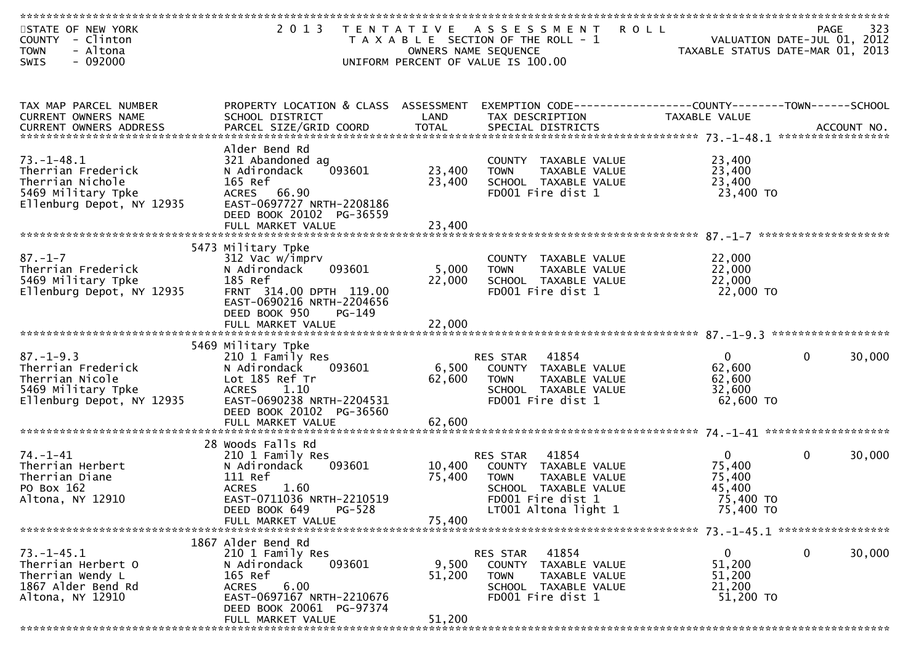| STATE OF NEW YORK<br>COUNTY - Clinton<br>- Altona<br><b>TOWN</b> | 2 0 1 3<br>T E N T A T I V E                           | OWNERS NAME SEQUENCE | ASSESSMENT ROLL<br>T A X A B L E SECTION OF THE ROLL - 1     | TAXABLE STATUS DATE-MAR 01, 2013 | 323<br>PAGE<br>VALUATION DATE-JUL 01, 2012 |
|------------------------------------------------------------------|--------------------------------------------------------|----------------------|--------------------------------------------------------------|----------------------------------|--------------------------------------------|
| $-092000$<br>SWIS                                                |                                                        |                      | UNIFORM PERCENT OF VALUE IS 100.00                           |                                  |                                            |
|                                                                  |                                                        |                      |                                                              |                                  |                                            |
| TAX MAP PARCEL NUMBER                                            | PROPERTY LOCATION & CLASS ASSESSMENT                   |                      | EXEMPTION CODE-----------------COUNTY-------TOWN------SCHOOL |                                  |                                            |
| CURRENT OWNERS NAME<br><b>CURRENT OWNERS ADDRESS</b>             | SCHOOL DISTRICT                                        | LAND                 | TAX DESCRIPTION                                              | TAXABLE VALUE                    |                                            |
|                                                                  |                                                        |                      |                                                              |                                  |                                            |
|                                                                  | Alder Bend Rd                                          |                      |                                                              |                                  |                                            |
| $73. - 1 - 48.1$                                                 | 321 Abandoned ag                                       |                      | COUNTY TAXABLE VALUE                                         | 23,400                           |                                            |
| Therrian Frederick<br>Therrian Nichole                           | 093601<br>N Adirondack<br>165 Ref                      | 23,400<br>23,400     | TAXABLE VALUE<br><b>TOWN</b><br>SCHOOL TAXABLE VALUE         | 23,400<br>23,400                 |                                            |
| 5469 Military Tpke                                               | ACRES 66.90                                            |                      | FD001 Fire dist 1                                            | 23,400 TO                        |                                            |
| Ellenburg Depot, NY 12935                                        | EAST-0697727 NRTH-2208186                              |                      |                                                              |                                  |                                            |
|                                                                  | DEED BOOK 20102 PG-36559                               |                      |                                                              |                                  |                                            |
|                                                                  |                                                        |                      |                                                              |                                  |                                            |
|                                                                  | 5473 Military Tpke                                     |                      |                                                              |                                  |                                            |
| $87. - 1 - 7$                                                    | 312 Vac w/imprv                                        |                      | COUNTY TAXABLE VALUE                                         | 22,000                           |                                            |
| Therrian Frederick                                               | 093601<br>N Adirondack                                 | 5,000                | TAXABLE VALUE<br><b>TOWN</b>                                 | 22,000                           |                                            |
| 5469 Military Tpke                                               | 185 Ref                                                | 22,000               | SCHOOL TAXABLE VALUE                                         | 22,000                           |                                            |
| Ellenburg Depot, NY 12935                                        | FRNT 314.00 DPTH 119.00                                |                      | FD001 Fire dist 1                                            | 22,000 TO                        |                                            |
|                                                                  | EAST-0690216 NRTH-2204656<br>DEED BOOK 950<br>$PG-149$ |                      |                                                              |                                  |                                            |
|                                                                  |                                                        |                      |                                                              |                                  |                                            |
|                                                                  |                                                        |                      |                                                              |                                  |                                            |
|                                                                  | 5469 Military Tpke                                     |                      |                                                              |                                  |                                            |
| $87. - 1 - 9.3$<br>Therrian Frederick                            | 210 1 Family Res<br>N Adirondack<br>093601             | 6,500                | 41854<br>RES STAR<br>COUNTY TAXABLE VALUE                    | $\mathbf{0}$<br>62,600           | 30,000<br>$\mathbf{0}$                     |
| Therrian Nicole                                                  | Lot 185 Ref Tr                                         | 62,600               | TAXABLE VALUE<br><b>TOWN</b>                                 | 62,600                           |                                            |
| 5469 Military Tpke                                               | <b>ACRES</b><br>1.10                                   |                      | SCHOOL TAXABLE VALUE                                         | 32,600                           |                                            |
| Ellenburg Depot, NY 12935                                        | EAST-0690238 NRTH-2204531                              |                      | FD001 Fire dist 1                                            | 62,600 TO                        |                                            |
|                                                                  | DEED BOOK 20102 PG-36560                               |                      |                                                              |                                  |                                            |
|                                                                  | FULL MARKET VALUE                                      | 62,600               |                                                              |                                  |                                            |
|                                                                  | 28 Woods Falls Rd                                      |                      |                                                              |                                  |                                            |
| $74. - 1 - 41$                                                   | 210 1 Family Res                                       |                      | 41854<br>RES STAR                                            | $\mathbf{0}$                     | $\mathbf{0}$<br>30,000                     |
| Therrian Herbert                                                 | N Adirondack<br>093601                                 | 10,400               | COUNTY TAXABLE VALUE                                         | 75,400                           |                                            |
| Therrian Diane<br>PO Box 162                                     | 111 Ref<br>1.60<br><b>ACRES</b>                        | 75,400               | TAXABLE VALUE<br><b>TOWN</b><br>SCHOOL TAXABLE VALUE         | 75,400<br>45,400                 |                                            |
| Altona, NY 12910                                                 | EAST-0711036 NRTH-2210519                              |                      | FD001 Fire dist 1                                            | 75,400 TO                        |                                            |
|                                                                  | $PG-528$<br>DEED BOOK 649                              |                      | LT001 Altona light 1                                         | 75,400 TO                        |                                            |
|                                                                  | FULL MARKET VALUE                                      | 75,400               |                                                              |                                  |                                            |
|                                                                  |                                                        |                      |                                                              |                                  |                                            |
| $73. - 1 - 45.1$                                                 | 1867 Alder Bend Rd<br>210 1 Family Res                 |                      | 41854<br>RES STAR                                            | $\mathbf{0}$                     | $\mathbf 0$<br>30,000                      |
| Therrian Herbert O                                               | 093601<br>N Adirondack                                 | 9,500                | COUNTY TAXABLE VALUE                                         | 51,200                           |                                            |
| Therrian Wendy L                                                 | 165 Ref                                                | 51,200               | <b>TOWN</b><br>TAXABLE VALUE                                 | 51,200                           |                                            |
| 1867 Alder Bend Rd                                               | 6.00<br><b>ACRES</b>                                   |                      | SCHOOL TAXABLE VALUE                                         | 21,200                           |                                            |
| Altona, NY 12910                                                 | EAST-0697167 NRTH-2210676                              |                      | FD001 Fire dist 1                                            | 51,200 TO                        |                                            |
|                                                                  | DEED BOOK 20061 PG-97374<br>FULL MARKET VALUE          | 51,200               |                                                              |                                  |                                            |
|                                                                  |                                                        |                      |                                                              |                                  |                                            |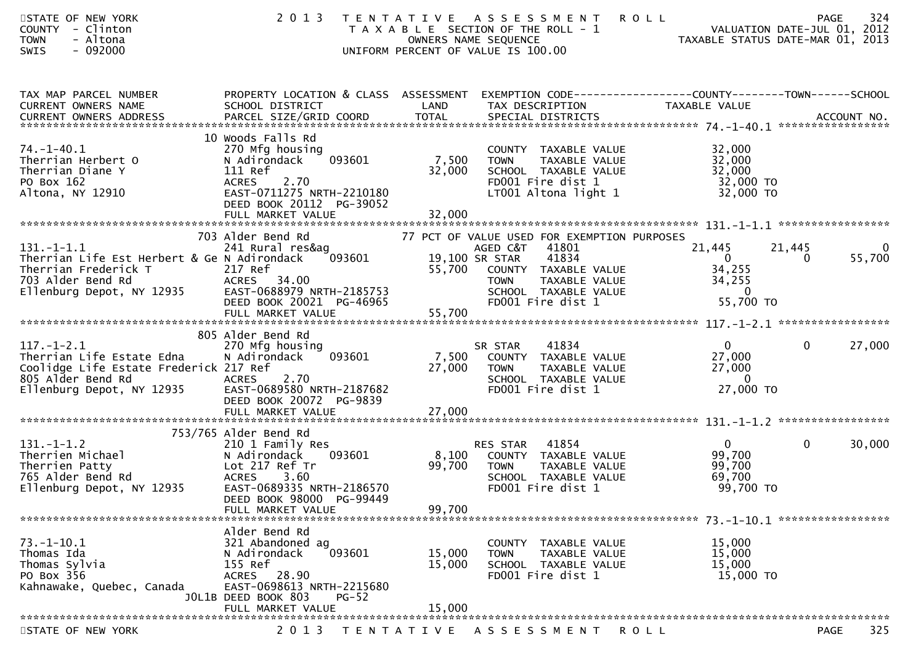| STATE OF NEW YORK<br>COUNTY - Clinton<br><b>TOWN</b><br>- Altona<br>SWIS<br>$-092000$                                                                                       | 2 0 1 3                                                                                                                                                                                     | TENTATIVE ASSESSMENT<br>T A X A B L E SECTION OF THE ROLL - 1<br>OWNERS NAME SEQUENCE<br>UNIFORM PERCENT OF VALUE IS 100.00                                                                                          | 324<br><b>ROLL</b><br>PAGE<br>VALUATION DATE-JUL 01, 2012<br>VALUATION DATE-JUL 01, 2012<br>TAXABLE STATUS DATE-MAR 01, 2013 |
|-----------------------------------------------------------------------------------------------------------------------------------------------------------------------------|---------------------------------------------------------------------------------------------------------------------------------------------------------------------------------------------|----------------------------------------------------------------------------------------------------------------------------------------------------------------------------------------------------------------------|------------------------------------------------------------------------------------------------------------------------------|
| TAX MAP PARCEL NUMBER<br>CURRENT OWNERS NAME                                                                                                                                | SCHOOL DISTRICT                                                                                                                                                                             | LAND<br>TAX DESCRIPTION                                                                                                                                                                                              | PROPERTY LOCATION & CLASS ASSESSMENT EXEMPTION CODE----------------COUNTY-------TOWN------SCHOOL<br>TAXABLE VALUE            |
| $74. - 1 - 40.1$<br>Therrian Herbert O<br>Therrian Diane Y<br>PO Box 162<br>Altona, NY 12910                                                                                | 10 Woods Falls Rd<br>270 Mfg housing<br>093601<br>N Adirondack<br>111 Ref<br>2.70<br><b>ACRES</b><br>EAST-0711275 NRTH-2210180<br>DEED BOOK 20112 PG-39052                                  | COUNTY TAXABLE VALUE<br>7,500 TOWN<br>TAXABLE VALUE<br>32,000<br>SCHOOL TAXABLE VALUE<br>FD001 Fire dist 1<br>LT001 Altona light 1                                                                                   | 32,000<br>32,000<br>32,000<br>$32,000$ TO<br>32,000 TO                                                                       |
| $131.-1-1.1$<br>Therrian Life Est Herbert & Ge N Adirondack 093601 19,100<br>Therrian Frederick T<br>Therrian Frederick T<br>703 Alder Bend Rd<br>Ellenburg Depot, NY 12935 | 703 Alder Bend Rd<br>217 Ref<br>ACRES 34.00<br>EAST-0688979 NRTH-2185753<br>DEED BOOK 20021 PG-46965<br>FULL MARKET VALUE                                                                   | 77 PCT OF VALUE USED FOR EXEMPTION PURPOSES<br>AGED C&T<br>41801<br>41834<br>19,100 SR STAR<br>COUNTY TAXABLE VALUE<br>TOWN TAXABLE VALUE<br>SCHOOL TAXABLE VALUE<br>55,700<br>55.700<br>FD001 Fire dist 1<br>55,700 | 21,445<br>21,445<br>0<br>$\overline{0}$<br>55,700<br>$\Omega$<br>34,255<br>34,255<br>$\overline{0}$<br>55,700 TO             |
| $117.-1-2.1$<br>Therrian Life Estate Edna<br>Coolidge Life Estate Frederick 217 Ref<br>805 Alder Bend Rd<br>Ellenburg Depot, NY 12935 EAST-0689580 N                        | 805 Alder Bend Rd<br>270 Mfg housing<br>N Adirondack<br>093601<br>EAST-0689580 NRTH-2187682<br>DEED BOOK 20072 PG-9839                                                                      | 41834<br>SR STAR<br>7,500 COUNTY TAXABLE VALUE<br>27,000<br><b>TOWN</b><br>TAXABLE VALUE<br>SCHOOL TAXABLE VALUE<br>FD001 Fire dist 1                                                                                | $0 \qquad \qquad$<br>$\overline{0}$<br>27,000<br>27,000<br>27,000<br>$\overline{0}$<br>27,000 TO                             |
| $131. - 1 - 1.2$<br>Therrien Michael<br>Therrien Patty<br>765 Alder Bend Rd<br>Ellenburg Depot, NY 12935<br>*******************************                                 | 753/765 Alder Bend Rd<br>210 1 Family Res<br>N Adirondack<br>093601<br>Lot 217 Ref Tr<br><b>ACRES</b><br>3.60<br>EAST-0689335 NRTH-2186570<br>DEED BOOK 98000 PG-99449<br>FULL MARKET VALUE | 41854<br>RES STAR<br>8,100<br>COUNTY TAXABLE VALUE<br>99,700<br><b>TOWN</b><br>TAXABLE VALUE<br>SCHOOL TAXABLE VALUE<br>FD001 Fire dist 1<br>99,700                                                                  | $\mathbf{0}$<br>$\mathbf 0$<br>30,000<br>99,700<br>99,700<br>69,700<br>99,700 TO                                             |
| $73. - 1 - 10.1$<br>Thomas Ida<br>Thomas Sylvia<br>PO Box 356<br>Kahnawake, Quebec, Canada                                                                                  | Alder Bend Rd<br>321 Abandoned ag<br>093601<br>N Adirondack<br>155 Ref<br>28.90<br><b>ACRES</b><br>EAST-0698613 NRTH-2215680<br>JOL1B DEED BOOK 803<br>$PG-52$<br>FULL MARKET VALUE         | COUNTY TAXABLE VALUE<br>15,000<br>TOWN<br><b>TAXABLE VALUE</b><br>15,000<br>SCHOOL TAXABLE VALUE<br>FD001 Fire dist 1<br>15,000                                                                                      | 15,000<br>15,000<br>15,000<br>15,000 TO                                                                                      |
| STATE OF NEW YORK                                                                                                                                                           | 2 0 1 3                                                                                                                                                                                     | T E N T A T I V E<br>A S S E S S M E N T                                                                                                                                                                             | 325<br><b>PAGE</b><br>ROLL                                                                                                   |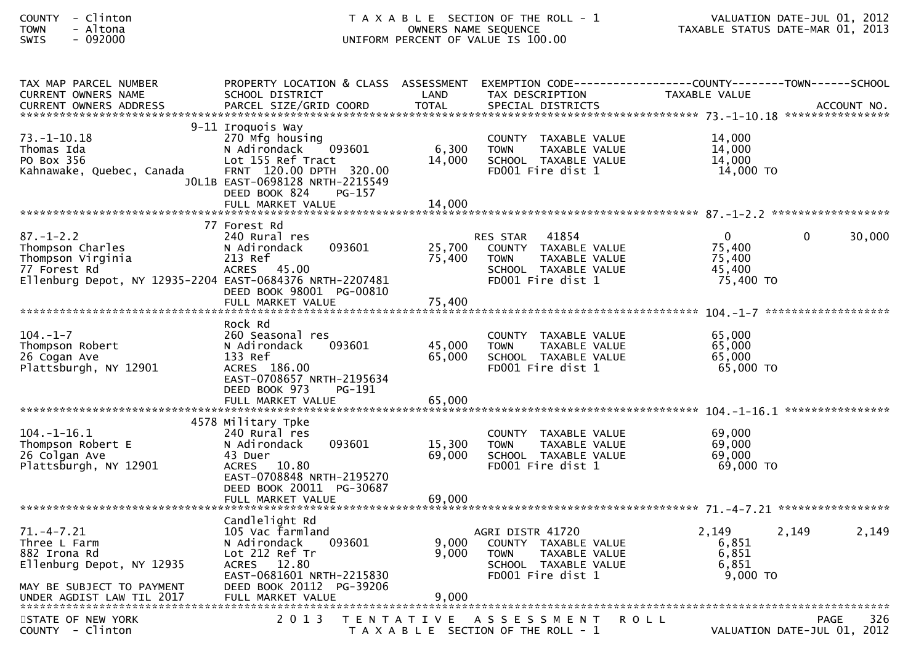| <b>COUNTY</b> | Clinto |
|---------------|--------|
| <b>TOWN</b>   | Altona |
| <b>SINTS</b>  | ngonnn |

## COUNTY - Clinton T A X A B L E SECTION OF THE ROLL - 1 VALUATION DATE-JUL 01, 2012 TOWN - Altona OWNERS NAME SEQUENCE TAXABLE STATUS DATE-MAR 01, 2013SWIS - 092000 CONTROLL CONTROLLER UNIFORM PERCENT OF VALUE IS 100.00

| TAX MAP PARCEL NUMBER                                                                                                                | PROPERTY LOCATION & CLASS ASSESSMENT                                                                                                                                         |                            |                                                                                                                        |                                                        |                                            |
|--------------------------------------------------------------------------------------------------------------------------------------|------------------------------------------------------------------------------------------------------------------------------------------------------------------------------|----------------------------|------------------------------------------------------------------------------------------------------------------------|--------------------------------------------------------|--------------------------------------------|
| <b>CURRENT OWNERS NAME</b>                                                                                                           | SCHOOL DISTRICT                                                                                                                                                              | LAND                       | TAX DESCRIPTION                                                                                                        | TAXABLE VALUE                                          |                                            |
|                                                                                                                                      |                                                                                                                                                                              |                            |                                                                                                                        |                                                        |                                            |
| $73. - 1 - 10.18$<br>Thomas Ida<br>PO Box 356<br>Kahnawake, Quebec, Canada                                                           | 9-11 Iroquois Way<br>270 Mfg housing<br>N Adirondack<br>093601<br>Lot 155 Ref Tract<br>FRNT 120.00 DPTH 320.00<br>JOL1B EAST-0698128 NRTH-2215549<br>DEED BOOK 824<br>PG-157 | 6,300<br>14,000            | COUNTY TAXABLE VALUE<br><b>TOWN</b><br>TAXABLE VALUE<br>SCHOOL TAXABLE VALUE<br>FD001 Fire dist 1                      | 14,000<br>14,000<br>14,000<br>14,000 TO                |                                            |
|                                                                                                                                      | FULL MARKET VALUE                                                                                                                                                            | 14,000                     |                                                                                                                        |                                                        |                                            |
|                                                                                                                                      |                                                                                                                                                                              |                            |                                                                                                                        |                                                        |                                            |
| $87. - 1 - 2.2$<br>Thompson Charles<br>Thompson Virginia<br>77 Forest Rd<br>Ellenburg Depot, NY 12935-2204 EAST-0684376 NRTH-2207481 | 77 Forest Rd<br>240 Rural res<br>093601<br>N Adirondack<br>213 Ref<br>ACRES 45.00<br>DEED BOOK 98001 PG-00810<br>FULL MARKET VALUE                                           | 25,700<br>75,400<br>75,400 | 41854<br>RES STAR<br>COUNTY TAXABLE VALUE<br><b>TOWN</b><br>TAXABLE VALUE<br>SCHOOL TAXABLE VALUE<br>FD001 Fire dist 1 | $\mathbf 0$<br>75,400<br>75,400<br>45,400<br>75,400 TO | 30,000<br>$\Omega$                         |
|                                                                                                                                      | Rock Rd                                                                                                                                                                      |                            |                                                                                                                        |                                                        |                                            |
| $104. - 1 - 7$<br>Thompson Robert<br>26 Cogan Ave<br>Plattsburgh, NY 12901                                                           | 260 Seasonal res<br>N Adirondack<br>093601<br>133 Ref<br>ACRES 186.00<br>EAST-0708657 NRTH-2195634<br>DEED BOOK 973<br>PG-191                                                | 45,000<br>65,000           | COUNTY TAXABLE VALUE<br>TAXABLE VALUE<br><b>TOWN</b><br>SCHOOL TAXABLE VALUE<br>FD001 Fire dist 1                      | 65,000<br>65,000<br>65,000<br>$65,000$ TO              |                                            |
|                                                                                                                                      |                                                                                                                                                                              |                            |                                                                                                                        |                                                        |                                            |
|                                                                                                                                      |                                                                                                                                                                              |                            |                                                                                                                        |                                                        |                                            |
| $104. - 1 - 16.1$<br>Thompson Robert E<br>26 Colgan Ave<br>Plattsburgh, NY 12901                                                     | 4578 Military Tpke<br>240 Rural res<br>093601<br>N Adirondack<br>43 Duer<br>ACRES 10.80<br>EAST-0708848 NRTH-2195270<br>DEED BOOK 20011 PG-30687<br>FULL MARKET VALUE        | 15,300<br>69,000<br>69,000 | COUNTY TAXABLE VALUE<br><b>TOWN</b><br>TAXABLE VALUE<br>SCHOOL TAXABLE VALUE<br>FD001 Fire dist 1                      | 69,000<br>69,000<br>69,000<br>69,000 TO                |                                            |
|                                                                                                                                      |                                                                                                                                                                              |                            |                                                                                                                        |                                                        |                                            |
| $71. - 4 - 7.21$<br>Three L Farm<br>882 Irona Rd<br>Ellenburg Depot, NY 12935<br>MAY BE SUBJECT TO PAYMENT                           | Candlelight Rd<br>105 Vac farmland<br>N Adirondack<br>093601<br>Lot 212 Ref Tr<br>ACRES 12.80<br>EAST-0681601 NRTH-2215830<br>DEED BOOK 20112 PG-39206                       | 9,000<br>9.000             | AGRI DISTR 41720<br>COUNTY TAXABLE VALUE<br>TAXABLE VALUE<br><b>TOWN</b><br>SCHOOL TAXABLE VALUE<br>FD001 Fire dist 1  | 2,149<br>6,851<br>6,851<br>6.851<br>$9,000$ TO         | 2,149<br>2,149                             |
|                                                                                                                                      |                                                                                                                                                                              |                            |                                                                                                                        |                                                        |                                            |
| STATE OF NEW YORK<br>COUNTY - Clinton                                                                                                | 2 0 1 3                                                                                                                                                                      | T E N T A T I V E          | A S S E S S M E N T<br>T A X A B L E SECTION OF THE ROLL - 1                                                           | <b>ROLL</b>                                            | 326<br>PAGE<br>VALUATION DATE-JUL 01, 2012 |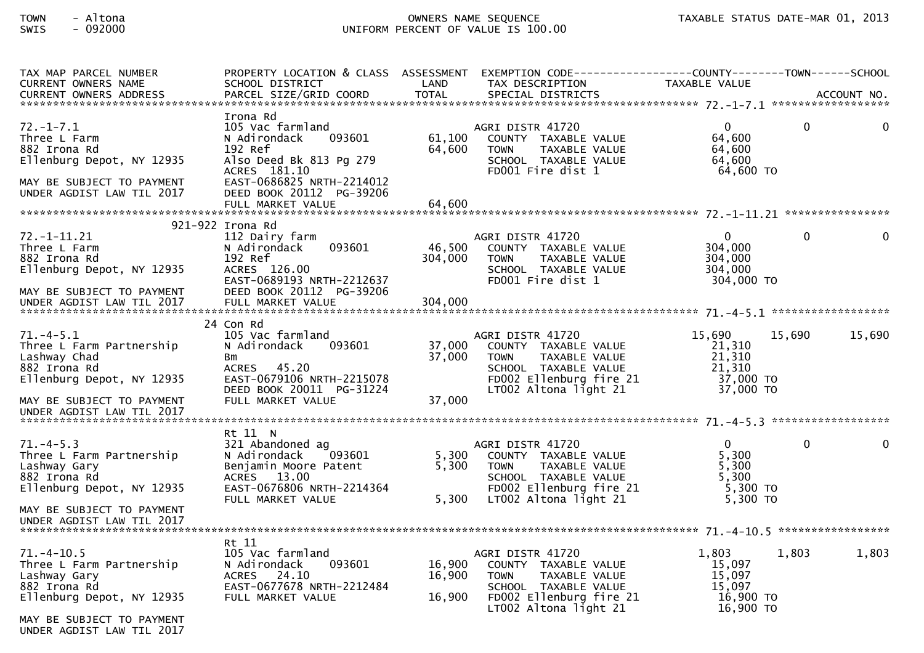## TOWN - Altona OWNERS NAME SEQUENCE TAXABLE STATUS DATE-MAR 01, 2013SWIS - 092000 UNIFORM PERCENT OF VALUE IS 100.00

| TAX MAP PARCEL NUMBER<br><b>CURRENT OWNERS NAME</b>                                                                                    | PROPERTY LOCATION & CLASS ASSESSMENT EXEMPTION CODE----------------COUNTY-------TOWN------SCHOOL<br>SCHOOL DISTRICT                                                                        | LAND                       | TAX DESCRIPTION                                                                                                                                      | TAXABLE VALUE                                                                 |              |
|----------------------------------------------------------------------------------------------------------------------------------------|--------------------------------------------------------------------------------------------------------------------------------------------------------------------------------------------|----------------------------|------------------------------------------------------------------------------------------------------------------------------------------------------|-------------------------------------------------------------------------------|--------------|
|                                                                                                                                        |                                                                                                                                                                                            |                            |                                                                                                                                                      |                                                                               |              |
| $72. - 1 - 7.1$<br>Three L Farm<br>882 Irona Rd<br>Ellenburg Depot, NY 12935<br>MAY BE SUBJECT TO PAYMENT<br>UNDER AGDIST LAW TIL 2017 | Irona Rd<br>105 Vac farmland<br>N Adirondack<br>093601<br>192 Ref<br>Also Deed Bk 813 Pg 279<br>ACRES 181.10<br>EAST-0686825 NRTH-2214012<br>DEED BOOK 20112 PG-39206<br>FULL MARKET VALUE | 61,100<br>64,600<br>64,600 | AGRI DISTR 41720<br>COUNTY TAXABLE VALUE<br>TAXABLE VALUE<br><b>TOWN</b><br>SCHOOL TAXABLE VALUE<br>FD001 Fire dist 1                                | 0<br>$\Omega$<br>64,600<br>64,600<br>64,600<br>64,600 TO                      | $\Omega$     |
|                                                                                                                                        | 921-922 Irona Rd                                                                                                                                                                           |                            |                                                                                                                                                      |                                                                               |              |
| $72. - 1 - 11.21$<br>Three L Farm<br>882 Irona Rd<br>Ellenburg Depot, NY 12935<br>MAY BE SUBJECT TO PAYMENT                            | 112 Dairy farm<br>093601<br>N Adirondack<br>192 Ref<br>ACRES 126.00<br>EAST-0689193 NRTH-2212637<br>DEED BOOK 20112 PG-39206                                                               | 46,500<br>304,000          | AGRI DISTR 41720<br>COUNTY TAXABLE VALUE<br><b>TOWN</b><br>TAXABLE VALUE<br>SCHOOL TAXABLE VALUE<br>FD001 Fire dist 1                                | $\overline{0}$<br>$\mathbf{0}$<br>304,000<br>304,000<br>304,000<br>304,000 TO | $\mathbf{0}$ |
|                                                                                                                                        |                                                                                                                                                                                            |                            |                                                                                                                                                      |                                                                               |              |
|                                                                                                                                        | 24 Con Rd                                                                                                                                                                                  |                            |                                                                                                                                                      |                                                                               |              |
| $71. -4 - 5.1$<br>Three L Farm Partnership<br>Lashway Chad<br>882 Irona Rd<br>Ellenburg Depot, NY 12935                                | 105 Vac farmland<br>N Adirondack<br>093601<br>Bm<br>ACRES 45.20<br>EAST-0679106 NRTH-2215078<br>DEED BOOK 20011 PG-31224                                                                   | 37,000<br>37,000           | AGRI DISTR 41720<br>COUNTY TAXABLE VALUE<br>TAXABLE VALUE<br><b>TOWN</b><br>SCHOOL TAXABLE VALUE<br>FD002 Ellenburg fire 21<br>LT002 Altona light 21 | 15,690<br>15,690<br>21,310<br>21,310<br>21,310<br>37,000 TO<br>37,000 TO      | 15,690       |
| MAY BE SUBJECT TO PAYMENT<br>UNDER AGDIST LAW TIL 2017                                                                                 | FULL MARKET VALUE                                                                                                                                                                          | 37,000                     |                                                                                                                                                      |                                                                               |              |
|                                                                                                                                        | Rt 11 N                                                                                                                                                                                    |                            |                                                                                                                                                      |                                                                               |              |
| $71. -4 - 5.3$<br>Three L Farm Partnership<br>Lashway Gary<br>882 Irona Rd<br>Ellenburg Depot, NY 12935                                | 321 Abandoned ag<br>N Adirondack<br>093601<br>Benjamin Moore Patent<br>ACRES 13.00<br>EAST-0676806 NRTH-2214364<br>FULL MARKET VALUE                                                       | 5,300<br>5,300<br>5,300    | AGRI DISTR 41720<br>COUNTY TAXABLE VALUE<br>TAXABLE VALUE<br><b>TOWN</b><br>SCHOOL TAXABLE VALUE<br>FD002 Ellenburg fire 21<br>LT002 Altona light 21 | $\Omega$<br>$\mathbf{0}$<br>5,300<br>5,300<br>5.300<br>5,300 TO<br>$5,300$ TO | $\mathbf{0}$ |
| MAY BE SUBJECT TO PAYMENT<br>UNDER AGDIST LAW TIL 2017                                                                                 |                                                                                                                                                                                            |                            |                                                                                                                                                      |                                                                               |              |
| $71. - 4 - 10.5$<br>Three L Farm Partnership<br>Lashway Gary<br>882 Irona Rd<br>Ellenburg Depot, NY 12935                              | Rt 11<br>105 Vac farmland<br>093601<br>N Adirondack<br>ACRES 24.10<br>EAST-0677678 NRTH-2212484<br>FULL MARKET VALUE                                                                       | 16,900<br>16,900<br>16,900 | AGRI DISTR 41720<br>COUNTY TAXABLE VALUE<br><b>TOWN</b><br>TAXABLE VALUE<br>SCHOOL TAXABLE VALUE<br>FD002 Ellenburg fire 21<br>LT002 Altona light 21 | 1,803<br>1,803<br>15,097<br>15,097<br>15.097<br>16,900 TO<br>16,900 TO        | 1,803        |

MAY BE SUBJECT TO PAYMENT UNDER AGDIST LAW TIL 2017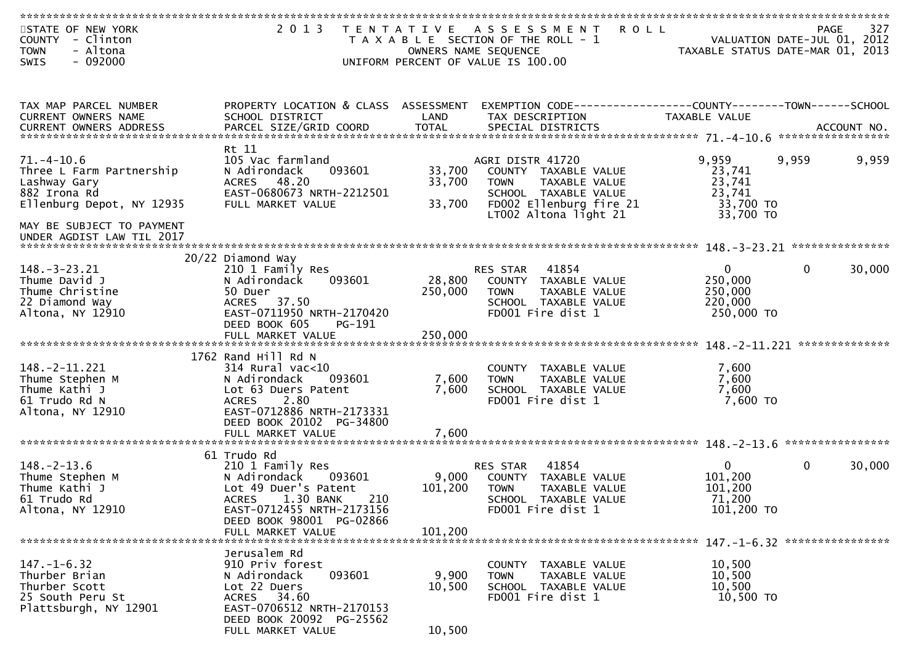| STATE OF NEW YORK<br><b>COUNTY</b><br>- Clinton<br>- Altona<br><b>TOWN</b><br>$-092000$<br>SWIS                                                                     | 2 0 1 3                                                                                                                                                                                             | T E N T A T I V E           | A S S E S S M E N T<br><b>ROLL</b><br>T A X A B L E SECTION OF THE ROLL - 1<br>OWNERS NAME SEQUENCE<br>UNIFORM PERCENT OF VALUE IS 100.00     | VALUATION DATE-JUL 01, 2012<br>TAXABLE STATUS DATE-MAR 01, 2013 | <b>PAGE</b>  | 327                                         |
|---------------------------------------------------------------------------------------------------------------------------------------------------------------------|-----------------------------------------------------------------------------------------------------------------------------------------------------------------------------------------------------|-----------------------------|-----------------------------------------------------------------------------------------------------------------------------------------------|-----------------------------------------------------------------|--------------|---------------------------------------------|
| TAX MAP PARCEL NUMBER<br><b>CURRENT OWNERS NAME</b><br><b>CURRENT OWNERS ADDRESS</b>                                                                                | PROPERTY LOCATION & CLASS ASSESSMENT<br>SCHOOL DISTRICT                                                                                                                                             | LAND                        | EXEMPTION CODE-----------------COUNTY-------TOWN------SCHOOL<br>TAX DESCRIPTION                                                               | TAXABLE VALUE                                                   |              |                                             |
| $71. - 4 - 10.6$<br>Three L Farm Partnership<br>Lashway Gary<br>882 Irona Rd<br>Ellenburg Depot, NY 12935<br>MAY BE SUBJECT TO PAYMENT<br>UNDER AGDIST LAW TIL 2017 | Rt 11<br>105 Vac farmland<br>N Adirondack<br>093601<br>ACRES 48.20<br>EAST-0680673 NRTH-2212501<br>FULL MARKET VALUE                                                                                | 33,700<br>33,700<br>33,700  | AGRI DISTR 41720<br>COUNTY TAXABLE VALUE<br>TAXABLE VALUE<br>TOWN<br>SCHOOL TAXABLE VALUE<br>FD002 Ellenburg fire 21<br>LT002 Altona light 21 | 9,959<br>23,741<br>23,741<br>23,741<br>33,700 TO<br>33,700 TO   | 9,959        | 9,959                                       |
| $148. - 3 - 23.21$<br>Thume David J<br>Thume Christine<br>22 Diamond Way<br>Altona, NY 12910                                                                        | 20/22 Diamond Way<br>210 1 Family Res<br>N Adirondack<br>093601<br>50 Duer<br>37.50<br><b>ACRES</b><br>EAST-0711950 NRTH-2170420<br>DEED BOOK 605<br>$PG-191$                                       | 28,800<br>250,000           | 41854<br>RES STAR<br>COUNTY TAXABLE VALUE<br>TAXABLE VALUE<br><b>TOWN</b><br>SCHOOL TAXABLE VALUE<br>FD001 Fire dist 1                        | $\overline{0}$<br>250,000<br>250,000<br>220,000<br>250,000 TO   | $\mathbf{0}$ | ***************<br>30,000<br>************** |
| $148. - 2 - 11.221$<br>Thume Stephen M<br>Thume Kathi J<br>61 Trudo Rd N<br>Altona, NY 12910                                                                        | 1762 Rand Hill Rd $N$<br>$314$ Rural vac<10<br>N Adirondack<br>093601<br>Lot 63 Duers Patent<br>2.80<br><b>ACRES</b><br>EAST-0712886 NRTH-2173331<br>DEED BOOK 20102 PG-34800<br>FULL MARKET VALUE  | 7,600<br>7,600<br>7,600     | COUNTY TAXABLE VALUE<br><b>TOWN</b><br>TAXABLE VALUE<br>SCHOOL TAXABLE VALUE<br>FD001 Fire dist 1                                             | 7,600<br>7,600<br>7,600<br>7,600 TO                             |              | ****************                            |
| $148. - 2 - 13.6$<br>Thume Stephen M<br>Thume Kathi J<br>61 Trudo Rd<br>Altona, NY 12910                                                                            | 61 Trudo Rd<br>210 1 Family Res<br>N Adirondack<br>093601<br>Lot 49 Duer's Patent<br>1.30 BANK<br>210<br><b>ACRES</b><br>EAST-0712455 NRTH-2173156<br>DEED BOOK 98001 PG-02866<br>FULL MARKET VALUE | 9,000<br>101,200<br>101,200 | 41854<br>RES STAR<br>COUNTY<br>TAXABLE VALUE<br><b>TOWN</b><br>TAXABLE VALUE<br>TAXABLE VALUE<br>SCHOOL<br>FD001 Fire dist 1                  | $\overline{0}$<br>101,200<br>101,200<br>71,200<br>101,200 TO    | $\mathbf{0}$ | 30,000                                      |
| $147. - 1 - 6.32$<br>Thurber Brian<br>Thurber Scott<br>25 South Peru St<br>Plattsburgh, NY 12901                                                                    | Jerusalem Rd<br>910 Priv forest<br>093601<br>N Adirondack<br>Lot 22 Duers<br>ACRES 34.60<br>EAST-0706512 NRTH-2170153<br>DEED BOOK 20092 PG-25562<br>FULL MARKET VALUE                              | 9,900<br>10,500<br>10,500   | COUNTY TAXABLE VALUE<br>TAXABLE VALUE<br><b>TOWN</b><br>SCHOOL TAXABLE VALUE<br>FD001 Fire dist 1                                             | 10,500<br>10,500<br>10,500<br>10,500 TO                         |              |                                             |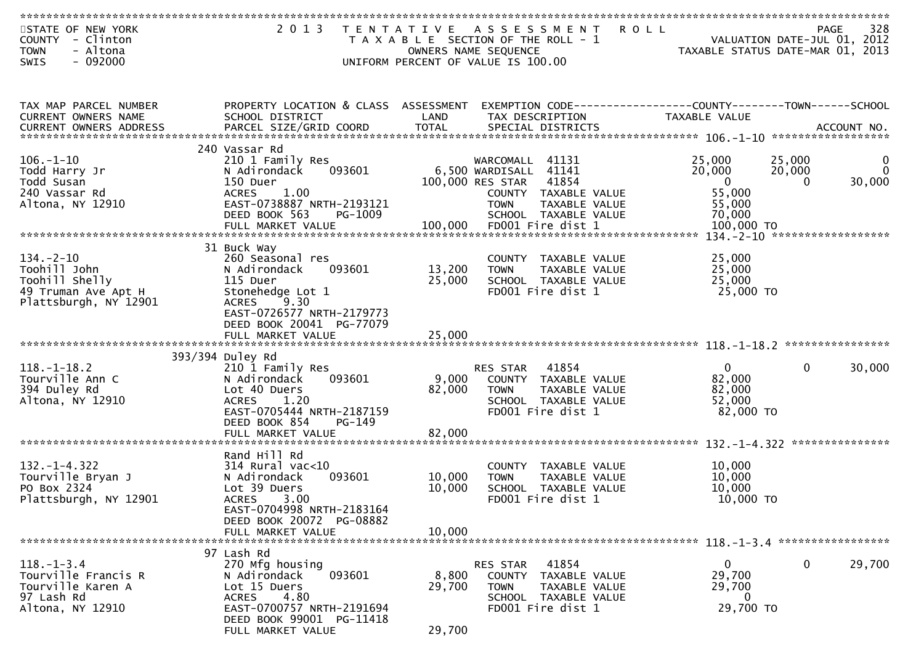| STATE OF NEW YORK<br>COUNTY - Clinton<br>- Altona<br><b>TOWN</b> | 2 0 1 3<br>T E N T A T I V E                          |                  | <b>ROLL</b><br>A S S E S S M E N T<br>T A X A B L E SECTION OF THE ROLL - 1<br>OWNERS NAME SEQUENCE | VALUATION DATE-JUL 01, 2012<br>TAXABLE STATUS DATE-MAR 01, 2013 | 328<br><b>PAGE</b> |
|------------------------------------------------------------------|-------------------------------------------------------|------------------|-----------------------------------------------------------------------------------------------------|-----------------------------------------------------------------|--------------------|
| $-092000$<br><b>SWIS</b>                                         |                                                       |                  | UNIFORM PERCENT OF VALUE IS 100.00                                                                  |                                                                 |                    |
|                                                                  |                                                       |                  |                                                                                                     |                                                                 |                    |
| TAX MAP PARCEL NUMBER                                            | PROPERTY LOCATION & CLASS ASSESSMENT                  |                  | EXEMPTION CODE------------------COUNTY--------TOWN------SCHOOL                                      |                                                                 |                    |
| CURRENT OWNERS NAME                                              | SCHOOL DISTRICT                                       | LAND             | TAX DESCRIPTION                                                                                     | <b>TAXABLE VALUE</b>                                            |                    |
|                                                                  | 240 Vassar Rd                                         |                  |                                                                                                     |                                                                 |                    |
| $106. - 1 - 10$                                                  | 210 1 Family Res                                      |                  | WARCOMALL 41131                                                                                     | 25,000<br>25,000<br>20,000                                      | 0<br>$\Omega$      |
| Todd Harry Jr<br>Todd Susan                                      | 093601<br>N Adirondack<br>150 Duer                    |                  | 6,500 WARDISALL 41141<br>100,000 RES STAR<br>41854                                                  | 20,000<br>$\mathbf{0}$<br>$\Omega$                              | 30,000             |
| 240 Vassar Rd                                                    | <b>ACRES</b><br>1.00                                  |                  | COUNTY TAXABLE VALUE                                                                                | 55,000                                                          |                    |
| Altona, NY 12910                                                 | EAST-0738887 NRTH-2193121<br>DEED BOOK 563<br>PG-1009 |                  | TAXABLE VALUE<br><b>TOWN</b><br>SCHOOL TAXABLE VALUE                                                | 55,000<br>70,000                                                |                    |
|                                                                  |                                                       |                  |                                                                                                     |                                                                 |                    |
|                                                                  | 31 Buck Way                                           |                  |                                                                                                     |                                                                 |                    |
| $134. - 2 - 10$                                                  | 260 Seasonal res                                      |                  | COUNTY TAXABLE VALUE                                                                                | 25,000                                                          |                    |
| Toohill John<br>Toohill Shelly                                   | N Adirondack<br>093601<br>115 Duer                    | 13,200<br>25,000 | <b>TOWN</b><br>TAXABLE VALUE<br>SCHOOL TAXABLE VALUE                                                | 25,000<br>25,000                                                |                    |
| 49 Truman Ave Apt H                                              | Stonehedge Lot 1                                      |                  | FD001 Fire dist 1                                                                                   | 25,000 TO                                                       |                    |
| Plattsburgh, NY 12901                                            | <b>ACRES</b><br>9.30<br>EAST-0726577 NRTH-2179773     |                  |                                                                                                     |                                                                 |                    |
|                                                                  | DEED BOOK 20041 PG-77079                              |                  |                                                                                                     |                                                                 |                    |
|                                                                  |                                                       |                  |                                                                                                     |                                                                 |                    |
|                                                                  | 393/394 Duley Rd                                      |                  |                                                                                                     |                                                                 |                    |
| $118. - 1 - 18.2$<br>Tourville Ann C                             | 210 1 Family Res<br>093601<br>N Adirondack            | 9,000            | 41854<br>RES STAR<br>COUNTY TAXABLE VALUE                                                           | $\mathbf{0}$<br>$\mathbf 0$<br>82,000                           | 30,000             |
| 394 Duley Rd                                                     | Lot 40 Duers                                          | 82,000           | <b>TOWN</b><br>TAXABLE VALUE                                                                        | 82,000                                                          |                    |
| Altona, NY 12910                                                 | <b>ACRES</b><br>1.20<br>EAST-0705444 NRTH-2187159     |                  | SCHOOL TAXABLE VALUE<br>FD001 Fire dist 1                                                           | 52,000<br>82,000 TO                                             |                    |
|                                                                  | DEED BOOK 854<br>$PG-149$                             |                  |                                                                                                     |                                                                 |                    |
|                                                                  | FULL MARKET VALUE                                     | 82,000           |                                                                                                     |                                                                 |                    |
|                                                                  | Rand Hill Rd                                          |                  |                                                                                                     |                                                                 |                    |
| $132. - 1 - 4.322$<br>Tourville Bryan J                          | $314$ Rural vac< $10$<br>093601<br>N Adirondack       | 10,000           | COUNTY TAXABLE VALUE<br>TAXABLE VALUE<br><b>TOWN</b>                                                | 10,000<br>10,000                                                |                    |
| PO Box 2324                                                      | Lot 39 Duers                                          | 10,000           | SCHOOL TAXABLE VALUE                                                                                | 10,000                                                          |                    |
| Plattsburgh, NY 12901                                            | <b>ACRES</b><br>3.00<br>EAST-0704998 NRTH-2183164     |                  | FD001 Fire dist 1                                                                                   | 10,000 TO                                                       |                    |
|                                                                  | DEED BOOK 20072 PG-08882                              |                  |                                                                                                     |                                                                 |                    |
|                                                                  | FULL MARKET VALUE                                     | 10,000           |                                                                                                     |                                                                 |                    |
|                                                                  | 97 Lash Rd                                            |                  |                                                                                                     |                                                                 |                    |
| $118. - 1 - 3.4$<br>Tourville Francis R                          | 270 Mfg housing<br>093601<br>N Adirondack             | 8,800            | 41854<br>RES STAR<br>COUNTY<br>TAXABLE VALUE                                                        | $\mathbf 0$<br>$\overline{0}$<br>29,700                         | 29,700             |
| Tourville Karen A                                                | Lot 15 Duers                                          | 29,700           | <b>TOWN</b><br>TAXABLE VALUE                                                                        | 29,700                                                          |                    |
| 97 Lash Rd<br>Altona, NY 12910                                   | 4.80<br><b>ACRES</b><br>EAST-0700757 NRTH-2191694     |                  | SCHOOL TAXABLE VALUE<br>FD001 Fire dist 1                                                           | 0<br>29,700 TO                                                  |                    |
|                                                                  | DEED BOOK 99001 PG-11418                              |                  |                                                                                                     |                                                                 |                    |
|                                                                  | FULL MARKET VALUE                                     | 29,700           |                                                                                                     |                                                                 |                    |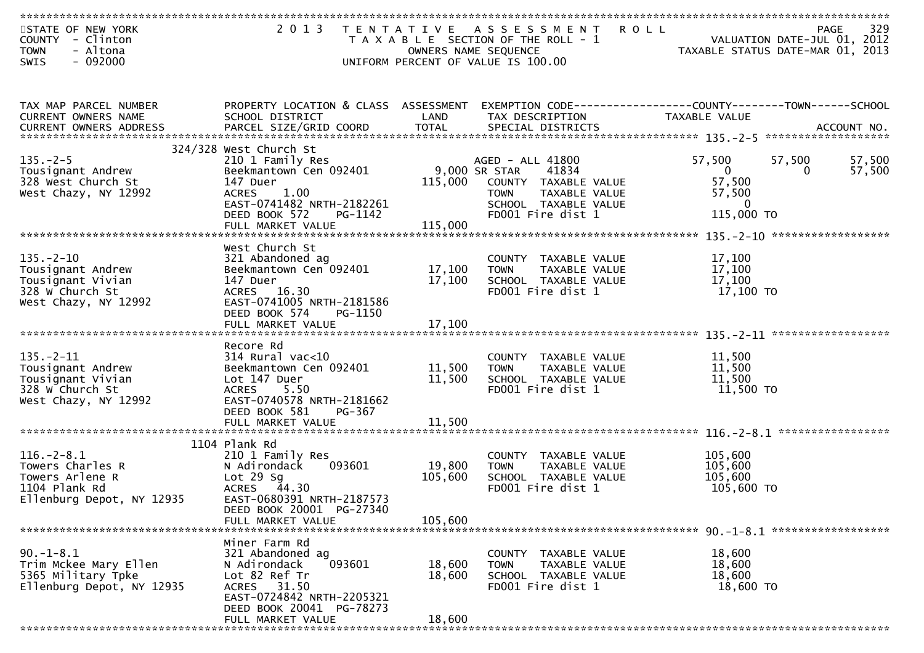| STATE OF NEW YORK<br>COUNTY - Clinton<br>- Altona<br><b>TOWN</b> | 2 0 1 3                                                 | OWNERS NAME SEQUENCE     | TENTATIVE ASSESSMENT<br>T A X A B L E SECTION OF THE ROLL - 1 | <b>ROLL</b><br><b>PAGE</b><br>VALUATION DATE-JUL 01, 2012<br>TAXABLE STATUS DATE-MAR 01, 2013 | 329    |
|------------------------------------------------------------------|---------------------------------------------------------|--------------------------|---------------------------------------------------------------|-----------------------------------------------------------------------------------------------|--------|
| $-092000$<br><b>SWIS</b>                                         |                                                         |                          | UNIFORM PERCENT OF VALUE IS 100.00                            |                                                                                               |        |
| TAX MAP PARCEL NUMBER<br>CURRENT OWNERS NAME                     | PROPERTY LOCATION & CLASS ASSESSMENT<br>SCHOOL DISTRICT | LAND                     | TAX DESCRIPTION                                               | TAXABLE VALUE                                                                                 |        |
|                                                                  |                                                         |                          |                                                               |                                                                                               |        |
|                                                                  | 324/328 West Church St                                  |                          |                                                               |                                                                                               |        |
| $135. - 2 - 5$                                                   | 210 1 Family Res                                        |                          | AGED - ALL 41800                                              | 57,500<br>57,500                                                                              | 57,500 |
| Tousignant Andrew<br>328 West Church St                          | Beekmantown Cen 092401<br>147 Duer                      | 9,000 SR STAR<br>115,000 | 41834<br>COUNTY TAXABLE VALUE                                 | $\overline{0}$<br>$\overline{0}$<br>57,500                                                    | 57,500 |
| West Chazy, NY 12992                                             | 1.00<br><b>ACRES</b>                                    |                          | TAXABLE VALUE<br><b>TOWN</b>                                  | 57,500                                                                                        |        |
|                                                                  | EAST-0741482 NRTH-2182261                               |                          | SCHOOL TAXABLE VALUE                                          | $\overline{0}$                                                                                |        |
|                                                                  | DEED BOOK 572<br>PG-1142                                |                          | FD001 Fire dist 1                                             | 115,000 TO                                                                                    |        |
|                                                                  | FULL MARKET VALUE                                       | 115,000                  |                                                               |                                                                                               |        |
|                                                                  | West Church St                                          |                          |                                                               |                                                                                               |        |
| $135. - 2 - 10$                                                  | 321 Abandoned ag                                        |                          | COUNTY TAXABLE VALUE                                          | 17,100                                                                                        |        |
| Tousignant Andrew                                                | Beekmantown Cen 092401                                  | 17,100                   | TAXABLE VALUE<br><b>TOWN</b>                                  | 17,100                                                                                        |        |
| Tousignant Vivian                                                | 147 Duer                                                | 17,100                   | SCHOOL TAXABLE VALUE                                          | 17,100                                                                                        |        |
| 328 W Church St<br>West Chazy, NY 12992                          | ACRES 16.30<br>EAST-0741005 NRTH-2181586                |                          | FD001 Fire dist 1                                             | 17,100 TO                                                                                     |        |
|                                                                  | DEED BOOK 574<br>PG-1150                                |                          |                                                               |                                                                                               |        |
|                                                                  | FULL MARKET VALUE                                       | 17,100                   |                                                               |                                                                                               |        |
|                                                                  |                                                         |                          |                                                               |                                                                                               |        |
| $135. - 2 - 11$                                                  | Recore Rd                                               |                          |                                                               |                                                                                               |        |
| Tousignant Andrew                                                | $314$ Rural vac<10<br>Beekmantown Cen 092401            | 11,500                   | COUNTY TAXABLE VALUE<br>TAXABLE VALUE<br><b>TOWN</b>          | 11,500<br>11,500                                                                              |        |
| Tousignant Vivian                                                | Lot 147 Duer                                            | 11,500                   | SCHOOL TAXABLE VALUE                                          | 11,500                                                                                        |        |
| 328 W Church St                                                  | <b>ACRES</b><br>5.50                                    |                          | FD001 Fire dist 1                                             | 11,500 TO                                                                                     |        |
| West Chazy, NY 12992                                             | EAST-0740578 NRTH-2181662                               |                          |                                                               |                                                                                               |        |
|                                                                  | DEED BOOK 581<br>PG-367<br>FULL MARKET VALUE            | 11,500                   |                                                               |                                                                                               |        |
|                                                                  |                                                         |                          |                                                               |                                                                                               |        |
|                                                                  | 1104 Plank Rd                                           |                          |                                                               |                                                                                               |        |
| $116. - 2 - 8.1$                                                 | 210 1 Family Res                                        |                          | COUNTY TAXABLE VALUE                                          | 105,600                                                                                       |        |
| Towers Charles R<br>Towers Arlene R                              | N Adirondack<br>093601<br>$Lot 29$ Sq                   | 19,800<br>105,600        | TAXABLE VALUE<br><b>TOWN</b><br>SCHOOL TAXABLE VALUE          | 105,600<br>105,600                                                                            |        |
| 1104 Plank Rd                                                    | ACRES 44.30                                             |                          | FD001 Fire dist 1                                             | 105,600 TO                                                                                    |        |
| Ellenburg Depot, NY 12935                                        | EAST-0680391 NRTH-2187573                               |                          |                                                               |                                                                                               |        |
|                                                                  | DEED BOOK 20001 PG-27340                                |                          |                                                               |                                                                                               |        |
|                                                                  | FULL MARKET VALUE                                       | 105,600                  |                                                               |                                                                                               |        |
|                                                                  | Miner Farm Rd                                           |                          |                                                               |                                                                                               |        |
| $90. -1 - 8.1$                                                   | 321 Abandoned ag                                        |                          | COUNTY<br>TAXABLE VALUE                                       | 18,600                                                                                        |        |
| Trim Mckee Mary Ellen                                            | 093601<br>N Adirondack                                  | 18,600                   | TAXABLE VALUE<br><b>TOWN</b>                                  | 18,600                                                                                        |        |
| 5365 Military Tpke                                               | Lot 82 Ref Tr                                           | 18,600                   | SCHOOL TAXABLE VALUE                                          | 18,600                                                                                        |        |
| Ellenburg Depot, NY 12935                                        | ACRES 31.50                                             |                          | FD001 Fire dist 1                                             | 18,600 TO                                                                                     |        |
|                                                                  | EAST-0724842 NRTH-2205321<br>DEED BOOK 20041 PG-78273   |                          |                                                               |                                                                                               |        |
|                                                                  | FULL MARKET VALUE                                       | 18,600                   |                                                               |                                                                                               |        |
|                                                                  |                                                         |                          |                                                               |                                                                                               |        |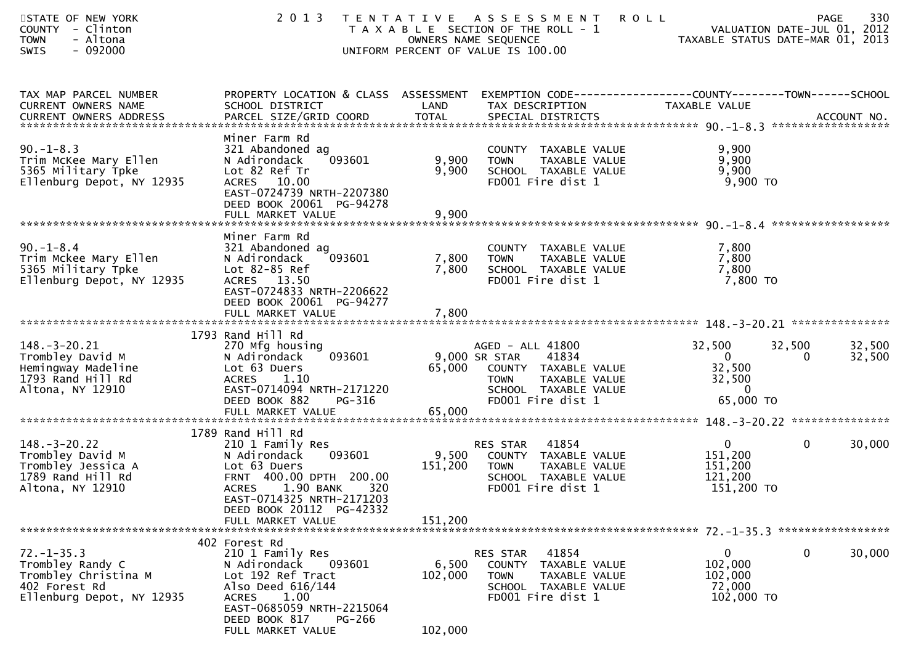| STATE OF NEW YORK<br>COUNTY - Clinton<br>- Altona<br><b>TOWN</b><br>SWIS<br>- 092000                       | 2 0 1 3                                                                                                                                                                                                    |                             | TENTATIVE ASSESSMENT<br>T A X A B L E SECTION OF THE ROLL - 1<br>OWNERS NAME SEQUENCE<br>UNIFORM PERCENT OF VALUE IS 100.00                     | 330<br><b>ROLL</b><br><b>PAGE</b><br>VALUATION DATE-JUL 01, 2012<br>VALUATION DATE-JUL 01, 2012<br>TAXABLE STATUS DATE-MAR 01, 2013 |
|------------------------------------------------------------------------------------------------------------|------------------------------------------------------------------------------------------------------------------------------------------------------------------------------------------------------------|-----------------------------|-------------------------------------------------------------------------------------------------------------------------------------------------|-------------------------------------------------------------------------------------------------------------------------------------|
| TAX MAP PARCEL NUMBER<br>CURRENT OWNERS NAME                                                               | PROPERTY LOCATION & CLASS ASSESSMENT<br>SCHOOL DISTRICT                                                                                                                                                    | LAND                        | TAX DESCRIPTION                                                                                                                                 | EXEMPTION CODE------------------COUNTY--------TOWN------SCHOOL<br>TAXABLE VALUE                                                     |
| $90. -1 - 8.3$<br>Trim McKee Mary Ellen<br>5365 Military Tpke<br>Ellenburg Depot, NY 12935                 | Miner Farm Rd<br>321 Abandoned ag<br>093601<br>N Adirondack<br>Lot 82 Ref Tr<br>ACRES 10.00<br>EAST-0724739 NRTH-2207380<br>DEED BOOK 20061 PG-94278<br>FULL MARKET VALUE                                  | 9,900<br>9,900<br>9,900     | COUNTY TAXABLE VALUE<br>TAXABLE VALUE<br><b>TOWN</b><br>SCHOOL TAXABLE VALUE<br>FD001 Fire dist 1                                               | 9,900<br>9,900<br>9,900<br>$9,900$ TO                                                                                               |
|                                                                                                            |                                                                                                                                                                                                            |                             |                                                                                                                                                 |                                                                                                                                     |
| $90. - 1 - 8.4$<br>Trim Mckee Mary Ellen<br>5365 Military Tpke<br>Ellenburg Depot, NY 12935                | Miner Farm Rd<br>321 Abandoned ag<br>093601<br>N Adirondack<br>Lot 82-85 Ref<br>ACRES 13.50<br>EAST-0724833 NRTH-2206622<br>DEED BOOK 20061 PG-94277<br>FULL MARKET VALUE                                  | 7,800<br>7,800<br>7,800     | COUNTY TAXABLE VALUE<br><b>TOWN</b><br>TAXABLE VALUE<br>SCHOOL TAXABLE VALUE<br>FD001 Fire dist 1                                               | 7,800<br>7,800<br>7,800<br>7,800 TO                                                                                                 |
|                                                                                                            | 1793 Rand Hill Rd                                                                                                                                                                                          |                             |                                                                                                                                                 |                                                                                                                                     |
| $148. - 3 - 20.21$<br>Trombley David M<br>Hemingway Madeline<br>1793 Rand Hill Rd<br>Altona, NY 12910      | 270 Mfg housing<br>N Adirondack<br>093601<br>Lot 63 Duers<br><b>ACRES</b><br>1.10<br>EAST-0714094 NRTH-2171220<br>DEED BOOK 882<br>PG-316                                                                  | 65,000                      | AGED - ALL 41800<br>41834<br>9,000 SR STAR<br>COUNTY TAXABLE VALUE<br><b>TOWN</b><br>TAXABLE VALUE<br>SCHOOL TAXABLE VALUE<br>FD001 Fire dist 1 | 32,500<br>32,500<br>32,500<br>$\Omega$<br>32,500<br>0<br>32,500<br>32,500<br>$\overline{0}$<br>65,000 TO                            |
|                                                                                                            | 1789 Rand Hill Rd                                                                                                                                                                                          |                             |                                                                                                                                                 |                                                                                                                                     |
| $148. - 3 - 20.22$<br>Trombley David M<br>Trombley Jessica A<br>1789 Rand Hill Rd<br>Altona, NY 12910      | 210 1 Family Res<br>093601<br>N Adirondack<br>Lot 63 Duers<br>FRNT 400.00 DPTH 200.00<br>1.90 BANK<br><b>ACRES</b><br>320<br>EAST-0714325 NRTH-2171203<br>DEED BOOK 20112 PG-42332                         | 9,500<br>151,200            | 41854<br>RES STAR<br>COUNTY TAXABLE VALUE<br>TAXABLE VALUE<br><b>TOWN</b><br>SCHOOL TAXABLE VALUE<br>FD001 Fire dist 1                          | $\overline{0}$<br>$\mathbf 0$<br>30,000<br>151,200<br>151,200<br>121,200<br>151,200 TO                                              |
|                                                                                                            | FULL MARKET VALUE                                                                                                                                                                                          | 151,200                     |                                                                                                                                                 |                                                                                                                                     |
| $72. - 1 - 35.3$<br>Trombley Randy C<br>Trombley Christina M<br>402 Forest Rd<br>Ellenburg Depot, NY 12935 | 402 Forest Rd<br>210 1 Family Res<br>093601<br>N Adirondack<br>Lot 192 Ref Tract<br>Also Deed 616/144<br><b>ACRES</b><br>1.00<br>EAST-0685059 NRTH-2215064<br>DEED BOOK 817<br>PG-266<br>FULL MARKET VALUE | 6,500<br>102,000<br>102,000 | 41854<br>RES STAR<br>COUNTY TAXABLE VALUE<br><b>TOWN</b><br>TAXABLE VALUE<br>SCHOOL TAXABLE VALUE<br>FD001 Fire dist 1                          | 0<br>0<br>30,000<br>102,000<br>102,000<br>72,000<br>102,000 TO                                                                      |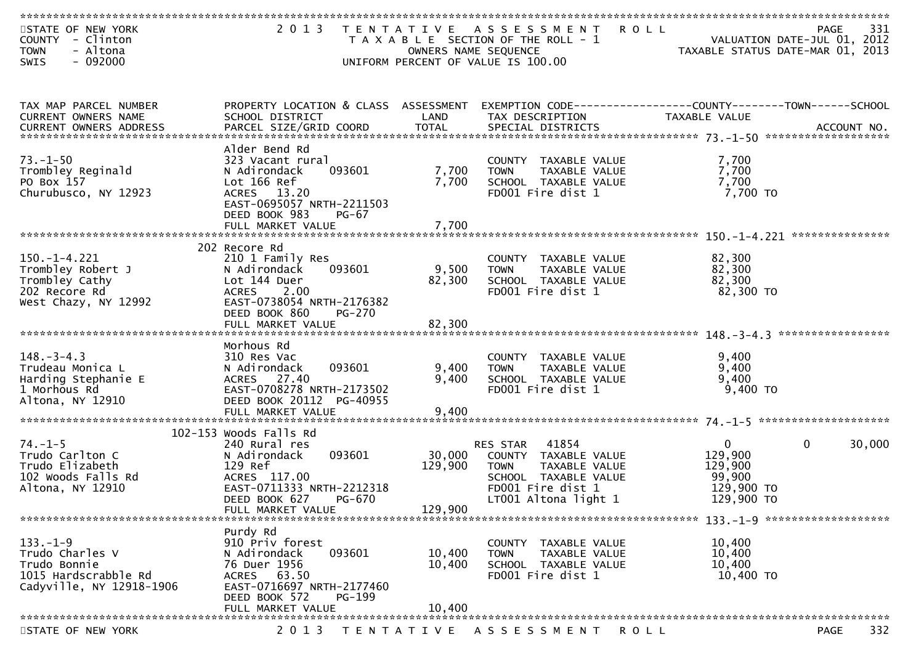| STATE OF NEW YORK<br>COUNTY - Clinton<br>- Altona<br><b>TOWN</b> | 2 0 1 3                                                    | OWNERS NAME SEQUENCE | TENTATIVE ASSESSMENT ROLL<br>T A X A B L E SECTION OF THE ROLL - 1 | VALUATION DATE-JUL 01, 2012<br>TAXABLE STATUS DATE-MAR 01, 2013 | -331<br>PAGE          |
|------------------------------------------------------------------|------------------------------------------------------------|----------------------|--------------------------------------------------------------------|-----------------------------------------------------------------|-----------------------|
| $-092000$<br>SWIS                                                |                                                            |                      | UNIFORM PERCENT OF VALUE IS 100.00                                 |                                                                 |                       |
|                                                                  |                                                            |                      |                                                                    |                                                                 |                       |
| TAX MAP PARCEL NUMBER                                            | PROPERTY LOCATION & CLASS ASSESSMENT                       |                      | EXEMPTION CODE------------------COUNTY--------TOWN------SCHOOL     |                                                                 |                       |
| CURRENT OWNERS NAME                                              | SCHOOL DISTRICT                                            | LAND                 | TAX DESCRIPTION                                                    | <b>TAXABLE VALUE</b>                                            |                       |
|                                                                  |                                                            |                      |                                                                    |                                                                 |                       |
|                                                                  | Alder Bend Rd                                              |                      |                                                                    |                                                                 |                       |
| $73. - 1 - 50$<br>Trombley Reginald                              | 323 Vacant rural<br>093601<br>N Adirondack                 | 7,700                | COUNTY TAXABLE VALUE<br><b>TOWN</b><br>TAXABLE VALUE               | 7,700<br>7,700                                                  |                       |
| PO Box 157                                                       | Lot 166 Ref                                                | 7,700                | SCHOOL TAXABLE VALUE                                               | 7,700                                                           |                       |
| Churubusco, NY 12923                                             | ACRES 13.20                                                |                      | FD001 Fire dist 1                                                  | 7,700 TO                                                        |                       |
|                                                                  | EAST-0695057 NRTH-2211503<br>DEED BOOK 983<br><b>PG-67</b> |                      |                                                                    |                                                                 |                       |
|                                                                  | FULL MARKET VALUE                                          | 7,700                |                                                                    |                                                                 |                       |
|                                                                  |                                                            |                      |                                                                    |                                                                 |                       |
|                                                                  | 202 Recore Rd                                              |                      |                                                                    |                                                                 |                       |
| $150.-1-4.221$<br>Trombley Robert J                              | 210 1 Family Res<br>093601<br>N Adirondack                 | 9,500                | COUNTY TAXABLE VALUE<br>TAXABLE VALUE<br><b>TOWN</b>               | 82,300<br>82,300                                                |                       |
| Trombley Cathy                                                   | Lot 144 Duer                                               | 82,300               | SCHOOL TAXABLE VALUE                                               | 82,300                                                          |                       |
| 202 Recore Rd                                                    | ACRES 2.00                                                 |                      | FD001 Fire dist 1                                                  | 82,300 TO                                                       |                       |
| West Chazy, NY 12992                                             | EAST-0738054 NRTH-2176382                                  |                      |                                                                    |                                                                 |                       |
|                                                                  | DEED BOOK 860<br>PG-270<br>FULL MARKET VALUE               | 82,300               |                                                                    |                                                                 |                       |
|                                                                  |                                                            |                      |                                                                    |                                                                 |                       |
|                                                                  | Morhous Rd                                                 |                      |                                                                    |                                                                 |                       |
| $148. - 3 - 4.3$<br>Trudeau Monica L                             | 310 Res Vac<br>093601<br>N Adirondack                      | 9,400                | COUNTY TAXABLE VALUE<br><b>TOWN</b><br>TAXABLE VALUE               | 9,400<br>9,400                                                  |                       |
| Harding Stephanie E                                              | ACRES 27.40                                                | 9,400                | SCHOOL TAXABLE VALUE                                               | 9,400                                                           |                       |
| 1 Morhous Rd                                                     | EAST-0708278 NRTH-2173502                                  |                      | FD001 Fire dist 1                                                  | $9,400$ TO                                                      |                       |
| Altona, NY 12910                                                 | DEED BOOK 20112 PG-40955                                   |                      |                                                                    |                                                                 |                       |
|                                                                  | FULL MARKET VALUE                                          | 9,400                |                                                                    |                                                                 |                       |
|                                                                  | 102-153 Woods Falls Rd                                     |                      |                                                                    |                                                                 |                       |
| $74. - 1 - 5$                                                    | 240 Rural res                                              |                      | 41854<br>RES STAR                                                  | $\mathbf{0}$                                                    | $\mathbf 0$<br>30,000 |
| Trudo Carlton C<br>Trudo Elizabeth                               | N Adirondack<br>093601<br>129 Ref                          | 30,000<br>129,900    | COUNTY TAXABLE VALUE<br><b>TOWN</b><br>TAXABLE VALUE               | 129,900<br>129,900                                              |                       |
| 102 Woods Falls Rd                                               | ACRES 117.00                                               |                      | SCHOOL TAXABLE VALUE                                               | 99,900                                                          |                       |
| Altona, NY 12910                                                 | EAST-0711333 NRTH-2212318                                  |                      | FD001 Fire dist 1                                                  | 129,900 TO                                                      |                       |
|                                                                  | DEED BOOK 627<br>PG-670                                    |                      | LT001 Altona light 1                                               | 129,900 TO                                                      |                       |
|                                                                  | FULL MARKET VALUE                                          | 129,900              |                                                                    |                                                                 |                       |
|                                                                  | Purdy Rd                                                   |                      |                                                                    |                                                                 |                       |
| $133. - 1 - 9$                                                   | 910 Priv forest                                            |                      | COUNTY TAXABLE VALUE                                               | 10,400                                                          |                       |
| Trudo Charles V<br>Trudo Bonnie                                  | 093601<br>N Adirondack<br>76 Duer 1956                     | 10,400<br>10,400     | TAXABLE VALUE<br>TOWN<br>SCHOOL TAXABLE VALUE                      | 10,400<br>10,400                                                |                       |
| 1015 Hardscrabble Rd                                             | ACRES 63.50                                                |                      | FD001 Fire dist 1                                                  | 10,400 TO                                                       |                       |
| Cadyville, NY 12918-1906                                         | EAST-0716697 NRTH-2177460                                  |                      |                                                                    |                                                                 |                       |
|                                                                  | DEED BOOK 572<br>PG-199                                    |                      |                                                                    |                                                                 |                       |
|                                                                  | FULL MARKET VALUE                                          | 10,400               |                                                                    |                                                                 |                       |
| STATE OF NEW YORK                                                | 2 0 1 3                                                    |                      | TENTATIVE ASSESSMENT<br><b>ROLL</b>                                |                                                                 | 332<br><b>PAGE</b>    |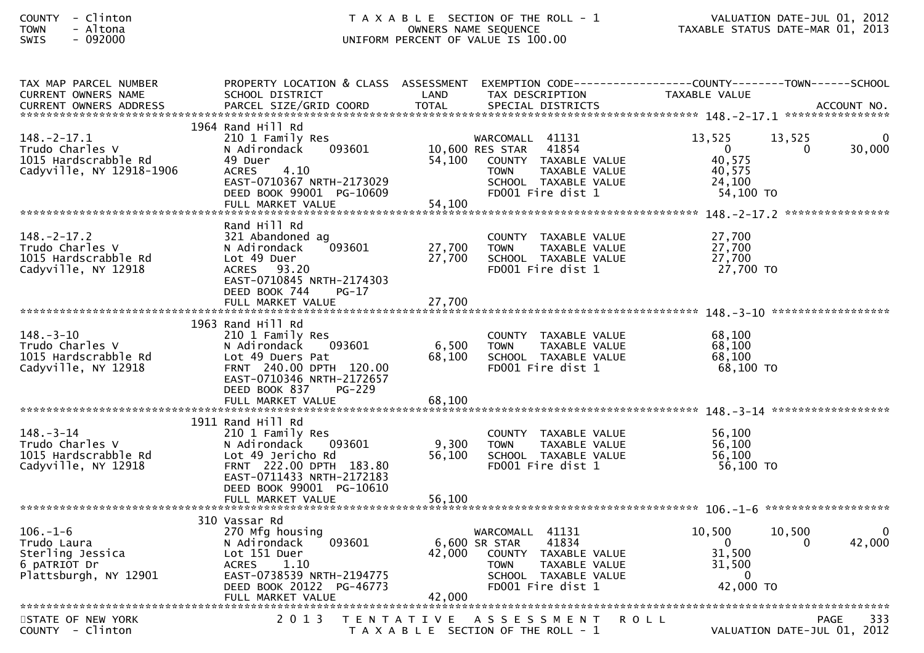| <b>COUNTY</b> | - | Clintor |
|---------------|---|---------|
| <b>TOWN</b>   |   | Altona  |
| $C \cup T C$  |   | . nadan |

### COUNTY - Clinton T A X A B L E SECTION OF THE ROLL - 1 VALUATION DATE-JUL 01, 2012 TOWN - Altona OWNERS NAME SEQUENCE TAXABLE STATUS DATE-MAR 01, 2013SWIS - 092000 UNIFORM PERCENT OF VALUE IS 100.00

| TAX MAP PARCEL NUMBER<br><b>CURRENT OWNERS NAME</b>                                        | PROPERTY LOCATION & CLASS ASSESSMENT<br>SCHOOL DISTRICT                                                                                                                       | LAND             | TAX DESCRIPTION                                                                                                                                  | EXEMPTION        CODE-----------------COUNTY-------TOWN------SCHOOL<br>TAXABLE VALUE                  |  |
|--------------------------------------------------------------------------------------------|-------------------------------------------------------------------------------------------------------------------------------------------------------------------------------|------------------|--------------------------------------------------------------------------------------------------------------------------------------------------|-------------------------------------------------------------------------------------------------------|--|
|                                                                                            |                                                                                                                                                                               |                  |                                                                                                                                                  |                                                                                                       |  |
| $148. - 2 - 17.1$<br>Trudo Charles V<br>1015 Hardscrabble Rd<br>Cadyville, NY 12918-1906   | 1964 Rand Hill Rd<br>210 1 Family Res<br>093601<br>N Adirondack<br>49 Duer<br>4.10<br><b>ACRES</b><br>EAST-0710367 NRTH-2173029<br>DEED BOOK 99001 PG-10609                   | 54,100           | WARCOMALL 41131<br>41854<br>10,600 RES STAR<br>COUNTY TAXABLE VALUE<br><b>TOWN</b><br>TAXABLE VALUE<br>SCHOOL TAXABLE VALUE<br>FD001 Fire dist 1 | 13,525<br>13,525<br>30,000<br>$\Omega$<br>$\Omega$<br>40,575<br>40,575<br>24,100<br>$54,100$ TO       |  |
|                                                                                            | FULL MARKET VALUE                                                                                                                                                             | 54,100           |                                                                                                                                                  |                                                                                                       |  |
| $148. - 2 - 17.2$<br>Trudo Charles V<br>1015 Hardscrabble Rd<br>Cadyville, NY 12918        | Rand Hill Rd<br>321 Abandoned ag<br>093601<br>N Adirondack<br>Lot 49 Duer<br>ACRES 93.20<br>EAST-0710845 NRTH-2174303<br>DEED BOOK 744<br>PG-17                               | 27,700<br>27,700 | COUNTY TAXABLE VALUE<br>TAXABLE VALUE<br><b>TOWN</b><br>SCHOOL TAXABLE VALUE<br>FD001 Fire dist 1                                                | 27,700<br>27,700<br>27,700<br>27,700 TO                                                               |  |
|                                                                                            |                                                                                                                                                                               |                  |                                                                                                                                                  |                                                                                                       |  |
| $148. - 3 - 10$<br>Trudo Charles V<br>1015 Hardscrabble Rd<br>Cadyville, NY 12918          | 1963 Rand Hill Rd<br>210 1 Family Res<br>093601<br>N Adirondack<br>Lot 49 Duers Pat<br>FRNT 240.00 DPTH 120.00<br>EAST-0710346 NRTH-2172657<br>DEED BOOK 837<br><b>PG-229</b> | 6,500<br>68,100  | COUNTY TAXABLE VALUE<br><b>TOWN</b><br>TAXABLE VALUE<br>SCHOOL TAXABLE VALUE<br>FD001 Fire dist 1                                                | 68,100<br>68,100<br>68,100<br>$68,100$ TO                                                             |  |
|                                                                                            |                                                                                                                                                                               |                  |                                                                                                                                                  |                                                                                                       |  |
| $148. - 3 - 14$<br>Trudo Charles V<br>1015 Hardscrabble Rd<br>Cadyville, NY 12918          | 1911 Rand Hill Rd<br>210 1 Family Res<br>N Adirondack 093601<br>Lot 49 Jericho Rd<br>FRNT 222.00 DPTH 183.80<br>EAST-0711433 NRTH-2172183<br>DEED BOOK 99001 PG-10610         | 9,300<br>56,100  | COUNTY TAXABLE VALUE<br><b>TOWN</b><br>TAXABLE VALUE<br>SCHOOL TAXABLE VALUE<br>FD001 Fire dist 1                                                | 56,100<br>56,100<br>56,100<br>56,100 TO                                                               |  |
|                                                                                            |                                                                                                                                                                               |                  |                                                                                                                                                  |                                                                                                       |  |
| $106. - 1 - 6$<br>Trudo Laura<br>Sterling Jessica<br>6 pATRIOT Dr<br>Plattsburgh, NY 12901 | 310 Vassar Rd<br>270 Mfg housing<br>093601<br>N Adirondack<br>Lot 151 Duer<br>ACRES<br>1.10<br>EAST-0738539 NRTH-2194775<br>DEED BOOK 20122 PG-46773                          | 42,000           | WARCOMALL 41131<br>6,600 SR STAR<br>41834<br>COUNTY TAXABLE VALUE<br><b>TOWN</b><br>TAXABLE VALUE<br>SCHOOL TAXABLE VALUE<br>FD001 Fire dist 1   | 10,500<br>10,500<br>42,000<br>$\Omega$<br>$\Omega$<br>31,500<br>31,500<br>$\overline{0}$<br>42,000 TO |  |
| STATE OF NEW YORK<br>COUNTY - Clinton                                                      | 2 0 1 3                                                                                                                                                                       |                  | TENTATIVE ASSESSMENT ROLL<br>T A X A B L E SECTION OF THE ROLL - 1                                                                               | <b>PAGE</b><br>333<br>VALUATION DATE-JUL 01, 2012                                                     |  |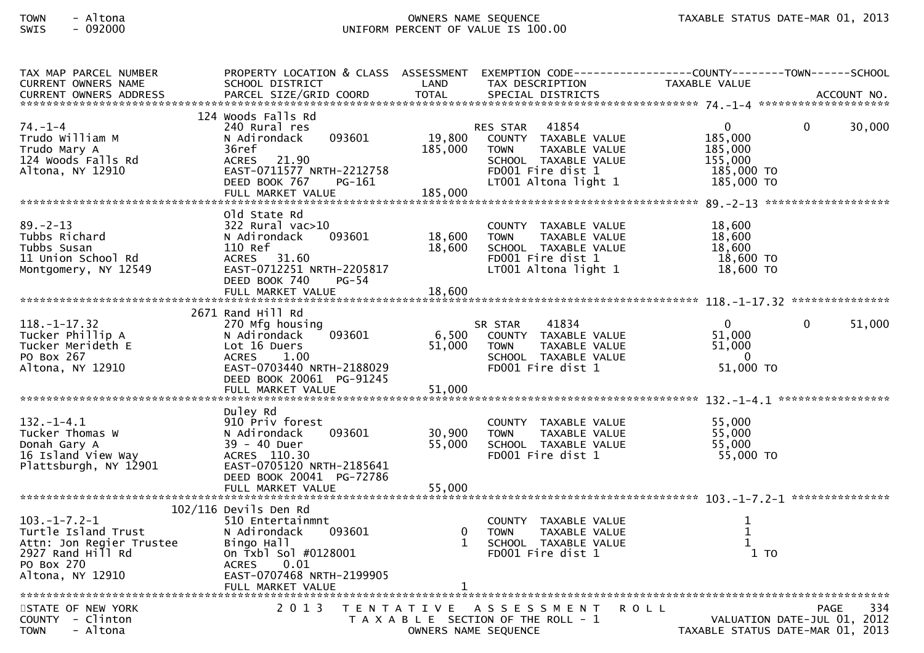# TOWN - Altona OWNERS NAME SEQUENCE TAXABLE STATUS DATE-MAR 01, 2013SWIS - 092000 UNIFORM PERCENT OF VALUE IS 100.00

| TAX MAP PARCEL NUMBER                                                                                                                               | PROPERTY LOCATION & CLASS ASSESSMENT EXEMPTION CODE----------------COUNTY-------TOWN------SCHOOL                                                                 |                              |                                                                                                                                             | TAXABLE VALUE                                                             |                                                        |
|-----------------------------------------------------------------------------------------------------------------------------------------------------|------------------------------------------------------------------------------------------------------------------------------------------------------------------|------------------------------|---------------------------------------------------------------------------------------------------------------------------------------------|---------------------------------------------------------------------------|--------------------------------------------------------|
| CURRENT OWNERS NAME                                                                                                                                 | SCHOOL DISTRICT                                                                                                                                                  | LAND                         | TAX DESCRIPTION                                                                                                                             |                                                                           |                                                        |
|                                                                                                                                                     | 124 Woods Falls Rd                                                                                                                                               |                              |                                                                                                                                             |                                                                           |                                                        |
| $74. - 1 - 4$<br>Trudo William M<br>Trudo Mary A<br>124 Woods Falls Rd<br>Altona, NY 12910                                                          | 240 Rural res<br>093601<br>N Adirondack<br>36ref<br>ACRES 21.90<br>EAST-0711577 NRTH-2212758<br>DEED BOOK 767<br>PG-161<br>FULL MARKET VALUE                     | 19,800<br>185,000<br>185,000 | RES STAR 41854<br>COUNTY TAXABLE VALUE<br><b>TOWN</b><br>TAXABLE VALUE<br>SCHOOL TAXABLE VALUE<br>FD001 Fire dist 1<br>LT001 Altona light 1 | $\mathbf{0}$<br>185,000<br>185,000<br>155,000<br>185,000 TO<br>185,000 TO | 30,000<br>$\mathbf{0}$                                 |
|                                                                                                                                                     |                                                                                                                                                                  |                              |                                                                                                                                             |                                                                           |                                                        |
| $89 - 2 - 13$<br>Tubbs Richard<br>Tubbs Susan<br>11 Union School Rd<br>Montgomery, NY 12549                                                         | old state Rd<br>$322$ Rural vac $>10$<br>093601<br>N Adirondack<br>110 Ref<br>ACRES 31.60<br>EAST-0712251 NRTH-2205817<br>DEED BOOK 740<br>PG-54                 | 18,600<br>18,600             | COUNTY TAXABLE VALUE<br><b>TOWN</b><br>TAXABLE VALUE<br>SCHOOL TAXABLE VALUE<br>FD001 Fire dist 1<br>LT001 Altona light 1                   | 18,600<br>18,600<br>18,600<br>18,600 TO<br>18,600 TO                      |                                                        |
|                                                                                                                                                     |                                                                                                                                                                  |                              |                                                                                                                                             |                                                                           |                                                        |
|                                                                                                                                                     | 2671 Rand Hill Rd                                                                                                                                                |                              |                                                                                                                                             |                                                                           |                                                        |
| $118. - 1 - 17.32$<br>Tucker Phillip A<br>Tucker Merideth E<br>PO Box 267<br>Altona, NY 12910                                                       | 270 Mfg housing<br>093601<br>N Adirondack<br>Lot 16 Duers<br><b>ACRES</b><br>1.00<br>EAST-0703440 NRTH-2188029<br>DEED BOOK 20061 PG-91245                       | 6,500<br>51,000              | 41834<br>SR STAR<br>COUNTY TAXABLE VALUE<br>TAXABLE VALUE<br><b>TOWN</b><br>SCHOOL TAXABLE VALUE<br>FD001 Fire dist 1                       | $\mathbf{0}$<br>51,000<br>51,000<br>$\overline{0}$<br>51,000 TO           | 51,000<br>$\Omega$                                     |
|                                                                                                                                                     | FULL MARKET VALUE                                                                                                                                                | 51,000                       |                                                                                                                                             |                                                                           |                                                        |
| $132. - 1 - 4.1$<br>Tucker Thomas W<br>Donah Gary A<br>⊥o Is∣and View Way<br>Plattsburgh, NY 12901                                                  | Duley Rd<br>910 Priv forest<br>093601<br>N Adirondack<br>39 - 40 Duer<br>ACRES 110.30<br>EAST-0705120 NRTH-2185641<br>DEED BOOK 20041 PG-72786                   | 30,900<br>55,000             | COUNTY TAXABLE VALUE<br><b>TOWN</b><br>TAXABLE VALUE<br>SCHOOL TAXABLE VALUE<br>FD001 Fire dist 1                                           | 55,000<br>55,000<br>55,000<br>55,000 TO                                   |                                                        |
|                                                                                                                                                     |                                                                                                                                                                  |                              |                                                                                                                                             |                                                                           |                                                        |
| $103. - 1 - 7.2 - 1$<br>Turtle Island Trust<br>Attn: Jon Regier Trustee<br>2927 Rand Hill Rd<br>2927 Rand Hill Rd<br>PO Box 270<br>Altona, NY 12910 | $102/116$ Devils Den Rd<br>510 Entertainmnt<br>093601<br>N Adirondack<br>Bingo Hall<br>On Txbl Sol #0128001<br><b>ACRES</b><br>0.01<br>EAST-0707468 NRTH-2199905 | $\mathbf{0}$<br>$\mathbf{1}$ | COUNTY TAXABLE VALUE<br><b>TOWN</b><br>TAXABLE VALUE<br>SCHOOL TAXABLE VALUE<br>FD001 Fire dist 1                                           | $\mathbf{1}$<br>$\mathbf{1}$<br>$\mathbf{1}$<br>$1$ TO                    |                                                        |
| STATE OF NEW YORK<br>COUNTY - Clinton<br>- Altona<br><b>TOWN</b>                                                                                    | 2 0 1 3                                                                                                                                                          |                              | TENTATIVE ASSESSMENT<br>T A X A B L E SECTION OF THE ROLL - 1<br>OWNERS NAME SEQUENCE                                                       | <b>ROLL</b><br>VALUATION DATE-JUL 01, 2012                                | 334<br><b>PAGE</b><br>TAXABLE STATUS DATE-MAR 01, 2013 |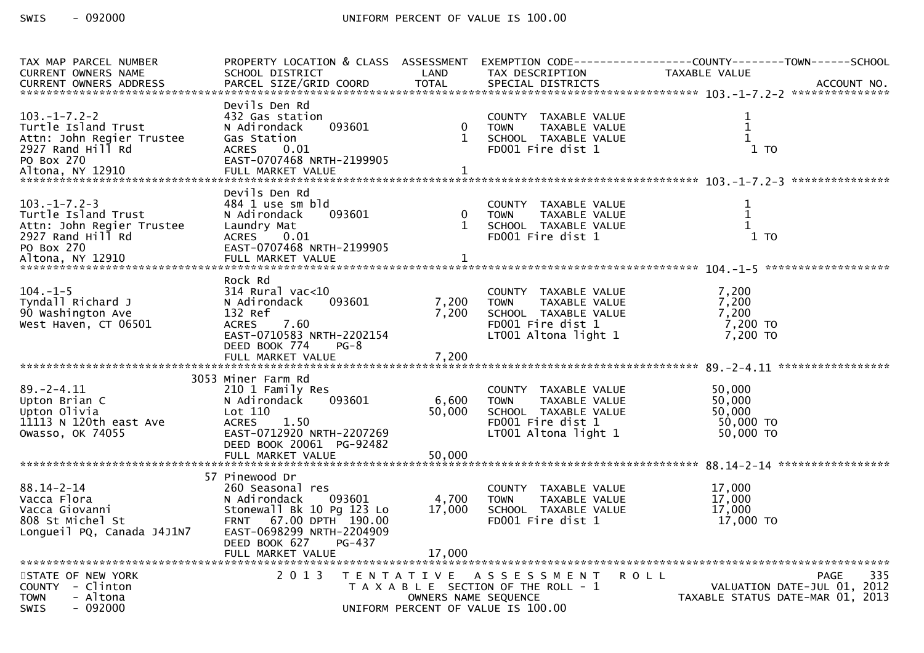| TAX MAP PARCEL NUMBER<br><b>CURRENT OWNERS NAME</b> | PROPERTY LOCATION & CLASS ASSESSMENT<br>SCHOOL DISTRICT | LAND                 | TAX DESCRIPTION                                             | EXEMPTION CODE-----------------COUNTY-------TOWN------SCHOOL<br>TAXABLE VALUE<br>.CURRENT OWNERS ADDRESS PARCEL SIZE/GRID COORD TOTAL SPECIAL DISTRICTS MOTHER ACCOUNT NO ACCOUNT NO AND A SERVERS AND RESERVE TO A SERVERS AND RESERVE TO A SERVERS AND RESERVE TO A SERVERS AND RESERVE TO A SERVERS AND TOTA |
|-----------------------------------------------------|---------------------------------------------------------|----------------------|-------------------------------------------------------------|-----------------------------------------------------------------------------------------------------------------------------------------------------------------------------------------------------------------------------------------------------------------------------------------------------------------|
|                                                     | Devils Den Rd                                           |                      |                                                             |                                                                                                                                                                                                                                                                                                                 |
| $103. -1 - 7.2 - 2$<br>Turtle Island Trust          | 432 Gas station<br>093601<br>N Adirondack               | $\mathbf{0}$         | COUNTY TAXABLE VALUE<br><b>TAXABLE VALUE</b><br><b>TOWN</b> | 1<br>$\mathbf{1}$                                                                                                                                                                                                                                                                                               |
| Attn: John Regier Trustee                           | Gas Station                                             | $\mathbf{1}$         | SCHOOL TAXABLE VALUE                                        | $\mathbf{1}$                                                                                                                                                                                                                                                                                                    |
| 2927 Rand Hill Rd<br>PO Box 270                     | 0.01<br><b>ACRES</b><br>EAST-0707468 NRTH-2199905       |                      | FD001 Fire dist 1                                           | 1T0                                                                                                                                                                                                                                                                                                             |
| Altona, NY 12910                                    | FULL MARKET VALUE                                       | 1                    |                                                             |                                                                                                                                                                                                                                                                                                                 |
|                                                     |                                                         |                      |                                                             |                                                                                                                                                                                                                                                                                                                 |
| $103. -1 - 7.2 - 3$                                 | Devils Den Rd<br>484 1 use sm bld                       |                      | COUNTY TAXABLE VALUE                                        | 1                                                                                                                                                                                                                                                                                                               |
| Turtle Island Trust                                 | 093601<br>N Adirondack                                  | $\mathbf{0}$         | TAXABLE VALUE<br><b>TOWN</b>                                | $\mathbf{1}$                                                                                                                                                                                                                                                                                                    |
| Attn: John Regier Trustee                           | Laundry Mat                                             | $\mathbf{1}$         | SCHOOL TAXABLE VALUE                                        | $\mathbf{1}$                                                                                                                                                                                                                                                                                                    |
| 2927 Rand Hill Rd<br>PO Box 270                     | 0.01<br><b>ACRES</b><br>EAST-0707468 NRTH-2199905       |                      | FD001 Fire dist 1                                           | 1 TO                                                                                                                                                                                                                                                                                                            |
|                                                     |                                                         |                      |                                                             |                                                                                                                                                                                                                                                                                                                 |
|                                                     |                                                         |                      |                                                             |                                                                                                                                                                                                                                                                                                                 |
| $104. -1 - 5$                                       | Rock Rd<br>$314$ Rural vac<10                           |                      | COUNTY TAXABLE VALUE                                        | 7,200                                                                                                                                                                                                                                                                                                           |
| Tyndall Richard J                                   | 093601<br>N Adirondack                                  | 7,200                | TAXABLE VALUE<br><b>TOWN</b>                                | 7,200                                                                                                                                                                                                                                                                                                           |
| 90 Washington Ave                                   | 132 Ref                                                 | 7,200                | SCHOOL TAXABLE VALUE                                        | 7.200                                                                                                                                                                                                                                                                                                           |
| West Haven, CT 06501                                | 7.60<br><b>ACRES</b>                                    |                      | FD001 Fire dist 1                                           | 7,200 TO                                                                                                                                                                                                                                                                                                        |
|                                                     | EAST-0710583 NRTH-2202154                               |                      | LT001 Altona light 1                                        | 7,200 TO                                                                                                                                                                                                                                                                                                        |
|                                                     | DEED BOOK 774<br>$PG-8$                                 |                      |                                                             |                                                                                                                                                                                                                                                                                                                 |
|                                                     |                                                         |                      |                                                             |                                                                                                                                                                                                                                                                                                                 |
|                                                     | 3053 Miner Farm Rd                                      |                      |                                                             |                                                                                                                                                                                                                                                                                                                 |
| $89. - 2 - 4.11$<br>Upton Brian C                   | 210 1 Family Res<br>N Adirondack<br>093601              | 6,600                | COUNTY TAXABLE VALUE<br><b>TAXABLE VALUE</b><br><b>TOWN</b> | 50,000<br>50,000                                                                                                                                                                                                                                                                                                |
| Upton Olivia                                        | Lot 110                                                 | 50,000               | SCHOOL TAXABLE VALUE                                        | 50,000                                                                                                                                                                                                                                                                                                          |
| 11113 N 120th east Ave                              | <b>ACRES</b><br>1.50                                    |                      | FD001 Fire dist 1                                           | 50,000 TO                                                                                                                                                                                                                                                                                                       |
| Owasso, OK 74055                                    | EAST-0712920 NRTH-2207269                               |                      | LT001 Altona light 1                                        | 50,000 TO                                                                                                                                                                                                                                                                                                       |
|                                                     | DEED BOOK 20061 PG-92482                                |                      |                                                             |                                                                                                                                                                                                                                                                                                                 |
|                                                     |                                                         |                      |                                                             |                                                                                                                                                                                                                                                                                                                 |
|                                                     | 57 Pinewood Dr                                          |                      |                                                             |                                                                                                                                                                                                                                                                                                                 |
| $88.14 - 2 - 14$                                    | 260 Seasonal res                                        |                      | COUNTY TAXABLE VALUE                                        | 17,000<br>17,000                                                                                                                                                                                                                                                                                                |
| Vacca Flora<br>Vacca Giovanni                       | N Adirondack<br>093601<br>Stonewall Bk 10 Pg 123 Lo     | 4,700<br>17,000      | TAXABLE VALUE<br><b>TOWN</b><br>SCHOOL TAXABLE VALUE        | 17,000                                                                                                                                                                                                                                                                                                          |
| 808 St Michel St                                    | FRNT 67.00 DPTH 190.00                                  |                      | FD001 Fire dist 1                                           | 17,000 TO                                                                                                                                                                                                                                                                                                       |
| Longueil PQ, Canada J4J1N7                          | EAST-0698299 NRTH-2204909                               |                      |                                                             |                                                                                                                                                                                                                                                                                                                 |
|                                                     | DEED BOOK 627<br>PG-437                                 | 17,000               |                                                             |                                                                                                                                                                                                                                                                                                                 |
|                                                     | FULL MARKET VALUE                                       |                      |                                                             |                                                                                                                                                                                                                                                                                                                 |
| STATE OF NEW YORK                                   | 2 0 1 3                                                 | T E N T A T I V E    | A S S E S S M E N T                                         | 335<br><b>ROLL</b><br><b>PAGE</b>                                                                                                                                                                                                                                                                               |
| COUNTY - Clinton                                    |                                                         |                      | T A X A B L E SECTION OF THE ROLL - 1                       | VALUATION DATE-JUL 01, 2012                                                                                                                                                                                                                                                                                     |
| - Altona<br><b>TOWN</b><br><b>SWIS</b><br>- 092000  |                                                         | OWNERS NAME SEQUENCE | UNIFORM PERCENT OF VALUE IS 100.00                          | TAXABLE STATUS DATE-MAR 01, 2013                                                                                                                                                                                                                                                                                |
|                                                     |                                                         |                      |                                                             |                                                                                                                                                                                                                                                                                                                 |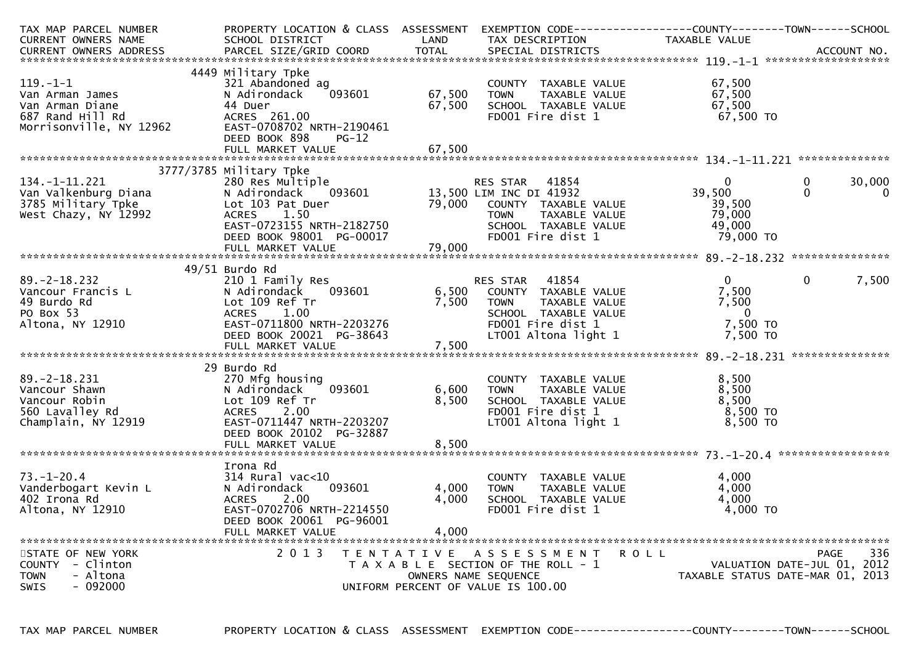| TAX MAP PARCEL NUMBER<br><b>CURRENT OWNERS NAME</b>                                                 | PROPERTY LOCATION & CLASS ASSESSMENT<br>SCHOOL DISTRICT                                                                                                                          | LAND                       | EXEMPTION CODE-----------------COUNTY-------TOWN------SCHOOL<br>TAX DESCRIPTION                                                                | TAXABLE VALUE                                             |                                                                 |
|-----------------------------------------------------------------------------------------------------|----------------------------------------------------------------------------------------------------------------------------------------------------------------------------------|----------------------------|------------------------------------------------------------------------------------------------------------------------------------------------|-----------------------------------------------------------|-----------------------------------------------------------------|
|                                                                                                     |                                                                                                                                                                                  |                            |                                                                                                                                                |                                                           |                                                                 |
|                                                                                                     |                                                                                                                                                                                  |                            |                                                                                                                                                |                                                           |                                                                 |
| $119. - 1 - 1$<br>Van Arman James<br>Van Arman Diane<br>687 Rand Hill Rd<br>Morrisonville, NY 12962 | 4449 Military Tpke<br>321 Abandoned ag<br>093601<br>N Adirondack<br>44 Duer<br>ACRES 261.00<br>EAST-0708702 NRTH-2190461<br>DEED BOOK 898<br>$PG-12$<br>FULL MARKET VALUE        | 67,500<br>67,500<br>67,500 | COUNTY TAXABLE VALUE<br>TAXABLE VALUE<br><b>TOWN</b><br>SCHOOL TAXABLE VALUE<br>FD001 Fire dist 1                                              | 67,500<br>67,500<br>67,500<br>$67,500$ TO                 |                                                                 |
|                                                                                                     |                                                                                                                                                                                  |                            |                                                                                                                                                |                                                           |                                                                 |
| 134. -1 - 11. 221<br>Van Valkenburg Diana<br>3785 Military Tpke<br>West Chazy, NY 12992             | 3777/3785 Military Tpke<br>280 Res Multiple<br>N Adirondack 093601<br>Lot 103 Pat Duer<br>ACRES 1.50<br>EAST-0723155 NRTH-2182750                                                | 79,000                     | 41854<br>RES STAR<br>13,500 LIM INC DI 41932<br>COUNTY TAXABLE VALUE<br><b>TOWN</b><br>TAXABLE VALUE<br>SCHOOL TAXABLE VALUE                   | $\Omega$<br>39,500<br>39,500<br>79,000<br>49,000          | $\mathbf{0}$<br>30,000<br>$\Omega$<br>$\mathbf{0}$              |
|                                                                                                     | DEED BOOK 98001 PG-00017                                                                                                                                                         |                            | FD001 Fire dist 1                                                                                                                              | 79,000 TO                                                 |                                                                 |
|                                                                                                     | FULL MARKET VALUE                                                                                                                                                                | 79,000                     |                                                                                                                                                |                                                           |                                                                 |
|                                                                                                     | $49/51$ Burdo Rd                                                                                                                                                                 |                            |                                                                                                                                                |                                                           |                                                                 |
| $89. - 2 - 18.232$<br>Vancour Francis L<br>49 Burdo Rd<br>PO Box 53<br>Altona, NY 12910             | 210 1 Family Res<br>N Adirondack<br>093601<br>Lot 109 Ref Tr<br><b>ACRES</b><br>1.00<br>EAST-0711800 NRTH-2203276<br>DEED BOOK 20021 PG-38643<br>FULL MARKET VALUE               | 6,500<br>7,500<br>7,500    | 41854<br>RES STAR<br>COUNTY TAXABLE VALUE<br>TAXABLE VALUE<br><b>TOWN</b><br>SCHOOL TAXABLE VALUE<br>FD001 Fire dist 1<br>LT001 Altona light 1 | $\Omega$<br>7,500<br>7,500<br>- 0<br>7,500 TO<br>7,500 TO | $\Omega$<br>7,500                                               |
|                                                                                                     |                                                                                                                                                                                  |                            |                                                                                                                                                |                                                           |                                                                 |
| $89. -2 - 18.231$<br>Vancour Shawn<br>Vancour Robin<br>560 Lavalley Rd<br>Champlain, NY 12919       | 29 Burdo Rd<br>270 Mfg housing<br>N Adirondack<br>093601<br>Lot 109 Ref Tr<br>2.00<br><b>ACRES</b><br>EAST-0711447 NRTH-2203207<br>DEED BOOK 20102 PG-32887<br>FULL MARKET VALUE | 6,600<br>8,500<br>8,500    | COUNTY TAXABLE VALUE<br>TAXABLE VALUE<br><b>TOWN</b><br>SCHOOL TAXABLE VALUE<br>FD001 Fire dist 1<br>LT001 Altona light 1                      | 8,500<br>8,500<br>8,500<br>$8,500$ TO<br>8,500 TO         |                                                                 |
|                                                                                                     |                                                                                                                                                                                  |                            |                                                                                                                                                |                                                           |                                                                 |
| $73. - 1 - 20.4$<br>Vanderbogart Kevin L<br>402 Irona Rd<br>Altona, NY 12910                        | Irona Rd<br>$314$ Rural vac<10<br>093601<br>N Adirondack<br>2.00<br><b>ACRES</b><br>EAST-0702706 NRTH-2214550<br>DEED BOOK 20061 PG-96001<br>FULL MARKET VALUE                   | 4,000<br>4,000<br>4,000    | COUNTY TAXABLE VALUE<br>TAXABLE VALUE<br><b>TOWN</b><br>SCHOOL TAXABLE VALUE<br>FD001 Fire dist 1                                              | 4.000<br>4,000<br>4,000<br>4,000 TO                       |                                                                 |
| STATE OF NEW YORK                                                                                   | 2 0 1 3                                                                                                                                                                          |                            | TENTATIVE ASSESSMENT                                                                                                                           | R O L L                                                   | 336<br><b>PAGE</b>                                              |
| COUNTY - Clinton<br><b>TOWN</b><br>- Altona<br><b>SWIS</b><br>$-092000$                             |                                                                                                                                                                                  |                            | T A X A B L E SECTION OF THE ROLL - 1<br>OWNERS NAME SEQUENCE<br>UNIFORM PERCENT OF VALUE IS 100.00                                            |                                                           | VALUATION DATE-JUL 01, 2012<br>TAXABLE STATUS DATE-MAR 01, 2013 |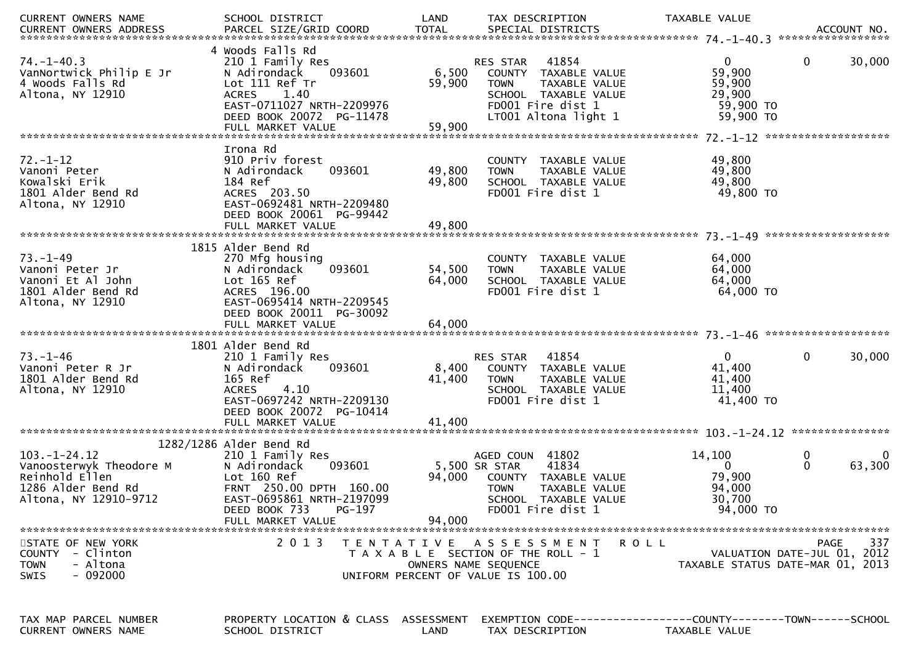| CURRENT OWNERS NAME                                                                                            | SCHOOL DISTRICT                                                                                                                                                                              | LAND<br>TAX DESCRIPTION                                                                                                                                                  | TAXABLE VALUE<br>ACCOUNT NO.<br>*****************                                                       |
|----------------------------------------------------------------------------------------------------------------|----------------------------------------------------------------------------------------------------------------------------------------------------------------------------------------------|--------------------------------------------------------------------------------------------------------------------------------------------------------------------------|---------------------------------------------------------------------------------------------------------|
| $74. - 1 - 40.3$<br>VanNortwick Philip E Jr<br>4 Woods Falls Rd<br>Altona, NY 12910                            | 4 Woods Falls Rd<br>210 1 Family Res<br>093601<br>N Adirondack<br>Lot 111 Ref Tr<br><b>ACRES</b><br>1.40<br>EAST-0711027 NRTH-2209976<br>DEED BOOK 20072 PG-11478                            | 41854<br><b>RES STAR</b><br>6,500<br>COUNTY TAXABLE VALUE<br>59,900<br>TAXABLE VALUE<br><b>TOWN</b><br>SCHOOL TAXABLE VALUE<br>FD001 Fire dist 1<br>LT001 Altona light 1 | $\mathbf{0}$<br>30,000<br>$\mathbf{0}$<br>59,900<br>59,900<br>29,900<br>59,900 TO<br>59,900 TO          |
| $72. - 1 - 12$<br>Vanoni Peter<br>Kowalski Erik<br>1801 Alder Bend Rd<br>Altona, NY 12910                      | Irona Rd<br>910 Priv forest<br>093601<br>N Adirondack<br>184 Ref<br>ACRES 203.50<br>EAST-0692481 NRTH-2209480<br>DEED BOOK 20061 PG-99442<br>FULL MARKET VALUE                               | <b>COUNTY</b><br>TAXABLE VALUE<br>49,800<br><b>TOWN</b><br>TAXABLE VALUE<br>49,800<br>SCHOOL TAXABLE VALUE<br>FD001 Fire dist 1<br>49,800                                | 49,800<br>49,800<br>49,800<br>49,800 TO                                                                 |
| $73. - 1 - 49$<br>Vanoni Peter Jr<br>Vanoni Et Al John<br>1801 Alder Bend Rd<br>Altona, NY 12910               | 1815 Alder Bend Rd<br>270 Mfg housing<br>093601<br>N Adirondack<br>Lot 165 Ref<br>ACRES 196.00<br>EAST-0695414 NRTH-2209545<br>DEED BOOK 20011 PG-30092                                      | <b>COUNTY</b><br>TAXABLE VALUE<br>54,500<br><b>TOWN</b><br>TAXABLE VALUE<br>64,000<br>SCHOOL TAXABLE VALUE<br>FD001 Fire dist 1                                          | 64,000<br>64,000<br>64,000<br>64,000 TO                                                                 |
| $73. - 1 - 46$<br>Vanoni Peter R Jr<br>1801 Alder Bend Rd<br>Altona, NY 12910                                  | 1801 Alder Bend Rd<br>210 1 Family Res<br>093601<br>N Adirondack<br>165 Ref<br>4.10<br><b>ACRES</b><br>EAST-0697242 NRTH-2209130<br>DEED BOOK 20072 PG-10414<br>FULL MARKET VALUE            | 41854<br><b>RES STAR</b><br>8,400<br>COUNTY TAXABLE VALUE<br>41,400<br><b>TOWN</b><br>TAXABLE VALUE<br>SCHOOL TAXABLE VALUE<br>FD001 Fire dist 1<br>41,400               | $\Omega$<br>$\mathbf 0$<br>30,000<br>41,400<br>41,400<br>11,400<br>41,400 TO                            |
| $103. - 1 - 24.12$<br>Vanoosterwyk Theodore M<br>Reinhold Ellen<br>1286 Alder Bend Rd<br>Altona, NY 12910-9712 | 1282/1286 Alder Bend Rd<br>210 1 Family Res<br>N Adirondack<br>093601<br>Lot 160 Ref<br>FRNT 250.00 DPTH 160.00<br>EAST-0695861 NRTH-2197099<br>DEED BOOK 733<br>PG-197<br>FULL MARKET VALUE | AGED COUN 41802<br>41834<br>5,500 SR STAR<br>94,000<br>COUNTY TAXABLE VALUE<br><b>TOWN</b><br>TAXABLE VALUE<br>SCHOOL TAXABLE VALUE<br>FD001 Fire dist 1<br>94,000       | 14,100<br>$\bf{0}$<br>$\mathbf{0}$<br>63,300<br>$\mathbf{0}$<br>79,900<br>94,000<br>30,700<br>94,000 TO |
| STATE OF NEW YORK<br>COUNTY - Clinton<br>- Altona<br><b>TOWN</b><br>- 092000<br>SWIS                           | 2 0 1 3                                                                                                                                                                                      | TENTATIVE ASSESSMENT<br>T A X A B L E SECTION OF THE ROLL - 1<br>OWNERS NAME SEQUENCE<br>UNIFORM PERCENT OF VALUE IS 100.00                                              | 337<br><b>ROLL</b><br><b>PAGE</b><br>VALUATION DATE-JUL 01, 2012<br>TAXABLE STATUS DATE-MAR 01, 2013    |
| TAX MAP PARCEL NUMBER<br><b>CURRENT OWNERS NAME</b>                                                            | PROPERTY LOCATION & CLASS ASSESSMENT<br>SCHOOL DISTRICT                                                                                                                                      | LAND<br>TAX DESCRIPTION                                                                                                                                                  | EXEMPTION CODE------------------COUNTY--------TOWN------SCHOOL<br>TAXABLE VALUE                         |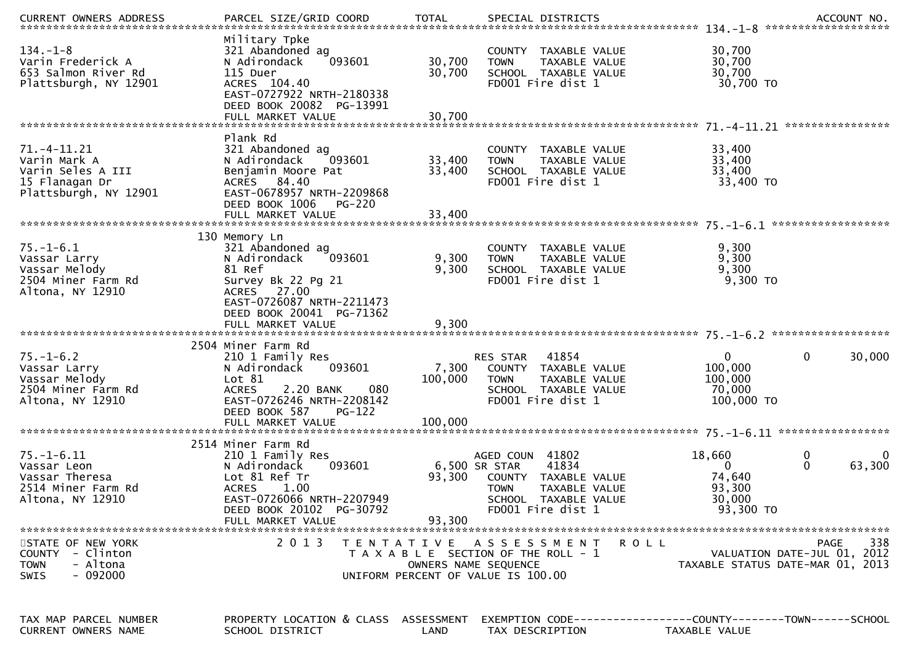|                                                                                                 |                                                                                                                                                                          |                                           |                                                                                                                                                |                                                                   | ACCOUNT NO.<br>*******************                                             |
|-------------------------------------------------------------------------------------------------|--------------------------------------------------------------------------------------------------------------------------------------------------------------------------|-------------------------------------------|------------------------------------------------------------------------------------------------------------------------------------------------|-------------------------------------------------------------------|--------------------------------------------------------------------------------|
| $134. - 1 - 8$<br>Varin Frederick A<br>653 Salmon River Rd<br>Plattsburgh, NY 12901             | Military Tpke<br>321 Abandoned ag<br>N Adirondack<br>093601<br>115 Duer<br>ACRES 104.40<br>EAST-0727922 NRTH-2180338<br>DEED BOOK 20082 PG-13991                         | 30,700<br>30,700                          | COUNTY TAXABLE VALUE<br>TAXABLE VALUE<br><b>TOWN</b><br>SCHOOL TAXABLE VALUE<br>FD001 Fire dist 1                                              | 30,700<br>30,700<br>30,700<br>30,700 TO                           |                                                                                |
|                                                                                                 |                                                                                                                                                                          |                                           |                                                                                                                                                |                                                                   |                                                                                |
|                                                                                                 | Plank Rd                                                                                                                                                                 |                                           |                                                                                                                                                |                                                                   |                                                                                |
| 71. -4 - 11. 21<br>Varin Mark A<br>Varin Seles A III<br>15 Flanagan Dr<br>Plattsburgh, NY 12901 | 321 Abandoned ag<br>093601<br>N Adirondack<br>Benjamin Moore Pat<br>ACRES 84.40<br>EAST-0678957 NRTH-2209868<br>DEED BOOK 1006<br><b>PG-220</b>                          | 33,400<br>33,400                          | COUNTY TAXABLE VALUE<br>TAXABLE VALUE<br><b>TOWN</b><br>SCHOOL TAXABLE VALUE<br>FD001 Fire dist 1                                              | 33,400<br>33,400<br>33,400<br>33,400 TO                           |                                                                                |
|                                                                                                 | FULL MARKET VALUE                                                                                                                                                        | 33,400                                    |                                                                                                                                                |                                                                   |                                                                                |
| $75. - 1 - 6.1$<br>Vassar Larry<br>Vassar Melody<br>2504 Miner Farm Rd<br>Altona, NY 12910      | 130 Memory Ln<br>321 Abandoned ag<br>N Adirondack<br>093601<br>81 Ref<br>Survey Bk 22 Pg 21<br>ACRES 27.00<br>EAST-0726087 NRTH-2211473<br>DEED BOOK 20041 PG-71362      | 9,300<br>9,300                            | COUNTY TAXABLE VALUE<br>TAXABLE VALUE<br><b>TOWN</b><br>SCHOOL TAXABLE VALUE<br>FD001 Fire dist 1                                              | 9,300<br>9,300<br>9,300<br>9,300 TO                               |                                                                                |
|                                                                                                 | FULL MARKET VALUE                                                                                                                                                        | 9,300                                     |                                                                                                                                                |                                                                   |                                                                                |
|                                                                                                 |                                                                                                                                                                          |                                           |                                                                                                                                                |                                                                   |                                                                                |
| $75. - 1 - 6.2$<br>Vassar Larry<br>Vassar Melody<br>2504 Miner Farm Rd<br>Altona, NY 12910      | 2504 Miner Farm Rd<br>210 1 Family Res<br>093601<br>N Adirondack<br>Lot 81<br>2.20 BANK<br>080<br><b>ACRES</b><br>EAST-0726246 NRTH-2208142<br>DEED BOOK 587<br>$PG-122$ | 7,300<br>100,000                          | 41854<br>RES STAR<br>COUNTY TAXABLE VALUE<br>TAXABLE VALUE<br><b>TOWN</b><br>SCHOOL TAXABLE VALUE<br>FD001 Fire dist 1                         | 0<br>100,000<br>100,000<br>70,000<br>100,000 TO                   | 0<br>30,000                                                                    |
|                                                                                                 | FULL MARKET VALUE                                                                                                                                                        | 100,000                                   |                                                                                                                                                |                                                                   |                                                                                |
|                                                                                                 | 2514 Miner Farm Rd                                                                                                                                                       |                                           |                                                                                                                                                |                                                                   |                                                                                |
| $75. - 1 - 6.11$<br>Vassar Leon<br>Vassar Theresa<br>2514 Miner Farm Rd<br>Altona, NY 12910     | 210 1 Family Res<br>093601<br>N Adirondack<br>Lot 81 Ref Tr<br><b>ACRES</b><br>1.00<br>EAST-0726066 NRTH-2207949<br>DEED BOOK 20102 PG-30792                             | 93,300                                    | AGED COUN 41802<br>41834<br>6,500 SR STAR<br>COUNTY TAXABLE VALUE<br>TAXABLE VALUE<br><b>TOWN</b><br>SCHOOL TAXABLE VALUE<br>FD001 Fire dist 1 | 18,660<br>$\mathbf{0}$<br>74,640<br>93,300<br>30,000<br>93,300 TO | 0<br>0<br>63,300                                                               |
|                                                                                                 | FULL MARKET VALUE                                                                                                                                                        | 93,300                                    |                                                                                                                                                |                                                                   |                                                                                |
| STATE OF NEW YORK<br>COUNTY - Clinton<br>- Altona<br><b>TOWN</b><br>$-092000$<br><b>SWIS</b>    | 2 0 1 3                                                                                                                                                                  | T E N T A T I V E<br>OWNERS NAME SEQUENCE | A S S E S S M E N T<br>T A X A B L E SECTION OF THE ROLL - 1<br>UNIFORM PERCENT OF VALUE IS 100.00                                             | <b>ROLL</b>                                                       | 338<br>PAGE<br>VALUATION DATE-JUL 01, 2012<br>TAXABLE STATUS DATE-MAR 01, 2013 |
| TAX MAP PARCEL NUMBER<br>CURRENT OWNERS NAME                                                    | PROPERTY LOCATION & CLASS ASSESSMENT<br>SCHOOL DISTRICT                                                                                                                  | LAND                                      | EXEMPTION CODE-----------------COUNTY-------TOWN------SCHOOL<br>TAX DESCRIPTION                                                                | TAXABLE VALUE                                                     |                                                                                |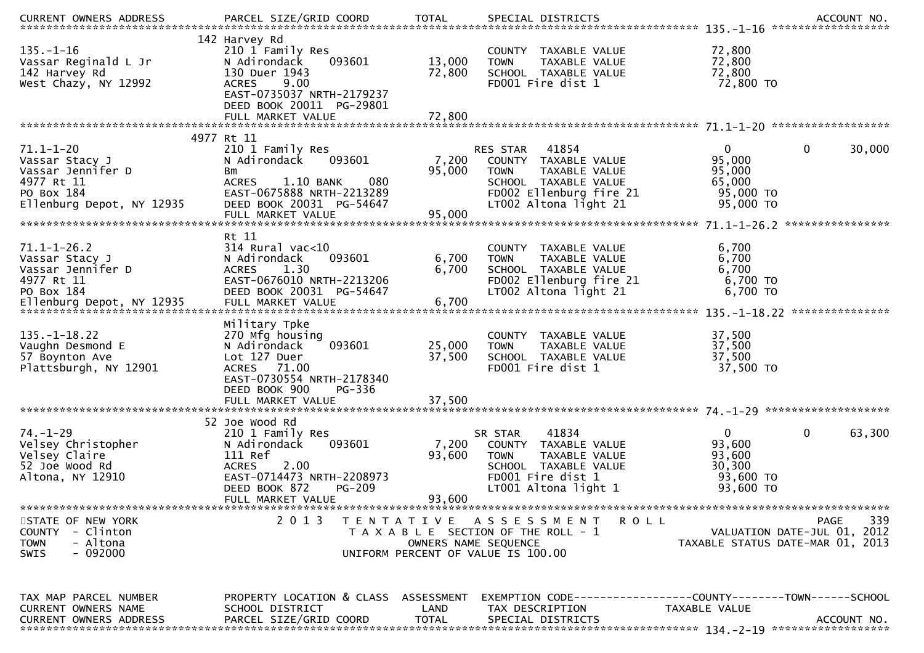| CURRENT OWNERS ADDRESS                                                                                          | PARCEL SIZE/GRID COORD                                                                                                                                        | <b>TOTAL</b>         | SPECIAL DISTRICTS                                                                                                                                  |                                                                                      | ACCOUNT NO. |
|-----------------------------------------------------------------------------------------------------------------|---------------------------------------------------------------------------------------------------------------------------------------------------------------|----------------------|----------------------------------------------------------------------------------------------------------------------------------------------------|--------------------------------------------------------------------------------------|-------------|
| $135. - 1 - 16$<br>Vassar Reginald L Jr<br>142 Harvey Rd<br>West Chazy, NY 12992                                | 142 Harvey Rd<br>210 1 Family Res<br>093601<br>N Adirondack<br>130 Duer 1943<br>9.00<br><b>ACRES</b><br>EAST-0735037 NRTH-2179237<br>DEED BOOK 20011 PG-29801 | 13,000<br>72,800     | COUNTY TAXABLE VALUE<br><b>TOWN</b><br>TAXABLE VALUE<br>SCHOOL TAXABLE VALUE<br>FD001 Fire dist 1                                                  | 72,800<br>72,800<br>72,800<br>72,800 TO                                              |             |
|                                                                                                                 | FULL MARKET VALUE                                                                                                                                             | 72,800               |                                                                                                                                                    |                                                                                      |             |
|                                                                                                                 | 4977 Rt 11                                                                                                                                                    |                      |                                                                                                                                                    |                                                                                      |             |
| $71.1 - 1 - 20$<br>Vassar Stacy J<br>Vassar Jennifer D<br>4977 Rt 11<br>PO Box 184<br>Ellenburg Depot, NY 12935 | 210 1 Family Res<br>093601<br>N Adirondack<br>Bm<br>080<br>1.10 BANK<br><b>ACRES</b><br>EAST-0675888 NRTH-2213289<br>DEED BOOK 20031 PG-54647                 | 7,200<br>95,000      | RES STAR 41854<br>COUNTY TAXABLE VALUE<br><b>TOWN</b><br>TAXABLE VALUE<br>SCHOOL TAXABLE VALUE<br>FD002 Ellenburg fire 21<br>LT002 Altona light 21 | $\mathbf{0}$<br>$\mathbf{0}$<br>95,000<br>95,000<br>65,000<br>95,000 TO<br>95,000 TO | 30,000      |
|                                                                                                                 | FULL MARKET VALUE                                                                                                                                             | 95,000               |                                                                                                                                                    |                                                                                      |             |
| $71.1 - 1 - 26.2$<br>Vassar Stacy J<br>Vassar Jennifer D<br>4977 Rt 11<br>PO Box 184                            | Rt 11<br>$314$ Rural vac<10<br>093601<br>N Adirondack<br>ACRES<br>1.30<br>EAST-0676010 NRTH-2213206<br>DEED BOOK 20031 PG-54647                               | 6,700<br>6,700       | COUNTY TAXABLE VALUE<br>TAXABLE VALUE<br><b>TOWN</b><br>SCHOOL TAXABLE VALUE<br>FD002 Ellenburg fire 21<br>LT002 Altona light 21                   | 6,700<br>6,700<br>6,700<br>6,700 TO<br>6,700 TO                                      |             |
|                                                                                                                 | Military Tpke                                                                                                                                                 |                      |                                                                                                                                                    |                                                                                      |             |
| $135. - 1 - 18.22$<br>Vaughn Desmond E<br>57 Boynton Ave<br>Plattsburgh, NY 12901                               | 270 Mfg housing<br>093601<br>N Adirondack<br>Lot 127 Duer<br>ACRES 71.00<br>EAST-0730554 NRTH-2178340<br>DEED BOOK 900<br>PG-336                              | 25,000<br>37,500     | COUNTY TAXABLE VALUE<br>TAXABLE VALUE<br><b>TOWN</b><br>SCHOOL TAXABLE VALUE<br>FD001 Fire dist 1                                                  | 37,500<br>37,500<br>37,500<br>37,500 TO                                              |             |
|                                                                                                                 |                                                                                                                                                               |                      |                                                                                                                                                    |                                                                                      |             |
| $74. - 1 - 29$<br>Velsey Christopher<br>Velsey Claire<br>52 Joe Wood Rd<br>Altona, NY 12910                     | 52 Joe Wood Rd<br>210 1 Family Res<br>093601<br>N Adirondack<br>111 Ref<br>2.00<br><b>ACRES</b><br>EAST-0714473 NRTH-2208973<br>PG-209<br>DEED BOOK 872       | 7,200<br>93,600      | 41834<br>SR STAR<br>COUNTY TAXABLE VALUE<br><b>TOWN</b><br>TAXABLE VALUE<br>SCHOOL TAXABLE VALUE<br>FD001 Fire dist 1<br>LT001 Altona light 1      | $\mathbf 0$<br>$\mathbf 0$<br>93,600<br>93,600<br>30,300<br>93,600 TO<br>93,600 TO   | 63,300      |
|                                                                                                                 | FULL MARKET VALUE                                                                                                                                             | 93,600               |                                                                                                                                                    |                                                                                      |             |
| STATE OF NEW YORK<br>COUNTY - Clinton<br>- Altona<br><b>TOWN</b><br>- 092000<br><b>SWIS</b>                     | 2 0 1 3<br>T E N T A T I V E                                                                                                                                  | OWNERS NAME SEQUENCE | A S S E S S M E N T<br>ROLL<br>T A X A B L E SECTION OF THE ROLL - 1<br>UNIFORM PERCENT OF VALUE IS 100.00                                         | PAGE<br>VALUATION DATE-JUL 01, 2012<br>TAXABLE STATUS DATE-MAR 01, 2013              | 339         |
| TAX MAP PARCEL NUMBER<br>CURRENT OWNERS NAME<br>CURRENT OWNERS ADDRESS                                          | PROPERTY LOCATION & CLASS ASSESSMENT<br>SCHOOL DISTRICT<br>PARCEL SIZE/GRID COORD                                                                             | LAND<br><b>TOTAL</b> | TAX DESCRIPTION<br>SPECIAL DISTRICTS                                                                                                               | EXEMPTION CODE------------------COUNTY--------TOWN------SCHOOL<br>TAXABLE VALUE      | ACCOUNT NO. |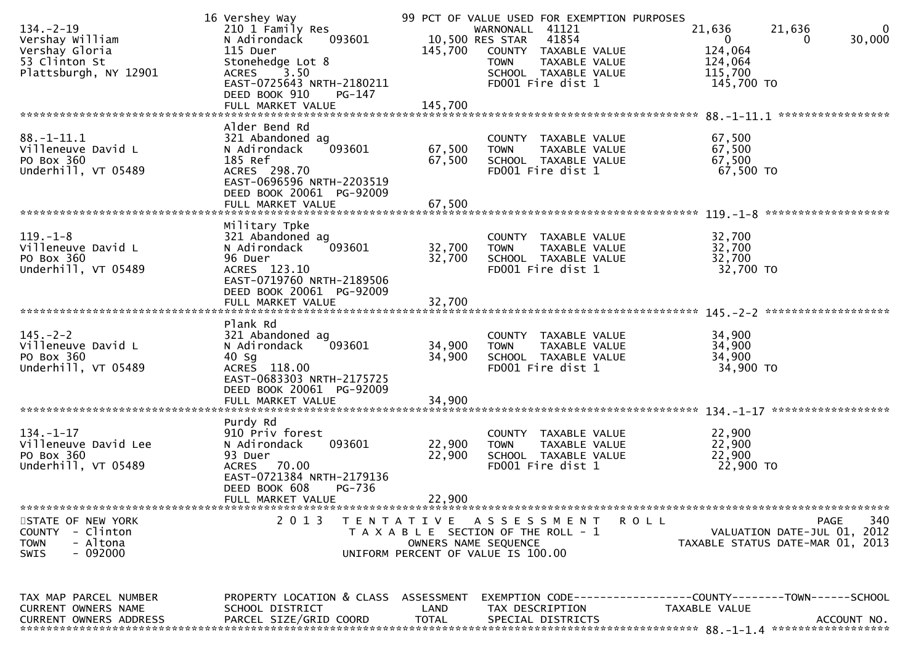| TAX MAP PARCEL NUMBER<br>CURRENT OWNERS NAME<br><b>CURRENT OWNERS ADDRESS</b>                          | PROPERTY LOCATION & CLASS ASSESSMENT<br>SCHOOL DISTRICT<br>PARCEL SIZE/GRID COORD                                                          | LAND<br><b>TOTAL</b>                                                            | EXEMPTION CODE---<br>TAX DESCRIPTION<br>SPECIAL DISTRICTS                                         | -------------COUNTY--------TOWN------SCHOOL<br>TAXABLE VALUE | ACCOUNT NO.                                       |
|--------------------------------------------------------------------------------------------------------|--------------------------------------------------------------------------------------------------------------------------------------------|---------------------------------------------------------------------------------|---------------------------------------------------------------------------------------------------|--------------------------------------------------------------|---------------------------------------------------|
| STATE OF NEW YORK<br>- Clinton<br><b>COUNTY</b><br><b>TOWN</b><br>- Altona<br>$-092000$<br><b>SWIS</b> | 2 0 1 3                                                                                                                                    | T E N T A T I V E<br>OWNERS NAME SEQUENCE<br>UNIFORM PERCENT OF VALUE IS 100.00 | A S S E S S M E N T<br>T A X A B L E SECTION OF THE ROLL - 1                                      | <b>ROLL</b><br>TAXABLE STATUS DATE-MAR 01, 2013              | 340<br><b>PAGE</b><br>VALUATION DATE-JUL 01, 2012 |
|                                                                                                        | DEED BOOK 608<br><b>PG-736</b><br>FULL MARKET VALUE                                                                                        | 22,900                                                                          |                                                                                                   |                                                              |                                                   |
| $134. - 1 - 17$<br>Villeneuve David Lee<br>PO Box 360<br>Underhill, VT 05489                           | Purdy Rd<br>910 Priv forest<br>093601<br>N Adirondack<br>93 Duer<br>70.00<br><b>ACRES</b><br>EAST-0721384 NRTH-2179136                     | 22,900<br>22,900                                                                | COUNTY TAXABLE VALUE<br>TAXABLE VALUE<br><b>TOWN</b><br>SCHOOL TAXABLE VALUE<br>FD001 Fire dist 1 | 22,900<br>22,900<br>22,900<br>22,900 TO                      |                                                   |
|                                                                                                        | FULL MARKET VALUE                                                                                                                          | 34,900                                                                          |                                                                                                   | $134. - 1 - 17$                                              | ******************                                |
| $145. - 2 - 2$<br>Villeneuve David L<br>PO Box 360<br>Underhill, VT 05489                              | Plank Rd<br>321 Abandoned ag<br>093601<br>N Adirondack<br>$40$ Sg<br>ACRES 118.00<br>EAST-0683303 NRTH-2175725<br>DEED BOOK 20061 PG-92009 | 34,900<br>34,900                                                                | COUNTY TAXABLE VALUE<br>TAXABLE VALUE<br><b>TOWN</b><br>SCHOOL TAXABLE VALUE<br>FD001 Fire dist 1 | 34,900<br>34,900<br>34,900<br>34,900 TO                      |                                                   |
|                                                                                                        | DEED BOOK 20061 PG-92009<br>FULL MARKET VALUE                                                                                              | 32,700                                                                          |                                                                                                   |                                                              |                                                   |
| $119. - 1 - 8$<br>Villeneuve David L<br>PO Box 360<br>Underhill, VT 05489                              | Military Tpke<br>321 Abandoned ag<br>N Adirondack<br>093601<br>96 Duer<br>ACRES 123.10<br>EAST-0719760 NRTH-2189506                        | 32,700<br>32,700                                                                | COUNTY TAXABLE VALUE<br>TAXABLE VALUE<br><b>TOWN</b><br>SCHOOL TAXABLE VALUE<br>FD001 Fire dist 1 | 32,700<br>32,700<br>32,700<br>32,700 TO                      |                                                   |
|                                                                                                        | EAST-0696596 NRTH-2203519<br>DEED BOOK 20061 PG-92009<br>FULL MARKET VALUE                                                                 | 67,500                                                                          |                                                                                                   |                                                              | *******************                               |
| $88. - 1 - 11.1$<br>Villeneuve David L<br>PO Box 360<br>Underhill, VT 05489                            | Alder Bend Rd<br>321 Abandoned ag<br>N Adirondack<br>093601<br>185 Ref<br>ACRES 298.70                                                     | 67,500<br>67,500                                                                | COUNTY TAXABLE VALUE<br>TAXABLE VALUE<br><b>TOWN</b><br>SCHOOL TAXABLE VALUE<br>FD001 Fire dist 1 | 67,500<br>67,500<br>67,500<br>67,500 TO                      |                                                   |
|                                                                                                        |                                                                                                                                            |                                                                                 |                                                                                                   |                                                              |                                                   |
| 53 Clinton St<br>Plattsburgh, NY 12901                                                                 | Stonehedge Lot 8<br>3.50<br><b>ACRES</b><br>EAST-0725643 NRTH-2180211<br>DEED BOOK 910<br>PG-147                                           |                                                                                 | TAXABLE VALUE<br><b>TOWN</b><br>SCHOOL TAXABLE VALUE<br>FD001 Fire dist 1                         | 124,064<br>115,700<br>145,700 TO                             |                                                   |
| $134. - 2 - 19$<br>Vershay William<br>Vershay Gloria                                                   | 16 Vershey Way<br>210 1 Family Res<br>093601<br>N Adirondack<br>115 Duer                                                                   | 10,500 RES STAR<br>145,700                                                      | 99 PCT OF VALUE USED FOR EXEMPTION PURPOSES<br>WARNONALL 41121<br>41854<br>COUNTY TAXABLE VALUE   | 21,636<br>21,636<br>0<br>124,064                             | 30,000<br>0                                       |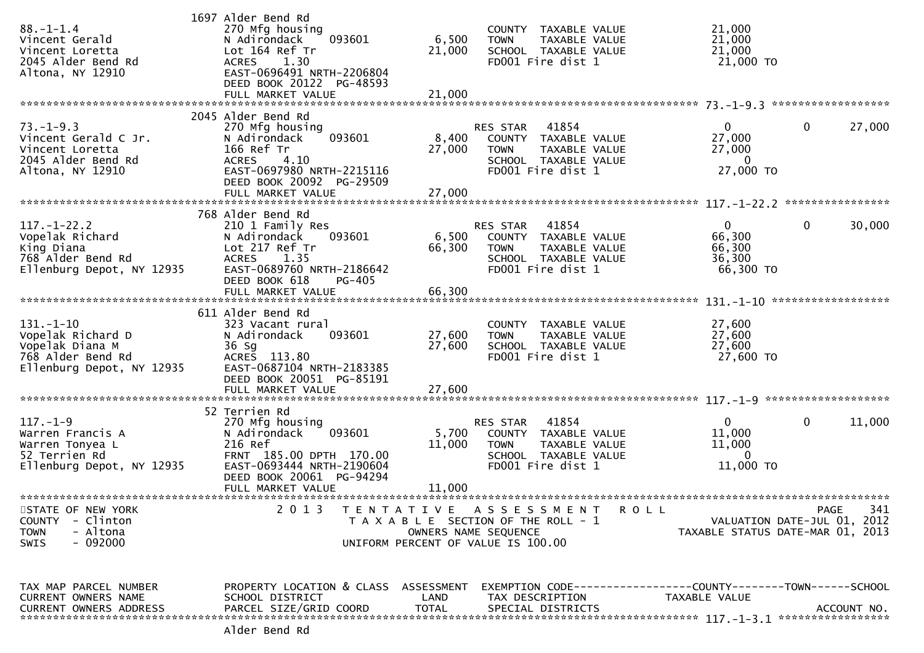| $88. - 1 - 1.4$<br>Vincent Gerald<br>Vincent Loretta<br>2045 Alder Bend Rd<br>Altona, NY 12910            | 1697 Alder Bend Rd<br>270 Mfg housing<br>093601<br>N Adirondack<br>Lot 164 Ref Tr<br>1.30<br><b>ACRES</b><br>EAST-0696491 NRTH-2206804<br>DEED BOOK 20122 PG-48593     | COUNTY TAXABLE VALUE<br>6,500<br>TAXABLE VALUE<br><b>TOWN</b><br>21,000<br>SCHOOL TAXABLE VALUE<br>FD001 Fire dist 1                      | 21,000<br>21,000<br>21,000<br>21,000 TO                                                |
|-----------------------------------------------------------------------------------------------------------|------------------------------------------------------------------------------------------------------------------------------------------------------------------------|-------------------------------------------------------------------------------------------------------------------------------------------|----------------------------------------------------------------------------------------|
|                                                                                                           | 2045 Alder Bend Rd                                                                                                                                                     |                                                                                                                                           |                                                                                        |
| $73. - 1 - 9.3$<br>Vincent Gerald C Jr.<br>Vincent Loretta<br>2045 Alder Bend Rd<br>Altona, NY 12910      | 270 Mfg housing<br>093601<br>N Adirondack<br>166 Ref Tr<br><b>ACRES</b><br>4.10<br>EAST-0697980 NRTH-2215116<br>DEED BOOK 20092 PG-29509                               | 41854<br>RES STAR<br>8,400<br>COUNTY TAXABLE VALUE<br>27,000<br>TAXABLE VALUE<br><b>TOWN</b><br>SCHOOL TAXABLE VALUE<br>FD001 Fire dist 1 | $\mathbf{0}$<br>0<br>27,000<br>27,000<br>27,000<br>$\mathbf{0}$<br>27,000 TO           |
|                                                                                                           |                                                                                                                                                                        |                                                                                                                                           |                                                                                        |
| $117. - 1 - 22.2$<br>Vopelak Richard<br>King Diana<br>768 Alder Bend Rd<br>Ellenburg Depot, NY 12935      | 768 Alder Bend Rd<br>210 1 Family Res<br>N Adirondack<br>093601<br>Lot 217 Ref Tr<br><b>ACRES</b><br>1.35<br>EAST-0689760 NRTH-2186642<br>DEED BOOK 618<br>PG-405      | RES STAR 41854<br>6,500 COUNTY TAXABLE VALUE<br>66,300<br><b>TOWN</b><br>TAXABLE VALUE<br>SCHOOL TAXABLE VALUE<br>FD001 Fire dist 1       | $\mathbf 0$<br>$\mathbf{0}$<br>30,000<br>66,300<br>66,300<br>36,300<br>66,300 TO       |
|                                                                                                           |                                                                                                                                                                        |                                                                                                                                           | ******************                                                                     |
| $131. - 1 - 10$<br>Vopelak Richard D<br>Vopelak Diana M<br>768 Alder Bend Rd<br>Ellenburg Depot, NY 12935 | 611 Alder Bend Rd<br>323 Vacant rural<br>093601<br>N Adirondack<br>36 Sg<br>ACRES 113.80<br>EAST-0687104 NRTH-2183385<br>DEED BOOK 20051 PG-85191<br>FULL MARKET VALUE | COUNTY TAXABLE VALUE<br>27,600<br><b>TOWN</b><br>TAXABLE VALUE<br>27,600<br>SCHOOL TAXABLE VALUE<br>FD001 Fire dist 1<br>27,600           | 27,600<br>27,600<br>27,600<br>27,600 TO                                                |
|                                                                                                           | 52 Terrien Rd                                                                                                                                                          |                                                                                                                                           |                                                                                        |
| $117. - 1 - 9$<br>Warren Francis A<br>Warren Tonyea L<br>52 Terrien Rd<br>Ellenburg Depot, NY 12935       | 270 Mfg housing<br>N Adirondack<br>093601<br>216 Ref<br>FRNT 185.00 DPTH 170.00<br>EAST-0693444 NRTH-2190604<br>DEED BOOK 20061 PG-94294                               | 41854<br>RES STAR<br>5,700<br>COUNTY TAXABLE VALUE<br>11,000<br><b>TOWN</b><br>TAXABLE VALUE<br>SCHOOL TAXABLE VALUE<br>FD001 Fire dist 1 | $\mathbf 0$<br>$\mathbf{0}$<br>11,000<br>11,000<br>11,000<br>$\mathbf{0}$<br>11,000 TO |
|                                                                                                           | FULL MARKET VALUE                                                                                                                                                      | 11,000                                                                                                                                    |                                                                                        |
| STATE OF NEW YORK<br>- Clinton<br><b>COUNTY</b><br>- Altona<br><b>TOWN</b><br>- 092000<br>SWIS            | 2 0 1 3                                                                                                                                                                | TENTATIVE ASSESSMENT<br>R O L L<br>T A X A B L E SECTION OF THE ROLL - 1<br>OWNERS NAME SEQUENCE<br>UNIFORM PERCENT OF VALUE IS 100.00    | 341<br><b>PAGE</b><br>VALUATION DATE-JUL 01, 2012<br>TAXABLE STATUS DATE-MAR 01, 2013  |
| TAX MAP PARCEL NUMBER<br>CURRENT OWNERS NAME<br>CURRENT OWNERS ADDRESS                                    | PROPERTY LOCATION & CLASS ASSESSMENT<br>SCHOOL DISTRICT<br>PARCEL SIZE/GRID COORD                                                                                      | LAND<br>TAX DESCRIPTION<br><b>TOTAL</b><br>SPECIAL DISTRICTS                                                                              | TAXABLE VALUE<br>ACCOUNT NO.                                                           |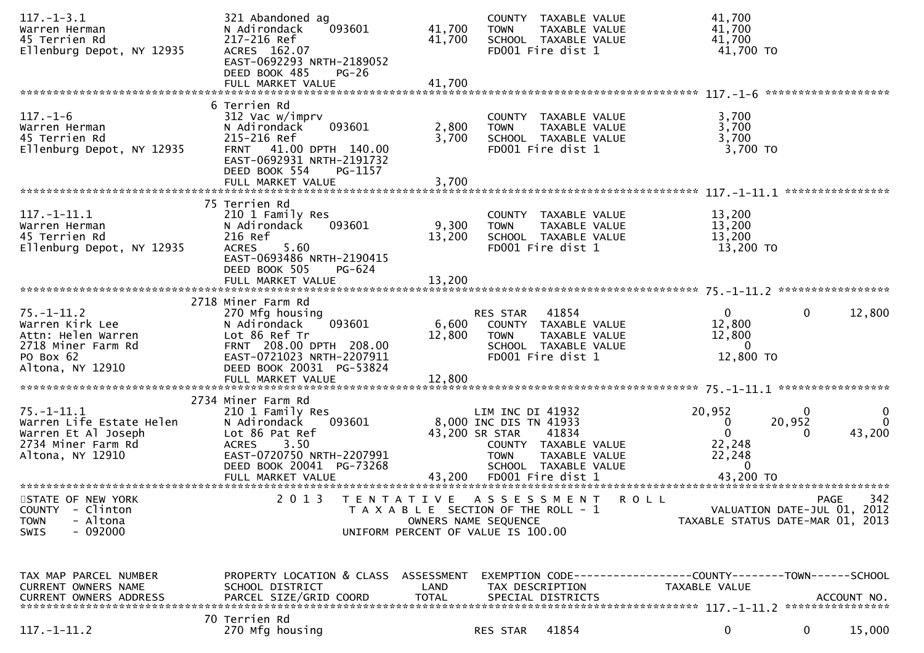| 41,700<br>41,700<br>N Adirondack<br>093601<br>TAXABLE VALUE<br>Warren Herman<br><b>TOWN</b><br>217-216 Ref<br>41,700<br>45 Terrien Rd<br>41,700<br>SCHOOL TAXABLE VALUE<br>41,700 TO<br>ACRES 162.07<br>FD001 Fire dist 1<br>Ellenburg Depot, NY 12935<br>EAST-0692293 NRTH-2189052<br>DEED BOOK 485<br>$PG-26$                                                                                                                                                                                                                     |                                                    |
|-------------------------------------------------------------------------------------------------------------------------------------------------------------------------------------------------------------------------------------------------------------------------------------------------------------------------------------------------------------------------------------------------------------------------------------------------------------------------------------------------------------------------------------|----------------------------------------------------|
|                                                                                                                                                                                                                                                                                                                                                                                                                                                                                                                                     | *******************                                |
| 6 Terrien Rd<br>$117. - 1 - 6$<br>312 Vac w/imprv<br>3,700<br>COUNTY TAXABLE VALUE<br>093601<br>2,800<br>3,700<br>N Adirondack<br>TAXABLE VALUE<br>Warren Herman<br><b>TOWN</b><br>3,700<br>45 Terrien Rd<br>215-216 Ref<br>3,700<br>SCHOOL TAXABLE VALUE<br>3,700 TO<br>Ellenburg Depot, NY 12935<br>FRNT 41.00 DPTH 140.00<br>FD001 Fire dist 1<br>EAST-0692931 NRTH-2191732<br>DEED BOOK 554<br>PG-1157                                                                                                                          | ****************                                   |
| 75 Terrien Rd                                                                                                                                                                                                                                                                                                                                                                                                                                                                                                                       |                                                    |
| $117. - 1 - 11.1$<br>210 1 Family Res<br>13,200<br>COUNTY TAXABLE VALUE<br>9,300<br>13,200<br>N Adirondack<br>093601<br>TAXABLE VALUE<br>Warren Herman<br><b>TOWN</b><br>13,200<br>45 Terrien Rd<br>216 Ref<br>13,200<br>SCHOOL TAXABLE VALUE<br>5.60<br>FD001 Fire dist 1<br>13,200 TO<br>Ellenburg Depot, NY 12935<br><b>ACRES</b><br>EAST-0693486 NRTH-2190415<br>DEED BOOK 505<br>PG-624                                                                                                                                        |                                                    |
|                                                                                                                                                                                                                                                                                                                                                                                                                                                                                                                                     |                                                    |
| 2718 Miner Farm Rd                                                                                                                                                                                                                                                                                                                                                                                                                                                                                                                  |                                                    |
| $75. - 1 - 11.2$<br>$\overline{0}$<br>270 Mfg housing<br>RES STAR<br>41854<br>12,800<br>6,600<br>Warren Kirk Lee<br>N Adirondack<br>093601<br>COUNTY TAXABLE VALUE<br>Lot 86 Ref Tr<br>12,800<br>12,800<br>Attn: Helen Warren<br>TAXABLE VALUE<br><b>TOWN</b><br>$\Omega$<br>2718 Miner Farm Rd<br>FRNT 208.00 DPTH 208.00<br>SCHOOL TAXABLE VALUE<br>EAST-0721023 NRTH-2207911<br>FD001 Fire dist 1<br>12,800 TO<br>PO Box 62<br>Altona, NY 12910<br>DEED BOOK 20031 PG-53824<br>12,800<br>FULL MARKET VALUE                       | $\mathbf 0$<br>12,800                              |
|                                                                                                                                                                                                                                                                                                                                                                                                                                                                                                                                     |                                                    |
| 2734 Miner Farm Rd<br>$75. - 1 - 11.1$<br>20,952<br>LIM INC DI 41932<br>210 1 Family Res<br>Warren Life Estate Helen<br>8,000 INC DIS TN 41933<br>20,952<br>N Adirondack<br>093601<br>0<br>$\mathbf{0}$<br>Lot 86 Pat Ref<br>43,200 SR STAR<br>Warren Et Al Joseph<br>41834<br>3.50<br>22,248<br>2734 Miner Farm Rd<br><b>ACRES</b><br>COUNTY TAXABLE VALUE<br>EAST-0720750 NRTH-2207991<br>22,248<br>Altona, NY 12910<br>TAXABLE VALUE<br><b>TOWN</b><br>SCHOOL TAXABLE VALUE<br>DEED BOOK 20041 PG-73268<br>$\Omega$<br>43,200 TO | $\mathbf 0$<br>$\bf{0}$<br>$\Omega$<br>43,200<br>0 |
| 2 0 1 3<br>STATE OF NEW YORK<br>TENTATIVE ASSESSMENT<br><b>ROLL</b>                                                                                                                                                                                                                                                                                                                                                                                                                                                                 | 342<br><b>PAGE</b>                                 |
| - Clinton<br><b>COUNTY</b><br>T A X A B L E SECTION OF THE ROLL - 1<br>- Altona<br>TAXABLE STATUS DATE-MAR 01, 2013<br><b>TOWN</b><br>OWNERS NAME SEQUENCE<br>$-092000$<br>SWIS<br>UNIFORM PERCENT OF VALUE IS 100.00                                                                                                                                                                                                                                                                                                               | VALUATION DATE-JUL 01, 2012                        |
| PROPERTY LOCATION & CLASS ASSESSMENT<br>TAX MAP PARCEL NUMBER<br>EXEMPTION CODE-----------------COUNTY-------TOWN------SCHOOL<br>CURRENT OWNERS NAME<br>SCHOOL DISTRICT<br>LAND<br>TAX DESCRIPTION<br>TAXABLE VALUE<br>PARCEL SIZE/GRID COORD<br><b>TOTAL</b><br><b>CURRENT OWNERS ADDRESS</b><br>SPECIAL DISTRICTS                                                                                                                                                                                                                 | ACCOUNT NO.                                        |
| 70 Terrien Rd<br>$117. - 1 - 11.2$<br>270 Mfg housing<br>41854<br>0<br>RES STAR                                                                                                                                                                                                                                                                                                                                                                                                                                                     | $\mathbf 0$<br>15,000                              |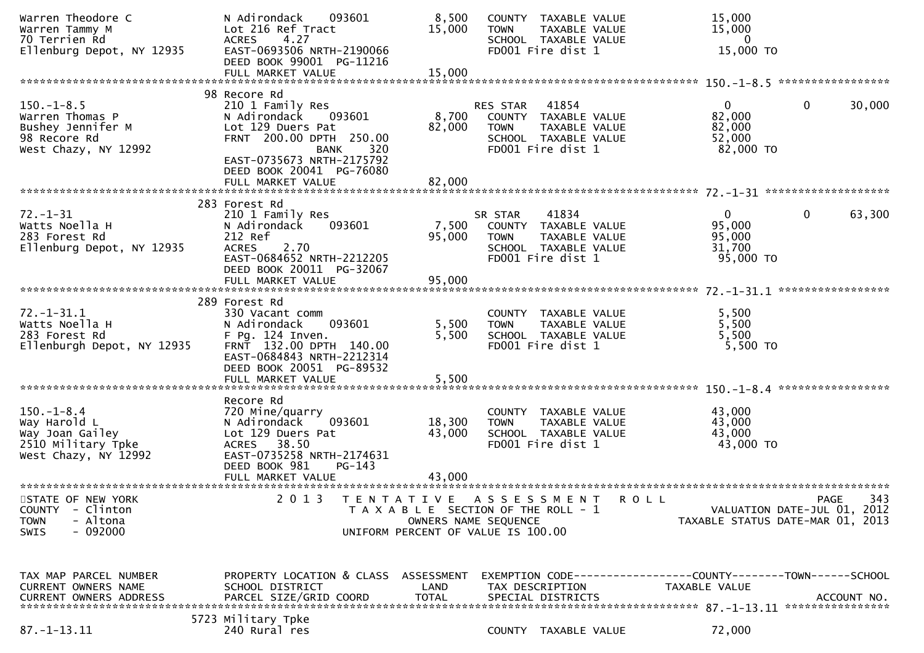| Warren Theodore C<br>Warren Tammy M<br>70 Terrien Rd<br>Ellenburg Depot, NY 12935                      | N Adirondack<br>093601<br>Lot 216 Ref Tract<br>4.27<br><b>ACRES</b><br>EAST-0693506 NRTH-2190066<br>DEED BOOK 99001 PG-11216                                                                   | 8,500<br>15,000           | <b>TOWN</b>                                                                          | COUNTY TAXABLE VALUE<br>TAXABLE VALUE<br>SCHOOL TAXABLE VALUE<br>FD001 Fire dist 1 |         | 15,000<br>15,000<br>$\bf{0}$<br>15,000 TO                                     |              |        |
|--------------------------------------------------------------------------------------------------------|------------------------------------------------------------------------------------------------------------------------------------------------------------------------------------------------|---------------------------|--------------------------------------------------------------------------------------|------------------------------------------------------------------------------------|---------|-------------------------------------------------------------------------------|--------------|--------|
|                                                                                                        | FULL MARKET VALUE                                                                                                                                                                              | 15,000                    |                                                                                      |                                                                                    |         |                                                                               |              |        |
|                                                                                                        | 98 Recore Rd                                                                                                                                                                                   |                           |                                                                                      |                                                                                    |         |                                                                               |              |        |
| $150.-1-8.5$<br>Warren Thomas P<br>Bushey Jennifer M<br>98 Recore Rd<br>West Chazy, NY 12992           | 210 1 Family Res<br>N Adirondack<br>093601<br>Lot 129 Duers Pat<br>FRNT 200.00 DPTH 250.00<br><b>BANK</b><br>320<br>EAST-0735673 NRTH-2175792<br>DEED BOOK 20041 PG-76080<br>FULL MARKET VALUE | 8,700<br>82,000<br>82,000 | <b>RES STAR</b><br>COUNTY TAXABLE VALUE<br><b>TOWN</b>                               | 41854<br>TAXABLE VALUE<br>SCHOOL TAXABLE VALUE<br>FD001 Fire dist 1                |         | 0<br>82,000<br>82,000<br>52,000<br>82,000 TO                                  | 0            | 30,000 |
|                                                                                                        |                                                                                                                                                                                                |                           |                                                                                      |                                                                                    |         |                                                                               |              |        |
| $72. - 1 - 31$<br>Watts Noella H<br>283 Forest Rd<br>Ellenburg Depot, NY 12935                         | 283 Forest Rd<br>210 1 Family Res<br>N Adirondack<br>093601<br>212 Ref<br>2.70<br><b>ACRES</b><br>EAST-0684652 NRTH-2212205<br>DEED BOOK 20011 PG-32067<br>FULL MARKET VALUE                   | 7,500<br>95,000<br>95,000 | SR STAR<br>COUNTY TAXABLE VALUE<br><b>TOWN</b>                                       | 41834<br>TAXABLE VALUE<br>SCHOOL TAXABLE VALUE<br>FD001 Fire dist 1                |         | $\mathbf{0}$<br>95,000<br>95,000<br>31,700<br>95,000 TO                       | $\mathbf{0}$ | 63,300 |
|                                                                                                        |                                                                                                                                                                                                |                           |                                                                                      |                                                                                    |         |                                                                               |              |        |
| $72. - 1 - 31.1$<br>Watts Noella H<br>283 Forest Rd<br>Ellenburgh Depot, NY 12935                      | 289 Forest Rd<br>330 Vacant comm<br>093601<br>N Adirondack<br>F Pg. 124 Inven.<br>FRNT 132.00 DPTH 140.00<br>EAST-0684843 NRTH-2212314<br>DEED BOOK 20051 PG-89532<br>FULL MARKET VALUE        | 5,500<br>5,500<br>5,500   | <b>TOWN</b>                                                                          | COUNTY TAXABLE VALUE<br>TAXABLE VALUE<br>SCHOOL TAXABLE VALUE<br>FD001 Fire dist 1 |         | 5,500<br>5,500<br>5,500<br>$5,500$ TO                                         |              |        |
|                                                                                                        |                                                                                                                                                                                                |                           |                                                                                      |                                                                                    |         |                                                                               |              |        |
| $150. - 1 - 8.4$<br>Way Harold L<br>Way Joan Gailey<br>2510 Military Tpke<br>West Chazy, NY 12992      | Recore Rd<br>720 Mine/quarry<br>N Adirondack<br>093601<br>Lot 129 Duers Pat<br>ACRES 38.50<br>EAST-0735258 NRTH-2174631<br>DEED BOOK 981<br>$PG-143$                                           | 18,300<br>43,000          | <b>TOWN</b>                                                                          | COUNTY TAXABLE VALUE<br>TAXABLE VALUE<br>SCHOOL TAXABLE VALUE<br>FD001 Fire dist 1 |         | 43,000<br>43,000<br>43,000<br>43,000 TO                                       |              |        |
|                                                                                                        | FULL MARKET VALUE                                                                                                                                                                              | 43,000                    |                                                                                      |                                                                                    |         |                                                                               |              |        |
| STATE OF NEW YORK<br><b>COUNTY</b><br>- Clinton<br>- Altona<br><b>TOWN</b><br>$-092000$<br><b>SWIS</b> | 2 0 1 3<br>TENTATIVE<br>UNIFORM PERCENT OF VALUE IS 100.00                                                                                                                                     |                           | A S S E S S M E N T<br>T A X A B L E SECTION OF THE ROLL - 1<br>OWNERS NAME SEQUENCE |                                                                                    | R O L L | VALUATION DATE-JUL 01, 2012<br>TAXABLE STATUS DATE-MAR 01, 2013               | <b>PAGE</b>  | 343    |
| TAX MAP PARCEL NUMBER<br><b>CURRENT OWNERS NAME</b><br><b>CURRENT OWNERS ADDRESS</b>                   | PROPERTY LOCATION & CLASS ASSESSMENT<br>SCHOOL DISTRICT<br>PARCEL SIZE/GRID COORD                                                                                                              | LAND<br><b>TOTAL</b>      | TAX DESCRIPTION                                                                      | SPECIAL DISTRICTS                                                                  |         | EXEMPTION CODE-----------------COUNTY-------TOWN------SCHOOL<br>TAXABLE VALUE | ACCOUNT NO.  |        |
| $87. - 1 - 13.11$                                                                                      | 5723 Military Tpke<br>240 Rural res                                                                                                                                                            |                           |                                                                                      | COUNTY TAXABLE VALUE                                                               |         | 72,000                                                                        |              |        |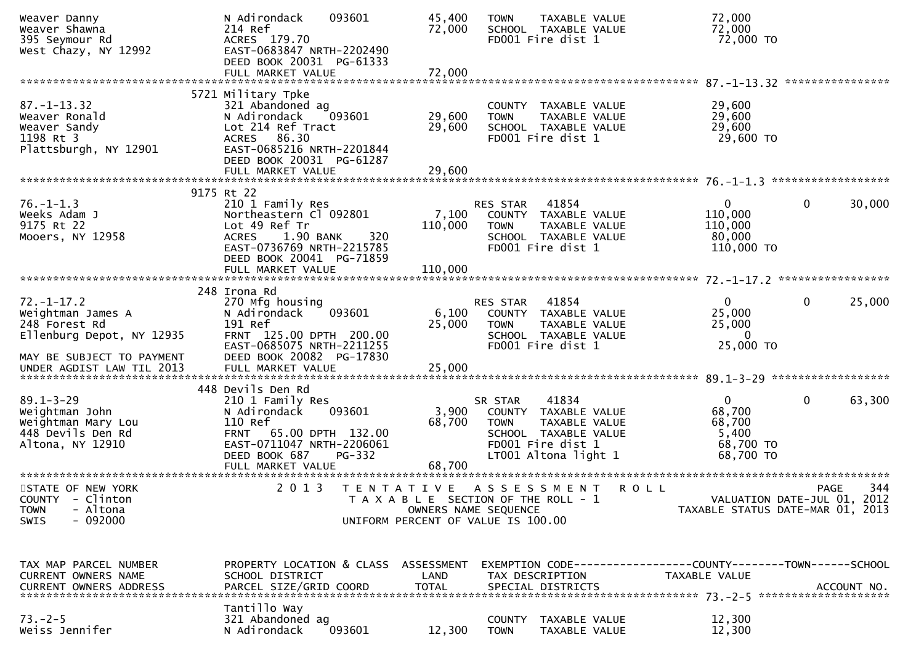| Weaver Danny<br>Weaver Shawna<br>395 Seymour Rd<br>West Chazy, NY 12992                                          | N Adirondack<br>093601<br>214 Ref<br>ACRES 179.70<br>EAST-0683847 NRTH-2202490<br>DEED BOOK 20031 PG-61333                                                             | 45,400<br>72,000                   | TAXABLE VALUE<br><b>TOWN</b><br>SCHOOL TAXABLE VALUE<br>FD001 Fire dist 1                                                                     | 72,000<br>72,000<br>72,000 TO                                                 |                                                                 |
|------------------------------------------------------------------------------------------------------------------|------------------------------------------------------------------------------------------------------------------------------------------------------------------------|------------------------------------|-----------------------------------------------------------------------------------------------------------------------------------------------|-------------------------------------------------------------------------------|-----------------------------------------------------------------|
|                                                                                                                  | FULL MARKET VALUE                                                                                                                                                      | 72,000                             |                                                                                                                                               |                                                                               |                                                                 |
| $87. - 1 - 13.32$<br>Weaver Ronald<br>Weaver Sandy<br>1198 Rt 3                                                  | 5721 Military Tpke<br>321 Abandoned ag<br>093601<br>N Adirondack<br>Lot 214 Ref Tract<br>ACRES 86.30                                                                   | 29,600<br>29,600                   | COUNTY TAXABLE VALUE<br><b>TOWN</b><br>TAXABLE VALUE<br>SCHOOL TAXABLE VALUE<br>FD001 Fire dist 1                                             | 29,600<br>29,600<br>29,600<br>29,600 TO                                       |                                                                 |
| Plattsburgh, NY 12901                                                                                            | EAST-0685216 NRTH-2201844<br>DEED BOOK 20031 PG-61287<br>FULL MARKET VALUE                                                                                             | 29,600                             |                                                                                                                                               |                                                                               |                                                                 |
|                                                                                                                  |                                                                                                                                                                        |                                    |                                                                                                                                               |                                                                               |                                                                 |
| $76. - 1 - 1.3$<br>Weeks Adam J<br>9175 Rt 22<br>Mooers, NY 12958                                                | 9175 Rt 22<br>210 1 Family Res<br>Northeastern Cl 092801<br>Lot 49 Ref Tr<br>320<br><b>ACRES</b><br>1.90 BANK<br>EAST-0736769 NRTH-2215785<br>DEED BOOK 20041 PG-71859 | 7,100<br>110,000                   | 41854<br>RES STAR<br>COUNTY TAXABLE VALUE<br><b>TOWN</b><br>TAXABLE VALUE<br>SCHOOL TAXABLE VALUE<br>FD001 Fire dist 1                        | $\mathbf{0}$<br>110,000<br>110,000<br>80,000<br>110,000 TO                    | $\mathbf 0$<br>30,000                                           |
|                                                                                                                  |                                                                                                                                                                        |                                    |                                                                                                                                               |                                                                               |                                                                 |
| $72. - 1 - 17.2$<br>Weightman James A<br>248 Forest Rd<br>Ellenburg Depot, NY 12935<br>MAY BE SUBJECT TO PAYMENT | 248 Irona Rd<br>270 Mfg housing<br>093601<br>N Adirondack<br>191 Ref<br>FRNT 125.00 DPTH 200.00<br>EAST-0685075 NRTH-2211255<br>DEED BOOK 20082 PG-17830               | 6,100<br>25,000                    | 41854<br>RES STAR<br>COUNTY TAXABLE VALUE<br><b>TOWN</b><br>TAXABLE VALUE<br>SCHOOL TAXABLE VALUE<br>FD001 Fire dist 1                        | $\mathbf{0}$<br>25,000<br>25,000<br>$\Omega$<br>25,000 TO                     | $\mathbf 0$<br>25,000                                           |
|                                                                                                                  |                                                                                                                                                                        |                                    |                                                                                                                                               |                                                                               |                                                                 |
|                                                                                                                  | 448 Devils Den Rd                                                                                                                                                      |                                    |                                                                                                                                               |                                                                               |                                                                 |
| $89.1 - 3 - 29$<br>Weightman John<br>Weightman Mary Lou<br>448 Devils Den Rd<br>Altona, NY 12910                 | 210 1 Family Res<br>093601<br>N Adirondack<br>110 Ref<br>FRNT 65.00 DPTH 132.00<br>EAST-0711047 NRTH-2206061<br>DEED BOOK 687<br><b>PG-332</b>                         | 3,900<br>68,700                    | 41834<br>SR STAR<br>COUNTY TAXABLE VALUE<br><b>TOWN</b><br>TAXABLE VALUE<br>SCHOOL TAXABLE VALUE<br>FD001 Fire dist 1<br>LT001 Altona light 1 | $\mathbf{0}$<br>68,700<br>68,700<br>5,400<br>68,700 TO<br>68,700 TO           | $\mathbf 0$<br>63,300                                           |
| STATE OF NEW YORK                                                                                                | 2 0 1 3                                                                                                                                                                |                                    | TENTATIVE ASSESSMENT                                                                                                                          | <b>ROLL</b>                                                                   | 344<br><b>PAGE</b>                                              |
| COUNTY - Clinton<br>- Altona<br><b>TOWN</b><br>- 092000<br><b>SWIS</b>                                           |                                                                                                                                                                        |                                    | T A X A B L E SECTION OF THE ROLL - 1<br>OWNERS NAME SEQUENCE<br>UNIFORM PERCENT OF VALUE IS 100.00                                           |                                                                               | VALUATION DATE-JUL 01, 2012<br>TAXABLE STATUS DATE-MAR 01, 2013 |
| TAX MAP PARCEL NUMBER<br>CURRENT OWNERS NAME<br><b>CURRENT OWNERS ADDRESS</b>                                    | PROPERTY LOCATION & CLASS<br>SCHOOL DISTRICT<br>PARCEL SIZE/GRID COORD                                                                                                 | ASSESSMENT<br>LAND<br><b>TOTAL</b> | TAX DESCRIPTION<br>SPECIAL DISTRICTS                                                                                                          | EXEMPTION CODE-----------------COUNTY-------TOWN------SCHOOL<br>TAXABLE VALUE | ACCOUNT NO.                                                     |
| $73. - 2 - 5$<br>Weiss Jennifer                                                                                  | Tantillo Way<br>321 Abandoned ag<br>093601<br>N Adirondack                                                                                                             | 12,300                             | <b>COUNTY</b><br>TAXABLE VALUE<br><b>TOWN</b><br>TAXABLE VALUE                                                                                | 12,300<br>12,300                                                              |                                                                 |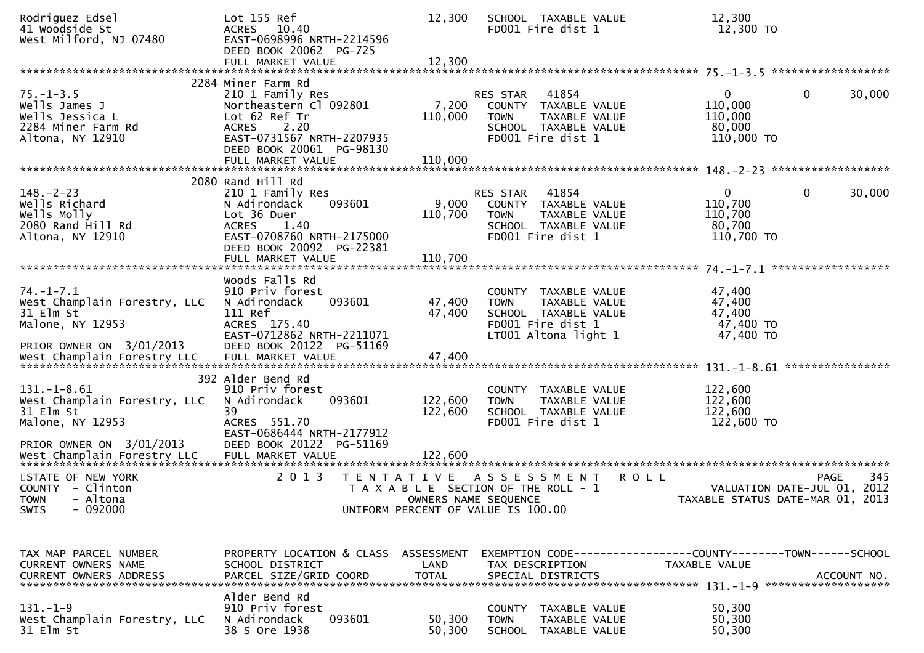| Rodriguez Edsel<br>41 Woodside St<br>West Milford, NJ 07480                                                  | Lot 155 Ref<br>ACRES 10.40<br>EAST-0698996 NRTH-2214596<br>DEED BOOK 20062 PG-725<br>FULL MARKET VALUE                                                                                  | 12,300<br>12,300            | SCHOOL TAXABLE VALUE<br>FD001 Fire dist 1                                                                                     | 12,300<br>12,300 TO                                                           |             |
|--------------------------------------------------------------------------------------------------------------|-----------------------------------------------------------------------------------------------------------------------------------------------------------------------------------------|-----------------------------|-------------------------------------------------------------------------------------------------------------------------------|-------------------------------------------------------------------------------|-------------|
|                                                                                                              |                                                                                                                                                                                         |                             |                                                                                                                               |                                                                               |             |
| $75. - 1 - 3.5$<br>Wells James J<br>Wells Jessica L<br>2284 Miner Farm Rd<br>Altona, NY 12910                | 2284 Miner Farm Rd<br>210 1 Family Res<br>Northeastern Cl 092801<br>Lot 62 Ref Tr<br>2.20<br><b>ACRES</b><br>EAST-0731567 NRTH-2207935<br>DEED BOOK 20061 PG-98130<br>FULL MARKET VALUE | 7,200<br>110,000<br>110,000 | 41854<br>RES STAR<br>COUNTY TAXABLE VALUE<br><b>TOWN</b><br>TAXABLE VALUE<br>SCHOOL TAXABLE VALUE<br>FD001 Fire dist 1        | $\mathbf{0}$<br>$\overline{0}$<br>110,000<br>110,000<br>80,000<br>110,000 TO  | 30,000      |
|                                                                                                              |                                                                                                                                                                                         |                             |                                                                                                                               |                                                                               |             |
| $148. - 2 - 23$<br>Wells Richard<br>Wells Molly<br>2080 Rand Hill Rd<br>Altona, NY 12910                     | 2080 Rand Hill Rd<br>210 1 Family Res<br>093601<br>N Adirondack<br>Lot 36 Duer<br>ACRES<br>1.40<br>EAST-0708760 NRTH-2175000<br>DEED BOOK 20092 PG-22381<br>FULL MARKET VALUE           | 9,000<br>110,700<br>110,700 | 41854<br><b>RES STAR</b><br>COUNTY TAXABLE VALUE<br><b>TOWN</b><br>TAXABLE VALUE<br>SCHOOL TAXABLE VALUE<br>FD001 Fire dist 1 | 0<br>0<br>110,700<br>110,700<br>80,700<br>110,700 TO                          | 30,000      |
|                                                                                                              |                                                                                                                                                                                         |                             |                                                                                                                               |                                                                               |             |
| $74. - 1 - 7.1$<br>West Champlain Forestry, LLC<br>31 Elm St<br>Malone, NY 12953<br>PRIOR OWNER ON 3/01/2013 | Woods Falls Rd<br>910 Priv forest<br>093601<br>N Adirondack<br>111 Ref<br>ACRES 175.40<br>EAST-0712862 NRTH-2211071<br>DEED BOOK 20122 PG-51169                                         | 47,400<br>47,400            | COUNTY TAXABLE VALUE<br>TAXABLE VALUE<br><b>TOWN</b><br>SCHOOL TAXABLE VALUE<br>FD001 Fire dist 1<br>LT001 Altona light 1     | 47,400<br>47,400<br>47,400<br>47,400 TO<br>47,400 TO                          |             |
|                                                                                                              |                                                                                                                                                                                         |                             |                                                                                                                               | ***************                                                               |             |
| $131.-1-8.61$<br>West Champlain Forestry, LLC<br>31 Elm St<br>Malone, NY 12953<br>PRIOR OWNER ON 3/01/2013   | 392 Alder Bend Rd<br>910 Priv forest<br>093601<br>N Adirondack<br>39<br>ACRES 551.70<br>EAST-0686444 NRTH-2177912<br>DEED BOOK 20122 PG-51169                                           | 122,600<br>122,600          | <b>COUNTY</b><br>TAXABLE VALUE<br>TAXABLE VALUE<br><b>TOWN</b><br>SCHOOL TAXABLE VALUE<br>FD001 Fire dist 1                   | 122,600<br>122,600<br>122,600<br>122,600 TO                                   |             |
|                                                                                                              |                                                                                                                                                                                         |                             |                                                                                                                               |                                                                               |             |
| STATE OF NEW YORK<br>COUNTY - Clinton<br><b>TOWN</b><br>- Altona<br>$-092000$<br><b>SWIS</b>                 | 2 0 1 3<br>T E N T A T I V E                                                                                                                                                            | OWNERS NAME SEQUENCE        | A S S E S S M E N T<br><b>ROLL</b><br>T A X A B L E SECTION OF THE ROLL - 1<br>UNIFORM PERCENT OF VALUE IS 100.00             | <b>PAGE</b><br>VALUATION DATE-JUL 01, 2012<br>TAXABLE STATUS DATE-MAR 01,     | 345<br>2013 |
|                                                                                                              |                                                                                                                                                                                         |                             |                                                                                                                               |                                                                               |             |
| TAX MAP PARCEL NUMBER<br>CURRENT OWNERS NAME                                                                 | PROPERTY LOCATION & CLASS ASSESSMENT<br>SCHOOL DISTRICT                                                                                                                                 | LAND                        | TAX DESCRIPTION                                                                                                               | EXEMPTION CODE-----------------COUNTY-------TOWN------SCHOOL<br>TAXABLE VALUE |             |
|                                                                                                              | Alder Bend Rd                                                                                                                                                                           |                             |                                                                                                                               |                                                                               |             |
| $131. - 1 - 9$<br>West Champlain Forestry, LLC<br>31 Elm St                                                  | 910 Priv forest<br>093601<br>N Adirondack<br>38 S Ore 1938                                                                                                                              | 50,300<br>50,300            | COUNTY TAXABLE VALUE<br><b>TOWN</b><br>TAXABLE VALUE<br>SCHOOL TAXABLE VALUE                                                  | 50,300<br>50,300<br>50,300                                                    |             |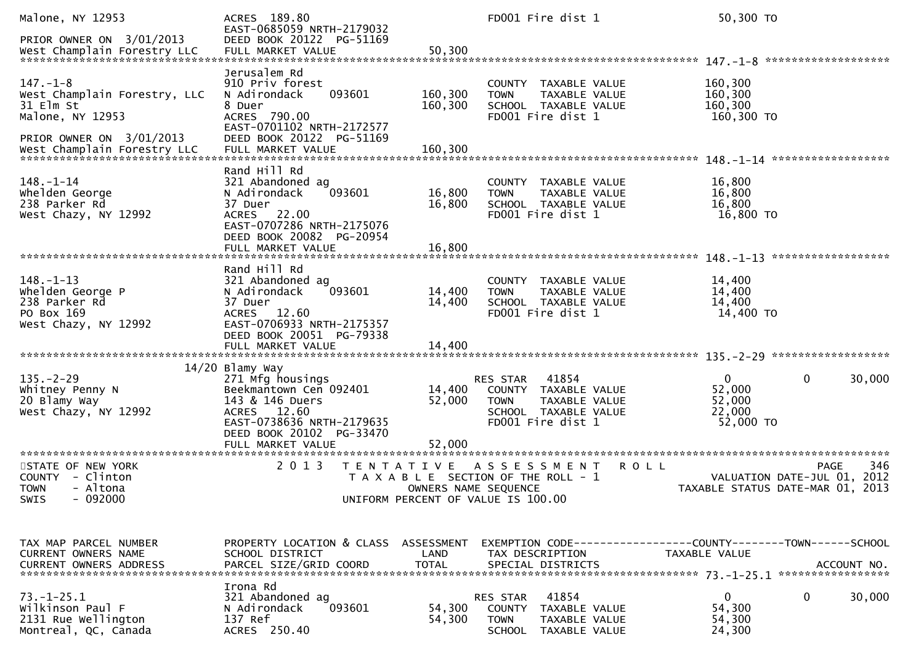| Malone, NY 12953<br>PRIOR OWNER ON 3/01/2013                                                            | ACRES 189.80<br>EAST-0685059 NRTH-2179032<br>DEED BOOK 20122 PG-51169                                                                                                                                       |                            | FD001 Fire dist 1                                                                                                             | 50,300 TO                                                                            |                    |
|---------------------------------------------------------------------------------------------------------|-------------------------------------------------------------------------------------------------------------------------------------------------------------------------------------------------------------|----------------------------|-------------------------------------------------------------------------------------------------------------------------------|--------------------------------------------------------------------------------------|--------------------|
|                                                                                                         |                                                                                                                                                                                                             |                            |                                                                                                                               |                                                                                      |                    |
| $147. - 1 - 8$<br>West Champlain Forestry, LLC<br>31 Elm St<br>Malone, NY 12953                         | Jerusalem Rd<br>910 Priv forest<br>093601<br>N Adirondack<br>8 Duer<br>ACRES 790.00<br>EAST-0701102 NRTH-2172577                                                                                            | 160,300<br>160,300         | TAXABLE VALUE<br>COUNTY<br>TAXABLE VALUE<br><b>TOWN</b><br>SCHOOL TAXABLE VALUE<br>FD001 Fire dist 1                          | 160,300<br>160,300<br>160,300<br>160,300 TO                                          |                    |
| PRIOR OWNER ON 3/01/2013                                                                                | DEED BOOK 20122 PG-51169                                                                                                                                                                                    |                            |                                                                                                                               |                                                                                      |                    |
| $148. - 1 - 14$<br>whelden George<br>238 Parker Rd<br>West Chazy, NY 12992                              | Rand Hill Rd<br>321 Abandoned ag<br>093601<br>N Adirondack<br>37 Duer<br>ACRES 22.00<br>EAST-0707286 NRTH-2175076<br>DEED BOOK 20082 PG-20954                                                               | 16,800<br>16,800           | COUNTY TAXABLE VALUE<br><b>TOWN</b><br>TAXABLE VALUE<br>SCHOOL TAXABLE VALUE<br>FD001 Fire dist 1                             | 16,800<br>16,800<br>16,800<br>16,800 TO                                              |                    |
|                                                                                                         | FULL MARKET VALUE                                                                                                                                                                                           | 16,800                     |                                                                                                                               |                                                                                      |                    |
| $148. - 1 - 13$<br>Whelden George P<br>238 Parker Rd<br>PO Box 169<br>West Chazy, NY 12992              | Rand Hill Rd<br>321 Abandoned ag<br>093601<br>N Adirondack<br>37 Duer<br>ACRES 12.60<br>EAST-0706933 NRTH-2175357<br>DEED BOOK 20051 PG-79338                                                               | 14,400<br>14,400           | TAXABLE VALUE<br><b>COUNTY</b><br><b>TOWN</b><br>TAXABLE VALUE<br>SCHOOL TAXABLE VALUE<br>FD001 Fire dist 1                   | 14,400<br>14,400<br>14,400<br>14,400 TO                                              |                    |
|                                                                                                         |                                                                                                                                                                                                             |                            |                                                                                                                               |                                                                                      |                    |
| $135. - 2 - 29$<br>Whitney Penny N<br>20 Blamy Way<br>West Chazy, NY 12992<br>************************* | 14/20 Blamy Way<br>271 Mfg housings<br>Beekmantown Cen 092401<br>143 & 146 Duers<br>ACRES 12.60<br>EAST-0738636 NRTH-2179635<br>DEED BOOK 20102 PG-33470<br>FULL MARKET VALUE<br>************************** | 14,400<br>52,000<br>52,000 | 41854<br><b>RES STAR</b><br>COUNTY TAXABLE VALUE<br>TAXABLE VALUE<br><b>TOWN</b><br>SCHOOL TAXABLE VALUE<br>FD001 Fire dist 1 | 0<br>0<br>52,000<br>52,000<br>22,000<br>52,000 TO                                    | 30,000             |
| STATE OF NEW YORK<br>COUNTY - Clinton<br><b>TOWN</b><br>- Altona<br>- 092000<br><b>SWIS</b>             | 2 0 1 3<br>T E N T A T I V E                                                                                                                                                                                | OWNERS NAME SEQUENCE       | A S S E S S M E N T<br>T A X A B L E SECTION OF THE ROLL - 1<br>UNIFORM PERCENT OF VALUE IS 100.00                            | <b>ROLL</b><br>VALUATION DATE-JUL 01, 2012<br>TAXABLE STATUS DATE-MAR 01, 2013       | 346<br><b>PAGE</b> |
|                                                                                                         |                                                                                                                                                                                                             |                            |                                                                                                                               |                                                                                      |                    |
| TAX MAP PARCEL NUMBER<br>CURRENT OWNERS NAME<br><b>CURRENT OWNERS ADDRESS</b>                           | PROPERTY LOCATION & CLASS ASSESSMENT<br>SCHOOL DISTRICT<br>PARCEL SIZE/GRID COORD                                                                                                                           | LAND<br><b>TOTAL</b>       | TAX DESCRIPTION<br>SPECIAL DISTRICTS                                                                                          | EXEMPTION CODE-----------------COUNTY-------TOWN------SCHOOL<br><b>TAXABLE VALUE</b> | ACCOUNT NO.        |
| $73. - 1 - 25.1$<br>Wilkinson Paul F<br>2131 Rue Wellington<br>Montreal, QC, Canada                     | Irona Rd<br>321 Abandoned ag<br>N Adirondack<br>093601<br>137 Ref<br>ACRES 250.40                                                                                                                           | 54,300<br>54,300           | 41854<br>RES STAR<br>COUNTY TAXABLE VALUE<br><b>TOWN</b><br>TAXABLE VALUE<br><b>SCHOOL</b><br>TAXABLE VALUE                   | 0<br>0<br>54,300<br>54,300<br>24,300                                                 | 30,000             |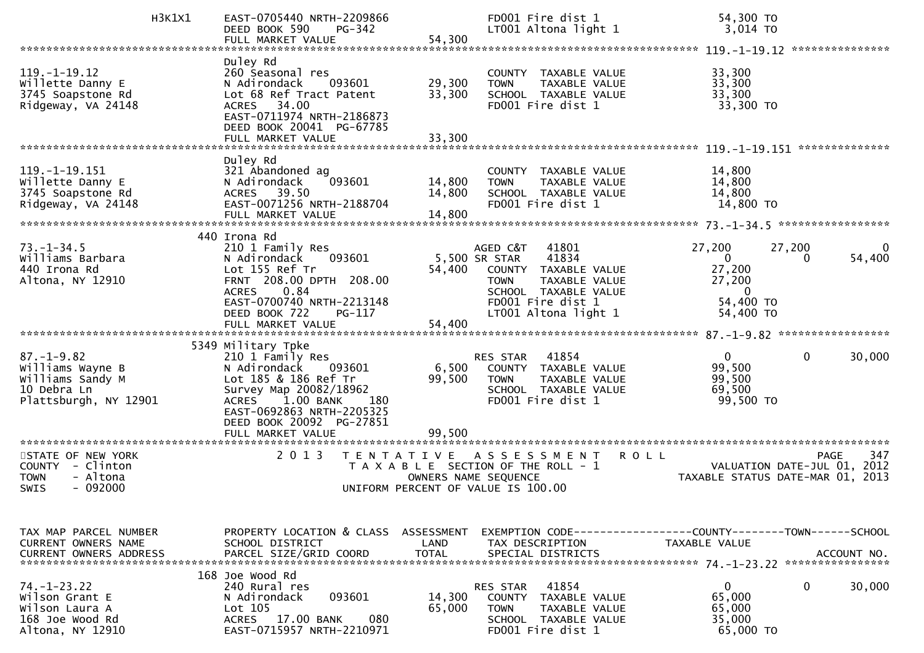|                                                                                                  | H3K1X1 | EAST-0705440 NRTH-2209866<br><b>PG-342</b><br>DEED BOOK 590<br>FULL MARKET VALUE                                                                                                                                | 54,300                                    | FD001 Fire dist 1<br>LT001 Altona light 1                                                                                                               | 54,300 TO<br>3,014 TO                                                                                                    |
|--------------------------------------------------------------------------------------------------|--------|-----------------------------------------------------------------------------------------------------------------------------------------------------------------------------------------------------------------|-------------------------------------------|---------------------------------------------------------------------------------------------------------------------------------------------------------|--------------------------------------------------------------------------------------------------------------------------|
|                                                                                                  |        |                                                                                                                                                                                                                 |                                           |                                                                                                                                                         |                                                                                                                          |
| $119. - 1 - 19.12$<br>Willette Danny E<br>3745 Soapstone Rd<br>Ridgeway, VA 24148                |        | Duley Rd<br>260 Seasonal res<br>N Adirondack<br>093601<br>Lot 68 Ref Tract Patent<br>ACRES 34.00<br>EAST-0711974 NRTH-2186873<br>DEED BOOK 20041 PG-67785<br>FULL MARKET VALUE                                  | 29,300<br>33,300<br>33,300                | COUNTY TAXABLE VALUE<br><b>TOWN</b><br>TAXABLE VALUE<br>SCHOOL TAXABLE VALUE<br>FD001 Fire dist 1                                                       | 33,300<br>33,300<br>33,300<br>33,300 TO                                                                                  |
|                                                                                                  |        |                                                                                                                                                                                                                 |                                           |                                                                                                                                                         |                                                                                                                          |
| $119. -1 - 19.151$<br>Willette Danny E<br>3745 Soapstone Rd<br>Ridgeway, VA 24148                |        | Duley Rd<br>321 Abandoned ag<br>093601<br>N Adirondack<br>ACRES 39.50<br>EAST-0071256 NRTH-2188704<br>FULL MARKET VALUE                                                                                         | 14,800<br>14,800<br>14,800                | COUNTY TAXABLE VALUE<br><b>TOWN</b><br>TAXABLE VALUE<br>SCHOOL TAXABLE VALUE<br>FD001 Fire dist 1                                                       | 14,800<br>14,800<br>14,800<br>14,800 TO                                                                                  |
|                                                                                                  |        | 440 Irona Rd                                                                                                                                                                                                    |                                           |                                                                                                                                                         |                                                                                                                          |
| $73. - 1 - 34.5$<br>Williams Barbara<br>440 Irona Rd<br>Altona, NY 12910                         |        | 210 1 Family Res<br>N Adirondack<br>093601<br>Lot 155 Ref Tr<br>FRNT 208.00 DPTH 208.00<br><b>ACRES</b><br>0.84<br>EAST-0700740 NRTH-2213148<br>DEED BOOK 722<br>PG-117                                         | 5,500 SR STAR<br>54,400                   | AGED C&T<br>41801<br>41834<br>COUNTY TAXABLE VALUE<br><b>TOWN</b><br>TAXABLE VALUE<br>SCHOOL TAXABLE VALUE<br>FD001 Fire dist 1<br>LT001 Altona light 1 | 27,200<br>27,200<br>$\Omega$<br>$\mathbf{0}$<br>54,400<br>0<br>27,200<br>27,200<br>$\mathbf 0$<br>54,400 TO<br>54,400 TO |
|                                                                                                  |        | FULL MARKET VALUE                                                                                                                                                                                               | 54,400                                    |                                                                                                                                                         |                                                                                                                          |
|                                                                                                  |        |                                                                                                                                                                                                                 |                                           |                                                                                                                                                         |                                                                                                                          |
| $87. - 1 - 9.82$<br>Williams Wayne B<br>Williams Sandy M<br>10 Debra Ln<br>Plattsburgh, NY 12901 |        | 5349 Military Tpke<br>210 1 Family Res<br>N Adirondack<br>093601<br>Lot 185 & 186 Ref Tr<br>Survey Map 20082/18962<br>1.00 BANK<br>180<br><b>ACRES</b><br>EAST-0692863 NRTH-2205325<br>DEED BOOK 20092 PG-27851 | 6,500<br>99,500                           | 41854<br>RES STAR<br>COUNTY TAXABLE VALUE<br><b>TOWN</b><br>TAXABLE VALUE<br>SCHOOL TAXABLE VALUE<br>FD001 Fire dist 1                                  | $\Omega$<br>$\mathbf{0}$<br>30,000<br>99,500<br>99,500<br>69,500<br>99,500 TO                                            |
|                                                                                                  |        | FULL MARKET VALUE                                                                                                                                                                                               | 99,500                                    |                                                                                                                                                         |                                                                                                                          |
| STATE OF NEW YORK<br>COUNTY - Clinton<br>- Altona<br><b>TOWN</b><br>$-092000$<br><b>SWIS</b>     |        | 2 0 1 3                                                                                                                                                                                                         | T E N T A T I V E<br>OWNERS NAME SEQUENCE | A S S E S S M E N T<br>T A X A B L E SECTION OF THE ROLL - 1<br>UNIFORM PERCENT OF VALUE IS 100.00                                                      | 347<br><b>ROLL</b><br><b>PAGE</b><br>VALUATION DATE-JUL 01, 2012<br>TAXABLE STATUS DATE-MAR 01, 2013                     |
|                                                                                                  |        |                                                                                                                                                                                                                 |                                           |                                                                                                                                                         |                                                                                                                          |
| TAX MAP PARCEL NUMBER<br><b>CURRENT OWNERS NAME</b><br><b>CURRENT OWNERS ADDRESS</b>             |        | PROPERTY LOCATION & CLASS<br>SCHOOL DISTRICT<br>PARCEL SIZE/GRID COORD                                                                                                                                          | ASSESSMENT<br><b>LAND</b><br><b>TOTAL</b> | TAX DESCRIPTION<br>SPECIAL DISTRICTS                                                                                                                    | TAXABLE VALUE<br>ACCOUNT NO.                                                                                             |
| $74. - 1 - 23.22$<br>Wilson Grant E<br>Wilson Laura A<br>168 Joe Wood Rd<br>Altona, NY 12910     |        | 168 Joe Wood Rd<br>240 Rural res<br>N Adirondack<br>093601<br>Lot 105<br>080<br>17.00 BANK<br><b>ACRES</b><br>EAST-0715957 NRTH-2210971                                                                         | 14,300<br>65,000                          | 41854<br>RES STAR<br>COUNTY<br>TAXABLE VALUE<br><b>TOWN</b><br><b>TAXABLE VALUE</b><br>SCHOOL TAXABLE VALUE<br>FD001 Fire dist 1                        | 0<br>0<br>30,000<br>65,000<br>65,000<br>35,000<br>65,000 TO                                                              |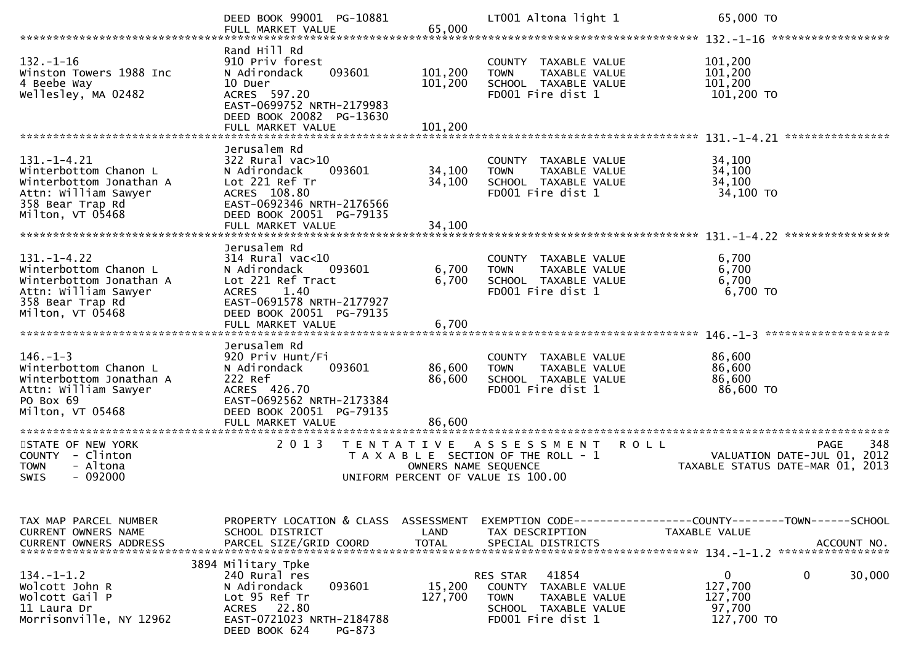|                                                                                                                                       | DEED BOOK 99001 PG-10881                                                                                                                                           |                      | LT001 Altona light 1                                                                                                      | 65,000 TO<br>******************                                                          |
|---------------------------------------------------------------------------------------------------------------------------------------|--------------------------------------------------------------------------------------------------------------------------------------------------------------------|----------------------|---------------------------------------------------------------------------------------------------------------------------|------------------------------------------------------------------------------------------|
| $132. - 1 - 16$<br>Winston Towers 1988 Inc<br>4 Beebe Way<br>Wellesley, MA 02482                                                      | Rand Hill Rd<br>910 Priv forest<br>093601<br>N Adirondack<br>10 Duer<br>ACRES 597.20<br>EAST-0699752 NRTH-2179983<br>DEED BOOK 20082 PG-13630                      | 101,200<br>101,200   | COUNTY TAXABLE VALUE<br>TAXABLE VALUE<br><b>TOWN</b><br>SCHOOL TAXABLE VALUE<br>FD001 Fire dist 1                         | 101,200<br>101,200<br>101,200<br>101,200 TO                                              |
|                                                                                                                                       |                                                                                                                                                                    |                      |                                                                                                                           |                                                                                          |
| $131. - 1 - 4.21$<br>Winterbottom Chanon L<br>Winterbottom Jonathan A<br>Attn: William Sawyer<br>358 Bear Trap Rd<br>Milton, VT 05468 | Jerusalem Rd<br>$322$ Rural vac $>10$<br>093601<br>N Adirondack<br>Lot 221 Ref Tr<br>ACRES 108.80<br>EAST-0692346 NRTH-2176566<br>DEED BOOK 20051 PG-79135         | 34,100<br>34,100     | COUNTY TAXABLE VALUE<br>TAXABLE VALUE<br><b>TOWN</b><br>SCHOOL TAXABLE VALUE<br>FD001 Fire dist 1                         | 34,100<br>34,100<br>34,100<br>34,100 TO                                                  |
|                                                                                                                                       |                                                                                                                                                                    |                      |                                                                                                                           | ****************<br>$131. - 1 - 4.22$                                                    |
| $131. - 1 - 4.22$<br>Winterbottom Chanon L<br>Winterbottom Jonathan A<br>Attn: William Sawyer<br>358 Bear Trap Rd<br>Milton, VT 05468 | Jerusalem Rd<br>$314$ Rural vac<10<br>N Adirondack<br>093601<br>Lot 221 Ref Tract<br>1.40<br><b>ACRES</b><br>EAST-0691578 NRTH-2177927<br>DEED BOOK 20051 PG-79135 | 6,700<br>6,700       | COUNTY TAXABLE VALUE<br>TAXABLE VALUE<br><b>TOWN</b><br>SCHOOL TAXABLE VALUE<br>FD001 Fire dist 1                         | 6,700<br>6,700<br>6,700<br>6,700 TO                                                      |
|                                                                                                                                       | FULL MARKET VALUE                                                                                                                                                  | 6,700                |                                                                                                                           |                                                                                          |
|                                                                                                                                       | Jerusalem Rd                                                                                                                                                       |                      |                                                                                                                           |                                                                                          |
| $146. - 1 - 3$<br>Winterbottom Chanon L<br>Winterbottom Jonathan A<br>Attn: William Sawyer<br>PO Box 69<br>Milton, VT 05468           | 920 Priv Hunt/Fi<br>093601<br>N Adirondack<br>222 Ref<br>ACRES 426.70<br>EAST-0692562 NRTH-2173384<br>DEED BOOK 20051 PG-79135                                     | 86,600<br>86,600     | COUNTY TAXABLE VALUE<br>TAXABLE VALUE<br><b>TOWN</b><br>SCHOOL TAXABLE VALUE<br>FD001 Fire dist 1                         | 86,600<br>86,600<br>86,600<br>86,600 TO                                                  |
|                                                                                                                                       | FULL MARKET VALUE<br>*********************                                                                                                                         | 86,600               |                                                                                                                           |                                                                                          |
| STATE OF NEW YORK<br><b>COUNTY</b><br>- Clinton<br>- Altona<br><b>TOWN</b><br>$-092000$<br><b>SWIS</b>                                | 2013<br>T E N T A T I V E                                                                                                                                          | OWNERS NAME SEQUENCE | A S S E S S M E N T<br><b>ROLL</b><br>T A X A B L E SECTION OF THE ROLL - 1<br>UNIFORM PERCENT OF VALUE IS 100.00         | 348<br><b>PAGE</b><br>VALUATION DATE-JUL 01,<br>2012<br>TAXABLE STATUS DATE-MAR 01, 2013 |
| TAX MAP PARCEL NUMBER<br>CURRENT OWNERS NAME                                                                                          | PROPERTY LOCATION & CLASS<br>SCHOOL DISTRICT                                                                                                                       | ASSESSMENT<br>LAND   | TAX DESCRIPTION                                                                                                           | EXEMPTION CODE-----------------COUNTY-------TOWN------SCHOOL<br>TAXABLE VALUE            |
| $134.-1-1.2$<br>Wolcott John R<br>Wolcott Gail P<br>11 Laura Dr<br>Morrisonville, NY 12962                                            | 3894 Military Tpke<br>240 Rural res<br>093601<br>N Adirondack<br>Lot 95 Ref Tr<br>22.80<br><b>ACRES</b><br>EAST-0721023 NRTH-2184788<br>DEED BOOK 624<br>PG-873    | 15,200<br>127,700    | 41854<br>RES STAR<br>COUNTY<br>TAXABLE VALUE<br><b>TOWN</b><br>TAXABLE VALUE<br>SCHOOL TAXABLE VALUE<br>FD001 Fire dist 1 | $\mathbf 0$<br>$\mathbf 0$<br>30,000<br>127,700<br>127,700<br>97,700<br>127,700 TO       |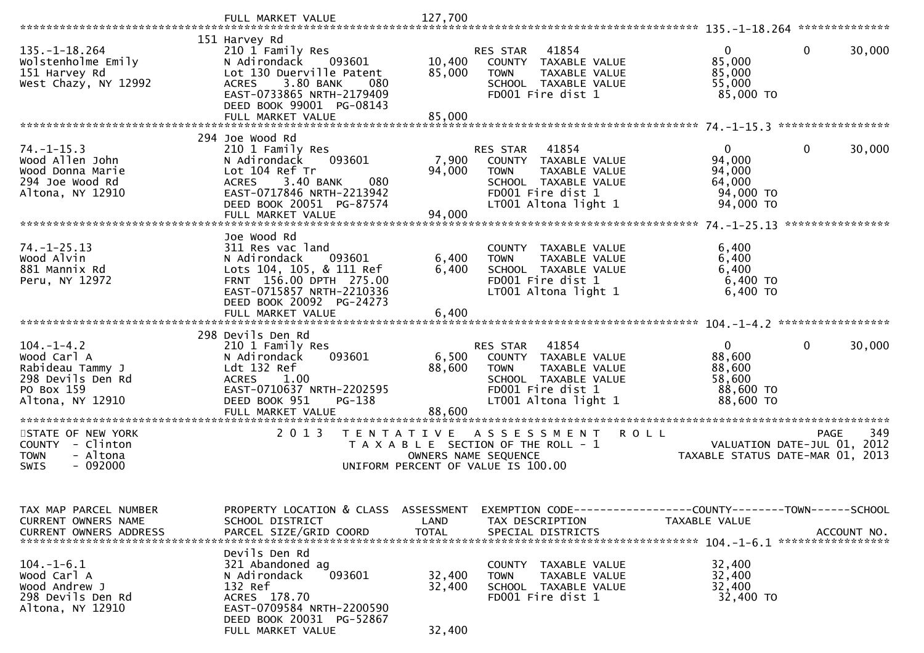| 135. –1–18.264<br>Wolstenholme Emily<br>151 Harvey Rd<br>West Chazy, NY 12992                              | 151 Harvey Rd<br>210 1 Family Res<br>N Adirondack<br>093601<br>Lot 130 Duerville Patent<br>3.80 BANK<br><b>ACRES</b><br>080<br>EAST-0733865 NRTH-2179409<br>DEED BOOK 99001 PG-08143 | 10,400<br>85,000           | RES STAR 41854<br>COUNTY TAXABLE VALUE<br><b>TOWN</b><br>TAXABLE VALUE<br>SCHOOL TAXABLE VALUE<br>FD001 Fire dist 1                                | $\Omega$<br>85,000<br>85,000<br>55,000<br>85,000 TO                    | 0<br>30,000            |
|------------------------------------------------------------------------------------------------------------|--------------------------------------------------------------------------------------------------------------------------------------------------------------------------------------|----------------------------|----------------------------------------------------------------------------------------------------------------------------------------------------|------------------------------------------------------------------------|------------------------|
|                                                                                                            | FULL MARKET VALUE                                                                                                                                                                    | 85,000                     |                                                                                                                                                    |                                                                        |                        |
|                                                                                                            |                                                                                                                                                                                      |                            |                                                                                                                                                    |                                                                        |                        |
|                                                                                                            | 294 Joe Wood Rd                                                                                                                                                                      |                            |                                                                                                                                                    |                                                                        |                        |
| $74. - 1 - 15.3$<br>Wood Allen John<br>Wood Donna Marie<br>294 Joe Wood Rd<br>Altona, NY 12910             | 210 1 Family Res<br>093601<br>N Adirondack<br>Lot 104 Ref Tr<br>3.40 BANK<br>080<br><b>ACRES</b><br>EAST-0717846 NRTH-2213942<br>DEED BOOK 20051 PG-87574                            | 7,900<br>94,000            | <b>RES STAR 41854</b><br>COUNTY TAXABLE VALUE<br><b>TOWN</b><br>TAXABLE VALUE<br>SCHOOL TAXABLE VALUE<br>FD001 Fire dist 1<br>LT001 Altona light 1 | $\Omega$<br>94,000<br>94,000<br>64,000<br>94,000 TO<br>94,000 TO       | $\mathbf 0$<br>30,000  |
|                                                                                                            | FULL MARKET VALUE                                                                                                                                                                    | 94,000                     |                                                                                                                                                    |                                                                        |                        |
|                                                                                                            |                                                                                                                                                                                      |                            |                                                                                                                                                    |                                                                        | ****************       |
| $74. - 1 - 25.13$<br>Wood Alvin<br>881 Mannix Rd<br>Peru, NY 12972                                         | Joe Wood Rd<br>311 Res vac land<br>N Adirondack<br>093601<br>Lots 104, 105, & 111 Ref<br>FRNT 156.00 DPTH 275.00<br>EAST-0715857 NRTH-2210336<br>DEED BOOK 20092 PG-24273            | 6,400<br>6,400             | COUNTY TAXABLE VALUE<br><b>TOWN</b><br><b>TAXABLE VALUE</b><br>SCHOOL TAXABLE VALUE<br>FD001 Fire dist 1<br>LT001 Altona light 1                   | 6,400<br>6,400<br>6,400<br>6,400 TO<br>6,400 TO                        |                        |
|                                                                                                            | FULL MARKET VALUE                                                                                                                                                                    | 6,400                      |                                                                                                                                                    |                                                                        |                        |
|                                                                                                            | 298 Devils Den Rd                                                                                                                                                                    |                            |                                                                                                                                                    |                                                                        |                        |
| $104. - 1 - 4.2$<br>Wood Carl A<br>Rabideau Tammy J<br>298 Devils Den Rd<br>PO Box 159<br>Altona, NY 12910 | 210 1 Family Res<br>093601<br>N Adirondack<br>Ldt 132 Ref<br><b>ACRES</b><br>1.00<br>EAST-0710637 NRTH-2202595<br>DEED BOOK 951<br>PG-138<br>FULL MARKET VALUE                       | 6,500<br>88,600<br>88,600  | RES STAR<br>41854<br>COUNTY TAXABLE VALUE<br><b>TOWN</b><br>TAXABLE VALUE<br>SCHOOL TAXABLE VALUE<br>FD001 Fire dist 1<br>LT001 Altona light 1     | $\overline{0}$<br>88,600<br>88,600<br>58,600<br>88,600 TO<br>88,600 TO | $\mathbf{0}$<br>30,000 |
| STATE OF NEW YORK                                                                                          | 2 0 1 3<br>T E N T A T I V E                                                                                                                                                         |                            | <b>ROLL</b>                                                                                                                                        |                                                                        | 349<br>PAGE            |
| COUNTY - Clinton<br><b>TOWN</b><br>- Altona<br>$-092000$<br><b>SWIS</b>                                    |                                                                                                                                                                                      |                            | A S S E S S M E N T<br>T A X A B L E SECTION OF THE ROLL - 1<br>OWNERS NAME SEQUENCE<br>UNIFORM PERCENT OF VALUE IS 100.00                         | VALUATION DATE-JUL 01,<br>TAXABLE STATUS DATE-MAR 01, 2013             | 2012                   |
| TAX MAP PARCEL NUMBER<br>CURRENT OWNERS NAME<br>CURRENT OWNERS ADDRESS                                     | PROPERTY LOCATION & CLASS ASSESSMENT<br>SCHOOL DISTRICT                                                                                                                              | LAND                       | EXEMPTION CODE------------------COUNTY--------TOWN------SCHOOL<br>TAX DESCRIPTION                                                                  | TAXABLE VALUE                                                          |                        |
| $104. - 1 - 6.1$<br>Wood Carl A<br>Wood Andrew J<br>298 Devils Den Rd<br>Altona, NY 12910                  | Devils Den Rd<br>321 Abandoned ag<br>093601<br>N Adirondack<br>132 Ref<br>ACRES 178.70<br>EAST-0709584 NRTH-2200590<br>DEED BOOK 20031 PG-52867<br>FULL MARKET VALUE                 | 32,400<br>32,400<br>32,400 | COUNTY TAXABLE VALUE<br>TAXABLE VALUE<br><b>TOWN</b><br>SCHOOL TAXABLE VALUE<br>FD001 Fire dist 1                                                  | 32,400<br>32,400<br>32,400<br>32,400 TO                                |                        |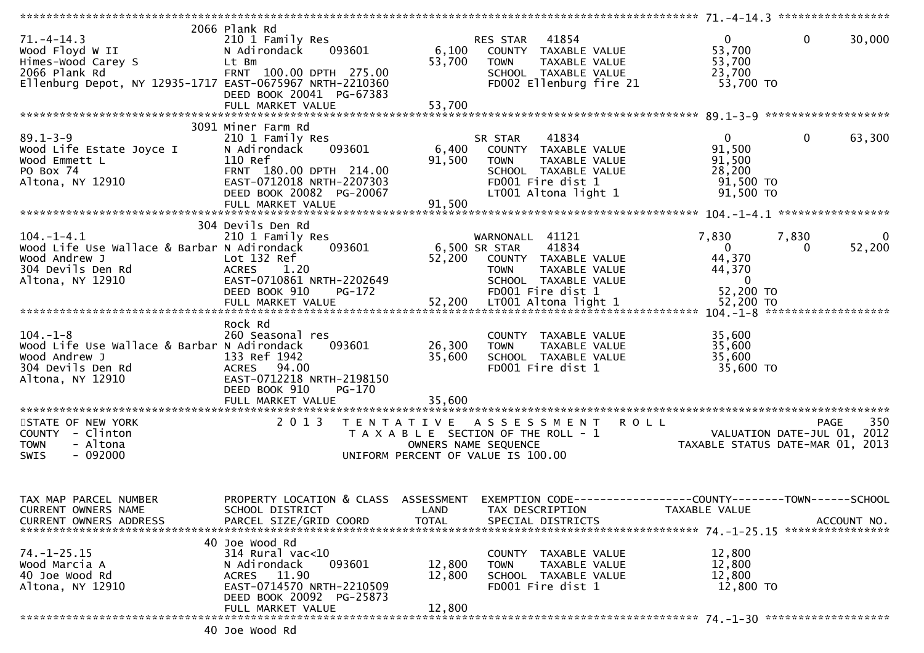| $71. - 4 - 14.3$<br>Wood Floyd W II<br>Himes-Wood Carey S<br>2066 Plank Rd<br>Ellenburg Depot, NY 12935-1717 EAST-0675967 NRTH-2210360     | 2066 Plank Rd<br>210 1 Family Res<br>093601<br>N Adirondack<br>Lt Bm<br>FRNT 100.00 DPTH 275.00<br>DEED BOOK 20041 PG-67383                                                          | 6,100<br>53,700            | 41854<br>RES STAR<br>COUNTY TAXABLE VALUE<br>TAXABLE VALUE<br><b>TOWN</b><br>SCHOOL TAXABLE VALUE<br>FD002 Ellenburg fire 21                                                         | $\overline{0}$<br>53,700<br>53,700<br>23,700<br>53,700 TO                         | $\mathbf{0}$<br>30,000                 |
|--------------------------------------------------------------------------------------------------------------------------------------------|--------------------------------------------------------------------------------------------------------------------------------------------------------------------------------------|----------------------------|--------------------------------------------------------------------------------------------------------------------------------------------------------------------------------------|-----------------------------------------------------------------------------------|----------------------------------------|
| $89.1 - 3 - 9$<br>Wood Life Estate Joyce I<br>Wood Emmett L<br>PO Box 74<br>Altona, NY 12910                                               | 3091 Miner Farm Rd<br>210 1 Family Res<br>093601<br>N Adirondack<br>110 Ref<br>FRNT 180.00 DPTH 214.00<br>EAST-0712018 NRTH-2207303<br>DEED BOOK 20082 PG-20067<br>FULL MARKET VALUE | 6,400<br>91,500<br>91,500  | 41834<br>SR STAR<br>COUNTY TAXABLE VALUE<br><b>TOWN</b><br>TAXABLE VALUE<br>SCHOOL TAXABLE VALUE<br>FD001 Fire dist 1<br>LT001 Altona light 1                                        | $0 \qquad \qquad$<br>91,500<br>91,500<br>28,200<br>91,500 TO<br>91,500 TO         | $\mathbf 0$<br>63,300                  |
| $104. - 1 - 4.1$<br>Wood Life Use Wallace & Barbar N Adirondack<br>Wood Andrew J<br>Wood Andrew J<br>304 Devils Den Rd<br>Altona, NY 12910 | 304 Devils Den Rd<br>210 1 Family Res<br>093601<br>Lot 132 Ref<br>ACRES 1.20<br>EAST-0710861 NRTH-2202649<br>DEED BOOK 910<br>PG-172                                                 | 6,500 SR STAR<br>52,200    | WARNONALL 41121<br>41834<br>COUNTY TAXABLE VALUE<br>TAXABLE VALUE<br><b>TOWN</b><br>SCHOOL TAXABLE VALUE<br>FD001 Fire dist 1                                                        | 7,830<br>$\mathbf{0}$<br>44,370<br>44,370<br>$\overline{\mathbf{0}}$<br>52,200 TO | 7,830<br>$\overline{0}$<br>52,200<br>0 |
| $104. - 1 - 8$<br>Wood Life Use Wallace & Barbar N Adirondack<br>Wood Andrew J<br>304 Devils Den Rd<br>Altona, NY 12910                    | Rock Rd<br>260 Seasonal res<br>093601<br>133 Ref 1942<br>ACRES 94.00<br>EAST-0712218 NRTH-2198150<br>DEED BOOK 910<br>PG-170<br>FULL MARKET VALUE                                    | 26,300<br>35,600<br>35,600 | COUNTY TAXABLE VALUE<br>TAXABLE VALUE<br><b>TOWN</b><br>SCHOOL TAXABLE VALUE<br>FD001 Fire dist 1                                                                                    | 35,600<br>35,600<br>35,600<br>35,600 TO                                           |                                        |
| STATE OF NEW YORK<br>COUNTY - Clinton<br><b>TOWN</b><br>- Altona<br>$-092000$<br><b>SWIS</b>                                               | 2 0 1 3                                                                                                                                                                              |                            | TENTATIVE ASSESSMENT ROLL<br>T A X A B L E SECTION OF THE ROLL - 1<br>OWNERS NAME SEQUENCE OF THE ROLL - 1<br>TAXABLE STATUS DATE-MAR 01, 2013<br>UNIFORM PERCENT OF VALUE IS 100.00 |                                                                                   | 350<br>PAGE                            |
| TAX MAP PARCEL NUMBER<br>CURRENT OWNERS NAME<br><b>CURRENT OWNERS ADDRESS</b>                                                              | PROPERTY LOCATION & CLASS ASSESSMENT EXEMPTION CODE----------------COUNTY-------TOWN------SCHOOL<br>SCHOOL DISTRICT<br>PARCEL SIZE/GRID COORD                                        | LAND<br><b>TOTAL</b>       | TAX DESCRIPTION<br>SPECIAL DISTRICTS                                                                                                                                                 | TAXABLE VALUE                                                                     | ACCOUNT NO.                            |
| $74. - 1 - 25.15$<br>Wood Marcia A<br>40 Joe Wood Rd<br>Altona, NY 12910                                                                   | 40 Joe Wood Rd<br>314 Rural vac<10<br>093601<br>N Adirondack<br>ACRES 11.90<br>EAST-0714570 NRTH-2210509<br>DEED BOOK 20092 PG-25873<br>FULL MARKET VALUE                            | 12,800<br>12,800<br>12,800 | COUNTY TAXABLE VALUE<br>TAXABLE VALUE<br><b>TOWN</b><br>SCHOOL TAXABLE VALUE<br>FD001 Fire dist 1                                                                                    | 12,800<br>12,800<br>12,800<br>12,800 TO                                           |                                        |
|                                                                                                                                            |                                                                                                                                                                                      |                            |                                                                                                                                                                                      |                                                                                   |                                        |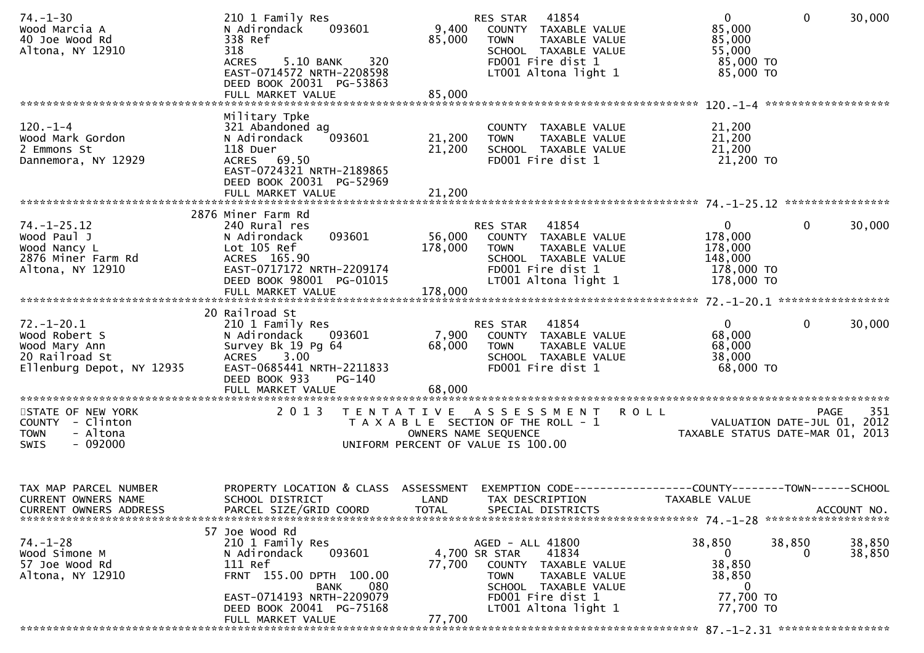| $74. - 1 - 30$<br>Wood Marcia A<br>40 Joe Wood Rd<br>Altona, NY 12910                         | 210 1 Family Res<br>093601<br>N Adirondack<br>338 Ref<br>318<br>320<br><b>ACRES</b><br>5.10 BANK<br>EAST-0714572 NRTH-2208598<br>DEED BOOK 20031 PG-53863                                       | 9,400<br>85,000<br>85,000                                                   | RES STAR 41854<br><b>TOWN</b>                    | COUNTY TAXABLE VALUE<br>TAXABLE VALUE<br>SCHOOL TAXABLE VALUE<br>FD001 Fire dist 1<br>LT001 Altona light 1          | $\overline{0}$<br>85,000<br>85,000<br>55,000<br>85,000 TO<br>85,000 TO         | $\mathbf{0}$       | 30,000             |
|-----------------------------------------------------------------------------------------------|-------------------------------------------------------------------------------------------------------------------------------------------------------------------------------------------------|-----------------------------------------------------------------------------|--------------------------------------------------|---------------------------------------------------------------------------------------------------------------------|--------------------------------------------------------------------------------|--------------------|--------------------|
|                                                                                               | FULL MARKET VALUE                                                                                                                                                                               |                                                                             |                                                  |                                                                                                                     |                                                                                |                    |                    |
| $120 - 1 - 4$<br>Wood Mark Gordon<br>2 Emmons St<br>Dannemora, NY 12929                       | Military Tpke<br>321 Abandoned ag<br>093601<br>N Adirondack<br>118 Duer<br>ACRES 69.50<br>EAST-0724321 NRTH-2189865<br>DEED BOOK 20031 PG-52969                                                 | 21,200<br>21,200                                                            | <b>TOWN</b>                                      | COUNTY TAXABLE VALUE<br>TAXABLE VALUE<br>SCHOOL TAXABLE VALUE<br>FD001 Fire dist 1                                  | 21,200<br>21,200<br>21,200<br>21,200 TO                                        |                    |                    |
|                                                                                               | FULL MARKET VALUE                                                                                                                                                                               | 21,200                                                                      |                                                  |                                                                                                                     |                                                                                |                    |                    |
| $74. - 1 - 25.12$<br>Wood Paul J<br>Wood Nancy L<br>2876 Miner Farm Rd<br>Altona, NY 12910    | 2876 Miner Farm Rd<br>240 Rural res<br>093601<br>N Adirondack<br>Lot 105 Ref<br>ACRES 165.90<br>EAST-0717172 NRTH-2209174<br>DEED BOOK 98001 PG-01015                                           | 56,000<br>178,000                                                           | RES STAR 41854<br><b>TOWN</b>                    | COUNTY TAXABLE VALUE<br>TAXABLE VALUE<br>SCHOOL TAXABLE VALUE<br>FD001 Fire dist 1<br>LT001 Altona light 1          | $\mathbf 0$<br>178,000<br>178,000<br>148,000<br>178,000 TO<br>178,000 TO       | 0                  | 30,000             |
|                                                                                               | FULL MARKET VALUE                                                                                                                                                                               | 178,000                                                                     |                                                  |                                                                                                                     |                                                                                |                    |                    |
|                                                                                               | 20 Railroad St                                                                                                                                                                                  |                                                                             |                                                  |                                                                                                                     |                                                                                |                    |                    |
| $72.-1-20.1$<br>Wood Robert S<br>Wood Mary Ann<br>20 Railroad St<br>Ellenburg Depot, NY 12935 | 210 1 Family Res<br>N Adirondack 093601<br>Survey Bk 19 Pg 64<br>ACRES 3.00<br>EAST-0685441 NRTH-2211833<br>DEED BOOK 933<br>PG-140                                                             | 7,900<br>68,000                                                             | RES STAR<br><b>TOWN</b>                          | 41854<br>COUNTY TAXABLE VALUE<br>TAXABLE VALUE<br>SCHOOL TAXABLE VALUE<br>FD001 Fire dist 1                         | $\overline{0}$<br>68,000<br>68,000<br>38,000<br>68,000 TO                      | $\mathbf{0}$       | 30,000             |
|                                                                                               |                                                                                                                                                                                                 |                                                                             |                                                  |                                                                                                                     |                                                                                |                    |                    |
| STATE OF NEW YORK<br>COUNTY - Clinton<br>- Altona<br><b>TOWN</b><br><b>SWIS</b><br>$-092000$  | 2 0 1 3                                                                                                                                                                                         | T A X A B L E SECTION OF THE ROLL - 1<br>UNIFORM PERCENT OF VALUE IS 100.00 | OWNERS NAME SEQUENCE                             | TENTATIVE ASSESSMENT                                                                                                | <b>ROLL</b><br>VALUATION DATE-JUL 01, 2012<br>TAXABLE STATUS DATE-MAR 01, 2013 |                    | 351<br><b>PAGE</b> |
| TAX MAP PARCEL NUMBER<br><b>CURRENT OWNERS NAME</b><br><b>CURRENT OWNERS ADDRESS</b>          | PROPERTY LOCATION & CLASS ASSESSMENT<br>SCHOOL DISTRICT<br>PARCEL SIZE/GRID COORD                                                                                                               | LAND<br><b>TOTAL</b>                                                        |                                                  | TAX DESCRIPTION<br>SPECIAL DISTRICTS                                                                                | EXEMPTION CODE-----------------COUNTY-------TOWN------SCHOOL<br>TAXABLE VALUE  |                    | ACCOUNT NO.        |
| 74. –1–28<br>Wood Simone M<br>57 Joe Wood Rd<br>Altona, NY 12910                              | 57 Joe Wood Rd<br>210 1 Family Res<br>093601<br>N Adirondack<br>111 Ref<br>FRNT 155.00 DPTH 100.00<br>080<br>BANK<br>EAST-0714193 NRTH-2209079<br>DEED BOOK 20041 PG-75168<br>FULL MARKET VALUE | 77,700<br>77,700                                                            | AGED - ALL 41800<br>4,700 SR STAR<br><b>TOWN</b> | 41834<br>COUNTY TAXABLE VALUE<br>TAXABLE VALUE<br>SCHOOL TAXABLE VALUE<br>FD001 Fire dist 1<br>LT001 Altona light 1 | 38,850<br>$\mathbf{0}$<br>38,850<br>38,850<br>0<br>77,700 TO<br>77,700 TO      | 38,850<br>$\Omega$ | 38,850<br>38,850   |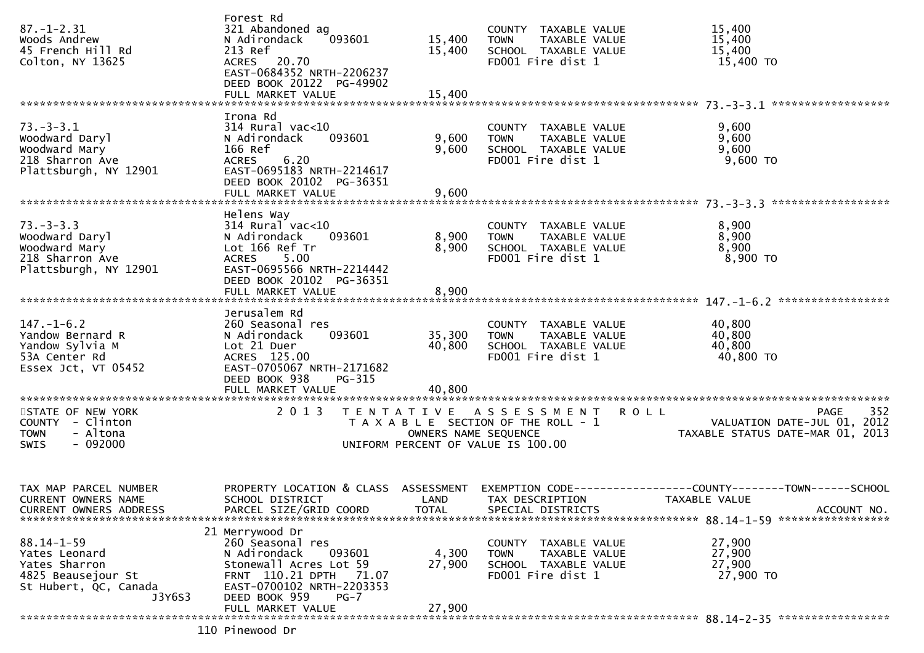| $87. - 1 - 2.31$<br>Woods Andrew<br>45 French Hill Rd<br>Colton, NY 13625                                   | Forest Rd<br>321 Abandoned ag<br>093601<br>N Adirondack<br>213 Ref<br>ACRES 20.70<br>EAST-0684352 NRTH-2206237<br>DEED BOOK 20122 PG-49902<br>FULL MARKET VALUE           | 15,400<br>15,400<br>15,400 | COUNTY TAXABLE VALUE<br><b>TOWN</b><br>SCHOOL TAXABLE VALUE<br>FD001 Fire dist 1                    | TAXABLE VALUE | 15,400<br>15,400<br>15,400<br>15,400 TO                                                                                          |
|-------------------------------------------------------------------------------------------------------------|---------------------------------------------------------------------------------------------------------------------------------------------------------------------------|----------------------------|-----------------------------------------------------------------------------------------------------|---------------|----------------------------------------------------------------------------------------------------------------------------------|
| $73. - 3 - 3.1$<br>Woodward Daryl<br>Woodward Mary<br>218 Sharron Ave<br>Plattsburgh, NY 12901              | Irona Rd<br>$314$ Rural vac<10<br>093601<br>N Adirondack<br>166 Ref<br>6.20<br><b>ACRES</b><br>EAST-0695183 NRTH-2214617<br>DEED BOOK 20102 PG-36351<br>FULL MARKET VALUE | 9,600<br>9,600<br>9,600    | COUNTY TAXABLE VALUE<br><b>TOWN</b><br>SCHOOL TAXABLE VALUE<br>FD001 Fire dist 1                    | TAXABLE VALUE | 9,600<br>9,600<br>9,600<br>$9,600$ TO                                                                                            |
| $73. - 3 - 3.3$<br>Woodward Daryl<br>Woodward Mary<br>218 Sharron Ave<br>Plattsburgh, NY 12901              | Helens Way<br>$314$ Rural vac<10<br>N Adirondack<br>093601<br>Lot 166 Ref Tr<br>ACRES 5.00<br>EAST-0695566 NRTH-2214442<br>DEED BOOK 20102 PG-36351<br>FULL MARKET VALUE  | 8,900<br>8,900<br>8,900    | COUNTY TAXABLE VALUE<br><b>TOWN</b><br>SCHOOL TAXABLE VALUE<br>FD001 Fire dist 1                    | TAXABLE VALUE | 8,900<br>8,900<br>8,900<br>8,900 TO                                                                                              |
| $147. - 1 - 6.2$<br>Yandow Bernard R<br>Yandow Sylvia M<br>53A Center Rd<br>Essex Jct, VT 05452             | Jerusalem Rd<br>260 Seasonal res<br>093601<br>N Adirondack<br>Lot 21 Duer<br>ACRES 125.00<br>EAST-0705067 NRTH-2171682<br>DEED BOOK 938<br>PG-315<br>FULL MARKET VALUE    | 35,300<br>40,800<br>40,800 | COUNTY TAXABLE VALUE<br><b>TOWN</b><br>SCHOOL TAXABLE VALUE<br>FD001 Fire dist 1                    | TAXABLE VALUE | 40,800<br>40,800<br>40,800<br>40,800 TO                                                                                          |
| STATE OF NEW YORK<br>COUNTY - Clinton<br>- Altona<br><b>TOWN</b><br>- 092000<br><b>SWIS</b>                 | 2 0 1 3                                                                                                                                                                   | OWNERS NAME SEQUENCE       | TENTATIVE ASSESSMENT<br>T A X A B L E SECTION OF THE ROLL - 1<br>UNIFORM PERCENT OF VALUE IS 100.00 | <b>ROLL</b>   | 352<br>PAGE<br>VALUATION DATE-JUL 01, 2012<br>TAXABLE STATUS DATE-MAR 01, 2013                                                   |
| TAX MAP PARCEL NUMBER<br>CURRENT OWNERS NAME<br><b>CURRENT OWNERS ADDRESS</b>                               | SCHOOL DISTRICT<br>PARCEL SIZE/GRID COORD                                                                                                                                 | <b>TOTAL</b>               | LAND TAX DESCRIPTION<br>SPECIAL DISTRICTS                                                           |               | PROPERTY LOCATION & CLASS ASSESSMENT EXEMPTION CODE----------------COUNTY-------TOWN------SCHOOL<br>TAXABLE VALUE<br>ACCOUNT NO. |
| $88.14 - 1 - 59$<br>Yates Leonard<br>Yates Sharron<br>4825 Beausejour St<br>St Hubert, QC, Canada<br>J3Y6S3 | 21 Merrywood Dr<br>260 Seasonal res<br>N Adirondack<br>093601<br>Stonewall Acres Lot 59<br>FRNT 110.21 DPTH 71.07<br>EAST-0700102 NRTH-2203353<br>DEED BOOK 959<br>$PG-7$ | 4,300<br>27,900            | COUNTY TAXABLE VALUE<br><b>TOWN</b><br>SCHOOL TAXABLE VALUE<br>FD001 Fire dist 1                    | TAXABLE VALUE | 27,900<br>27,900<br>27,900<br>27,900 TO                                                                                          |
|                                                                                                             | FULL MARKET VALUE<br>110 Pinewood Dr                                                                                                                                      | 27,900                     |                                                                                                     |               |                                                                                                                                  |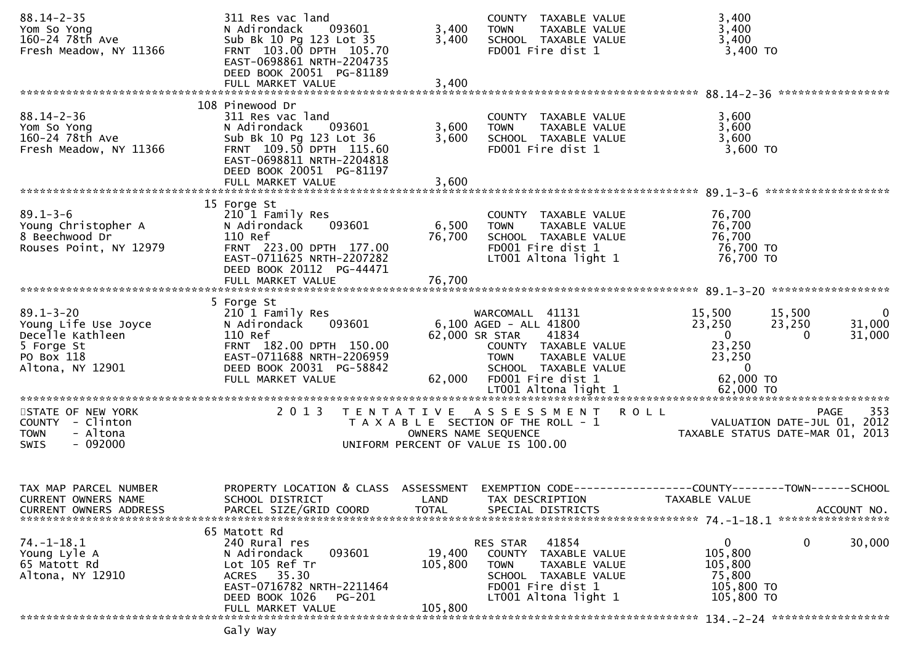| 311 Res vac land<br>N Adirondack<br>093601<br>Sub Bk 10 Pg 123 Lot 35<br>FRNT 103.00 DPTH 105.70<br>EAST-0698861 NRTH-2204735<br>DEED BOOK 20051 PG-81189        | 3,400<br>3,400                                                                                         | COUNTY TAXABLE VALUE<br>TAXABLE VALUE<br><b>TOWN</b><br>SCHOOL TAXABLE VALUE<br>FD001 Fire dist 1                                     | 3,400<br>3,400<br>3,400<br>3,400 TO                                                                                                                                                                         |
|------------------------------------------------------------------------------------------------------------------------------------------------------------------|--------------------------------------------------------------------------------------------------------|---------------------------------------------------------------------------------------------------------------------------------------|-------------------------------------------------------------------------------------------------------------------------------------------------------------------------------------------------------------|
|                                                                                                                                                                  |                                                                                                        |                                                                                                                                       |                                                                                                                                                                                                             |
| 311 Res vac land<br>N Adirondack<br>093601<br>Sub Bk 10 Pg 123 Lot 36<br>FRNT 109.50 DPTH 115.60<br>EAST-0698811 NRTH-2204818<br>DEED BOOK 20051 PG-81197        | 3,600<br>3,600                                                                                         | COUNTY TAXABLE VALUE<br>TAXABLE VALUE<br><b>TOWN</b><br>SCHOOL TAXABLE VALUE<br>FD001 Fire dist 1                                     | 3,600<br>3,600<br>3,600<br>3,600 TO                                                                                                                                                                         |
|                                                                                                                                                                  |                                                                                                        |                                                                                                                                       |                                                                                                                                                                                                             |
| 210 1 Family Res<br>093601<br>N Adirondack<br>110 Ref<br>FRNT 223.00 DPTH 177.00<br>EAST-0711625 NRTH-2207282<br>DEED BOOK 20112 PG-44471                        | 6,500<br>76,700                                                                                        | COUNTY TAXABLE VALUE<br>TAXABLE VALUE<br><b>TOWN</b><br>SCHOOL TAXABLE VALUE<br>FD001 Fire dist 1<br>LT001 Altona light 1             | 76,700<br>76,700<br>76,700<br>76,700 TO<br>76,700 TO                                                                                                                                                        |
|                                                                                                                                                                  |                                                                                                        |                                                                                                                                       |                                                                                                                                                                                                             |
| 210 1 Family Res<br>N Adirondack<br>093601<br>110 Ref<br>FRNT 182.00 DPTH 150.00<br>EAST-0711688 NRTH-2206959<br>DEED BOOK 20031 PG-58842<br>FULL MARKET VALUE   | 62,000                                                                                                 | 41834<br>COUNTY TAXABLE VALUE<br>TAXABLE VALUE<br><b>TOWN</b><br>SCHOOL TAXABLE VALUE<br>FD001 Fire dist 1                            | 15,500<br>15,500<br>$\mathbf{0}$<br>23,250<br>31,000<br>23,250<br>$\mathbf{0}$<br>31,000<br>$\Omega$<br>23,250<br>23,250<br>$\mathbf{0}$<br>62,000 TO                                                       |
| 2 0 1 3                                                                                                                                                          |                                                                                                        |                                                                                                                                       | 353<br><b>PAGE</b><br>VALUATION DATE-JUL 01, 2012<br>TAXABLE STATUS DATE-MAR 01, 2013                                                                                                                       |
| PROPERTY LOCATION & CLASS<br>SCHOOL DISTRICT<br>PARCEL SIZE/GRID COORD                                                                                           | ASSESSMENT<br>LAND<br><b>TOTAL</b>                                                                     | TAX DESCRIPTION<br>SPECIAL DISTRICTS                                                                                                  | EXEMPTION CODE-----------------COUNTY-------TOWN------SCHOOL<br>TAXABLE VALUE<br>ACCOUNT NO.                                                                                                                |
| 240 Rural res<br>N Adirondack<br>093601<br>Lot 105 Ref Tr<br>35.30<br><b>ACRES</b><br>EAST-0716782 NRTH-2211464<br>DEED BOOK 1026<br>PG-201<br>FULL MARKET VALUE | 19,400<br>105,800<br>105,800                                                                           | 41854<br>TAXABLE VALUE<br>COUNTY<br>TAXABLE VALUE<br><b>TOWN</b><br>SCHOOL TAXABLE VALUE<br>FD001 Fire dist 1<br>LT001 Altona light 1 | 0<br>0<br>30,000<br>105,800<br>105,800<br>75,800<br>105,800 TO<br>105,800 TO                                                                                                                                |
|                                                                                                                                                                  | FULL MARKET VALUE<br>108 Pinewood Dr<br>FULL MARKET VALUE<br>15 Forge St<br>5 Forge St<br>65 Matott Rd | 3,400<br>3,600                                                                                                                        | WARCOMALL 41131<br>6,100 AGED - ALL 41800<br>62,000 SR STAR<br>TENTATIVE ASSESSMENT ROLL<br>T A X A B L E SECTION OF THE ROLL - 1<br>OWNERS NAME SEQUENCE<br>UNIFORM PERCENT OF VALUE IS 100.00<br>RES STAR |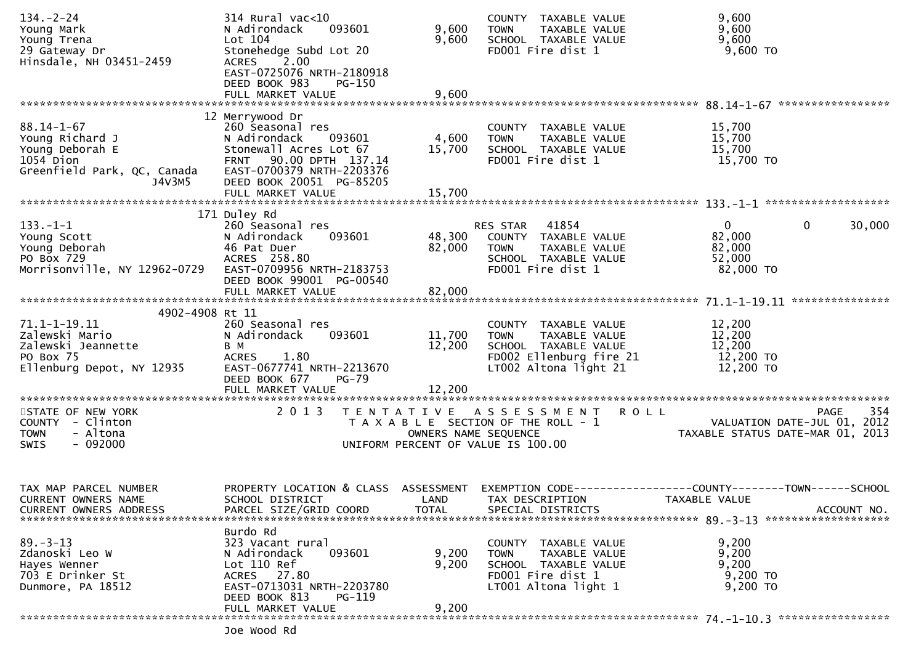| $134. - 2 - 24$                              | 314 Rural vac<10<br>093601<br>N Adirondack                                        | 9,600                | COUNTY TAXABLE VALUE                                 | 9,600                                                                          |
|----------------------------------------------|-----------------------------------------------------------------------------------|----------------------|------------------------------------------------------|--------------------------------------------------------------------------------|
| Young Mark<br>Young Trena                    | Lot 104                                                                           | 9,600                | TAXABLE VALUE<br><b>TOWN</b><br>SCHOOL TAXABLE VALUE | 9,600<br>9,600                                                                 |
| 29 Gateway Dr                                | Stonehedge Subd Lot 20                                                            |                      | FD001 Fire dist 1                                    | 9,600 TO                                                                       |
| Hinsdale, NH 03451-2459                      | $\begin{bmatrix} 2.00 \end{bmatrix}$<br><b>ACRES</b><br>EAST-0725076 NRTH-2180918 |                      |                                                      |                                                                                |
|                                              | DEED BOOK 983<br><b>PG-150</b>                                                    |                      |                                                      |                                                                                |
|                                              | FULL MARKET VALUE                                                                 | 9,600                |                                                      |                                                                                |
|                                              | 12 Merrywood Dr                                                                   |                      |                                                      |                                                                                |
| $88.14 - 1 - 67$                             | 260 Seasonal res                                                                  |                      | COUNTY TAXABLE VALUE                                 | 15,700                                                                         |
| Young Richard J<br>Young Deborah E           | 093601<br>N Adirondack<br>Stonewall Acres Lot 67                                  | 4,600<br>15,700      | <b>TOWN</b><br>TAXABLE VALUE<br>SCHOOL TAXABLE VALUE | 15,700<br>15,700                                                               |
| $1054$ Dion                                  | FRNT 90.00 DPTH 137.14                                                            |                      | FD001 Fire dist 1                                    | 15,700 TO                                                                      |
| Greenfield Park, QC, Canada                  | EAST-0700379 NRTH-2203376                                                         |                      |                                                      |                                                                                |
| J4V3M5                                       | DEED BOOK 20051 PG-85205<br>FULL MARKET VALUE                                     | 15,700               |                                                      |                                                                                |
|                                              |                                                                                   |                      |                                                      |                                                                                |
| $133. - 1 - 1$                               | 171 Duley Rd<br>260 Seasonal res                                                  |                      | RES STAR 41854                                       | $\overline{0}$<br>30,000<br>$\mathbf{0}$                                       |
| Young Scott                                  | 093601<br>N Adirondack                                                            | 48,300               | COUNTY TAXABLE VALUE                                 | 82,000                                                                         |
| Young Deborah                                | 46 Pat Duer                                                                       | 82,000               | TAXABLE VALUE<br><b>TOWN</b>                         | 82,000                                                                         |
| PO Box 729<br>Morrisonville, NY 12962-0729   | ACRES 258.80<br>EAST-0709956 NRTH-2183753                                         |                      | SCHOOL TAXABLE VALUE<br>FD001 Fire dist 1            | 52,000<br>82,000 TO                                                            |
|                                              | DEED BOOK 99001 PG-00540                                                          |                      |                                                      |                                                                                |
|                                              | FULL MARKET VALUE                                                                 | 82,000               |                                                      |                                                                                |
| 4902-4908 Rt 11                              |                                                                                   |                      |                                                      |                                                                                |
| 71.1-1-19.11                                 | 260 Seasonal res                                                                  |                      | COUNTY TAXABLE VALUE                                 | 12,200                                                                         |
| Zalewski Mario<br>Zalewski Jeannette         | N Adirondack<br>093601<br>B M                                                     | 11,700<br>12,200     | <b>TOWN</b><br>TAXABLE VALUE<br>SCHOOL TAXABLE VALUE | 12,200<br>12,200                                                               |
| PO Box 75                                    | <b>ACRES</b><br>1.80                                                              |                      | FD002 Ellenburg fire 21                              | 12,200 TO                                                                      |
| Ellenburg Depot, NY 12935                    | EAST-0677741 NRTH-2213670                                                         |                      | LT002 Altona light 21                                | 12,200 TO                                                                      |
|                                              | DEED BOOK 677<br>$PG-79$<br>FULL MARKET VALUE                                     | 12,200               |                                                      |                                                                                |
|                                              |                                                                                   |                      |                                                      |                                                                                |
| STATE OF NEW YORK                            | 2 0 1 3                                                                           |                      | TENTATIVE ASSESSMENT<br><b>ROLL</b>                  | 354<br><b>PAGE</b>                                                             |
| COUNTY - Clinton<br>- Altona<br><b>TOWN</b>  |                                                                                   | OWNERS NAME SEQUENCE | T A X A B L E SECTION OF THE ROLL - 1                | VALUATION DATE-JUL 01, 2012<br>TAXABLE STATUS DATE-MAR 01, 2013                |
| $-092000$<br>SWIS                            |                                                                                   |                      | UNIFORM PERCENT OF VALUE IS 100.00                   |                                                                                |
|                                              |                                                                                   |                      |                                                      |                                                                                |
|                                              |                                                                                   |                      |                                                      |                                                                                |
| TAX MAP PARCEL NUMBER<br>CURRENT OWNERS NAME | PROPERTY LOCATION & CLASS<br>SCHOOL DISTRICT                                      | ASSESSMENT<br>LAND   | TAX DESCRIPTION                                      | EXEMPTION CODE-----------------COUNTY--------TOWN------SCHOOL<br>TAXABLE VALUE |
| <b>CURRENT OWNERS ADDRESS</b>                | PARCEL SIZE/GRID COORD                                                            | <b>TOTAL</b>         | SPECIAL DISTRICTS                                    | ACCOUNT NO.                                                                    |
|                                              |                                                                                   |                      |                                                      |                                                                                |
| $89. - 3 - 13$                               | Burdo Rd<br>323 Vacant rural                                                      |                      | COUNTY TAXABLE VALUE                                 | 9,200                                                                          |
| Zdanoski Leo W                               | 093601<br>N Adirondack                                                            | 9,200                | TAXABLE VALUE<br>TOWN                                | 9,200                                                                          |
| Hayes Wenner<br>703 E Drinker St             | Lot 110 Ref<br>ACRES 27.80                                                        | 9,200                | SCHOOL TAXABLE VALUE<br>FD001 Fire dist 1            | 9,200<br>9,200 TO                                                              |
| Dunmore, PA 18512                            | EAST-0713031 NRTH-2203780                                                         |                      | LT001 Altona light 1                                 | 9,200 TO                                                                       |
|                                              | DEED BOOK 813<br>PG-119                                                           |                      |                                                      |                                                                                |
|                                              | FULL MARKET VALUE                                                                 | 9,200                |                                                      |                                                                                |
|                                              | ha hoow po                                                                        |                      |                                                      |                                                                                |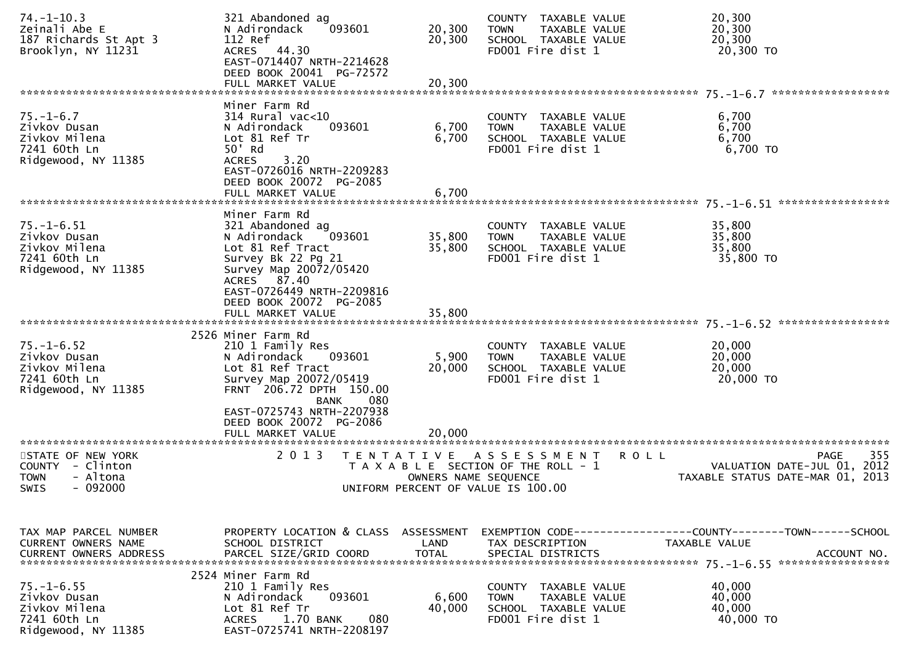| $74. - 1 - 10.3$<br>Zeinali Abe E<br>187 Richards St Apt 3<br>Brooklyn, NY 11231         | 321 Abandoned ag<br>N Adirondack<br>093601<br>112 Ref<br>ACRES 44.30<br>EAST-0714407 NRTH-2214628<br>DEED BOOK 20041 PG-72572                                                                          | 20,300<br>20,300               | COUNTY TAXABLE VALUE<br>TAXABLE VALUE<br><b>TOWN</b><br>SCHOOL TAXABLE VALUE<br>FD001 Fire dist 1                 | 20,300<br>20,300<br>20,300<br>20,300 TO                                                  |
|------------------------------------------------------------------------------------------|--------------------------------------------------------------------------------------------------------------------------------------------------------------------------------------------------------|--------------------------------|-------------------------------------------------------------------------------------------------------------------|------------------------------------------------------------------------------------------|
|                                                                                          | FULL MARKET VALUE                                                                                                                                                                                      | 20,300                         |                                                                                                                   |                                                                                          |
| $75. - 1 - 6.7$<br>Zivkov Dusan<br>Zivkov Milena<br>7241 60th Ln<br>Ridgewood, NY 11385  | Miner Farm Rd<br>$314$ Rural vac<10<br>N Adirondack<br>093601<br>Lot 81 Ref Tr<br>50' Rd<br>3.20<br><b>ACRES</b><br>EAST-0726016 NRTH-2209283<br>DEED BOOK 20072 PG-2085<br>FULL MARKET VALUE          | 6,700<br>6,700<br>6,700        | COUNTY TAXABLE VALUE<br>TAXABLE VALUE<br><b>TOWN</b><br>SCHOOL TAXABLE VALUE<br>FD001 Fire dist 1                 | 6,700<br>6,700<br>6,700<br>6,700 TO                                                      |
| $75. - 1 - 6.51$<br>Zivkov Dusan<br>Zivkov Milena<br>7241 60th Ln<br>Ridgewood, NY 11385 | Miner Farm Rd<br>321 Abandoned ag<br>N Adirondack<br>093601<br>Lot 81 Ref Tract<br>Survey Bk 22 Pg 21<br>Survey Map 20072/05420<br>ACRES 87.40<br>EAST-0726449 NRTH-2209816<br>DEED BOOK 20072 PG-2085 | 35,800<br>35,800               | COUNTY TAXABLE VALUE<br>TAXABLE VALUE<br><b>TOWN</b><br>SCHOOL TAXABLE VALUE<br>FD001 Fire dist 1                 | 35,800<br>35,800<br>35,800<br>35,800 TO                                                  |
|                                                                                          | FULL MARKET VALUE                                                                                                                                                                                      | 35,800                         |                                                                                                                   |                                                                                          |
| $75. - 1 - 6.52$<br>Zivkov Dusan<br>Zivkov Milena<br>7241 60th Ln<br>Ridgewood, NY 11385 | 2526 Miner Farm Rd<br>210 1 Family Res<br>093601<br>N Adirondack<br>Lot 81 Ref Tract<br>Survey Map 20072/05419<br>FRNT 206.72 DPTH 150.00<br><b>BANK</b><br>080                                        | 5,900<br>20,000                | COUNTY TAXABLE VALUE<br>TAXABLE VALUE<br><b>TOWN</b><br>SCHOOL TAXABLE VALUE<br>FD001 Fire dist 1                 | 20,000<br>20,000<br>20,000<br>20,000 TO                                                  |
| STATE OF NEW YORK<br>COUNTY - Clinton<br>- Altona<br>TOWN<br>SWIS<br>- 092000            | EAST-0725743 NRTH-2207938<br>DEED BOOK 20072 PG-2086<br>FULL MARKET VALUE<br>2 0 1 3<br>T E N T A T I V E                                                                                              | 20,000<br>OWNERS NAME SEQUENCE | <b>ROLL</b><br>A S S E S S M E N T<br>T A X A B L E SECTION OF THE ROLL - 1<br>UNIFORM PERCENT OF VALUE IS 100.00 | 355<br><b>PAGE</b><br>2012<br>VALUATION DATE-JUL 01,<br>TAXABLE STATUS DATE-MAR 01, 2013 |
| TAX MAP PARCEL NUMBER<br>CURRENT OWNERS NAME                                             | PROPERTY LOCATION & CLASS ASSESSMENT<br>SCHOOL DISTRICT                                                                                                                                                | LAND                           | TAX DESCRIPTION                                                                                                   | EXEMPTION        CODE-----------------COUNTY-------TOWN------SCHOOL<br>TAXABLE VALUE     |
| $75. - 1 - 6.55$<br>Zivkov Dusan<br>Zivkov Milena<br>7241 60th Ln<br>Ridgewood, NY 11385 | 2524 Miner Farm Rd<br>210 1 Family Res<br>093601<br>N Adirondack<br>Lot 81 Ref Tr<br>1.70 BANK<br>080<br><b>ACRES</b><br>EAST-0725741 NRTH-2208197                                                     | 6,600<br>40,000                | COUNTY TAXABLE VALUE<br>TAXABLE VALUE<br><b>TOWN</b><br>SCHOOL TAXABLE VALUE<br>FD001 Fire dist 1                 | 40,000<br>40,000<br>40,000<br>40,000 TO                                                  |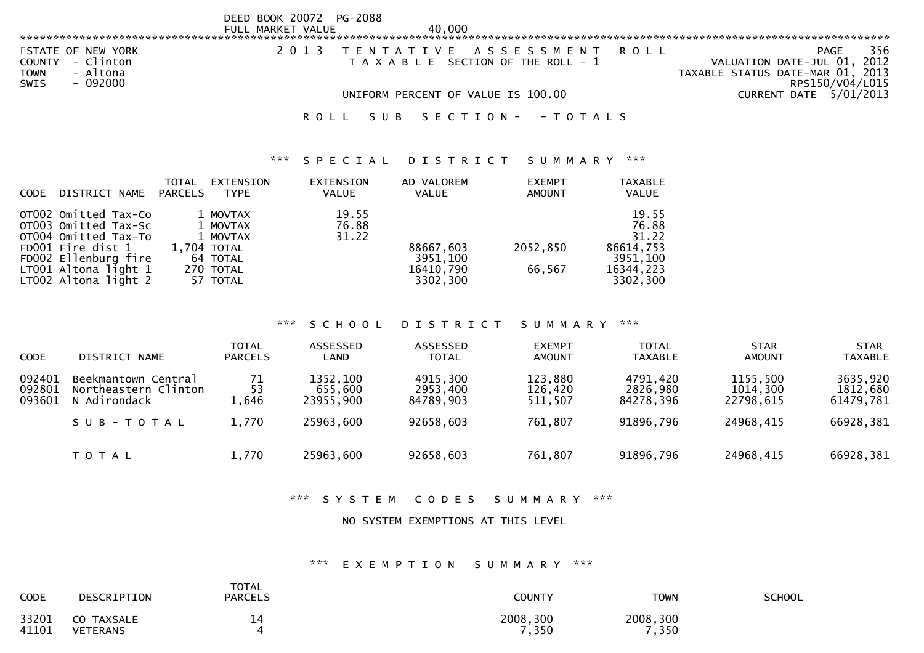|                                                                                                       | DEED BOOK 20072 PG-2088<br>FULL MARKET VALUE | 40,000                                                                |                                                                                                   |
|-------------------------------------------------------------------------------------------------------|----------------------------------------------|-----------------------------------------------------------------------|---------------------------------------------------------------------------------------------------|
|                                                                                                       |                                              |                                                                       |                                                                                                   |
| STATE OF NEW YORK<br>- Clinton<br><b>COUNTY</b><br>- Altona<br><b>TOWN</b><br><b>SWIS</b><br>- 092000 | 2 0 1 3                                      | TENTATIVE ASSESSMENT<br>ROLL<br>T A X A B L E SECTION OF THE ROLL - 1 | 356<br>PAGE<br>VALUATION DATE-JUL 01, 2012<br>TAXABLE STATUS DATE-MAR 01, 2013<br>RPS150/V04/L015 |
|                                                                                                       |                                              | UNIFORM PERCENT OF VALUE IS 100.00                                    | CURRENT DATE 5/01/2013                                                                            |
|                                                                                                       |                                              | SECTION - - TOTALS                                                    |                                                                                                   |

#### \*\*\* S P E C I A L D I S T R I C T S U M M A R Y \*\*\*

| <b>TAXABLE</b><br><b>VALUE</b> |
|--------------------------------|
|                                |
| 19.55                          |
| 76.88                          |
| 31.22                          |
| 86614,753                      |
| 3951,100                       |
| 16344,223                      |
| 3302,300                       |
|                                |

#### \*\*\* S C H O O L D I S T R I C T S U M M A R Y \*\*\*

| <b>CODE</b>                | DISTRICT NAME                                               | <b>TOTAL</b><br><b>PARCELS</b> | <b>ASSESSED</b><br>LAND          | <b>ASSESSED</b><br><b>TOTAL</b>   | <b>EXEMPT</b><br><b>AMOUNT</b> | TOTAL<br><b>TAXABLE</b>           | <b>STAR</b><br><b>AMOUNT</b>      | <b>STAR</b><br><b>TAXABLE</b>     |
|----------------------------|-------------------------------------------------------------|--------------------------------|----------------------------------|-----------------------------------|--------------------------------|-----------------------------------|-----------------------------------|-----------------------------------|
| 092401<br>092801<br>093601 | Beekmantown Central<br>Northeastern Clinton<br>N Adirondack | 71<br>53<br>1,646              | 1352,100<br>655,600<br>23955,900 | 4915,300<br>2953,400<br>84789.903 | 123,880<br>126,420<br>511,507  | 4791,420<br>2826,980<br>84278.396 | 1155,500<br>1014,300<br>22798.615 | 3635,920<br>1812,680<br>61479,781 |
|                            | SUB-TOTAL                                                   | 1,770                          | 25963,600                        | 92658,603                         | 761,807                        | 91896,796                         | 24968,415                         | 66928,381                         |
|                            | T O T A L                                                   | 1,770                          | 25963,600                        | 92658,603                         | 761,807                        | 91896,796                         | 24968,415                         | 66928,381                         |

### \*\*\* S Y S T E M C O D E S S U M M A R Y \*\*\*

#### NO SYSTEM EXEMPTIONS AT THIS LEVEL

### \*\*\* E X E M P T I O N S U M M A R Y \*\*\*

| <b>CODE</b>    | DESCRIPTION            | <b>TOTAL</b><br><b>PARCELS</b> | COUNTY            | TOWN              | SCHOOL |
|----------------|------------------------|--------------------------------|-------------------|-------------------|--------|
| 33201<br>41101 | CO TAXSALE<br>VETERANS | ∸                              | 2008,300<br>7,350 | 2008,300<br>7,350 |        |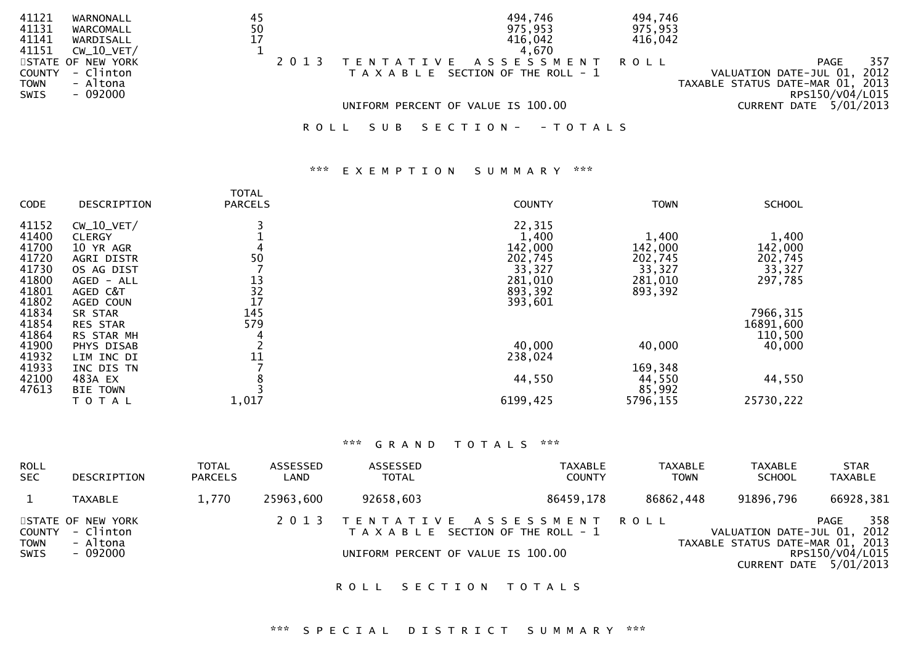| 41121       | WARNONALL         | 45 |         |     |  | 494,746                               | 494,746 |                                  |
|-------------|-------------------|----|---------|-----|--|---------------------------------------|---------|----------------------------------|
| 41131       | WARCOMALL         | 50 |         |     |  | 975,953                               | 975,953 |                                  |
| 41141       | WARDISALL         | 17 |         |     |  | 416,042                               | 416,042 |                                  |
| 41151       | $CW_10_VET/$      |    |         |     |  | 4.670                                 |         |                                  |
|             | STATE OF NEW YORK |    |         |     |  | TENTATIVE ASSESSMENT ROLL             |         | 357<br><b>PAGE</b>               |
| COUNTY      | - Clinton         |    |         |     |  | T A X A B L E SECTION OF THE ROLL - 1 |         | VALUATION DATE-JUL 01, 2012      |
| <b>TOWN</b> | - Altona          |    |         |     |  |                                       |         | TAXABLE STATUS DATE-MAR 01, 2013 |
| <b>SWIS</b> | - 092000          |    |         |     |  |                                       |         | RPS150/V04/L015                  |
|             |                   |    |         |     |  | UNIFORM PERCENT OF VALUE IS 100.00    |         | CURRENT DATE 5/01/2013           |
|             |                   |    |         |     |  |                                       |         |                                  |
|             |                   |    | R O L L | SUB |  | SECTION - - TOTALS                    |         |                                  |

### \*\*\* E X E M P T I O N S U M M A R Y \*\*\*

| <b>CODE</b> | DESCRIPTION       | <b>TOTAL</b><br><b>PARCELS</b>          | <b>COUNTY</b> | <b>TOWN</b> | <b>SCHOOL</b> |
|-------------|-------------------|-----------------------------------------|---------------|-------------|---------------|
| 41152       | $CW_10_VET/$      |                                         | 22,315        |             |               |
| 41400       | <b>CLERGY</b>     |                                         | 1,400         | 1,400       | 1,400         |
| 41700       | 10 YR AGR         |                                         | 142,000       | 142,000     | 142,000       |
| 41720       | <b>AGRI DISTR</b> | 50                                      | 202,745       | 202,745     | 202,745       |
| 41730       | OS AG DIST        |                                         | 33,327        | 33,327      | 33,327        |
| 41800       | AGED - ALL        |                                         | 281,010       | 281,010     | 297,785       |
| 41801       | AGED C&T          | $\begin{array}{c} 13 \\ 32 \end{array}$ | 893,392       | 893,392     |               |
| 41802       | AGED COUN         | 17                                      | 393,601       |             |               |
| 41834       | SR STAR           | 145                                     |               |             | 7966,315      |
| 41854       | RES STAR          | 579                                     |               |             | 16891,600     |
| 41864       | RS STAR MH        |                                         |               |             | 110,500       |
| 41900       | PHYS DISAB        |                                         | 40,000        | 40,000      | 40,000        |
| 41932       | LIM INC DI        |                                         | 238,024       |             |               |
| 41933       | INC DIS TN        |                                         |               | 169,348     |               |
| 42100       | 483A EX           |                                         | 44,550        | 44,550      | 44,550        |
| 47613       | <b>BIE TOWN</b>   |                                         |               | 85,992      |               |
|             | T O T A L         | 1,017                                   | 6199,425      | 5796,155    | 25730,222     |

# \*\*\* G R A N D T O T A L S \*\*\*

| <b>ROLL</b><br><b>SEC</b>     | DESCRIPTION                                            | <b>TOTAL</b><br><b>PARCELS</b> | ASSESSED<br>LAND | ASSESSED<br><b>TOTAL</b>           | <b>TAXABLE</b><br><b>COUNTY</b>                                    | <b>TAXABLE</b><br><b>TOWN</b> | TAXABLE<br><b>SCHOOL</b>                                        | <b>STAR</b><br><b>TAXABLE</b>                              |
|-------------------------------|--------------------------------------------------------|--------------------------------|------------------|------------------------------------|--------------------------------------------------------------------|-------------------------------|-----------------------------------------------------------------|------------------------------------------------------------|
|                               | <b>TAXABLE</b>                                         | 1.770                          | 25963,600        | 92658,603                          | 86459,178                                                          | 86862,448                     | 91896,796                                                       | 66928,381                                                  |
| COUNTY<br><b>TOWN</b><br>SWIS | STATE OF NEW YORK<br>- Clinton<br>- Altona<br>- 092000 |                                | 2 0 1 3          | UNIFORM PERCENT OF VALUE IS 100.00 | TENTATIVE ASSESSMENT ROLL<br>T A X A B L E SECTION OF THE ROLL - 1 |                               | VALUATION DATE-JUL 01, 2012<br>TAXABLE STATUS DATE-MAR 01, 2013 | 358<br>PAGE<br>RPS150/V04/L015<br>CURRENT DATE $5/01/2013$ |

ROLL SECTION TOTALS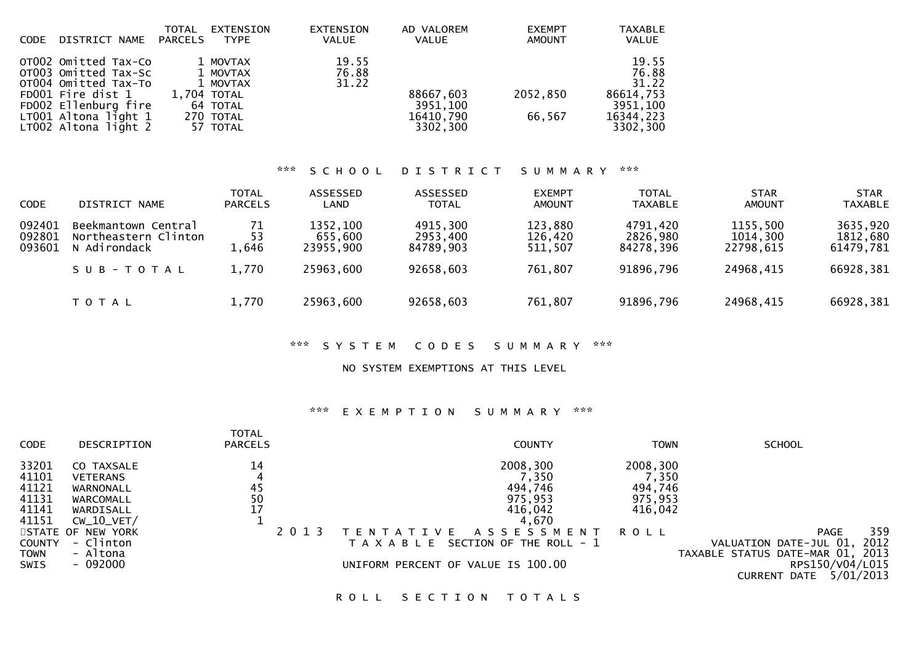| <b>CODE</b> | DISTRICT NAME        | TOTAL<br>PARCELS | <b>EXTENSION</b><br>TYPE | <b>EXTENSION</b><br><b>VALUE</b> | AD VALOREM<br><b>VALUE</b> | <b>EXEMPT</b><br><b>AMOUNT</b> | <b>TAXABLE</b><br>VALUE |
|-------------|----------------------|------------------|--------------------------|----------------------------------|----------------------------|--------------------------------|-------------------------|
|             | OT002 Omitted Tax-Co |                  | 1 MOVTAX                 | 19.55                            |                            |                                | 19.55                   |
|             | OT003 Omitted Tax-Sc |                  | 1 MOVTAX                 | 76.88                            |                            |                                | 76.88                   |
|             | OT004 Omitted Tax-To |                  | 1 MOVTAX                 | 31.22                            |                            |                                | 31.22                   |
|             | FD001 Fire dist 1    | 1,704 TOTAL      |                          |                                  | 88667,603                  | 2052,850                       | 86614,753               |
|             | FD002 Ellenburg fire |                  | 64 TOTAL                 |                                  | 3951,100                   |                                | 3951,100                |
|             | LT001 Altona light 1 |                  | 270 TOTAL                |                                  | 16410,790                  | 66,567                         | 16344,223               |
|             | LT002 Altona light 2 |                  | 57 TOTAL                 |                                  | 3302,300                   |                                | 3302,300                |
|             |                      |                  |                          |                                  |                            |                                |                         |

### \*\*\* S C H O O L D I S T R I C T S U M M A R Y \*\*\*

| <b>CODE</b>                | DISTRICT NAME                                               | <b>TOTAL</b><br><b>PARCELS</b> | ASSESSED<br>LAND                 | ASSESSED<br><b>TOTAL</b>          | <b>EXEMPT</b><br><b>AMOUNT</b> | <b>TOTAL</b><br><b>TAXABLE</b>    | <b>STAR</b><br><b>AMOUNT</b>      | <b>STAR</b><br><b>TAXABLE</b>     |
|----------------------------|-------------------------------------------------------------|--------------------------------|----------------------------------|-----------------------------------|--------------------------------|-----------------------------------|-----------------------------------|-----------------------------------|
| 092401<br>092801<br>093601 | Beekmantown Central<br>Northeastern Clinton<br>N Adirondack | 71<br>53<br>1,646              | 1352,100<br>655,600<br>23955.900 | 4915,300<br>2953,400<br>84789.903 | 123,880<br>126,420<br>511,507  | 4791,420<br>2826,980<br>84278.396 | 1155,500<br>1014,300<br>22798.615 | 3635,920<br>1812,680<br>61479,781 |
|                            | SUB-TOTAL                                                   | 1,770                          | 25963,600                        | 92658,603                         | 761,807                        | 91896,796                         | 24968,415                         | 66928,381                         |
|                            | T O T A L                                                   | 1,770                          | 25963,600                        | 92658,603                         | 761,807                        | 91896,796                         | 24968,415                         | 66928,381                         |

# \*\*\* S Y S T E M C O D E S S U M M A R Y \*\*\*

#### NO SYSTEM EXEMPTIONS AT THIS LEVEL

### \*\*\* E X E M P T I O N S U M M A R Y \*\*\*

| <b>CODE</b>   | DESCRIPTION       | <b>TOTAL</b><br><b>PARCELS</b> | <b>COUNTY</b>                            | TOWN        | <b>SCHOOL</b>                       |
|---------------|-------------------|--------------------------------|------------------------------------------|-------------|-------------------------------------|
| 33201         | CO TAXSALE        | 14                             | 2008,300                                 | 2008,300    |                                     |
| 41101         | <b>VETERANS</b>   |                                | 7,350                                    | 7,350       |                                     |
| 41121         | WARNONALL         | 45                             | 494,746                                  | 494,746     |                                     |
| 41131         | WARCOMALL         | 50                             | 975,953                                  | 975,953     |                                     |
| 41141         | WARDISALL         |                                | 416,042                                  | 416,042     |                                     |
| 41151         | $CW_10_VET/$      |                                | 4,670                                    |             |                                     |
|               | STATE OF NEW YORK | 2 0 1 3                        | A S S E S S M E N T                      | <b>ROLL</b> | 359<br><b>PAGE</b>                  |
| <b>COUNTY</b> | - Clinton         |                                | SECTION OF THE ROLL - 1<br>T A X A B L E |             | 2012<br>VALUATION DATE-JUL 01,      |
| TOWN          | - Altona          |                                |                                          |             | 2013<br>TAXABLE STATUS DATE-MAR 01, |
| <b>SWIS</b>   | - 092000          |                                | UNIFORM PERCENT OF VALUE IS 100.00       |             | RPS150/V04/L015                     |
|               |                   |                                |                                          |             | 5/01/2013<br><b>CURRENT</b><br>DATE |
|               |                   |                                |                                          |             |                                     |

ROLL SECTION TOTALS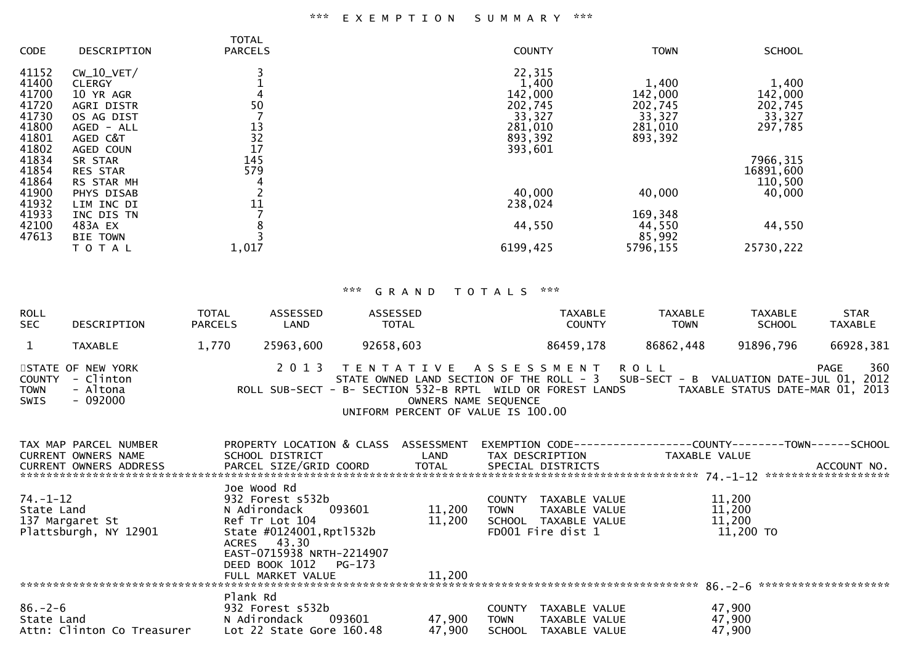# \*\*\* E X E M P T I O N S U M M A R Y \*\*\*

| CODE  | DESCRIPTION       | <b>TOTAL</b><br><b>PARCELS</b> | <b>COUNTY</b> | <b>TOWN</b> | <b>SCHOOL</b> |
|-------|-------------------|--------------------------------|---------------|-------------|---------------|
| 41152 | $CW_10_VET/$      |                                | 22,315        |             |               |
| 41400 | <b>CLERGY</b>     |                                | 1,400         | 1,400       | 1,400         |
| 41700 | 10 YR AGR         |                                | 142,000       | 142,000     | 142,000       |
| 41720 | <b>AGRI DISTR</b> | 50                             | 202,745       | 202,745     | 202,745       |
| 41730 | OS AG DIST        |                                | 33,327        | 33,327      | 33,327        |
| 41800 | AGED - ALL        | 13                             | 281,010       | 281,010     | 297,785       |
| 41801 | AGED C&T          | 32                             | 893,392       | 893,392     |               |
| 41802 | AGED COUN         | 17                             | 393,601       |             |               |
| 41834 | SR STAR           | 145                            |               |             | 7966,315      |
| 41854 | <b>RES STAR</b>   | 579                            |               |             | 16891,600     |
| 41864 | RS STAR MH        |                                |               |             | 110,500       |
| 41900 | PHYS DISAB        |                                | 40,000        | 40,000      | 40,000        |
| 41932 | LIM INC DI        | 11                             | 238,024       |             |               |
| 41933 | INC DIS TN        |                                |               | 169,348     |               |
| 42100 | 483A EX           |                                | 44,550        | 44,550      | 44,550        |
| 47613 | <b>BIE TOWN</b>   |                                |               | 85,992      |               |
|       | TOTAL             | 1,017                          | 6199,425      | 5796,155    | 25730,222     |
|       |                   |                                |               |             |               |

# \*\*\* G R A N D T O T A L S \*\*\*

| ROLL<br>SEC  | DESCRIPTION                                                   | <b>TOTAL</b><br><b>PARCELS</b> | ASSESSED<br>LAND | ASSESSED<br><b>TOTAL</b> | TAXABLE<br><b>COUNTY</b>                                                                                                                                                                                                                        | TAXABLE<br><b>TOWN</b> | TAXABLE<br><b>SCHOOL</b>         | <b>STAR</b><br><b>TAXABLE</b> |
|--------------|---------------------------------------------------------------|--------------------------------|------------------|--------------------------|-------------------------------------------------------------------------------------------------------------------------------------------------------------------------------------------------------------------------------------------------|------------------------|----------------------------------|-------------------------------|
|              | TAXABLE                                                       | 1,770                          | 25963,600        | 92658,603                | 86459,178                                                                                                                                                                                                                                       | 86862,448              | 91896,796                        | 66928,381                     |
| TOWN<br>SWIS | STATE OF NEW YORK<br>COUNTY - Clinton<br>- Altona<br>- 092000 |                                |                  |                          | 2013 TENTATIVE ASSESSMENT ROLL<br>STATE OWNED LAND SECTION OF THE ROLL - 3 SUB-SECT - B VALUATION DATE-JUL 01, 2012<br>ROLL SUB-SECT - B- SECTION 532-B RPTL WILD OR FOREST LANDS<br>OWNERS NAME SEQUENCE<br>UNIFORM PERCENT OF VALUE IS 100.00 |                        | TAXABLE STATUS DATE-MAR 01, 2013 | 360<br>PAGE                   |

| TAX MAP PARCEL NUMBER      | PROPERTY LOCATION & CLASS ASSESSMENT |        | EXEMPTION CODE-----------------COUNTY-------TOWN------SCHOOL |               |             |
|----------------------------|--------------------------------------|--------|--------------------------------------------------------------|---------------|-------------|
| CURRENT OWNERS NAME        | SCHOOL DISTRICT                      | LAND   | TAX DESCRIPTION                                              | TAXABLE VALUE |             |
| CURRENT OWNERS ADDRESS     | PARCEL SIZE/GRID COORD TOTAL         |        | SPECIAL DISTRICTS                                            |               | ACCOUNT NO. |
|                            |                                      |        |                                                              |               |             |
|                            | Joe Wood Rd                          |        |                                                              |               |             |
| 74.-1-12                   | 932 Forest s532b                     |        | TAXABLE VALUE<br><b>COUNTY</b>                               | 11,200        |             |
| State Land                 | N Adirondack<br>093601               | 11,200 | <b>TOWN</b><br>TAXABLE VALUE                                 | 11,200        |             |
| 137 Margaret St            | Ref Tr Lot 104                       | 11,200 | SCHOOL TAXABLE VALUE                                         | 11,200        |             |
| Plattsburgh, NY 12901      | State #0124001, Rpt1532b             |        | FD001 Fire dist 1                                            | 11,200 TO     |             |
|                            | ACRES 43.30                          |        |                                                              |               |             |
|                            | EAST-0715938 NRTH-2214907            |        |                                                              |               |             |
|                            | DEED BOOK 1012 PG-173                |        |                                                              |               |             |
|                            | FULL MARKET VALUE                    | 11,200 |                                                              |               |             |
|                            |                                      |        |                                                              |               |             |
|                            | Plank Rd                             |        |                                                              |               |             |
| $86. - 2 - 6$              | 932 Forest s532b                     |        | TAXABLE VALUE<br><b>COUNTY</b>                               | 47,900        |             |
| State Land                 | N Adirondack 093601                  | 47,900 | <b>TOWN</b><br>TAXABLE VALUE                                 | 47,900        |             |
| Attn: Clinton Co Treasurer | Lot 22 State Gore 160.48             | 47,900 | <b>SCHOOL</b><br>TAXABLE VALUE                               | 47,900        |             |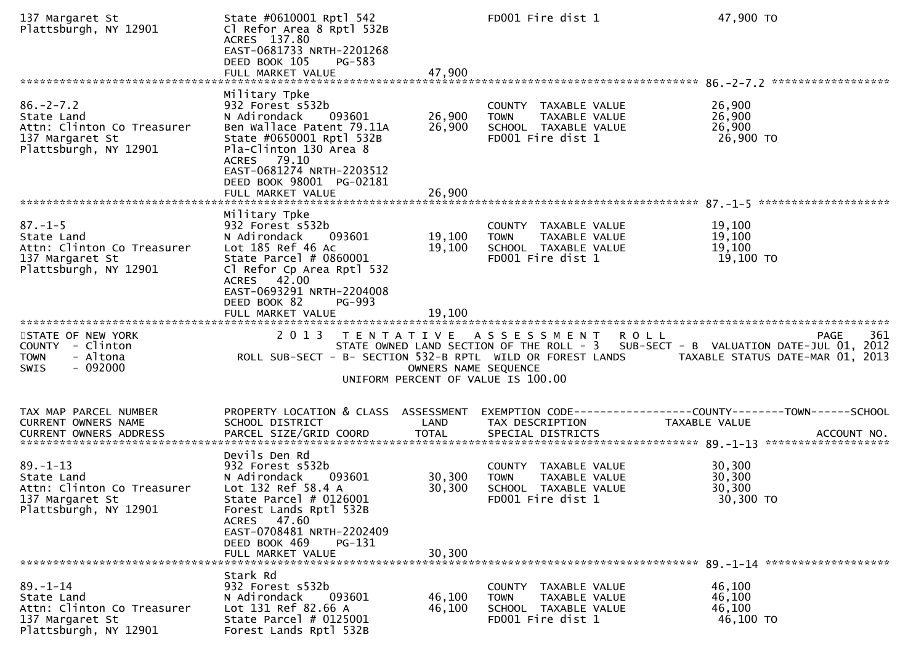| 137 Margaret St<br>Plattsburgh, NY 12901                                                                | State #0610001 Rptl 542<br>Cl Refor Area 8 Rptl 532B<br>ACRES 137.80<br>EAST-0681733 NRTH-2201268<br>DEED BOOK 105<br><b>PG-583</b><br>FULL MARKET VALUE                                                                                    | 47,900                     | FD001 Fire dist 1                                                                                 | 47,900 TO                                                                                                                                                  |
|---------------------------------------------------------------------------------------------------------|---------------------------------------------------------------------------------------------------------------------------------------------------------------------------------------------------------------------------------------------|----------------------------|---------------------------------------------------------------------------------------------------|------------------------------------------------------------------------------------------------------------------------------------------------------------|
|                                                                                                         |                                                                                                                                                                                                                                             |                            |                                                                                                   |                                                                                                                                                            |
| $86. - 2 - 7.2$<br>State Land<br>Attn: Clinton Co Treasurer<br>137 Margaret St<br>Plattsburgh, NY 12901 | Military Tpke<br>932 Forest s532b<br>N Adirondack<br>093601<br>Ben Wallace Patent 79.11A<br>State #0650001 Rptl 532B<br>Pla-Clinton 130 Area 8<br>ACRES 79.10<br>EAST-0681274 NRTH-2203512<br>DEED BOOK 98001 PG-02181<br>FULL MARKET VALUE | 26,900<br>26,900<br>26,900 | COUNTY TAXABLE VALUE<br><b>TOWN</b><br>TAXABLE VALUE<br>SCHOOL TAXABLE VALUE<br>FD001 Fire dist 1 | 26,900<br>26,900<br>26,900<br>26,900 TO                                                                                                                    |
|                                                                                                         | Military Tpke                                                                                                                                                                                                                               |                            |                                                                                                   |                                                                                                                                                            |
| $87. - 1 - 5$<br>State Land<br>Attn: Clinton Co Treasurer<br>137 Margaret St<br>Plattsburgh, NY 12901   | 932 Forest s532b<br>N Adirondack<br>093601<br>Lot 185 Ref 46 Ac<br>State Parcel $# 0860001$<br>Cl Refor Cp Area Rptl 532<br>ACRES 42.00<br>EAST-0693291 NRTH-2204008<br>DEED BOOK 82<br>PG-993                                              | 19,100<br>19,100           | COUNTY TAXABLE VALUE<br>TAXABLE VALUE<br><b>TOWN</b><br>SCHOOL TAXABLE VALUE<br>FD001 Fire dist 1 | 19,100<br>19,100<br>19,100<br>19,100 TO                                                                                                                    |
|                                                                                                         | FULL MARKET VALUE                                                                                                                                                                                                                           | 19,100                     |                                                                                                   |                                                                                                                                                            |
| STATE OF NEW YORK<br>COUNTY - Clinton<br><b>TOWN</b><br>- Altona<br>- 092000<br>SWIS                    | 2 0 1 3<br>T E N T A T I V E<br>ROLL SUB-SECT - B- SECTION 532-B RPTL WILD OR FOREST LANDS                                                                                                                                                  | OWNERS NAME SEQUENCE       | A S S E S S M E N T<br>UNIFORM PERCENT OF VALUE IS 100.00                                         | 361<br><b>ROLL</b><br><b>PAGE</b><br>STATE OWNED LAND SECTION OF THE ROLL - 3 SUB-SECT - B VALUATION DATE-JUL 01, 2012<br>TAXABLE STATUS DATE-MAR 01, 2013 |
|                                                                                                         |                                                                                                                                                                                                                                             |                            |                                                                                                   |                                                                                                                                                            |
| TAX MAP PARCEL NUMBER<br>CURRENT OWNERS NAME                                                            | PROPERTY LOCATION & CLASS ASSESSMENT<br>SCHOOL DISTRICT                                                                                                                                                                                     | LAND                       | TAX DESCRIPTION                                                                                   | EXEMPTION CODE-----------------COUNTY--------TOWN------SCHOOL<br>TAXABLE VALUE                                                                             |
|                                                                                                         |                                                                                                                                                                                                                                             |                            |                                                                                                   |                                                                                                                                                            |
| $89. - 1 - 13$<br>State Land<br>Attn: Clinton Co Treasurer<br>137 Margaret St<br>Plattsburgh, NY 12901  | Devils Den Rd<br>932 Forest s532b<br>N Adirondack<br>093601<br>Lot 132 Ref 58.4 A<br>State Parcel # 0126001<br>Forest Lands Rptl 532B<br>ACRES 47.60                                                                                        | 30,300<br>30,300           | COUNTY TAXABLE VALUE<br><b>TOWN</b><br>TAXABLE VALUE<br>SCHOOL TAXABLE VALUE<br>FD001 Fire dist 1 | 30,300<br>30,300<br>30,300<br>30,300 TO                                                                                                                    |
|                                                                                                         | EAST-0708481 NRTH-2202409<br>DEED BOOK 469<br>PG-131<br>FULL MARKET VALUE                                                                                                                                                                   | 30,300                     |                                                                                                   |                                                                                                                                                            |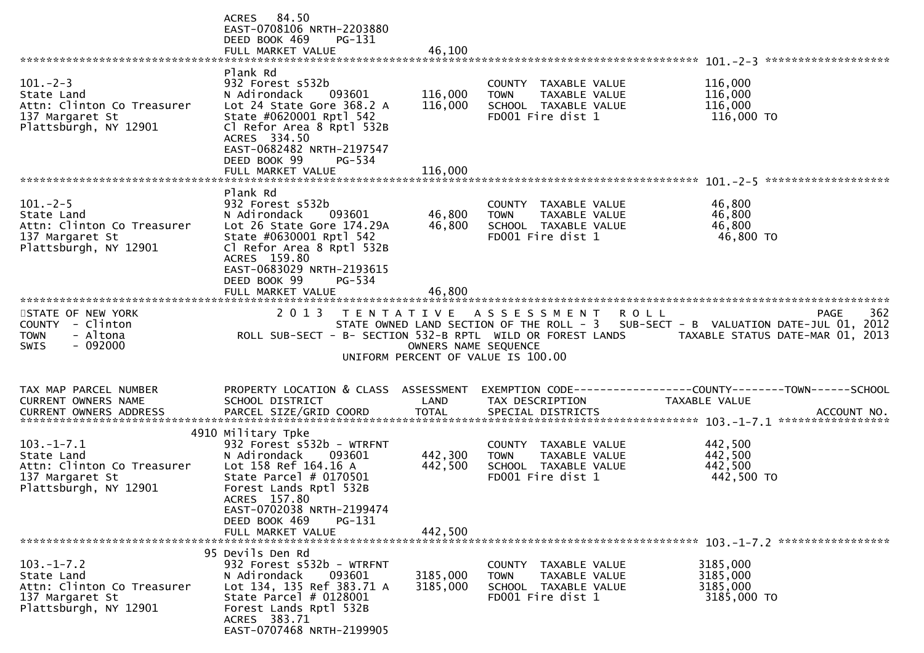|                                                                                                         | ACRES 84.50<br>EAST-0708106 NRTH-2203880<br>DEED BOOK 469<br>$PG-131$<br>FULL MARKET VALUE                                                                                                                                    | 46,100                         |                                                                                                   |                                                                                                                                                                                                 |     |
|---------------------------------------------------------------------------------------------------------|-------------------------------------------------------------------------------------------------------------------------------------------------------------------------------------------------------------------------------|--------------------------------|---------------------------------------------------------------------------------------------------|-------------------------------------------------------------------------------------------------------------------------------------------------------------------------------------------------|-----|
| $101 - 2 - 3$<br>State Land<br>Attn: Clinton Co Treasurer<br>137 Margaret St<br>Plattsburgh, NY 12901   | Plank Rd<br>932 Forest s532b<br>093601<br>N Adirondack<br>Lot 24 State Gore 368.2 A<br>State #0620001 Rptl 542<br>Cl Refor Area 8 Rptl 532B<br>ACRES 334.50                                                                   | 116,000<br>116,000             | COUNTY TAXABLE VALUE<br>TAXABLE VALUE<br><b>TOWN</b><br>SCHOOL TAXABLE VALUE<br>FD001 Fire dist 1 | 116,000<br>116,000<br>116,000<br>116,000 TO                                                                                                                                                     |     |
|                                                                                                         | EAST-0682482 NRTH-2197547<br>DEED BOOK 99<br>PG-534<br>FULL MARKET VALUE                                                                                                                                                      | 116,000                        |                                                                                                   |                                                                                                                                                                                                 |     |
| $101 - 2 - 5$<br>State Land<br>Attn: Clinton Co Treasurer<br>137 Margaret St<br>Plattsburgh, NY 12901   | Plank Rd<br>932 Forest s532b<br>N Adirondack<br>093601<br>Lot 26 State Gore 174.29A<br>State #0630001 Rptl 542<br>Cl Refor Area 8 Rptl 532B<br>ACRES 159.80<br>EAST-0683029 NRTH-2193615<br>DEED BOOK 99<br>PG-534            | 46,800<br>46,800               | COUNTY TAXABLE VALUE<br>TAXABLE VALUE<br><b>TOWN</b><br>SCHOOL TAXABLE VALUE<br>FD001 Fire dist 1 | 46,800<br>46,800<br>46,800<br>46,800 TO                                                                                                                                                         |     |
| STATE OF NEW YORK<br>COUNTY - Clinton<br><b>TOWN</b><br>- Altona<br><b>SWIS</b><br>- 092000             | FULL MARKET VALUE                                                                                                                                                                                                             | 46,800<br>OWNERS NAME SEQUENCE | 2013 TENTATIVE ASSESSMENT<br><b>ROLL</b><br>UNIFORM PERCENT OF VALUE IS 100.00                    | <b>PAGE</b><br>STATE OWNED LAND SECTION OF THE ROLL - 3 SUB-SECT - B VALUATION DATE-JUL 01, 2012<br>ROLL SUB-SECT - B- SECTION 532-B RPTL WILD OR FOREST LANDS TAXABLE STATUS DATE-MAR 01, 2013 | 362 |
| TAX MAP PARCEL NUMBER<br>CURRENT OWNERS NAME<br>CURRENT OWNERS ADDRESS                                  | PROPERTY LOCATION & CLASS ASSESSMENT<br>SCHOOL DISTRICT                                                                                                                                                                       | LAND                           | TAX DESCRIPTION                                                                                   | EXEMPTION CODE------------------COUNTY--------TOWN------SCHOOL<br>TAXABLE VALUE                                                                                                                 |     |
| $103. -1 - 7.1$<br>State Land<br>Attn: Clinton Co Treasurer<br>137 Margaret St<br>Plattsburgh, NY 12901 | 4910 Military Tpke<br>932 Forest s532b - WTRFNT<br>093601<br>N Adirondack<br>Lot 158 Ref 164.16 A<br>State Parcel # 0170501<br>Forest Lands Rptl 532B<br>ACRES 157.80<br>EAST-0702038 NRTH-2199474<br>DEED BOOK 469<br>PG-131 | 442,300<br>442,500<br>442,500  | COUNTY TAXABLE VALUE<br>TAXABLE VALUE<br><b>TOWN</b><br>SCHOOL TAXABLE VALUE<br>FD001 Fire dist 1 | 442,500<br>442,500<br>442,500<br>442,500 TO                                                                                                                                                     |     |
|                                                                                                         | FULL MARKET VALUE                                                                                                                                                                                                             |                                |                                                                                                   |                                                                                                                                                                                                 |     |
| $103. -1 - 7.2$<br>State Land<br>Attn: Clinton Co Treasurer<br>137 Margaret St<br>Plattsburgh, NY 12901 | 95 Devils Den Rd<br>932 Forest s532b - WTRFNT<br>093601<br>N Adirondack<br>Lot 134, 135 Ref 383.71 A<br>State Parcel $# 0128001$<br>Forest Lands Rptl 532B<br>ACRES 383.71<br>EAST-0707468 NRTH-2199905                       | 3185,000<br>3185,000           | COUNTY TAXABLE VALUE<br><b>TAXABLE VALUE</b><br>TOWN<br>SCHOOL TAXABLE VALUE<br>FD001 Fire dist 1 | 3185,000<br>3185,000<br>3185,000<br>3185,000 TO                                                                                                                                                 |     |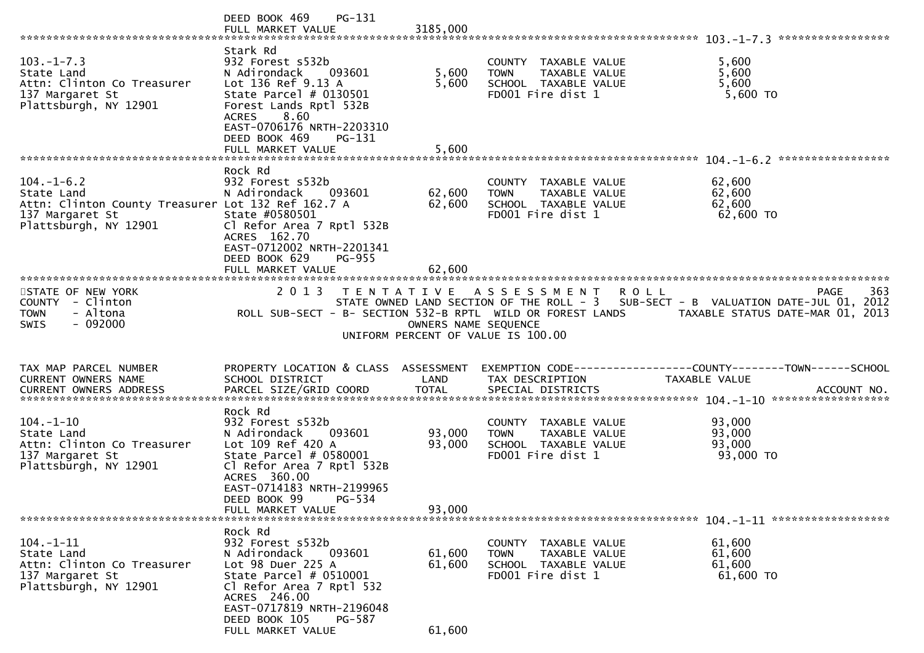|                                                                                                                                  | $PG-131$<br>DEED BOOK 469                                                                                                                                                                                                     |                            |                                                                                                   | *****************                                                                                                             |     |
|----------------------------------------------------------------------------------------------------------------------------------|-------------------------------------------------------------------------------------------------------------------------------------------------------------------------------------------------------------------------------|----------------------------|---------------------------------------------------------------------------------------------------|-------------------------------------------------------------------------------------------------------------------------------|-----|
| $103. -1 - 7.3$<br>State Land<br>Attn: Clinton Co Treasurer<br>137 Margaret St<br>Plattsburgh, NY 12901                          | Stark Rd<br>932 Forest s532b<br>N Adirondack<br>093601<br>Lot 136 Ref 9.13 A<br>State Parcel $#$ 0130501<br>Forest Lands Rptl 532B<br><b>ACRES</b><br>8.60<br>EAST-0706176 NRTH-2203310<br>DEED BOOK 469<br>PG-131            | 5,600<br>5,600             | COUNTY TAXABLE VALUE<br>TAXABLE VALUE<br><b>TOWN</b><br>SCHOOL TAXABLE VALUE<br>FD001 Fire dist 1 | 5,600<br>5,600<br>5,600<br>5,600 TO                                                                                           |     |
|                                                                                                                                  |                                                                                                                                                                                                                               |                            |                                                                                                   |                                                                                                                               |     |
| $104. - 1 - 6.2$<br>State Land<br>Attn: Clinton County Treasurer Lot 132 Ref 162.7 A<br>137 Margaret St<br>Plattsburgh, NY 12901 | Rock Rd<br>932 Forest s532b<br>093601<br>N Adirondack<br>State #0580501<br>Cl Refor Area 7 Rptl 532B<br>ACRES 162.70<br>EAST-0712002 NRTH-2201341<br>DEED BOOK 629<br>PG-955<br>FULL MARKET VALUE                             | 62,600<br>62,600<br>62,600 | COUNTY TAXABLE VALUE<br><b>TOWN</b><br>TAXABLE VALUE<br>SCHOOL TAXABLE VALUE<br>FD001 Fire dist 1 | 62,600<br>62,600<br>62,600<br>62,600 TO                                                                                       |     |
|                                                                                                                                  |                                                                                                                                                                                                                               |                            |                                                                                                   |                                                                                                                               |     |
| STATE OF NEW YORK<br>COUNTY - Clinton<br>- Altona<br><b>TOWN</b><br>$-092000$<br>SWIS                                            | ROLL SUB-SECT - B- SECTION 532-B RPTL WILD OR FOREST LANDS                                                                                                                                                                    | OWNERS NAME SEQUENCE       | 2013 TENTATIVE ASSESSMENT<br>R O L L<br>UNIFORM PERCENT OF VALUE IS 100.00                        | PAGE<br>STATE OWNED LAND SECTION OF THE ROLL - 3 SUB-SECT - B VALUATION DATE-JUL 01, 2012<br>TAXABLE STATUS DATE-MAR 01, 2013 | 363 |
| TAX MAP PARCEL NUMBER<br>CURRENT OWNERS NAME                                                                                     | SCHOOL DISTRICT                                                                                                                                                                                                               | LAND                       | TAX DESCRIPTION                                                                                   | PROPERTY LOCATION & CLASS ASSESSMENT EXEMPTION CODE----------------COUNTY-------TOWN------SCHOOL<br>TAXABLE VALUE             |     |
| $104. - 1 - 10$<br>State Land<br>Attn: Clinton Co Treasurer<br>137 Margaret St<br>Plattsburgh, NY 12901                          | Rock Rd<br>932 Forest s532b<br>093601<br>N Adirondack<br>Lot 109 Ref 420 A<br>State Parcel # 0580001<br>Cl Refor Area 7 Rptl 532B<br>ACRES 360.00<br>EAST-0714183 NRTH-2199965<br>DEED BOOK 99<br>PG-534<br>FULL MARKET VALUE | 93,000<br>93,000<br>93,000 | COUNTY TAXABLE VALUE<br>TAXABLE VALUE<br><b>TOWN</b><br>SCHOOL TAXABLE VALUE<br>FD001 Fire dist 1 | 93,000<br>93,000<br>93,000<br>93,000 TO                                                                                       |     |
|                                                                                                                                  |                                                                                                                                                                                                                               |                            |                                                                                                   |                                                                                                                               |     |
| $104. - 1 - 11$<br>State Land<br>Attn: Clinton Co Treasurer<br>137 Margaret St<br>Plattsburgh, NY 12901                          | Rock Rd<br>932 Forest s532b<br>N Adirondack<br>093601<br>Lot 98 Duer 225 A<br>State Parcel # 0510001<br>Cl Refor Area 7 Rptl 532<br>ACRES 246.00<br>EAST-0717819 NRTH-2196048                                                 | 61,600<br>61,600           | COUNTY TAXABLE VALUE<br>TAXABLE VALUE<br><b>TOWN</b><br>SCHOOL TAXABLE VALUE<br>FD001 Fire dist 1 | 61,600<br>61,600<br>61,600<br>61,600 TO                                                                                       |     |
|                                                                                                                                  | DEED BOOK 105<br>PG-587<br>FULL MARKET VALUE                                                                                                                                                                                  | 61,600                     |                                                                                                   |                                                                                                                               |     |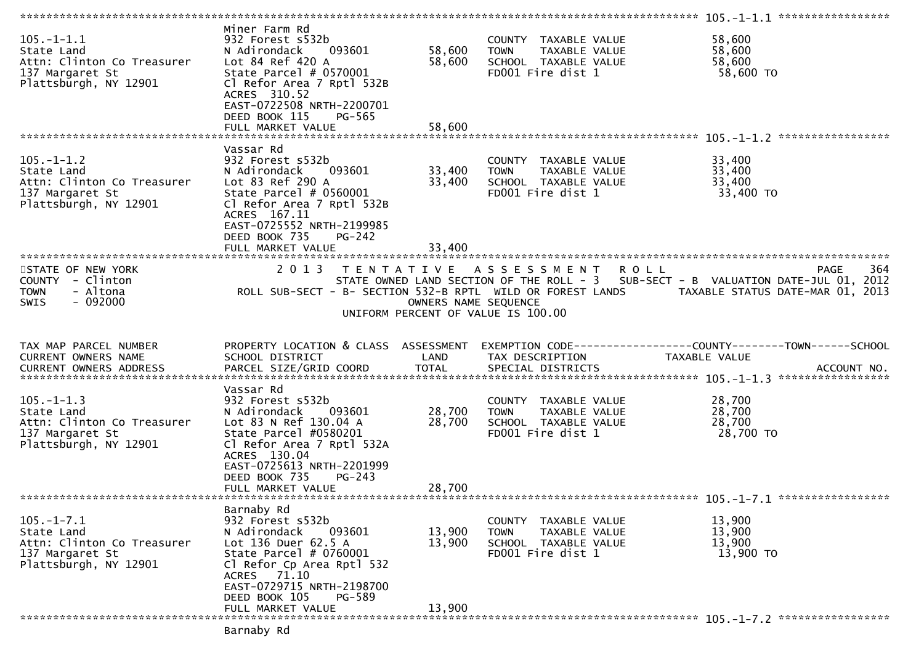| $105. -1 - 1.1$<br>State Land<br>Attn: Clinton Co Treasurer<br>137 Margaret St<br>Plattsburgh, NY 12901  | Miner Farm Rd<br>932 Forest s532b<br>093601<br>N Adirondack<br>Lot 84 Ref 420 A<br>State Parcel # 0570001<br>Cl Refor Area 7 Rptl 532B<br>ACRES 310.52<br>EAST-0722508 NRTH-2200701<br>DEED BOOK 115<br>PG-565<br>FULL MARKET VALUE | 58,600<br>58,600<br>58,600 | COUNTY TAXABLE VALUE<br><b>TOWN</b><br>TAXABLE VALUE<br>SCHOOL TAXABLE VALUE<br>FD001 Fire dist 1 | 58,600<br>58,600<br>58,600<br>58,600 TO                                                                                       |     |
|----------------------------------------------------------------------------------------------------------|-------------------------------------------------------------------------------------------------------------------------------------------------------------------------------------------------------------------------------------|----------------------------|---------------------------------------------------------------------------------------------------|-------------------------------------------------------------------------------------------------------------------------------|-----|
|                                                                                                          |                                                                                                                                                                                                                                     |                            |                                                                                                   |                                                                                                                               |     |
| $105. - 1 - 1.2$<br>State Land<br>Attn: Clinton Co Treasurer<br>137 Margaret St<br>Plattsburgh, NY 12901 | Vassar Rd<br>932 Forest s532b<br>N Adirondack<br>093601<br>Lot 83 Ref 290 A<br>State Parcel $# 0560001$<br>Cl Refor Area 7 Rptl 532B<br>ACRES 167.11<br>EAST-0725552 NRTH-2199985<br>DEED BOOK 735<br>$PG-242$<br>FULL MARKET VALUE | 33,400<br>33,400<br>33,400 | COUNTY TAXABLE VALUE<br><b>TOWN</b><br>TAXABLE VALUE<br>SCHOOL TAXABLE VALUE<br>FD001 Fire dist 1 | 33,400<br>33,400<br>33,400<br>33,400 TO                                                                                       |     |
|                                                                                                          |                                                                                                                                                                                                                                     |                            |                                                                                                   |                                                                                                                               |     |
| STATE OF NEW YORK<br>COUNTY - Clinton<br><b>TOWN</b><br>- Altona<br>$-092000$<br><b>SWIS</b>             | 2 0 1 3<br>ROLL SUB-SECT - B- SECTION 532-B RPTL WILD OR FOREST LANDS                                                                                                                                                               | OWNERS NAME SEQUENCE       | <b>ROLL</b><br>TENTATIVE ASSESSMENT<br>UNIFORM PERCENT OF VALUE IS 100.00                         | PAGE<br>STATE OWNED LAND SECTION OF THE ROLL - 3 SUB-SECT - B VALUATION DATE-JUL 01, 2012<br>TAXABLE STATUS DATE-MAR 01, 2013 | 364 |
|                                                                                                          |                                                                                                                                                                                                                                     |                            |                                                                                                   |                                                                                                                               |     |
| TAX MAP PARCEL NUMBER<br>CURRENT OWNERS NAME                                                             | PROPERTY LOCATION & CLASS ASSESSMENT<br>SCHOOL DISTRICT                                                                                                                                                                             | LAND                       | TAX DESCRIPTION                                                                                   | TAXABLE VALUE                                                                                                                 |     |
|                                                                                                          | Vassar Rd                                                                                                                                                                                                                           |                            |                                                                                                   |                                                                                                                               |     |
| $105. - 1 - 1.3$<br>State Land<br>Attn: Clinton Co Treasurer<br>137 Margaret St<br>Plattsburgh, NY 12901 | 932 Forest s532b<br>N Adirondack<br>093601<br>Lot 83 N Ref 130.04 A<br>State Parcel #0580201<br>Cl Refor Area 7 Rptl 532A<br>ACRES 130.04<br>EAST-0725613 NRTH-2201999<br>DEED BOOK 735<br>$PG-243$<br>FULL MARKET VALUE            | 28,700<br>28,700<br>28,700 | COUNTY TAXABLE VALUE<br>TAXABLE VALUE<br><b>TOWN</b><br>SCHOOL TAXABLE VALUE<br>FD001 Fire dist 1 | 28,700<br>28,700<br>28,700<br>28,700 TO                                                                                       |     |
|                                                                                                          |                                                                                                                                                                                                                                     |                            |                                                                                                   |                                                                                                                               |     |
| $105. -1 - 7.1$<br>State Land<br>Attn: Clinton Co Treasurer<br>137 Margaret St<br>Plattsburgh, NY 12901  | Barnaby Rd<br>932 Forest s532b<br>N Adirondack<br>093601<br>Lot 136 Duer 62.5 A<br>State Parcel # 0760001<br>Cl Refor Cp Area Rptl 532<br>ACRES 71.10<br>EAST-0729715 NRTH-2198700<br>DEED BOOK 105<br>PG-589<br>FULL MARKET VALUE  | 13,900<br>13,900<br>13,900 | COUNTY TAXABLE VALUE<br>TAXABLE VALUE<br><b>TOWN</b><br>SCHOOL TAXABLE VALUE<br>FD001 Fire dist 1 | 13,900<br>13,900<br>13,900<br>13,900 TO                                                                                       |     |
|                                                                                                          | Barnaby Rd                                                                                                                                                                                                                          |                            |                                                                                                   |                                                                                                                               |     |
|                                                                                                          |                                                                                                                                                                                                                                     |                            |                                                                                                   |                                                                                                                               |     |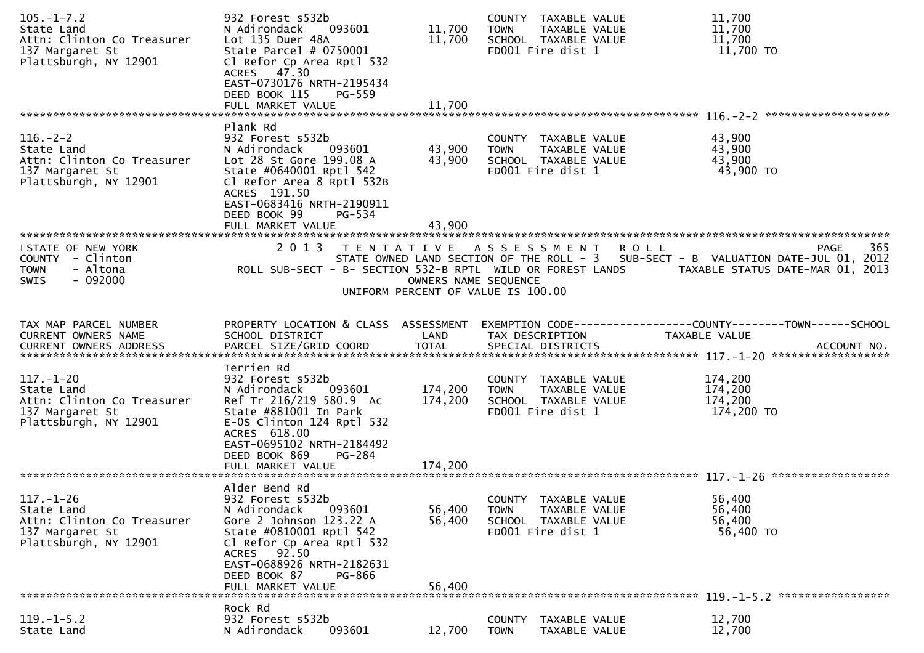| $105. - 1 - 7.2$<br>State Land<br>Attn: Clinton Co Treasurer<br>137 Margaret St<br>Plattsburgh, NY 12901 | 932 Forest s532b<br>093601<br>N Adirondack<br>Lot 135 Duer 48A<br>State Parcel $# 0750001$<br>Cl Refor Cp Area Rptl 532<br>ACRES 47.30<br>EAST-0730176 NRTH-2195434<br>DEED BOOK 115<br>PG-559<br>FULL MARKET VALUE                       | 11,700<br>11,700<br>11,700                                           | COUNTY TAXABLE VALUE<br><b>TOWN</b><br>SCHOOL TAXABLE VALUE<br>FD001 Fire dist 1 | TAXABLE VALUE                  | 11,700<br>11,700<br>11,700<br>11,700 TO                                                          |
|----------------------------------------------------------------------------------------------------------|-------------------------------------------------------------------------------------------------------------------------------------------------------------------------------------------------------------------------------------------|----------------------------------------------------------------------|----------------------------------------------------------------------------------|--------------------------------|--------------------------------------------------------------------------------------------------|
| $116. - 2 - 2$<br>State Land<br>Attn: Clinton Co Treasurer<br>137 Margaret St<br>Plattsburgh, NY 12901   | Plank Rd<br>932 Forest s532b<br>N Adirondack<br>093601<br>Lot 28 St Gore 199.08 A<br>State #0640001 Rptl 542<br>Cl Refor Area 8 Rptl 532B<br>ACRES 191.50<br>EAST-0683416 NRTH-2190911                                                    | 43,900<br>43,900                                                     | COUNTY TAXABLE VALUE<br><b>TOWN</b><br>SCHOOL TAXABLE VALUE<br>FD001 Fire dist 1 | TAXABLE VALUE                  | 43,900<br>43,900<br>43,900<br>43,900 TO                                                          |
| STATE OF NEW YORK<br>COUNTY - Clinton<br>- Altona<br><b>TOWN</b><br>$-092000$<br>SWIS                    | DEED BOOK 99<br>PG-534<br>FULL MARKET VALUE<br>2013 TENTATIVE ASSESSMENT ROLL<br>ROLL SUB-SECT - B- SECTION 532-B RPTL WILD OR FOREST LANDS         TAXABLE STATUS DATE-MAR 01, 2013                                                      | 43,900<br>OWNERS NAME SEQUENCE<br>UNIFORM PERCENT OF VALUE IS 100.00 |                                                                                  |                                | 365<br>PAGE<br>STATE OWNED LAND SECTION OF THE ROLL - 3 SUB-SECT - B VALUATION DATE-JUL 01, 2012 |
| TAX MAP PARCEL NUMBER<br>CURRENT OWNERS NAME<br><b>CURRENT OWNERS ADDRESS</b>                            | PROPERTY LOCATION & CLASS ASSESSMENT<br>SCHOOL DISTRICT<br>PARCEL SIZE/GRID COORD                                                                                                                                                         | LAND<br><b>TOTAL</b>                                                 | TAX DESCRIPTION<br>SPECIAL DISTRICTS                                             |                                | EXEMPTION CODE-----------------COUNTY--------TOWN------SCHOOL<br>TAXABLE VALUE<br>ACCOUNT NO.    |
| $117. - 1 - 20$<br>State Land<br>Attn: Clinton Co Treasurer<br>137 Margaret St<br>Plattsburgh, NY 12901  | Terrien Rd<br>932 Forest s532b<br>093601<br>N Adirondack<br>Ref Tr 216/219 580.9 Ac<br>State #881001 In Park<br>$E-0S$ Clinton 124 Rptl 532<br>ACRES 618.00<br>EAST-0695102 NRTH-2184492<br>DEED BOOK 869<br>PG-284                       | 174,200<br>174,200<br>174,200                                        | COUNTY TAXABLE VALUE<br><b>TOWN</b><br>SCHOOL TAXABLE VALUE<br>FD001 Fire dist 1 | TAXABLE VALUE                  | 174,200<br>174,200<br>174,200<br>174,200 TO                                                      |
|                                                                                                          | FULL MARKET VALUE                                                                                                                                                                                                                         |                                                                      |                                                                                  |                                |                                                                                                  |
| $117. - 1 - 26$<br>State Land<br>Attn: Clinton Co Treasurer<br>137 Margaret St<br>Plattsburgh, NY 12901  | Alder Bend Rd<br>932 Forest s532b<br>N Adirondack<br>093601<br>Gore 2 Johnson 123.22 A<br>State #0810001 Rptl 542<br>Cl Refor Cp Area Rptl 532<br>ACRES 92.50<br>EAST-0688926 NRTH-2182631<br>DEED BOOK 87<br>PG-866<br>FULL MARKET VALUE | 56,400<br>56,400<br>56,400                                           | COUNTY TAXABLE VALUE<br><b>TOWN</b><br>SCHOOL TAXABLE VALUE<br>FD001 Fire dist 1 | TAXABLE VALUE                  | 56,400<br>56,400<br>56,400<br>56,400 TO                                                          |
|                                                                                                          | Rock Rd                                                                                                                                                                                                                                   |                                                                      |                                                                                  |                                |                                                                                                  |
| $119. - 1 - 5.2$<br>State Land                                                                           | 932 Forest s532b<br>093601<br>N Adirondack                                                                                                                                                                                                | 12,700                                                               | <b>COUNTY</b><br><b>TOWN</b>                                                     | TAXABLE VALUE<br>TAXABLE VALUE | 12,700<br>12,700                                                                                 |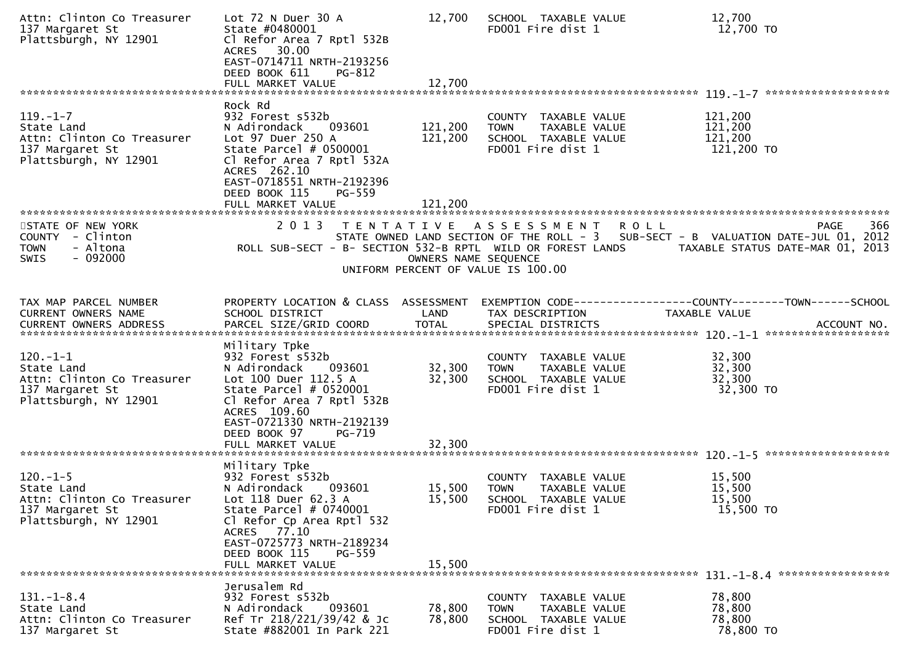| Attn: Clinton Co Treasurer<br>137 Margaret St<br>Plattsburgh, NY 12901                                 | Lot $72$ N Duer $30$ A<br>State #0480001<br>Cl Refor Area 7 Rptl 532B<br>ACRES 30.00<br>EAST-0714711 NRTH-2193256<br>DEED BOOK 611<br>PG-812<br>FULL MARKET VALUE                                                                        | 12,700<br>12,700           | SCHOOL TAXABLE VALUE<br>FD001 Fire dist 1                                                         | 12,700<br>12,700 TO                                                                                                                                 |
|--------------------------------------------------------------------------------------------------------|------------------------------------------------------------------------------------------------------------------------------------------------------------------------------------------------------------------------------------------|----------------------------|---------------------------------------------------------------------------------------------------|-----------------------------------------------------------------------------------------------------------------------------------------------------|
|                                                                                                        |                                                                                                                                                                                                                                          |                            |                                                                                                   |                                                                                                                                                     |
| $119. - 1 - 7$<br>State Land<br>Attn: Clinton Co Treasurer<br>137 Margaret St<br>Plattsburgh, NY 12901 | Rock Rd<br>932 Forest s532b<br>N Adirondack<br>093601<br>Lot 97 Duer 250 A<br>State Parcel # 0500001<br>Cl Refor Area 7 Rptl 532A<br>ACRES 262.10<br>EAST-0718551 NRTH-2192396<br>DEED BOOK 115<br>PG-559                                | 121,200<br>121,200         | COUNTY TAXABLE VALUE<br>TAXABLE VALUE<br><b>TOWN</b><br>SCHOOL TAXABLE VALUE<br>FD001 Fire dist 1 | 121,200<br>121,200<br>121,200<br>121,200 TO                                                                                                         |
|                                                                                                        |                                                                                                                                                                                                                                          |                            |                                                                                                   |                                                                                                                                                     |
| STATE OF NEW YORK<br>COUNTY - Clinton<br>- Altona<br><b>TOWN</b><br>$-092000$<br><b>SWIS</b>           | 2 0 1 3<br>ROLL SUB-SECT - B- SECTION 532-B RPTL WILD OR FOREST LANDS                                                                                                                                                                    | OWNERS NAME SEQUENCE       | TENTATIVE ASSESSMENT<br>UNIFORM PERCENT OF VALUE IS 100.00                                        | 366<br><b>ROLL</b><br>PAGE<br>STATE OWNED LAND SECTION OF THE ROLL - 3 SUB-SECT - B VALUATION DATE-JUL 01, 2012<br>TAXABLE STATUS DATE-MAR 01, 2013 |
| TAX MAP PARCEL NUMBER<br><b>CURRENT OWNERS NAME</b>                                                    | SCHOOL DISTRICT                                                                                                                                                                                                                          | LAND                       | TAX DESCRIPTION                                                                                   | PROPERTY LOCATION & CLASS ASSESSMENT EXEMPTION CODE----------------COUNTY-------TOWN------SCHOOL<br>TAXABLE VALUE                                   |
| $120.-1-1$<br>State Land<br>Attn: Clinton Co Treasurer<br>137 Margaret St<br>Plattsburgh, NY 12901     | Military Tpke<br>932 Forest s532b<br>093601<br>N Adirondack<br>Lot 100 Duer 112.5 A<br>State Parcel $# 0520001$<br>Cl Refor Area 7 Rptl 532B<br>ACRES 109.60<br>EAST-0721330 NRTH-2192139<br>DEED BOOK 97<br>PG-719<br>FULL MARKET VALUE | 32,300<br>32,300<br>32,300 | COUNTY TAXABLE VALUE<br>TAXABLE VALUE<br><b>TOWN</b><br>SCHOOL TAXABLE VALUE<br>FD001 Fire dist 1 | 32,300<br>32,300<br>32,300<br>32,300 TO                                                                                                             |
|                                                                                                        |                                                                                                                                                                                                                                          |                            |                                                                                                   |                                                                                                                                                     |
| $120.-1-5$<br>State Land<br>Attn: Clinton Co Treasurer<br>137 Margaret St<br>Plattsburgh, NY 12901     | Military Tpke<br>932 Forest s532b<br>093601<br>N Adirondack<br>Lot 118 Duer 62.3 A<br>State Parcel $# 0740001$<br>Cl Refor Cp Area Rptl 532<br>ACRES 77.10<br>EAST-0725773 NRTH-2189234<br>DEED BOOK 115<br>PG-559<br>FULL MARKET VALUE  | 15,500<br>15,500<br>15,500 | COUNTY TAXABLE VALUE<br>TAXABLE VALUE<br><b>TOWN</b><br>SCHOOL TAXABLE VALUE<br>FD001 Fire dist 1 | 15,500<br>15,500<br>15,500<br>15,500 TO                                                                                                             |
|                                                                                                        |                                                                                                                                                                                                                                          |                            |                                                                                                   |                                                                                                                                                     |
| $131 - 1 - 8.4$<br>State Land<br>Attn: Clinton Co Treasurer<br>137 Margaret St                         | Jerusalem Rd<br>932 Forest s532b<br>N Adirondack<br>093601<br>Ref Tr 218/221/39/42 & Jc<br>State #882001 In Park 221                                                                                                                     | 78,800<br>78,800           | COUNTY TAXABLE VALUE<br><b>TOWN</b><br>TAXABLE VALUE<br>SCHOOL TAXABLE VALUE<br>FD001 Fire dist 1 | 78,800<br>78,800<br>78,800<br>78,800 TO                                                                                                             |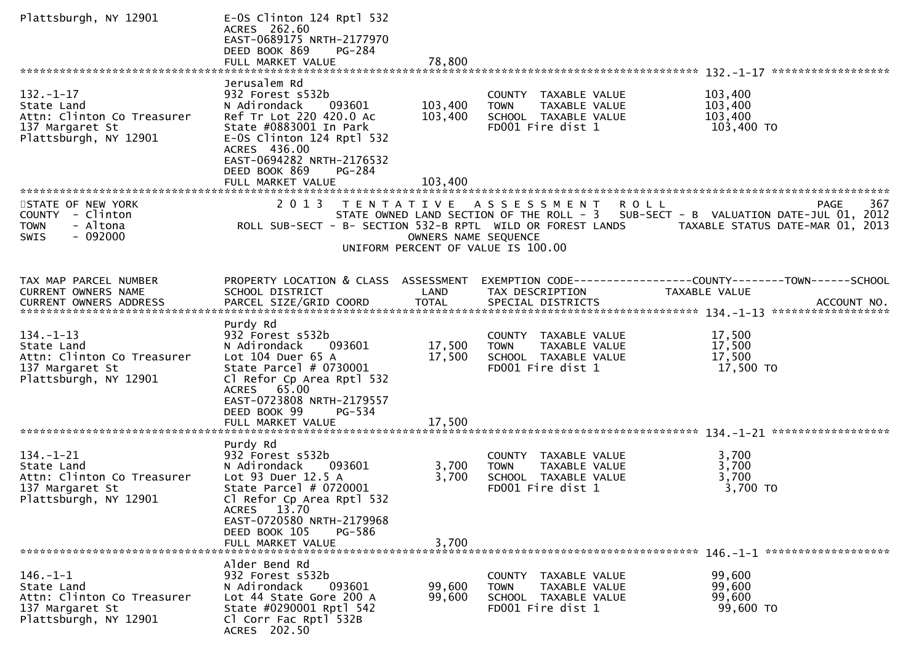| Plattsburgh, NY 12901                                                                                   | E-OS Clinton 124 Rptl 532<br>ACRES 262.60<br>EAST-0689175 NRTH-2177970<br>DEED BOOK 869<br>PG-284                                                                                                                                         |                               |                                                                                                   |                                                                                                                                                            |
|---------------------------------------------------------------------------------------------------------|-------------------------------------------------------------------------------------------------------------------------------------------------------------------------------------------------------------------------------------------|-------------------------------|---------------------------------------------------------------------------------------------------|------------------------------------------------------------------------------------------------------------------------------------------------------------|
| $132. - 1 - 17$<br>State Land<br>Attn: Clinton Co Treasurer<br>137 Margaret St<br>Plattsburgh, NY 12901 | Jerusalem Rd<br>932 Forest s532b<br>N Adirondack<br>093601<br>Ref Tr Lot 220 420.0 Ac<br>State #0883001 In Park<br>E-OS Clinton 124 Rptl 532<br>ACRES 436.00<br>EAST-0694282 NRTH-2176532<br>DEED BOOK 869<br>PG-284<br>FULL MARKET VALUE | 103,400<br>103,400<br>103,400 | COUNTY TAXABLE VALUE<br>TAXABLE VALUE<br><b>TOWN</b><br>SCHOOL TAXABLE VALUE<br>FD001 Fire dist 1 | 103,400<br>103,400<br>103,400<br>103,400 TO                                                                                                                |
| STATE OF NEW YORK<br>COUNTY - Clinton<br>- Altona<br><b>TOWN</b><br>$-092000$<br>SWIS                   | 2013<br>T E N T A T I V E<br>ROLL SUB-SECT - B- SECTION 532-B RPTL WILD OR FOREST LANDS                                                                                                                                                   | OWNERS NAME SEQUENCE          | A S S E S S M E N T<br>UNIFORM PERCENT OF VALUE IS 100.00                                         | 367<br><b>ROLL</b><br><b>PAGE</b><br>STATE OWNED LAND SECTION OF THE ROLL - 3 SUB-SECT - B VALUATION DATE-JUL 01, 2012<br>TAXABLE STATUS DATE-MAR 01, 2013 |
| TAX MAP PARCEL NUMBER<br><b>CURRENT OWNERS NAME</b>                                                     | PROPERTY LOCATION & CLASS ASSESSMENT<br>SCHOOL DISTRICT                                                                                                                                                                                   | LAND                          | TAX DESCRIPTION                                                                                   | EXEMPTION        CODE-----------------COUNTY-------TOWN------SCHOOL<br>TAXABLE VALUE                                                                       |
| $134. - 1 - 13$<br>State Land<br>Attn: Clinton Co Treasurer<br>137 Margaret St<br>Plattsburgh, NY 12901 | Purdy Rd<br>932 Forest s532b<br>N Adirondack<br>093601<br>Lot $104$ Duer $65$ A<br>State Parcel # 0730001<br>Cl Refor Cp Area Rptl 532<br>ACRES 65.00<br>EAST-0723808 NRTH-2179557<br>DEED BOOK 99<br>PG-534                              | 17,500<br>17,500              | COUNTY TAXABLE VALUE<br><b>TOWN</b><br>TAXABLE VALUE<br>SCHOOL TAXABLE VALUE<br>FD001 Fire dist 1 | 17,500<br>17,500<br>17,500<br>17,500 TO                                                                                                                    |
|                                                                                                         | FULL MARKET VALUE                                                                                                                                                                                                                         | 17,500                        |                                                                                                   |                                                                                                                                                            |
| $134. - 1 - 21$<br>State Land<br>Attn: Clinton Co Treasurer<br>137 Margaret St<br>Plattsburgh, NY 12901 | Purdy Rd<br>932 Forest s532b<br>N Adirondack<br>093601<br>Lot 93 Duer 12.5 A<br>State Parcel # 0720001<br>Cl Refor Cp Area Rptl 532<br>ACRES 13.70<br>EAST-0720580 NRTH-2179968<br>DEED BOOK 105<br>PG-586                                | 3,700<br>3,700                | COUNTY TAXABLE VALUE<br><b>TOWN</b><br>TAXABLE VALUE<br>SCHOOL TAXABLE VALUE<br>FD001 Fire dist 1 | 3,700<br>3,700<br>3,700<br>3,700 TO                                                                                                                        |
|                                                                                                         | FULL MARKET VALUE                                                                                                                                                                                                                         | 3,700                         |                                                                                                   |                                                                                                                                                            |
| $146. - 1 - 1$<br>State Land<br>Attn: Clinton Co Treasurer<br>137 Margaret St<br>Plattsburgh, NY 12901  | Alder Bend Rd<br>932 Forest s532b<br>N Adirondack<br>093601<br>Lot 44 State Gore 200 A<br>State #0290001 Rptl 542<br>Cl Corr Fac Rptl 532B<br>ACRES 202.50                                                                                | 99,600<br>99,600              | COUNTY TAXABLE VALUE<br>TAXABLE VALUE<br>TOWN<br>SCHOOL TAXABLE VALUE<br>FD001 Fire dist 1        | 99,600<br>99,600<br>99,600<br>99,600 TO                                                                                                                    |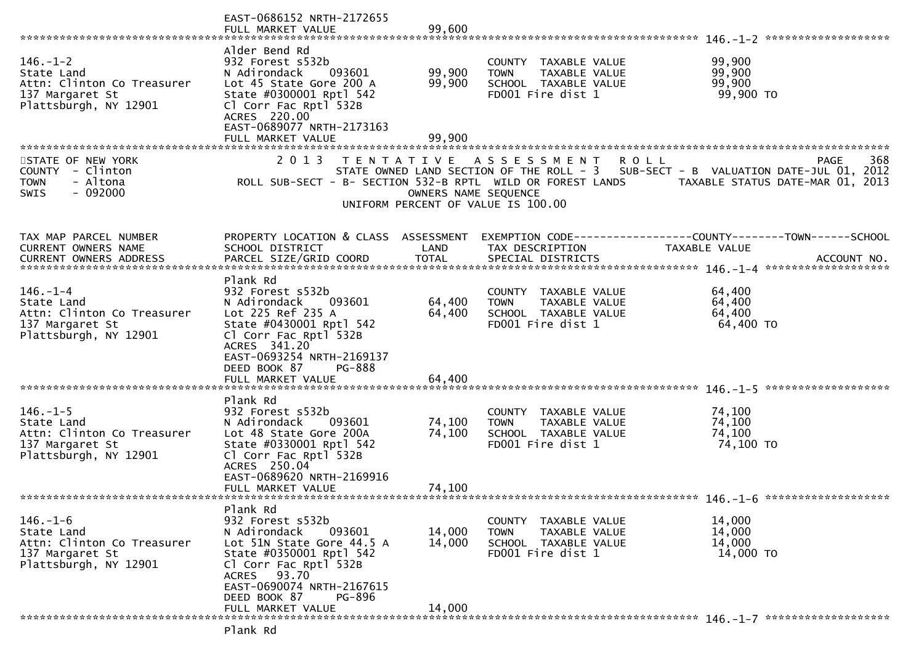|                                                                                                        | EAST-0686152 NRTH-2172655<br>FULL MARKET VALUE                                                                                                                                                                                                      | 99,600                     |                                                                                                                       |                                                                                             |
|--------------------------------------------------------------------------------------------------------|-----------------------------------------------------------------------------------------------------------------------------------------------------------------------------------------------------------------------------------------------------|----------------------------|-----------------------------------------------------------------------------------------------------------------------|---------------------------------------------------------------------------------------------|
| $146. - 1 - 2$<br>State Land<br>Attn: Clinton Co Treasurer<br>137 Margaret St<br>Plattsburgh, NY 12901 | Alder Bend Rd<br>932 Forest s532b<br>N Adirondack<br>093601<br>Lot 45 State Gore 200 A<br>State #0300001 Rptl 542<br>Cl Corr Fac Rptl 532B<br>ACRES 220.00<br>EAST-0689077 NRTH-2173163<br>FULL MARKET VALUE                                        | 99,900<br>99,900<br>99,900 | COUNTY TAXABLE VALUE<br>TAXABLE VALUE<br><b>TOWN</b><br>SCHOOL TAXABLE VALUE<br>FD001 Fire dist 1                     | 99,900<br>99,900<br>99,900<br>99,900 TO                                                     |
| STATE OF NEW YORK<br>COUNTY - Clinton<br>- Altona<br><b>TOWN</b><br>$-092000$<br>SWIS                  | 2 0 1 3<br>ROLL SUB-SECT - B- SECTION 532-B RPTL WILD OR FOREST LANDS                                                                                                                                                                               | OWNERS NAME SEQUENCE       | TENTATIVE ASSESSMENT<br><b>ROLL</b><br>STATE OWNED LAND SECTION OF THE ROLL - 3<br>UNIFORM PERCENT OF VALUE IS 100.00 | 368<br>PAGE<br>SUB-SECT - B VALUATION DATE-JUL 01, 2012<br>TAXABLE STATUS DATE-MAR 01, 2013 |
| TAX MAP PARCEL NUMBER<br>CURRENT OWNERS NAME                                                           | PROPERTY LOCATION & CLASS ASSESSMENT<br>SCHOOL DISTRICT                                                                                                                                                                                             | LAND                       | TAX DESCRIPTION                                                                                                       | EXEMPTION CODE-----------------COUNTY-------TOWN------SCHOOL<br>TAXABLE VALUE               |
| $146. - 1 - 4$<br>State Land<br>Attn: Clinton Co Treasurer<br>137 Margaret St<br>Plattsburgh, NY 12901 | Plank Rd<br>932 Forest s532b<br>093601<br>N Adirondack<br>Lot 225 Ref 235 A<br>State #0430001 Rptl 542<br>Cl Corr Fac Rptl 532B<br>ACRES 341.20<br>EAST-0693254 NRTH-2169137<br>DEED BOOK 87<br><b>PG-888</b><br>FULL MARKET VALUE                  | 64,400<br>64,400<br>64,400 | COUNTY TAXABLE VALUE<br><b>TOWN</b><br><b>TAXABLE VALUE</b><br>SCHOOL TAXABLE VALUE<br>FD001 Fire dist 1              | 64,400<br>64,400<br>64,400<br>64,400 TO                                                     |
| $146. - 1 - 5$<br>State Land<br>Attn: Clinton Co Treasurer<br>137 Margaret St<br>Plattsburgh, NY 12901 | Plank Rd<br>932 Forest s532b<br>N Adirondack<br>093601<br>Lot 48 State Gore 200A<br>State #0330001 Rptl 542<br>Cl Corr Fac Rptl 532B<br>ACRES 250.04<br>EAST-0689620 NRTH-2169916<br>FULL MARKET VALUE                                              | 74,100<br>74,100<br>74,100 | COUNTY TAXABLE VALUE<br><b>TOWN</b><br>TAXABLE VALUE<br>SCHOOL TAXABLE VALUE<br>FD001 Fire dist 1                     | 74,100<br>74,100<br>74,100<br>74,100 TO                                                     |
| $146. - 1 - 6$<br>State Land<br>Attn: Clinton Co Treasurer<br>137 Margaret St<br>Plattsburgh, NY 12901 | Plank Rd<br>932 Forest s532b<br>N Adirondack<br>093601<br>Lot 51N State Gore 44.5 A<br>State #0350001 Rptl 542<br>Cl Corr Fac Rptl 532B<br>93.70<br><b>ACRES</b><br>EAST-0690074 NRTH-2167615<br>DEED BOOK 87<br><b>PG-896</b><br>FULL MARKET VALUE | 14,000<br>14,000<br>14,000 | COUNTY<br>TAXABLE VALUE<br><b>TOWN</b><br>TAXABLE VALUE<br>SCHOOL TAXABLE VALUE<br>FD001 Fire dist 1                  | 14,000<br>14,000<br>14,000<br>14,000 TO                                                     |
|                                                                                                        |                                                                                                                                                                                                                                                     |                            |                                                                                                                       |                                                                                             |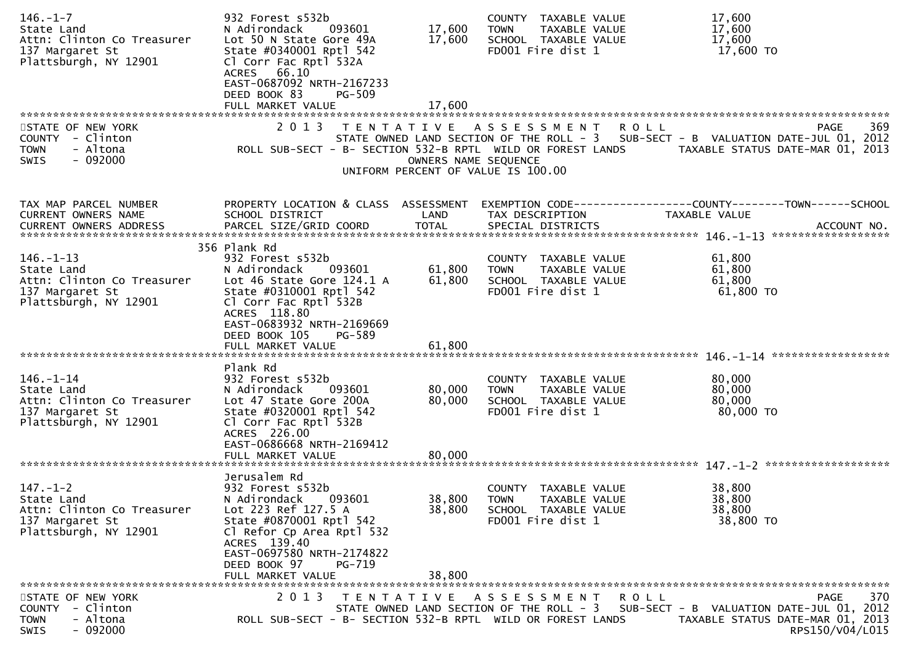| $146. - 1 - 7$<br>State Land<br>Attn: Clinton Co Treasurer<br>137 Margaret St<br>Plattsburgh, NY 12901  | 932 Forest s532b<br>N Adirondack<br>093601<br>Lot 50 N State Gore 49A<br>State #0340001 Rptl 542<br>Cl Corr Fac Rptl 532A<br>ACRES 66.10<br>EAST-0687092 NRTH-2167233<br>DEED BOOK 83<br><b>PG-509</b><br>FULL MARKET VALUE | 17,600<br>17,600<br>17,600 | COUNTY TAXABLE VALUE<br>TAXABLE VALUE<br><b>TOWN</b><br>SCHOOL TAXABLE VALUE<br>FD001 Fire dist 1 | 17,600<br>17,600<br>17,600<br>17,600 TO                                                                                                  |     |
|---------------------------------------------------------------------------------------------------------|-----------------------------------------------------------------------------------------------------------------------------------------------------------------------------------------------------------------------------|----------------------------|---------------------------------------------------------------------------------------------------|------------------------------------------------------------------------------------------------------------------------------------------|-----|
| STATE OF NEW YORK<br>COUNTY - Clinton<br>- Altona<br>TOWN<br><b>SWIS</b><br>- 092000                    | 2 0 1 3<br>T E N T A T I V E<br>ROLL SUB-SECT - B- SECTION 532-B RPTL WILD OR FOREST LANDS                                                                                                                                  | OWNERS NAME SEQUENCE       | A S S E S S M E N T<br>UNIFORM PERCENT OF VALUE IS 100.00                                         | PAGE<br>R O L L<br>STATE OWNED LAND SECTION OF THE ROLL - 3 SUB-SECT - B VALUATION DATE-JUL 01, 2012<br>TAXABLE STATUS DATE-MAR 01, 2013 | 369 |
| TAX MAP PARCEL NUMBER<br>CURRENT OWNERS NAME<br>CURRENT OWNERS ADDRESS                                  | PROPERTY LOCATION & CLASS ASSESSMENT<br>SCHOOL DISTRICT                                                                                                                                                                     | LAND                       | TAX DESCRIPTION                                                                                   | TAXABLE VALUE                                                                                                                            |     |
| $146. - 1 - 13$<br>State Land<br>Attn: Clinton Co Treasurer<br>137 Margaret St<br>Plattsburgh, NY 12901 | 356 Plank Rd<br>932 Forest s532b<br>N Adirondack<br>093601<br>Lot 46 State Gore 124.1 A<br>State #0310001 Rptl 542<br>Cl Corr Fac Rptl 532B<br>ACRES 118.80<br>EAST-0683932 NRTH-2169669<br>DEED BOOK 105<br>PG-589         | 61,800<br>61,800           | COUNTY TAXABLE VALUE<br><b>TOWN</b><br>TAXABLE VALUE<br>SCHOOL TAXABLE VALUE<br>FD001 Fire dist 1 | 61,800<br>61,800<br>61,800<br>$61,800$ TO                                                                                                |     |
|                                                                                                         | FULL MARKET VALUE                                                                                                                                                                                                           | 61,800                     |                                                                                                   |                                                                                                                                          |     |
| 146.-1-14<br>State Land<br>Attn: Clinton Co Treasurer<br>137 Margaret St<br>Plattsburgh, NY 12901       | Plank Rd<br>932 Forest s532b<br>093601<br>N Adirondack<br>Lot 47 State Gore 200A<br>State #0320001 Rptl 542<br>Cl Corr Fac Rptl 532B<br>ACRES 226.00<br>EAST-0686668 NRTH-2169412                                           | 80,000<br>80,000           | COUNTY TAXABLE VALUE<br><b>TOWN</b><br>TAXABLE VALUE<br>SCHOOL TAXABLE VALUE<br>FD001 Fire dist 1 | 80,000<br>80,000<br>80,000<br>80,000 TO                                                                                                  |     |
|                                                                                                         |                                                                                                                                                                                                                             |                            |                                                                                                   |                                                                                                                                          |     |
| $147. - 1 - 2$<br>State Land<br>Attn: Clinton Co Treasurer<br>137 Margaret St<br>Plattsburgh, NY 12901  | Jerusalem Rd<br>932 Forest s532b<br>N Adirondack<br>093601<br>Lot 223 Ref 127.5 A<br>State #0870001 Rptl 542<br>Cl Refor Cp Area Rptl 532<br>ACRES 139.40<br>EAST-0697580 NRTH-2174822<br>DEED BOOK 97<br>PG-719            | 38,800<br>38,800           | COUNTY TAXABLE VALUE<br><b>TOWN</b><br>TAXABLE VALUE<br>SCHOOL TAXABLE VALUE<br>FD001 Fire dist 1 | 38,800<br>38,800<br>38,800<br>38,800 TO                                                                                                  |     |
|                                                                                                         | FULL MARKET VALUE                                                                                                                                                                                                           | 38,800                     |                                                                                                   |                                                                                                                                          |     |
| STATE OF NEW YORK<br>- Clinton<br><b>COUNTY</b><br>- Altona<br><b>TOWN</b><br>$-092000$<br><b>SWIS</b>  | 2 0 1 3<br>T E N T A T I V E<br>ROLL SUB-SECT - B- SECTION 532-B RPTL WILD OR FOREST LANDS                                                                                                                                  |                            | ASSESSMENT<br>STATE OWNED LAND SECTION OF THE ROLL - 3                                            | <b>PAGE</b><br>R O L L<br>SUB-SECT - B VALUATION DATE-JUL 01, 2012<br>TAXABLE STATUS DATE-MAR 01, 2013<br>RPS150/V04/L015                | 370 |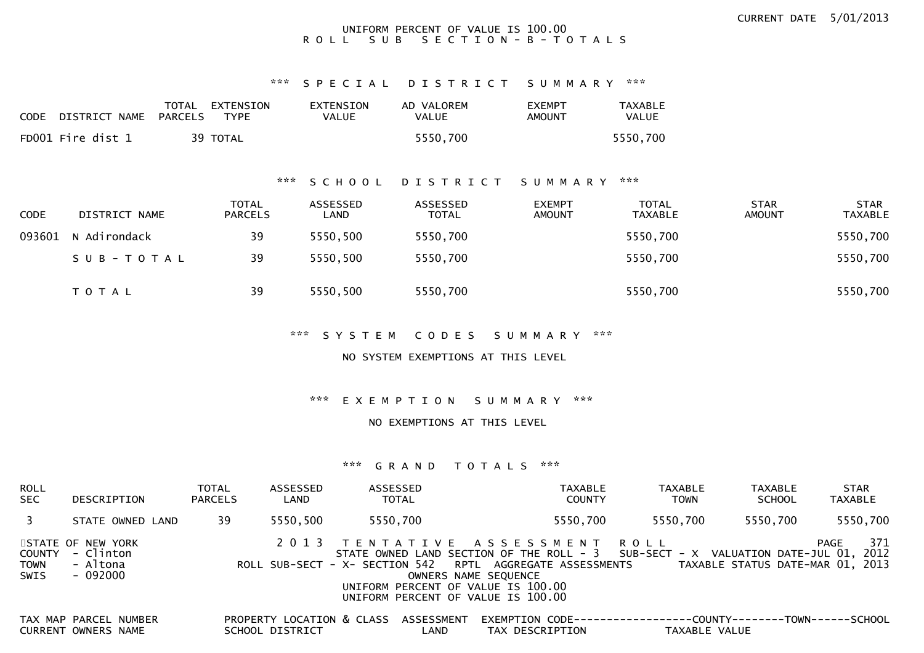#### UNIFORM PERCENT OF VALUE IS 100.00R O L L S U B S E C T I O N - B - T O T A L S

#### \*\*\* S P E C I A L D I S T R I C T S U M M A R Y \*\*\*

| <b>CODE</b> | DISTRICT NAME     | TOTAL<br>PARCELS | EXTENSION<br><b>TYPF</b> | EXTENSION<br>VALUE | AD VALOREM<br>VALUE | <b>EXEMPT</b><br>AMOUNT | TAXABLE<br>VALUE |
|-------------|-------------------|------------------|--------------------------|--------------------|---------------------|-------------------------|------------------|
|             | FD001 Fire dist 1 |                  | 39 TOTAL                 |                    | 5550.700            |                         | 5550.700         |

#### \*\*\* S C H O O L D I S T R I C T S U M M A R Y \*\*\*

| <b>CODE</b> | DISTRICT NAME | <b>TOTAL</b><br><b>PARCELS</b> | ASSESSED<br>LAND | ASSESSED<br><b>TOTAL</b> | <b>EXEMPT</b><br><b>AMOUNT</b> | <b>TOTAL</b><br><b>TAXABLE</b> | <b>STAR</b><br>AMOUNT | <b>STAR</b><br><b>TAXABLE</b> |
|-------------|---------------|--------------------------------|------------------|--------------------------|--------------------------------|--------------------------------|-----------------------|-------------------------------|
| 093601      | N Adirondack  | 39                             | 5550,500         | 5550,700                 |                                | 5550,700                       |                       | 5550,700                      |
|             | SUB-TOTAL     | 39                             | 5550,500         | 5550,700                 |                                | 5550,700                       |                       | 5550,700                      |
|             | <b>TOTAL</b>  | 39                             | 5550,500         | 5550,700                 |                                | 5550,700                       |                       | 5550,700                      |

\*\*\* S Y S T E M C O D E S S U M M A R Y \*\*\*

NO SYSTEM EXEMPTIONS AT THIS LEVEL

\*\*\* E X E M P T I O N S U M M A R Y \*\*\*

NO EXEMPTIONS AT THIS LEVEL

#### \*\*\* G R A N D T O T A L S \*\*\*

| ROLL<br>SEC  | DESCRIPTION                                                                           | <b>TOTAL</b><br><b>PARCELS</b> | ASSESSED<br>LAND                                        | ASSESSED<br>TOTAL |                               |                                                                                                                                                                                                                                                                                 | TAXABLE<br><b>COUNTY</b>                                      | <b>TAXABLE</b><br><b>TOWN</b> | <b>TAXABLE</b><br><b>SCHOOL</b>  | <b>STAR</b><br>TAXABLE |          |
|--------------|---------------------------------------------------------------------------------------|--------------------------------|---------------------------------------------------------|-------------------|-------------------------------|---------------------------------------------------------------------------------------------------------------------------------------------------------------------------------------------------------------------------------------------------------------------------------|---------------------------------------------------------------|-------------------------------|----------------------------------|------------------------|----------|
| 3            | STATE OWNED LAND                                                                      | 39                             | 5550.500                                                | 5550,700          |                               |                                                                                                                                                                                                                                                                                 | 5550,700                                                      | 5550.700                      | 5550,700                         |                        | 5550,700 |
| TOWN<br>SWIS | STATE OF NEW YORK<br>COUNTY - Clinton<br>- Altona<br>- 092000                         |                                | 2 0 1 3                                                 |                   |                               | TENTATIVE ASSESSMENT ROLL<br>STATE OWNED LAND SECTION OF THE ROLL - 3 SUB-SECT - X VALUATION DATE-JUL 01, 2012<br>ROLL SUB-SECT - X- SECTION 542 RPTL AGGREGATE ASSESSMENTS<br>OWNERS NAME SEQUENCE<br>UNIFORM PERCENT OF VALUE IS 100.00<br>UNIFORM PERCENT OF VALUE IS 100.00 |                                                               |                               | TAXABLE STATUS DATE-MAR 01, 2013 | PAGE                   | 371      |
|              | TAX MAP PARCEL NUMBER<br>$C \cup D \cap C \cup T$ $C \cup D \cap C$ $N \cup N \cap T$ |                                | PROPERTY LOCATION & CLASS ASSESSMENT<br>$CCIIO$ $A$ $R$ |                   | $\overline{1}$ $\overline{1}$ | TAY BECCBIBTTON                                                                                                                                                                                                                                                                 | EXEMPTION CODE-----------------COUNTY--------TOWN------SCHOOL |                               | $T$ AVADI $\Gamma$ VALUE         |                        |          |

CURRENT OWNERS NAME SCHOOL DISTRICT LAND TAX DESCRIPTION TAXABLE VALUE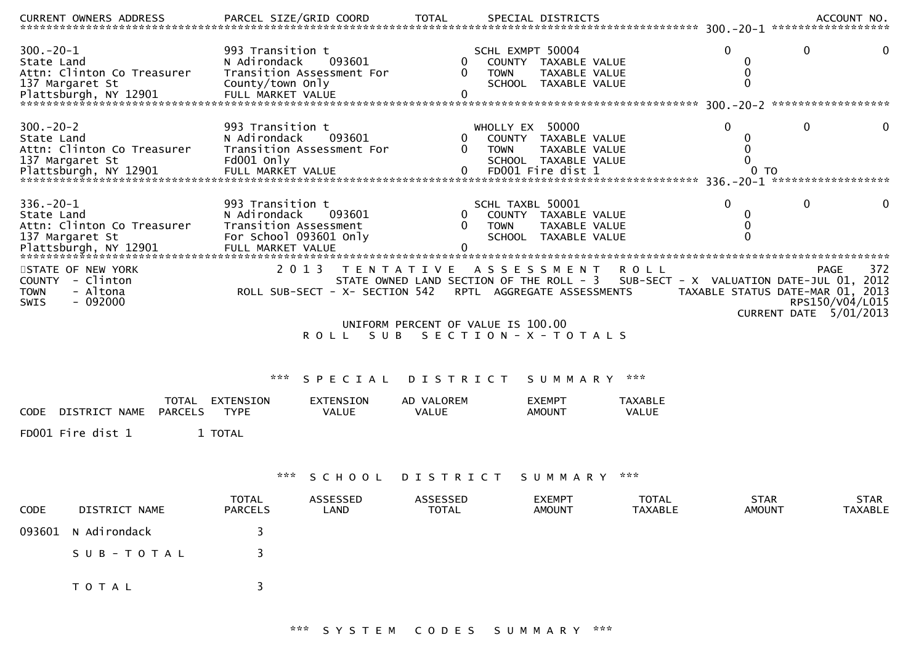| .CURRENT OWNERS ADDRESS PARCEL SIZE/GRID COORD TOTAL SPECIAL DISTRICTS ACCOUNT NO ACCOUNT NO ACCOUNT NO AND ARCEL SIZE/GRID COORD TOTAL SPECIAL DISTRICTS |                                                                                                          |                                     |                                                               |                                                         |                                                               |                                                  |                              |                                                                    |                        |
|-----------------------------------------------------------------------------------------------------------------------------------------------------------|----------------------------------------------------------------------------------------------------------|-------------------------------------|---------------------------------------------------------------|---------------------------------------------------------|---------------------------------------------------------------|--------------------------------------------------|------------------------------|--------------------------------------------------------------------|------------------------|
| $300 - 20 - 1$<br>State Land<br>Attn: Clinton Co Treasurer<br>137 Margaret St                                                                             | 993 Transition t<br>N Adirondack<br>County/town Only                                                     | 093601<br>Transition Assessment For | $\Omega$                                                      | SCHL EXMPT 50004<br>COUNTY TAXABLE VALUE<br><b>TOWN</b> | TAXABLE VALUE<br>SCHOOL TAXABLE VALUE                         |                                                  | 0<br>0<br>0<br>$\mathbf{0}$  | 0                                                                  | 0                      |
|                                                                                                                                                           |                                                                                                          |                                     |                                                               |                                                         |                                                               |                                                  |                              |                                                                    |                        |
| $300 - 20 - 2$<br>State Land<br>Attn: Clinton Co Treasurer<br>137 Margaret St<br>Plattsburgh, NY 12901                                                    | 993 Transition t<br>N Adirondack<br>Fd001 Only                                                           | 093601<br>Transition Assessment For | 0<br>$\Omega$                                                 | WHOLLY EX 50000<br>COUNTY TAXABLE VALUE<br><b>TOWN</b>  | TAXABLE VALUE<br>SCHOOL TAXABLE VALUE                         |                                                  | $\Omega$<br>0<br>0<br>0      | 0                                                                  | 0                      |
| $336. - 20 - 1$<br>State Land<br>Attn: Clinton Co Treasurer<br>137 Margaret St<br>Plattsburgh, NY 12901                                                   | 993 Transition t<br>N Adirondack<br>Transition Assessment<br>For School 093601 Only<br>FULL MARKET VALUE | 093601                              | 0<br>0                                                        | SCHL TAXBL 50001<br><b>TOWN</b>                         | COUNTY TAXABLE VALUE<br>TAXABLE VALUE<br>SCHOOL TAXABLE VALUE |                                                  | $\Omega$<br>0<br>0<br>0      | 0                                                                  | 0                      |
| STATE OF NEW YORK<br>- Clinton<br>COUNTY<br>- Altona<br><b>TOWN</b><br>$-092000$<br><b>SWIS</b>                                                           | 2 0 1 3                                                                                                  | ROLL SUB-SECT - X- SECTION 542      | T E N T A T I V E<br>STATE OWNED LAND SECTION OF THE ROLL - 3 | ASSESSMENT<br>RPTL AGGREGATE ASSESSMENTS                |                                                               | ROLL<br>SUB-SECT - X VALUATION DATE-JUL 01, 2012 |                              | PAGE<br>TAXABLE STATUS DATE-MAR 01, 2013<br>CURRENT DATE 5/01/2013 | 372<br>RPS150/V04/L015 |
|                                                                                                                                                           |                                                                                                          | ROLL SUB                            | UNIFORM PERCENT OF VALUE IS 100.00                            | SECTION - X - TOTALS                                    |                                                               |                                                  |                              |                                                                    |                        |
|                                                                                                                                                           | ***                                                                                                      | SPECIAL                             | D I S T R I C T                                               |                                                         | SUMMARY                                                       | ***                                              |                              |                                                                    |                        |
| TOTAL<br><b>PARCELS</b><br>DISTRICT NAME<br><b>CODE</b>                                                                                                   | EXTENSION<br><b>TYPE</b>                                                                                 | EXTENSION<br>VALUE                  | AD VALOREM<br>VALUE                                           | <b>EXEMPT</b><br><b>AMOUNT</b>                          |                                                               | TAXABLE<br>VALUE                                 |                              |                                                                    |                        |
| FD001 Fire dist 1                                                                                                                                         | 1 TOTAL                                                                                                  |                                     |                                                               |                                                         |                                                               |                                                  |                              |                                                                    |                        |
|                                                                                                                                                           |                                                                                                          | SCHOOL                              | D I S T R I C T                                               |                                                         | S U M M A R Y                                                 | ***                                              |                              |                                                                    |                        |
| DISTRICT NAME<br>CODE                                                                                                                                     | <b>TOTAL</b><br><b>PARCELS</b>                                                                           | ASSESSED<br>LAND                    | <b>ASSESSED</b><br>TOTAL                                      |                                                         | <b>EXEMPT</b><br><b>AMOUNT</b>                                | <b>TOTAL</b><br>TAXABLE                          | <b>STAR</b><br><b>AMOUNT</b> |                                                                    | <b>STAR</b><br>TAXABLE |
| N Adirondack<br>093601                                                                                                                                    | 3                                                                                                        |                                     |                                                               |                                                         |                                                               |                                                  |                              |                                                                    |                        |
| SUB-TOTAL                                                                                                                                                 |                                                                                                          |                                     |                                                               |                                                         |                                                               |                                                  |                              |                                                                    |                        |
| T O T A L                                                                                                                                                 | 3                                                                                                        |                                     |                                                               |                                                         |                                                               |                                                  |                              |                                                                    |                        |

\*\*\* S Y S T E M C O D E S S U M M A R Y \*\*\*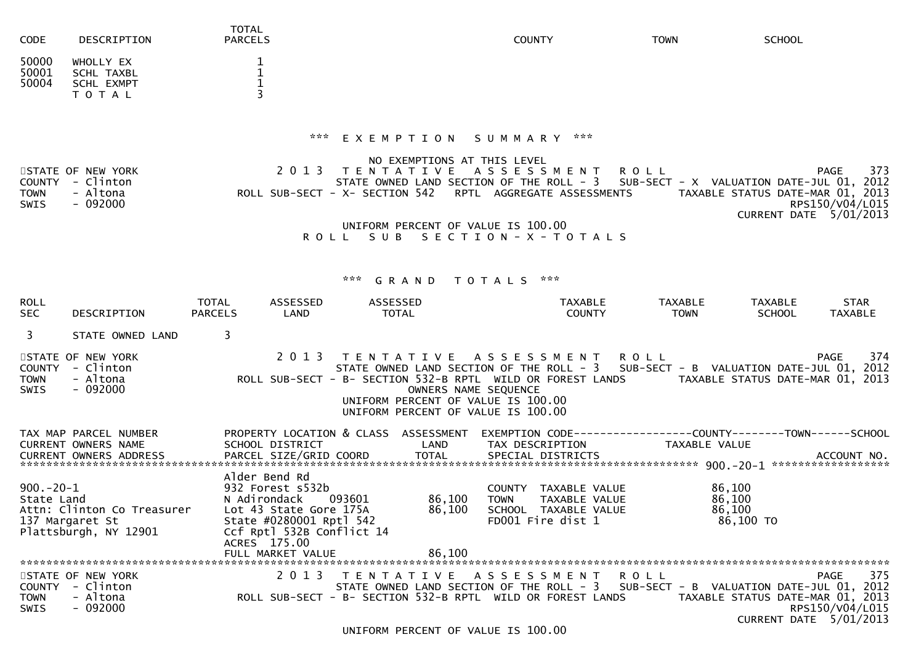| <b>CODE</b>                                 | DESCRIPTION                                                            | <b>TOTAL</b><br><b>PARCELS</b>                                                                                                                                           |                                                                                                                       | <b>COUNTY</b>                                                                                                                | <b>TOWN</b>                   | <b>SCHOOL</b>                                                                                                                               |
|---------------------------------------------|------------------------------------------------------------------------|--------------------------------------------------------------------------------------------------------------------------------------------------------------------------|-----------------------------------------------------------------------------------------------------------------------|------------------------------------------------------------------------------------------------------------------------------|-------------------------------|---------------------------------------------------------------------------------------------------------------------------------------------|
| 50000<br>50001<br>50004                     | WHOLLY EX<br><b>SCHL TAXBL</b><br><b>SCHL EXMPT</b><br>TOTAL           | 1<br>1<br>1                                                                                                                                                              |                                                                                                                       |                                                                                                                              |                               |                                                                                                                                             |
|                                             |                                                                        | ***                                                                                                                                                                      | EXEMPTION<br>NO EXEMPTIONS AT THIS LEVEL                                                                              | SUMMARY ***                                                                                                                  |                               |                                                                                                                                             |
| <b>COUNTY</b><br><b>TOWN</b><br><b>SWIS</b> | STATE OF NEW YORK<br>- Clinton<br>- Altona<br>$-092000$                | 2 0 1 3                                                                                                                                                                  | T E N T A T I V E                                                                                                     | A S S E S S M E N T<br>STATE OWNED LAND SECTION OF THE ROLL - 3<br>ROLL SUB-SECT - X- SECTION 542 RPTL AGGREGATE ASSESSMENTS | R O L L                       | 373<br>PAGE<br>SUB-SECT - X VALUATION DATE-JUL 01, 2012<br>TAXABLE STATUS DATE-MAR 01, 2013<br>RPS150/V04/L015                              |
|                                             |                                                                        | ROLL                                                                                                                                                                     | UNIFORM PERCENT OF VALUE IS 100.00<br>S U B                                                                           | SECTION - X - TOTALS                                                                                                         |                               | CURRENT DATE 5/01/2013                                                                                                                      |
|                                             |                                                                        |                                                                                                                                                                          | ***<br>GRAND                                                                                                          | ***<br>T O T A L S                                                                                                           |                               |                                                                                                                                             |
| <b>ROLL</b><br><b>SEC</b>                   | DESCRIPTION                                                            | TOTAL<br>ASSESSED<br><b>PARCELS</b><br>LAND                                                                                                                              | ASSESSED<br><b>TOTAL</b>                                                                                              | <b>TAXABLE</b><br><b>COUNTY</b>                                                                                              | <b>TAXABLE</b><br><b>TOWN</b> | TAXABLE<br><b>STAR</b><br><b>SCHOOL</b><br><b>TAXABLE</b>                                                                                   |
| 3                                           | STATE OWNED LAND                                                       | 3                                                                                                                                                                        |                                                                                                                       |                                                                                                                              |                               |                                                                                                                                             |
| <b>COUNTY</b><br>TOWN<br><b>SWIS</b>        | STATE OF NEW YORK<br>- Clinton<br>- Altona<br>$-092000$                | 2 0 1 3                                                                                                                                                                  | T E N T A T I V E<br>OWNERS NAME SEQUENCE<br>UNIFORM PERCENT OF VALUE IS 100.00<br>UNIFORM PERCENT OF VALUE IS 100.00 | A S S E S S M E N T<br>ROLL SUB-SECT - B- SECTION 532-B RPTL WILD OR FOREST LANDS                                            | <b>ROLL</b>                   | <b>PAGE</b><br>374<br>STATE OWNED LAND SECTION OF THE ROLL - 3 SUB-SECT - B VALUATION DATE-JUL 01, 2012<br>TAXABLE STATUS DATE-MAR 01, 2013 |
|                                             | TAX MAP PARCEL NUMBER<br><b>CURRENT OWNERS NAME</b>                    | PROPERTY LOCATION & CLASS<br>SCHOOL DISTRICT                                                                                                                             | ASSESSMENT<br>LAND                                                                                                    | TAX DESCRIPTION                                                                                                              | TAXABLE VALUE                 |                                                                                                                                             |
| $900 - 20 - 1$<br>State Land                | Attn: Clinton Co Treasurer<br>137 Margaret St<br>Plattsburgh, NY 12901 | Alder Bend Rd<br>932 Forest s532b<br>N Adirondack<br>Lot 43 State Gore 175A<br>State #0280001 Rptl 542<br>Ccf Rptl 532B Conflict 14<br>ACRES 175.00<br>FULL MARKET VALUE | 093601<br>86,100<br>86,100<br>86,100                                                                                  | <b>COUNTY</b><br>TAXABLE VALUE<br><b>TOWN</b><br>TAXABLE VALUE<br>SCHOOL TAXABLE VALUE<br>FD001 Fire dist 1                  |                               | 86,100<br>86,100<br>86,100<br>86,100 TO                                                                                                     |
| <b>COUNTY</b><br><b>TOWN</b><br>SWIS        | STATE OF NEW YORK<br>- Clinton<br>- Altona<br>$-092000$                | 2 0 1 3                                                                                                                                                                  | TENTATIVE ASSESSMENT                                                                                                  | STATE OWNED LAND SECTION OF THE ROLL - 3<br>ROLL SUB-SECT - B- SECTION 532-B RPTL WILD OR FOREST LANDS                       | ROLL                          | 375<br>PAGE<br>SUB-SECT - B VALUATION DATE-JUL 01, 2012<br>TAXABLE STATUS DATE-MAR 01, 2013<br>RPS150/V04/L015<br>CURRENT DATE 5/01/2013    |

UNIFORM PERCENT OF VALUE IS 100.00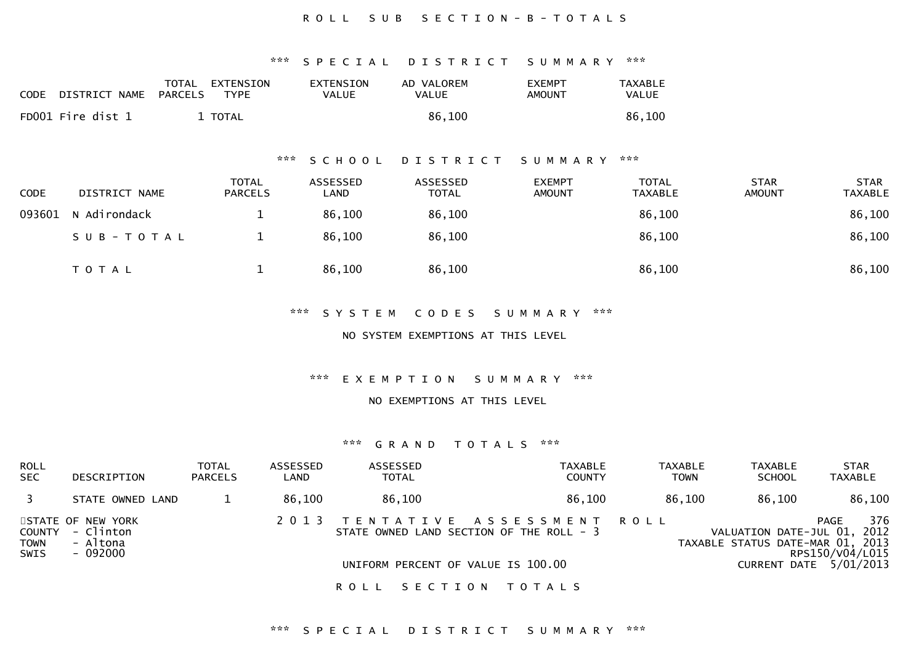#### ROLL SUB SECTION-B-TOTALS

\*\*\* S P E C I A L D I S T R I C T S U M M A R Y \*\*\*

| <b>CODE</b> | DISTRICT NAME     | TOTAL EXTENSION<br>PARCELS<br>TYPF. | EXTENSION<br>VALUE | AD VALOREM<br>VALUE | <b>EXEMPT</b><br>AMOUNT | TAXABLE<br>VALUE |
|-------------|-------------------|-------------------------------------|--------------------|---------------------|-------------------------|------------------|
|             | FD001 Fire dist 1 | TOTAL T                             |                    | 86.100              |                         | 86,100           |

#### \*\*\* S C H O O L D I S T R I C T S U M M A R Y \*\*\*

| <b>CODE</b> | DISTRICT NAME | <b>TOTAL</b><br><b>PARCELS</b> | ASSESSED<br>LAND | ASSESSED<br><b>TOTAL</b> | <b>EXEMPT</b><br><b>AMOUNT</b> | <b>TOTAL</b><br><b>TAXABLE</b> | <b>STAR</b><br><b>AMOUNT</b> | <b>STAR</b><br><b>TAXABLE</b> |
|-------------|---------------|--------------------------------|------------------|--------------------------|--------------------------------|--------------------------------|------------------------------|-------------------------------|
| 093601      | N Adirondack  |                                | 86,100           | 86,100                   |                                | 86,100                         |                              | 86,100                        |
|             | SUB-TOTAL     |                                | 86,100           | 86,100                   |                                | 86,100                         |                              | 86,100                        |
|             | <b>TOTAL</b>  |                                | 86,100           | 86,100                   |                                | 86,100                         |                              | 86,100                        |

\*\*\* S Y S T E M C O D E S S U M M A R Y \*\*\*

NO SYSTEM EXEMPTIONS AT THIS LEVEL

\*\*\* E X E M P T I O N S U M M A R Y \*\*\*

NO EXEMPTIONS AT THIS LEVEL

#### \*\*\* G R A N D T O T A L S \*\*\*

| <b>ROLL</b><br><b>SEC</b> | DESCRIPTION                                | <b>TOTAL</b><br><b>PARCELS</b> | ASSESSED<br>LAND | <b>ASSESSED</b><br><b>TOTAL</b>          | <b>TAXABLE</b><br><b>COUNTY</b> | <b>TAXABLE</b><br><b>TOWN</b> | <b>TAXABLE</b><br><b>SCHOOL</b>                                 | <b>STAR</b><br><b>TAXABLE</b>               |
|---------------------------|--------------------------------------------|--------------------------------|------------------|------------------------------------------|---------------------------------|-------------------------------|-----------------------------------------------------------------|---------------------------------------------|
|                           | STATE OWNED LAND                           |                                | 86.100           | 86,100                                   | 86,100                          | 86.100                        | 86.100                                                          | 86,100                                      |
| COUNTY<br><b>TOWN</b>     | STATE OF NEW YORK<br>- Clinton<br>- Altona |                                | 2 0 1 3          | STATE OWNED LAND SECTION OF THE ROLL - 3 | TENTATIVE ASSESSMENT ROLL       |                               | VALUATION DATE-JUL 01, 2012<br>TAXABLE STATUS DATE-MAR 01, 2013 | 376<br>PAGE                                 |
| SWIS                      | - 092000                                   |                                |                  | UNIFORM PERCENT OF VALUE IS 100.00       |                                 |                               |                                                                 | RPS150/V04/L015<br>CURRENT DATE $5/01/2013$ |

ROLL SECTION TOTALS

#### \*\*\* S P E C I A L D I S T R I C T S U M M A R Y \*\*\*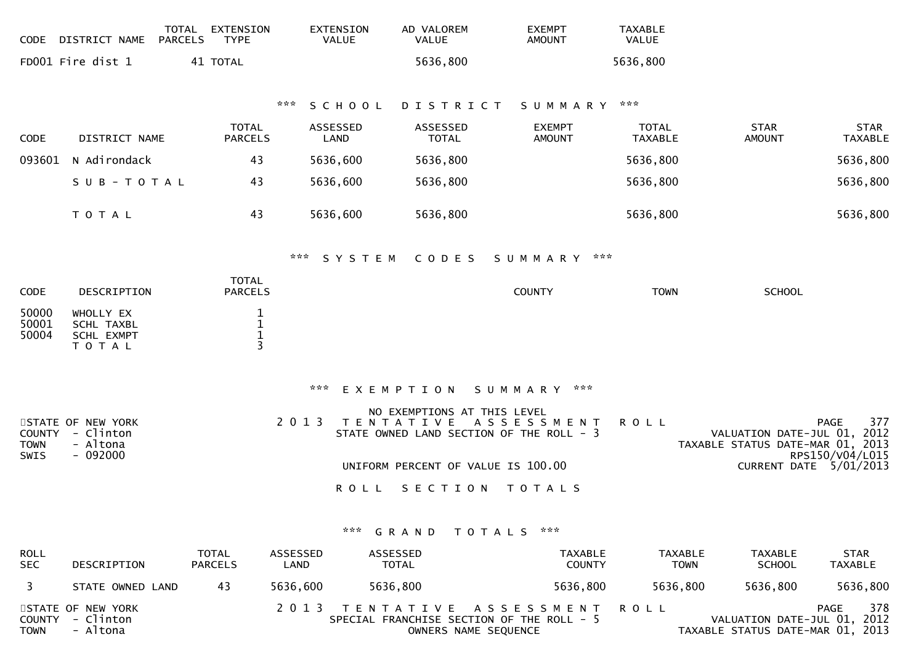| <b>CODE</b>                                 | TOTAL<br>DISTRICT NAME<br><b>PARCELS</b>                | EXTENSION<br><b>TYPE</b>              |                                | EXTENSION<br><b>VALUE</b> | AD VALOREM<br><b>VALUE</b>               | <b>EXEMPT</b><br><b>AMOUNT</b>                                    | <b>TAXABLE</b><br><b>VALUE</b> |                                                                         |                               |
|---------------------------------------------|---------------------------------------------------------|---------------------------------------|--------------------------------|---------------------------|------------------------------------------|-------------------------------------------------------------------|--------------------------------|-------------------------------------------------------------------------|-------------------------------|
|                                             | FD001 Fire dist 1                                       | 41 TOTAL                              |                                |                           | 5636,800                                 |                                                                   | 5636,800                       |                                                                         |                               |
|                                             |                                                         |                                       | ***                            | SCHOOL                    | DISTRICT                                 | SUMMARY                                                           | ***                            |                                                                         |                               |
| CODE                                        | DISTRICT NAME                                           | <b>TOTAL</b><br><b>PARCELS</b>        |                                | ASSESSED<br>LAND          | ASSESSED<br><b>TOTAL</b>                 | <b>EXEMPT</b><br><b>AMOUNT</b>                                    | <b>TOTAL</b><br><b>TAXABLE</b> | <b>STAR</b><br><b>AMOUNT</b>                                            | <b>STAR</b><br><b>TAXABLE</b> |
| 093601                                      | N Adirondack                                            | 43                                    |                                | 5636,600                  | 5636,800                                 |                                                                   | 5636,800                       |                                                                         | 5636,800                      |
|                                             | SUB-TOTAL                                               | 43                                    |                                | 5636,600                  | 5636,800                                 |                                                                   | 5636,800                       |                                                                         | 5636,800                      |
|                                             | T O T A L                                               | 43                                    |                                | 5636,600                  | 5636,800                                 |                                                                   | 5636,800                       |                                                                         | 5636,800                      |
|                                             |                                                         |                                       | ***                            | SYSTEM                    | CODES                                    | $* * *$<br>S U M M A R Y                                          |                                |                                                                         |                               |
| CODE                                        | DESCRIPTION                                             | TOTAL<br><b>PARCELS</b>               |                                |                           |                                          | <b>COUNTY</b>                                                     | <b>TOWN</b>                    | <b>SCHOOL</b>                                                           |                               |
| 50000<br>50001<br>50004                     | WHOLLY EX<br>SCHL TAXBL<br>SCHL EXMPT<br>T O T A L      | 1<br>$\mathbf{1}$<br>$\mathbf 1$<br>3 |                                |                           |                                          |                                                                   |                                |                                                                         |                               |
|                                             |                                                         |                                       | $\mathbf{x} \times \mathbf{x}$ |                           | EXEMPTION                                | ***<br>SUMMARY                                                    |                                |                                                                         |                               |
| <b>COUNTY</b><br><b>TOWN</b><br><b>SWIS</b> | STATE OF NEW YORK<br>- Clinton<br>- Altona<br>$-092000$ |                                       | 2 0 1 3                        |                           | NO EXEMPTIONS AT THIS LEVEL<br>TENTATIVE | A S S E S S M E N T<br>STATE OWNED LAND SECTION OF THE ROLL - 3   | <b>ROLL</b>                    | PAGE<br>VALUATION DATE-JUL 01, 2012<br>TAXABLE STATUS DATE-MAR 01, 2013 | 377<br>RPS150/V04/L015        |
|                                             |                                                         |                                       |                                |                           | UNIFORM PERCENT OF VALUE IS 100.00       |                                                                   |                                | CURRENT DATE 5/01/2013                                                  |                               |
|                                             |                                                         |                                       |                                | <b>ROLL</b>               | SECTION                                  | T O T A L S                                                       |                                |                                                                         |                               |
|                                             |                                                         |                                       |                                |                           | *** <b>GRAND</b><br><b>TOTALS</b>        | $\kappa \times \kappa$                                            |                                |                                                                         |                               |
| <b>ROLL</b><br><b>SEC</b>                   | DESCRIPTION                                             | TOTAL<br><b>PARCELS</b>               | ASSESSED<br>LAND               |                           | ASSESSED<br><b>TOTAL</b>                 | TAXABLE<br><b>COUNTY</b>                                          | <b>TAXABLE</b><br><b>TOWN</b>  | TAXABLE<br><b>SCHOOL</b>                                                | <b>STAR</b><br><b>TAXABLE</b> |
| 3                                           | STATE OWNED LAND                                        | 43                                    | 5636,600                       |                           | 5636,800                                 | 5636,800                                                          | 5636,800                       | 5636,800                                                                | 5636,800                      |
| <b>COUNTY</b><br><b>TOWN</b>                | STATE OF NEW YORK<br>- Clinton<br>- Altona              |                                       | 2 0 1 3                        |                           | OWNERS NAME SEQUENCE                     | TENTATIVE ASSESSMENT<br>SPECIAL FRANCHISE SECTION OF THE ROLL - 5 | <b>ROLL</b>                    | PAGE<br>VALUATION DATE-JUL 01, 2012<br>TAXABLE STATUS DATE-MAR 01, 2013 | 378                           |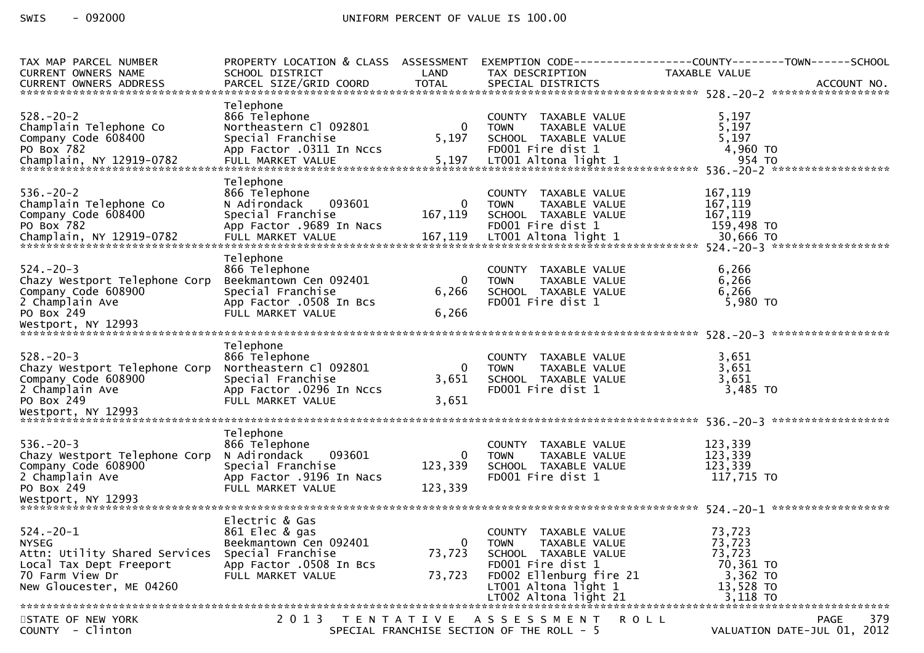| TAX MAP PARCEL NUMBER<br>CURRENT OWNERS NAME                                                                                               | PROPERTY LOCATION & CLASS ASSESSMENT<br>SCHOOL DISTRICT                                                                         | LAND                             | TAX DESCRIPTION                                                                                                                                                                         | EXEMPTION CODE------------------COUNTY--------TOWN------SCHOOL<br>TAXABLE VALUE |
|--------------------------------------------------------------------------------------------------------------------------------------------|---------------------------------------------------------------------------------------------------------------------------------|----------------------------------|-----------------------------------------------------------------------------------------------------------------------------------------------------------------------------------------|---------------------------------------------------------------------------------|
| $528. - 20 - 2$<br>Champlain Telephone Co<br>Company Code 608400<br>PO Box 782                                                             | Telephone<br>866 Telephone<br>Northeastern Cl 092801<br>Special Franchise<br>App Factor .0311 In Nccs                           | $\mathbf 0$<br>5,197             | COUNTY TAXABLE VALUE<br>TAXABLE VALUE<br><b>TOWN</b><br>SCHOOL TAXABLE VALUE<br>FD001 Fire dist 1                                                                                       | 5,197<br>5,197<br>5,197<br>4,960 TO                                             |
| $536. - 20 - 2$<br>Champlain Telephone Co<br>Company Code 608400<br>PO Box 782                                                             | Telephone<br>866 Telephone<br>093601<br>N Adirondack<br>Special Franchise<br>App Factor .9689 In Nacs                           | 0<br>167,119                     | COUNTY TAXABLE VALUE<br><b>TOWN</b><br>TAXABLE VALUE<br>SCHOOL TAXABLE VALUE<br>FD001 Fire dist 1                                                                                       | 167,119<br>167,119<br>167,119<br>159,498 TO                                     |
| $524. - 20 - 3$<br>Chazy Westport Telephone Corp<br>Company Code 608900<br>2 Champlain Ave<br>PO Box 249                                   | Telephone<br>866 Telephone<br>Beekmantown Cen 092401<br>Special Franchise<br>App Factor .0508 In Bcs<br>FULL MARKET VALUE       | 0<br>6,266<br>6,266              | COUNTY TAXABLE VALUE<br>TAXABLE VALUE<br><b>TOWN</b><br>SCHOOL TAXABLE VALUE<br>FD001 Fire dist 1                                                                                       | 6,266<br>6,266<br>6,266<br>5,980 TO                                             |
| $528. - 20 - 3$<br>Chazy Westport Telephone Corp<br>Company Code 608900<br>2 Champlain Ave<br>PO Box 249<br>Westport, NY 12993             | Telephone<br>866 Telephone<br>Northeastern Cl 092801<br>Special Franchise<br>App Factor .0296 In Nccs<br>FULL MARKET VALUE      | $\mathbf{0}$<br>3,651<br>3,651   | COUNTY TAXABLE VALUE<br>TAXABLE VALUE<br><b>TOWN</b><br>SCHOOL TAXABLE VALUE<br>FD001 Fire dist 1                                                                                       | 3,651<br>3,651<br>3,651<br>$3,485$ TO                                           |
| $536. - 20 - 3$<br>Chazy Westport Telephone Corp<br>Company Code 608900<br>2 Champlain Ave<br>PO Box 249                                   | Telephone<br>866 Telephone<br>093601<br>N Adirondack<br>Special Franchise<br>App Factor .9196 In Nacs<br>FULL MARKET VALUE      | 0<br>123,339<br>123,339          | COUNTY TAXABLE VALUE<br>TAXABLE VALUE<br><b>TOWN</b><br>SCHOOL TAXABLE VALUE<br>FD001 Fire dist 1                                                                                       | 123,339<br>123,339<br>123,339<br>117,715 TO                                     |
| $524. - 20 - 1$<br><b>NYSEG</b><br>Attn: Utility Shared Services<br>Local Tax Dept Freeport<br>70 Farm View Dr<br>New Gloucester, ME 04260 | Electric & Gas<br>861 Elec & gas<br>Beekmantown Cen 092401<br>Special Franchise<br>App Factor .0508 In Bcs<br>FULL MARKET VALUE | $\mathbf{0}$<br>73,723<br>73,723 | <b>COUNTY</b><br>TAXABLE VALUE<br><b>TOWN</b><br>TAXABLE VALUE<br>SCHOOL TAXABLE VALUE<br>FD001 Fire dist 1<br>FD002 Ellenburg fire 21<br>LT001 Altona light 1<br>LT002 Altona light 21 | 73,723<br>73,723<br>73,723<br>70,361 TO<br>3,362 TO<br>13,528 TO<br>3,118 TO    |
| STATE OF NEW YORK<br>COUNTY - Clinton                                                                                                      |                                                                                                                                 |                                  | 2013 TENTATIVE ASSESSMENT<br><b>ROLL</b><br>SPECIAL FRANCHISE SECTION OF THE ROLL - 5                                                                                                   | 379<br>PAGE<br>VALUATION DATE-JUL 01, 2012                                      |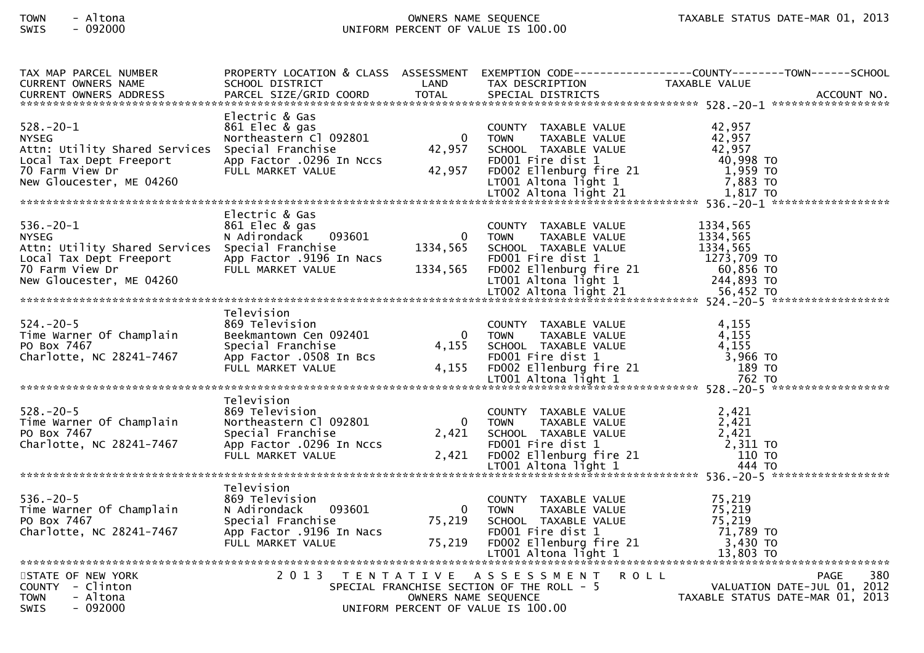# TOWN - Altona OWNERS NAME SEQUENCE TAXABLE STATUS DATE-MAR 01, 2013SWIS - 092000 UNIFORM PERCENT OF VALUE IS 100.00

| TAX MAP PARCEL NUMBER                           |                                                               |                         |                                           | PROPERTY LOCATION & CLASS ASSESSMENT EXEMPTION CODE----------------COUNTY-------TOWN------SCHOOL                                                                                                                                                   |
|-------------------------------------------------|---------------------------------------------------------------|-------------------------|-------------------------------------------|----------------------------------------------------------------------------------------------------------------------------------------------------------------------------------------------------------------------------------------------------|
| <b>CURRENT OWNERS NAME</b>                      | SCHOOL DISTRICT                                               | LAND                    | TAX DESCRIPTION                           | TAXABLE VALUE                                                                                                                                                                                                                                      |
|                                                 |                                                               |                         |                                           |                                                                                                                                                                                                                                                    |
|                                                 |                                                               |                         |                                           |                                                                                                                                                                                                                                                    |
| $528. - 20 - 1$                                 | Electric & Gas                                                |                         |                                           |                                                                                                                                                                                                                                                    |
| <b>NYSEG</b>                                    | 861 Elec & gas<br>Northeastern Cl 092801 0 TOWN TAXABLE VALUE |                         |                                           | 42,957<br>42,957<br>42,957                                                                                                                                                                                                                         |
|                                                 |                                                               |                         |                                           |                                                                                                                                                                                                                                                    |
|                                                 |                                                               |                         |                                           |                                                                                                                                                                                                                                                    |
|                                                 |                                                               |                         |                                           |                                                                                                                                                                                                                                                    |
|                                                 |                                                               |                         |                                           |                                                                                                                                                                                                                                                    |
|                                                 |                                                               |                         |                                           |                                                                                                                                                                                                                                                    |
|                                                 |                                                               |                         |                                           | Attn: Utility Shared Services Special Franchise 10 1000 12XABLE VALUE 12,957<br>Attn: Utility Shared Services Special Franchise 42,957 SCHOOL TAXABLE VALUE 42,957<br>1.959 TO Farm View Dr FULL MARKET VALUE 42,957 FD001 Fire di                 |
|                                                 | Electric & Gas                                                |                         |                                           |                                                                                                                                                                                                                                                    |
| $536. - 20 - 1$                                 | 861 Elec & gas                                                |                         | COUNTY TAXABLE VALUE                      | 1334,565                                                                                                                                                                                                                                           |
| <b>NYSEG</b>                                    | N Adirondack 093601                                           | $\overline{\mathbf{0}}$ | TOWN<br>TAXABLE VALUE                     | 1334,565                                                                                                                                                                                                                                           |
| Attn: Utility Shared Services Special Franchise |                                                               | 1334,565                | SCHOOL TAXABLE VALUE                      | 1334,565                                                                                                                                                                                                                                           |
|                                                 |                                                               |                         |                                           | Example the contract of the contract of the contract of the contract of the contract of the contract of the contract of the contract of the contract of the contract of the contract of the contract of the contract of the co                     |
|                                                 |                                                               |                         |                                           |                                                                                                                                                                                                                                                    |
|                                                 |                                                               |                         |                                           |                                                                                                                                                                                                                                                    |
|                                                 |                                                               |                         |                                           |                                                                                                                                                                                                                                                    |
|                                                 |                                                               |                         |                                           |                                                                                                                                                                                                                                                    |
| $524. - 20 - 5$                                 | Television                                                    |                         |                                           |                                                                                                                                                                                                                                                    |
|                                                 | 869 Television                                                |                         | COUNTY TAXABLE VALUE                      | 4,155                                                                                                                                                                                                                                              |
|                                                 |                                                               |                         |                                           |                                                                                                                                                                                                                                                    |
|                                                 |                                                               |                         |                                           |                                                                                                                                                                                                                                                    |
|                                                 |                                                               |                         |                                           |                                                                                                                                                                                                                                                    |
|                                                 |                                                               |                         |                                           |                                                                                                                                                                                                                                                    |
|                                                 |                                                               |                         |                                           | 324.-20-5<br>Time Warner Of Champlain Beekmantown Cen 092401<br>PO Box 7467<br>Charlotte, NC 28241-7467 App Factor .0508 In Bcs FD001 Time dist 1 and 1981 and 1981 and 1981 and 1981<br>The dist 1 and 1981 and 1992401 FULL MARKET V             |
|                                                 | Television                                                    |                         |                                           |                                                                                                                                                                                                                                                    |
| $528. - 20 - 5$                                 | 869 Television                                                |                         | COUNTY TAXABLE VALUE                      | 2,421                                                                                                                                                                                                                                              |
|                                                 |                                                               |                         |                                           |                                                                                                                                                                                                                                                    |
|                                                 |                                                               |                         |                                           |                                                                                                                                                                                                                                                    |
|                                                 |                                                               |                         |                                           |                                                                                                                                                                                                                                                    |
|                                                 |                                                               |                         |                                           |                                                                                                                                                                                                                                                    |
|                                                 |                                                               |                         |                                           |                                                                                                                                                                                                                                                    |
|                                                 |                                                               |                         |                                           | 2.421<br>Time Warner Of Champlain Mortheastern Cl 092801<br>PO Box 7467<br>Charlotte, NC 28241-7467<br>Special Franchise<br>App Factor .0296 In Nccs<br>FULL MARKET VALUE<br>FULL MARKET VALUE<br>FULL MARKET VALUE<br>ARKET VALUE<br>CALL FOOD Ti |
|                                                 | Television                                                    |                         |                                           |                                                                                                                                                                                                                                                    |
| $536. - 20 - 5$                                 | 869 Television                                                |                         | COUNTY TAXABLE VALUE                      | 75,219                                                                                                                                                                                                                                             |
| Time Warner Of Champlain                        | 093601<br>N Adirondack                                        | $\Omega$                | TAXABLE VALUE<br><b>TOWN</b>              | 75,219<br>75,219                                                                                                                                                                                                                                   |
| PO Box 7467                                     | Special Franchise                                             | 75,219                  | SCHOOL TAXABLE VALUE                      |                                                                                                                                                                                                                                                    |
|                                                 |                                                               |                         |                                           |                                                                                                                                                                                                                                                    |
|                                                 |                                                               |                         |                                           |                                                                                                                                                                                                                                                    |
|                                                 |                                                               |                         |                                           |                                                                                                                                                                                                                                                    |
| STATE OF NEW YORK                               |                                                               |                         | 2013 TENTATIVE ASSESSMENT                 | R O L L<br>380<br><b>PAGE</b>                                                                                                                                                                                                                      |
| COUNTY - Clinton                                |                                                               |                         | SPECIAL FRANCHISE SECTION OF THE ROLL - 5 | VALUATION DATE-JUL 01, 2012                                                                                                                                                                                                                        |
| - Altona<br><b>TOWN</b>                         |                                                               | OWNERS NAME SEQUENCE    |                                           | TAXABLE STATUS DATE-MAR 01, 2013                                                                                                                                                                                                                   |
| <b>SWIS</b><br>$-092000$                        |                                                               |                         | UNIFORM PERCENT OF VALUE IS 100.00        |                                                                                                                                                                                                                                                    |
|                                                 |                                                               |                         |                                           |                                                                                                                                                                                                                                                    |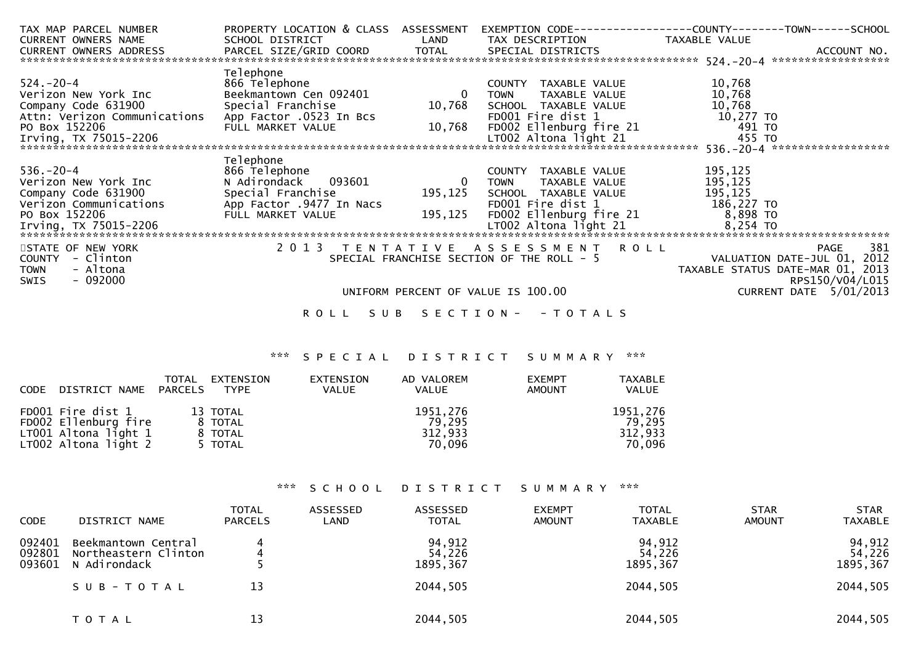| TAX MAP PARCEL NUMBER      |                          |                            |                                                                                                                        | PROPERTY LOCATION & CLASS ASSESSMENT EXEMPTION CODE----------------COUNTY-------TOWN------SCHOOL |
|----------------------------|--------------------------|----------------------------|------------------------------------------------------------------------------------------------------------------------|--------------------------------------------------------------------------------------------------|
| <b>CURRENT OWNERS NAME</b> | SCHOOL DISTRICT          | <b>Example 18 The LAND</b> | TAX DESCRIPTION TAXABLE VALUE                                                                                          |                                                                                                  |
|                            |                          |                            |                                                                                                                        |                                                                                                  |
|                            |                          |                            |                                                                                                                        |                                                                                                  |
|                            | Telephone                |                            |                                                                                                                        |                                                                                                  |
| 524.-20-4                  | 866 Telephone            |                            | COUNTY TAXABLE VALUE                                                                                                   | 10,768                                                                                           |
| Verizon New York Inc       | Beekmantown Cen 092401   | $\overline{\phantom{0}}$   | TAXABLE VALUE<br>TOWN                                                                                                  | 10,768                                                                                           |
| Company Code 631900        |                          | 10,768                     | SCHOOL TAXABLE VALUE                                                                                                   | 10,768                                                                                           |
|                            |                          |                            | >CHOOL TAXABLE WILLET<br>FDOO1 Fire dist 1 10,277 TO<br>FDOO2 Ellenburg fire 21 1991 TO<br>Toop Altona light 21 155 TO |                                                                                                  |
| PO Box 152206              | FULL MARKET VALUE        | 10,768                     |                                                                                                                        |                                                                                                  |
| Irving, TX 75015-2206      |                          |                            |                                                                                                                        |                                                                                                  |
|                            |                          |                            |                                                                                                                        |                                                                                                  |
|                            | Telephone                |                            |                                                                                                                        |                                                                                                  |
| $536. - 20 - 4$            | 866 Telephone            |                            | COUNTY TAXABLE VALUE                                                                                                   | 195,125                                                                                          |
| Verizon New York Inc       | N Adirondack 093601      | $\overline{\mathbf{0}}$    | TAXABLE VALUE<br>TOWN                                                                                                  | 195,125                                                                                          |
| Company Code 631900        | Special Franchise        | 195,125                    | SCHOOL TAXABLE VALUE                                                                                                   | 195, 125                                                                                         |
| Verizon Communications     | App Factor .9477 In Nacs |                            | FD001 Fire dist 1<br>FD002 Ellenburg fire 21 186,227 TO<br>1.7002 Altona light 21 18,254 TO                            |                                                                                                  |
| PO Box 152206              | FULL MARKET VALUE        | 195,125                    |                                                                                                                        |                                                                                                  |
|                            |                          |                            |                                                                                                                        |                                                                                                  |
|                            |                          |                            |                                                                                                                        |                                                                                                  |
| STATE OF NEW YORK          |                          |                            | 2013 TENTATIVE ASSESSMENT ROLL                                                                                         | 381<br>PAGE                                                                                      |
| - Clinton<br>COUNTY        |                          |                            | SPECIAL FRANCHISE SECTION OF THE ROLL - 5                                                                              | VALUATION DATE-JUL 01, 2012                                                                      |
| - Altona<br><b>TOWN</b>    |                          |                            |                                                                                                                        | TAXABLE STATUS DATE-MAR 01, 2013                                                                 |
| $-092000$<br>SWIS          |                          |                            |                                                                                                                        | RPS150/V04/L015                                                                                  |
|                            |                          |                            | UNIFORM PERCENT OF VALUE IS 100.00                                                                                     | CURRENT DATE 5/01/2013                                                                           |
|                            | R O L L                  |                            | SUB SECTION - - TOTALS                                                                                                 |                                                                                                  |

# \*\*\* S P E C I A L D I S T R I C T S U M M A R Y \*\*\*

| CODE | DISTRICT NAME PARCELS                                                                       | TOTAL | EXTENSION<br><b>TYPE</b>                  | EXTENSION<br><b>VALUE</b> | AD VALOREM<br><b>VALUE</b>              | <b>EXEMPT</b><br><b>AMOUNT</b> | <b>TAXABLE</b><br><b>VALUE</b>          |
|------|---------------------------------------------------------------------------------------------|-------|-------------------------------------------|---------------------------|-----------------------------------------|--------------------------------|-----------------------------------------|
|      | FD001 Fire dist 1<br>FD002 Ellenburg fire<br>$LT001$ Altona light 1<br>LT002 Altona light 2 |       | 13 TOTAL<br>8 TOTAL<br>8 TOTAL<br>5 TOTAL |                           | 1951,276<br>79.295<br>312,933<br>70.096 |                                | 1951,276<br>79.295<br>312,933<br>70,096 |

# \*\*\* S C H O O L D I S T R I C T S U M M A R Y \*\*\*

| <b>CODE</b>                | DISTRICT NAME                                                            | <b>TOTAL</b><br><b>PARCELS</b> | ASSESSED<br>LAND | <b>ASSESSED</b><br><b>TOTAL</b>          | <b>EXEMPT</b><br><b>AMOUNT</b> | <b>TOTAL</b><br><b>TAXABLE</b>           | <b>STAR</b><br><b>AMOUNT</b> | <b>STAR</b><br><b>TAXABLE</b>             |
|----------------------------|--------------------------------------------------------------------------|--------------------------------|------------------|------------------------------------------|--------------------------------|------------------------------------------|------------------------------|-------------------------------------------|
| 092401<br>092801<br>093601 | Beekmantown Central<br>Northeastern Clinton<br>N Adirondack<br>SUB-TOTAL | 13                             |                  | 94,912<br>54,226<br>1895,367<br>2044,505 |                                | 94,912<br>54,226<br>1895,367<br>2044,505 |                              | 94,912<br>54,226<br>1895, 367<br>2044,505 |
|                            | T O T A L                                                                | 13                             |                  | 2044,505                                 |                                | 2044,505                                 |                              | 2044,505                                  |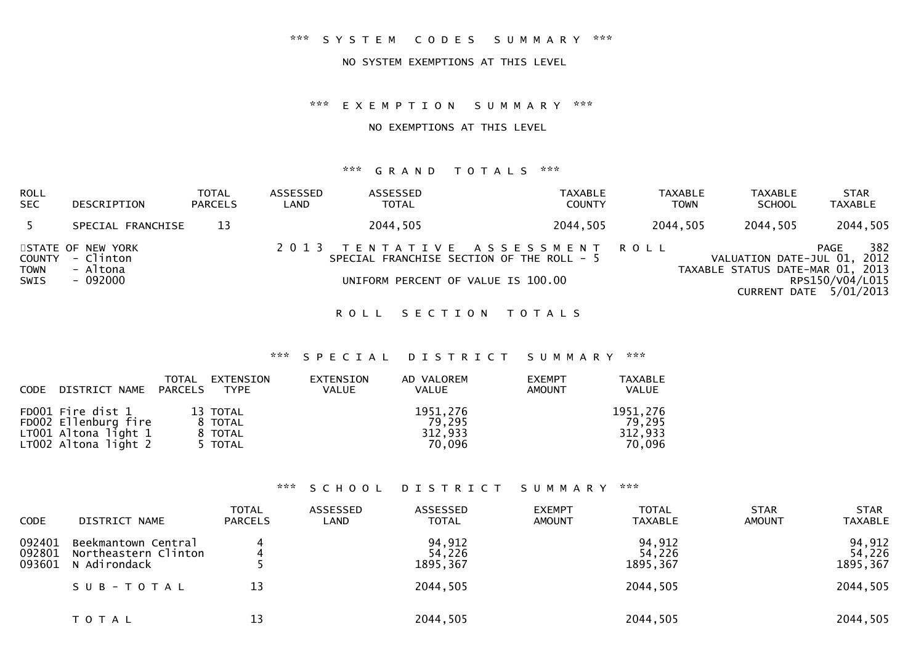#### \*\*\* S Y S T E M C O D E S S U M M A R Y \*\*\*

#### NO SYSTEM EXEMPTIONS AT THIS LEVEL

#### \*\*\* E X E M P T I O N S U M M A R Y \*\*\*

#### NO EXEMPTIONS AT THIS LEVEL

#### \*\*\* G R A N D T O T A L S \*\*\*

| ROLL<br>SEC                   | DESCRIPTION                                            | <b>TOTAL</b><br><b>PARCELS</b> | ASSESSED<br>LAND | ASSESSED<br><b>TOTAL</b>                                                                                          | TAXABLE<br><b>COUNTY</b> | TAXABLE<br>TOWN | TAXABLE<br><b>SCHOOL</b>                                        | <b>STAR</b><br><b>TAXABLE</b>                            |
|-------------------------------|--------------------------------------------------------|--------------------------------|------------------|-------------------------------------------------------------------------------------------------------------------|--------------------------|-----------------|-----------------------------------------------------------------|----------------------------------------------------------|
|                               | SPECIAL FRANCHISE                                      | 13                             |                  | 2044,505                                                                                                          | 2044,505                 | 2044,505        | 2044,505                                                        | 2044,505                                                 |
| COUNTY<br><b>TOWN</b><br>SWIS | STATE OF NEW YORK<br>- Clinton<br>- Altona<br>- 092000 |                                |                  | 2013 TENTATIVE ASSESSMENT ROLL<br>SPECIAL FRANCHISE SECTION OF THE ROLL - 5<br>UNIFORM PERCENT OF VALUE IS 100.00 |                          |                 | VALUATION DATE-JUL 01, 2012<br>TAXABLE STATUS DATE-MAR 01, 2013 | 382<br>PAGE<br>RPS150/V04/L015<br>CURRENT DATE 5/01/2013 |

ROLL SECTION TOTALS

# \*\*\* S P E C I A L D I S T R I C T S U M M A R Y \*\*\*

| <b>CODE</b> | DISTRICT NAME                                                                             | TOTAL<br>PARCELS | EXTENSION<br>TYPE                         | EXTENSION<br><b>VALUE</b> | AD VALOREM<br><b>VALUE</b>              | <b>EXEMPT</b><br><b>AMOUNT</b> | TAXABLE<br><b>VALUE</b>                 |
|-------------|-------------------------------------------------------------------------------------------|------------------|-------------------------------------------|---------------------------|-----------------------------------------|--------------------------------|-----------------------------------------|
|             | FD001 Fire dist 1<br>FD002 Ellenburg fire<br>LT001 Altona light 1<br>LT002 Altona light 2 |                  | 13 TOTAL<br>8 TOTAL<br>8 TOTAL<br>5 TOTAL |                           | 1951,276<br>79.295<br>312,933<br>70.096 |                                | 1951,276<br>79,295<br>312,933<br>70.096 |

#### \*\*\* S C H O O L D I S T R I C T S U M M A R Y \*\*\*

| <b>CODE</b>                | DISTRICT NAME                                               | <b>TOTAL</b><br><b>PARCELS</b> | ASSESSED<br>LAND | ASSESSED<br><b>TOTAL</b>     | <b>EXEMPT</b><br><b>AMOUNT</b> | <b>TOTAL</b><br><b>TAXABLE</b> | <b>STAR</b><br><b>AMOUNT</b> | <b>STAR</b><br><b>TAXABLE</b> |
|----------------------------|-------------------------------------------------------------|--------------------------------|------------------|------------------------------|--------------------------------|--------------------------------|------------------------------|-------------------------------|
| 092401<br>092801<br>093601 | Beekmantown Central<br>Northeastern Clinton<br>N Adirondack |                                |                  | 94,912<br>54,226<br>1895,367 |                                | 94,912<br>54,226<br>1895, 367  |                              | 94,912<br>54,226<br>1895, 367 |
|                            | SUB-TOTAL                                                   | 13                             |                  | 2044,505                     |                                | 2044,505                       |                              | 2044,505                      |
|                            | T O T A L                                                   | 13                             |                  | 2044,505                     |                                | 2044,505                       |                              | 2044,505                      |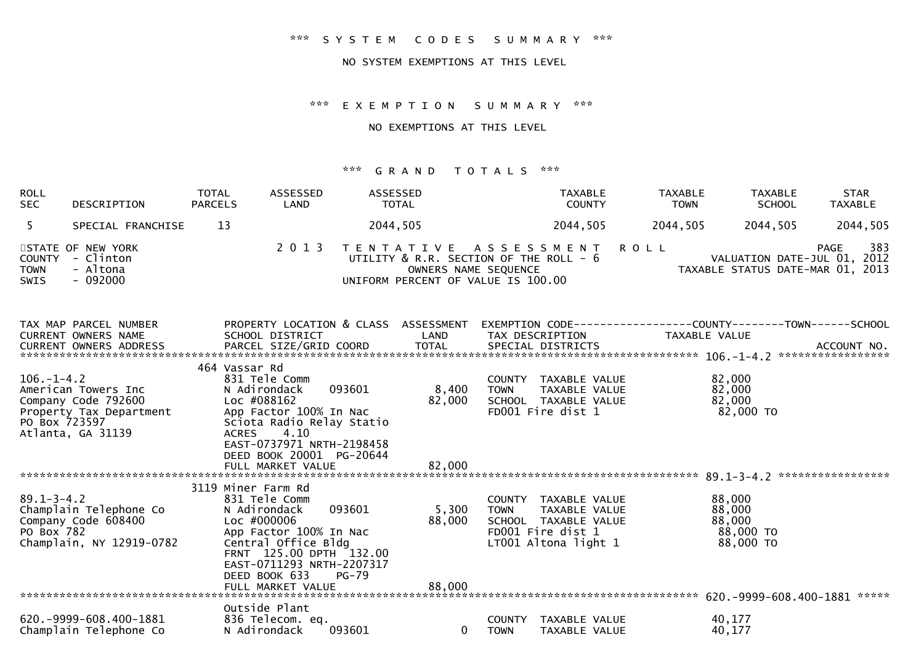## \*\*\* S Y S T E M C O D E S S U M M A R Y \*\*\*

#### NO SYSTEM EXEMPTIONS AT THIS LEVEL

#### \*\*\* E X E M P T I O N S U M M A R Y \*\*\*

#### NO EXEMPTIONS AT THIS LEVEL

#### \*\*\* G R A N D T O T A L S \*\*\*

| <b>ROLL</b><br><b>SEC</b>  | DESCRIPTION                                                   | <b>TOTAL</b><br><b>PARCELS</b> | ASSESSED<br>LAND | ASSESSED<br><b>TOTAL</b>           | TAXABLE<br><b>COUNTY</b>                                                                         | TAXABLE<br><b>TOWN</b> | <b>TAXABLE</b><br><b>SCHOOL</b>                                 | <b>STAR</b><br><b>TAXABLE</b> |
|----------------------------|---------------------------------------------------------------|--------------------------------|------------------|------------------------------------|--------------------------------------------------------------------------------------------------|------------------------|-----------------------------------------------------------------|-------------------------------|
|                            | SPECIAL FRANCHISE                                             | 13                             |                  | 2044,505                           | 2044,505                                                                                         | 2044,505               | 2044.505                                                        | 2044,505                      |
| <b>TOWN</b><br><b>SWIS</b> | STATE OF NEW YORK<br>COUNTY - Clinton<br>- Altona<br>- 092000 |                                |                  | UNIFORM PERCENT OF VALUE IS 100.00 | 2013 TENTATIVE ASSESSMENT ROLL<br>UTILITY & R.R. SECTION OF THE ROLL - 6<br>OWNERS NAME SEQUENCE |                        | VALUATION DATE-JUL 01, 2012<br>TAXABLE STATUS DATE-MAR 01, 2013 | 383<br>PAGE                   |

| TAX MAP PARCEL NUMBER      | PROPERTY LOCATION & CLASS ASSESSMENT |              |                                | -TOWN------SCHOOL |
|----------------------------|--------------------------------------|--------------|--------------------------------|-------------------|
| <b>CURRENT OWNERS NAME</b> | SCHOOL DISTRICT                      | LAND         | TAX DESCRIPTION                | TAXABLE VALUE     |
| CURRENT OWNERS ADDRESS     | PARCEL SIZE/GRID COORD               | <b>TOTAL</b> | SPECIAL DISTRICTS              | ACCOUNT NO.       |
|                            |                                      |              |                                | ***************** |
|                            | 464 Vassar Rd                        |              |                                |                   |
| $106. - 1 - 4.2$           | 831 Tele Comm                        |              | TAXABLE VALUE<br>COUNTY        | 82,000            |
| American Towers Inc        | 093601<br>N Adirondack               | 8,400        | <b>TOWN</b><br>TAXABLE VALUE   | 82,000            |
| Company Code 792600        | Loc #088162                          | 82,000       | SCHOOL TAXABLE VALUE           | 82,000            |
| Property Tax Department    | App Factor 100% In Nac               |              | FD001 Fire dist 1              | 82,000 TO         |
| PO Box 723597              | Sciota Radio Relay Statio            |              |                                |                   |
| Atlanta, GA 31139          | 4.10<br><b>ACRES</b>                 |              |                                |                   |
|                            | EAST-0737971 NRTH-2198458            |              |                                |                   |
|                            | DEED BOOK 20001 PG-20644             |              |                                |                   |
|                            | FULL MARKET VALUE                    | 82,000       |                                |                   |
|                            |                                      |              |                                | ***************** |
|                            | 3119 Miner Farm Rd                   |              |                                |                   |
| $89.1 - 3 - 4.2$           | 831 Tele Comm                        |              | TAXABLE VALUE<br>COUNTY        | 88,000            |
| Champlain Telephone Co     | 093601<br>N Adirondack               | 5,300        | TAXABLE VALUE<br><b>TOWN</b>   | 88,000            |
| Company Code 608400        | Loc #000006                          | 88,000       | SCHOOL TAXABLE VALUE           | 88,000            |
| PO Box 782                 | App Factor 100% In Nac               |              | FD001 Fire dist 1              | 88,000 TO         |
| Champlain, NY 12919-0782   | Central Office Bldg                  |              | LT001 Altona light 1           | 88,000 TO         |
|                            | FRNT 125.00 DPTH 132.00              |              |                                |                   |
|                            | EAST-0711293 NRTH-2207317            |              |                                |                   |
|                            |                                      |              |                                |                   |
|                            | DEED BOOK 633<br><b>PG-79</b>        |              |                                |                   |
|                            | FULL MARKET VALUE                    | 88,000       |                                |                   |
|                            |                                      |              |                                | *****             |
|                            | Outside Plant                        |              |                                |                   |
| 620. -9999-608.400-1881    | 836 Telecom. eq.                     |              | <b>COUNTY</b><br>TAXABLE VALUE | 40,177            |
| Champlain Telephone Co     | 093601<br>N Adirondack               | $\Omega$     | TAXABLE VALUE<br><b>TOWN</b>   | 40,177            |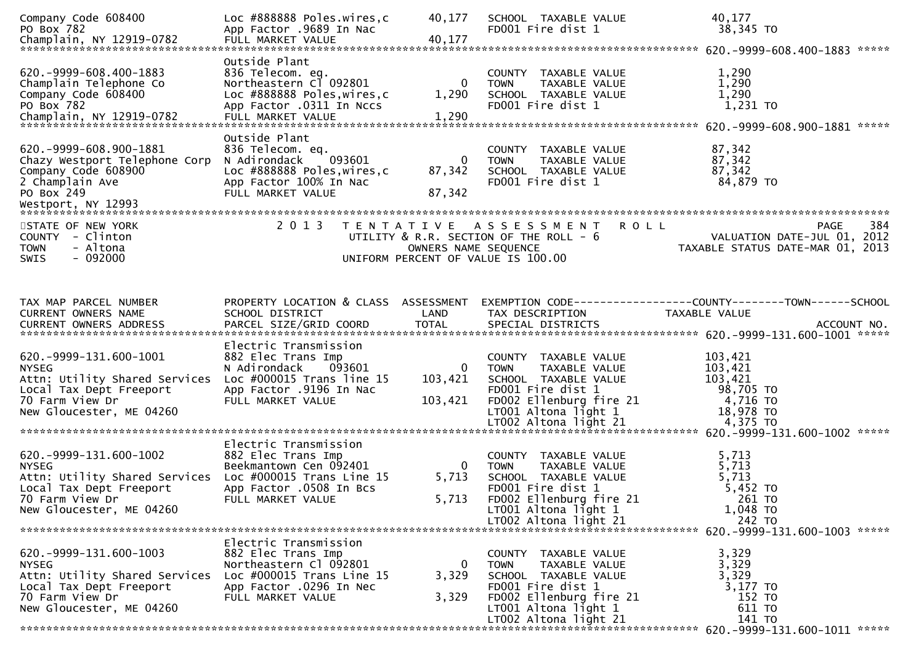| Company Code 608400<br>PO Box 782                                                                                                                        | Loc #888888 Poles.wires.c<br>App Factor .9689 In Nac                                                                                                  | 40,177                           | SCHOOL TAXABLE VALUE<br>FD001 Fire dist 1                                                                                                              | 40,177<br>38,345 TO                                                           |     |
|----------------------------------------------------------------------------------------------------------------------------------------------------------|-------------------------------------------------------------------------------------------------------------------------------------------------------|----------------------------------|--------------------------------------------------------------------------------------------------------------------------------------------------------|-------------------------------------------------------------------------------|-----|
| 620. -9999-608.400-1883<br>Champlain Telephone Co<br>Company Code 608400<br>PO Box 782<br>Champlain, NY 12919-0782                                       | Outside Plant<br>836 Telecom. eq.<br>Northeastern Cl 092801<br>Loc #888888 Poles, wires, c<br>App Factor .0311 In Nccs<br>FULL MARKET VALUE           | 1,290<br>1,290                   | COUNTY TAXABLE VALUE<br><b>TOWN</b><br>TAXABLE VALUE<br>SCHOOL TAXABLE VALUE<br>FD001 Fire dist 1                                                      | 1,290<br>1,290<br>1,290<br>1,231 TO                                           |     |
| 620. - 9999 - 608. 900 - 1881<br>Chazy Westport Telephone Corp<br>Company Code 608900<br>2 Champlain Ave<br>PO Box 249                                   | Outside Plant<br>836 Telecom. eq.<br>N Adirondack<br>093601<br>Loc #888888 Poles, wires, c<br>App Factor 100% In Nac<br>FULL MARKET VALUE             | $\mathbf{0}$<br>87,342<br>87,342 | COUNTY TAXABLE VALUE<br><b>TOWN</b><br><b>TAXABLE VALUE</b><br>SCHOOL TAXABLE VALUE<br>FD001 Fire dist 1                                               | 87,342<br>87,342<br>87,342<br>84,879 TO                                       |     |
| STATE OF NEW YORK<br>COUNTY - Clinton<br><b>TOWN</b><br>- Altona<br>$-092000$<br>SWIS                                                                    | 2 0 1 3                                                                                                                                               | OWNERS NAME SEQUENCE             | <b>ROLL</b><br>TENTATIVE ASSESSMENT<br>UTILITY & R.R. SECTION OF THE ROLL - 6<br>UNIFORM PERCENT OF VALUE IS 100.00                                    | PAGE<br>VALUATION DATE-JUL 01, 2012<br>TAXABLE STATUS DATE-MAR 01, 2013       | 384 |
| TAX MAP PARCEL NUMBER<br>CURRENT OWNERS NAME                                                                                                             | PROPERTY LOCATION & CLASS ASSESSMENT<br>SCHOOL DISTRICT                                                                                               | LAND                             | TAX DESCRIPTION                                                                                                                                        | EXEMPTION CODE-----------------COUNTY-------TOWN------SCHOOL<br>TAXABLE VALUE |     |
| 620. - 9999 - 131. 600 - 1001<br><b>NYSEG</b><br>Attn: Utility Shared Services<br>Local Tax Dept Freeport<br>70 Farm View Dr<br>New Gloucester, ME 04260 | Electric Transmission<br>882 Elec Trans Imp<br>N Adirondack<br>093601<br>Loc $\#000015$ Trans line 15<br>App Factor .9196 In Nac<br>FULL MARKET VALUE | 0<br>103,421<br>103,421          | COUNTY TAXABLE VALUE<br>TAXABLE VALUE<br><b>TOWN</b><br>SCHOOL TAXABLE VALUE<br>FD001 Fire dist 1<br>FD002 Ellenburg fire 21<br>$LT001$ Altona light 1 | 103,421<br>103,421<br>103,421<br>98,705 TO<br>4,716 TO<br>18,978 TO           |     |
| 620. -9999-131. 600-1002<br><b>NYSEG</b><br>Attn: Utility Shared Services<br>Local Tax Dept Freeport<br>70 Farm View Dr<br>New Gloucester, ME 04260      | Electric Transmission<br>882 Elec Trans Imp<br>Beekmantown Cen 092401<br>Loc $\#000015$ Trans Line 15<br>App Factor .0508 In Bcs<br>FULL MARKET VALUE | $\Omega$<br>5,713<br>5,713       | COUNTY TAXABLE VALUE<br>TAXABLE VALUE<br><b>TOWN</b><br>SCHOOL TAXABLE VALUE<br>FD001 Fire dist 1<br>FD002 Ellenburg fire 21<br>LT001 Altona light 1   | 5,713<br>5,713<br>5,713<br>5,452 TO<br>261 TO<br>1,048 TO                     |     |
| 620. -9999-131.600-1003                                                                                                                                  | Electric Transmission<br>882 Elec Trans Imp                                                                                                           |                                  | COUNTY TAXABLE VALUE                                                                                                                                   | 3,329                                                                         |     |
| <b>NYSEG</b><br>Attn: Utility Shared Services Loc #000015 Trans Line 15<br>Local Tax Dept Freeport<br>70 Farm View Dr<br>New Gloucester, ME 04260        | Northeastern Cl 092801<br>App Factor .0296 In Nec<br>FULL MARKET VALUE                                                                                | 0<br>3,329<br>3,329              | TAXABLE VALUE<br><b>TOWN</b><br>SCHOOL TAXABLE VALUE<br>FD001 Fire dist 1<br>FD002 Ellenburg fire 21<br>LT001 Altona light 1                           | 3,329<br>3,329<br>3,177 TO<br>152 TO<br>611 TO                                |     |
|                                                                                                                                                          |                                                                                                                                                       |                                  |                                                                                                                                                        |                                                                               |     |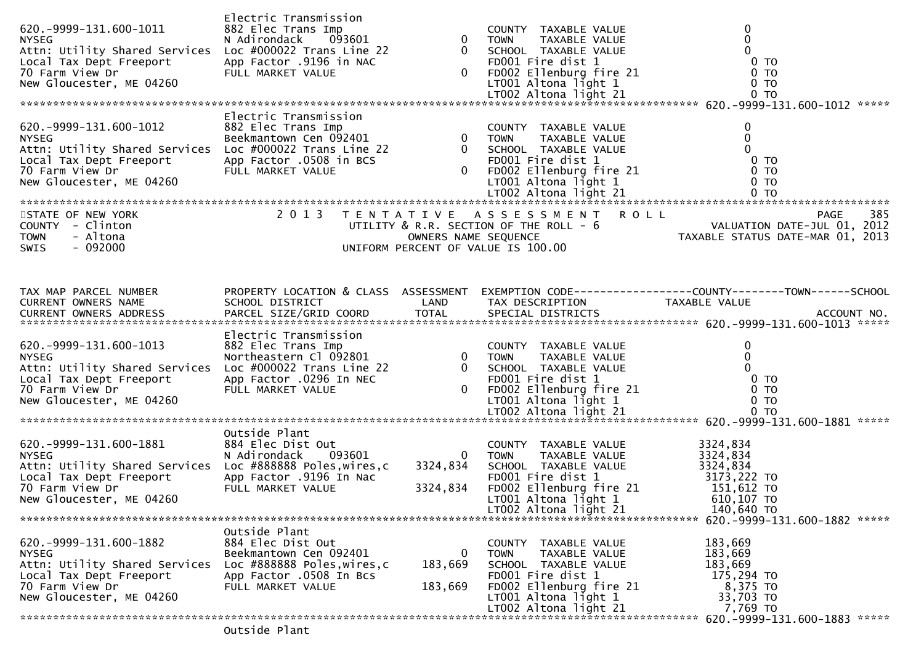| 620. - 9999 - 131. 600 - 1011<br><b>NYSEG</b><br>Attn: Utility Shared Services<br>Local Tax Dept Freeport<br>70 Farm View Dr<br>New Gloucester, ME 04260                                                                                                                                                                                                                                                                                      | Electric Transmission<br>882 Elec Trans Imp<br>093601<br>N Adirondack<br>N Adironaack שטכפט<br>Loc #000022 Trans Line 22<br>App Factor .9196 in NAC<br>היי אסטכ <del>ב</del> אינוב<br>FULL MARKET VALUE |                         | COUNTY TAXABLE VALUE<br>0 0 TOWN TAXABLE VALUE<br>0 SCHOOL TAXABLE VALUE<br>0 FDO01 Fire dist 1 0 TO02 Ellenburg fire 21 0 TO02 Altona light 1 0 TO02 Altona light 21 0 TO02 Altona light 21 0 TO                                        | $\mathbf 0$                                                                                                                                                                                                                                                                                                                              |
|-----------------------------------------------------------------------------------------------------------------------------------------------------------------------------------------------------------------------------------------------------------------------------------------------------------------------------------------------------------------------------------------------------------------------------------------------|---------------------------------------------------------------------------------------------------------------------------------------------------------------------------------------------------------|-------------------------|------------------------------------------------------------------------------------------------------------------------------------------------------------------------------------------------------------------------------------------|------------------------------------------------------------------------------------------------------------------------------------------------------------------------------------------------------------------------------------------------------------------------------------------------------------------------------------------|
| 620.-9999-131.600-1012 882 Electric Transmission<br>NYSEG<br>Reekmantown Cen 092401 0 TOWN TAXABLE VALUE<br>Reekmantown Cen 092401 0 TOWN TAXABLE VALUE<br>Local Tax Dept Freeport App Factor .0508 in BCS 60001 Fire dist 1<br>TO Farm<br>Local Tax Dept Freeport<br>70 Farm View Dr<br>New Cloucester, ME 04260<br>New Gloucester, ME 04260<br>STATE OF NEW YORK<br>COUNTY - Clinton<br><b>TOWN</b><br>- Altona<br>$-092000$<br><b>SWIS</b> | Electric Transmission                                                                                                                                                                                   |                         | 0 SCHOOL TAXABLE VALUE<br>FD001 Fire dist 1<br>0 FD002 Ellenburg fire 21<br>LT001 Altona light 1<br>2013 TENTATIVE ASSESSMENT ROLL                                                                                                       | $\mathbf 0$<br>$\mathbf 0$<br>$\Omega$<br>0 <sub>T</sub><br>0 TO<br>0 <sub>T</sub><br>UTILITY & R.R. SECTION OF THE ROLL - 6<br>UNIFORM PERCENT OF VALUATION DATE-JUL 01, 2012<br>UNIFORM PERCENT OF VALUE IS 100.00                                                                                                                     |
| TAX MAP PARCEL NUMBER                                                                                                                                                                                                                                                                                                                                                                                                                         |                                                                                                                                                                                                         |                         |                                                                                                                                                                                                                                          | PROPERTY LOCATION & CLASS ASSESSMENT EXEMPTION CODE----------------COUNTY-------TOWN------SCHOOL<br>1 AX MAP PARCEL NUMBERS AND PROPERTT LUCATION & CLASS ASSESSMENT CARRITION TAX DESCRIPTION TAXABLE VALUE<br>CURRENT OWNERS NAME SCHOOL DISTRICT LAND TAX DESCRIPTION TAXABLE VALUE ACCOUNT NO.<br>CURRENT OWNERS ADDRESS PARCEL SIZE |
| 620. -9999-131. 600-1013<br><b>NYSEG</b><br>Attn: Utility Shared Services<br>Local Tax Dept Freeport<br>70 Farm View Dr<br>New Gloucester, ME 04260                                                                                                                                                                                                                                                                                           |                                                                                                                                                                                                         |                         | Electric Transmission<br>882 Electric Transmission<br>Northeastern Cl 092801 0 TOWN TAXABLE VALUE 0<br>Loc #000022 Trans Line 22 0 SCHOOL TAXABLE VALUE 0<br>App Factor .0296 In NEC FD001 Fire dist 1 0 TO<br>FULL MARKET VALUE 0 FD002 |                                                                                                                                                                                                                                                                                                                                          |
| 620. -9999-131. 600-1881<br><b>NYSEG</b><br>Attn: Utility Shared Services Loc #888888 Poles, wires, c<br>Local Tax Dept Freeport<br>70 Farm View Dr<br>New Gloucester, ME 04260                                                                                                                                                                                                                                                               | Outside Plant<br>884 Elec Dist Out<br>Out<br>093601<br>N Adirondack<br>App Factor .9196 In Nac<br>FULL MARKET VALUE                                                                                     | 3324,834<br>3324,834    | COUNTY TAXABLE VALUE<br>0 TOWN TAXABLE VALUE<br>SCHOOL TAXABLE VALUE<br>POOL FITE dist 1<br>FDOO2 Ellenburg fire 21<br>LTOO1 Altona light 1<br>LTOO2 Altona light 1<br>LT002 Altona light 21                                             | 3324,834<br>3324,834<br>3324,834<br>3173,222 TO<br>151,612 TO<br>$610, 107$ TO<br>140,640 TO                                                                                                                                                                                                                                             |
| 620. -9999-131. 600-1882<br><b>NYSEG</b><br>Attn: Utility Shared Services<br>Local Tax Dept Freeport<br>70 Farm View Dr<br>New Gloucester, ME 04260                                                                                                                                                                                                                                                                                           | Outside Plant<br>884 Elec Dist Out<br>Beekmantown Cen 092401<br>Loc #888888 Poles, wires, c<br>App Factor .0508 In Bcs<br>FULL MARKET VALUE                                                             | 0<br>183,669<br>183,669 | COUNTY TAXABLE VALUE<br>TAXABLE VALUE<br><b>TOWN</b><br>SCHOOL TAXABLE VALUE<br>FD001 Fire dist 1<br>FD002 Ellenburg fire 21<br>LT001 Altona light 1<br>LT002 Altona light 21                                                            | 183,669<br>183,669<br>183,669<br>175,294 TO<br>8,375 TO<br>33,703 TO<br>7,769 TO                                                                                                                                                                                                                                                         |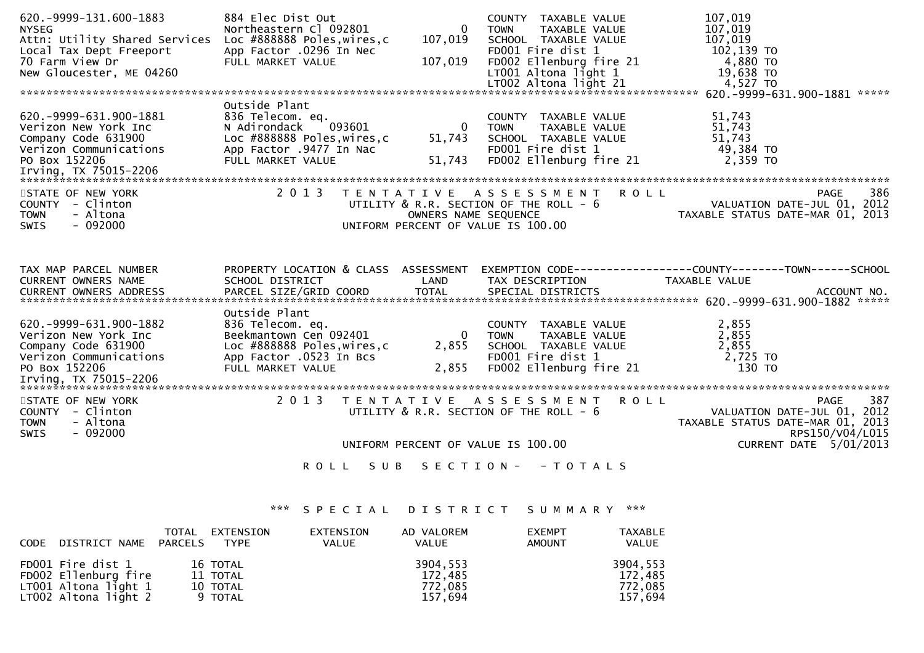| 620. - 9999 - 131. 600 - 1883<br><b>NYSEG</b><br>Attn: Utility Shared Services<br>Local Tax Dept Freeport<br>70 Farm View Dr<br>New Gloucester, ME 04260 | 884 Elec Dist Out<br>Northeastern Cl 092801<br>Loc #888888 Poles,wires,c<br>App Factor .0296 In Nec<br>FULL MARKET VALUE  | $\overline{0}$<br>107,019<br>107,019 | COUNTY TAXABLE VALUE<br>TAXABLE VALUE<br>TOWN<br>SCHOOL TAXABLE VALUE<br>FD001 Fire dist 1<br>FD002 Ellenburg fire 21<br>$LT001$ Altona light 1 | 107,019<br>107,019<br>107,019<br>102,139 TO<br>4,880 TO<br>19,638 TO<br>19,638 TO<br>4,527 TO                                                      |  |
|----------------------------------------------------------------------------------------------------------------------------------------------------------|---------------------------------------------------------------------------------------------------------------------------|--------------------------------------|-------------------------------------------------------------------------------------------------------------------------------------------------|----------------------------------------------------------------------------------------------------------------------------------------------------|--|
| 620. - 9999 - 631. 900 - 1881<br>Verizon New York Inc<br>Company Code 631900<br>Verizon Communications App Factor .9477 In Nac<br>PO Box 152206          | Outside Plant<br>836 Telecom. eq.<br>N Adirondack<br>093601<br>Loc #888888 Poles,wires,c<br>FULL MARKET VALUE             | $\overline{0}$<br>51,743<br>51,743   | COUNTY TAXABLE VALUE<br><b>TOWN</b><br>TOWN      TAXABLE VALUE<br>SCHOOL   TAXABLE VALUE<br>FD001 Fire dist 1<br>FD002 Ellenburg fire 21        | 51,743<br>51,743<br>51,743<br>49,384 TO<br>2,359 TO                                                                                                |  |
| STATE OF NEW YORK<br>COUNTY - Clinton<br>- Altona<br><b>TOWN</b><br>$-092000$<br>SWIS                                                                    | 2 0 1 3                                                                                                                   | T E N T A T I V E                    | A S S E S S M E N T R O L L                                                                                                                     | 386<br><b>PAGE</b><br>PAGE 386<br>PAGE 386 PAGE 386<br>OWNERS NAME SEQUENCE TAXABLE STATUS DATE-MAR 01, 2013<br>UNIFORM PERCENT OF VALUE IS 100.00 |  |
| TAX MAP PARCEL NUMBER<br>CURRENT OWNERS NAME                                                                                                             | SCHOOL DISTRICT<br>Outside Plant                                                                                          | LAND                                 | TAX DESCRIPTION                                                                                                                                 | PROPERTY LOCATION & CLASS ASSESSMENT EXEMPTION CODE----------------COUNTY-------TOWN------SCHOOL<br>TAXABLE VALUE                                  |  |
| 620. -9999-631.900-1882<br>Verizon New York Inc<br>Company Code 631900<br>Verizon Communications<br>PO Box 152206                                        | 836 Telecom. eq.<br>Beekmantown Cen 092401<br>Loc #888888 Poles, wires, c<br>App Factor .0523 In Bcs<br>FULL MARKET VALUE | 0 TOWN<br>2,855<br>2,855             | COUNTY TAXABLE VALUE<br>TOWN     TAXABLE VALUE<br>SCHOOL   TAXABLE  VALUE<br>FD001 Fire dist 1<br>FD002 Ellenburg fire 21                       | 2,855<br>2,855<br>2,855<br>2,725 TO<br>130 то                                                                                                      |  |
| STATE OF NEW YORK<br>COUNTY - Clinton<br>- Altona<br><b>TOWN</b><br>$-092000$<br><b>SWIS</b>                                                             | 2 0 1 3<br>S U B<br><b>ROLL</b>                                                                                           |                                      | TENTATIVE ASSESSMENT ROLL<br>UTILITY $\&$ R.R. SECTION OF THE ROLL - $6$<br>UNIFORM PERCENT OF VALUE IS 100.00<br>SECTION - - TOTALS            | 387<br><b>PAGE</b><br>VALUATION DATE-JUL 01, 2012<br>TAXABLE STATUS DATE-MAR 01, 2013<br>RPS150/V04/L015<br>CURRENT DATE 5/01/2013                 |  |

# \*\*\* S P E C I A L D I S T R I C T S U M M A R Y \*\*\*

| CODE | DISTRICT NAME                                                                               | TOTAL<br>PARCELS | EXTENSION<br>TYPE                           | EXTENSION<br><b>VALUE</b> | AD VALOREM<br><b>VALUE</b>                | <b>EXEMPT</b><br><b>AMOUNT</b> | TAXABLE<br><b>VALUE</b>                   |
|------|---------------------------------------------------------------------------------------------|------------------|---------------------------------------------|---------------------------|-------------------------------------------|--------------------------------|-------------------------------------------|
|      | FD001 Fire dist 1<br>FD002 Ellenburg fire<br>LT001 Altona light $1$<br>LT002 Altona light 2 |                  | 16 TOTAL<br>11 TOTAL<br>10 TOTAL<br>9 TOTAL |                           | 3904,553<br>172,485<br>772,085<br>157,694 |                                | 3904,553<br>172,485<br>772,085<br>157,694 |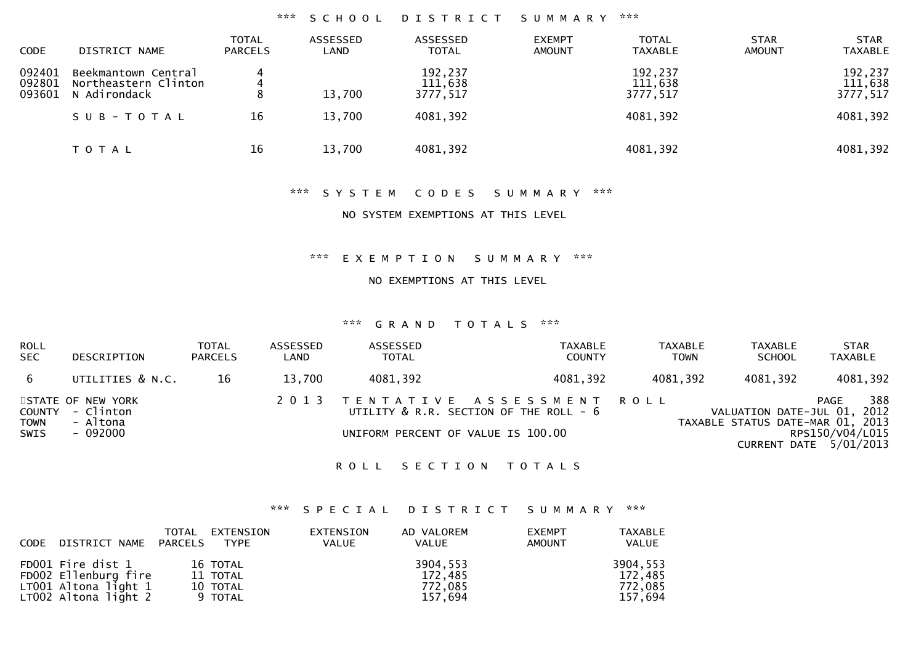#### \*\*\* S C H O O L D I S T R I C T S U M M A R Y \*\*\*

| <b>CODE</b>                | DISTRICT NAME                                                            | <b>TOTAL</b><br><b>PARCELS</b> | ASSESSED<br>LAND | ASSESSED<br><b>TOTAL</b>                   | <b>EXEMPT</b><br><b>AMOUNT</b> | <b>TOTAL</b><br><b>TAXABLE</b>             | <b>STAR</b><br><b>AMOUNT</b> | <b>STAR</b><br><b>TAXABLE</b>              |
|----------------------------|--------------------------------------------------------------------------|--------------------------------|------------------|--------------------------------------------|--------------------------------|--------------------------------------------|------------------------------|--------------------------------------------|
| 092401<br>092801<br>093601 | Beekmantown Central<br>Northeastern Clinton<br>N Adirondack<br>SUB-TOTAL | 4<br>4<br>16                   | 13,700<br>13,700 | 192,237<br>111,638<br>3777,517<br>4081,392 |                                | 192,237<br>111,638<br>3777,517<br>4081,392 |                              | 192,237<br>111,638<br>3777,517<br>4081,392 |
|                            | T O T A L                                                                | 16                             | 13,700           | 4081,392                                   |                                | 4081,392                                   |                              | 4081,392                                   |

## \*\*\* S Y S T E M C O D E S S U M M A R Y \*\*\*

#### NO SYSTEM EXEMPTIONS AT THIS LEVEL

\*\*\* E X E M P T I O N S U M M A R Y \*\*\*

NO EXEMPTIONS AT THIS LEVEL

#### \*\*\* G R A N D T O T A L S \*\*\*

| <b>ROLL</b><br><b>SEC</b> | DESCRIPTION                                       | <b>TOTAL</b><br><b>PARCELS</b> | ASSESSED<br>LAND | ASSESSED<br><b>TOTAL</b> | TAXABLE<br><b>COUNTY</b>                                            | <b>TAXABLE</b><br><b>TOWN</b> | TAXABLE<br><b>SCHOOL</b>                                        | <b>STAR</b><br><b>TAXABLE</b>               |
|---------------------------|---------------------------------------------------|--------------------------------|------------------|--------------------------|---------------------------------------------------------------------|-------------------------------|-----------------------------------------------------------------|---------------------------------------------|
| 6                         | UTILITIES & N.C.                                  | 16                             | 13.700           | 4081,392                 | 4081,392                                                            | 4081,392                      | 4081,392                                                        | 4081,392                                    |
| <b>TOWN</b>               | STATE OF NEW YORK<br>COUNTY - Clinton<br>- Altona |                                | 2 0 1 3          |                          | TENTATIVE ASSESSMENT ROLL<br>UTILITY & R.R. SECTION OF THE ROLL - 6 |                               | VALUATION DATE-JUL 01, 2012<br>TAXABLE STATUS DATE-MAR 01, 2013 | 388<br>PAGE                                 |
| <b>SWIS</b>               | - 092000                                          |                                |                  |                          | UNIFORM PERCENT OF VALUE IS 100.00                                  |                               |                                                                 | RPS150/V04/L015<br>CURRENT DATE $5/01/2013$ |

#### ROLL SECTION TOTALS

## \*\*\* S P E C I A L D I S T R I C T S U M M A R Y \*\*\*

| CODE | DISTRICT NAME PARCELS                                                                       | TOTAL | EXTENSION<br><b>TYPE</b>                    | EXTENSION<br><b>VALUE</b> | AD VALOREM<br>VALUE                       | <b>EXEMPT</b><br><b>AMOUNT</b> | <b>TAXABLE</b><br><b>VALUE</b>            |
|------|---------------------------------------------------------------------------------------------|-------|---------------------------------------------|---------------------------|-------------------------------------------|--------------------------------|-------------------------------------------|
|      | FD001 Fire dist 1<br>FD002 Ellenburg fire<br>$LT001$ Altona light 1<br>LT002 Altona light 2 |       | 16 TOTAL<br>11 TOTAL<br>10 TOTAL<br>9 TOTAL |                           | 3904,553<br>172,485<br>772.085<br>157,694 |                                | 3904,553<br>172,485<br>772,085<br>157,694 |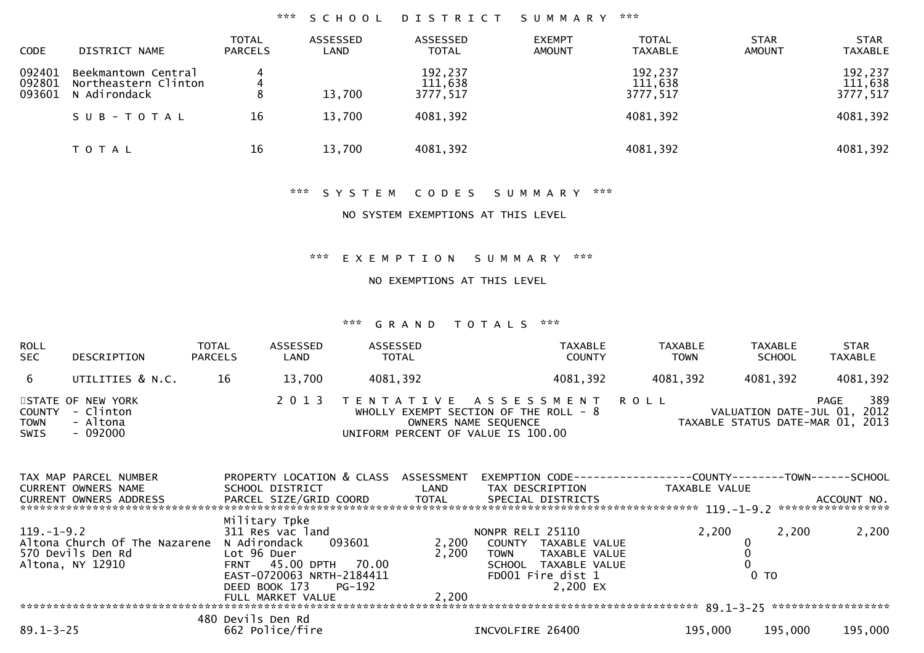## \*\*\* S C H O O L D I S T R I C T S U M M A R Y \*\*\*

| <b>CODE</b>                | DISTRICT NAME                                                            | <b>TOTAL</b><br><b>PARCELS</b> | ASSESSED<br>LAND | ASSESSED<br><b>TOTAL</b>                   | <b>EXEMPT</b><br><b>AMOUNT</b> | <b>TOTAL</b><br><b>TAXABLE</b>             | <b>STAR</b><br><b>AMOUNT</b> | <b>STAR</b><br><b>TAXABLE</b>              |
|----------------------------|--------------------------------------------------------------------------|--------------------------------|------------------|--------------------------------------------|--------------------------------|--------------------------------------------|------------------------------|--------------------------------------------|
| 092401<br>092801<br>093601 | Beekmantown Central<br>Northeastern Clinton<br>N Adirondack<br>SUB-TOTAL | 4<br>16                        | 13,700<br>13,700 | 192,237<br>111,638<br>3777,517<br>4081,392 |                                | 192,237<br>111,638<br>3777,517<br>4081,392 |                              | 192,237<br>111,638<br>3777,517<br>4081,392 |
|                            | T O T A L                                                                | 16                             | 13,700           | 4081,392                                   |                                | 4081,392                                   |                              | 4081,392                                   |

## \*\*\* S Y S T E M C O D E S S U M M A R Y \*\*\*

## NO SYSTEM EXEMPTIONS AT THIS LEVEL

\*\*\* E X E M P T I O N S U M M A R Y \*\*\*

NO EXEMPTIONS AT THIS LEVEL

#### \*\*\* G R A N D T O T A L S \*\*\*

| <b>ROLL</b><br>SEC                   | DESCRIPTION                                                                          | TOTAL<br><b>PARCELS</b>    | ASSESSED<br>LAND                                                                                                    | ASSESSED<br>TOTAL |                                                                                                                             |                                                  | <b>TAXABLE</b><br><b>COUNTY</b>                                                         |             | <b>TAXABLE</b><br><b>TOWN</b>    | TAXABLE<br><b>SCHOOL</b> |         | <b>STAR</b><br><b>TAXABLE</b>      |
|--------------------------------------|--------------------------------------------------------------------------------------|----------------------------|---------------------------------------------------------------------------------------------------------------------|-------------------|-----------------------------------------------------------------------------------------------------------------------------|--------------------------------------------------|-----------------------------------------------------------------------------------------|-------------|----------------------------------|--------------------------|---------|------------------------------------|
| 6                                    | UTILITIES & N.C.                                                                     | 16                         | 13,700                                                                                                              | 4081,392          |                                                                                                                             |                                                  | 4081,392                                                                                |             | 4081,392                         | 4081,392                 |         | 4081,392                           |
| <b>COUNTY</b><br><b>TOWN</b><br>SWIS | STATE OF NEW YORK<br>- Clinton<br>- Altona<br>$-092000$                              |                            | 2 0 1 3                                                                                                             |                   | TENTATIVE ASSESSMENT<br>WHOLLY EXEMPT SECTION OF THE ROLL - 8<br>OWNERS NAME SEQUENCE<br>UNIFORM PERCENT OF VALUE IS 100.00 |                                                  |                                                                                         | <b>ROLL</b> | TAXABLE STATUS DATE-MAR 01, 2013 |                          | PAGE    | 389<br>VALUATION DATE-JUL 01, 2012 |
|                                      | TAX MAP PARCEL NUMBER<br><b>CURRENT OWNERS NAME</b><br><b>CURRENT OWNERS ADDRESS</b> |                            | PROPERTY LOCATION & CLASS<br>SCHOOL DISTRICT<br>PARCEL SIZE/GRID COORD                                              |                   | ASSESSMENT<br>LAND<br>TOTAL                                                                                                 |                                                  | TAX DESCRIPTION<br>SPECIAL DISTRICTS                                                    |             | TAXABLE VALUE                    |                          |         | ACCOUNT NO.<br>******************  |
| $119. - 1 - 9.2$                     | Altona Church Of The Nazarene<br>570 Devils Den Rd<br>Altona, NY 12910               | Lot 96 Duer<br><b>FRNT</b> | Military Tpke<br>311 Res vac land<br>N Adirondack<br>45.00 DPTH 70.00<br>EAST-0720063 NRTH-2184411<br>DEED BOOK 173 | 093601<br>PG-192  | 2,200<br>2,200                                                                                                              | NONPR RELI 25110<br><b>TOWN</b><br><b>SCHOOL</b> | COUNTY TAXABLE VALUE<br>TAXABLE VALUE<br>TAXABLE VALUE<br>FD001 Fire dist 1<br>2,200 EX |             | 2,200                            | $0$ TO                   | 2,200   | 2,200                              |
|                                      |                                                                                      |                            | FULL MARKET VALUE                                                                                                   |                   | 2,200                                                                                                                       |                                                  |                                                                                         |             |                                  |                          |         |                                    |
| $89.1 - 3 - 25$                      |                                                                                      | 480 Devils Den Rd          | 662 Police/fire                                                                                                     |                   |                                                                                                                             | INCVOLFIRE 26400                                 |                                                                                         |             | 195,000                          |                          | 195,000 | 195,000                            |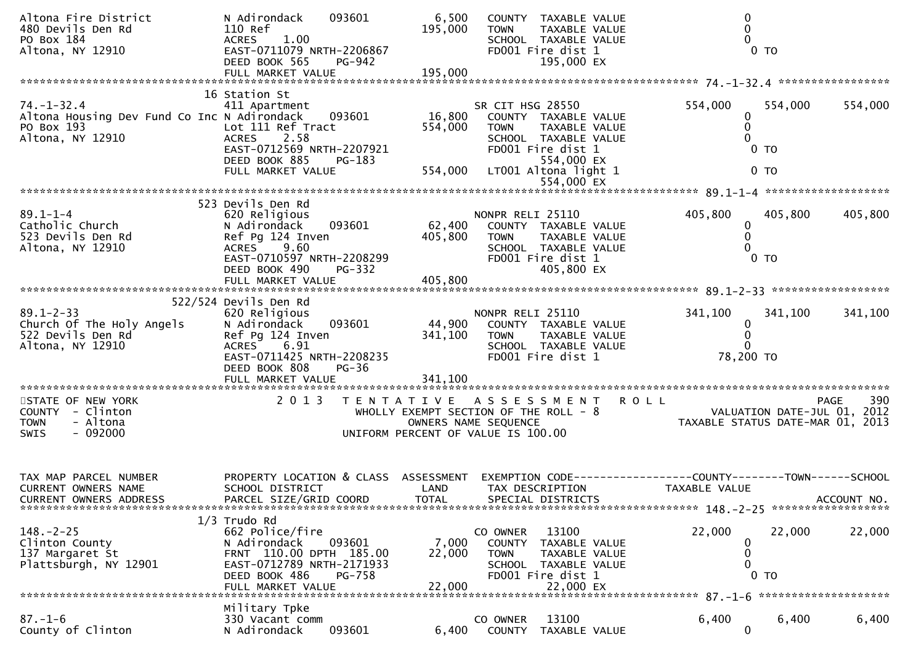| Altona Fire District<br>480 Devils Den Rd<br>PO Box 184<br>Altona, NY 12910                       | N Adirondack<br>093601<br>110 Ref<br>1.00<br><b>ACRES</b><br>EAST-0711079 NRTH-2206867<br>DEED BOOK 565<br>PG-942                                                   | 6,500<br>195,000          | COUNTY TAXABLE VALUE<br>TAXABLE VALUE<br><b>TOWN</b><br>SCHOOL TAXABLE VALUE<br>FD001 Fire dist 1<br>195,000 EX                     | $\boldsymbol{0}$<br>$\mathbf 0$<br>$\Omega$<br>$0$ TO                                         |  |  |  |  |  |  |
|---------------------------------------------------------------------------------------------------|---------------------------------------------------------------------------------------------------------------------------------------------------------------------|---------------------------|-------------------------------------------------------------------------------------------------------------------------------------|-----------------------------------------------------------------------------------------------|--|--|--|--|--|--|
|                                                                                                   |                                                                                                                                                                     |                           |                                                                                                                                     |                                                                                               |  |  |  |  |  |  |
| $74. - 1 - 32.4$<br>Altona Housing Dev Fund Co Inc N Adirondack<br>PO Box 193<br>Altona, NY 12910 | 16 Station St<br>411 Apartment<br>093601<br>Lot 111 Ref Tract<br><b>ACRES</b><br>2.58<br>EAST-0712569 NRTH-2207921                                                  | 16,800<br>554,000         | SR CIT HSG 28550<br>COUNTY TAXABLE VALUE<br>TAXABLE VALUE<br><b>TOWN</b><br>SCHOOL TAXABLE VALUE<br>FD001 Fire dist 1               | 554,000<br>554,000<br>554,000<br>0<br>$\mathbf{0}$<br>$0$ TO                                  |  |  |  |  |  |  |
|                                                                                                   | DEED BOOK 885<br>PG-183<br>FULL MARKET VALUE                                                                                                                        |                           | 554,000 EX<br>554,000 LT001 Altona light 1<br>554,000 EX                                                                            | 0 <sub>T</sub>                                                                                |  |  |  |  |  |  |
|                                                                                                   |                                                                                                                                                                     |                           |                                                                                                                                     |                                                                                               |  |  |  |  |  |  |
| $89.1 - 1 - 4$<br>Catholic Church<br>523 Devils Den Rd<br>Altona, NY 12910                        | 523 Devils Den Rd<br>620 Religious<br>093601<br>N Adirondack<br>Ref Pg 124 Inven<br>ACRES 9.60<br>EAST-0710597 NRTH-2208299<br>DEED BOOK 490<br><b>PG-332</b>       | 62,400<br>405,800         | NONPR RELI 25110<br>COUNTY TAXABLE VALUE<br><b>TOWN</b><br>TAXABLE VALUE<br>SCHOOL TAXABLE VALUE<br>FD001 Fire dist 1<br>405,800 EX | 405,800<br>405,800<br>405,800<br>0<br>$\Omega$<br>$0$ TO                                      |  |  |  |  |  |  |
|                                                                                                   | FULL MARKET VALUE                                                                                                                                                   | 405,800                   |                                                                                                                                     |                                                                                               |  |  |  |  |  |  |
| $89.1 - 2 - 33$<br>Church Of The Holy Angels<br>522 Devils Den Rd<br>Altona, NY 12910             | 522/524 Devils Den Rd<br>620 Religious<br>093601<br>N Adirondack<br>Ref Pg 124 Inven<br>ACRES 6.91<br>EAST-0711425 NRTH-2208235<br>DEED BOOK 808<br>$PG-36$         | 44,900<br>341,100         | NONPR RELI 25110<br>COUNTY TAXABLE VALUE<br><b>TOWN</b><br>TAXABLE VALUE<br>SCHOOL TAXABLE VALUE<br>FD001 Fire dist 1               | 341,100<br>341,100<br>341,100<br>0<br>$\mathbf{0}$<br>0<br>78,200 TO                          |  |  |  |  |  |  |
|                                                                                                   | FULL MARKET VALUE                                                                                                                                                   | 341,100                   |                                                                                                                                     |                                                                                               |  |  |  |  |  |  |
| STATE OF NEW YORK<br>COUNTY - Clinton<br><b>TOWN</b><br>- Altona<br>$-092000$<br>SWIS             | 2 0 1 3                                                                                                                                                             |                           | TENTATIVE ASSESSMENT<br>WHOLLY EXEMPT SECTION OF THE ROLL - 8<br>OWNERS NAME SEQUENCE<br>UNIFORM PERCENT OF VALUE IS 100.00         | 390<br><b>ROLL</b><br>PAGE<br>VALUATION DATE-JUL 01, 2012<br>TAXABLE STATUS DATE-MAR 01, 2013 |  |  |  |  |  |  |
| TAX MAP PARCEL NUMBER<br><b>CURRENT OWNERS NAME</b><br><b>CURRENT OWNERS ADDRESS</b>              | PROPERTY LOCATION & CLASS ASSESSMENT<br>SCHOOL DISTRICT<br>PARCEL SIZE/GRID COORD                                                                                   | LAND<br><b>TOTAL</b>      | TAX DESCRIPTION<br>SPECIAL DISTRICTS                                                                                                | EXEMPTION CODE-----------------COUNTY-------TOWN------SCHOOL<br>TAXABLE VALUE<br>ACCOUNT NO.  |  |  |  |  |  |  |
| $148. - 2 - 25$<br>Clinton County<br>137 Margaret St<br>Plattsburgh, NY 12901                     | $1/3$ Trudo Rd<br>662 Police/fire<br>093601<br>N Adirondack<br>FRNT 110.00 DPTH 185.00<br>EAST-0712789 NRTH-2171933<br>DEED BOOK 486<br>PG-758<br>FULL MARKET VALUE | 7,000<br>22,000<br>22,000 | 13100<br>CO OWNER<br>COUNTY TAXABLE VALUE<br>TAXABLE VALUE<br><b>TOWN</b><br>SCHOOL TAXABLE VALUE<br>FD001 Fire dist 1<br>22,000 EX | 22,000<br>22,000<br>22,000<br>0<br>0<br>0<br>TO                                               |  |  |  |  |  |  |
|                                                                                                   | Military Tpke                                                                                                                                                       |                           |                                                                                                                                     |                                                                                               |  |  |  |  |  |  |
| $87. - 1 - 6$<br>County of Clinton                                                                | 330 Vacant comm<br>093601<br>N Adirondack                                                                                                                           | 6,400                     | 13100<br>CO OWNER<br>COUNTY<br>TAXABLE VALUE                                                                                        | 6,400<br>6,400<br>6,400<br>$\mathbf{0}$                                                       |  |  |  |  |  |  |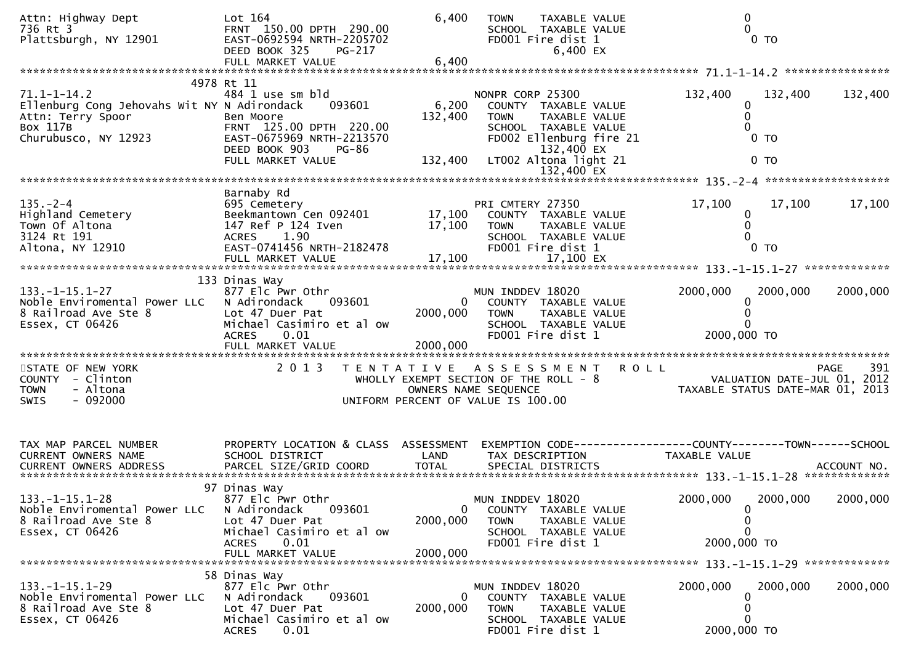| Attn: Highway Dept<br>736 Rt 3<br>Plattsburgh, NY 12901                                                                   | Lot 164<br>FRNT 150.00 DPTH 290.00<br>EAST-0692594 NRTH-2205702<br>DEED BOOK 325<br>PG-217                                                                   | 6,400                       | <b>TOWN</b><br>TAXABLE VALUE<br>SCHOOL TAXABLE VALUE<br>FD001 Fire dist 1<br>6,400 EX                                                                              |               | 0<br>0 <sub>T</sub>                                                                                         |
|---------------------------------------------------------------------------------------------------------------------------|--------------------------------------------------------------------------------------------------------------------------------------------------------------|-----------------------------|--------------------------------------------------------------------------------------------------------------------------------------------------------------------|---------------|-------------------------------------------------------------------------------------------------------------|
|                                                                                                                           |                                                                                                                                                              |                             |                                                                                                                                                                    |               |                                                                                                             |
| $71.1 - 1 - 14.2$<br>Ellenburg Cong Jehovahs Wit NY N Adirondack<br>Attn: Terry Spoor<br>Box 117B<br>Churubusco, NY 12923 | 4978 Rt 11<br>484 1 use sm bld<br>093601<br>Ben Moore<br>FRNT 125.00 DPTH 220.00<br>EAST-0675969 NRTH-2213570<br>DEED BOOK 903<br>PG-86<br>FULL MARKET VALUE | 6,200<br>132,400<br>132,400 | NONPR CORP 25300<br>COUNTY TAXABLE VALUE<br>TAXABLE VALUE<br><b>TOWN</b><br>SCHOOL TAXABLE VALUE<br>FD002 Ellenburg fire 21<br>132,400 EX<br>LT002 Altona light 21 | 132,400       | 132,400<br>132,400<br>0<br>0 <sub>T</sub><br>0 <sub>T</sub>                                                 |
|                                                                                                                           |                                                                                                                                                              |                             |                                                                                                                                                                    |               |                                                                                                             |
|                                                                                                                           |                                                                                                                                                              |                             |                                                                                                                                                                    |               |                                                                                                             |
| $135. - 2 - 4$<br>בי∠-<br>Highland Cemetery<br>המהזה חם המהי<br>3124 Rt 191<br>Altona, NY 12910                           | Barnaby Rd<br>695 Cemetery<br>Beekmantown Cen 092401<br>147 Ref P 124 Iven<br>ACRES 1.90<br>EAST-0741456 NRTH-2182478                                        | 17,100<br>17,100            | PRI CMTERY 27350<br>COUNTY TAXABLE VALUE<br>TAXABLE VALUE<br><b>TOWN</b><br>SCHOOL TAXABLE VALUE<br>FD001 Fire dist 1                                              | 17,100        | 17,100<br>17,100<br>$\mathbf 0$<br>0<br>0 <sub>T</sub>                                                      |
|                                                                                                                           |                                                                                                                                                              |                             |                                                                                                                                                                    |               |                                                                                                             |
| $133. -1 - 15.1 - 27$<br>Noble Enviromental Power LLC<br>8 Railroad Ave Ste 8<br>Essex, CT 06426                          | 133 Dinas Way<br>877 Elc Pwr Othr<br>N Adirondack<br>093601<br>Lot 47 Duer Pat<br>Michael Casimiro et al ow<br>0.01<br><b>ACRES</b>                          | 2000,000                    | MUN INDDEV 18020<br>COUNTY TAXABLE VALUE<br>$\mathbf{0}$<br><b>TOWN</b><br>TAXABLE VALUE<br>SCHOOL TAXABLE VALUE<br>FD001 Fire dist 1                              | 2000,000      | 2000,000<br>2000,000<br>2000,000 TO                                                                         |
|                                                                                                                           |                                                                                                                                                              |                             |                                                                                                                                                                    |               |                                                                                                             |
| STATE OF NEW YORK<br>COUNTY - Clinton<br>- Altona<br><b>TOWN</b><br>$-092000$<br><b>SWIS</b>                              | 2 0 1 3                                                                                                                                                      |                             | TENTATIVE ASSESSMENT ROLL<br>WHOLLY EXEMPT SECTION OF THE ROLL - 8<br>OWNERS NAME SEQUENCE<br>UNIFORM PERCENT OF VALUE IS 100.00                                   |               | PAGE 391<br>VALUATION DATE-JUL 01, 2012<br>TAXARLE STATIS DATE USE 2012<br>TAXABLE STATUS DATE-MAR 01, 2013 |
| TAX MAP PARCEL NUMBER<br>CURRENT OWNERS NAME                                                                              | PROPERTY LOCATION & CLASS ASSESSMENT<br>SCHOOL DISTRICT<br>97 Dinas Way                                                                                      | LAND                        | TAX DESCRIPTION                                                                                                                                                    | TAXABLE VALUE |                                                                                                             |
| $133. - 1 - 15.1 - 28$<br>Noble Enviromental Power LLC<br>8 Railroad Ave Ste 8<br>Essex, CT 06426                         | 877 Elc Pwr Othr<br>093601<br>N Adirondack<br>Lot 47 Duer Pat<br>Michael Casimiro et al ow<br>0.01<br><b>ACRES</b><br>FULL MARKET VALUE                      | 0<br>2000,000<br>2000,000   | MUN INDDEV 18020<br>COUNTY TAXABLE VALUE<br><b>TOWN</b><br>TAXABLE VALUE<br>SCHOOL TAXABLE VALUE<br>FD001 Fire dist 1                                              | 2000,000      | 2000,000<br>2000,000<br>2000,000 TO                                                                         |
|                                                                                                                           |                                                                                                                                                              |                             |                                                                                                                                                                    |               |                                                                                                             |
| $133. - 1 - 15.1 - 29$<br>Noble Enviromental Power LLC<br>8 Railroad Ave Ste 8<br>Essex, CT 06426                         | 58 Dinas Way<br>877 Elc Pwr Othr<br>N Adirondack<br>093601<br>Lot 47 Duer Pat<br>Michael Casimiro et al ow<br>0.01<br><b>ACRES</b>                           | 0<br>2000,000               | MUN INDDEV 18020<br>COUNTY TAXABLE VALUE<br><b>TOWN</b><br>TAXABLE VALUE<br>SCHOOL TAXABLE VALUE<br>FD001 Fire dist 1                                              | 2000,000      | 2000,000<br>2000,000<br>0<br>0<br>0<br>2000,000 TO                                                          |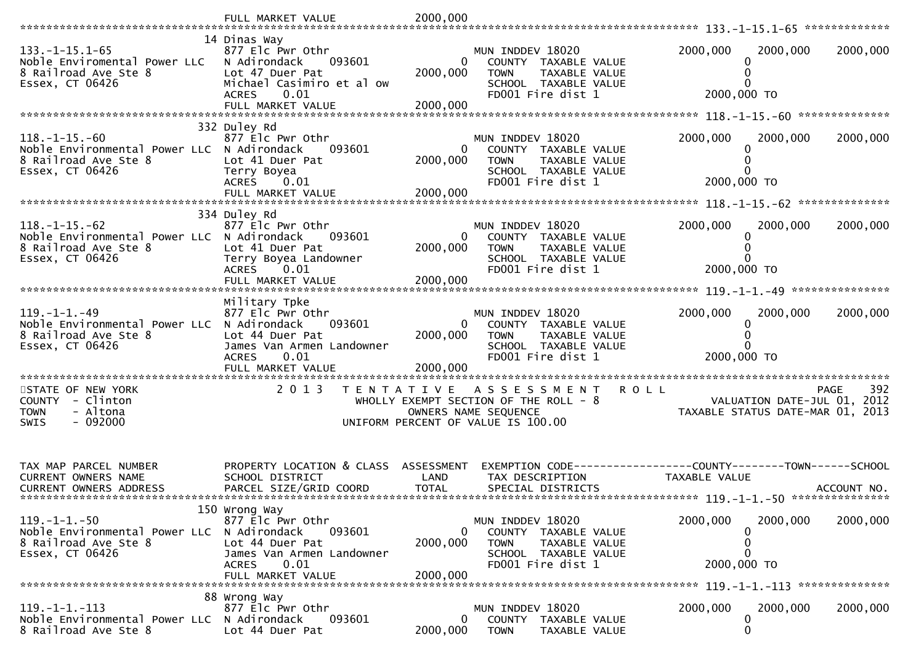|                                                                    | FULL MARKET VALUE                            | 2000,000                   |                                                               |                                                                 |             |
|--------------------------------------------------------------------|----------------------------------------------|----------------------------|---------------------------------------------------------------|-----------------------------------------------------------------|-------------|
|                                                                    | 14 Dinas Way                                 |                            |                                                               |                                                                 |             |
| $133. - 1 - 15.1 - 65$<br>Noble Enviromental Power LLC             | 877 Elc Pwr Othr<br>093601<br>N Adirondack   | 0                          | MUN INDDEV 18020<br>COUNTY TAXABLE VALUE                      | 2000,000<br>2000,000                                            | 2000,000    |
| 8 Railroad Ave Ste 8<br>Essex, CT 06426                            | Lot 47 Duer Pat<br>Michael Casimiro et al ow | 2000,000                   | <b>TOWN</b><br>TAXABLE VALUE<br>SCHOOL TAXABLE VALUE          |                                                                 |             |
|                                                                    | <b>ACRES</b><br>0.01                         |                            | FD001 Fire dist 1                                             | 2000,000 TO                                                     |             |
|                                                                    |                                              | 2000,000                   |                                                               |                                                                 |             |
| $118. - 1 - 15. - 60$                                              | 332 Duley Rd<br>877 Elc Pwr Othr             |                            | MUN INDDEV 18020                                              | 2000,000<br>2000,000                                            | 2000,000    |
| Noble Environmental Power LLC N Adirondack                         | 093601                                       | 0                          | COUNTY TAXABLE VALUE                                          |                                                                 |             |
| 8 Railroad Ave Ste 8<br>Essex, CT 06426                            | Lot 41 Duer Pat<br>Terry Boyea               | 2000,000                   | TAXABLE VALUE<br><b>TOWN</b><br>SCHOOL TAXABLE VALUE          |                                                                 |             |
|                                                                    | ACRES 0.01                                   |                            | FD001 Fire dist 1                                             | 2000,000 TO                                                     |             |
|                                                                    |                                              |                            |                                                               |                                                                 |             |
| $118. - 1 - 15. - 62$                                              | 334 Duley Rd<br>877 Elc Pwr Othr             |                            | MUN INDDEV 18020                                              | 2000,000<br>2000,000                                            | 2000,000    |
| Noble Environmental Power LLC N Adirondack<br>8 Railroad Ave Ste 8 | 093601<br>Lot 41 Duer Pat                    | $\overline{0}$             | COUNTY TAXABLE VALUE<br><b>TOWN</b>                           |                                                                 |             |
| Essex, CT 06426                                                    | Terry Boyea Landowner                        | 2000,000                   | TAXABLE VALUE<br>SCHOOL TAXABLE VALUE                         |                                                                 |             |
|                                                                    | ACRES 0.01<br>FULL MARKET VALUE              | 2000,000                   | FD001 Fire dist 1                                             | 2000,000 TO                                                     |             |
|                                                                    |                                              |                            |                                                               |                                                                 |             |
| $119. -1 -1. -49$                                                  | Military Tpke<br>877 Elc Pwr Othr            |                            | MUN INDDEV 18020                                              | 2000,000<br>2000,000                                            | 2000,000    |
| Noble Environmental Power LLC N Adirondack<br>8 Railroad Ave Ste 8 | 093601<br>Lot 44 Duer Pat                    | $\overline{0}$<br>2000,000 | COUNTY TAXABLE VALUE<br>TAXABLE VALUE<br><b>TOWN</b>          |                                                                 |             |
| Essex, CT 06426                                                    | James Van Armen Landowner                    |                            | SCHOOL TAXABLE VALUE<br>FD001 Fire dist 1                     | 2000,000 TO                                                     |             |
|                                                                    | 0.01<br><b>ACRES</b><br>FULL MARKET VALUE    | 2000,000                   |                                                               |                                                                 |             |
| STATE OF NEW YORK                                                  | 2013<br>T E N T A T I V E                    |                            | A S S E S S M E N T                                           | <b>ROLL</b><br>PAGE                                             | 392         |
| COUNTY - Clinton<br><b>TOWN</b><br>- Altona                        |                                              |                            | WHOLLY EXEMPT SECTION OF THE ROLL - 8<br>OWNERS NAME SEQUENCE | VALUATION DATE-JUL 01, 2012<br>TAXABLE STATUS DATE-MAR 01, 2013 |             |
| $-092000$<br><b>SWIS</b>                                           |                                              |                            | UNIFORM PERCENT OF VALUE IS 100.00                            |                                                                 |             |
|                                                                    |                                              |                            |                                                               |                                                                 |             |
| TAX MAP PARCEL NUMBER                                              | PROPERTY LOCATION & CLASS ASSESSMENT         |                            |                                                               | EXEMPTION CODE-----------------COUNTY-------TOWN------SCHOOL    |             |
| CURRENT OWNERS NAME                                                | SCHOOL DISTRICT                              | LAND                       | TAX DESCRIPTION                                               | TAXABLE VALUE                                                   |             |
| <b>CURRENT OWNERS ADDRESS</b>                                      | PARCEL SIZE/GRID COORD                       | <b>TOTAL</b>               | SPECIAL DISTRICTS                                             |                                                                 | ACCOUNT NO. |
| $119. - 1 - 1. - 50$                                               | 150 Wrong Way<br>877 Elc Pwr Othr            |                            | MUN INDDEV 18020                                              | 2000,000<br>2000,000                                            | 2000,000    |
| Noble Environmental Power LLC N Adirondack                         | 093601                                       | $\mathbf{0}$               | COUNTY TAXABLE VALUE                                          |                                                                 |             |
| 8 Railroad Ave Ste 8<br>Essex, CT 06426                            | Lot 44 Duer Pat<br>James Van Armen Landowner | 2000,000                   | TAXABLE VALUE<br>TOWN<br>SCHOOL TAXABLE VALUE                 | 0                                                               |             |
|                                                                    | 0.01<br><b>ACRES</b><br>FULL MARKET VALUE    | 2000,000                   | FD001 Fire dist 1                                             | 2000,000 TO                                                     |             |
|                                                                    |                                              |                            |                                                               |                                                                 |             |
| $119. -1 -1. -113$                                                 | 88 Wrong Way<br>877 Elc Pwr Othr             |                            | MUN INDDEV 18020                                              | 2000,000<br>2000,000                                            | 2000,000    |
| Noble Environmental Power LLC<br>8 Railroad Ave Ste 8              | N Adirondack<br>093601<br>Lot 44 Duer Pat    | $\mathbf{0}$<br>2000,000   | COUNTY TAXABLE VALUE<br><b>TOWN</b><br>TAXABLE VALUE          | 0<br>0                                                          |             |
|                                                                    |                                              |                            |                                                               |                                                                 |             |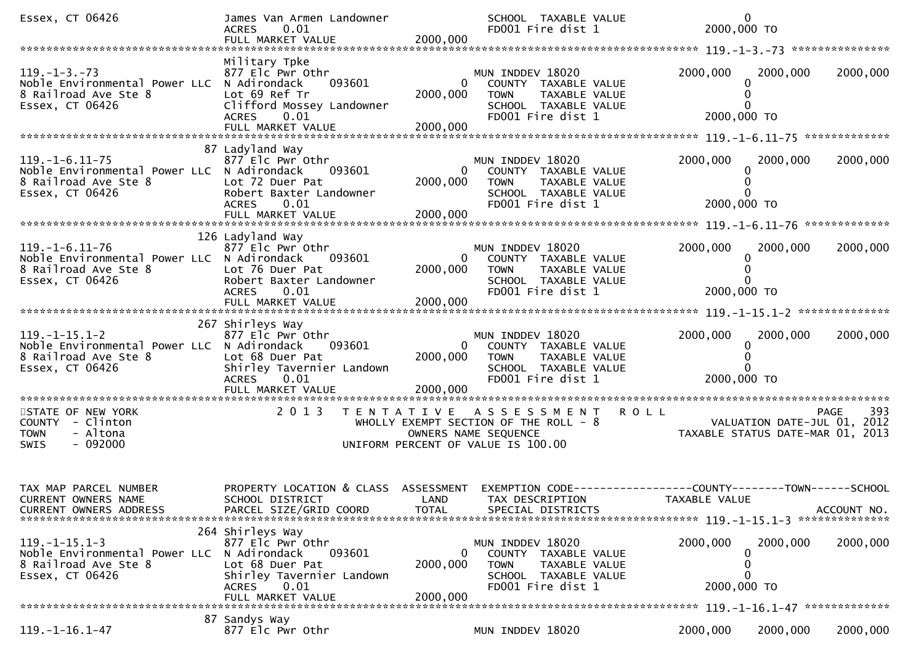| Essex, CT 06426                                                                                                 | James Van Armen Landowner<br>0.01<br><b>ACRES</b><br>FULL MARKET VALUE                                                                                      | 2000,000                               | SCHOOL TAXABLE VALUE<br>FD001 Fire dist 1                                                                             | $\mathbf{0}$<br>2000,000 TO                                                     |             |
|-----------------------------------------------------------------------------------------------------------------|-------------------------------------------------------------------------------------------------------------------------------------------------------------|----------------------------------------|-----------------------------------------------------------------------------------------------------------------------|---------------------------------------------------------------------------------|-------------|
|                                                                                                                 |                                                                                                                                                             |                                        |                                                                                                                       |                                                                                 |             |
| $119. -1 - 3. -73$<br>Noble Environmental Power LLC N Adirondack<br>8 Railroad Ave Ste 8<br>Essex, CT 06426     | Military Tpke<br>877 Elc Pwr Othr<br>093601<br>Lot 69 Ref Tr<br>Clifford Mossey Landowner<br>0.01<br><b>ACRES</b><br>FULL MARKET VALUE                      | $\mathbf{0}$<br>2000,000<br>2000,000   | MUN INDDEV 18020<br>COUNTY TAXABLE VALUE<br><b>TOWN</b><br>TAXABLE VALUE<br>SCHOOL TAXABLE VALUE<br>FD001 Fire dist 1 | 2000,000<br>2000,000<br>2000,000 TO                                             | 2000,000    |
|                                                                                                                 |                                                                                                                                                             |                                        |                                                                                                                       |                                                                                 |             |
| $119. - 1 - 6.11 - 75$<br>Noble Environmental Power LLC N Adirondack<br>8 Railroad Ave Ste 8<br>Essex, CT 06426 | 87 Ladyland Way<br>877 Elc Pwr Othr<br>093601<br>Lot 72 Duer Pat<br>Robert Baxter Landowner<br><b>ACRES</b><br>0.01                                         | 2000,000                               | MUN INDDEV 18020<br>COUNTY TAXABLE VALUE<br><b>TOWN</b><br>TAXABLE VALUE<br>SCHOOL TAXABLE VALUE<br>FD001 Fire dist 1 | 2000,000<br>2000,000<br>2000,000 TO                                             | 2000,000    |
|                                                                                                                 | 126 Ladyland Way                                                                                                                                            |                                        |                                                                                                                       |                                                                                 |             |
| $119. - 1 - 6.11 - 76$<br>Noble Environmental Power LLC N Adirondack<br>8 Railroad Ave Ste 8<br>Essex, CT 06426 | 877 Elc Pwr Othr<br>093601<br>Lot 76 Duer Pat<br>Robert Baxter Landowner<br><b>ACRES</b><br>0.01                                                            | $\Omega$<br>2000,000                   | MUN INDDEV 18020<br>COUNTY TAXABLE VALUE<br><b>TOWN</b><br>TAXABLE VALUE<br>SCHOOL TAXABLE VALUE<br>FD001 Fire dist 1 | 2000,000<br>2000,000<br>0<br>2000,000 TO                                        | 2000,000    |
|                                                                                                                 | FULL MARKET VALUE                                                                                                                                           | 2000,000                               |                                                                                                                       |                                                                                 |             |
|                                                                                                                 |                                                                                                                                                             |                                        |                                                                                                                       |                                                                                 |             |
| $119. -1 - 15.1 - 2$<br>Noble Environmental Power LLC N Adirondack<br>8 Railroad Ave Ste 8<br>Essex, CT 06426   | 267 Shirleys Way<br>877 Elc Pwr Othr<br>093601<br>Lot 68 Duer Pat<br>Shirley Tavernier Landown<br>ACRES 0.01<br>FULL MARKET VALUE                           | $\overline{0}$<br>2000,000<br>2000,000 | MUN INDDEV 18020<br>COUNTY TAXABLE VALUE<br>TAXABLE VALUE<br><b>TOWN</b><br>SCHOOL TAXABLE VALUE<br>FD001 Fire dist 1 | 2000,000<br>2000,000<br>0<br>2000,000 TO                                        | 2000,000    |
| STATE OF NEW YORK                                                                                               | 2 0 1 3                                                                                                                                                     |                                        | TENTATIVE ASSESSMENT                                                                                                  | <b>ROLL</b>                                                                     | 393<br>PAGE |
| COUNTY - Clinton<br>- Altona<br><b>TOWN</b><br>$-092000$<br><b>SWIS</b>                                         |                                                                                                                                                             |                                        | WHOLLY EXEMPT SECTION OF THE ROLL - 8<br>OWNERS NAME SEQUENCE<br>UNIFORM PERCENT OF VALUE IS 100.00                   | VALUATION DATE-JUL 01, 2012<br>TAXABLE STATUS DATE-MAR 01, 2013                 |             |
| TAX MAP PARCEL NUMBER<br>CURRENT OWNERS NAME<br><b>CURRENT OWNERS ADDRESS</b>                                   | PROPERTY LOCATION & CLASS<br>SCHOOL DISTRICT<br>PARCEL SIZE/GRID COORD                                                                                      | ASSESSMENT<br>LAND<br><b>TOTAL</b>     | TAX DESCRIPTION<br>SPECIAL DISTRICTS                                                                                  | EXEMPTION CODE------------------COUNTY--------TOWN------SCHOOL<br>TAXABLE VALUE | ACCOUNT NO. |
| $119. -1 - 15.1 - 3$<br>Noble Environmental Power LLC<br>8 Railroad Ave Ste 8<br>Essex, CT 06426                | 264 Shirleys Way<br>877 Elc Pwr Othr<br>N Adirondack<br>093601<br>Lot 68 Duer Pat<br>Shirley Tavernier Landown<br><b>ACRES</b><br>0.01<br>FULL MARKET VALUE | 0<br>2000,000<br>2000.000              | MUN INDDEV 18020<br>COUNTY TAXABLE VALUE<br><b>TOWN</b><br>TAXABLE VALUE<br>SCHOOL TAXABLE VALUE<br>FD001 Fire dist 1 | 2000,000<br>2000,000<br>0<br>O<br>2000,000 TO                                   | 2000,000    |
|                                                                                                                 | 87 Sandys Way                                                                                                                                               |                                        |                                                                                                                       |                                                                                 |             |
| $119. -1 - 16.1 - 47$                                                                                           | 877 Elc Pwr Othr                                                                                                                                            |                                        | MUN INDDEV 18020                                                                                                      | 2000,000<br>2000,000                                                            | 2000,000    |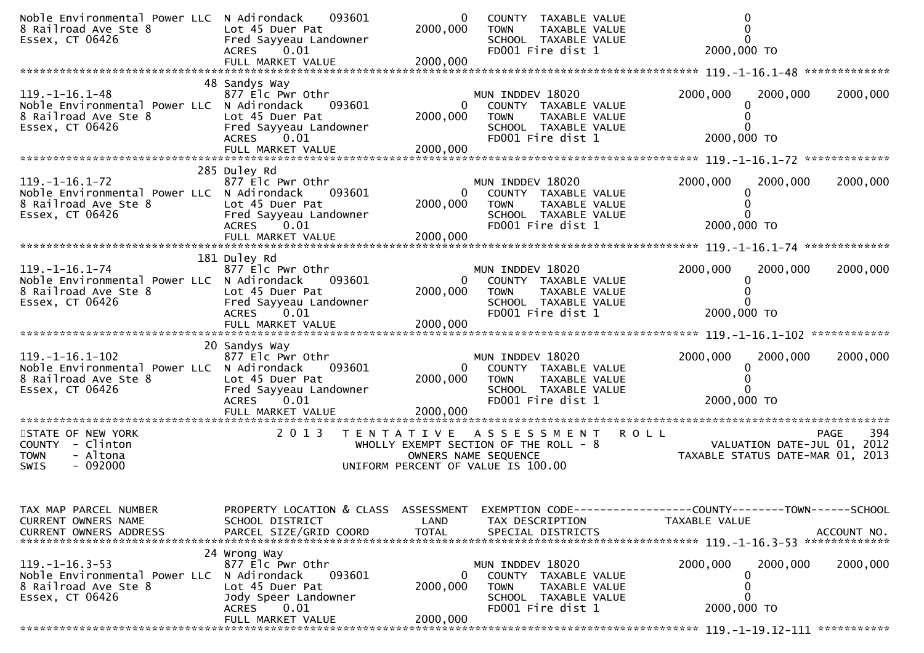| Noble Environmental Power LLC N Adirondack<br>8 Railroad Ave Ste 8<br>Essex, CT 06426                           | 093601<br>Lot 45 Duer Pat<br>Fred Sayyeau Landowner<br>0.01<br><b>ACRES</b>                                                 | 0<br>2000,000                          | COUNTY TAXABLE VALUE<br>TAXABLE VALUE<br><b>TOWN</b><br>SCHOOL TAXABLE VALUE<br>FD001 Fire dist 1                          | 2000,000 TO                                                                            |             |
|-----------------------------------------------------------------------------------------------------------------|-----------------------------------------------------------------------------------------------------------------------------|----------------------------------------|----------------------------------------------------------------------------------------------------------------------------|----------------------------------------------------------------------------------------|-------------|
| $119. - 1 - 16.1 - 48$<br>Noble Environmental Power LLC N Adirondack<br>8 Railroad Ave Ste 8<br>Essex, CT 06426 | 48 Sandys Way<br>877 Elc Pwr Othr<br>093601<br>Lot 45 Duer Pat<br>Fred Sayyeau Landowner<br>ACRES<br>0.01                   | 2000,000                               | MUN INDDEV 18020<br>COUNTY TAXABLE VALUE<br><b>TOWN</b><br>TAXABLE VALUE<br>SCHOOL TAXABLE VALUE<br>FD001 Fire dist 1      | 2000,000<br>2000,000<br>0<br>2000,000 TO                                               | 2000,000    |
|                                                                                                                 |                                                                                                                             |                                        |                                                                                                                            |                                                                                        |             |
| $119. - 1 - 16.1 - 72$<br>Noble Environmental Power LLC N Adirondack<br>8 Railroad Ave Ste 8<br>Essex, CT 06426 | 285 Duley Rd<br>877 Elc Pwr Othr<br>093601<br>Lot 45 Duer Pat<br>Fred Sayyeau Landowner<br>ACRES 0.01<br>FULL MARKET VALUE  | $\overline{0}$<br>2000,000<br>2000,000 | MUN INDDEV 18020<br>COUNTY TAXABLE VALUE<br><b>TOWN</b><br>TAXABLE VALUE<br>SCHOOL TAXABLE VALUE<br>FD001 Fire dist 1      | 2000,000<br>2000,000<br>2000,000 TO                                                    | 2000,000    |
|                                                                                                                 | 181 Duley Rd                                                                                                                |                                        |                                                                                                                            |                                                                                        |             |
| $119. - 1 - 16.1 - 74$<br>Noble Environmental Power LLC N Adirondack<br>8 Railroad Ave Ste 8<br>Essex, CT 06426 | 877 Elc Pwr Othr<br>093601<br>Lot 45 Duer Pat<br>Fred Sayyeau Landowner<br>ACRES 0.01<br>FULL MARKET VALUE                  | $\overline{0}$<br>2000,000<br>2000,000 | MUN INDDEV 18020<br>COUNTY TAXABLE VALUE<br><b>TOWN</b><br>TAXABLE VALUE<br>SCHOOL TAXABLE VALUE<br>FD001 Fire dist 1      | 2000,000<br>2000,000<br>0<br>0<br>0<br>2000,000 TO                                     | 2000,000    |
|                                                                                                                 |                                                                                                                             |                                        |                                                                                                                            |                                                                                        |             |
| 119. -1-16. 1-102<br>Noble Environmental Power LLC N Adirondack<br>8 Railroad Ave Ste 8<br>Essex, CT 06426      | 20 Sandys Way<br>877 Elc Pwr Othr<br>093601<br>Lot 45 Duer Pat<br>Fred Sayyeau Landowner<br><b>ACRES</b><br>0.01            | 2000,000                               | MUN INDDEV 18020<br>COUNTY TAXABLE VALUE<br><b>TOWN</b><br>TAXABLE VALUE<br>SCHOOL TAXABLE VALUE<br>FD001 Fire dist 1      | 2000,000<br>2000,000<br>0<br>2000,000 TO                                               | 2000,000    |
|                                                                                                                 |                                                                                                                             |                                        |                                                                                                                            |                                                                                        |             |
| STATE OF NEW YORK<br>COUNTY - Clinton<br>- Altona<br><b>TOWN</b><br>$-092000$<br>SWIS                           | 2 0 1 3<br>T E N T A T I V E                                                                                                |                                        | A S S E S S M E N T<br>WHOLLY EXEMPT SECTION OF THE ROLL - 8<br>OWNERS NAME SEQUENCE<br>UNIFORM PERCENT OF VALUE IS 100.00 | <b>ROLL</b><br>PAGE<br>VALUATION DATE-JUL 01, 2012<br>TAXABLE STATUS DATE-MAR 01, 2013 | 394         |
| TAX MAP PARCEL NUMBER<br><b>CURRENT OWNERS NAME</b><br><b>CURRENT OWNERS ADDRESS</b>                            | PROPERTY LOCATION & CLASS ASSESSMENT<br>SCHOOL DISTRICT<br>PARCEL SIZE/GRID COORD                                           | LAND<br><b>TOTAL</b>                   | TAX DESCRIPTION<br>SPECIAL DISTRICTS                                                                                       | EXEMPTION CODE-----------------COUNTY-------TOWN------SCHOOL<br>TAXABLE VALUE          | ACCOUNT NO. |
| $119. - 1 - 16.3 - 53$<br>Noble Environmental Power LLC N Adirondack<br>8 Railroad Ave Ste 8<br>Essex, CT 06426 | 24 Wrong Way<br>877 Elc Pwr Othr<br>093601<br>Lot 45 Duer Pat<br>Jody Speer Landowner<br>0.01<br>ACRES<br>FULL MARKET VALUE | 0<br>2000,000<br>2000,000              | MUN INDDEV 18020<br>COUNTY TAXABLE VALUE<br>TAXABLE VALUE<br>TOWN<br>SCHOOL TAXABLE VALUE<br>FD001 Fire dist 1             | 2000,000<br>2000,000<br>0<br>0<br>0<br>2000,000 TO                                     | 2000,000    |
|                                                                                                                 |                                                                                                                             |                                        |                                                                                                                            |                                                                                        |             |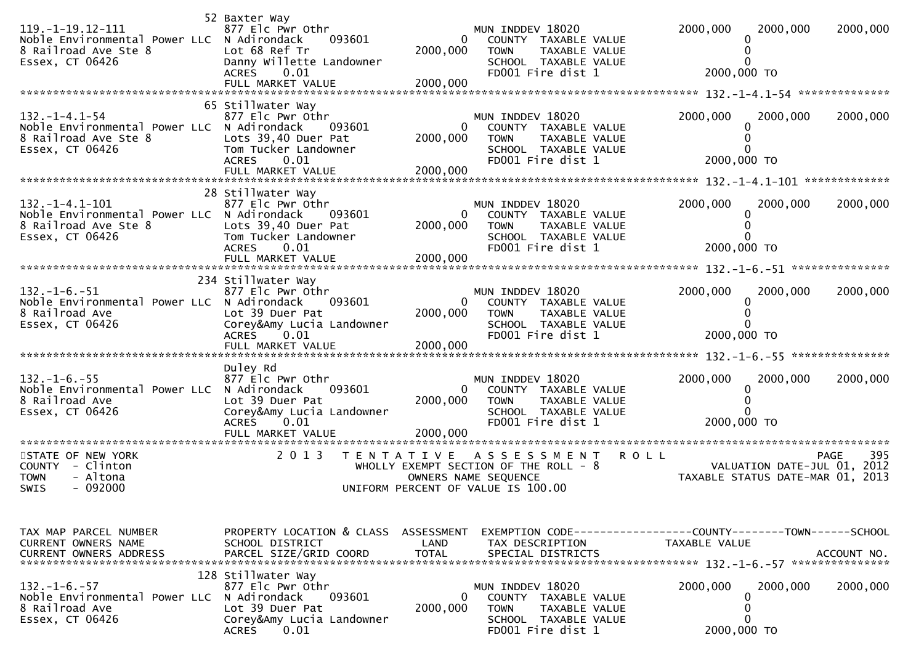| $119. - 1 - 19.12 - 111$<br>Noble Environmental Power LLC N Adirondack<br>8 Railroad Ave Ste 8<br>Essex, CT 06426 | 52 Baxter Way<br>877 Elc Pwr Othr<br>093601<br>Lot 68 Ref Tr<br>Danny Willette Landowner<br><b>ACRES</b><br>0.01                            | $\bf{0}$<br>2000,000                 | MUN INDDEV 18020<br>COUNTY TAXABLE VALUE<br><b>TOWN</b><br>TAXABLE VALUE<br>SCHOOL TAXABLE VALUE<br>FD001 Fire dist 1                      | 2000,000<br>2000,000<br>2000,000 TO                                           | 2000,000                   |
|-------------------------------------------------------------------------------------------------------------------|---------------------------------------------------------------------------------------------------------------------------------------------|--------------------------------------|--------------------------------------------------------------------------------------------------------------------------------------------|-------------------------------------------------------------------------------|----------------------------|
| $132. - 1 - 4.1 - 54$<br>Noble Environmental Power LLC N Adirondack<br>8 Railroad Ave Ste 8<br>Essex, CT 06426    | 65 Stillwater Way<br>877 Elc Pwr Othr<br>093601<br>Lots 39,40 Duer Pat<br>Tom Tucker Landowner<br><b>ACRES</b><br>0.01<br>FULL MARKET VALUE | $\mathbf{0}$<br>2000,000<br>2000,000 | MUN INDDEV 18020<br>COUNTY TAXABLE VALUE<br><b>TOWN</b><br>TAXABLE VALUE<br>SCHOOL TAXABLE VALUE<br>FD001 Fire dist 1                      | 2000,000<br>2000,000<br>2000,000 TO                                           | 2000,000                   |
| $132. -1 - 4.1 - 101$<br>Noble Environmental Power LLC N Adirondack<br>8 Railroad Ave Ste 8<br>Essex, CT 06426    | 28 Stillwater Way<br>877 Elc Pwr Othr<br>093601<br>Lots 39,40 Duer Pat<br>Tom Tucker Landowner<br><b>ACRES</b><br>0.01<br>FULL MARKET VALUE | 0<br>2000,000<br>2000,000            | MUN INDDEV 18020<br>COUNTY TAXABLE VALUE<br><b>TOWN</b><br>TAXABLE VALUE<br>SCHOOL TAXABLE VALUE<br>FD001 Fire dist 1                      | 2000,000<br>2000,000<br>2000,000 TO                                           | 2000,000                   |
| $132. -1 - 6. -51$<br>Noble Environmental Power LLC N Adirondack<br>8 Railroad Ave<br>Essex, CT 06426             | 234 Stillwater Way<br>877 Elc Pwr Othr<br>093601<br>Lot 39 Duer Pat<br>Corey&Amy Lucia Landowner<br>ACRES 0.01                              | 2000,000                             | MUN INDDEV 18020<br>COUNTY TAXABLE VALUE<br><b>TOWN</b><br><b>TAXABLE VALUE</b><br>SCHOOL TAXABLE VALUE<br>FD001 Fire dist 1               | 2000,000<br>2000,000<br>0<br>2000,000 TO                                      | 2000,000                   |
| $132. - 1 - 6. - 55$<br>Noble Environmental Power LLC N Adirondack<br>8 Railroad Ave<br>Essex, CT 06426           | Duley Rd<br>877 Elc Pwr Othr<br>093601<br>Lot 39 Duer Pat<br>Corey&Amy Lucia Landowner<br><b>ACRES</b><br>0.01<br>FULL MARKET VALUE         | 0<br>2000,000<br>2000,000            | MUN INDDEV 18020<br>COUNTY TAXABLE VALUE<br>TAXABLE VALUE<br><b>TOWN</b><br>SCHOOL TAXABLE VALUE<br>FD001 Fire dist 1                      | 2000,000<br>2000,000<br>2000,000 TO                                           | 2000,000                   |
| STATE OF NEW YORK<br><b>COUNTY</b><br>- Clinton<br><b>TOWN</b><br>- Altona<br><b>SWIS</b><br>$-092000$            | 2 0 1 3<br>T E N T A T I V E                                                                                                                |                                      | <b>ROLL</b><br>A S S E S S M E N T<br>WHOLLY EXEMPT SECTION OF THE ROLL $-8$<br>OWNERS NAME SEQUENCE<br>UNIFORM PERCENT OF VALUE IS 100.00 | VALUATION DATE-JUL 01, 2012<br>TAXABLE STATUS DATE-MAR 01,                    | 395<br><b>PAGE</b><br>2013 |
| TAX MAP PARCEL NUMBER<br>CURRENT OWNERS NAME<br><b>CURRENT OWNERS ADDRESS</b>                                     | PROPERTY LOCATION & CLASS<br>SCHOOL DISTRICT<br>PARCEL SIZE/GRID COORD                                                                      | ASSESSMENT<br>LAND<br><b>TOTAL</b>   | TAX DESCRIPTION<br>SPECIAL DISTRICTS                                                                                                       | EXEMPTION CODE-----------------COUNTY-------TOWN------SCHOOL<br>TAXABLE VALUE | ACCOUNT NO.                |
| $132. - 1 - 6. - 57$<br>Noble Environmental Power LLC<br>8 Railroad Ave<br>Essex, CT 06426                        | 128 Stillwater Way<br>877 Elc Pwr Othr<br>093601<br>N Adirondack<br>Lot 39 Duer Pat<br>Corey&Amy Lucia Landowner<br><b>ACRES</b><br>0.01    | $\Omega$<br>2000,000                 | MUN INDDEV 18020<br>COUNTY TAXABLE VALUE<br><b>TOWN</b><br><b>TAXABLE VALUE</b><br>SCHOOL TAXABLE VALUE<br>FD001 Fire dist 1               | 2000,000<br>2000,000<br>0<br>0<br>0<br>2000,000 TO                            | 2000,000                   |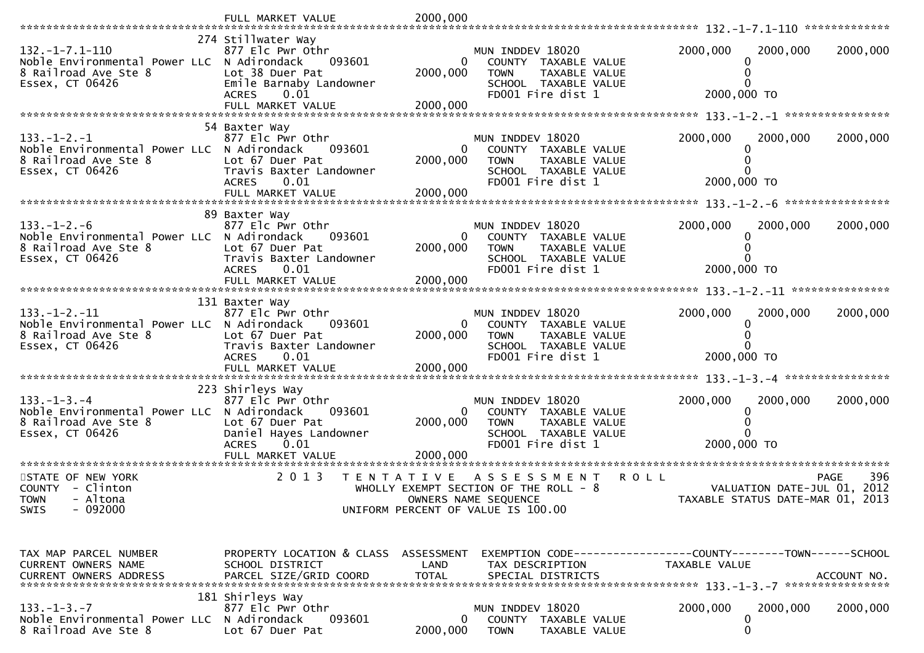|                                                                                                                          | FULL MARKET VALUE                                                                                                                      | 2000,000                               |                                                                                                                             |                                                                               |                            |
|--------------------------------------------------------------------------------------------------------------------------|----------------------------------------------------------------------------------------------------------------------------------------|----------------------------------------|-----------------------------------------------------------------------------------------------------------------------------|-------------------------------------------------------------------------------|----------------------------|
| $132. - 1 - 7.1 - 110$<br>Noble Environmental Power LLC N Adirondack<br>8 Railroad Ave Ste 8<br>Essex, CT 06426          | 274 Stillwater Way<br>877 Elc Pwr Othr<br>093601<br>Lot 38 Duer Pat<br>Emile Barnaby Landowner<br><b>ACRES</b><br>0.01                 | 0<br>2000,000<br>2000,000              | MUN INDDEV 18020<br>COUNTY TAXABLE VALUE<br><b>TOWN</b><br>TAXABLE VALUE<br>SCHOOL TAXABLE VALUE<br>FD001 Fire dist 1       | 2000,000<br>2000,000<br>2000,000 TO                                           | 2000,000                   |
|                                                                                                                          |                                                                                                                                        |                                        |                                                                                                                             |                                                                               |                            |
| $133. - 1 - 2. - 1$<br>Noble Environmental Power LLC N Adirondack<br>8 Railroad Ave Ste 8<br>Essex, CT 06426             | 54 Baxter Way<br>877 Elc Pwr Othr<br>093601<br>Lot 67 Duer Pat<br>Travis Baxter Landowner<br>0.01<br><b>ACRES</b>                      | $\Omega$<br>2000,000                   | MUN INDDEV 18020<br>COUNTY TAXABLE VALUE<br>TAXABLE VALUE<br><b>TOWN</b><br>SCHOOL TAXABLE VALUE<br>FD001 Fire dist 1       | 2000,000<br>2000,000<br>2000,000 TO                                           | 2000,000                   |
|                                                                                                                          |                                                                                                                                        |                                        |                                                                                                                             |                                                                               |                            |
| $133. - 1 - 2. - 6$<br>Noble Environmental Power LLC N Adirondack<br>8 Railroad Ave Ste 8<br>Essex, CT 06426             | 89 Baxter Way<br>877 Elc Pwr Othr<br>093601<br>Lot 67 Duer Pat<br>Travis Baxter Landowner<br>0.01<br><b>ACRES</b><br>FULL MARKET VALUE | $\overline{0}$<br>2000,000<br>2000,000 | MUN INDDEV 18020<br>COUNTY TAXABLE VALUE<br><b>TOWN</b><br>TAXABLE VALUE<br>SCHOOL TAXABLE VALUE<br>FD001 Fire dist 1       | 2000,000<br>2000,000<br>2000,000 TO                                           | 2000,000                   |
|                                                                                                                          | 131 Baxter Way                                                                                                                         |                                        |                                                                                                                             |                                                                               |                            |
| $133. - 1 - 2. - 11$<br>Noble Environmental Power LLC N Adirondack<br>8 Railroad Ave Ste 8<br>Essex, CT 06426            | 877 Elc Pwr Othr<br>093601<br>Lot 67 Duer Pat<br>Travis Baxter Landowner<br><b>ACRES</b><br>0.01<br>FULL MARKET VALUE                  | $\overline{0}$<br>2000,000<br>2000,000 | MUN INDDEV 18020<br>COUNTY TAXABLE VALUE<br><b>TOWN</b><br>TAXABLE VALUE<br>SCHOOL TAXABLE VALUE<br>FD001 Fire dist 1       | 2000,000<br>2000,000<br>2000,000 TO                                           | 2000,000                   |
|                                                                                                                          | 223 Shirleys Way                                                                                                                       |                                        |                                                                                                                             |                                                                               |                            |
| $133. - 1 - 3. - 4$<br>Noble Environmental Power LLC N Adirondack<br>8 Railroad Ave Ste 8<br>Essex, CT 06426             | 877 Elc Pwr Othr<br>093601<br>Lot 67 Duer Pat<br>Daniel Hayes Landowner<br><b>ACRES</b><br>0.01                                        | 0<br>2000,000                          | MUN INDDEV 18020<br>COUNTY TAXABLE VALUE<br><b>TOWN</b><br>TAXABLE VALUE<br>SCHOOL TAXABLE VALUE<br>FD001 Fire dist 1       | 2000,000<br>2000,000<br>2000,000 TO                                           | 2000,000                   |
|                                                                                                                          |                                                                                                                                        |                                        |                                                                                                                             |                                                                               |                            |
| *******************************<br>STATE OF NEW YORK<br>COUNTY - Clinton<br>- Altona<br><b>TOWN</b><br>SWIS<br>$-092000$ | 2013<br>T E N T A T I V E                                                                                                              |                                        | A S S E S S M E N T<br>WHOLLY EXEMPT SECTION OF THE ROLL $-8$<br>OWNERS NAME SEQUENCE<br>UNIFORM PERCENT OF VALUE IS 100.00 | R O L L<br>VALUATION DATE-JUL 01,<br>TAXABLE STATUS DATE-MAR 01, 2013         | 396<br><b>PAGE</b><br>2012 |
| TAX MAP PARCEL NUMBER<br>CURRENT OWNERS NAME                                                                             | PROPERTY LOCATION & CLASS ASSESSMENT<br>SCHOOL DISTRICT                                                                                | LAND<br><b>TOTAL</b>                   | TAX DESCRIPTION<br>SPECIAL DISTRICTS                                                                                        | EXEMPTION CODE-----------------COUNTY-------TOWN------SCHOOL<br>TAXABLE VALUE | ACCOUNT NO.                |
| CURRENT OWNERS ADDRESS                                                                                                   | PARCEL SIZE/GRID COORD                                                                                                                 |                                        |                                                                                                                             |                                                                               |                            |
| $133. - 1 - 3. - 7$<br>Noble Environmental Power LLC N Adirondack<br>8 Railroad Ave Ste 8                                | 181 Shirleys Way<br>877 Elc Pwr Othr<br>093601<br>Lot 67 Duer Pat                                                                      | $\mathbf{0}$<br>2000,000               | MUN INDDEV 18020<br>COUNTY TAXABLE VALUE<br><b>TOWN</b><br>TAXABLE VALUE                                                    | 2000,000<br>2000,000<br>0<br>0                                                | 2000,000                   |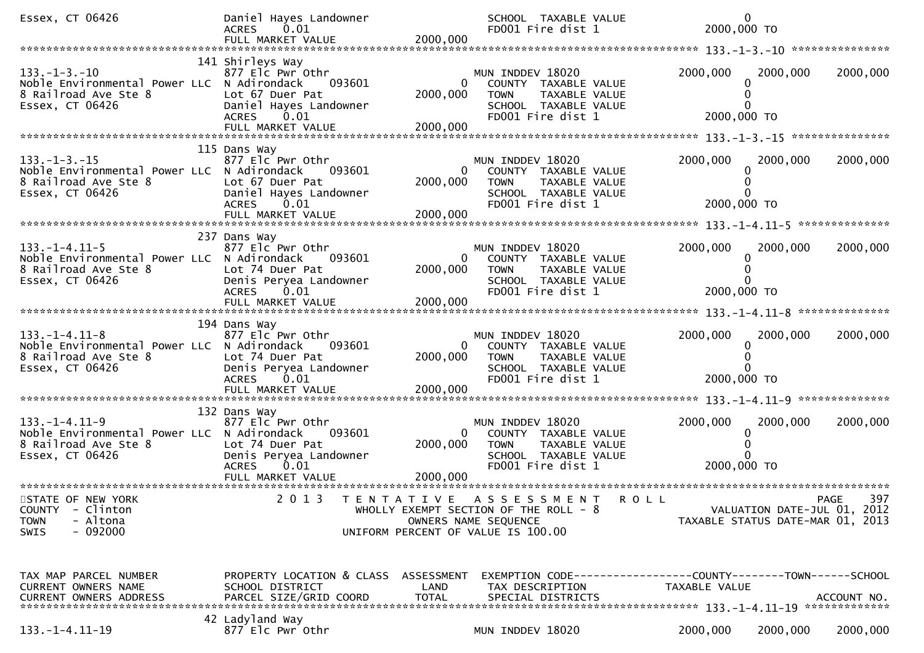| Essex, CT 06426                                                                                                | Daniel Hayes Landowner<br><b>ACRES</b><br>0.01<br>FULL MARKET VALUE                                                 | 2000,000                           | SCHOOL TAXABLE VALUE<br>FD001 Fire dist 1                                                                                             | $\mathbf 0$<br>2000,000 TO                                      |             |
|----------------------------------------------------------------------------------------------------------------|---------------------------------------------------------------------------------------------------------------------|------------------------------------|---------------------------------------------------------------------------------------------------------------------------------------|-----------------------------------------------------------------|-------------|
|                                                                                                                |                                                                                                                     |                                    |                                                                                                                                       |                                                                 |             |
| $133. - 1 - 3. - 10$<br>Noble Environmental Power LLC N Adirondack<br>8 Railroad Ave Ste 8<br>Essex, CT 06426  | 141 Shirleys Way<br>877 Elc Pwr Othr<br>093601<br>Lot 67 Duer Pat<br>Daniel Hayes Landowner<br><b>ACRES</b><br>0.01 | 0<br>2000,000<br>2000,000          | MUN INDDEV 18020<br>COUNTY TAXABLE VALUE<br><b>TOWN</b><br>TAXABLE VALUE<br>SCHOOL TAXABLE VALUE<br>FD001 Fire dist 1                 | 2000,000<br>2000,000<br>2000,000 TO                             | 2000,000    |
|                                                                                                                |                                                                                                                     |                                    |                                                                                                                                       |                                                                 |             |
| $133. - 1 - 3. - 15$<br>Noble Environmental Power LLC N Adirondack<br>8 Railroad Ave Ste 8<br>Essex, CT 06426  | 115 Dans Way<br>877 Elc Pwr Othr<br>093601<br>Lot 67 Duer Pat<br>Daniel Hayes Landowner<br><b>ACRES</b><br>0.01     | 2000,000                           | MUN INDDEV 18020<br>COUNTY TAXABLE VALUE<br><b>TOWN</b><br>TAXABLE VALUE<br>SCHOOL TAXABLE VALUE<br>FD001 Fire dist 1                 | 2000,000<br>2000,000<br>2000,000 TO                             | 2000,000    |
|                                                                                                                | 237 Dans Way                                                                                                        |                                    |                                                                                                                                       |                                                                 |             |
| $133. - 1 - 4.11 - 5$<br>Noble Environmental Power LLC N Adirondack<br>8 Railroad Ave Ste 8<br>Essex, CT 06426 | 877 Elc Pwr Othr<br>093601<br>Lot 74 Duer Pat<br>Denis Peryea Landowner<br><b>ACRES</b><br>0.01                     | $\Omega$<br>2000,000               | MUN INDDEV 18020<br>COUNTY TAXABLE VALUE<br><b>TOWN</b><br>TAXABLE VALUE<br>SCHOOL TAXABLE VALUE<br>FD001 Fire dist 1                 | 2000,000<br>2000,000<br>2000,000 TO                             | 2000,000    |
|                                                                                                                | FULL MARKET VALUE                                                                                                   | 2000,000                           |                                                                                                                                       |                                                                 |             |
|                                                                                                                | 194 Dans Way                                                                                                        |                                    |                                                                                                                                       |                                                                 |             |
| $133. - 1 - 4.11 - 8$<br>Noble Environmental Power LLC N Adirondack<br>8 Railroad Ave Ste 8<br>Essex, CT 06426 | 877 Elc Pwr Othr<br>093601<br>Lot 74 Duer Pat<br>Denis Peryea Landowner<br>ACRES 0.01                               | $\overline{0}$<br>2000,000         | MUN INDDEV 18020<br>COUNTY TAXABLE VALUE<br><b>TOWN</b><br>TAXABLE VALUE<br>SCHOOL TAXABLE VALUE<br>FD001 Fire dist 1                 | 2000,000<br>2000,000<br>2000,000 TO                             | 2000,000    |
|                                                                                                                | 132 Dans Way                                                                                                        |                                    |                                                                                                                                       |                                                                 |             |
| $133. - 1 - 4.11 - 9$<br>Noble Environmental Power LLC N Adirondack<br>8 Railroad Ave Ste 8<br>Essex, CT 06426 | 877 Elc Pwr Othr<br>093601<br>Lot 74 Duer Pat<br>Denis Peryea Landowner<br><b>ACRES</b><br>0.01                     | $\overline{0}$<br>2000,000         | MUN INDDEV 18020<br>COUNTY TAXABLE VALUE<br><b>TOWN</b><br>TAXABLE VALUE<br>SCHOOL TAXABLE VALUE<br>FD001 Fire dist 1                 | 2000,000<br>2000,000<br>2000,000 TO                             | 2000,000    |
|                                                                                                                | FULL MARKET VALUE                                                                                                   | 2000,000                           |                                                                                                                                       |                                                                 |             |
| STATE OF NEW YORK<br>- Clinton<br><b>COUNTY</b><br>- Altona<br><b>TOWN</b><br>$-092000$<br>SWIS                | 2 0 1 3<br>T E N T A T I V E                                                                                        |                                    | A S S E S S M E N T<br>R O L L<br>WHOLLY EXEMPT SECTION OF THE ROLL - 8<br>OWNERS NAME SEQUENCE<br>UNIFORM PERCENT OF VALUE IS 100.00 | VALUATION DATE-JUL 01, 2012<br>TAXABLE STATUS DATE-MAR 01, 2013 | 397<br>PAGE |
| TAX MAP PARCEL NUMBER<br>CURRENT OWNERS NAME<br><b>CURRENT OWNERS ADDRESS</b>                                  | PROPERTY LOCATION & CLASS<br>SCHOOL DISTRICT<br>PARCEL SIZE/GRID COORD                                              | ASSESSMENT<br>LAND<br><b>TOTAL</b> | EXEMPTION CODE-----------------COUNTY-------TOWN------SCHOOL<br>TAX DESCRIPTION<br>SPECIAL DISTRICTS                                  | TAXABLE VALUE                                                   | ACCOUNT NO. |
| $133. -1 - 4.11 - 19$                                                                                          | 42 Ladyland Way<br>877 Elc Pwr Othr                                                                                 |                                    | MUN INDDEV 18020                                                                                                                      | 2000,000<br>2000,000                                            | 2000,000    |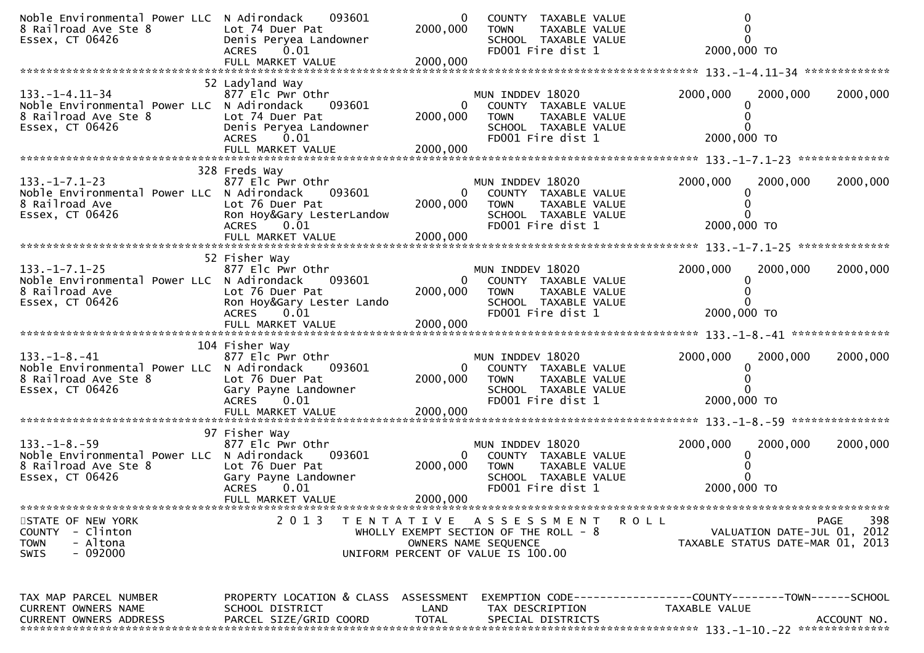| Noble Environmental Power LLC N Adirondack<br>8 Railroad Ave Ste 8<br>Essex, CT 06426                           | 093601<br>Lot 74 Duer Pat<br>Denis Peryea Landowner<br><b>ACRES</b><br>0.01                                                         | 0<br>2000,000                          | COUNTY TAXABLE VALUE<br>TAXABLE VALUE<br><b>TOWN</b><br>SCHOOL TAXABLE VALUE<br>FD001 Fire dist 1                                     | 2000,000 TO                                                                   |                                                                                |
|-----------------------------------------------------------------------------------------------------------------|-------------------------------------------------------------------------------------------------------------------------------------|----------------------------------------|---------------------------------------------------------------------------------------------------------------------------------------|-------------------------------------------------------------------------------|--------------------------------------------------------------------------------|
|                                                                                                                 | 52 Ladyland Way                                                                                                                     |                                        |                                                                                                                                       |                                                                               |                                                                                |
| $133. - 1 - 4.11 - 34$<br>Noble Environmental Power LLC N Adirondack<br>8 Railroad Ave Ste 8<br>Essex, CT 06426 | 877 Elc Pwr Othr<br>093601<br>Lot 74 Duer Pat<br>Denis Peryea Landowner<br><b>ACRES</b><br>0.01                                     | 0<br>2000,000                          | MUN INDDEV 18020<br>COUNTY TAXABLE VALUE<br>TAXABLE VALUE<br><b>TOWN</b><br>SCHOOL TAXABLE VALUE<br>FD001 Fire dist 1                 | 2000,000<br>2000,000 TO                                                       | 2000,000<br>2000,000                                                           |
|                                                                                                                 |                                                                                                                                     |                                        |                                                                                                                                       |                                                                               |                                                                                |
|                                                                                                                 |                                                                                                                                     |                                        |                                                                                                                                       |                                                                               |                                                                                |
| $133. - 1 - 7.1 - 23$<br>Noble Environmental Power LLC N Adirondack<br>8 Railroad Ave<br>Essex, CT 06426        | 328 Freds Way<br>877 Elc Pwr Othr<br>093601<br>Lot 76 Duer Pat<br>Ron Hoy&Gary LesterLandow<br>ACRES 0.01<br>FULL MARKET VALUE      | $\overline{0}$<br>2000,000<br>2000,000 | MUN INDDEV 18020<br>COUNTY TAXABLE VALUE<br><b>TOWN</b><br>TAXABLE VALUE<br>SCHOOL TAXABLE VALUE<br>FD001 Fire dist 1                 | 2000,000<br>2000,000 TO                                                       | 2000,000<br>2000,000                                                           |
|                                                                                                                 |                                                                                                                                     |                                        |                                                                                                                                       |                                                                               |                                                                                |
| $133. - 1 - 7.1 - 25$<br>Noble Environmental Power LLC N Adirondack<br>8 Railroad Ave<br>Essex, CT 06426        | 52 Fisher Way<br>877 Elc Pwr Othr<br>093601<br>Lot 76 Duer Pat<br>Ron Hoy&Gary Lester Lando<br>ACRES 0.01                           | $\Omega$<br>2000,000                   | MUN INDDEV 18020<br>COUNTY TAXABLE VALUE<br><b>TOWN</b><br>TAXABLE VALUE<br>SCHOOL TAXABLE VALUE<br>FD001 Fire dist 1                 | 2000,000<br>2000,000 TO                                                       | 2000,000<br>2000,000                                                           |
|                                                                                                                 |                                                                                                                                     |                                        |                                                                                                                                       |                                                                               |                                                                                |
|                                                                                                                 | 104 Fisher Way                                                                                                                      |                                        |                                                                                                                                       |                                                                               |                                                                                |
| $133. - 1 - 8. - 41$<br>Noble Environmental Power LLC N Adirondack<br>8 Railroad Ave Ste 8<br>Essex, CT 06426   | 877 Elc Pwr Othr<br>093601<br>Lot 76 Duer Pat<br>Gary Payne Landowner<br><b>ACRES</b><br>0.01<br>FULL MARKET VALUE                  | 2000,000<br>2000,000                   | MUN INDDEV 18020<br>$\mathbf{0}$<br>COUNTY TAXABLE VALUE<br><b>TOWN</b><br>TAXABLE VALUE<br>SCHOOL TAXABLE VALUE<br>FD001 Fire dist 1 | 2000,000<br>2000,000 TO                                                       | 2000,000<br>2000,000                                                           |
|                                                                                                                 |                                                                                                                                     |                                        |                                                                                                                                       |                                                                               |                                                                                |
| $133. - 1 - 8. - 59$<br>Noble Environmental Power LLC N Adirondack<br>8 Railroad Ave Ste 8<br>Essex, CT 06426   | 97 Fisher Way<br>877 Elc Pwr Othr<br>093601<br>Lot 76 Duer Pat<br>Gary Payne Landowner<br><b>ACRES</b><br>0.01<br>FULL MARKET VALUE | $\Omega$<br>2000,000<br>2000,000       | MUN INDDEV 18020<br>COUNTY TAXABLE VALUE<br><b>TOWN</b><br>TAXABLE VALUE<br>SCHOOL TAXABLE VALUE<br>FD001 Fire dist 1                 | 2000,000<br>2000,000 TO                                                       | 2000,000<br>2000,000                                                           |
|                                                                                                                 |                                                                                                                                     |                                        |                                                                                                                                       |                                                                               |                                                                                |
| STATE OF NEW YORK<br>- Clinton<br><b>COUNTY</b><br>- Altona<br><b>TOWN</b><br>- 092000<br><b>SWIS</b>           | 2 0 1 3<br>T E N T A T I V E                                                                                                        |                                        | A S S E S S M E N T<br>WHOLLY EXEMPT SECTION OF THE ROLL - 8<br>OWNERS NAME SEQUENCE<br>UNIFORM PERCENT OF VALUE IS 100.00            | <b>ROLL</b>                                                                   | 398<br>PAGE<br>VALUATION DATE-JUL 01, 2012<br>TAXABLE STATUS DATE-MAR 01, 2013 |
| TAX MAP PARCEL NUMBER<br>CURRENT OWNERS NAME<br>CURRENT OWNERS ADDRESS                                          | PROPERTY LOCATION & CLASS ASSESSMENT<br>SCHOOL DISTRICT<br>PARCEL SIZE/GRID COORD                                                   | LAND<br><b>TOTAL</b>                   | TAX DESCRIPTION<br>SPECIAL DISTRICTS                                                                                                  | EXEMPTION CODE-----------------COUNTY-------TOWN------SCHOOL<br>TAXABLE VALUE | ACCOUNT NO.                                                                    |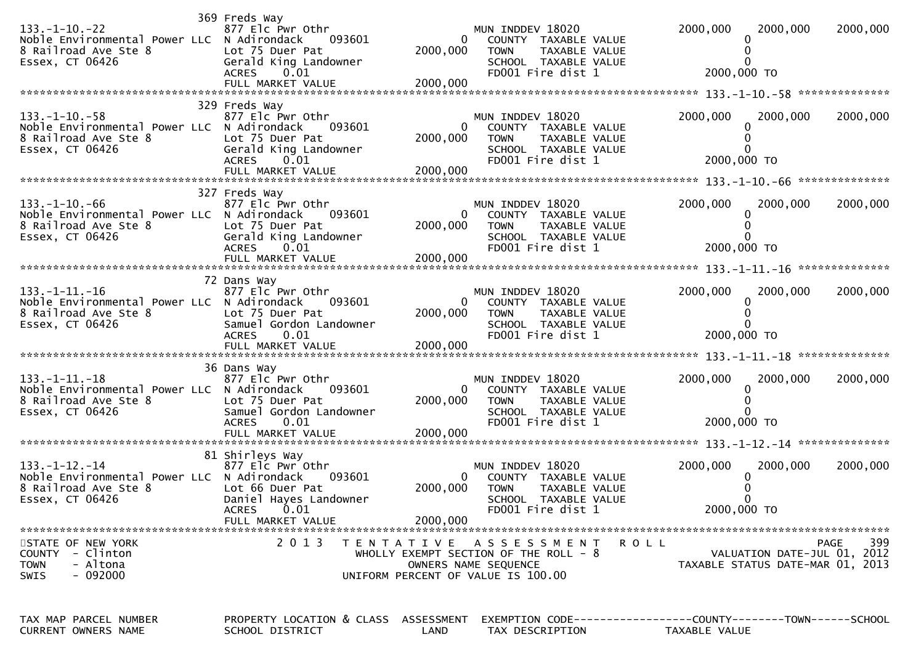| $133. - 1 - 10. - 22$<br>Noble Environmental Power LLC N Adirondack<br>8 Railroad Ave Ste 8<br>Essex, CT 06426 | 369 Freds Way<br>877 Elc Pwr Othr<br>093601<br>Lot 75 Duer Pat<br>Gerald King Landowner<br><b>ACRES</b><br>0.01                      | $\mathbf{0}$<br>2000,000               | MUN INDDEV 18020<br>COUNTY TAXABLE VALUE<br><b>TOWN</b><br>TAXABLE VALUE<br>SCHOOL TAXABLE VALUE<br>FD001 Fire dist 1       | 2000,000<br>2000,000<br>2000,000 TO                                        | 2000,000    |
|----------------------------------------------------------------------------------------------------------------|--------------------------------------------------------------------------------------------------------------------------------------|----------------------------------------|-----------------------------------------------------------------------------------------------------------------------------|----------------------------------------------------------------------------|-------------|
|                                                                                                                | 329 Freds Way                                                                                                                        |                                        |                                                                                                                             |                                                                            |             |
| $133. - 1 - 10. - 58$<br>Noble Environmental Power LLC N Adirondack<br>8 Railroad Ave Ste 8<br>Essex, CT 06426 | 877 Elc Pwr Othr<br>093601<br>Lot 75 Duer Pat<br>Gerald King Landowner<br><b>ACRES</b><br>0.01<br>FULL MARKET VALUE                  | $\overline{0}$<br>2000,000<br>2000,000 | MUN INDDEV 18020<br>COUNTY TAXABLE VALUE<br>TAXABLE VALUE<br><b>TOWN</b><br>SCHOOL TAXABLE VALUE<br>FD001 Fire dist 1       | 2000,000<br>2000,000<br>2000,000 TO                                        | 2000,000    |
|                                                                                                                |                                                                                                                                      |                                        |                                                                                                                             |                                                                            |             |
| $133. - 1 - 10. - 66$<br>Noble Environmental Power LLC N Adirondack<br>8 Railroad Ave Ste 8<br>Essex, CT 06426 | 327 Freds Way<br>877 Elc Pwr Othr<br>093601<br>Lot 75 Duer Pat<br>Gerald King Landowner<br><b>ACRES</b><br>0.01                      | $\mathbf{0}$<br>2000,000               | MUN INDDEV 18020<br>COUNTY TAXABLE VALUE<br><b>TOWN</b><br>TAXABLE VALUE<br>SCHOOL TAXABLE VALUE<br>FD001 Fire dist 1       | 2000,000<br>2000,000<br>2000,000 TO                                        | 2000,000    |
|                                                                                                                |                                                                                                                                      |                                        |                                                                                                                             |                                                                            |             |
| $133. - 1 - 11. - 16$<br>Noble Environmental Power LLC N Adirondack<br>8 Railroad Ave Ste 8<br>Essex, CT 06426 | 72 Dans Way<br>877 Elc Pwr Othr<br>093601<br>Lot 75 Duer Pat<br>Samuel Gordon Landowner<br>0.01<br><b>ACRES</b>                      | 0<br>2000,000                          | MUN INDDEV 18020<br>COUNTY TAXABLE VALUE<br><b>TOWN</b><br>TAXABLE VALUE<br>SCHOOL TAXABLE VALUE<br>FD001 Fire dist 1       | 2000,000<br>2000,000<br>2000,000 TO                                        | 2000,000    |
|                                                                                                                |                                                                                                                                      |                                        |                                                                                                                             |                                                                            |             |
| $133. -1 - 11. -18$<br>Noble Environmental Power LLC N Adirondack<br>8 Railroad Ave Ste 8<br>Essex, CT 06426   | 36 Dans Way<br>877 Elc Pwr Othr<br>093601<br>Lot 75 Duer Pat<br>Samuel Gordon Landowner<br><b>ACRES</b><br>0.01<br>FULL MARKET VALUE | $\overline{0}$<br>2000,000<br>2000,000 | MUN INDDEV 18020<br>COUNTY TAXABLE VALUE<br><b>TOWN</b><br>TAXABLE VALUE<br>SCHOOL TAXABLE VALUE<br>FD001 Fire dist 1       | 2000,000<br>2000,000<br>2000,000 TO                                        | 2000,000    |
|                                                                                                                | 81 Shirleys Way                                                                                                                      |                                        |                                                                                                                             |                                                                            |             |
| $133. - 1 - 12. - 14$<br>Noble Environmental Power LLC N Adirondack<br>8 Railroad Ave Ste 8<br>Essex, CT 06426 | 877 Elc Pwr Othr<br>093601<br>Lot 66 Duer Pat<br>Daniel Hayes Landowner<br>0.01<br><b>ACRES</b><br>FULL MARKET VALUE                 | $\mathbf{0}$<br>2000,000<br>2000,000   | MUN INDDEV 18020<br>COUNTY TAXABLE VALUE<br><b>TOWN</b><br>TAXABLE VALUE<br>SCHOOL TAXABLE VALUE<br>FD001 Fire dist 1       | 2000,000<br>2000,000<br>2000,000 TO                                        | 2000,000    |
|                                                                                                                |                                                                                                                                      |                                        |                                                                                                                             |                                                                            |             |
| STATE OF NEW YORK<br><b>COUNTY</b><br>- Clinton<br>- Altona<br><b>TOWN</b><br>$-092000$<br>SWIS                | 2 0 1 3                                                                                                                              |                                        | TENTATIVE ASSESSMENT<br>WHOLLY EXEMPT SECTION OF THE ROLL - 8<br>OWNERS NAME SEQUENCE<br>UNIFORM PERCENT OF VALUE IS 100.00 | R O L L<br>VALUATION DATE-JUL 01, 2012<br>TAXABLE STATUS DATE-MAR 01, 2013 | 399<br>PAGE |
| TAX MAP PARCEL NUMBER<br>CURRENT OWNERS NAME                                                                   | PROPERTY LOCATION & CLASS ASSESSMENT<br>SCHOOL DISTRICT                                                                              | LAND                                   | TAX DESCRIPTION                                                                                                             | TAXABLE VALUE                                                              |             |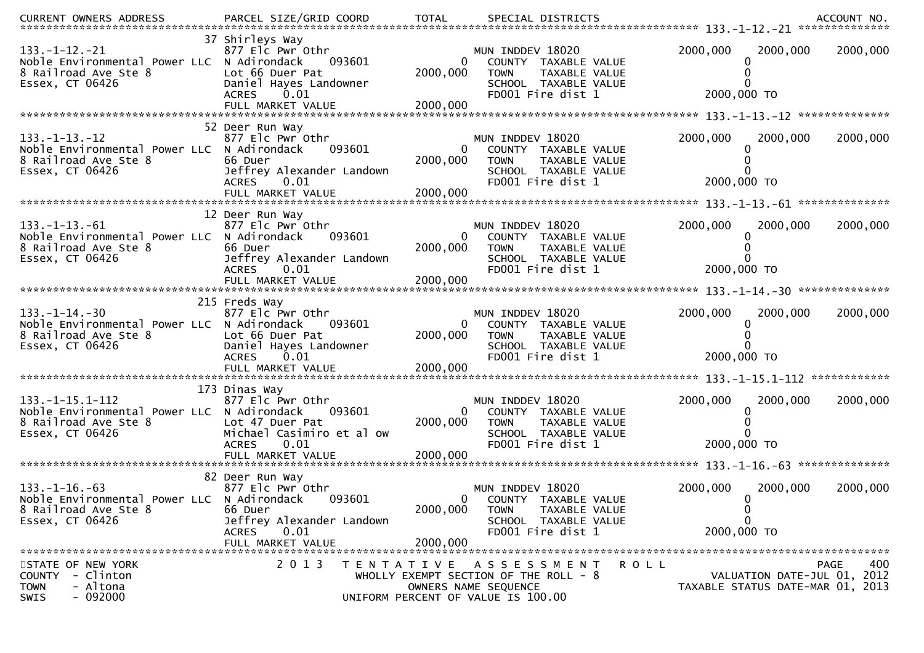| <b>CURRENT OWNERS ADDRESS</b>                                                                                    | PARCEL SIZE/GRID COORD                                                                                               | <b>TOTAL</b>                           | SPECIAL DISTRICTS                                                                                                           |             |                                                                 | ACCOUNT NO.        |
|------------------------------------------------------------------------------------------------------------------|----------------------------------------------------------------------------------------------------------------------|----------------------------------------|-----------------------------------------------------------------------------------------------------------------------------|-------------|-----------------------------------------------------------------|--------------------|
| $133. - 1 - 12. - 21$<br>Noble Environmental Power LLC N Adirondack<br>8 Railroad Ave Ste 8<br>Essex, CT 06426   | 37 Shirleys Way<br>877 Elc Pwr Othr<br>093601<br>Lot 66 Duer Pat<br>Daniel Hayes Landowner<br><b>ACRES</b><br>0.01   | 0<br>2000,000                          | MUN INDDEV 18020<br>COUNTY TAXABLE VALUE<br><b>TOWN</b><br>TAXABLE VALUE<br>SCHOOL TAXABLE VALUE<br>FD001 Fire dist 1       | 2000,000    | 2000,000<br>2000,000 TO                                         | 2000,000           |
|                                                                                                                  | 52 Deer Run Way                                                                                                      |                                        |                                                                                                                             |             |                                                                 |                    |
| $133. -1 - 13. -12$<br>Noble Environmental Power LLC N Adirondack<br>8 Railroad Ave Ste 8<br>Essex, CT 06426     | 877 Elc Pwr Othr<br>093601<br>66 Duer<br>Jeffrey Alexander Landown<br>0.01<br><b>ACRES</b>                           | $\overline{0}$<br>2000,000             | MUN INDDEV 18020<br>COUNTY TAXABLE VALUE<br><b>TOWN</b><br>TAXABLE VALUE<br>SCHOOL TAXABLE VALUE<br>FD001 Fire dist 1       | 2000,000    | 2000,000<br>2000,000 TO                                         | 2000,000           |
|                                                                                                                  |                                                                                                                      |                                        |                                                                                                                             |             |                                                                 |                    |
| $133. - 1 - 13. - 61$<br>Noble Environmental Power LLC N Adirondack<br>8 Railroad Ave Ste 8<br>Essex, CT 06426   | 12 Deer Run Way<br>877 Elc Pwr Othr<br>093601<br>66 Duer<br>Jeffrey Alexander Landown<br><b>ACRES</b><br>0.01        | $\overline{0}$<br>2000,000             | MUN INDDEV 18020<br>COUNTY TAXABLE VALUE<br><b>TOWN</b><br>TAXABLE VALUE<br>SCHOOL TAXABLE VALUE<br>FD001 Fire dist 1       | 2000,000    | 2000,000<br>2000,000 TO                                         | 2000,000           |
|                                                                                                                  | FULL MARKET VALUE                                                                                                    | 2000,000                               |                                                                                                                             |             |                                                                 |                    |
|                                                                                                                  | 215 Freds Way                                                                                                        |                                        |                                                                                                                             |             |                                                                 |                    |
| $133. - 1 - 14. - 30$<br>Noble Environmental Power LLC N Adirondack<br>8 Railroad Ave Ste 8<br>Essex, CT 06426   | 877 Elc Pwr Othr<br>093601<br>Lot 66 Duer Pat<br>Daniel Hayes Landowner<br><b>ACRES</b><br>0.01<br>FULL MARKET VALUE | $\overline{0}$<br>2000,000<br>2000,000 | MUN INDDEV 18020<br>COUNTY TAXABLE VALUE<br>TAXABLE VALUE<br><b>TOWN</b><br>SCHOOL TAXABLE VALUE<br>FD001 Fire dist 1       | 2000,000    | 2000,000<br>2000,000 TO                                         | 2000,000           |
|                                                                                                                  | 173 Dinas Way                                                                                                        |                                        |                                                                                                                             |             |                                                                 |                    |
| $133. - 1 - 15.1 - 112$<br>Noble Environmental Power LLC N Adirondack<br>8 Railroad Ave Ste 8<br>Essex, CT 06426 | 877 Elc Pwr Othr<br>093601<br>Lot 47 Duer Pat<br>Michael Casimiro et al ow<br>0.01<br><b>ACRES</b>                   | $\Omega$<br>2000,000                   | MUN INDDEV 18020<br>COUNTY TAXABLE VALUE<br><b>TOWN</b><br>TAXABLE VALUE<br>SCHOOL TAXABLE VALUE<br>FD001 Fire dist 1       | 2000,000    | 2000,000<br>2000,000 TO                                         | 2000,000           |
|                                                                                                                  |                                                                                                                      |                                        |                                                                                                                             |             |                                                                 |                    |
|                                                                                                                  | 82 Deer Run Way                                                                                                      |                                        |                                                                                                                             |             |                                                                 |                    |
| $133. - 1 - 16. - 63$<br>Noble Environmental Power LLC N Adirondack<br>8 Railroad Ave Ste 8<br>Essex, CT 06426   | 877 Elc Pwr Othr<br>093601<br>66 Duer<br>Jeffrey Alexander Landown<br>0.01<br>ACRES<br>FULL MARKET VALUE             | 0<br>2000,000<br>2000,000              | MUN INDDEV 18020<br>COUNTY TAXABLE VALUE<br>TAXABLE VALUE<br><b>TOWN</b><br>SCHOOL TAXABLE VALUE<br>FD001 Fire dist 1       | 2000,000    | 2000,000<br>$\Omega$<br>0<br>$\Omega$<br>2000,000 TO            | 2000,000           |
|                                                                                                                  |                                                                                                                      |                                        |                                                                                                                             |             |                                                                 |                    |
| STATE OF NEW YORK<br>- Clinton<br><b>COUNTY</b><br>- Altona<br><b>TOWN</b><br>$-092000$<br><b>SWIS</b>           | 2 0 1 3                                                                                                              |                                        | TENTATIVE ASSESSMENT<br>WHOLLY EXEMPT SECTION OF THE ROLL - 8<br>OWNERS NAME SEQUENCE<br>UNIFORM PERCENT OF VALUE IS 100.00 | <b>ROLL</b> | VALUATION DATE-JUL 01, 2012<br>TAXABLE STATUS DATE-MAR 01, 2013 | 400<br><b>PAGE</b> |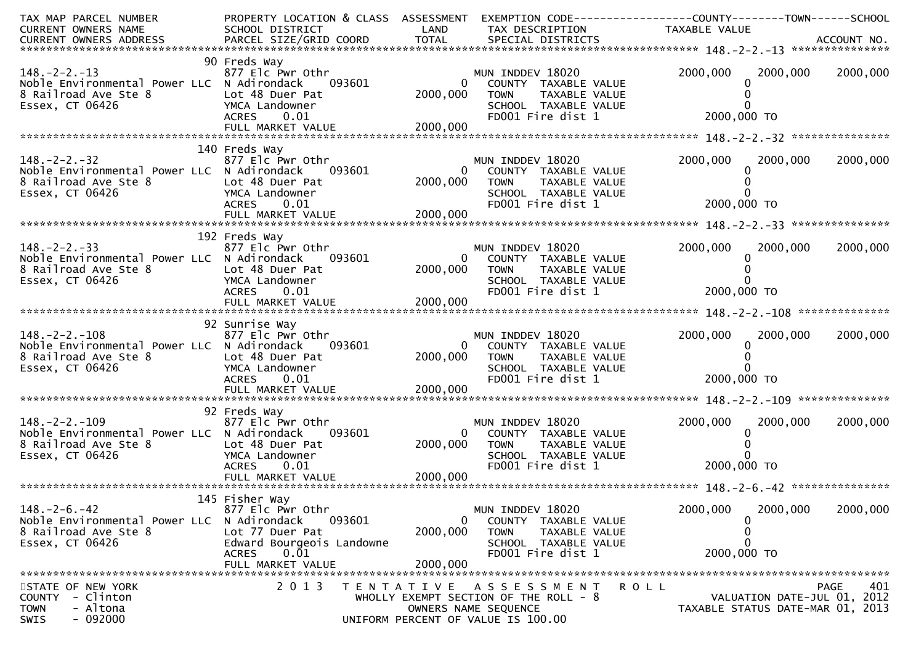| TAX MAP PARCEL NUMBER<br>CURRENT OWNERS NAME                                                                   | PROPERTY LOCATION & CLASS ASSESSMENT<br>SCHOOL DISTRICT                                                                                 | LAND                      | EXEMPTION CODE-----------------COUNTY--------TOWN------SCHOOL<br>TAX DESCRIPTION                                                           | TAXABLE VALUE                                                   |                    |
|----------------------------------------------------------------------------------------------------------------|-----------------------------------------------------------------------------------------------------------------------------------------|---------------------------|--------------------------------------------------------------------------------------------------------------------------------------------|-----------------------------------------------------------------|--------------------|
|                                                                                                                |                                                                                                                                         |                           |                                                                                                                                            |                                                                 |                    |
| $148. - 2 - 2. - 13$<br>Noble Environmental Power LLC N Adirondack<br>8 Railroad Ave Ste 8<br>Essex, CT 06426  | 90 Freds Way<br>877 Elc Pwr Othr<br>093601<br>Lot 48 Duer Pat<br>YMCA Landowner<br>ACRES 0.01                                           | $\mathbf{0}$<br>2000,000  | MUN INDDEV 18020<br>COUNTY TAXABLE VALUE<br><b>TOWN</b><br>TAXABLE VALUE<br>SCHOOL TAXABLE VALUE<br>FD001 Fire dist 1                      | 2000,000<br>2000,000 TO                                         | 2000,000 2000,000  |
|                                                                                                                | 140 Freds Way                                                                                                                           |                           |                                                                                                                                            |                                                                 |                    |
| $148. -2 - 2. -32$<br>Noble Environmental Power LLC N Adirondack<br>8 Railroad Ave Ste 8<br>Essex, CT 06426    | 877 Elc Pwr Othr<br>093601<br>Lot 48 Duer Pat<br>YMCA Landowner<br>ACRES 0.01                                                           | 2000,000                  | MUN INDDEV 18020<br>0 COUNTY TAXABLE VALUE<br>TAXABLE VALUE<br><b>TOWN</b><br>SCHOOL TAXABLE VALUE<br>FD001 Fire dist 1                    | 2000,000<br>2000,000<br>2000,000 TO                             | 2000,000           |
|                                                                                                                | FULL MARKET VALUE                                                                                                                       | 2000,000                  |                                                                                                                                            |                                                                 |                    |
| $148. - 2 - 2. - 33$<br>Noble Environmental Power LLC N Adirondack<br>8 Railroad Ave Ste 8<br>Essex, CT 06426  | 192 Freds Way<br>877 Elc Pwr Othr<br>093601<br>Lot 48 Duer Pat<br>YMCA Landowner<br>ACRES 0.01                                          | $\mathbf{0}$<br>2000,000  | MUN INDDEV 18020<br>COUNTY TAXABLE VALUE<br><b>TOWN</b><br>TAXABLE VALUE<br>SCHOOL TAXABLE VALUE<br>FD001 Fire dist 1                      | 2000,000<br>2000,000<br>2000,000 TO                             | 2000,000           |
|                                                                                                                |                                                                                                                                         |                           |                                                                                                                                            |                                                                 |                    |
| $148. - 2 - 2. - 108$<br>Noble Environmental Power LLC N Adirondack<br>8 Railroad Ave Ste 8<br>Essex, CT 06426 | 92 Sunrise Way<br>877 Elc Pwr Othr<br>093601<br>Lot 48 Duer Pat<br>YMCA Landowner<br>ACRES 0.01                                         | 2000,000                  | MUN INDDEV 18020<br>0 COUNTY TAXABLE VALUE<br><b>TOWN</b><br>TAXABLE VALUE<br>SCHOOL TAXABLE VALUE<br>FD001 Fire dist 1                    | 2000,000<br>2000,000<br>2000,000 TO                             | 2000,000           |
|                                                                                                                |                                                                                                                                         |                           |                                                                                                                                            |                                                                 |                    |
| $148. -2 - 2. -109$<br>Noble Environmental Power LLC N Adirondack<br>8 Railroad Ave Ste 8<br>Essex, CT 06426   | 92 Freds Way<br>877 Elc Pwr Othr<br>093601<br>Lot 48 Duer Pat<br>YMCA Landowner<br><b>ACRES</b><br>0.01                                 | $\Omega$<br>2000,000      | MUN INDDEV 18020<br>COUNTY TAXABLE VALUE<br><b>TOWN</b><br>TAXABLE VALUE<br>SCHOOL TAXABLE VALUE<br>FD001 Fire dist 1                      | 2000,000<br>2000,000<br>2000,000 TO                             | 2000,000           |
|                                                                                                                | 145 Fisher Way                                                                                                                          |                           |                                                                                                                                            |                                                                 |                    |
| $148. - 2 - 6. - 42$<br>Noble Environmental Power LLC<br>8 Railroad Ave Ste 8<br>Essex, CT 06426               | 877 Elc Pwr Othr<br>N Adirondack<br>093601<br>Lot 77 Duer Pat<br>Edward Bourgeois Landowne<br>0.01<br><b>ACRES</b><br>FULL MARKET VALUE | 0<br>2000,000<br>2000,000 | MUN INDDEV 18020<br>COUNTY TAXABLE VALUE<br><b>TOWN</b><br>TAXABLE VALUE<br>SCHOOL TAXABLE VALUE<br>FD001 Fire dist 1                      | 2000,000<br>2000,000<br>0<br>0<br>2000,000 TO                   | 2000,000           |
| STATE OF NEW YORK<br>- Clinton<br><b>COUNTY</b><br>- Altona<br><b>TOWN</b><br>$-092000$<br><b>SWIS</b>         | 2 0 1 3                                                                                                                                 |                           | TENTATIVE ASSESSMENT<br><b>ROLL</b><br>WHOLLY EXEMPT SECTION OF THE ROLL - 8<br>OWNERS NAME SEQUENCE<br>UNIFORM PERCENT OF VALUE IS 100.00 | VALUATION DATE-JUL 01, 2012<br>TAXABLE STATUS DATE-MAR 01, 2013 | <b>PAGE</b><br>401 |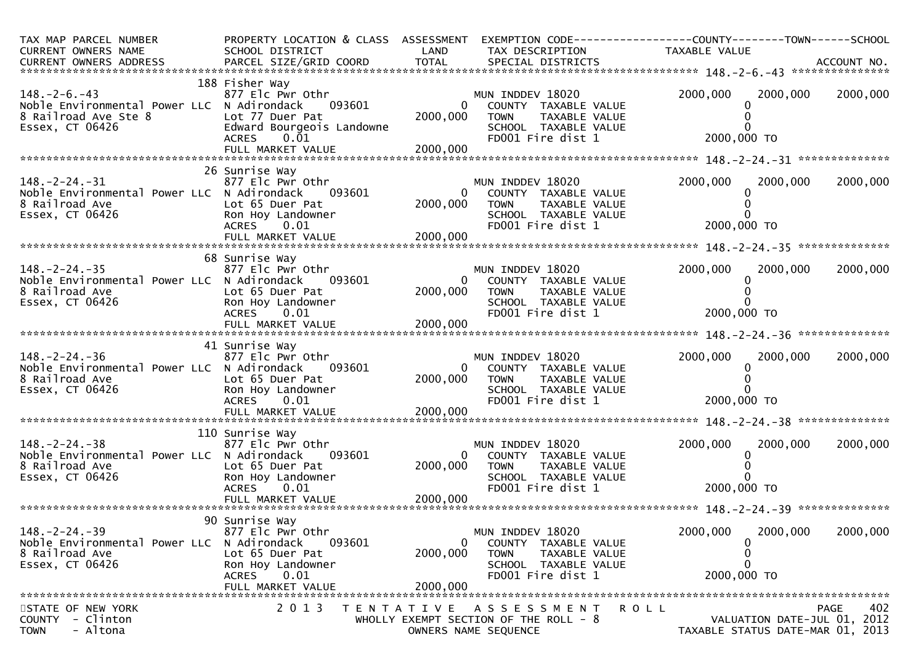| TAX MAP PARCEL NUMBER<br>CURRENT OWNERS NAME<br>CURRENT OWNERS ADDRESS                                        | PROPERTY LOCATION & CLASS ASSESSMENT<br>SCHOOL DISTRICT                                                                                           | LAND                             | EXEMPTION CODE-----------------COUNTY--------TOWN------SCHOOL<br>TAX DESCRIPTION                                        | TAXABLE VALUE                                                   |                    |
|---------------------------------------------------------------------------------------------------------------|---------------------------------------------------------------------------------------------------------------------------------------------------|----------------------------------|-------------------------------------------------------------------------------------------------------------------------|-----------------------------------------------------------------|--------------------|
| $148. - 2 - 6. - 43$<br>Noble Environmental Power LLC N Adirondack<br>8 Railroad Ave Ste 8<br>Essex, CT 06426 | 188 Fisher Way<br>877 Elc Pwr Othr<br>093601<br>Lot 77 Duer Pat<br>Edward Bourgeois Landowne<br>$0.\overline{0}1$<br>ACRES                        | $\mathbf{0}$<br>2000,000         | MUN INDDEV 18020<br>COUNTY TAXABLE VALUE<br><b>TOWN</b><br>TAXABLE VALUE<br>SCHOOL TAXABLE VALUE<br>FD001 Fire dist 1   | 2000,000<br>2000,000<br>2000,000 TO                             | 2000,000           |
| $148. - 2 - 24. - 31$<br>Noble Environmental Power LLC N Adirondack<br>8 Railroad Ave<br>Essex, CT 06426      | 26 Sunrise Way<br>877 Elc Pwr Othr<br>093601<br>Lot 65 Duer Pat<br>Ron Hoy Landowner<br><b>ACRES</b><br>0.01                                      | $\Omega$<br>2000,000             | MUN INDDEV 18020<br>COUNTY TAXABLE VALUE<br><b>TOWN</b><br>TAXABLE VALUE<br>SCHOOL TAXABLE VALUE<br>FD001 Fire dist 1   | 2000,000<br>2000,000<br>2000,000 TO                             | 2000,000           |
| $148. - 2 - 24. - 35$<br>Noble Environmental Power LLC N Adirondack<br>8 Railroad Ave<br>Essex, CT 06426      | 68 Sunrise Way<br>877 Elc Pwr Othr<br>093601<br>Lot 65 Duer Pat<br>Ron Hoy Landowner<br>ACRES 0.01<br>FULL MARKET VALUE                           | 0<br>2000,000<br>2000,000        | MUN INDDEV 18020<br>COUNTY TAXABLE VALUE<br><b>TOWN</b><br>TAXABLE VALUE<br>SCHOOL TAXABLE VALUE<br>FD001 Fire dist 1   | 2000,000<br>2000,000<br>2000,000 TO                             | 2000,000           |
| $148. - 2 - 24. - 36$<br>Noble Environmental Power LLC N Adirondack<br>8 Railroad Ave<br>Essex, CT 06426      | 41 Sunrise Way<br>877 Elc Pwr Othr<br>093601<br>Lot 65 Duer Pat<br>Ron Hoy Landowner<br>ACRES 0.01<br>FULL MARKET VALUE                           | 2000,000<br>2000,000             | MUN INDDEV 18020<br>0 COUNTY TAXABLE VALUE<br>TAXABLE VALUE<br><b>TOWN</b><br>SCHOOL TAXABLE VALUE<br>FD001 Fire dist 1 | 2000,000<br>2000,000<br>2000,000 TO                             | 2000,000           |
| $148. - 2 - 24. - 38$<br>Noble Environmental Power LLC N Adirondack<br>8 Railroad Ave<br>Essex, CT 06426      | 110 Sunrise Way<br>877 Elc Pwr Othr<br>093601<br>Lot 65 Duer Pat<br>Ron Hoy Landowner<br><b>ACRES</b><br>0.01                                     | 0<br>2000,000                    | MUN INDDEV 18020<br>COUNTY TAXABLE VALUE<br>TOWN TAXABLE VALUE<br>SCHOOL TAXABLE VALUE<br>FD001 Fire dist 1             | 2000,000<br>2000,000<br>0<br>2000,000 TO                        | 2000,000           |
| $148. -2 - 24. -39$<br>Noble Environmental Power LLC<br>8 Railroad Ave<br>Essex, CT 06426                     | 90 Sunrise Way<br>877 Elc Pwr Othr<br>N Adirondack<br>093601<br>Lot 65 Duer Pat<br>Ron Hoy Landowner<br>0.01<br><b>ACRES</b><br>FULL MARKET VALUE | $\Omega$<br>2000,000<br>2000,000 | MUN INDDEV 18020<br>COUNTY TAXABLE VALUE<br><b>TOWN</b><br>TAXABLE VALUE<br>SCHOOL TAXABLE VALUE<br>FD001 Fire dist 1   | 2000,000<br>2000,000<br>0<br>0<br>0<br>2000,000 TO              | 2000,000           |
| STATE OF NEW YORK<br>- Clinton<br><b>COUNTY</b><br>- Altona<br><b>TOWN</b>                                    | 2 0 1 3                                                                                                                                           |                                  | TENTATIVE ASSESSMENT<br><b>ROLL</b><br>WHOLLY EXEMPT SECTION OF THE ROLL - 8<br>OWNERS NAME SEQUENCE                    | VALUATION DATE-JUL 01, 2012<br>TAXABLE STATUS DATE-MAR 01, 2013 | 402<br><b>PAGE</b> |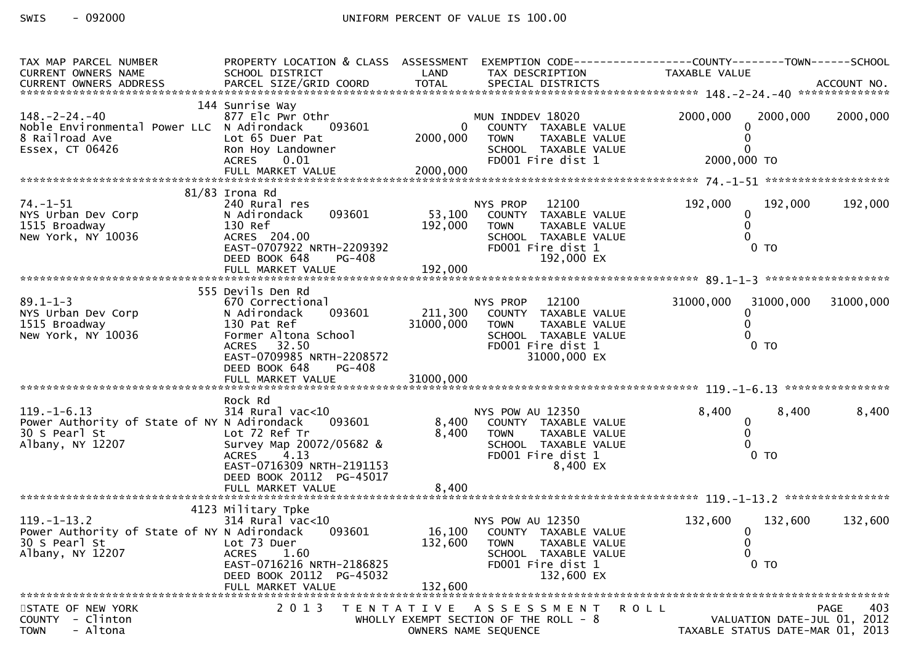| TAX MAP PARCEL NUMBER                                            | PROPERTY LOCATION & CLASS ASSESSMENT |                      |                                                 | EXEMPTION CODE------------------COUNTY--------TOWN------SCHOOL |     |
|------------------------------------------------------------------|--------------------------------------|----------------------|-------------------------------------------------|----------------------------------------------------------------|-----|
| CURRENT OWNERS NAME                                              | SCHOOL DISTRICT                      | LAND                 | TAX DESCRIPTION                                 | TAXABLE VALUE                                                  |     |
|                                                                  |                                      |                      |                                                 |                                                                |     |
|                                                                  |                                      |                      |                                                 |                                                                |     |
|                                                                  | 144 Sunrise Way                      |                      |                                                 | 2000,000                                                       |     |
| $148. - 2 - 24. - 40$                                            | 877 Elc Pwr Othr<br>093601           | 0                    | MUN INDDEV 18020<br>COUNTY TAXABLE VALUE        | 2000,000<br>2000,000                                           |     |
| Noble Environmental Power LLC N Adirondack<br>8 Railroad Ave     | Lot 65 Duer Pat                      | 2000,000             | <b>TOWN</b><br>TAXABLE VALUE                    |                                                                |     |
| Essex, CT 06426                                                  | Ron Hoy Landowner                    |                      | SCHOOL TAXABLE VALUE                            |                                                                |     |
|                                                                  | <b>ACRES</b><br>0.01                 |                      | FD001 Fire dist 1                               | 2000,000 TO                                                    |     |
|                                                                  |                                      |                      |                                                 |                                                                |     |
|                                                                  |                                      |                      |                                                 |                                                                |     |
|                                                                  | $81/83$ Irona Rd                     |                      |                                                 |                                                                |     |
| $74. - 1 - 51$                                                   | 240 Rural res                        |                      | 12100<br>NYS PROP                               | 192,000<br>192,000<br>192,000                                  |     |
| NYS Urban Dev Corp                                               | 093601<br>N Adirondack               |                      | 53,100 COUNTY TAXABLE VALUE                     |                                                                |     |
| 1515 Broadway                                                    | 130 Ref                              | 192,000              | TAXABLE VALUE<br><b>TOWN</b>                    |                                                                |     |
| New York, NY 10036                                               | ACRES 204.00                         |                      | SCHOOL TAXABLE VALUE                            |                                                                |     |
|                                                                  | EAST-0707922 NRTH-2209392            |                      | FD001 Fire dist 1                               | $0$ TO                                                         |     |
|                                                                  | DEED BOOK 648<br>PG-408              |                      | 192,000 EX                                      |                                                                |     |
|                                                                  |                                      |                      |                                                 |                                                                |     |
|                                                                  |                                      |                      |                                                 |                                                                |     |
|                                                                  | 555 Devils Den Rd                    |                      |                                                 |                                                                |     |
| $89.1 - 1 - 3$<br>NYS Urban Dev Corp                             | 670 Correctional                     |                      | NYS PROP 12100                                  | 31000,000<br>31000,000<br>31000,000                            |     |
|                                                                  | 093601<br>N Adirondack               | 211,300<br>31000,000 | COUNTY TAXABLE VALUE                            |                                                                |     |
| 1515 Broadway<br>New York, NY 10036                              | 130 Pat Ref<br>Former Altona School  |                      | TAXABLE VALUE<br><b>TOWN</b>                    |                                                                |     |
|                                                                  | ACRES 32.50                          |                      | SCHOOL TAXABLE VALUE<br>FD001 Fire dist 1       | $0$ TO                                                         |     |
|                                                                  | EAST-0709985 NRTH-2208572            |                      | 31000,000 EX                                    |                                                                |     |
|                                                                  | DEED BOOK 648<br><b>PG-408</b>       |                      |                                                 |                                                                |     |
|                                                                  |                                      |                      |                                                 |                                                                |     |
|                                                                  |                                      |                      |                                                 |                                                                |     |
|                                                                  | Rock Rd                              |                      |                                                 |                                                                |     |
| $119. - 1 - 6.13$                                                | $314$ Rural vac< $10$                |                      | NYS POW AU 12350                                | 8,400<br>8,400<br>8,400                                        |     |
| Power Authority of State of NY N Adirondack                      | 093601                               | 8,400                | COUNTY TAXABLE VALUE                            | 0                                                              |     |
| 30 S Pearl St                                                    | Lot 72 Ref Tr                        | 8,400                | <b>TOWN</b><br>TAXABLE VALUE                    | 0                                                              |     |
| Albany, NY 12207                                                 | Survey Map 20072/05682 &             |                      | SCHOOL TAXABLE VALUE                            |                                                                |     |
|                                                                  | 4.13<br><b>ACRES</b>                 |                      | FD001 Fire dist 1                               | $0$ TO                                                         |     |
|                                                                  | EAST-0716309 NRTH-2191153            |                      | 8,400 EX                                        |                                                                |     |
|                                                                  | DEED BOOK 20112 PG-45017             |                      |                                                 |                                                                |     |
|                                                                  |                                      |                      |                                                 |                                                                |     |
|                                                                  |                                      |                      |                                                 |                                                                |     |
|                                                                  | 4123 Military Tpke                   |                      |                                                 |                                                                |     |
| $119. - 1 - 13.2$<br>Power Authority of State of NY N Adirondack | $314$ Rural vac<10<br>093601         |                      | NYS POW AU 12350<br>16,100 COUNTY TAXABLE VALUE | 132,600<br>132,600<br>132,600                                  |     |
| 30 S Pearl St                                                    | Lot 73 Duer                          | 132,600              | <b>TOWN</b><br>TAXABLE VALUE                    | $\bf{0}$<br>$\mathbf{0}$                                       |     |
| Albany, NY 12207                                                 | <b>ACRES</b><br>1.60                 |                      | SCHOOL TAXABLE VALUE                            | 0                                                              |     |
|                                                                  | EAST-0716216 NRTH-2186825            |                      | FD001 Fire dist 1                               | $0$ TO                                                         |     |
|                                                                  | DEED BOOK 20112 PG-45032             |                      | 132,600 EX                                      |                                                                |     |
|                                                                  | FULL MARKET VALUE                    | 132,600              |                                                 |                                                                |     |
|                                                                  |                                      |                      |                                                 |                                                                |     |
| STATE OF NEW YORK                                                | 2 0 1 3                              |                      | TENTATIVE ASSESSMENT<br>R O L L                 | PAGE                                                           | 403 |
| COUNTY - Clinton                                                 |                                      |                      | WHOLLY EXEMPT SECTION OF THE ROLL - 8           | VALUATION DATE-JUL 01, 2012                                    |     |
| - Altona<br><b>TOWN</b>                                          |                                      |                      | OWNERS NAME SEQUENCE                            | TAXABLE STATUS DATE-MAR 01, 2013                               |     |
|                                                                  |                                      |                      |                                                 |                                                                |     |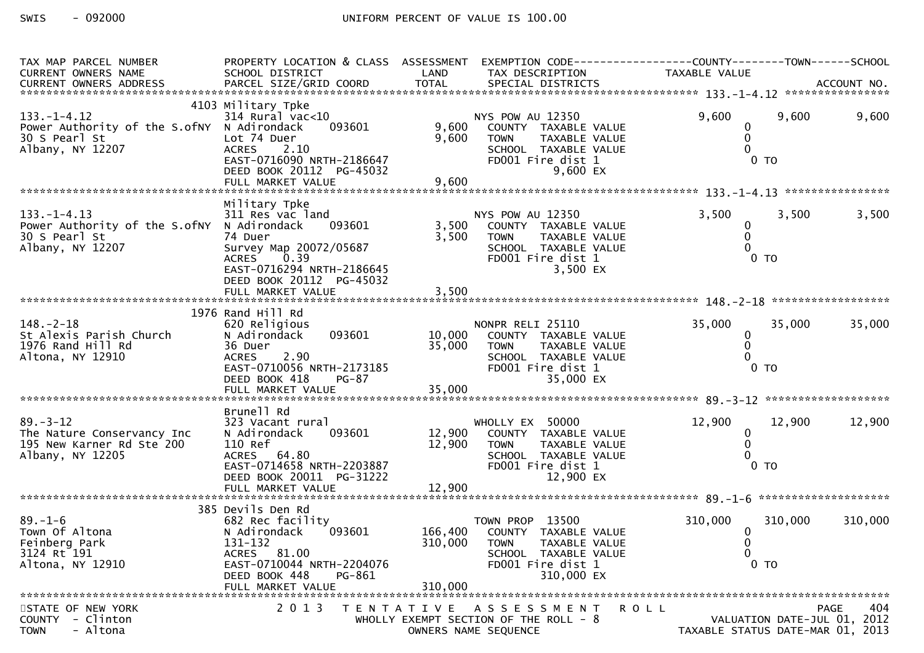| TAX MAP PARCEL NUMBER                                           | PROPERTY LOCATION & CLASS ASSESSMENT               |                  | EXEMPTION CODE------------------COUNTY--------TOWN------SCHOOL |                                  |                    |
|-----------------------------------------------------------------|----------------------------------------------------|------------------|----------------------------------------------------------------|----------------------------------|--------------------|
| CURRENT OWNERS NAME                                             | SCHOOL DISTRICT                                    | LAND             | TAX DESCRIPTION                                                | <b>TAXABLE VALUE</b>             |                    |
|                                                                 |                                                    |                  |                                                                |                                  |                    |
|                                                                 | 4103 Military Tpke                                 |                  |                                                                |                                  |                    |
| $133. - 1 - 4.12$<br>Power Authority of the S.ofNY N Adirondack | $314$ Rural vac<10<br>093601                       | 9,600            | NYS POW AU 12350<br>COUNTY TAXABLE VALUE                       | 9,600<br>9,600<br>0              | 9,600              |
| 30 S Pearl St                                                   | Lot 74 Duer                                        | 9,600            | <b>TOWN</b><br>TAXABLE VALUE                                   |                                  |                    |
| Albany, NY 12207                                                | <b>ACRES</b><br>2.10                               |                  | SCHOOL TAXABLE VALUE                                           |                                  |                    |
|                                                                 | EAST-0716090 NRTH-2186647                          |                  | FD001 Fire dist 1                                              | $0$ TO                           |                    |
|                                                                 | DEED BOOK 20112 PG-45032                           |                  | 9,600 EX                                                       |                                  |                    |
|                                                                 |                                                    |                  |                                                                |                                  |                    |
|                                                                 | Military Tpke                                      |                  |                                                                |                                  |                    |
| $133. - 1 - 4.13$                                               | 311 Res vac land                                   |                  | NYS POW AU 12350                                               | 3,500<br>3,500                   | 3,500              |
| Power Authority of the S.ofNY N Adirondack<br>30 S Pearl St     | 093601<br>74 Duer                                  | 3,500<br>3,500   | COUNTY TAXABLE VALUE<br><b>TOWN</b><br>TAXABLE VALUE           | $\bf{0}$<br>$\Omega$             |                    |
| Albany, NY 12207                                                | Survey Map 20072/05687                             |                  | SCHOOL TAXABLE VALUE                                           |                                  |                    |
|                                                                 | 0.39<br><b>ACRES</b>                               |                  | FD001 Fire dist 1                                              | $0$ TO                           |                    |
|                                                                 | EAST-0716294 NRTH-2186645                          |                  | 3,500 EX                                                       |                                  |                    |
|                                                                 | DEED BOOK 20112 PG-45032<br>FULL MARKET VALUE      | 3,500            |                                                                |                                  |                    |
|                                                                 |                                                    |                  |                                                                |                                  |                    |
|                                                                 | 1976 Rand Hill Rd                                  |                  |                                                                |                                  |                    |
| $148. - 2 - 18$                                                 | 620 Religious<br>093601                            |                  | NONPR RELI 25110                                               | 35,000<br>35,000                 | 35,000             |
| St Alexis Parish Church<br>1976 Rand Hill Rd                    | N Adirondack<br>36 Duer                            | 10,000<br>35,000 | COUNTY TAXABLE VALUE<br>TAXABLE VALUE<br><b>TOWN</b>           | 0                                |                    |
| Altona, NY 12910                                                | <b>ACRES</b><br>2.90                               |                  | SCHOOL TAXABLE VALUE                                           |                                  |                    |
|                                                                 | EAST-0710056 NRTH-2173185                          |                  | FD001 Fire dist 1                                              | $0$ TO                           |                    |
|                                                                 | DEED BOOK 418<br><b>PG-87</b><br>FULL MARKET VALUE | 35,000           | 35,000 EX                                                      |                                  |                    |
|                                                                 |                                                    |                  |                                                                |                                  |                    |
|                                                                 | Brunell Rd                                         |                  |                                                                |                                  |                    |
| $89. - 3 - 12$                                                  | 323 Vacant rural                                   |                  | WHOLLY EX 50000                                                | 12,900<br>12,900                 | 12,900             |
| The Nature Conservancy Inc<br>195 New Karner Rd Ste 200         | 093601<br>N Adirondack<br>110 Ref                  | 12,900<br>12,900 | COUNTY TAXABLE VALUE<br><b>TOWN</b><br>TAXABLE VALUE           | 0                                |                    |
| Albany, NY 12205                                                | ACRES 64.80                                        |                  | SCHOOL TAXABLE VALUE                                           |                                  |                    |
|                                                                 | EAST-0714658 NRTH-2203887                          |                  | FD001 Fire dist 1                                              | $0$ TO                           |                    |
|                                                                 | DEED BOOK 20011 PG-31222                           |                  | 12,900 EX                                                      |                                  |                    |
|                                                                 |                                                    |                  |                                                                |                                  |                    |
|                                                                 | 385 Devils Den Rd                                  |                  |                                                                |                                  |                    |
| $89. - 1 - 6$                                                   | 682 Rec facility                                   |                  | TOWN PROP 13500                                                | 310,000<br>310,000               | 310,000            |
| Town Of Altona                                                  | 093601<br>N Adirondack                             | 166,400          | COUNTY TAXABLE VALUE                                           | 0                                |                    |
| Feinberg Park<br>3124 Rt 191                                    | 131-132<br>ACRES 81.00                             | 310,000          | <b>TOWN</b><br>TAXABLE VALUE<br>SCHOOL TAXABLE VALUE           | 0                                |                    |
| Altona, NY 12910                                                | EAST-0710044 NRTH-2204076                          |                  | FD001 Fire dist 1                                              | $0$ TO                           |                    |
|                                                                 | DEED BOOK 448<br>PG-861                            |                  | 310,000 EX                                                     |                                  |                    |
|                                                                 | FULL MARKET VALUE                                  | 310,000          |                                                                |                                  |                    |
| STATE OF NEW YORK                                               | 2 0 1 3                                            |                  | TENTATIVE ASSESSMENT<br>R O L L                                |                                  | 404<br><b>PAGE</b> |
| COUNTY - Clinton                                                |                                                    |                  | WHOLLY EXEMPT SECTION OF THE ROLL $-8$                         | VALUATION DATE-JUL 01, 2012      |                    |
| - Altona<br><b>TOWN</b>                                         |                                                    |                  | OWNERS NAME SEQUENCE                                           | TAXABLE STATUS DATE-MAR 01, 2013 |                    |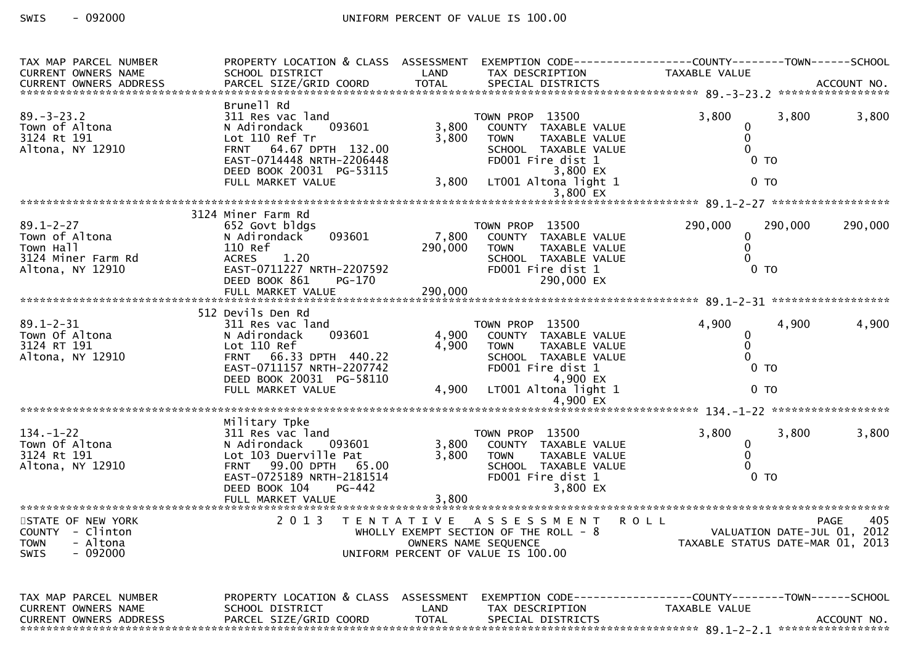| TAX MAP PARCEL NUMBER<br>CURRENT OWNERS NAME | PROPERTY LOCATION & CLASS ASSESSMENT EXEMPTION CODE----------------COUNTY--------TOWN------SCHOOL<br>SCHOOL DISTRICT | LAND         | TAX DESCRIPTION                                              | TAXABLE VALUE                    |                |                   |
|----------------------------------------------|----------------------------------------------------------------------------------------------------------------------|--------------|--------------------------------------------------------------|----------------------------------|----------------|-------------------|
|                                              |                                                                                                                      |              |                                                              |                                  |                |                   |
|                                              | Brunell Rd                                                                                                           |              |                                                              |                                  |                |                   |
| $89. - 3 - 23.2$                             | 311 Res vac land                                                                                                     |              | TOWN PROP 13500                                              | 3,800                            | 3,800          | 3,800             |
| Town of Altona                               | 093601<br>N Adirondack                                                                                               | 3,800        | COUNTY TAXABLE VALUE                                         | 0                                |                |                   |
| 3124 Rt 191                                  | Lot 110 Ref Tr                                                                                                       | 3,800        | TAXABLE VALUE<br><b>TOWN</b>                                 | 0                                |                |                   |
| Altona, NY 12910                             | FRNT 64.67 DPTH 132.00                                                                                               |              | SCHOOL TAXABLE VALUE                                         | $\Omega$                         |                |                   |
|                                              | EAST-0714448 NRTH-2206448                                                                                            |              | FD001 Fire dist 1                                            | 0 <sub>T</sub>                   |                |                   |
|                                              | DEED BOOK 20031 PG-53115                                                                                             |              | 3,800 EX                                                     |                                  |                |                   |
|                                              | FULL MARKET VALUE                                                                                                    | 3,800        | LT001 Altona light 1<br>$3,800$ EX                           | 0 <sub>T</sub>                   |                |                   |
|                                              |                                                                                                                      |              |                                                              |                                  |                |                   |
|                                              | 3124 Miner Farm Rd                                                                                                   |              |                                                              |                                  |                |                   |
| $89.1 - 2 - 27$                              | 652 Govt bldgs                                                                                                       |              | TOWN PROP 13500                                              | 290,000                          | 290,000        | 290,000           |
| Town of Altona                               | 093601<br>N Adirondack                                                                                               | 7,800        | COUNTY TAXABLE VALUE                                         | 0                                |                |                   |
| Town Hall                                    | 110 Ref                                                                                                              | 290,000      | <b>TOWN</b><br>TAXABLE VALUE                                 | 0                                |                |                   |
| 3124 Miner Farm Rd                           | <b>ACRES</b><br>1.20                                                                                                 |              | SCHOOL TAXABLE VALUE                                         | 0                                |                |                   |
| Altona, NY 12910                             | EAST-0711227 NRTH-2207592                                                                                            |              | FD001 Fire dist 1                                            |                                  | $0$ TO         |                   |
|                                              | DEED BOOK 861<br><b>PG-170</b>                                                                                       |              | 290,000 EX                                                   |                                  |                |                   |
|                                              | FULL MARKET VALUE                                                                                                    | 290,000      |                                                              |                                  |                |                   |
|                                              | 512 Devils Den Rd                                                                                                    |              |                                                              |                                  |                |                   |
| $89.1 - 2 - 31$                              | 311 Res vac land                                                                                                     |              | TOWN PROP 13500                                              | 4,900                            | 4,900          | 4,900             |
| Town Of Altona                               | 093601<br>N Adirondack                                                                                               | 4,900        | COUNTY TAXABLE VALUE                                         | $\mathbf{0}$                     |                |                   |
| 3124 RT 191                                  | Lot 110 Ref                                                                                                          | 4,900        | <b>TOWN</b><br>TAXABLE VALUE                                 | 0                                |                |                   |
| Altona, NY 12910                             | FRNT 66.33 DPTH 440.22                                                                                               |              | SCHOOL TAXABLE VALUE                                         | 0                                |                |                   |
|                                              | EAST-0711157 NRTH-2207742                                                                                            |              | FD001 Fire dist 1                                            | $0$ TO                           |                |                   |
|                                              | DEED BOOK 20031 PG-58110                                                                                             |              | 4,900 EX                                                     |                                  |                |                   |
|                                              | FULL MARKET VALUE                                                                                                    | 4,900        | $LT001$ Altona light 1                                       | 0 <sub>T</sub>                   |                |                   |
|                                              |                                                                                                                      |              |                                                              |                                  |                |                   |
|                                              | Military Tpke                                                                                                        |              |                                                              |                                  |                |                   |
| $134. - 1 - 22$                              | 311 Res vac land                                                                                                     |              | TOWN PROP 13500                                              | 3,800                            | 3,800          | 3,800             |
| Town Of Altona                               | N Adirondack<br>093601                                                                                               | 3,800        | COUNTY TAXABLE VALUE                                         | 0                                |                |                   |
| 3124 Rt 191                                  | Lot 103 Duerville Pat                                                                                                | 3,800        | TAXABLE VALUE<br><b>TOWN</b>                                 | 0                                |                |                   |
| Altona, NY 12910                             | FRNT 99.00 DPTH 65.00                                                                                                |              | SCHOOL TAXABLE VALUE                                         | 0                                |                |                   |
|                                              | EAST-0725189 NRTH-2181514                                                                                            |              | FD001 Fire dist 1                                            |                                  | 0 <sub>T</sub> |                   |
|                                              | PG-442<br>DEED BOOK 104                                                                                              |              | 3,800 EX                                                     |                                  |                |                   |
|                                              | FULL MARKET VALUE                                                                                                    | 3,800        |                                                              |                                  |                |                   |
| STATE OF NEW YORK                            | 2 0 1 3                                                                                                              |              | TENTATIVE ASSESSMENT                                         | <b>ROLL</b>                      |                | 405<br>PAGE       |
| COUNTY - Clinton                             |                                                                                                                      |              | WHOLLY EXEMPT SECTION OF THE ROLL - 8                        | VALUATION DATE-JUL 01, 2012      |                |                   |
| <b>TOWN</b><br>- Altona                      |                                                                                                                      |              | OWNERS NAME SEQUENCE                                         | TAXABLE STATUS DATE-MAR 01, 2013 |                |                   |
| $-092000$<br><b>SWIS</b>                     |                                                                                                                      |              | UNIFORM PERCENT OF VALUE IS 100.00                           |                                  |                |                   |
|                                              |                                                                                                                      |              |                                                              |                                  |                |                   |
|                                              |                                                                                                                      |              |                                                              |                                  |                |                   |
| TAX MAP PARCEL NUMBER                        | PROPERTY LOCATION & CLASS ASSESSMENT                                                                                 |              | EXEMPTION CODE-----------------COUNTY-------TOWN------SCHOOL |                                  |                |                   |
| <b>CURRENT OWNERS NAME</b>                   | SCHOOL DISTRICT                                                                                                      | LAND         | TAX DESCRIPTION                                              | TAXABLE VALUE                    |                |                   |
| <b>CURRENT OWNERS ADDRESS</b>                | PARCEL SIZE/GRID COORD                                                                                               | <b>TOTAL</b> | SPECIAL DISTRICTS                                            |                                  |                | ACCOUNT NO.       |
|                                              |                                                                                                                      |              |                                                              |                                  |                | ***************** |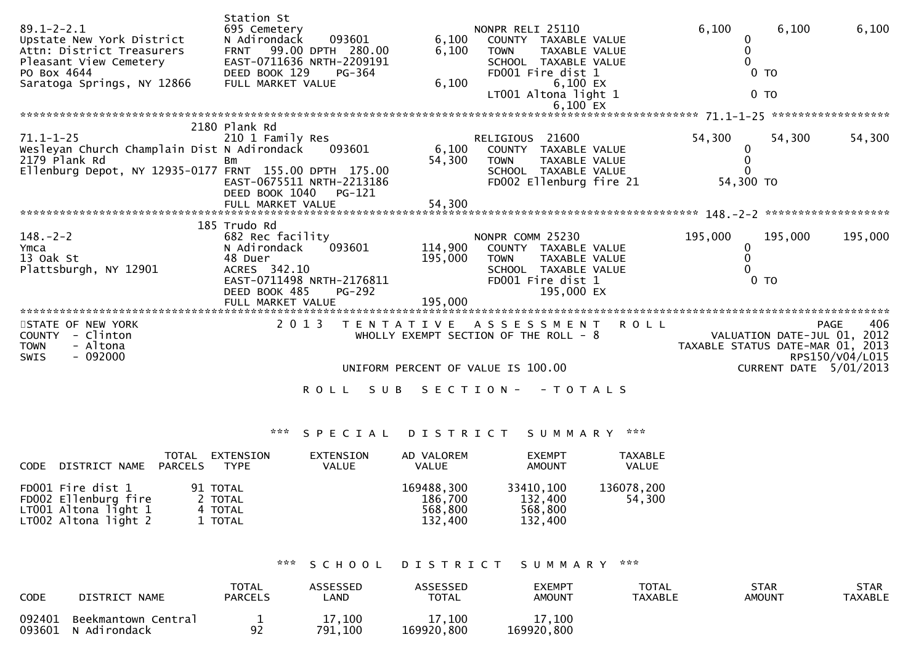| $89.1 - 2 - 2.1$<br>Upstate New York District<br>Attn: District Treasurers<br>Pleasant View Cemetery<br>PO Box 4644<br>Saratoga Springs, NY 12866 | Station St<br>695 Cemetery<br>093601<br>N Adirondack<br>99.00 DPTH 280.00<br><b>FRNT</b><br>EAST-0711636 NRTH-2209191<br>DEED BOOK 129<br>PG-364<br>FULL MARKET VALUE | 6,100<br>6,100<br>6,100 | NONPR RELI 25110<br>COUNTY TAXABLE VALUE<br><b>TOWN</b><br><b>TAXABLE VALUE</b><br>SCHOOL TAXABLE VALUE<br>FD001 Fire dist 1<br>6,100 EX<br>LT001 Altona light 1<br>6,100 EX | 6,100                            | 6,100<br>0 <sub>T</sub><br>0 <sub>T</sub> | 6,100                                                                                          |
|---------------------------------------------------------------------------------------------------------------------------------------------------|-----------------------------------------------------------------------------------------------------------------------------------------------------------------------|-------------------------|------------------------------------------------------------------------------------------------------------------------------------------------------------------------------|----------------------------------|-------------------------------------------|------------------------------------------------------------------------------------------------|
|                                                                                                                                                   |                                                                                                                                                                       |                         |                                                                                                                                                                              |                                  |                                           | ******************                                                                             |
| $71.1 - 1 - 25$<br>Wesleyan Church Champlain Dist N Adirondack<br>2179 Plank Rd<br>Ellenburg Depot, NY 12935-0177 FRNT 155.00 DPTH 175.00         | 2180 Plank Rd<br>210 1 Family Res<br>093601<br>Bm<br>EAST-0675511 NRTH-2213186<br>DEED BOOK 1040<br>PG-121                                                            | 6,100<br>54,300         | RELIGIOUS 21600<br>COUNTY TAXABLE VALUE<br><b>TAXABLE VALUE</b><br><b>TOWN</b><br>SCHOOL TAXABLE VALUE<br>FD002 Ellenburg fire 21                                            | 54,300<br>54,300 TO              | 54,300                                    | 54,300                                                                                         |
|                                                                                                                                                   |                                                                                                                                                                       |                         |                                                                                                                                                                              |                                  |                                           |                                                                                                |
| $148. - 2 - 2$<br>Ymca<br>13 Oak St<br>Plattsburgh, NY 12901                                                                                      | 185 Trudo Rd<br>682 Rec facility<br>093601<br>N Adirondack<br>48 Duer<br>ACRES 342.10<br>EAST-0711498 NRTH-2176811<br><b>PG-292</b><br>DEED BOOK 485                  | 114,900<br>195,000      | NONPR COMM 25230<br>COUNTY TAXABLE VALUE<br><b>TOWN</b><br><b>TAXABLE VALUE</b><br>SCHOOL TAXABLE VALUE<br>FD001 Fire dist 1<br>195,000 EX                                   | 195,000                          | 195,000<br>$0$ TO                         | 195,000                                                                                        |
| STATE OF NEW YORK<br>- Clinton<br><b>COUNTY</b><br><b>TOWN</b><br>- Altona<br>$-092000$<br><b>SWIS</b>                                            | 2 0 1 3<br><b>ROLL</b><br>S U B                                                                                                                                       | T E N T A T I V E       | A S S E S S M E N T<br><b>ROLL</b><br>WHOLLY EXEMPT SECTION OF THE ROLL - 8<br>UNIFORM PERCENT OF VALUE IS 100.00<br>S E C T I O N -<br>$-TOTALS$                            | TAXABLE STATUS DATE-MAR 01, 2013 |                                           | 406<br><b>PAGE</b><br>VALUATION DATE-JUL 01, 2012<br>RPS150/V04/L015<br>CURRENT DATE 5/01/2013 |

\*\*\* S P E C I A L D I S T R I C T S U M M A R Y \*\*\*

| CODE DISTRICT NAME PARCELS                                                                  | TOTAL | EXTENSION<br>TYPE                         | EXTENSION<br>VALUE | AD VALOREM<br>VALUE                         | <b>EXEMPT</b><br><b>AMOUNT</b>             | TAXABLE<br><b>VALUE</b> |
|---------------------------------------------------------------------------------------------|-------|-------------------------------------------|--------------------|---------------------------------------------|--------------------------------------------|-------------------------|
| FD001 Fire dist 1<br>FD002 Ellenburg fire<br>$LT001$ Altona light 1<br>LT002 Altona light 2 |       | 91 TOTAL<br>2 TOTAL<br>4 TOTAL<br>1 TOTAL |                    | 169488,300<br>186,700<br>568,800<br>132,400 | 33410,100<br>132,400<br>568,800<br>132,400 | 136078,200<br>54.300    |

\*\*\* S C H O O L D I S T R I C T S U M M A R Y \*\*\*

| <b>CODE</b> | DISTRICT NAME                              | <b>TOTAL</b><br><b>PARCELS</b> | <b>ASSESSED</b><br>LAND | ASSESSED<br><b>TOTAL</b> | EXEMPT<br><b>AMOUNT</b> | <b>TOTAL</b><br><b>TAXABLE</b> | STAR<br><b>AMOUNT</b> | <b>STAR</b><br>TAXABLE |
|-------------|--------------------------------------------|--------------------------------|-------------------------|--------------------------|-------------------------|--------------------------------|-----------------------|------------------------|
| 092401      | Beekmantown Central<br>093601 N Adirondack | 92                             | 17,100<br>791,100       | 17,100<br>169920,800     | 17,100<br>169920,800    |                                |                       |                        |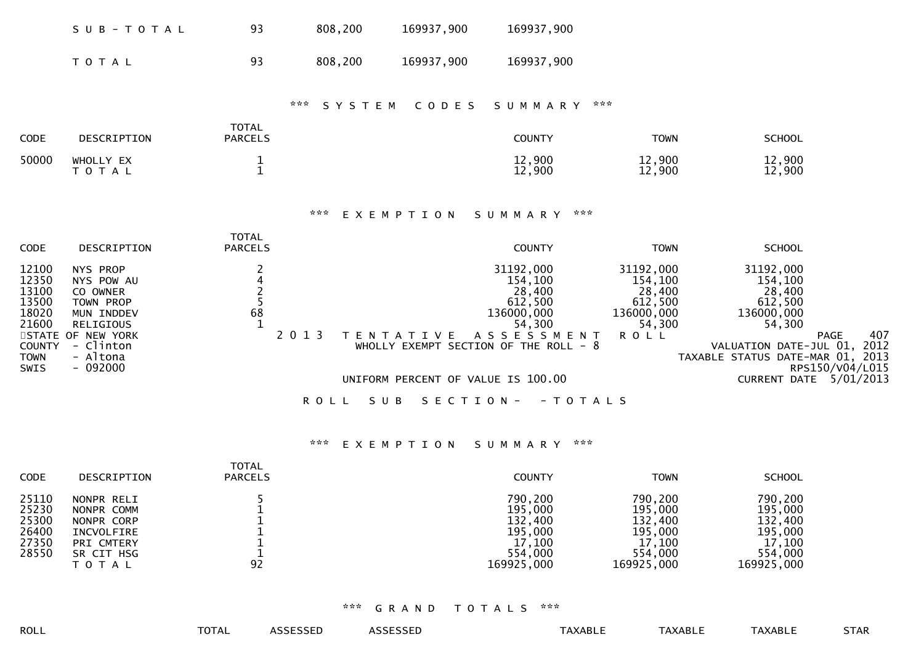| SUB-TOTAL | 93. | 808,200 | 169937,900 | 169937,900 |
|-----------|-----|---------|------------|------------|
| T O T A L | 93  | 808,200 | 169937,900 | 169937,900 |

### \*\*\* S Y S T E M C O D E S S U M M A R Y \*\*\*

| <b>CODE</b> | DESCRIPTION            | <b>TOTAL</b><br><b>PARCELS</b> | <b>COUNTY</b>    | <b>TOWN</b>      | <b>SCHOOL</b>    |
|-------------|------------------------|--------------------------------|------------------|------------------|------------------|
| 50000       | WHOLLY EX<br>T O T A L |                                | 12,900<br>12,900 | 12,900<br>12,900 | 12,900<br>12,900 |

#### \*\*\* E X E M P T I O N S U M M A R Y \*\*\*

| <b>CODE</b>                                                                                | DESCRIPTION                                                                                                                           | TOTAL<br><b>PARCELS</b> |         |                   | <b>COUNTY</b>                                                                                                                                                            | <b>TOWN</b>                                                                  | <b>SCHOOL</b>                                                                                                                                          |                                             |             |
|--------------------------------------------------------------------------------------------|---------------------------------------------------------------------------------------------------------------------------------------|-------------------------|---------|-------------------|--------------------------------------------------------------------------------------------------------------------------------------------------------------------------|------------------------------------------------------------------------------|--------------------------------------------------------------------------------------------------------------------------------------------------------|---------------------------------------------|-------------|
| 12100<br>12350<br>13100<br>13500<br>18020<br>21600<br><b>COUNTY</b><br><b>TOWN</b><br>SWIS | NYS PROP<br>NYS POW AU<br>CO OWNER<br>TOWN PROP<br>MUN INDDEV<br>RELIGIOUS<br>STATE OF NEW YORK<br>- Clinton<br>- Altona<br>$-092000$ | 68                      | 2 0 1 3 | T E N T A T I V E | 31192,000<br>154,100<br>28,400<br>612,500<br>136000,000<br>54,300<br>A S S E S S M E N T<br>WHOLLY EXEMPT SECTION OF THE ROLL $-8$<br>UNIFORM PERCENT OF VALUE IS 100.00 | 31192,000<br>154,100<br>28,400<br>612,500<br>136000,000<br>54,300<br>R O L L | 31192,000<br>154,100<br>28,400<br>612,500<br>136000,000<br>54,300<br>VALUATION DATE-JUL 01,<br>TAXABLE STATUS DATE-MAR 01, 2013<br><b>CURRENT DATE</b> | <b>PAGE</b><br>RPS150/V04/L015<br>5/01/2013 | 407<br>2012 |
|                                                                                            |                                                                                                                                       |                         |         |                   |                                                                                                                                                                          |                                                                              |                                                                                                                                                        |                                             |             |

## ROLL SUB SECTION - - TOTALS

### \*\*\* E X E M P T I O N S U M M A R Y \*\*\*

| <b>CODE</b><br><b>DESCRIPTION</b>                                                                                                                   | TOTAL<br><b>PARCELS</b> | <b>COUNTY</b>                                                               | <b>TOWN</b>                                                                 | <b>SCHOOL</b>                                                               |
|-----------------------------------------------------------------------------------------------------------------------------------------------------|-------------------------|-----------------------------------------------------------------------------|-----------------------------------------------------------------------------|-----------------------------------------------------------------------------|
| 25110<br>NONPR RELI<br>25230<br>NONPR COMM<br>25300<br>NONPR CORP<br>26400<br>INCVOLFIRE<br>27350<br>PRI CMTERY<br>28550<br>SR CIT HSG<br>T O T A L | 92                      | 790,200<br>195,000<br>132,400<br>195,000<br>17,100<br>554,000<br>169925,000 | 790,200<br>195,000<br>132,400<br>195,000<br>17,100<br>554,000<br>169925,000 | 790,200<br>195,000<br>132,400<br>195,000<br>17,100<br>554,000<br>169925,000 |

#### \*\*\* G R A N D T O T A L S \*\*\*

| <b>TOTAL</b> | ᅀ |
|--------------|---|

ROLL TOTAL ASSESSED ASSESSED TAXABLE TAXABLE TAXABLE STAR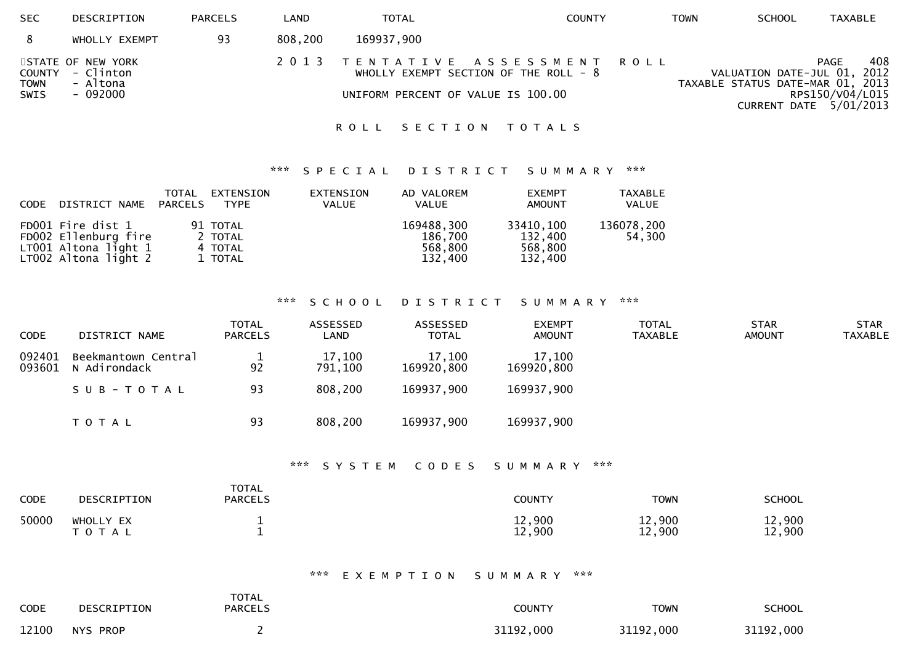| <b>SEC</b>                    | DESCRIPTION                                            | <b>PARCELS</b> | _AND    | <b>TOTAL</b>                       | COUNTY                                                              | TOWN | <b>SCHOOL</b>                                                   | TAXABLE                                                         |
|-------------------------------|--------------------------------------------------------|----------------|---------|------------------------------------|---------------------------------------------------------------------|------|-----------------------------------------------------------------|-----------------------------------------------------------------|
|                               | WHOLLY EXEMPT                                          | 93             | 808,200 | 169937,900                         |                                                                     |      |                                                                 |                                                                 |
| COUNTY<br><b>TOWN</b><br>SWIS | STATE OF NEW YORK<br>- Clinton<br>- Altona<br>- 092000 |                | 2 0 1 3 | UNIFORM PERCENT OF VALUE IS 100.00 | TENTATIVE ASSESSMENT ROLL<br>WHOLLY EXEMPT SECTION OF THE ROLL $-8$ |      | VALUATION DATE-JUL 01, 2012<br>TAXABLE STATUS DATE-MAR 01, 2013 | 408<br><b>PAGE</b><br>RPS150/V04/L015<br>CURRENT DATE 5/01/2013 |

## ROLL SECTION TOTALS

## \*\*\* S P E C I A L D I S T R I C T S U M M A R Y \*\*\*

| CODE DISTRICT NAME PARCELS                                                                    | TOTAL | EXTENSION<br>TYPE                         | EXTENSION<br><b>VALUE</b> | AD VALOREM<br><b>VALUE</b>                  | <b>EXEMPT</b><br><b>AMOUNT</b>             | TAXABLE<br>VALUE     |
|-----------------------------------------------------------------------------------------------|-------|-------------------------------------------|---------------------------|---------------------------------------------|--------------------------------------------|----------------------|
| FD001 Fire dist 1<br>FD002 Ellenburg fire<br>$LT001$ Altona light $1$<br>LT002 Altona light 2 |       | 91 TOTAL<br>2 TOTAL<br>4 TOTAL<br>1 TOTAL |                           | 169488,300<br>186,700<br>568,800<br>132.400 | 33410,100<br>132,400<br>568,800<br>132,400 | 136078,200<br>54,300 |

# \*\*\* S C H O O L D I S T R I C T S U M M A R Y \*\*\*

| <b>CODE</b>      | DISTRICT NAME                       | <b>TOTAL</b><br><b>PARCELS</b> | ASSESSED<br>LAND  | ASSESSED<br><b>TOTAL</b> | <b>EXEMPT</b><br><b>AMOUNT</b> | <b>TOTAL</b><br><b>TAXABLE</b> | <b>STAR</b><br><b>AMOUNT</b> | <b>STAR</b><br><b>TAXABLE</b> |
|------------------|-------------------------------------|--------------------------------|-------------------|--------------------------|--------------------------------|--------------------------------|------------------------------|-------------------------------|
| 092401<br>093601 | Beekmantown Central<br>N Adirondack | 92                             | 17,100<br>791,100 | 17,100<br>169920,800     | 17,100<br>169920,800           |                                |                              |                               |
|                  | SUB-TOTAL                           | 93                             | 808,200           | 169937,900               | 169937,900                     |                                |                              |                               |
|                  | <b>TOTAL</b>                        | 93                             | 808,200           | 169937,900               | 169937,900                     |                                |                              |                               |

## \*\*\* S Y S T E M C O D E S S U M M A R Y \*\*\*

| <b>CODE</b> | DESCRIPTION            | <b>TOTAL</b><br><b>PARCELS</b> | <b>COUNTY</b>    | TOWN             | <b>SCHOOL</b>    |
|-------------|------------------------|--------------------------------|------------------|------------------|------------------|
| 50000       | WHOLLY EX<br>T O T A L |                                | 12,900<br>12,900 | 12,900<br>12,900 | 12,900<br>12,900 |

\*\*\* E X E M P T I O N S U M M A R Y \*\*\*

| <b>CODE</b> | DESCRIPTION | <b>TOTAL</b><br><b>PARCELS</b> | <b>COUNTY</b> | TOWN      | <b>SCHOOL</b> |
|-------------|-------------|--------------------------------|---------------|-----------|---------------|
| 12100       | NYS PROP    |                                | 31192,000     | 31192,000 | 31192,000     |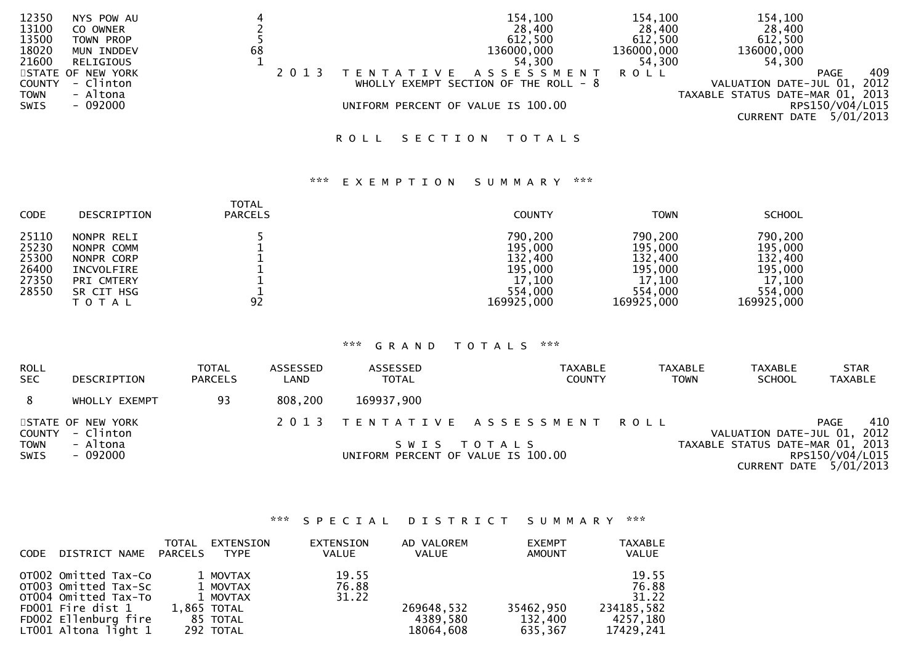| 12350         | NYS POW AU        |    |                                    | 154,100                                 | 154,100    | 154,100                          |                 |        |
|---------------|-------------------|----|------------------------------------|-----------------------------------------|------------|----------------------------------|-----------------|--------|
| 13100         | CO OWNER          |    |                                    | 28,400                                  | 28,400     | 28,400                           |                 |        |
| 13500         | TOWN PROP         |    |                                    | 612,500                                 | 612,500    | 612,500                          |                 |        |
| 18020         | MUN INDDEV        | 68 |                                    | 136000,000                              | 136000,000 | 136000,000                       |                 |        |
| 21600         | RELIGIOUS         |    |                                    | 54,300                                  | 54,300     | 54,300                           |                 |        |
|               | STATE OF NEW YORK |    | TENTATIVE ASSESSMENT               |                                         | R O L L    |                                  | PAGE            | 409    |
| <b>COUNTY</b> | - Clinton         |    |                                    | WHOLLY EXEMPT SECTION OF THE ROLL - $8$ |            | VALUATION DATE-JUL 01,           |                 | , 2012 |
| <b>TOWN</b>   | - Altona          |    |                                    |                                         |            | TAXABLE STATUS DATE-MAR 01, 2013 |                 |        |
| SWIS          | $-092000$         |    | UNIFORM PERCENT OF VALUE IS 100.00 |                                         |            |                                  | RPS150/V04/L015 |        |
|               |                   |    |                                    |                                         |            | CURRENT DATE $5/01/2013$         |                 |        |
|               |                   |    |                                    |                                         |            |                                  |                 |        |

# ROLL SECTION TOTALS

#### \*\*\* E X E M P T I O N S U M M A R Y \*\*\*

| <b>CODE</b>    | DESCRIPTION                           | <b>TOTAL</b><br><b>PARCELS</b> | <b>COUNTY</b>                   | <b>TOWN</b>                     | <b>SCHOOL</b>                   |
|----------------|---------------------------------------|--------------------------------|---------------------------------|---------------------------------|---------------------------------|
| 25110          | NONPR RELI                            |                                | 790,200                         | 790,200                         | 790,200                         |
| 25230          | NONPR COMM                            |                                | 195,000                         | 195,000                         | 195,000                         |
| 25300          | NONPR CORP                            |                                | 132,400                         | 132,400                         | 132,400                         |
| 26400          | INCVOLFIRE                            |                                | 195,000                         | 195,000                         | 195,000                         |
| 27350<br>28550 | PRI CMTERY<br>SR CIT HSG<br>T O T A L | 92                             | 17,100<br>554,000<br>169925,000 | 17,100<br>554,000<br>169925,000 | 17,100<br>554,000<br>169925,000 |

## \*\*\* G R A N D T O T A L S \*\*\*

| ROLL<br><b>SEC</b>  | <b>DESCRIPTION</b>             | <b>TOTAL</b><br><b>PARCELS</b> | ASSESSED<br>LAND | ASSESSED<br><b>TOTAL</b>           | TAXABLE<br><b>COUNTY</b>       | <b>TAXABLE</b><br><b>TAXABLE</b><br><b>SCHOOL</b><br><b>TOWN</b> | <b>STAR</b><br><b>TAXABLE</b>             |
|---------------------|--------------------------------|--------------------------------|------------------|------------------------------------|--------------------------------|------------------------------------------------------------------|-------------------------------------------|
|                     | WHOLLY EXEMPT                  | 93                             | 808,200          | 169937,900                         |                                |                                                                  |                                           |
| COUNTY              | STATE OF NEW YORK<br>- Clinton |                                |                  |                                    | 2013 TENTATIVE ASSESSMENT ROLL | VALUATION DATE-JUL 01, 2012                                      | 410<br>PAGE                               |
| <b>TOWN</b><br>SWIS | - Altona<br>- 092000           |                                |                  | UNIFORM PERCENT OF VALUE IS 100.00 | SWIS TOTALS                    | TAXABLE STATUS DATE-MAR 01, 2013                                 | RPS150/V04/L015<br>CURRENT DATE 5/01/2013 |

## \*\*\* S P E C I A L D I S T R I C T S U M M A R Y \*\*\*

| <b>CODE</b> | DISTRICT NAME                                                                                                                               | TOTAL<br>PARCELS | EXTENSION<br><b>TYPE</b>                                                 | <b>EXTENSION</b><br>VALUE | AD VALOREM<br>VALUE                 | <b>EXEMPT</b><br><b>AMOUNT</b>  | <b>TAXABLE</b><br><b>VALUE</b>                                 |
|-------------|---------------------------------------------------------------------------------------------------------------------------------------------|------------------|--------------------------------------------------------------------------|---------------------------|-------------------------------------|---------------------------------|----------------------------------------------------------------|
|             | OTO02 Omitted Tax-Co<br>OT003 Omitted Tax-Sc<br>OT004 Omitted Tax-To<br>FD001 Fire dist 1<br>FD002 Ellenburg fire<br>$LT001$ Altona light 1 |                  | 1 MOVTAX<br>1 MOVTAX<br>1 MOVTAX<br>1,865 TOTAL<br>85 TOTAL<br>292 TOTAL | 19.55<br>76.88<br>31.22   | 269648,532<br>4389,580<br>18064,608 | 35462,950<br>132,400<br>635,367 | 19.55<br>76.88<br>31.22<br>234185,582<br>4257,180<br>17429,241 |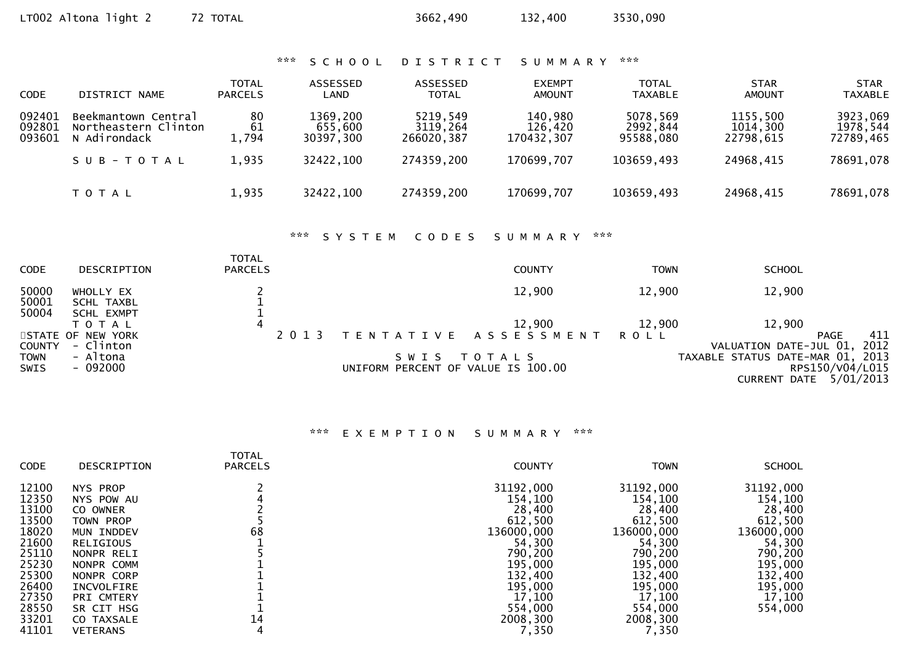|                            | LT002 Altona light 2                                        | 72 TOTAL                       |                                  | 3662,490                           | 132,400                          | 3530,090                          |                                   |                                   |
|----------------------------|-------------------------------------------------------------|--------------------------------|----------------------------------|------------------------------------|----------------------------------|-----------------------------------|-----------------------------------|-----------------------------------|
|                            |                                                             |                                | ***<br>SCHOOL                    | <b>DISTRICT</b>                    | SUMMARY                          | ***                               |                                   |                                   |
| <b>CODE</b>                | DISTRICT NAME                                               | <b>TOTAL</b><br><b>PARCELS</b> | ASSESSED<br>LAND                 | ASSESSED<br><b>TOTAL</b>           | <b>EXEMPT</b><br><b>AMOUNT</b>   | <b>TOTAL</b><br><b>TAXABLE</b>    | <b>STAR</b><br><b>AMOUNT</b>      | <b>STAR</b><br><b>TAXABLE</b>     |
| 092401<br>092801<br>093601 | Beekmantown Central<br>Northeastern Clinton<br>N Adirondack | 80<br>61<br>1,794              | 1369,200<br>655,600<br>30397,300 | 5219,549<br>3119,264<br>266020,387 | 140,980<br>126,420<br>170432,307 | 5078,569<br>2992,844<br>95588,080 | 1155,500<br>1014,300<br>22798,615 | 3923,069<br>1978,544<br>72789,465 |
|                            | SUB-TOTAL                                                   | 1,935                          | 32422,100                        | 274359,200                         | 170699,707                       | 103659,493                        | 24968,415                         | 78691,078                         |
|                            | <b>TOTAL</b>                                                | 1,935                          | 32422,100                        | 274359,200                         | 170699,707                       | 103659,493                        | 24968,415                         | 78691,078                         |
|                            |                                                             |                                | $X \times X$<br>SYSTEM           | CODES                              | SUMMARY                          | $\mathbf{x} \times \mathbf{x}$    |                                   |                                   |

| <b>CODE</b>                                 | DESCRIPTION                                     | <b>TOTAL</b><br><b>PARCELS</b> |                                               | <b>COUNTY</b>                       | <b>TOWN</b> | <b>SCHOOL</b>                                                                                                   |
|---------------------------------------------|-------------------------------------------------|--------------------------------|-----------------------------------------------|-------------------------------------|-------------|-----------------------------------------------------------------------------------------------------------------|
| 50000<br>50001                              | WHOLLY EX<br>SCHL TAXBL                         |                                |                                               | 12,900                              | 12,900      | 12,900                                                                                                          |
| 50004                                       | <b>SCHL EXMPT</b><br>TOTAL<br>STATE OF NEW YORK | 4<br>2013                      |                                               | 12,900<br>TENTATIVE ASSESSMENT ROLL | 12,900      | 12,900<br>411<br>PAGE                                                                                           |
| <b>COUNTY</b><br><b>TOWN</b><br><b>SWIS</b> | - Clinton<br>- Altona<br>- 092000               |                                | S W I S<br>UNIFORM PERCENT OF VALUE IS 100.00 | T O T A L S                         |             | VALUATION DATE-JUL 01, 2012<br>TAXABLE STATUS DATE-MAR 01, 2013<br>RPS150/V04/L015<br>5/01/2013<br>CURRENT DATE |

# \*\*\* E X E M P T I O N S U M M A R Y \*\*\*

| <b>CODE</b>                                                                                                                | DESCRIPTION                                                                                                                                                                                            | <b>TOTAL</b><br><b>PARCELS</b> | <b>COUNTY</b>                                                                                                                                           | <b>TOWN</b>                                                                                                                                             | <b>SCHOOL</b>                                                                                                                      |
|----------------------------------------------------------------------------------------------------------------------------|--------------------------------------------------------------------------------------------------------------------------------------------------------------------------------------------------------|--------------------------------|---------------------------------------------------------------------------------------------------------------------------------------------------------|---------------------------------------------------------------------------------------------------------------------------------------------------------|------------------------------------------------------------------------------------------------------------------------------------|
| 12100<br>12350<br>13100<br>13500<br>18020<br>21600<br>25110<br>25230<br>25300<br>26400<br>27350<br>28550<br>33201<br>41101 | NYS PROP<br>NYS POW AU<br>CO OWNER<br>TOWN PROP<br>MUN INDDEV<br><b>RELIGIOUS</b><br>NONPR RELI<br>NONPR COMM<br>NONPR CORP<br>INCVOLFIRE<br>PRI CMTERY<br>SR CIT HSG<br>CO TAXSALE<br><b>VETERANS</b> | 68<br>14<br>4                  | 31192,000<br>154,100<br>28,400<br>612,500<br>136000,000<br>54,300<br>790,200<br>195,000<br>132,400<br>195,000<br>17,100<br>554,000<br>2008,300<br>7,350 | 31192,000<br>154,100<br>28,400<br>612,500<br>136000,000<br>54,300<br>790,200<br>195,000<br>132,400<br>195,000<br>17,100<br>554,000<br>2008,300<br>7,350 | 31192,000<br>154,100<br>28,400<br>612,500<br>136000,000<br>54,300<br>790,200<br>195,000<br>132,400<br>195,000<br>17,100<br>554,000 |
|                                                                                                                            |                                                                                                                                                                                                        |                                |                                                                                                                                                         |                                                                                                                                                         |                                                                                                                                    |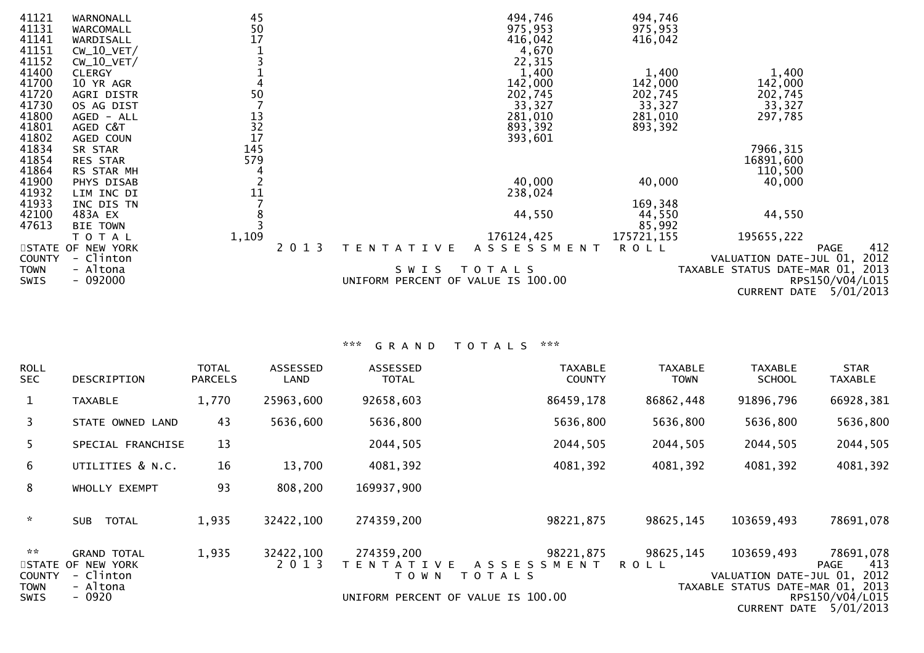| 41121         | WARNONALL          | 45             |         |                                    | 494,746     | 494,746     |                                  |
|---------------|--------------------|----------------|---------|------------------------------------|-------------|-------------|----------------------------------|
| 41131         | WARCOMALL          |                |         |                                    | 975,953     | 975,953     |                                  |
| 41141         | WARDISALL          | 50<br>17       |         |                                    | 416,042     | 416,042     |                                  |
| 41151         | $CW_10_VET/$       |                |         |                                    | 4,670       |             |                                  |
| 41152         | $CW_10_VET/$       |                |         |                                    | 22,315      |             |                                  |
| 41400         | <b>CLERGY</b>      |                |         |                                    | 1,400       | 1,400       | 1,400                            |
| 41700         | 10 YR AGR          |                |         |                                    | 142,000     | 142,000     | 142,000                          |
| 41720         | AGRI DISTR         | 50             |         |                                    | 202,745     | 202,745     | 202,745                          |
| 41730         | OS AG DIST         |                |         |                                    | 33,327      | 33,327      | 33,327                           |
| 41800         | AGED - ALL         |                |         |                                    | 281,010     | 281,010     | 297,785                          |
| 41801         | AGED C&T           |                |         |                                    | 893,392     | 893,392     |                                  |
| 41802         | AGED COUN          | 13<br>32<br>17 |         |                                    | 393,601     |             |                                  |
| 41834         | SR STAR            | 145            |         |                                    |             |             | 7966,315                         |
| 41854         | <b>RES STAR</b>    | 579            |         |                                    |             |             | 16891,600                        |
| 41864         | RS STAR MH         |                |         |                                    |             |             | 110,500                          |
| 41900         | PHYS DISAB         |                |         |                                    | 40,000      | 40,000      | 40,000                           |
| 41932         | LIM INC DI         | 11             |         |                                    | 238,024     |             |                                  |
| 41933         | INC DIS TN         |                |         |                                    |             | 169,348     |                                  |
| 42100         | 483A EX            |                |         |                                    | 44,550      | 44,550      | 44,550                           |
| 47613         | BIE<br><b>TOWN</b> |                |         |                                    |             | 85,992      |                                  |
|               | T O T A L          | 1,109          |         |                                    | 176124,425  | 175721, 155 | 195655,222                       |
|               | STATE OF NEW YORK  |                | 2 0 1 3 | T E N T A T I V E                  | ASSESSMENT  | <b>ROLL</b> | 412<br><b>PAGE</b>               |
| <b>COUNTY</b> | - Clinton          |                |         |                                    |             |             | VALUATION DATE-JUL 01, 2012      |
| <b>TOWN</b>   | - Altona           |                |         | S W I S                            | T O T A L S |             | TAXABLE STATUS DATE-MAR 01, 2013 |
| <b>SWIS</b>   | $-092000$          |                |         | UNIFORM PERCENT OF VALUE IS 100.00 |             |             | RPS150/V04/L015                  |
|               |                    |                |         |                                    |             |             | 5/01/2013<br><b>CURRENT DATE</b> |

# \*\*\* G R A N D T O T A L S \*\*\*

| <b>ROLL</b><br><b>SEC</b>            | <b>DESCRIPTION</b>                                   | <b>TOTAL</b><br><b>PARCELS</b> | ASSESSED<br>LAND     | <b>ASSESSED</b><br><b>TOTAL</b>            | <b>TAXABLE</b><br><b>COUNTY</b>                 | <b>TAXABLE</b><br><b>TOWN</b> | <b>TAXABLE</b><br><b>SCHOOL</b>                         | <b>STAR</b><br><b>TAXABLE</b>    |
|--------------------------------------|------------------------------------------------------|--------------------------------|----------------------|--------------------------------------------|-------------------------------------------------|-------------------------------|---------------------------------------------------------|----------------------------------|
| $\mathbf{1}$                         | <b>TAXABLE</b>                                       | 1,770                          | 25963,600            | 92658,603                                  | 86459,178                                       | 86862,448                     | 91896,796                                               | 66928,381                        |
| 3                                    | STATE OWNED LAND                                     | 43                             | 5636,600             | 5636,800                                   | 5636,800                                        | 5636,800                      | 5636,800                                                | 5636,800                         |
| 5.                                   | SPECIAL FRANCHISE                                    | 13                             |                      | 2044,505                                   | 2044,505                                        | 2044,505                      | 2044,505                                                | 2044,505                         |
| 6                                    | UTILITIES & N.C.                                     | 16                             | 13,700               | 4081,392                                   | 4081,392                                        | 4081,392                      | 4081,392                                                | 4081,392                         |
| 8                                    | WHOLLY EXEMPT                                        | 93                             | 808,200              | 169937,900                                 |                                                 |                               |                                                         |                                  |
| $\mathcal{H}$                        | <b>SUB</b><br><b>TOTAL</b>                           | 1,935                          | 32422,100            | 274359,200                                 | 98221,875                                       | 98625,145                     | 103659,493                                              | 78691,078                        |
| $\mathbf{x} \times$<br><b>COUNTY</b> | <b>GRAND TOTAL</b><br>STATE OF NEW YORK<br>- Clinton | 1,935                          | 32422,100<br>2 0 1 3 | 274359,200<br>T E N T A T I V E<br>T O W N | 98221,875<br>A S S E S S M E N T<br>T O T A L S | 98625,145<br><b>ROLL</b>      | 103659,493<br>VALUATION DATE-JUL 01,                    | 78691,078<br>413<br>PAGE<br>2012 |
| <b>TOWN</b><br><b>SWIS</b>           | - Altona<br>$-0920$                                  |                                |                      |                                            | UNIFORM PERCENT OF VALUE IS 100.00              |                               | TAXABLE STATUS DATE-MAR 01, 2013<br><b>CURRENT DATE</b> | RPS150/V04/L015<br>5/01/2013     |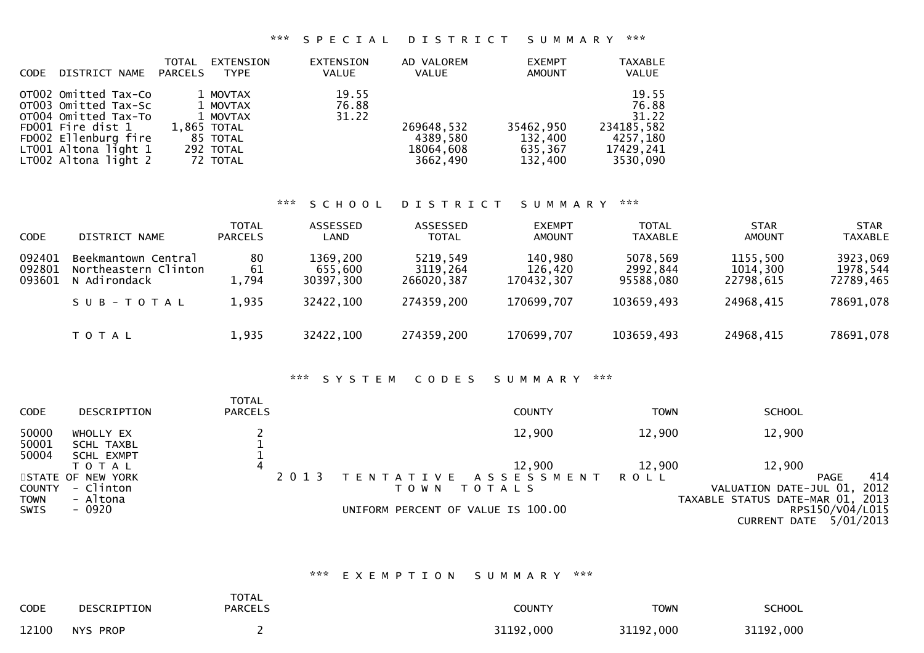## \*\*\* S P E C I A L D I S T R I C T S U M M A R Y \*\*\*

|             |                                              | TOTAL          | EXTENSION             | EXTENSION    | AD VALOREM            | <b>EXEMPT</b>      | <b>TAXABLE</b>        |
|-------------|----------------------------------------------|----------------|-----------------------|--------------|-----------------------|--------------------|-----------------------|
| <b>CODE</b> | DISTRICT NAME                                | <b>PARCELS</b> | <b>TYPE</b>           | <b>VALUE</b> | <b>VALUE</b>          | <b>AMOUNT</b>      | <b>VALUE</b>          |
|             | OTO02 Omitted Tax-Co                         |                | 1 MOVTAX              | 19.55        |                       |                    | 19.55                 |
|             | OT003 Omitted Tax-Sc                         |                | 1 MOVTAX              | 76.88        |                       |                    | 76.88                 |
|             | OT004 Omitted Tax-To                         |                | 1 MOVTAX              | 31.22        |                       |                    | 31.22                 |
|             | FD001 Fire dist 1                            |                | 1,865 TOTAL           |              | 269648,532            | 35462,950          | 234185,582            |
|             | FD002 Ellenburg fire                         |                | 85 TOTAL              |              | 4389,580              | 132,400            | 4257,180              |
|             | LT001 Altona light 1<br>LT002 Altona light 2 |                | 292 TOTAL<br>72 TOTAL |              | 18064,608<br>3662,490 | 635,367<br>132,400 | 17429,241<br>3530,090 |
|             |                                              |                |                       |              |                       |                    |                       |

# \*\*\* S C H O O L D I S T R I C T S U M M A R Y \*\*\*

| <b>CODE</b>                | DISTRICT NAME                                                            | <b>TOTAL</b><br><b>PARCELS</b> | ASSESSED<br>LAND                              | ASSESSED<br><b>TOTAL</b>                         | <b>EXEMPT</b><br><b>AMOUNT</b>                 | <b>TOTAL</b><br><b>TAXABLE</b>                  | <b>STAR</b><br><b>AMOUNT</b>                   | <b>STAR</b><br><b>TAXABLE</b>                  |
|----------------------------|--------------------------------------------------------------------------|--------------------------------|-----------------------------------------------|--------------------------------------------------|------------------------------------------------|-------------------------------------------------|------------------------------------------------|------------------------------------------------|
| 092401<br>092801<br>093601 | Beekmantown Central<br>Northeastern Clinton<br>N Adirondack<br>SUB-TOTAL | 80<br>61<br>1,794<br>1,935     | 1369,200<br>655,600<br>30397,300<br>32422,100 | 5219,549<br>3119,264<br>266020,387<br>274359,200 | 140,980<br>126,420<br>170432.307<br>170699,707 | 5078,569<br>2992,844<br>95588,080<br>103659,493 | 1155,500<br>1014,300<br>22798.615<br>24968,415 | 3923,069<br>1978,544<br>72789,465<br>78691,078 |
|                            | T O T A L                                                                | 1,935                          | 32422,100                                     | 274359,200                                       | 170699,707                                     | 103659,493                                      | 24968,415                                      | 78691,078                                      |

### \*\*\* S Y S T E M C O D E S S U M M A R Y \*\*\*

| <b>CODE</b>                | DESCRIPTION                    | <b>TOTAL</b><br><b>PARCELS</b> | <b>COUNTY</b>                                                      | TOWN        | <b>SCHOOL</b>                                                                    |
|----------------------------|--------------------------------|--------------------------------|--------------------------------------------------------------------|-------------|----------------------------------------------------------------------------------|
| 50000<br>50001             | WHOLLY EX<br>SCHL TAXBL        |                                | 12,900                                                             | 12,900      | 12,900                                                                           |
| 50004                      | <b>SCHL EXMPT</b><br>T O T A L |                                | 12,900                                                             | 12,900      | 12,900                                                                           |
| <b>COUNTY</b>              | STATE OF NEW YORK<br>- Clinton | 2 0 1 3                        | A S S E S S M E N T<br>T E N T A T I V E<br>T O T A L S<br>T O W N | <b>ROLL</b> | 414<br><b>PAGE</b><br>2012<br>VALUATION DATE-JUL 01,                             |
| <b>TOWN</b><br><b>SWIS</b> | - Altona<br>- 0920             |                                | UNIFORM PERCENT OF VALUE IS 100.00                                 |             | TAXABLE STATUS DATE-MAR 01, 2013<br>RPS150/V04/L015<br>5/01/2013<br>CURRENT DATE |

#### \*\*\* E X E M P T I O N S U M M A R Y \*\*\*

| <b>CODE</b> | DESCRIPTION | <b>TOTAL</b><br><b>PARCELS</b> | <b>COUNTY</b> | <b>TOWN</b> | <b>SCHOOL</b> |
|-------------|-------------|--------------------------------|---------------|-------------|---------------|
| 12100       | NYS PROP    |                                | 31192,000     | 31192,000   | 31192,000     |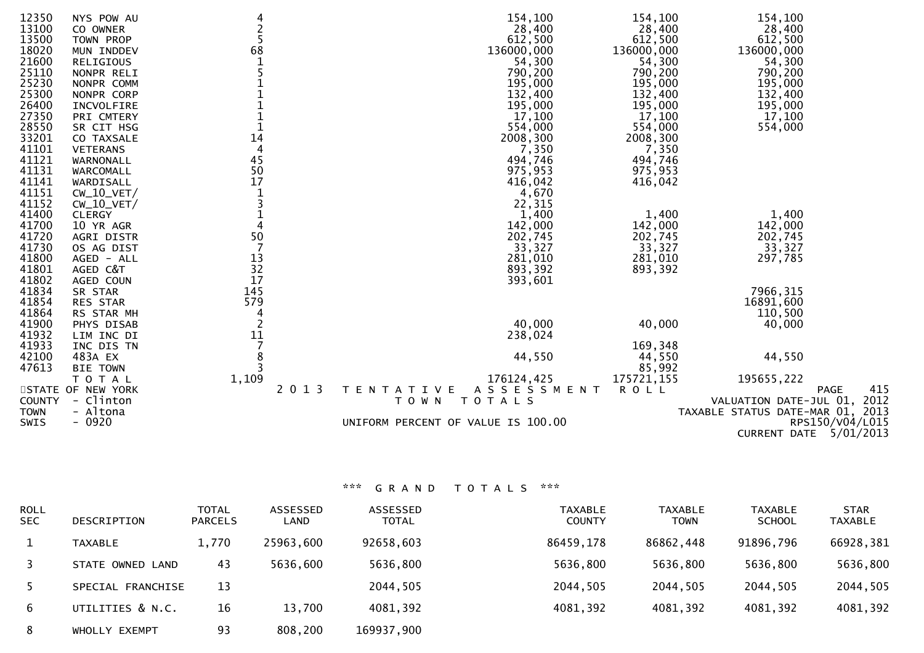| 12350         | NYS POW AU        |                |         | 154,100                            | 154,100     | 154,100                          |     |
|---------------|-------------------|----------------|---------|------------------------------------|-------------|----------------------------------|-----|
| 13100         | CO OWNER          |                |         | 28,400                             | 28,400      | 28,400                           |     |
| 13500         | TOWN PROP         | $\frac{2}{5}$  |         | 612,500                            | 612,500     | 612,500                          |     |
| 18020         | MUN INDDEV        | 68             |         | 136000,000                         | 136000,000  | 136000,000                       |     |
| 21600         | <b>RELIGIOUS</b>  |                |         | 54,300                             | 54,300      | 54,300                           |     |
| 25110         | NONPR RELI        | 5              |         | 790,200                            | 790,200     | 790,200                          |     |
| 25230         | NONPR COMM        |                |         | 195,000                            | 195,000     | 195,000                          |     |
| 25300         | NONPR CORP        |                |         | 132,400                            | 132,400     | 132,400                          |     |
| 26400         | INCVOLFIRE        |                |         | 195,000                            | 195,000     | 195,000                          |     |
| 27350         | PRI CMTERY        |                |         | 17,100                             | 17,100      | 17,100                           |     |
| 28550         |                   | $\mathbf{1}$   |         |                                    |             |                                  |     |
|               | SR CIT HSG        | 14             |         | 554,000                            | 554,000     | 554,000                          |     |
| 33201         | CO TAXSALE        |                |         | 2008,300                           | 2008,300    |                                  |     |
| 41101         | <b>VETERANS</b>   | 4              |         | 7,350                              | 7,350       |                                  |     |
| 41121         | WARNONALL         | 45             |         | 494,746                            | 494,746     |                                  |     |
| 41131         | WARCOMALL         | 50             |         | 975,953                            | 975,953     |                                  |     |
| 41141         | WARDISALL         | 17             |         | 416,042                            | 416,042     |                                  |     |
| 41151         | $CW_10_VET/$      | $\frac{1}{3}$  |         | 4,670                              |             |                                  |     |
| 41152         | $CW_10_VET/$      |                |         | 22,315                             |             |                                  |     |
| 41400         | <b>CLERGY</b>     | $\mathbf 1$    |         | 1,400                              | 1,400       | 1,400                            |     |
| 41700         | 10 YR AGR         | 4              |         | 142,000                            | 142,000     | 142,000                          |     |
| 41720         | AGRI DISTR        | 50             |         | 202,745                            | 202,745     | 202,745                          |     |
| 41730         | OS AG DIST        | -7             |         | 33,327                             | 33,327      | 33,327                           |     |
| 41800         | AGED - ALL        | 13             |         | 281,010                            | 281,010     | 297,785                          |     |
| 41801         | AGED C&T          | 32             |         | 893,392                            | 893,392     |                                  |     |
| 41802         | AGED COUN         | 17             |         | 393,601                            |             |                                  |     |
| 41834         | SR STAR           | 145            |         |                                    |             | 7966,315                         |     |
| 41854         | RES STAR          | 579            |         |                                    |             | 16891,600                        |     |
| 41864         | RS STAR MH        | $\overline{4}$ |         |                                    |             | 110,500                          |     |
| 41900         | PHYS DISAB        | $\overline{2}$ |         | 40,000                             | 40,000      | 40,000                           |     |
| 41932         | LIM INC DI        | 11             |         | 238,024                            |             |                                  |     |
| 41933         | INC DIS TN        |                |         |                                    | 169,348     |                                  |     |
| 42100         | 483A EX           | 8              |         | 44,550                             | 44,550      | 44,550                           |     |
| 47613         | <b>BIE TOWN</b>   | $\overline{3}$ |         |                                    | 85,992      |                                  |     |
|               | T O T A L         | 1,109          |         | 176124,425                         | 175721,155  | 195655,222                       |     |
|               | STATE OF NEW YORK |                | 2 0 1 3 | ASSESSMENT<br>T E N T A T I V E    | <b>ROLL</b> | <b>PAGE</b>                      | 415 |
| <b>COUNTY</b> | - Clinton         |                |         | TOTALS<br>T O W N                  |             | VALUATION DATE-JUL 01, 2012      |     |
| <b>TOWN</b>   | - Altona          |                |         |                                    |             | TAXABLE STATUS DATE-MAR 01, 2013 |     |
| SWIS          | $-0920$           |                |         | UNIFORM PERCENT OF VALUE IS 100.00 |             | RPS150/V04/L015                  |     |
|               |                   |                |         |                                    |             | CURRENT DATE 5/01/2013           |     |
|               |                   |                |         |                                    |             |                                  |     |

\*\*\* G R A N D T O T A L S \*\*\*

| <b>ROLL</b><br><b>SEC</b> | <b>DESCRIPTION</b> | <b>TOTAL</b><br><b>PARCELS</b> | ASSESSED<br>LAND | <b>ASSESSED</b><br><b>TOTAL</b> | <b>TAXABLE</b><br><b>COUNTY</b> | <b>TAXABLE</b><br><b>TOWN</b> | <b>TAXABLE</b><br><b>SCHOOL</b> | <b>STAR</b><br><b>TAXABLE</b> |
|---------------------------|--------------------|--------------------------------|------------------|---------------------------------|---------------------------------|-------------------------------|---------------------------------|-------------------------------|
|                           | <b>TAXABLE</b>     | 1,770                          | 25963,600        | 92658,603                       | 86459,178                       | 86862,448                     | 91896,796                       | 66928,381                     |
| 3                         | STATE OWNED LAND   | 43                             | 5636,600         | 5636,800                        | 5636,800                        | 5636,800                      | 5636,800                        | 5636,800                      |
| -5.                       | SPECIAL FRANCHISE  | 13                             |                  | 2044,505                        | 2044,505                        | 2044,505                      | 2044,505                        | 2044,505                      |
| 6                         | UTILITIES & N.C.   | 16                             | 13,700           | 4081,392                        | 4081,392                        | 4081,392                      | 4081,392                        | 4081,392                      |
| 8                         | WHOLLY EXEMPT      | 93                             | 808,200          | 169937,900                      |                                 |                               |                                 |                               |